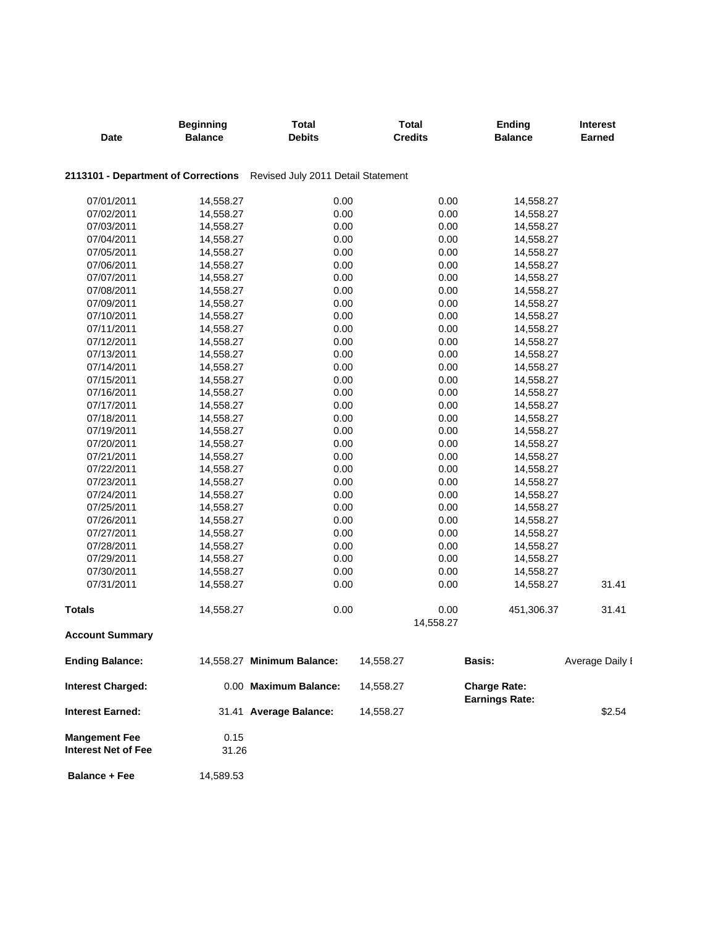| Date                                               | <b>Beginning</b><br><b>Balance</b> | <b>Total</b><br><b>Debits</b>                                          | <b>Total</b><br><b>Credits</b> | <b>Ending</b><br><b>Balance</b>              | <b>Interest</b><br>Earned |
|----------------------------------------------------|------------------------------------|------------------------------------------------------------------------|--------------------------------|----------------------------------------------|---------------------------|
|                                                    |                                    | 2113101 - Department of Corrections Revised July 2011 Detail Statement |                                |                                              |                           |
| 07/01/2011                                         | 14,558.27                          | 0.00                                                                   | 0.00                           | 14,558.27                                    |                           |
| 07/02/2011                                         | 14,558.27                          | 0.00                                                                   | 0.00                           | 14,558.27                                    |                           |
| 07/03/2011                                         | 14,558.27                          | 0.00                                                                   | 0.00                           | 14,558.27                                    |                           |
| 07/04/2011                                         | 14,558.27                          | 0.00                                                                   | 0.00                           | 14,558.27                                    |                           |
| 07/05/2011                                         | 14,558.27                          | 0.00                                                                   | 0.00                           | 14,558.27                                    |                           |
| 07/06/2011                                         | 14,558.27                          | 0.00                                                                   | 0.00                           | 14,558.27                                    |                           |
| 07/07/2011                                         | 14,558.27                          | 0.00                                                                   | 0.00                           | 14,558.27                                    |                           |
| 07/08/2011                                         | 14,558.27                          | 0.00                                                                   | 0.00                           | 14,558.27                                    |                           |
| 07/09/2011                                         | 14,558.27                          | 0.00                                                                   | 0.00                           | 14,558.27                                    |                           |
| 07/10/2011                                         | 14,558.27                          | 0.00                                                                   | 0.00                           | 14,558.27                                    |                           |
| 07/11/2011                                         | 14,558.27                          | 0.00                                                                   | 0.00                           | 14,558.27                                    |                           |
| 07/12/2011                                         | 14,558.27                          | 0.00                                                                   | 0.00                           | 14,558.27                                    |                           |
| 07/13/2011                                         | 14,558.27                          | 0.00                                                                   | 0.00                           | 14,558.27                                    |                           |
| 07/14/2011                                         | 14,558.27                          | 0.00                                                                   | 0.00                           | 14,558.27                                    |                           |
| 07/15/2011                                         | 14,558.27                          | 0.00                                                                   | 0.00                           | 14,558.27                                    |                           |
| 07/16/2011                                         | 14,558.27                          | 0.00                                                                   | 0.00                           | 14,558.27                                    |                           |
| 07/17/2011                                         | 14,558.27                          | 0.00                                                                   | 0.00                           | 14,558.27                                    |                           |
| 07/18/2011                                         | 14,558.27                          | 0.00                                                                   | 0.00                           | 14,558.27                                    |                           |
| 07/19/2011                                         | 14,558.27                          | 0.00                                                                   | 0.00                           | 14,558.27                                    |                           |
| 07/20/2011                                         | 14,558.27                          | 0.00                                                                   | 0.00                           | 14,558.27                                    |                           |
| 07/21/2011                                         | 14,558.27                          | 0.00                                                                   | 0.00                           | 14,558.27                                    |                           |
| 07/22/2011                                         | 14,558.27                          | 0.00                                                                   | 0.00                           | 14,558.27                                    |                           |
| 07/23/2011                                         | 14,558.27                          | 0.00                                                                   | 0.00                           | 14,558.27                                    |                           |
| 07/24/2011                                         | 14,558.27                          | 0.00                                                                   | 0.00                           | 14,558.27                                    |                           |
| 07/25/2011                                         | 14,558.27                          | 0.00                                                                   | 0.00                           | 14,558.27                                    |                           |
| 07/26/2011                                         | 14,558.27                          | 0.00                                                                   | 0.00                           | 14,558.27                                    |                           |
| 07/27/2011                                         | 14,558.27                          | 0.00                                                                   | 0.00                           | 14,558.27                                    |                           |
| 07/28/2011                                         | 14,558.27                          | 0.00                                                                   | 0.00                           | 14,558.27                                    |                           |
| 07/29/2011                                         | 14,558.27                          | 0.00                                                                   | 0.00                           | 14,558.27                                    |                           |
| 07/30/2011                                         | 14,558.27                          | 0.00                                                                   | 0.00                           | 14,558.27                                    |                           |
| 07/31/2011                                         | 14,558.27                          | 0.00                                                                   | 0.00                           | 14,558.27                                    | 31.41                     |
| <b>Totals</b>                                      | 14,558.27                          | 0.00                                                                   | 0.00                           | 451,306.37                                   | 31.41                     |
| <b>Account Summary</b>                             |                                    |                                                                        | 14,558.27                      |                                              |                           |
|                                                    |                                    |                                                                        |                                |                                              |                           |
| <b>Ending Balance:</b>                             |                                    | 14,558.27 Minimum Balance:                                             | 14,558.27                      | Basis:                                       | Average Daily I           |
| <b>Interest Charged:</b>                           |                                    | 0.00 Maximum Balance:                                                  | 14,558.27                      | <b>Charge Rate:</b><br><b>Earnings Rate:</b> |                           |
| Interest Earned:                                   |                                    | 31.41 Average Balance:                                                 | 14,558.27                      |                                              | \$2.54                    |
| <b>Mangement Fee</b><br><b>Interest Net of Fee</b> | 0.15<br>31.26                      |                                                                        |                                |                                              |                           |
| <b>Balance + Fee</b>                               | 14,589.53                          |                                                                        |                                |                                              |                           |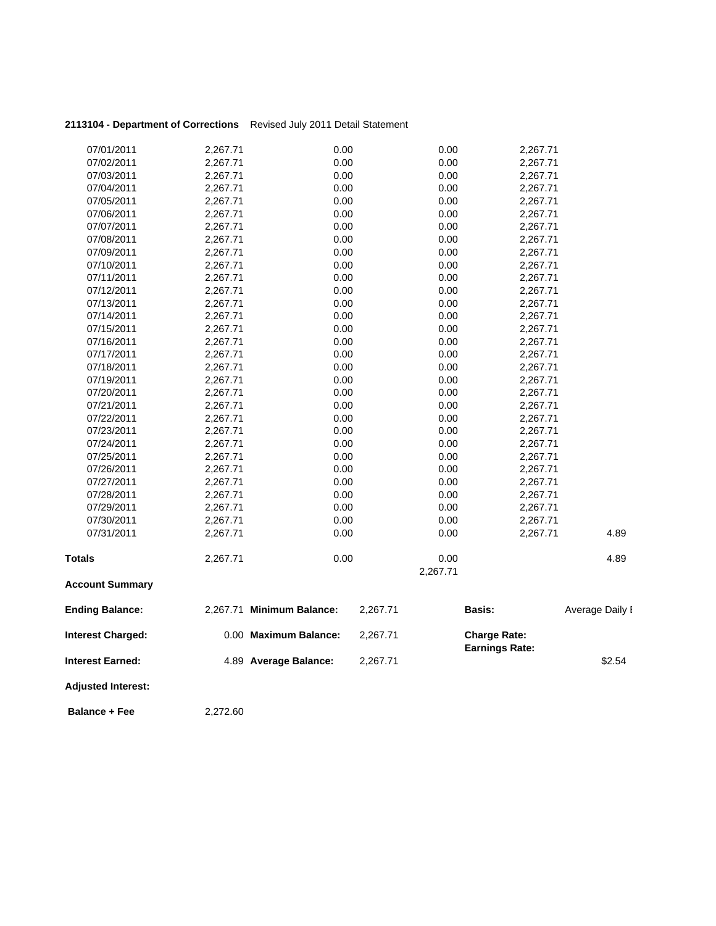| 07/01/2011                            | 2.267.71                           | 0.00          | 0.00          | 2,267.71                           |
|---------------------------------------|------------------------------------|---------------|---------------|------------------------------------|
| 07/02/2011                            | 2.267.71                           | 0.00          | 0.00          | 2.267.71                           |
| 07/03/2011                            | 2.267.71                           | 0.00          | 0.00          | 2,267.71                           |
| 07/04/2011                            | 2.267.71                           | 0.00          | 0.00          | 2,267.71                           |
| 07/05/2011                            | 2.267.71                           | 0.00          | 0.00          | 2.267.71                           |
| 07/06/2011                            | 2.267.71                           | 0.00          | 0.00          | 2,267.71                           |
| 07/07/2011                            | 2.267.71                           | 0.00          | 0.00          | 2.267.71                           |
| 07/08/2011                            | 2.267.71                           | 0.00          | 0.00          | 2.267.71                           |
| $\sum_{n=1}^{n} \sum_{n=1}^{n} x^{n}$ | $\sim$ $\sim$ $\sim$ $\sim$ $\sim$ | $\sim$ $\sim$ | $\sim$ $\sim$ | $\sim$ $\sim$ $\sim$ $\sim$ $\sim$ |

**2113104 - Department of Corrections** Revised July 2011 Detail Statement

| <b>Interest Earned:</b>  |                      | 4.89 Average Balance:     | 2,267.71 |              |                                              | \$2.54          |
|--------------------------|----------------------|---------------------------|----------|--------------|----------------------------------------------|-----------------|
| <b>Interest Charged:</b> |                      | 0.00 Maximum Balance:     | 2,267.71 |              | <b>Charge Rate:</b><br><b>Earnings Rate:</b> |                 |
| <b>Ending Balance:</b>   |                      | 2,267.71 Minimum Balance: | 2,267.71 |              | Basis:                                       | Average Daily I |
| <b>Account Summary</b>   |                      |                           |          |              |                                              |                 |
|                          |                      |                           |          | 2,267.71     |                                              |                 |
| <b>Totals</b>            | 2,267.71             | 0.00                      |          | 0.00         |                                              | 4.89            |
| 07/31/2011               | 2,267.71             | 0.00                      |          | 0.00         | 2,267.71                                     | 4.89            |
|                          |                      |                           |          |              | 2,267.71                                     |                 |
| 07/30/2011               | 2,267.71             | 0.00                      |          | 0.00         |                                              |                 |
| 07/29/2011               | 2,267.71             | 0.00                      |          | 0.00         | 2,267.71                                     |                 |
| 07/28/2011               | 2,267.71             | 0.00                      |          | 0.00         | 2,267.71                                     |                 |
| 07/27/2011               | 2,267.71             | 0.00                      |          | 0.00         | 2,267.71                                     |                 |
| 07/26/2011               | 2,267.71             | 0.00                      |          | 0.00         | 2,267.71                                     |                 |
| 07/25/2011               | 2,267.71             | 0.00                      |          | 0.00         | 2,267.71                                     |                 |
| 07/24/2011               | 2,267.71             | 0.00                      |          | 0.00         | 2,267.71                                     |                 |
| 07/23/2011               | 2,267.71             | 0.00                      |          | 0.00         | 2,267.71                                     |                 |
| 07/22/2011               | 2,267.71             | 0.00                      |          | 0.00         | 2,267.71                                     |                 |
| 07/21/2011               | 2,267.71             | 0.00                      |          | 0.00         | 2,267.71                                     |                 |
| 07/20/2011               | 2,267.71             | 0.00                      |          | 0.00         | 2,267.71                                     |                 |
| 07/19/2011               | 2,267.71             | 0.00                      |          | 0.00         | 2,267.71                                     |                 |
| 07/18/2011               | 2,267.71             | 0.00                      |          | 0.00         | 2,267.71                                     |                 |
| 07/16/2011<br>07/17/2011 | 2,267.71<br>2,267.71 | 0.00<br>0.00              |          | 0.00<br>0.00 | 2,267.71<br>2,267.71                         |                 |
| 07/15/2011               | 2,267.71             | 0.00                      |          | 0.00         | 2,267.71                                     |                 |
| 07/14/2011               | 2,267.71             | 0.00                      |          | 0.00         | 2,267.71                                     |                 |
| 07/13/2011               | 2,267.71             | 0.00                      |          | 0.00         | 2,267.71                                     |                 |
| 07/12/2011               | 2,267.71             | 0.00                      |          | 0.00         | 2,267.71                                     |                 |
| 07/11/2011               | 2,267.71             | 0.00                      |          | 0.00         | 2,267.71                                     |                 |
| 07/10/2011               | 2,267.71             | 0.00                      |          | 0.00         | 2,267.71                                     |                 |
| 07/09/2011               | 2,267.71             | 0.00                      |          | 0.00         | 2,267.71                                     |                 |
| 07/08/2011               | 2,267.71             | 0.00                      |          | 0.00         | 2,267.71                                     |                 |
| 07/07/2011               | 2,267.71             | 0.00                      |          | 0.00         | 2,267.71                                     |                 |
| 07/06/2011               | 2,267.71             | 0.00                      |          | 0.00         | 2,267.71                                     |                 |
|                          | — ,— <del>—</del>    |                           |          |              |                                              |                 |

**Adjusted Interest:** 

**Balance + Fee** 2,272.60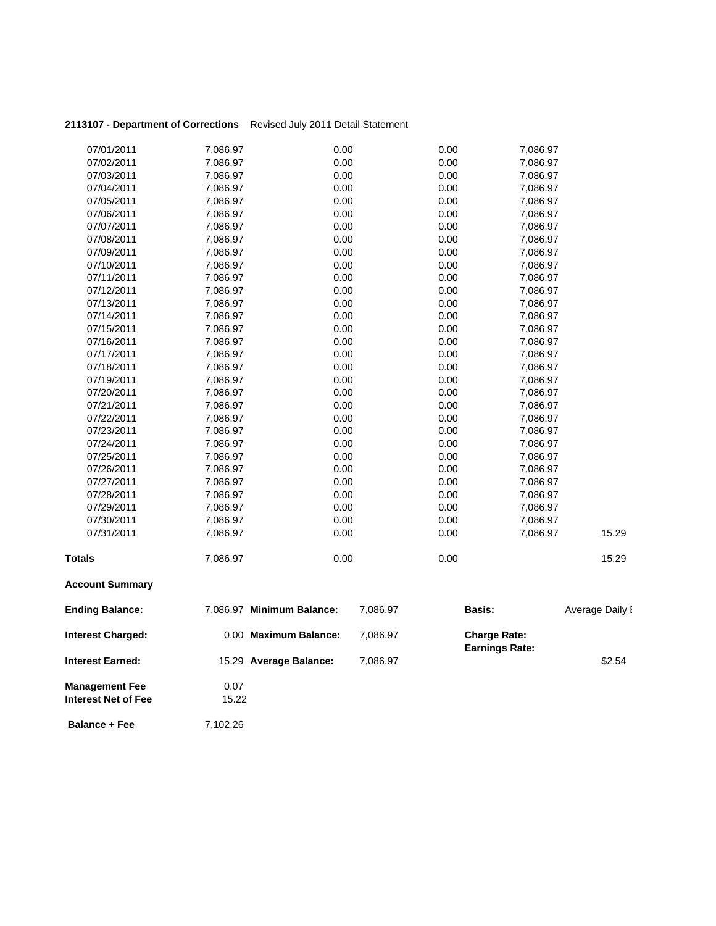| 2113107 - Department of Corrections Revised July 2011 Detail Statement |  |
|------------------------------------------------------------------------|--|
|------------------------------------------------------------------------|--|

| <b>Interest Earned:</b>  |          | 15.29 Average Balance:    | 7,086.97 |      |                                              | \$2.54          |
|--------------------------|----------|---------------------------|----------|------|----------------------------------------------|-----------------|
| <b>Interest Charged:</b> |          | 0.00 Maximum Balance:     | 7,086.97 |      | <b>Charge Rate:</b><br><b>Earnings Rate:</b> |                 |
| <b>Ending Balance:</b>   |          | 7,086.97 Minimum Balance: | 7,086.97 |      | <b>Basis:</b>                                | Average Daily I |
| <b>Account Summary</b>   |          |                           |          |      |                                              |                 |
| <b>Totals</b>            | 7,086.97 | 0.00                      |          | 0.00 |                                              | 15.29           |
| 07/31/2011               | 7,086.97 | 0.00                      |          | 0.00 | 7,086.97                                     | 15.29           |
| 07/30/2011               | 7,086.97 | 0.00                      |          | 0.00 | 7,086.97                                     |                 |
| 07/29/2011               | 7,086.97 | 0.00                      |          | 0.00 | 7,086.97                                     |                 |
| 07/28/2011               | 7,086.97 | 0.00                      |          | 0.00 | 7,086.97                                     |                 |
| 07/27/2011               | 7,086.97 | 0.00                      |          | 0.00 | 7,086.97                                     |                 |
| 07/26/2011               | 7,086.97 | 0.00                      |          | 0.00 | 7,086.97                                     |                 |
| 07/25/2011               | 7,086.97 | 0.00                      |          | 0.00 | 7,086.97                                     |                 |
| 07/24/2011               | 7,086.97 | 0.00                      |          | 0.00 | 7,086.97                                     |                 |
| 07/23/2011               | 7,086.97 | 0.00                      |          | 0.00 | 7,086.97                                     |                 |
| 07/22/2011               | 7,086.97 | 0.00                      |          | 0.00 | 7,086.97                                     |                 |
| 07/21/2011               | 7,086.97 | 0.00                      |          | 0.00 | 7,086.97                                     |                 |
| 07/20/2011               | 7,086.97 | 0.00                      |          | 0.00 | 7,086.97                                     |                 |
| 07/19/2011               | 7,086.97 | 0.00                      |          | 0.00 | 7,086.97                                     |                 |
| 07/18/2011               | 7,086.97 | 0.00                      |          | 0.00 | 7,086.97                                     |                 |
| 07/17/2011               | 7,086.97 | 0.00                      |          | 0.00 | 7,086.97                                     |                 |
| 07/16/2011               | 7,086.97 | 0.00                      |          | 0.00 | 7,086.97                                     |                 |
| 07/15/2011               | 7,086.97 | 0.00                      |          | 0.00 | 7,086.97                                     |                 |
| 07/14/2011               | 7,086.97 | 0.00                      |          | 0.00 | 7,086.97                                     |                 |
| 07/13/2011               | 7,086.97 | 0.00                      |          | 0.00 | 7,086.97                                     |                 |
| 07/12/2011               | 7,086.97 | 0.00                      |          | 0.00 | 7,086.97                                     |                 |
| 07/11/2011               | 7,086.97 | 0.00                      |          | 0.00 | 7,086.97                                     |                 |
| 07/10/2011               | 7,086.97 | 0.00                      |          | 0.00 | 7,086.97                                     |                 |
| 07/09/2011               | 7,086.97 | 0.00                      |          | 0.00 | 7,086.97                                     |                 |
| 07/08/2011               | 7,086.97 | 0.00                      |          | 0.00 | 7,086.97                                     |                 |
| 07/07/2011               | 7,086.97 | 0.00                      |          | 0.00 | 7,086.97                                     |                 |
| 07/06/2011               | 7,086.97 | 0.00                      |          | 0.00 | 7,086.97                                     |                 |
| 07/05/2011               | 7,086.97 | 0.00                      |          | 0.00 | 7,086.97                                     |                 |
| 07/04/2011               | 7,086.97 | 0.00                      |          | 0.00 | 7,086.97                                     |                 |
| 07/03/2011               | 7,086.97 | 0.00                      |          | 0.00 | 7,086.97                                     |                 |
| 07/02/2011               | 7,086.97 | 0.00                      |          | 0.00 | 7,086.97                                     |                 |
| 07/01/2011               | 7,086.97 | 0.00                      |          | 0.00 | 7,086.97                                     |                 |

**Management Fee** 0.07<br> **Interest Net of Fee** 15.22 **Interest Net of Fee** 

**Balance + Fee** 7,102.26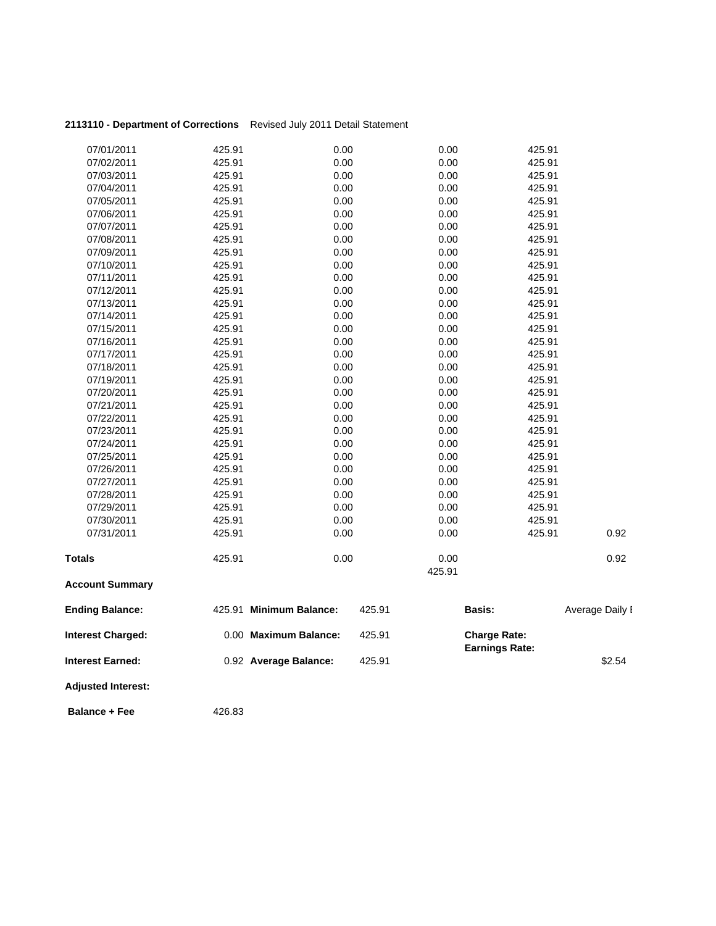| 2113110 - Department of Corrections |        | Revised July 2011 Detail Statement |        |        |                                              |                 |
|-------------------------------------|--------|------------------------------------|--------|--------|----------------------------------------------|-----------------|
| 07/01/2011                          | 425.91 | 0.00                               |        | 0.00   | 425.91                                       |                 |
| 07/02/2011                          | 425.91 | 0.00                               |        | 0.00   | 425.91                                       |                 |
| 07/03/2011                          | 425.91 | 0.00                               |        | 0.00   | 425.91                                       |                 |
| 07/04/2011                          | 425.91 | 0.00                               |        | 0.00   | 425.91                                       |                 |
| 07/05/2011                          | 425.91 | 0.00                               |        | 0.00   | 425.91                                       |                 |
| 07/06/2011                          | 425.91 | 0.00                               |        | 0.00   | 425.91                                       |                 |
| 07/07/2011                          | 425.91 | 0.00                               |        | 0.00   | 425.91                                       |                 |
| 07/08/2011                          | 425.91 | 0.00                               |        | 0.00   | 425.91                                       |                 |
| 07/09/2011                          | 425.91 | 0.00                               |        | 0.00   | 425.91                                       |                 |
| 07/10/2011                          | 425.91 | 0.00                               |        | 0.00   | 425.91                                       |                 |
| 07/11/2011                          | 425.91 | 0.00                               |        | 0.00   | 425.91                                       |                 |
| 07/12/2011                          | 425.91 | 0.00                               |        | 0.00   | 425.91                                       |                 |
| 07/13/2011                          | 425.91 | 0.00                               |        | 0.00   | 425.91                                       |                 |
| 07/14/2011                          | 425.91 | 0.00                               |        | 0.00   | 425.91                                       |                 |
| 07/15/2011                          | 425.91 | 0.00                               |        | 0.00   | 425.91                                       |                 |
| 07/16/2011                          | 425.91 | 0.00                               |        | 0.00   | 425.91                                       |                 |
| 07/17/2011                          | 425.91 | 0.00                               |        | 0.00   | 425.91                                       |                 |
| 07/18/2011                          | 425.91 | 0.00                               |        | 0.00   | 425.91                                       |                 |
| 07/19/2011                          | 425.91 | 0.00                               |        | 0.00   | 425.91                                       |                 |
| 07/20/2011                          | 425.91 | 0.00                               |        | 0.00   | 425.91                                       |                 |
| 07/21/2011                          | 425.91 | 0.00                               |        | 0.00   | 425.91                                       |                 |
| 07/22/2011                          | 425.91 | 0.00                               |        | 0.00   | 425.91                                       |                 |
| 07/23/2011                          | 425.91 | 0.00                               |        | 0.00   | 425.91                                       |                 |
| 07/24/2011                          | 425.91 | 0.00                               |        | 0.00   | 425.91                                       |                 |
| 07/25/2011                          | 425.91 | 0.00                               |        | 0.00   | 425.91                                       |                 |
| 07/26/2011                          | 425.91 | 0.00                               |        | 0.00   | 425.91                                       |                 |
| 07/27/2011                          | 425.91 | 0.00                               |        | 0.00   | 425.91                                       |                 |
| 07/28/2011                          | 425.91 | 0.00                               |        | 0.00   | 425.91                                       |                 |
| 07/29/2011                          | 425.91 | 0.00                               |        | 0.00   | 425.91                                       |                 |
| 07/30/2011                          | 425.91 | 0.00                               |        | 0.00   | 425.91                                       |                 |
| 07/31/2011                          | 425.91 | 0.00                               |        | 0.00   | 425.91                                       | 0.92            |
| <b>Totals</b>                       | 425.91 | 0.00                               |        | 0.00   |                                              | 0.92            |
| <b>Account Summary</b>              |        |                                    |        | 425.91 |                                              |                 |
| <b>Ending Balance:</b>              |        | 425.91 Minimum Balance:            | 425.91 |        | Basis:                                       | Average Daily I |
| <b>Interest Charged:</b>            |        | 0.00 Maximum Balance:              | 425.91 |        | <b>Charge Rate:</b><br><b>Earnings Rate:</b> |                 |
| <b>Interest Earned:</b>             |        | 0.92 Average Balance:              | 425.91 |        |                                              | \$2.54          |
| <b>Adjusted Interest:</b>           |        |                                    |        |        |                                              |                 |

**Balance + Fee** 426.83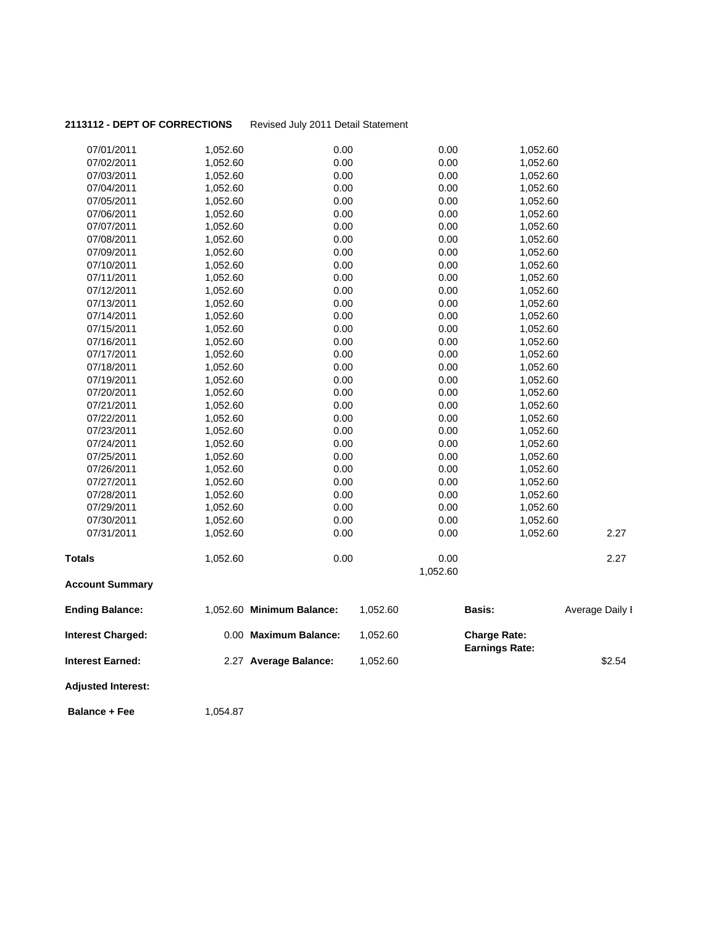# 2113112 - DEPT OF CORRECTIONS Revised July 2011 Detail Statement

| 07/01/2011                | 1,052.60 | 0.00                      |          | 0.00     | 1,052.60              |                 |
|---------------------------|----------|---------------------------|----------|----------|-----------------------|-----------------|
| 07/02/2011                | 1,052.60 | 0.00                      |          | 0.00     | 1,052.60              |                 |
| 07/03/2011                | 1,052.60 | 0.00                      |          | 0.00     | 1,052.60              |                 |
| 07/04/2011                | 1,052.60 | 0.00                      |          | 0.00     | 1,052.60              |                 |
| 07/05/2011                | 1,052.60 | 0.00                      |          | 0.00     | 1,052.60              |                 |
| 07/06/2011                | 1,052.60 | 0.00                      |          | 0.00     | 1,052.60              |                 |
| 07/07/2011                | 1,052.60 | 0.00                      |          | 0.00     | 1,052.60              |                 |
| 07/08/2011                | 1,052.60 | 0.00                      |          | 0.00     | 1,052.60              |                 |
| 07/09/2011                | 1,052.60 | 0.00                      |          | 0.00     | 1,052.60              |                 |
| 07/10/2011                | 1,052.60 | 0.00                      |          | 0.00     | 1,052.60              |                 |
| 07/11/2011                | 1,052.60 | 0.00                      |          | 0.00     | 1,052.60              |                 |
| 07/12/2011                | 1,052.60 | 0.00                      |          | 0.00     | 1,052.60              |                 |
| 07/13/2011                | 1,052.60 | 0.00                      |          | 0.00     | 1,052.60              |                 |
| 07/14/2011                | 1,052.60 | 0.00                      |          | 0.00     | 1,052.60              |                 |
| 07/15/2011                | 1,052.60 | 0.00                      |          | 0.00     | 1,052.60              |                 |
| 07/16/2011                | 1,052.60 | 0.00                      |          | 0.00     | 1,052.60              |                 |
| 07/17/2011                | 1,052.60 | 0.00                      |          | 0.00     | 1,052.60              |                 |
| 07/18/2011                | 1,052.60 | 0.00                      |          | 0.00     | 1,052.60              |                 |
| 07/19/2011                | 1,052.60 | 0.00                      |          | 0.00     | 1,052.60              |                 |
| 07/20/2011                | 1,052.60 | 0.00                      |          | 0.00     | 1,052.60              |                 |
| 07/21/2011                | 1,052.60 | 0.00                      |          | 0.00     | 1,052.60              |                 |
| 07/22/2011                | 1,052.60 | 0.00                      |          | 0.00     | 1,052.60              |                 |
| 07/23/2011                | 1,052.60 | 0.00                      |          | 0.00     | 1,052.60              |                 |
| 07/24/2011                | 1,052.60 | 0.00                      |          | 0.00     | 1,052.60              |                 |
| 07/25/2011                | 1,052.60 | 0.00                      |          | 0.00     | 1,052.60              |                 |
| 07/26/2011                | 1,052.60 | 0.00                      |          | 0.00     | 1,052.60              |                 |
| 07/27/2011                | 1,052.60 | 0.00                      |          | 0.00     | 1,052.60              |                 |
| 07/28/2011                | 1,052.60 | 0.00                      |          | 0.00     | 1,052.60              |                 |
| 07/29/2011                | 1,052.60 | 0.00                      |          | 0.00     | 1,052.60              |                 |
| 07/30/2011                | 1,052.60 | 0.00                      |          | 0.00     | 1,052.60              |                 |
| 07/31/2011                | 1,052.60 | 0.00                      |          | 0.00     | 1,052.60              | 2.27            |
| <b>Totals</b>             | 1,052.60 | 0.00                      |          | 0.00     |                       | 2.27            |
|                           |          |                           |          | 1,052.60 |                       |                 |
| <b>Account Summary</b>    |          |                           |          |          |                       |                 |
| <b>Ending Balance:</b>    |          | 1,052.60 Minimum Balance: | 1,052.60 |          | Basis:                | Average Daily I |
| <b>Interest Charged:</b>  |          | 0.00 Maximum Balance:     | 1,052.60 |          | <b>Charge Rate:</b>   |                 |
| Interest Earned:          |          | 2.27 Average Balance:     | 1,052.60 |          | <b>Earnings Rate:</b> | \$2.54          |
| <b>Adjusted Interest:</b> |          |                           |          |          |                       |                 |
| <b>Balance + Fee</b>      | 1,054.87 |                           |          |          |                       |                 |
|                           |          |                           |          |          |                       |                 |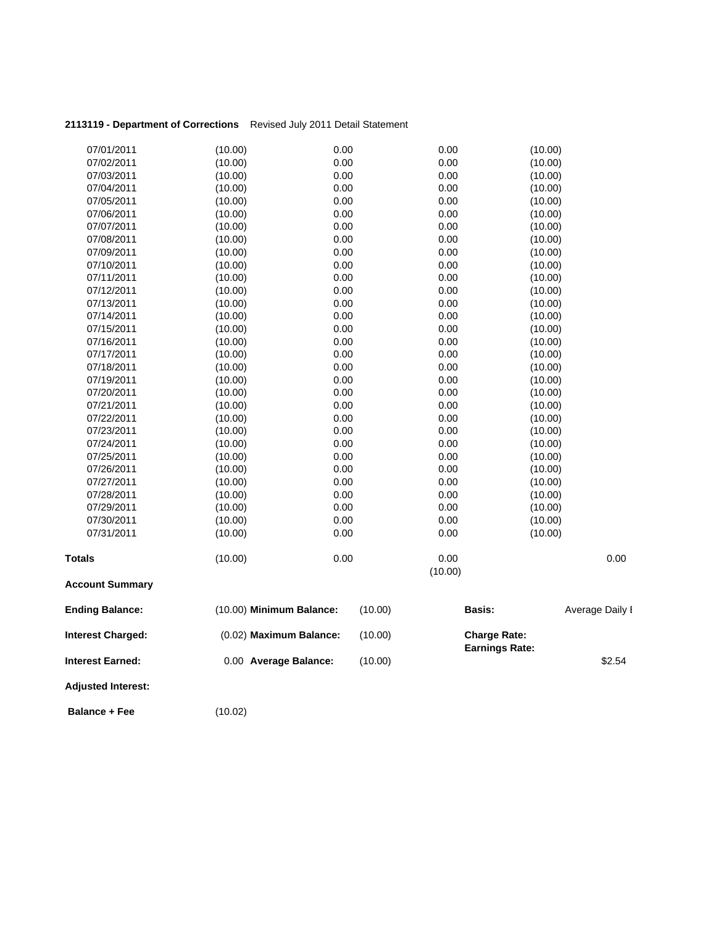| 2113119 - Department of Corrections Revised July 2011 Detail Statement |  |
|------------------------------------------------------------------------|--|
|                                                                        |  |

| 07/01/2011                | (10.00)                  | 0.00 |         | 0.00    | (10.00)               |                 |
|---------------------------|--------------------------|------|---------|---------|-----------------------|-----------------|
| 07/02/2011                | (10.00)                  | 0.00 |         | 0.00    | (10.00)               |                 |
| 07/03/2011                | (10.00)                  | 0.00 |         | 0.00    | (10.00)               |                 |
| 07/04/2011                | (10.00)                  | 0.00 |         | 0.00    | (10.00)               |                 |
| 07/05/2011                | (10.00)                  | 0.00 |         | 0.00    | (10.00)               |                 |
| 07/06/2011                | (10.00)                  | 0.00 |         | 0.00    | (10.00)               |                 |
| 07/07/2011                | (10.00)                  | 0.00 |         | 0.00    | (10.00)               |                 |
| 07/08/2011                | (10.00)                  | 0.00 |         | 0.00    | (10.00)               |                 |
| 07/09/2011                | (10.00)                  | 0.00 |         | 0.00    | (10.00)               |                 |
| 07/10/2011                | (10.00)                  | 0.00 |         | 0.00    | (10.00)               |                 |
| 07/11/2011                | (10.00)                  | 0.00 |         | 0.00    | (10.00)               |                 |
| 07/12/2011                | (10.00)                  | 0.00 |         | 0.00    | (10.00)               |                 |
| 07/13/2011                | (10.00)                  | 0.00 |         | 0.00    | (10.00)               |                 |
| 07/14/2011                | (10.00)                  | 0.00 |         | 0.00    | (10.00)               |                 |
| 07/15/2011                | (10.00)                  | 0.00 |         | 0.00    | (10.00)               |                 |
| 07/16/2011                | (10.00)                  | 0.00 |         | 0.00    | (10.00)               |                 |
| 07/17/2011                | (10.00)                  | 0.00 |         | 0.00    | (10.00)               |                 |
| 07/18/2011                | (10.00)                  | 0.00 |         | 0.00    | (10.00)               |                 |
| 07/19/2011                | (10.00)                  | 0.00 |         | 0.00    | (10.00)               |                 |
| 07/20/2011                | (10.00)                  | 0.00 |         | 0.00    | (10.00)               |                 |
| 07/21/2011                | (10.00)                  | 0.00 |         | 0.00    | (10.00)               |                 |
| 07/22/2011                | (10.00)                  | 0.00 |         | 0.00    | (10.00)               |                 |
| 07/23/2011                | (10.00)                  | 0.00 |         | 0.00    | (10.00)               |                 |
| 07/24/2011                | (10.00)                  | 0.00 |         | 0.00    | (10.00)               |                 |
| 07/25/2011                | (10.00)                  | 0.00 |         | 0.00    | (10.00)               |                 |
| 07/26/2011                | (10.00)                  | 0.00 |         | 0.00    | (10.00)               |                 |
| 07/27/2011                | (10.00)                  | 0.00 |         | 0.00    | (10.00)               |                 |
| 07/28/2011                | (10.00)                  | 0.00 |         | 0.00    | (10.00)               |                 |
| 07/29/2011                | (10.00)                  | 0.00 |         | 0.00    | (10.00)               |                 |
| 07/30/2011                | (10.00)                  | 0.00 |         | 0.00    | (10.00)               |                 |
| 07/31/2011                | (10.00)                  | 0.00 |         | 0.00    | (10.00)               |                 |
| Totals                    | (10.00)                  | 0.00 |         | 0.00    |                       | 0.00            |
|                           |                          |      |         | (10.00) |                       |                 |
| <b>Account Summary</b>    |                          |      |         |         |                       |                 |
| <b>Ending Balance:</b>    | (10.00) Minimum Balance: |      | (10.00) | Basis:  |                       | Average Daily I |
| <b>Interest Charged:</b>  | (0.02) Maximum Balance:  |      | (10.00) |         | <b>Charge Rate:</b>   |                 |
| <b>Interest Earned:</b>   | 0.00 Average Balance:    |      | (10.00) |         | <b>Earnings Rate:</b> | \$2.54          |
| <b>Adjusted Interest:</b> |                          |      |         |         |                       |                 |
| <b>Balance + Fee</b>      | (10.02)                  |      |         |         |                       |                 |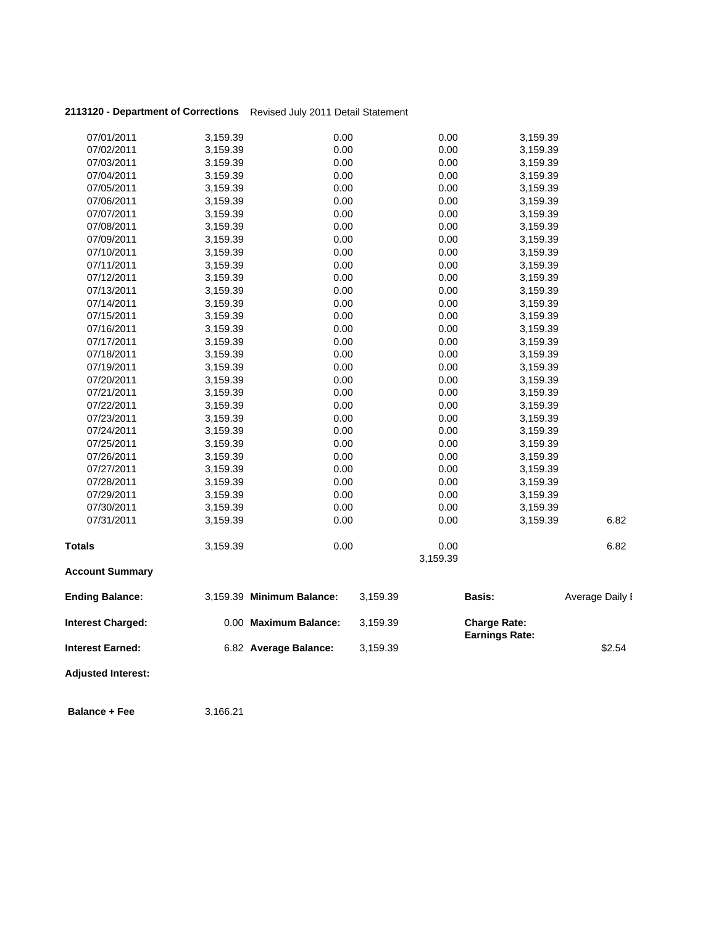## **2113120 - Department of Corrections** Revised July 2011 Detail Statement

| <b>Adjusted Interest:</b> |                      |                           |          |              |                       |                 |
|---------------------------|----------------------|---------------------------|----------|--------------|-----------------------|-----------------|
| <b>Interest Earned:</b>   |                      | 6.82 Average Balance:     | 3,159.39 |              | <b>Earnings Rate:</b> | \$2.54          |
| <b>Interest Charged:</b>  |                      | 0.00 Maximum Balance:     | 3,159.39 |              | <b>Charge Rate:</b>   |                 |
| <b>Ending Balance:</b>    |                      | 3,159.39 Minimum Balance: | 3,159.39 |              | <b>Basis:</b>         | Average Daily I |
| <b>Account Summary</b>    |                      |                           |          |              |                       |                 |
|                           |                      |                           |          | 3,159.39     |                       |                 |
| <b>Totals</b>             | 3,159.39             | 0.00                      |          | 0.00         |                       | 6.82            |
| 07/31/2011                | 3,159.39             | 0.00                      |          | 0.00         | 3,159.39              | 6.82            |
| 07/30/2011                | 3,159.39             | 0.00                      |          | 0.00         | 3,159.39              |                 |
| 07/29/2011                | 3,159.39             | 0.00                      |          | 0.00         | 3,159.39              |                 |
| 07/28/2011                | 3,159.39             | 0.00                      |          | 0.00         | 3,159.39              |                 |
| 07/27/2011                | 3,159.39             | 0.00                      |          | 0.00         | 3,159.39              |                 |
| 07/26/2011                | 3,159.39             | 0.00                      |          | 0.00         | 3,159.39              |                 |
| 07/25/2011                | 3,159.39             | 0.00                      |          | 0.00         | 3,159.39              |                 |
| 07/24/2011                | 3,159.39             | 0.00                      |          | 0.00         | 3,159.39              |                 |
| 07/23/2011                | 3,159.39             | 0.00                      |          | 0.00         | 3,159.39              |                 |
| 07/22/2011                | 3,159.39             | 0.00                      |          | 0.00         | 3,159.39              |                 |
| 07/21/2011                | 3,159.39             | 0.00                      |          | 0.00         | 3,159.39              |                 |
| 07/20/2011                | 3,159.39             | 0.00                      |          | 0.00         | 3,159.39              |                 |
| 07/19/2011                | 3,159.39             | 0.00                      |          | 0.00         | 3,159.39              |                 |
| 07/18/2011                | 3,159.39             | 0.00                      |          | 0.00         | 3,159.39              |                 |
| 07/17/2011                | 3,159.39             | 0.00                      |          | 0.00         | 3,159.39              |                 |
| 07/16/2011                | 3,159.39             | 0.00                      |          | 0.00         | 3,159.39              |                 |
| 07/15/2011                | 3,159.39             | 0.00                      |          | 0.00         | 3,159.39              |                 |
| 07/14/2011                | 3,159.39             | 0.00                      |          | 0.00         | 3,159.39              |                 |
| 07/13/2011                | 3,159.39             | 0.00                      |          | 0.00         | 3,159.39              |                 |
| 07/12/2011                | 3,159.39             | 0.00                      |          | 0.00         | 3,159.39              |                 |
| 07/11/2011                | 3,159.39             | 0.00                      |          | 0.00         | 3,159.39              |                 |
| 07/10/2011                | 3,159.39             | 0.00                      |          | 0.00         | 3,159.39              |                 |
| 07/09/2011                | 3,159.39             | 0.00                      |          | 0.00         | 3,159.39              |                 |
| 07/08/2011                | 3,159.39             | 0.00                      |          | 0.00         | 3,159.39              |                 |
| 07/07/2011                | 3,159.39             | 0.00                      |          | 0.00         | 3,159.39              |                 |
| 07/05/2011<br>07/06/2011  | 3,159.39<br>3,159.39 | 0.00<br>0.00              |          | 0.00<br>0.00 | 3,159.39<br>3,159.39  |                 |
| 07/04/2011                | 3,159.39             | 0.00                      |          | 0.00         | 3,159.39              |                 |
| 07/03/2011                | 3,159.39             | 0.00                      |          | 0.00         | 3,159.39              |                 |
| 07/02/2011                | 3,159.39             | 0.00                      |          | 0.00         | 3,159.39              |                 |
| 07/01/2011                | 3,159.39             | 0.00                      |          | 0.00         | 3,159.39              |                 |
|                           |                      |                           |          |              |                       |                 |

**Balance + Fee** 3,166.21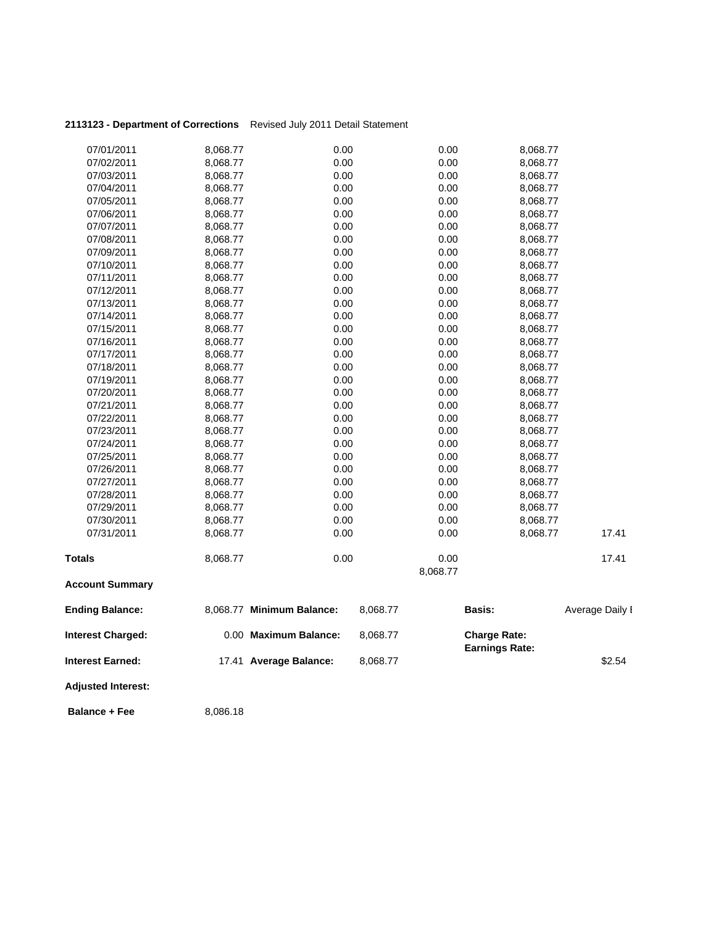| 2113123 - Department of Corrections Revised July 2011 Detail Statement |  |  |  |
|------------------------------------------------------------------------|--|--|--|
|------------------------------------------------------------------------|--|--|--|

| <b>Balance + Fee</b>      | 8,086.18             |                           |          |                  |                                              |                 |
|---------------------------|----------------------|---------------------------|----------|------------------|----------------------------------------------|-----------------|
| <b>Adjusted Interest:</b> |                      |                           |          |                  |                                              |                 |
| <b>Interest Earned:</b>   |                      | 17.41 Average Balance:    | 8,068.77 |                  |                                              | \$2.54          |
| <b>Interest Charged:</b>  |                      | 0.00 Maximum Balance:     | 8,068.77 |                  | <b>Charge Rate:</b><br><b>Earnings Rate:</b> |                 |
| <b>Ending Balance:</b>    |                      | 8,068.77 Minimum Balance: | 8,068.77 |                  | <b>Basis:</b>                                | Average Daily I |
| <b>Account Summary</b>    |                      |                           |          |                  |                                              |                 |
| <b>Totals</b>             | 8,068.77             | 0.00                      |          | 0.00<br>8,068.77 |                                              | 17.41           |
|                           |                      |                           |          |                  |                                              |                 |
| 07/31/2011                | 8,068.77<br>8,068.77 | 0.00                      |          | 0.00             | 8,068.77                                     | 17.41           |
| 07/30/2011                |                      | 0.00                      |          | 0.00             | 8,068.77                                     |                 |
| 07/28/2011<br>07/29/2011  | 8,068.77<br>8,068.77 | 0.00                      |          | 0.00             | 8,068.77<br>8,068.77                         |                 |
| 07/27/2011                | 8,068.77             | 0.00<br>0.00              |          | 0.00<br>0.00     | 8,068.77                                     |                 |
| 07/26/2011                | 8,068.77             | 0.00                      |          | 0.00             | 8,068.77                                     |                 |
| 07/25/2011                | 8,068.77             | 0.00                      |          | 0.00             | 8,068.77                                     |                 |
| 07/24/2011                | 8,068.77             | 0.00                      |          | 0.00             | 8,068.77                                     |                 |
| 07/23/2011                | 8,068.77             | 0.00                      |          | 0.00             | 8,068.77                                     |                 |
| 07/22/2011                | 8,068.77             | 0.00                      |          | 0.00             | 8,068.77                                     |                 |
| 07/21/2011                | 8,068.77             | 0.00                      |          | 0.00             | 8,068.77                                     |                 |
| 07/20/2011                | 8,068.77             | 0.00                      |          | 0.00             | 8,068.77                                     |                 |
| 07/19/2011                | 8,068.77             | 0.00                      |          | 0.00             | 8,068.77                                     |                 |
| 07/18/2011                | 8,068.77             | 0.00                      |          | 0.00             | 8,068.77                                     |                 |
| 07/17/2011                | 8,068.77             | 0.00                      |          | 0.00             | 8,068.77                                     |                 |
| 07/16/2011                | 8,068.77             | 0.00                      |          | 0.00             | 8,068.77                                     |                 |
| 07/15/2011                | 8,068.77             | 0.00                      |          | 0.00             | 8,068.77                                     |                 |
| 07/14/2011                | 8,068.77             | 0.00                      |          | 0.00             | 8,068.77                                     |                 |
| 07/13/2011                | 8,068.77             | 0.00                      |          | 0.00             | 8,068.77                                     |                 |
| 07/12/2011                | 8,068.77             | 0.00                      |          | 0.00             | 8,068.77                                     |                 |
| 07/11/2011                | 8,068.77             | 0.00                      |          | 0.00             | 8,068.77                                     |                 |
| 07/10/2011                | 8,068.77             | 0.00                      |          | 0.00             | 8,068.77                                     |                 |
| 07/09/2011                | 8,068.77             | 0.00                      |          | 0.00             | 8,068.77                                     |                 |
| 07/08/2011                | 8,068.77             | 0.00                      |          | 0.00             | 8,068.77                                     |                 |
| 07/07/2011                | 8,068.77             | 0.00                      |          | 0.00             | 8,068.77                                     |                 |
| 07/06/2011                | 8,068.77             | 0.00                      |          | 0.00             | 8,068.77                                     |                 |
| 07/05/2011                | 8,068.77             | 0.00                      |          | 0.00             | 8,068.77                                     |                 |
| 07/04/2011                | 8,068.77             | 0.00                      |          | 0.00             | 8,068.77                                     |                 |
| 07/03/2011                | 8,068.77             | 0.00                      |          | 0.00             | 8,068.77                                     |                 |
| 07/02/2011                | 8,068.77             | 0.00                      |          | 0.00             | 8,068.77                                     |                 |
| 07/01/2011                | 8,068.77             | 0.00                      |          | 0.00             | 8,068.77                                     |                 |
|                           |                      |                           |          |                  |                                              |                 |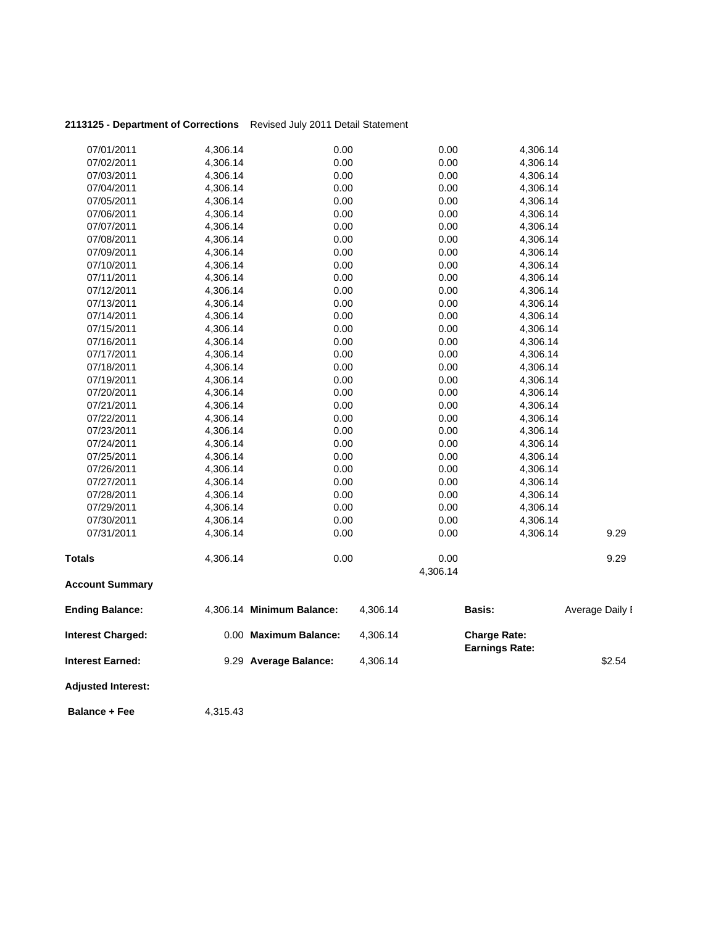| 2113125 - Department of Corrections Revised July 2011 Detail Statement |  |
|------------------------------------------------------------------------|--|
|                                                                        |  |

| 07/01/2011<br>07/02/2011  | 4,306.14<br>4,306.14 | 0.00<br>0.00              |          | 0.00<br>0.00 | 4,306.14<br>4,306.14                         |                 |
|---------------------------|----------------------|---------------------------|----------|--------------|----------------------------------------------|-----------------|
| 07/03/2011                | 4,306.14             | 0.00                      |          | 0.00         | 4,306.14                                     |                 |
| 07/04/2011                | 4,306.14             | 0.00                      |          | 0.00         | 4,306.14                                     |                 |
| 07/05/2011                | 4,306.14             | 0.00                      |          | 0.00         | 4,306.14                                     |                 |
| 07/06/2011                | 4,306.14             | 0.00                      |          | 0.00         | 4,306.14                                     |                 |
| 07/07/2011                | 4,306.14             | 0.00                      |          | 0.00         | 4,306.14                                     |                 |
| 07/08/2011                | 4,306.14             | 0.00                      |          | 0.00         | 4,306.14                                     |                 |
| 07/09/2011                | 4,306.14             | 0.00                      |          | 0.00         | 4,306.14                                     |                 |
| 07/10/2011                | 4,306.14             | 0.00                      |          | 0.00         | 4,306.14                                     |                 |
| 07/11/2011                | 4,306.14             | 0.00                      |          | 0.00         | 4,306.14                                     |                 |
| 07/12/2011                | 4,306.14             | 0.00                      |          | 0.00         | 4,306.14                                     |                 |
| 07/13/2011                | 4,306.14             | 0.00                      |          | 0.00         | 4,306.14                                     |                 |
| 07/14/2011                | 4,306.14             | 0.00                      |          | 0.00         | 4,306.14                                     |                 |
| 07/15/2011                | 4,306.14             | 0.00                      |          | 0.00         | 4,306.14                                     |                 |
| 07/16/2011                | 4,306.14             | 0.00                      |          | 0.00         | 4,306.14                                     |                 |
| 07/17/2011                | 4,306.14             | 0.00                      |          | 0.00         | 4,306.14                                     |                 |
| 07/18/2011                | 4,306.14             | 0.00                      |          | 0.00         | 4,306.14                                     |                 |
| 07/19/2011                | 4,306.14             | 0.00                      |          | 0.00         | 4,306.14                                     |                 |
| 07/20/2011                | 4,306.14             | 0.00                      |          | 0.00         | 4,306.14                                     |                 |
| 07/21/2011                | 4,306.14             | 0.00                      |          | 0.00         | 4,306.14                                     |                 |
| 07/22/2011                | 4,306.14             | 0.00                      |          | 0.00         | 4,306.14                                     |                 |
| 07/23/2011                | 4,306.14             | 0.00                      |          | 0.00         | 4,306.14                                     |                 |
| 07/24/2011                | 4,306.14             | 0.00                      |          | 0.00         | 4,306.14                                     |                 |
| 07/25/2011                | 4,306.14             | 0.00                      |          | 0.00         | 4,306.14                                     |                 |
| 07/26/2011                | 4,306.14             | 0.00                      |          | 0.00         | 4,306.14                                     |                 |
| 07/27/2011                | 4,306.14             | 0.00                      |          | 0.00         | 4,306.14                                     |                 |
| 07/28/2011                | 4,306.14             | 0.00                      |          | 0.00         | 4,306.14                                     |                 |
| 07/29/2011                | 4,306.14             | 0.00                      |          | 0.00         | 4,306.14                                     |                 |
| 07/30/2011                | 4,306.14             | 0.00                      |          | 0.00         | 4,306.14                                     |                 |
| 07/31/2011                | 4,306.14             | 0.00                      |          | 0.00         | 4,306.14                                     | 9.29            |
| <b>Totals</b>             | 4,306.14             | 0.00                      |          | 0.00         |                                              | 9.29            |
|                           |                      |                           |          | 4,306.14     |                                              |                 |
| <b>Account Summary</b>    |                      |                           |          |              |                                              |                 |
| <b>Ending Balance:</b>    |                      | 4,306.14 Minimum Balance: | 4,306.14 |              | Basis:                                       | Average Daily I |
| <b>Interest Charged:</b>  |                      | 0.00 Maximum Balance:     | 4,306.14 |              | <b>Charge Rate:</b><br><b>Earnings Rate:</b> |                 |
| <b>Interest Earned:</b>   |                      | 9.29 Average Balance:     | 4,306.14 |              |                                              | \$2.54          |
| <b>Adjusted Interest:</b> |                      |                           |          |              |                                              |                 |
|                           |                      |                           |          |              |                                              |                 |

**Balance + Fee** 4,315.43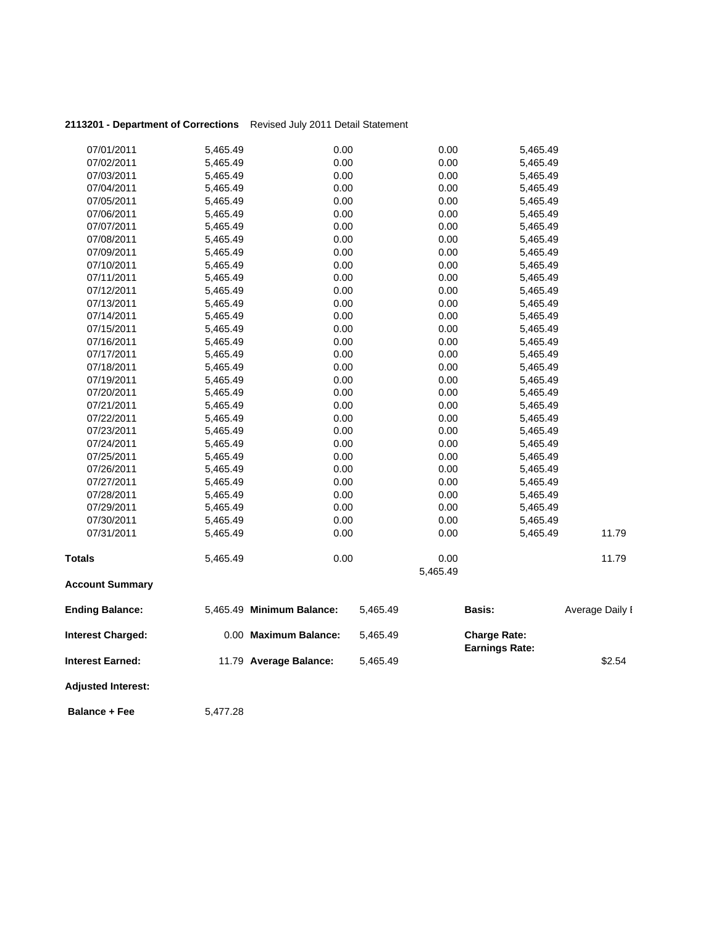| 2113201 - Department of Corrections Revised July 2011 Detail Statement |  |
|------------------------------------------------------------------------|--|
|                                                                        |  |

| 07/01/2011                | 5,465.49 | 0.00                      |          | 0.00     | 5,465.49              |                 |
|---------------------------|----------|---------------------------|----------|----------|-----------------------|-----------------|
| 07/02/2011                | 5,465.49 | 0.00                      |          | 0.00     | 5,465.49              |                 |
| 07/03/2011                | 5,465.49 | 0.00                      |          | 0.00     | 5,465.49              |                 |
| 07/04/2011                | 5,465.49 | 0.00                      |          | 0.00     | 5,465.49              |                 |
| 07/05/2011                | 5,465.49 | 0.00                      |          | 0.00     | 5,465.49              |                 |
| 07/06/2011                | 5,465.49 | 0.00                      |          | 0.00     | 5,465.49              |                 |
| 07/07/2011                | 5,465.49 | 0.00                      |          | 0.00     | 5,465.49              |                 |
| 07/08/2011                | 5,465.49 | 0.00                      |          | 0.00     | 5,465.49              |                 |
| 07/09/2011                | 5,465.49 | 0.00                      |          | 0.00     | 5,465.49              |                 |
| 07/10/2011                | 5,465.49 | 0.00                      |          | 0.00     | 5,465.49              |                 |
| 07/11/2011                | 5,465.49 | 0.00                      |          | 0.00     | 5,465.49              |                 |
| 07/12/2011                | 5,465.49 | 0.00                      |          | 0.00     | 5,465.49              |                 |
| 07/13/2011                | 5,465.49 | 0.00                      |          | 0.00     | 5,465.49              |                 |
| 07/14/2011                | 5,465.49 | 0.00                      |          | 0.00     | 5,465.49              |                 |
| 07/15/2011                | 5,465.49 | 0.00                      |          | 0.00     | 5,465.49              |                 |
| 07/16/2011                | 5,465.49 | 0.00                      |          | 0.00     | 5,465.49              |                 |
| 07/17/2011                | 5,465.49 | 0.00                      |          | 0.00     | 5,465.49              |                 |
| 07/18/2011                | 5,465.49 | 0.00                      |          | 0.00     | 5,465.49              |                 |
| 07/19/2011                | 5,465.49 | 0.00                      |          | 0.00     | 5,465.49              |                 |
| 07/20/2011                | 5,465.49 | 0.00                      |          | 0.00     | 5,465.49              |                 |
| 07/21/2011                | 5,465.49 | 0.00                      |          | 0.00     | 5,465.49              |                 |
| 07/22/2011                | 5,465.49 | 0.00                      |          | 0.00     | 5,465.49              |                 |
| 07/23/2011                | 5,465.49 | 0.00                      |          | 0.00     | 5,465.49              |                 |
| 07/24/2011                | 5,465.49 | 0.00                      |          | 0.00     | 5,465.49              |                 |
| 07/25/2011                | 5,465.49 | 0.00                      |          | 0.00     | 5,465.49              |                 |
| 07/26/2011                | 5,465.49 | 0.00                      |          | 0.00     | 5,465.49              |                 |
| 07/27/2011                | 5,465.49 | 0.00                      |          | 0.00     | 5,465.49              |                 |
| 07/28/2011                | 5,465.49 | 0.00                      |          | 0.00     | 5,465.49              |                 |
| 07/29/2011                | 5,465.49 | 0.00                      |          | 0.00     | 5,465.49              |                 |
| 07/30/2011                | 5,465.49 | 0.00                      |          | 0.00     | 5,465.49              |                 |
| 07/31/2011                | 5,465.49 | 0.00                      |          | 0.00     | 5,465.49              | 11.79           |
| <b>Totals</b>             | 5,465.49 | 0.00                      |          | 0.00     |                       | 11.79           |
|                           |          |                           |          | 5,465.49 |                       |                 |
| <b>Account Summary</b>    |          |                           |          |          |                       |                 |
| <b>Ending Balance:</b>    |          | 5,465.49 Minimum Balance: | 5,465.49 |          | Basis:                | Average Daily I |
| <b>Interest Charged:</b>  |          | 0.00 Maximum Balance:     | 5,465.49 |          | <b>Charge Rate:</b>   |                 |
| <b>Interest Earned:</b>   |          | 11.79 Average Balance:    | 5,465.49 |          | <b>Earnings Rate:</b> | \$2.54          |
|                           |          |                           |          |          |                       |                 |
| <b>Adjusted Interest:</b> |          |                           |          |          |                       |                 |
| <b>Balance + Fee</b>      | 5,477.28 |                           |          |          |                       |                 |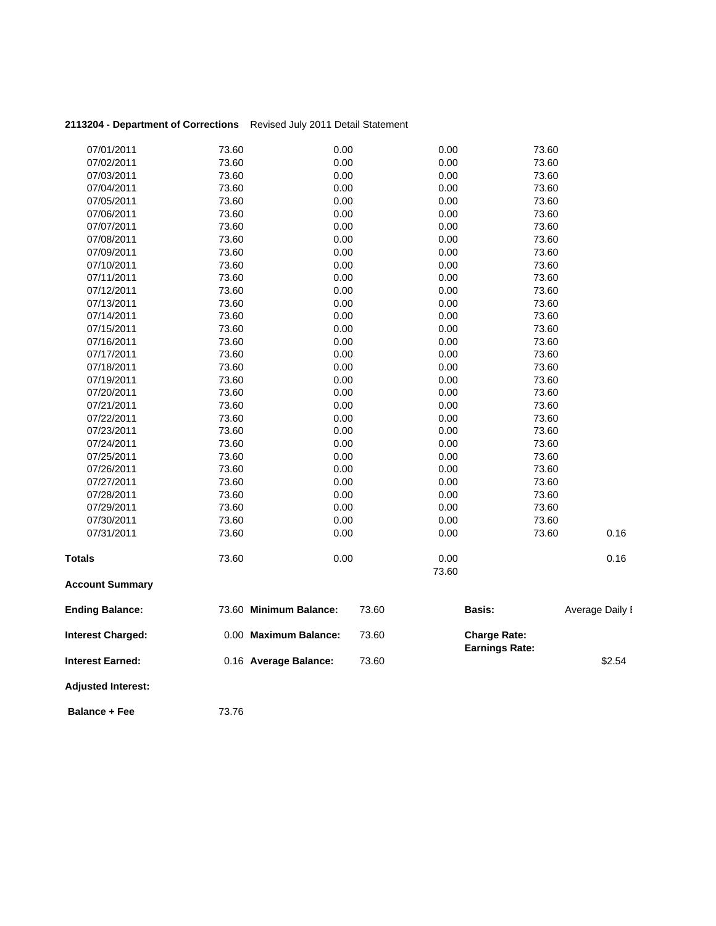| 2113204 - Department of Corrections Revised July 2011 Detail Statement |       |                        |       |               |                                              |                 |
|------------------------------------------------------------------------|-------|------------------------|-------|---------------|----------------------------------------------|-----------------|
| 07/01/2011                                                             | 73.60 | 0.00                   |       | 0.00          | 73.60                                        |                 |
| 07/02/2011                                                             | 73.60 | 0.00                   |       | 0.00          | 73.60                                        |                 |
| 07/03/2011                                                             | 73.60 | 0.00                   |       | 0.00          | 73.60                                        |                 |
| 07/04/2011                                                             | 73.60 | 0.00                   |       | 0.00          | 73.60                                        |                 |
| 07/05/2011                                                             | 73.60 | 0.00                   |       | 0.00          | 73.60                                        |                 |
| 07/06/2011                                                             | 73.60 | 0.00                   |       | 0.00          | 73.60                                        |                 |
| 07/07/2011                                                             | 73.60 | 0.00                   |       | 0.00          | 73.60                                        |                 |
| 07/08/2011                                                             | 73.60 | 0.00                   |       | 0.00          | 73.60                                        |                 |
| 07/09/2011                                                             | 73.60 | 0.00                   |       | 0.00          | 73.60                                        |                 |
| 07/10/2011                                                             | 73.60 | 0.00                   |       | 0.00          | 73.60                                        |                 |
| 07/11/2011                                                             | 73.60 | 0.00                   |       | 0.00          | 73.60                                        |                 |
| 07/12/2011                                                             | 73.60 | 0.00                   |       | 0.00          | 73.60                                        |                 |
| 07/13/2011                                                             | 73.60 | 0.00                   |       | 0.00          | 73.60                                        |                 |
| 07/14/2011                                                             | 73.60 | 0.00                   |       | 0.00          | 73.60                                        |                 |
| 07/15/2011                                                             | 73.60 | 0.00                   |       | 0.00          | 73.60                                        |                 |
| 07/16/2011                                                             | 73.60 | 0.00                   |       | 0.00          | 73.60                                        |                 |
| 07/17/2011                                                             | 73.60 | 0.00                   |       | 0.00          | 73.60                                        |                 |
| 07/18/2011                                                             | 73.60 | 0.00                   |       | 0.00          | 73.60                                        |                 |
| 07/19/2011                                                             | 73.60 | 0.00                   |       | 0.00          | 73.60                                        |                 |
| 07/20/2011                                                             | 73.60 | 0.00                   |       | 0.00          | 73.60                                        |                 |
| 07/21/2011                                                             | 73.60 | 0.00                   |       | 0.00          | 73.60                                        |                 |
| 07/22/2011                                                             | 73.60 | 0.00                   |       | 0.00          | 73.60                                        |                 |
| 07/23/2011                                                             | 73.60 | 0.00                   |       | 0.00          | 73.60                                        |                 |
| 07/24/2011                                                             | 73.60 | 0.00                   |       | 0.00          | 73.60                                        |                 |
| 07/25/2011                                                             | 73.60 | 0.00                   |       | 0.00          | 73.60                                        |                 |
| 07/26/2011                                                             | 73.60 | 0.00                   |       | 0.00          | 73.60                                        |                 |
| 07/27/2011                                                             | 73.60 | 0.00                   |       | 0.00          | 73.60                                        |                 |
| 07/28/2011                                                             | 73.60 | 0.00                   |       | 0.00          | 73.60                                        |                 |
| 07/29/2011                                                             | 73.60 | 0.00                   |       | 0.00          | 73.60                                        |                 |
| 07/30/2011                                                             | 73.60 | 0.00                   |       | 0.00          | 73.60                                        |                 |
| 07/31/2011                                                             | 73.60 | 0.00                   |       | 0.00          | 73.60                                        | 0.16            |
| <b>Totals</b>                                                          | 73.60 | 0.00                   |       | 0.00<br>73.60 |                                              | 0.16            |
| <b>Account Summary</b>                                                 |       |                        |       |               |                                              |                 |
| <b>Ending Balance:</b>                                                 |       | 73.60 Minimum Balance: | 73.60 |               | Basis:                                       | Average Daily I |
| <b>Interest Charged:</b>                                               |       | 0.00 Maximum Balance:  | 73.60 |               | <b>Charge Rate:</b><br><b>Earnings Rate:</b> |                 |
| <b>Interest Earned:</b>                                                |       | 0.16 Average Balance:  | 73.60 |               |                                              | \$2.54          |
| <b>Adjusted Interest:</b>                                              |       |                        |       |               |                                              |                 |

**Balance + Fee** 73.76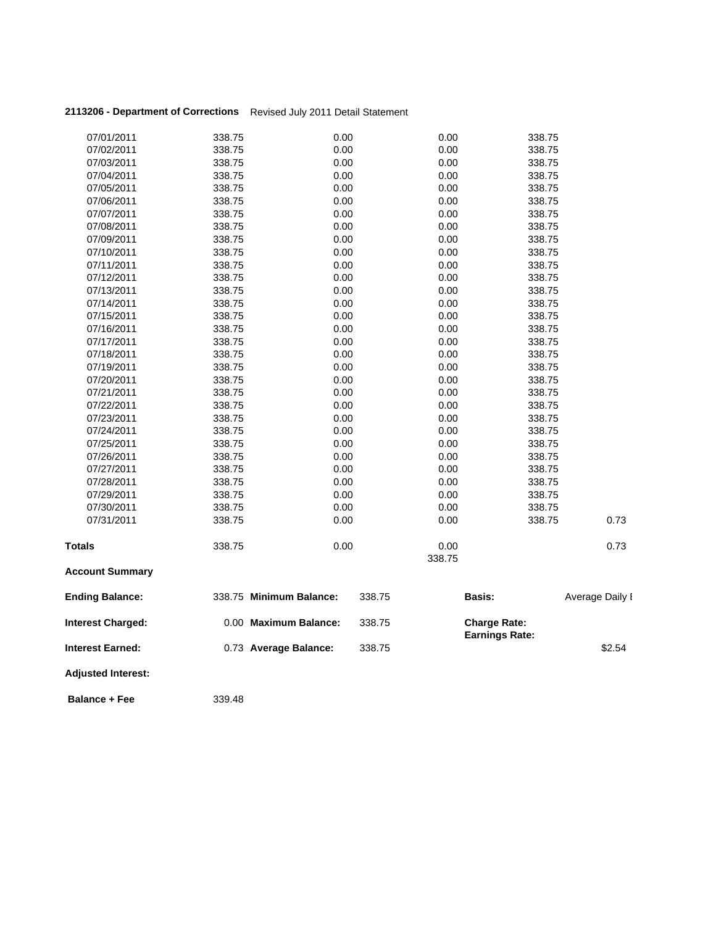| 2113206 - Department of Corrections Revised July 2011 Detail Statement |  |
|------------------------------------------------------------------------|--|
|                                                                        |  |

| 07/01/2011                | 338.75 | 0.00                    | 0.00   | 338.75                                       |                 |
|---------------------------|--------|-------------------------|--------|----------------------------------------------|-----------------|
| 07/02/2011                | 338.75 | 0.00                    | 0.00   | 338.75                                       |                 |
| 07/03/2011                | 338.75 | 0.00                    | 0.00   | 338.75                                       |                 |
| 07/04/2011                | 338.75 | 0.00                    | 0.00   | 338.75                                       |                 |
| 07/05/2011                | 338.75 | 0.00                    | 0.00   | 338.75                                       |                 |
| 07/06/2011                | 338.75 | 0.00                    | 0.00   | 338.75                                       |                 |
| 07/07/2011                | 338.75 | 0.00                    | 0.00   | 338.75                                       |                 |
| 07/08/2011                | 338.75 | 0.00                    | 0.00   | 338.75                                       |                 |
| 07/09/2011                | 338.75 | 0.00                    | 0.00   | 338.75                                       |                 |
| 07/10/2011                | 338.75 | 0.00                    | 0.00   | 338.75                                       |                 |
| 07/11/2011                | 338.75 | 0.00                    | 0.00   | 338.75                                       |                 |
| 07/12/2011                | 338.75 | 0.00                    | 0.00   | 338.75                                       |                 |
| 07/13/2011                | 338.75 | 0.00                    | 0.00   | 338.75                                       |                 |
| 07/14/2011                | 338.75 | 0.00                    | 0.00   | 338.75                                       |                 |
| 07/15/2011                | 338.75 | 0.00                    | 0.00   | 338.75                                       |                 |
| 07/16/2011                | 338.75 | 0.00                    | 0.00   | 338.75                                       |                 |
| 07/17/2011                | 338.75 | 0.00                    | 0.00   | 338.75                                       |                 |
| 07/18/2011                | 338.75 | 0.00                    | 0.00   | 338.75                                       |                 |
| 07/19/2011                | 338.75 | 0.00                    | 0.00   | 338.75                                       |                 |
| 07/20/2011                | 338.75 | 0.00                    | 0.00   | 338.75                                       |                 |
| 07/21/2011                | 338.75 | 0.00                    | 0.00   | 338.75                                       |                 |
| 07/22/2011                | 338.75 | 0.00                    | 0.00   | 338.75                                       |                 |
| 07/23/2011                | 338.75 | 0.00                    | 0.00   | 338.75                                       |                 |
| 07/24/2011                | 338.75 | 0.00                    | 0.00   | 338.75                                       |                 |
| 07/25/2011                | 338.75 | 0.00                    | 0.00   | 338.75                                       |                 |
| 07/26/2011                | 338.75 | 0.00                    | 0.00   | 338.75                                       |                 |
| 07/27/2011                | 338.75 | 0.00                    | 0.00   | 338.75                                       |                 |
| 07/28/2011                | 338.75 | 0.00                    | 0.00   | 338.75                                       |                 |
| 07/29/2011                | 338.75 | 0.00                    | 0.00   | 338.75                                       |                 |
| 07/30/2011                | 338.75 | 0.00                    | 0.00   | 338.75                                       |                 |
| 07/31/2011                | 338.75 | 0.00                    | 0.00   | 338.75                                       | 0.73            |
| <b>Totals</b>             | 338.75 | 0.00                    | 0.00   |                                              | 0.73            |
| <b>Account Summary</b>    |        |                         | 338.75 |                                              |                 |
| <b>Ending Balance:</b>    |        | 338.75 Minimum Balance: | 338.75 | Basis:                                       | Average Daily I |
| <b>Interest Charged:</b>  |        | 0.00 Maximum Balance:   | 338.75 | <b>Charge Rate:</b><br><b>Earnings Rate:</b> |                 |
| <b>Interest Earned:</b>   |        | 0.73 Average Balance:   | 338.75 |                                              | \$2.54          |
| <b>Adjusted Interest:</b> |        |                         |        |                                              |                 |

**Balance + Fee** 339.48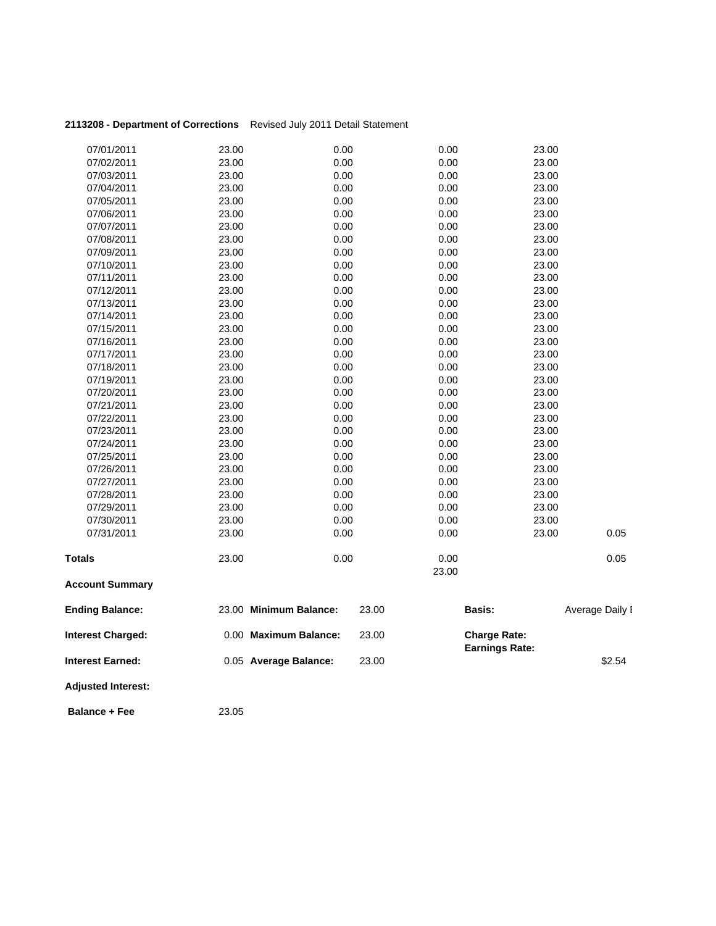| <b>Adjusted Interest:</b>                           |       |                                                |                |               |                                              |                 |
|-----------------------------------------------------|-------|------------------------------------------------|----------------|---------------|----------------------------------------------|-----------------|
| <b>Interest Charged:</b><br><b>Interest Earned:</b> |       | 0.00 Maximum Balance:<br>0.05 Average Balance: | 23.00<br>23.00 |               | <b>Charge Rate:</b><br><b>Earnings Rate:</b> | \$2.54          |
| <b>Ending Balance:</b>                              |       | 23.00 Minimum Balance:                         | 23.00          |               | Basis:                                       | Average Daily I |
| <b>Account Summary</b>                              |       |                                                |                |               |                                              |                 |
| Totals                                              | 23.00 | 0.00                                           |                | 0.00<br>23.00 |                                              | 0.05            |
| 07/31/2011                                          | 23.00 | 0.00                                           |                | 0.00          | 23.00                                        | 0.05            |
| 07/30/2011                                          | 23.00 | 0.00                                           |                | 0.00          | 23.00                                        |                 |
| 07/29/2011                                          | 23.00 | 0.00                                           |                | 0.00          | 23.00                                        |                 |
| 07/28/2011                                          | 23.00 | 0.00                                           |                | 0.00          | 23.00                                        |                 |
| 07/27/2011                                          | 23.00 | 0.00                                           |                | 0.00          | 23.00                                        |                 |
| 07/26/2011                                          | 23.00 | 0.00                                           |                | 0.00          | 23.00                                        |                 |
| 07/25/2011                                          | 23.00 | 0.00                                           |                | 0.00          | 23.00                                        |                 |
| 07/24/2011                                          | 23.00 | 0.00                                           |                | 0.00          | 23.00                                        |                 |
| 07/23/2011                                          | 23.00 | 0.00                                           |                | 0.00          | 23.00                                        |                 |
| 07/22/2011                                          | 23.00 | 0.00                                           |                | 0.00          | 23.00                                        |                 |
| 07/21/2011                                          | 23.00 | 0.00                                           |                | 0.00          | 23.00                                        |                 |
| 07/20/2011                                          | 23.00 | 0.00                                           |                | 0.00          | 23.00                                        |                 |
| 07/19/2011                                          | 23.00 | 0.00                                           |                | 0.00          | 23.00                                        |                 |
| 07/18/2011                                          | 23.00 | 0.00                                           |                | 0.00          | 23.00                                        |                 |
| 07/17/2011                                          | 23.00 | 0.00                                           |                | 0.00          | 23.00                                        |                 |
| 07/16/2011                                          | 23.00 | 0.00                                           |                | 0.00          | 23.00                                        |                 |
| 07/15/2011                                          | 23.00 | 0.00                                           |                | 0.00          | 23.00                                        |                 |
| 07/14/2011                                          | 23.00 | 0.00                                           |                | 0.00          | 23.00                                        |                 |
| 07/13/2011                                          | 23.00 | 0.00                                           |                | 0.00          | 23.00                                        |                 |
| 07/12/2011                                          | 23.00 | 0.00                                           |                | 0.00          | 23.00                                        |                 |
| 07/11/2011                                          | 23.00 | 0.00                                           |                | 0.00          | 23.00                                        |                 |
| 07/10/2011                                          | 23.00 | 0.00                                           |                | 0.00          | 23.00                                        |                 |
| 07/09/2011                                          | 23.00 | 0.00                                           |                | 0.00          | 23.00                                        |                 |
| 07/08/2011                                          | 23.00 | 0.00                                           |                | 0.00          | 23.00                                        |                 |
| 07/07/2011                                          | 23.00 | 0.00                                           |                | 0.00          | 23.00                                        |                 |
| 07/06/2011                                          | 23.00 | 0.00                                           |                | 0.00          | 23.00                                        |                 |
| 07/05/2011                                          | 23.00 | 0.00                                           |                | 0.00          | 23.00                                        |                 |
| 07/04/2011                                          | 23.00 | 0.00                                           |                | 0.00          | 23.00                                        |                 |
| 07/03/2011                                          | 23.00 | 0.00                                           |                | 0.00          | 23.00                                        |                 |
| 07/02/2011                                          | 23.00 | 0.00                                           |                | 0.00          | 23.00                                        |                 |
| 07/01/2011                                          | 23.00 | 0.00                                           |                | 0.00          | 23.00                                        |                 |
|                                                     |       |                                                |                |               |                                              |                 |

**Balance + Fee** 23.05

### **2113208 - Department of Corrections** Revised July 2011 Detail Statement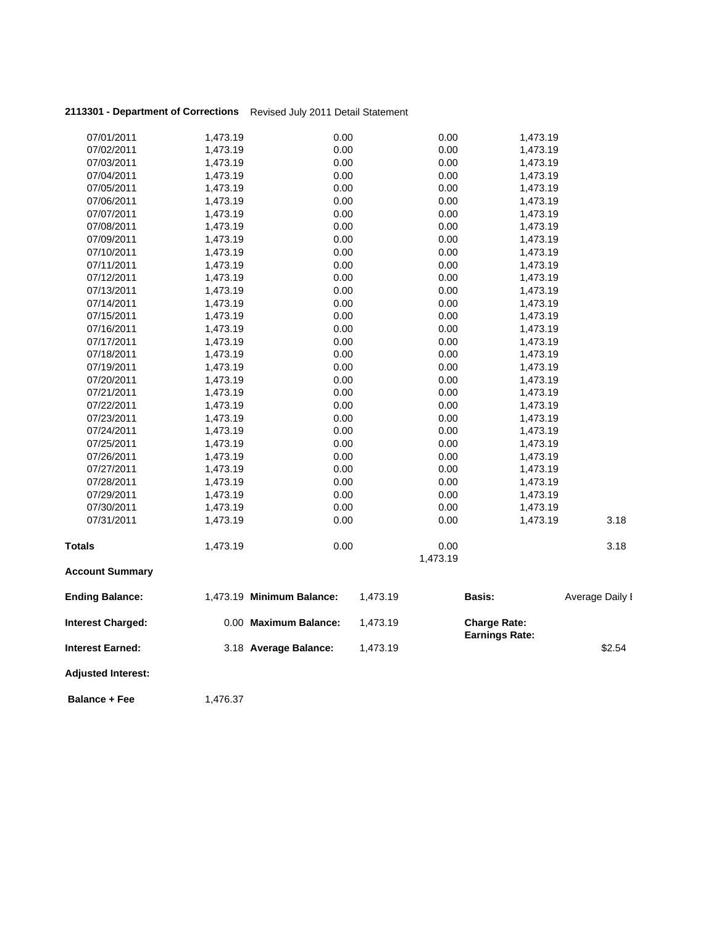## **2113301 - Department of Corrections** Revised July 2011 Detail Statement

| <b>Adjusted Interest:</b> |                      |                           |          |              |                                              |                 |
|---------------------------|----------------------|---------------------------|----------|--------------|----------------------------------------------|-----------------|
| <b>Interest Earned:</b>   |                      | 3.18 Average Balance:     | 1,473.19 |              |                                              | \$2.54          |
| <b>Interest Charged:</b>  |                      | 0.00 Maximum Balance:     | 1,473.19 |              | <b>Charge Rate:</b><br><b>Earnings Rate:</b> |                 |
| <b>Ending Balance:</b>    |                      | 1,473.19 Minimum Balance: | 1,473.19 |              | <b>Basis:</b>                                | Average Daily I |
| <b>Account Summary</b>    |                      |                           |          |              |                                              |                 |
|                           |                      |                           |          | 1,473.19     |                                              |                 |
| <b>Totals</b>             | 1,473.19             | 0.00                      |          | 0.00         |                                              | 3.18            |
| 07/31/2011                | 1,473.19             | 0.00                      |          | 0.00         | 1,473.19                                     | 3.18            |
| 07/30/2011                | 1,473.19             | 0.00                      |          | 0.00         | 1,473.19                                     |                 |
| 07/29/2011                | 1,473.19             | 0.00                      |          | 0.00         | 1,473.19                                     |                 |
| 07/28/2011                | 1,473.19             | 0.00                      |          | 0.00         | 1,473.19                                     |                 |
| 07/27/2011                | 1,473.19             | 0.00                      |          | 0.00         | 1,473.19                                     |                 |
| 07/26/2011                | 1,473.19             | 0.00                      |          | 0.00         | 1,473.19                                     |                 |
| 07/25/2011                | 1,473.19             | 0.00                      |          | 0.00         | 1,473.19                                     |                 |
| 07/24/2011                | 1,473.19             | 0.00                      |          | 0.00         | 1,473.19                                     |                 |
| 07/23/2011                | 1,473.19             | 0.00                      |          | 0.00         | 1,473.19                                     |                 |
| 07/22/2011                | 1,473.19             | 0.00                      |          | 0.00         | 1,473.19                                     |                 |
| 07/21/2011                | 1,473.19             | 0.00                      |          | 0.00         | 1,473.19                                     |                 |
| 07/20/2011                | 1,473.19             | 0.00                      |          | 0.00         | 1,473.19                                     |                 |
| 07/19/2011                | 1,473.19             | 0.00                      |          | 0.00         | 1,473.19                                     |                 |
| 07/18/2011                | 1,473.19             | 0.00                      |          | 0.00         | 1,473.19                                     |                 |
| 07/17/2011                | 1,473.19             | 0.00                      |          | 0.00         | 1,473.19                                     |                 |
| 07/16/2011                | 1,473.19             | 0.00                      |          | 0.00         | 1,473.19                                     |                 |
| 07/15/2011                | 1,473.19             | 0.00                      |          | 0.00         | 1,473.19                                     |                 |
| 07/14/2011                | 1,473.19             | 0.00                      |          | 0.00         | 1,473.19                                     |                 |
| 07/13/2011                | 1,473.19             | 0.00                      |          | 0.00         | 1,473.19                                     |                 |
| 07/12/2011                | 1,473.19             | 0.00                      |          | 0.00         | 1,473.19                                     |                 |
| 07/11/2011                | 1,473.19             | 0.00                      |          | 0.00         | 1,473.19                                     |                 |
| 07/10/2011                | 1,473.19             | 0.00                      |          | 0.00         | 1,473.19                                     |                 |
| 07/09/2011                | 1,473.19             | 0.00                      |          | 0.00         | 1,473.19                                     |                 |
| 07/08/2011                | 1,473.19             | 0.00                      |          | 0.00         | 1,473.19                                     |                 |
| 07/07/2011                | 1,473.19             | 0.00                      |          | 0.00         | 1,473.19                                     |                 |
| 07/06/2011                | 1,473.19             | 0.00                      |          | 0.00         | 1,473.19                                     |                 |
| 07/05/2011                | 1,473.19             | 0.00                      |          | 0.00         | 1,473.19                                     |                 |
| 07/03/2011<br>07/04/2011  | 1,473.19<br>1,473.19 | 0.00                      |          | 0.00         | 1,473.19<br>1,473.19                         |                 |
|                           |                      | 0.00                      |          | 0.00         |                                              |                 |
| 07/01/2011<br>07/02/2011  | 1,473.19<br>1,473.19 | 0.00                      |          | 0.00<br>0.00 | 1,473.19<br>1,473.19                         |                 |
|                           |                      | 0.00                      |          |              |                                              |                 |

**Balance + Fee** 1,476.37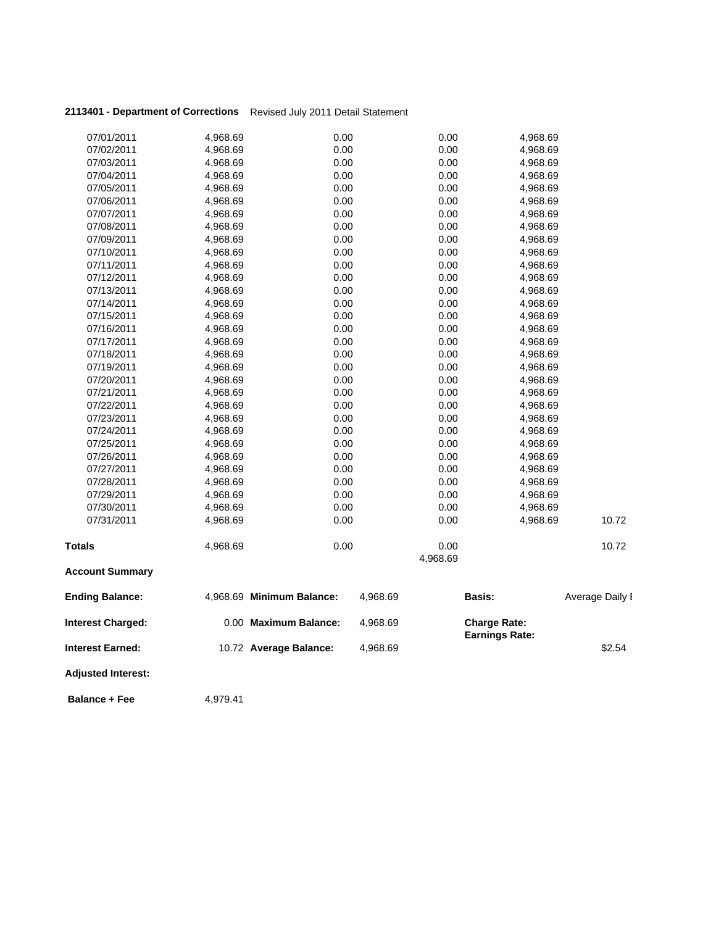## **2113401 - Department of Corrections** Revised July 2011 Detail Statement

| 07/01/2011                | 4,968.69 | 0.00                      |          | 0.00     | 4,968.69                                     |                 |
|---------------------------|----------|---------------------------|----------|----------|----------------------------------------------|-----------------|
| 07/02/2011                | 4,968.69 | 0.00                      |          | 0.00     | 4,968.69                                     |                 |
| 07/03/2011                | 4,968.69 | 0.00                      |          | 0.00     | 4,968.69                                     |                 |
| 07/04/2011                | 4,968.69 | 0.00                      |          | 0.00     | 4,968.69                                     |                 |
| 07/05/2011                | 4,968.69 | 0.00                      |          | 0.00     | 4,968.69                                     |                 |
| 07/06/2011                | 4,968.69 | 0.00                      |          | 0.00     | 4,968.69                                     |                 |
| 07/07/2011                | 4,968.69 | 0.00                      |          | 0.00     | 4,968.69                                     |                 |
| 07/08/2011                | 4,968.69 | 0.00                      |          | 0.00     | 4,968.69                                     |                 |
| 07/09/2011                | 4,968.69 | 0.00                      |          | 0.00     | 4,968.69                                     |                 |
| 07/10/2011                | 4,968.69 | 0.00                      |          | 0.00     | 4,968.69                                     |                 |
| 07/11/2011                | 4,968.69 | 0.00                      |          | 0.00     | 4,968.69                                     |                 |
| 07/12/2011                | 4,968.69 | 0.00                      |          | 0.00     | 4,968.69                                     |                 |
| 07/13/2011                | 4,968.69 | 0.00                      |          | 0.00     | 4,968.69                                     |                 |
| 07/14/2011                | 4,968.69 | 0.00                      |          | 0.00     | 4,968.69                                     |                 |
| 07/15/2011                | 4,968.69 | 0.00                      |          | 0.00     | 4,968.69                                     |                 |
| 07/16/2011                | 4,968.69 | 0.00                      |          | 0.00     | 4,968.69                                     |                 |
| 07/17/2011                | 4,968.69 | 0.00                      |          | 0.00     | 4,968.69                                     |                 |
| 07/18/2011                | 4,968.69 | 0.00                      |          | 0.00     | 4,968.69                                     |                 |
| 07/19/2011                | 4,968.69 | 0.00                      |          | 0.00     | 4,968.69                                     |                 |
| 07/20/2011                | 4,968.69 | 0.00                      |          | 0.00     | 4,968.69                                     |                 |
| 07/21/2011                | 4,968.69 | 0.00                      |          | 0.00     | 4,968.69                                     |                 |
| 07/22/2011                | 4,968.69 | 0.00                      |          | 0.00     | 4,968.69                                     |                 |
| 07/23/2011                | 4,968.69 | 0.00                      |          | 0.00     | 4,968.69                                     |                 |
| 07/24/2011                | 4,968.69 | 0.00                      |          | 0.00     | 4,968.69                                     |                 |
| 07/25/2011                | 4,968.69 | 0.00                      |          | 0.00     | 4,968.69                                     |                 |
| 07/26/2011                | 4,968.69 | 0.00                      |          | 0.00     | 4,968.69                                     |                 |
| 07/27/2011                | 4,968.69 | 0.00                      |          | 0.00     | 4,968.69                                     |                 |
| 07/28/2011                | 4,968.69 | 0.00                      |          | 0.00     | 4,968.69                                     |                 |
| 07/29/2011                | 4,968.69 | 0.00                      |          | 0.00     | 4,968.69                                     |                 |
| 07/30/2011                | 4,968.69 | 0.00                      |          | 0.00     | 4,968.69                                     |                 |
| 07/31/2011                | 4,968.69 | 0.00                      |          | 0.00     | 4,968.69                                     | 10.72           |
| <b>Totals</b>             | 4,968.69 | 0.00                      |          | 0.00     |                                              | 10.72           |
| <b>Account Summary</b>    |          |                           |          | 4,968.69 |                                              |                 |
|                           |          |                           |          |          |                                              |                 |
| <b>Ending Balance:</b>    |          | 4,968.69 Minimum Balance: | 4,968.69 |          | <b>Basis:</b>                                | Average Daily I |
| <b>Interest Charged:</b>  |          | 0.00 Maximum Balance:     | 4,968.69 |          | <b>Charge Rate:</b><br><b>Earnings Rate:</b> |                 |
| <b>Interest Earned:</b>   |          | 10.72 Average Balance:    | 4,968.69 |          |                                              | \$2.54          |
| <b>Adjusted Interest:</b> |          |                           |          |          |                                              |                 |

**Balance + Fee** 4,979.41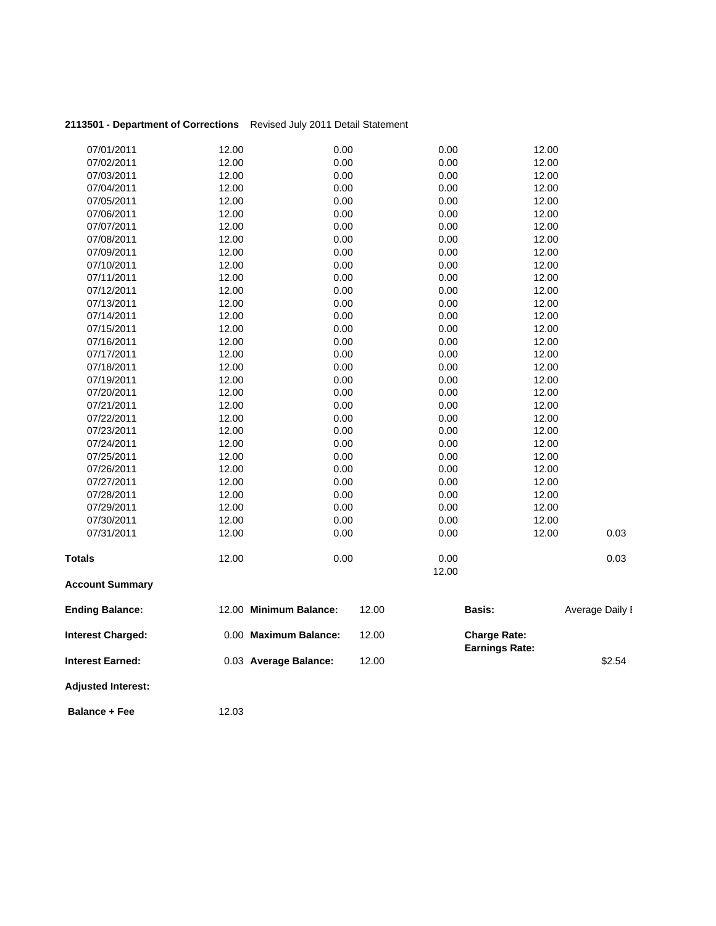| 2113501 - Department of Corrections |       | Revised July 2011 Detail Statement |       |       |                                              |                 |
|-------------------------------------|-------|------------------------------------|-------|-------|----------------------------------------------|-----------------|
| 07/01/2011                          | 12.00 | 0.00                               |       | 0.00  | 12.00                                        |                 |
| 07/02/2011                          | 12.00 | 0.00                               |       | 0.00  | 12.00                                        |                 |
| 07/03/2011                          | 12.00 | 0.00                               |       | 0.00  | 12.00                                        |                 |
| 07/04/2011                          | 12.00 | 0.00                               |       | 0.00  | 12.00                                        |                 |
| 07/05/2011                          | 12.00 | 0.00                               |       | 0.00  | 12.00                                        |                 |
| 07/06/2011                          | 12.00 | 0.00                               |       | 0.00  | 12.00                                        |                 |
| 07/07/2011                          | 12.00 | 0.00                               |       | 0.00  | 12.00                                        |                 |
| 07/08/2011                          | 12.00 | 0.00                               |       | 0.00  | 12.00                                        |                 |
| 07/09/2011                          | 12.00 | 0.00                               |       | 0.00  | 12.00                                        |                 |
| 07/10/2011                          | 12.00 | 0.00                               |       | 0.00  | 12.00                                        |                 |
| 07/11/2011                          | 12.00 | 0.00                               |       | 0.00  | 12.00                                        |                 |
| 07/12/2011                          | 12.00 | 0.00                               |       | 0.00  | 12.00                                        |                 |
| 07/13/2011                          | 12.00 | 0.00                               |       | 0.00  | 12.00                                        |                 |
| 07/14/2011                          | 12.00 | 0.00                               |       | 0.00  | 12.00                                        |                 |
| 07/15/2011                          | 12.00 | 0.00                               |       | 0.00  | 12.00                                        |                 |
| 07/16/2011                          | 12.00 | 0.00                               |       | 0.00  | 12.00                                        |                 |
| 07/17/2011                          | 12.00 | 0.00                               |       | 0.00  | 12.00                                        |                 |
| 07/18/2011                          | 12.00 | 0.00                               |       | 0.00  | 12.00                                        |                 |
| 07/19/2011                          | 12.00 | 0.00                               |       | 0.00  | 12.00                                        |                 |
| 07/20/2011                          | 12.00 | 0.00                               |       | 0.00  | 12.00                                        |                 |
| 07/21/2011                          | 12.00 | 0.00                               |       | 0.00  | 12.00                                        |                 |
| 07/22/2011                          | 12.00 | 0.00                               |       | 0.00  | 12.00                                        |                 |
| 07/23/2011                          | 12.00 | 0.00                               |       | 0.00  | 12.00                                        |                 |
| 07/24/2011                          | 12.00 | 0.00                               |       | 0.00  | 12.00                                        |                 |
| 07/25/2011                          | 12.00 | 0.00                               |       | 0.00  | 12.00                                        |                 |
| 07/26/2011                          | 12.00 | 0.00                               |       | 0.00  | 12.00                                        |                 |
| 07/27/2011                          | 12.00 | 0.00                               |       | 0.00  | 12.00                                        |                 |
| 07/28/2011                          | 12.00 | 0.00                               |       | 0.00  | 12.00                                        |                 |
| 07/29/2011                          | 12.00 | 0.00                               |       | 0.00  | 12.00                                        |                 |
| 07/30/2011                          | 12.00 | 0.00                               |       | 0.00  | 12.00                                        |                 |
| 07/31/2011                          | 12.00 | 0.00                               |       | 0.00  | 12.00                                        | 0.03            |
| <b>Totals</b>                       | 12.00 | 0.00                               |       | 0.00  |                                              | 0.03            |
| <b>Account Summary</b>              |       |                                    |       | 12.00 |                                              |                 |
| <b>Ending Balance:</b>              |       | 12.00 Minimum Balance:             | 12.00 |       | Basis:                                       | Average Daily I |
| <b>Interest Charged:</b>            |       | 0.00 Maximum Balance:              | 12.00 |       | <b>Charge Rate:</b><br><b>Earnings Rate:</b> |                 |
| <b>Interest Earned:</b>             |       | 0.03 Average Balance:              | 12.00 |       |                                              | \$2.54          |
| <b>Adjusted Interest:</b>           |       |                                    |       |       |                                              |                 |

**Balance + Fee** 12.03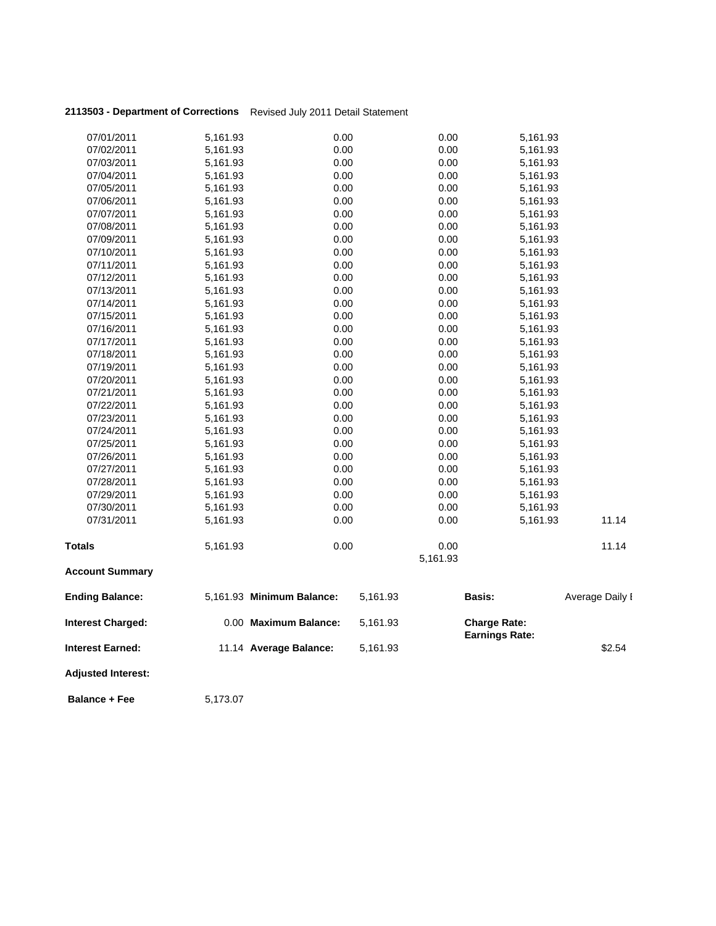## **2113503 - Department of Corrections** Revised July 2011 Detail Statement

| <b>Adjusted Interest:</b> |                      |                           |          |              |                       |                 |
|---------------------------|----------------------|---------------------------|----------|--------------|-----------------------|-----------------|
| <b>Interest Earned:</b>   |                      | 11.14 Average Balance:    | 5,161.93 |              | <b>Earnings Rate:</b> | \$2.54          |
| <b>Interest Charged:</b>  |                      | 0.00 Maximum Balance:     | 5,161.93 |              | <b>Charge Rate:</b>   |                 |
| <b>Ending Balance:</b>    |                      | 5,161.93 Minimum Balance: | 5,161.93 |              | <b>Basis:</b>         | Average Daily I |
| <b>Account Summary</b>    |                      |                           |          |              |                       |                 |
| <b>Totals</b>             | 5,161.93             |                           |          | 5,161.93     |                       |                 |
|                           |                      | 0.00                      |          | 0.00         |                       | 11.14           |
| 07/31/2011                | 5,161.93             | 0.00                      |          | 0.00         | 5,161.93              | 11.14           |
| 07/30/2011                | 5,161.93             | 0.00                      |          | 0.00         | 5,161.93              |                 |
| 07/29/2011                | 5,161.93             | 0.00                      |          | 0.00         | 5,161.93              |                 |
| 07/28/2011                | 5,161.93             | 0.00                      |          | 0.00         | 5,161.93              |                 |
| 07/27/2011                | 5,161.93             | 0.00                      |          | 0.00         | 5,161.93              |                 |
| 07/26/2011                | 5,161.93             | 0.00                      |          | 0.00         | 5,161.93              |                 |
| 07/25/2011                | 5,161.93             | 0.00                      |          | 0.00         | 5,161.93              |                 |
| 07/24/2011                | 5,161.93             | 0.00                      |          | 0.00         | 5,161.93              |                 |
| 07/23/2011                | 5,161.93             | 0.00                      |          | 0.00         | 5,161.93              |                 |
| 07/22/2011                | 5,161.93             | 0.00                      |          | 0.00         | 5,161.93              |                 |
| 07/21/2011                | 5,161.93             | 0.00                      |          | 0.00         | 5,161.93              |                 |
| 07/20/2011                | 5,161.93             | 0.00                      |          | 0.00         | 5,161.93              |                 |
| 07/19/2011                | 5,161.93             | 0.00                      |          | 0.00         | 5,161.93              |                 |
| 07/18/2011                | 5,161.93             | 0.00                      |          | 0.00         | 5,161.93              |                 |
| 07/17/2011                | 5,161.93             | 0.00                      |          | 0.00         | 5,161.93              |                 |
| 07/16/2011                | 5,161.93             | 0.00                      |          | 0.00         | 5,161.93              |                 |
| 07/15/2011                | 5,161.93             | 0.00                      |          | 0.00         | 5,161.93              |                 |
| 07/14/2011                | 5,161.93             | 0.00                      |          | 0.00         | 5,161.93              |                 |
| 07/12/2011<br>07/13/2011  | 5,161.93<br>5,161.93 | 0.00                      |          | 0.00         | 5,161.93<br>5,161.93  |                 |
| 07/11/2011                | 5,161.93             | 0.00<br>0.00              |          | 0.00<br>0.00 | 5,161.93              |                 |
| 07/10/2011                | 5,161.93             | 0.00                      |          | 0.00         | 5,161.93              |                 |
| 07/09/2011                | 5,161.93             | 0.00                      |          | 0.00         | 5,161.93              |                 |
| 07/08/2011                | 5,161.93             | 0.00                      |          | 0.00         | 5,161.93              |                 |
| 07/07/2011                | 5,161.93             | 0.00                      |          | 0.00         | 5,161.93              |                 |
| 07/06/2011                | 5,161.93             | 0.00                      |          | 0.00         | 5,161.93              |                 |
| 07/05/2011                | 5,161.93             | 0.00                      |          | 0.00         | 5,161.93              |                 |
| 07/04/2011                | 5,161.93             | 0.00                      |          | 0.00         | 5,161.93              |                 |
| 07/03/2011                | 5,161.93             | 0.00                      |          | 0.00         | 5,161.93              |                 |
| 07/02/2011                | 5,161.93             | 0.00                      |          | 0.00         | 5,161.93              |                 |
| 07/01/2011                | 5,161.93             | 0.00                      |          | 0.00         | 5,161.93              |                 |
|                           |                      |                           |          |              |                       |                 |

**Balance + Fee** 5,173.07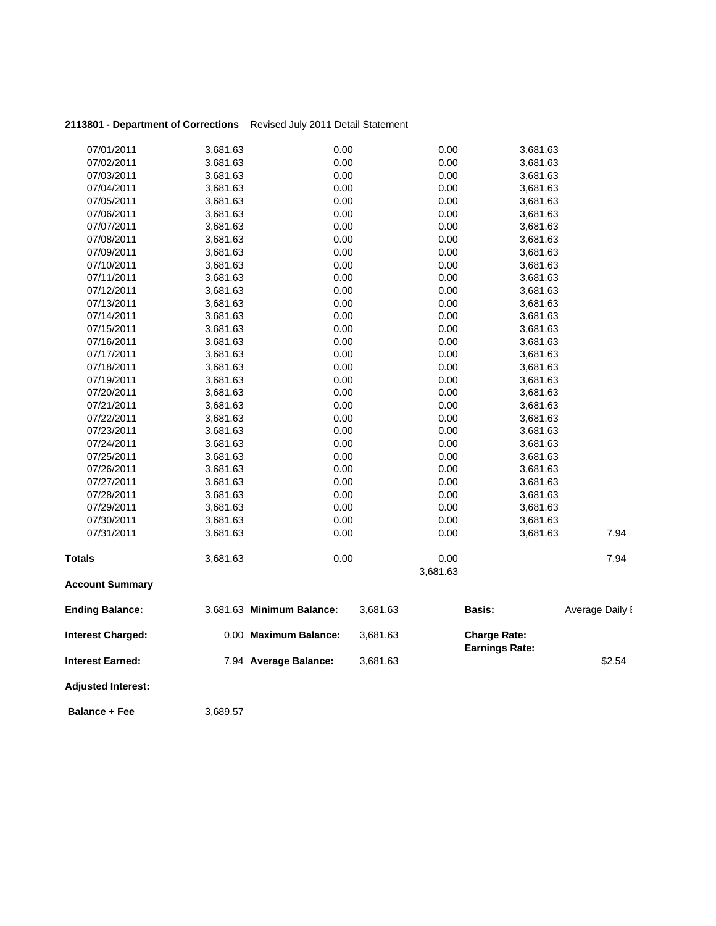| 2113801 - Department of Corrections Revised July 2011 Detail Statement |  |
|------------------------------------------------------------------------|--|
|                                                                        |  |

| 07/01/2011                | 3,681.63 | 0.00                      |          | 0.00     | 3,681.63              |                 |
|---------------------------|----------|---------------------------|----------|----------|-----------------------|-----------------|
| 07/02/2011                | 3,681.63 | 0.00                      |          | 0.00     | 3,681.63              |                 |
| 07/03/2011                | 3,681.63 | 0.00                      |          | 0.00     | 3,681.63              |                 |
| 07/04/2011                | 3,681.63 | 0.00                      |          | 0.00     | 3,681.63              |                 |
| 07/05/2011                | 3,681.63 | 0.00                      |          | 0.00     | 3,681.63              |                 |
| 07/06/2011                | 3,681.63 | 0.00                      |          | 0.00     | 3,681.63              |                 |
| 07/07/2011                | 3,681.63 | 0.00                      |          | 0.00     | 3,681.63              |                 |
| 07/08/2011                | 3,681.63 | 0.00                      |          | 0.00     | 3,681.63              |                 |
| 07/09/2011                | 3,681.63 | 0.00                      |          | 0.00     | 3,681.63              |                 |
| 07/10/2011                | 3,681.63 | 0.00                      |          | 0.00     | 3,681.63              |                 |
| 07/11/2011                | 3,681.63 | 0.00                      |          | 0.00     | 3,681.63              |                 |
| 07/12/2011                | 3,681.63 | 0.00                      |          | 0.00     | 3,681.63              |                 |
| 07/13/2011                | 3,681.63 | 0.00                      |          | 0.00     | 3,681.63              |                 |
| 07/14/2011                | 3,681.63 | 0.00                      |          | 0.00     | 3,681.63              |                 |
| 07/15/2011                | 3,681.63 | 0.00                      |          | 0.00     | 3,681.63              |                 |
| 07/16/2011                | 3,681.63 | 0.00                      |          | 0.00     | 3,681.63              |                 |
| 07/17/2011                | 3,681.63 | 0.00                      |          | 0.00     | 3,681.63              |                 |
| 07/18/2011                | 3,681.63 | 0.00                      |          | 0.00     | 3,681.63              |                 |
| 07/19/2011                | 3,681.63 | 0.00                      |          | 0.00     | 3,681.63              |                 |
| 07/20/2011                | 3,681.63 | 0.00                      |          | 0.00     | 3,681.63              |                 |
| 07/21/2011                | 3,681.63 | 0.00                      |          | 0.00     | 3,681.63              |                 |
| 07/22/2011                | 3,681.63 | 0.00                      |          | 0.00     | 3,681.63              |                 |
| 07/23/2011                | 3,681.63 | 0.00                      |          | 0.00     | 3,681.63              |                 |
| 07/24/2011                | 3,681.63 | 0.00                      |          | 0.00     | 3,681.63              |                 |
| 07/25/2011                | 3,681.63 | 0.00                      |          | 0.00     | 3,681.63              |                 |
| 07/26/2011                | 3,681.63 | 0.00                      |          | 0.00     | 3,681.63              |                 |
| 07/27/2011                | 3,681.63 | 0.00                      |          | 0.00     | 3,681.63              |                 |
| 07/28/2011                | 3,681.63 | 0.00                      |          | 0.00     | 3,681.63              |                 |
| 07/29/2011                | 3,681.63 | 0.00                      |          | 0.00     | 3,681.63              |                 |
| 07/30/2011                | 3,681.63 | 0.00                      |          | 0.00     | 3,681.63              |                 |
| 07/31/2011                | 3,681.63 | 0.00                      |          | 0.00     | 3,681.63              | 7.94            |
| <b>Totals</b>             | 3,681.63 | 0.00                      |          | 0.00     |                       | 7.94            |
| <b>Account Summary</b>    |          |                           |          | 3,681.63 |                       |                 |
|                           |          |                           |          |          |                       |                 |
| <b>Ending Balance:</b>    |          | 3,681.63 Minimum Balance: | 3,681.63 |          | <b>Basis:</b>         | Average Daily I |
| <b>Interest Charged:</b>  |          | 0.00 Maximum Balance:     | 3,681.63 |          | <b>Charge Rate:</b>   |                 |
| <b>Interest Earned:</b>   |          | 7.94 Average Balance:     | 3,681.63 |          | <b>Earnings Rate:</b> | \$2.54          |
| <b>Adjusted Interest:</b> |          |                           |          |          |                       |                 |

**Balance + Fee** 3,689.57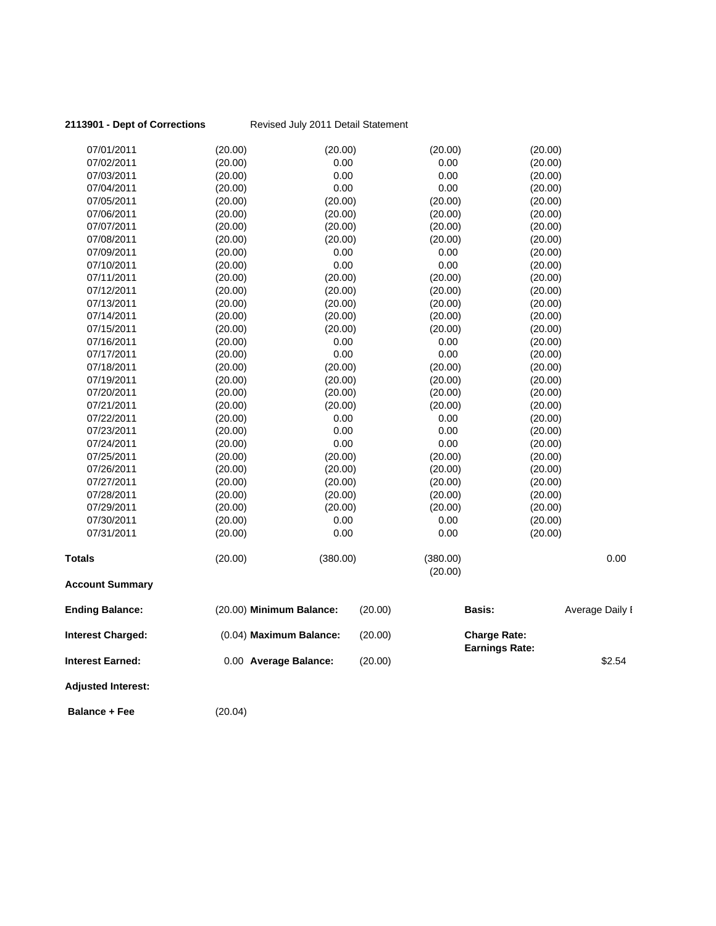| 2113901 - Dept of Corrections |         | Revised July 2011 Detail Statement |         |                                              |                 |
|-------------------------------|---------|------------------------------------|---------|----------------------------------------------|-----------------|
| 07/01/2011                    | (20.00) | (20.00)                            |         | (20.00)                                      | (20.00)         |
| 07/02/2011                    | (20.00) | 0.00                               |         | 0.00                                         | (20.00)         |
| 07/03/2011                    | (20.00) | 0.00                               |         | 0.00                                         | (20.00)         |
| 07/04/2011                    | (20.00) | 0.00                               |         | 0.00                                         | (20.00)         |
| 07/05/2011                    | (20.00) | (20.00)                            |         | (20.00)                                      | (20.00)         |
| 07/06/2011                    | (20.00) | (20.00)                            |         | (20.00)                                      | (20.00)         |
| 07/07/2011                    | (20.00) | (20.00)                            |         | (20.00)                                      | (20.00)         |
| 07/08/2011                    | (20.00) | (20.00)                            |         | (20.00)                                      | (20.00)         |
| 07/09/2011                    | (20.00) | 0.00                               |         | 0.00                                         | (20.00)         |
| 07/10/2011                    | (20.00) | 0.00                               |         | 0.00                                         | (20.00)         |
| 07/11/2011                    | (20.00) | (20.00)                            |         | (20.00)                                      | (20.00)         |
| 07/12/2011                    | (20.00) | (20.00)                            |         | (20.00)                                      | (20.00)         |
| 07/13/2011                    | (20.00) | (20.00)                            |         | (20.00)                                      | (20.00)         |
| 07/14/2011                    | (20.00) | (20.00)                            |         | (20.00)                                      | (20.00)         |
| 07/15/2011                    | (20.00) | (20.00)                            |         | (20.00)                                      | (20.00)         |
| 07/16/2011                    | (20.00) | 0.00                               |         | 0.00                                         | (20.00)         |
| 07/17/2011                    | (20.00) | 0.00                               |         | 0.00                                         | (20.00)         |
| 07/18/2011                    | (20.00) | (20.00)                            |         | (20.00)                                      | (20.00)         |
| 07/19/2011                    | (20.00) | (20.00)                            |         | (20.00)                                      | (20.00)         |
| 07/20/2011                    | (20.00) | (20.00)                            |         | (20.00)                                      | (20.00)         |
| 07/21/2011                    | (20.00) | (20.00)                            |         | (20.00)                                      | (20.00)         |
| 07/22/2011                    | (20.00) | 0.00                               |         | 0.00                                         | (20.00)         |
| 07/23/2011                    | (20.00) | 0.00                               |         | 0.00                                         | (20.00)         |
| 07/24/2011                    | (20.00) | 0.00                               |         | 0.00                                         | (20.00)         |
| 07/25/2011                    | (20.00) | (20.00)                            |         | (20.00)                                      | (20.00)         |
| 07/26/2011                    | (20.00) | (20.00)                            |         | (20.00)                                      | (20.00)         |
| 07/27/2011                    | (20.00) | (20.00)                            |         | (20.00)                                      | (20.00)         |
| 07/28/2011                    | (20.00) | (20.00)                            |         | (20.00)                                      | (20.00)         |
| 07/29/2011                    | (20.00) | (20.00)                            |         | (20.00)                                      | (20.00)         |
| 07/30/2011                    | (20.00) | 0.00                               |         | 0.00                                         | (20.00)         |
| 07/31/2011                    | (20.00) | 0.00                               |         | 0.00                                         | (20.00)         |
| <b>Totals</b>                 | (20.00) | (380.00)                           |         | (380.00)                                     | 0.00            |
|                               |         |                                    |         | (20.00)                                      |                 |
| <b>Account Summary</b>        |         |                                    |         |                                              |                 |
| <b>Ending Balance:</b>        |         | (20.00) Minimum Balance:           | (20.00) | <b>Basis:</b>                                | Average Daily I |
| <b>Interest Charged:</b>      |         | (0.04) Maximum Balance:            | (20.00) | <b>Charge Rate:</b><br><b>Earnings Rate:</b> |                 |
| <b>Interest Earned:</b>       |         | 0.00 Average Balance:              | (20.00) |                                              | \$2.54          |
| <b>Adjusted Interest:</b>     |         |                                    |         |                                              |                 |
| <b>Balance + Fee</b>          | (20.04) |                                    |         |                                              |                 |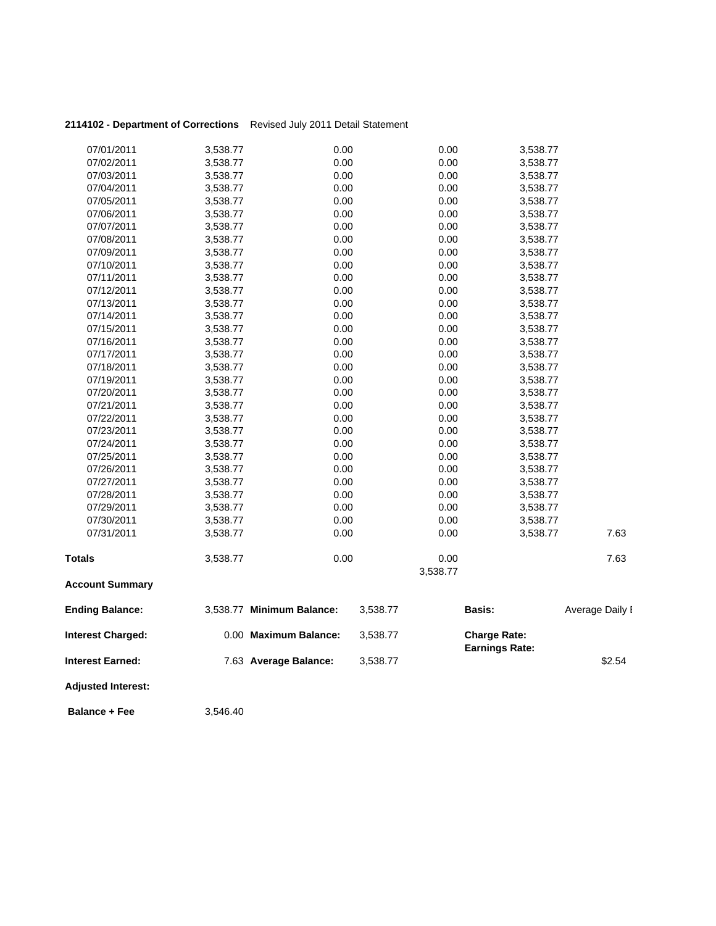| 2114102 - Department of Corrections Revised July 2011 Detail Statement |  |
|------------------------------------------------------------------------|--|
|                                                                        |  |

| <b>Balance + Fee</b>      | 3,546.40 |                           |          |                  |                                              |                 |
|---------------------------|----------|---------------------------|----------|------------------|----------------------------------------------|-----------------|
| <b>Adjusted Interest:</b> |          |                           |          |                  |                                              |                 |
| <b>Interest Earned:</b>   |          | 7.63 Average Balance:     | 3,538.77 |                  |                                              | \$2.54          |
| <b>Interest Charged:</b>  |          | 0.00 Maximum Balance:     | 3,538.77 |                  | <b>Charge Rate:</b><br><b>Earnings Rate:</b> |                 |
| <b>Ending Balance:</b>    |          | 3,538.77 Minimum Balance: | 3,538.77 |                  | Basis:                                       | Average Daily I |
| <b>Account Summary</b>    |          |                           |          |                  |                                              |                 |
| <b>Totals</b>             | 3,538.77 | 0.00                      |          | 0.00<br>3,538.77 |                                              | 7.63            |
| 07/31/2011                | 3,538.77 | 0.00                      |          | 0.00             | 3,538.77                                     | 7.63            |
| 07/30/2011                | 3,538.77 | 0.00                      |          | 0.00             | 3,538.77                                     |                 |
| 07/29/2011                | 3,538.77 | 0.00                      |          | 0.00             | 3,538.77                                     |                 |
| 07/28/2011                | 3,538.77 | 0.00                      |          | 0.00             | 3,538.77                                     |                 |
| 07/27/2011                | 3,538.77 | 0.00                      |          | 0.00             | 3,538.77                                     |                 |
| 07/26/2011                | 3,538.77 | 0.00                      |          | 0.00             | 3,538.77                                     |                 |
| 07/25/2011                | 3,538.77 | 0.00                      |          | 0.00             | 3,538.77                                     |                 |
| 07/24/2011                | 3,538.77 | 0.00                      |          | 0.00             | 3,538.77                                     |                 |
| 07/23/2011                | 3,538.77 | 0.00                      |          | 0.00             | 3,538.77                                     |                 |
| 07/22/2011                | 3,538.77 | 0.00                      |          | 0.00             | 3,538.77                                     |                 |
| 07/21/2011                | 3,538.77 | 0.00                      |          | 0.00             | 3,538.77                                     |                 |
| 07/20/2011                | 3,538.77 | 0.00                      |          | 0.00             | 3,538.77                                     |                 |
| 07/19/2011                | 3,538.77 | 0.00                      |          | 0.00             | 3,538.77                                     |                 |
| 07/18/2011                | 3,538.77 | 0.00                      |          | 0.00             | 3,538.77                                     |                 |
| 07/17/2011                | 3,538.77 | 0.00                      |          | 0.00             | 3,538.77                                     |                 |
| 07/16/2011                | 3,538.77 | 0.00                      |          | 0.00             | 3,538.77                                     |                 |
| 07/15/2011                | 3,538.77 | 0.00                      |          | 0.00             | 3,538.77                                     |                 |
| 07/14/2011                | 3,538.77 | 0.00                      |          | 0.00             | 3,538.77                                     |                 |
| 07/13/2011                | 3,538.77 | 0.00                      |          | 0.00             | 3,538.77                                     |                 |
| 07/12/2011                | 3,538.77 | 0.00                      |          | 0.00             | 3,538.77                                     |                 |
| 07/11/2011                | 3,538.77 | 0.00                      |          | 0.00             | 3,538.77                                     |                 |
| 07/10/2011                | 3,538.77 | 0.00                      |          | 0.00             | 3,538.77                                     |                 |
| 07/09/2011                | 3,538.77 | 0.00                      |          | 0.00             | 3,538.77                                     |                 |
| 07/08/2011                | 3,538.77 | 0.00                      |          | 0.00             | 3,538.77                                     |                 |
| 07/07/2011                | 3,538.77 | 0.00                      |          | 0.00             | 3,538.77                                     |                 |
| 07/06/2011                | 3,538.77 | 0.00                      |          | 0.00             | 3,538.77                                     |                 |
| 07/05/2011                | 3,538.77 | 0.00                      |          | 0.00             | 3,538.77                                     |                 |
| 07/04/2011                | 3,538.77 | 0.00                      |          | 0.00             | 3,538.77                                     |                 |
| 07/03/2011                | 3,538.77 | 0.00                      |          | 0.00             | 3,538.77                                     |                 |
| 07/02/2011                | 3,538.77 | 0.00                      |          | 0.00             | 3,538.77                                     |                 |
| 07/01/2011                | 3,538.77 | 0.00                      |          | 0.00             | 3,538.77                                     |                 |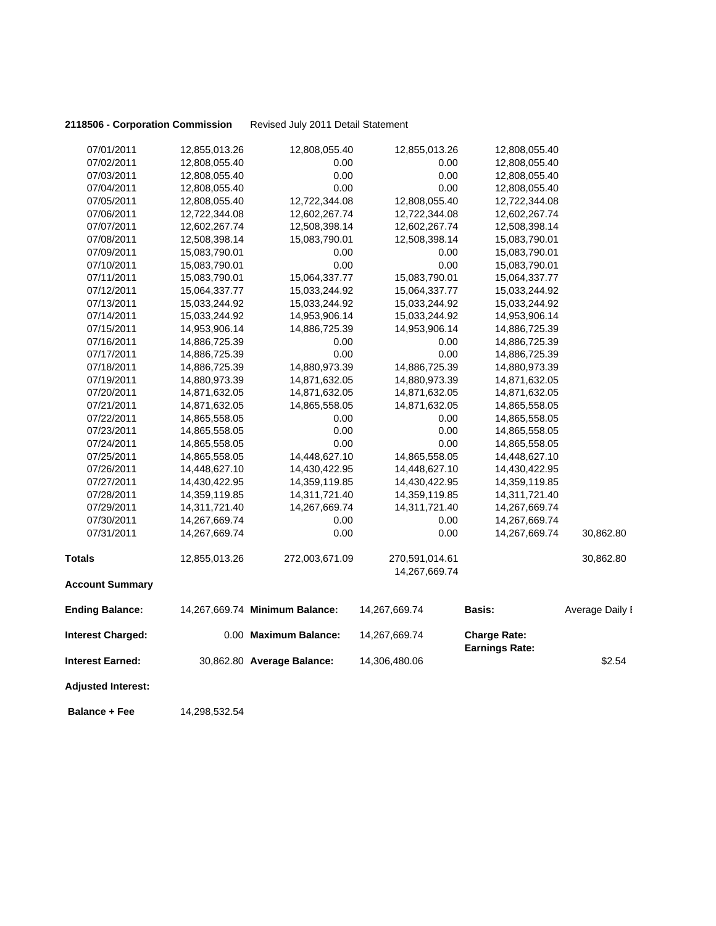### **2118506 - Corporation Commission** Revised July 2011 Detail Statement

| 07/01/2011                | 12,855,013.26 | 12,808,055.40                  | 12,855,013.26  | 12,808,055.40                                |                 |
|---------------------------|---------------|--------------------------------|----------------|----------------------------------------------|-----------------|
| 07/02/2011                | 12,808,055.40 | 0.00                           | 0.00           | 12,808,055.40                                |                 |
| 07/03/2011                | 12,808,055.40 | 0.00                           | 0.00           | 12,808,055.40                                |                 |
| 07/04/2011                | 12,808,055.40 | 0.00                           | 0.00           | 12,808,055.40                                |                 |
| 07/05/2011                | 12,808,055.40 | 12,722,344.08                  | 12,808,055.40  | 12,722,344.08                                |                 |
| 07/06/2011                | 12,722,344.08 | 12,602,267.74                  | 12,722,344.08  | 12,602,267.74                                |                 |
| 07/07/2011                | 12,602,267.74 | 12,508,398.14                  | 12,602,267.74  | 12,508,398.14                                |                 |
| 07/08/2011                | 12,508,398.14 | 15,083,790.01                  | 12,508,398.14  | 15,083,790.01                                |                 |
| 07/09/2011                | 15,083,790.01 | 0.00                           | 0.00           | 15,083,790.01                                |                 |
| 07/10/2011                | 15,083,790.01 | 0.00                           | 0.00           | 15,083,790.01                                |                 |
| 07/11/2011                | 15,083,790.01 | 15,064,337.77                  | 15,083,790.01  | 15,064,337.77                                |                 |
| 07/12/2011                | 15,064,337.77 | 15,033,244.92                  | 15,064,337.77  | 15,033,244.92                                |                 |
| 07/13/2011                | 15,033,244.92 | 15,033,244.92                  | 15,033,244.92  | 15,033,244.92                                |                 |
| 07/14/2011                | 15,033,244.92 | 14,953,906.14                  | 15,033,244.92  | 14,953,906.14                                |                 |
| 07/15/2011                | 14,953,906.14 | 14,886,725.39                  | 14,953,906.14  | 14,886,725.39                                |                 |
| 07/16/2011                | 14,886,725.39 | 0.00                           | 0.00           | 14,886,725.39                                |                 |
| 07/17/2011                | 14,886,725.39 | 0.00                           | 0.00           | 14,886,725.39                                |                 |
| 07/18/2011                | 14,886,725.39 | 14,880,973.39                  | 14,886,725.39  | 14,880,973.39                                |                 |
| 07/19/2011                | 14,880,973.39 | 14,871,632.05                  | 14,880,973.39  | 14,871,632.05                                |                 |
| 07/20/2011                | 14,871,632.05 | 14,871,632.05                  | 14,871,632.05  | 14,871,632.05                                |                 |
| 07/21/2011                | 14,871,632.05 | 14,865,558.05                  | 14,871,632.05  | 14,865,558.05                                |                 |
| 07/22/2011                | 14,865,558.05 | 0.00                           | 0.00           | 14,865,558.05                                |                 |
| 07/23/2011                | 14,865,558.05 | 0.00                           | 0.00           | 14,865,558.05                                |                 |
| 07/24/2011                | 14,865,558.05 | 0.00                           | 0.00           | 14,865,558.05                                |                 |
| 07/25/2011                | 14,865,558.05 | 14,448,627.10                  | 14,865,558.05  | 14,448,627.10                                |                 |
| 07/26/2011                | 14,448,627.10 | 14,430,422.95                  | 14,448,627.10  | 14,430,422.95                                |                 |
| 07/27/2011                | 14,430,422.95 | 14,359,119.85                  | 14,430,422.95  | 14,359,119.85                                |                 |
| 07/28/2011                | 14,359,119.85 | 14,311,721.40                  | 14,359,119.85  | 14,311,721.40                                |                 |
| 07/29/2011                | 14,311,721.40 | 14,267,669.74                  | 14,311,721.40  | 14,267,669.74                                |                 |
| 07/30/2011                | 14,267,669.74 | 0.00                           | 0.00           | 14,267,669.74                                |                 |
| 07/31/2011                | 14,267,669.74 | 0.00                           | 0.00           | 14,267,669.74                                | 30,862.80       |
| <b>Totals</b>             | 12,855,013.26 | 272,003,671.09                 | 270,591,014.61 |                                              | 30,862.80       |
| <b>Account Summary</b>    |               |                                | 14,267,669.74  |                                              |                 |
|                           |               |                                |                |                                              |                 |
| <b>Ending Balance:</b>    |               | 14,267,669.74 Minimum Balance: | 14,267,669.74  | <b>Basis:</b>                                | Average Daily I |
| <b>Interest Charged:</b>  |               | 0.00 Maximum Balance:          | 14,267,669.74  | <b>Charge Rate:</b><br><b>Earnings Rate:</b> |                 |
| Interest Earned:          |               | 30,862.80 Average Balance:     | 14,306,480.06  |                                              | \$2.54          |
| <b>Adjusted Interest:</b> |               |                                |                |                                              |                 |
|                           |               |                                |                |                                              |                 |

**Balance + Fee** 14,298,532.54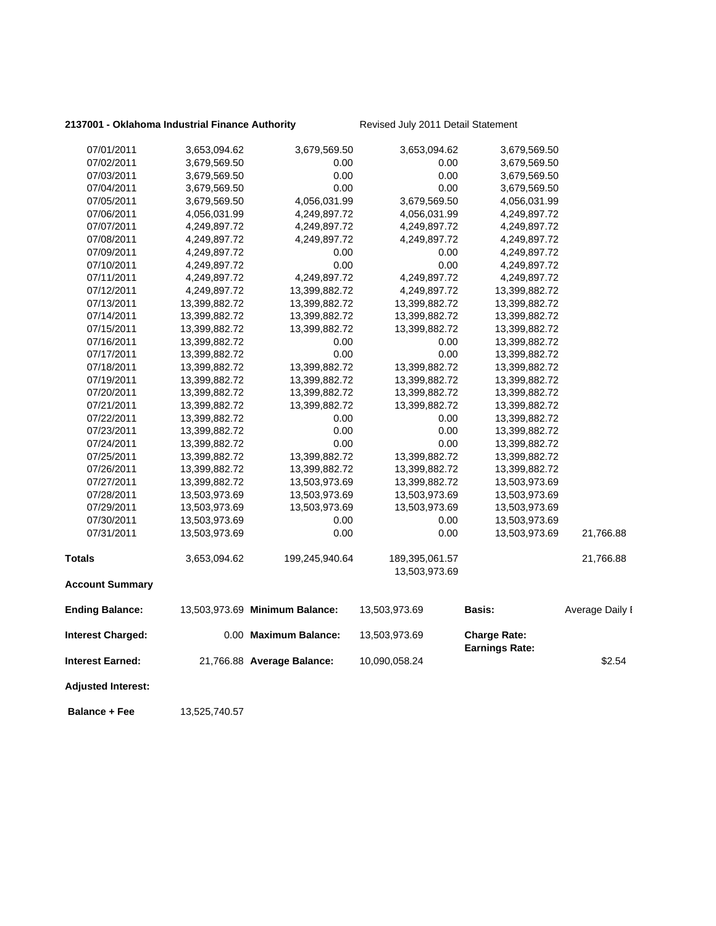### 2137001 - Oklahoma Industrial Finance Authority **Revised July 2011 Detail Statement**

| <b>Adjusted Interest:</b> |               |                                |                |                                              |                 |
|---------------------------|---------------|--------------------------------|----------------|----------------------------------------------|-----------------|
| <b>Interest Earned:</b>   |               | 21,766.88 Average Balance:     | 10,090,058.24  |                                              | \$2.54          |
| <b>Interest Charged:</b>  |               | 0.00 Maximum Balance:          | 13,503,973.69  | <b>Charge Rate:</b><br><b>Earnings Rate:</b> |                 |
| <b>Ending Balance:</b>    |               | 13,503,973.69 Minimum Balance: | 13,503,973.69  | Basis:                                       | Average Daily I |
| <b>Account Summary</b>    |               |                                |                |                                              |                 |
|                           |               |                                | 13,503,973.69  |                                              |                 |
| <b>Totals</b>             | 3,653,094.62  | 199,245,940.64                 | 189,395,061.57 |                                              | 21,766.88       |
| 07/31/2011                | 13,503,973.69 | 0.00                           | 0.00           | 13,503,973.69                                | 21,766.88       |
| 07/30/2011                | 13,503,973.69 | 0.00                           | 0.00           | 13,503,973.69                                |                 |
| 07/29/2011                | 13,503,973.69 | 13,503,973.69                  | 13,503,973.69  | 13,503,973.69                                |                 |
| 07/28/2011                | 13,503,973.69 | 13,503,973.69                  | 13,503,973.69  | 13,503,973.69                                |                 |
| 07/27/2011                | 13,399,882.72 | 13,503,973.69                  | 13,399,882.72  | 13,503,973.69                                |                 |
| 07/26/2011                | 13,399,882.72 | 13,399,882.72                  | 13,399,882.72  | 13,399,882.72                                |                 |
| 07/25/2011                | 13,399,882.72 | 13,399,882.72                  | 13,399,882.72  | 13,399,882.72                                |                 |
| 07/24/2011                | 13,399,882.72 | 0.00                           | 0.00           | 13,399,882.72                                |                 |
| 07/23/2011                | 13,399,882.72 | 0.00                           | 0.00           | 13,399,882.72                                |                 |
| 07/22/2011                | 13,399,882.72 | 0.00                           | 0.00           | 13,399,882.72                                |                 |
| 07/21/2011                | 13,399,882.72 | 13,399,882.72                  | 13,399,882.72  | 13,399,882.72                                |                 |
| 07/20/2011                | 13,399,882.72 | 13,399,882.72                  | 13,399,882.72  | 13,399,882.72                                |                 |
| 07/19/2011                | 13,399,882.72 | 13,399,882.72                  | 13,399,882.72  | 13,399,882.72                                |                 |
| 07/18/2011                | 13,399,882.72 | 13,399,882.72                  | 13,399,882.72  | 13,399,882.72                                |                 |
| 07/17/2011                | 13,399,882.72 | 0.00                           | 0.00           | 13,399,882.72                                |                 |
| 07/16/2011                | 13,399,882.72 | 0.00                           | 0.00           | 13,399,882.72                                |                 |
| 07/15/2011                | 13,399,882.72 | 13,399,882.72                  | 13,399,882.72  | 13,399,882.72                                |                 |
| 07/14/2011                | 13,399,882.72 | 13,399,882.72                  | 13,399,882.72  | 13,399,882.72                                |                 |
| 07/13/2011                | 13,399,882.72 | 13,399,882.72                  | 13,399,882.72  | 13,399,882.72                                |                 |
| 07/12/2011                | 4,249,897.72  | 13,399,882.72                  | 4,249,897.72   | 13,399,882.72                                |                 |
| 07/11/2011                | 4,249,897.72  | 4,249,897.72                   | 4,249,897.72   | 4,249,897.72                                 |                 |
| 07/10/2011                | 4,249,897.72  | 0.00                           | 0.00           | 4,249,897.72                                 |                 |
| 07/09/2011                | 4,249,897.72  | 0.00                           | 0.00           | 4,249,897.72                                 |                 |
| 07/08/2011                | 4,249,897.72  | 4,249,897.72                   | 4,249,897.72   | 4,249,897.72                                 |                 |
| 07/07/2011                | 4,249,897.72  | 4,249,897.72                   | 4,249,897.72   | 4,249,897.72                                 |                 |
| 07/06/2011                | 4,056,031.99  | 4,249,897.72                   | 4,056,031.99   | 4,249,897.72                                 |                 |
| 07/05/2011                | 3,679,569.50  | 4,056,031.99                   | 3,679,569.50   | 4,056,031.99                                 |                 |
| 07/04/2011                | 3,679,569.50  | 0.00                           | 0.00           | 3,679,569.50                                 |                 |
| 07/03/2011                | 3,679,569.50  | 0.00                           | 0.00           | 3,679,569.50                                 |                 |
| 07/02/2011                | 3,679,569.50  | 0.00                           | 0.00           | 3,679,569.50                                 |                 |
| 07/01/2011                | 3,653,094.62  | 3,679,569.50                   | 3,653,094.62   | 3,679,569.50                                 |                 |

**Balance + Fee** 13,525,740.57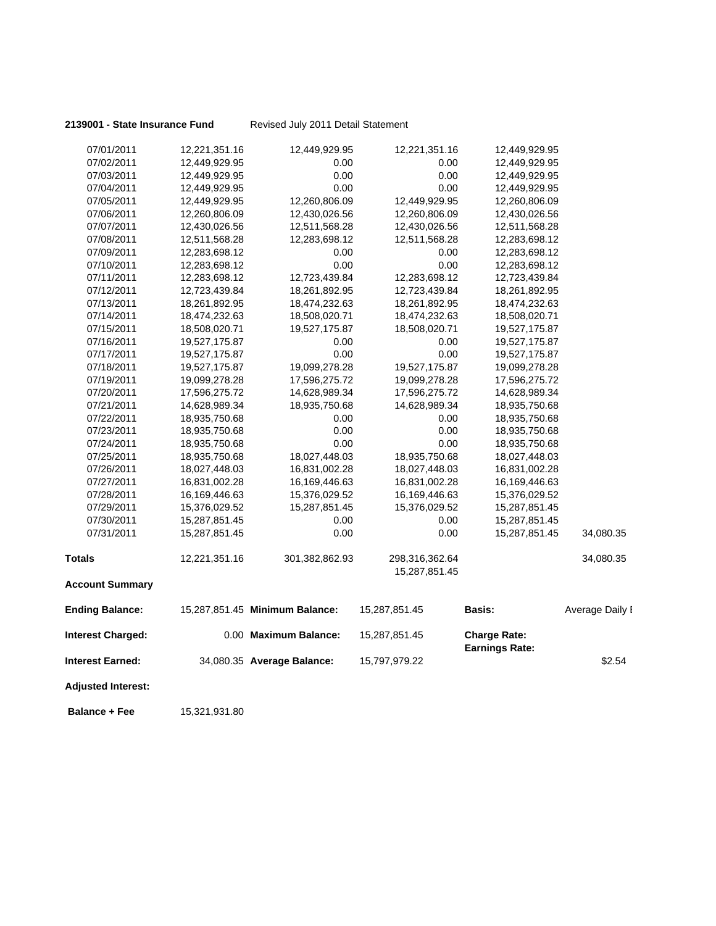**2139001 - State Insurance Fund** Revised July 2011 Detail Statement

| 07/01/2011                | 12,221,351.16 | 12,449,929.95                  | 12,221,351.16  | 12,449,929.95         |                 |
|---------------------------|---------------|--------------------------------|----------------|-----------------------|-----------------|
| 07/02/2011                | 12,449,929.95 | 0.00                           | 0.00           | 12,449,929.95         |                 |
| 07/03/2011                | 12,449,929.95 | 0.00                           | 0.00           | 12,449,929.95         |                 |
| 07/04/2011                | 12,449,929.95 | 0.00                           | 0.00           | 12,449,929.95         |                 |
| 07/05/2011                | 12,449,929.95 | 12,260,806.09                  | 12,449,929.95  | 12,260,806.09         |                 |
| 07/06/2011                | 12,260,806.09 | 12,430,026.56                  | 12,260,806.09  | 12,430,026.56         |                 |
| 07/07/2011                | 12,430,026.56 | 12,511,568.28                  | 12,430,026.56  | 12,511,568.28         |                 |
| 07/08/2011                | 12,511,568.28 | 12,283,698.12                  | 12,511,568.28  | 12,283,698.12         |                 |
| 07/09/2011                | 12,283,698.12 | 0.00                           | 0.00           | 12,283,698.12         |                 |
| 07/10/2011                | 12,283,698.12 | 0.00                           | 0.00           | 12,283,698.12         |                 |
| 07/11/2011                | 12,283,698.12 | 12,723,439.84                  | 12,283,698.12  | 12,723,439.84         |                 |
| 07/12/2011                | 12,723,439.84 | 18,261,892.95                  | 12,723,439.84  | 18,261,892.95         |                 |
| 07/13/2011                | 18,261,892.95 | 18,474,232.63                  | 18,261,892.95  | 18,474,232.63         |                 |
| 07/14/2011                | 18,474,232.63 | 18,508,020.71                  | 18,474,232.63  | 18,508,020.71         |                 |
| 07/15/2011                | 18,508,020.71 | 19,527,175.87                  | 18,508,020.71  | 19,527,175.87         |                 |
| 07/16/2011                | 19,527,175.87 | 0.00                           | 0.00           | 19,527,175.87         |                 |
| 07/17/2011                | 19,527,175.87 | 0.00                           | 0.00           | 19,527,175.87         |                 |
| 07/18/2011                | 19,527,175.87 | 19,099,278.28                  | 19,527,175.87  | 19,099,278.28         |                 |
| 07/19/2011                | 19,099,278.28 | 17,596,275.72                  | 19,099,278.28  | 17,596,275.72         |                 |
| 07/20/2011                | 17,596,275.72 | 14,628,989.34                  | 17,596,275.72  | 14,628,989.34         |                 |
| 07/21/2011                | 14,628,989.34 | 18,935,750.68                  | 14,628,989.34  | 18,935,750.68         |                 |
| 07/22/2011                | 18,935,750.68 | 0.00                           | 0.00           | 18,935,750.68         |                 |
| 07/23/2011                | 18,935,750.68 | 0.00                           | 0.00           | 18,935,750.68         |                 |
| 07/24/2011                | 18,935,750.68 | 0.00                           | 0.00           | 18,935,750.68         |                 |
| 07/25/2011                | 18,935,750.68 | 18,027,448.03                  | 18,935,750.68  | 18,027,448.03         |                 |
| 07/26/2011                | 18,027,448.03 | 16,831,002.28                  | 18,027,448.03  | 16,831,002.28         |                 |
| 07/27/2011                | 16,831,002.28 | 16,169,446.63                  | 16,831,002.28  | 16,169,446.63         |                 |
| 07/28/2011                | 16,169,446.63 | 15,376,029.52                  | 16,169,446.63  | 15,376,029.52         |                 |
| 07/29/2011                | 15,376,029.52 | 15,287,851.45                  | 15,376,029.52  | 15,287,851.45         |                 |
| 07/30/2011                | 15,287,851.45 | 0.00                           | 0.00           | 15,287,851.45         |                 |
| 07/31/2011                | 15,287,851.45 | 0.00                           | 0.00           | 15,287,851.45         | 34,080.35       |
| <b>Totals</b>             | 12,221,351.16 | 301,382,862.93                 | 298,316,362.64 |                       | 34,080.35       |
|                           |               |                                | 15,287,851.45  |                       |                 |
| <b>Account Summary</b>    |               |                                |                |                       |                 |
| <b>Ending Balance:</b>    |               | 15,287,851.45 Minimum Balance: | 15,287,851.45  | <b>Basis:</b>         | Average Daily I |
| <b>Interest Charged:</b>  |               | 0.00 Maximum Balance:          | 15,287,851.45  | <b>Charge Rate:</b>   |                 |
| Interest Earned:          |               | 34,080.35 Average Balance:     | 15,797,979.22  | <b>Earnings Rate:</b> | \$2.54          |
| <b>Adjusted Interest:</b> |               |                                |                |                       |                 |
|                           |               |                                |                |                       |                 |

**Balance + Fee** 15,321,931.80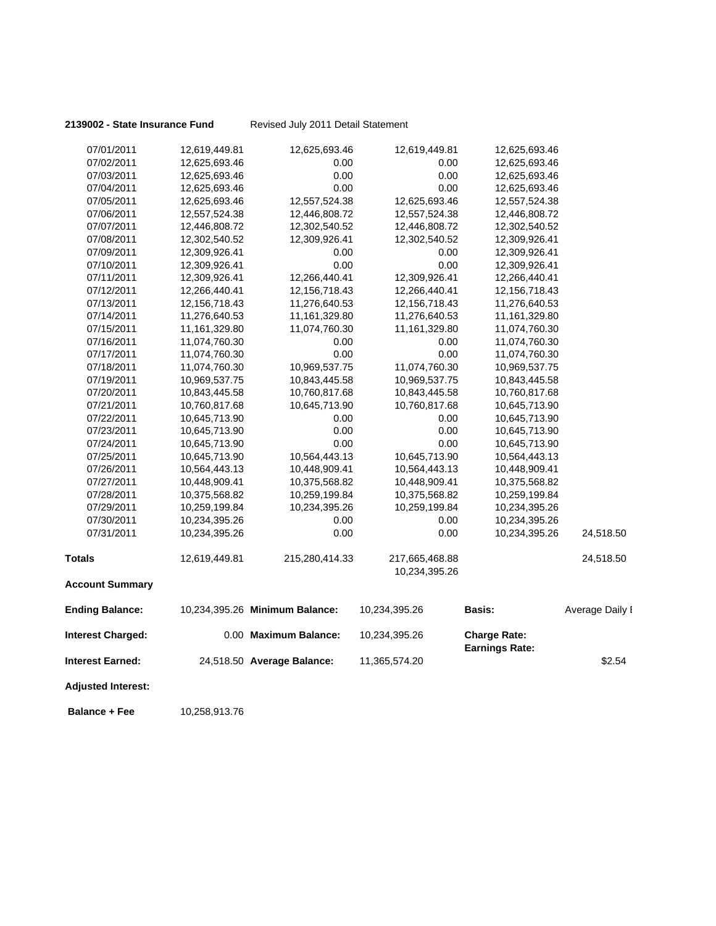**2139002 - State Insurance Fund** Revised July 2011 Detail Statement

| <b>Adjusted Interest:</b> |               |                                |                  |                                              |                 |
|---------------------------|---------------|--------------------------------|------------------|----------------------------------------------|-----------------|
| Interest Earned:          |               | 24,518.50 Average Balance:     | 11,365,574.20    |                                              | \$2.54          |
| <b>Interest Charged:</b>  |               | 0.00 Maximum Balance:          | 10,234,395.26    | <b>Charge Rate:</b><br><b>Earnings Rate:</b> |                 |
| <b>Ending Balance:</b>    |               | 10,234,395.26 Minimum Balance: | 10,234,395.26    | Basis:                                       | Average Daily I |
| <b>Account Summary</b>    |               |                                |                  |                                              |                 |
|                           |               |                                | 10,234,395.26    |                                              |                 |
| Totals                    | 12,619,449.81 | 215,280,414.33                 | 217,665,468.88   |                                              | 24,518.50       |
| 07/31/2011                | 10,234,395.26 | 0.00                           | 0.00             | 10,234,395.26                                | 24,518.50       |
| 07/30/2011                | 10,234,395.26 | 0.00                           | 0.00             | 10,234,395.26                                |                 |
| 07/29/2011                | 10,259,199.84 | 10,234,395.26                  | 10,259,199.84    | 10,234,395.26                                |                 |
| 07/28/2011                | 10,375,568.82 | 10,259,199.84                  | 10,375,568.82    | 10,259,199.84                                |                 |
| 07/27/2011                | 10,448,909.41 | 10,375,568.82                  | 10,448,909.41    | 10,375,568.82                                |                 |
| 07/26/2011                | 10,564,443.13 | 10,448,909.41                  | 10,564,443.13    | 10,448,909.41                                |                 |
| 07/25/2011                | 10,645,713.90 | 10,564,443.13                  | 10,645,713.90    | 10,564,443.13                                |                 |
| 07/24/2011                | 10,645,713.90 | 0.00                           | 0.00             | 10,645,713.90                                |                 |
| 07/23/2011                | 10,645,713.90 | 0.00                           | 0.00             | 10,645,713.90                                |                 |
| 07/22/2011                | 10,645,713.90 | 0.00                           | 0.00             | 10,645,713.90                                |                 |
| 07/21/2011                | 10,760,817.68 | 10,645,713.90                  | 10,760,817.68    | 10,645,713.90                                |                 |
| 07/20/2011                | 10,843,445.58 | 10,760,817.68                  | 10,843,445.58    | 10,760,817.68                                |                 |
| 07/19/2011                | 10,969,537.75 | 10,843,445.58                  | 10,969,537.75    | 10,843,445.58                                |                 |
| 07/18/2011                | 11,074,760.30 | 10,969,537.75                  | 11,074,760.30    | 10,969,537.75                                |                 |
| 07/17/2011                | 11,074,760.30 | 0.00                           | 0.00             | 11,074,760.30                                |                 |
| 07/16/2011                | 11,074,760.30 | 0.00                           | 0.00             | 11,074,760.30                                |                 |
| 07/15/2011                | 11,161,329.80 | 11,074,760.30                  | 11,161,329.80    | 11,074,760.30                                |                 |
| 07/14/2011                | 11,276,640.53 | 11,161,329.80                  | 11,276,640.53    | 11,161,329.80                                |                 |
| 07/13/2011                | 12,156,718.43 | 11,276,640.53                  | 12, 156, 718. 43 | 11,276,640.53                                |                 |
| 07/12/2011                | 12,266,440.41 | 12, 156, 718. 43               | 12,266,440.41    | 12, 156, 718. 43                             |                 |
| 07/11/2011                | 12,309,926.41 | 12,266,440.41                  | 12,309,926.41    | 12,266,440.41                                |                 |
| 07/10/2011                | 12,309,926.41 | 0.00                           | 0.00             | 12,309,926.41                                |                 |
| 07/09/2011                | 12,309,926.41 | 0.00                           | 0.00             | 12,309,926.41                                |                 |
| 07/08/2011                | 12,302,540.52 | 12,309,926.41                  | 12,302,540.52    | 12,309,926.41                                |                 |
| 07/07/2011                | 12,446,808.72 | 12,302,540.52                  | 12,446,808.72    | 12,302,540.52                                |                 |
| 07/06/2011                | 12,557,524.38 | 12,446,808.72                  | 12,557,524.38    | 12,446,808.72                                |                 |
| 07/05/2011                | 12,625,693.46 | 12,557,524.38                  | 12,625,693.46    | 12,557,524.38                                |                 |
| 07/04/2011                | 12,625,693.46 | 0.00                           | 0.00             | 12,625,693.46                                |                 |
| 07/03/2011                | 12,625,693.46 | 0.00                           | 0.00             | 12,625,693.46                                |                 |
| 07/02/2011                | 12,625,693.46 | 0.00                           | 0.00             | 12,625,693.46                                |                 |
| 07/01/2011                | 12,619,449.81 | 12,625,693.46                  | 12,619,449.81    | 12,625,693.46                                |                 |

**Balance + Fee** 10,258,913.76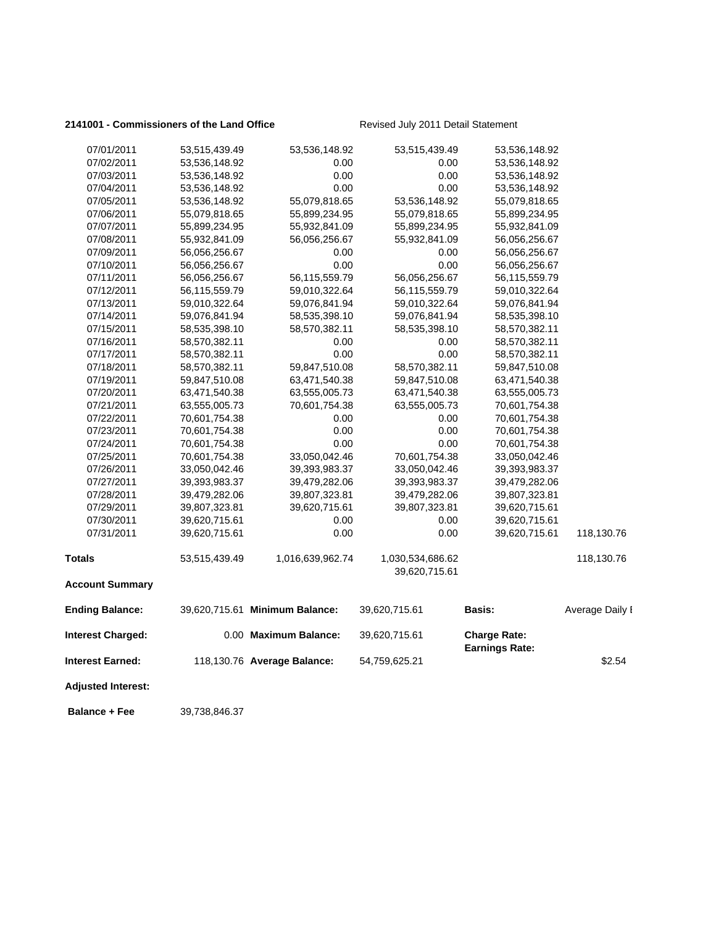### 2141001 - Commissioners of the Land Office **Revised July 2011 Detail Statement**

| <b>Adjusted Interest:</b> |               |                                |                                   |                       |                 |
|---------------------------|---------------|--------------------------------|-----------------------------------|-----------------------|-----------------|
| <b>Interest Earned:</b>   |               | 118,130.76 Average Balance:    | 54,759,625.21                     | <b>Earnings Rate:</b> | \$2.54          |
| <b>Interest Charged:</b>  |               | 0.00 Maximum Balance:          | 39,620,715.61                     | <b>Charge Rate:</b>   |                 |
| <b>Ending Balance:</b>    |               | 39,620,715.61 Minimum Balance: | 39,620,715.61                     | Basis:                | Average Daily I |
| <b>Account Summary</b>    |               |                                |                                   |                       |                 |
|                           | 53,515,439.49 |                                | 1,030,534,686.62<br>39,620,715.61 |                       |                 |
| <b>Totals</b>             |               | 1,016,639,962.74               |                                   |                       | 118,130.76      |
| 07/31/2011                | 39,620,715.61 | 0.00                           | 0.00                              | 39,620,715.61         | 118,130.76      |
| 07/30/2011                | 39,620,715.61 | 0.00                           | 0.00                              | 39,620,715.61         |                 |
| 07/29/2011                | 39,807,323.81 | 39,620,715.61                  | 39,807,323.81                     | 39,620,715.61         |                 |
| 07/28/2011                | 39,479,282.06 | 39,807,323.81                  | 39,479,282.06                     | 39,807,323.81         |                 |
| 07/27/2011                | 39,393,983.37 | 39,479,282.06                  | 39,393,983.37                     | 39,479,282.06         |                 |
| 07/26/2011                | 33,050,042.46 | 39,393,983.37                  | 33,050,042.46                     | 39,393,983.37         |                 |
| 07/25/2011                | 70,601,754.38 | 33,050,042.46                  | 70,601,754.38                     | 33,050,042.46         |                 |
| 07/24/2011                | 70,601,754.38 | 0.00                           | 0.00                              | 70,601,754.38         |                 |
| 07/23/2011                | 70,601,754.38 | 0.00                           | 0.00                              | 70,601,754.38         |                 |
| 07/22/2011                | 70,601,754.38 | 0.00                           | 0.00                              | 70,601,754.38         |                 |
| 07/21/2011                | 63,555,005.73 | 70,601,754.38                  | 63,555,005.73                     | 70,601,754.38         |                 |
| 07/20/2011                | 63,471,540.38 | 63,555,005.73                  | 63,471,540.38                     | 63,555,005.73         |                 |
| 07/19/2011                | 59,847,510.08 | 63,471,540.38                  | 59,847,510.08                     | 63,471,540.38         |                 |
| 07/18/2011                | 58,570,382.11 | 59,847,510.08                  | 58,570,382.11                     | 59,847,510.08         |                 |
| 07/17/2011                | 58,570,382.11 | 0.00                           | 0.00                              | 58,570,382.11         |                 |
| 07/16/2011                | 58,570,382.11 | 0.00                           | 0.00                              | 58,570,382.11         |                 |
| 07/15/2011                | 58,535,398.10 | 58,570,382.11                  | 58,535,398.10                     | 58,570,382.11         |                 |
| 07/14/2011                | 59,076,841.94 | 58,535,398.10                  | 59,076,841.94                     | 58,535,398.10         |                 |
| 07/13/2011                | 59,010,322.64 | 59,076,841.94                  | 59,010,322.64                     | 59,076,841.94         |                 |
| 07/12/2011                | 56,115,559.79 | 59,010,322.64                  | 56,115,559.79                     | 59,010,322.64         |                 |
| 07/11/2011                | 56,056,256.67 | 56,115,559.79                  | 56,056,256.67                     | 56,115,559.79         |                 |
| 07/10/2011                | 56,056,256.67 | 0.00                           | 0.00                              | 56,056,256.67         |                 |
| 07/09/2011                | 56,056,256.67 | 0.00                           | 0.00                              | 56,056,256.67         |                 |
| 07/08/2011                | 55,932,841.09 | 56,056,256.67                  | 55,932,841.09                     | 56,056,256.67         |                 |
| 07/07/2011                | 55,899,234.95 | 55,932,841.09                  | 55,899,234.95                     | 55,932,841.09         |                 |
| 07/06/2011                | 55,079,818.65 | 55,899,234.95                  | 55,079,818.65                     | 55,899,234.95         |                 |
| 07/05/2011                | 53,536,148.92 | 55,079,818.65                  | 53,536,148.92                     | 55,079,818.65         |                 |
| 07/04/2011                | 53,536,148.92 | 0.00                           | 0.00                              | 53,536,148.92         |                 |
| 07/03/2011                | 53,536,148.92 | 0.00                           | 0.00                              | 53,536,148.92         |                 |
| 07/02/2011                | 53,536,148.92 | 0.00                           | 0.00                              | 53,536,148.92         |                 |
| 07/01/2011                | 53,515,439.49 | 53,536,148.92                  | 53,515,439.49                     | 53,536,148.92         |                 |

**Balance + Fee** 39,738,846.37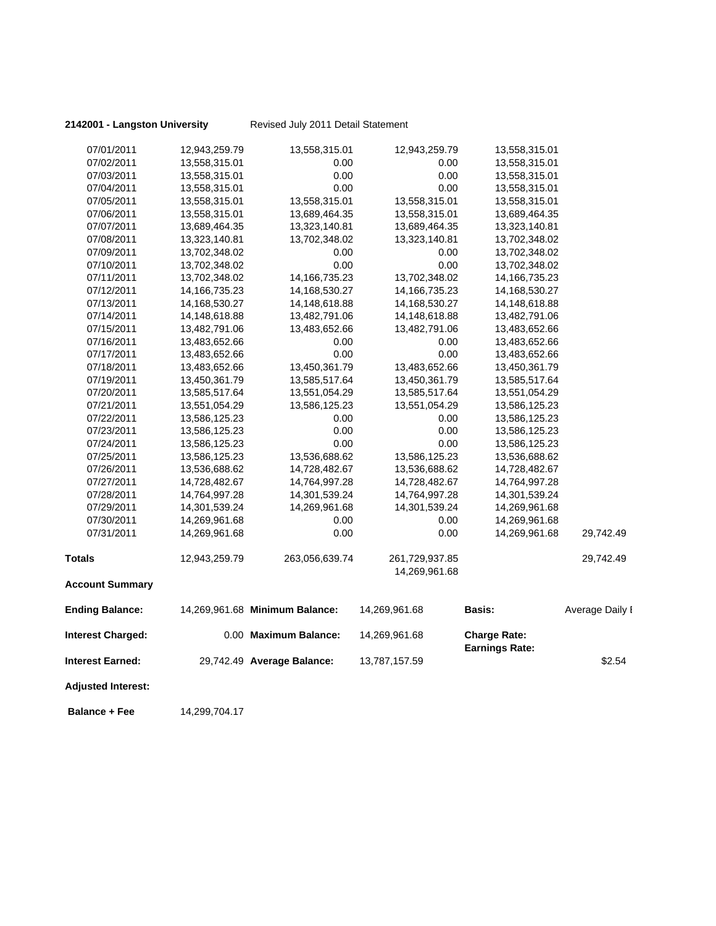**2142001 - Langston University** Revised July 2011 Detail Statement

| 07/01/2011                | 12,943,259.79    | 13,558,315.01                  | 12,943,259.79    | 13,558,315.01                                |                 |
|---------------------------|------------------|--------------------------------|------------------|----------------------------------------------|-----------------|
| 07/02/2011                | 13,558,315.01    | 0.00                           | 0.00             | 13,558,315.01                                |                 |
| 07/03/2011                | 13,558,315.01    | 0.00                           | 0.00             | 13,558,315.01                                |                 |
| 07/04/2011                | 13,558,315.01    | 0.00                           | 0.00             | 13,558,315.01                                |                 |
| 07/05/2011                | 13,558,315.01    | 13,558,315.01                  | 13,558,315.01    | 13,558,315.01                                |                 |
| 07/06/2011                | 13,558,315.01    | 13,689,464.35                  | 13,558,315.01    | 13,689,464.35                                |                 |
| 07/07/2011                | 13,689,464.35    | 13,323,140.81                  | 13,689,464.35    | 13,323,140.81                                |                 |
| 07/08/2011                | 13,323,140.81    | 13,702,348.02                  | 13,323,140.81    | 13,702,348.02                                |                 |
| 07/09/2011                | 13,702,348.02    | 0.00                           | 0.00             | 13,702,348.02                                |                 |
| 07/10/2011                | 13,702,348.02    | 0.00                           | 0.00             | 13,702,348.02                                |                 |
| 07/11/2011                | 13,702,348.02    | 14, 166, 735. 23               | 13,702,348.02    | 14, 166, 735. 23                             |                 |
| 07/12/2011                | 14, 166, 735. 23 | 14, 168, 530. 27               | 14, 166, 735. 23 | 14,168,530.27                                |                 |
| 07/13/2011                | 14,168,530.27    | 14,148,618.88                  | 14,168,530.27    | 14,148,618.88                                |                 |
| 07/14/2011                | 14,148,618.88    | 13,482,791.06                  | 14,148,618.88    | 13,482,791.06                                |                 |
| 07/15/2011                | 13,482,791.06    | 13,483,652.66                  | 13,482,791.06    | 13,483,652.66                                |                 |
| 07/16/2011                | 13,483,652.66    | 0.00                           | 0.00             | 13,483,652.66                                |                 |
| 07/17/2011                | 13,483,652.66    | 0.00                           | 0.00             | 13,483,652.66                                |                 |
| 07/18/2011                | 13,483,652.66    | 13,450,361.79                  | 13,483,652.66    | 13,450,361.79                                |                 |
| 07/19/2011                | 13,450,361.79    | 13,585,517.64                  | 13,450,361.79    | 13,585,517.64                                |                 |
| 07/20/2011                | 13,585,517.64    | 13,551,054.29                  | 13,585,517.64    | 13,551,054.29                                |                 |
| 07/21/2011                | 13,551,054.29    | 13,586,125.23                  | 13,551,054.29    | 13,586,125.23                                |                 |
| 07/22/2011                | 13,586,125.23    | 0.00                           | 0.00             | 13,586,125.23                                |                 |
| 07/23/2011                | 13,586,125.23    | 0.00                           | 0.00             | 13,586,125.23                                |                 |
| 07/24/2011                | 13,586,125.23    | 0.00                           | 0.00             | 13,586,125.23                                |                 |
| 07/25/2011                | 13,586,125.23    | 13,536,688.62                  | 13,586,125.23    | 13,536,688.62                                |                 |
| 07/26/2011                | 13,536,688.62    | 14,728,482.67                  | 13,536,688.62    | 14,728,482.67                                |                 |
| 07/27/2011                | 14,728,482.67    | 14,764,997.28                  | 14,728,482.67    | 14,764,997.28                                |                 |
| 07/28/2011                | 14,764,997.28    | 14,301,539.24                  | 14,764,997.28    | 14,301,539.24                                |                 |
| 07/29/2011                | 14,301,539.24    | 14,269,961.68                  | 14,301,539.24    | 14,269,961.68                                |                 |
| 07/30/2011                | 14,269,961.68    | 0.00                           | 0.00             | 14,269,961.68                                |                 |
| 07/31/2011                | 14,269,961.68    | 0.00                           | 0.00             | 14,269,961.68                                | 29,742.49       |
| <b>Totals</b>             | 12,943,259.79    | 263,056,639.74                 | 261,729,937.85   |                                              | 29,742.49       |
|                           |                  |                                | 14,269,961.68    |                                              |                 |
| <b>Account Summary</b>    |                  |                                |                  |                                              |                 |
| <b>Ending Balance:</b>    |                  | 14,269,961.68 Minimum Balance: | 14,269,961.68    | <b>Basis:</b>                                | Average Daily I |
| <b>Interest Charged:</b>  |                  | 0.00 Maximum Balance:          | 14,269,961.68    | <b>Charge Rate:</b><br><b>Earnings Rate:</b> |                 |
| Interest Earned:          |                  | 29,742.49 Average Balance:     | 13,787,157.59    |                                              | \$2.54          |
| <b>Adjusted Interest:</b> |                  |                                |                  |                                              |                 |
|                           |                  |                                |                  |                                              |                 |

 **Balance + Fee** 14,299,704.17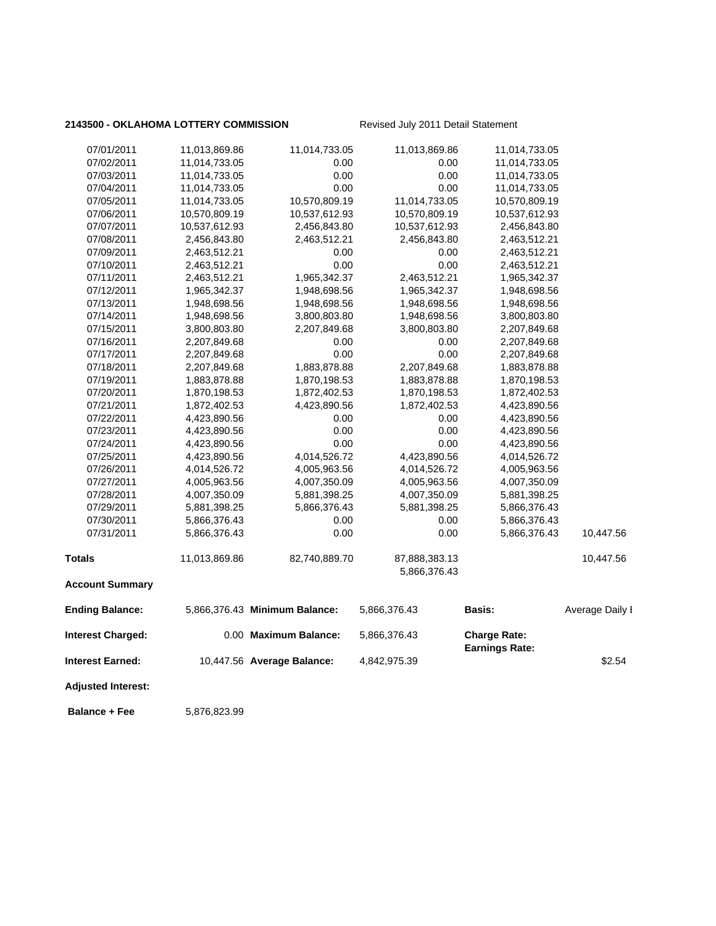### 2143500 - OKLAHOMA LOTTERY COMMISSION Revised July 2011 Detail Statement

| 07/01/2011                | 11,013,869.86 | 11,014,733.05                 | 11,013,869.86                 | 11,014,733.05         |                 |
|---------------------------|---------------|-------------------------------|-------------------------------|-----------------------|-----------------|
| 07/02/2011                | 11,014,733.05 | 0.00                          | 0.00                          | 11,014,733.05         |                 |
| 07/03/2011                | 11,014,733.05 | 0.00                          | 0.00                          | 11,014,733.05         |                 |
| 07/04/2011                | 11,014,733.05 | 0.00                          | 0.00                          | 11,014,733.05         |                 |
| 07/05/2011                | 11,014,733.05 | 10,570,809.19                 | 11,014,733.05                 | 10,570,809.19         |                 |
| 07/06/2011                | 10,570,809.19 | 10,537,612.93                 | 10,570,809.19                 | 10,537,612.93         |                 |
| 07/07/2011                | 10,537,612.93 | 2,456,843.80                  | 10,537,612.93                 | 2,456,843.80          |                 |
| 07/08/2011                | 2,456,843.80  | 2,463,512.21                  | 2,456,843.80                  | 2,463,512.21          |                 |
| 07/09/2011                | 2,463,512.21  | 0.00                          | 0.00                          | 2,463,512.21          |                 |
| 07/10/2011                | 2,463,512.21  | 0.00                          | 0.00                          | 2,463,512.21          |                 |
| 07/11/2011                | 2,463,512.21  | 1,965,342.37                  | 2,463,512.21                  | 1,965,342.37          |                 |
| 07/12/2011                | 1,965,342.37  | 1,948,698.56                  | 1,965,342.37                  | 1,948,698.56          |                 |
| 07/13/2011                | 1,948,698.56  | 1,948,698.56                  | 1,948,698.56                  | 1,948,698.56          |                 |
| 07/14/2011                | 1,948,698.56  | 3,800,803.80                  | 1,948,698.56                  | 3,800,803.80          |                 |
| 07/15/2011                | 3,800,803.80  | 2,207,849.68                  | 3,800,803.80                  | 2,207,849.68          |                 |
| 07/16/2011                | 2,207,849.68  | 0.00                          | 0.00                          | 2,207,849.68          |                 |
| 07/17/2011                | 2,207,849.68  | 0.00                          | 0.00                          | 2,207,849.68          |                 |
| 07/18/2011                | 2,207,849.68  | 1,883,878.88                  | 2,207,849.68                  | 1,883,878.88          |                 |
| 07/19/2011                | 1,883,878.88  | 1,870,198.53                  | 1,883,878.88                  | 1,870,198.53          |                 |
| 07/20/2011                | 1,870,198.53  | 1,872,402.53                  | 1,870,198.53                  | 1,872,402.53          |                 |
| 07/21/2011                | 1,872,402.53  | 4,423,890.56                  | 1,872,402.53                  | 4,423,890.56          |                 |
| 07/22/2011                | 4,423,890.56  | 0.00                          | 0.00                          | 4,423,890.56          |                 |
| 07/23/2011                | 4,423,890.56  | 0.00                          | 0.00                          | 4,423,890.56          |                 |
| 07/24/2011                | 4,423,890.56  | 0.00                          | 0.00                          | 4,423,890.56          |                 |
| 07/25/2011                | 4,423,890.56  | 4,014,526.72                  | 4,423,890.56                  | 4,014,526.72          |                 |
| 07/26/2011                | 4,014,526.72  | 4,005,963.56                  | 4,014,526.72                  | 4,005,963.56          |                 |
| 07/27/2011                | 4,005,963.56  | 4,007,350.09                  | 4,005,963.56                  | 4,007,350.09          |                 |
| 07/28/2011                | 4,007,350.09  | 5,881,398.25                  | 4,007,350.09                  | 5,881,398.25          |                 |
| 07/29/2011                | 5,881,398.25  | 5,866,376.43                  | 5,881,398.25                  | 5,866,376.43          |                 |
| 07/30/2011                | 5,866,376.43  | 0.00                          | 0.00                          | 5,866,376.43          |                 |
| 07/31/2011                | 5,866,376.43  | 0.00                          | 0.00                          | 5,866,376.43          | 10,447.56       |
| <b>Totals</b>             | 11,013,869.86 | 82,740,889.70                 | 87,888,383.13<br>5,866,376.43 |                       | 10,447.56       |
| <b>Account Summary</b>    |               |                               |                               |                       |                 |
| <b>Ending Balance:</b>    |               | 5,866,376.43 Minimum Balance: | 5,866,376.43                  | Basis:                | Average Daily I |
| <b>Interest Charged:</b>  |               | 0.00 Maximum Balance:         | 5,866,376.43                  | <b>Charge Rate:</b>   |                 |
| <b>Interest Earned:</b>   |               | 10,447.56 Average Balance:    | 4,842,975.39                  | <b>Earnings Rate:</b> | \$2.54          |
| <b>Adjusted Interest:</b> |               |                               |                               |                       |                 |
| <b>Balance + Fee</b>      | 5,876,823.99  |                               |                               |                       |                 |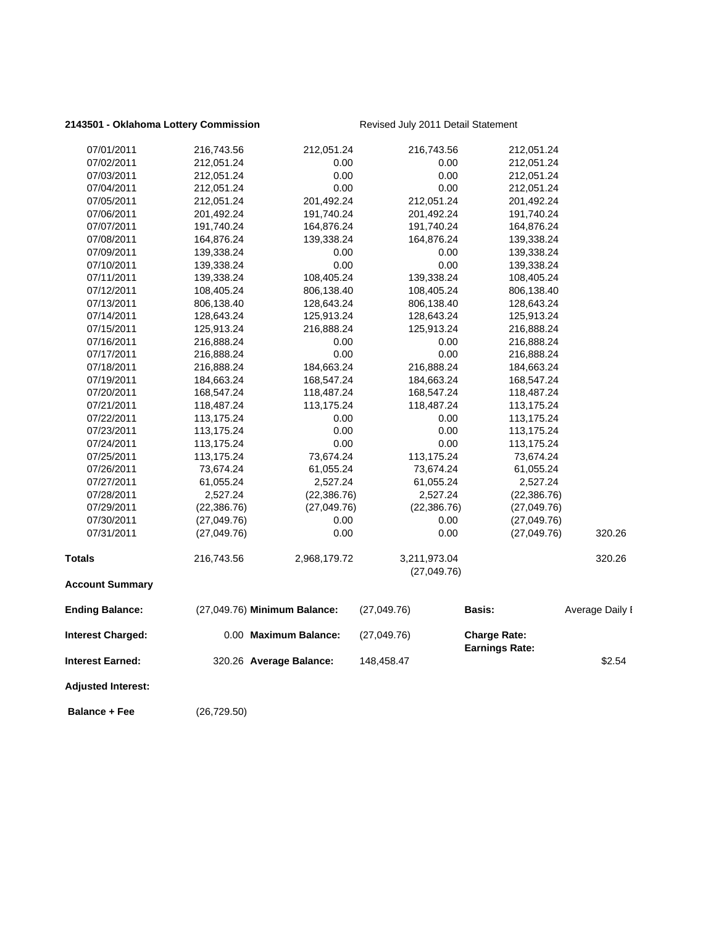### 2143501 - Oklahoma Lottery Commission Revised July 2011 Detail Statement

| <b>Balance + Fee</b>      | (26,729.50)              |                              |                             |                                              |                 |
|---------------------------|--------------------------|------------------------------|-----------------------------|----------------------------------------------|-----------------|
| <b>Adjusted Interest:</b> |                          |                              |                             |                                              |                 |
| <b>Interest Earned:</b>   |                          | 320.26 Average Balance:      | 148,458.47                  |                                              | \$2.54          |
| <b>Interest Charged:</b>  |                          | 0.00 Maximum Balance:        | (27,049.76)                 | <b>Charge Rate:</b><br><b>Earnings Rate:</b> |                 |
| <b>Ending Balance:</b>    |                          | (27,049.76) Minimum Balance: | (27,049.76)                 | Basis:                                       | Average Daily I |
| <b>Account Summary</b>    |                          |                              |                             |                                              |                 |
|                           | 216,743.56               |                              | 3,211,973.04<br>(27,049.76) |                                              | 320.26          |
| <b>Totals</b>             |                          | 2,968,179.72                 |                             |                                              |                 |
| 07/31/2011                | (27,049.76)              | 0.00                         | $0.00\,$                    | (27,049.76)                                  | 320.26          |
| 07/30/2011                | (27,049.76)              | 0.00                         | 0.00                        | (27,049.76)                                  |                 |
| 07/29/2011                | (22, 386.76)             | (27, 049.76)                 | (22, 386.76)                | (27,049.76)                                  |                 |
| 07/28/2011                | 2,527.24                 | (22, 386.76)                 | 2,527.24                    | (22, 386.76)                                 |                 |
| 07/27/2011                | 61,055.24                | 2,527.24                     | 61,055.24                   | 2,527.24                                     |                 |
| 07/26/2011                | 73,674.24                | 61,055.24                    | 73,674.24                   | 61,055.24                                    |                 |
| 07/25/2011                | 113,175.24               | 73,674.24                    | 113,175.24                  | 73,674.24                                    |                 |
| 07/24/2011                | 113,175.24               | 0.00                         | 0.00                        | 113,175.24                                   |                 |
| 07/23/2011                | 113,175.24               | 0.00                         | 0.00                        | 113,175.24                                   |                 |
| 07/22/2011                | 113,175.24               | 0.00                         | 0.00                        | 113,175.24                                   |                 |
| 07/21/2011                | 118,487.24               | 113,175.24                   | 118,487.24                  | 113,175.24                                   |                 |
| 07/20/2011                | 168,547.24               | 118,487.24                   | 168,547.24                  | 118,487.24                                   |                 |
| 07/19/2011                | 184,663.24               | 168,547.24                   | 184,663.24                  | 168,547.24                                   |                 |
| 07/18/2011                | 216,888.24               | 184,663.24                   | 216,888.24                  | 184,663.24                                   |                 |
| 07/17/2011                | 216,888.24               | 0.00                         | 0.00                        | 216,888.24                                   |                 |
| 07/16/2011                | 216,888.24               | 0.00                         | 0.00                        | 216,888.24                                   |                 |
| 07/15/2011                | 125,913.24               | 216,888.24                   | 125,913.24                  | 216,888.24                                   |                 |
| 07/14/2011                | 128,643.24               | 125,913.24                   | 128,643.24                  | 125,913.24                                   |                 |
| 07/12/2011<br>07/13/2011  | 108,405.24<br>806,138.40 | 806,138.40<br>128,643.24     | 108,405.24<br>806,138.40    | 806,138.40<br>128,643.24                     |                 |
| 07/11/2011                | 139,338.24               | 108,405.24                   | 139,338.24                  | 108,405.24                                   |                 |
| 07/10/2011                | 139,338.24               | 0.00                         | 0.00                        | 139,338.24                                   |                 |
| 07/09/2011                | 139,338.24               | 0.00                         | 0.00                        | 139,338.24                                   |                 |
| 07/08/2011                | 164,876.24               | 139,338.24                   | 164,876.24                  | 139,338.24                                   |                 |
| 07/07/2011                | 191,740.24               | 164,876.24                   | 191,740.24                  | 164,876.24                                   |                 |
| 07/06/2011                | 201,492.24               | 191,740.24                   | 201,492.24                  | 191,740.24                                   |                 |
| 07/05/2011                | 212,051.24               | 201,492.24                   | 212,051.24                  | 201,492.24                                   |                 |
| 07/04/2011                | 212,051.24               | 0.00                         | 0.00                        | 212,051.24                                   |                 |
| 07/03/2011                | 212,051.24               | 0.00                         | 0.00                        | 212,051.24                                   |                 |
| 07/02/2011                | 212,051.24               | 0.00                         | 0.00                        | 212,051.24                                   |                 |
| 07/01/2011                | 216,743.56               | 212,051.24                   | 216,743.56                  | 212,051.24                                   |                 |
|                           |                          |                              |                             |                                              |                 |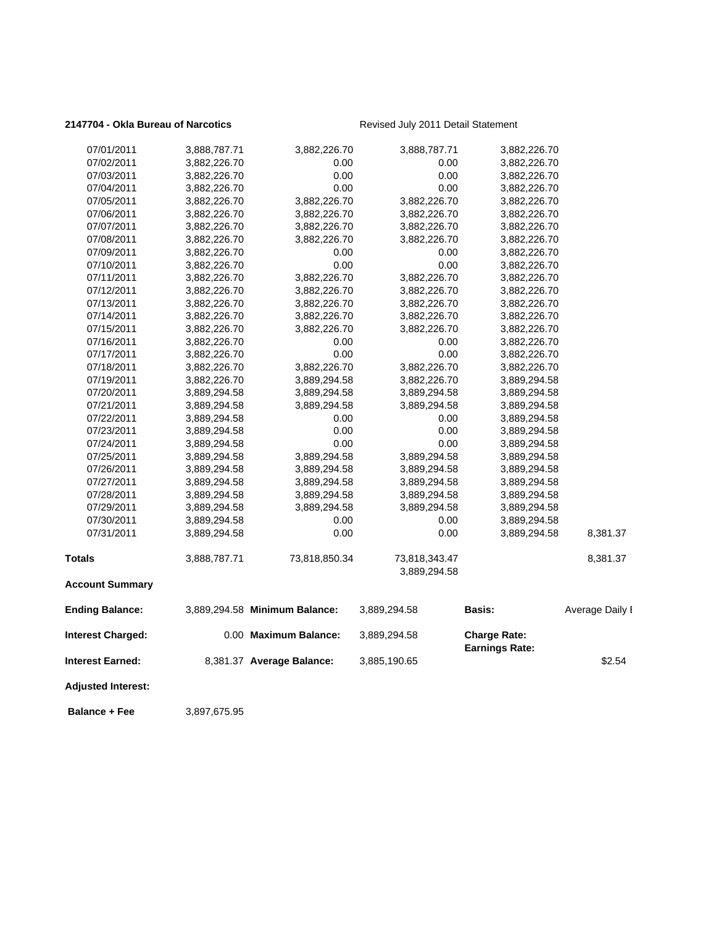### 2147704 - Okla Bureau of Narcotics<br>
Revised July 2011 Detail Statement

| 07/01/2011                | 3,888,787.71 | 3,882,226.70                  | 3,888,787.71                  | 3,882,226.70                                 |                 |
|---------------------------|--------------|-------------------------------|-------------------------------|----------------------------------------------|-----------------|
| 07/02/2011                | 3,882,226.70 | 0.00                          | 0.00                          | 3,882,226.70                                 |                 |
| 07/03/2011                | 3,882,226.70 | 0.00                          | 0.00                          | 3,882,226.70                                 |                 |
| 07/04/2011                | 3,882,226.70 | 0.00                          | 0.00                          | 3,882,226.70                                 |                 |
| 07/05/2011                | 3,882,226.70 | 3,882,226.70                  | 3,882,226.70                  | 3,882,226.70                                 |                 |
| 07/06/2011                | 3,882,226.70 | 3,882,226.70                  | 3,882,226.70                  | 3,882,226.70                                 |                 |
| 07/07/2011                | 3,882,226.70 | 3,882,226.70                  | 3,882,226.70                  | 3,882,226.70                                 |                 |
| 07/08/2011                | 3,882,226.70 | 3,882,226.70                  | 3,882,226.70                  | 3,882,226.70                                 |                 |
| 07/09/2011                | 3,882,226.70 | 0.00                          | 0.00                          | 3,882,226.70                                 |                 |
| 07/10/2011                | 3,882,226.70 | 0.00                          | 0.00                          | 3,882,226.70                                 |                 |
| 07/11/2011                | 3,882,226.70 | 3,882,226.70                  | 3,882,226.70                  | 3,882,226.70                                 |                 |
| 07/12/2011                | 3,882,226.70 | 3,882,226.70                  | 3,882,226.70                  | 3,882,226.70                                 |                 |
| 07/13/2011                | 3,882,226.70 | 3,882,226.70                  | 3,882,226.70                  | 3,882,226.70                                 |                 |
| 07/14/2011                | 3,882,226.70 | 3,882,226.70                  | 3,882,226.70                  | 3,882,226.70                                 |                 |
| 07/15/2011                | 3,882,226.70 | 3,882,226.70                  | 3,882,226.70                  | 3,882,226.70                                 |                 |
| 07/16/2011                | 3,882,226.70 | 0.00                          | 0.00                          | 3,882,226.70                                 |                 |
| 07/17/2011                | 3,882,226.70 | 0.00                          | 0.00                          | 3,882,226.70                                 |                 |
| 07/18/2011                | 3,882,226.70 | 3,882,226.70                  | 3,882,226.70                  | 3,882,226.70                                 |                 |
| 07/19/2011                | 3,882,226.70 | 3,889,294.58                  | 3,882,226.70                  | 3,889,294.58                                 |                 |
| 07/20/2011                | 3,889,294.58 | 3,889,294.58                  | 3,889,294.58                  | 3,889,294.58                                 |                 |
| 07/21/2011                | 3,889,294.58 | 3,889,294.58                  | 3,889,294.58                  | 3,889,294.58                                 |                 |
| 07/22/2011                | 3,889,294.58 | 0.00                          | 0.00                          | 3,889,294.58                                 |                 |
| 07/23/2011                | 3,889,294.58 | 0.00                          | 0.00                          | 3,889,294.58                                 |                 |
| 07/24/2011                | 3,889,294.58 | 0.00                          | 0.00                          | 3,889,294.58                                 |                 |
| 07/25/2011                | 3,889,294.58 | 3,889,294.58                  | 3,889,294.58                  | 3,889,294.58                                 |                 |
| 07/26/2011                | 3,889,294.58 | 3,889,294.58                  | 3,889,294.58                  | 3,889,294.58                                 |                 |
| 07/27/2011                | 3,889,294.58 | 3,889,294.58                  | 3,889,294.58                  | 3,889,294.58                                 |                 |
| 07/28/2011                | 3,889,294.58 | 3,889,294.58                  | 3,889,294.58                  | 3,889,294.58                                 |                 |
| 07/29/2011                | 3,889,294.58 | 3,889,294.58                  | 3,889,294.58                  | 3,889,294.58                                 |                 |
| 07/30/2011                | 3,889,294.58 | 0.00                          | 0.00                          | 3,889,294.58                                 |                 |
| 07/31/2011                | 3,889,294.58 | 0.00                          | 0.00                          | 3,889,294.58                                 | 8,381.37        |
| <b>Totals</b>             | 3,888,787.71 | 73,818,850.34                 | 73,818,343.47<br>3,889,294.58 |                                              | 8,381.37        |
| <b>Account Summary</b>    |              |                               |                               |                                              |                 |
| <b>Ending Balance:</b>    |              | 3,889,294.58 Minimum Balance: | 3,889,294.58                  | Basis:                                       | Average Daily I |
| <b>Interest Charged:</b>  |              | 0.00 Maximum Balance:         | 3,889,294.58                  | <b>Charge Rate:</b><br><b>Earnings Rate:</b> |                 |
| <b>Interest Earned:</b>   |              | 8,381.37 Average Balance:     | 3,885,190.65                  |                                              | \$2.54          |
| <b>Adjusted Interest:</b> |              |                               |                               |                                              |                 |
|                           |              |                               |                               |                                              |                 |

 **Balance + Fee** 3,897,675.95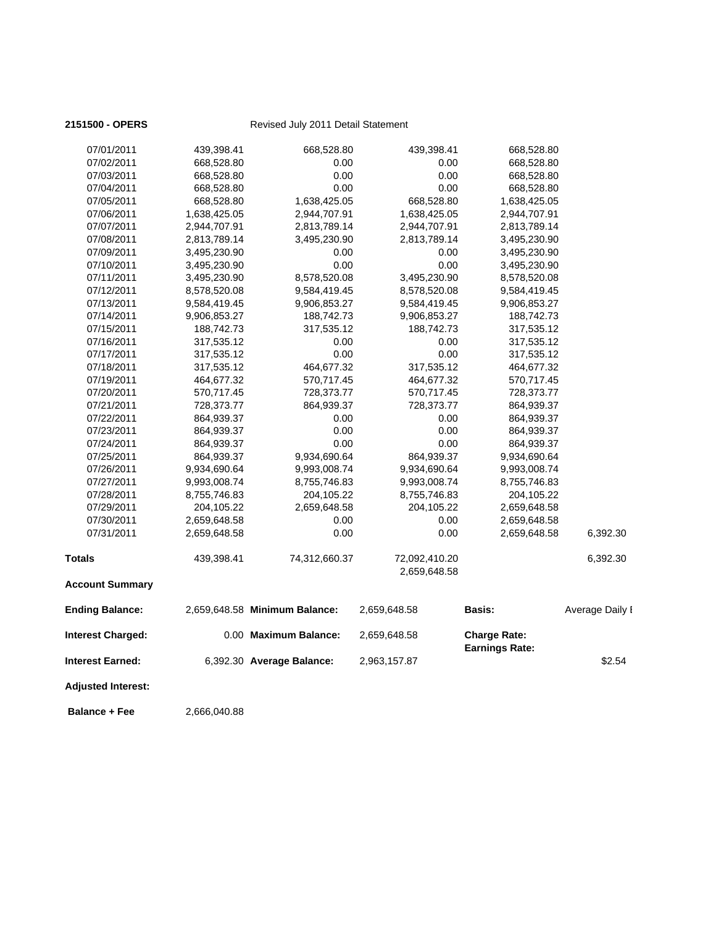| <b>Balance + Fee</b>      | 2,666,040.88 |                               |                               |                       |                 |
|---------------------------|--------------|-------------------------------|-------------------------------|-----------------------|-----------------|
| <b>Adjusted Interest:</b> |              |                               |                               |                       |                 |
| Interest Earned:          |              | 6,392.30 Average Balance:     | 2,963,157.87                  | <b>Earnings Rate:</b> | \$2.54          |
| <b>Interest Charged:</b>  |              | 0.00 Maximum Balance:         | 2,659,648.58                  | <b>Charge Rate:</b>   |                 |
| <b>Ending Balance:</b>    |              | 2,659,648.58 Minimum Balance: | 2,659,648.58                  | Basis:                | Average Daily I |
| <b>Account Summary</b>    |              |                               |                               |                       |                 |
| Totals                    | 439,398.41   | 74,312,660.37                 | 72,092,410.20<br>2,659,648.58 |                       | 6,392.30        |
| 07/31/2011                | 2,659,648.58 | 0.00                          | 0.00                          | 2,659,648.58          | 6,392.30        |
| 07/30/2011                | 2,659,648.58 | 0.00                          | 0.00                          | 2,659,648.58          |                 |
| 07/29/2011                | 204,105.22   | 2,659,648.58                  | 204,105.22                    | 2,659,648.58          |                 |
| 07/28/2011                | 8,755,746.83 | 204,105.22                    | 8,755,746.83                  | 204,105.22            |                 |
| 07/27/2011                | 9,993,008.74 | 8,755,746.83                  | 9,993,008.74                  | 8,755,746.83          |                 |
| 07/26/2011                | 9,934,690.64 | 9,993,008.74                  | 9,934,690.64                  | 9,993,008.74          |                 |
| 07/25/2011                | 864,939.37   | 9,934,690.64                  | 864,939.37                    | 9,934,690.64          |                 |
| 07/24/2011                | 864,939.37   | 0.00                          | 0.00                          | 864,939.37            |                 |
| 07/23/2011                | 864,939.37   | 0.00                          | 0.00                          | 864,939.37            |                 |
| 07/22/2011                | 864,939.37   | 0.00                          | 0.00                          | 864,939.37            |                 |
| 07/21/2011                | 728,373.77   | 864,939.37                    | 728,373.77                    | 864,939.37            |                 |
| 07/20/2011                | 570,717.45   | 728,373.77                    | 570,717.45                    | 728,373.77            |                 |
| 07/19/2011                | 464,677.32   | 570,717.45                    | 464,677.32                    | 570,717.45            |                 |
| 07/18/2011                | 317,535.12   | 464,677.32                    | 317,535.12                    | 464,677.32            |                 |
| 07/17/2011                | 317,535.12   | 0.00                          | 0.00                          | 317,535.12            |                 |
| 07/16/2011                | 317,535.12   | 0.00                          | 0.00                          | 317,535.12            |                 |
| 07/15/2011                | 188,742.73   | 317,535.12                    | 188,742.73                    | 317,535.12            |                 |
| 07/14/2011                | 9,906,853.27 | 188,742.73                    | 9,906,853.27                  | 188,742.73            |                 |
| 07/13/2011                | 9,584,419.45 | 9,906,853.27                  | 9,584,419.45                  | 9,906,853.27          |                 |
| 07/12/2011                | 8,578,520.08 | 9,584,419.45                  | 8,578,520.08                  | 9,584,419.45          |                 |
| 07/11/2011                | 3,495,230.90 | 8,578,520.08                  | 3,495,230.90                  | 8,578,520.08          |                 |
| 07/10/2011                | 3,495,230.90 | 0.00                          | 0.00                          | 3,495,230.90          |                 |
| 07/09/2011                | 3,495,230.90 | 0.00                          | 0.00                          | 3,495,230.90          |                 |
| 07/08/2011                | 2,813,789.14 | 3,495,230.90                  | 2,813,789.14                  | 3,495,230.90          |                 |
| 07/07/2011                | 2,944,707.91 | 2,813,789.14                  | 2,944,707.91                  | 2,813,789.14          |                 |
| 07/06/2011                | 1,638,425.05 | 2,944,707.91                  | 1,638,425.05                  | 2,944,707.91          |                 |
| 07/05/2011                | 668,528.80   | 1,638,425.05                  | 668,528.80                    | 1,638,425.05          |                 |
| 07/04/2011                | 668,528.80   | 0.00                          | 0.00                          | 668,528.80            |                 |
| 07/03/2011                | 668,528.80   | 0.00                          | 0.00                          | 668,528.80            |                 |
| 07/02/2011                |              | 0.00                          | 0.00                          | 668,528.80            |                 |
|                           | 668,528.80   |                               |                               |                       |                 |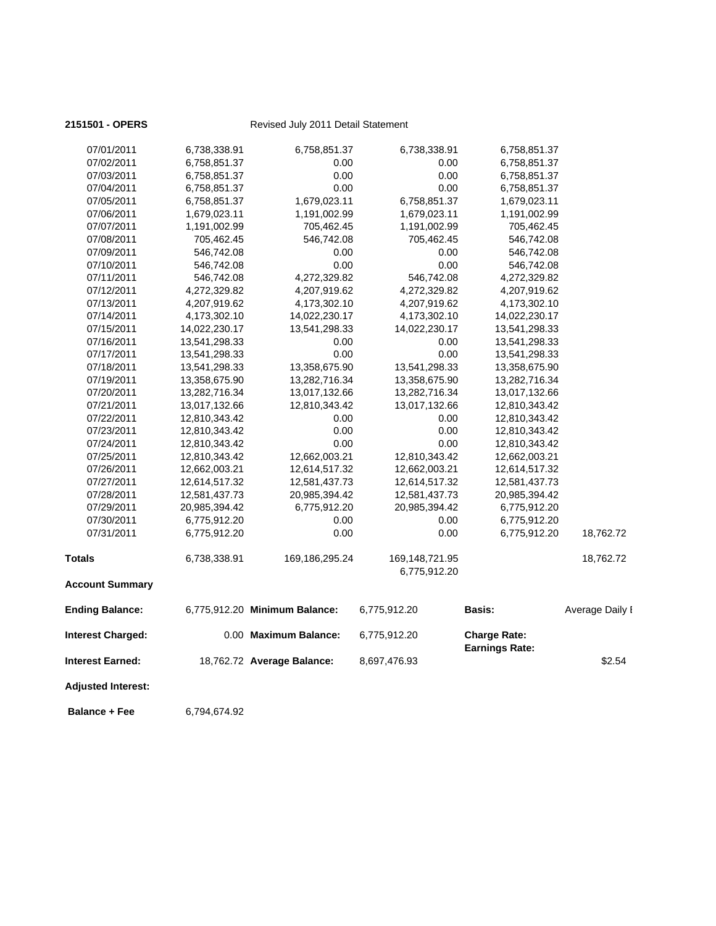| <b>Adjusted Interest:</b><br><b>Balance + Fee</b> | 6,794,674.92  |                               |                                |                                              |                 |
|---------------------------------------------------|---------------|-------------------------------|--------------------------------|----------------------------------------------|-----------------|
| Interest Earned:                                  |               | 18,762.72 Average Balance:    | 8,697,476.93                   |                                              | \$2.54          |
| Interest Charged:                                 |               | 0.00 Maximum Balance:         | 6,775,912.20                   | <b>Charge Rate:</b><br><b>Earnings Rate:</b> |                 |
| <b>Ending Balance:</b>                            |               | 6,775,912.20 Minimum Balance: | 6,775,912.20                   | <b>Basis:</b>                                | Average Daily I |
| <b>Account Summary</b>                            |               |                               |                                |                                              |                 |
| Totals                                            | 6,738,338.91  | 169, 186, 295. 24             | 169,148,721.95<br>6,775,912.20 |                                              | 18,762.72       |
| 07/31/2011                                        | 6,775,912.20  | 0.00                          | 0.00                           | 6,775,912.20                                 | 18,762.72       |
| 07/30/2011                                        | 6,775,912.20  | 0.00                          | 0.00                           | 6,775,912.20                                 |                 |
| 07/29/2011                                        | 20,985,394.42 | 6,775,912.20                  | 20,985,394.42                  | 6,775,912.20                                 |                 |
| 07/28/2011                                        | 12,581,437.73 | 20,985,394.42                 | 12,581,437.73                  | 20,985,394.42                                |                 |
| 07/27/2011                                        | 12,614,517.32 | 12,581,437.73                 | 12,614,517.32                  | 12,581,437.73                                |                 |
| 07/26/2011                                        | 12,662,003.21 | 12,614,517.32                 | 12,662,003.21                  | 12,614,517.32                                |                 |
| 07/25/2011                                        | 12,810,343.42 | 12,662,003.21                 | 12,810,343.42                  | 12,662,003.21                                |                 |
| 07/24/2011                                        | 12,810,343.42 | 0.00                          | 0.00                           | 12,810,343.42                                |                 |
| 07/23/2011                                        | 12,810,343.42 | 0.00                          | 0.00                           | 12,810,343.42                                |                 |
| 07/22/2011                                        | 12,810,343.42 | 0.00                          | 0.00                           | 12,810,343.42                                |                 |
| 07/21/2011                                        | 13,017,132.66 | 12,810,343.42                 | 13,017,132.66                  | 12,810,343.42                                |                 |
| 07/20/2011                                        | 13,282,716.34 | 13,017,132.66                 | 13,282,716.34                  | 13,017,132.66                                |                 |
| 07/19/2011                                        | 13,358,675.90 | 13,282,716.34                 | 13,358,675.90                  | 13,282,716.34                                |                 |
| 07/18/2011                                        | 13,541,298.33 | 13,358,675.90                 | 13,541,298.33                  | 13,358,675.90                                |                 |
| 07/17/2011                                        | 13,541,298.33 | 0.00                          | 0.00                           | 13,541,298.33                                |                 |
| 07/16/2011                                        | 13,541,298.33 | 0.00                          | 0.00                           | 13,541,298.33                                |                 |
| 07/15/2011                                        | 14,022,230.17 | 13,541,298.33                 | 14,022,230.17                  | 13,541,298.33                                |                 |
| 07/14/2011                                        | 4,173,302.10  | 14,022,230.17                 | 4,173,302.10                   | 14,022,230.17                                |                 |
| 07/13/2011                                        | 4,207,919.62  | 4,173,302.10                  | 4,207,919.62                   | 4,173,302.10                                 |                 |
| 07/12/2011                                        | 4,272,329.82  | 4,207,919.62                  | 4,272,329.82                   | 4,207,919.62                                 |                 |
| 07/11/2011                                        | 546,742.08    | 4,272,329.82                  | 546,742.08                     | 4,272,329.82                                 |                 |
| 07/10/2011                                        | 546,742.08    | 0.00                          | 0.00                           | 546,742.08                                   |                 |
| 07/09/2011                                        | 546,742.08    | 0.00                          | 0.00                           | 546,742.08                                   |                 |
| 07/08/2011                                        | 705,462.45    | 546,742.08                    | 705,462.45                     | 546,742.08                                   |                 |
| 07/07/2011                                        | 1,191,002.99  | 705,462.45                    | 1,191,002.99                   | 705,462.45                                   |                 |
| 07/06/2011                                        | 1,679,023.11  | 1,191,002.99                  | 1,679,023.11                   | 1,191,002.99                                 |                 |
| 07/05/2011                                        | 6,758,851.37  | 1,679,023.11                  | 6,758,851.37                   | 1,679,023.11                                 |                 |
| 07/04/2011                                        | 6,758,851.37  | 0.00                          | 0.00                           | 6,758,851.37                                 |                 |
| 07/03/2011                                        | 6,758,851.37  | 0.00                          | 0.00                           | 6,758,851.37                                 |                 |
| 07/02/2011                                        | 6,758,851.37  | 0.00                          | 0.00                           | 6,758,851.37                                 |                 |
|                                                   |               | 6,758,851.37                  |                                |                                              |                 |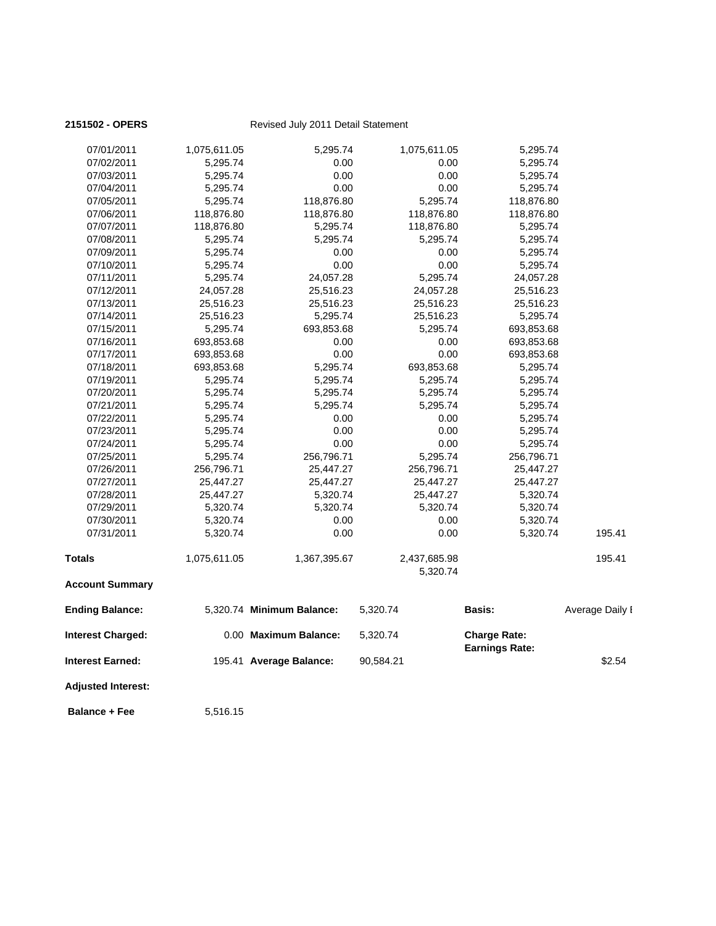| <b>Adjusted Interest:</b><br><b>Balance + Fee</b> | 5,516.15             |                                                  |                          |                                              |                 |
|---------------------------------------------------|----------------------|--------------------------------------------------|--------------------------|----------------------------------------------|-----------------|
|                                                   |                      |                                                  |                          |                                              |                 |
| <b>Interest Charged:</b><br>Interest Earned:      |                      | 0.00 Maximum Balance:<br>195.41 Average Balance: | 5,320.74<br>90,584.21    | <b>Charge Rate:</b><br><b>Earnings Rate:</b> | \$2.54          |
| <b>Ending Balance:</b>                            |                      | 5,320.74 Minimum Balance:                        | 5,320.74                 | Basis:                                       | Average Daily I |
| <b>Account Summary</b>                            |                      |                                                  |                          |                                              |                 |
| Totals                                            | 1,075,611.05         | 1,367,395.67                                     | 2,437,685.98<br>5,320.74 |                                              | 195.41          |
| 07/31/2011                                        | 5,320.74             | 0.00                                             | 0.00                     | 5,320.74                                     | 195.41          |
| 07/30/2011                                        | 5,320.74             | 0.00                                             | 0.00                     | 5,320.74                                     |                 |
| 07/29/2011                                        | 5,320.74             | 5,320.74                                         | 5,320.74                 | 5,320.74                                     |                 |
| 07/28/2011                                        | 25,447.27            | 5,320.74                                         | 25,447.27                | 5,320.74                                     |                 |
| 07/27/2011                                        | 25,447.27            | 25,447.27                                        | 25,447.27                | 25,447.27                                    |                 |
| 07/26/2011                                        | 256,796.71           | 25,447.27                                        | 256,796.71               | 25,447.27                                    |                 |
| 07/25/2011                                        | 5,295.74             | 256,796.71                                       | 5,295.74                 | 256,796.71                                   |                 |
| 07/24/2011                                        | 5,295.74             | 0.00                                             | 0.00                     | 5,295.74                                     |                 |
| 07/23/2011                                        | 5,295.74             | 0.00                                             | 0.00                     | 5,295.74                                     |                 |
| 07/22/2011                                        | 5,295.74             | 0.00                                             | 0.00                     | 5,295.74                                     |                 |
| 07/21/2011                                        | 5,295.74             | 5,295.74                                         | 5,295.74                 | 5,295.74                                     |                 |
| 07/20/2011                                        | 5,295.74             | 5,295.74                                         | 5,295.74                 | 5,295.74                                     |                 |
| 07/19/2011                                        | 5,295.74             | 5,295.74                                         | 5,295.74                 | 5,295.74                                     |                 |
| 07/18/2011                                        | 693,853.68           | 5,295.74                                         | 693,853.68               | 5,295.74                                     |                 |
| 07/17/2011                                        | 693,853.68           | 0.00                                             | 0.00                     | 693,853.68                                   |                 |
| 07/16/2011                                        | 693,853.68           | 0.00                                             | 0.00                     | 693,853.68                                   |                 |
| 07/15/2011                                        | 5,295.74             | 693,853.68                                       | 5,295.74                 | 693,853.68                                   |                 |
| 07/14/2011                                        | 25,516.23            | 5,295.74                                         | 25,516.23                | 5,295.74                                     |                 |
| 07/13/2011                                        | 25,516.23            | 25,516.23                                        | 25,516.23                | 25,516.23                                    |                 |
| 07/12/2011                                        | 24,057.28            | 25,516.23                                        | 24,057.28                | 25,516.23                                    |                 |
| 07/11/2011                                        | 5,295.74             | 24,057.28                                        | 5,295.74                 | 24,057.28                                    |                 |
| 07/10/2011                                        | 5,295.74             | 0.00                                             | 0.00                     | 5,295.74                                     |                 |
| 07/09/2011                                        | 5,295.74             | 0.00                                             | 0.00                     | 5,295.74                                     |                 |
| 07/08/2011                                        | 5,295.74             | 5,295.74                                         | 5,295.74                 | 5,295.74                                     |                 |
| 07/07/2011                                        | 118,876.80           | 5,295.74                                         | 118,876.80               | 5,295.74                                     |                 |
| 07/06/2011                                        | 118,876.80           | 118,876.80                                       | 118,876.80               | 118,876.80                                   |                 |
| 07/05/2011                                        | 5,295.74             | 118,876.80                                       | 5,295.74                 | 118,876.80                                   |                 |
| 07/04/2011                                        | 5,295.74             | 0.00                                             | 0.00                     | 5,295.74                                     |                 |
| 07/02/2011<br>07/03/2011                          | 5,295.74<br>5,295.74 | 0.00<br>0.00                                     | 0.00<br>0.00             | 5,295.74<br>5,295.74                         |                 |
|                                                   |                      |                                                  |                          |                                              |                 |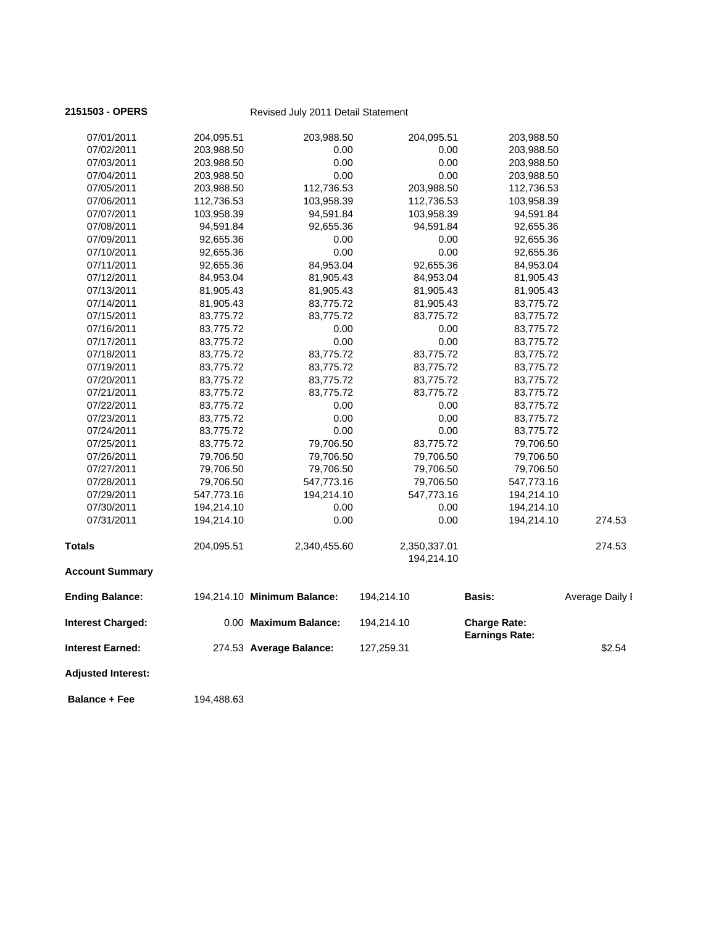| 07/01/2011                | 204,095.51 | 203,988.50                  | 204,095.51                 | 203,988.50                                   |                 |
|---------------------------|------------|-----------------------------|----------------------------|----------------------------------------------|-----------------|
| 07/02/2011                | 203,988.50 | 0.00                        | 0.00                       | 203,988.50                                   |                 |
| 07/03/2011                | 203,988.50 | 0.00                        | 0.00                       | 203,988.50                                   |                 |
| 07/04/2011                | 203,988.50 | 0.00                        | 0.00                       | 203,988.50                                   |                 |
| 07/05/2011                | 203,988.50 | 112,736.53                  | 203,988.50                 | 112,736.53                                   |                 |
| 07/06/2011                | 112,736.53 | 103,958.39                  | 112,736.53                 | 103,958.39                                   |                 |
| 07/07/2011                | 103,958.39 | 94,591.84                   | 103,958.39                 | 94,591.84                                    |                 |
| 07/08/2011                | 94,591.84  | 92,655.36                   | 94,591.84                  | 92,655.36                                    |                 |
| 07/09/2011                | 92,655.36  | 0.00                        | 0.00                       | 92,655.36                                    |                 |
| 07/10/2011                | 92,655.36  | 0.00                        | 0.00                       | 92,655.36                                    |                 |
| 07/11/2011                | 92,655.36  | 84,953.04                   | 92,655.36                  | 84,953.04                                    |                 |
| 07/12/2011                | 84,953.04  | 81,905.43                   | 84,953.04                  | 81,905.43                                    |                 |
| 07/13/2011                | 81,905.43  | 81,905.43                   | 81,905.43                  | 81,905.43                                    |                 |
| 07/14/2011                | 81,905.43  | 83,775.72                   | 81,905.43                  | 83,775.72                                    |                 |
| 07/15/2011                | 83,775.72  | 83,775.72                   | 83,775.72                  | 83,775.72                                    |                 |
| 07/16/2011                | 83,775.72  | 0.00                        | 0.00                       | 83,775.72                                    |                 |
| 07/17/2011                | 83,775.72  | 0.00                        | 0.00                       | 83,775.72                                    |                 |
| 07/18/2011                | 83,775.72  | 83,775.72                   | 83,775.72                  | 83,775.72                                    |                 |
| 07/19/2011                | 83,775.72  | 83,775.72                   | 83,775.72                  | 83,775.72                                    |                 |
| 07/20/2011                | 83,775.72  | 83,775.72                   | 83,775.72                  | 83,775.72                                    |                 |
| 07/21/2011                | 83,775.72  | 83,775.72                   | 83,775.72                  | 83,775.72                                    |                 |
| 07/22/2011                | 83,775.72  | 0.00                        | 0.00                       | 83,775.72                                    |                 |
| 07/23/2011                | 83,775.72  | 0.00                        | 0.00                       | 83,775.72                                    |                 |
| 07/24/2011                | 83,775.72  | 0.00                        | 0.00                       | 83,775.72                                    |                 |
| 07/25/2011                | 83,775.72  | 79,706.50                   | 83,775.72                  | 79,706.50                                    |                 |
| 07/26/2011                | 79,706.50  | 79,706.50                   | 79,706.50                  | 79,706.50                                    |                 |
| 07/27/2011                | 79,706.50  | 79,706.50                   | 79,706.50                  | 79,706.50                                    |                 |
| 07/28/2011                | 79,706.50  | 547,773.16                  | 79,706.50                  | 547,773.16                                   |                 |
| 07/29/2011                | 547,773.16 | 194,214.10                  | 547,773.16                 | 194,214.10                                   |                 |
| 07/30/2011                | 194,214.10 | 0.00                        | 0.00                       | 194,214.10                                   |                 |
| 07/31/2011                | 194,214.10 | 0.00                        | 0.00                       | 194,214.10                                   | 274.53          |
| Totals                    | 204,095.51 | 2,340,455.60                | 2,350,337.01<br>194,214.10 |                                              | 274.53          |
| <b>Account Summary</b>    |            |                             |                            |                                              |                 |
| <b>Ending Balance:</b>    |            | 194,214.10 Minimum Balance: | 194,214.10                 | Basis:                                       | Average Daily I |
| <b>Interest Charged:</b>  |            | 0.00 Maximum Balance:       | 194,214.10                 | <b>Charge Rate:</b><br><b>Earnings Rate:</b> |                 |
| <b>Interest Earned:</b>   |            | 274.53 Average Balance:     | 127,259.31                 |                                              | \$2.54          |
| <b>Adjusted Interest:</b> |            |                             |                            |                                              |                 |

**Balance + Fee** 194,488.63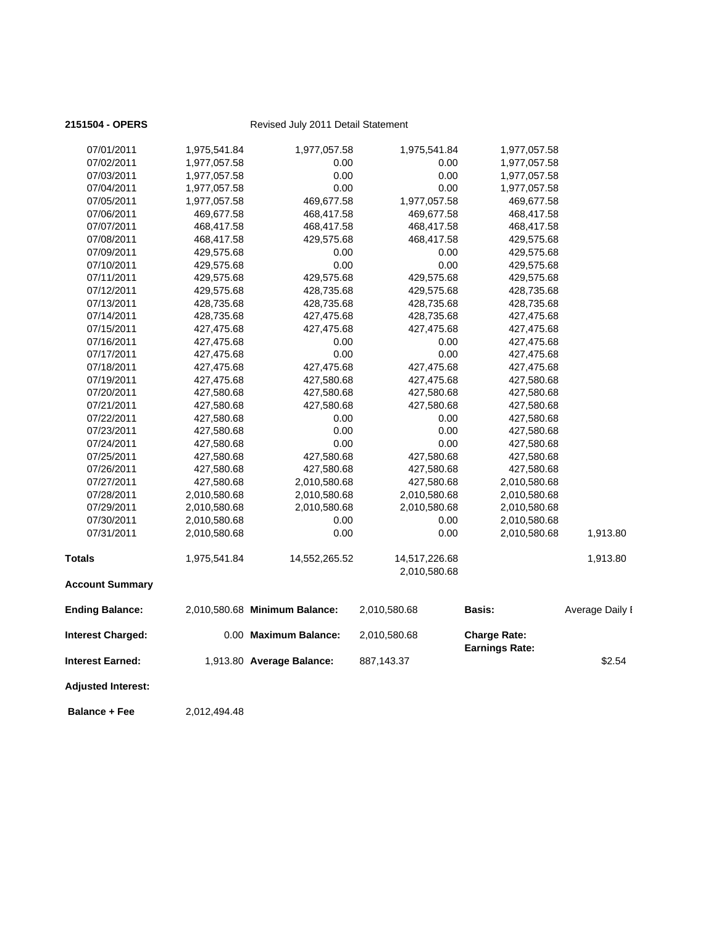| 2151504 - OPERS           |              | Revised July 2011 Detail Statement |                               |                                              |                 |
|---------------------------|--------------|------------------------------------|-------------------------------|----------------------------------------------|-----------------|
| 07/01/2011                | 1,975,541.84 | 1,977,057.58                       | 1,975,541.84                  | 1,977,057.58                                 |                 |
| 07/02/2011                | 1,977,057.58 | 0.00                               | 0.00                          | 1,977,057.58                                 |                 |
| 07/03/2011                | 1,977,057.58 | 0.00                               | 0.00                          | 1,977,057.58                                 |                 |
| 07/04/2011                | 1,977,057.58 | 0.00                               | 0.00                          | 1,977,057.58                                 |                 |
| 07/05/2011                | 1,977,057.58 | 469,677.58                         | 1,977,057.58                  | 469,677.58                                   |                 |
| 07/06/2011                | 469,677.58   | 468,417.58                         | 469,677.58                    | 468,417.58                                   |                 |
| 07/07/2011                | 468,417.58   | 468,417.58                         | 468,417.58                    | 468,417.58                                   |                 |
| 07/08/2011                | 468,417.58   | 429,575.68                         | 468,417.58                    | 429,575.68                                   |                 |
| 07/09/2011                | 429,575.68   | 0.00                               | 0.00                          | 429,575.68                                   |                 |
| 07/10/2011                | 429,575.68   | 0.00                               | 0.00                          | 429,575.68                                   |                 |
| 07/11/2011                | 429,575.68   | 429,575.68                         | 429,575.68                    | 429,575.68                                   |                 |
| 07/12/2011                | 429,575.68   | 428,735.68                         | 429,575.68                    | 428,735.68                                   |                 |
| 07/13/2011                | 428,735.68   | 428,735.68                         | 428,735.68                    | 428,735.68                                   |                 |
| 07/14/2011                | 428,735.68   | 427,475.68                         | 428,735.68                    | 427,475.68                                   |                 |
| 07/15/2011                | 427,475.68   | 427,475.68                         | 427,475.68                    | 427,475.68                                   |                 |
| 07/16/2011                | 427,475.68   | 0.00                               | 0.00                          | 427,475.68                                   |                 |
| 07/17/2011                | 427,475.68   | 0.00                               | 0.00                          | 427,475.68                                   |                 |
| 07/18/2011                | 427,475.68   | 427,475.68                         | 427,475.68                    | 427,475.68                                   |                 |
| 07/19/2011                | 427,475.68   | 427,580.68                         | 427,475.68                    | 427,580.68                                   |                 |
| 07/20/2011                | 427,580.68   | 427,580.68                         | 427,580.68                    | 427,580.68                                   |                 |
| 07/21/2011                | 427,580.68   | 427,580.68                         | 427,580.68                    | 427,580.68                                   |                 |
| 07/22/2011                | 427,580.68   | 0.00                               | 0.00                          | 427,580.68                                   |                 |
| 07/23/2011                | 427,580.68   | 0.00                               | 0.00                          | 427,580.68                                   |                 |
| 07/24/2011                | 427,580.68   | 0.00                               | 0.00                          | 427,580.68                                   |                 |
| 07/25/2011                | 427,580.68   | 427,580.68                         | 427,580.68                    | 427,580.68                                   |                 |
| 07/26/2011                | 427,580.68   | 427,580.68                         | 427,580.68                    | 427,580.68                                   |                 |
| 07/27/2011                | 427,580.68   | 2,010,580.68                       | 427,580.68                    | 2,010,580.68                                 |                 |
| 07/28/2011                | 2,010,580.68 | 2,010,580.68                       | 2,010,580.68                  | 2,010,580.68                                 |                 |
| 07/29/2011                | 2,010,580.68 | 2,010,580.68                       | 2,010,580.68                  | 2,010,580.68                                 |                 |
| 07/30/2011                | 2,010,580.68 | 0.00                               | 0.00                          | 2,010,580.68                                 |                 |
| 07/31/2011                | 2,010,580.68 | 0.00                               | 0.00                          | 2,010,580.68                                 | 1,913.80        |
| <b>Totals</b>             | 1,975,541.84 | 14,552,265.52                      | 14,517,226.68<br>2,010,580.68 |                                              | 1,913.80        |
| <b>Account Summary</b>    |              |                                    |                               |                                              |                 |
| <b>Ending Balance:</b>    |              | 2,010,580.68 Minimum Balance:      | 2,010,580.68                  | Basis:                                       | Average Daily I |
| <b>Interest Charged:</b>  |              | 0.00 Maximum Balance:              | 2,010,580.68                  | <b>Charge Rate:</b><br><b>Earnings Rate:</b> |                 |
| <b>Interest Earned:</b>   |              | 1,913.80 Average Balance:          | 887,143.37                    |                                              | \$2.54          |
| <b>Adjusted Interest:</b> |              |                                    |                               |                                              |                 |
| <b>Balance + Fee</b>      | 2,012,494.48 |                                    |                               |                                              |                 |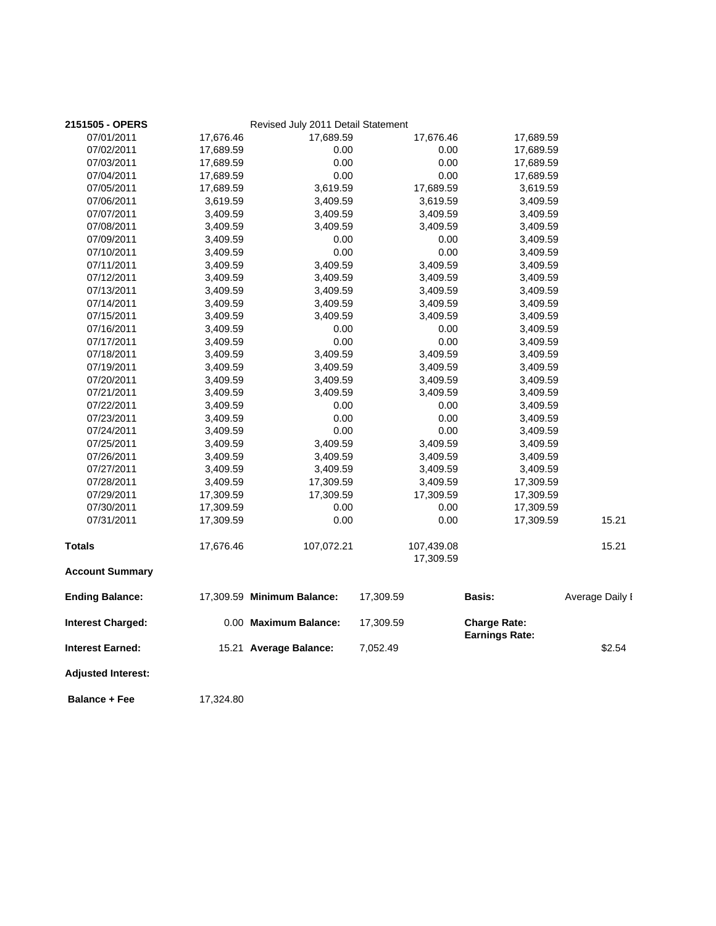| 2151505 - OPERS           |           | Revised July 2011 Detail Statement |                         |                                              |                 |
|---------------------------|-----------|------------------------------------|-------------------------|----------------------------------------------|-----------------|
| 07/01/2011                | 17,676.46 | 17,689.59                          | 17,676.46               | 17,689.59                                    |                 |
| 07/02/2011                | 17,689.59 | 0.00                               | 0.00                    | 17,689.59                                    |                 |
| 07/03/2011                | 17,689.59 | 0.00                               | 0.00                    | 17,689.59                                    |                 |
| 07/04/2011                | 17,689.59 | 0.00                               | 0.00                    | 17,689.59                                    |                 |
| 07/05/2011                | 17,689.59 | 3,619.59                           | 17,689.59               | 3,619.59                                     |                 |
| 07/06/2011                | 3,619.59  | 3,409.59                           | 3,619.59                | 3,409.59                                     |                 |
| 07/07/2011                | 3,409.59  | 3,409.59                           | 3,409.59                | 3,409.59                                     |                 |
| 07/08/2011                | 3,409.59  | 3,409.59                           | 3,409.59                | 3,409.59                                     |                 |
| 07/09/2011                | 3,409.59  | 0.00                               | 0.00                    | 3,409.59                                     |                 |
| 07/10/2011                | 3,409.59  | 0.00                               | 0.00                    | 3,409.59                                     |                 |
| 07/11/2011                | 3,409.59  | 3,409.59                           | 3,409.59                | 3,409.59                                     |                 |
| 07/12/2011                | 3,409.59  | 3,409.59                           | 3,409.59                | 3,409.59                                     |                 |
| 07/13/2011                | 3,409.59  | 3,409.59                           | 3,409.59                | 3,409.59                                     |                 |
| 07/14/2011                | 3,409.59  | 3,409.59                           | 3,409.59                | 3,409.59                                     |                 |
| 07/15/2011                | 3,409.59  | 3,409.59                           | 3,409.59                | 3,409.59                                     |                 |
| 07/16/2011                | 3,409.59  | 0.00                               | 0.00                    | 3,409.59                                     |                 |
| 07/17/2011                | 3,409.59  | 0.00                               | 0.00                    | 3,409.59                                     |                 |
| 07/18/2011                | 3,409.59  | 3,409.59                           | 3,409.59                | 3,409.59                                     |                 |
| 07/19/2011                | 3,409.59  | 3,409.59                           | 3,409.59                | 3,409.59                                     |                 |
| 07/20/2011                | 3,409.59  | 3,409.59                           | 3,409.59                | 3,409.59                                     |                 |
| 07/21/2011                | 3,409.59  | 3,409.59                           | 3,409.59                | 3,409.59                                     |                 |
| 07/22/2011                | 3,409.59  | 0.00                               | 0.00                    | 3,409.59                                     |                 |
| 07/23/2011                | 3,409.59  | 0.00                               | 0.00                    | 3,409.59                                     |                 |
| 07/24/2011                | 3,409.59  | 0.00                               | 0.00                    | 3,409.59                                     |                 |
| 07/25/2011                | 3,409.59  | 3,409.59                           | 3,409.59                | 3,409.59                                     |                 |
| 07/26/2011                | 3,409.59  | 3,409.59                           | 3,409.59                | 3,409.59                                     |                 |
| 07/27/2011                | 3,409.59  | 3,409.59                           | 3,409.59                | 3,409.59                                     |                 |
| 07/28/2011                | 3,409.59  | 17,309.59                          | 3,409.59                | 17,309.59                                    |                 |
| 07/29/2011                | 17,309.59 | 17,309.59                          | 17,309.59               | 17,309.59                                    |                 |
| 07/30/2011                | 17,309.59 | 0.00                               | 0.00                    | 17,309.59                                    |                 |
| 07/31/2011                | 17,309.59 | 0.00                               | 0.00                    | 17,309.59                                    | 15.21           |
| <b>Totals</b>             | 17,676.46 | 107,072.21                         | 107,439.08<br>17,309.59 |                                              | 15.21           |
| <b>Account Summary</b>    |           |                                    |                         |                                              |                 |
| <b>Ending Balance:</b>    |           | 17,309.59 Minimum Balance:         | 17,309.59               | <b>Basis:</b>                                | Average Daily I |
| <b>Interest Charged:</b>  |           | 0.00 Maximum Balance:              | 17,309.59               | <b>Charge Rate:</b><br><b>Earnings Rate:</b> |                 |
| <b>Interest Earned:</b>   |           | 15.21 Average Balance:             | 7,052.49                |                                              | \$2.54          |
| <b>Adjusted Interest:</b> |           |                                    |                         |                                              |                 |

**Balance + Fee** 17,324.80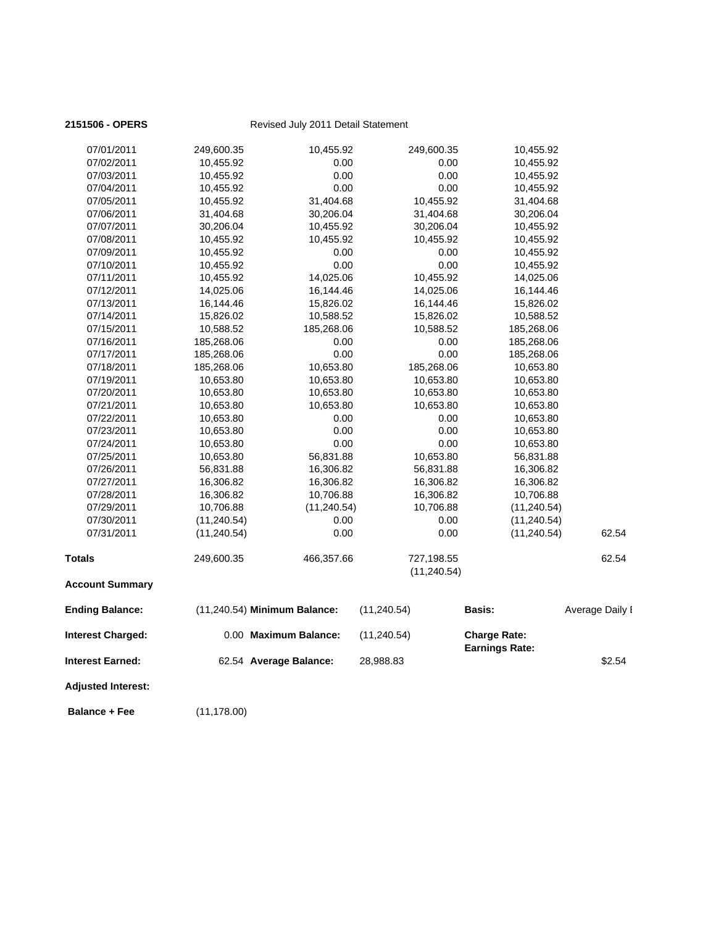| 10,653.80<br>10,653.80<br>10,653.80<br>56,831.88<br>16,306.82<br>16,306.82<br>10,706.88<br>(11, 240.54)<br>(11, 240.54)<br>249,600.35 | 0.00<br>0.00<br>56,831.88<br>16,306.82<br>16,306.82<br>10,706.88<br>(11, 240.54)<br>0.00<br>0.00<br>466,357.66<br>(11,240.54) Minimum Balance:<br>0.00 Maximum Balance:<br>62.54 Average Balance: | 0.00<br>0.00<br>10,653.80<br>56,831.88<br>16,306.82<br>16,306.82<br>10,706.88<br>0.00<br>0.00<br>727,198.55<br>(11, 240.54)<br>(11, 240.54)<br>(11, 240.54)<br>28,988.83 | 10,653.80<br>10,653.80<br>56,831.88<br>16,306.82<br>16,306.82<br>10,706.88<br>(11, 240.54)<br>(11, 240.54)<br>(11, 240.54)<br>Basis:<br><b>Charge Rate:</b><br><b>Earnings Rate:</b> | 62.54<br>62.54<br>Average Daily I<br>\$2.54                                                                                                    |
|---------------------------------------------------------------------------------------------------------------------------------------|---------------------------------------------------------------------------------------------------------------------------------------------------------------------------------------------------|--------------------------------------------------------------------------------------------------------------------------------------------------------------------------|--------------------------------------------------------------------------------------------------------------------------------------------------------------------------------------|------------------------------------------------------------------------------------------------------------------------------------------------|
|                                                                                                                                       |                                                                                                                                                                                                   |                                                                                                                                                                          |                                                                                                                                                                                      |                                                                                                                                                |
|                                                                                                                                       |                                                                                                                                                                                                   |                                                                                                                                                                          |                                                                                                                                                                                      |                                                                                                                                                |
|                                                                                                                                       |                                                                                                                                                                                                   |                                                                                                                                                                          |                                                                                                                                                                                      |                                                                                                                                                |
|                                                                                                                                       |                                                                                                                                                                                                   |                                                                                                                                                                          |                                                                                                                                                                                      |                                                                                                                                                |
|                                                                                                                                       |                                                                                                                                                                                                   |                                                                                                                                                                          |                                                                                                                                                                                      |                                                                                                                                                |
|                                                                                                                                       |                                                                                                                                                                                                   |                                                                                                                                                                          |                                                                                                                                                                                      |                                                                                                                                                |
|                                                                                                                                       |                                                                                                                                                                                                   |                                                                                                                                                                          |                                                                                                                                                                                      |                                                                                                                                                |
|                                                                                                                                       |                                                                                                                                                                                                   |                                                                                                                                                                          |                                                                                                                                                                                      |                                                                                                                                                |
|                                                                                                                                       |                                                                                                                                                                                                   |                                                                                                                                                                          |                                                                                                                                                                                      |                                                                                                                                                |
|                                                                                                                                       |                                                                                                                                                                                                   |                                                                                                                                                                          |                                                                                                                                                                                      |                                                                                                                                                |
|                                                                                                                                       |                                                                                                                                                                                                   |                                                                                                                                                                          |                                                                                                                                                                                      |                                                                                                                                                |
|                                                                                                                                       |                                                                                                                                                                                                   |                                                                                                                                                                          |                                                                                                                                                                                      |                                                                                                                                                |
|                                                                                                                                       |                                                                                                                                                                                                   |                                                                                                                                                                          |                                                                                                                                                                                      |                                                                                                                                                |
|                                                                                                                                       |                                                                                                                                                                                                   |                                                                                                                                                                          |                                                                                                                                                                                      |                                                                                                                                                |
|                                                                                                                                       |                                                                                                                                                                                                   |                                                                                                                                                                          |                                                                                                                                                                                      |                                                                                                                                                |
| 10,653.80                                                                                                                             | 0.00                                                                                                                                                                                              | 0.00                                                                                                                                                                     | 10,653.80                                                                                                                                                                            |                                                                                                                                                |
|                                                                                                                                       |                                                                                                                                                                                                   |                                                                                                                                                                          |                                                                                                                                                                                      |                                                                                                                                                |
|                                                                                                                                       |                                                                                                                                                                                                   |                                                                                                                                                                          |                                                                                                                                                                                      |                                                                                                                                                |
|                                                                                                                                       |                                                                                                                                                                                                   |                                                                                                                                                                          |                                                                                                                                                                                      |                                                                                                                                                |
|                                                                                                                                       |                                                                                                                                                                                                   |                                                                                                                                                                          |                                                                                                                                                                                      |                                                                                                                                                |
|                                                                                                                                       |                                                                                                                                                                                                   |                                                                                                                                                                          |                                                                                                                                                                                      |                                                                                                                                                |
|                                                                                                                                       |                                                                                                                                                                                                   |                                                                                                                                                                          |                                                                                                                                                                                      |                                                                                                                                                |
|                                                                                                                                       |                                                                                                                                                                                                   |                                                                                                                                                                          |                                                                                                                                                                                      |                                                                                                                                                |
|                                                                                                                                       |                                                                                                                                                                                                   |                                                                                                                                                                          |                                                                                                                                                                                      |                                                                                                                                                |
|                                                                                                                                       |                                                                                                                                                                                                   |                                                                                                                                                                          |                                                                                                                                                                                      |                                                                                                                                                |
|                                                                                                                                       |                                                                                                                                                                                                   |                                                                                                                                                                          |                                                                                                                                                                                      |                                                                                                                                                |
|                                                                                                                                       |                                                                                                                                                                                                   | 10,455.92                                                                                                                                                                | 14,025.06                                                                                                                                                                            |                                                                                                                                                |
| 10,455.92                                                                                                                             | 0.00                                                                                                                                                                                              | 0.00                                                                                                                                                                     | 10,455.92                                                                                                                                                                            |                                                                                                                                                |
| 10,455.92                                                                                                                             | 0.00                                                                                                                                                                                              | 0.00                                                                                                                                                                     | 10,455.92                                                                                                                                                                            |                                                                                                                                                |
| 10,455.92                                                                                                                             | 10,455.92                                                                                                                                                                                         | 10,455.92                                                                                                                                                                | 10,455.92                                                                                                                                                                            |                                                                                                                                                |
| 30,206.04                                                                                                                             | 10,455.92                                                                                                                                                                                         | 30,206.04                                                                                                                                                                | 10,455.92                                                                                                                                                                            |                                                                                                                                                |
| 31,404.68                                                                                                                             | 30,206.04                                                                                                                                                                                         | 31,404.68                                                                                                                                                                | 30,206.04                                                                                                                                                                            |                                                                                                                                                |
| 10,455.92                                                                                                                             | 31,404.68                                                                                                                                                                                         | 10,455.92                                                                                                                                                                | 31,404.68                                                                                                                                                                            |                                                                                                                                                |
| 10,455.92                                                                                                                             | 0.00                                                                                                                                                                                              | 0.00                                                                                                                                                                     | 10,455.92                                                                                                                                                                            |                                                                                                                                                |
| 10,455.92                                                                                                                             | 0.00                                                                                                                                                                                              | 0.00                                                                                                                                                                     | 10,455.92                                                                                                                                                                            |                                                                                                                                                |
| 10,455.92                                                                                                                             | 0.00                                                                                                                                                                                              | 0.00                                                                                                                                                                     |                                                                                                                                                                                      |                                                                                                                                                |
|                                                                                                                                       | 10,455.92                                                                                                                                                                                         | 249,600.35                                                                                                                                                               | 10,455.92                                                                                                                                                                            |                                                                                                                                                |
|                                                                                                                                       | 249,600.35<br>10,455.92<br>14,025.06<br>16,144.46<br>15,826.02<br>10,588.52<br>185,268.06<br>185,268.06<br>185,268.06<br>10,653.80<br>10,653.80<br>10,653.80                                      | 14,025.06<br>16,144.46<br>15,826.02<br>10,588.52<br>185,268.06<br>0.00<br>0.00<br>10,653.80<br>10,653.80<br>10,653.80<br>10,653.80                                       | 14,025.06<br>16,144.46<br>15,826.02<br>10,588.52<br>0.00<br>0.00<br>185,268.06<br>10,653.80<br>10,653.80<br>10,653.80                                                                | 10,455.92<br>16,144.46<br>15,826.02<br>10,588.52<br>185,268.06<br>185,268.06<br>185,268.06<br>10,653.80<br>10,653.80<br>10,653.80<br>10,653.80 |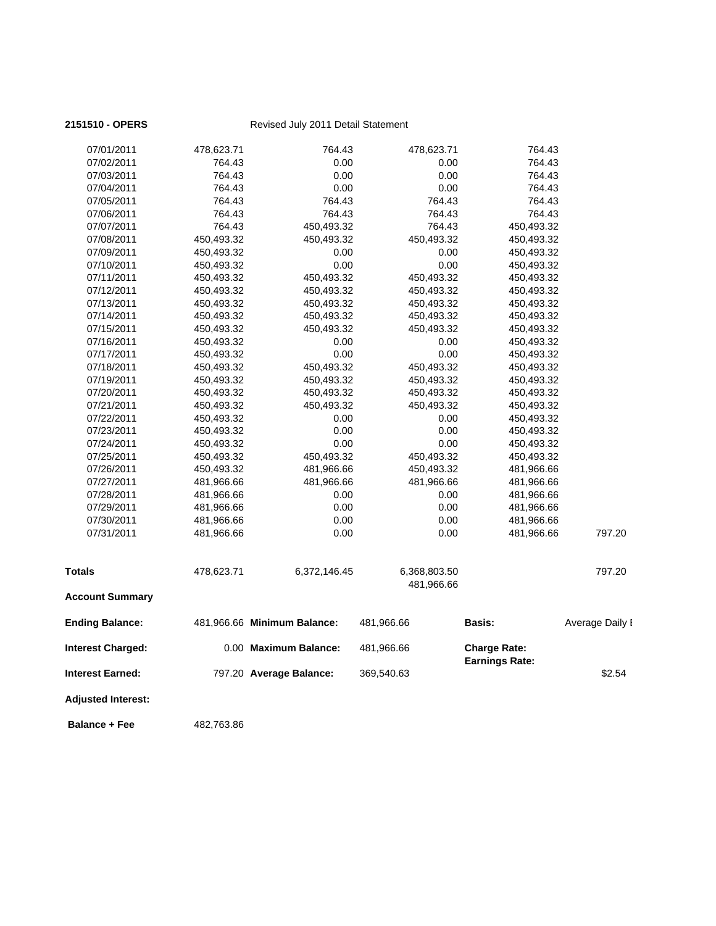| 07/01/2011               | 478,623.71 | 764.43                      | 478,623.71                 | 764.43                |                 |
|--------------------------|------------|-----------------------------|----------------------------|-----------------------|-----------------|
| 07/02/2011               | 764.43     | 0.00                        | 0.00                       | 764.43                |                 |
| 07/03/2011               | 764.43     | 0.00                        | 0.00                       | 764.43                |                 |
| 07/04/2011               | 764.43     | 0.00                        | 0.00                       | 764.43                |                 |
| 07/05/2011               | 764.43     | 764.43                      | 764.43                     | 764.43                |                 |
| 07/06/2011               | 764.43     | 764.43                      | 764.43                     | 764.43                |                 |
| 07/07/2011               | 764.43     | 450,493.32                  | 764.43                     | 450,493.32            |                 |
| 07/08/2011               | 450,493.32 | 450,493.32                  | 450,493.32                 | 450,493.32            |                 |
| 07/09/2011               | 450,493.32 | 0.00                        | 0.00                       | 450,493.32            |                 |
| 07/10/2011               | 450,493.32 | 0.00                        | 0.00                       | 450,493.32            |                 |
| 07/11/2011               | 450,493.32 | 450,493.32                  | 450,493.32                 | 450,493.32            |                 |
| 07/12/2011               | 450,493.32 | 450,493.32                  | 450,493.32                 | 450,493.32            |                 |
| 07/13/2011               | 450,493.32 | 450,493.32                  | 450,493.32                 | 450,493.32            |                 |
| 07/14/2011               | 450,493.32 | 450,493.32                  | 450,493.32                 | 450,493.32            |                 |
| 07/15/2011               | 450,493.32 | 450,493.32                  | 450,493.32                 | 450,493.32            |                 |
| 07/16/2011               | 450,493.32 | 0.00                        | 0.00                       | 450,493.32            |                 |
| 07/17/2011               | 450,493.32 | 0.00                        | 0.00                       | 450,493.32            |                 |
| 07/18/2011               | 450,493.32 | 450,493.32                  | 450,493.32                 | 450,493.32            |                 |
| 07/19/2011               | 450,493.32 | 450,493.32                  | 450,493.32                 | 450,493.32            |                 |
| 07/20/2011               | 450,493.32 | 450,493.32                  | 450,493.32                 | 450,493.32            |                 |
| 07/21/2011               | 450,493.32 | 450,493.32                  | 450,493.32                 | 450,493.32            |                 |
| 07/22/2011               | 450,493.32 | 0.00                        | 0.00                       | 450,493.32            |                 |
| 07/23/2011               | 450,493.32 | 0.00                        | 0.00                       | 450,493.32            |                 |
| 07/24/2011               | 450,493.32 | 0.00                        | 0.00                       | 450,493.32            |                 |
| 07/25/2011               | 450,493.32 | 450,493.32                  | 450,493.32                 | 450,493.32            |                 |
| 07/26/2011               | 450,493.32 | 481,966.66                  | 450,493.32                 | 481,966.66            |                 |
| 07/27/2011               | 481,966.66 | 481,966.66                  | 481,966.66                 | 481,966.66            |                 |
| 07/28/2011               | 481,966.66 | 0.00                        | 0.00                       | 481,966.66            |                 |
| 07/29/2011               | 481,966.66 | 0.00                        | 0.00                       | 481,966.66            |                 |
| 07/30/2011               | 481,966.66 | 0.00                        | 0.00                       | 481,966.66            |                 |
| 07/31/2011               | 481,966.66 | 0.00                        | 0.00                       | 481,966.66            | 797.20          |
| Totals                   | 478,623.71 | 6,372,146.45                | 6,368,803.50<br>481,966.66 |                       | 797.20          |
| <b>Account Summary</b>   |            |                             |                            |                       |                 |
| <b>Ending Balance:</b>   |            | 481,966.66 Minimum Balance: | 481,966.66                 | <b>Basis:</b>         | Average Daily I |
| <b>Interest Charged:</b> |            | 0.00 Maximum Balance:       | 481,966.66                 | <b>Charge Rate:</b>   |                 |
| Interest Earned:         |            | 797.20 Average Balance:     | 369,540.63                 | <b>Earnings Rate:</b> | \$2.54          |
| Adjusted Interest:       |            |                             |                            |                       |                 |

**Balance + Fee** 482,763.86

# 2151510 - OPERS<br>
Revised July 2011 Detail Statement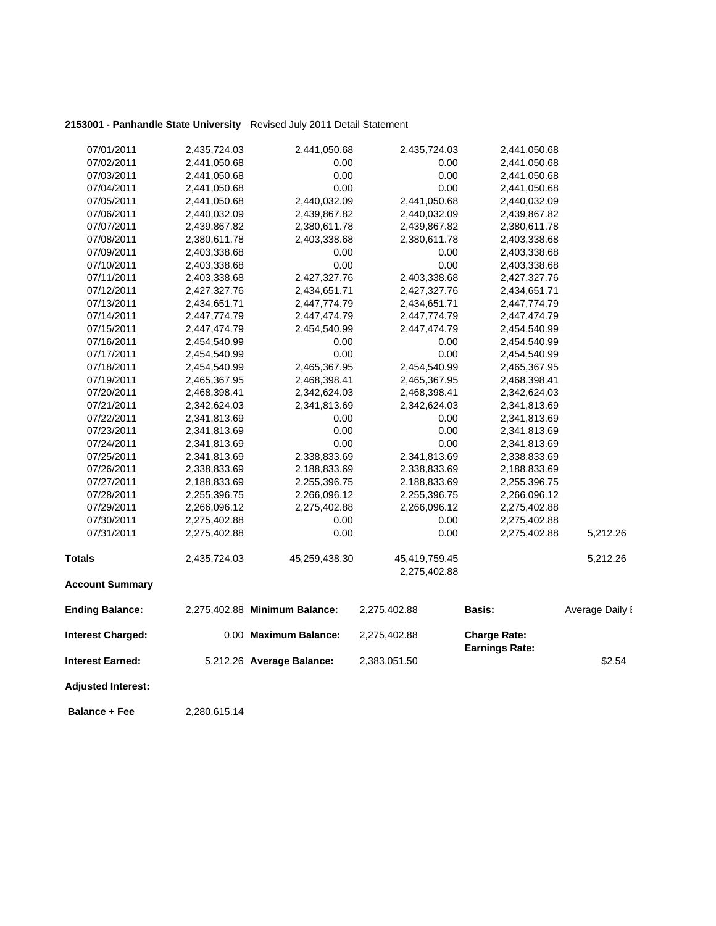### **2153001 - Panhandle State University** Revised July 2011 Detail Statement

| 07/01/2011                | 2,435,724.03 | 2,441,050.68                  | 2,435,724.03  | 2,441,050.68                                 |                 |
|---------------------------|--------------|-------------------------------|---------------|----------------------------------------------|-----------------|
| 07/02/2011                | 2,441,050.68 | 0.00                          | 0.00          | 2,441,050.68                                 |                 |
| 07/03/2011                | 2,441,050.68 | 0.00                          | 0.00          | 2,441,050.68                                 |                 |
| 07/04/2011                | 2,441,050.68 | 0.00                          | 0.00          | 2,441,050.68                                 |                 |
| 07/05/2011                | 2,441,050.68 | 2,440,032.09                  | 2,441,050.68  | 2,440,032.09                                 |                 |
| 07/06/2011                | 2,440,032.09 | 2,439,867.82                  | 2,440,032.09  | 2,439,867.82                                 |                 |
| 07/07/2011                | 2,439,867.82 | 2,380,611.78                  | 2,439,867.82  | 2,380,611.78                                 |                 |
| 07/08/2011                | 2,380,611.78 | 2,403,338.68                  | 2,380,611.78  | 2,403,338.68                                 |                 |
| 07/09/2011                | 2,403,338.68 | 0.00                          | 0.00          | 2,403,338.68                                 |                 |
| 07/10/2011                | 2,403,338.68 | 0.00                          | 0.00          | 2,403,338.68                                 |                 |
| 07/11/2011                | 2,403,338.68 | 2,427,327.76                  | 2,403,338.68  | 2,427,327.76                                 |                 |
| 07/12/2011                | 2,427,327.76 | 2,434,651.71                  | 2,427,327.76  | 2,434,651.71                                 |                 |
| 07/13/2011                | 2,434,651.71 | 2,447,774.79                  | 2,434,651.71  | 2,447,774.79                                 |                 |
| 07/14/2011                | 2,447,774.79 | 2,447,474.79                  | 2,447,774.79  | 2,447,474.79                                 |                 |
| 07/15/2011                | 2,447,474.79 | 2,454,540.99                  | 2,447,474.79  | 2,454,540.99                                 |                 |
| 07/16/2011                | 2,454,540.99 | 0.00                          | 0.00          | 2,454,540.99                                 |                 |
| 07/17/2011                | 2,454,540.99 | 0.00                          | 0.00          | 2,454,540.99                                 |                 |
| 07/18/2011                | 2,454,540.99 | 2,465,367.95                  | 2,454,540.99  | 2,465,367.95                                 |                 |
| 07/19/2011                | 2,465,367.95 | 2,468,398.41                  | 2,465,367.95  | 2,468,398.41                                 |                 |
| 07/20/2011                | 2,468,398.41 | 2,342,624.03                  | 2,468,398.41  | 2,342,624.03                                 |                 |
| 07/21/2011                | 2,342,624.03 | 2,341,813.69                  | 2,342,624.03  | 2,341,813.69                                 |                 |
| 07/22/2011                | 2,341,813.69 | 0.00                          | 0.00          | 2,341,813.69                                 |                 |
| 07/23/2011                | 2,341,813.69 | 0.00                          | 0.00          | 2,341,813.69                                 |                 |
| 07/24/2011                | 2,341,813.69 | 0.00                          | 0.00          | 2,341,813.69                                 |                 |
| 07/25/2011                | 2,341,813.69 | 2,338,833.69                  | 2,341,813.69  | 2,338,833.69                                 |                 |
| 07/26/2011                | 2,338,833.69 | 2,188,833.69                  | 2,338,833.69  | 2,188,833.69                                 |                 |
| 07/27/2011                | 2,188,833.69 | 2,255,396.75                  | 2,188,833.69  | 2,255,396.75                                 |                 |
| 07/28/2011                | 2,255,396.75 | 2,266,096.12                  | 2,255,396.75  | 2,266,096.12                                 |                 |
| 07/29/2011                | 2,266,096.12 | 2,275,402.88                  | 2,266,096.12  | 2,275,402.88                                 |                 |
| 07/30/2011                | 2,275,402.88 | 0.00                          | 0.00          | 2,275,402.88                                 |                 |
| 07/31/2011                | 2,275,402.88 | 0.00                          | 0.00          | 2,275,402.88                                 | 5,212.26        |
| <b>Totals</b>             | 2,435,724.03 | 45,259,438.30                 | 45,419,759.45 |                                              | 5,212.26        |
|                           |              |                               | 2,275,402.88  |                                              |                 |
| <b>Account Summary</b>    |              |                               |               |                                              |                 |
| <b>Ending Balance:</b>    |              | 2,275,402.88 Minimum Balance: | 2,275,402.88  | <b>Basis:</b>                                | Average Daily I |
| <b>Interest Charged:</b>  |              | 0.00 Maximum Balance:         | 2,275,402.88  | <b>Charge Rate:</b><br><b>Earnings Rate:</b> |                 |
| <b>Interest Earned:</b>   |              | 5,212.26 Average Balance:     | 2,383,051.50  |                                              | \$2.54          |
| <b>Adjusted Interest:</b> |              |                               |               |                                              |                 |
|                           |              |                               |               |                                              |                 |

**Balance + Fee** 2,280,615.14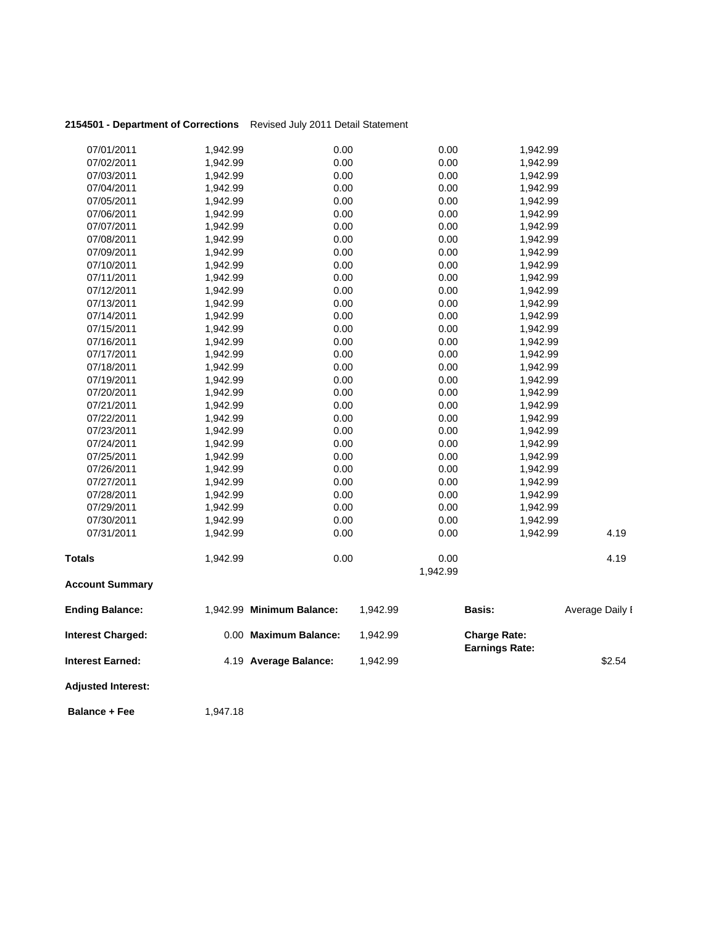| 2154501 - Department of Corrections Revised July 2011 Detail Statement |  |
|------------------------------------------------------------------------|--|
|                                                                        |  |

| 07/01/2011                | 1,942.99 | 0.00                      |          | 0.00     | 1,942.99              |                 |
|---------------------------|----------|---------------------------|----------|----------|-----------------------|-----------------|
| 07/02/2011                | 1,942.99 | 0.00                      |          | 0.00     | 1,942.99              |                 |
| 07/03/2011                | 1,942.99 | 0.00                      |          | 0.00     | 1,942.99              |                 |
| 07/04/2011                | 1,942.99 | 0.00                      |          | 0.00     | 1,942.99              |                 |
| 07/05/2011                | 1,942.99 | 0.00                      |          | 0.00     | 1,942.99              |                 |
| 07/06/2011                | 1,942.99 | 0.00                      |          | 0.00     | 1,942.99              |                 |
| 07/07/2011                | 1,942.99 | 0.00                      |          | 0.00     | 1,942.99              |                 |
| 07/08/2011                | 1,942.99 | 0.00                      |          | 0.00     | 1,942.99              |                 |
| 07/09/2011                | 1,942.99 | 0.00                      |          | 0.00     | 1,942.99              |                 |
| 07/10/2011                | 1,942.99 | 0.00                      |          | 0.00     | 1,942.99              |                 |
| 07/11/2011                | 1,942.99 | 0.00                      |          | 0.00     | 1,942.99              |                 |
| 07/12/2011                | 1,942.99 | 0.00                      |          | 0.00     | 1,942.99              |                 |
| 07/13/2011                | 1,942.99 | 0.00                      |          | 0.00     | 1,942.99              |                 |
| 07/14/2011                | 1,942.99 | 0.00                      |          | 0.00     | 1,942.99              |                 |
| 07/15/2011                | 1,942.99 | 0.00                      |          | 0.00     | 1,942.99              |                 |
| 07/16/2011                | 1,942.99 | 0.00                      |          | 0.00     | 1,942.99              |                 |
| 07/17/2011                | 1,942.99 | 0.00                      |          | 0.00     | 1,942.99              |                 |
| 07/18/2011                | 1,942.99 | 0.00                      |          | 0.00     | 1,942.99              |                 |
| 07/19/2011                | 1,942.99 | 0.00                      |          | 0.00     | 1,942.99              |                 |
| 07/20/2011                | 1,942.99 | 0.00                      |          | 0.00     | 1,942.99              |                 |
| 07/21/2011                | 1,942.99 | 0.00                      |          | 0.00     | 1,942.99              |                 |
| 07/22/2011                | 1,942.99 | 0.00                      |          | 0.00     | 1,942.99              |                 |
| 07/23/2011                | 1,942.99 | 0.00                      |          | 0.00     | 1,942.99              |                 |
| 07/24/2011                | 1,942.99 | 0.00                      |          | 0.00     | 1,942.99              |                 |
| 07/25/2011                | 1,942.99 | 0.00                      |          | 0.00     | 1,942.99              |                 |
| 07/26/2011                | 1,942.99 | 0.00                      |          | 0.00     | 1,942.99              |                 |
| 07/27/2011                | 1,942.99 | 0.00                      |          | 0.00     | 1,942.99              |                 |
| 07/28/2011                | 1,942.99 | 0.00                      |          | 0.00     | 1,942.99              |                 |
| 07/29/2011                | 1,942.99 | 0.00                      |          | 0.00     | 1,942.99              |                 |
| 07/30/2011                | 1,942.99 | 0.00                      |          | 0.00     | 1,942.99              |                 |
| 07/31/2011                | 1,942.99 | 0.00                      |          | 0.00     | 1,942.99              | 4.19            |
| <b>Totals</b>             | 1,942.99 | 0.00                      |          | 0.00     |                       | 4.19            |
|                           |          |                           |          | 1,942.99 |                       |                 |
| <b>Account Summary</b>    |          |                           |          |          |                       |                 |
| <b>Ending Balance:</b>    |          | 1,942.99 Minimum Balance: | 1,942.99 |          | Basis:                | Average Daily I |
| <b>Interest Charged:</b>  |          | 0.00 Maximum Balance:     | 1,942.99 |          | <b>Charge Rate:</b>   |                 |
| <b>Interest Earned:</b>   |          | 4.19 Average Balance:     | 1,942.99 |          | <b>Earnings Rate:</b> | \$2.54          |
| <b>Adjusted Interest:</b> |          |                           |          |          |                       |                 |
| <b>Balance + Fee</b>      | 1,947.18 |                           |          |          |                       |                 |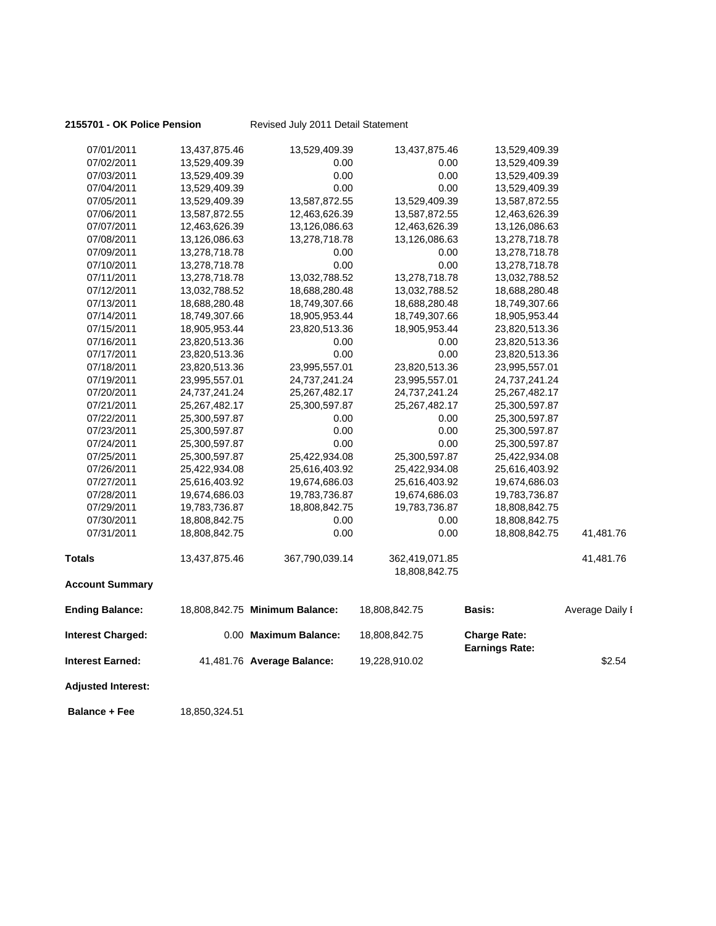### **2155701 - OK Police Pension** Revised July 2011 Detail Statement

| 07/01/2011                | 13,437,875.46 | 13,529,409.39                  | 13,437,875.46  | 13,529,409.39                                |                 |
|---------------------------|---------------|--------------------------------|----------------|----------------------------------------------|-----------------|
| 07/02/2011                | 13,529,409.39 | 0.00                           | 0.00           | 13,529,409.39                                |                 |
| 07/03/2011                | 13,529,409.39 | 0.00                           | 0.00           | 13,529,409.39                                |                 |
| 07/04/2011                | 13,529,409.39 | 0.00                           | 0.00           | 13,529,409.39                                |                 |
| 07/05/2011                | 13,529,409.39 | 13,587,872.55                  | 13,529,409.39  | 13,587,872.55                                |                 |
| 07/06/2011                | 13,587,872.55 | 12,463,626.39                  | 13,587,872.55  | 12,463,626.39                                |                 |
| 07/07/2011                | 12,463,626.39 | 13,126,086.63                  | 12,463,626.39  | 13,126,086.63                                |                 |
| 07/08/2011                | 13,126,086.63 | 13,278,718.78                  | 13,126,086.63  | 13,278,718.78                                |                 |
| 07/09/2011                | 13,278,718.78 | 0.00                           | 0.00           | 13,278,718.78                                |                 |
| 07/10/2011                | 13,278,718.78 | 0.00                           | 0.00           | 13,278,718.78                                |                 |
| 07/11/2011                | 13,278,718.78 | 13,032,788.52                  | 13,278,718.78  | 13,032,788.52                                |                 |
| 07/12/2011                | 13,032,788.52 | 18,688,280.48                  | 13,032,788.52  | 18,688,280.48                                |                 |
| 07/13/2011                | 18,688,280.48 | 18,749,307.66                  | 18,688,280.48  | 18,749,307.66                                |                 |
| 07/14/2011                | 18,749,307.66 | 18,905,953.44                  | 18,749,307.66  | 18,905,953.44                                |                 |
| 07/15/2011                | 18,905,953.44 | 23,820,513.36                  | 18,905,953.44  | 23,820,513.36                                |                 |
| 07/16/2011                | 23,820,513.36 | 0.00                           | 0.00           | 23,820,513.36                                |                 |
| 07/17/2011                | 23,820,513.36 | 0.00                           | 0.00           | 23,820,513.36                                |                 |
| 07/18/2011                | 23,820,513.36 | 23,995,557.01                  | 23,820,513.36  | 23,995,557.01                                |                 |
| 07/19/2011                | 23,995,557.01 | 24,737,241.24                  | 23,995,557.01  | 24,737,241.24                                |                 |
| 07/20/2011                | 24,737,241.24 | 25, 267, 482. 17               | 24,737,241.24  | 25,267,482.17                                |                 |
| 07/21/2011                | 25,267,482.17 | 25,300,597.87                  | 25,267,482.17  | 25,300,597.87                                |                 |
| 07/22/2011                | 25,300,597.87 | 0.00                           | 0.00           | 25,300,597.87                                |                 |
| 07/23/2011                | 25,300,597.87 | 0.00                           | 0.00           | 25,300,597.87                                |                 |
| 07/24/2011                | 25,300,597.87 | 0.00                           | 0.00           | 25,300,597.87                                |                 |
| 07/25/2011                | 25,300,597.87 | 25,422,934.08                  | 25,300,597.87  | 25,422,934.08                                |                 |
| 07/26/2011                | 25,422,934.08 | 25,616,403.92                  | 25,422,934.08  | 25,616,403.92                                |                 |
| 07/27/2011                | 25,616,403.92 | 19,674,686.03                  | 25,616,403.92  | 19,674,686.03                                |                 |
| 07/28/2011                | 19,674,686.03 | 19,783,736.87                  | 19,674,686.03  | 19,783,736.87                                |                 |
| 07/29/2011                | 19,783,736.87 | 18,808,842.75                  | 19,783,736.87  | 18,808,842.75                                |                 |
| 07/30/2011                | 18,808,842.75 | 0.00                           | 0.00           | 18,808,842.75                                |                 |
| 07/31/2011                | 18,808,842.75 | 0.00                           | 0.00           | 18,808,842.75                                | 41,481.76       |
| <b>Totals</b>             | 13,437,875.46 | 367,790,039.14                 | 362,419,071.85 |                                              | 41,481.76       |
|                           |               |                                | 18,808,842.75  |                                              |                 |
| <b>Account Summary</b>    |               |                                |                |                                              |                 |
| <b>Ending Balance:</b>    |               | 18,808,842.75 Minimum Balance: | 18,808,842.75  | <b>Basis:</b>                                | Average Daily I |
| <b>Interest Charged:</b>  |               | 0.00 Maximum Balance:          | 18,808,842.75  | <b>Charge Rate:</b><br><b>Earnings Rate:</b> |                 |
| Interest Earned:          |               | 41,481.76 Average Balance:     | 19,228,910.02  |                                              | \$2.54          |
| <b>Adjusted Interest:</b> |               |                                |                |                                              |                 |
|                           |               |                                |                |                                              |                 |

**Balance + Fee** 18,850,324.51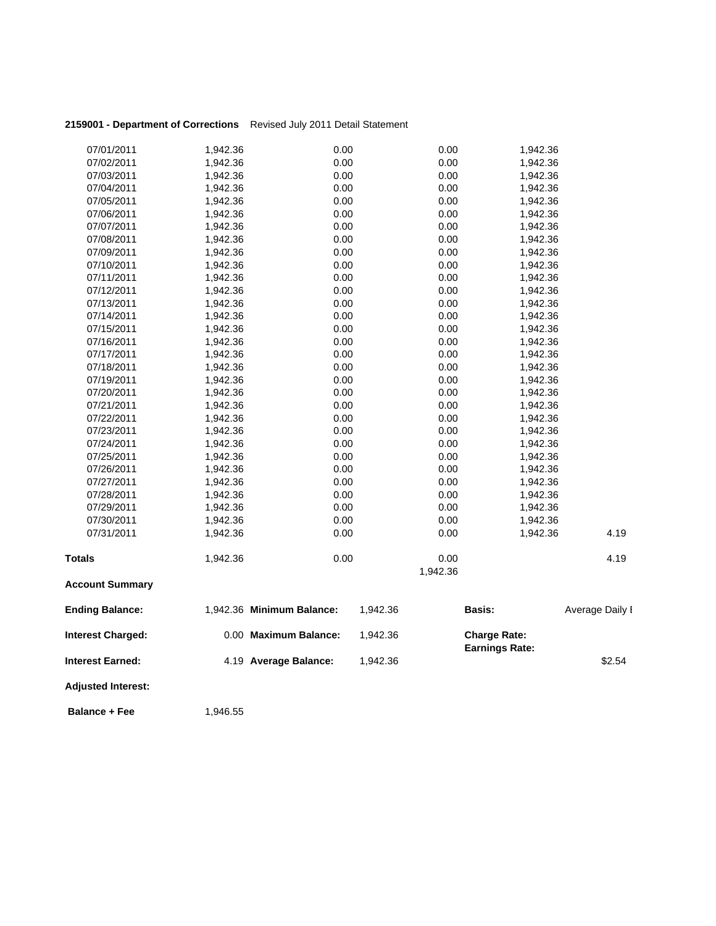| 2159001 - Department of Corrections Revised July 2011 Detail Statement |  |
|------------------------------------------------------------------------|--|
|                                                                        |  |

| 07/01/2011                | 1,942.36 | 0.00                      | 0.00     | 1,942.36              |                 |
|---------------------------|----------|---------------------------|----------|-----------------------|-----------------|
| 07/02/2011                | 1,942.36 | 0.00                      | 0.00     | 1,942.36              |                 |
| 07/03/2011                | 1,942.36 | 0.00                      | 0.00     | 1,942.36              |                 |
| 07/04/2011                | 1,942.36 | 0.00                      | 0.00     | 1,942.36              |                 |
| 07/05/2011                | 1,942.36 | 0.00                      | 0.00     | 1,942.36              |                 |
| 07/06/2011                | 1,942.36 | 0.00                      | 0.00     | 1,942.36              |                 |
| 07/07/2011                | 1,942.36 | 0.00                      | 0.00     | 1,942.36              |                 |
| 07/08/2011                | 1,942.36 | 0.00                      | 0.00     | 1,942.36              |                 |
| 07/09/2011                | 1,942.36 | 0.00                      | 0.00     | 1,942.36              |                 |
| 07/10/2011                | 1,942.36 | 0.00                      | 0.00     | 1,942.36              |                 |
| 07/11/2011                | 1,942.36 | 0.00                      | 0.00     | 1,942.36              |                 |
| 07/12/2011                | 1,942.36 | 0.00                      | 0.00     | 1,942.36              |                 |
| 07/13/2011                | 1,942.36 | 0.00                      | 0.00     | 1,942.36              |                 |
| 07/14/2011                | 1,942.36 | 0.00                      | 0.00     | 1,942.36              |                 |
| 07/15/2011                | 1,942.36 | 0.00                      | 0.00     | 1,942.36              |                 |
| 07/16/2011                | 1,942.36 | 0.00                      | 0.00     | 1,942.36              |                 |
| 07/17/2011                | 1,942.36 | 0.00                      | 0.00     | 1,942.36              |                 |
| 07/18/2011                | 1,942.36 | 0.00                      | 0.00     | 1,942.36              |                 |
| 07/19/2011                | 1,942.36 | 0.00                      | 0.00     | 1,942.36              |                 |
| 07/20/2011                | 1,942.36 | 0.00                      | 0.00     | 1,942.36              |                 |
| 07/21/2011                | 1,942.36 | 0.00                      | 0.00     | 1,942.36              |                 |
| 07/22/2011                | 1,942.36 | 0.00                      | 0.00     | 1,942.36              |                 |
| 07/23/2011                | 1,942.36 | 0.00                      | 0.00     | 1,942.36              |                 |
| 07/24/2011                | 1,942.36 | 0.00                      | 0.00     | 1,942.36              |                 |
| 07/25/2011                | 1,942.36 | 0.00                      | 0.00     | 1,942.36              |                 |
| 07/26/2011                | 1,942.36 | 0.00                      | 0.00     | 1,942.36              |                 |
| 07/27/2011                | 1,942.36 | 0.00                      | 0.00     | 1,942.36              |                 |
| 07/28/2011                | 1,942.36 | 0.00                      | 0.00     | 1,942.36              |                 |
| 07/29/2011                | 1,942.36 | 0.00                      | 0.00     | 1,942.36              |                 |
| 07/30/2011                | 1,942.36 | 0.00                      | 0.00     | 1,942.36              |                 |
| 07/31/2011                | 1,942.36 | 0.00                      | 0.00     | 1,942.36              | 4.19            |
| <b>Totals</b>             | 1,942.36 | 0.00                      | 0.00     |                       | 4.19            |
|                           |          |                           | 1,942.36 |                       |                 |
| <b>Account Summary</b>    |          |                           |          |                       |                 |
| <b>Ending Balance:</b>    |          | 1,942.36 Minimum Balance: | 1,942.36 | Basis:                | Average Daily I |
| <b>Interest Charged:</b>  |          | 0.00 Maximum Balance:     | 1,942.36 | <b>Charge Rate:</b>   |                 |
| <b>Interest Earned:</b>   |          | 4.19 Average Balance:     | 1,942.36 | <b>Earnings Rate:</b> | \$2.54          |
| <b>Adjusted Interest:</b> |          |                           |          |                       |                 |
| <b>Balance + Fee</b>      | 1,946.55 |                           |          |                       |                 |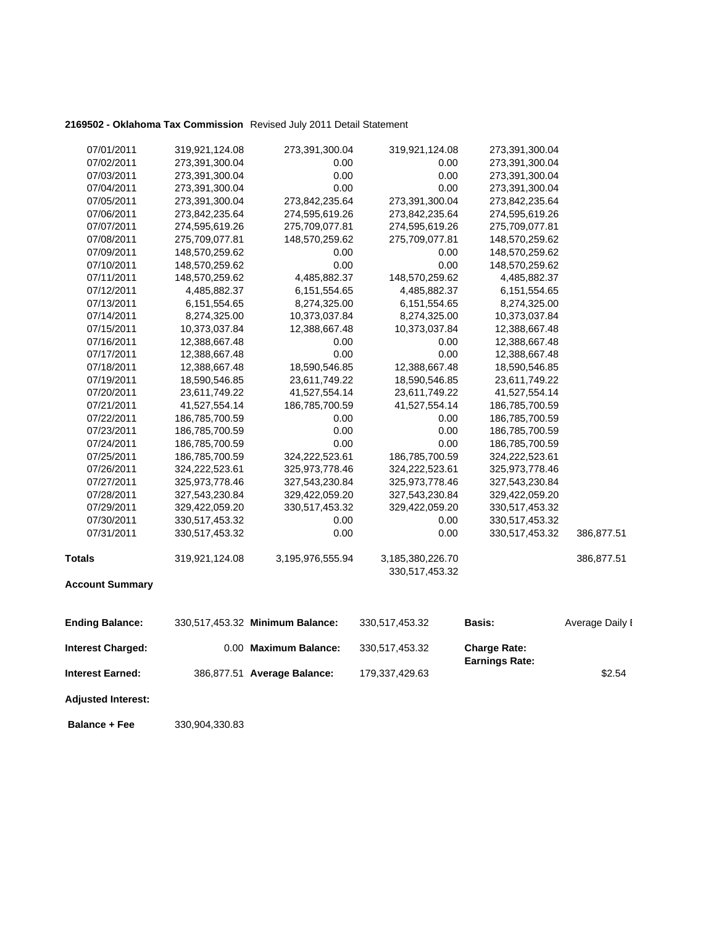### **2169502 - Oklahoma Tax Commission** Revised July 2011 Detail Statement

| <b>Interest Earned:</b>  |                | 386,877.51 Average Balance:     | 179,337,429.63   |                                              | \$2.54          |
|--------------------------|----------------|---------------------------------|------------------|----------------------------------------------|-----------------|
| <b>Interest Charged:</b> |                | 0.00 Maximum Balance:           | 330,517,453.32   | <b>Charge Rate:</b><br><b>Earnings Rate:</b> |                 |
| <b>Ending Balance:</b>   |                | 330,517,453.32 Minimum Balance: | 330,517,453.32   | <b>Basis:</b>                                | Average Daily I |
| <b>Account Summary</b>   |                |                                 |                  |                                              |                 |
|                          |                |                                 | 330,517,453.32   |                                              |                 |
| <b>Totals</b>            | 319,921,124.08 | 3,195,976,555.94                | 3,185,380,226.70 |                                              | 386,877.51      |
| 07/31/2011               | 330,517,453.32 | 0.00                            | 0.00             | 330,517,453.32                               | 386,877.51      |
| 07/30/2011               | 330,517,453.32 | 0.00                            | 0.00             | 330,517,453.32                               |                 |
| 07/29/2011               | 329,422,059.20 | 330,517,453.32                  | 329,422,059.20   | 330,517,453.32                               |                 |
| 07/28/2011               | 327,543,230.84 | 329,422,059.20                  | 327,543,230.84   | 329,422,059.20                               |                 |
| 07/27/2011               | 325,973,778.46 | 327,543,230.84                  | 325,973,778.46   | 327,543,230.84                               |                 |
| 07/26/2011               | 324,222,523.61 | 325,973,778.46                  | 324,222,523.61   | 325,973,778.46                               |                 |
| 07/25/2011               | 186,785,700.59 | 324,222,523.61                  | 186,785,700.59   | 324,222,523.61                               |                 |
| 07/24/2011               | 186,785,700.59 | 0.00                            | 0.00             | 186,785,700.59                               |                 |
| 07/23/2011               | 186,785,700.59 | 0.00                            | 0.00             | 186,785,700.59                               |                 |
| 07/22/2011               | 186,785,700.59 | 0.00                            | 0.00             | 186,785,700.59                               |                 |
| 07/21/2011               | 41,527,554.14  | 186,785,700.59                  | 41,527,554.14    | 186,785,700.59                               |                 |
| 07/20/2011               | 23,611,749.22  | 41,527,554.14                   | 23,611,749.22    | 41,527,554.14                                |                 |
| 07/19/2011               | 18,590,546.85  | 23,611,749.22                   | 18,590,546.85    | 23,611,749.22                                |                 |
| 07/18/2011               | 12,388,667.48  | 18,590,546.85                   | 12,388,667.48    | 18,590,546.85                                |                 |
| 07/17/2011               | 12,388,667.48  | 0.00                            | 0.00             | 12,388,667.48                                |                 |
| 07/16/2011               | 12,388,667.48  | 0.00                            | 0.00             | 12,388,667.48                                |                 |
| 07/15/2011               | 10,373,037.84  | 12,388,667.48                   | 10,373,037.84    | 12,388,667.48                                |                 |
| 07/14/2011               | 8,274,325.00   | 10,373,037.84                   | 8,274,325.00     | 10,373,037.84                                |                 |
| 07/13/2011               | 6,151,554.65   | 8,274,325.00                    | 6,151,554.65     | 8,274,325.00                                 |                 |
| 07/12/2011               | 4,485,882.37   | 6,151,554.65                    | 4,485,882.37     | 6,151,554.65                                 |                 |
| 07/11/2011               | 148,570,259.62 | 4,485,882.37                    | 148,570,259.62   | 4,485,882.37                                 |                 |
| 07/10/2011               | 148,570,259.62 | 0.00                            | 0.00             | 148,570,259.62                               |                 |
| 07/09/2011               | 148,570,259.62 | 0.00                            | 0.00             | 148,570,259.62                               |                 |
| 07/08/2011               | 275,709,077.81 | 148,570,259.62                  | 275,709,077.81   | 148,570,259.62                               |                 |
| 07/07/2011               | 274,595,619.26 | 275,709,077.81                  | 274,595,619.26   | 275,709,077.81                               |                 |
| 07/06/2011               | 273,842,235.64 | 274,595,619.26                  | 273,842,235.64   | 274,595,619.26                               |                 |
| 07/05/2011               | 273,391,300.04 | 273,842,235.64                  | 273,391,300.04   | 273,842,235.64                               |                 |
| 07/04/2011               | 273,391,300.04 | 0.00                            | 0.00             | 273,391,300.04                               |                 |
| 07/03/2011               | 273,391,300.04 | 0.00                            | 0.00             | 273,391,300.04                               |                 |
| 07/02/2011               | 273,391,300.04 | 0.00                            | 0.00             | 273,391,300.04                               |                 |
| 07/01/2011               | 319,921,124.08 | 273,391,300.04                  | 319,921,124.08   | 273,391,300.04                               |                 |

**Adjusted Interest:** 

 **Balance + Fee** 330,904,330.83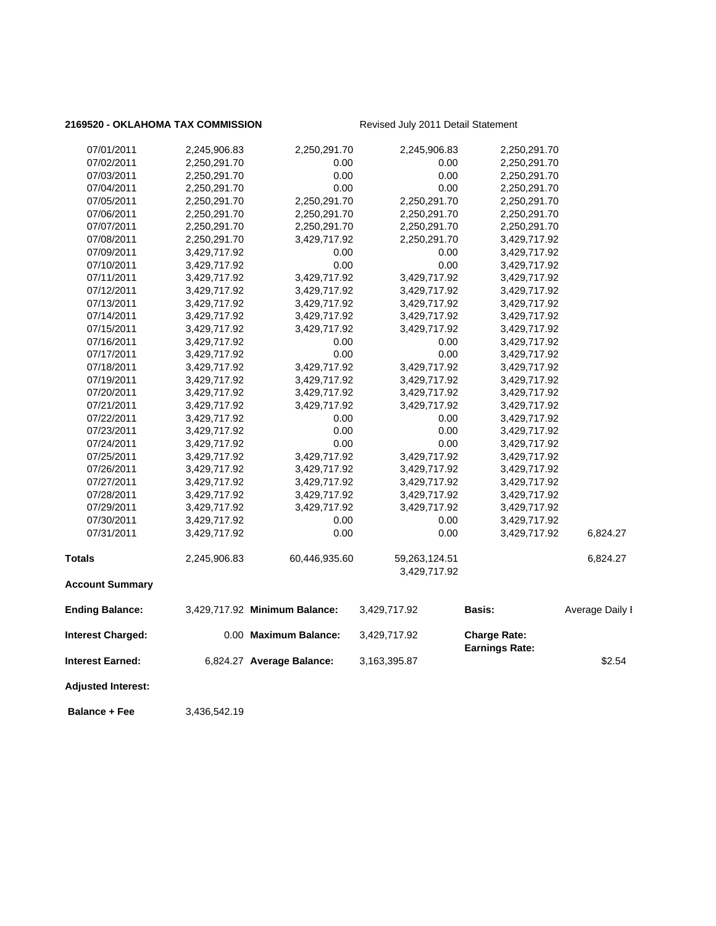### 2169520 - OKLAHOMA TAX COMMISSION Revised July 2011 Detail Statement

| <b>Balance + Fee</b>      | 3,436,542.19 |                               |                               |                       |                 |
|---------------------------|--------------|-------------------------------|-------------------------------|-----------------------|-----------------|
| <b>Adjusted Interest:</b> |              |                               |                               |                       |                 |
| Interest Earned:          |              | 6,824.27 Average Balance:     | 3,163,395.87                  | <b>Earnings Rate:</b> | \$2.54          |
| <b>Interest Charged:</b>  |              | 0.00 Maximum Balance:         | 3,429,717.92                  | <b>Charge Rate:</b>   |                 |
| <b>Ending Balance:</b>    |              | 3,429,717.92 Minimum Balance: | 3,429,717.92                  | Basis:                | Average Daily I |
| <b>Account Summary</b>    |              |                               |                               |                       |                 |
| Totals                    | 2,245,906.83 | 60,446,935.60                 | 59,263,124.51<br>3,429,717.92 |                       | 6,824.27        |
| 07/31/2011                | 3,429,717.92 | 0.00                          | 0.00                          | 3,429,717.92          | 6,824.27        |
| 07/30/2011                | 3,429,717.92 | 0.00                          | 0.00                          | 3,429,717.92          |                 |
| 07/29/2011                | 3,429,717.92 | 3,429,717.92                  | 3,429,717.92                  | 3,429,717.92          |                 |
| 07/28/2011                | 3,429,717.92 | 3,429,717.92                  | 3,429,717.92                  | 3,429,717.92          |                 |
| 07/27/2011                | 3,429,717.92 | 3,429,717.92                  | 3,429,717.92                  | 3,429,717.92          |                 |
| 07/26/2011                | 3,429,717.92 | 3,429,717.92                  | 3,429,717.92                  | 3,429,717.92          |                 |
| 07/25/2011                | 3,429,717.92 | 3,429,717.92                  | 3,429,717.92                  | 3,429,717.92          |                 |
| 07/24/2011                | 3,429,717.92 | 0.00                          | 0.00                          | 3,429,717.92          |                 |
| 07/23/2011                | 3,429,717.92 | 0.00                          | 0.00                          | 3,429,717.92          |                 |
| 07/22/2011                | 3,429,717.92 | 0.00                          | 0.00                          | 3,429,717.92          |                 |
| 07/21/2011                | 3,429,717.92 | 3,429,717.92                  | 3,429,717.92                  | 3,429,717.92          |                 |
| 07/20/2011                | 3,429,717.92 | 3,429,717.92                  | 3,429,717.92                  | 3,429,717.92          |                 |
| 07/19/2011                | 3,429,717.92 | 3,429,717.92                  | 3,429,717.92                  | 3,429,717.92          |                 |
| 07/18/2011                | 3,429,717.92 | 3,429,717.92                  | 3,429,717.92                  | 3,429,717.92          |                 |
| 07/17/2011                | 3,429,717.92 | 0.00                          | 0.00                          | 3,429,717.92          |                 |
| 07/16/2011                | 3,429,717.92 | 0.00                          | 0.00                          | 3,429,717.92          |                 |
| 07/15/2011                | 3,429,717.92 | 3,429,717.92                  | 3,429,717.92                  | 3,429,717.92          |                 |
| 07/14/2011                | 3,429,717.92 | 3,429,717.92                  | 3,429,717.92                  | 3,429,717.92          |                 |
| 07/13/2011                | 3,429,717.92 | 3,429,717.92                  | 3,429,717.92                  | 3,429,717.92          |                 |
| 07/12/2011                | 3,429,717.92 | 3,429,717.92                  | 3,429,717.92                  | 3,429,717.92          |                 |
| 07/11/2011                | 3,429,717.92 | 3,429,717.92                  | 3,429,717.92                  | 3,429,717.92          |                 |
| 07/10/2011                | 3,429,717.92 | 0.00                          | 0.00                          | 3,429,717.92          |                 |
| 07/09/2011                | 3,429,717.92 | 0.00                          | 0.00                          | 3,429,717.92          |                 |
| 07/08/2011                | 2,250,291.70 | 3,429,717.92                  | 2,250,291.70                  | 3,429,717.92          |                 |
| 07/07/2011                | 2,250,291.70 | 2,250,291.70                  | 2,250,291.70                  | 2,250,291.70          |                 |
| 07/06/2011                | 2,250,291.70 | 2,250,291.70                  | 2,250,291.70                  | 2,250,291.70          |                 |
| 07/05/2011                | 2,250,291.70 | 2,250,291.70                  | 2,250,291.70                  | 2,250,291.70          |                 |
| 07/04/2011                | 2,250,291.70 | 0.00                          | 0.00                          | 2,250,291.70          |                 |
| 07/03/2011                | 2,250,291.70 | 0.00                          | 0.00                          | 2,250,291.70          |                 |
| 07/02/2011                | 2,250,291.70 | 0.00                          | 0.00                          | 2,250,291.70          |                 |
| 07/01/2011                | 2,245,906.83 | 2,250,291.70                  | 2,245,906.83                  | 2,250,291.70          |                 |
|                           |              |                               |                               |                       |                 |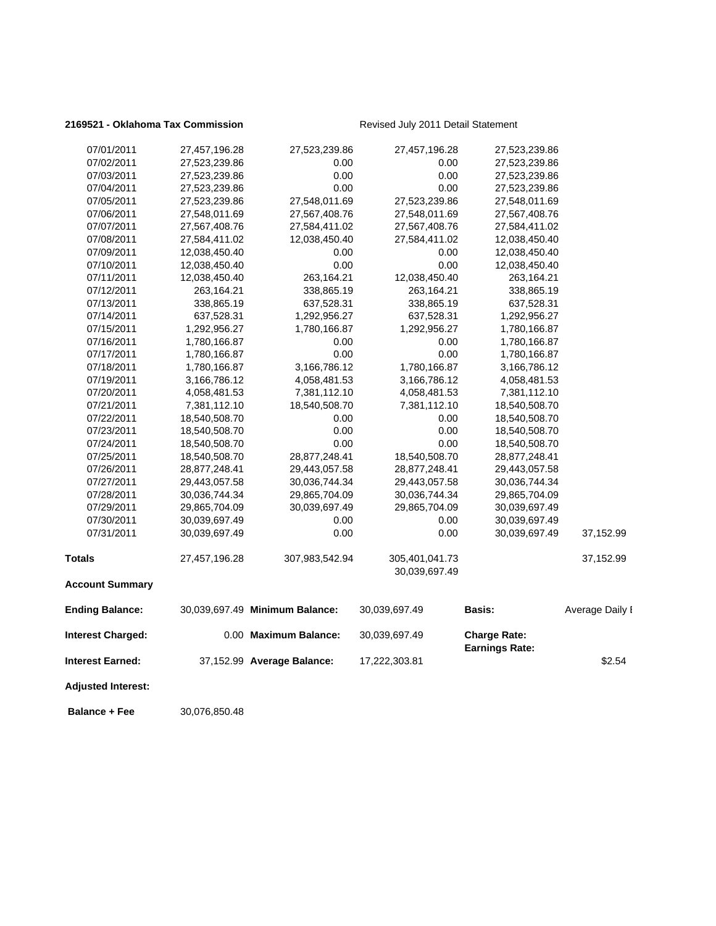### 2169521 - Oklahoma Tax Commission Revised July 2011 Detail Statement

| 07/01/2011                | 27,457,196.28 | 27,523,239.86                  | 27,457,196.28                   | 27,523,239.86                                |                 |
|---------------------------|---------------|--------------------------------|---------------------------------|----------------------------------------------|-----------------|
| 07/02/2011                | 27,523,239.86 | 0.00                           | 0.00                            | 27,523,239.86                                |                 |
| 07/03/2011                | 27,523,239.86 | 0.00                           | 0.00                            | 27,523,239.86                                |                 |
| 07/04/2011                | 27,523,239.86 | 0.00                           | 0.00                            | 27,523,239.86                                |                 |
| 07/05/2011                | 27,523,239.86 | 27,548,011.69                  | 27,523,239.86                   | 27,548,011.69                                |                 |
| 07/06/2011                | 27,548,011.69 | 27,567,408.76                  | 27,548,011.69                   | 27,567,408.76                                |                 |
| 07/07/2011                | 27,567,408.76 | 27,584,411.02                  | 27,567,408.76                   | 27,584,411.02                                |                 |
| 07/08/2011                | 27,584,411.02 | 12,038,450.40                  | 27,584,411.02                   | 12,038,450.40                                |                 |
| 07/09/2011                | 12,038,450.40 | 0.00                           | 0.00                            | 12,038,450.40                                |                 |
| 07/10/2011                | 12,038,450.40 | 0.00                           | 0.00                            | 12,038,450.40                                |                 |
| 07/11/2011                | 12,038,450.40 | 263,164.21                     | 12,038,450.40                   | 263,164.21                                   |                 |
| 07/12/2011                | 263,164.21    | 338,865.19                     | 263,164.21                      | 338,865.19                                   |                 |
| 07/13/2011                | 338,865.19    | 637,528.31                     | 338,865.19                      | 637,528.31                                   |                 |
| 07/14/2011                | 637,528.31    | 1,292,956.27                   | 637,528.31                      | 1,292,956.27                                 |                 |
| 07/15/2011                | 1,292,956.27  | 1,780,166.87                   | 1,292,956.27                    | 1,780,166.87                                 |                 |
| 07/16/2011                | 1,780,166.87  | 0.00                           | 0.00                            | 1,780,166.87                                 |                 |
| 07/17/2011                | 1,780,166.87  | 0.00                           | 0.00                            | 1,780,166.87                                 |                 |
| 07/18/2011                | 1,780,166.87  | 3,166,786.12                   | 1,780,166.87                    | 3,166,786.12                                 |                 |
| 07/19/2011                | 3,166,786.12  | 4,058,481.53                   | 3,166,786.12                    | 4,058,481.53                                 |                 |
| 07/20/2011                | 4,058,481.53  | 7,381,112.10                   | 4,058,481.53                    | 7,381,112.10                                 |                 |
| 07/21/2011                | 7,381,112.10  | 18,540,508.70                  | 7,381,112.10                    | 18,540,508.70                                |                 |
| 07/22/2011                | 18,540,508.70 | 0.00                           | 0.00                            | 18,540,508.70                                |                 |
| 07/23/2011                | 18,540,508.70 | 0.00                           | 0.00                            | 18,540,508.70                                |                 |
| 07/24/2011                | 18,540,508.70 | 0.00                           | 0.00                            | 18,540,508.70                                |                 |
| 07/25/2011                | 18,540,508.70 | 28,877,248.41                  | 18,540,508.70                   | 28,877,248.41                                |                 |
| 07/26/2011                | 28,877,248.41 | 29,443,057.58                  | 28,877,248.41                   | 29,443,057.58                                |                 |
| 07/27/2011                | 29,443,057.58 | 30,036,744.34                  | 29,443,057.58                   | 30,036,744.34                                |                 |
| 07/28/2011                | 30,036,744.34 | 29,865,704.09                  | 30,036,744.34                   | 29,865,704.09                                |                 |
| 07/29/2011                | 29,865,704.09 | 30,039,697.49                  | 29,865,704.09                   | 30,039,697.49                                |                 |
| 07/30/2011                | 30,039,697.49 | 0.00                           | 0.00                            | 30,039,697.49                                |                 |
| 07/31/2011                | 30,039,697.49 | 0.00                           | 0.00                            | 30,039,697.49                                | 37,152.99       |
| <b>Totals</b>             | 27,457,196.28 | 307,983,542.94                 | 305,401,041.73<br>30,039,697.49 |                                              | 37,152.99       |
| <b>Account Summary</b>    |               |                                |                                 |                                              |                 |
| <b>Ending Balance:</b>    |               | 30,039,697.49 Minimum Balance: | 30,039,697.49                   | Basis:                                       | Average Daily I |
| <b>Interest Charged:</b>  |               | 0.00 Maximum Balance:          | 30,039,697.49                   | <b>Charge Rate:</b><br><b>Earnings Rate:</b> |                 |
| <b>Interest Earned:</b>   |               | 37,152.99 Average Balance:     | 17,222,303.81                   |                                              | \$2.54          |
| <b>Adjusted Interest:</b> |               |                                |                                 |                                              |                 |

 **Balance + Fee** 30,076,850.48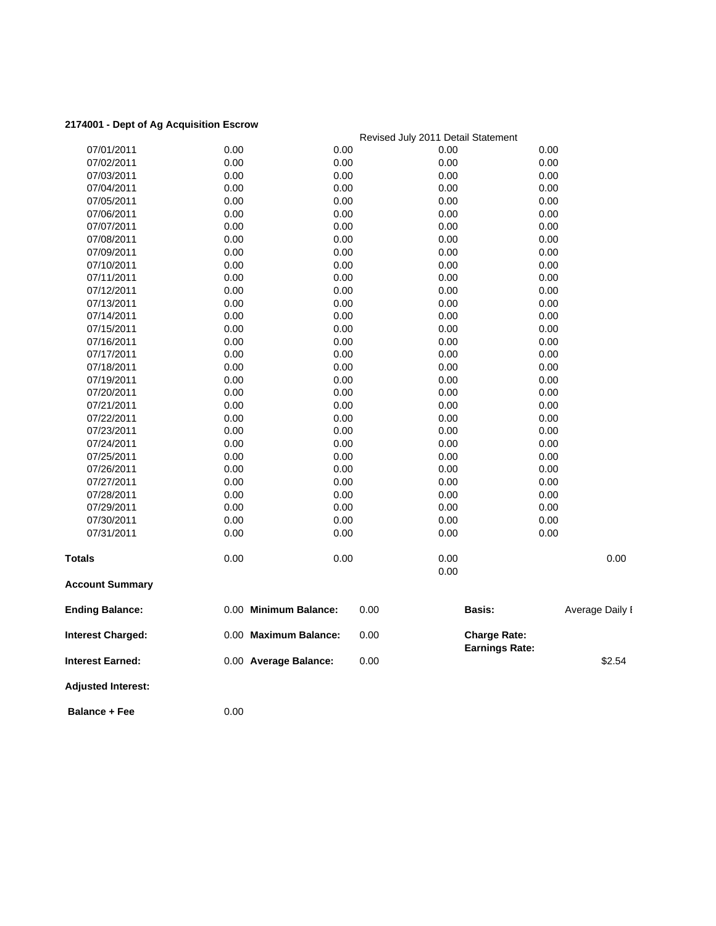### **2174001 - Dept of Ag Acquisition Escrow**

| צה וס וקטש ו סטדוו-       |                       |      | Revised July 2011 Detail Statement |                       |                 |
|---------------------------|-----------------------|------|------------------------------------|-----------------------|-----------------|
| 07/01/2011                | 0.00                  | 0.00 | 0.00                               | 0.00                  |                 |
| 07/02/2011                | 0.00                  | 0.00 | 0.00                               | 0.00                  |                 |
| 07/03/2011                | 0.00                  | 0.00 | 0.00                               | 0.00                  |                 |
| 07/04/2011                | 0.00                  | 0.00 | 0.00                               | 0.00                  |                 |
| 07/05/2011                | 0.00                  | 0.00 | 0.00                               | 0.00                  |                 |
| 07/06/2011                | 0.00                  | 0.00 | 0.00                               | 0.00                  |                 |
| 07/07/2011                | 0.00                  | 0.00 | 0.00                               | 0.00                  |                 |
| 07/08/2011                | 0.00                  | 0.00 | 0.00                               | 0.00                  |                 |
| 07/09/2011                | 0.00                  | 0.00 | 0.00                               | 0.00                  |                 |
| 07/10/2011                | 0.00                  | 0.00 | 0.00                               | 0.00                  |                 |
| 07/11/2011                | 0.00                  | 0.00 | 0.00                               | 0.00                  |                 |
| 07/12/2011                | 0.00                  | 0.00 | 0.00                               | 0.00                  |                 |
| 07/13/2011                | 0.00                  | 0.00 | 0.00                               | 0.00                  |                 |
| 07/14/2011                | 0.00                  | 0.00 | 0.00                               | 0.00                  |                 |
| 07/15/2011                | 0.00                  | 0.00 | 0.00                               | 0.00                  |                 |
| 07/16/2011                | 0.00                  | 0.00 | 0.00                               | 0.00                  |                 |
| 07/17/2011                | 0.00                  | 0.00 | 0.00                               | 0.00                  |                 |
| 07/18/2011                | 0.00                  | 0.00 | 0.00                               | 0.00                  |                 |
| 07/19/2011                | 0.00                  | 0.00 | 0.00                               | 0.00                  |                 |
| 07/20/2011                | 0.00                  | 0.00 | 0.00                               | 0.00                  |                 |
| 07/21/2011                | 0.00                  | 0.00 | 0.00                               | 0.00                  |                 |
| 07/22/2011                | 0.00                  | 0.00 | 0.00                               | 0.00                  |                 |
| 07/23/2011                | 0.00                  | 0.00 | 0.00                               | 0.00                  |                 |
| 07/24/2011                | 0.00                  | 0.00 | 0.00                               | 0.00                  |                 |
| 07/25/2011                | 0.00                  | 0.00 | 0.00                               | 0.00                  |                 |
| 07/26/2011                | 0.00                  | 0.00 | 0.00                               | 0.00                  |                 |
| 07/27/2011                | 0.00                  | 0.00 | 0.00                               | 0.00                  |                 |
| 07/28/2011                | 0.00                  | 0.00 | 0.00                               | 0.00                  |                 |
| 07/29/2011                | 0.00                  | 0.00 | 0.00                               | 0.00                  |                 |
| 07/30/2011                | 0.00                  | 0.00 | 0.00                               | 0.00                  |                 |
| 07/31/2011                | 0.00                  | 0.00 | 0.00                               | 0.00                  |                 |
| Totals                    | 0.00                  | 0.00 | 0.00                               |                       | 0.00            |
|                           |                       |      | 0.00                               |                       |                 |
| <b>Account Summary</b>    |                       |      |                                    |                       |                 |
| <b>Ending Balance:</b>    | 0.00 Minimum Balance: |      | 0.00                               | <b>Basis:</b>         | Average Daily I |
| <b>Interest Charged:</b>  | 0.00 Maximum Balance: |      | 0.00                               | <b>Charge Rate:</b>   |                 |
| <b>Interest Earned:</b>   | 0.00 Average Balance: |      | 0.00                               | <b>Earnings Rate:</b> | \$2.54          |
| <b>Adjusted Interest:</b> |                       |      |                                    |                       |                 |
| <b>Balance + Fee</b>      | 0.00                  |      |                                    |                       |                 |
|                           |                       |      |                                    |                       |                 |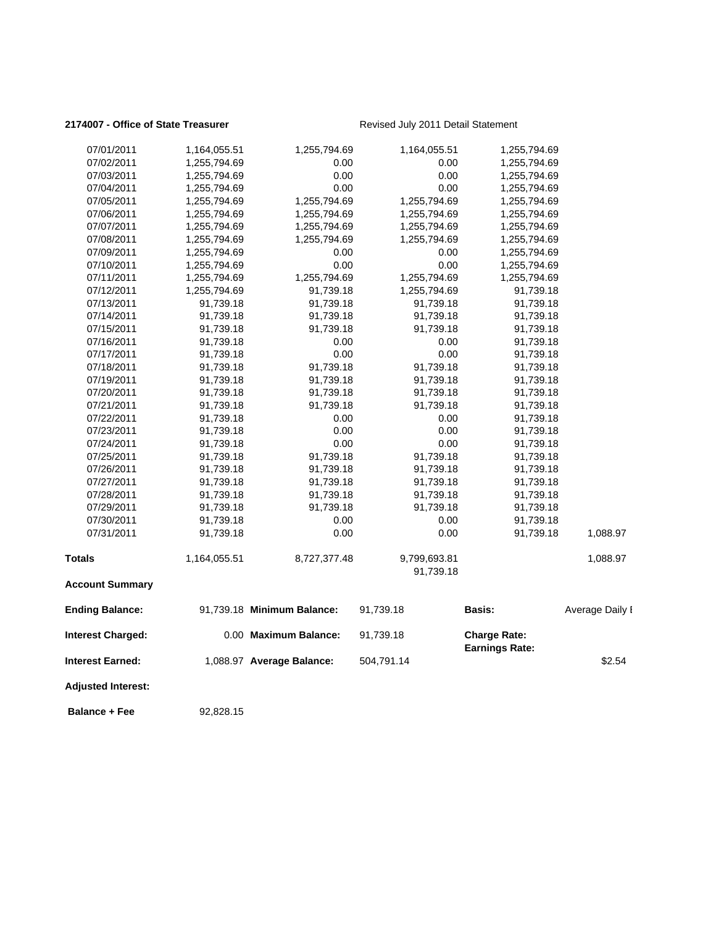### 2174007 - Office of State Treasurer **Revised July 2011 Detail Statement**

| 07/01/2011                | 1,164,055.51 | 1,255,794.69               | 1,164,055.51 | 1,255,794.69          |                 |
|---------------------------|--------------|----------------------------|--------------|-----------------------|-----------------|
| 07/02/2011                | 1,255,794.69 | 0.00                       | 0.00         | 1,255,794.69          |                 |
| 07/03/2011                | 1,255,794.69 | 0.00                       | 0.00         | 1,255,794.69          |                 |
| 07/04/2011                | 1,255,794.69 | 0.00                       | 0.00         | 1,255,794.69          |                 |
| 07/05/2011                | 1,255,794.69 | 1,255,794.69               | 1,255,794.69 | 1,255,794.69          |                 |
| 07/06/2011                | 1,255,794.69 | 1,255,794.69               | 1,255,794.69 | 1,255,794.69          |                 |
| 07/07/2011                | 1,255,794.69 | 1,255,794.69               | 1,255,794.69 | 1,255,794.69          |                 |
| 07/08/2011                | 1,255,794.69 | 1,255,794.69               | 1,255,794.69 | 1,255,794.69          |                 |
| 07/09/2011                | 1,255,794.69 | 0.00                       | 0.00         | 1,255,794.69          |                 |
| 07/10/2011                | 1,255,794.69 | 0.00                       | 0.00         | 1,255,794.69          |                 |
| 07/11/2011                | 1,255,794.69 | 1,255,794.69               | 1,255,794.69 | 1,255,794.69          |                 |
| 07/12/2011                | 1,255,794.69 | 91,739.18                  | 1,255,794.69 | 91,739.18             |                 |
| 07/13/2011                | 91,739.18    | 91,739.18                  | 91,739.18    | 91,739.18             |                 |
| 07/14/2011                | 91,739.18    | 91,739.18                  | 91,739.18    | 91,739.18             |                 |
| 07/15/2011                | 91,739.18    | 91,739.18                  | 91,739.18    | 91,739.18             |                 |
| 07/16/2011                | 91,739.18    | 0.00                       | 0.00         | 91,739.18             |                 |
| 07/17/2011                | 91,739.18    | 0.00                       | 0.00         | 91,739.18             |                 |
| 07/18/2011                | 91,739.18    | 91,739.18                  | 91,739.18    | 91,739.18             |                 |
| 07/19/2011                | 91,739.18    | 91,739.18                  | 91,739.18    | 91,739.18             |                 |
| 07/20/2011                | 91,739.18    | 91,739.18                  | 91,739.18    | 91,739.18             |                 |
| 07/21/2011                | 91,739.18    | 91,739.18                  | 91,739.18    | 91,739.18             |                 |
| 07/22/2011                | 91,739.18    | 0.00                       | 0.00         | 91,739.18             |                 |
| 07/23/2011                | 91,739.18    | 0.00                       | 0.00         | 91,739.18             |                 |
| 07/24/2011                | 91,739.18    | 0.00                       | 0.00         | 91,739.18             |                 |
| 07/25/2011                | 91,739.18    | 91,739.18                  | 91,739.18    | 91,739.18             |                 |
| 07/26/2011                | 91,739.18    | 91,739.18                  | 91,739.18    | 91,739.18             |                 |
| 07/27/2011                | 91,739.18    | 91,739.18                  | 91,739.18    | 91,739.18             |                 |
| 07/28/2011                | 91,739.18    | 91,739.18                  | 91,739.18    | 91,739.18             |                 |
| 07/29/2011                | 91,739.18    | 91,739.18                  | 91,739.18    | 91,739.18             |                 |
| 07/30/2011                | 91,739.18    | 0.00                       | 0.00         | 91,739.18             |                 |
| 07/31/2011                | 91,739.18    | 0.00                       | 0.00         | 91,739.18             | 1,088.97        |
| <b>Totals</b>             | 1,164,055.51 | 8,727,377.48               | 9,799,693.81 |                       | 1,088.97        |
|                           |              |                            | 91,739.18    |                       |                 |
| <b>Account Summary</b>    |              |                            |              |                       |                 |
| <b>Ending Balance:</b>    |              | 91,739.18 Minimum Balance: | 91,739.18    | Basis:                | Average Daily I |
| <b>Interest Charged:</b>  |              | 0.00 Maximum Balance:      | 91,739.18    | <b>Charge Rate:</b>   |                 |
| Interest Earned:          |              | 1,088.97 Average Balance:  | 504,791.14   | <b>Earnings Rate:</b> | \$2.54          |
| <b>Adjusted Interest:</b> |              |                            |              |                       |                 |
| <b>Balance + Fee</b>      | 92,828.15    |                            |              |                       |                 |
|                           |              |                            |              |                       |                 |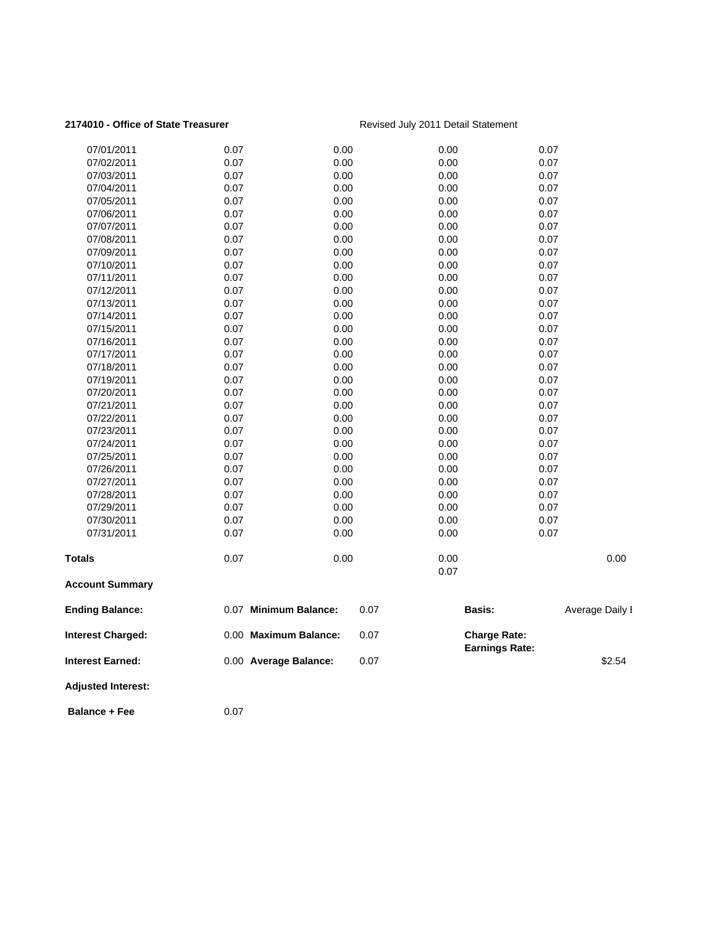### 2174010 - Office of State Treasurer **Revised July 2011 Detail Statement**

| <b>Interest Earned:</b>  | 0.00 Average Balance: | 0.07         |              |                                              | \$2.54          |
|--------------------------|-----------------------|--------------|--------------|----------------------------------------------|-----------------|
| <b>Interest Charged:</b> | 0.00 Maximum Balance: | 0.07         |              | <b>Charge Rate:</b><br><b>Earnings Rate:</b> |                 |
| <b>Ending Balance:</b>   | 0.07 Minimum Balance: | 0.07         |              | <b>Basis:</b>                                | Average Daily I |
| <b>Account Summary</b>   |                       |              |              |                                              |                 |
|                          |                       |              | 0.07         |                                              |                 |
| Totals                   | 0.07                  | 0.00         | 0.00         |                                              | 0.00            |
| 07/31/2011               | 0.07                  | 0.00         | 0.00         | 0.07                                         |                 |
| 07/30/2011               | 0.07                  | 0.00         | 0.00         | 0.07                                         |                 |
| 07/29/2011               | 0.07                  | 0.00         | 0.00         | 0.07                                         |                 |
| 07/28/2011               | 0.07                  | 0.00         | 0.00         | 0.07                                         |                 |
| 07/27/2011               | 0.07                  | 0.00         | 0.00         | 0.07                                         |                 |
| 07/26/2011               | 0.07                  | 0.00         | 0.00         | 0.07                                         |                 |
| 07/25/2011               | 0.07                  | 0.00         | 0.00         | 0.07                                         |                 |
| 07/24/2011               | 0.07                  | 0.00         | 0.00         | 0.07                                         |                 |
| 07/23/2011               | 0.07                  | 0.00         | 0.00         | 0.07                                         |                 |
| 07/22/2011               | 0.07                  | 0.00         | 0.00         | 0.07                                         |                 |
| 07/21/2011               | 0.07                  | 0.00         | 0.00         | 0.07                                         |                 |
| 07/20/2011               | 0.07                  | 0.00         | 0.00         | 0.07                                         |                 |
| 07/19/2011               | 0.07                  | 0.00         | 0.00         | 0.07                                         |                 |
| 07/18/2011               | 0.07                  | 0.00         | 0.00         | 0.07                                         |                 |
| 07/17/2011               | 0.07                  | 0.00         | 0.00         | 0.07                                         |                 |
| 07/16/2011               | 0.07                  | 0.00         | 0.00         | 0.07                                         |                 |
| 07/15/2011               | 0.07                  | 0.00         | 0.00         | 0.07                                         |                 |
| 07/14/2011               | 0.07                  | 0.00         | 0.00         | 0.07                                         |                 |
| 07/13/2011               | 0.07                  | 0.00         | 0.00         | 0.07                                         |                 |
| 07/12/2011               | 0.07                  | 0.00         | 0.00         | 0.07                                         |                 |
| 07/11/2011               | 0.07                  | 0.00         | 0.00         | 0.07                                         |                 |
| 07/10/2011               | 0.07                  | 0.00         | 0.00         | 0.07                                         |                 |
| 07/09/2011               | 0.07                  | 0.00         | 0.00         | 0.07                                         |                 |
| 07/08/2011               | 0.07                  | 0.00         | 0.00         | 0.07                                         |                 |
| 07/07/2011               | 0.07                  | 0.00         | 0.00         | 0.07                                         |                 |
| 07/06/2011               | 0.07                  | 0.00         | 0.00         | 0.07                                         |                 |
| 07/04/2011<br>07/05/2011 | 0.07                  | 0.00         | 0.00         | 0.07                                         |                 |
| 07/03/2011               | 0.07<br>0.07          | 0.00<br>0.00 | 0.00<br>0.00 | 0.07<br>0.07                                 |                 |
| 07/02/2011               | 0.07                  | 0.00         | 0.00         | 0.07                                         |                 |
| 07/01/2011               |                       | 0.00         |              | 0.07                                         |                 |
|                          | 0.07                  |              | 0.00         |                                              |                 |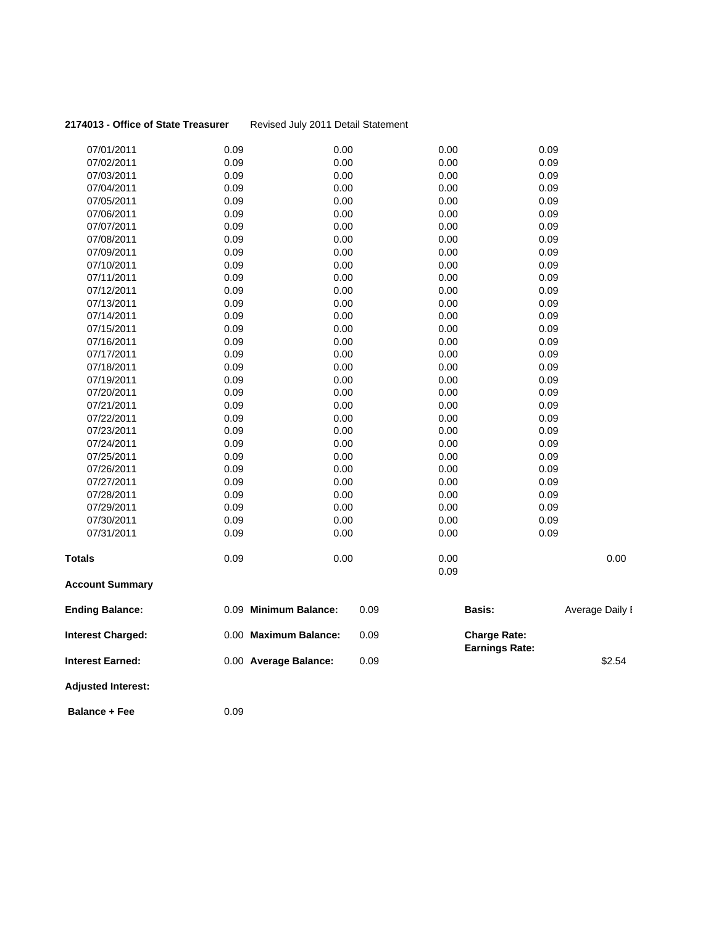| 2174013 - Office of State Treasurer |  |  |
|-------------------------------------|--|--|
|-------------------------------------|--|--|

### **Revised July 2011 Detail Statement**

| 07/01/2011                | 0.09                  | 0.00 | 0.00 | 0.09                  |                 |
|---------------------------|-----------------------|------|------|-----------------------|-----------------|
| 07/02/2011                | 0.09                  | 0.00 | 0.00 | 0.09                  |                 |
| 07/03/2011                | 0.09                  | 0.00 | 0.00 | 0.09                  |                 |
| 07/04/2011                | 0.09                  | 0.00 | 0.00 | 0.09                  |                 |
| 07/05/2011                | 0.09                  | 0.00 | 0.00 | 0.09                  |                 |
| 07/06/2011                | 0.09                  | 0.00 | 0.00 | 0.09                  |                 |
| 07/07/2011                | 0.09                  | 0.00 | 0.00 | 0.09                  |                 |
| 07/08/2011                | 0.09                  | 0.00 | 0.00 | 0.09                  |                 |
| 07/09/2011                | 0.09                  | 0.00 | 0.00 | 0.09                  |                 |
| 07/10/2011                | 0.09                  | 0.00 | 0.00 | 0.09                  |                 |
| 07/11/2011                | 0.09                  | 0.00 | 0.00 | 0.09                  |                 |
| 07/12/2011                | 0.09                  | 0.00 | 0.00 | 0.09                  |                 |
| 07/13/2011                | 0.09                  | 0.00 | 0.00 | 0.09                  |                 |
| 07/14/2011                | 0.09                  | 0.00 | 0.00 | 0.09                  |                 |
| 07/15/2011                | 0.09                  | 0.00 | 0.00 | 0.09                  |                 |
| 07/16/2011                | 0.09                  | 0.00 | 0.00 | 0.09                  |                 |
| 07/17/2011                | 0.09                  | 0.00 | 0.00 | 0.09                  |                 |
| 07/18/2011                | 0.09                  | 0.00 | 0.00 | 0.09                  |                 |
| 07/19/2011                | 0.09                  | 0.00 | 0.00 | 0.09                  |                 |
| 07/20/2011                | 0.09                  | 0.00 | 0.00 | 0.09                  |                 |
| 07/21/2011                | 0.09                  | 0.00 | 0.00 | 0.09                  |                 |
| 07/22/2011                | 0.09                  | 0.00 | 0.00 | 0.09                  |                 |
| 07/23/2011                | 0.09                  | 0.00 | 0.00 | 0.09                  |                 |
| 07/24/2011                | 0.09                  | 0.00 | 0.00 | 0.09                  |                 |
| 07/25/2011                | 0.09                  | 0.00 | 0.00 | 0.09                  |                 |
| 07/26/2011                | 0.09                  | 0.00 | 0.00 | 0.09                  |                 |
| 07/27/2011                | 0.09                  | 0.00 | 0.00 | 0.09                  |                 |
| 07/28/2011                | 0.09                  | 0.00 | 0.00 | 0.09                  |                 |
| 07/29/2011                | 0.09                  | 0.00 | 0.00 | 0.09                  |                 |
| 07/30/2011                | 0.09                  | 0.00 | 0.00 | 0.09                  |                 |
| 07/31/2011                | 0.09                  | 0.00 | 0.00 | 0.09                  |                 |
| Totals                    | 0.09                  | 0.00 | 0.00 |                       | 0.00            |
|                           |                       |      | 0.09 |                       |                 |
| <b>Account Summary</b>    |                       |      |      |                       |                 |
| <b>Ending Balance:</b>    | 0.09 Minimum Balance: | 0.09 |      | Basis:                | Average Daily I |
| <b>Interest Charged:</b>  | 0.00 Maximum Balance: | 0.09 |      | <b>Charge Rate:</b>   |                 |
| <b>Interest Earned:</b>   | 0.00 Average Balance: | 0.09 |      | <b>Earnings Rate:</b> | \$2.54          |
| <b>Adjusted Interest:</b> |                       |      |      |                       |                 |
| <b>Balance + Fee</b>      | 0.09                  |      |      |                       |                 |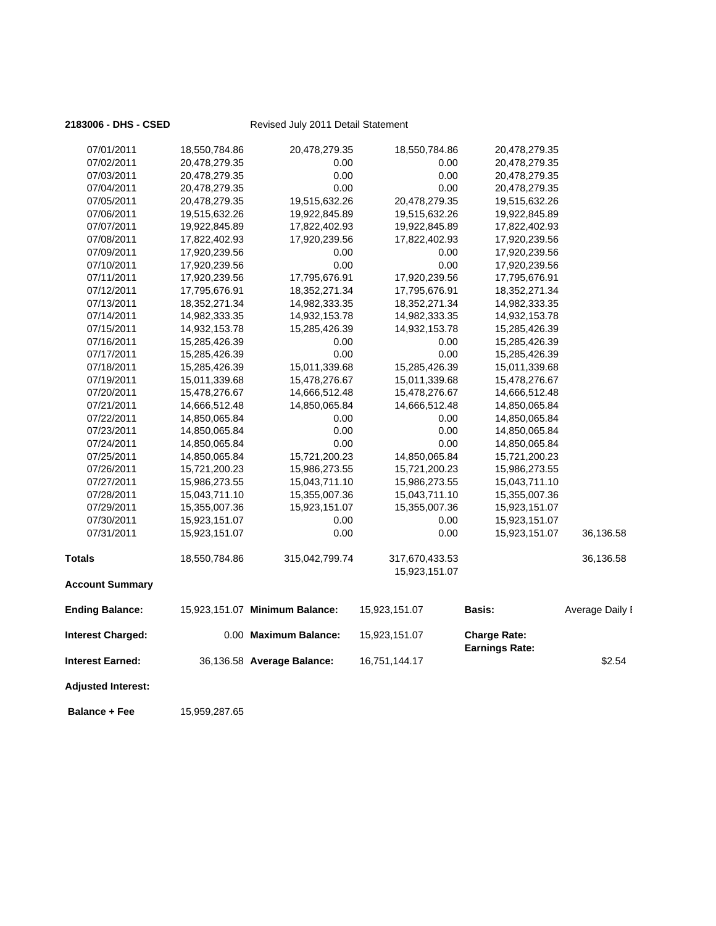| <b>Adjusted Interest:</b><br><b>Balance + Fee</b> | 15,959,287.65 |                                |                                 |                                              |                 |
|---------------------------------------------------|---------------|--------------------------------|---------------------------------|----------------------------------------------|-----------------|
| <b>Interest Earned:</b>                           |               | 36,136.58 Average Balance:     | 16,751,144.17                   |                                              | \$2.54          |
| <b>Interest Charged:</b>                          |               | 0.00 Maximum Balance:          | 15,923,151.07                   | <b>Charge Rate:</b><br><b>Earnings Rate:</b> |                 |
| <b>Ending Balance:</b>                            |               | 15,923,151.07 Minimum Balance: | 15,923,151.07                   | <b>Basis:</b>                                | Average Daily I |
| <b>Account Summary</b>                            |               |                                |                                 |                                              |                 |
| <b>Totals</b>                                     | 18,550,784.86 | 315,042,799.74                 | 317,670,433.53<br>15,923,151.07 |                                              | 36,136.58       |
| 07/31/2011                                        | 15,923,151.07 | 0.00                           | 0.00                            | 15,923,151.07                                | 36,136.58       |
| 07/30/2011                                        | 15,923,151.07 | 0.00                           | 0.00                            | 15,923,151.07                                |                 |
| 07/29/2011                                        | 15,355,007.36 | 15,923,151.07                  | 15,355,007.36                   | 15,923,151.07                                |                 |
| 07/28/2011                                        | 15,043,711.10 | 15,355,007.36                  | 15,043,711.10                   | 15,355,007.36                                |                 |
| 07/27/2011                                        | 15,986,273.55 | 15,043,711.10                  | 15,986,273.55                   | 15,043,711.10                                |                 |
| 07/26/2011                                        | 15,721,200.23 | 15,986,273.55                  | 15,721,200.23                   | 15,986,273.55                                |                 |
| 07/25/2011                                        | 14,850,065.84 | 15,721,200.23                  | 14,850,065.84                   | 15,721,200.23                                |                 |
| 07/24/2011                                        | 14,850,065.84 | 0.00                           | 0.00                            | 14,850,065.84                                |                 |
| 07/23/2011                                        | 14,850,065.84 | 0.00                           | 0.00                            | 14,850,065.84                                |                 |
| 07/22/2011                                        | 14,850,065.84 | 0.00                           | 0.00                            | 14,850,065.84                                |                 |
| 07/21/2011                                        | 14,666,512.48 | 14,850,065.84                  | 14,666,512.48                   | 14,850,065.84                                |                 |
| 07/20/2011                                        | 15,478,276.67 | 14,666,512.48                  | 15,478,276.67                   | 14,666,512.48                                |                 |
| 07/19/2011                                        | 15,011,339.68 | 15,478,276.67                  | 15,011,339.68                   | 15,478,276.67                                |                 |
| 07/18/2011                                        | 15,285,426.39 | 15,011,339.68                  | 15,285,426.39                   | 15,011,339.68                                |                 |
| 07/17/2011                                        | 15,285,426.39 | 0.00                           | 0.00                            | 15,285,426.39                                |                 |
| 07/16/2011                                        | 15,285,426.39 | 0.00                           | 0.00                            | 15,285,426.39                                |                 |
| 07/15/2011                                        | 14,932,153.78 | 15,285,426.39                  | 14,932,153.78                   | 15,285,426.39                                |                 |
| 07/14/2011                                        | 14,982,333.35 | 14,932,153.78                  | 14,982,333.35                   | 14,932,153.78                                |                 |
| 07/13/2011                                        | 18,352,271.34 | 14,982,333.35                  | 18,352,271.34                   | 14,982,333.35                                |                 |
| 07/12/2011                                        | 17,795,676.91 | 18,352,271.34                  | 17,795,676.91                   | 18,352,271.34                                |                 |
| 07/11/2011                                        | 17,920,239.56 | 17,795,676.91                  | 17,920,239.56                   | 17,795,676.91                                |                 |
| 07/10/2011                                        | 17,920,239.56 | 0.00                           | 0.00                            | 17,920,239.56                                |                 |
| 07/09/2011                                        | 17,920,239.56 | 0.00                           | 0.00                            | 17,920,239.56                                |                 |
| 07/08/2011                                        | 17,822,402.93 | 17,920,239.56                  | 17,822,402.93                   | 17,920,239.56                                |                 |
| 07/07/2011                                        | 19,922,845.89 | 17,822,402.93                  | 19,922,845.89                   | 17,822,402.93                                |                 |
| 07/06/2011                                        | 19,515,632.26 | 19,922,845.89                  | 19,515,632.26                   | 19,922,845.89                                |                 |
| 07/05/2011                                        | 20,478,279.35 | 19,515,632.26                  | 20,478,279.35                   | 19,515,632.26                                |                 |
| 07/04/2011                                        | 20,478,279.35 | 0.00                           | 0.00                            | 20,478,279.35                                |                 |
| 07/03/2011                                        | 20,478,279.35 | 0.00                           | 0.00                            | 20,478,279.35                                |                 |
| 07/02/2011                                        | 20,478,279.35 | 0.00                           | 0.00                            | 20,478,279.35                                |                 |
| 07/01/2011                                        | 18,550,784.86 | 20,478,279.35                  | 18,550,784.86                   | 20,478,279.35                                |                 |
|                                                   |               |                                |                                 |                                              |                 |

**2183006 - DHS - CSED** Revised July 2011 Detail Statement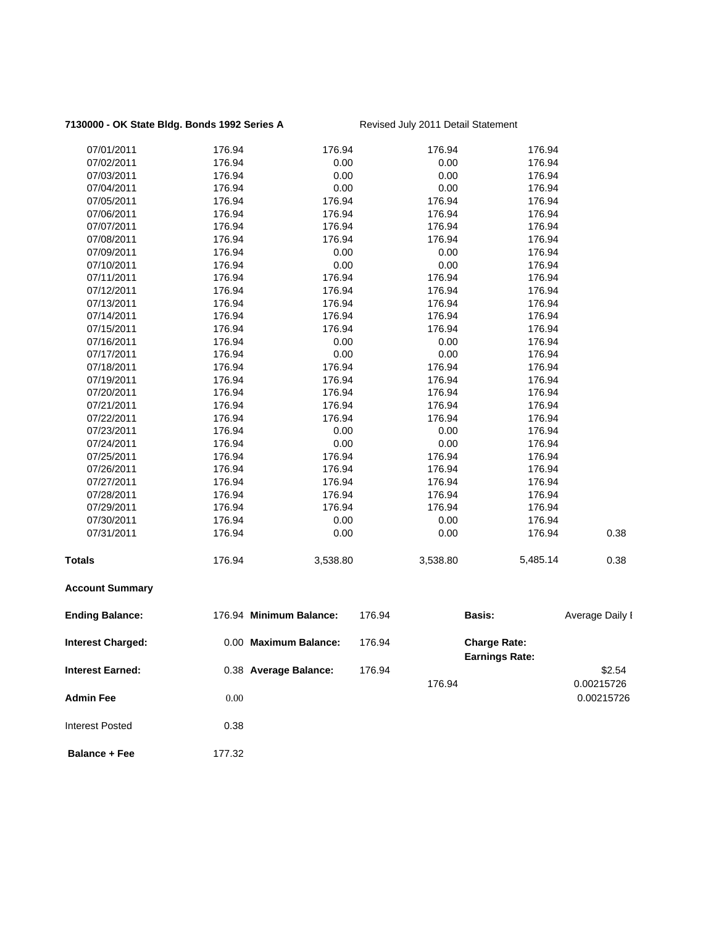### 7130000 - OK State Bldg. Bonds 1992 Series A Revised July 2011 Detail Statement

| 07/01/2011               | 176.94 | 176.94                  |        | 176.94   | 176.94                                       |                 |
|--------------------------|--------|-------------------------|--------|----------|----------------------------------------------|-----------------|
| 07/02/2011               | 176.94 | 0.00                    |        | 0.00     | 176.94                                       |                 |
| 07/03/2011               | 176.94 | 0.00                    |        | 0.00     | 176.94                                       |                 |
| 07/04/2011               | 176.94 | 0.00                    |        | 0.00     | 176.94                                       |                 |
| 07/05/2011               | 176.94 | 176.94                  |        | 176.94   | 176.94                                       |                 |
| 07/06/2011               | 176.94 | 176.94                  |        | 176.94   | 176.94                                       |                 |
| 07/07/2011               | 176.94 | 176.94                  |        | 176.94   | 176.94                                       |                 |
| 07/08/2011               | 176.94 | 176.94                  |        | 176.94   | 176.94                                       |                 |
| 07/09/2011               | 176.94 | 0.00                    |        | 0.00     | 176.94                                       |                 |
| 07/10/2011               | 176.94 | 0.00                    |        | 0.00     | 176.94                                       |                 |
| 07/11/2011               | 176.94 | 176.94                  |        | 176.94   | 176.94                                       |                 |
| 07/12/2011               | 176.94 | 176.94                  |        | 176.94   | 176.94                                       |                 |
| 07/13/2011               | 176.94 | 176.94                  |        | 176.94   | 176.94                                       |                 |
| 07/14/2011               | 176.94 | 176.94                  |        | 176.94   | 176.94                                       |                 |
| 07/15/2011               | 176.94 | 176.94                  |        | 176.94   | 176.94                                       |                 |
| 07/16/2011               | 176.94 | 0.00                    |        | 0.00     | 176.94                                       |                 |
| 07/17/2011               | 176.94 | 0.00                    |        | 0.00     | 176.94                                       |                 |
| 07/18/2011               | 176.94 | 176.94                  |        | 176.94   | 176.94                                       |                 |
| 07/19/2011               | 176.94 | 176.94                  |        | 176.94   | 176.94                                       |                 |
| 07/20/2011               | 176.94 | 176.94                  |        | 176.94   | 176.94                                       |                 |
| 07/21/2011               | 176.94 | 176.94                  |        | 176.94   | 176.94                                       |                 |
| 07/22/2011               | 176.94 | 176.94                  |        | 176.94   | 176.94                                       |                 |
| 07/23/2011               | 176.94 | 0.00                    |        | 0.00     | 176.94                                       |                 |
| 07/24/2011               | 176.94 | 0.00                    |        | 0.00     | 176.94                                       |                 |
| 07/25/2011               | 176.94 | 176.94                  |        | 176.94   | 176.94                                       |                 |
| 07/26/2011               | 176.94 | 176.94                  |        | 176.94   | 176.94                                       |                 |
| 07/27/2011               | 176.94 | 176.94                  |        | 176.94   | 176.94                                       |                 |
| 07/28/2011               | 176.94 | 176.94                  |        | 176.94   | 176.94                                       |                 |
| 07/29/2011               | 176.94 | 176.94                  |        | 176.94   | 176.94                                       |                 |
| 07/30/2011               | 176.94 | 0.00                    |        | 0.00     | 176.94                                       |                 |
| 07/31/2011               | 176.94 | 0.00                    |        | 0.00     | 176.94                                       | 0.38            |
| <b>Totals</b>            | 176.94 | 3,538.80                |        | 3,538.80 | 5,485.14                                     | 0.38            |
| <b>Account Summary</b>   |        |                         |        |          |                                              |                 |
| <b>Ending Balance:</b>   |        | 176.94 Minimum Balance: | 176.94 |          | <b>Basis:</b>                                | Average Daily I |
| <b>Interest Charged:</b> |        | 0.00 Maximum Balance:   | 176.94 |          | <b>Charge Rate:</b><br><b>Earnings Rate:</b> |                 |
| <b>Interest Earned:</b>  |        | 0.38 Average Balance:   | 176.94 |          |                                              | \$2.54          |
|                          |        |                         |        | 176.94   |                                              | 0.00215726      |
| <b>Admin Fee</b>         | 0.00   |                         |        |          |                                              | 0.00215726      |
| <b>Interest Posted</b>   | 0.38   |                         |        |          |                                              |                 |

**Balance + Fee** 177.32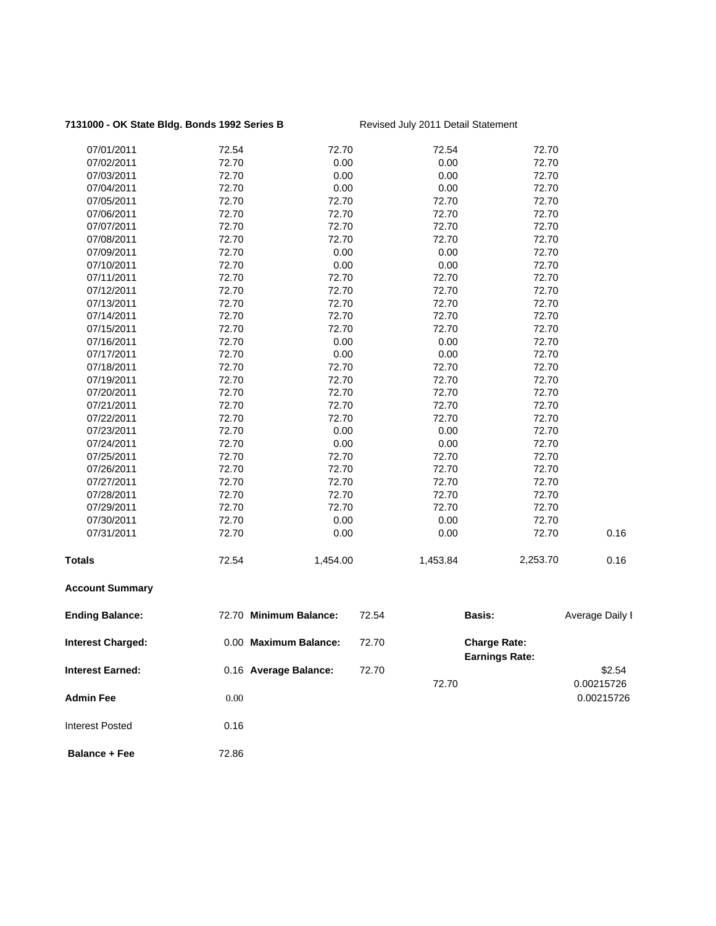### 7131000 - OK State Bldg. Bonds 1992 Series B Revised July 2011 Detail Statement

| 07/01/2011               | 72.54 | 72.70                  |       | 72.54    | 72.70                                        |                 |
|--------------------------|-------|------------------------|-------|----------|----------------------------------------------|-----------------|
| 07/02/2011               | 72.70 | 0.00                   |       | 0.00     | 72.70                                        |                 |
| 07/03/2011               | 72.70 | 0.00                   |       | 0.00     | 72.70                                        |                 |
| 07/04/2011               | 72.70 | 0.00                   |       | 0.00     | 72.70                                        |                 |
| 07/05/2011               | 72.70 | 72.70                  |       | 72.70    | 72.70                                        |                 |
| 07/06/2011               | 72.70 | 72.70                  |       | 72.70    | 72.70                                        |                 |
| 07/07/2011               | 72.70 | 72.70                  |       | 72.70    | 72.70                                        |                 |
| 07/08/2011               | 72.70 | 72.70                  |       | 72.70    | 72.70                                        |                 |
| 07/09/2011               | 72.70 | 0.00                   |       | 0.00     | 72.70                                        |                 |
| 07/10/2011               | 72.70 | 0.00                   |       | 0.00     | 72.70                                        |                 |
| 07/11/2011               | 72.70 | 72.70                  |       | 72.70    | 72.70                                        |                 |
| 07/12/2011               | 72.70 | 72.70                  |       | 72.70    | 72.70                                        |                 |
| 07/13/2011               | 72.70 | 72.70                  |       | 72.70    | 72.70                                        |                 |
| 07/14/2011               | 72.70 | 72.70                  |       | 72.70    | 72.70                                        |                 |
| 07/15/2011               | 72.70 | 72.70                  |       | 72.70    | 72.70                                        |                 |
| 07/16/2011               | 72.70 | 0.00                   |       | 0.00     | 72.70                                        |                 |
| 07/17/2011               | 72.70 | 0.00                   |       | 0.00     | 72.70                                        |                 |
| 07/18/2011               | 72.70 | 72.70                  |       | 72.70    | 72.70                                        |                 |
| 07/19/2011               | 72.70 | 72.70                  |       | 72.70    | 72.70                                        |                 |
| 07/20/2011               | 72.70 | 72.70                  |       | 72.70    | 72.70                                        |                 |
| 07/21/2011               | 72.70 | 72.70                  |       | 72.70    | 72.70                                        |                 |
| 07/22/2011               | 72.70 | 72.70                  |       | 72.70    | 72.70                                        |                 |
| 07/23/2011               | 72.70 | 0.00                   |       | 0.00     | 72.70                                        |                 |
| 07/24/2011               | 72.70 | 0.00                   |       | 0.00     | 72.70                                        |                 |
| 07/25/2011               | 72.70 | 72.70                  |       | 72.70    | 72.70                                        |                 |
| 07/26/2011               | 72.70 | 72.70                  |       | 72.70    | 72.70                                        |                 |
| 07/27/2011               | 72.70 | 72.70                  |       | 72.70    | 72.70                                        |                 |
| 07/28/2011               | 72.70 | 72.70                  |       | 72.70    | 72.70                                        |                 |
| 07/29/2011               | 72.70 | 72.70                  |       | 72.70    | 72.70                                        |                 |
| 07/30/2011               | 72.70 | 0.00                   |       | 0.00     | 72.70                                        |                 |
| 07/31/2011               | 72.70 | 0.00                   |       | 0.00     | 72.70                                        | 0.16            |
| Totals                   | 72.54 | 1,454.00               |       | 1,453.84 | 2,253.70                                     | 0.16            |
| <b>Account Summary</b>   |       |                        |       |          |                                              |                 |
| <b>Ending Balance:</b>   |       | 72.70 Minimum Balance: | 72.54 |          | <b>Basis:</b>                                | Average Daily I |
| <b>Interest Charged:</b> |       | 0.00 Maximum Balance:  | 72.70 |          | <b>Charge Rate:</b><br><b>Earnings Rate:</b> |                 |
| <b>Interest Earned:</b>  |       | 0.16 Average Balance:  | 72.70 |          |                                              | \$2.54          |
|                          |       |                        |       | 72.70    |                                              | 0.00215726      |
| <b>Admin Fee</b>         | 0.00  |                        |       |          |                                              | 0.00215726      |
| <b>Interest Posted</b>   | 0.16  |                        |       |          |                                              |                 |
| <b>Balance + Fee</b>     | 72.86 |                        |       |          |                                              |                 |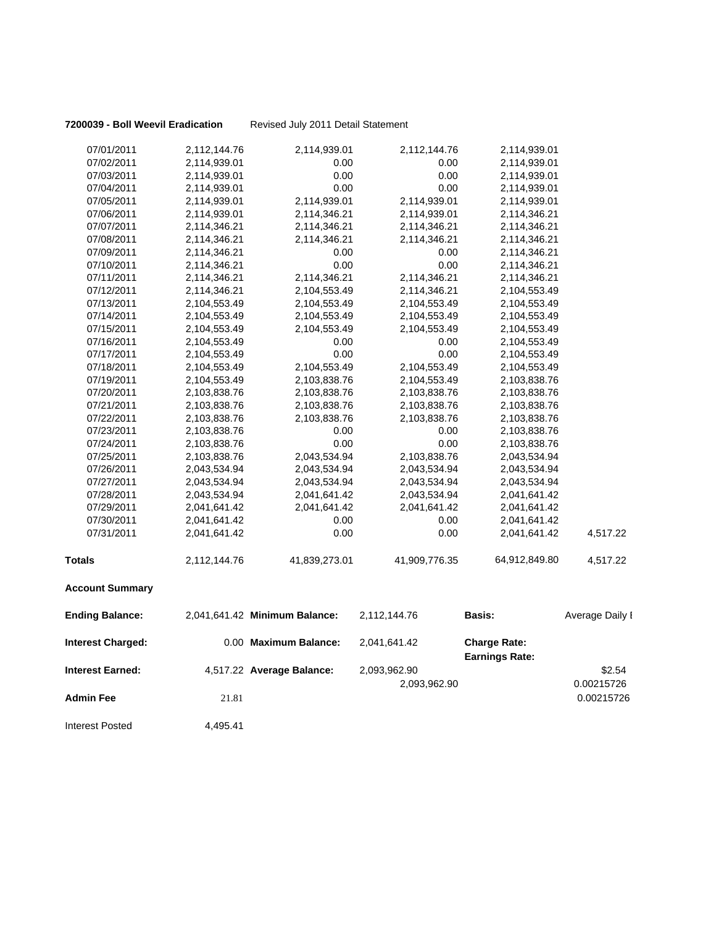**7200039 - Boll Weevil Eradication** Revised July 2011 Detail Statement

| 07/01/2011               | 2,112,144.76 | 2,114,939.01                  | 2,112,144.76  | 2,114,939.01          |                 |
|--------------------------|--------------|-------------------------------|---------------|-----------------------|-----------------|
| 07/02/2011               | 2,114,939.01 | 0.00                          | 0.00          | 2,114,939.01          |                 |
| 07/03/2011               | 2,114,939.01 | 0.00                          | 0.00          | 2,114,939.01          |                 |
| 07/04/2011               | 2,114,939.01 | 0.00                          | 0.00          | 2,114,939.01          |                 |
| 07/05/2011               | 2,114,939.01 | 2,114,939.01                  | 2,114,939.01  | 2,114,939.01          |                 |
| 07/06/2011               | 2,114,939.01 | 2,114,346.21                  | 2,114,939.01  | 2,114,346.21          |                 |
| 07/07/2011               | 2,114,346.21 | 2,114,346.21                  | 2,114,346.21  | 2,114,346.21          |                 |
| 07/08/2011               | 2,114,346.21 | 2,114,346.21                  | 2,114,346.21  | 2,114,346.21          |                 |
| 07/09/2011               | 2,114,346.21 | 0.00                          | 0.00          | 2,114,346.21          |                 |
| 07/10/2011               | 2,114,346.21 | 0.00                          | 0.00          | 2,114,346.21          |                 |
| 07/11/2011               | 2,114,346.21 | 2,114,346.21                  | 2,114,346.21  | 2,114,346.21          |                 |
| 07/12/2011               | 2,114,346.21 | 2,104,553.49                  | 2,114,346.21  | 2,104,553.49          |                 |
| 07/13/2011               | 2,104,553.49 | 2,104,553.49                  | 2,104,553.49  | 2,104,553.49          |                 |
| 07/14/2011               | 2,104,553.49 | 2,104,553.49                  | 2,104,553.49  | 2,104,553.49          |                 |
| 07/15/2011               | 2,104,553.49 | 2,104,553.49                  | 2,104,553.49  | 2,104,553.49          |                 |
| 07/16/2011               | 2,104,553.49 | 0.00                          | 0.00          | 2,104,553.49          |                 |
| 07/17/2011               | 2,104,553.49 | 0.00                          | 0.00          | 2,104,553.49          |                 |
| 07/18/2011               | 2,104,553.49 | 2,104,553.49                  | 2,104,553.49  | 2,104,553.49          |                 |
| 07/19/2011               | 2,104,553.49 | 2,103,838.76                  | 2,104,553.49  | 2,103,838.76          |                 |
| 07/20/2011               | 2,103,838.76 | 2,103,838.76                  | 2,103,838.76  | 2,103,838.76          |                 |
| 07/21/2011               | 2,103,838.76 | 2,103,838.76                  | 2,103,838.76  | 2,103,838.76          |                 |
| 07/22/2011               | 2,103,838.76 | 2,103,838.76                  | 2,103,838.76  | 2,103,838.76          |                 |
| 07/23/2011               | 2,103,838.76 | 0.00                          | 0.00          | 2,103,838.76          |                 |
| 07/24/2011               | 2,103,838.76 | 0.00                          | 0.00          | 2,103,838.76          |                 |
| 07/25/2011               | 2,103,838.76 | 2,043,534.94                  | 2,103,838.76  | 2,043,534.94          |                 |
| 07/26/2011               | 2,043,534.94 | 2,043,534.94                  | 2,043,534.94  | 2,043,534.94          |                 |
| 07/27/2011               | 2,043,534.94 | 2,043,534.94                  | 2,043,534.94  | 2,043,534.94          |                 |
| 07/28/2011               | 2,043,534.94 | 2,041,641.42                  | 2,043,534.94  | 2,041,641.42          |                 |
| 07/29/2011               | 2,041,641.42 | 2,041,641.42                  | 2,041,641.42  | 2,041,641.42          |                 |
| 07/30/2011               | 2,041,641.42 | 0.00                          | 0.00          | 2,041,641.42          |                 |
| 07/31/2011               | 2,041,641.42 | 0.00                          | 0.00          | 2,041,641.42          | 4,517.22        |
| <b>Totals</b>            | 2,112,144.76 | 41,839,273.01                 | 41,909,776.35 | 64,912,849.80         | 4,517.22        |
| <b>Account Summary</b>   |              |                               |               |                       |                 |
| <b>Ending Balance:</b>   |              | 2,041,641.42 Minimum Balance: | 2,112,144.76  | Basis:                | Average Daily I |
| <b>Interest Charged:</b> |              | 0.00 Maximum Balance:         | 2,041,641.42  | <b>Charge Rate:</b>   |                 |
| <b>Interest Earned:</b>  |              | 4,517.22 Average Balance:     | 2,093,962.90  | <b>Earnings Rate:</b> | \$2.54          |
|                          |              |                               | 2,093,962.90  |                       | 0.00215726      |
| Admin Fee                | 21.81        |                               |               |                       | 0.00215726      |
|                          |              |                               |               |                       |                 |

Interest Posted 4,495.41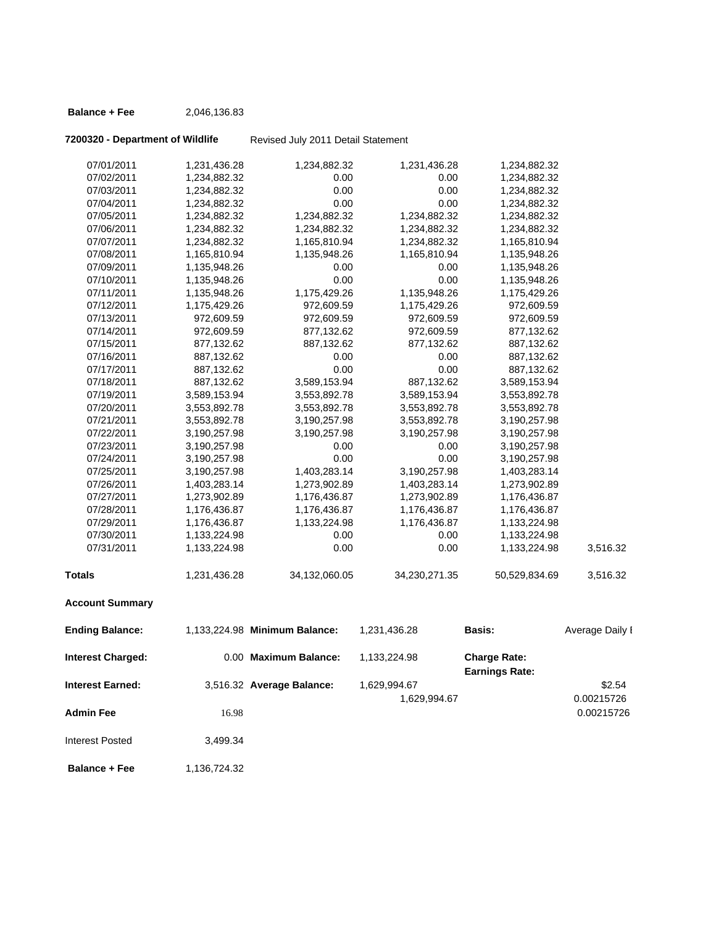### **Balance + Fee** 2,046,136.83

## **7200320 - Department of Wildlife** Revised July 2011 Detail Statement

| Totals     | 1,231,436.28 | 34,132,060.05 | 34,230,271.35 | 50,529,834.69 | 3,516.32 |
|------------|--------------|---------------|---------------|---------------|----------|
| 07/31/2011 | 1,133,224.98 | 0.00          | 0.00          | 1,133,224.98  | 3,516.32 |
| 07/30/2011 | 1,133,224.98 | 0.00          | 0.00          | 1,133,224.98  |          |
| 07/29/2011 | 1,176,436.87 | 1,133,224.98  | 1,176,436.87  | 1,133,224.98  |          |
| 07/28/2011 | 1,176,436.87 | 1,176,436.87  | 1,176,436.87  | 1,176,436.87  |          |
| 07/27/2011 | 1,273,902.89 | 1,176,436.87  | 1,273,902.89  | 1,176,436.87  |          |
| 07/26/2011 | 1,403,283.14 | 1,273,902.89  | 1,403,283.14  | 1,273,902.89  |          |
| 07/25/2011 | 3,190,257.98 | 1,403,283.14  | 3,190,257.98  | 1,403,283.14  |          |
| 07/24/2011 | 3,190,257.98 | 0.00          | 0.00          | 3,190,257.98  |          |
| 07/23/2011 | 3,190,257.98 | 0.00          | 0.00          | 3,190,257.98  |          |
| 07/22/2011 | 3,190,257.98 | 3,190,257.98  | 3,190,257.98  | 3,190,257.98  |          |
| 07/21/2011 | 3,553,892.78 | 3,190,257.98  | 3,553,892.78  | 3,190,257.98  |          |
| 07/20/2011 | 3,553,892.78 | 3,553,892.78  | 3,553,892.78  | 3,553,892.78  |          |
| 07/19/2011 | 3,589,153.94 | 3,553,892.78  | 3,589,153.94  | 3,553,892.78  |          |
| 07/18/2011 | 887,132.62   | 3,589,153.94  | 887,132.62    | 3,589,153.94  |          |
| 07/17/2011 | 887,132.62   | 0.00          | 0.00          | 887,132.62    |          |
| 07/16/2011 | 887,132.62   | 0.00          | 0.00          | 887,132.62    |          |
| 07/15/2011 | 877,132.62   | 887,132.62    | 877,132.62    | 887,132.62    |          |
| 07/14/2011 | 972,609.59   | 877,132.62    | 972,609.59    | 877,132.62    |          |
| 07/13/2011 | 972,609.59   | 972,609.59    | 972,609.59    | 972,609.59    |          |
| 07/12/2011 | 1,175,429.26 | 972,609.59    | 1,175,429.26  | 972,609.59    |          |
| 07/11/2011 | 1,135,948.26 | 1,175,429.26  | 1,135,948.26  | 1,175,429.26  |          |
| 07/10/2011 | 1,135,948.26 | 0.00          | 0.00          | 1,135,948.26  |          |
| 07/09/2011 | 1,135,948.26 | 0.00          | 0.00          | 1,135,948.26  |          |
| 07/08/2011 | 1,165,810.94 | 1,135,948.26  | 1,165,810.94  | 1,135,948.26  |          |
| 07/07/2011 | 1,234,882.32 | 1,165,810.94  | 1,234,882.32  | 1,165,810.94  |          |
| 07/06/2011 | 1,234,882.32 | 1,234,882.32  | 1,234,882.32  | 1,234,882.32  |          |
| 07/05/2011 | 1,234,882.32 | 1,234,882.32  | 1,234,882.32  | 1,234,882.32  |          |
| 07/04/2011 | 1,234,882.32 | 0.00          | 0.00          | 1,234,882.32  |          |
| 07/03/2011 | 1,234,882.32 | 0.00          | 0.00          | 1,234,882.32  |          |
| 07/02/2011 | 1,234,882.32 | 0.00          | 0.00          | 1,234,882.32  |          |
| 07/01/2011 | 1,231,436.28 | 1,234,882.32  | 1,231,436.28  | 1,234,882.32  |          |
|            |              |               |               |               |          |

### **Account Summary**

| <b>Ending Balance:</b>   |            | 1.133.224.98 Minimum Balance: | 1,231,436.28 | <b>Basis:</b>                                | Average Daily I |
|--------------------------|------------|-------------------------------|--------------|----------------------------------------------|-----------------|
| <b>Interest Charged:</b> |            | 0.00 Maximum Balance:         | 1,133,224.98 | <b>Charge Rate:</b><br><b>Earnings Rate:</b> |                 |
| <b>Interest Earned:</b>  |            | 3,516.32 Average Balance:     | 1,629,994.67 |                                              | \$2.54          |
|                          |            |                               | 1,629,994.67 |                                              | 0.00215726      |
| <b>Admin Fee</b>         | 16.98      |                               |              |                                              | 0.00215726      |
| Interest Posted          | 3.499.34   |                               |              |                                              |                 |
|                          | 1.10070100 |                               |              |                                              |                 |

**Balance + Fee** 1,136,724.32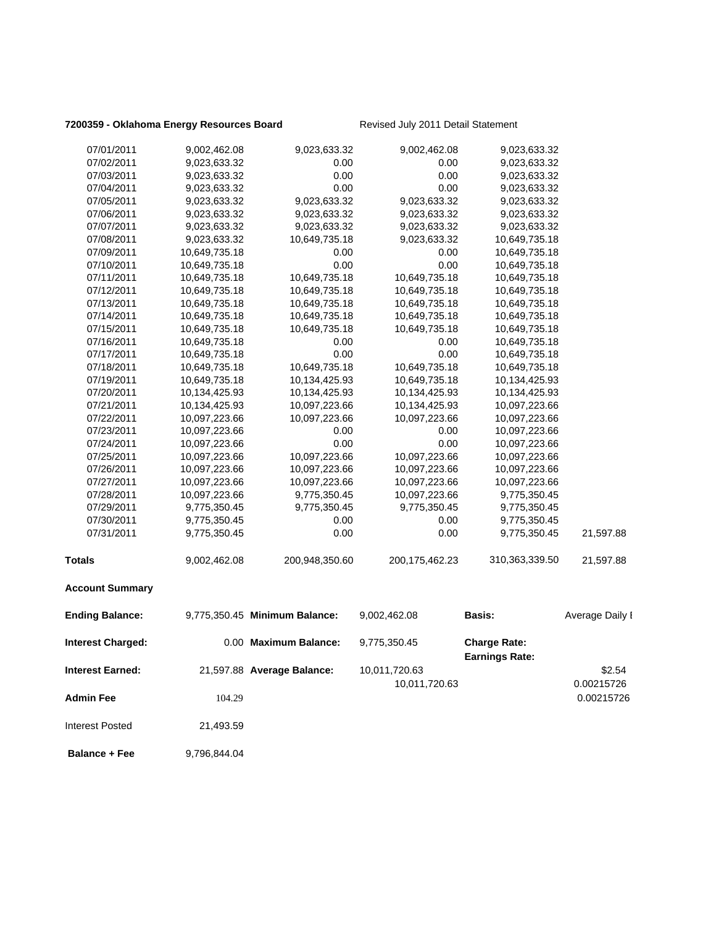### **7200359 - Oklahoma Energy Resources Board** Revised July 2011 Detail Statement

| 07/01/2011               | 9,002,462.08  | 9,023,633.32                  | 9,002,462.08                   | 9,023,633.32                                 |                      |
|--------------------------|---------------|-------------------------------|--------------------------------|----------------------------------------------|----------------------|
| 07/02/2011               | 9,023,633.32  | 0.00                          | 0.00                           | 9,023,633.32                                 |                      |
| 07/03/2011               | 9,023,633.32  | 0.00                          | 0.00                           | 9,023,633.32                                 |                      |
| 07/04/2011               | 9,023,633.32  | 0.00                          | 0.00                           | 9,023,633.32                                 |                      |
| 07/05/2011               | 9,023,633.32  | 9,023,633.32                  | 9,023,633.32                   | 9,023,633.32                                 |                      |
| 07/06/2011               | 9,023,633.32  | 9,023,633.32                  | 9,023,633.32                   | 9,023,633.32                                 |                      |
| 07/07/2011               | 9,023,633.32  | 9,023,633.32                  | 9,023,633.32                   | 9,023,633.32                                 |                      |
| 07/08/2011               | 9,023,633.32  | 10,649,735.18                 | 9,023,633.32                   | 10,649,735.18                                |                      |
| 07/09/2011               | 10,649,735.18 | 0.00                          | 0.00                           | 10,649,735.18                                |                      |
| 07/10/2011               | 10,649,735.18 | 0.00                          | 0.00                           | 10,649,735.18                                |                      |
| 07/11/2011               | 10,649,735.18 | 10,649,735.18                 | 10,649,735.18                  | 10,649,735.18                                |                      |
| 07/12/2011               | 10,649,735.18 | 10,649,735.18                 | 10,649,735.18                  | 10,649,735.18                                |                      |
| 07/13/2011               | 10,649,735.18 | 10,649,735.18                 | 10,649,735.18                  | 10,649,735.18                                |                      |
| 07/14/2011               | 10,649,735.18 | 10,649,735.18                 | 10,649,735.18                  | 10,649,735.18                                |                      |
| 07/15/2011               | 10,649,735.18 | 10,649,735.18                 | 10,649,735.18                  | 10,649,735.18                                |                      |
| 07/16/2011               | 10,649,735.18 | 0.00                          | 0.00                           | 10,649,735.18                                |                      |
| 07/17/2011               |               | 0.00                          | 0.00                           |                                              |                      |
|                          | 10,649,735.18 | 10,649,735.18                 |                                | 10,649,735.18                                |                      |
| 07/18/2011               | 10,649,735.18 |                               | 10,649,735.18                  | 10,649,735.18                                |                      |
| 07/19/2011               | 10,649,735.18 | 10,134,425.93                 | 10,649,735.18                  | 10,134,425.93                                |                      |
| 07/20/2011               | 10,134,425.93 | 10,134,425.93                 | 10,134,425.93                  | 10,134,425.93                                |                      |
| 07/21/2011               | 10,134,425.93 | 10,097,223.66                 | 10,134,425.93                  | 10,097,223.66                                |                      |
| 07/22/2011               | 10,097,223.66 | 10,097,223.66                 | 10,097,223.66                  | 10,097,223.66                                |                      |
| 07/23/2011               | 10,097,223.66 | 0.00                          | 0.00                           | 10,097,223.66                                |                      |
| 07/24/2011               | 10,097,223.66 | 0.00                          | 0.00                           | 10,097,223.66                                |                      |
| 07/25/2011               | 10,097,223.66 | 10,097,223.66                 | 10,097,223.66                  | 10,097,223.66                                |                      |
| 07/26/2011               | 10,097,223.66 | 10,097,223.66                 | 10,097,223.66                  | 10,097,223.66                                |                      |
| 07/27/2011               | 10,097,223.66 | 10,097,223.66                 | 10,097,223.66                  | 10,097,223.66                                |                      |
| 07/28/2011               | 10,097,223.66 | 9,775,350.45                  | 10,097,223.66                  | 9,775,350.45                                 |                      |
| 07/29/2011               | 9,775,350.45  | 9,775,350.45                  | 9,775,350.45                   | 9,775,350.45                                 |                      |
| 07/30/2011               | 9,775,350.45  | 0.00                          | 0.00                           | 9,775,350.45                                 |                      |
| 07/31/2011               | 9,775,350.45  | 0.00                          | 0.00                           | 9,775,350.45                                 | 21,597.88            |
| <b>Totals</b>            | 9,002,462.08  | 200,948,350.60                | 200, 175, 462. 23              | 310,363,339.50                               | 21,597.88            |
| <b>Account Summary</b>   |               |                               |                                |                                              |                      |
| <b>Ending Balance:</b>   |               | 9,775,350.45 Minimum Balance: | 9,002,462.08                   | Basis:                                       | Average Daily I      |
| <b>Interest Charged:</b> |               | 0.00 Maximum Balance:         | 9,775,350.45                   | <b>Charge Rate:</b><br><b>Earnings Rate:</b> |                      |
| <b>Interest Earned:</b>  |               | 21,597.88 Average Balance:    | 10,011,720.63<br>10,011,720.63 |                                              | \$2.54<br>0.00215726 |
| <b>Admin Fee</b>         | 104.29        |                               |                                |                                              | 0.00215726           |
| <b>Interest Posted</b>   | 21,493.59     |                               |                                |                                              |                      |

**Balance + Fee** 9,796,844.04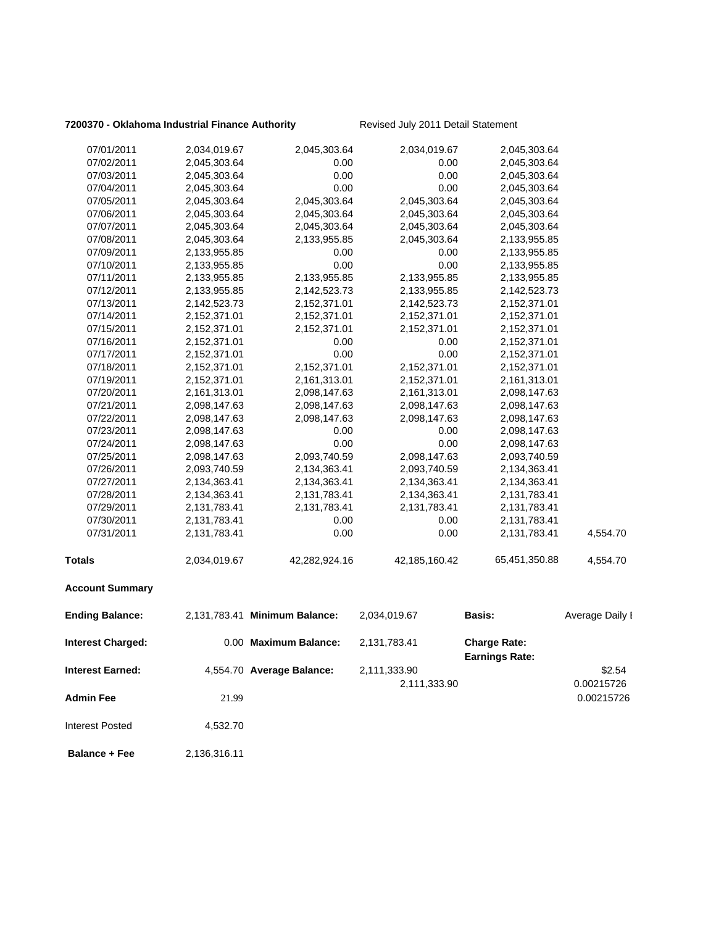### **7200370 - Oklahoma Industrial Finance Authority** Revised July 2011 Detail Statement

| 07/01/2011               | 2,034,019.67 | 2,045,303.64                  | 2,034,019.67  | 2,045,303.64                                 |                 |
|--------------------------|--------------|-------------------------------|---------------|----------------------------------------------|-----------------|
| 07/02/2011               | 2,045,303.64 | 0.00                          | 0.00          | 2,045,303.64                                 |                 |
| 07/03/2011               | 2,045,303.64 | 0.00                          | 0.00          | 2,045,303.64                                 |                 |
| 07/04/2011               | 2,045,303.64 | 0.00                          | 0.00          | 2,045,303.64                                 |                 |
| 07/05/2011               | 2,045,303.64 | 2,045,303.64                  | 2,045,303.64  | 2,045,303.64                                 |                 |
| 07/06/2011               | 2,045,303.64 | 2,045,303.64                  | 2,045,303.64  | 2,045,303.64                                 |                 |
| 07/07/2011               | 2,045,303.64 | 2,045,303.64                  | 2,045,303.64  | 2,045,303.64                                 |                 |
| 07/08/2011               | 2,045,303.64 | 2,133,955.85                  | 2,045,303.64  | 2,133,955.85                                 |                 |
| 07/09/2011               | 2,133,955.85 | 0.00                          | 0.00          | 2,133,955.85                                 |                 |
| 07/10/2011               | 2,133,955.85 | 0.00                          | 0.00          | 2,133,955.85                                 |                 |
| 07/11/2011               | 2,133,955.85 | 2,133,955.85                  | 2,133,955.85  | 2,133,955.85                                 |                 |
| 07/12/2011               | 2,133,955.85 | 2,142,523.73                  | 2,133,955.85  | 2,142,523.73                                 |                 |
| 07/13/2011               | 2,142,523.73 | 2,152,371.01                  | 2,142,523.73  | 2,152,371.01                                 |                 |
| 07/14/2011               | 2,152,371.01 | 2,152,371.01                  | 2,152,371.01  | 2,152,371.01                                 |                 |
| 07/15/2011               | 2,152,371.01 | 2,152,371.01                  | 2,152,371.01  | 2,152,371.01                                 |                 |
| 07/16/2011               | 2,152,371.01 | 0.00                          | 0.00          | 2,152,371.01                                 |                 |
| 07/17/2011               | 2,152,371.01 | 0.00                          | 0.00          | 2,152,371.01                                 |                 |
| 07/18/2011               | 2,152,371.01 | 2,152,371.01                  | 2,152,371.01  | 2,152,371.01                                 |                 |
| 07/19/2011               | 2,152,371.01 | 2,161,313.01                  | 2,152,371.01  | 2,161,313.01                                 |                 |
| 07/20/2011               | 2,161,313.01 | 2,098,147.63                  | 2,161,313.01  | 2,098,147.63                                 |                 |
| 07/21/2011               | 2,098,147.63 | 2,098,147.63                  | 2,098,147.63  | 2,098,147.63                                 |                 |
| 07/22/2011               | 2,098,147.63 | 2,098,147.63                  | 2,098,147.63  | 2,098,147.63                                 |                 |
| 07/23/2011               | 2,098,147.63 | 0.00                          | 0.00          | 2,098,147.63                                 |                 |
| 07/24/2011               | 2,098,147.63 | 0.00                          | 0.00          | 2,098,147.63                                 |                 |
| 07/25/2011               | 2,098,147.63 | 2,093,740.59                  | 2,098,147.63  | 2,093,740.59                                 |                 |
| 07/26/2011               | 2,093,740.59 | 2,134,363.41                  | 2,093,740.59  | 2,134,363.41                                 |                 |
| 07/27/2011               | 2,134,363.41 | 2,134,363.41                  | 2,134,363.41  | 2,134,363.41                                 |                 |
| 07/28/2011               | 2,134,363.41 | 2,131,783.41                  | 2,134,363.41  | 2,131,783.41                                 |                 |
| 07/29/2011               | 2,131,783.41 | 2,131,783.41                  | 2,131,783.41  | 2,131,783.41                                 |                 |
| 07/30/2011               | 2,131,783.41 | 0.00                          | 0.00          | 2,131,783.41                                 |                 |
| 07/31/2011               | 2,131,783.41 | 0.00                          | 0.00          | 2,131,783.41                                 | 4,554.70        |
| <b>Totals</b>            | 2,034,019.67 | 42,282,924.16                 | 42,185,160.42 | 65,451,350.88                                | 4,554.70        |
| <b>Account Summary</b>   |              |                               |               |                                              |                 |
| <b>Ending Balance:</b>   |              | 2,131,783.41 Minimum Balance: | 2,034,019.67  | <b>Basis:</b>                                | Average Daily I |
| <b>Interest Charged:</b> |              | 0.00 Maximum Balance:         | 2,131,783.41  | <b>Charge Rate:</b><br><b>Earnings Rate:</b> |                 |
| <b>Interest Earned:</b>  |              | 4,554.70 Average Balance:     | 2,111,333.90  |                                              | \$2.54          |
|                          |              |                               |               |                                              |                 |
|                          |              |                               | 2,111,333.90  |                                              | 0.00215726      |
| <b>Admin Fee</b>         | 21.99        |                               |               |                                              | 0.00215726      |
| <b>Interest Posted</b>   | 4,532.70     |                               |               |                                              |                 |
| <b>Balance + Fee</b>     | 2,136,316.11 |                               |               |                                              |                 |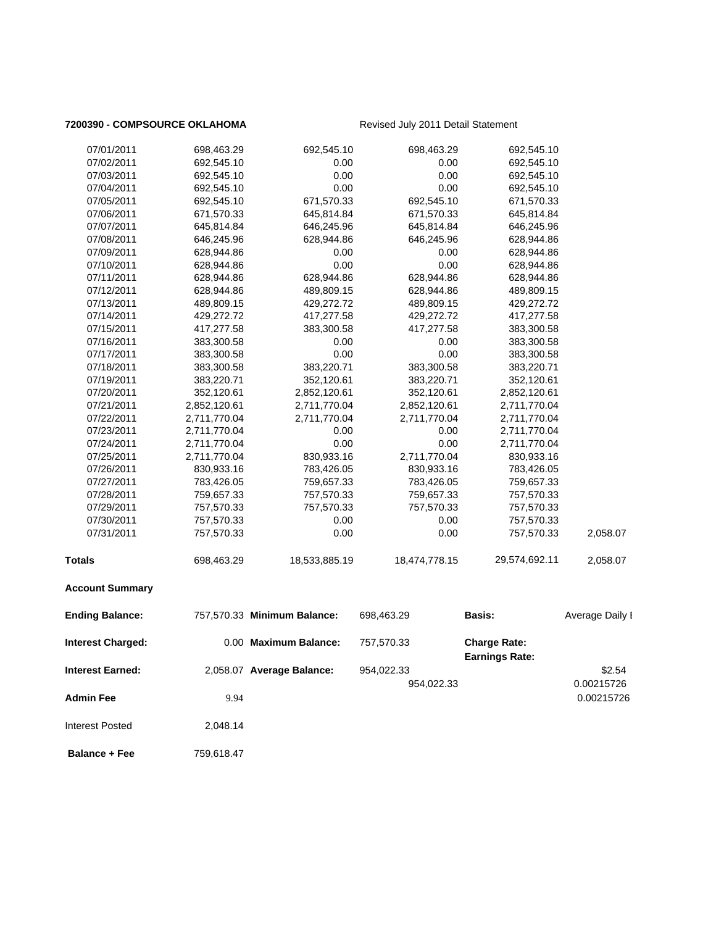### **7200390 - COMPSOURCE OKLAHOMA** Revised July 2011 Detail Statement

| 07/01/2011               | 698,463.29   | 692,545.10                  | 698,463.29    | 692,545.10                                   |                 |
|--------------------------|--------------|-----------------------------|---------------|----------------------------------------------|-----------------|
| 07/02/2011               | 692,545.10   | 0.00                        | 0.00          | 692,545.10                                   |                 |
| 07/03/2011               | 692,545.10   | 0.00                        | 0.00          | 692,545.10                                   |                 |
| 07/04/2011               | 692,545.10   | 0.00                        | 0.00          | 692,545.10                                   |                 |
| 07/05/2011               | 692,545.10   | 671,570.33                  | 692,545.10    | 671,570.33                                   |                 |
| 07/06/2011               | 671,570.33   | 645,814.84                  | 671,570.33    | 645,814.84                                   |                 |
| 07/07/2011               | 645,814.84   | 646,245.96                  | 645,814.84    | 646,245.96                                   |                 |
| 07/08/2011               | 646,245.96   | 628,944.86                  | 646,245.96    | 628,944.86                                   |                 |
| 07/09/2011               | 628,944.86   | 0.00                        | 0.00          | 628,944.86                                   |                 |
| 07/10/2011               | 628,944.86   | 0.00                        | 0.00          | 628,944.86                                   |                 |
| 07/11/2011               | 628,944.86   | 628,944.86                  | 628,944.86    | 628,944.86                                   |                 |
| 07/12/2011               | 628,944.86   | 489,809.15                  | 628,944.86    | 489,809.15                                   |                 |
| 07/13/2011               | 489,809.15   | 429,272.72                  | 489,809.15    | 429,272.72                                   |                 |
| 07/14/2011               | 429,272.72   | 417,277.58                  | 429,272.72    | 417,277.58                                   |                 |
| 07/15/2011               | 417,277.58   | 383,300.58                  | 417,277.58    | 383,300.58                                   |                 |
| 07/16/2011               | 383,300.58   | 0.00                        | 0.00          | 383,300.58                                   |                 |
| 07/17/2011               | 383,300.58   | 0.00                        | 0.00          | 383,300.58                                   |                 |
| 07/18/2011               | 383,300.58   | 383,220.71                  | 383,300.58    | 383,220.71                                   |                 |
| 07/19/2011               | 383,220.71   | 352,120.61                  | 383,220.71    | 352,120.61                                   |                 |
| 07/20/2011               | 352,120.61   | 2,852,120.61                | 352,120.61    | 2,852,120.61                                 |                 |
| 07/21/2011               | 2,852,120.61 | 2,711,770.04                | 2,852,120.61  | 2,711,770.04                                 |                 |
| 07/22/2011               | 2,711,770.04 | 2,711,770.04                | 2,711,770.04  | 2,711,770.04                                 |                 |
| 07/23/2011               | 2,711,770.04 | 0.00                        | 0.00          | 2,711,770.04                                 |                 |
| 07/24/2011               | 2,711,770.04 | 0.00                        | 0.00          | 2,711,770.04                                 |                 |
| 07/25/2011               | 2,711,770.04 | 830,933.16                  | 2,711,770.04  | 830,933.16                                   |                 |
| 07/26/2011               | 830,933.16   | 783,426.05                  | 830,933.16    | 783,426.05                                   |                 |
| 07/27/2011               | 783,426.05   | 759,657.33                  | 783,426.05    | 759,657.33                                   |                 |
| 07/28/2011               | 759,657.33   | 757,570.33                  | 759,657.33    | 757,570.33                                   |                 |
| 07/29/2011               | 757,570.33   | 757,570.33                  | 757,570.33    | 757,570.33                                   |                 |
| 07/30/2011               | 757,570.33   | 0.00                        | 0.00          | 757,570.33                                   |                 |
| 07/31/2011               | 757,570.33   | 0.00                        | 0.00          | 757,570.33                                   | 2,058.07        |
| <b>Totals</b>            | 698,463.29   | 18,533,885.19               | 18,474,778.15 | 29,574,692.11                                | 2,058.07        |
| <b>Account Summary</b>   |              |                             |               |                                              |                 |
| <b>Ending Balance:</b>   |              | 757,570.33 Minimum Balance: | 698,463.29    | Basis:                                       | Average Daily I |
| <b>Interest Charged:</b> |              | 0.00 Maximum Balance:       | 757,570.33    | <b>Charge Rate:</b><br><b>Earnings Rate:</b> |                 |
| <b>Interest Earned:</b>  |              | 2,058.07 Average Balance:   | 954,022.33    |                                              | \$2.54          |
|                          |              |                             | 954,022.33    |                                              | 0.00215726      |
| <b>Admin Fee</b>         | 9.94         |                             |               |                                              | 0.00215726      |
| <b>Interest Posted</b>   | 2,048.14     |                             |               |                                              |                 |

 **Balance + Fee** 759,618.47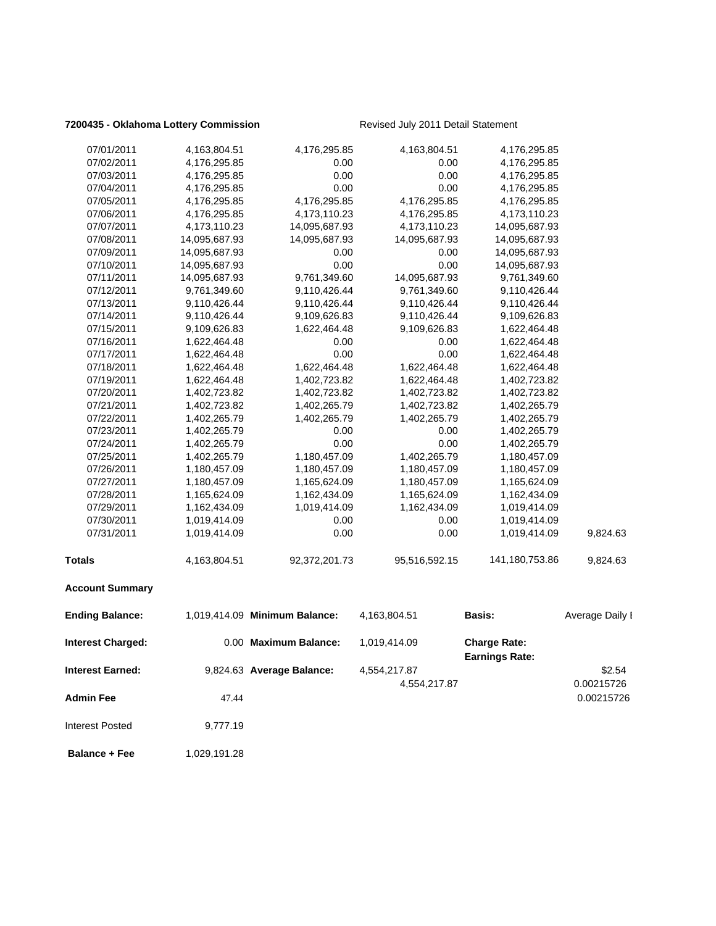### **7200435 - Oklahoma Lottery Commission** Revised July 2011 Detail Statement

| 07/01/2011               | 4,163,804.51  | 4,176,295.85                  | 4,163,804.51  | 4,176,295.85                                 |                 |
|--------------------------|---------------|-------------------------------|---------------|----------------------------------------------|-----------------|
| 07/02/2011               | 4,176,295.85  | 0.00                          | 0.00          | 4,176,295.85                                 |                 |
| 07/03/2011               | 4,176,295.85  | 0.00                          | 0.00          | 4,176,295.85                                 |                 |
| 07/04/2011               | 4,176,295.85  | 0.00                          | 0.00          | 4,176,295.85                                 |                 |
| 07/05/2011               | 4,176,295.85  | 4,176,295.85                  | 4,176,295.85  | 4,176,295.85                                 |                 |
| 07/06/2011               | 4,176,295.85  | 4,173,110.23                  | 4,176,295.85  | 4,173,110.23                                 |                 |
| 07/07/2011               | 4,173,110.23  | 14,095,687.93                 | 4,173,110.23  | 14,095,687.93                                |                 |
| 07/08/2011               | 14,095,687.93 | 14,095,687.93                 | 14,095,687.93 | 14,095,687.93                                |                 |
| 07/09/2011               | 14,095,687.93 | 0.00                          | 0.00          | 14,095,687.93                                |                 |
| 07/10/2011               | 14,095,687.93 | 0.00                          | 0.00          | 14,095,687.93                                |                 |
| 07/11/2011               | 14,095,687.93 | 9,761,349.60                  | 14,095,687.93 | 9,761,349.60                                 |                 |
| 07/12/2011               | 9,761,349.60  | 9,110,426.44                  | 9,761,349.60  | 9,110,426.44                                 |                 |
| 07/13/2011               | 9,110,426.44  | 9,110,426.44                  | 9,110,426.44  | 9,110,426.44                                 |                 |
| 07/14/2011               | 9,110,426.44  | 9,109,626.83                  | 9,110,426.44  | 9,109,626.83                                 |                 |
| 07/15/2011               | 9,109,626.83  | 1,622,464.48                  | 9,109,626.83  | 1,622,464.48                                 |                 |
| 07/16/2011               | 1,622,464.48  | 0.00                          | 0.00          | 1,622,464.48                                 |                 |
| 07/17/2011               | 1,622,464.48  | 0.00                          | 0.00          | 1,622,464.48                                 |                 |
| 07/18/2011               | 1,622,464.48  | 1,622,464.48                  | 1,622,464.48  | 1,622,464.48                                 |                 |
| 07/19/2011               | 1,622,464.48  | 1,402,723.82                  | 1,622,464.48  | 1,402,723.82                                 |                 |
| 07/20/2011               | 1,402,723.82  | 1,402,723.82                  | 1,402,723.82  | 1,402,723.82                                 |                 |
| 07/21/2011               | 1,402,723.82  | 1,402,265.79                  | 1,402,723.82  | 1,402,265.79                                 |                 |
| 07/22/2011               | 1,402,265.79  | 1,402,265.79                  | 1,402,265.79  | 1,402,265.79                                 |                 |
| 07/23/2011               | 1,402,265.79  | 0.00                          | 0.00          | 1,402,265.79                                 |                 |
| 07/24/2011               | 1,402,265.79  | 0.00                          | 0.00          | 1,402,265.79                                 |                 |
| 07/25/2011               | 1,402,265.79  | 1,180,457.09                  | 1,402,265.79  | 1,180,457.09                                 |                 |
| 07/26/2011               | 1,180,457.09  | 1,180,457.09                  | 1,180,457.09  | 1,180,457.09                                 |                 |
| 07/27/2011               | 1,180,457.09  | 1,165,624.09                  | 1,180,457.09  | 1,165,624.09                                 |                 |
| 07/28/2011               | 1,165,624.09  | 1,162,434.09                  | 1,165,624.09  |                                              |                 |
| 07/29/2011               |               |                               |               | 1,162,434.09                                 |                 |
|                          | 1,162,434.09  | 1,019,414.09                  | 1,162,434.09  | 1,019,414.09                                 |                 |
| 07/30/2011               | 1,019,414.09  | 0.00                          | 0.00          | 1,019,414.09                                 |                 |
| 07/31/2011               | 1,019,414.09  | 0.00                          | 0.00          | 1,019,414.09                                 | 9,824.63        |
| <b>Totals</b>            | 4,163,804.51  | 92,372,201.73                 | 95,516,592.15 | 141,180,753.86                               | 9,824.63        |
| <b>Account Summary</b>   |               |                               |               |                                              |                 |
| <b>Ending Balance:</b>   |               | 1,019,414.09 Minimum Balance: | 4,163,804.51  | Basis:                                       | Average Daily I |
| <b>Interest Charged:</b> |               | 0.00 Maximum Balance:         | 1,019,414.09  | <b>Charge Rate:</b><br><b>Earnings Rate:</b> |                 |
| <b>Interest Earned:</b>  |               | 9,824.63 Average Balance:     | 4,554,217.87  |                                              | \$2.54          |
|                          |               |                               | 4,554,217.87  |                                              | 0.00215726      |
| Admin Fee                | 47.44         |                               |               |                                              | 0.00215726      |
| <b>Interest Posted</b>   | 9,777.19      |                               |               |                                              |                 |
|                          |               |                               |               |                                              |                 |

**Balance + Fee** 1,029,191.28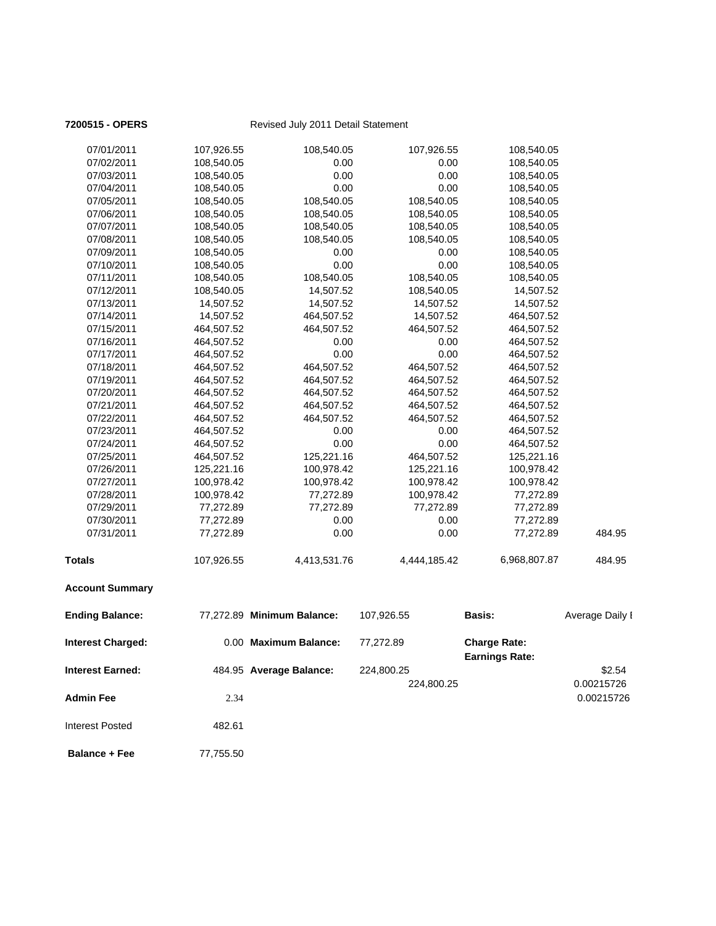| 07/01/2011               | 107,926.55 | 108,540.05                 | 107,926.55   | 108,540.05                                   |                 |
|--------------------------|------------|----------------------------|--------------|----------------------------------------------|-----------------|
| 07/02/2011               | 108,540.05 | 0.00                       | 0.00         | 108,540.05                                   |                 |
| 07/03/2011               | 108,540.05 | 0.00                       | 0.00         | 108,540.05                                   |                 |
| 07/04/2011               | 108,540.05 | 0.00                       | 0.00         | 108,540.05                                   |                 |
| 07/05/2011               | 108,540.05 | 108,540.05                 | 108,540.05   | 108,540.05                                   |                 |
| 07/06/2011               | 108,540.05 | 108,540.05                 | 108,540.05   | 108,540.05                                   |                 |
| 07/07/2011               | 108,540.05 | 108,540.05                 | 108,540.05   | 108,540.05                                   |                 |
| 07/08/2011               | 108,540.05 | 108,540.05                 | 108,540.05   | 108,540.05                                   |                 |
| 07/09/2011               | 108,540.05 | 0.00                       | 0.00         | 108,540.05                                   |                 |
| 07/10/2011               | 108,540.05 | 0.00                       | 0.00         | 108,540.05                                   |                 |
| 07/11/2011               | 108,540.05 | 108,540.05                 | 108,540.05   | 108,540.05                                   |                 |
| 07/12/2011               | 108,540.05 | 14,507.52                  | 108,540.05   | 14,507.52                                    |                 |
| 07/13/2011               | 14,507.52  | 14,507.52                  | 14,507.52    | 14,507.52                                    |                 |
| 07/14/2011               | 14,507.52  | 464,507.52                 | 14,507.52    | 464,507.52                                   |                 |
| 07/15/2011               | 464,507.52 | 464,507.52                 | 464,507.52   | 464,507.52                                   |                 |
| 07/16/2011               | 464,507.52 | 0.00                       | 0.00         | 464,507.52                                   |                 |
| 07/17/2011               | 464,507.52 | 0.00                       | 0.00         | 464,507.52                                   |                 |
| 07/18/2011               | 464,507.52 | 464,507.52                 | 464,507.52   | 464,507.52                                   |                 |
| 07/19/2011               | 464,507.52 | 464,507.52                 | 464,507.52   | 464,507.52                                   |                 |
| 07/20/2011               | 464,507.52 | 464,507.52                 | 464,507.52   | 464,507.52                                   |                 |
| 07/21/2011               | 464,507.52 | 464,507.52                 | 464,507.52   | 464,507.52                                   |                 |
| 07/22/2011               | 464,507.52 | 464,507.52                 | 464,507.52   | 464,507.52                                   |                 |
| 07/23/2011               | 464,507.52 | 0.00                       | 0.00         | 464,507.52                                   |                 |
| 07/24/2011               | 464,507.52 | 0.00                       | 0.00         | 464,507.52                                   |                 |
| 07/25/2011               | 464,507.52 | 125,221.16                 | 464,507.52   | 125,221.16                                   |                 |
| 07/26/2011               | 125,221.16 | 100,978.42                 | 125,221.16   | 100,978.42                                   |                 |
| 07/27/2011               | 100,978.42 | 100,978.42                 | 100,978.42   | 100,978.42                                   |                 |
| 07/28/2011               | 100,978.42 | 77,272.89                  | 100,978.42   | 77,272.89                                    |                 |
| 07/29/2011               | 77,272.89  | 77,272.89                  | 77,272.89    | 77,272.89                                    |                 |
| 07/30/2011               | 77,272.89  | 0.00                       | 0.00         | 77,272.89                                    |                 |
| 07/31/2011               | 77,272.89  | 0.00                       | 0.00         | 77,272.89                                    | 484.95          |
| <b>Totals</b>            | 107,926.55 | 4,413,531.76               | 4,444,185.42 | 6,968,807.87                                 | 484.95          |
| <b>Account Summary</b>   |            |                            |              |                                              |                 |
| <b>Ending Balance:</b>   |            | 77,272.89 Minimum Balance: | 107,926.55   | <b>Basis:</b>                                | Average Daily I |
| <b>Interest Charged:</b> |            | 0.00 Maximum Balance:      | 77,272.89    | <b>Charge Rate:</b><br><b>Earnings Rate:</b> |                 |
|                          |            |                            |              |                                              |                 |
| Interest Earned:         |            | 484.95 Average Balance:    | 224,800.25   |                                              | \$2.54          |
|                          |            |                            | 224,800.25   |                                              | 0.00215726      |
| <b>Admin Fee</b>         | 2.34       |                            |              |                                              | 0.00215726      |
| <b>Interest Posted</b>   | 482.61     |                            |              |                                              |                 |
| <b>Balance + Fee</b>     | 77,755.50  |                            |              |                                              |                 |

**7200515 - OPERS** Revised July 2011 Detail Statement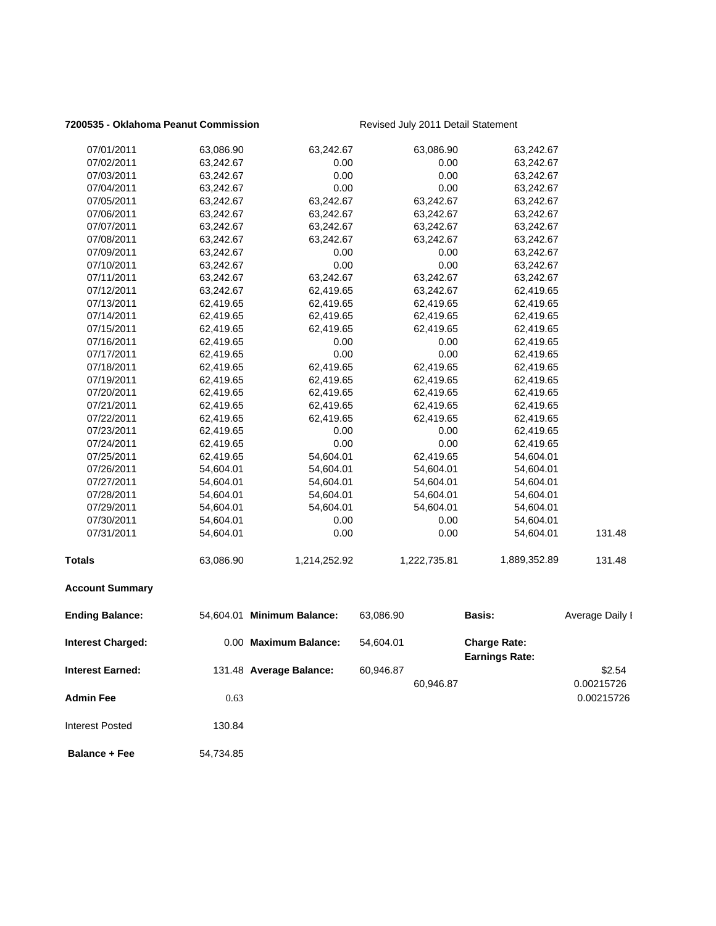### **7200535 - Oklahoma Peanut Commission** Revised July 2011 Detail Statement

| 07/01/2011               | 63,086.90 | 63,242.67                  | 63,086.90    | 63,242.67                                    |                 |
|--------------------------|-----------|----------------------------|--------------|----------------------------------------------|-----------------|
| 07/02/2011               | 63,242.67 | 0.00                       | 0.00         | 63,242.67                                    |                 |
| 07/03/2011               | 63,242.67 | 0.00                       | 0.00         | 63,242.67                                    |                 |
| 07/04/2011               | 63,242.67 | 0.00                       | 0.00         | 63,242.67                                    |                 |
| 07/05/2011               | 63,242.67 | 63,242.67                  | 63,242.67    | 63,242.67                                    |                 |
| 07/06/2011               | 63,242.67 | 63,242.67                  | 63,242.67    | 63,242.67                                    |                 |
| 07/07/2011               | 63,242.67 | 63,242.67                  | 63,242.67    | 63,242.67                                    |                 |
| 07/08/2011               | 63,242.67 | 63,242.67                  | 63,242.67    | 63,242.67                                    |                 |
| 07/09/2011               | 63,242.67 | 0.00                       | 0.00         | 63,242.67                                    |                 |
| 07/10/2011               | 63,242.67 | 0.00                       | 0.00         | 63,242.67                                    |                 |
| 07/11/2011               | 63,242.67 | 63,242.67                  | 63,242.67    | 63,242.67                                    |                 |
| 07/12/2011               | 63,242.67 | 62,419.65                  | 63,242.67    | 62,419.65                                    |                 |
| 07/13/2011               | 62,419.65 | 62,419.65                  | 62,419.65    | 62,419.65                                    |                 |
| 07/14/2011               | 62,419.65 | 62,419.65                  | 62,419.65    | 62,419.65                                    |                 |
| 07/15/2011               | 62,419.65 | 62,419.65                  | 62,419.65    | 62,419.65                                    |                 |
| 07/16/2011               | 62,419.65 | 0.00                       | 0.00         | 62,419.65                                    |                 |
| 07/17/2011               | 62,419.65 | 0.00                       | 0.00         | 62,419.65                                    |                 |
| 07/18/2011               | 62,419.65 | 62,419.65                  | 62,419.65    | 62,419.65                                    |                 |
| 07/19/2011               | 62,419.65 | 62,419.65                  | 62,419.65    | 62,419.65                                    |                 |
| 07/20/2011               | 62,419.65 | 62,419.65                  | 62,419.65    | 62,419.65                                    |                 |
| 07/21/2011               | 62,419.65 | 62,419.65                  | 62,419.65    | 62,419.65                                    |                 |
| 07/22/2011               | 62,419.65 | 62,419.65                  | 62,419.65    | 62,419.65                                    |                 |
| 07/23/2011               | 62,419.65 | 0.00                       | 0.00         | 62,419.65                                    |                 |
| 07/24/2011               | 62,419.65 | 0.00                       | 0.00         | 62,419.65                                    |                 |
| 07/25/2011               | 62,419.65 | 54,604.01                  | 62,419.65    | 54,604.01                                    |                 |
| 07/26/2011               | 54,604.01 | 54,604.01                  | 54,604.01    | 54,604.01                                    |                 |
| 07/27/2011               | 54,604.01 | 54,604.01                  | 54,604.01    | 54,604.01                                    |                 |
| 07/28/2011               | 54,604.01 | 54,604.01                  | 54,604.01    | 54,604.01                                    |                 |
| 07/29/2011               | 54,604.01 | 54,604.01                  | 54,604.01    | 54,604.01                                    |                 |
| 07/30/2011               | 54,604.01 | 0.00                       | 0.00         | 54,604.01                                    |                 |
| 07/31/2011               | 54,604.01 | 0.00                       | 0.00         | 54,604.01                                    | 131.48          |
| <b>Totals</b>            | 63,086.90 | 1,214,252.92               | 1,222,735.81 | 1,889,352.89                                 | 131.48          |
| <b>Account Summary</b>   |           |                            |              |                                              |                 |
| <b>Ending Balance:</b>   |           | 54,604.01 Minimum Balance: | 63,086.90    | <b>Basis:</b>                                | Average Daily I |
| <b>Interest Charged:</b> |           | 0.00 Maximum Balance:      | 54,604.01    | <b>Charge Rate:</b><br><b>Earnings Rate:</b> |                 |
| <b>Interest Earned:</b>  |           |                            | 60,946.87    |                                              | \$2.54          |
|                          |           | 131.48 Average Balance:    |              |                                              |                 |
|                          |           |                            | 60,946.87    |                                              | 0.00215726      |
| <b>Admin Fee</b>         | 0.63      |                            |              |                                              | 0.00215726      |
| <b>Interest Posted</b>   | 130.84    |                            |              |                                              |                 |
| <b>Balance + Fee</b>     | 54,734.85 |                            |              |                                              |                 |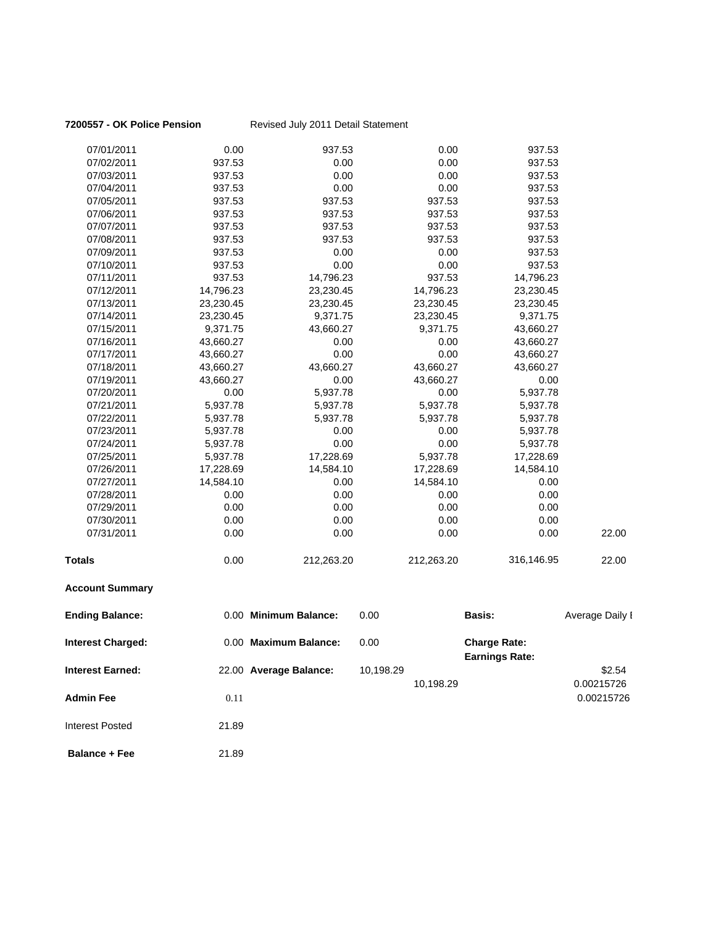| 7200557 - OK Police Pension |           | Revised July 2011 Detail Statement |           |            |                                              |                 |
|-----------------------------|-----------|------------------------------------|-----------|------------|----------------------------------------------|-----------------|
| 07/01/2011                  | 0.00      | 937.53                             |           | 0.00       | 937.53                                       |                 |
| 07/02/2011                  | 937.53    | 0.00                               |           | 0.00       | 937.53                                       |                 |
| 07/03/2011                  | 937.53    | 0.00                               |           | 0.00       | 937.53                                       |                 |
| 07/04/2011                  | 937.53    | 0.00                               |           | 0.00       | 937.53                                       |                 |
| 07/05/2011                  | 937.53    | 937.53                             |           | 937.53     | 937.53                                       |                 |
| 07/06/2011                  | 937.53    | 937.53                             |           | 937.53     | 937.53                                       |                 |
| 07/07/2011                  | 937.53    | 937.53                             |           | 937.53     | 937.53                                       |                 |
| 07/08/2011                  | 937.53    | 937.53                             |           | 937.53     | 937.53                                       |                 |
| 07/09/2011                  | 937.53    | 0.00                               |           | 0.00       | 937.53                                       |                 |
| 07/10/2011                  | 937.53    | 0.00                               |           | 0.00       | 937.53                                       |                 |
| 07/11/2011                  | 937.53    | 14,796.23                          |           | 937.53     | 14,796.23                                    |                 |
| 07/12/2011                  | 14,796.23 | 23,230.45                          |           | 14,796.23  | 23,230.45                                    |                 |
| 07/13/2011                  | 23,230.45 | 23,230.45                          |           | 23,230.45  | 23,230.45                                    |                 |
| 07/14/2011                  | 23,230.45 | 9,371.75                           |           | 23,230.45  | 9,371.75                                     |                 |
| 07/15/2011                  | 9,371.75  | 43,660.27                          |           | 9,371.75   | 43,660.27                                    |                 |
| 07/16/2011                  | 43,660.27 | 0.00                               |           | 0.00       | 43,660.27                                    |                 |
| 07/17/2011                  | 43,660.27 | 0.00                               |           | 0.00       | 43,660.27                                    |                 |
| 07/18/2011                  | 43,660.27 | 43,660.27                          |           | 43,660.27  | 43,660.27                                    |                 |
| 07/19/2011                  | 43,660.27 | 0.00                               |           | 43,660.27  | 0.00                                         |                 |
| 07/20/2011                  | 0.00      | 5,937.78                           |           | 0.00       | 5,937.78                                     |                 |
| 07/21/2011                  | 5,937.78  | 5,937.78                           |           | 5,937.78   | 5,937.78                                     |                 |
| 07/22/2011                  | 5,937.78  | 5,937.78                           |           | 5,937.78   | 5,937.78                                     |                 |
| 07/23/2011                  | 5,937.78  | 0.00                               |           | 0.00       | 5,937.78                                     |                 |
| 07/24/2011                  | 5,937.78  | 0.00                               |           | 0.00       | 5,937.78                                     |                 |
| 07/25/2011                  | 5,937.78  | 17,228.69                          |           | 5,937.78   | 17,228.69                                    |                 |
| 07/26/2011                  | 17,228.69 | 14,584.10                          |           | 17,228.69  | 14,584.10                                    |                 |
| 07/27/2011                  | 14,584.10 | 0.00                               |           | 14,584.10  | 0.00                                         |                 |
| 07/28/2011                  | 0.00      | 0.00                               |           | 0.00       | 0.00                                         |                 |
| 07/29/2011                  | 0.00      | 0.00                               |           | 0.00       | 0.00                                         |                 |
| 07/30/2011                  | 0.00      | 0.00                               |           | 0.00       | 0.00                                         |                 |
| 07/31/2011                  | 0.00      | 0.00                               |           | 0.00       | 0.00                                         | 22.00           |
| <b>Totals</b>               | 0.00      | 212,263.20                         |           | 212,263.20 | 316,146.95                                   | 22.00           |
| <b>Account Summary</b>      |           |                                    |           |            |                                              |                 |
| <b>Ending Balance:</b>      |           | 0.00 Minimum Balance:              | 0.00      |            | <b>Basis:</b>                                | Average Daily I |
| <b>Interest Charged:</b>    |           | 0.00 Maximum Balance:              | 0.00      |            | <b>Charge Rate:</b><br><b>Earnings Rate:</b> |                 |
| <b>Interest Earned:</b>     |           | 22.00 Average Balance:             | 10,198.29 |            |                                              | \$2.54          |
|                             |           |                                    |           | 10,198.29  |                                              | 0.00215726      |
| <b>Admin Fee</b>            | 0.11      |                                    |           |            |                                              | 0.00215726      |
|                             |           |                                    |           |            |                                              |                 |
| <b>Interest Posted</b>      | 21.89     |                                    |           |            |                                              |                 |
| <b>Balance + Fee</b>        | 21.89     |                                    |           |            |                                              |                 |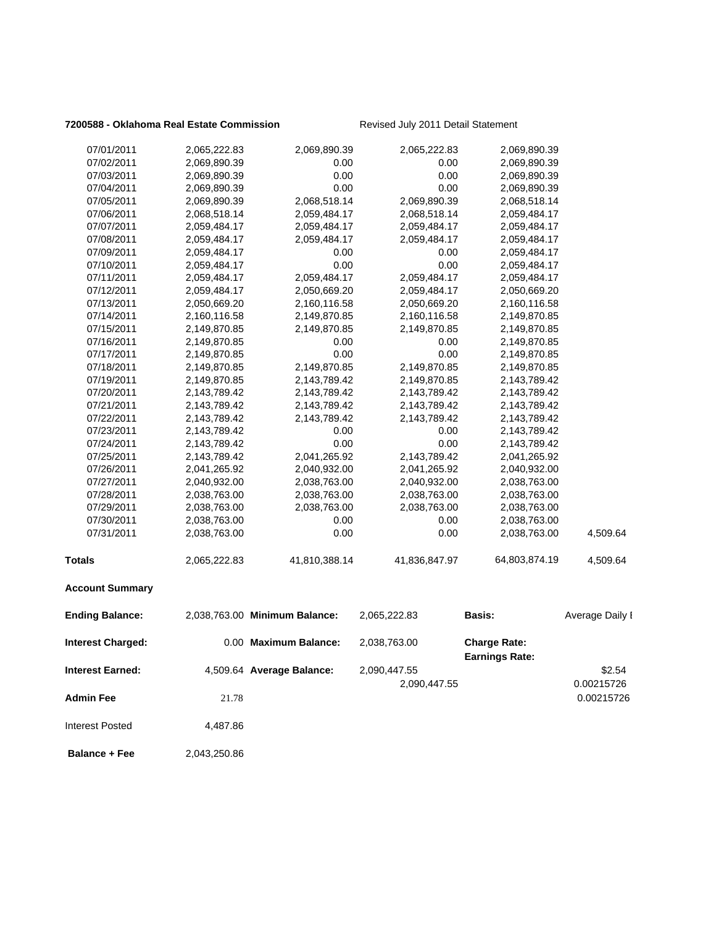### **7200588 - Oklahoma Real Estate Commission** Revised July 2011 Detail Statement

|                          |              | 2,069,890.39                  | 2,065,222.83  |                                              |                 |
|--------------------------|--------------|-------------------------------|---------------|----------------------------------------------|-----------------|
| 07/01/2011               | 2,065,222.83 |                               |               | 2,069,890.39                                 |                 |
| 07/02/2011               | 2,069,890.39 | 0.00                          | 0.00          | 2,069,890.39                                 |                 |
| 07/03/2011               | 2,069,890.39 | 0.00<br>0.00                  | 0.00<br>0.00  | 2,069,890.39                                 |                 |
| 07/04/2011               | 2,069,890.39 |                               |               | 2,069,890.39                                 |                 |
| 07/05/2011               | 2,069,890.39 | 2,068,518.14                  | 2,069,890.39  | 2,068,518.14                                 |                 |
| 07/06/2011               | 2,068,518.14 | 2,059,484.17                  | 2,068,518.14  | 2,059,484.17                                 |                 |
| 07/07/2011               | 2,059,484.17 | 2,059,484.17                  | 2,059,484.17  | 2,059,484.17                                 |                 |
| 07/08/2011               | 2,059,484.17 | 2,059,484.17                  | 2,059,484.17  | 2,059,484.17                                 |                 |
| 07/09/2011<br>07/10/2011 | 2,059,484.17 | 0.00<br>0.00                  | 0.00<br>0.00  | 2,059,484.17                                 |                 |
|                          | 2,059,484.17 |                               |               | 2,059,484.17                                 |                 |
| 07/11/2011               | 2,059,484.17 | 2,059,484.17                  | 2,059,484.17  | 2,059,484.17                                 |                 |
| 07/12/2011               | 2,059,484.17 | 2,050,669.20                  | 2,059,484.17  | 2,050,669.20                                 |                 |
| 07/13/2011               | 2,050,669.20 | 2,160,116.58                  | 2,050,669.20  | 2,160,116.58                                 |                 |
| 07/14/2011               | 2,160,116.58 | 2,149,870.85                  | 2,160,116.58  | 2,149,870.85                                 |                 |
| 07/15/2011               | 2,149,870.85 | 2,149,870.85                  | 2,149,870.85  | 2,149,870.85                                 |                 |
| 07/16/2011               | 2,149,870.85 | 0.00<br>0.00                  | 0.00<br>0.00  | 2,149,870.85                                 |                 |
| 07/17/2011               | 2,149,870.85 |                               |               | 2,149,870.85                                 |                 |
| 07/18/2011               | 2,149,870.85 | 2,149,870.85                  | 2,149,870.85  | 2,149,870.85                                 |                 |
| 07/19/2011               | 2,149,870.85 | 2,143,789.42                  | 2,149,870.85  | 2,143,789.42                                 |                 |
| 07/20/2011               | 2,143,789.42 | 2,143,789.42                  | 2,143,789.42  | 2,143,789.42                                 |                 |
| 07/21/2011               | 2,143,789.42 | 2,143,789.42                  | 2,143,789.42  | 2,143,789.42                                 |                 |
| 07/22/2011               | 2,143,789.42 | 2,143,789.42                  | 2,143,789.42  | 2,143,789.42                                 |                 |
| 07/23/2011               | 2,143,789.42 | 0.00                          | 0.00          | 2,143,789.42                                 |                 |
| 07/24/2011               | 2,143,789.42 | 0.00                          | 0.00          | 2,143,789.42                                 |                 |
| 07/25/2011               | 2,143,789.42 | 2,041,265.92                  | 2,143,789.42  | 2,041,265.92                                 |                 |
| 07/26/2011               | 2,041,265.92 | 2,040,932.00                  | 2,041,265.92  | 2,040,932.00                                 |                 |
| 07/27/2011               | 2,040,932.00 | 2,038,763.00                  | 2,040,932.00  | 2,038,763.00                                 |                 |
| 07/28/2011               | 2,038,763.00 | 2,038,763.00                  | 2,038,763.00  | 2,038,763.00                                 |                 |
| 07/29/2011               | 2,038,763.00 | 2,038,763.00                  | 2,038,763.00  | 2,038,763.00                                 |                 |
| 07/30/2011               | 2,038,763.00 | 0.00                          | 0.00          | 2,038,763.00                                 |                 |
| 07/31/2011               | 2,038,763.00 | 0.00                          | 0.00          | 2,038,763.00                                 | 4,509.64        |
| <b>Totals</b>            | 2,065,222.83 | 41,810,388.14                 | 41,836,847.97 | 64,803,874.19                                | 4,509.64        |
| <b>Account Summary</b>   |              |                               |               |                                              |                 |
| <b>Ending Balance:</b>   |              | 2,038,763.00 Minimum Balance: | 2,065,222.83  | <b>Basis:</b>                                | Average Daily I |
| <b>Interest Charged:</b> |              | 0.00 Maximum Balance:         | 2,038,763.00  | <b>Charge Rate:</b><br><b>Earnings Rate:</b> |                 |
|                          |              | 4,509.64 Average Balance:     |               |                                              |                 |
| <b>Interest Earned:</b>  |              |                               | 2,090,447.55  |                                              | \$2.54          |
|                          |              |                               | 2,090,447.55  |                                              | 0.00215726      |
| <b>Admin Fee</b>         | 21.78        |                               |               |                                              | 0.00215726      |
| <b>Interest Posted</b>   | 4,487.86     |                               |               |                                              |                 |

**Balance + Fee** 2,043,250.86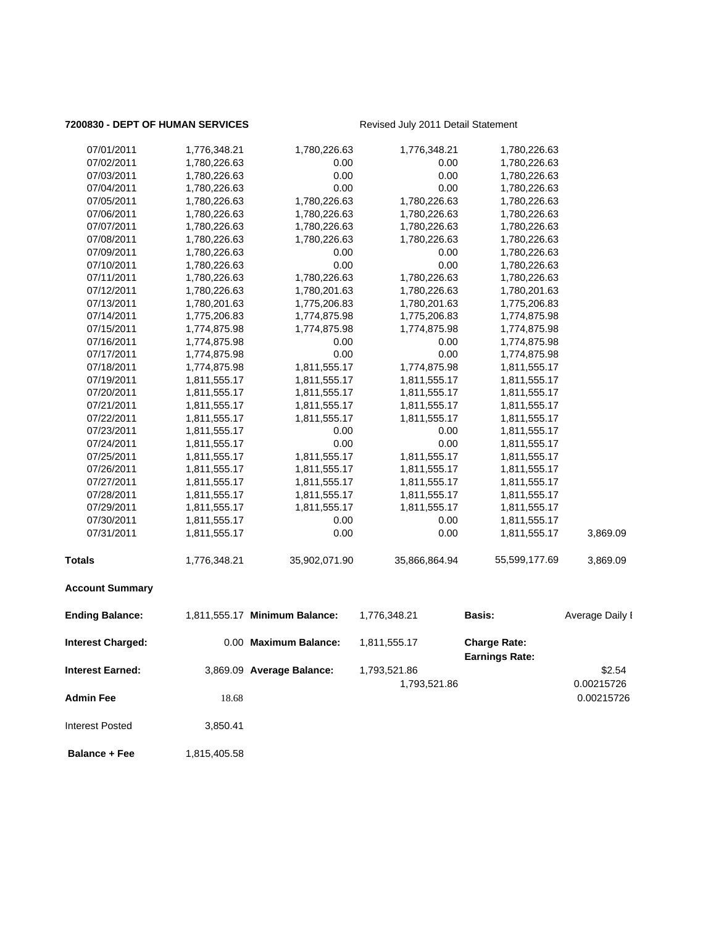### **7200830 - DEPT OF HUMAN SERVICES** Revised July 2011 Detail Statement

| 07/01/2011               | 1,776,348.21 | 1,780,226.63                  | 1,776,348.21  | 1,780,226.63                                 |                 |
|--------------------------|--------------|-------------------------------|---------------|----------------------------------------------|-----------------|
| 07/02/2011               | 1,780,226.63 | 0.00                          | 0.00          | 1,780,226.63                                 |                 |
| 07/03/2011               | 1,780,226.63 | 0.00                          | 0.00          | 1,780,226.63                                 |                 |
| 07/04/2011               | 1,780,226.63 | 0.00                          | 0.00          | 1,780,226.63                                 |                 |
| 07/05/2011               | 1,780,226.63 | 1,780,226.63                  | 1,780,226.63  | 1,780,226.63                                 |                 |
| 07/06/2011               | 1,780,226.63 | 1,780,226.63                  | 1,780,226.63  | 1,780,226.63                                 |                 |
| 07/07/2011               | 1,780,226.63 | 1,780,226.63                  | 1,780,226.63  | 1,780,226.63                                 |                 |
| 07/08/2011               | 1,780,226.63 | 1,780,226.63                  | 1,780,226.63  | 1,780,226.63                                 |                 |
| 07/09/2011               | 1,780,226.63 | 0.00                          | 0.00          | 1,780,226.63                                 |                 |
| 07/10/2011               | 1,780,226.63 | 0.00                          | 0.00          | 1,780,226.63                                 |                 |
| 07/11/2011               | 1,780,226.63 | 1,780,226.63                  | 1,780,226.63  | 1,780,226.63                                 |                 |
| 07/12/2011               | 1,780,226.63 | 1,780,201.63                  | 1,780,226.63  | 1,780,201.63                                 |                 |
| 07/13/2011               | 1,780,201.63 | 1,775,206.83                  | 1,780,201.63  | 1,775,206.83                                 |                 |
| 07/14/2011               | 1,775,206.83 | 1,774,875.98                  | 1,775,206.83  | 1,774,875.98                                 |                 |
| 07/15/2011               | 1,774,875.98 | 1,774,875.98                  | 1,774,875.98  | 1,774,875.98                                 |                 |
| 07/16/2011               | 1,774,875.98 | 0.00                          | 0.00          | 1,774,875.98                                 |                 |
| 07/17/2011               | 1,774,875.98 | 0.00                          | 0.00          | 1,774,875.98                                 |                 |
| 07/18/2011               | 1,774,875.98 | 1,811,555.17                  | 1,774,875.98  | 1,811,555.17                                 |                 |
| 07/19/2011               | 1,811,555.17 | 1,811,555.17                  | 1,811,555.17  | 1,811,555.17                                 |                 |
| 07/20/2011               | 1,811,555.17 | 1,811,555.17                  | 1,811,555.17  | 1,811,555.17                                 |                 |
| 07/21/2011               | 1,811,555.17 | 1,811,555.17                  | 1,811,555.17  | 1,811,555.17                                 |                 |
| 07/22/2011               | 1,811,555.17 | 1,811,555.17                  | 1,811,555.17  | 1,811,555.17                                 |                 |
| 07/23/2011               | 1,811,555.17 | 0.00                          | 0.00          | 1,811,555.17                                 |                 |
| 07/24/2011               | 1,811,555.17 | 0.00                          | 0.00          | 1,811,555.17                                 |                 |
| 07/25/2011               | 1,811,555.17 | 1,811,555.17                  | 1,811,555.17  | 1,811,555.17                                 |                 |
| 07/26/2011               | 1,811,555.17 | 1,811,555.17                  | 1,811,555.17  | 1,811,555.17                                 |                 |
| 07/27/2011               | 1,811,555.17 | 1,811,555.17                  | 1,811,555.17  | 1,811,555.17                                 |                 |
| 07/28/2011               | 1,811,555.17 | 1,811,555.17                  | 1,811,555.17  | 1,811,555.17                                 |                 |
| 07/29/2011               | 1,811,555.17 | 1,811,555.17                  | 1,811,555.17  | 1,811,555.17                                 |                 |
| 07/30/2011               | 1,811,555.17 | 0.00                          | 0.00          | 1,811,555.17                                 |                 |
| 07/31/2011               | 1,811,555.17 | 0.00                          | 0.00          | 1,811,555.17                                 | 3,869.09        |
| <b>Totals</b>            | 1,776,348.21 | 35,902,071.90                 | 35,866,864.94 | 55,599,177.69                                | 3,869.09        |
| <b>Account Summary</b>   |              |                               |               |                                              |                 |
| <b>Ending Balance:</b>   |              | 1,811,555.17 Minimum Balance: | 1,776,348.21  | <b>Basis:</b>                                | Average Daily I |
| <b>Interest Charged:</b> |              | 0.00 Maximum Balance:         | 1,811,555.17  | <b>Charge Rate:</b><br><b>Earnings Rate:</b> |                 |
| <b>Interest Earned:</b>  |              | 3,869.09 Average Balance:     | 1,793,521.86  |                                              | \$2.54          |
|                          |              |                               | 1,793,521.86  |                                              | 0.00215726      |
|                          |              |                               |               |                                              |                 |
| <b>Admin Fee</b>         | 18.68        |                               |               |                                              | 0.00215726      |
| <b>Interest Posted</b>   | 3,850.41     |                               |               |                                              |                 |
| <b>Balance + Fee</b>     | 1,815,405.58 |                               |               |                                              |                 |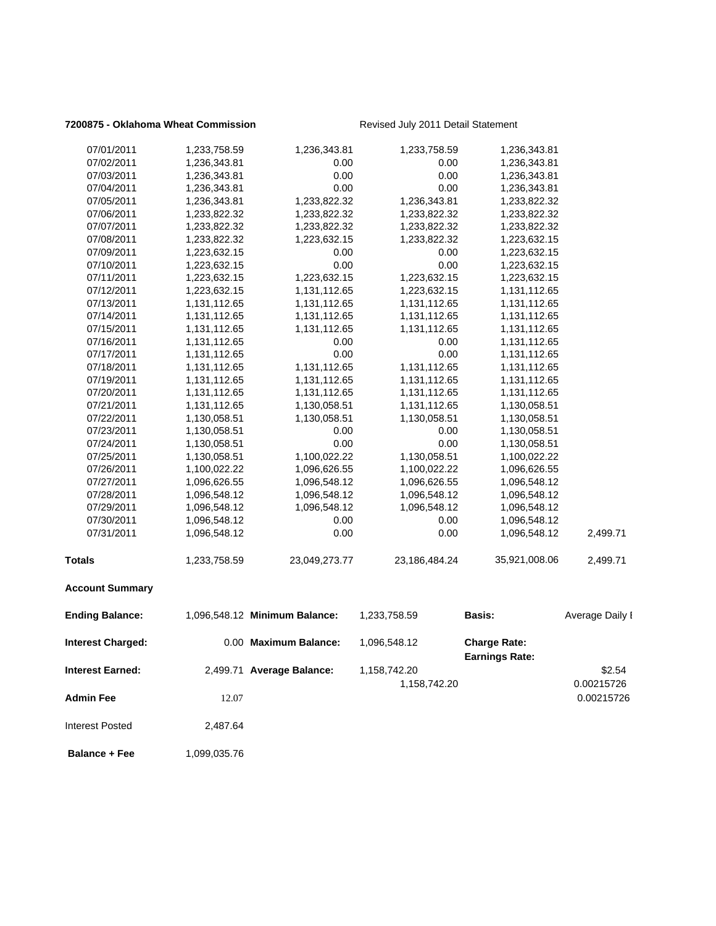### **7200875 - Oklahoma Wheat Commission** Revised July 2011 Detail Statement

| <b>Interest Earned:</b><br>Admin Fee | 12.07        | 2,499.71 Average Balance:     | 1,158,742.20<br>1,158,742.20 |                                              | \$2.54<br>0.00215726<br>0.00215726 |
|--------------------------------------|--------------|-------------------------------|------------------------------|----------------------------------------------|------------------------------------|
| <b>Interest Charged:</b>             |              | 0.00 Maximum Balance:         | 1,096,548.12                 | <b>Charge Rate:</b><br><b>Earnings Rate:</b> |                                    |
| <b>Ending Balance:</b>               |              | 1,096,548.12 Minimum Balance: | 1,233,758.59                 | Basis:                                       | Average Daily I                    |
| <b>Account Summary</b>               |              |                               |                              |                                              |                                    |
| Totals                               | 1,233,758.59 | 23,049,273.77                 | 23,186,484.24                | 35,921,008.06                                | 2,499.71                           |
| 07/31/2011                           | 1,096,548.12 | 0.00                          | 0.00                         | 1,096,548.12                                 | 2,499.71                           |
| 07/30/2011                           | 1,096,548.12 | 0.00                          | 0.00                         | 1,096,548.12                                 |                                    |
| 07/29/2011                           | 1,096,548.12 | 1,096,548.12                  | 1,096,548.12                 | 1,096,548.12                                 |                                    |
| 07/28/2011                           | 1,096,548.12 | 1,096,548.12                  | 1,096,548.12                 | 1,096,548.12                                 |                                    |
| 07/27/2011                           | 1,096,626.55 | 1,096,548.12                  | 1,096,626.55                 | 1,096,548.12                                 |                                    |
| 07/26/2011                           | 1,100,022.22 | 1,096,626.55                  | 1,100,022.22                 | 1,096,626.55                                 |                                    |
| 07/25/2011                           | 1,130,058.51 | 1,100,022.22                  | 1,130,058.51                 | 1,100,022.22                                 |                                    |
| 07/24/2011                           | 1,130,058.51 | 0.00                          | 0.00                         | 1,130,058.51                                 |                                    |
| 07/23/2011                           | 1,130,058.51 | 0.00                          | 0.00                         | 1,130,058.51                                 |                                    |
| 07/22/2011                           | 1,130,058.51 | 1,130,058.51                  | 1,130,058.51                 | 1,130,058.51                                 |                                    |
| 07/21/2011                           | 1,131,112.65 | 1,130,058.51                  | 1,131,112.65                 | 1,130,058.51                                 |                                    |
| 07/20/2011                           | 1,131,112.65 | 1,131,112.65                  | 1,131,112.65                 | 1,131,112.65                                 |                                    |
| 07/19/2011                           | 1,131,112.65 | 1,131,112.65                  | 1,131,112.65                 | 1,131,112.65                                 |                                    |
| 07/18/2011                           | 1,131,112.65 | 1,131,112.65                  | 1,131,112.65                 | 1,131,112.65                                 |                                    |
| 07/17/2011                           | 1,131,112.65 | 0.00                          | 0.00                         | 1,131,112.65                                 |                                    |
| 07/16/2011                           | 1,131,112.65 | 0.00                          | 0.00                         | 1,131,112.65                                 |                                    |
| 07/15/2011                           | 1,131,112.65 | 1,131,112.65                  | 1,131,112.65                 | 1,131,112.65                                 |                                    |
| 07/14/2011                           | 1,131,112.65 | 1,131,112.65                  | 1,131,112.65                 | 1,131,112.65                                 |                                    |
| 07/13/2011                           | 1,131,112.65 | 1,131,112.65                  | 1,131,112.65                 | 1,131,112.65                                 |                                    |
| 07/12/2011                           | 1,223,632.15 | 1,131,112.65                  | 1,223,632.15                 | 1,131,112.65                                 |                                    |
| 07/11/2011                           | 1,223,632.15 | 1,223,632.15                  | 1,223,632.15                 | 1,223,632.15                                 |                                    |
| 07/10/2011                           | 1,223,632.15 | 0.00                          | 0.00                         | 1,223,632.15                                 |                                    |
| 07/09/2011                           | 1,223,632.15 | 0.00                          | 0.00                         | 1,223,632.15                                 |                                    |
| 07/08/2011                           | 1,233,822.32 | 1,223,632.15                  | 1,233,822.32                 | 1,223,632.15                                 |                                    |
| 07/07/2011                           | 1,233,822.32 | 1,233,822.32                  | 1,233,822.32                 | 1,233,822.32                                 |                                    |
| 07/06/2011                           | 1,233,822.32 | 1,233,822.32                  | 1,233,822.32                 | 1,233,822.32                                 |                                    |
| 07/05/2011                           | 1,236,343.81 | 1,233,822.32                  | 1,236,343.81                 | 1,233,822.32                                 |                                    |
| 07/04/2011                           | 1,236,343.81 | 0.00                          | 0.00                         | 1,236,343.81                                 |                                    |
| 07/03/2011                           | 1,236,343.81 | 0.00                          | 0.00                         | 1,236,343.81                                 |                                    |
| 07/02/2011                           | 1,236,343.81 | 0.00                          | 0.00                         | 1,236,343.81                                 |                                    |
| 07/01/2011                           | 1,233,758.59 | 1,236,343.81                  | 1,233,758.59                 | 1,236,343.81                                 |                                    |

**Balance + Fee** 1,099,035.76

Interest Posted 2,487.64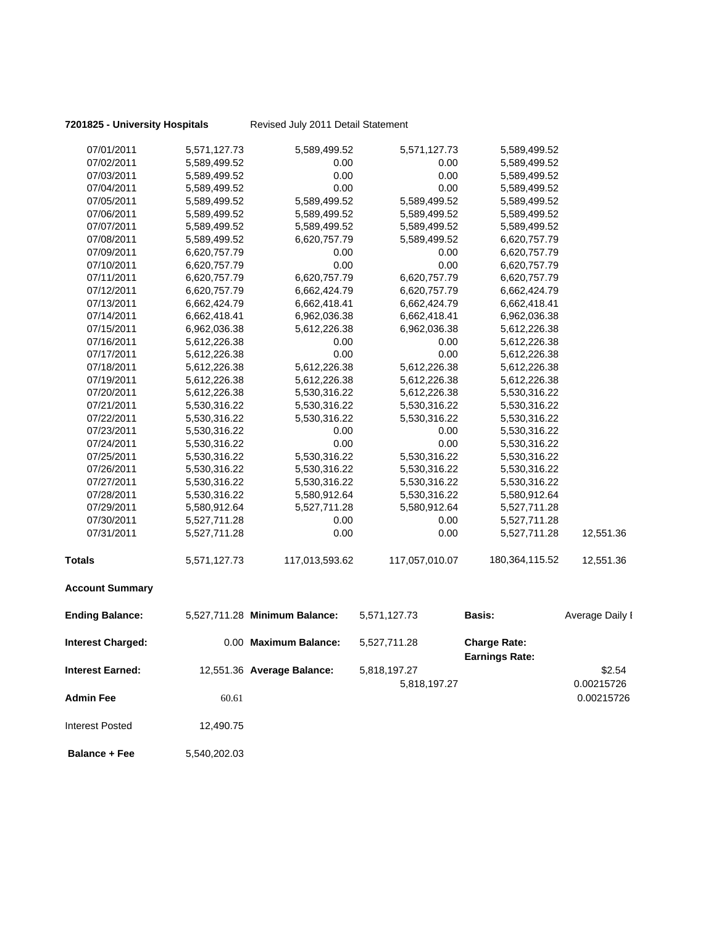**7201825 - University Hospitals** Revised July 2011 Detail Statement

| 07/01/2011               | 5,571,127.73 | 5,589,499.52                  | 5,571,127.73   | 5,589,499.52                                 |                          |
|--------------------------|--------------|-------------------------------|----------------|----------------------------------------------|--------------------------|
| 07/02/2011               | 5,589,499.52 | 0.00                          | 0.00           | 5,589,499.52                                 |                          |
| 07/03/2011               | 5,589,499.52 | 0.00                          | 0.00           | 5,589,499.52                                 |                          |
| 07/04/2011               | 5,589,499.52 | 0.00                          | 0.00           | 5,589,499.52                                 |                          |
| 07/05/2011               | 5,589,499.52 | 5,589,499.52                  | 5,589,499.52   | 5,589,499.52                                 |                          |
| 07/06/2011               | 5,589,499.52 | 5,589,499.52                  | 5,589,499.52   | 5,589,499.52                                 |                          |
| 07/07/2011               | 5,589,499.52 | 5,589,499.52                  | 5,589,499.52   | 5,589,499.52                                 |                          |
| 07/08/2011               | 5,589,499.52 | 6,620,757.79                  | 5,589,499.52   | 6,620,757.79                                 |                          |
| 07/09/2011               | 6,620,757.79 | 0.00                          | 0.00           | 6,620,757.79                                 |                          |
| 07/10/2011               | 6,620,757.79 | 0.00                          | 0.00           | 6,620,757.79                                 |                          |
| 07/11/2011               | 6,620,757.79 | 6,620,757.79                  | 6,620,757.79   | 6,620,757.79                                 |                          |
| 07/12/2011               | 6,620,757.79 | 6,662,424.79                  | 6,620,757.79   | 6,662,424.79                                 |                          |
| 07/13/2011               | 6,662,424.79 | 6,662,418.41                  | 6,662,424.79   | 6,662,418.41                                 |                          |
| 07/14/2011               | 6,662,418.41 | 6,962,036.38                  | 6,662,418.41   | 6,962,036.38                                 |                          |
| 07/15/2011               | 6,962,036.38 | 5,612,226.38                  | 6,962,036.38   | 5,612,226.38                                 |                          |
| 07/16/2011               | 5,612,226.38 | 0.00                          | 0.00           | 5,612,226.38                                 |                          |
| 07/17/2011               | 5,612,226.38 | 0.00                          | 0.00           | 5,612,226.38                                 |                          |
| 07/18/2011               | 5,612,226.38 | 5,612,226.38                  | 5,612,226.38   | 5,612,226.38                                 |                          |
| 07/19/2011               | 5,612,226.38 | 5,612,226.38                  | 5,612,226.38   | 5,612,226.38                                 |                          |
| 07/20/2011               | 5,612,226.38 | 5,530,316.22                  | 5,612,226.38   | 5,530,316.22                                 |                          |
| 07/21/2011               | 5,530,316.22 | 5,530,316.22                  | 5,530,316.22   | 5,530,316.22                                 |                          |
| 07/22/2011               | 5,530,316.22 | 5,530,316.22                  | 5,530,316.22   | 5,530,316.22                                 |                          |
| 07/23/2011               | 5,530,316.22 | 0.00                          | 0.00           | 5,530,316.22                                 |                          |
| 07/24/2011               | 5,530,316.22 | 0.00                          | 0.00           | 5,530,316.22                                 |                          |
| 07/25/2011               | 5,530,316.22 | 5,530,316.22                  | 5,530,316.22   | 5,530,316.22                                 |                          |
| 07/26/2011               | 5,530,316.22 | 5,530,316.22                  | 5,530,316.22   | 5,530,316.22                                 |                          |
| 07/27/2011               | 5,530,316.22 | 5,530,316.22                  | 5,530,316.22   | 5,530,316.22                                 |                          |
| 07/28/2011               | 5,530,316.22 | 5,580,912.64                  | 5,530,316.22   | 5,580,912.64                                 |                          |
| 07/29/2011               | 5,580,912.64 | 5,527,711.28                  | 5,580,912.64   | 5,527,711.28                                 |                          |
| 07/30/2011               | 5,527,711.28 | 0.00                          | 0.00           | 5,527,711.28                                 |                          |
| 07/31/2011               | 5,527,711.28 | 0.00                          | 0.00           | 5,527,711.28                                 | 12,551.36                |
| <b>Totals</b>            | 5,571,127.73 | 117,013,593.62                | 117,057,010.07 | 180,364,115.52                               | 12,551.36                |
| <b>Account Summary</b>   |              |                               |                |                                              |                          |
| <b>Ending Balance:</b>   |              | 5,527,711.28 Minimum Balance: | 5,571,127.73   | <b>Basis:</b>                                | Average Daily I          |
| <b>Interest Charged:</b> |              | 0.00 Maximum Balance:         | 5,527,711.28   | <b>Charge Rate:</b><br><b>Earnings Rate:</b> |                          |
| <b>Interest Earned:</b>  |              | 12,551.36 Average Balance:    | 5,818,197.27   |                                              | \$2.54                   |
| <b>Admin Fee</b>         | 60.61        |                               | 5,818,197.27   |                                              | 0.00215726<br>0.00215726 |
| <b>Interest Posted</b>   | 12,490.75    |                               |                |                                              |                          |
| <b>Balance + Fee</b>     | 5,540,202.03 |                               |                |                                              |                          |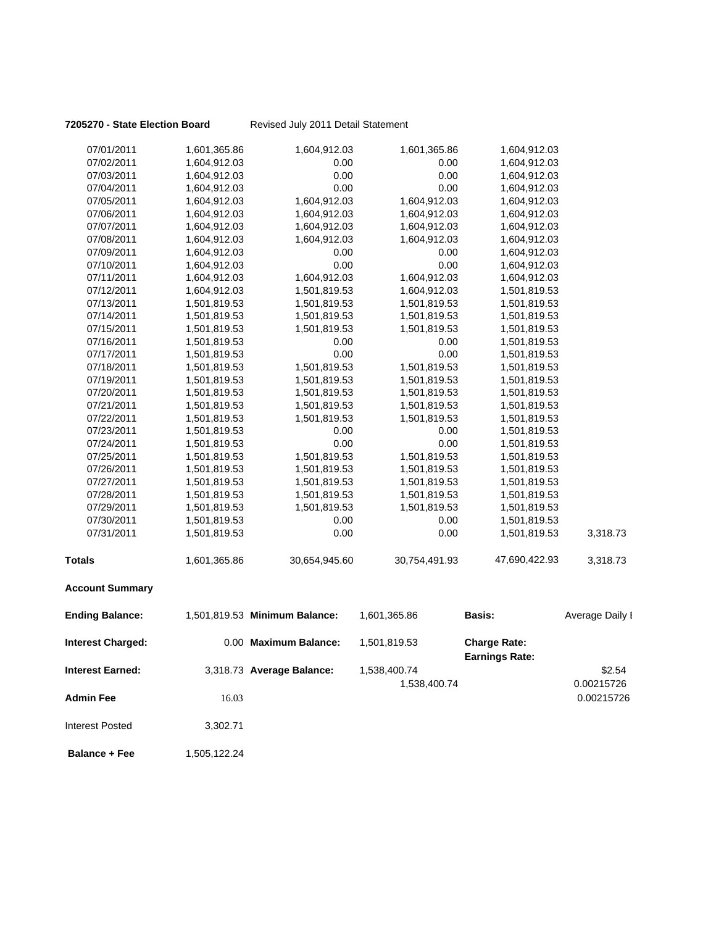**7205270 - State Election Board** Revised July 2011 Detail Statement

| 07/01/2011               | 1,601,365.86 | 1,604,912.03                  | 1,601,365.86  | 1,604,912.03                                 |                 |
|--------------------------|--------------|-------------------------------|---------------|----------------------------------------------|-----------------|
| 07/02/2011               | 1,604,912.03 | 0.00                          | 0.00          | 1,604,912.03                                 |                 |
| 07/03/2011               | 1,604,912.03 | 0.00                          | 0.00          | 1,604,912.03                                 |                 |
| 07/04/2011               | 1,604,912.03 | 0.00                          | 0.00          | 1,604,912.03                                 |                 |
| 07/05/2011               | 1,604,912.03 | 1,604,912.03                  | 1,604,912.03  | 1,604,912.03                                 |                 |
| 07/06/2011               | 1,604,912.03 | 1,604,912.03                  | 1,604,912.03  | 1,604,912.03                                 |                 |
| 07/07/2011               | 1,604,912.03 | 1,604,912.03                  | 1,604,912.03  | 1,604,912.03                                 |                 |
| 07/08/2011               | 1,604,912.03 | 1,604,912.03                  | 1,604,912.03  | 1,604,912.03                                 |                 |
| 07/09/2011               | 1,604,912.03 | 0.00                          | 0.00          | 1,604,912.03                                 |                 |
| 07/10/2011               | 1,604,912.03 | 0.00                          | 0.00          | 1,604,912.03                                 |                 |
| 07/11/2011               | 1,604,912.03 | 1,604,912.03                  | 1,604,912.03  | 1,604,912.03                                 |                 |
| 07/12/2011               | 1,604,912.03 | 1,501,819.53                  | 1,604,912.03  | 1,501,819.53                                 |                 |
| 07/13/2011               | 1,501,819.53 | 1,501,819.53                  | 1,501,819.53  | 1,501,819.53                                 |                 |
| 07/14/2011               | 1,501,819.53 | 1,501,819.53                  | 1,501,819.53  | 1,501,819.53                                 |                 |
| 07/15/2011               | 1,501,819.53 | 1,501,819.53                  | 1,501,819.53  | 1,501,819.53                                 |                 |
| 07/16/2011               | 1,501,819.53 | 0.00                          | 0.00          | 1,501,819.53                                 |                 |
| 07/17/2011               | 1,501,819.53 | 0.00                          | 0.00          | 1,501,819.53                                 |                 |
| 07/18/2011               | 1,501,819.53 | 1,501,819.53                  | 1,501,819.53  | 1,501,819.53                                 |                 |
| 07/19/2011               | 1,501,819.53 | 1,501,819.53                  | 1,501,819.53  | 1,501,819.53                                 |                 |
| 07/20/2011               | 1,501,819.53 | 1,501,819.53                  | 1,501,819.53  | 1,501,819.53                                 |                 |
| 07/21/2011               | 1,501,819.53 | 1,501,819.53                  | 1,501,819.53  | 1,501,819.53                                 |                 |
| 07/22/2011               | 1,501,819.53 | 1,501,819.53                  | 1,501,819.53  | 1,501,819.53                                 |                 |
| 07/23/2011               | 1,501,819.53 | 0.00                          | 0.00          | 1,501,819.53                                 |                 |
| 07/24/2011               | 1,501,819.53 | 0.00                          | 0.00          | 1,501,819.53                                 |                 |
| 07/25/2011               | 1,501,819.53 | 1,501,819.53                  | 1,501,819.53  | 1,501,819.53                                 |                 |
| 07/26/2011               | 1,501,819.53 | 1,501,819.53                  | 1,501,819.53  | 1,501,819.53                                 |                 |
| 07/27/2011               | 1,501,819.53 | 1,501,819.53                  | 1,501,819.53  | 1,501,819.53                                 |                 |
| 07/28/2011               | 1,501,819.53 | 1,501,819.53                  | 1,501,819.53  | 1,501,819.53                                 |                 |
| 07/29/2011               | 1,501,819.53 | 1,501,819.53                  | 1,501,819.53  | 1,501,819.53                                 |                 |
| 07/30/2011               | 1,501,819.53 | 0.00                          | 0.00          | 1,501,819.53                                 |                 |
| 07/31/2011               | 1,501,819.53 | 0.00                          | 0.00          | 1,501,819.53                                 | 3,318.73        |
| <b>Totals</b>            | 1,601,365.86 | 30,654,945.60                 | 30,754,491.93 | 47,690,422.93                                | 3,318.73        |
| <b>Account Summary</b>   |              |                               |               |                                              |                 |
| <b>Ending Balance:</b>   |              | 1,501,819.53 Minimum Balance: | 1,601,365.86  | <b>Basis:</b>                                | Average Daily I |
| <b>Interest Charged:</b> |              | 0.00 Maximum Balance:         | 1,501,819.53  | <b>Charge Rate:</b><br><b>Earnings Rate:</b> |                 |
| <b>Interest Earned:</b>  |              | 3,318.73 Average Balance:     | 1,538,400.74  |                                              | \$2.54          |
|                          |              |                               | 1,538,400.74  |                                              | 0.00215726      |
| <b>Admin Fee</b>         | 16.03        |                               |               |                                              | 0.00215726      |
| <b>Interest Posted</b>   | 3,302.71     |                               |               |                                              |                 |

**Balance + Fee** 1,505,122.24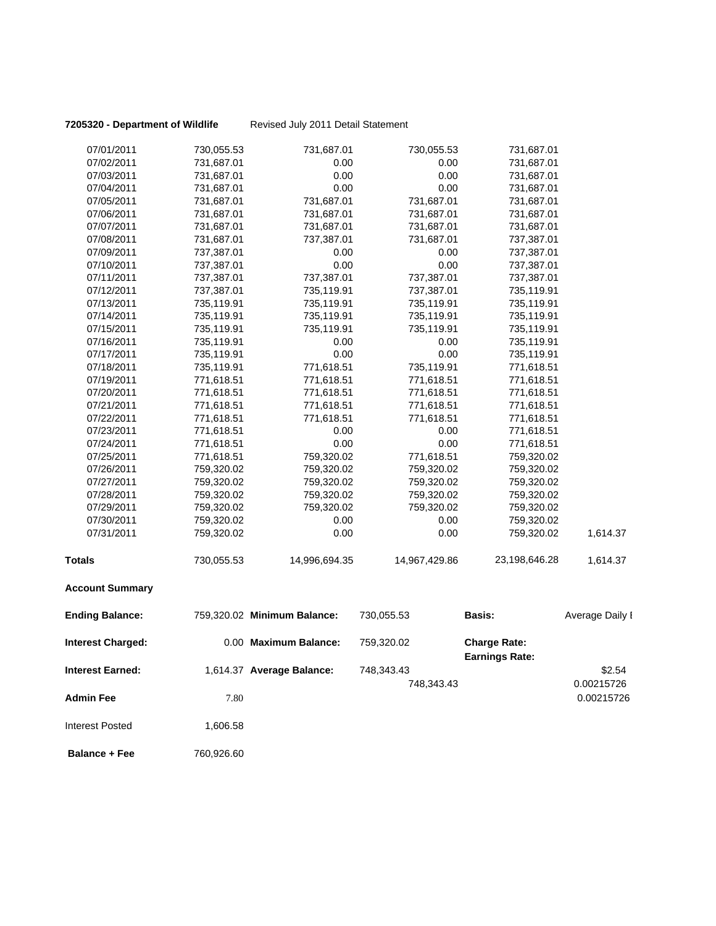**7205320 - Department of Wildlife** Revised July 2011 Detail Statement

| 07/01/2011               | 730,055.53 | 731,687.01                  | 730,055.53    | 731,687.01                                   |                 |
|--------------------------|------------|-----------------------------|---------------|----------------------------------------------|-----------------|
| 07/02/2011               | 731,687.01 | 0.00                        | 0.00          | 731,687.01                                   |                 |
| 07/03/2011               | 731,687.01 | 0.00                        | 0.00          | 731,687.01                                   |                 |
| 07/04/2011               | 731,687.01 | 0.00                        | 0.00          | 731,687.01                                   |                 |
| 07/05/2011               | 731,687.01 | 731,687.01                  | 731,687.01    | 731,687.01                                   |                 |
| 07/06/2011               | 731,687.01 | 731,687.01                  | 731,687.01    | 731,687.01                                   |                 |
| 07/07/2011               | 731,687.01 | 731,687.01                  | 731,687.01    | 731,687.01                                   |                 |
| 07/08/2011               | 731,687.01 | 737,387.01                  | 731,687.01    | 737,387.01                                   |                 |
| 07/09/2011               | 737,387.01 | 0.00                        | 0.00          | 737,387.01                                   |                 |
| 07/10/2011               | 737,387.01 | 0.00                        | 0.00          | 737,387.01                                   |                 |
| 07/11/2011               | 737,387.01 | 737,387.01                  | 737,387.01    | 737,387.01                                   |                 |
| 07/12/2011               | 737,387.01 | 735,119.91                  | 737,387.01    | 735,119.91                                   |                 |
| 07/13/2011               | 735,119.91 | 735,119.91                  | 735,119.91    | 735,119.91                                   |                 |
| 07/14/2011               | 735,119.91 | 735,119.91                  | 735,119.91    | 735,119.91                                   |                 |
| 07/15/2011               | 735,119.91 | 735,119.91                  | 735,119.91    | 735,119.91                                   |                 |
| 07/16/2011               | 735,119.91 | 0.00                        | 0.00          | 735,119.91                                   |                 |
| 07/17/2011               | 735,119.91 | 0.00                        | 0.00          | 735,119.91                                   |                 |
| 07/18/2011               | 735,119.91 | 771,618.51                  | 735,119.91    | 771,618.51                                   |                 |
| 07/19/2011               | 771,618.51 | 771,618.51                  | 771,618.51    | 771,618.51                                   |                 |
| 07/20/2011               | 771,618.51 | 771,618.51                  | 771,618.51    | 771,618.51                                   |                 |
| 07/21/2011               | 771,618.51 | 771,618.51                  | 771,618.51    | 771,618.51                                   |                 |
| 07/22/2011               | 771,618.51 | 771,618.51                  | 771,618.51    | 771,618.51                                   |                 |
| 07/23/2011               | 771,618.51 | 0.00                        | 0.00          | 771,618.51                                   |                 |
| 07/24/2011               | 771,618.51 | 0.00                        | 0.00          | 771,618.51                                   |                 |
| 07/25/2011               | 771,618.51 | 759,320.02                  | 771,618.51    | 759,320.02                                   |                 |
| 07/26/2011               | 759,320.02 | 759,320.02                  | 759,320.02    | 759,320.02                                   |                 |
| 07/27/2011               | 759,320.02 | 759,320.02                  | 759,320.02    | 759,320.02                                   |                 |
| 07/28/2011               | 759,320.02 | 759,320.02                  | 759,320.02    | 759,320.02                                   |                 |
| 07/29/2011               | 759,320.02 | 759,320.02                  | 759,320.02    | 759,320.02                                   |                 |
| 07/30/2011               | 759,320.02 | 0.00                        | 0.00          | 759,320.02                                   |                 |
| 07/31/2011               | 759,320.02 | 0.00                        | 0.00          | 759,320.02                                   | 1,614.37        |
| <b>Totals</b>            | 730,055.53 | 14,996,694.35               | 14,967,429.86 | 23,198,646.28                                | 1,614.37        |
| <b>Account Summary</b>   |            |                             |               |                                              |                 |
| <b>Ending Balance:</b>   |            | 759,320.02 Minimum Balance: | 730,055.53    | Basis:                                       | Average Daily I |
| <b>Interest Charged:</b> |            | 0.00 Maximum Balance:       | 759,320.02    | <b>Charge Rate:</b><br><b>Earnings Rate:</b> |                 |
| Interest Earned:         |            | 1,614.37 Average Balance:   | 748,343.43    |                                              | \$2.54          |
|                          |            |                             | 748,343.43    |                                              | 0.00215726      |
|                          |            |                             |               |                                              |                 |
| <b>Admin Fee</b>         | 7.80       |                             |               |                                              | 0.00215726      |
| <b>Interest Posted</b>   | 1,606.58   |                             |               |                                              |                 |
| <b>Balance + Fee</b>     | 760,926.60 |                             |               |                                              |                 |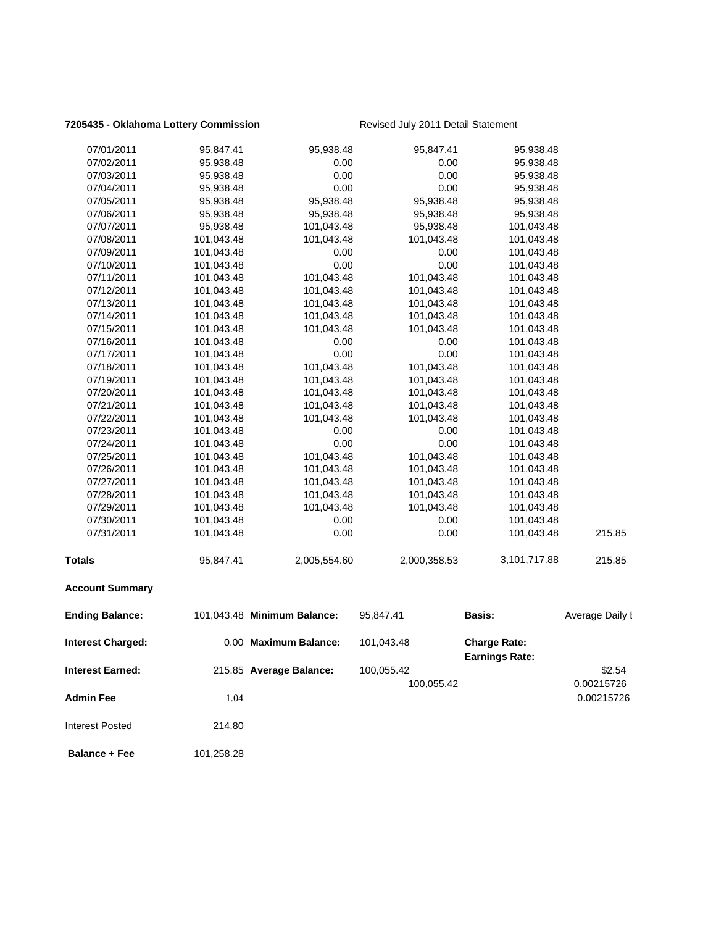### **7205435 - Oklahoma Lottery Commission** Revised July 2011 Detail Statement

| <b>Ending Balance:</b> |            | 101,043.48 Minimum Balance: | 95,847.41    | <b>Basis:</b> | Average Daily I |
|------------------------|------------|-----------------------------|--------------|---------------|-----------------|
| <b>Account Summary</b> |            |                             |              |               |                 |
| <b>Totals</b>          | 95,847.41  | 2,005,554.60                | 2,000,358.53 | 3,101,717.88  | 215.85          |
| 07/31/2011             | 101,043.48 | 0.00                        | 0.00         | 101,043.48    | 215.85          |
| 07/30/2011             | 101,043.48 | 0.00                        | 0.00         | 101,043.48    |                 |
| 07/29/2011             | 101,043.48 | 101,043.48                  | 101,043.48   | 101,043.48    |                 |
| 07/28/2011             | 101,043.48 | 101,043.48                  | 101,043.48   | 101,043.48    |                 |
| 07/27/2011             | 101,043.48 | 101,043.48                  | 101,043.48   | 101,043.48    |                 |
| 07/26/2011             | 101,043.48 | 101,043.48                  | 101,043.48   | 101,043.48    |                 |
| 07/25/2011             | 101,043.48 | 101,043.48                  | 101,043.48   | 101,043.48    |                 |
| 07/24/2011             | 101,043.48 | 0.00                        | 0.00         | 101,043.48    |                 |
| 07/23/2011             | 101,043.48 | 0.00                        | 0.00         | 101,043.48    |                 |
| 07/22/2011             | 101,043.48 | 101,043.48                  | 101,043.48   | 101,043.48    |                 |
| 07/21/2011             | 101,043.48 | 101,043.48                  | 101,043.48   | 101,043.48    |                 |
| 07/20/2011             | 101,043.48 | 101,043.48                  | 101,043.48   | 101,043.48    |                 |
| 07/19/2011             | 101,043.48 | 101,043.48                  | 101,043.48   | 101,043.48    |                 |
| 07/18/2011             | 101,043.48 | 101,043.48                  | 101,043.48   | 101,043.48    |                 |
| 07/17/2011             | 101,043.48 | 0.00                        | 0.00         | 101,043.48    |                 |
| 07/16/2011             | 101,043.48 | 0.00                        | 0.00         | 101,043.48    |                 |
| 07/15/2011             | 101,043.48 | 101,043.48                  | 101,043.48   | 101,043.48    |                 |
| 07/14/2011             | 101,043.48 | 101,043.48                  | 101,043.48   | 101,043.48    |                 |
| 07/13/2011             | 101,043.48 | 101,043.48                  | 101,043.48   | 101,043.48    |                 |
| 07/12/2011             | 101,043.48 | 101,043.48                  | 101,043.48   | 101,043.48    |                 |
| 07/11/2011             | 101,043.48 | 101,043.48                  | 101,043.48   | 101,043.48    |                 |
| 07/10/2011             | 101,043.48 | 0.00                        | 0.00         | 101,043.48    |                 |
| 07/09/2011             | 101,043.48 | 0.00                        | 0.00         | 101,043.48    |                 |
| 07/08/2011             | 101,043.48 | 101,043.48                  | 101,043.48   | 101,043.48    |                 |
| 07/07/2011             | 95,938.48  | 101,043.48                  | 95,938.48    | 101,043.48    |                 |
| 07/06/2011             | 95,938.48  | 95,938.48                   | 95,938.48    | 95,938.48     |                 |
| 07/05/2011             | 95,938.48  | 95,938.48                   | 95,938.48    | 95,938.48     |                 |
| 07/04/2011             | 95,938.48  | 0.00                        | 0.00         | 95,938.48     |                 |
| 07/03/2011             | 95,938.48  | 0.00                        | 0.00         | 95,938.48     |                 |
| 07/02/2011             | 95,938.48  | 0.00                        | 0.00         | 95,938.48     |                 |
| 07/01/2011             | 95,847.41  | 95,938.48                   | 95,847.41    | 95,938.48     |                 |

| <b>Interest Charged:</b> |        | 0.00 Maximum Balance:   | 101,043.48 | <b>Charge Rate:</b><br><b>Earnings Rate:</b> |            |
|--------------------------|--------|-------------------------|------------|----------------------------------------------|------------|
| <b>Interest Earned:</b>  |        | 215.85 Average Balance: | 100,055.42 |                                              | \$2.54     |
|                          |        |                         | 100,055.42 |                                              | 0.00215726 |
| <b>Admin Fee</b>         | 1.04   |                         |            |                                              | 0.00215726 |
| Interest Posted          | 214.80 |                         |            |                                              |            |

**Balance + Fee** 101,258.28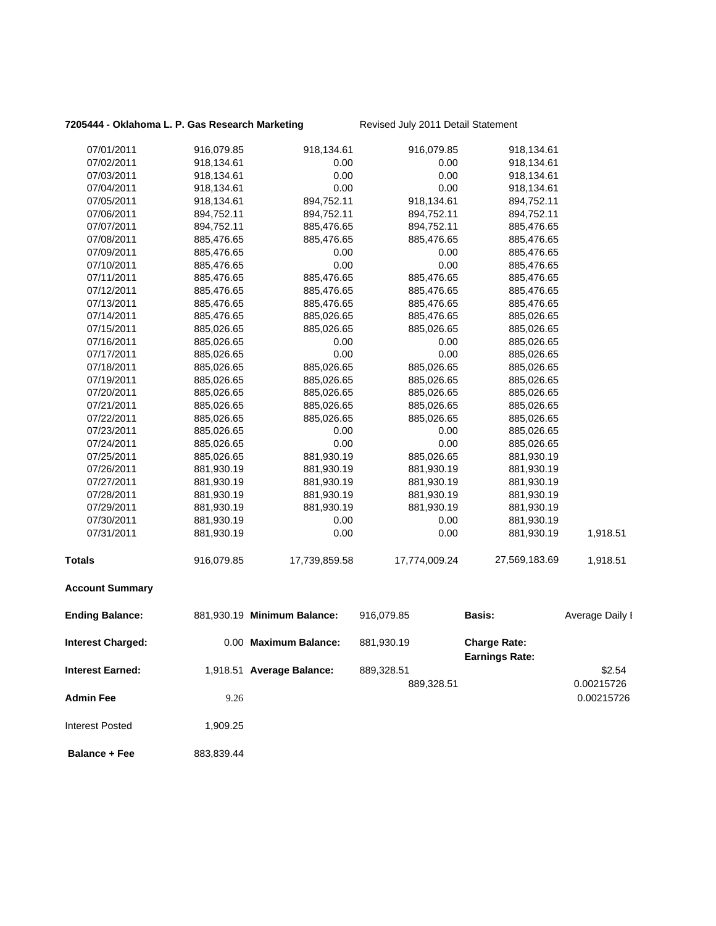### **7205444 - Oklahoma L. P. Gas Research Marketing** Revised July 2011 Detail Statement

| 07/01/2011               | 916,079.85 | 918,134.61                  | 916,079.85    | 918,134.61                                   |                 |
|--------------------------|------------|-----------------------------|---------------|----------------------------------------------|-----------------|
| 07/02/2011               | 918,134.61 | 0.00                        | 0.00          | 918,134.61                                   |                 |
| 07/03/2011               | 918,134.61 | 0.00                        | 0.00          | 918,134.61                                   |                 |
| 07/04/2011               | 918,134.61 | 0.00                        | 0.00          | 918,134.61                                   |                 |
| 07/05/2011               | 918,134.61 | 894,752.11                  | 918,134.61    | 894,752.11                                   |                 |
| 07/06/2011               | 894,752.11 | 894,752.11                  | 894,752.11    | 894,752.11                                   |                 |
| 07/07/2011               | 894,752.11 | 885,476.65                  | 894,752.11    | 885,476.65                                   |                 |
| 07/08/2011               | 885,476.65 | 885,476.65                  | 885,476.65    | 885,476.65                                   |                 |
| 07/09/2011               | 885,476.65 | 0.00                        | 0.00          | 885,476.65                                   |                 |
| 07/10/2011               | 885,476.65 | 0.00                        | 0.00          | 885,476.65                                   |                 |
| 07/11/2011               | 885,476.65 | 885,476.65                  | 885,476.65    | 885,476.65                                   |                 |
| 07/12/2011               | 885,476.65 | 885,476.65                  | 885,476.65    | 885,476.65                                   |                 |
| 07/13/2011               | 885,476.65 | 885,476.65                  | 885,476.65    | 885,476.65                                   |                 |
| 07/14/2011               | 885,476.65 | 885,026.65                  | 885,476.65    | 885,026.65                                   |                 |
| 07/15/2011               | 885,026.65 | 885,026.65                  | 885,026.65    | 885,026.65                                   |                 |
| 07/16/2011               | 885,026.65 | 0.00                        | 0.00          | 885,026.65                                   |                 |
| 07/17/2011               | 885,026.65 | 0.00                        | 0.00          | 885,026.65                                   |                 |
| 07/18/2011               | 885,026.65 | 885,026.65                  | 885,026.65    | 885,026.65                                   |                 |
| 07/19/2011               | 885,026.65 | 885,026.65                  | 885,026.65    | 885,026.65                                   |                 |
| 07/20/2011               | 885,026.65 | 885,026.65                  | 885,026.65    | 885,026.65                                   |                 |
| 07/21/2011               | 885,026.65 | 885,026.65                  | 885,026.65    | 885,026.65                                   |                 |
| 07/22/2011               | 885,026.65 | 885,026.65                  | 885,026.65    | 885,026.65                                   |                 |
| 07/23/2011               | 885,026.65 | 0.00                        | 0.00          | 885,026.65                                   |                 |
| 07/24/2011               | 885,026.65 | 0.00                        | 0.00          | 885,026.65                                   |                 |
| 07/25/2011               | 885,026.65 | 881,930.19                  | 885,026.65    | 881,930.19                                   |                 |
| 07/26/2011               | 881,930.19 | 881,930.19                  | 881,930.19    | 881,930.19                                   |                 |
| 07/27/2011               | 881,930.19 | 881,930.19                  | 881,930.19    | 881,930.19                                   |                 |
| 07/28/2011               | 881,930.19 | 881,930.19                  | 881,930.19    | 881,930.19                                   |                 |
| 07/29/2011               | 881,930.19 | 881,930.19                  | 881,930.19    | 881,930.19                                   |                 |
| 07/30/2011               | 881,930.19 | 0.00                        | 0.00          | 881,930.19                                   |                 |
| 07/31/2011               | 881,930.19 | 0.00                        | 0.00          | 881,930.19                                   | 1,918.51        |
| <b>Totals</b>            | 916,079.85 | 17,739,859.58               | 17,774,009.24 | 27,569,183.69                                | 1,918.51        |
| <b>Account Summary</b>   |            |                             |               |                                              |                 |
| <b>Ending Balance:</b>   |            | 881,930.19 Minimum Balance: | 916,079.85    | Basis:                                       | Average Daily I |
| <b>Interest Charged:</b> |            | 0.00 Maximum Balance:       | 881,930.19    | <b>Charge Rate:</b><br><b>Earnings Rate:</b> |                 |
| <b>Interest Earned:</b>  |            | 1,918.51 Average Balance:   | 889,328.51    |                                              | \$2.54          |
|                          |            |                             | 889,328.51    |                                              | 0.00215726      |
|                          |            |                             |               |                                              |                 |
| <b>Admin Fee</b>         | 9.26       |                             |               |                                              | 0.00215726      |
| <b>Interest Posted</b>   | 1,909.25   |                             |               |                                              |                 |
| <b>Balance + Fee</b>     | 883,839.44 |                             |               |                                              |                 |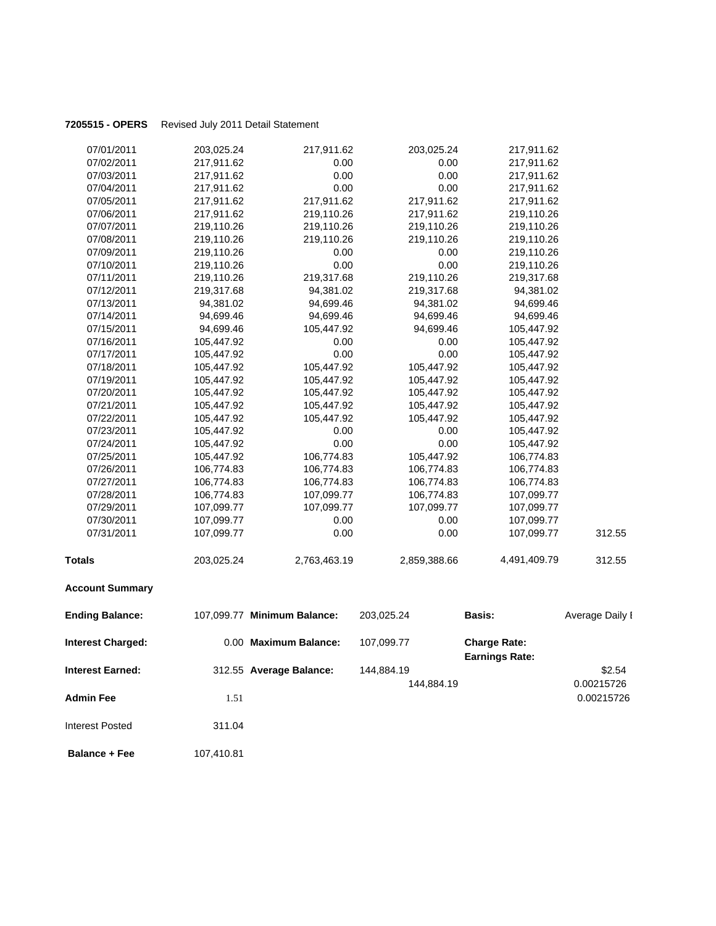### **7205515 - OPERS** Revised July 2011 Detail Statement

| 07/01/2011               | 203,025.24 | 217,911.62                  | 203,025.24   | 217,911.62                                   |                 |
|--------------------------|------------|-----------------------------|--------------|----------------------------------------------|-----------------|
| 07/02/2011               | 217,911.62 | 0.00                        | 0.00         | 217,911.62                                   |                 |
| 07/03/2011               | 217,911.62 | 0.00                        | 0.00         | 217,911.62                                   |                 |
| 07/04/2011               | 217,911.62 | 0.00                        | 0.00         | 217,911.62                                   |                 |
| 07/05/2011               | 217,911.62 | 217,911.62                  | 217,911.62   | 217,911.62                                   |                 |
| 07/06/2011               | 217,911.62 | 219,110.26                  | 217,911.62   | 219,110.26                                   |                 |
| 07/07/2011               | 219,110.26 | 219,110.26                  | 219,110.26   | 219,110.26                                   |                 |
| 07/08/2011               | 219,110.26 | 219,110.26                  | 219,110.26   | 219,110.26                                   |                 |
| 07/09/2011               | 219,110.26 | 0.00                        | 0.00         | 219,110.26                                   |                 |
| 07/10/2011               | 219,110.26 | 0.00                        | 0.00         | 219,110.26                                   |                 |
| 07/11/2011               | 219,110.26 | 219,317.68                  | 219,110.26   | 219,317.68                                   |                 |
| 07/12/2011               | 219,317.68 | 94,381.02                   | 219,317.68   | 94,381.02                                    |                 |
| 07/13/2011               | 94,381.02  | 94,699.46                   | 94,381.02    | 94,699.46                                    |                 |
| 07/14/2011               | 94,699.46  | 94,699.46                   | 94,699.46    | 94,699.46                                    |                 |
| 07/15/2011               | 94,699.46  | 105,447.92                  | 94,699.46    | 105,447.92                                   |                 |
| 07/16/2011               | 105,447.92 | 0.00                        | 0.00         | 105,447.92                                   |                 |
| 07/17/2011               | 105,447.92 | 0.00                        | 0.00         | 105,447.92                                   |                 |
| 07/18/2011               | 105,447.92 | 105,447.92                  | 105,447.92   | 105,447.92                                   |                 |
| 07/19/2011               | 105,447.92 | 105,447.92                  | 105,447.92   | 105,447.92                                   |                 |
| 07/20/2011               | 105,447.92 | 105,447.92                  | 105,447.92   | 105,447.92                                   |                 |
| 07/21/2011               | 105,447.92 | 105,447.92                  | 105,447.92   | 105,447.92                                   |                 |
| 07/22/2011               | 105,447.92 | 105,447.92                  | 105,447.92   | 105,447.92                                   |                 |
| 07/23/2011               | 105,447.92 | 0.00                        | 0.00         | 105,447.92                                   |                 |
| 07/24/2011               | 105,447.92 | 0.00                        | 0.00         | 105,447.92                                   |                 |
| 07/25/2011               | 105,447.92 | 106,774.83                  | 105,447.92   | 106,774.83                                   |                 |
| 07/26/2011               | 106,774.83 | 106,774.83                  | 106,774.83   | 106,774.83                                   |                 |
| 07/27/2011               | 106,774.83 | 106,774.83                  | 106,774.83   | 106,774.83                                   |                 |
| 07/28/2011               | 106,774.83 | 107,099.77                  | 106,774.83   | 107,099.77                                   |                 |
| 07/29/2011               | 107,099.77 | 107,099.77                  | 107,099.77   | 107,099.77                                   |                 |
| 07/30/2011               | 107,099.77 | 0.00                        | 0.00         | 107,099.77                                   |                 |
| 07/31/2011               | 107,099.77 | 0.00                        | 0.00         | 107,099.77                                   | 312.55          |
| <b>Totals</b>            | 203,025.24 | 2,763,463.19                | 2,859,388.66 | 4,491,409.79                                 | 312.55          |
| <b>Account Summary</b>   |            |                             |              |                                              |                 |
| <b>Ending Balance:</b>   |            | 107,099.77 Minimum Balance: | 203,025.24   | Basis:                                       | Average Daily I |
| <b>Interest Charged:</b> |            | 0.00 Maximum Balance:       | 107,099.77   | <b>Charge Rate:</b><br><b>Earnings Rate:</b> |                 |
| <b>Interest Earned:</b>  |            | 312.55 Average Balance:     | 144,884.19   |                                              | \$2.54          |
|                          |            |                             | 144,884.19   |                                              | 0.00215726      |
| <b>Admin Fee</b>         | 1.51       |                             |              |                                              | 0.00215726      |
| <b>Interest Posted</b>   | 311.04     |                             |              |                                              |                 |

**Balance + Fee** 107,410.81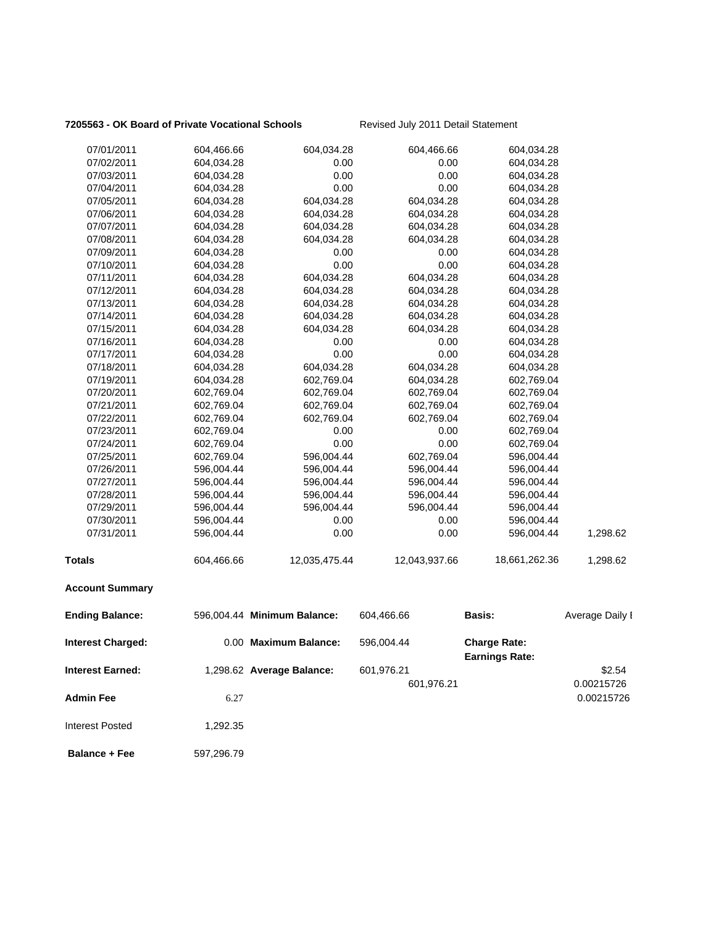### **7205563 - OK Board of Private Vocational Schools** Revised July 2011 Detail Statement

| 07/01/2011              | 604,466.66 | 604,034.28                  | 604,466.66    | 604,034.28                                   |                 |
|-------------------------|------------|-----------------------------|---------------|----------------------------------------------|-----------------|
| 07/02/2011              | 604,034.28 | 0.00                        | 0.00          | 604,034.28                                   |                 |
| 07/03/2011              | 604,034.28 | 0.00                        | 0.00          | 604,034.28                                   |                 |
| 07/04/2011              | 604,034.28 | 0.00                        | 0.00          | 604,034.28                                   |                 |
| 07/05/2011              | 604,034.28 | 604,034.28                  | 604,034.28    | 604,034.28                                   |                 |
| 07/06/2011              | 604,034.28 | 604,034.28                  | 604,034.28    | 604,034.28                                   |                 |
| 07/07/2011              | 604,034.28 | 604,034.28                  | 604,034.28    | 604,034.28                                   |                 |
| 07/08/2011              | 604,034.28 | 604,034.28                  | 604,034.28    | 604,034.28                                   |                 |
| 07/09/2011              | 604,034.28 | 0.00                        | 0.00          | 604,034.28                                   |                 |
| 07/10/2011              | 604,034.28 | 0.00                        | 0.00          | 604,034.28                                   |                 |
| 07/11/2011              | 604,034.28 | 604,034.28                  | 604,034.28    | 604,034.28                                   |                 |
| 07/12/2011              | 604,034.28 | 604,034.28                  | 604,034.28    | 604,034.28                                   |                 |
| 07/13/2011              | 604,034.28 | 604,034.28                  | 604,034.28    | 604,034.28                                   |                 |
| 07/14/2011              | 604,034.28 | 604,034.28                  | 604,034.28    | 604,034.28                                   |                 |
| 07/15/2011              | 604,034.28 | 604,034.28                  | 604,034.28    | 604,034.28                                   |                 |
| 07/16/2011              | 604,034.28 | 0.00                        | 0.00          | 604,034.28                                   |                 |
| 07/17/2011              | 604,034.28 | 0.00                        | 0.00          | 604,034.28                                   |                 |
| 07/18/2011              | 604,034.28 | 604,034.28                  | 604,034.28    | 604,034.28                                   |                 |
| 07/19/2011              | 604,034.28 | 602,769.04                  | 604,034.28    | 602,769.04                                   |                 |
| 07/20/2011              | 602,769.04 | 602,769.04                  | 602,769.04    | 602,769.04                                   |                 |
| 07/21/2011              | 602,769.04 | 602,769.04                  | 602,769.04    | 602,769.04                                   |                 |
| 07/22/2011              | 602,769.04 | 602,769.04                  | 602,769.04    | 602,769.04                                   |                 |
| 07/23/2011              | 602,769.04 | 0.00                        | 0.00          | 602,769.04                                   |                 |
| 07/24/2011              | 602,769.04 | 0.00                        | 0.00          | 602,769.04                                   |                 |
| 07/25/2011              | 602,769.04 | 596,004.44                  | 602,769.04    | 596,004.44                                   |                 |
| 07/26/2011              | 596,004.44 | 596,004.44                  | 596,004.44    | 596,004.44                                   |                 |
| 07/27/2011              | 596,004.44 | 596,004.44                  | 596,004.44    | 596,004.44                                   |                 |
| 07/28/2011              | 596,004.44 | 596,004.44                  | 596,004.44    | 596,004.44                                   |                 |
| 07/29/2011              | 596,004.44 | 596,004.44                  | 596,004.44    | 596,004.44                                   |                 |
| 07/30/2011              | 596,004.44 | 0.00                        | 0.00          | 596,004.44                                   |                 |
| 07/31/2011              | 596,004.44 | 0.00                        | 0.00          | 596,004.44                                   | 1,298.62        |
| <b>Totals</b>           | 604,466.66 | 12,035,475.44               | 12,043,937.66 | 18,661,262.36                                | 1,298.62        |
| <b>Account Summary</b>  |            |                             |               |                                              |                 |
| <b>Ending Balance:</b>  |            | 596,004.44 Minimum Balance: | 604,466.66    | <b>Basis:</b>                                | Average Daily I |
| Interest Charged:       |            | 0.00 Maximum Balance:       | 596,004.44    | <b>Charge Rate:</b><br><b>Earnings Rate:</b> |                 |
| <b>Interest Earned:</b> |            | 1,298.62 Average Balance:   | 601,976.21    |                                              | \$2.54          |
|                         |            |                             |               |                                              |                 |
|                         |            |                             | 601,976.21    |                                              | 0.00215726      |
| <b>Admin Fee</b>        | 6.27       |                             |               |                                              | 0.00215726      |
| <b>Interest Posted</b>  | 1,292.35   |                             |               |                                              |                 |
| <b>Balance + Fee</b>    | 597,296.79 |                             |               |                                              |                 |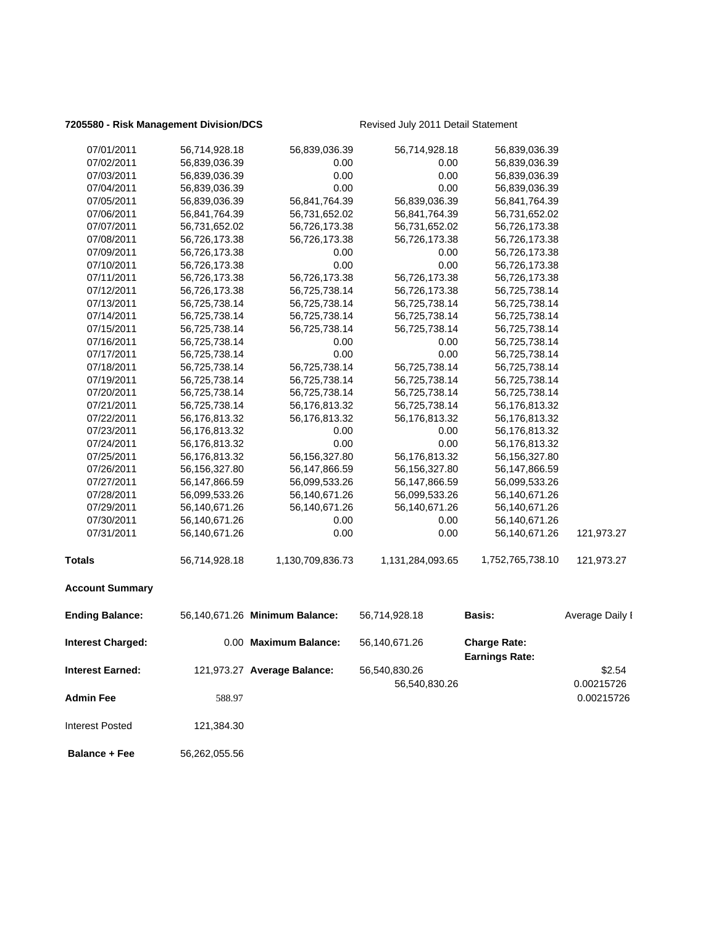### **7205580 - Risk Management Division/DCS** Revised July 2011 Detail Statement

| 07/01/2011               | 56,714,928.18 | 56,839,036.39                  | 56,714,928.18    | 56,839,036.39                                |                 |
|--------------------------|---------------|--------------------------------|------------------|----------------------------------------------|-----------------|
| 07/02/2011               | 56,839,036.39 | 0.00                           | 0.00             | 56,839,036.39                                |                 |
| 07/03/2011               | 56,839,036.39 | 0.00                           | 0.00             | 56,839,036.39                                |                 |
| 07/04/2011               | 56,839,036.39 | 0.00                           | 0.00             | 56,839,036.39                                |                 |
| 07/05/2011               | 56,839,036.39 | 56,841,764.39                  | 56,839,036.39    | 56,841,764.39                                |                 |
| 07/06/2011               | 56,841,764.39 | 56,731,652.02                  | 56,841,764.39    | 56,731,652.02                                |                 |
| 07/07/2011               | 56,731,652.02 | 56,726,173.38                  | 56,731,652.02    | 56,726,173.38                                |                 |
| 07/08/2011               | 56,726,173.38 | 56,726,173.38                  | 56,726,173.38    | 56,726,173.38                                |                 |
| 07/09/2011               | 56,726,173.38 | 0.00                           | 0.00             | 56,726,173.38                                |                 |
| 07/10/2011               | 56,726,173.38 | 0.00                           | 0.00             | 56,726,173.38                                |                 |
| 07/11/2011               | 56,726,173.38 | 56,726,173.38                  | 56,726,173.38    | 56,726,173.38                                |                 |
| 07/12/2011               | 56,726,173.38 | 56,725,738.14                  | 56,726,173.38    | 56,725,738.14                                |                 |
| 07/13/2011               | 56,725,738.14 | 56,725,738.14                  | 56,725,738.14    | 56,725,738.14                                |                 |
| 07/14/2011               | 56,725,738.14 | 56,725,738.14                  | 56,725,738.14    | 56,725,738.14                                |                 |
| 07/15/2011               | 56,725,738.14 | 56,725,738.14                  | 56,725,738.14    | 56,725,738.14                                |                 |
| 07/16/2011               | 56,725,738.14 | 0.00                           | 0.00             | 56,725,738.14                                |                 |
| 07/17/2011               | 56,725,738.14 | 0.00                           | 0.00             | 56,725,738.14                                |                 |
| 07/18/2011               | 56,725,738.14 | 56,725,738.14                  | 56,725,738.14    | 56,725,738.14                                |                 |
| 07/19/2011               | 56,725,738.14 | 56,725,738.14                  | 56,725,738.14    | 56,725,738.14                                |                 |
| 07/20/2011               | 56,725,738.14 | 56,725,738.14                  | 56,725,738.14    | 56,725,738.14                                |                 |
| 07/21/2011               | 56,725,738.14 | 56,176,813.32                  | 56,725,738.14    | 56,176,813.32                                |                 |
| 07/22/2011               | 56,176,813.32 | 56,176,813.32                  | 56,176,813.32    | 56,176,813.32                                |                 |
| 07/23/2011               | 56,176,813.32 | 0.00                           | 0.00             | 56,176,813.32                                |                 |
| 07/24/2011               | 56,176,813.32 | 0.00                           | 0.00             | 56,176,813.32                                |                 |
| 07/25/2011               | 56,176,813.32 | 56, 156, 327.80                | 56,176,813.32    | 56,156,327.80                                |                 |
| 07/26/2011               | 56,156,327.80 | 56,147,866.59                  | 56,156,327.80    | 56,147,866.59                                |                 |
| 07/27/2011               | 56,147,866.59 | 56,099,533.26                  | 56,147,866.59    | 56,099,533.26                                |                 |
| 07/28/2011               | 56,099,533.26 | 56,140,671.26                  | 56,099,533.26    | 56,140,671.26                                |                 |
| 07/29/2011               | 56,140,671.26 | 56,140,671.26                  | 56,140,671.26    | 56,140,671.26                                |                 |
| 07/30/2011               | 56,140,671.26 | 0.00                           | 0.00             | 56,140,671.26                                |                 |
| 07/31/2011               | 56,140,671.26 | 0.00                           | 0.00             | 56,140,671.26                                | 121,973.27      |
| <b>Totals</b>            | 56,714,928.18 | 1,130,709,836.73               | 1,131,284,093.65 | 1,752,765,738.10                             | 121,973.27      |
| <b>Account Summary</b>   |               |                                |                  |                                              |                 |
| <b>Ending Balance:</b>   |               | 56,140,671.26 Minimum Balance: | 56,714,928.18    | <b>Basis:</b>                                | Average Daily I |
| <b>Interest Charged:</b> |               | 0.00 Maximum Balance:          | 56,140,671.26    | <b>Charge Rate:</b><br><b>Earnings Rate:</b> |                 |
| <b>Interest Earned:</b>  |               | 121,973.27 Average Balance:    | 56,540,830.26    |                                              | \$2.54          |
|                          |               |                                | 56,540,830.26    |                                              | 0.00215726      |
| <b>Admin Fee</b>         |               |                                |                  |                                              |                 |
|                          | 588.97        |                                |                  |                                              | 0.00215726      |
| <b>Interest Posted</b>   | 121,384.30    |                                |                  |                                              |                 |
| <b>Balance + Fee</b>     | 56,262,055.56 |                                |                  |                                              |                 |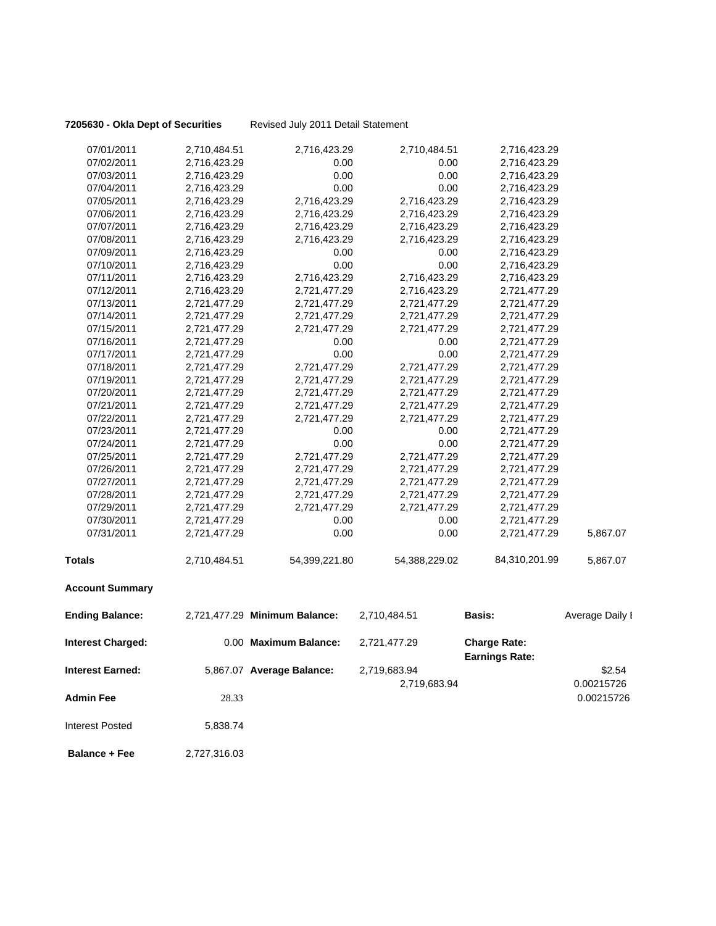**7205630 - Okla Dept of Securities** Revised July 2011 Detail Statement

| <b>Interest Posted</b>   | 5,838.74     |                               |               |                       |                          |
|--------------------------|--------------|-------------------------------|---------------|-----------------------|--------------------------|
| Admin Fee                | 28.33        |                               | 2,719,683.94  |                       | 0.00215726<br>0.00215726 |
| Interest Earned:         |              | 5,867.07 Average Balance:     | 2,719,683.94  | <b>Earnings Rate:</b> | \$2.54                   |
| <b>Interest Charged:</b> |              | 0.00 Maximum Balance:         | 2,721,477.29  | <b>Charge Rate:</b>   |                          |
| <b>Ending Balance:</b>   |              | 2,721,477.29 Minimum Balance: | 2,710,484.51  | Basis:                | Average Daily I          |
| <b>Account Summary</b>   |              |                               |               |                       |                          |
| <b>Totals</b>            | 2,710,484.51 | 54,399,221.80                 | 54,388,229.02 | 84,310,201.99         | 5,867.07                 |
| 07/31/2011               | 2,721,477.29 | 0.00                          | 0.00          | 2,721,477.29          | 5,867.07                 |
| 07/30/2011               | 2,721,477.29 | 0.00                          | 0.00          | 2,721,477.29          |                          |
| 07/29/2011               | 2,721,477.29 | 2,721,477.29                  | 2,721,477.29  | 2,721,477.29          |                          |
| 07/28/2011               | 2,721,477.29 | 2,721,477.29                  | 2,721,477.29  | 2,721,477.29          |                          |
| 07/27/2011               | 2,721,477.29 | 2,721,477.29                  | 2,721,477.29  | 2,721,477.29          |                          |
| 07/26/2011               | 2,721,477.29 | 2,721,477.29                  | 2,721,477.29  | 2,721,477.29          |                          |
| 07/25/2011               | 2,721,477.29 | 2,721,477.29                  | 2,721,477.29  | 2,721,477.29          |                          |
| 07/24/2011               | 2,721,477.29 | 0.00                          | 0.00          | 2,721,477.29          |                          |
| 07/23/2011               | 2,721,477.29 | 0.00                          | 0.00          | 2,721,477.29          |                          |
| 07/22/2011               | 2,721,477.29 | 2,721,477.29                  | 2,721,477.29  | 2,721,477.29          |                          |
| 07/21/2011               | 2,721,477.29 | 2,721,477.29                  | 2,721,477.29  | 2,721,477.29          |                          |
| 07/20/2011               | 2,721,477.29 | 2,721,477.29                  | 2,721,477.29  | 2,721,477.29          |                          |
| 07/19/2011               | 2,721,477.29 | 2,721,477.29                  | 2,721,477.29  | 2,721,477.29          |                          |
| 07/18/2011               | 2,721,477.29 | 2,721,477.29                  | 2,721,477.29  | 2,721,477.29          |                          |
| 07/17/2011               | 2,721,477.29 | 0.00                          | 0.00          | 2,721,477.29          |                          |
| 07/16/2011               | 2,721,477.29 | 0.00                          | 0.00          | 2,721,477.29          |                          |
| 07/15/2011               | 2,721,477.29 | 2,721,477.29                  | 2,721,477.29  | 2,721,477.29          |                          |
| 07/14/2011               | 2,721,477.29 | 2,721,477.29                  | 2,721,477.29  | 2,721,477.29          |                          |
| 07/13/2011               | 2,721,477.29 | 2,721,477.29                  | 2,721,477.29  | 2,721,477.29          |                          |
| 07/12/2011               | 2,716,423.29 | 2,721,477.29                  | 2,716,423.29  | 2,721,477.29          |                          |
| 07/11/2011               | 2,716,423.29 | 2,716,423.29                  | 2,716,423.29  | 2,716,423.29          |                          |
| 07/10/2011               | 2,716,423.29 | 0.00                          | 0.00          | 2,716,423.29          |                          |
| 07/09/2011               | 2,716,423.29 | 0.00                          | 0.00          | 2,716,423.29          |                          |
| 07/08/2011               | 2,716,423.29 | 2,716,423.29                  | 2,716,423.29  | 2,716,423.29          |                          |
| 07/07/2011               | 2,716,423.29 | 2,716,423.29                  | 2,716,423.29  | 2,716,423.29          |                          |
| 07/06/2011               | 2,716,423.29 | 2,716,423.29                  | 2,716,423.29  | 2,716,423.29          |                          |
| 07/05/2011               | 2,716,423.29 | 2,716,423.29                  | 2,716,423.29  | 2,716,423.29          |                          |
| 07/04/2011               | 2,716,423.29 | 0.00                          | 0.00          | 2,716,423.29          |                          |
| 07/03/2011               | 2,716,423.29 | 0.00                          | 0.00          | 2,716,423.29          |                          |
| 07/02/2011               | 2,716,423.29 | 0.00                          | 0.00          | 2,716,423.29          |                          |
| 07/01/2011               | 2,710,484.51 | 2,716,423.29                  | 2,710,484.51  | 2,716,423.29          |                          |

 **Balance + Fee** 2,727,316.03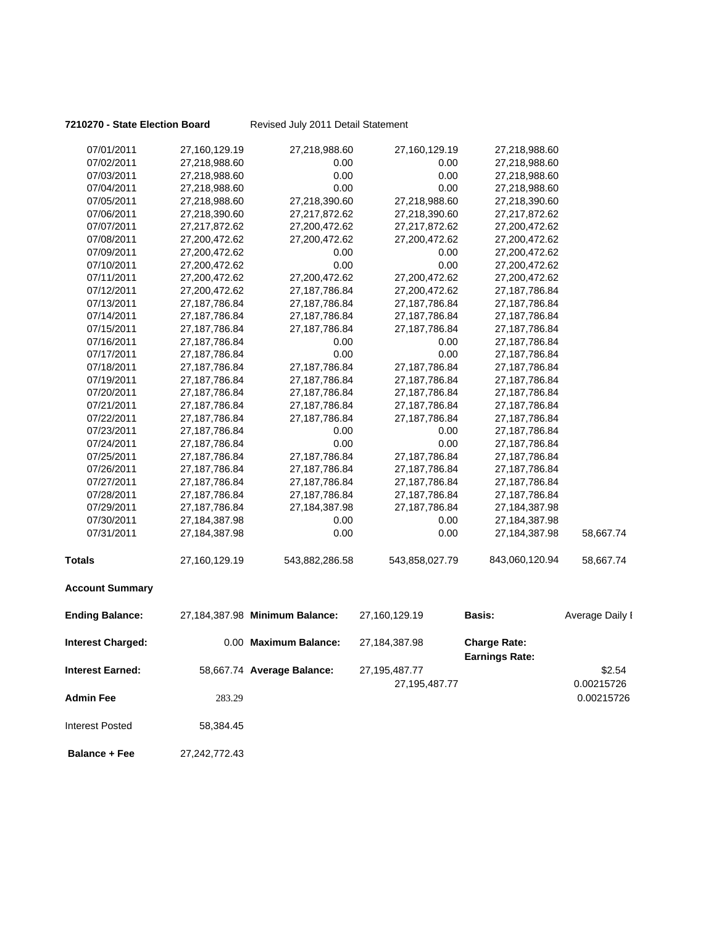**7210270 - State Election Board** Revised July 2011 Detail Statement

| 07/01/2011               | 27,160,129.19    | 27,218,988.60                  | 27,160,129.19    | 27,218,988.60                                |                 |
|--------------------------|------------------|--------------------------------|------------------|----------------------------------------------|-----------------|
| 07/02/2011               | 27,218,988.60    | 0.00                           | 0.00             | 27,218,988.60                                |                 |
| 07/03/2011               | 27,218,988.60    | 0.00                           | 0.00             | 27,218,988.60                                |                 |
| 07/04/2011               | 27,218,988.60    | 0.00                           | 0.00             | 27,218,988.60                                |                 |
| 07/05/2011               | 27,218,988.60    | 27,218,390.60                  | 27,218,988.60    | 27,218,390.60                                |                 |
| 07/06/2011               | 27,218,390.60    | 27,217,872.62                  | 27,218,390.60    | 27,217,872.62                                |                 |
| 07/07/2011               | 27,217,872.62    | 27,200,472.62                  | 27,217,872.62    | 27,200,472.62                                |                 |
| 07/08/2011               | 27,200,472.62    | 27,200,472.62                  | 27,200,472.62    | 27,200,472.62                                |                 |
| 07/09/2011               | 27,200,472.62    | 0.00                           | 0.00             | 27,200,472.62                                |                 |
| 07/10/2011               | 27,200,472.62    | 0.00                           | 0.00             | 27,200,472.62                                |                 |
| 07/11/2011               | 27,200,472.62    | 27,200,472.62                  | 27,200,472.62    | 27,200,472.62                                |                 |
| 07/12/2011               | 27,200,472.62    | 27, 187, 786. 84               | 27,200,472.62    | 27, 187, 786.84                              |                 |
| 07/13/2011               | 27, 187, 786.84  | 27, 187, 786. 84               | 27, 187, 786. 84 | 27, 187, 786.84                              |                 |
| 07/14/2011               | 27, 187, 786.84  | 27, 187, 786.84                | 27, 187, 786. 84 | 27, 187, 786.84                              |                 |
| 07/15/2011               | 27, 187, 786. 84 | 27, 187, 786.84                | 27, 187, 786. 84 | 27, 187, 786.84                              |                 |
| 07/16/2011               | 27, 187, 786.84  | 0.00                           | 0.00             | 27, 187, 786.84                              |                 |
| 07/17/2011               | 27, 187, 786.84  | 0.00                           | 0.00             | 27, 187, 786.84                              |                 |
| 07/18/2011               | 27, 187, 786.84  | 27, 187, 786.84                | 27, 187, 786. 84 | 27, 187, 786. 84                             |                 |
| 07/19/2011               | 27, 187, 786.84  | 27, 187, 786.84                | 27, 187, 786.84  | 27,187,786.84                                |                 |
| 07/20/2011               | 27, 187, 786.84  | 27, 187, 786.84                | 27, 187, 786. 84 | 27, 187, 786. 84                             |                 |
| 07/21/2011               | 27, 187, 786.84  | 27, 187, 786.84                | 27, 187, 786. 84 | 27, 187, 786.84                              |                 |
| 07/22/2011               | 27,187,786.84    | 27, 187, 786.84                | 27,187,786.84    | 27, 187, 786.84                              |                 |
| 07/23/2011               | 27, 187, 786.84  | 0.00                           | 0.00             | 27, 187, 786.84                              |                 |
| 07/24/2011               | 27, 187, 786.84  | 0.00                           | 0.00             | 27, 187, 786.84                              |                 |
| 07/25/2011               | 27, 187, 786.84  | 27, 187, 786.84                | 27, 187, 786.84  | 27, 187, 786. 84                             |                 |
| 07/26/2011               | 27, 187, 786. 84 | 27, 187, 786.84                | 27, 187, 786. 84 | 27, 187, 786.84                              |                 |
| 07/27/2011               | 27, 187, 786.84  | 27, 187, 786.84                | 27, 187, 786.84  | 27,187,786.84                                |                 |
| 07/28/2011               | 27, 187, 786.84  | 27, 187, 786.84                | 27, 187, 786. 84 | 27, 187, 786. 84                             |                 |
| 07/29/2011               | 27, 187, 786.84  | 27,184,387.98                  | 27, 187, 786. 84 | 27,184,387.98                                |                 |
| 07/30/2011               | 27,184,387.98    | 0.00                           | 0.00             | 27,184,387.98                                |                 |
| 07/31/2011               | 27,184,387.98    | 0.00                           | 0.00             | 27,184,387.98                                | 58,667.74       |
| Totals                   | 27,160,129.19    | 543,882,286.58                 | 543,858,027.79   | 843,060,120.94                               | 58,667.74       |
| <b>Account Summary</b>   |                  |                                |                  |                                              |                 |
| <b>Ending Balance:</b>   |                  | 27,184,387.98 Minimum Balance: | 27,160,129.19    | Basis:                                       | Average Daily I |
| <b>Interest Charged:</b> |                  | 0.00 Maximum Balance:          | 27,184,387.98    | <b>Charge Rate:</b><br><b>Earnings Rate:</b> |                 |
| Interest Earned:         |                  | 58,667.74 Average Balance:     | 27,195,487.77    |                                              | \$2.54          |
|                          |                  |                                | 27,195,487.77    |                                              | 0.00215726      |
| <b>Admin Fee</b>         | 283.29           |                                |                  |                                              | 0.00215726      |
|                          |                  |                                |                  |                                              |                 |
| <b>Interest Posted</b>   | 58,384.45        |                                |                  |                                              |                 |
| <b>Balance + Fee</b>     | 27,242,772.43    |                                |                  |                                              |                 |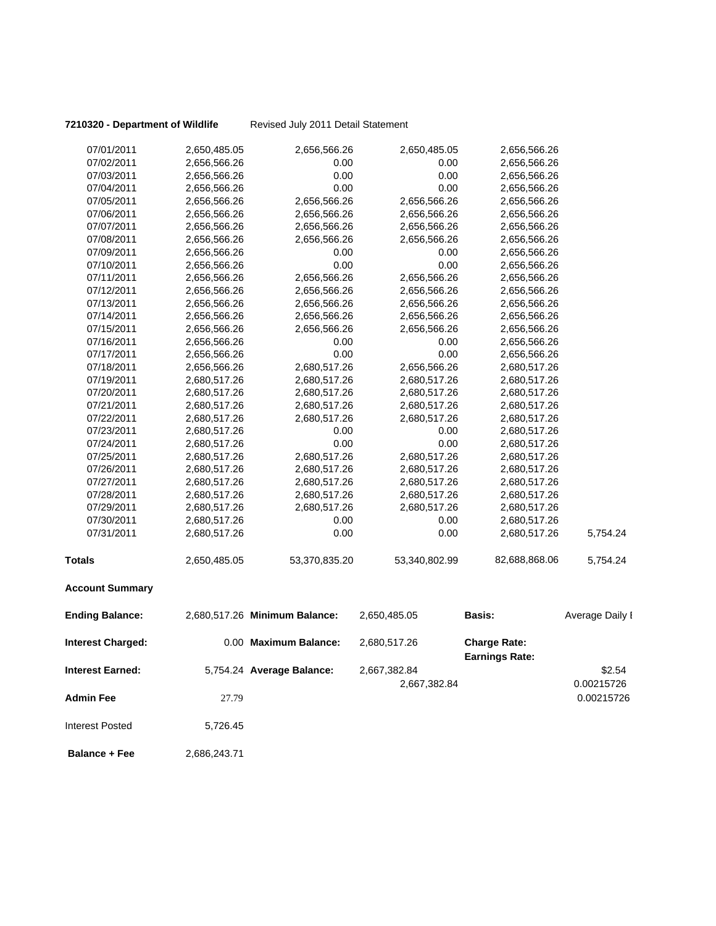**7210320 - Department of Wildlife** Revised July 2011 Detail Statement

| <b>Interest Posted</b>   | 5,726.45                     |                               |                              |                                              |                      |
|--------------------------|------------------------------|-------------------------------|------------------------------|----------------------------------------------|----------------------|
| <b>Admin Fee</b>         | 27.79                        |                               |                              |                                              | 0.00215726           |
| <b>Interest Earned:</b>  |                              | 5,754.24 Average Balance:     | 2,667,382.84<br>2,667,382.84 |                                              | \$2.54<br>0.00215726 |
| <b>Interest Charged:</b> |                              | 0.00 Maximum Balance:         | 2,680,517.26                 | <b>Charge Rate:</b><br><b>Earnings Rate:</b> |                      |
| <b>Ending Balance:</b>   |                              | 2,680,517.26 Minimum Balance: | 2,650,485.05                 | Basis:                                       | Average Daily I      |
| <b>Account Summary</b>   |                              |                               |                              |                                              |                      |
| <b>Totals</b>            | 2,650,485.05                 | 53,370,835.20                 | 53,340,802.99                | 82,688,868.06                                | 5,754.24             |
| 07/31/2011               | 2,680,517.26                 | 0.00                          | 0.00                         | 2,680,517.26                                 | 5,754.24             |
| 07/30/2011               | 2,680,517.26                 | 0.00                          | 0.00                         | 2,680,517.26                                 |                      |
| 07/29/2011               | 2,680,517.26                 | 2,680,517.26                  | 2,680,517.26                 | 2,680,517.26                                 |                      |
| 07/28/2011               | 2,680,517.26                 | 2,680,517.26                  | 2,680,517.26                 | 2,680,517.26                                 |                      |
| 07/27/2011               | 2,680,517.26                 | 2,680,517.26                  | 2,680,517.26                 | 2,680,517.26                                 |                      |
| 07/26/2011               | 2,680,517.26                 | 2,680,517.26                  | 2,680,517.26                 | 2,680,517.26                                 |                      |
| 07/25/2011               | 2,680,517.26                 | 2,680,517.26                  | 2,680,517.26                 | 2,680,517.26                                 |                      |
| 07/24/2011               | 2,680,517.26                 | 0.00                          | 0.00                         | 2,680,517.26                                 |                      |
| 07/23/2011               | 2,680,517.26                 | 0.00                          | 0.00                         | 2,680,517.26                                 |                      |
| 07/22/2011               | 2,680,517.26                 | 2,680,517.26                  | 2,680,517.26                 | 2,680,517.26                                 |                      |
| 07/21/2011               | 2,680,517.26                 | 2,680,517.26                  | 2,680,517.26                 | 2,680,517.26                                 |                      |
| 07/20/2011               | 2,680,517.26                 | 2,680,517.26                  | 2,680,517.26                 | 2,680,517.26                                 |                      |
| 07/19/2011               | 2,680,517.26                 | 2,680,517.26                  | 2,680,517.26                 | 2,680,517.26                                 |                      |
| 07/18/2011               | 2,656,566.26                 | 2,680,517.26                  | 2,656,566.26                 | 2,680,517.26                                 |                      |
| 07/17/2011               | 2,656,566.26                 | 0.00                          | 0.00                         | 2,656,566.26                                 |                      |
| 07/16/2011               | 2,656,566.26                 | 0.00                          | 0.00                         | 2,656,566.26                                 |                      |
| 07/15/2011               | 2,656,566.26                 | 2,656,566.26                  | 2,656,566.26                 | 2,656,566.26                                 |                      |
| 07/14/2011               | 2,656,566.26<br>2,656,566.26 | 2,656,566.26<br>2,656,566.26  | 2,656,566.26                 | 2,656,566.26<br>2,656,566.26                 |                      |
| 07/12/2011<br>07/13/2011 | 2,656,566.26                 | 2,656,566.26                  | 2,656,566.26<br>2,656,566.26 | 2,656,566.26                                 |                      |
| 07/11/2011               | 2,656,566.26                 | 2,656,566.26                  | 2,656,566.26                 | 2,656,566.26                                 |                      |
| 07/10/2011               | 2,656,566.26                 | 0.00                          | 0.00                         | 2,656,566.26                                 |                      |
| 07/09/2011               | 2,656,566.26                 | 0.00                          | 0.00                         | 2,656,566.26                                 |                      |
| 07/08/2011               | 2,656,566.26                 | 2,656,566.26                  | 2,656,566.26                 | 2,656,566.26                                 |                      |
| 07/07/2011               | 2,656,566.26                 | 2,656,566.26                  | 2,656,566.26                 | 2,656,566.26                                 |                      |
| 07/06/2011               | 2,656,566.26                 | 2,656,566.26                  | 2,656,566.26                 | 2,656,566.26                                 |                      |
| 07/05/2011               | 2,656,566.26                 | 2,656,566.26                  | 2,656,566.26                 | 2,656,566.26                                 |                      |
| 07/04/2011               | 2,656,566.26                 | 0.00                          | 0.00                         | 2,656,566.26                                 |                      |
| 07/03/2011               | 2,656,566.26                 | 0.00                          | 0.00                         | 2,656,566.26                                 |                      |
| 07/02/2011               | 2,656,566.26                 | 0.00                          | 0.00                         | 2,656,566.26                                 |                      |
| 07/01/2011               | 2,650,485.05                 | 2,656,566.26                  | 2,650,485.05                 | 2,656,566.26                                 |                      |
|                          |                              |                               |                              |                                              |                      |

**Balance + Fee** 2,686,243.71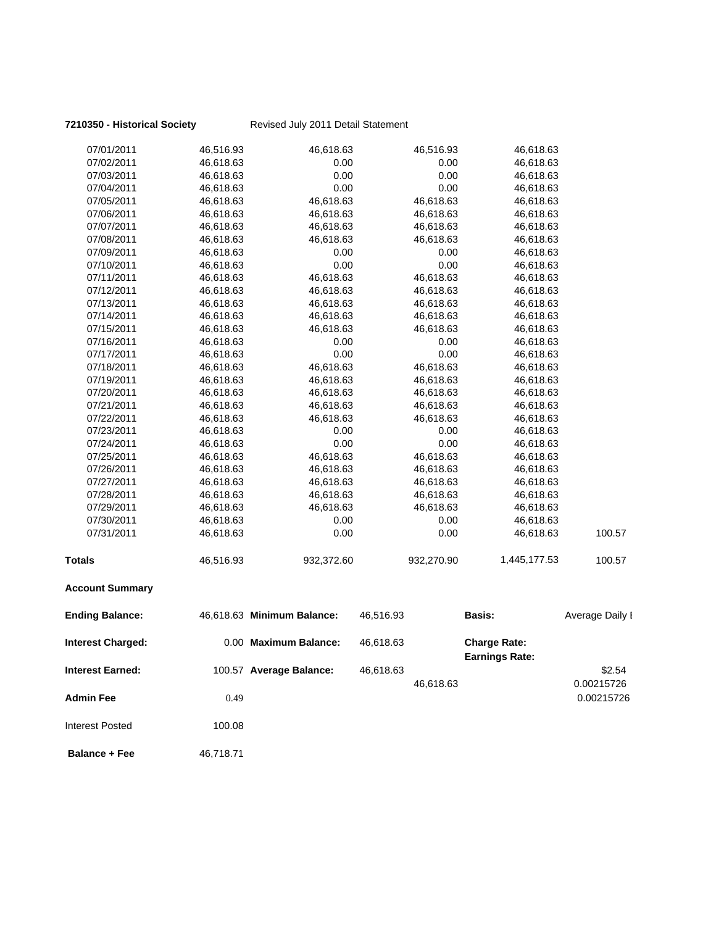## **7210350 - Historical Society** Revised July 2011 Detail Statement

| 07/01/2011               | 46,516.93 | 46,618.63                  |           | 46,516.93  | 46,618.63                                    |                          |
|--------------------------|-----------|----------------------------|-----------|------------|----------------------------------------------|--------------------------|
| 07/02/2011               | 46,618.63 | 0.00                       |           | 0.00       | 46,618.63                                    |                          |
| 07/03/2011               | 46,618.63 | 0.00                       |           | 0.00       | 46,618.63                                    |                          |
| 07/04/2011               | 46,618.63 | 0.00                       |           | 0.00       | 46,618.63                                    |                          |
| 07/05/2011               | 46,618.63 | 46,618.63                  |           | 46,618.63  | 46,618.63                                    |                          |
| 07/06/2011               | 46,618.63 | 46,618.63                  |           | 46,618.63  | 46,618.63                                    |                          |
| 07/07/2011               | 46,618.63 | 46,618.63                  |           | 46,618.63  | 46,618.63                                    |                          |
| 07/08/2011               | 46,618.63 | 46,618.63                  |           | 46,618.63  | 46,618.63                                    |                          |
| 07/09/2011               | 46,618.63 | 0.00                       |           | 0.00       | 46,618.63                                    |                          |
| 07/10/2011               | 46,618.63 | 0.00                       |           | 0.00       | 46,618.63                                    |                          |
| 07/11/2011               | 46,618.63 | 46,618.63                  |           | 46,618.63  | 46,618.63                                    |                          |
| 07/12/2011               | 46,618.63 | 46,618.63                  |           | 46,618.63  | 46,618.63                                    |                          |
| 07/13/2011               | 46,618.63 | 46,618.63                  |           | 46,618.63  | 46,618.63                                    |                          |
| 07/14/2011               | 46,618.63 | 46,618.63                  |           | 46,618.63  | 46,618.63                                    |                          |
| 07/15/2011               | 46,618.63 | 46,618.63                  |           | 46,618.63  | 46,618.63                                    |                          |
| 07/16/2011               | 46,618.63 | 0.00                       |           | 0.00       | 46,618.63                                    |                          |
| 07/17/2011               | 46,618.63 | 0.00                       |           | 0.00       | 46,618.63                                    |                          |
| 07/18/2011               | 46,618.63 | 46,618.63                  |           | 46,618.63  | 46,618.63                                    |                          |
| 07/19/2011               | 46,618.63 | 46,618.63                  |           | 46,618.63  | 46,618.63                                    |                          |
| 07/20/2011               | 46,618.63 | 46,618.63                  |           | 46,618.63  | 46,618.63                                    |                          |
| 07/21/2011               | 46,618.63 | 46,618.63                  |           | 46,618.63  | 46,618.63                                    |                          |
| 07/22/2011               | 46,618.63 | 46,618.63                  |           | 46,618.63  | 46,618.63                                    |                          |
| 07/23/2011               | 46,618.63 | 0.00                       |           | 0.00       | 46,618.63                                    |                          |
| 07/24/2011               | 46,618.63 | 0.00                       |           | 0.00       | 46,618.63                                    |                          |
| 07/25/2011               | 46,618.63 | 46,618.63                  |           | 46,618.63  | 46,618.63                                    |                          |
| 07/26/2011               | 46,618.63 | 46,618.63                  |           | 46,618.63  | 46,618.63                                    |                          |
| 07/27/2011               | 46,618.63 | 46,618.63                  |           | 46,618.63  | 46,618.63                                    |                          |
| 07/28/2011               | 46,618.63 | 46,618.63                  |           | 46,618.63  | 46,618.63                                    |                          |
| 07/29/2011               | 46,618.63 | 46,618.63                  |           | 46,618.63  | 46,618.63                                    |                          |
| 07/30/2011               | 46,618.63 | 0.00                       |           | 0.00       | 46,618.63                                    |                          |
| 07/31/2011               | 46,618.63 | 0.00                       |           | 0.00       | 46,618.63                                    | 100.57                   |
| <b>Totals</b>            | 46,516.93 | 932,372.60                 |           | 932,270.90 | 1,445,177.53                                 | 100.57                   |
| <b>Account Summary</b>   |           |                            |           |            |                                              |                          |
| <b>Ending Balance:</b>   |           | 46,618.63 Minimum Balance: | 46,516.93 |            | Basis:                                       | Average Daily I          |
| <b>Interest Charged:</b> |           | 0.00 Maximum Balance:      | 46,618.63 |            | <b>Charge Rate:</b><br><b>Earnings Rate:</b> |                          |
| Interest Earned:         |           | 100.57 Average Balance:    | 46,618.63 |            |                                              | \$2.54                   |
| Admin Fee                | 0.49      |                            |           | 46,618.63  |                                              | 0.00215726<br>0.00215726 |
| <b>Interest Posted</b>   | 100.08    |                            |           |            |                                              |                          |

**Balance + Fee** 46,718.71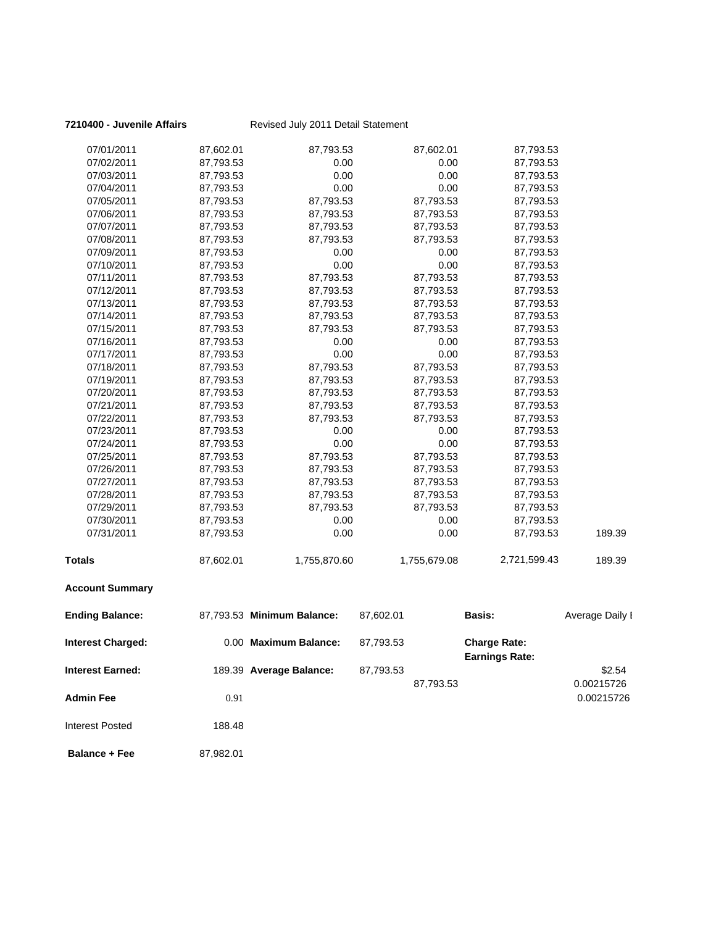| 07/01/2011               | 87,602.01 | 87,793.53                  | 87,602.01    | 87,793.53             |                 |
|--------------------------|-----------|----------------------------|--------------|-----------------------|-----------------|
| 07/02/2011               | 87,793.53 | 0.00                       | 0.00         | 87,793.53             |                 |
| 07/03/2011               | 87,793.53 | 0.00                       | 0.00         | 87,793.53             |                 |
| 07/04/2011               | 87,793.53 | 0.00                       | 0.00         | 87,793.53             |                 |
| 07/05/2011               | 87,793.53 | 87,793.53                  | 87,793.53    | 87,793.53             |                 |
| 07/06/2011               | 87,793.53 | 87,793.53                  | 87,793.53    | 87,793.53             |                 |
| 07/07/2011               | 87,793.53 | 87,793.53                  | 87,793.53    | 87,793.53             |                 |
| 07/08/2011               | 87,793.53 | 87,793.53                  | 87,793.53    | 87,793.53             |                 |
| 07/09/2011               | 87,793.53 | 0.00                       | 0.00         | 87,793.53             |                 |
| 07/10/2011               | 87,793.53 | 0.00                       | 0.00         | 87,793.53             |                 |
| 07/11/2011               | 87,793.53 | 87,793.53                  | 87,793.53    | 87,793.53             |                 |
| 07/12/2011               | 87,793.53 | 87,793.53                  | 87,793.53    | 87,793.53             |                 |
| 07/13/2011               | 87,793.53 | 87,793.53                  | 87,793.53    | 87,793.53             |                 |
| 07/14/2011               | 87,793.53 | 87,793.53                  | 87,793.53    | 87,793.53             |                 |
| 07/15/2011               | 87,793.53 | 87,793.53                  | 87,793.53    | 87,793.53             |                 |
| 07/16/2011               | 87,793.53 | 0.00                       | 0.00         | 87,793.53             |                 |
| 07/17/2011               | 87,793.53 | 0.00                       | 0.00         | 87,793.53             |                 |
| 07/18/2011               | 87,793.53 | 87,793.53                  | 87,793.53    | 87,793.53             |                 |
| 07/19/2011               | 87,793.53 | 87,793.53                  | 87,793.53    | 87,793.53             |                 |
| 07/20/2011               | 87,793.53 | 87,793.53                  | 87,793.53    | 87,793.53             |                 |
| 07/21/2011               | 87,793.53 | 87,793.53                  | 87,793.53    | 87,793.53             |                 |
| 07/22/2011               | 87,793.53 | 87,793.53                  | 87,793.53    | 87,793.53             |                 |
| 07/23/2011               | 87,793.53 | 0.00                       | 0.00         | 87,793.53             |                 |
| 07/24/2011               | 87,793.53 | 0.00                       | 0.00         | 87,793.53             |                 |
| 07/25/2011               | 87,793.53 | 87,793.53                  | 87,793.53    | 87,793.53             |                 |
| 07/26/2011               | 87,793.53 | 87,793.53                  | 87,793.53    | 87,793.53             |                 |
| 07/27/2011               | 87,793.53 | 87,793.53                  | 87,793.53    | 87,793.53             |                 |
| 07/28/2011               | 87,793.53 | 87,793.53                  | 87,793.53    | 87,793.53             |                 |
| 07/29/2011               | 87,793.53 | 87,793.53                  | 87,793.53    | 87,793.53             |                 |
| 07/30/2011               | 87,793.53 | 0.00                       | 0.00         | 87,793.53             |                 |
| 07/31/2011               | 87,793.53 | 0.00                       | 0.00         | 87,793.53             | 189.39          |
| <b>Totals</b>            | 87,602.01 | 1,755,870.60               | 1,755,679.08 | 2,721,599.43          | 189.39          |
| <b>Account Summary</b>   |           |                            |              |                       |                 |
| <b>Ending Balance:</b>   |           | 87,793.53 Minimum Balance: | 87,602.01    | Basis:                | Average Daily I |
| <b>Interest Charged:</b> |           | 0.00 Maximum Balance:      | 87,793.53    | <b>Charge Rate:</b>   |                 |
| <b>Interest Earned:</b>  |           | 189.39 Average Balance:    | 87,793.53    | <b>Earnings Rate:</b> | \$2.54          |
|                          |           |                            |              |                       | 0.00215726      |
|                          |           |                            | 87,793.53    |                       |                 |
| <b>Admin Fee</b>         | 0.91      |                            |              |                       | 0.00215726      |
| <b>Interest Posted</b>   | 188.48    |                            |              |                       |                 |
| <b>Balance + Fee</b>     | 87,982.01 |                            |              |                       |                 |

### **7210400 - Juvenile Affairs** Revised July 2011 Detail Statement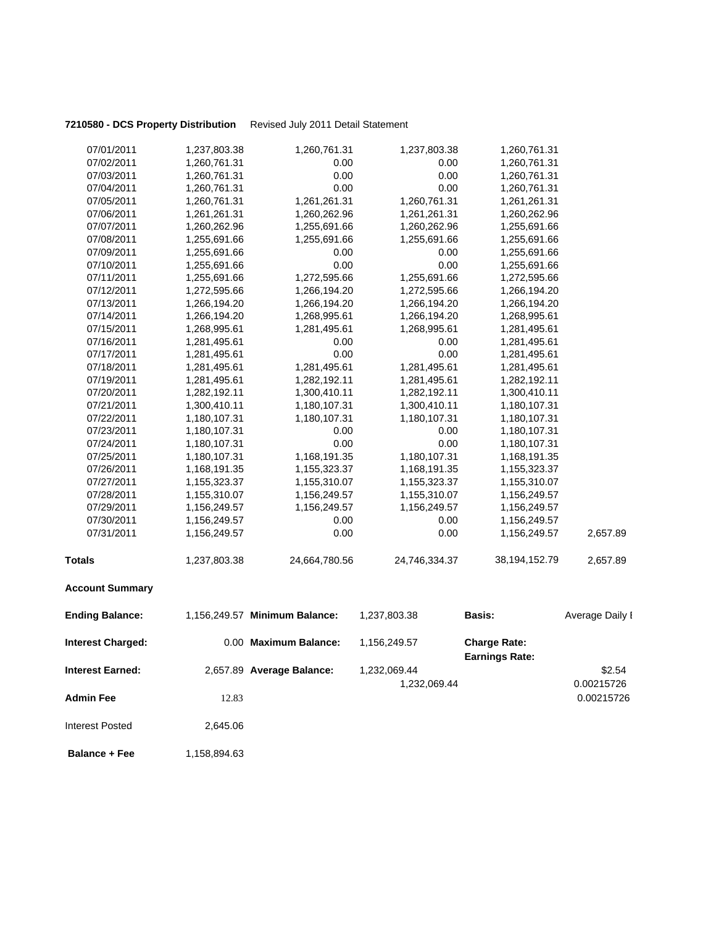### **7210580 - DCS Property Distribution** Revised July 2011 Detail Statement

| <b>Interest Earned:</b>  |              | 2,657.89 Average Balance:     | 1,232,069.44<br>1,232,069.44 |                                              | \$2.54<br>0.00215726 |
|--------------------------|--------------|-------------------------------|------------------------------|----------------------------------------------|----------------------|
| <b>Interest Charged:</b> |              | 0.00 Maximum Balance:         | 1,156,249.57                 | <b>Charge Rate:</b><br><b>Earnings Rate:</b> |                      |
| <b>Ending Balance:</b>   |              | 1,156,249.57 Minimum Balance: | 1,237,803.38                 | <b>Basis:</b>                                | Average Daily I      |
| <b>Account Summary</b>   |              |                               |                              |                                              |                      |
| <b>Totals</b>            | 1,237,803.38 | 24,664,780.56                 | 24,746,334.37                | 38,194,152.79                                | 2,657.89             |
| 07/31/2011               | 1,156,249.57 | 0.00                          | 0.00                         | 1,156,249.57                                 | 2,657.89             |
| 07/30/2011               | 1,156,249.57 | 0.00                          | 0.00                         | 1,156,249.57                                 |                      |
| 07/29/2011               | 1,156,249.57 | 1,156,249.57                  | 1,156,249.57                 | 1,156,249.57                                 |                      |
| 07/28/2011               | 1,155,310.07 | 1,156,249.57                  | 1,155,310.07                 | 1,156,249.57                                 |                      |
| 07/27/2011               | 1,155,323.37 | 1,155,310.07                  | 1,155,323.37                 | 1,155,310.07                                 |                      |
| 07/26/2011               | 1,168,191.35 | 1,155,323.37                  | 1,168,191.35                 | 1,155,323.37                                 |                      |
| 07/25/2011               | 1,180,107.31 | 1,168,191.35                  | 1,180,107.31                 | 1,168,191.35                                 |                      |
| 07/24/2011               | 1,180,107.31 | 0.00                          | 0.00                         | 1,180,107.31                                 |                      |
| 07/23/2011               | 1,180,107.31 | 0.00                          | 0.00                         | 1,180,107.31                                 |                      |
| 07/22/2011               | 1,180,107.31 | 1,180,107.31                  | 1,180,107.31                 | 1,180,107.31                                 |                      |
| 07/21/2011               | 1,300,410.11 | 1,180,107.31                  | 1,300,410.11                 | 1,180,107.31                                 |                      |
| 07/20/2011               | 1,282,192.11 | 1,300,410.11                  | 1,282,192.11                 | 1,300,410.11                                 |                      |
| 07/19/2011               | 1,281,495.61 | 1,282,192.11                  | 1,281,495.61                 | 1,282,192.11                                 |                      |
| 07/18/2011               | 1,281,495.61 | 1,281,495.61                  | 1,281,495.61                 | 1,281,495.61                                 |                      |
| 07/17/2011               | 1,281,495.61 | 0.00                          | 0.00                         | 1,281,495.61                                 |                      |
| 07/16/2011               | 1,281,495.61 | 0.00                          | 0.00                         | 1,281,495.61                                 |                      |
| 07/15/2011               | 1,268,995.61 | 1,281,495.61                  | 1,268,995.61                 | 1,281,495.61                                 |                      |
| 07/14/2011               | 1,266,194.20 | 1,268,995.61                  | 1,266,194.20                 | 1,268,995.61                                 |                      |
| 07/13/2011               | 1,266,194.20 | 1,266,194.20                  | 1,266,194.20                 | 1,266,194.20                                 |                      |
| 07/12/2011               | 1,272,595.66 | 1,266,194.20                  | 1,272,595.66                 | 1,266,194.20                                 |                      |
| 07/11/2011               | 1,255,691.66 | 1,272,595.66                  | 1,255,691.66                 | 1,272,595.66                                 |                      |
| 07/10/2011               | 1,255,691.66 | 0.00                          | 0.00                         | 1,255,691.66                                 |                      |
| 07/09/2011               | 1,255,691.66 | 0.00                          | 0.00                         | 1,255,691.66                                 |                      |
| 07/08/2011               | 1,255,691.66 | 1,255,691.66                  | 1,255,691.66                 | 1,255,691.66                                 |                      |
| 07/07/2011               | 1,260,262.96 | 1,255,691.66                  | 1,260,262.96                 | 1,255,691.66                                 |                      |
| 07/06/2011               | 1,261,261.31 | 1,260,262.96                  | 1,261,261.31                 | 1,260,262.96                                 |                      |
| 07/05/2011               | 1,260,761.31 | 1,261,261.31                  | 1,260,761.31                 | 1,261,261.31                                 |                      |
| 07/04/2011               | 1,260,761.31 | 0.00                          | 0.00                         | 1,260,761.31                                 |                      |
| 07/03/2011               | 1,260,761.31 | 0.00                          | 0.00                         | 1,260,761.31                                 |                      |
| 07/02/2011               | 1,260,761.31 | 0.00                          | 0.00                         | 1,260,761.31                                 |                      |
| 07/01/2011               | 1,237,803.38 | 1,260,761.31                  | 1,237,803.38                 | 1,260,761.31                                 |                      |
|                          |              |                               |                              |                                              |                      |

**Admin Fee** 200215726 22.83 22.83 22.83 22.83 22.83 22.83 22.83 22.83 22.83 22.83 22.83 22.83 22.83 22.83 22.83 22.83 22.83 22.83 22.83 22.83 22.83 22.83 22.83 22.83 22.83 22.83 22.83 22.83 22.83 22.83 22.83 22.83 22.83 22

**Balance + Fee** 1,158,894.63

Interest Posted 2,645.06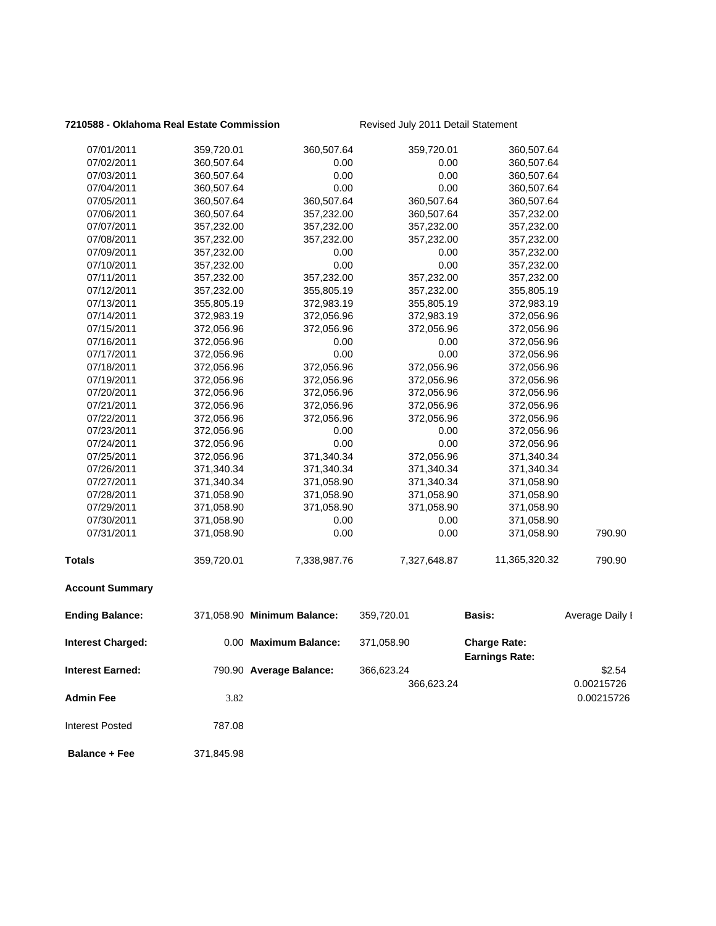### **7210588 - Oklahoma Real Estate Commission** Revised July 2011 Detail Statement

| <b>Admin Fee</b><br><b>Interest Posted</b> | 3.82<br>787.08           |                             |                          |                          | 0.00215726      |
|--------------------------------------------|--------------------------|-----------------------------|--------------------------|--------------------------|-----------------|
|                                            |                          |                             | 366,623.24               |                          | 0.00215726      |
| <b>Interest Earned:</b>                    |                          | 790.90 Average Balance:     | 366,623.24               | <b>Earnings Rate:</b>    | \$2.54          |
| <b>Interest Charged:</b>                   |                          | 0.00 Maximum Balance:       | 371,058.90               | <b>Charge Rate:</b>      |                 |
| <b>Ending Balance:</b>                     |                          | 371,058.90 Minimum Balance: | 359,720.01               | Basis:                   | Average Daily I |
| <b>Account Summary</b>                     |                          |                             |                          |                          |                 |
| <b>Totals</b>                              | 359,720.01               | 7,338,987.76                | 7,327,648.87             | 11,365,320.32            | 790.90          |
| 07/31/2011                                 | 371,058.90               | 0.00                        | 0.00                     | 371,058.90               | 790.90          |
| 07/30/2011                                 | 371,058.90               | 0.00                        | 0.00                     | 371,058.90               |                 |
| 07/29/2011                                 | 371,058.90               | 371,058.90                  | 371,058.90               | 371,058.90               |                 |
| 07/28/2011                                 | 371,058.90               | 371,058.90                  | 371,058.90               | 371,058.90               |                 |
| 07/27/2011                                 | 371,340.34               | 371,058.90                  | 371,340.34               | 371,058.90               |                 |
| 07/26/2011                                 | 371,340.34               | 371,340.34                  | 371,340.34               | 371,340.34               |                 |
| 07/25/2011                                 | 372,056.96               | 371,340.34                  | 372,056.96               | 371,340.34               |                 |
| 07/24/2011                                 | 372,056.96               | 0.00                        | 0.00                     | 372,056.96               |                 |
| 07/23/2011                                 | 372,056.96               | 0.00                        | 0.00                     | 372,056.96               |                 |
| 07/22/2011                                 | 372,056.96               | 372,056.96                  | 372,056.96               | 372,056.96               |                 |
| 07/21/2011                                 | 372,056.96               | 372,056.96                  | 372,056.96               | 372,056.96               |                 |
| 07/20/2011                                 | 372,056.96               | 372,056.96                  | 372,056.96               | 372,056.96               |                 |
| 07/19/2011                                 | 372,056.96               | 372,056.96                  | 372,056.96               | 372,056.96               |                 |
| 07/18/2011                                 | 372,056.96               | 372,056.96                  | 372,056.96               | 372,056.96               |                 |
| 07/17/2011                                 | 372,056.96               | 0.00                        | 0.00                     | 372,056.96               |                 |
| 07/16/2011                                 | 372,056.96               | 0.00                        | 0.00                     | 372,056.96               |                 |
| 07/15/2011                                 | 372,056.96               | 372,056.96                  | 372,056.96               | 372,056.96               |                 |
| 07/14/2011                                 | 372,983.19               | 372,056.96                  | 372,983.19               | 372,056.96               |                 |
| 07/13/2011                                 | 355,805.19               | 372,983.19                  | 355,805.19               | 372,983.19               |                 |
| 07/12/2011                                 | 357,232.00               | 355,805.19                  | 357,232.00               | 355,805.19               |                 |
| 07/11/2011                                 | 357,232.00               | 357,232.00                  | 357,232.00               | 357,232.00               |                 |
| 07/10/2011                                 | 357,232.00               | 0.00                        | 0.00                     | 357,232.00               |                 |
| 07/09/2011                                 | 357,232.00               | 0.00                        | 0.00                     | 357,232.00               |                 |
| 07/08/2011                                 | 357,232.00               | 357,232.00                  | 357,232.00               | 357,232.00               |                 |
| 07/07/2011                                 | 357,232.00               | 357,232.00                  | 357,232.00               | 357,232.00               |                 |
| 07/06/2011                                 | 360,507.64               | 357,232.00                  | 360,507.64<br>360,507.64 | 360,507.64<br>357,232.00 |                 |
| 07/04/2011<br>07/05/2011                   | 360,507.64<br>360,507.64 | 0.00<br>360,507.64          | 0.00                     | 360,507.64               |                 |
| 07/03/2011                                 | 360,507.64               | 0.00                        | 0.00                     | 360,507.64               |                 |
| 07/02/2011                                 | 360,507.64               | 0.00                        | 0.00                     | 360,507.64               |                 |
| 07/01/2011                                 | 359,720.01               | 360,507.64                  | 359,720.01               | 360,507.64               |                 |
|                                            |                          |                             |                          |                          |                 |

 **Balance + Fee** 371,845.98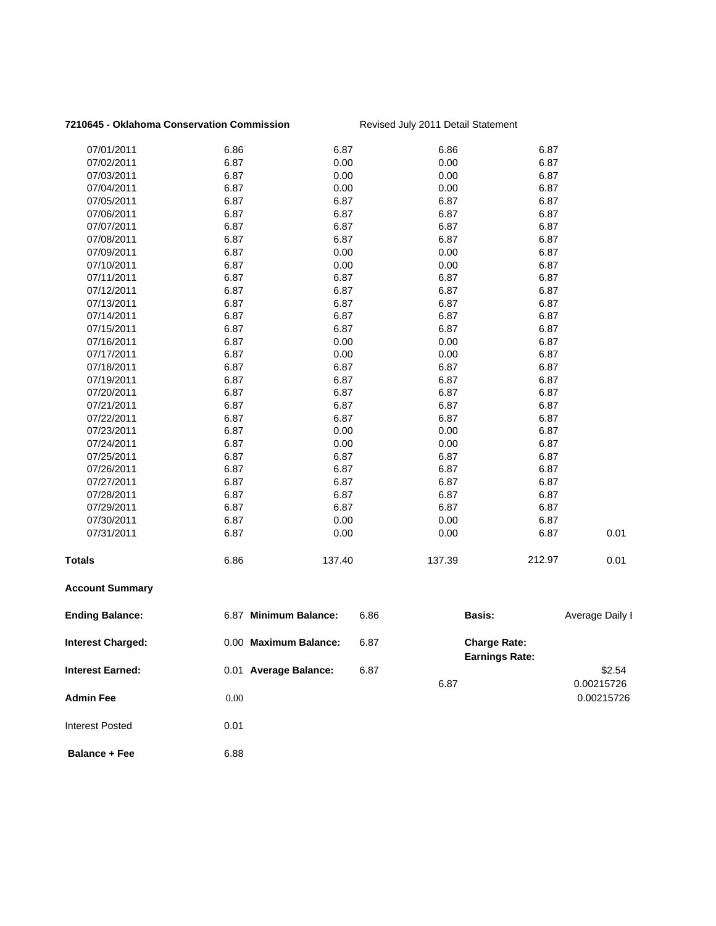### **7210645 - Oklahoma Conservation Commission** Revised July 2011 Detail Statement

| 07/01/2011               | 6.86 | 6.87                  |      | 6.86          | 6.87                                         |                 |
|--------------------------|------|-----------------------|------|---------------|----------------------------------------------|-----------------|
| 07/02/2011               | 6.87 | 0.00                  |      | 0.00          | 6.87                                         |                 |
| 07/03/2011               | 6.87 | 0.00                  |      | 0.00          | 6.87                                         |                 |
| 07/04/2011               | 6.87 | 0.00                  |      | 0.00          | 6.87                                         |                 |
| 07/05/2011               | 6.87 | 6.87                  |      | 6.87          | 6.87                                         |                 |
| 07/06/2011               | 6.87 | 6.87                  |      | 6.87          | 6.87                                         |                 |
| 07/07/2011               | 6.87 | 6.87                  |      | 6.87          | 6.87                                         |                 |
| 07/08/2011               | 6.87 | 6.87                  |      | 6.87          | 6.87                                         |                 |
| 07/09/2011               | 6.87 | 0.00                  |      | 0.00          | 6.87                                         |                 |
| 07/10/2011               | 6.87 | 0.00                  |      | 0.00          | 6.87                                         |                 |
| 07/11/2011               | 6.87 | 6.87                  |      | 6.87          | 6.87                                         |                 |
| 07/12/2011               | 6.87 | 6.87                  |      | 6.87          | 6.87                                         |                 |
| 07/13/2011               | 6.87 | 6.87                  |      | 6.87          | 6.87                                         |                 |
| 07/14/2011               | 6.87 | 6.87                  |      | 6.87          | 6.87                                         |                 |
| 07/15/2011               | 6.87 | 6.87                  |      | 6.87          | 6.87                                         |                 |
| 07/16/2011               | 6.87 | 0.00                  |      | 0.00          | 6.87                                         |                 |
| 07/17/2011               | 6.87 | 0.00                  |      | 0.00          | 6.87                                         |                 |
| 07/18/2011               | 6.87 | 6.87                  |      | 6.87          | 6.87                                         |                 |
| 07/19/2011               | 6.87 | 6.87                  |      | 6.87          | 6.87                                         |                 |
| 07/20/2011               | 6.87 | 6.87                  |      | 6.87          | 6.87                                         |                 |
| 07/21/2011               | 6.87 | 6.87                  |      | 6.87          | 6.87                                         |                 |
| 07/22/2011               | 6.87 | 6.87                  |      | 6.87          | 6.87                                         |                 |
| 07/23/2011               | 6.87 | 0.00                  |      | 0.00          | 6.87                                         |                 |
| 07/24/2011               | 6.87 | 0.00                  |      | 0.00          | 6.87                                         |                 |
| 07/25/2011               | 6.87 | 6.87                  |      | 6.87          | 6.87                                         |                 |
| 07/26/2011               | 6.87 | 6.87                  |      | 6.87          | 6.87                                         |                 |
| 07/27/2011               | 6.87 | 6.87                  |      | 6.87          | 6.87                                         |                 |
| 07/28/2011               | 6.87 | 6.87                  |      | 6.87          | 6.87                                         |                 |
| 07/29/2011               | 6.87 | 6.87                  |      | 6.87          | 6.87                                         |                 |
| 07/30/2011               | 6.87 | 0.00                  |      | 0.00          | 6.87                                         |                 |
| 07/31/2011               | 6.87 | 0.00                  |      | 0.00          | 6.87                                         | 0.01            |
| Totals                   | 6.86 | 137.40                |      | 137.39        | 212.97                                       | 0.01            |
| <b>Account Summary</b>   |      |                       |      |               |                                              |                 |
| <b>Ending Balance:</b>   |      | 6.87 Minimum Balance: | 6.86 | <b>Basis:</b> |                                              | Average Daily I |
| <b>Interest Charged:</b> |      | 0.00 Maximum Balance: | 6.87 |               | <b>Charge Rate:</b><br><b>Earnings Rate:</b> |                 |
| Interest Earned:         |      | 0.01 Average Balance: | 6.87 |               |                                              | \$2.54          |
|                          |      |                       |      | 6.87          |                                              | 0.00215726      |
|                          |      |                       |      |               |                                              |                 |
| Admin Fee                | 0.00 |                       |      |               |                                              | 0.00215726      |
| <b>Interest Posted</b>   | 0.01 |                       |      |               |                                              |                 |
| <b>Balance + Fee</b>     | 6.88 |                       |      |               |                                              |                 |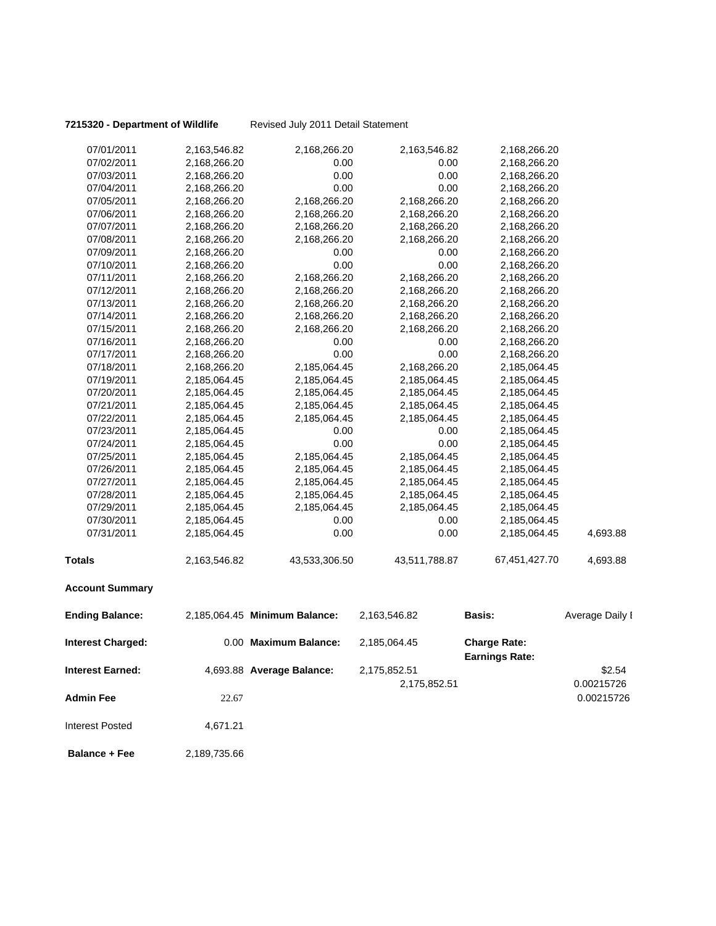**7215320 - Department of Wildlife** Revised July 2011 Detail Statement

| 07/01/2011               | 2,163,546.82 | 2,168,266.20                  | 2,163,546.82  | 2,168,266.20                                 |                 |
|--------------------------|--------------|-------------------------------|---------------|----------------------------------------------|-----------------|
| 07/02/2011               | 2,168,266.20 | 0.00                          | 0.00          | 2,168,266.20                                 |                 |
| 07/03/2011               | 2,168,266.20 | 0.00                          | 0.00          | 2,168,266.20                                 |                 |
| 07/04/2011               | 2,168,266.20 | 0.00                          | 0.00          | 2,168,266.20                                 |                 |
| 07/05/2011               | 2,168,266.20 | 2,168,266.20                  | 2,168,266.20  | 2,168,266.20                                 |                 |
| 07/06/2011               | 2,168,266.20 | 2,168,266.20                  | 2,168,266.20  | 2,168,266.20                                 |                 |
| 07/07/2011               | 2,168,266.20 | 2,168,266.20                  | 2,168,266.20  | 2,168,266.20                                 |                 |
| 07/08/2011               | 2,168,266.20 | 2,168,266.20                  | 2,168,266.20  | 2,168,266.20                                 |                 |
| 07/09/2011               | 2,168,266.20 | 0.00                          | 0.00          | 2,168,266.20                                 |                 |
| 07/10/2011               | 2,168,266.20 | 0.00                          | 0.00          | 2,168,266.20                                 |                 |
| 07/11/2011               | 2,168,266.20 | 2,168,266.20                  | 2,168,266.20  | 2,168,266.20                                 |                 |
| 07/12/2011               | 2,168,266.20 | 2,168,266.20                  | 2,168,266.20  | 2,168,266.20                                 |                 |
| 07/13/2011               | 2,168,266.20 | 2,168,266.20                  | 2,168,266.20  | 2,168,266.20                                 |                 |
| 07/14/2011               | 2,168,266.20 | 2,168,266.20                  | 2,168,266.20  | 2,168,266.20                                 |                 |
| 07/15/2011               | 2,168,266.20 | 2,168,266.20                  | 2,168,266.20  | 2,168,266.20                                 |                 |
| 07/16/2011               | 2,168,266.20 | 0.00                          | 0.00          | 2,168,266.20                                 |                 |
| 07/17/2011               | 2,168,266.20 | 0.00                          | 0.00          | 2,168,266.20                                 |                 |
| 07/18/2011               | 2,168,266.20 | 2,185,064.45                  | 2,168,266.20  | 2,185,064.45                                 |                 |
| 07/19/2011               | 2,185,064.45 | 2,185,064.45                  | 2,185,064.45  | 2,185,064.45                                 |                 |
| 07/20/2011               | 2,185,064.45 | 2,185,064.45                  | 2,185,064.45  | 2,185,064.45                                 |                 |
| 07/21/2011               | 2,185,064.45 | 2,185,064.45                  | 2,185,064.45  | 2,185,064.45                                 |                 |
| 07/22/2011               | 2,185,064.45 | 2,185,064.45                  | 2,185,064.45  | 2,185,064.45                                 |                 |
| 07/23/2011               | 2,185,064.45 | 0.00                          | 0.00          | 2,185,064.45                                 |                 |
| 07/24/2011               | 2,185,064.45 | 0.00                          | 0.00          | 2,185,064.45                                 |                 |
| 07/25/2011               | 2,185,064.45 | 2,185,064.45                  | 2,185,064.45  | 2,185,064.45                                 |                 |
| 07/26/2011               | 2,185,064.45 | 2,185,064.45                  | 2,185,064.45  | 2,185,064.45                                 |                 |
| 07/27/2011               | 2,185,064.45 | 2,185,064.45                  | 2,185,064.45  | 2,185,064.45                                 |                 |
| 07/28/2011               | 2,185,064.45 | 2,185,064.45                  | 2,185,064.45  | 2,185,064.45                                 |                 |
| 07/29/2011               | 2,185,064.45 | 2,185,064.45                  | 2,185,064.45  | 2,185,064.45                                 |                 |
| 07/30/2011               | 2,185,064.45 | 0.00                          | 0.00          | 2,185,064.45                                 |                 |
| 07/31/2011               | 2,185,064.45 | 0.00                          | 0.00          | 2,185,064.45                                 | 4,693.88        |
| <b>Totals</b>            | 2,163,546.82 | 43,533,306.50                 | 43,511,788.87 | 67,451,427.70                                | 4,693.88        |
| <b>Account Summary</b>   |              |                               |               |                                              |                 |
| <b>Ending Balance:</b>   |              | 2,185,064.45 Minimum Balance: | 2,163,546.82  | Basis:                                       | Average Daily I |
| <b>Interest Charged:</b> |              | 0.00 Maximum Balance:         | 2,185,064.45  | <b>Charge Rate:</b><br><b>Earnings Rate:</b> |                 |
| Interest Earned:         |              | 4,693.88 Average Balance:     | 2,175,852.51  |                                              | \$2.54          |
|                          |              |                               | 2,175,852.51  |                                              | 0.00215726      |
| <b>Admin Fee</b>         | 22.67        |                               |               |                                              | 0.00215726      |
| <b>Interest Posted</b>   | 4,671.21     |                               |               |                                              |                 |
|                          |              |                               |               |                                              |                 |

**Balance + Fee** 2,189,735.66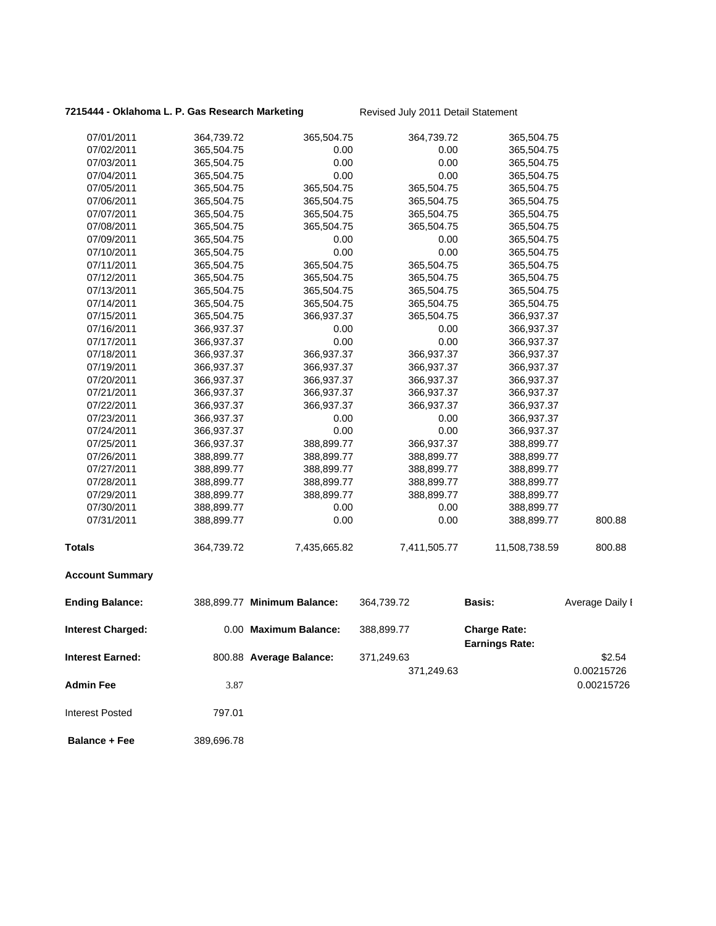### **7215444 - Oklahoma L. P. Gas Research Marketing** Revised July 2011 Detail Statement

| 07/01/2011               | 364,739.72 | 365,504.75                  | 364,739.72   | 365,504.75                                   |                 |
|--------------------------|------------|-----------------------------|--------------|----------------------------------------------|-----------------|
| 07/02/2011               | 365,504.75 | 0.00                        | 0.00         | 365,504.75                                   |                 |
| 07/03/2011               | 365,504.75 | 0.00                        | 0.00         | 365,504.75                                   |                 |
| 07/04/2011               | 365,504.75 | 0.00                        | 0.00         | 365,504.75                                   |                 |
| 07/05/2011               | 365,504.75 | 365,504.75                  | 365,504.75   | 365,504.75                                   |                 |
| 07/06/2011               | 365,504.75 | 365,504.75                  | 365,504.75   | 365,504.75                                   |                 |
| 07/07/2011               | 365,504.75 | 365,504.75                  | 365,504.75   | 365,504.75                                   |                 |
| 07/08/2011               | 365,504.75 | 365,504.75                  | 365,504.75   | 365,504.75                                   |                 |
| 07/09/2011               | 365,504.75 | 0.00                        | 0.00         | 365,504.75                                   |                 |
| 07/10/2011               | 365,504.75 | 0.00                        | 0.00         | 365,504.75                                   |                 |
| 07/11/2011               | 365,504.75 | 365,504.75                  | 365,504.75   | 365,504.75                                   |                 |
| 07/12/2011               | 365,504.75 | 365,504.75                  | 365,504.75   | 365,504.75                                   |                 |
| 07/13/2011               | 365,504.75 | 365,504.75                  | 365,504.75   | 365,504.75                                   |                 |
| 07/14/2011               | 365,504.75 | 365,504.75                  | 365,504.75   | 365,504.75                                   |                 |
| 07/15/2011               | 365,504.75 | 366,937.37                  | 365,504.75   | 366,937.37                                   |                 |
| 07/16/2011               | 366,937.37 | 0.00                        | 0.00         | 366,937.37                                   |                 |
| 07/17/2011               | 366,937.37 | 0.00                        | 0.00         | 366,937.37                                   |                 |
| 07/18/2011               | 366,937.37 | 366,937.37                  | 366,937.37   | 366,937.37                                   |                 |
| 07/19/2011               | 366,937.37 | 366,937.37                  | 366,937.37   | 366,937.37                                   |                 |
| 07/20/2011               | 366,937.37 | 366,937.37                  | 366,937.37   | 366,937.37                                   |                 |
| 07/21/2011               | 366,937.37 | 366,937.37                  | 366,937.37   | 366,937.37                                   |                 |
| 07/22/2011               | 366,937.37 | 366,937.37                  | 366,937.37   | 366,937.37                                   |                 |
| 07/23/2011               | 366,937.37 | 0.00                        | 0.00         | 366,937.37                                   |                 |
| 07/24/2011               | 366,937.37 | 0.00                        | 0.00         | 366,937.37                                   |                 |
| 07/25/2011               | 366,937.37 | 388,899.77                  | 366,937.37   | 388,899.77                                   |                 |
| 07/26/2011               | 388,899.77 | 388,899.77                  | 388,899.77   | 388,899.77                                   |                 |
| 07/27/2011               | 388,899.77 | 388,899.77                  | 388,899.77   | 388,899.77                                   |                 |
| 07/28/2011               | 388,899.77 | 388,899.77                  | 388,899.77   | 388,899.77                                   |                 |
| 07/29/2011               | 388,899.77 | 388,899.77                  | 388,899.77   | 388,899.77                                   |                 |
| 07/30/2011               | 388,899.77 | 0.00                        | 0.00         | 388,899.77                                   |                 |
| 07/31/2011               | 388,899.77 | 0.00                        | 0.00         | 388,899.77                                   | 800.88          |
| <b>Totals</b>            | 364,739.72 | 7,435,665.82                | 7,411,505.77 | 11,508,738.59                                | 800.88          |
| <b>Account Summary</b>   |            |                             |              |                                              |                 |
| <b>Ending Balance:</b>   |            | 388,899.77 Minimum Balance: | 364,739.72   | <b>Basis:</b>                                | Average Daily I |
| <b>Interest Charged:</b> |            | 0.00 Maximum Balance:       | 388,899.77   | <b>Charge Rate:</b><br><b>Earnings Rate:</b> |                 |
| <b>Interest Earned:</b>  |            | 800.88 Average Balance:     | 371,249.63   |                                              | \$2.54          |
|                          |            |                             | 371,249.63   |                                              | 0.00215726      |
| <b>Admin Fee</b>         | 3.87       |                             |              |                                              | 0.00215726      |
|                          |            |                             |              |                                              |                 |
| <b>Interest Posted</b>   | 797.01     |                             |              |                                              |                 |
| <b>Balance + Fee</b>     | 389,696.78 |                             |              |                                              |                 |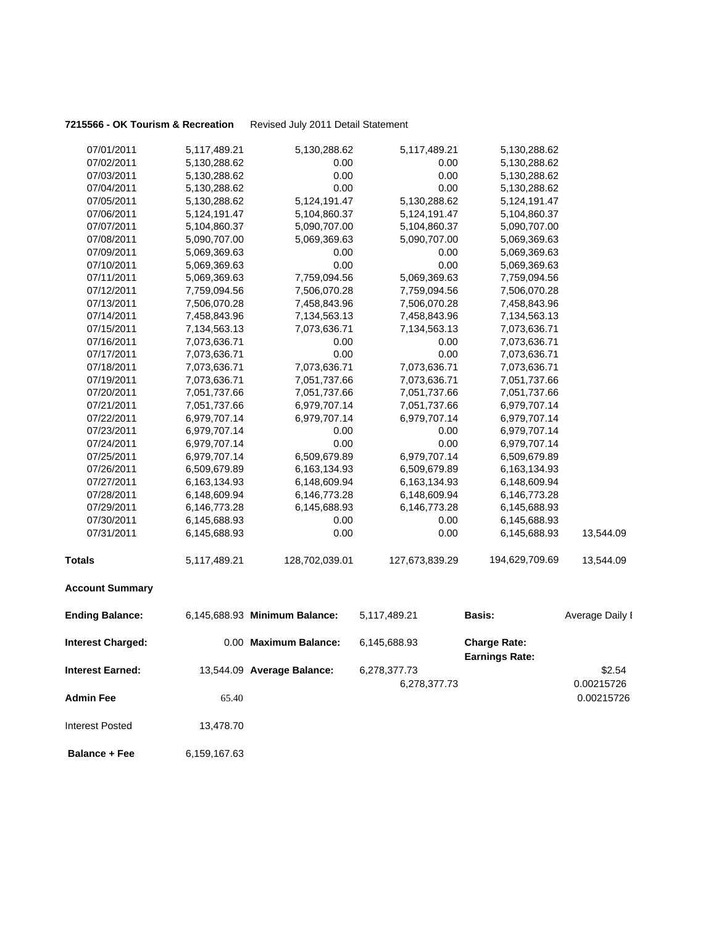### **7215566 - OK Tourism & Recreation** Revised July 2011 Detail Statement

| 07/01/2011               | 5,117,489.21 | 5,130,288.62                  | 5,117,489.21   | 5,130,288.62                                 |                 |
|--------------------------|--------------|-------------------------------|----------------|----------------------------------------------|-----------------|
| 07/02/2011               | 5,130,288.62 | 0.00                          | 0.00           | 5,130,288.62                                 |                 |
| 07/03/2011               | 5,130,288.62 | 0.00                          | 0.00           | 5,130,288.62                                 |                 |
| 07/04/2011               | 5,130,288.62 | 0.00                          | 0.00           | 5,130,288.62                                 |                 |
| 07/05/2011               | 5,130,288.62 | 5,124,191.47                  | 5,130,288.62   | 5,124,191.47                                 |                 |
| 07/06/2011               | 5,124,191.47 | 5,104,860.37                  | 5,124,191.47   | 5,104,860.37                                 |                 |
| 07/07/2011               | 5,104,860.37 | 5,090,707.00                  | 5,104,860.37   | 5,090,707.00                                 |                 |
| 07/08/2011               | 5,090,707.00 | 5,069,369.63                  | 5,090,707.00   | 5,069,369.63                                 |                 |
| 07/09/2011               | 5,069,369.63 | 0.00                          | 0.00           | 5,069,369.63                                 |                 |
| 07/10/2011               | 5,069,369.63 | 0.00                          | 0.00           | 5,069,369.63                                 |                 |
| 07/11/2011               | 5,069,369.63 | 7,759,094.56                  | 5,069,369.63   | 7,759,094.56                                 |                 |
| 07/12/2011               | 7,759,094.56 | 7,506,070.28                  | 7,759,094.56   | 7,506,070.28                                 |                 |
| 07/13/2011               | 7,506,070.28 | 7,458,843.96                  | 7,506,070.28   | 7,458,843.96                                 |                 |
| 07/14/2011               | 7,458,843.96 | 7,134,563.13                  | 7,458,843.96   | 7,134,563.13                                 |                 |
| 07/15/2011               | 7,134,563.13 | 7,073,636.71                  | 7,134,563.13   | 7,073,636.71                                 |                 |
| 07/16/2011               | 7,073,636.71 | 0.00                          | 0.00           | 7,073,636.71                                 |                 |
| 07/17/2011               | 7,073,636.71 | 0.00                          | 0.00           | 7,073,636.71                                 |                 |
| 07/18/2011               | 7,073,636.71 | 7,073,636.71                  | 7,073,636.71   | 7,073,636.71                                 |                 |
| 07/19/2011               | 7,073,636.71 | 7,051,737.66                  | 7,073,636.71   | 7,051,737.66                                 |                 |
| 07/20/2011               | 7,051,737.66 | 7,051,737.66                  | 7,051,737.66   | 7,051,737.66                                 |                 |
| 07/21/2011               | 7,051,737.66 | 6,979,707.14                  | 7,051,737.66   | 6,979,707.14                                 |                 |
| 07/22/2011               | 6,979,707.14 | 6,979,707.14                  | 6,979,707.14   | 6,979,707.14                                 |                 |
| 07/23/2011               | 6,979,707.14 | 0.00                          | 0.00           | 6,979,707.14                                 |                 |
| 07/24/2011               | 6,979,707.14 | 0.00                          | 0.00           | 6,979,707.14                                 |                 |
| 07/25/2011               | 6,979,707.14 | 6,509,679.89                  | 6,979,707.14   | 6,509,679.89                                 |                 |
| 07/26/2011               | 6,509,679.89 | 6,163,134.93                  | 6,509,679.89   | 6,163,134.93                                 |                 |
| 07/27/2011               | 6,163,134.93 | 6,148,609.94                  | 6,163,134.93   | 6,148,609.94                                 |                 |
| 07/28/2011               | 6,148,609.94 | 6,146,773.28                  | 6,148,609.94   | 6,146,773.28                                 |                 |
| 07/29/2011               | 6,146,773.28 | 6,145,688.93                  | 6,146,773.28   | 6,145,688.93                                 |                 |
| 07/30/2011               | 6,145,688.93 | 0.00                          | 0.00           | 6,145,688.93                                 |                 |
| 07/31/2011               | 6,145,688.93 | 0.00                          | 0.00           | 6,145,688.93                                 | 13,544.09       |
| <b>Totals</b>            | 5,117,489.21 | 128,702,039.01                | 127,673,839.29 | 194,629,709.69                               | 13,544.09       |
| <b>Account Summary</b>   |              |                               |                |                                              |                 |
| <b>Ending Balance:</b>   |              | 6,145,688.93 Minimum Balance: | 5,117,489.21   | <b>Basis:</b>                                | Average Daily I |
| <b>Interest Charged:</b> |              | 0.00 Maximum Balance:         | 6,145,688.93   | <b>Charge Rate:</b><br><b>Earnings Rate:</b> |                 |
| Interest Earned:         |              | 13,544.09 Average Balance:    | 6,278,377.73   |                                              | \$2.54          |
|                          |              |                               | 6,278,377.73   |                                              |                 |
|                          |              |                               |                |                                              | 0.00215726      |
| <b>Admin Fee</b>         | 65.40        |                               |                |                                              | 0.00215726      |
| <b>Interest Posted</b>   | 13,478.70    |                               |                |                                              |                 |
| <b>Balance + Fee</b>     | 6,159,167.63 |                               |                |                                              |                 |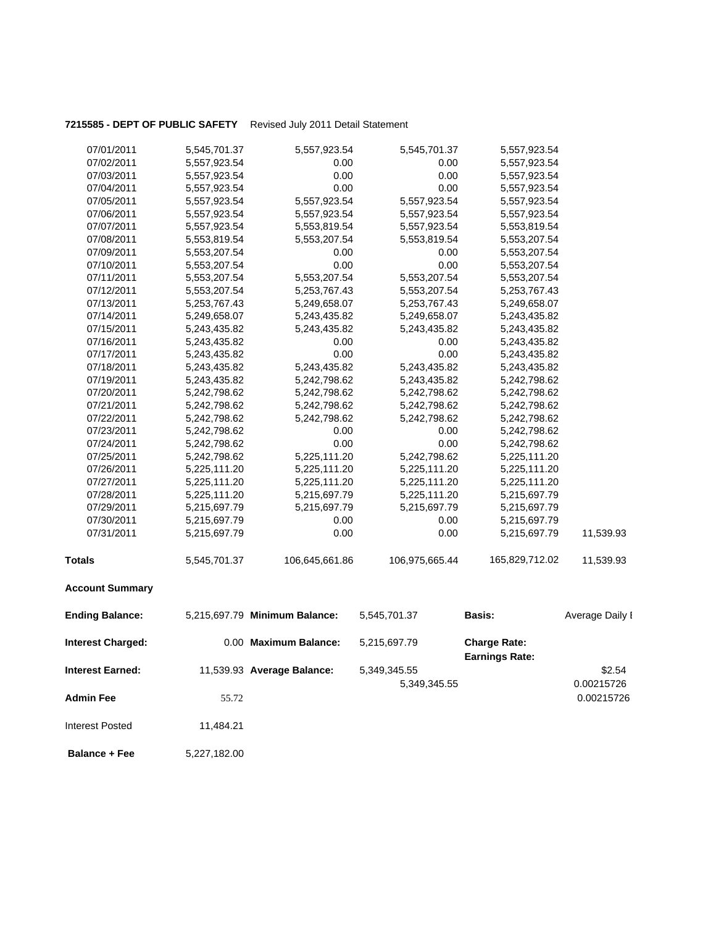### **7215585 - DEPT OF PUBLIC SAFETY** Revised July 2011 Detail Statement

| 07/01/2011               | 5,545,701.37 | 5,557,923.54                  | 5,545,701.37   | 5,557,923.54                                 |                 |
|--------------------------|--------------|-------------------------------|----------------|----------------------------------------------|-----------------|
| 07/02/2011               | 5,557,923.54 | 0.00                          | 0.00           | 5,557,923.54                                 |                 |
| 07/03/2011               | 5,557,923.54 | 0.00                          | 0.00           | 5,557,923.54                                 |                 |
| 07/04/2011               | 5,557,923.54 | 0.00                          | 0.00           | 5,557,923.54                                 |                 |
| 07/05/2011               | 5,557,923.54 | 5,557,923.54                  | 5,557,923.54   | 5,557,923.54                                 |                 |
| 07/06/2011               | 5,557,923.54 | 5,557,923.54                  | 5,557,923.54   | 5,557,923.54                                 |                 |
| 07/07/2011               | 5,557,923.54 | 5,553,819.54                  | 5,557,923.54   | 5,553,819.54                                 |                 |
| 07/08/2011               | 5,553,819.54 | 5,553,207.54                  | 5,553,819.54   | 5,553,207.54                                 |                 |
| 07/09/2011               | 5,553,207.54 | 0.00                          | 0.00           | 5,553,207.54                                 |                 |
| 07/10/2011               | 5,553,207.54 | 0.00                          | 0.00           | 5,553,207.54                                 |                 |
| 07/11/2011               | 5,553,207.54 | 5,553,207.54                  | 5,553,207.54   | 5,553,207.54                                 |                 |
| 07/12/2011               | 5,553,207.54 | 5,253,767.43                  | 5,553,207.54   | 5,253,767.43                                 |                 |
| 07/13/2011               | 5,253,767.43 | 5,249,658.07                  | 5,253,767.43   | 5,249,658.07                                 |                 |
| 07/14/2011               | 5,249,658.07 | 5,243,435.82                  | 5,249,658.07   | 5,243,435.82                                 |                 |
| 07/15/2011               | 5,243,435.82 | 5,243,435.82                  | 5,243,435.82   | 5,243,435.82                                 |                 |
| 07/16/2011               | 5,243,435.82 | 0.00                          | 0.00           | 5,243,435.82                                 |                 |
| 07/17/2011               | 5,243,435.82 | 0.00                          | 0.00           | 5,243,435.82                                 |                 |
| 07/18/2011               | 5,243,435.82 | 5,243,435.82                  | 5,243,435.82   | 5,243,435.82                                 |                 |
| 07/19/2011               | 5,243,435.82 | 5,242,798.62                  | 5,243,435.82   | 5,242,798.62                                 |                 |
| 07/20/2011               | 5,242,798.62 | 5,242,798.62                  | 5,242,798.62   | 5,242,798.62                                 |                 |
| 07/21/2011               | 5,242,798.62 | 5,242,798.62                  | 5,242,798.62   | 5,242,798.62                                 |                 |
| 07/22/2011               | 5,242,798.62 | 5,242,798.62                  | 5,242,798.62   | 5,242,798.62                                 |                 |
| 07/23/2011               | 5,242,798.62 | 0.00                          | 0.00           | 5,242,798.62                                 |                 |
| 07/24/2011               | 5,242,798.62 | 0.00                          | 0.00           | 5,242,798.62                                 |                 |
| 07/25/2011               | 5,242,798.62 | 5,225,111.20                  | 5,242,798.62   | 5,225,111.20                                 |                 |
| 07/26/2011               | 5,225,111.20 | 5,225,111.20                  | 5,225,111.20   | 5,225,111.20                                 |                 |
| 07/27/2011               | 5,225,111.20 | 5,225,111.20                  | 5,225,111.20   | 5,225,111.20                                 |                 |
| 07/28/2011               | 5,225,111.20 | 5,215,697.79                  | 5,225,111.20   | 5,215,697.79                                 |                 |
| 07/29/2011               | 5,215,697.79 | 5,215,697.79                  | 5,215,697.79   | 5,215,697.79                                 |                 |
| 07/30/2011               | 5,215,697.79 | 0.00                          | 0.00           | 5,215,697.79                                 |                 |
| 07/31/2011               | 5,215,697.79 | 0.00                          | 0.00           | 5,215,697.79                                 | 11,539.93       |
| <b>Totals</b>            | 5,545,701.37 | 106,645,661.86                | 106,975,665.44 | 165,829,712.02                               | 11,539.93       |
| <b>Account Summary</b>   |              |                               |                |                                              |                 |
| <b>Ending Balance:</b>   |              | 5,215,697.79 Minimum Balance: | 5,545,701.37   | Basis:                                       | Average Daily I |
| <b>Interest Charged:</b> |              | 0.00 Maximum Balance:         | 5,215,697.79   | <b>Charge Rate:</b><br><b>Earnings Rate:</b> |                 |
| <b>Interest Earned:</b>  |              | 11,539.93 Average Balance:    | 5,349,345.55   |                                              | \$2.54          |
|                          |              |                               | 5,349,345.55   |                                              | 0.00215726      |
|                          |              |                               |                |                                              |                 |
| <b>Admin Fee</b>         | 55.72        |                               |                |                                              | 0.00215726      |

 **Balance + Fee** 5,227,182.00

Interest Posted 11,484.21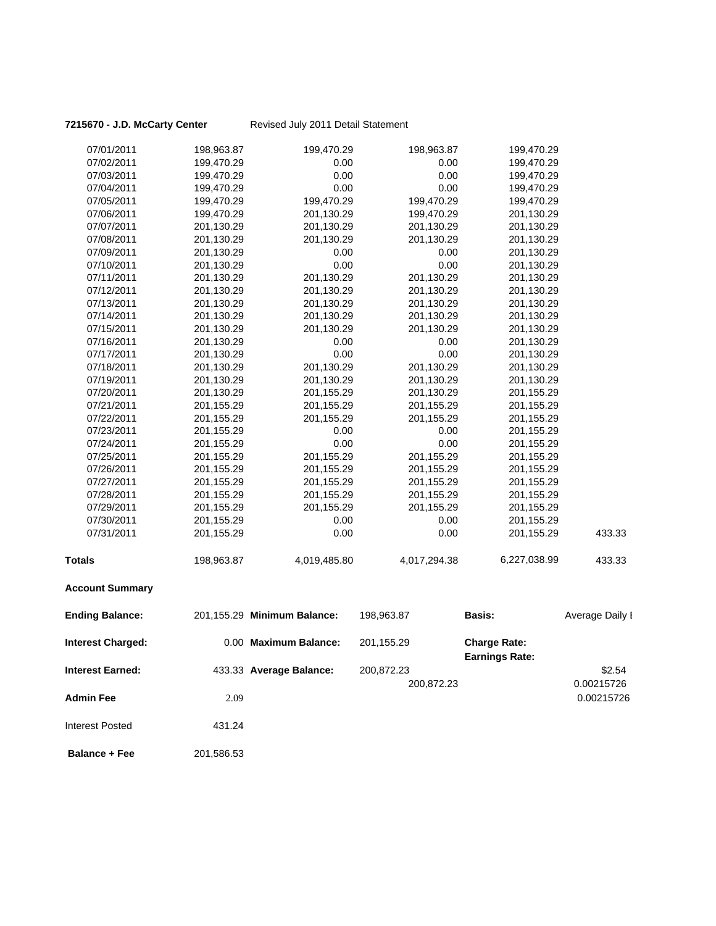### **7215670 - J.D. McCarty Center** Revised July 2011 Detail Statement

| <b>Interest Charged:</b> |            | 0.00 Maximum Balance:       | 201,155.29   | <b>Charge Rate:</b><br>Earnings Rate: |                 |
|--------------------------|------------|-----------------------------|--------------|---------------------------------------|-----------------|
| <b>Ending Balance:</b>   |            | 201,155.29 Minimum Balance: | 198,963.87   | <b>Basis:</b>                         | Average Daily I |
| <b>Account Summary</b>   |            |                             |              |                                       |                 |
| <b>Totals</b>            | 198,963.87 | 4,019,485.80                | 4,017,294.38 | 6,227,038.99                          | 433.33          |
| 07/31/2011               | 201,155.29 | 0.00                        | 0.00         | 201,155.29                            | 433.33          |
| 07/30/2011               | 201,155.29 | 0.00                        | 0.00         | 201,155.29                            |                 |
| 07/29/2011               | 201,155.29 | 201,155.29                  | 201,155.29   | 201,155.29                            |                 |
| 07/28/2011               | 201,155.29 | 201,155.29                  | 201,155.29   | 201,155.29                            |                 |
| 07/27/2011               | 201,155.29 | 201,155.29                  | 201,155.29   | 201,155.29                            |                 |
| 07/26/2011               | 201,155.29 | 201,155.29                  | 201,155.29   | 201,155.29                            |                 |
| 07/25/2011               | 201,155.29 | 201,155.29                  | 201,155.29   | 201,155.29                            |                 |
| 07/24/2011               | 201,155.29 | 0.00                        | 0.00         | 201,155.29                            |                 |
| 07/23/2011               | 201,155.29 | 0.00                        | 0.00         | 201,155.29                            |                 |
| 07/22/2011               | 201,155.29 | 201,155.29                  | 201,155.29   | 201,155.29                            |                 |
| 07/21/2011               | 201,155.29 | 201,155.29                  | 201,155.29   | 201,155.29                            |                 |
| 07/20/2011               | 201,130.29 | 201,155.29                  | 201,130.29   | 201,155.29                            |                 |
| 07/19/2011               | 201,130.29 | 201,130.29                  | 201,130.29   | 201,130.29                            |                 |
| 07/18/2011               | 201,130.29 | 201,130.29                  | 201,130.29   | 201,130.29                            |                 |
| 07/17/2011               | 201,130.29 | 0.00                        | 0.00         | 201,130.29                            |                 |
| 07/16/2011               | 201,130.29 | 0.00                        | 0.00         | 201,130.29                            |                 |
| 07/15/2011               | 201,130.29 | 201,130.29                  | 201,130.29   | 201,130.29                            |                 |
| 07/14/2011               | 201,130.29 | 201,130.29                  | 201,130.29   | 201,130.29                            |                 |
| 07/13/2011               | 201,130.29 | 201,130.29                  | 201,130.29   | 201,130.29                            |                 |
| 07/12/2011               | 201,130.29 | 201,130.29                  | 201,130.29   | 201,130.29                            |                 |
| 07/11/2011               | 201,130.29 | 201,130.29                  | 201,130.29   | 201,130.29                            |                 |
| 07/10/2011               | 201,130.29 | 0.00                        | 0.00         | 201,130.29                            |                 |
| 07/09/2011               | 201,130.29 | 0.00                        | 0.00         | 201,130.29                            |                 |
| 07/08/2011               | 201,130.29 | 201,130.29                  | 201,130.29   | 201,130.29                            |                 |
| 07/07/2011               | 201,130.29 | 201,130.29                  | 201,130.29   | 201,130.29                            |                 |
| 07/06/2011               | 199,470.29 | 201,130.29                  | 199,470.29   | 201,130.29                            |                 |
| 07/05/2011               | 199,470.29 | 199,470.29                  | 199,470.29   | 199,470.29                            |                 |
| 07/04/2011               | 199,470.29 | 0.00                        | 0.00         | 199,470.29                            |                 |
| 07/03/2011               | 199,470.29 | 0.00                        | 0.00         | 199,470.29                            |                 |
| 07/02/2011               | 199,470.29 | 0.00                        | 0.00         | 199,470.29                            |                 |
| 07/01/2011               | 198,963.87 | 199,470.29                  | 198,963.87   | 199,470.29                            |                 |

|                         |                         | Earnings Rate: |            |
|-------------------------|-------------------------|----------------|------------|
| <b>Interest Earned:</b> | 433.33 Average Balance: | 200,872.23     | \$2.54     |
|                         |                         | 200,872.23     | 0.00215726 |
| <b>Admin Fee</b>        | 2.09                    |                | 0.00215726 |
| Interest Posted         | 431.24                  |                |            |

**Balance + Fee** 201,586.53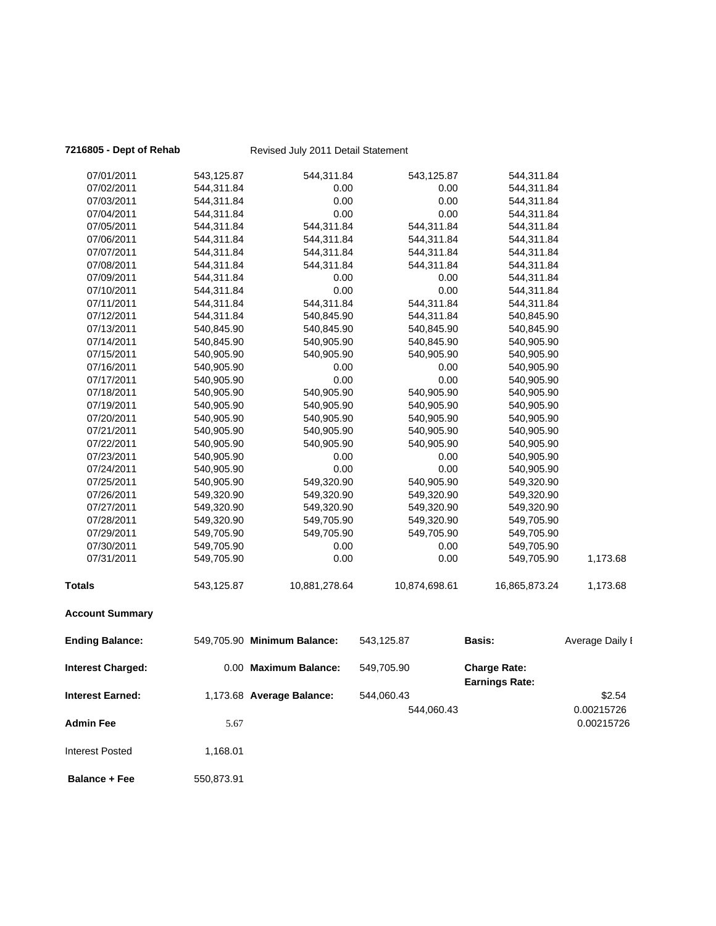| 7216805 - Dept of Rehab  |            | Revised July 2011 Detail Statement |               |                                              |                 |
|--------------------------|------------|------------------------------------|---------------|----------------------------------------------|-----------------|
| 07/01/2011               | 543,125.87 | 544,311.84                         | 543,125.87    | 544,311.84                                   |                 |
| 07/02/2011               | 544,311.84 | 0.00                               | 0.00          | 544,311.84                                   |                 |
| 07/03/2011               | 544,311.84 | 0.00                               | 0.00          | 544,311.84                                   |                 |
| 07/04/2011               | 544,311.84 | 0.00                               | 0.00          | 544,311.84                                   |                 |
| 07/05/2011               | 544,311.84 | 544,311.84                         | 544,311.84    | 544,311.84                                   |                 |
| 07/06/2011               | 544,311.84 | 544,311.84                         | 544,311.84    | 544,311.84                                   |                 |
| 07/07/2011               | 544,311.84 | 544,311.84                         | 544,311.84    | 544,311.84                                   |                 |
| 07/08/2011               | 544,311.84 | 544,311.84                         | 544,311.84    | 544,311.84                                   |                 |
| 07/09/2011               | 544,311.84 | 0.00                               | 0.00          | 544,311.84                                   |                 |
| 07/10/2011               | 544,311.84 | 0.00                               | 0.00          | 544,311.84                                   |                 |
| 07/11/2011               | 544,311.84 | 544,311.84                         | 544,311.84    | 544,311.84                                   |                 |
| 07/12/2011               | 544,311.84 | 540,845.90                         | 544,311.84    | 540,845.90                                   |                 |
| 07/13/2011               | 540,845.90 | 540,845.90                         | 540,845.90    | 540,845.90                                   |                 |
| 07/14/2011               | 540,845.90 | 540,905.90                         | 540,845.90    | 540,905.90                                   |                 |
| 07/15/2011               | 540,905.90 | 540,905.90                         | 540,905.90    | 540,905.90                                   |                 |
| 07/16/2011               | 540,905.90 | 0.00                               | 0.00          | 540,905.90                                   |                 |
| 07/17/2011               | 540,905.90 | 0.00                               | 0.00          | 540,905.90                                   |                 |
| 07/18/2011               | 540,905.90 | 540,905.90                         | 540,905.90    | 540,905.90                                   |                 |
| 07/19/2011               | 540,905.90 | 540,905.90                         | 540,905.90    | 540,905.90                                   |                 |
| 07/20/2011               | 540,905.90 | 540,905.90                         | 540,905.90    | 540,905.90                                   |                 |
| 07/21/2011               | 540,905.90 | 540,905.90                         | 540,905.90    | 540,905.90                                   |                 |
| 07/22/2011               | 540,905.90 | 540,905.90                         | 540,905.90    | 540,905.90                                   |                 |
| 07/23/2011               | 540,905.90 | 0.00                               | 0.00          | 540,905.90                                   |                 |
| 07/24/2011               | 540,905.90 | 0.00                               | 0.00          | 540,905.90                                   |                 |
| 07/25/2011               | 540,905.90 | 549,320.90                         | 540,905.90    | 549,320.90                                   |                 |
| 07/26/2011               | 549,320.90 | 549,320.90                         | 549,320.90    | 549,320.90                                   |                 |
| 07/27/2011               | 549,320.90 | 549,320.90                         | 549,320.90    | 549,320.90                                   |                 |
| 07/28/2011               | 549,320.90 | 549,705.90                         | 549,320.90    | 549,705.90                                   |                 |
| 07/29/2011               | 549,705.90 | 549,705.90                         | 549,705.90    | 549,705.90                                   |                 |
| 07/30/2011               | 549,705.90 | 0.00                               | 0.00          | 549,705.90                                   |                 |
| 07/31/2011               | 549,705.90 | 0.00                               | 0.00          | 549,705.90                                   | 1,173.68        |
| <b>Totals</b>            | 543,125.87 | 10,881,278.64                      | 10,874,698.61 | 16,865,873.24                                | 1,173.68        |
| <b>Account Summary</b>   |            |                                    |               |                                              |                 |
| <b>Ending Balance:</b>   |            | 549,705.90 Minimum Balance:        | 543,125.87    | <b>Basis:</b>                                | Average Daily I |
| <b>Interest Charged:</b> |            | 0.00 Maximum Balance:              | 549,705.90    | <b>Charge Rate:</b><br><b>Earnings Rate:</b> |                 |
| <b>Interest Earned:</b>  |            | 1,173.68 Average Balance:          | 544,060.43    |                                              | \$2.54          |
|                          |            |                                    | 544,060.43    |                                              | 0.00215726      |
| <b>Admin Fee</b>         | 5.67       |                                    |               |                                              | 0.00215726      |
| <b>Interest Posted</b>   | 1,168.01   |                                    |               |                                              |                 |
| <b>Balance + Fee</b>     | 550,873.91 |                                    |               |                                              |                 |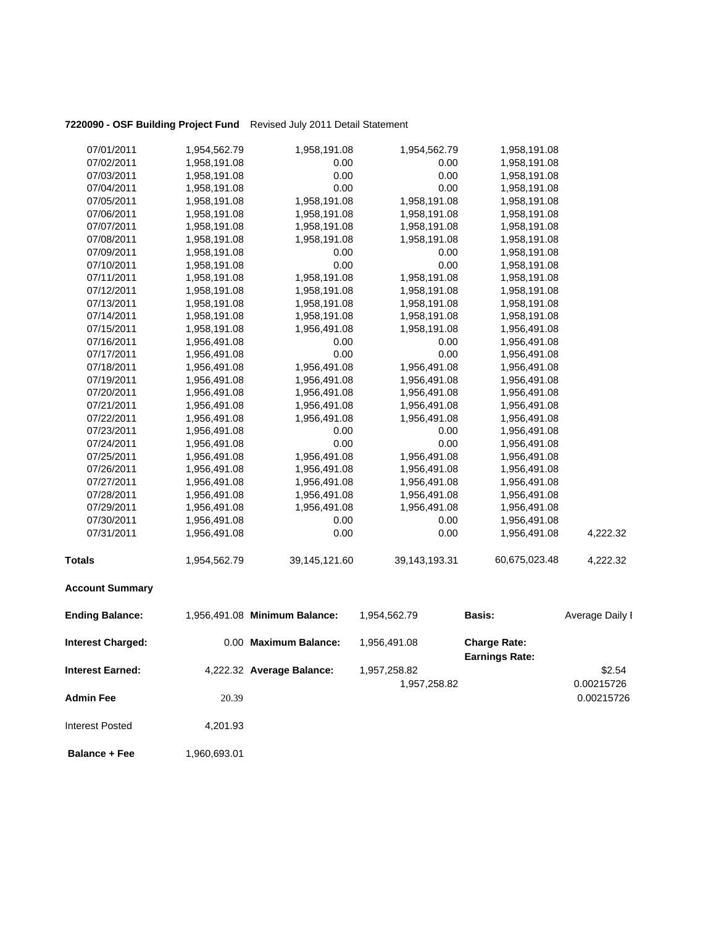### **7220090 - OSF Building Project Fund** Revised July 2011 Detail Statement

| <b>Ending Balance:</b> | 1,956,491.08 Minimum Balance: |               | 1,954,562.79     | <b>Basis:</b> | Average Daily I |
|------------------------|-------------------------------|---------------|------------------|---------------|-----------------|
| <b>Account Summary</b> |                               |               |                  |               |                 |
| <b>Totals</b>          | 1,954,562.79                  | 39,145,121.60 | 39, 143, 193. 31 | 60,675,023.48 | 4,222.32        |
| 07/31/2011             | 1,956,491.08                  | 0.00          | 0.00             | 1,956,491.08  | 4,222.32        |
| 07/30/2011             | 1,956,491.08                  | 0.00          | 0.00             | 1,956,491.08  |                 |
| 07/29/2011             | 1,956,491.08                  | 1,956,491.08  | 1,956,491.08     | 1,956,491.08  |                 |
| 07/28/2011             | 1,956,491.08                  | 1,956,491.08  | 1,956,491.08     | 1,956,491.08  |                 |
| 07/27/2011             | 1,956,491.08                  | 1,956,491.08  | 1,956,491.08     | 1,956,491.08  |                 |
| 07/26/2011             | 1,956,491.08                  | 1,956,491.08  | 1,956,491.08     | 1,956,491.08  |                 |
| 07/25/2011             | 1,956,491.08                  | 1,956,491.08  | 1,956,491.08     | 1,956,491.08  |                 |
| 07/24/2011             | 1,956,491.08                  | 0.00          | 0.00             | 1,956,491.08  |                 |
| 07/23/2011             | 1,956,491.08                  | 0.00          | 0.00             | 1,956,491.08  |                 |
| 07/22/2011             | 1,956,491.08                  | 1,956,491.08  | 1,956,491.08     | 1,956,491.08  |                 |
| 07/21/2011             | 1,956,491.08                  | 1,956,491.08  | 1,956,491.08     | 1,956,491.08  |                 |
| 07/20/2011             | 1,956,491.08                  | 1,956,491.08  | 1,956,491.08     | 1,956,491.08  |                 |
| 07/19/2011             | 1,956,491.08                  | 1,956,491.08  | 1,956,491.08     | 1,956,491.08  |                 |
| 07/18/2011             | 1,956,491.08                  | 1,956,491.08  | 1,956,491.08     | 1,956,491.08  |                 |
| 07/17/2011             | 1,956,491.08                  | 0.00          | 0.00             | 1,956,491.08  |                 |
| 07/16/2011             | 1,956,491.08                  | 0.00          | 0.00             | 1,956,491.08  |                 |
| 07/15/2011             | 1,958,191.08                  | 1,956,491.08  | 1,958,191.08     | 1,956,491.08  |                 |
| 07/14/2011             | 1,958,191.08                  | 1,958,191.08  | 1,958,191.08     | 1,958,191.08  |                 |
| 07/13/2011             | 1,958,191.08                  | 1,958,191.08  | 1,958,191.08     | 1,958,191.08  |                 |
| 07/12/2011             | 1,958,191.08                  | 1,958,191.08  | 1,958,191.08     | 1,958,191.08  |                 |
| 07/11/2011             | 1,958,191.08                  | 1,958,191.08  | 1,958,191.08     | 1,958,191.08  |                 |
| 07/10/2011             | 1,958,191.08                  | 0.00          | 0.00             | 1,958,191.08  |                 |
| 07/09/2011             | 1,958,191.08                  | 0.00          | 0.00             | 1,958,191.08  |                 |
| 07/08/2011             | 1,958,191.08                  | 1,958,191.08  | 1,958,191.08     | 1,958,191.08  |                 |
| 07/07/2011             | 1,958,191.08                  | 1,958,191.08  | 1,958,191.08     | 1,958,191.08  |                 |
| 07/06/2011             | 1,958,191.08                  | 1,958,191.08  | 1,958,191.08     | 1,958,191.08  |                 |
| 07/05/2011             | 1,958,191.08                  | 1,958,191.08  | 1,958,191.08     | 1,958,191.08  |                 |
| 07/04/2011             | 1,958,191.08                  | 0.00          | 0.00             | 1,958,191.08  |                 |
| 07/03/2011             | 1,958,191.08                  | 0.00          | 0.00             | 1,958,191.08  |                 |
| 07/02/2011             | 1,958,191.08                  | 0.00          | 0.00             | 1,958,191.08  |                 |
| 07/01/2011             | 1,954,562.79                  | 1,958,191.08  | 1,954,562.79     | 1,958,191.08  |                 |

| <b>Interest Charged:</b> |          | 0.00 Maximum Balance:     | 1.956.491.08 | <b>Charge Rate:</b><br><b>Earnings Rate:</b> |            |
|--------------------------|----------|---------------------------|--------------|----------------------------------------------|------------|
| <b>Interest Earned:</b>  |          | 4,222.32 Average Balance: | 1,957,258.82 |                                              | \$2.54     |
|                          |          |                           | 1,957,258.82 |                                              | 0.00215726 |
| <b>Admin Fee</b>         | 20.39    |                           |              |                                              | 0.00215726 |
| <b>Interest Posted</b>   | 4,201.93 |                           |              |                                              |            |

**Balance + Fee** 1,960,693.01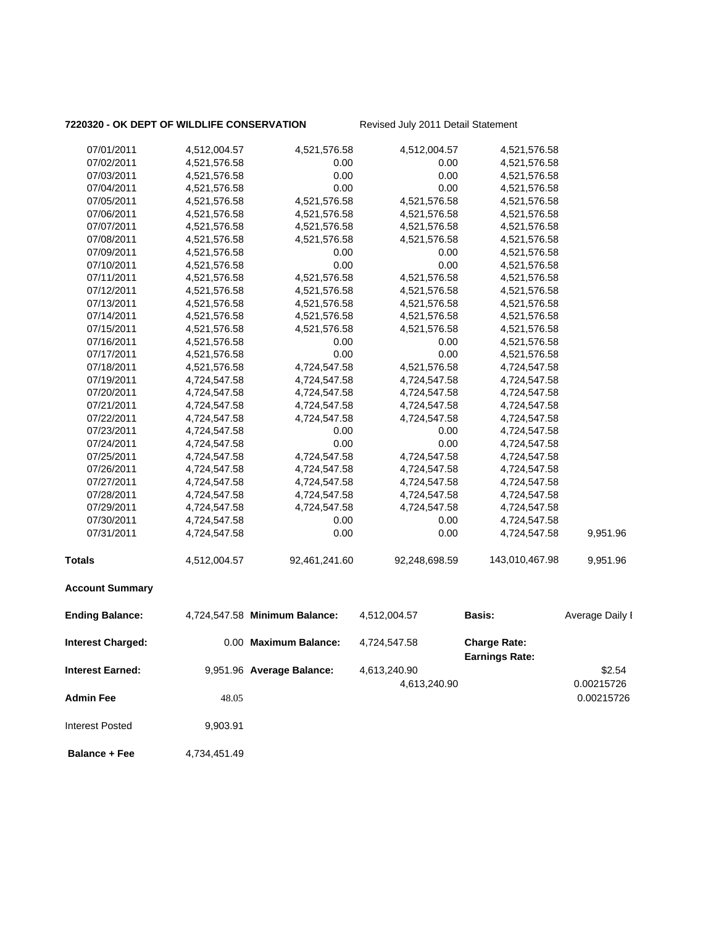# **7220320 - OK DEPT OF WILDLIFE CONSERVATION** Revised July 2011 Detail Statement

| 07/01/2011               | 4,512,004.57 | 4,521,576.58                  | 4,512,004.57  | 4,521,576.58                                 |                 |
|--------------------------|--------------|-------------------------------|---------------|----------------------------------------------|-----------------|
| 07/02/2011               | 4,521,576.58 | 0.00                          | 0.00          | 4,521,576.58                                 |                 |
| 07/03/2011               | 4,521,576.58 | 0.00                          | 0.00          | 4,521,576.58                                 |                 |
| 07/04/2011               | 4,521,576.58 | 0.00                          | 0.00          | 4,521,576.58                                 |                 |
| 07/05/2011               | 4,521,576.58 | 4,521,576.58                  | 4,521,576.58  | 4,521,576.58                                 |                 |
| 07/06/2011               | 4,521,576.58 | 4,521,576.58                  | 4,521,576.58  | 4,521,576.58                                 |                 |
| 07/07/2011               | 4,521,576.58 | 4,521,576.58                  | 4,521,576.58  | 4,521,576.58                                 |                 |
| 07/08/2011               | 4,521,576.58 | 4,521,576.58                  | 4,521,576.58  | 4,521,576.58                                 |                 |
| 07/09/2011               | 4,521,576.58 | 0.00                          | 0.00          | 4,521,576.58                                 |                 |
| 07/10/2011               | 4,521,576.58 | 0.00                          | 0.00          | 4,521,576.58                                 |                 |
| 07/11/2011               | 4,521,576.58 | 4,521,576.58                  | 4,521,576.58  | 4,521,576.58                                 |                 |
| 07/12/2011               | 4,521,576.58 | 4,521,576.58                  | 4,521,576.58  | 4,521,576.58                                 |                 |
| 07/13/2011               | 4,521,576.58 | 4,521,576.58                  | 4,521,576.58  | 4,521,576.58                                 |                 |
| 07/14/2011               | 4,521,576.58 | 4,521,576.58                  | 4,521,576.58  | 4,521,576.58                                 |                 |
| 07/15/2011               | 4,521,576.58 | 4,521,576.58                  | 4,521,576.58  | 4,521,576.58                                 |                 |
| 07/16/2011               | 4,521,576.58 | 0.00                          | 0.00          | 4,521,576.58                                 |                 |
| 07/17/2011               | 4,521,576.58 | 0.00                          | 0.00          | 4,521,576.58                                 |                 |
| 07/18/2011               | 4,521,576.58 | 4,724,547.58                  | 4,521,576.58  | 4,724,547.58                                 |                 |
| 07/19/2011               | 4,724,547.58 | 4,724,547.58                  | 4,724,547.58  | 4,724,547.58                                 |                 |
| 07/20/2011               | 4,724,547.58 | 4,724,547.58                  | 4,724,547.58  | 4,724,547.58                                 |                 |
| 07/21/2011               | 4,724,547.58 | 4,724,547.58                  | 4,724,547.58  | 4,724,547.58                                 |                 |
| 07/22/2011               | 4,724,547.58 | 4,724,547.58                  | 4,724,547.58  | 4,724,547.58                                 |                 |
| 07/23/2011               | 4,724,547.58 | 0.00                          | 0.00          | 4,724,547.58                                 |                 |
| 07/24/2011               | 4,724,547.58 | 0.00                          | 0.00          | 4,724,547.58                                 |                 |
| 07/25/2011               | 4,724,547.58 | 4,724,547.58                  | 4,724,547.58  | 4,724,547.58                                 |                 |
| 07/26/2011               | 4,724,547.58 | 4,724,547.58                  | 4,724,547.58  | 4,724,547.58                                 |                 |
| 07/27/2011               | 4,724,547.58 | 4,724,547.58                  | 4,724,547.58  | 4,724,547.58                                 |                 |
| 07/28/2011               | 4,724,547.58 | 4,724,547.58                  | 4,724,547.58  | 4,724,547.58                                 |                 |
| 07/29/2011               | 4,724,547.58 | 4,724,547.58                  | 4,724,547.58  | 4,724,547.58                                 |                 |
| 07/30/2011               | 4,724,547.58 | 0.00                          | 0.00          | 4,724,547.58                                 |                 |
| 07/31/2011               | 4,724,547.58 | 0.00                          | 0.00          | 4,724,547.58                                 | 9,951.96        |
| <b>Totals</b>            | 4,512,004.57 | 92,461,241.60                 | 92,248,698.59 | 143,010,467.98                               | 9,951.96        |
| <b>Account Summary</b>   |              |                               |               |                                              |                 |
| <b>Ending Balance:</b>   |              | 4,724,547.58 Minimum Balance: | 4,512,004.57  | Basis:                                       | Average Daily I |
| <b>Interest Charged:</b> |              | 0.00 Maximum Balance:         | 4,724,547.58  | <b>Charge Rate:</b><br><b>Earnings Rate:</b> |                 |
| <b>Interest Earned:</b>  |              | 9,951.96 Average Balance:     | 4,613,240.90  |                                              | \$2.54          |
|                          |              |                               | 4,613,240.90  |                                              | 0.00215726      |
| <b>Admin Fee</b>         | 48.05        |                               |               |                                              | 0.00215726      |
|                          |              |                               |               |                                              |                 |
| <b>Interest Posted</b>   | 9,903.91     |                               |               |                                              |                 |

**Balance + Fee** 4,734,451.49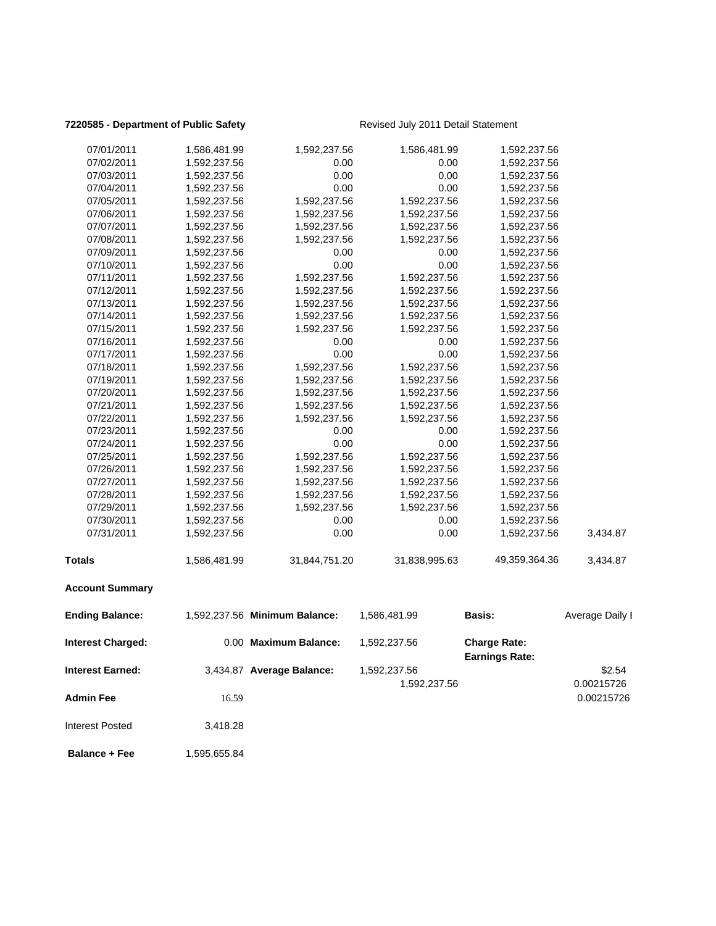### **7220585 - Department of Public Safety** Revised July 2011 Detail Statement

| <b>Interest Earned:</b>  |              | 3,434.87 Average Balance:     | 1,592,237.56<br>1,592,237.56 |                                              | \$2.54<br>0.00215726 |
|--------------------------|--------------|-------------------------------|------------------------------|----------------------------------------------|----------------------|
| <b>Interest Charged:</b> |              | 0.00 Maximum Balance:         | 1,592,237.56                 | <b>Charge Rate:</b><br><b>Earnings Rate:</b> |                      |
| <b>Ending Balance:</b>   |              | 1,592,237.56 Minimum Balance: | 1,586,481.99                 | <b>Basis:</b>                                | Average Daily I      |
| <b>Account Summary</b>   |              |                               |                              |                                              |                      |
| <b>Totals</b>            | 1,586,481.99 | 31,844,751.20                 | 31,838,995.63                | 49,359,364.36                                | 3,434.87             |
| 07/31/2011               | 1,592,237.56 | 0.00                          | 0.00                         | 1,592,237.56                                 | 3,434.87             |
| 07/30/2011               | 1,592,237.56 | 0.00                          | 0.00                         | 1,592,237.56                                 |                      |
| 07/29/2011               | 1,592,237.56 | 1,592,237.56                  | 1,592,237.56                 | 1,592,237.56                                 |                      |
| 07/28/2011               | 1,592,237.56 | 1,592,237.56                  | 1,592,237.56                 | 1,592,237.56                                 |                      |
| 07/27/2011               | 1,592,237.56 | 1,592,237.56                  | 1,592,237.56                 | 1,592,237.56                                 |                      |
| 07/26/2011               | 1,592,237.56 | 1,592,237.56                  | 1,592,237.56                 | 1,592,237.56                                 |                      |
| 07/25/2011               | 1,592,237.56 | 1,592,237.56                  | 1,592,237.56                 | 1,592,237.56                                 |                      |
| 07/24/2011               | 1,592,237.56 | 0.00                          | 0.00                         | 1,592,237.56                                 |                      |
| 07/23/2011               | 1,592,237.56 | 0.00                          | 0.00                         | 1,592,237.56                                 |                      |
| 07/22/2011               | 1,592,237.56 | 1,592,237.56                  | 1,592,237.56                 | 1,592,237.56                                 |                      |
| 07/21/2011               | 1,592,237.56 | 1,592,237.56                  | 1,592,237.56                 | 1,592,237.56                                 |                      |
| 07/20/2011               | 1,592,237.56 | 1,592,237.56                  | 1,592,237.56                 | 1,592,237.56                                 |                      |
| 07/19/2011               | 1,592,237.56 | 1,592,237.56                  | 1,592,237.56                 | 1,592,237.56                                 |                      |
| 07/18/2011               | 1,592,237.56 | 1,592,237.56                  | 1,592,237.56                 | 1,592,237.56                                 |                      |
| 07/17/2011               | 1,592,237.56 | 0.00                          | 0.00                         | 1,592,237.56                                 |                      |
| 07/16/2011               | 1,592,237.56 | 0.00                          | 0.00                         | 1,592,237.56                                 |                      |
| 07/15/2011               | 1,592,237.56 | 1,592,237.56                  | 1,592,237.56                 | 1,592,237.56                                 |                      |
| 07/14/2011               | 1,592,237.56 | 1,592,237.56                  | 1,592,237.56                 | 1,592,237.56                                 |                      |
| 07/13/2011               | 1,592,237.56 | 1,592,237.56                  | 1,592,237.56                 | 1,592,237.56                                 |                      |
| 07/12/2011               | 1,592,237.56 | 1,592,237.56                  | 1,592,237.56                 | 1,592,237.56                                 |                      |
| 07/11/2011               | 1,592,237.56 | 1,592,237.56                  | 1,592,237.56                 | 1,592,237.56                                 |                      |
| 07/10/2011               | 1,592,237.56 | 0.00                          | 0.00                         | 1,592,237.56                                 |                      |
| 07/09/2011               | 1,592,237.56 | 0.00                          | 0.00                         | 1,592,237.56                                 |                      |
| 07/08/2011               | 1,592,237.56 | 1,592,237.56                  | 1,592,237.56                 | 1,592,237.56                                 |                      |
| 07/07/2011               | 1,592,237.56 | 1,592,237.56                  | 1,592,237.56                 | 1,592,237.56                                 |                      |
| 07/06/2011               | 1,592,237.56 | 1,592,237.56                  | 1,592,237.56                 | 1,592,237.56                                 |                      |
| 07/05/2011               | 1,592,237.56 | 1,592,237.56                  | 1,592,237.56                 | 1,592,237.56                                 |                      |
| 07/04/2011               | 1,592,237.56 | 0.00                          | 0.00                         | 1,592,237.56                                 |                      |
| 07/03/2011               | 1,592,237.56 | 0.00                          | 0.00                         | 1,592,237.56                                 |                      |
| 07/02/2011               | 1,592,237.56 | 0.00                          | 0.00                         | 1,592,237.56                                 |                      |
| 07/01/2011               | 1,586,481.99 | 1,592,237.56                  | 1,586,481.99                 | 1,592,237.56                                 |                      |
|                          |              |                               |                              |                                              |                      |

**Admin Fee** 16.59 **16.59 16.59 16.59 16.59 16.00215726** 16.00215726 Interest Posted 3,418.28

**Balance + Fee** 1,595,655.84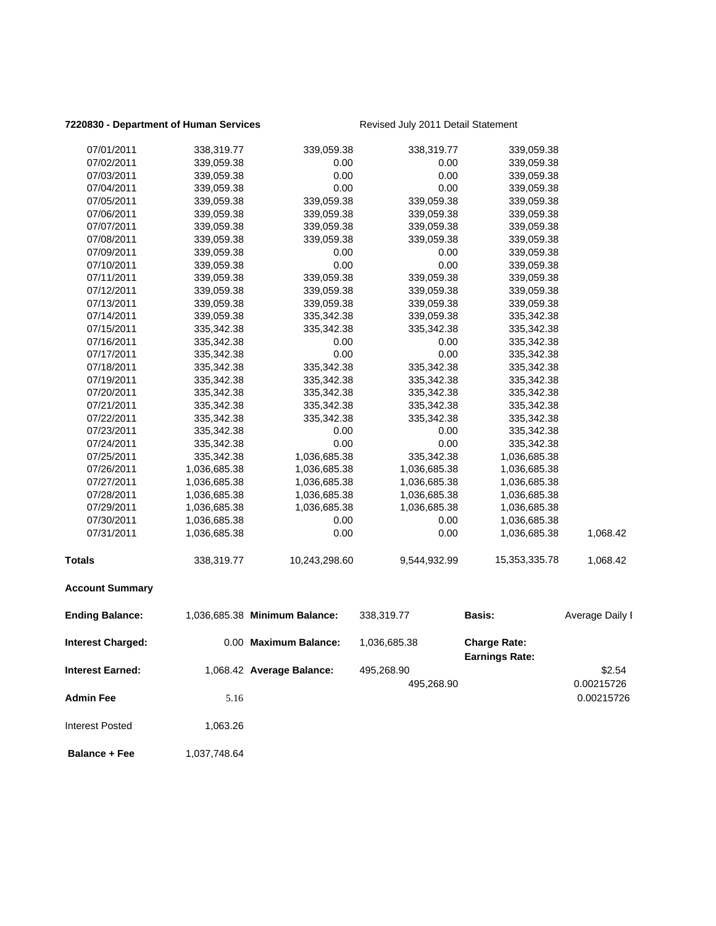### **7220830 - Department of Human Services** Revised July 2011 Detail Statement

| <b>Ending Balance:</b> |              | 1,036,685.38 Minimum Balance: | 338,319.77   | Basis:        | Average Daily I |
|------------------------|--------------|-------------------------------|--------------|---------------|-----------------|
| <b>Account Summary</b> |              |                               |              |               |                 |
| <b>Totals</b>          | 338,319.77   | 10,243,298.60                 | 9,544,932.99 | 15,353,335.78 | 1,068.42        |
| 07/31/2011             | 1,036,685.38 | 0.00                          | 0.00         | 1,036,685.38  | 1,068.42        |
| 07/30/2011             | 1,036,685.38 | 0.00                          | 0.00         | 1,036,685.38  |                 |
| 07/29/2011             | 1,036,685.38 | 1,036,685.38                  | 1,036,685.38 | 1,036,685.38  |                 |
| 07/28/2011             | 1,036,685.38 | 1,036,685.38                  | 1,036,685.38 | 1,036,685.38  |                 |
| 07/27/2011             | 1,036,685.38 | 1,036,685.38                  | 1,036,685.38 | 1,036,685.38  |                 |
| 07/26/2011             | 1,036,685.38 | 1,036,685.38                  | 1,036,685.38 | 1,036,685.38  |                 |
| 07/25/2011             | 335,342.38   | 1,036,685.38                  | 335,342.38   | 1,036,685.38  |                 |
| 07/24/2011             | 335,342.38   | 0.00                          | 0.00         | 335,342.38    |                 |
| 07/23/2011             | 335,342.38   | 0.00                          | 0.00         | 335,342.38    |                 |
| 07/22/2011             | 335,342.38   | 335,342.38                    | 335,342.38   | 335,342.38    |                 |
| 07/21/2011             | 335,342.38   | 335,342.38                    | 335,342.38   | 335,342.38    |                 |
| 07/20/2011             | 335,342.38   | 335,342.38                    | 335,342.38   | 335,342.38    |                 |
| 07/19/2011             | 335,342.38   | 335,342.38                    | 335,342.38   | 335,342.38    |                 |
| 07/18/2011             | 335,342.38   | 335,342.38                    | 335,342.38   | 335,342.38    |                 |
| 07/17/2011             | 335,342.38   | 0.00                          | 0.00         | 335,342.38    |                 |
| 07/16/2011             | 335,342.38   | 0.00                          | 0.00         | 335,342.38    |                 |
| 07/15/2011             | 335,342.38   | 335,342.38                    | 335,342.38   | 335,342.38    |                 |
| 07/14/2011             | 339,059.38   | 335,342.38                    | 339,059.38   | 335,342.38    |                 |
| 07/13/2011             | 339,059.38   | 339,059.38                    | 339,059.38   | 339,059.38    |                 |
| 07/12/2011             | 339,059.38   | 339,059.38                    | 339,059.38   | 339,059.38    |                 |
| 07/11/2011             | 339,059.38   | 339,059.38                    | 339,059.38   | 339,059.38    |                 |
| 07/10/2011             | 339,059.38   | 0.00                          | 0.00         | 339,059.38    |                 |
| 07/09/2011             | 339,059.38   | 0.00                          | 0.00         | 339,059.38    |                 |
| 07/08/2011             | 339,059.38   | 339,059.38                    | 339,059.38   | 339,059.38    |                 |
| 07/07/2011             | 339,059.38   | 339,059.38                    | 339,059.38   | 339,059.38    |                 |
| 07/06/2011             | 339,059.38   | 339,059.38                    | 339,059.38   | 339,059.38    |                 |
| 07/05/2011             | 339,059.38   | 339,059.38                    | 339,059.38   | 339,059.38    |                 |
| 07/04/2011             | 339,059.38   | 0.00                          | 0.00         | 339,059.38    |                 |
| 07/03/2011             | 339,059.38   | 0.00                          | 0.00         | 339,059.38    |                 |
| 07/02/2011             | 339,059.38   | 0.00                          | 0.00         | 339,059.38    |                 |
| 07/01/2011             | 338,319.77   | 339,059.38                    | 338,319.77   | 339,059.38    |                 |

| <b>Interest Charged:</b> |          | 0.00 Maximum Balance:     | 1,036,685.38 | <b>Charge Rate:</b><br><b>Earnings Rate:</b> |            |
|--------------------------|----------|---------------------------|--------------|----------------------------------------------|------------|
| <b>Interest Earned:</b>  |          | 1,068.42 Average Balance: | 495,268.90   |                                              | \$2.54     |
|                          |          |                           | 495,268.90   |                                              | 0.00215726 |
| <b>Admin Fee</b>         | 5.16     |                           |              |                                              | 0.00215726 |
|                          |          |                           |              |                                              |            |
| Interest Posted          | 1.063.26 |                           |              |                                              |            |
|                          |          |                           |              |                                              |            |

**Balance + Fee** 1,037,748.64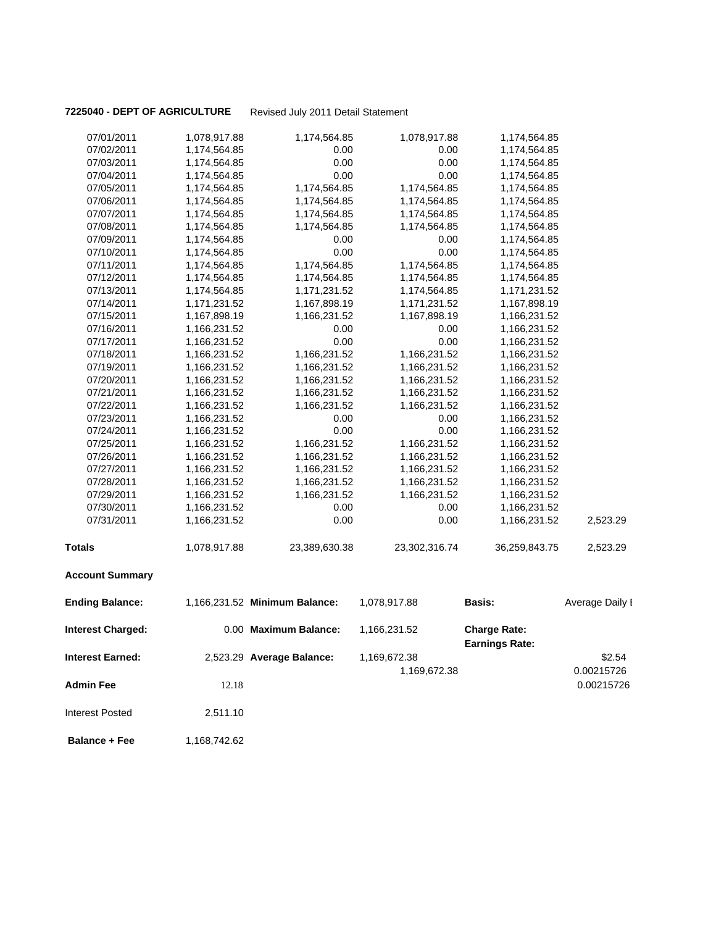### **7225040 - DEPT OF AGRICULTURE** Revised July 2011 Detail Statement

| 07/01/2011               | 1,078,917.88 | 1,174,564.85                  | 1,078,917.88  | 1,174,564.85          |                 |
|--------------------------|--------------|-------------------------------|---------------|-----------------------|-----------------|
| 07/02/2011               | 1,174,564.85 | 0.00                          | 0.00          | 1,174,564.85          |                 |
| 07/03/2011               | 1,174,564.85 | 0.00                          | 0.00          | 1,174,564.85          |                 |
| 07/04/2011               | 1,174,564.85 | 0.00                          | 0.00          | 1,174,564.85          |                 |
| 07/05/2011               | 1,174,564.85 | 1,174,564.85                  | 1,174,564.85  | 1,174,564.85          |                 |
| 07/06/2011               | 1,174,564.85 | 1,174,564.85                  | 1,174,564.85  | 1,174,564.85          |                 |
| 07/07/2011               | 1,174,564.85 | 1,174,564.85                  | 1,174,564.85  | 1,174,564.85          |                 |
| 07/08/2011               | 1,174,564.85 | 1,174,564.85                  | 1,174,564.85  | 1,174,564.85          |                 |
| 07/09/2011               | 1,174,564.85 | 0.00                          | 0.00          | 1,174,564.85          |                 |
| 07/10/2011               | 1,174,564.85 | 0.00                          | 0.00          | 1,174,564.85          |                 |
| 07/11/2011               | 1,174,564.85 | 1,174,564.85                  | 1,174,564.85  | 1,174,564.85          |                 |
| 07/12/2011               | 1,174,564.85 | 1,174,564.85                  | 1,174,564.85  | 1,174,564.85          |                 |
| 07/13/2011               | 1,174,564.85 | 1,171,231.52                  | 1,174,564.85  | 1,171,231.52          |                 |
| 07/14/2011               | 1,171,231.52 | 1,167,898.19                  | 1,171,231.52  | 1,167,898.19          |                 |
| 07/15/2011               | 1,167,898.19 | 1,166,231.52                  | 1,167,898.19  | 1,166,231.52          |                 |
| 07/16/2011               | 1,166,231.52 | 0.00                          | 0.00          | 1,166,231.52          |                 |
| 07/17/2011               | 1,166,231.52 | 0.00                          | 0.00          | 1,166,231.52          |                 |
| 07/18/2011               | 1,166,231.52 | 1,166,231.52                  | 1,166,231.52  | 1,166,231.52          |                 |
| 07/19/2011               | 1,166,231.52 | 1,166,231.52                  | 1,166,231.52  | 1,166,231.52          |                 |
| 07/20/2011               | 1,166,231.52 | 1,166,231.52                  | 1,166,231.52  | 1,166,231.52          |                 |
| 07/21/2011               | 1,166,231.52 | 1,166,231.52                  | 1,166,231.52  | 1,166,231.52          |                 |
| 07/22/2011               | 1,166,231.52 | 1,166,231.52                  | 1,166,231.52  | 1,166,231.52          |                 |
| 07/23/2011               | 1,166,231.52 | 0.00                          | 0.00          | 1,166,231.52          |                 |
| 07/24/2011               | 1,166,231.52 | 0.00                          | 0.00          | 1,166,231.52          |                 |
| 07/25/2011               | 1,166,231.52 | 1,166,231.52                  | 1,166,231.52  | 1,166,231.52          |                 |
| 07/26/2011               | 1,166,231.52 | 1,166,231.52                  | 1,166,231.52  | 1,166,231.52          |                 |
| 07/27/2011               | 1,166,231.52 | 1,166,231.52                  | 1,166,231.52  | 1,166,231.52          |                 |
| 07/28/2011               | 1,166,231.52 | 1,166,231.52                  | 1,166,231.52  | 1,166,231.52          |                 |
| 07/29/2011               | 1,166,231.52 | 1,166,231.52                  | 1,166,231.52  | 1,166,231.52          |                 |
| 07/30/2011               | 1,166,231.52 | 0.00                          | 0.00          | 1,166,231.52          |                 |
| 07/31/2011               | 1,166,231.52 | 0.00                          | 0.00          | 1,166,231.52          | 2,523.29        |
| <b>Totals</b>            | 1,078,917.88 | 23,389,630.38                 | 23,302,316.74 | 36,259,843.75         | 2,523.29        |
| <b>Account Summary</b>   |              |                               |               |                       |                 |
| <b>Ending Balance:</b>   |              | 1,166,231.52 Minimum Balance: | 1,078,917.88  | Basis:                | Average Daily I |
| <b>Interest Charged:</b> |              | 0.00 Maximum Balance:         | 1,166,231.52  | <b>Charge Rate:</b>   |                 |
|                          |              |                               |               | <b>Earnings Rate:</b> |                 |
| <b>Interest Earned:</b>  |              | 2,523.29 Average Balance:     | 1,169,672.38  |                       | \$2.54          |
|                          |              |                               | 1,169,672.38  |                       | 0.00215726      |
| <b>Admin Fee</b>         | 12.18        |                               |               |                       | 0.00215726      |
| <b>Interest Posted</b>   | 2,511.10     |                               |               |                       |                 |
|                          |              |                               |               |                       |                 |

**Balance + Fee** 1,168,742.62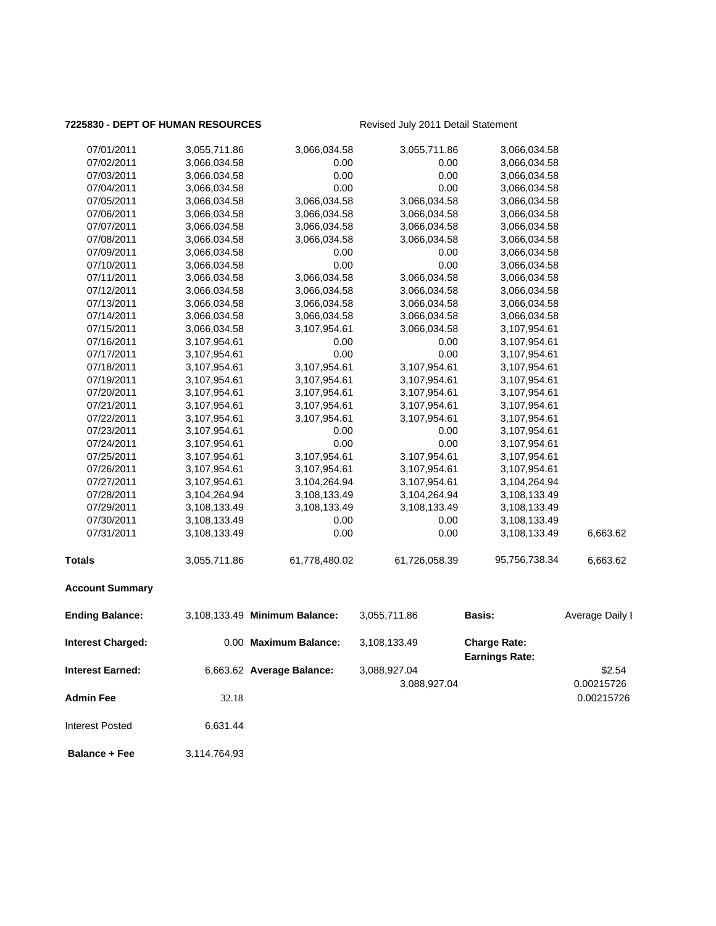### **7225830 - DEPT OF HUMAN RESOURCES** Revised July 2011 Detail Statement

| 07/01/2011               | 3,055,711.86 | 3,066,034.58                  | 3,055,711.86  | 3,066,034.58                                 |                 |
|--------------------------|--------------|-------------------------------|---------------|----------------------------------------------|-----------------|
| 07/02/2011               | 3,066,034.58 | 0.00                          | 0.00          | 3,066,034.58                                 |                 |
| 07/03/2011               | 3,066,034.58 | 0.00                          | 0.00          | 3,066,034.58                                 |                 |
| 07/04/2011               | 3,066,034.58 | 0.00                          | 0.00          | 3,066,034.58                                 |                 |
| 07/05/2011               | 3,066,034.58 | 3,066,034.58                  | 3,066,034.58  | 3,066,034.58                                 |                 |
| 07/06/2011               | 3,066,034.58 | 3,066,034.58                  | 3,066,034.58  | 3,066,034.58                                 |                 |
| 07/07/2011               | 3,066,034.58 | 3,066,034.58                  | 3,066,034.58  | 3,066,034.58                                 |                 |
| 07/08/2011               | 3,066,034.58 | 3,066,034.58                  | 3,066,034.58  | 3,066,034.58                                 |                 |
| 07/09/2011               | 3,066,034.58 | 0.00                          | 0.00          | 3,066,034.58                                 |                 |
| 07/10/2011               | 3,066,034.58 | 0.00                          | 0.00          | 3,066,034.58                                 |                 |
| 07/11/2011               | 3,066,034.58 | 3,066,034.58                  | 3,066,034.58  | 3,066,034.58                                 |                 |
| 07/12/2011               | 3,066,034.58 | 3,066,034.58                  | 3,066,034.58  | 3,066,034.58                                 |                 |
| 07/13/2011               | 3,066,034.58 | 3,066,034.58                  | 3,066,034.58  | 3,066,034.58                                 |                 |
| 07/14/2011               | 3,066,034.58 | 3,066,034.58                  | 3,066,034.58  | 3,066,034.58                                 |                 |
| 07/15/2011               | 3,066,034.58 | 3,107,954.61                  | 3,066,034.58  | 3,107,954.61                                 |                 |
| 07/16/2011               | 3,107,954.61 | 0.00                          | 0.00          | 3,107,954.61                                 |                 |
| 07/17/2011               | 3,107,954.61 | 0.00                          | 0.00          | 3,107,954.61                                 |                 |
| 07/18/2011               | 3,107,954.61 | 3,107,954.61                  | 3,107,954.61  | 3,107,954.61                                 |                 |
| 07/19/2011               | 3,107,954.61 | 3,107,954.61                  | 3,107,954.61  | 3,107,954.61                                 |                 |
| 07/20/2011               | 3,107,954.61 | 3,107,954.61                  | 3,107,954.61  | 3,107,954.61                                 |                 |
| 07/21/2011               | 3,107,954.61 | 3,107,954.61                  | 3,107,954.61  | 3,107,954.61                                 |                 |
| 07/22/2011               | 3,107,954.61 | 3,107,954.61                  | 3,107,954.61  | 3,107,954.61                                 |                 |
| 07/23/2011               | 3,107,954.61 | 0.00                          | 0.00          | 3,107,954.61                                 |                 |
| 07/24/2011               | 3,107,954.61 | 0.00                          | 0.00          | 3,107,954.61                                 |                 |
| 07/25/2011               | 3,107,954.61 | 3,107,954.61                  | 3,107,954.61  | 3,107,954.61                                 |                 |
| 07/26/2011               | 3,107,954.61 | 3,107,954.61                  | 3,107,954.61  | 3,107,954.61                                 |                 |
| 07/27/2011               | 3,107,954.61 | 3,104,264.94                  | 3,107,954.61  | 3,104,264.94                                 |                 |
| 07/28/2011               | 3,104,264.94 | 3,108,133.49                  | 3,104,264.94  | 3,108,133.49                                 |                 |
| 07/29/2011               | 3,108,133.49 | 3,108,133.49                  | 3,108,133.49  | 3,108,133.49                                 |                 |
| 07/30/2011               | 3,108,133.49 | 0.00                          | 0.00          | 3,108,133.49                                 |                 |
| 07/31/2011               | 3,108,133.49 | 0.00                          | 0.00          | 3,108,133.49                                 | 6,663.62        |
| <b>Totals</b>            | 3,055,711.86 | 61,778,480.02                 | 61,726,058.39 | 95,756,738.34                                | 6,663.62        |
| <b>Account Summary</b>   |              |                               |               |                                              |                 |
| <b>Ending Balance:</b>   |              | 3,108,133.49 Minimum Balance: | 3,055,711.86  | Basis:                                       | Average Daily I |
| <b>Interest Charged:</b> |              | 0.00 Maximum Balance:         | 3,108,133.49  | <b>Charge Rate:</b><br><b>Earnings Rate:</b> |                 |
| <b>Interest Earned:</b>  |              | 6,663.62 Average Balance:     | 3,088,927.04  |                                              | \$2.54          |
|                          |              |                               | 3,088,927.04  |                                              | 0.00215726      |
| <b>Admin Fee</b>         | 32.18        |                               |               |                                              | 0.00215726      |
| <b>Interest Posted</b>   | 6,631.44     |                               |               |                                              |                 |

 **Balance + Fee** 3,114,764.93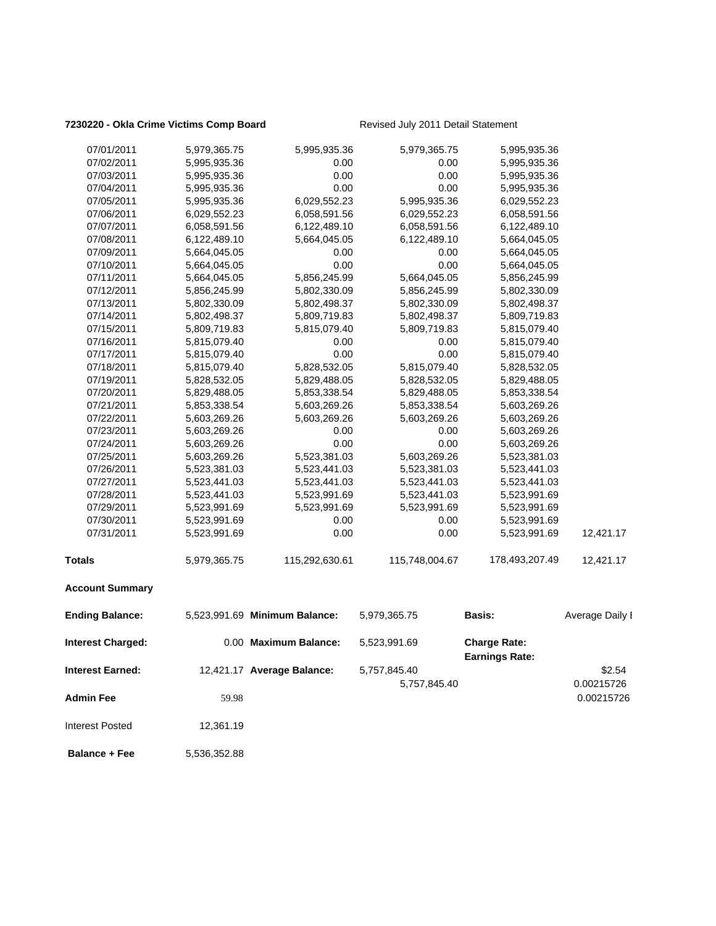### **7230220 - Okla Crime Victims Comp Board** Revised July 2011 Detail Statement

| 07/01/2011               | 5,979,365.75 | 5,995,935.36                  | 5,979,365.75         | 5,995,935.36                                 |                 |
|--------------------------|--------------|-------------------------------|----------------------|----------------------------------------------|-----------------|
| 07/02/2011               | 5,995,935.36 | 0.00                          | 0.00                 | 5,995,935.36                                 |                 |
| 07/03/2011               | 5,995,935.36 | 0.00                          | 0.00                 | 5,995,935.36                                 |                 |
| 07/04/2011               | 5,995,935.36 | 0.00                          | 0.00                 | 5,995,935.36                                 |                 |
| 07/05/2011               | 5,995,935.36 | 6,029,552.23                  | 5,995,935.36         | 6,029,552.23                                 |                 |
| 07/06/2011               | 6,029,552.23 | 6,058,591.56                  | 6,029,552.23         | 6,058,591.56                                 |                 |
| 07/07/2011               | 6,058,591.56 | 6,122,489.10                  | 6,058,591.56         | 6,122,489.10                                 |                 |
| 07/08/2011               | 6,122,489.10 | 5,664,045.05                  | 6,122,489.10         | 5,664,045.05                                 |                 |
| 07/09/2011               | 5,664,045.05 | 0.00                          | 0.00                 | 5,664,045.05                                 |                 |
| 07/10/2011               | 5,664,045.05 | 0.00                          | 0.00                 | 5,664,045.05                                 |                 |
| 07/11/2011               | 5,664,045.05 | 5,856,245.99                  | 5,664,045.05         | 5,856,245.99                                 |                 |
| 07/12/2011               | 5,856,245.99 | 5,802,330.09                  | 5,856,245.99         | 5,802,330.09                                 |                 |
| 07/13/2011               | 5,802,330.09 | 5,802,498.37                  | 5,802,330.09         | 5,802,498.37                                 |                 |
| 07/14/2011               | 5,802,498.37 | 5,809,719.83                  | 5,802,498.37         | 5,809,719.83                                 |                 |
| 07/15/2011               | 5,809,719.83 | 5,815,079.40                  | 5,809,719.83         | 5,815,079.40                                 |                 |
| 07/16/2011               | 5,815,079.40 | 0.00                          | 0.00                 | 5,815,079.40                                 |                 |
| 07/17/2011               | 5,815,079.40 | 0.00                          | 0.00                 | 5,815,079.40                                 |                 |
| 07/18/2011               | 5,815,079.40 | 5,828,532.05                  | 5,815,079.40         | 5,828,532.05                                 |                 |
| 07/19/2011               | 5,828,532.05 | 5,829,488.05                  | 5,828,532.05         | 5,829,488.05                                 |                 |
| 07/20/2011               | 5,829,488.05 | 5,853,338.54                  |                      | 5,853,338.54                                 |                 |
|                          |              |                               | 5,829,488.05         |                                              |                 |
| 07/21/2011               | 5,853,338.54 | 5,603,269.26                  | 5,853,338.54         | 5,603,269.26                                 |                 |
| 07/22/2011               | 5,603,269.26 | 5,603,269.26                  | 5,603,269.26         | 5,603,269.26                                 |                 |
| 07/23/2011               | 5,603,269.26 | 0.00                          | 0.00                 | 5,603,269.26                                 |                 |
| 07/24/2011               | 5,603,269.26 | 0.00<br>5,523,381.03          | 0.00<br>5,603,269.26 | 5,603,269.26                                 |                 |
| 07/25/2011               | 5,603,269.26 |                               |                      | 5,523,381.03                                 |                 |
| 07/26/2011               | 5,523,381.03 | 5,523,441.03                  | 5,523,381.03         | 5,523,441.03                                 |                 |
| 07/27/2011               | 5,523,441.03 | 5,523,441.03                  | 5,523,441.03         | 5,523,441.03                                 |                 |
| 07/28/2011               | 5,523,441.03 | 5,523,991.69                  | 5,523,441.03         | 5,523,991.69                                 |                 |
| 07/29/2011               | 5,523,991.69 | 5,523,991.69                  | 5,523,991.69         | 5,523,991.69                                 |                 |
| 07/30/2011               | 5,523,991.69 | 0.00                          | 0.00                 | 5,523,991.69                                 |                 |
| 07/31/2011               | 5,523,991.69 | 0.00                          | 0.00                 | 5,523,991.69                                 | 12,421.17       |
| <b>Totals</b>            | 5,979,365.75 | 115,292,630.61                | 115,748,004.67       | 178,493,207.49                               | 12,421.17       |
| <b>Account Summary</b>   |              |                               |                      |                                              |                 |
| <b>Ending Balance:</b>   |              | 5,523,991.69 Minimum Balance: | 5,979,365.75         | Basis:                                       | Average Daily I |
| <b>Interest Charged:</b> |              | 0.00 Maximum Balance:         | 5,523,991.69         | <b>Charge Rate:</b><br><b>Earnings Rate:</b> |                 |
| <b>Interest Earned:</b>  |              | 12,421.17 Average Balance:    | 5,757,845.40         |                                              | \$2.54          |
|                          |              |                               | 5,757,845.40         |                                              | 0.00215726      |
| <b>Admin Fee</b>         | 59.98        |                               |                      |                                              | 0.00215726      |
| <b>Interest Posted</b>   | 12,361.19    |                               |                      |                                              |                 |
|                          |              |                               |                      |                                              |                 |

**Balance + Fee** 5,536,352.88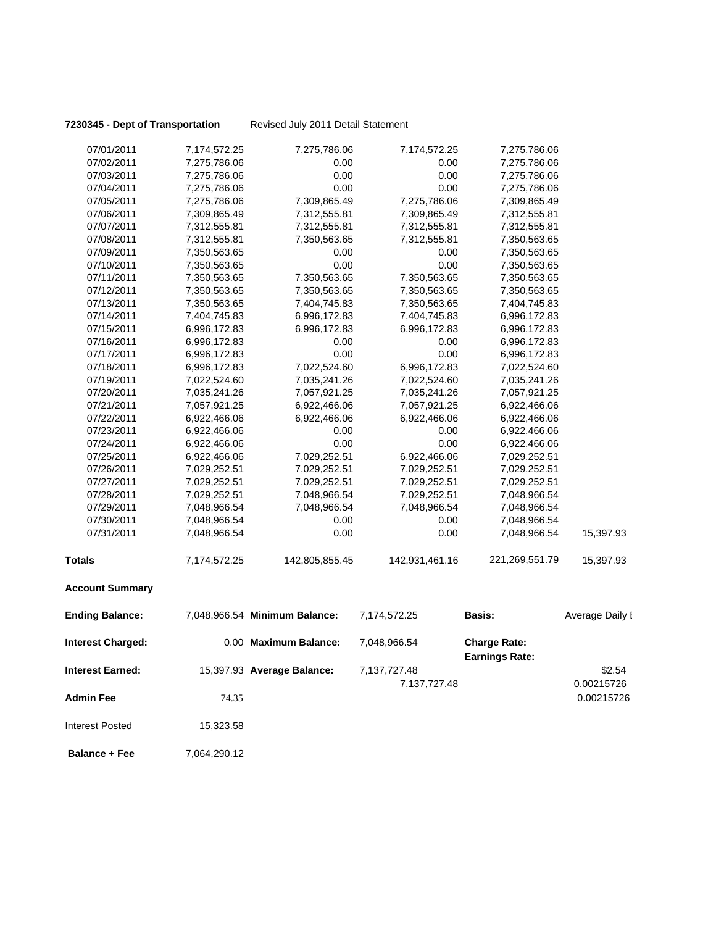**7230345 - Dept of Transportation** Revised July 2011 Detail Statement

| 07/01/2011               | 7,174,572.25 | 7,275,786.06                  | 7,174,572.25   | 7,275,786.06                                 |                 |
|--------------------------|--------------|-------------------------------|----------------|----------------------------------------------|-----------------|
| 07/02/2011               | 7,275,786.06 | 0.00                          | 0.00           | 7,275,786.06                                 |                 |
| 07/03/2011               | 7,275,786.06 | 0.00                          | 0.00           | 7,275,786.06                                 |                 |
| 07/04/2011               | 7,275,786.06 | 0.00                          | 0.00           | 7,275,786.06                                 |                 |
| 07/05/2011               | 7,275,786.06 | 7,309,865.49                  | 7,275,786.06   | 7,309,865.49                                 |                 |
| 07/06/2011               | 7,309,865.49 | 7,312,555.81                  | 7,309,865.49   | 7,312,555.81                                 |                 |
| 07/07/2011               | 7,312,555.81 | 7,312,555.81                  | 7,312,555.81   | 7,312,555.81                                 |                 |
| 07/08/2011               | 7,312,555.81 | 7,350,563.65                  | 7,312,555.81   | 7,350,563.65                                 |                 |
| 07/09/2011               | 7,350,563.65 | 0.00                          | 0.00           | 7,350,563.65                                 |                 |
| 07/10/2011               | 7,350,563.65 | 0.00                          | 0.00           | 7,350,563.65                                 |                 |
| 07/11/2011               | 7,350,563.65 | 7,350,563.65                  | 7,350,563.65   | 7,350,563.65                                 |                 |
| 07/12/2011               | 7,350,563.65 | 7,350,563.65                  | 7,350,563.65   | 7,350,563.65                                 |                 |
| 07/13/2011               | 7,350,563.65 | 7,404,745.83                  | 7,350,563.65   | 7,404,745.83                                 |                 |
| 07/14/2011               | 7,404,745.83 | 6,996,172.83                  | 7,404,745.83   | 6,996,172.83                                 |                 |
| 07/15/2011               | 6,996,172.83 | 6,996,172.83                  | 6,996,172.83   | 6,996,172.83                                 |                 |
| 07/16/2011               | 6,996,172.83 | 0.00                          | 0.00           | 6,996,172.83                                 |                 |
| 07/17/2011               | 6,996,172.83 | 0.00                          | 0.00           | 6,996,172.83                                 |                 |
| 07/18/2011               | 6,996,172.83 | 7,022,524.60                  | 6,996,172.83   | 7,022,524.60                                 |                 |
| 07/19/2011               | 7,022,524.60 | 7,035,241.26                  | 7,022,524.60   | 7,035,241.26                                 |                 |
| 07/20/2011               | 7,035,241.26 | 7,057,921.25                  | 7,035,241.26   | 7,057,921.25                                 |                 |
| 07/21/2011               | 7,057,921.25 | 6,922,466.06                  | 7,057,921.25   | 6,922,466.06                                 |                 |
| 07/22/2011               | 6,922,466.06 | 6,922,466.06                  | 6,922,466.06   | 6,922,466.06                                 |                 |
| 07/23/2011               | 6,922,466.06 | 0.00                          | 0.00           | 6,922,466.06                                 |                 |
| 07/24/2011               | 6,922,466.06 | 0.00                          | 0.00           | 6,922,466.06                                 |                 |
| 07/25/2011               | 6,922,466.06 | 7,029,252.51                  | 6,922,466.06   | 7,029,252.51                                 |                 |
| 07/26/2011               | 7,029,252.51 | 7,029,252.51                  | 7,029,252.51   | 7,029,252.51                                 |                 |
| 07/27/2011               | 7,029,252.51 | 7,029,252.51                  | 7,029,252.51   | 7,029,252.51                                 |                 |
| 07/28/2011               | 7,029,252.51 | 7,048,966.54                  | 7,029,252.51   | 7,048,966.54                                 |                 |
| 07/29/2011               | 7,048,966.54 | 7,048,966.54                  | 7,048,966.54   | 7,048,966.54                                 |                 |
| 07/30/2011               | 7,048,966.54 | 0.00                          | 0.00           | 7,048,966.54                                 |                 |
| 07/31/2011               | 7,048,966.54 | 0.00                          | 0.00           | 7,048,966.54                                 | 15,397.93       |
| <b>Totals</b>            | 7,174,572.25 | 142,805,855.45                | 142,931,461.16 | 221,269,551.79                               | 15,397.93       |
| <b>Account Summary</b>   |              |                               |                |                                              |                 |
| <b>Ending Balance:</b>   |              | 7,048,966.54 Minimum Balance: | 7,174,572.25   | <b>Basis:</b>                                | Average Daily I |
| <b>Interest Charged:</b> |              | 0.00 Maximum Balance:         | 7,048,966.54   | <b>Charge Rate:</b><br><b>Earnings Rate:</b> |                 |
| <b>Interest Earned:</b>  |              | 15,397.93 Average Balance:    | 7,137,727.48   |                                              | \$2.54          |
|                          |              |                               | 7,137,727.48   |                                              | 0.00215726      |
| <b>Admin Fee</b>         | 74.35        |                               |                |                                              | 0.00215726      |
| <b>Interest Posted</b>   | 15,323.58    |                               |                |                                              |                 |
| <b>Balance + Fee</b>     | 7,064,290.12 |                               |                |                                              |                 |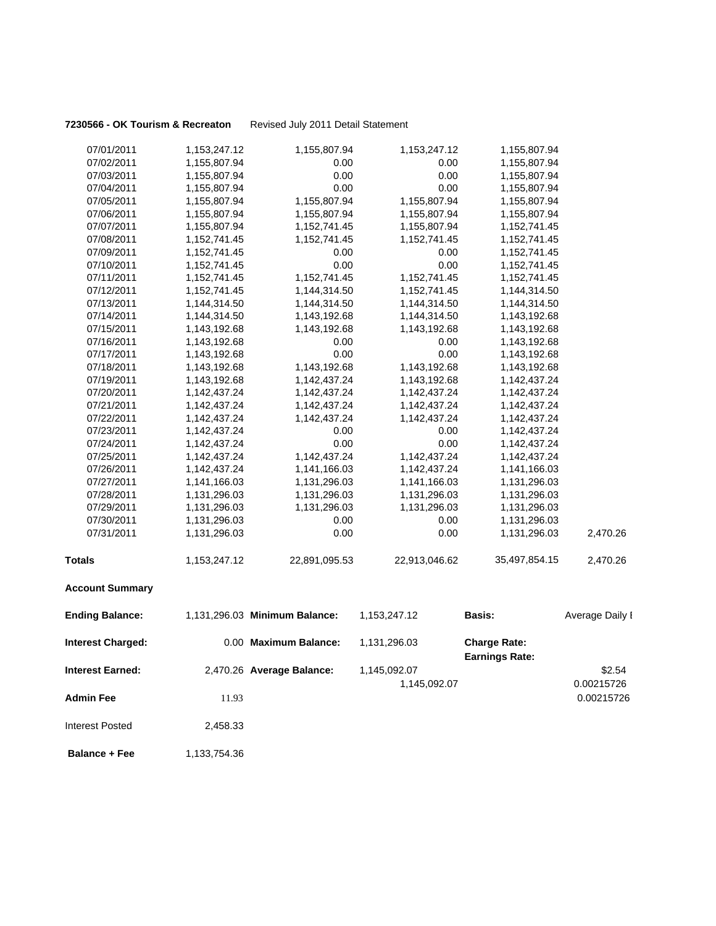### **7230566 - OK Tourism & Recreaton** Revised July 2011 Detail Statement

| 07/01/2011               | 1,153,247.12    | 1,155,807.94                  | 1,153,247.12  | 1,155,807.94                                 |                 |
|--------------------------|-----------------|-------------------------------|---------------|----------------------------------------------|-----------------|
| 07/02/2011               | 1,155,807.94    | 0.00                          | 0.00          | 1,155,807.94                                 |                 |
| 07/03/2011               | 1,155,807.94    | 0.00                          | 0.00          | 1,155,807.94                                 |                 |
| 07/04/2011               | 1,155,807.94    | 0.00                          | 0.00          | 1,155,807.94                                 |                 |
| 07/05/2011               | 1,155,807.94    | 1,155,807.94                  | 1,155,807.94  | 1,155,807.94                                 |                 |
| 07/06/2011               | 1,155,807.94    | 1,155,807.94                  | 1,155,807.94  | 1,155,807.94                                 |                 |
| 07/07/2011               | 1,155,807.94    | 1,152,741.45                  | 1,155,807.94  | 1,152,741.45                                 |                 |
| 07/08/2011               | 1, 152, 741. 45 | 1,152,741.45                  | 1,152,741.45  | 1,152,741.45                                 |                 |
| 07/09/2011               | 1,152,741.45    | 0.00                          | 0.00          | 1,152,741.45                                 |                 |
| 07/10/2011               | 1,152,741.45    | 0.00                          | 0.00          | 1,152,741.45                                 |                 |
| 07/11/2011               | 1,152,741.45    | 1,152,741.45                  | 1,152,741.45  | 1,152,741.45                                 |                 |
| 07/12/2011               | 1,152,741.45    | 1,144,314.50                  | 1,152,741.45  | 1,144,314.50                                 |                 |
| 07/13/2011               | 1,144,314.50    | 1,144,314.50                  | 1,144,314.50  | 1,144,314.50                                 |                 |
| 07/14/2011               | 1,144,314.50    | 1,143,192.68                  | 1,144,314.50  | 1,143,192.68                                 |                 |
| 07/15/2011               | 1,143,192.68    | 1,143,192.68                  | 1,143,192.68  | 1,143,192.68                                 |                 |
| 07/16/2011               | 1,143,192.68    | 0.00                          | 0.00          | 1,143,192.68                                 |                 |
| 07/17/2011               | 1,143,192.68    | 0.00                          | 0.00          | 1,143,192.68                                 |                 |
| 07/18/2011               | 1,143,192.68    | 1,143,192.68                  | 1,143,192.68  | 1,143,192.68                                 |                 |
| 07/19/2011               | 1,143,192.68    | 1,142,437.24                  | 1,143,192.68  | 1,142,437.24                                 |                 |
| 07/20/2011               | 1,142,437.24    | 1,142,437.24                  | 1,142,437.24  | 1,142,437.24                                 |                 |
| 07/21/2011               | 1,142,437.24    | 1,142,437.24                  | 1,142,437.24  | 1,142,437.24                                 |                 |
| 07/22/2011               | 1,142,437.24    | 1,142,437.24                  | 1,142,437.24  | 1,142,437.24                                 |                 |
| 07/23/2011               | 1,142,437.24    | 0.00                          | 0.00          | 1,142,437.24                                 |                 |
| 07/24/2011               | 1,142,437.24    | 0.00                          | 0.00          | 1,142,437.24                                 |                 |
| 07/25/2011               | 1,142,437.24    | 1,142,437.24                  | 1,142,437.24  | 1,142,437.24                                 |                 |
| 07/26/2011               | 1,142,437.24    | 1,141,166.03                  | 1,142,437.24  | 1,141,166.03                                 |                 |
| 07/27/2011               | 1,141,166.03    | 1,131,296.03                  | 1,141,166.03  | 1,131,296.03                                 |                 |
| 07/28/2011               | 1,131,296.03    | 1,131,296.03                  | 1,131,296.03  | 1,131,296.03                                 |                 |
| 07/29/2011               | 1,131,296.03    | 1,131,296.03                  | 1,131,296.03  | 1,131,296.03                                 |                 |
| 07/30/2011               | 1,131,296.03    | 0.00                          | 0.00          | 1,131,296.03                                 |                 |
| 07/31/2011               | 1,131,296.03    | 0.00                          | 0.00          | 1,131,296.03                                 | 2,470.26        |
| <b>Totals</b>            | 1,153,247.12    | 22,891,095.53                 | 22,913,046.62 | 35,497,854.15                                | 2,470.26        |
| <b>Account Summary</b>   |                 |                               |               |                                              |                 |
| <b>Ending Balance:</b>   |                 | 1,131,296.03 Minimum Balance: | 1,153,247.12  | Basis:                                       | Average Daily I |
| <b>Interest Charged:</b> |                 | 0.00 Maximum Balance:         | 1,131,296.03  | <b>Charge Rate:</b><br><b>Earnings Rate:</b> |                 |
| <b>Interest Earned:</b>  |                 | 2,470.26 Average Balance:     | 1,145,092.07  |                                              | \$2.54          |
|                          |                 |                               | 1,145,092.07  |                                              | 0.00215726      |
| <b>Admin Fee</b>         | 11.93           |                               |               |                                              | 0.00215726      |
| <b>Interest Posted</b>   | 2,458.33        |                               |               |                                              |                 |

**Balance + Fee** 1,133,754.36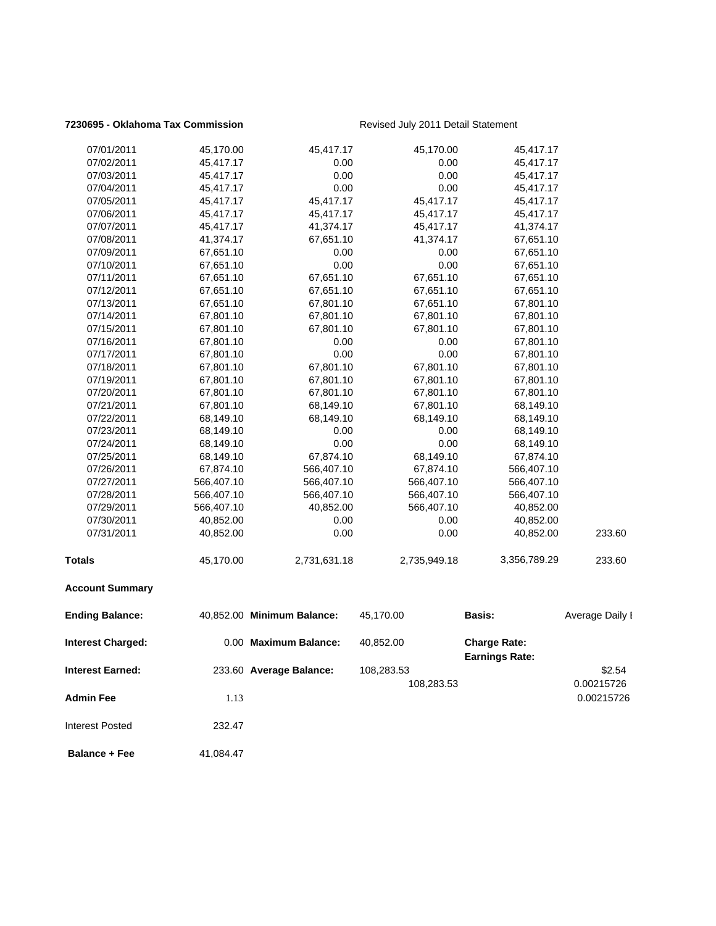### **7230695 - Oklahoma Tax Commission** Revised July 2011 Detail Statement

| 07/01/2011               | 45,170.00  | 45,417.17                  | 45,170.00    | 45,417.17             |                 |
|--------------------------|------------|----------------------------|--------------|-----------------------|-----------------|
| 07/02/2011               | 45,417.17  | 0.00                       | 0.00         | 45,417.17             |                 |
| 07/03/2011               | 45,417.17  | 0.00                       | 0.00         | 45,417.17             |                 |
| 07/04/2011               | 45,417.17  | 0.00                       | 0.00         | 45,417.17             |                 |
| 07/05/2011               | 45,417.17  | 45,417.17                  | 45,417.17    | 45,417.17             |                 |
| 07/06/2011               | 45,417.17  | 45,417.17                  | 45,417.17    | 45,417.17             |                 |
| 07/07/2011               | 45,417.17  | 41,374.17                  | 45,417.17    | 41,374.17             |                 |
| 07/08/2011               | 41,374.17  | 67,651.10                  | 41,374.17    | 67,651.10             |                 |
| 07/09/2011               | 67,651.10  | 0.00                       | 0.00         | 67,651.10             |                 |
| 07/10/2011               | 67,651.10  | 0.00                       | 0.00         | 67,651.10             |                 |
| 07/11/2011               | 67,651.10  | 67,651.10                  | 67,651.10    | 67,651.10             |                 |
| 07/12/2011               | 67,651.10  | 67.651.10                  | 67,651.10    | 67,651.10             |                 |
| 07/13/2011               | 67,651.10  | 67,801.10                  | 67,651.10    | 67,801.10             |                 |
| 07/14/2011               | 67,801.10  | 67,801.10                  | 67,801.10    | 67,801.10             |                 |
| 07/15/2011               | 67,801.10  | 67,801.10                  | 67,801.10    | 67,801.10             |                 |
| 07/16/2011               | 67,801.10  | 0.00                       | 0.00         | 67,801.10             |                 |
| 07/17/2011               | 67,801.10  | 0.00                       | 0.00         | 67,801.10             |                 |
| 07/18/2011               | 67,801.10  | 67,801.10                  | 67,801.10    | 67,801.10             |                 |
| 07/19/2011               | 67,801.10  | 67,801.10                  | 67,801.10    | 67,801.10             |                 |
| 07/20/2011               | 67,801.10  | 67,801.10                  | 67,801.10    | 67,801.10             |                 |
| 07/21/2011               | 67,801.10  | 68,149.10                  | 67,801.10    | 68,149.10             |                 |
| 07/22/2011               | 68,149.10  | 68,149.10                  | 68,149.10    | 68,149.10             |                 |
| 07/23/2011               | 68,149.10  | 0.00                       | 0.00         | 68,149.10             |                 |
| 07/24/2011               | 68,149.10  | 0.00                       | 0.00         | 68,149.10             |                 |
| 07/25/2011               | 68,149.10  | 67,874.10                  | 68,149.10    | 67,874.10             |                 |
| 07/26/2011               | 67,874.10  | 566,407.10                 | 67,874.10    | 566,407.10            |                 |
| 07/27/2011               | 566,407.10 | 566,407.10                 | 566,407.10   | 566,407.10            |                 |
| 07/28/2011               | 566,407.10 | 566,407.10                 | 566,407.10   | 566,407.10            |                 |
| 07/29/2011               | 566,407.10 | 40,852.00                  | 566,407.10   | 40,852.00             |                 |
| 07/30/2011               | 40,852.00  | 0.00                       | 0.00         | 40,852.00             |                 |
| 07/31/2011               | 40,852.00  | 0.00                       | 0.00         | 40,852.00             | 233.60          |
| Totals                   | 45,170.00  | 2,731,631.18               | 2,735,949.18 | 3,356,789.29          | 233.60          |
| <b>Account Summary</b>   |            |                            |              |                       |                 |
| <b>Ending Balance:</b>   |            | 40,852.00 Minimum Balance: | 45,170.00    | <b>Basis:</b>         | Average Daily I |
| <b>Interest Charged:</b> |            | 0.00 Maximum Balance:      | 40,852.00    | <b>Charge Rate:</b>   |                 |
| <b>Interest Earned:</b>  |            | 233.60 Average Balance:    | 108,283.53   | <b>Earnings Rate:</b> | \$2.54          |
|                          |            |                            | 108,283.53   |                       | 0.00215726      |
| <b>Admin Fee</b>         |            |                            |              |                       |                 |
|                          | 1.13       |                            |              |                       | 0.00215726      |
| <b>Interest Posted</b>   | 232.47     |                            |              |                       |                 |
| <b>Balance + Fee</b>     | 41,084.47  |                            |              |                       |                 |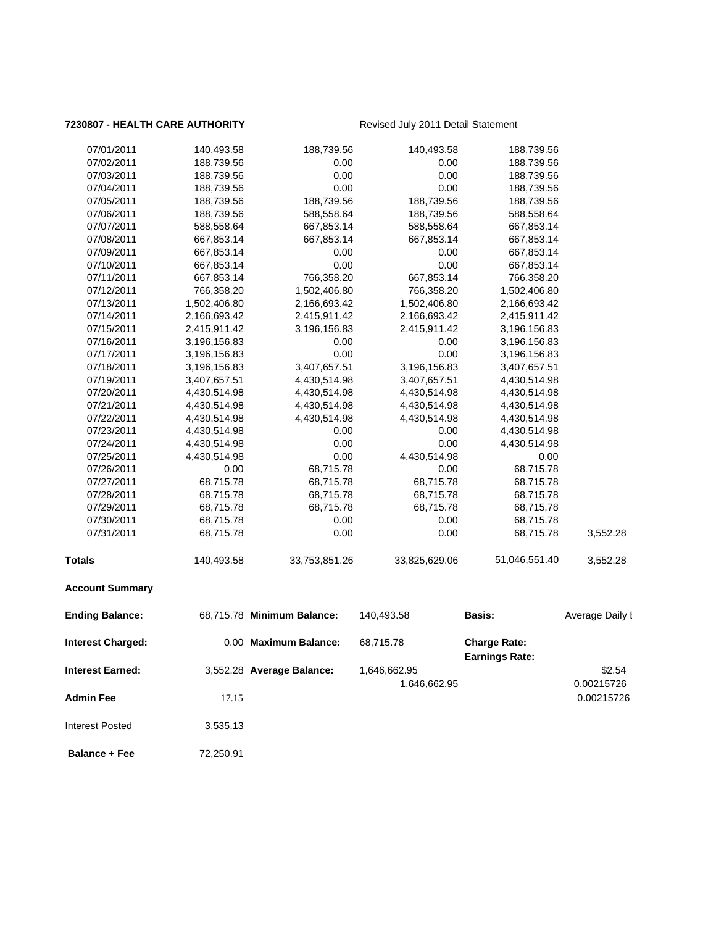### **7230807 - HEALTH CARE AUTHORITY** Revised July 2011 Detail Statement

| 07/01/2011              | 140,493.58   | 188,739.56                 | 140,493.58    | 188,739.56                                   |                 |
|-------------------------|--------------|----------------------------|---------------|----------------------------------------------|-----------------|
| 07/02/2011              | 188,739.56   | 0.00                       | 0.00          | 188,739.56                                   |                 |
| 07/03/2011              | 188,739.56   | 0.00                       | 0.00          | 188,739.56                                   |                 |
| 07/04/2011              | 188,739.56   | 0.00                       | 0.00          | 188,739.56                                   |                 |
| 07/05/2011              | 188,739.56   | 188,739.56                 | 188,739.56    | 188,739.56                                   |                 |
| 07/06/2011              | 188,739.56   | 588,558.64                 | 188,739.56    | 588,558.64                                   |                 |
| 07/07/2011              | 588,558.64   | 667,853.14                 | 588,558.64    | 667,853.14                                   |                 |
| 07/08/2011              | 667,853.14   | 667,853.14                 | 667,853.14    | 667,853.14                                   |                 |
| 07/09/2011              | 667,853.14   | 0.00                       | 0.00          | 667,853.14                                   |                 |
| 07/10/2011              | 667,853.14   | 0.00                       | 0.00          | 667,853.14                                   |                 |
| 07/11/2011              | 667,853.14   | 766,358.20                 | 667,853.14    | 766,358.20                                   |                 |
| 07/12/2011              | 766,358.20   | 1,502,406.80               | 766,358.20    | 1,502,406.80                                 |                 |
| 07/13/2011              | 1,502,406.80 | 2,166,693.42               | 1,502,406.80  | 2,166,693.42                                 |                 |
| 07/14/2011              | 2,166,693.42 | 2,415,911.42               | 2,166,693.42  | 2,415,911.42                                 |                 |
| 07/15/2011              | 2,415,911.42 | 3,196,156.83               | 2,415,911.42  | 3,196,156.83                                 |                 |
| 07/16/2011              | 3,196,156.83 | 0.00                       | 0.00          | 3,196,156.83                                 |                 |
| 07/17/2011              | 3,196,156.83 | 0.00                       | 0.00          | 3,196,156.83                                 |                 |
| 07/18/2011              | 3,196,156.83 | 3,407,657.51               | 3,196,156.83  | 3,407,657.51                                 |                 |
| 07/19/2011              | 3,407,657.51 | 4,430,514.98               | 3,407,657.51  | 4,430,514.98                                 |                 |
| 07/20/2011              | 4,430,514.98 | 4,430,514.98               | 4,430,514.98  | 4,430,514.98                                 |                 |
| 07/21/2011              | 4,430,514.98 | 4,430,514.98               | 4,430,514.98  | 4,430,514.98                                 |                 |
| 07/22/2011              | 4,430,514.98 | 4,430,514.98               | 4,430,514.98  | 4,430,514.98                                 |                 |
| 07/23/2011              | 4,430,514.98 | 0.00                       | 0.00          | 4,430,514.98                                 |                 |
| 07/24/2011              | 4,430,514.98 | 0.00                       | 0.00          | 4,430,514.98                                 |                 |
| 07/25/2011              | 4,430,514.98 | 0.00                       | 4,430,514.98  | 0.00                                         |                 |
| 07/26/2011              | 0.00         | 68,715.78                  | 0.00          | 68,715.78                                    |                 |
| 07/27/2011              | 68,715.78    | 68,715.78                  | 68,715.78     | 68,715.78                                    |                 |
| 07/28/2011              | 68,715.78    | 68,715.78                  | 68,715.78     | 68,715.78                                    |                 |
| 07/29/2011              | 68,715.78    | 68,715.78                  | 68,715.78     | 68,715.78                                    |                 |
| 07/30/2011              | 68,715.78    | 0.00                       | 0.00          | 68,715.78                                    |                 |
| 07/31/2011              | 68,715.78    | 0.00                       | 0.00          | 68,715.78                                    | 3,552.28        |
| <b>Totals</b>           | 140,493.58   | 33,753,851.26              | 33,825,629.06 | 51,046,551.40                                | 3,552.28        |
| <b>Account Summary</b>  |              |                            |               |                                              |                 |
| <b>Ending Balance:</b>  |              | 68,715.78 Minimum Balance: | 140,493.58    | <b>Basis:</b>                                | Average Daily I |
| Interest Charged:       |              | 0.00 Maximum Balance:      | 68,715.78     | <b>Charge Rate:</b><br><b>Earnings Rate:</b> |                 |
| <b>Interest Earned:</b> |              | 3,552.28 Average Balance:  | 1,646,662.95  |                                              | \$2.54          |
|                         |              |                            | 1,646,662.95  |                                              | 0.00215726      |
| <b>Admin Fee</b>        | 17.15        |                            |               |                                              | 0.00215726      |
|                         |              |                            |               |                                              |                 |
| <b>Interest Posted</b>  | 3,535.13     |                            |               |                                              |                 |
| <b>Balance + Fee</b>    | 72,250.91    |                            |               |                                              |                 |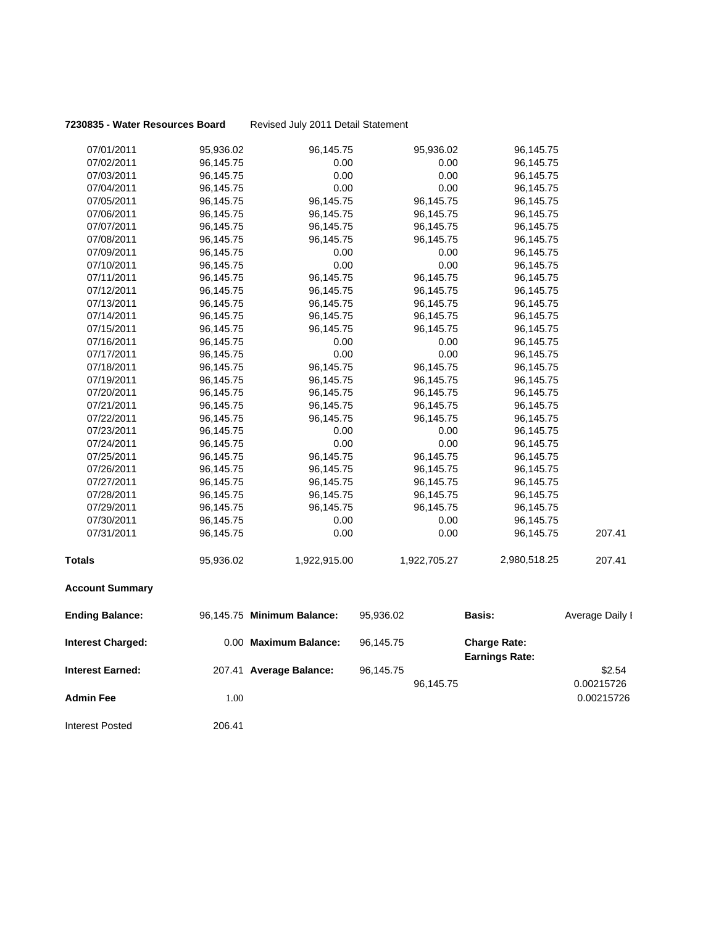### **7230835 - Water Resources Board** Revised July 2011 Detail Statement

| 07/01/2011               | 95,936.02 | 96,145.75                  | 95,936.02    | 96,145.75                                    |                 |
|--------------------------|-----------|----------------------------|--------------|----------------------------------------------|-----------------|
| 07/02/2011               | 96,145.75 | 0.00                       | 0.00         | 96,145.75                                    |                 |
| 07/03/2011               | 96,145.75 | 0.00                       | 0.00         | 96,145.75                                    |                 |
| 07/04/2011               | 96,145.75 | 0.00                       | 0.00         | 96,145.75                                    |                 |
| 07/05/2011               | 96,145.75 | 96,145.75                  | 96,145.75    | 96,145.75                                    |                 |
| 07/06/2011               | 96,145.75 | 96,145.75                  | 96,145.75    | 96,145.75                                    |                 |
| 07/07/2011               | 96,145.75 | 96,145.75                  | 96,145.75    | 96,145.75                                    |                 |
| 07/08/2011               | 96,145.75 | 96,145.75                  | 96,145.75    | 96,145.75                                    |                 |
| 07/09/2011               | 96,145.75 | 0.00                       | 0.00         | 96,145.75                                    |                 |
| 07/10/2011               | 96,145.75 | 0.00                       | 0.00         | 96,145.75                                    |                 |
| 07/11/2011               | 96,145.75 | 96,145.75                  | 96,145.75    | 96,145.75                                    |                 |
| 07/12/2011               | 96,145.75 | 96,145.75                  | 96,145.75    | 96,145.75                                    |                 |
| 07/13/2011               | 96,145.75 | 96,145.75                  | 96,145.75    | 96,145.75                                    |                 |
| 07/14/2011               | 96,145.75 | 96,145.75                  | 96,145.75    | 96,145.75                                    |                 |
| 07/15/2011               | 96,145.75 | 96,145.75                  | 96,145.75    | 96,145.75                                    |                 |
| 07/16/2011               | 96,145.75 | 0.00                       | 0.00         | 96,145.75                                    |                 |
| 07/17/2011               | 96,145.75 | 0.00                       | 0.00         | 96,145.75                                    |                 |
| 07/18/2011               | 96,145.75 | 96,145.75                  | 96,145.75    | 96,145.75                                    |                 |
| 07/19/2011               | 96,145.75 | 96,145.75                  | 96,145.75    | 96,145.75                                    |                 |
| 07/20/2011               | 96,145.75 | 96,145.75                  | 96,145.75    | 96,145.75                                    |                 |
| 07/21/2011               | 96,145.75 | 96,145.75                  | 96,145.75    | 96,145.75                                    |                 |
| 07/22/2011               | 96,145.75 | 96,145.75                  | 96,145.75    | 96,145.75                                    |                 |
| 07/23/2011               | 96,145.75 | 0.00                       | 0.00         | 96,145.75                                    |                 |
| 07/24/2011               | 96,145.75 | 0.00                       | 0.00         | 96,145.75                                    |                 |
| 07/25/2011               | 96,145.75 | 96,145.75                  | 96,145.75    | 96,145.75                                    |                 |
| 07/26/2011               | 96,145.75 | 96,145.75                  | 96,145.75    | 96,145.75                                    |                 |
| 07/27/2011               | 96,145.75 | 96,145.75                  | 96,145.75    | 96,145.75                                    |                 |
| 07/28/2011               | 96,145.75 | 96,145.75                  | 96,145.75    | 96,145.75                                    |                 |
| 07/29/2011               | 96,145.75 | 96,145.75                  | 96,145.75    | 96,145.75                                    |                 |
| 07/30/2011               | 96,145.75 | 0.00                       | 0.00         | 96,145.75                                    |                 |
| 07/31/2011               | 96,145.75 | 0.00                       | 0.00         | 96,145.75                                    | 207.41          |
| <b>Totals</b>            | 95,936.02 | 1,922,915.00               | 1,922,705.27 | 2,980,518.25                                 | 207.41          |
| <b>Account Summary</b>   |           |                            |              |                                              |                 |
| <b>Ending Balance:</b>   |           | 96,145.75 Minimum Balance: | 95,936.02    | Basis:                                       | Average Daily I |
| <b>Interest Charged:</b> |           | 0.00 Maximum Balance:      | 96,145.75    | <b>Charge Rate:</b><br><b>Earnings Rate:</b> |                 |
| <b>Interest Earned:</b>  |           | 207.41 Average Balance:    | 96,145.75    |                                              | \$2.54          |
|                          |           |                            | 96,145.75    |                                              | 0.00215726      |
| <b>Admin Fee</b>         | 1.00      |                            |              |                                              | 0.00215726      |
| <b>Interest Posted</b>   | 206.41    |                            |              |                                              |                 |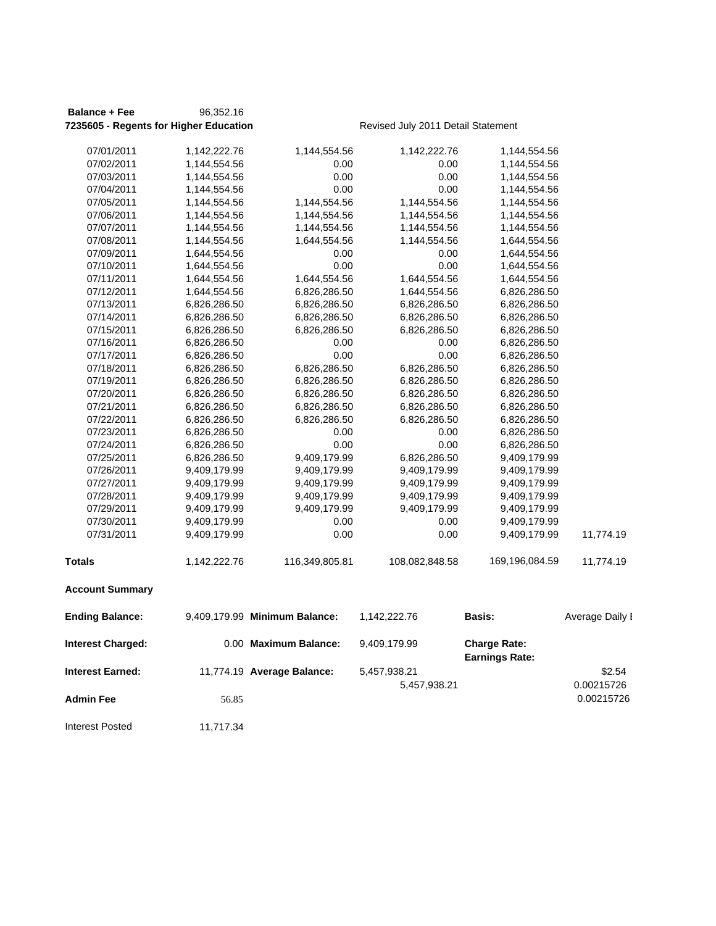### **Balance + Fee** 96,352.16 **7235605 - Regents for Higher Education Revised July 2011 Detail Statement**

| 07/01/2011               | 1,142,222.76 | 1,144,554.56                  | 1,142,222.76   | 1,144,554.56                                 |                 |
|--------------------------|--------------|-------------------------------|----------------|----------------------------------------------|-----------------|
| 07/02/2011               | 1,144,554.56 | 0.00                          | 0.00           | 1,144,554.56                                 |                 |
| 07/03/2011               | 1,144,554.56 | 0.00                          | 0.00           | 1,144,554.56                                 |                 |
| 07/04/2011               | 1,144,554.56 | 0.00                          | 0.00           | 1,144,554.56                                 |                 |
| 07/05/2011               | 1,144,554.56 | 1,144,554.56                  | 1,144,554.56   | 1,144,554.56                                 |                 |
| 07/06/2011               | 1,144,554.56 | 1,144,554.56                  | 1,144,554.56   | 1,144,554.56                                 |                 |
| 07/07/2011               | 1,144,554.56 | 1,144,554.56                  | 1,144,554.56   | 1,144,554.56                                 |                 |
| 07/08/2011               | 1,144,554.56 | 1,644,554.56                  | 1,144,554.56   | 1,644,554.56                                 |                 |
| 07/09/2011               | 1,644,554.56 | 0.00                          | 0.00           | 1,644,554.56                                 |                 |
| 07/10/2011               | 1,644,554.56 | 0.00                          | 0.00           | 1,644,554.56                                 |                 |
| 07/11/2011               | 1,644,554.56 | 1,644,554.56                  | 1,644,554.56   | 1,644,554.56                                 |                 |
| 07/12/2011               | 1,644,554.56 | 6,826,286.50                  | 1,644,554.56   | 6,826,286.50                                 |                 |
| 07/13/2011               | 6,826,286.50 | 6,826,286.50                  | 6,826,286.50   | 6,826,286.50                                 |                 |
| 07/14/2011               | 6,826,286.50 | 6,826,286.50                  | 6,826,286.50   | 6,826,286.50                                 |                 |
| 07/15/2011               | 6,826,286.50 | 6,826,286.50                  | 6,826,286.50   | 6,826,286.50                                 |                 |
| 07/16/2011               | 6,826,286.50 | 0.00                          | 0.00           | 6,826,286.50                                 |                 |
| 07/17/2011               | 6,826,286.50 | 0.00                          | 0.00           | 6,826,286.50                                 |                 |
| 07/18/2011               | 6,826,286.50 | 6,826,286.50                  | 6,826,286.50   | 6,826,286.50                                 |                 |
| 07/19/2011               | 6,826,286.50 | 6,826,286.50                  | 6,826,286.50   | 6,826,286.50                                 |                 |
| 07/20/2011               | 6,826,286.50 | 6,826,286.50                  | 6,826,286.50   | 6,826,286.50                                 |                 |
| 07/21/2011               | 6,826,286.50 | 6,826,286.50                  | 6,826,286.50   | 6,826,286.50                                 |                 |
| 07/22/2011               | 6,826,286.50 | 6,826,286.50                  | 6,826,286.50   | 6,826,286.50                                 |                 |
| 07/23/2011               | 6,826,286.50 | 0.00                          | 0.00           | 6,826,286.50                                 |                 |
| 07/24/2011               | 6,826,286.50 | 0.00                          | 0.00           | 6,826,286.50                                 |                 |
| 07/25/2011               | 6,826,286.50 | 9,409,179.99                  | 6,826,286.50   | 9,409,179.99                                 |                 |
| 07/26/2011               | 9,409,179.99 | 9,409,179.99                  | 9,409,179.99   | 9,409,179.99                                 |                 |
| 07/27/2011               | 9,409,179.99 | 9,409,179.99                  | 9,409,179.99   | 9,409,179.99                                 |                 |
| 07/28/2011               | 9,409,179.99 | 9,409,179.99                  | 9,409,179.99   | 9,409,179.99                                 |                 |
| 07/29/2011               | 9,409,179.99 | 9,409,179.99                  | 9,409,179.99   | 9,409,179.99                                 |                 |
| 07/30/2011               | 9,409,179.99 | 0.00                          | 0.00           | 9,409,179.99                                 |                 |
| 07/31/2011               | 9,409,179.99 | 0.00                          | 0.00           | 9,409,179.99                                 | 11,774.19       |
| <b>Totals</b>            | 1,142,222.76 | 116,349,805.81                | 108,082,848.58 | 169,196,084.59                               | 11,774.19       |
| <b>Account Summary</b>   |              |                               |                |                                              |                 |
| <b>Ending Balance:</b>   |              | 9,409,179.99 Minimum Balance: | 1,142,222.76   | Basis:                                       | Average Daily I |
| <b>Interest Charged:</b> |              | 0.00 Maximum Balance:         | 9,409,179.99   | <b>Charge Rate:</b><br><b>Earnings Rate:</b> |                 |
| Interest Earned:         |              | 11,774.19 Average Balance:    | 5,457,938.21   |                                              | \$2.54          |
|                          |              |                               | 5,457,938.21   |                                              | 0.00215726      |
|                          |              |                               |                |                                              |                 |
| Admin Fee                | 56.85        |                               |                |                                              | 0.00215726      |

Interest Posted 11,717.34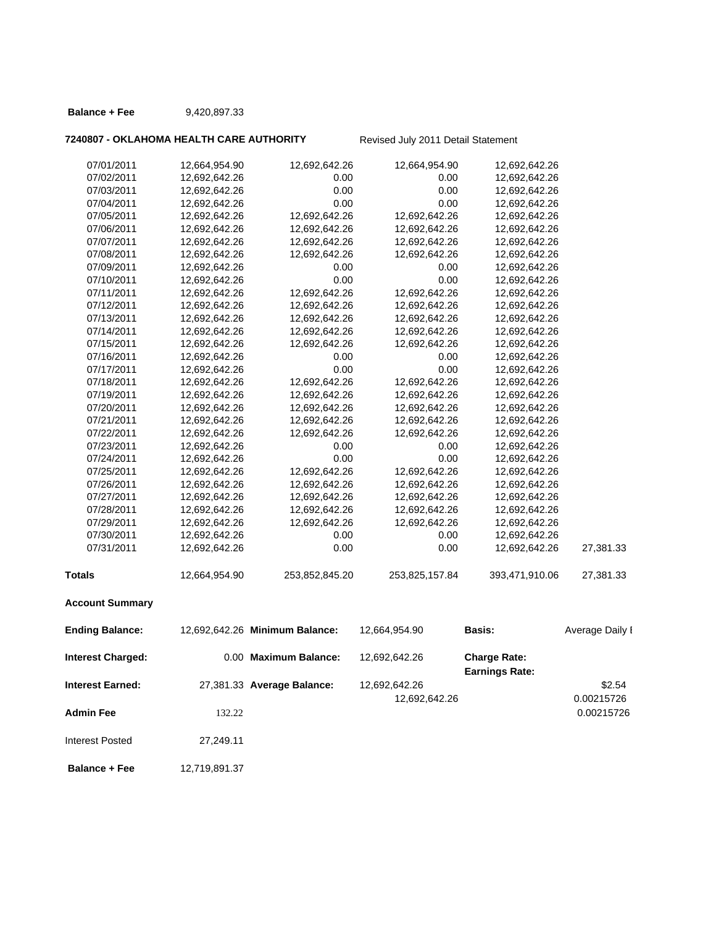### **Balance + Fee** 9,420,897.33

### **7240807 - OKLAHOMA HEALTH CARE AUTHORITY** Revised July 2011 Detail Statement

| 07/01/2011               | 12,664,954.90 | 12,692,642.26                  | 12,664,954.90  | 12,692,642.26                                |                 |
|--------------------------|---------------|--------------------------------|----------------|----------------------------------------------|-----------------|
| 07/02/2011               | 12,692,642.26 | 0.00                           | 0.00           | 12,692,642.26                                |                 |
| 07/03/2011               | 12,692,642.26 | 0.00                           | 0.00           | 12,692,642.26                                |                 |
| 07/04/2011               | 12,692,642.26 | 0.00                           | 0.00           | 12,692,642.26                                |                 |
| 07/05/2011               | 12,692,642.26 | 12,692,642.26                  | 12,692,642.26  | 12,692,642.26                                |                 |
| 07/06/2011               | 12,692,642.26 | 12,692,642.26                  | 12,692,642.26  | 12,692,642.26                                |                 |
| 07/07/2011               | 12,692,642.26 | 12,692,642.26                  | 12,692,642.26  | 12,692,642.26                                |                 |
| 07/08/2011               | 12,692,642.26 | 12,692,642.26                  | 12,692,642.26  | 12,692,642.26                                |                 |
| 07/09/2011               | 12,692,642.26 | 0.00                           | 0.00           | 12,692,642.26                                |                 |
| 07/10/2011               | 12,692,642.26 | 0.00                           | 0.00           | 12,692,642.26                                |                 |
| 07/11/2011               | 12,692,642.26 | 12,692,642.26                  | 12,692,642.26  | 12,692,642.26                                |                 |
| 07/12/2011               | 12,692,642.26 | 12,692,642.26                  | 12,692,642.26  | 12,692,642.26                                |                 |
| 07/13/2011               | 12,692,642.26 | 12,692,642.26                  | 12,692,642.26  | 12,692,642.26                                |                 |
| 07/14/2011               | 12,692,642.26 | 12,692,642.26                  | 12,692,642.26  | 12,692,642.26                                |                 |
| 07/15/2011               | 12,692,642.26 | 12,692,642.26                  | 12,692,642.26  | 12,692,642.26                                |                 |
| 07/16/2011               | 12,692,642.26 | 0.00                           | 0.00           | 12,692,642.26                                |                 |
| 07/17/2011               | 12,692,642.26 | 0.00                           | 0.00           | 12,692,642.26                                |                 |
| 07/18/2011               | 12,692,642.26 | 12,692,642.26                  | 12,692,642.26  | 12,692,642.26                                |                 |
| 07/19/2011               | 12,692,642.26 | 12,692,642.26                  | 12,692,642.26  | 12,692,642.26                                |                 |
| 07/20/2011               | 12,692,642.26 | 12,692,642.26                  | 12,692,642.26  | 12,692,642.26                                |                 |
| 07/21/2011               | 12,692,642.26 | 12,692,642.26                  | 12,692,642.26  | 12,692,642.26                                |                 |
| 07/22/2011               | 12,692,642.26 | 12,692,642.26                  | 12,692,642.26  | 12,692,642.26                                |                 |
| 07/23/2011               | 12,692,642.26 | 0.00                           | 0.00           | 12,692,642.26                                |                 |
| 07/24/2011               | 12,692,642.26 | 0.00                           | 0.00           | 12,692,642.26                                |                 |
| 07/25/2011               | 12,692,642.26 | 12,692,642.26                  | 12,692,642.26  | 12,692,642.26                                |                 |
| 07/26/2011               | 12,692,642.26 | 12,692,642.26                  | 12,692,642.26  | 12,692,642.26                                |                 |
| 07/27/2011               | 12,692,642.26 | 12,692,642.26                  | 12,692,642.26  | 12,692,642.26                                |                 |
| 07/28/2011               | 12,692,642.26 | 12,692,642.26                  | 12,692,642.26  | 12,692,642.26                                |                 |
| 07/29/2011               | 12,692,642.26 | 12,692,642.26                  | 12,692,642.26  | 12,692,642.26                                |                 |
| 07/30/2011               | 12,692,642.26 | 0.00                           | 0.00           | 12,692,642.26                                |                 |
| 07/31/2011               | 12,692,642.26 | 0.00                           | 0.00           | 12,692,642.26                                | 27,381.33       |
| <b>Totals</b>            | 12,664,954.90 | 253,852,845.20                 | 253,825,157.84 | 393,471,910.06                               | 27,381.33       |
| <b>Account Summary</b>   |               |                                |                |                                              |                 |
| <b>Ending Balance:</b>   |               | 12,692,642.26 Minimum Balance: | 12,664,954.90  | <b>Basis:</b>                                | Average Daily I |
| <b>Interest Charged:</b> |               | 0.00 Maximum Balance:          | 12,692,642.26  | <b>Charge Rate:</b><br><b>Earnings Rate:</b> |                 |
| <b>Interest Earned:</b>  |               | 27,381.33 Average Balance:     | 12,692,642.26  |                                              | \$2.54          |
|                          |               |                                | 12,692,642.26  |                                              | 0.00215726      |
| <b>Admin Fee</b>         | 132.22        |                                |                |                                              | 0.00215726      |
| <b>Interest Posted</b>   | 27,249.11     |                                |                |                                              |                 |

**Balance + Fee** 12,719,891.37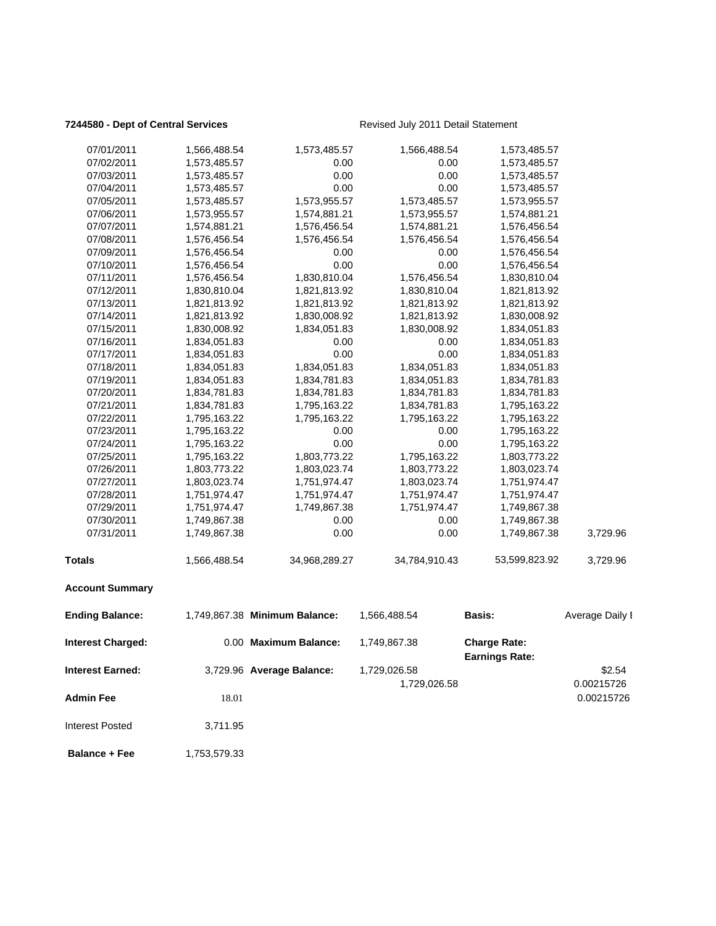### **7244580 - Dept of Central Services Revised July 2011 Detail Statement**

| <b>Interest Earned:</b>  |              | 3,729.96 Average Balance:     | 1,729,026.58<br>1,729,026.58 |                                              | \$2.54<br>0.00215726 |
|--------------------------|--------------|-------------------------------|------------------------------|----------------------------------------------|----------------------|
| <b>Interest Charged:</b> |              | 0.00 Maximum Balance:         | 1,749,867.38                 | <b>Charge Rate:</b><br><b>Earnings Rate:</b> |                      |
| <b>Ending Balance:</b>   |              | 1,749,867.38 Minimum Balance: | 1,566,488.54                 | <b>Basis:</b>                                | Average Daily I      |
| <b>Account Summary</b>   |              |                               |                              |                                              |                      |
| <b>Totals</b>            | 1,566,488.54 | 34,968,289.27                 | 34,784,910.43                | 53,599,823.92                                | 3,729.96             |
| 07/31/2011               | 1,749,867.38 | 0.00                          | 0.00                         | 1,749,867.38                                 | 3,729.96             |
| 07/30/2011               | 1,749,867.38 | 0.00                          | 0.00                         | 1,749,867.38                                 |                      |
| 07/29/2011               | 1,751,974.47 | 1,749,867.38                  | 1,751,974.47                 | 1,749,867.38                                 |                      |
| 07/28/2011               | 1,751,974.47 | 1,751,974.47                  | 1,751,974.47                 | 1,751,974.47                                 |                      |
| 07/27/2011               | 1,803,023.74 | 1,751,974.47                  | 1,803,023.74                 | 1,751,974.47                                 |                      |
| 07/26/2011               | 1,803,773.22 | 1,803,023.74                  | 1,803,773.22                 | 1,803,023.74                                 |                      |
| 07/25/2011               | 1,795,163.22 | 1,803,773.22                  | 1,795,163.22                 | 1,803,773.22                                 |                      |
| 07/24/2011               | 1,795,163.22 | 0.00                          | 0.00                         | 1,795,163.22                                 |                      |
| 07/23/2011               | 1,795,163.22 | 0.00                          | 0.00                         | 1,795,163.22                                 |                      |
| 07/22/2011               | 1,795,163.22 | 1,795,163.22                  | 1,795,163.22                 | 1,795,163.22                                 |                      |
| 07/21/2011               | 1,834,781.83 | 1,795,163.22                  | 1,834,781.83                 | 1,795,163.22                                 |                      |
| 07/20/2011               | 1,834,781.83 | 1,834,781.83                  | 1,834,781.83                 | 1,834,781.83                                 |                      |
| 07/19/2011               | 1,834,051.83 | 1,834,781.83                  | 1,834,051.83                 | 1,834,781.83                                 |                      |
| 07/18/2011               | 1,834,051.83 | 1,834,051.83                  | 1,834,051.83                 | 1,834,051.83                                 |                      |
| 07/17/2011               | 1,834,051.83 | 0.00                          | 0.00                         | 1,834,051.83                                 |                      |
| 07/16/2011               | 1,834,051.83 | 0.00                          | 0.00                         | 1,834,051.83                                 |                      |
| 07/15/2011               | 1,830,008.92 | 1,834,051.83                  | 1,830,008.92                 | 1,834,051.83                                 |                      |
| 07/14/2011               | 1,821,813.92 | 1,830,008.92                  | 1,821,813.92                 | 1,830,008.92                                 |                      |
| 07/13/2011               | 1,821,813.92 | 1,821,813.92                  | 1,821,813.92                 | 1,821,813.92                                 |                      |
| 07/12/2011               | 1,830,810.04 | 1,821,813.92                  | 1,830,810.04                 | 1,821,813.92                                 |                      |
| 07/11/2011               | 1,576,456.54 | 1,830,810.04                  | 1,576,456.54                 | 1,830,810.04                                 |                      |
| 07/10/2011               | 1,576,456.54 | 0.00                          | 0.00                         | 1,576,456.54                                 |                      |
| 07/09/2011               | 1,576,456.54 | 0.00                          | 0.00                         | 1,576,456.54                                 |                      |
| 07/08/2011               | 1,576,456.54 | 1,576,456.54                  | 1,576,456.54                 | 1,576,456.54                                 |                      |
| 07/07/2011               | 1,574,881.21 | 1,576,456.54                  | 1,574,881.21                 | 1,576,456.54                                 |                      |
| 07/06/2011               | 1,573,955.57 | 1,574,881.21                  | 1,573,955.57                 | 1,574,881.21                                 |                      |
| 07/05/2011               | 1,573,485.57 | 1,573,955.57                  | 1,573,485.57                 | 1,573,955.57                                 |                      |
| 07/04/2011               | 1,573,485.57 | 0.00                          | 0.00                         | 1,573,485.57                                 |                      |
| 07/03/2011               | 1,573,485.57 | 0.00                          | 0.00                         | 1,573,485.57                                 |                      |
| 07/02/2011               | 1,573,485.57 | 0.00                          | 0.00                         | 1,573,485.57                                 |                      |
| 07/01/2011               | 1,566,488.54 | 1,573,485.57                  | 1,566,488.54                 | 1,573,485.57                                 |                      |
|                          |              |                               |                              |                                              |                      |

**Admin Fee** 18.01 18.01 18.01 18.01 18.02 18.02 18.02 18.02 18.02 18.02 18.02 18.02 18.02 18.02 18.02 18.02 18.0 Interest Posted 3,711.95

**Balance + Fee** 1,753,579.33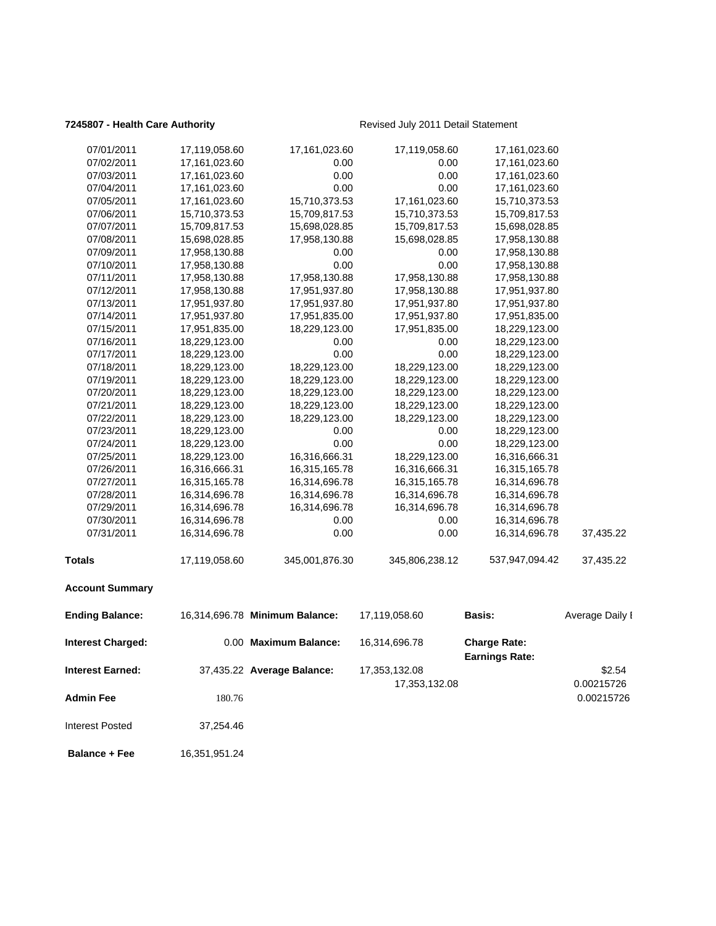### **7245807 - Health Care Authority Revised July 2011 Detail Statement**

| 07/01/2011               | 17,119,058.60 | 17,161,023.60                  | 17,119,058.60  | 17,161,023.60                                |                 |
|--------------------------|---------------|--------------------------------|----------------|----------------------------------------------|-----------------|
| 07/02/2011               | 17,161,023.60 | 0.00                           | 0.00           | 17,161,023.60                                |                 |
| 07/03/2011               | 17,161,023.60 | 0.00                           | 0.00           | 17,161,023.60                                |                 |
| 07/04/2011               | 17,161,023.60 | 0.00                           | 0.00           | 17,161,023.60                                |                 |
| 07/05/2011               | 17,161,023.60 | 15,710,373.53                  | 17,161,023.60  | 15,710,373.53                                |                 |
| 07/06/2011               | 15,710,373.53 | 15,709,817.53                  | 15,710,373.53  | 15,709,817.53                                |                 |
| 07/07/2011               | 15,709,817.53 | 15,698,028.85                  | 15,709,817.53  | 15,698,028.85                                |                 |
| 07/08/2011               | 15,698,028.85 | 17,958,130.88                  | 15,698,028.85  | 17,958,130.88                                |                 |
| 07/09/2011               | 17,958,130.88 | 0.00                           | 0.00           | 17,958,130.88                                |                 |
| 07/10/2011               | 17,958,130.88 | 0.00                           | 0.00           | 17,958,130.88                                |                 |
| 07/11/2011               | 17,958,130.88 | 17,958,130.88                  | 17,958,130.88  | 17,958,130.88                                |                 |
| 07/12/2011               | 17,958,130.88 | 17,951,937.80                  | 17,958,130.88  | 17,951,937.80                                |                 |
| 07/13/2011               | 17,951,937.80 | 17,951,937.80                  | 17,951,937.80  | 17,951,937.80                                |                 |
| 07/14/2011               | 17,951,937.80 | 17,951,835.00                  | 17,951,937.80  | 17,951,835.00                                |                 |
| 07/15/2011               | 17,951,835.00 | 18,229,123.00                  | 17,951,835.00  | 18,229,123.00                                |                 |
| 07/16/2011               | 18,229,123.00 | 0.00                           | 0.00           | 18,229,123.00                                |                 |
| 07/17/2011               | 18,229,123.00 | 0.00                           | 0.00           | 18,229,123.00                                |                 |
| 07/18/2011               | 18,229,123.00 | 18,229,123.00                  | 18,229,123.00  | 18,229,123.00                                |                 |
| 07/19/2011               | 18,229,123.00 | 18,229,123.00                  | 18,229,123.00  | 18,229,123.00                                |                 |
| 07/20/2011               | 18,229,123.00 | 18,229,123.00                  | 18,229,123.00  | 18,229,123.00                                |                 |
| 07/21/2011               | 18,229,123.00 | 18,229,123.00                  | 18,229,123.00  | 18,229,123.00                                |                 |
| 07/22/2011               | 18,229,123.00 | 18,229,123.00                  | 18,229,123.00  | 18,229,123.00                                |                 |
| 07/23/2011               | 18,229,123.00 | 0.00                           | 0.00           | 18,229,123.00                                |                 |
| 07/24/2011               | 18,229,123.00 | 0.00                           | 0.00           | 18,229,123.00                                |                 |
| 07/25/2011               | 18,229,123.00 | 16,316,666.31                  | 18,229,123.00  | 16,316,666.31                                |                 |
| 07/26/2011               | 16,316,666.31 | 16,315,165.78                  | 16,316,666.31  | 16,315,165.78                                |                 |
| 07/27/2011               | 16,315,165.78 | 16,314,696.78                  | 16,315,165.78  | 16,314,696.78                                |                 |
| 07/28/2011               | 16,314,696.78 | 16,314,696.78                  | 16,314,696.78  | 16,314,696.78                                |                 |
| 07/29/2011               | 16,314,696.78 | 16,314,696.78                  | 16,314,696.78  | 16,314,696.78                                |                 |
| 07/30/2011               | 16,314,696.78 | 0.00                           | 0.00           | 16,314,696.78                                |                 |
| 07/31/2011               | 16,314,696.78 | 0.00                           | 0.00           | 16,314,696.78                                | 37,435.22       |
| <b>Totals</b>            | 17,119,058.60 | 345,001,876.30                 | 345,806,238.12 | 537,947,094.42                               | 37,435.22       |
| <b>Account Summary</b>   |               |                                |                |                                              |                 |
| <b>Ending Balance:</b>   |               | 16,314,696.78 Minimum Balance: | 17,119,058.60  | Basis:                                       | Average Daily I |
| <b>Interest Charged:</b> |               | 0.00 Maximum Balance:          | 16,314,696.78  | <b>Charge Rate:</b><br><b>Earnings Rate:</b> |                 |
| <b>Interest Earned:</b>  |               | 37,435.22 Average Balance:     | 17,353,132.08  |                                              | \$2.54          |
|                          |               |                                | 17,353,132.08  |                                              | 0.00215726      |
| <b>Admin Fee</b>         | 180.76        |                                |                |                                              | 0.00215726      |
| <b>Interest Posted</b>   | 37,254.46     |                                |                |                                              |                 |

**Balance + Fee** 16,351,951.24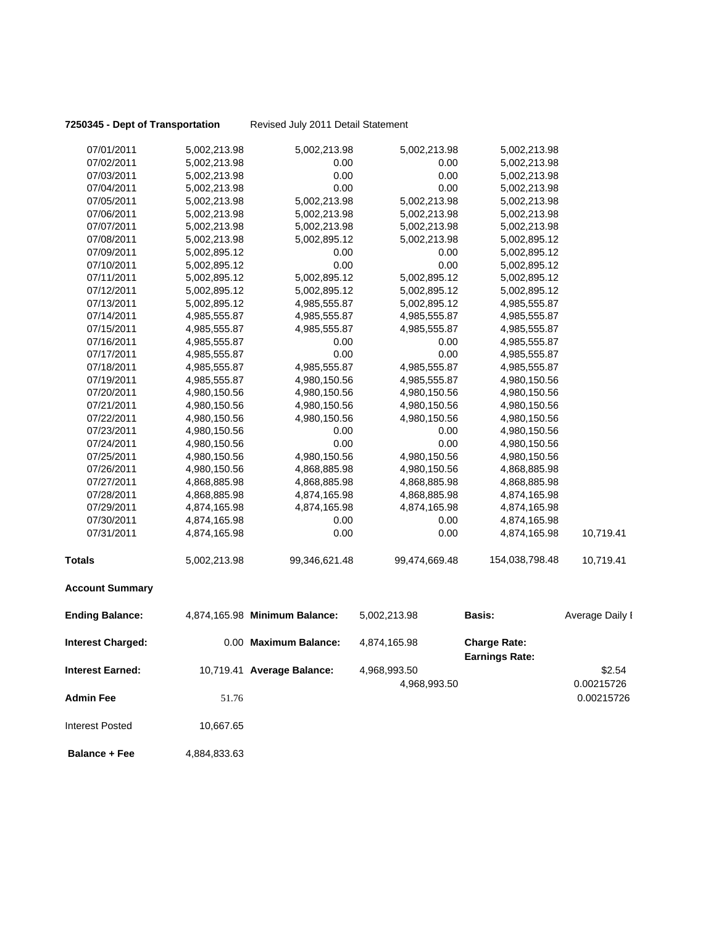**7250345 - Dept of Transportation** Revised July 2011 Detail Statement

| 07/01/2011               | 5,002,213.98 | 5,002,213.98                  | 5,002,213.98  | 5,002,213.98                                 |                 |
|--------------------------|--------------|-------------------------------|---------------|----------------------------------------------|-----------------|
| 07/02/2011               | 5,002,213.98 | 0.00                          | 0.00          | 5,002,213.98                                 |                 |
| 07/03/2011               | 5,002,213.98 | 0.00                          | 0.00          | 5,002,213.98                                 |                 |
| 07/04/2011               | 5,002,213.98 | 0.00                          | 0.00          | 5,002,213.98                                 |                 |
| 07/05/2011               | 5,002,213.98 | 5,002,213.98                  | 5,002,213.98  | 5,002,213.98                                 |                 |
| 07/06/2011               | 5,002,213.98 | 5,002,213.98                  | 5,002,213.98  | 5,002,213.98                                 |                 |
| 07/07/2011               | 5,002,213.98 | 5,002,213.98                  | 5,002,213.98  | 5,002,213.98                                 |                 |
| 07/08/2011               | 5,002,213.98 | 5,002,895.12                  | 5,002,213.98  | 5,002,895.12                                 |                 |
| 07/09/2011               | 5,002,895.12 | 0.00                          | 0.00          | 5,002,895.12                                 |                 |
| 07/10/2011               | 5,002,895.12 | 0.00                          | 0.00          | 5,002,895.12                                 |                 |
| 07/11/2011               | 5,002,895.12 | 5,002,895.12                  | 5,002,895.12  | 5,002,895.12                                 |                 |
| 07/12/2011               | 5,002,895.12 | 5,002,895.12                  | 5,002,895.12  | 5,002,895.12                                 |                 |
| 07/13/2011               | 5,002,895.12 | 4,985,555.87                  | 5,002,895.12  | 4,985,555.87                                 |                 |
| 07/14/2011               | 4,985,555.87 | 4,985,555.87                  | 4,985,555.87  | 4,985,555.87                                 |                 |
| 07/15/2011               | 4,985,555.87 | 4,985,555.87                  | 4,985,555.87  | 4,985,555.87                                 |                 |
| 07/16/2011               | 4,985,555.87 | 0.00                          | 0.00          | 4,985,555.87                                 |                 |
| 07/17/2011               | 4,985,555.87 | 0.00                          | 0.00          | 4,985,555.87                                 |                 |
| 07/18/2011               | 4,985,555.87 | 4,985,555.87                  | 4,985,555.87  | 4,985,555.87                                 |                 |
| 07/19/2011               | 4,985,555.87 | 4,980,150.56                  | 4,985,555.87  | 4,980,150.56                                 |                 |
| 07/20/2011               | 4,980,150.56 | 4,980,150.56                  | 4,980,150.56  | 4,980,150.56                                 |                 |
| 07/21/2011               | 4,980,150.56 | 4,980,150.56                  | 4,980,150.56  | 4,980,150.56                                 |                 |
| 07/22/2011               | 4,980,150.56 | 4,980,150.56                  | 4,980,150.56  | 4,980,150.56                                 |                 |
| 07/23/2011               | 4,980,150.56 | 0.00                          | 0.00          | 4,980,150.56                                 |                 |
| 07/24/2011               | 4,980,150.56 | 0.00                          | 0.00          | 4,980,150.56                                 |                 |
| 07/25/2011               | 4,980,150.56 | 4,980,150.56                  | 4,980,150.56  | 4,980,150.56                                 |                 |
| 07/26/2011               | 4,980,150.56 | 4,868,885.98                  | 4,980,150.56  | 4,868,885.98                                 |                 |
| 07/27/2011               | 4,868,885.98 | 4,868,885.98                  | 4,868,885.98  | 4,868,885.98                                 |                 |
| 07/28/2011               | 4,868,885.98 | 4,874,165.98                  | 4,868,885.98  | 4,874,165.98                                 |                 |
| 07/29/2011               | 4,874,165.98 | 4,874,165.98                  | 4,874,165.98  | 4,874,165.98                                 |                 |
| 07/30/2011               | 4,874,165.98 | 0.00                          | 0.00          | 4,874,165.98                                 |                 |
| 07/31/2011               | 4,874,165.98 | 0.00                          | 0.00          | 4,874,165.98                                 | 10,719.41       |
| <b>Totals</b>            | 5,002,213.98 | 99,346,621.48                 | 99,474,669.48 | 154,038,798.48                               | 10,719.41       |
| <b>Account Summary</b>   |              |                               |               |                                              |                 |
| <b>Ending Balance:</b>   |              | 4,874,165.98 Minimum Balance: | 5,002,213.98  | <b>Basis:</b>                                | Average Daily I |
| <b>Interest Charged:</b> |              | 0.00 Maximum Balance:         | 4,874,165.98  | <b>Charge Rate:</b><br><b>Earnings Rate:</b> |                 |
| <b>Interest Earned:</b>  |              | 10,719.41 Average Balance:    | 4,968,993.50  |                                              | \$2.54          |
|                          |              |                               | 4,968,993.50  |                                              | 0.00215726      |
| <b>Admin Fee</b>         | 51.76        |                               |               |                                              | 0.00215726      |
| <b>Interest Posted</b>   | 10,667.65    |                               |               |                                              |                 |
| <b>Balance + Fee</b>     | 4,884,833.63 |                               |               |                                              |                 |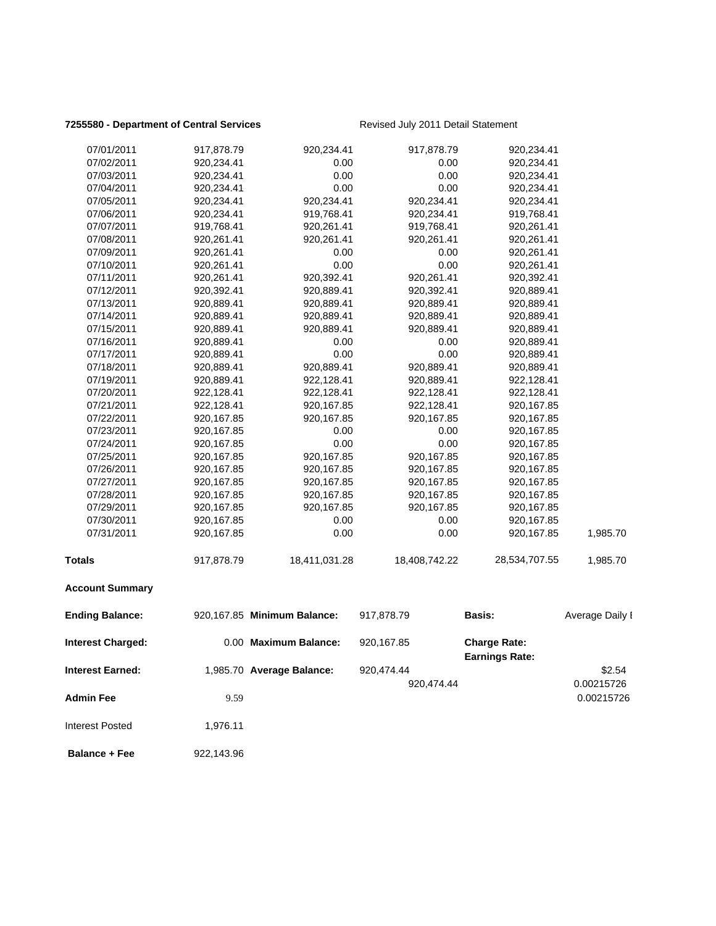### **7255580 - Department of Central Services** Revised July 2011 Detail Statement

| 07/01/2011               | 917,878.79 | 920,234.41                  | 917,878.79    | 920,234.41                                   |                 |
|--------------------------|------------|-----------------------------|---------------|----------------------------------------------|-----------------|
| 07/02/2011               | 920,234.41 | 0.00                        | 0.00          | 920,234.41                                   |                 |
| 07/03/2011               | 920,234.41 | 0.00                        | 0.00          | 920,234.41                                   |                 |
| 07/04/2011               | 920,234.41 | 0.00                        | 0.00          | 920,234.41                                   |                 |
| 07/05/2011               | 920,234.41 | 920,234.41                  | 920,234.41    | 920,234.41                                   |                 |
| 07/06/2011               | 920,234.41 | 919,768.41                  | 920,234.41    | 919,768.41                                   |                 |
| 07/07/2011               | 919,768.41 | 920,261.41                  | 919,768.41    | 920,261.41                                   |                 |
| 07/08/2011               | 920,261.41 | 920,261.41                  | 920,261.41    | 920,261.41                                   |                 |
| 07/09/2011               | 920,261.41 | 0.00                        | 0.00          | 920,261.41                                   |                 |
| 07/10/2011               | 920,261.41 | 0.00                        | 0.00          | 920,261.41                                   |                 |
| 07/11/2011               | 920,261.41 | 920,392.41                  | 920,261.41    | 920,392.41                                   |                 |
| 07/12/2011               | 920,392.41 | 920,889.41                  | 920,392.41    | 920,889.41                                   |                 |
| 07/13/2011               | 920,889.41 | 920,889.41                  | 920,889.41    | 920,889.41                                   |                 |
| 07/14/2011               | 920,889.41 | 920,889.41                  | 920,889.41    | 920,889.41                                   |                 |
| 07/15/2011               | 920,889.41 | 920,889.41                  | 920,889.41    | 920,889.41                                   |                 |
| 07/16/2011               | 920,889.41 | 0.00                        | 0.00          | 920,889.41                                   |                 |
| 07/17/2011               | 920,889.41 | 0.00                        | 0.00          | 920,889.41                                   |                 |
| 07/18/2011               | 920,889.41 | 920,889.41                  | 920,889.41    | 920,889.41                                   |                 |
| 07/19/2011               | 920,889.41 | 922,128.41                  | 920,889.41    | 922,128.41                                   |                 |
| 07/20/2011               | 922,128.41 | 922,128.41                  | 922,128.41    | 922,128.41                                   |                 |
| 07/21/2011               | 922,128.41 | 920,167.85                  | 922,128.41    | 920,167.85                                   |                 |
| 07/22/2011               | 920,167.85 | 920,167.85                  | 920,167.85    | 920,167.85                                   |                 |
| 07/23/2011               | 920,167.85 | 0.00                        | 0.00          | 920,167.85                                   |                 |
| 07/24/2011               | 920,167.85 | 0.00                        | 0.00          | 920,167.85                                   |                 |
| 07/25/2011               | 920,167.85 | 920,167.85                  | 920,167.85    | 920,167.85                                   |                 |
| 07/26/2011               | 920,167.85 | 920,167.85                  | 920,167.85    | 920,167.85                                   |                 |
| 07/27/2011               | 920,167.85 | 920,167.85                  | 920,167.85    | 920,167.85                                   |                 |
| 07/28/2011               | 920,167.85 | 920,167.85                  | 920,167.85    | 920,167.85                                   |                 |
| 07/29/2011               | 920,167.85 | 920,167.85                  | 920,167.85    | 920,167.85                                   |                 |
| 07/30/2011               | 920,167.85 | 0.00                        | 0.00          | 920,167.85                                   |                 |
| 07/31/2011               | 920,167.85 | 0.00                        | 0.00          | 920,167.85                                   | 1,985.70        |
| Totals                   | 917,878.79 | 18,411,031.28               | 18,408,742.22 | 28,534,707.55                                | 1,985.70        |
| <b>Account Summary</b>   |            |                             |               |                                              |                 |
| <b>Ending Balance:</b>   |            | 920,167.85 Minimum Balance: | 917,878.79    | <b>Basis:</b>                                | Average Daily I |
| <b>Interest Charged:</b> |            | 0.00 Maximum Balance:       | 920,167.85    | <b>Charge Rate:</b><br><b>Earnings Rate:</b> |                 |
| <b>Interest Earned:</b>  |            | 1,985.70 Average Balance:   | 920,474.44    |                                              | \$2.54          |
|                          |            |                             | 920,474.44    |                                              | 0.00215726      |
|                          |            |                             |               |                                              |                 |
| <b>Admin Fee</b>         | 9.59       |                             |               |                                              | 0.00215726      |
| <b>Interest Posted</b>   | 1,976.11   |                             |               |                                              |                 |
| <b>Balance + Fee</b>     | 922,143.96 |                             |               |                                              |                 |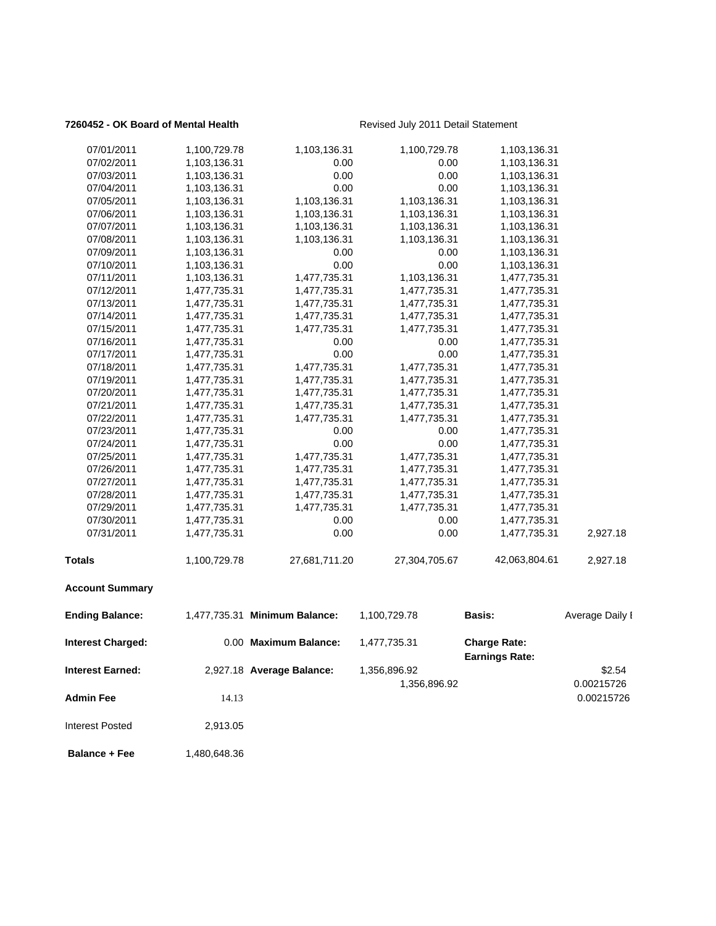### **7260452 - OK Board of Mental Health** Revised July 2011 Detail Statement

| <b>Admin Fee</b><br><b>Interest Posted</b> | 14.13<br>2,913.05            |                               |                              |                                              | 0.00215726           |
|--------------------------------------------|------------------------------|-------------------------------|------------------------------|----------------------------------------------|----------------------|
| Interest Earned:                           |                              | 2,927.18 Average Balance:     | 1,356,896.92<br>1,356,896.92 |                                              | \$2.54<br>0.00215726 |
| <b>Interest Charged:</b>                   |                              | 0.00 Maximum Balance:         | 1,477,735.31                 | <b>Charge Rate:</b><br><b>Earnings Rate:</b> |                      |
| <b>Ending Balance:</b>                     |                              | 1,477,735.31 Minimum Balance: | 1,100,729.78                 | Basis:                                       | Average Daily I      |
| <b>Account Summary</b>                     |                              |                               |                              |                                              |                      |
| Totals                                     | 1,100,729.78                 | 27,681,711.20                 | 27,304,705.67                | 42,063,804.61                                | 2,927.18             |
| 07/31/2011                                 | 1,477,735.31                 | 0.00                          | 0.00                         | 1,477,735.31                                 | 2,927.18             |
| 07/30/2011                                 | 1,477,735.31                 | 0.00                          | 0.00                         | 1,477,735.31                                 |                      |
| 07/29/2011                                 | 1,477,735.31                 | 1,477,735.31                  | 1,477,735.31                 | 1,477,735.31                                 |                      |
| 07/28/2011                                 | 1,477,735.31                 | 1,477,735.31                  | 1,477,735.31                 | 1,477,735.31                                 |                      |
| 07/27/2011                                 | 1,477,735.31                 | 1,477,735.31                  | 1,477,735.31                 | 1,477,735.31                                 |                      |
| 07/26/2011                                 | 1,477,735.31                 | 1,477,735.31                  | 1,477,735.31                 | 1,477,735.31                                 |                      |
| 07/25/2011                                 | 1,477,735.31                 | 1,477,735.31                  | 1,477,735.31                 | 1,477,735.31                                 |                      |
| 07/24/2011                                 | 1,477,735.31                 | 0.00                          | 0.00                         | 1,477,735.31                                 |                      |
| 07/23/2011                                 | 1,477,735.31                 | 0.00                          | 0.00                         | 1,477,735.31                                 |                      |
| 07/22/2011                                 | 1,477,735.31                 | 1,477,735.31                  | 1,477,735.31                 | 1,477,735.31                                 |                      |
| 07/20/2011<br>07/21/2011                   | 1,477,735.31<br>1,477,735.31 | 1,477,735.31<br>1,477,735.31  | 1,477,735.31<br>1,477,735.31 | 1,477,735.31<br>1,477,735.31                 |                      |
|                                            |                              |                               |                              | 1,477,735.31                                 |                      |
| 07/18/2011<br>07/19/2011                   | 1,477,735.31<br>1,477,735.31 | 1,477,735.31                  | 1,477,735.31                 | 1,477,735.31                                 |                      |
| 07/17/2011                                 | 1,477,735.31                 | 0.00<br>1,477,735.31          | 0.00<br>1,477,735.31         | 1,477,735.31                                 |                      |
| 07/16/2011                                 | 1,477,735.31                 | 0.00                          | 0.00                         | 1,477,735.31                                 |                      |
| 07/15/2011                                 | 1,477,735.31                 | 1,477,735.31                  | 1,477,735.31                 | 1,477,735.31                                 |                      |
| 07/14/2011                                 | 1,477,735.31                 | 1,477,735.31                  | 1,477,735.31                 | 1,477,735.31                                 |                      |
| 07/13/2011                                 | 1,477,735.31                 | 1,477,735.31                  | 1,477,735.31                 | 1,477,735.31                                 |                      |
| 07/12/2011                                 | 1,477,735.31                 | 1,477,735.31                  | 1,477,735.31                 | 1,477,735.31                                 |                      |
| 07/11/2011                                 | 1,103,136.31                 | 1,477,735.31                  | 1,103,136.31                 | 1,477,735.31                                 |                      |
| 07/10/2011                                 | 1,103,136.31                 | 0.00                          | 0.00                         | 1,103,136.31                                 |                      |
| 07/09/2011                                 | 1,103,136.31                 | 0.00                          | 0.00                         | 1,103,136.31                                 |                      |
| 07/08/2011                                 | 1,103,136.31                 | 1,103,136.31                  | 1,103,136.31                 | 1,103,136.31                                 |                      |
| 07/07/2011                                 | 1,103,136.31                 | 1,103,136.31                  | 1,103,136.31                 | 1,103,136.31                                 |                      |
| 07/06/2011                                 | 1,103,136.31                 | 1,103,136.31                  | 1,103,136.31                 | 1,103,136.31                                 |                      |
| 07/05/2011                                 | 1,103,136.31                 | 1,103,136.31                  | 1,103,136.31                 | 1,103,136.31                                 |                      |
| 07/04/2011                                 | 1,103,136.31                 | 0.00                          | 0.00                         | 1,103,136.31                                 |                      |
| 07/03/2011                                 | 1,103,136.31                 | 0.00                          | 0.00                         | 1,103,136.31                                 |                      |
| 07/02/2011                                 | 1,103,136.31                 | 0.00                          | 0.00                         | 1,103,136.31                                 |                      |
| 07/01/2011                                 | 1,100,729.78                 | 1,103,136.31                  | 1,100,729.78                 | 1,103,136.31                                 |                      |
|                                            |                              |                               |                              |                                              |                      |

**Balance + Fee** 1,480,648.36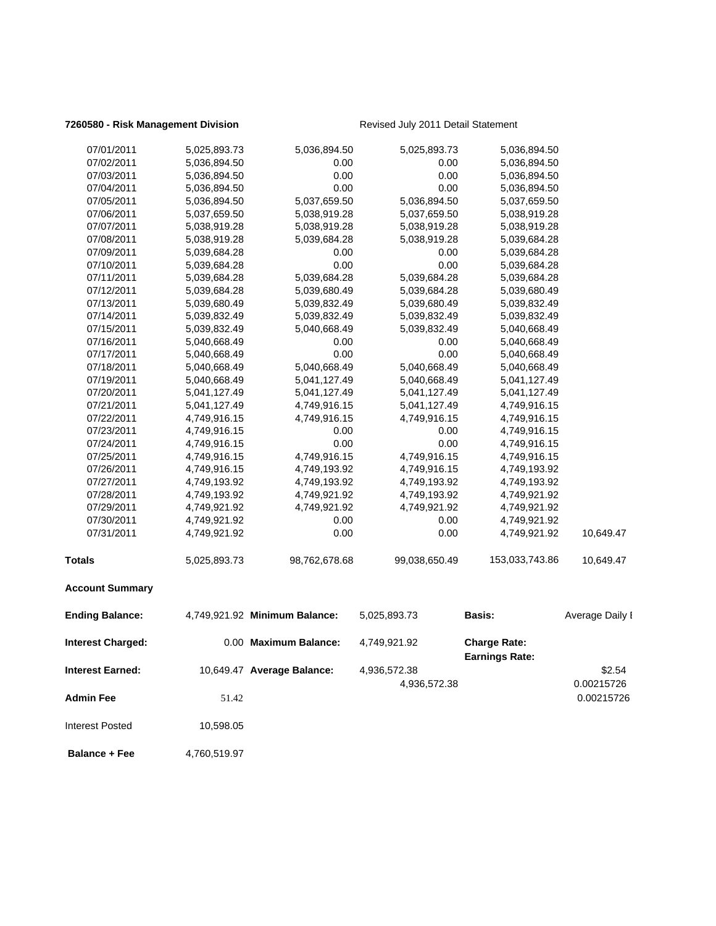### **7260580 - Risk Management Division** Revised July 2011 Detail Statement

| 07/01/2011               | 5,025,893.73 | 5,036,894.50                  | 5,025,893.73  | 5,036,894.50                                 |                 |
|--------------------------|--------------|-------------------------------|---------------|----------------------------------------------|-----------------|
| 07/02/2011               | 5,036,894.50 | 0.00                          | 0.00          | 5,036,894.50                                 |                 |
| 07/03/2011               | 5,036,894.50 | 0.00                          | 0.00          | 5,036,894.50                                 |                 |
| 07/04/2011               | 5,036,894.50 | 0.00                          | 0.00          | 5,036,894.50                                 |                 |
| 07/05/2011               | 5,036,894.50 | 5,037,659.50                  | 5,036,894.50  | 5,037,659.50                                 |                 |
| 07/06/2011               | 5,037,659.50 | 5,038,919.28                  | 5,037,659.50  | 5,038,919.28                                 |                 |
| 07/07/2011               | 5,038,919.28 | 5,038,919.28                  | 5,038,919.28  | 5,038,919.28                                 |                 |
| 07/08/2011               | 5,038,919.28 | 5,039,684.28                  | 5,038,919.28  | 5,039,684.28                                 |                 |
| 07/09/2011               | 5,039,684.28 | 0.00                          | 0.00          | 5,039,684.28                                 |                 |
| 07/10/2011               | 5,039,684.28 | 0.00                          | 0.00          | 5,039,684.28                                 |                 |
| 07/11/2011               | 5,039,684.28 | 5,039,684.28                  | 5,039,684.28  | 5,039,684.28                                 |                 |
| 07/12/2011               | 5,039,684.28 | 5,039,680.49                  | 5,039,684.28  | 5,039,680.49                                 |                 |
| 07/13/2011               | 5,039,680.49 | 5,039,832.49                  | 5,039,680.49  | 5,039,832.49                                 |                 |
| 07/14/2011               | 5,039,832.49 | 5,039,832.49                  | 5,039,832.49  | 5,039,832.49                                 |                 |
| 07/15/2011               | 5,039,832.49 | 5,040,668.49                  | 5,039,832.49  | 5,040,668.49                                 |                 |
| 07/16/2011               | 5,040,668.49 | 0.00                          | 0.00          | 5,040,668.49                                 |                 |
| 07/17/2011               | 5,040,668.49 | 0.00                          | 0.00          | 5,040,668.49                                 |                 |
| 07/18/2011               | 5,040,668.49 | 5,040,668.49                  | 5,040,668.49  | 5,040,668.49                                 |                 |
| 07/19/2011               | 5,040,668.49 | 5,041,127.49                  | 5,040,668.49  | 5,041,127.49                                 |                 |
| 07/20/2011               | 5,041,127.49 | 5,041,127.49                  | 5,041,127.49  | 5,041,127.49                                 |                 |
| 07/21/2011               | 5,041,127.49 | 4,749,916.15                  | 5,041,127.49  | 4,749,916.15                                 |                 |
| 07/22/2011               | 4,749,916.15 | 4,749,916.15                  | 4,749,916.15  | 4,749,916.15                                 |                 |
| 07/23/2011               | 4,749,916.15 | 0.00                          | 0.00          | 4,749,916.15                                 |                 |
| 07/24/2011               | 4,749,916.15 | 0.00                          | 0.00          | 4,749,916.15                                 |                 |
| 07/25/2011               | 4,749,916.15 | 4,749,916.15                  | 4,749,916.15  | 4,749,916.15                                 |                 |
| 07/26/2011               | 4,749,916.15 | 4,749,193.92                  | 4,749,916.15  | 4,749,193.92                                 |                 |
| 07/27/2011               | 4,749,193.92 | 4,749,193.92                  | 4,749,193.92  | 4,749,193.92                                 |                 |
| 07/28/2011               | 4,749,193.92 | 4,749,921.92                  | 4,749,193.92  | 4,749,921.92                                 |                 |
| 07/29/2011               | 4,749,921.92 | 4,749,921.92                  | 4,749,921.92  | 4,749,921.92                                 |                 |
| 07/30/2011               | 4,749,921.92 | 0.00                          | 0.00          | 4,749,921.92                                 |                 |
| 07/31/2011               | 4,749,921.92 | 0.00                          | 0.00          | 4,749,921.92                                 | 10,649.47       |
| Totals                   | 5,025,893.73 | 98,762,678.68                 | 99,038,650.49 | 153,033,743.86                               | 10,649.47       |
| <b>Account Summary</b>   |              |                               |               |                                              |                 |
| <b>Ending Balance:</b>   |              | 4,749,921.92 Minimum Balance: | 5,025,893.73  | <b>Basis:</b>                                | Average Daily I |
| <b>Interest Charged:</b> |              | 0.00 Maximum Balance:         | 4,749,921.92  | <b>Charge Rate:</b><br><b>Earnings Rate:</b> |                 |
| <b>Interest Earned:</b>  |              | 10,649.47 Average Balance:    | 4,936,572.38  |                                              | \$2.54          |
|                          |              |                               | 4,936,572.38  |                                              | 0.00215726      |
|                          |              |                               |               |                                              |                 |
| <b>Admin Fee</b>         | 51.42        |                               |               |                                              | 0.00215726      |
| <b>Interest Posted</b>   | 10,598.05    |                               |               |                                              |                 |
| <b>Balance + Fee</b>     | 4,760,519.97 |                               |               |                                              |                 |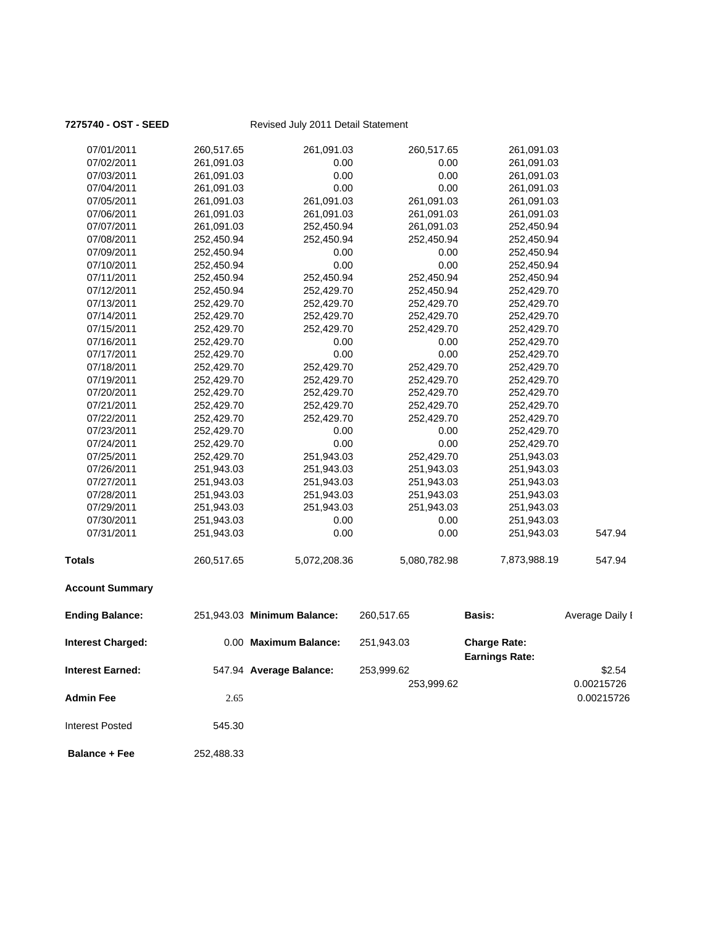| <b>Interest Earned:</b>  |            | 547.94 Average Balance:     | 253,999.62<br>253,999.62 |                                              | \$2.54<br>0.00215726 |
|--------------------------|------------|-----------------------------|--------------------------|----------------------------------------------|----------------------|
| <b>Interest Charged:</b> |            | 0.00 Maximum Balance:       | 251,943.03               | <b>Charge Rate:</b><br><b>Earnings Rate:</b> |                      |
| <b>Ending Balance:</b>   |            | 251,943.03 Minimum Balance: | 260,517.65               | Basis:                                       | Average Daily I      |
| <b>Account Summary</b>   |            |                             |                          |                                              |                      |
| <b>Totals</b>            | 260,517.65 | 5,072,208.36                | 5,080,782.98             | 7,873,988.19                                 | 547.94               |
| 07/31/2011               | 251,943.03 | 0.00                        | 0.00                     | 251,943.03                                   | 547.94               |
| 07/30/2011               | 251,943.03 | 0.00                        | 0.00                     | 251,943.03                                   |                      |
| 07/29/2011               | 251,943.03 | 251,943.03                  | 251,943.03               | 251,943.03                                   |                      |
| 07/28/2011               | 251,943.03 | 251,943.03                  | 251,943.03               | 251,943.03                                   |                      |
| 07/27/2011               | 251,943.03 | 251,943.03                  | 251,943.03               | 251,943.03                                   |                      |
| 07/26/2011               | 251,943.03 | 251,943.03                  | 251,943.03               | 251,943.03                                   |                      |
| 07/25/2011               | 252,429.70 | 251,943.03                  | 252,429.70               | 251,943.03                                   |                      |
| 07/24/2011               | 252,429.70 | 0.00                        | 0.00                     | 252,429.70                                   |                      |
| 07/23/2011               | 252,429.70 | 0.00                        | 0.00                     | 252,429.70                                   |                      |
| 07/22/2011               | 252,429.70 | 252,429.70                  | 252,429.70               | 252,429.70                                   |                      |
| 07/21/2011               | 252,429.70 | 252,429.70                  | 252,429.70               | 252,429.70                                   |                      |
| 07/20/2011               | 252,429.70 | 252,429.70                  | 252,429.70               | 252,429.70                                   |                      |
| 07/19/2011               | 252,429.70 | 252,429.70                  | 252,429.70               | 252,429.70                                   |                      |
| 07/18/2011               | 252,429.70 | 252,429.70                  | 252,429.70               | 252,429.70                                   |                      |
| 07/17/2011               | 252,429.70 | 0.00                        | 0.00                     | 252,429.70                                   |                      |
| 07/16/2011               | 252,429.70 | 0.00                        | 0.00                     | 252,429.70                                   |                      |
| 07/15/2011               | 252,429.70 | 252,429.70                  | 252,429.70               | 252,429.70                                   |                      |
| 07/14/2011               | 252,429.70 | 252,429.70                  | 252,429.70               | 252,429.70                                   |                      |
| 07/13/2011               | 252,429.70 | 252,429.70                  | 252,429.70               | 252,429.70                                   |                      |
| 07/12/2011               | 252,450.94 | 252,429.70                  | 252,450.94               | 252,429.70                                   |                      |
| 07/11/2011               | 252,450.94 | 252,450.94                  | 252,450.94               | 252,450.94                                   |                      |
| 07/10/2011               | 252,450.94 | 0.00                        | 0.00                     | 252,450.94                                   |                      |
| 07/09/2011               | 252,450.94 | 0.00                        | 0.00                     | 252,450.94                                   |                      |
| 07/08/2011               | 252,450.94 | 252,450.94                  | 252,450.94               | 252,450.94                                   |                      |
| 07/07/2011               | 261,091.03 | 252,450.94                  | 261,091.03               | 252,450.94                                   |                      |
| 07/06/2011               | 261,091.03 | 261,091.03                  | 261,091.03               | 261,091.03                                   |                      |
| 07/05/2011               | 261,091.03 | 261,091.03                  | 261,091.03               | 261,091.03                                   |                      |
| 07/04/2011               | 261,091.03 | 0.00                        | 0.00                     | 261,091.03                                   |                      |
| 07/03/2011               | 261,091.03 | 0.00                        | 0.00                     | 261,091.03                                   |                      |
| 07/02/2011               | 261,091.03 | 0.00                        | 0.00                     | 261,091.03                                   |                      |
| 07/01/2011               | 260,517.65 | 261,091.03                  | 260,517.65               | 261,091.03                                   |                      |
|                          |            |                             |                          |                                              |                      |

**Admin Fee** 2.65 0.00215726

### **7275740 - OST - SEED** Revised July 2011 Detail Statement

 **Balance + Fee** 252,488.33

Interest Posted 545.30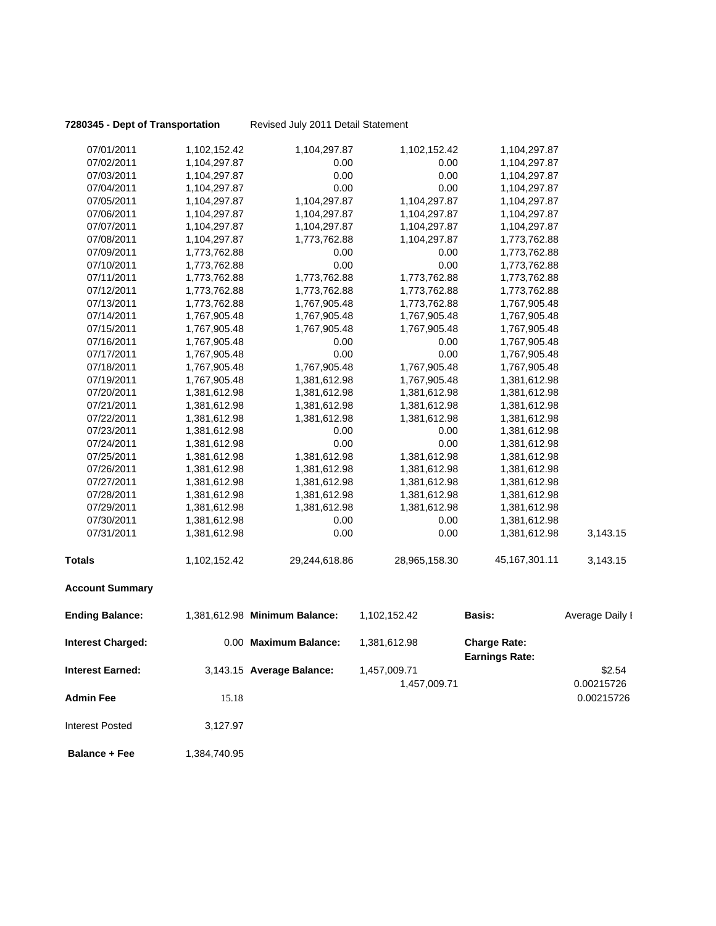**7280345 - Dept of Transportation** Revised July 2011 Detail Statement

| 07/01/2011               | 1,102,152.42 | 1,104,297.87                  | 1,102,152.42  | 1,104,297.87                                 |                 |
|--------------------------|--------------|-------------------------------|---------------|----------------------------------------------|-----------------|
| 07/02/2011               | 1,104,297.87 | 0.00                          | 0.00          | 1,104,297.87                                 |                 |
| 07/03/2011               | 1,104,297.87 | 0.00                          | 0.00          | 1,104,297.87                                 |                 |
| 07/04/2011               | 1,104,297.87 | 0.00                          | 0.00          | 1,104,297.87                                 |                 |
| 07/05/2011               | 1,104,297.87 | 1,104,297.87                  | 1,104,297.87  | 1,104,297.87                                 |                 |
| 07/06/2011               | 1,104,297.87 | 1,104,297.87                  | 1,104,297.87  | 1,104,297.87                                 |                 |
| 07/07/2011               | 1,104,297.87 | 1,104,297.87                  | 1,104,297.87  | 1,104,297.87                                 |                 |
| 07/08/2011               | 1,104,297.87 | 1,773,762.88                  | 1,104,297.87  | 1,773,762.88                                 |                 |
| 07/09/2011               | 1,773,762.88 | 0.00                          | 0.00          | 1,773,762.88                                 |                 |
| 07/10/2011               | 1,773,762.88 | 0.00                          | 0.00          | 1,773,762.88                                 |                 |
| 07/11/2011               | 1,773,762.88 | 1,773,762.88                  | 1,773,762.88  | 1,773,762.88                                 |                 |
| 07/12/2011               | 1,773,762.88 | 1,773,762.88                  | 1,773,762.88  | 1,773,762.88                                 |                 |
| 07/13/2011               | 1,773,762.88 | 1,767,905.48                  | 1,773,762.88  | 1,767,905.48                                 |                 |
| 07/14/2011               | 1,767,905.48 | 1,767,905.48                  | 1,767,905.48  | 1,767,905.48                                 |                 |
| 07/15/2011               | 1,767,905.48 | 1,767,905.48                  | 1,767,905.48  | 1,767,905.48                                 |                 |
| 07/16/2011               | 1,767,905.48 | 0.00                          | 0.00          | 1,767,905.48                                 |                 |
| 07/17/2011               | 1,767,905.48 | 0.00                          | 0.00          | 1,767,905.48                                 |                 |
| 07/18/2011               | 1,767,905.48 | 1,767,905.48                  | 1,767,905.48  | 1,767,905.48                                 |                 |
| 07/19/2011               | 1,767,905.48 | 1,381,612.98                  | 1,767,905.48  | 1,381,612.98                                 |                 |
| 07/20/2011               | 1,381,612.98 | 1,381,612.98                  | 1,381,612.98  | 1,381,612.98                                 |                 |
| 07/21/2011               | 1,381,612.98 | 1,381,612.98                  | 1,381,612.98  | 1,381,612.98                                 |                 |
| 07/22/2011               | 1,381,612.98 | 1,381,612.98                  | 1,381,612.98  | 1,381,612.98                                 |                 |
| 07/23/2011               | 1,381,612.98 | 0.00                          | 0.00          | 1,381,612.98                                 |                 |
| 07/24/2011               | 1,381,612.98 | 0.00                          | 0.00          | 1,381,612.98                                 |                 |
| 07/25/2011               | 1,381,612.98 | 1,381,612.98                  | 1,381,612.98  | 1,381,612.98                                 |                 |
| 07/26/2011               | 1,381,612.98 | 1,381,612.98                  | 1,381,612.98  | 1,381,612.98                                 |                 |
| 07/27/2011               | 1,381,612.98 | 1,381,612.98                  | 1,381,612.98  | 1,381,612.98                                 |                 |
| 07/28/2011               | 1,381,612.98 | 1,381,612.98                  | 1,381,612.98  | 1,381,612.98                                 |                 |
| 07/29/2011               | 1,381,612.98 | 1,381,612.98                  | 1,381,612.98  | 1,381,612.98                                 |                 |
| 07/30/2011               | 1,381,612.98 | 0.00                          | 0.00          | 1,381,612.98                                 |                 |
| 07/31/2011               | 1,381,612.98 | 0.00                          | 0.00          | 1,381,612.98                                 | 3,143.15        |
| <b>Totals</b>            | 1,102,152.42 | 29,244,618.86                 | 28,965,158.30 | 45,167,301.11                                | 3,143.15        |
| <b>Account Summary</b>   |              |                               |               |                                              |                 |
| <b>Ending Balance:</b>   |              | 1,381,612.98 Minimum Balance: | 1,102,152.42  | Basis:                                       | Average Daily I |
| <b>Interest Charged:</b> |              | 0.00 Maximum Balance:         | 1,381,612.98  | <b>Charge Rate:</b><br><b>Earnings Rate:</b> |                 |
| <b>Interest Earned:</b>  |              | 3,143.15 Average Balance:     | 1,457,009.71  |                                              | \$2.54          |
|                          |              |                               | 1,457,009.71  |                                              | 0.00215726      |
| <b>Admin Fee</b>         | 15.18        |                               |               |                                              | 0.00215726      |
| <b>Interest Posted</b>   | 3,127.97     |                               |               |                                              |                 |

**Balance + Fee** 1,384,740.95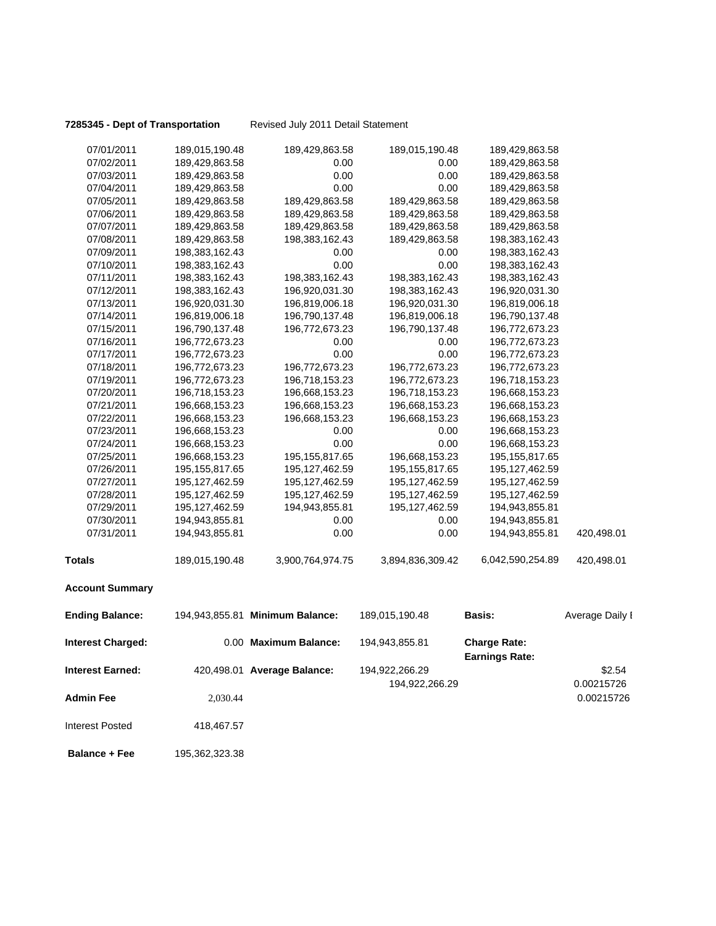**7285345 - Dept of Transportation** Revised July 2011 Detail Statement

| 07/01/2011               | 189,015,190.48   | 189,429,863.58                  | 189,015,190.48   | 189,429,863.58                               |                 |
|--------------------------|------------------|---------------------------------|------------------|----------------------------------------------|-----------------|
| 07/02/2011               | 189,429,863.58   | 0.00                            | 0.00             | 189,429,863.58                               |                 |
| 07/03/2011               | 189,429,863.58   | 0.00                            | 0.00             | 189,429,863.58                               |                 |
| 07/04/2011               | 189,429,863.58   | 0.00                            | 0.00             | 189,429,863.58                               |                 |
| 07/05/2011               | 189,429,863.58   | 189,429,863.58                  | 189,429,863.58   | 189,429,863.58                               |                 |
| 07/06/2011               | 189,429,863.58   | 189,429,863.58                  | 189,429,863.58   | 189,429,863.58                               |                 |
| 07/07/2011               | 189,429,863.58   | 189,429,863.58                  | 189,429,863.58   | 189,429,863.58                               |                 |
| 07/08/2011               | 189,429,863.58   | 198,383,162.43                  | 189,429,863.58   | 198,383,162.43                               |                 |
| 07/09/2011               | 198,383,162.43   | 0.00                            | 0.00             | 198,383,162.43                               |                 |
| 07/10/2011               | 198,383,162.43   | 0.00                            | 0.00             | 198,383,162.43                               |                 |
| 07/11/2011               | 198,383,162.43   | 198,383,162.43                  | 198,383,162.43   | 198,383,162.43                               |                 |
| 07/12/2011               | 198,383,162.43   | 196,920,031.30                  | 198,383,162.43   | 196,920,031.30                               |                 |
| 07/13/2011               | 196,920,031.30   | 196,819,006.18                  | 196,920,031.30   | 196,819,006.18                               |                 |
| 07/14/2011               | 196,819,006.18   | 196,790,137.48                  | 196,819,006.18   | 196,790,137.48                               |                 |
| 07/15/2011               | 196,790,137.48   | 196,772,673.23                  | 196,790,137.48   | 196,772,673.23                               |                 |
| 07/16/2011               | 196,772,673.23   | 0.00                            | 0.00             | 196,772,673.23                               |                 |
| 07/17/2011               | 196,772,673.23   | 0.00                            | 0.00             | 196,772,673.23                               |                 |
| 07/18/2011               | 196,772,673.23   | 196,772,673.23                  | 196,772,673.23   | 196,772,673.23                               |                 |
| 07/19/2011               | 196,772,673.23   | 196,718,153.23                  | 196,772,673.23   | 196,718,153.23                               |                 |
| 07/20/2011               | 196,718,153.23   | 196,668,153.23                  | 196,718,153.23   | 196,668,153.23                               |                 |
| 07/21/2011               | 196,668,153.23   | 196,668,153.23                  | 196,668,153.23   | 196,668,153.23                               |                 |
| 07/22/2011               | 196,668,153.23   | 196,668,153.23                  | 196,668,153.23   | 196,668,153.23                               |                 |
| 07/23/2011               | 196,668,153.23   | 0.00                            | 0.00             | 196,668,153.23                               |                 |
| 07/24/2011               | 196,668,153.23   | 0.00                            | 0.00             | 196,668,153.23                               |                 |
| 07/25/2011               | 196,668,153.23   | 195, 155, 817.65                | 196,668,153.23   | 195, 155, 817.65                             |                 |
| 07/26/2011               | 195, 155, 817.65 | 195, 127, 462.59                | 195, 155, 817.65 | 195, 127, 462.59                             |                 |
| 07/27/2011               | 195, 127, 462.59 | 195, 127, 462.59                | 195, 127, 462.59 | 195, 127, 462.59                             |                 |
| 07/28/2011               | 195, 127, 462.59 | 195, 127, 462.59                | 195, 127, 462.59 | 195, 127, 462.59                             |                 |
| 07/29/2011               | 195, 127, 462.59 | 194,943,855.81                  | 195, 127, 462.59 | 194,943,855.81                               |                 |
| 07/30/2011               | 194,943,855.81   | 0.00                            | 0.00             | 194,943,855.81                               |                 |
| 07/31/2011               | 194,943,855.81   | 0.00                            | 0.00             | 194,943,855.81                               | 420,498.01      |
| <b>Totals</b>            | 189,015,190.48   | 3,900,764,974.75                | 3,894,836,309.42 | 6,042,590,254.89                             | 420,498.01      |
| <b>Account Summary</b>   |                  |                                 |                  |                                              |                 |
| <b>Ending Balance:</b>   |                  | 194,943,855.81 Minimum Balance: | 189,015,190.48   | <b>Basis:</b>                                | Average Daily I |
| <b>Interest Charged:</b> |                  | 0.00 Maximum Balance:           | 194,943,855.81   | <b>Charge Rate:</b><br><b>Earnings Rate:</b> |                 |
| <b>Interest Earned:</b>  |                  | 420,498.01 Average Balance:     | 194,922,266.29   |                                              | \$2.54          |
|                          |                  |                                 | 194,922,266.29   |                                              | 0.00215726      |
| <b>Admin Fee</b>         | 2,030.44         |                                 |                  |                                              | 0.00215726      |
| Interest Posted          | 418,467.57       |                                 |                  |                                              |                 |
| <b>Balance + Fee</b>     | 195,362,323.38   |                                 |                  |                                              |                 |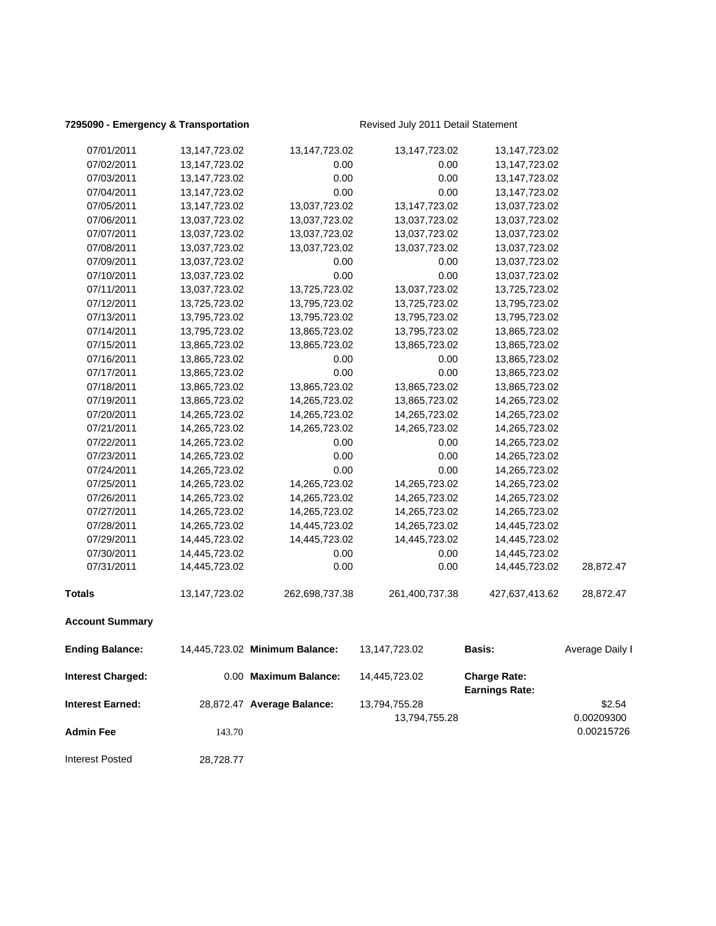### **7295090 - Emergency & Transportation** Revised July 2011 Detail Statement

| <b>Interest Posted</b>  | 28,728.77        |                                |                  |                                              |                          |
|-------------------------|------------------|--------------------------------|------------------|----------------------------------------------|--------------------------|
| <b>Admin Fee</b>        | 143.70           |                                | 13,794,755.28    |                                              | 0.00209300<br>0.00215726 |
| <b>Interest Earned:</b> |                  | 28,872.47 Average Balance:     | 13,794,755.28    |                                              | \$2.54                   |
| Interest Charged:       |                  | 0.00 Maximum Balance:          | 14,445,723.02    | <b>Charge Rate:</b><br><b>Earnings Rate:</b> |                          |
| <b>Ending Balance:</b>  |                  | 14,445,723.02 Minimum Balance: | 13,147,723.02    | <b>Basis:</b>                                | Average Daily I          |
| <b>Account Summary</b>  |                  |                                |                  |                                              |                          |
| <b>Totals</b>           | 13, 147, 723. 02 | 262,698,737.38                 | 261,400,737.38   | 427,637,413.62                               | 28,872.47                |
| 07/31/2011              | 14,445,723.02    | 0.00                           | 0.00             | 14,445,723.02                                | 28,872.47                |
| 07/30/2011              | 14,445,723.02    | 0.00                           | 0.00             | 14,445,723.02                                |                          |
| 07/29/2011              | 14,445,723.02    | 14,445,723.02                  | 14,445,723.02    | 14,445,723.02                                |                          |
| 07/28/2011              | 14,265,723.02    | 14,445,723.02                  | 14,265,723.02    | 14,445,723.02                                |                          |
| 07/27/2011              | 14,265,723.02    | 14,265,723.02                  | 14,265,723.02    | 14,265,723.02                                |                          |
| 07/26/2011              | 14,265,723.02    | 14,265,723.02                  | 14,265,723.02    | 14,265,723.02                                |                          |
| 07/25/2011              | 14,265,723.02    | 14,265,723.02                  | 14,265,723.02    | 14,265,723.02                                |                          |
| 07/24/2011              | 14,265,723.02    | 0.00                           | 0.00             | 14,265,723.02                                |                          |
| 07/23/2011              | 14,265,723.02    | 0.00                           | 0.00             | 14,265,723.02                                |                          |
| 07/22/2011              | 14,265,723.02    | 0.00                           | 0.00             | 14,265,723.02                                |                          |
| 07/21/2011              | 14,265,723.02    | 14,265,723.02                  | 14,265,723.02    | 14,265,723.02                                |                          |
| 07/20/2011              | 14,265,723.02    | 14,265,723.02                  | 14,265,723.02    | 14,265,723.02                                |                          |
| 07/19/2011              | 13,865,723.02    | 14,265,723.02                  | 13,865,723.02    | 14,265,723.02                                |                          |
| 07/18/2011              | 13,865,723.02    | 13,865,723.02                  | 13,865,723.02    | 13,865,723.02                                |                          |
| 07/17/2011              | 13,865,723.02    | 0.00                           | 0.00             | 13,865,723.02                                |                          |
| 07/16/2011              | 13,865,723.02    | 0.00                           | 0.00             | 13,865,723.02                                |                          |
| 07/15/2011              | 13,865,723.02    | 13,865,723.02                  | 13,865,723.02    | 13,865,723.02                                |                          |
| 07/14/2011              | 13,795,723.02    | 13,865,723.02                  | 13,795,723.02    | 13,865,723.02                                |                          |
| 07/13/2011              | 13,795,723.02    | 13,795,723.02                  | 13,795,723.02    | 13,795,723.02                                |                          |
| 07/12/2011              | 13,725,723.02    | 13,795,723.02                  | 13,725,723.02    | 13,795,723.02                                |                          |
| 07/11/2011              | 13,037,723.02    | 13,725,723.02                  | 13,037,723.02    | 13,725,723.02                                |                          |
| 07/10/2011              | 13,037,723.02    | 0.00                           | 0.00             | 13,037,723.02                                |                          |
| 07/09/2011              | 13,037,723.02    | 0.00                           | 0.00             | 13,037,723.02                                |                          |
| 07/08/2011              | 13,037,723.02    | 13,037,723.02                  | 13,037,723.02    | 13,037,723.02                                |                          |
| 07/07/2011              | 13,037,723.02    | 13,037,723.02                  | 13,037,723.02    | 13,037,723.02                                |                          |
| 07/06/2011              | 13,037,723.02    | 13,037,723.02                  | 13,037,723.02    | 13,037,723.02                                |                          |
| 07/05/2011              | 13, 147, 723. 02 | 13,037,723.02                  | 13, 147, 723. 02 | 13,037,723.02                                |                          |
| 07/04/2011              | 13,147,723.02    | 0.00                           | 0.00             | 13,147,723.02                                |                          |
| 07/03/2011              | 13,147,723.02    | 0.00                           | 0.00             | 13,147,723.02                                |                          |
| 07/02/2011              | 13, 147, 723. 02 | 0.00                           | 0.00             | 13, 147, 723. 02                             |                          |
| 07/01/2011              | 13,147,723.02    | 13,147,723.02                  | 13,147,723.02    | 13,147,723.02                                |                          |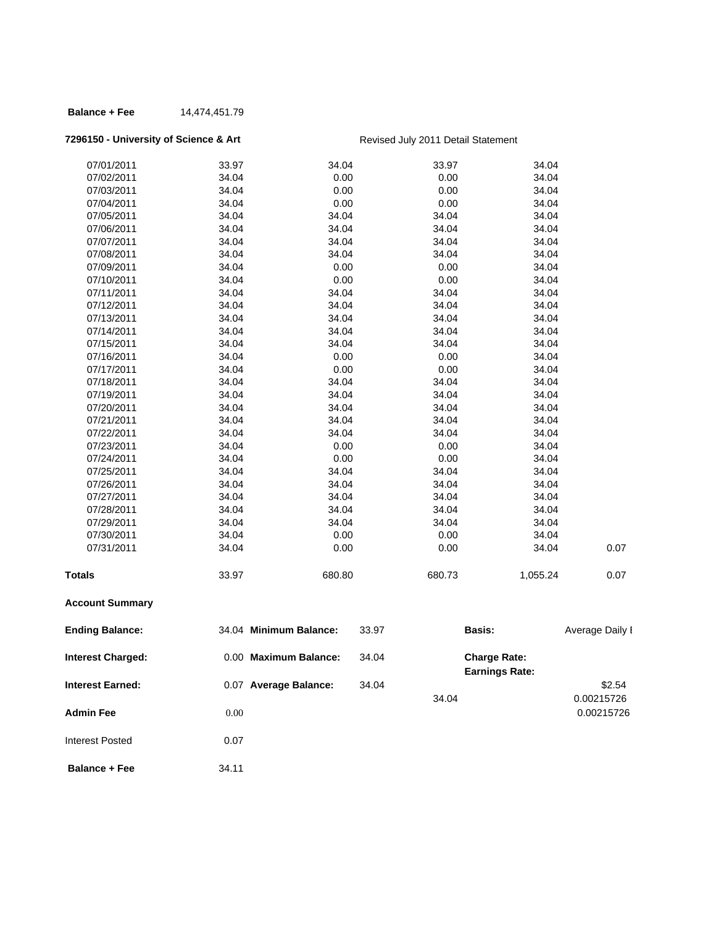### **Balance + Fee** 14,474,451.79

# **7296150 - University of Science & Art** Revised July 2011 Detail Statement

| 07/01/2011               | 33.97 | 34.04                  |       | 33.97  | 34.04                                        |                 |
|--------------------------|-------|------------------------|-------|--------|----------------------------------------------|-----------------|
| 07/02/2011               | 34.04 | 0.00                   |       | 0.00   | 34.04                                        |                 |
| 07/03/2011               | 34.04 | 0.00                   |       | 0.00   | 34.04                                        |                 |
| 07/04/2011               | 34.04 | 0.00                   |       | 0.00   | 34.04                                        |                 |
| 07/05/2011               | 34.04 | 34.04                  |       | 34.04  | 34.04                                        |                 |
| 07/06/2011               | 34.04 | 34.04                  |       | 34.04  | 34.04                                        |                 |
| 07/07/2011               | 34.04 | 34.04                  |       | 34.04  | 34.04                                        |                 |
| 07/08/2011               | 34.04 | 34.04                  |       | 34.04  | 34.04                                        |                 |
| 07/09/2011               | 34.04 | 0.00                   |       | 0.00   | 34.04                                        |                 |
| 07/10/2011               | 34.04 | 0.00                   |       | 0.00   | 34.04                                        |                 |
| 07/11/2011               | 34.04 | 34.04                  |       | 34.04  | 34.04                                        |                 |
| 07/12/2011               | 34.04 | 34.04                  |       | 34.04  | 34.04                                        |                 |
| 07/13/2011               | 34.04 | 34.04                  |       | 34.04  | 34.04                                        |                 |
| 07/14/2011               | 34.04 | 34.04                  |       | 34.04  | 34.04                                        |                 |
| 07/15/2011               | 34.04 | 34.04                  |       | 34.04  | 34.04                                        |                 |
| 07/16/2011               | 34.04 | 0.00                   |       | 0.00   | 34.04                                        |                 |
| 07/17/2011               | 34.04 | 0.00                   |       | 0.00   | 34.04                                        |                 |
| 07/18/2011               | 34.04 | 34.04                  |       | 34.04  | 34.04                                        |                 |
| 07/19/2011               | 34.04 | 34.04                  |       | 34.04  | 34.04                                        |                 |
| 07/20/2011               | 34.04 | 34.04                  |       | 34.04  | 34.04                                        |                 |
| 07/21/2011               | 34.04 | 34.04                  |       | 34.04  | 34.04                                        |                 |
| 07/22/2011               | 34.04 | 34.04                  |       | 34.04  | 34.04                                        |                 |
| 07/23/2011               | 34.04 | 0.00                   |       | 0.00   | 34.04                                        |                 |
| 07/24/2011               | 34.04 | 0.00                   |       | 0.00   | 34.04                                        |                 |
| 07/25/2011               | 34.04 | 34.04                  |       | 34.04  | 34.04                                        |                 |
| 07/26/2011               | 34.04 | 34.04                  |       | 34.04  | 34.04                                        |                 |
| 07/27/2011               | 34.04 | 34.04                  |       | 34.04  | 34.04                                        |                 |
| 07/28/2011               | 34.04 | 34.04                  |       | 34.04  | 34.04                                        |                 |
| 07/29/2011               | 34.04 | 34.04                  |       | 34.04  | 34.04                                        |                 |
| 07/30/2011               | 34.04 | 0.00                   |       | 0.00   | 34.04                                        |                 |
| 07/31/2011               | 34.04 | 0.00                   |       | 0.00   | 34.04                                        | 0.07            |
| <b>Totals</b>            | 33.97 | 680.80                 |       | 680.73 | 1,055.24                                     | 0.07            |
| <b>Account Summary</b>   |       |                        |       |        |                                              |                 |
| <b>Ending Balance:</b>   |       | 34.04 Minimum Balance: | 33.97 |        | <b>Basis:</b>                                | Average Daily I |
| <b>Interest Charged:</b> |       | 0.00 Maximum Balance:  | 34.04 |        | <b>Charge Rate:</b><br><b>Earnings Rate:</b> |                 |
| Interest Earned:         |       | 0.07 Average Balance:  | 34.04 |        |                                              | \$2.54          |
|                          |       |                        |       | 34.04  |                                              | 0.00215726      |
|                          |       |                        |       |        |                                              |                 |
| <b>Admin Fee</b>         | 0.00  |                        |       |        |                                              | 0.00215726      |
| <b>Interest Posted</b>   | 0.07  |                        |       |        |                                              |                 |
|                          |       |                        |       |        |                                              |                 |
| <b>Balance + Fee</b>     | 34.11 |                        |       |        |                                              |                 |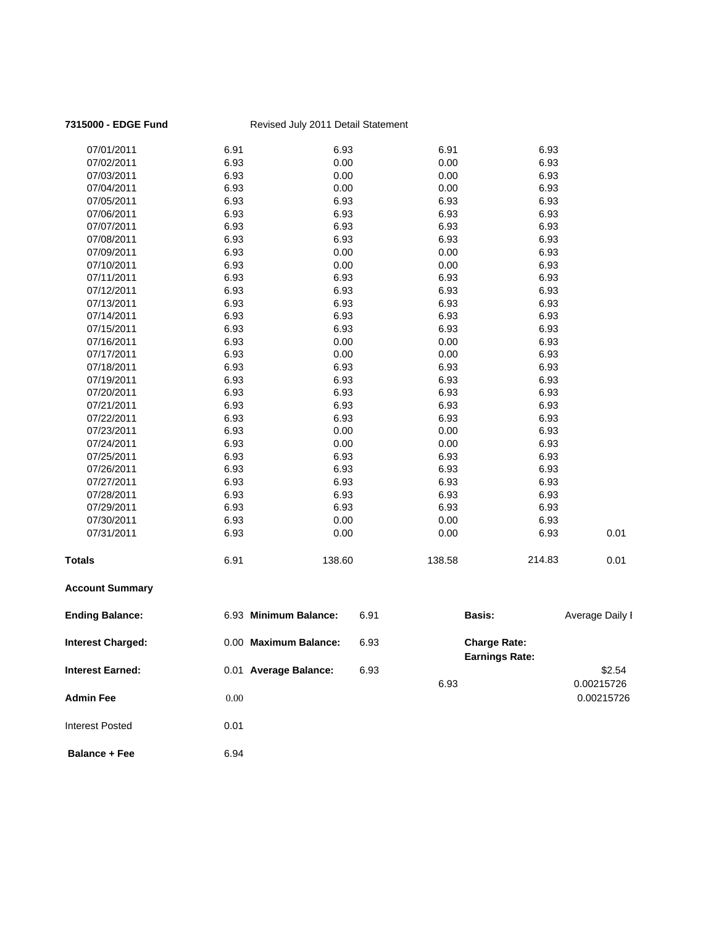| 7315000 - EDGE Fund     |          | Revised July 2011 Detail Statement |        |                                              |        |                 |
|-------------------------|----------|------------------------------------|--------|----------------------------------------------|--------|-----------------|
| 07/01/2011              | 6.91     | 6.93                               |        | 6.91                                         | 6.93   |                 |
| 07/02/2011              | 6.93     | 0.00                               |        | 0.00                                         | 6.93   |                 |
| 07/03/2011              | 6.93     | 0.00                               |        | 0.00                                         | 6.93   |                 |
| 07/04/2011              | 6.93     | 0.00                               |        | 0.00                                         | 6.93   |                 |
| 07/05/2011              | 6.93     | 6.93                               |        | 6.93                                         | 6.93   |                 |
| 07/06/2011              | 6.93     | 6.93                               |        | 6.93                                         | 6.93   |                 |
| 07/07/2011              | 6.93     | 6.93                               |        | 6.93                                         | 6.93   |                 |
| 07/08/2011              | 6.93     | 6.93                               |        | 6.93                                         | 6.93   |                 |
| 07/09/2011              | 6.93     | 0.00                               |        | 0.00                                         | 6.93   |                 |
| 07/10/2011              | 6.93     | 0.00                               |        | 0.00                                         | 6.93   |                 |
| 07/11/2011              | 6.93     | 6.93                               |        | 6.93                                         | 6.93   |                 |
| 07/12/2011              | 6.93     | 6.93                               |        | 6.93                                         | 6.93   |                 |
| 07/13/2011              | 6.93     | 6.93                               |        | 6.93                                         | 6.93   |                 |
| 07/14/2011              | 6.93     | 6.93                               |        | 6.93                                         | 6.93   |                 |
| 07/15/2011              | 6.93     | 6.93                               |        | 6.93                                         | 6.93   |                 |
| 07/16/2011              | 6.93     | 0.00                               |        | 0.00                                         | 6.93   |                 |
| 07/17/2011              | 6.93     | 0.00                               |        | 0.00                                         | 6.93   |                 |
| 07/18/2011              | 6.93     | 6.93                               |        | 6.93                                         | 6.93   |                 |
| 07/19/2011              | 6.93     | 6.93                               |        | 6.93                                         | 6.93   |                 |
| 07/20/2011              | 6.93     | 6.93                               |        | 6.93                                         | 6.93   |                 |
| 07/21/2011              | 6.93     | 6.93                               |        | 6.93                                         | 6.93   |                 |
| 07/22/2011              | 6.93     | 6.93                               |        | 6.93                                         | 6.93   |                 |
| 07/23/2011              | 6.93     | 0.00                               |        | 0.00                                         | 6.93   |                 |
| 07/24/2011              | 6.93     | 0.00                               |        | 0.00                                         | 6.93   |                 |
| 07/25/2011              | 6.93     | 6.93                               |        | 6.93                                         | 6.93   |                 |
| 07/26/2011              | 6.93     | 6.93                               |        | 6.93                                         | 6.93   |                 |
| 07/27/2011              | 6.93     | 6.93                               |        | 6.93                                         | 6.93   |                 |
| 07/28/2011              | 6.93     | 6.93                               |        | 6.93                                         | 6.93   |                 |
| 07/29/2011              | 6.93     | 6.93                               |        | 6.93                                         | 6.93   |                 |
| 07/30/2011              | 6.93     | 0.00                               |        | 0.00                                         | 6.93   |                 |
| 07/31/2011              | 6.93     | 0.00                               |        | 0.00                                         | 6.93   | 0.01            |
| <b>Totals</b>           | 6.91     | 138.60                             | 138.58 |                                              | 214.83 | 0.01            |
| <b>Account Summary</b>  |          |                                    |        |                                              |        |                 |
| <b>Ending Balance:</b>  |          | 6.93 Minimum Balance:              | 6.91   | <b>Basis:</b>                                |        | Average Daily I |
| Interest Charged:       |          | 0.00 Maximum Balance:              | 6.93   | <b>Charge Rate:</b><br><b>Earnings Rate:</b> |        |                 |
| <b>Interest Earned:</b> |          | 0.01 Average Balance:              | 6.93   |                                              |        | \$2.54          |
|                         |          |                                    |        | 6.93                                         |        | 0.00215726      |
| <b>Admin Fee</b>        | $0.00\,$ |                                    |        |                                              |        | 0.00215726      |
| <b>Interest Posted</b>  | 0.01     |                                    |        |                                              |        |                 |
| <b>Balance + Fee</b>    | 6.94     |                                    |        |                                              |        |                 |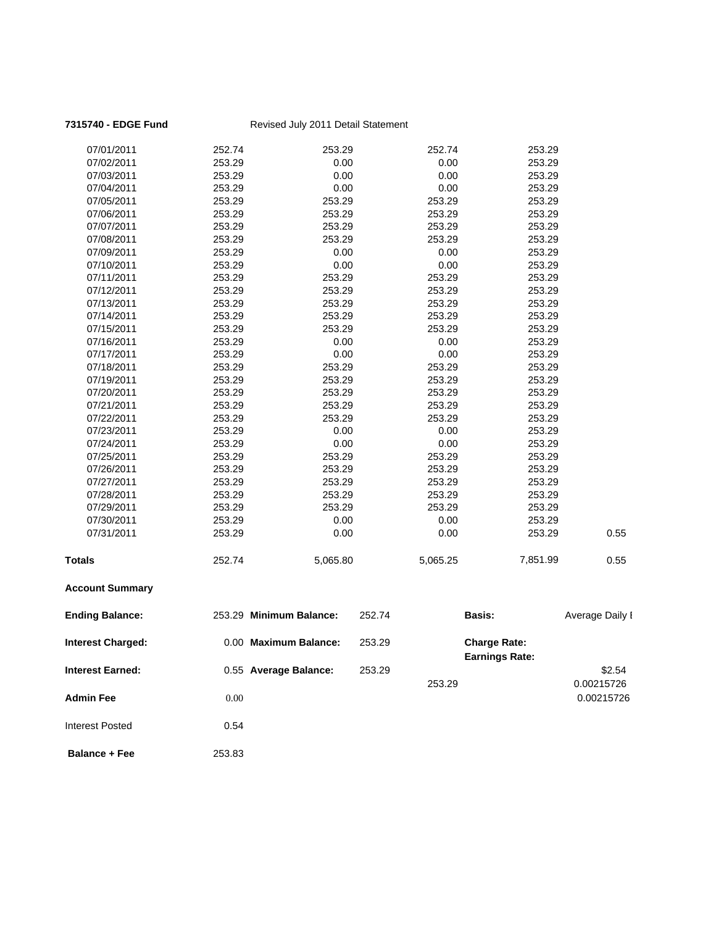| 7315740 - EDGE Fund      |        | Revised July 2011 Detail Statement |          |                                              |                 |
|--------------------------|--------|------------------------------------|----------|----------------------------------------------|-----------------|
| 07/01/2011               | 252.74 | 253.29                             | 252.74   | 253.29                                       |                 |
| 07/02/2011               | 253.29 | 0.00                               | 0.00     | 253.29                                       |                 |
| 07/03/2011               | 253.29 | 0.00                               | 0.00     | 253.29                                       |                 |
| 07/04/2011               | 253.29 | 0.00                               | 0.00     | 253.29                                       |                 |
| 07/05/2011               | 253.29 | 253.29                             | 253.29   | 253.29                                       |                 |
| 07/06/2011               | 253.29 | 253.29                             | 253.29   | 253.29                                       |                 |
| 07/07/2011               | 253.29 | 253.29                             | 253.29   | 253.29                                       |                 |
| 07/08/2011               | 253.29 | 253.29                             | 253.29   | 253.29                                       |                 |
| 07/09/2011               | 253.29 | 0.00                               | 0.00     | 253.29                                       |                 |
| 07/10/2011               | 253.29 | 0.00                               | 0.00     | 253.29                                       |                 |
| 07/11/2011               | 253.29 | 253.29                             | 253.29   | 253.29                                       |                 |
| 07/12/2011               | 253.29 | 253.29                             | 253.29   | 253.29                                       |                 |
| 07/13/2011               | 253.29 | 253.29                             | 253.29   | 253.29                                       |                 |
| 07/14/2011               | 253.29 | 253.29                             | 253.29   | 253.29                                       |                 |
| 07/15/2011               | 253.29 | 253.29                             | 253.29   | 253.29                                       |                 |
| 07/16/2011               | 253.29 | 0.00                               | 0.00     | 253.29                                       |                 |
| 07/17/2011               | 253.29 | 0.00                               | 0.00     | 253.29                                       |                 |
| 07/18/2011               | 253.29 | 253.29                             | 253.29   | 253.29                                       |                 |
| 07/19/2011               | 253.29 | 253.29                             | 253.29   | 253.29                                       |                 |
| 07/20/2011               | 253.29 | 253.29                             | 253.29   | 253.29                                       |                 |
| 07/21/2011               | 253.29 | 253.29                             | 253.29   | 253.29                                       |                 |
| 07/22/2011               | 253.29 | 253.29                             | 253.29   | 253.29                                       |                 |
| 07/23/2011               | 253.29 | 0.00                               | 0.00     | 253.29                                       |                 |
| 07/24/2011               | 253.29 | 0.00                               | 0.00     | 253.29                                       |                 |
| 07/25/2011               | 253.29 | 253.29                             | 253.29   | 253.29                                       |                 |
| 07/26/2011               | 253.29 | 253.29                             | 253.29   | 253.29                                       |                 |
| 07/27/2011               | 253.29 | 253.29                             | 253.29   | 253.29                                       |                 |
| 07/28/2011               | 253.29 | 253.29                             | 253.29   | 253.29                                       |                 |
| 07/29/2011               | 253.29 | 253.29                             | 253.29   | 253.29                                       |                 |
| 07/30/2011               | 253.29 | 0.00                               | 0.00     | 253.29                                       |                 |
| 07/31/2011               | 253.29 | 0.00                               | 0.00     | 253.29                                       | 0.55            |
| <b>Totals</b>            | 252.74 | 5,065.80                           | 5,065.25 | 7,851.99                                     | 0.55            |
| <b>Account Summary</b>   |        |                                    |          |                                              |                 |
| <b>Ending Balance:</b>   |        | 253.29 Minimum Balance:            | 252.74   | <b>Basis:</b>                                | Average Daily I |
| <b>Interest Charged:</b> |        | 0.00 Maximum Balance:              | 253.29   | <b>Charge Rate:</b><br><b>Earnings Rate:</b> |                 |
| <b>Interest Earned:</b>  |        | 0.55 Average Balance:              | 253.29   |                                              | \$2.54          |
|                          |        |                                    | 253.29   |                                              | 0.00215726      |
| <b>Admin Fee</b>         | 0.00   |                                    |          |                                              | 0.00215726      |
| <b>Interest Posted</b>   | 0.54   |                                    |          |                                              |                 |
| <b>Balance + Fee</b>     | 253.83 |                                    |          |                                              |                 |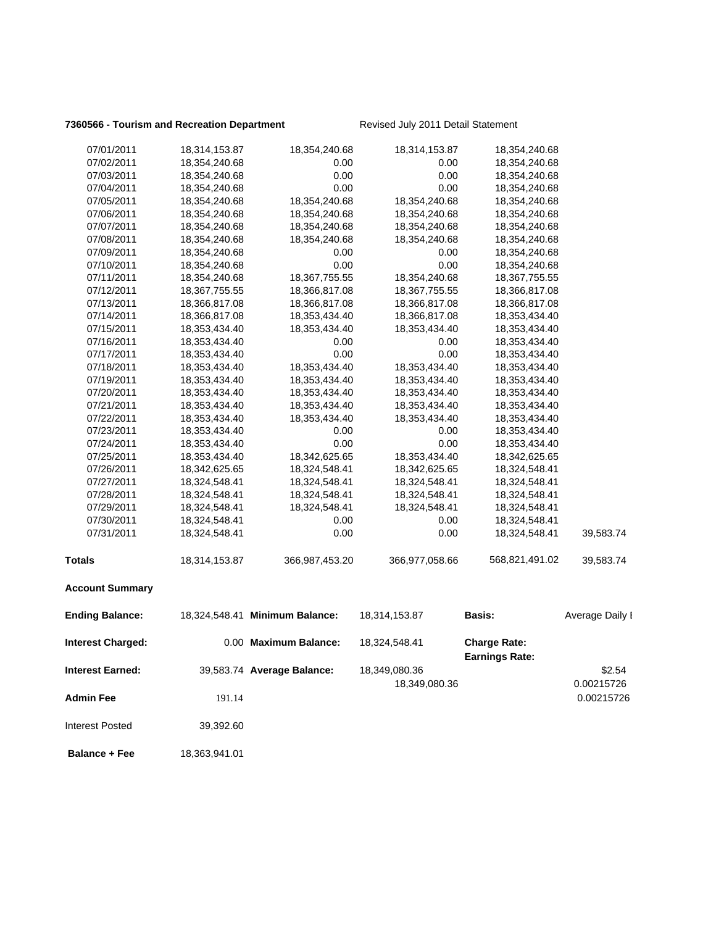### **7360566 - Tourism and Recreation Department** Revised July 2011 Detail Statement

| 07/01/2011              | 18,314,153.87 | 18,354,240.68                  | 18,314,153.87  | 18,354,240.68                                |                 |
|-------------------------|---------------|--------------------------------|----------------|----------------------------------------------|-----------------|
| 07/02/2011              | 18,354,240.68 | 0.00                           | 0.00           | 18,354,240.68                                |                 |
| 07/03/2011              | 18,354,240.68 | 0.00                           | 0.00           | 18,354,240.68                                |                 |
| 07/04/2011              | 18,354,240.68 | 0.00                           | 0.00           | 18,354,240.68                                |                 |
| 07/05/2011              | 18,354,240.68 | 18,354,240.68                  | 18,354,240.68  | 18,354,240.68                                |                 |
| 07/06/2011              | 18,354,240.68 | 18,354,240.68                  | 18,354,240.68  | 18,354,240.68                                |                 |
| 07/07/2011              | 18,354,240.68 | 18,354,240.68                  | 18,354,240.68  | 18,354,240.68                                |                 |
| 07/08/2011              | 18,354,240.68 | 18,354,240.68                  | 18,354,240.68  | 18,354,240.68                                |                 |
| 07/09/2011              | 18,354,240.68 | 0.00                           | 0.00           | 18,354,240.68                                |                 |
| 07/10/2011              | 18,354,240.68 | 0.00                           | 0.00           | 18,354,240.68                                |                 |
| 07/11/2011              | 18,354,240.68 | 18,367,755.55                  | 18,354,240.68  | 18,367,755.55                                |                 |
| 07/12/2011              | 18,367,755.55 | 18,366,817.08                  | 18,367,755.55  | 18,366,817.08                                |                 |
| 07/13/2011              | 18,366,817.08 | 18,366,817.08                  | 18,366,817.08  | 18,366,817.08                                |                 |
| 07/14/2011              | 18,366,817.08 | 18,353,434.40                  | 18,366,817.08  | 18,353,434.40                                |                 |
| 07/15/2011              | 18,353,434.40 | 18,353,434.40                  | 18,353,434.40  | 18,353,434.40                                |                 |
| 07/16/2011              | 18,353,434.40 | 0.00                           | 0.00           | 18,353,434.40                                |                 |
| 07/17/2011              | 18,353,434.40 | 0.00                           | 0.00           | 18,353,434.40                                |                 |
| 07/18/2011              | 18,353,434.40 | 18,353,434.40                  | 18,353,434.40  | 18,353,434.40                                |                 |
| 07/19/2011              | 18,353,434.40 | 18,353,434.40                  | 18,353,434.40  | 18,353,434.40                                |                 |
| 07/20/2011              | 18,353,434.40 | 18,353,434.40                  | 18,353,434.40  | 18,353,434.40                                |                 |
| 07/21/2011              | 18,353,434.40 | 18,353,434.40                  | 18,353,434.40  | 18,353,434.40                                |                 |
| 07/22/2011              | 18,353,434.40 | 18,353,434.40                  | 18,353,434.40  | 18,353,434.40                                |                 |
| 07/23/2011              | 18,353,434.40 | 0.00                           | 0.00           | 18,353,434.40                                |                 |
| 07/24/2011              | 18,353,434.40 | 0.00                           | 0.00           | 18,353,434.40                                |                 |
| 07/25/2011              | 18,353,434.40 | 18,342,625.65                  | 18,353,434.40  | 18,342,625.65                                |                 |
| 07/26/2011              | 18,342,625.65 | 18,324,548.41                  | 18,342,625.65  | 18,324,548.41                                |                 |
| 07/27/2011              | 18,324,548.41 | 18,324,548.41                  | 18,324,548.41  | 18,324,548.41                                |                 |
| 07/28/2011              | 18,324,548.41 | 18,324,548.41                  | 18,324,548.41  | 18,324,548.41                                |                 |
| 07/29/2011              | 18,324,548.41 | 18,324,548.41                  | 18,324,548.41  | 18,324,548.41                                |                 |
| 07/30/2011              | 18,324,548.41 | 0.00                           | 0.00           | 18,324,548.41                                |                 |
| 07/31/2011              | 18,324,548.41 | 0.00                           | 0.00           | 18,324,548.41                                | 39,583.74       |
| <b>Totals</b>           | 18,314,153.87 | 366,987,453.20                 | 366,977,058.66 | 568,821,491.02                               | 39,583.74       |
| <b>Account Summary</b>  |               |                                |                |                                              |                 |
| <b>Ending Balance:</b>  |               | 18,324,548.41 Minimum Balance: | 18,314,153.87  | <b>Basis:</b>                                | Average Daily I |
| Interest Charged:       |               | 0.00 Maximum Balance:          | 18,324,548.41  | <b>Charge Rate:</b><br><b>Earnings Rate:</b> |                 |
| <b>Interest Earned:</b> |               | 39,583.74 Average Balance:     | 18,349,080.36  |                                              | \$2.54          |
|                         |               |                                | 18,349,080.36  |                                              | 0.00215726      |
| <b>Admin Fee</b>        | 191.14        |                                |                |                                              | 0.00215726      |
| <b>Interest Posted</b>  | 39,392.60     |                                |                |                                              |                 |
| <b>Balance + Fee</b>    | 18,363,941.01 |                                |                |                                              |                 |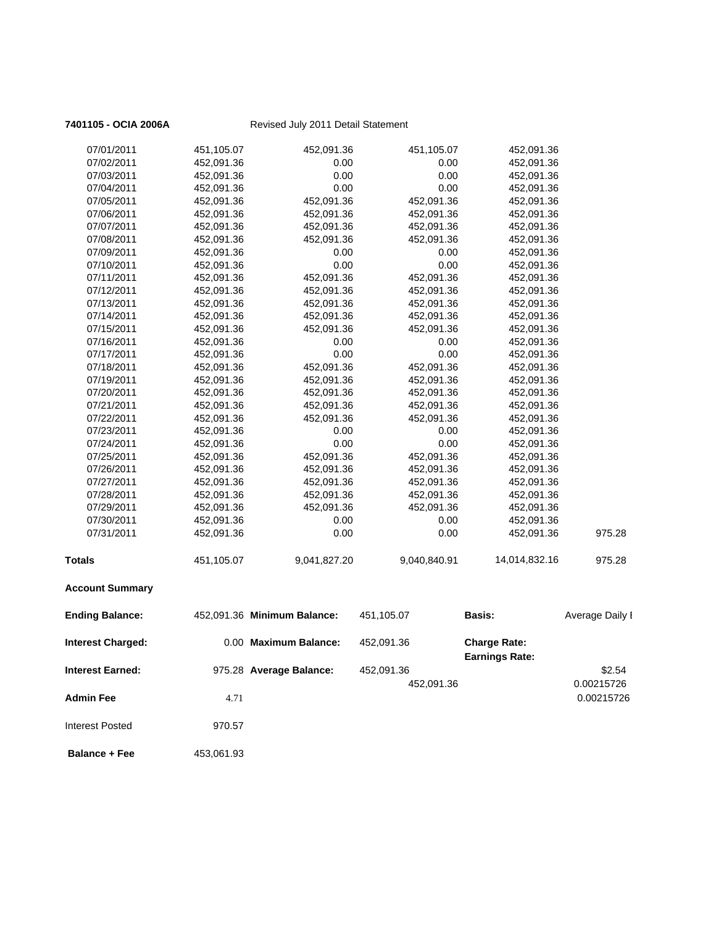| 07/01/2011               | 451,105.07 | 452,091.36                  | 451,105.07   | 452,091.36                                   |                 |
|--------------------------|------------|-----------------------------|--------------|----------------------------------------------|-----------------|
| 07/02/2011               | 452,091.36 | 0.00                        | 0.00         | 452,091.36                                   |                 |
| 07/03/2011               | 452,091.36 | 0.00                        | 0.00         | 452,091.36                                   |                 |
| 07/04/2011               | 452,091.36 | 0.00                        | 0.00         | 452,091.36                                   |                 |
| 07/05/2011               | 452,091.36 | 452,091.36                  | 452,091.36   | 452,091.36                                   |                 |
| 07/06/2011               | 452,091.36 | 452,091.36                  | 452,091.36   | 452,091.36                                   |                 |
| 07/07/2011               | 452,091.36 | 452,091.36                  | 452,091.36   | 452,091.36                                   |                 |
| 07/08/2011               | 452,091.36 | 452,091.36                  | 452,091.36   | 452,091.36                                   |                 |
| 07/09/2011               | 452,091.36 | 0.00                        | 0.00         | 452,091.36                                   |                 |
| 07/10/2011               | 452,091.36 | 0.00                        | 0.00         | 452,091.36                                   |                 |
| 07/11/2011               | 452,091.36 | 452,091.36                  | 452,091.36   | 452,091.36                                   |                 |
| 07/12/2011               | 452,091.36 | 452,091.36                  | 452,091.36   | 452,091.36                                   |                 |
| 07/13/2011               | 452,091.36 | 452,091.36                  | 452,091.36   | 452,091.36                                   |                 |
| 07/14/2011               | 452,091.36 | 452,091.36                  | 452,091.36   | 452,091.36                                   |                 |
| 07/15/2011               | 452,091.36 | 452,091.36                  | 452,091.36   | 452,091.36                                   |                 |
| 07/16/2011               | 452,091.36 | 0.00                        | 0.00         | 452,091.36                                   |                 |
| 07/17/2011               | 452,091.36 | 0.00                        | 0.00         | 452,091.36                                   |                 |
| 07/18/2011               | 452,091.36 | 452,091.36                  | 452,091.36   | 452,091.36                                   |                 |
| 07/19/2011               | 452,091.36 | 452,091.36                  | 452,091.36   | 452,091.36                                   |                 |
| 07/20/2011               | 452,091.36 | 452,091.36                  | 452,091.36   | 452,091.36                                   |                 |
| 07/21/2011               | 452,091.36 | 452,091.36                  | 452,091.36   | 452,091.36                                   |                 |
| 07/22/2011               | 452,091.36 | 452,091.36                  | 452,091.36   | 452,091.36                                   |                 |
| 07/23/2011               | 452,091.36 | 0.00                        | 0.00         | 452,091.36                                   |                 |
| 07/24/2011               | 452,091.36 | 0.00                        | 0.00         | 452,091.36                                   |                 |
| 07/25/2011               | 452,091.36 | 452,091.36                  | 452,091.36   | 452,091.36                                   |                 |
| 07/26/2011               | 452,091.36 | 452,091.36                  | 452,091.36   | 452,091.36                                   |                 |
| 07/27/2011               | 452,091.36 | 452,091.36                  | 452,091.36   | 452,091.36                                   |                 |
| 07/28/2011               | 452,091.36 | 452,091.36                  | 452,091.36   | 452,091.36                                   |                 |
| 07/29/2011               | 452,091.36 | 452,091.36                  | 452,091.36   | 452,091.36                                   |                 |
| 07/30/2011               | 452,091.36 | 0.00                        | 0.00         | 452,091.36                                   |                 |
| 07/31/2011               | 452,091.36 | 0.00                        | 0.00         | 452,091.36                                   | 975.28          |
| <b>Totals</b>            | 451,105.07 | 9,041,827.20                | 9,040,840.91 | 14,014,832.16                                | 975.28          |
| <b>Account Summary</b>   |            |                             |              |                                              |                 |
| <b>Ending Balance:</b>   |            | 452,091.36 Minimum Balance: | 451,105.07   | Basis:                                       | Average Daily I |
| <b>Interest Charged:</b> |            | 0.00 Maximum Balance:       | 452,091.36   | <b>Charge Rate:</b><br><b>Earnings Rate:</b> |                 |
| <b>Interest Earned:</b>  |            | 975.28 Average Balance:     | 452,091.36   |                                              | \$2.54          |
|                          |            |                             | 452,091.36   |                                              | 0.00215726      |
| Admin Fee                | 4.71       |                             |              |                                              | 0.00215726      |
|                          |            |                             |              |                                              |                 |
| <b>Interest Posted</b>   | 970.57     |                             |              |                                              |                 |
| <b>Balance + Fee</b>     | 453,061.93 |                             |              |                                              |                 |
|                          |            |                             |              |                                              |                 |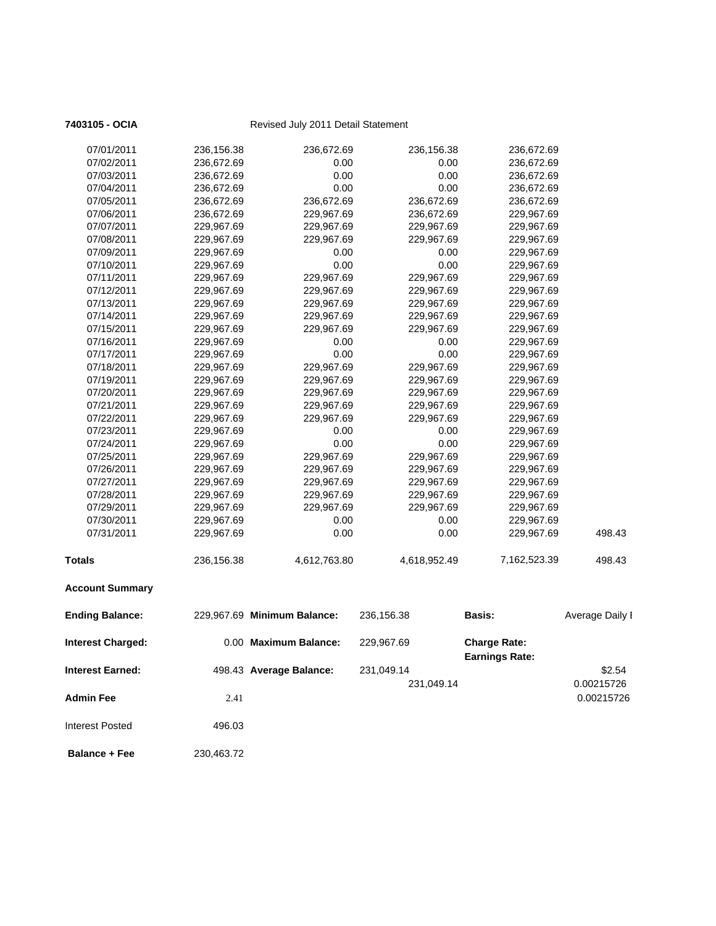| 07/01/2011               | 236,156.38 | 236,672.69                  | 236,156.38   | 236,672.69            |                 |
|--------------------------|------------|-----------------------------|--------------|-----------------------|-----------------|
| 07/02/2011               | 236,672.69 | 0.00                        | 0.00         | 236,672.69            |                 |
| 07/03/2011               | 236,672.69 | 0.00                        | 0.00         | 236,672.69            |                 |
| 07/04/2011               | 236,672.69 | 0.00                        | 0.00         | 236,672.69            |                 |
| 07/05/2011               | 236,672.69 | 236,672.69                  | 236,672.69   | 236,672.69            |                 |
| 07/06/2011               | 236,672.69 | 229,967.69                  | 236,672.69   | 229,967.69            |                 |
| 07/07/2011               | 229,967.69 | 229,967.69                  | 229,967.69   | 229,967.69            |                 |
| 07/08/2011               | 229,967.69 | 229,967.69                  | 229,967.69   | 229,967.69            |                 |
| 07/09/2011               | 229,967.69 | 0.00                        | 0.00         | 229,967.69            |                 |
| 07/10/2011               | 229,967.69 | 0.00                        | 0.00         | 229,967.69            |                 |
| 07/11/2011               | 229,967.69 | 229,967.69                  | 229,967.69   | 229,967.69            |                 |
| 07/12/2011               | 229,967.69 | 229,967.69                  | 229,967.69   | 229,967.69            |                 |
| 07/13/2011               | 229,967.69 | 229,967.69                  | 229,967.69   | 229,967.69            |                 |
| 07/14/2011               | 229,967.69 | 229,967.69                  | 229,967.69   | 229,967.69            |                 |
| 07/15/2011               | 229,967.69 | 229,967.69                  | 229,967.69   | 229,967.69            |                 |
| 07/16/2011               | 229,967.69 | 0.00                        | 0.00         | 229,967.69            |                 |
| 07/17/2011               | 229,967.69 | 0.00                        | 0.00         | 229,967.69            |                 |
| 07/18/2011               | 229,967.69 | 229,967.69                  | 229,967.69   | 229,967.69            |                 |
| 07/19/2011               | 229,967.69 | 229,967.69                  | 229,967.69   | 229,967.69            |                 |
| 07/20/2011               | 229,967.69 | 229,967.69                  | 229,967.69   | 229,967.69            |                 |
| 07/21/2011               | 229,967.69 | 229,967.69                  | 229,967.69   | 229,967.69            |                 |
| 07/22/2011               | 229,967.69 | 229,967.69                  | 229,967.69   | 229,967.69            |                 |
| 07/23/2011               | 229,967.69 | 0.00                        | 0.00         | 229,967.69            |                 |
| 07/24/2011               | 229,967.69 | 0.00                        | 0.00         | 229,967.69            |                 |
| 07/25/2011               | 229,967.69 | 229,967.69                  | 229,967.69   | 229,967.69            |                 |
| 07/26/2011               | 229,967.69 | 229,967.69                  | 229,967.69   | 229,967.69            |                 |
| 07/27/2011               | 229,967.69 | 229,967.69                  | 229,967.69   | 229,967.69            |                 |
| 07/28/2011               | 229,967.69 | 229,967.69                  | 229,967.69   | 229,967.69            |                 |
| 07/29/2011               | 229,967.69 | 229,967.69                  | 229,967.69   | 229,967.69            |                 |
| 07/30/2011               | 229,967.69 | 0.00                        | 0.00         | 229,967.69            |                 |
| 07/31/2011               | 229,967.69 | 0.00                        | 0.00         | 229,967.69            | 498.43          |
|                          |            |                             |              |                       |                 |
| <b>Totals</b>            | 236,156.38 | 4,612,763.80                | 4,618,952.49 | 7,162,523.39          | 498.43          |
|                          |            |                             |              |                       |                 |
| <b>Account Summary</b>   |            |                             |              |                       |                 |
|                          |            |                             |              |                       |                 |
| <b>Ending Balance:</b>   |            | 229,967.69 Minimum Balance: | 236,156.38   | <b>Basis:</b>         | Average Daily I |
| <b>Interest Charged:</b> |            | 0.00 Maximum Balance:       | 229,967.69   | <b>Charge Rate:</b>   |                 |
|                          |            |                             |              | <b>Earnings Rate:</b> |                 |
| <b>Interest Earned:</b>  |            | 498.43 Average Balance:     | 231,049.14   |                       | \$2.54          |
|                          |            |                             | 231,049.14   |                       | 0.00215726      |
| <b>Admin Fee</b>         | 2.41       |                             |              |                       | 0.00215726      |
|                          |            |                             |              |                       |                 |
| <b>Interest Posted</b>   | 496.03     |                             |              |                       |                 |
|                          |            |                             |              |                       |                 |
| <b>Balance + Fee</b>     | 230,463.72 |                             |              |                       |                 |
|                          |            |                             |              |                       |                 |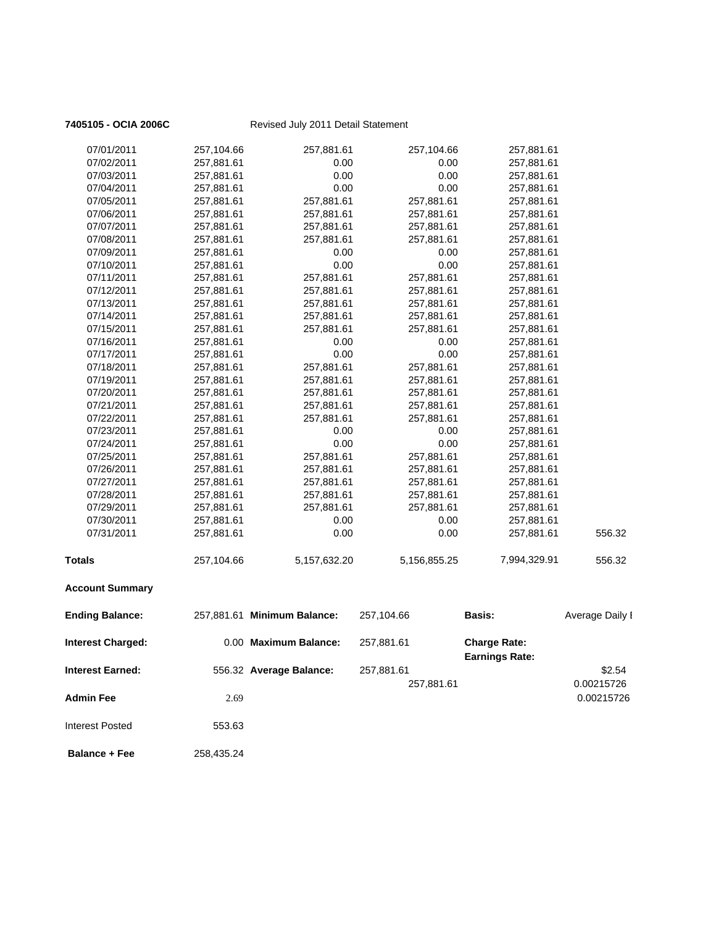| 7405105 - OCIA 2006C     | Revised July 2011 Detail Statement |                             |              |                                              |                 |
|--------------------------|------------------------------------|-----------------------------|--------------|----------------------------------------------|-----------------|
| 07/01/2011               | 257,104.66                         | 257,881.61                  | 257,104.66   | 257,881.61                                   |                 |
| 07/02/2011               | 257,881.61                         | 0.00                        | 0.00         | 257,881.61                                   |                 |
| 07/03/2011               | 257,881.61                         | 0.00                        | 0.00         | 257,881.61                                   |                 |
| 07/04/2011               | 257,881.61                         | 0.00                        | 0.00         | 257,881.61                                   |                 |
| 07/05/2011               | 257,881.61                         | 257,881.61                  | 257,881.61   | 257,881.61                                   |                 |
| 07/06/2011               | 257,881.61                         | 257,881.61                  | 257,881.61   | 257,881.61                                   |                 |
| 07/07/2011               | 257,881.61                         | 257,881.61                  | 257,881.61   | 257,881.61                                   |                 |
| 07/08/2011               | 257,881.61                         | 257,881.61                  | 257,881.61   | 257,881.61                                   |                 |
| 07/09/2011               | 257,881.61                         | 0.00                        | 0.00         | 257,881.61                                   |                 |
| 07/10/2011               | 257,881.61                         | 0.00                        | 0.00         | 257,881.61                                   |                 |
| 07/11/2011               | 257,881.61                         | 257,881.61                  | 257,881.61   | 257,881.61                                   |                 |
| 07/12/2011               | 257,881.61                         | 257,881.61                  | 257,881.61   | 257,881.61                                   |                 |
| 07/13/2011               | 257,881.61                         | 257,881.61                  | 257,881.61   | 257,881.61                                   |                 |
| 07/14/2011               | 257,881.61                         | 257,881.61                  | 257,881.61   | 257,881.61                                   |                 |
| 07/15/2011               | 257,881.61                         | 257,881.61                  | 257,881.61   | 257,881.61                                   |                 |
| 07/16/2011               | 257,881.61                         | 0.00                        | 0.00         | 257,881.61                                   |                 |
| 07/17/2011               | 257,881.61                         | 0.00                        | 0.00         | 257,881.61                                   |                 |
| 07/18/2011               | 257,881.61                         | 257,881.61                  | 257,881.61   | 257,881.61                                   |                 |
| 07/19/2011               | 257,881.61                         | 257,881.61                  | 257,881.61   | 257,881.61                                   |                 |
| 07/20/2011               | 257,881.61                         | 257,881.61                  | 257,881.61   | 257,881.61                                   |                 |
| 07/21/2011               | 257,881.61                         | 257,881.61                  | 257,881.61   | 257,881.61                                   |                 |
| 07/22/2011               | 257,881.61                         | 257,881.61                  | 257,881.61   | 257,881.61                                   |                 |
| 07/23/2011               | 257,881.61                         | 0.00                        | 0.00         | 257,881.61                                   |                 |
| 07/24/2011               | 257,881.61                         | 0.00                        | 0.00         | 257,881.61                                   |                 |
| 07/25/2011               | 257,881.61                         | 257,881.61                  | 257,881.61   | 257,881.61                                   |                 |
| 07/26/2011               | 257,881.61                         | 257,881.61                  | 257,881.61   | 257,881.61                                   |                 |
| 07/27/2011               | 257,881.61                         | 257,881.61                  | 257,881.61   | 257,881.61                                   |                 |
| 07/28/2011               | 257,881.61                         | 257,881.61                  | 257,881.61   | 257,881.61                                   |                 |
| 07/29/2011               | 257,881.61                         | 257,881.61                  | 257,881.61   | 257,881.61                                   |                 |
| 07/30/2011               | 257,881.61                         | 0.00                        | 0.00         | 257,881.61                                   |                 |
| 07/31/2011               | 257,881.61                         | 0.00                        | 0.00         | 257,881.61                                   | 556.32          |
| <b>Totals</b>            | 257,104.66                         | 5,157,632.20                | 5,156,855.25 | 7,994,329.91                                 | 556.32          |
| <b>Account Summary</b>   |                                    |                             |              |                                              |                 |
| <b>Ending Balance:</b>   |                                    | 257,881.61 Minimum Balance: | 257,104.66   | Basis:                                       | Average Daily I |
| <b>Interest Charged:</b> |                                    | 0.00 Maximum Balance:       | 257,881.61   | <b>Charge Rate:</b><br><b>Earnings Rate:</b> |                 |
| <b>Interest Earned:</b>  |                                    | 556.32 Average Balance:     | 257,881.61   |                                              | \$2.54          |
|                          |                                    |                             | 257,881.61   |                                              | 0.00215726      |
| <b>Admin Fee</b>         | 2.69                               |                             |              |                                              | 0.00215726      |
| <b>Interest Posted</b>   | 553.63                             |                             |              |                                              |                 |
|                          |                                    |                             |              |                                              |                 |
| <b>Balance + Fee</b>     | 258,435.24                         |                             |              |                                              |                 |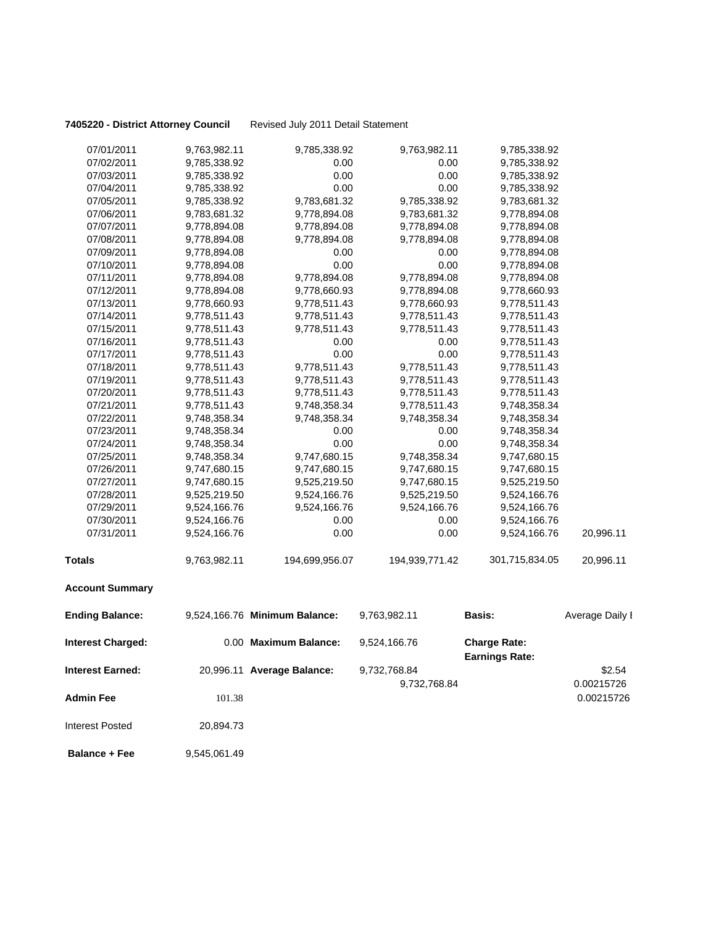### **7405220 - District Attorney Council** Revised July 2011 Detail Statement

| 07/01/2011               | 9,763,982.11 | 9,785,338.92                  | 9,763,982.11   | 9,785,338.92                                 |                 |
|--------------------------|--------------|-------------------------------|----------------|----------------------------------------------|-----------------|
| 07/02/2011               | 9,785,338.92 | 0.00                          | 0.00           | 9,785,338.92                                 |                 |
| 07/03/2011               | 9,785,338.92 | 0.00                          | 0.00           | 9,785,338.92                                 |                 |
| 07/04/2011               | 9,785,338.92 | 0.00                          | 0.00           | 9,785,338.92                                 |                 |
| 07/05/2011               | 9,785,338.92 | 9,783,681.32                  | 9,785,338.92   | 9,783,681.32                                 |                 |
| 07/06/2011               | 9,783,681.32 | 9,778,894.08                  | 9,783,681.32   | 9,778,894.08                                 |                 |
| 07/07/2011               | 9,778,894.08 | 9,778,894.08                  | 9,778,894.08   | 9,778,894.08                                 |                 |
| 07/08/2011               | 9,778,894.08 | 9,778,894.08                  | 9,778,894.08   | 9,778,894.08                                 |                 |
| 07/09/2011               | 9,778,894.08 | 0.00                          | 0.00           | 9,778,894.08                                 |                 |
| 07/10/2011               | 9,778,894.08 | 0.00                          | 0.00           | 9,778,894.08                                 |                 |
| 07/11/2011               | 9,778,894.08 | 9,778,894.08                  | 9,778,894.08   | 9,778,894.08                                 |                 |
| 07/12/2011               | 9,778,894.08 | 9,778,660.93                  | 9,778,894.08   | 9,778,660.93                                 |                 |
| 07/13/2011               | 9,778,660.93 | 9,778,511.43                  | 9,778,660.93   | 9,778,511.43                                 |                 |
| 07/14/2011               | 9,778,511.43 | 9,778,511.43                  | 9,778,511.43   | 9,778,511.43                                 |                 |
| 07/15/2011               | 9,778,511.43 | 9,778,511.43                  | 9,778,511.43   | 9,778,511.43                                 |                 |
| 07/16/2011               | 9,778,511.43 | 0.00                          | 0.00           | 9,778,511.43                                 |                 |
| 07/17/2011               | 9,778,511.43 | 0.00                          | 0.00           | 9,778,511.43                                 |                 |
| 07/18/2011               | 9,778,511.43 | 9,778,511.43                  | 9,778,511.43   | 9,778,511.43                                 |                 |
| 07/19/2011               | 9,778,511.43 | 9,778,511.43                  | 9,778,511.43   | 9,778,511.43                                 |                 |
| 07/20/2011               | 9,778,511.43 | 9,778,511.43                  | 9,778,511.43   | 9,778,511.43                                 |                 |
| 07/21/2011               | 9,778,511.43 | 9,748,358.34                  | 9,778,511.43   | 9,748,358.34                                 |                 |
| 07/22/2011               | 9,748,358.34 | 9,748,358.34                  | 9,748,358.34   | 9,748,358.34                                 |                 |
| 07/23/2011               | 9,748,358.34 | 0.00                          | 0.00           | 9,748,358.34                                 |                 |
| 07/24/2011               | 9,748,358.34 | 0.00                          | 0.00           | 9,748,358.34                                 |                 |
| 07/25/2011               | 9,748,358.34 | 9,747,680.15                  | 9,748,358.34   | 9,747,680.15                                 |                 |
| 07/26/2011               | 9,747,680.15 | 9,747,680.15                  | 9,747,680.15   | 9,747,680.15                                 |                 |
| 07/27/2011               | 9,747,680.15 | 9,525,219.50                  | 9,747,680.15   | 9,525,219.50                                 |                 |
| 07/28/2011               | 9,525,219.50 | 9,524,166.76                  | 9,525,219.50   | 9,524,166.76                                 |                 |
| 07/29/2011               | 9,524,166.76 | 9,524,166.76                  | 9,524,166.76   | 9,524,166.76                                 |                 |
| 07/30/2011               | 9,524,166.76 | 0.00                          | 0.00           | 9,524,166.76                                 |                 |
| 07/31/2011               | 9,524,166.76 | 0.00                          | 0.00           | 9,524,166.76                                 | 20,996.11       |
| <b>Totals</b>            | 9,763,982.11 | 194,699,956.07                | 194,939,771.42 | 301,715,834.05                               | 20,996.11       |
| <b>Account Summary</b>   |              |                               |                |                                              |                 |
| <b>Ending Balance:</b>   |              | 9,524,166.76 Minimum Balance: | 9,763,982.11   | <b>Basis:</b>                                | Average Daily I |
| <b>Interest Charged:</b> |              | 0.00 Maximum Balance:         | 9,524,166.76   | <b>Charge Rate:</b><br><b>Earnings Rate:</b> |                 |
| <b>Interest Earned:</b>  |              | 20,996.11 Average Balance:    | 9,732,768.84   |                                              | \$2.54          |
|                          |              |                               | 9,732,768.84   |                                              | 0.00215726      |
|                          |              |                               |                |                                              |                 |
| Admin Fee                | 101.38       |                               |                |                                              | 0.00215726      |
| <b>Interest Posted</b>   | 20,894.73    |                               |                |                                              |                 |
| <b>Balance + Fee</b>     | 9,545,061.49 |                               |                |                                              |                 |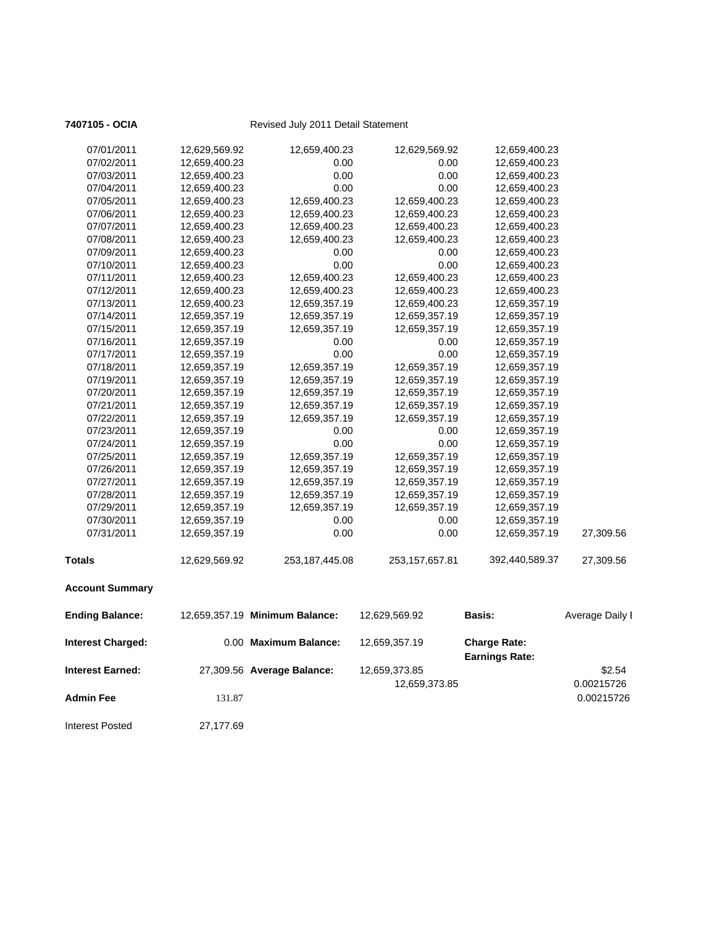| 07/02/2011<br>07/03/2011 | 12,659,400.23<br>12,659,400.23 | 0.00<br>0.00                   | 0.00<br>0.00   | 12,659,400.23<br>12,659,400.23               |                 |
|--------------------------|--------------------------------|--------------------------------|----------------|----------------------------------------------|-----------------|
| 07/04/2011               | 12,659,400.23                  | 0.00                           | 0.00           | 12,659,400.23                                |                 |
| 07/05/2011               | 12,659,400.23                  | 12,659,400.23                  | 12,659,400.23  | 12,659,400.23                                |                 |
| 07/06/2011               | 12,659,400.23                  | 12,659,400.23                  | 12,659,400.23  | 12,659,400.23                                |                 |
| 07/07/2011               | 12,659,400.23                  | 12,659,400.23                  | 12,659,400.23  | 12,659,400.23                                |                 |
| 07/08/2011               | 12,659,400.23                  | 12,659,400.23                  | 12,659,400.23  | 12,659,400.23                                |                 |
| 07/09/2011               | 12,659,400.23                  | 0.00                           | 0.00           | 12,659,400.23                                |                 |
| 07/10/2011               | 12,659,400.23                  | 0.00                           | 0.00           | 12,659,400.23                                |                 |
| 07/11/2011               | 12,659,400.23                  | 12,659,400.23                  | 12,659,400.23  | 12,659,400.23                                |                 |
| 07/12/2011               | 12,659,400.23                  | 12,659,400.23                  | 12,659,400.23  | 12,659,400.23                                |                 |
| 07/13/2011               | 12,659,400.23                  | 12,659,357.19                  | 12,659,400.23  | 12,659,357.19                                |                 |
| 07/14/2011               | 12,659,357.19                  | 12,659,357.19                  | 12,659,357.19  | 12,659,357.19                                |                 |
| 07/15/2011               | 12,659,357.19                  | 12,659,357.19                  | 12,659,357.19  | 12,659,357.19                                |                 |
| 07/16/2011               | 12,659,357.19                  | 0.00                           | 0.00           | 12,659,357.19                                |                 |
| 07/17/2011               | 12,659,357.19                  | 0.00                           | 0.00           | 12,659,357.19                                |                 |
| 07/18/2011               | 12,659,357.19                  | 12,659,357.19                  | 12,659,357.19  | 12,659,357.19                                |                 |
| 07/19/2011               | 12,659,357.19                  | 12,659,357.19                  | 12,659,357.19  | 12,659,357.19                                |                 |
| 07/20/2011               | 12,659,357.19                  | 12,659,357.19                  | 12,659,357.19  | 12,659,357.19                                |                 |
| 07/21/2011               | 12,659,357.19                  | 12,659,357.19                  | 12,659,357.19  | 12,659,357.19                                |                 |
| 07/22/2011               | 12,659,357.19                  | 12,659,357.19                  | 12,659,357.19  | 12,659,357.19                                |                 |
| 07/23/2011               | 12,659,357.19                  | 0.00                           | 0.00           | 12,659,357.19                                |                 |
| 07/24/2011               | 12,659,357.19                  | 0.00                           | 0.00           | 12,659,357.19                                |                 |
| 07/25/2011               | 12,659,357.19                  | 12,659,357.19                  | 12,659,357.19  | 12,659,357.19                                |                 |
| 07/26/2011               | 12,659,357.19                  | 12,659,357.19                  | 12,659,357.19  | 12,659,357.19                                |                 |
| 07/27/2011               | 12,659,357.19                  | 12,659,357.19                  | 12,659,357.19  | 12,659,357.19                                |                 |
| 07/28/2011               | 12,659,357.19                  | 12,659,357.19                  | 12,659,357.19  | 12,659,357.19                                |                 |
| 07/29/2011               | 12,659,357.19                  | 12,659,357.19                  | 12,659,357.19  | 12,659,357.19                                |                 |
| 07/30/2011               | 12,659,357.19                  | 0.00                           | 0.00           | 12,659,357.19                                |                 |
| 07/31/2011               | 12,659,357.19                  | 0.00                           | 0.00           | 12,659,357.19                                | 27,309.56       |
| <b>Totals</b>            | 12,629,569.92                  | 253,187,445.08                 | 253,157,657.81 | 392,440,589.37                               | 27,309.56       |
| <b>Account Summary</b>   |                                |                                |                |                                              |                 |
| <b>Ending Balance:</b>   |                                | 12,659,357.19 Minimum Balance: | 12,629,569.92  | Basis:                                       | Average Daily I |
| <b>Interest Charged:</b> |                                | 0.00 Maximum Balance:          | 12,659,357.19  | <b>Charge Rate:</b><br><b>Earnings Rate:</b> |                 |
| <b>Interest Earned:</b>  |                                | 27,309.56 Average Balance:     | 12,659,373.85  |                                              | \$2.54          |
|                          |                                |                                | 12,659,373.85  |                                              | 0.00215726      |
| <b>Admin Fee</b>         | 131.87                         |                                |                |                                              | 0.00215726      |
| <b>Interest Posted</b>   | 27,177.69                      |                                |                |                                              |                 |
|                          |                                |                                |                |                                              |                 |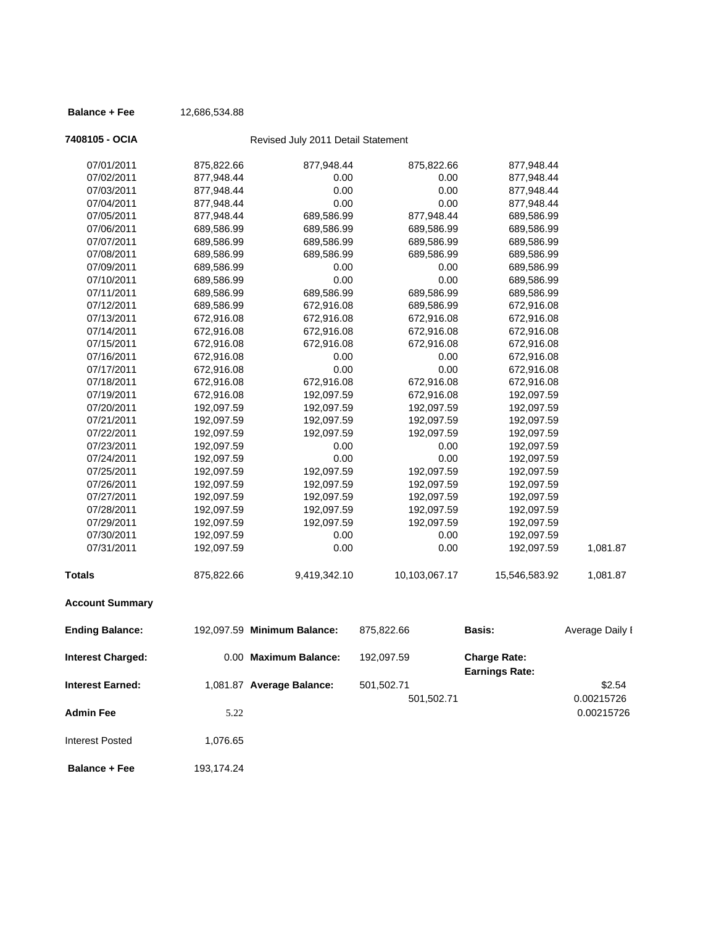### **Balance + Fee** 12,686,534.88

## **7408105 - OCIA** Revised July 2011 Detail Statement

| <b>Account Summary</b> |            |              |               |               |          |
|------------------------|------------|--------------|---------------|---------------|----------|
| <b>Totals</b>          | 875,822.66 | 9,419,342.10 | 10,103,067.17 | 15,546,583.92 | 1,081.87 |
| 07/31/2011             | 192,097.59 | $0.00\,$     | 0.00          | 192,097.59    | 1,081.87 |
| 07/30/2011             | 192,097.59 | 0.00         | 0.00          | 192,097.59    |          |
| 07/29/2011             | 192,097.59 | 192,097.59   | 192,097.59    | 192,097.59    |          |
| 07/28/2011             | 192,097.59 | 192,097.59   | 192,097.59    | 192,097.59    |          |
| 07/27/2011             | 192,097.59 | 192,097.59   | 192,097.59    | 192,097.59    |          |
| 07/26/2011             | 192,097.59 | 192,097.59   | 192,097.59    | 192,097.59    |          |
| 07/25/2011             | 192,097.59 | 192,097.59   | 192,097.59    | 192,097.59    |          |
| 07/24/2011             | 192,097.59 | 0.00         | 0.00          | 192,097.59    |          |
| 07/23/2011             | 192,097.59 | 0.00         | 0.00          | 192,097.59    |          |
| 07/22/2011             | 192,097.59 | 192,097.59   | 192,097.59    | 192,097.59    |          |
| 07/21/2011             | 192,097.59 | 192,097.59   | 192,097.59    | 192,097.59    |          |
| 07/20/2011             | 192,097.59 | 192,097.59   | 192,097.59    | 192,097.59    |          |
| 07/19/2011             | 672,916.08 | 192,097.59   | 672,916.08    | 192,097.59    |          |
| 07/18/2011             | 672,916.08 | 672,916.08   | 672,916.08    | 672,916.08    |          |
| 07/17/2011             | 672,916.08 | 0.00         | 0.00          | 672,916.08    |          |
| 07/16/2011             | 672,916.08 | 0.00         | 0.00          | 672,916.08    |          |
| 07/15/2011             | 672,916.08 | 672,916.08   | 672,916.08    | 672,916.08    |          |
| 07/14/2011             | 672,916.08 | 672,916.08   | 672,916.08    | 672,916.08    |          |
| 07/13/2011             | 672,916.08 | 672,916.08   | 672,916.08    | 672,916.08    |          |
| 07/12/2011             | 689,586.99 | 672,916.08   | 689,586.99    | 672,916.08    |          |
| 07/11/2011             | 689,586.99 | 689,586.99   | 689,586.99    | 689,586.99    |          |
| 07/10/2011             | 689,586.99 | 0.00         | 0.00          | 689,586.99    |          |
| 07/09/2011             | 689,586.99 | 0.00         | 0.00          | 689,586.99    |          |
| 07/08/2011             | 689,586.99 | 689,586.99   | 689,586.99    | 689,586.99    |          |
| 07/07/2011             | 689,586.99 | 689,586.99   | 689,586.99    | 689,586.99    |          |
| 07/06/2011             | 689,586.99 | 689,586.99   | 689,586.99    | 689,586.99    |          |
| 07/05/2011             | 877,948.44 | 689,586.99   | 877,948.44    | 689,586.99    |          |
| 07/04/2011             | 877,948.44 | 0.00         | 0.00          | 877,948.44    |          |
| 07/03/2011             | 877,948.44 | 0.00         | 0.00          | 877,948.44    |          |
| 07/02/2011             | 877,948.44 | 0.00         | 0.00          | 877,948.44    |          |
| 07/01/2011             | 875,822.66 | 877,948.44   | 875,822.66    | 877,948.44    |          |
|                        |            |              |               |               |          |

| <b>Ending Balance:</b>   |            | 192,097.59 Minimum Balance: | 875,822.66 | <b>Basis:</b>                                | Average Daily I |
|--------------------------|------------|-----------------------------|------------|----------------------------------------------|-----------------|
| <b>Interest Charged:</b> |            | 0.00 Maximum Balance:       | 192,097.59 | <b>Charge Rate:</b><br><b>Earnings Rate:</b> |                 |
| <b>Interest Earned:</b>  |            | 1,081.87 Average Balance:   | 501,502.71 |                                              | \$2.54          |
|                          |            |                             | 501,502.71 |                                              | 0.00215726      |
| <b>Admin Fee</b>         | 5.22       |                             |            |                                              | 0.00215726      |
| Interest Posted          | 1,076.65   |                             |            |                                              |                 |
| <b>Balance + Fee</b>     | 193.174.24 |                             |            |                                              |                 |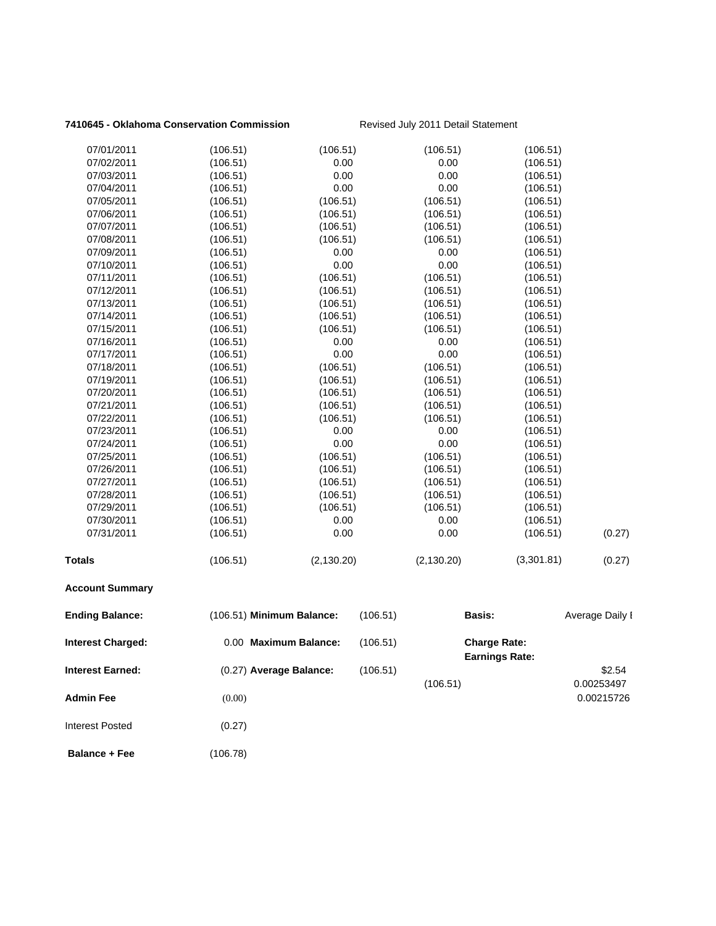### **7410645 - Oklahoma Conservation Commission** Revised July 2011 Detail Statement

| 07/01/2011               | (106.51)                  | (106.51)              |          | (106.51)    | (106.51)                                     |                 |
|--------------------------|---------------------------|-----------------------|----------|-------------|----------------------------------------------|-----------------|
| 07/02/2011               | (106.51)                  | 0.00                  |          | 0.00        | (106.51)                                     |                 |
| 07/03/2011               | (106.51)                  | 0.00                  |          | 0.00        | (106.51)                                     |                 |
| 07/04/2011               | (106.51)                  | 0.00                  |          | 0.00        | (106.51)                                     |                 |
| 07/05/2011               | (106.51)                  | (106.51)              |          | (106.51)    | (106.51)                                     |                 |
| 07/06/2011               | (106.51)                  | (106.51)              |          | (106.51)    | (106.51)                                     |                 |
| 07/07/2011               | (106.51)                  | (106.51)              |          | (106.51)    | (106.51)                                     |                 |
| 07/08/2011               | (106.51)                  | (106.51)              |          | (106.51)    | (106.51)                                     |                 |
| 07/09/2011               | (106.51)                  | 0.00                  |          | 0.00        | (106.51)                                     |                 |
| 07/10/2011               | (106.51)                  | 0.00                  |          | 0.00        | (106.51)                                     |                 |
| 07/11/2011               | (106.51)                  | (106.51)              |          | (106.51)    | (106.51)                                     |                 |
| 07/12/2011               | (106.51)                  | (106.51)              |          | (106.51)    | (106.51)                                     |                 |
| 07/13/2011               | (106.51)                  | (106.51)              |          | (106.51)    | (106.51)                                     |                 |
| 07/14/2011               | (106.51)                  | (106.51)              |          | (106.51)    | (106.51)                                     |                 |
| 07/15/2011               | (106.51)                  | (106.51)              |          | (106.51)    | (106.51)                                     |                 |
| 07/16/2011               | (106.51)                  | 0.00                  |          | 0.00        | (106.51)                                     |                 |
| 07/17/2011               | (106.51)                  | 0.00                  |          | 0.00        | (106.51)                                     |                 |
| 07/18/2011               | (106.51)                  | (106.51)              |          | (106.51)    | (106.51)                                     |                 |
| 07/19/2011               | (106.51)                  | (106.51)              |          | (106.51)    | (106.51)                                     |                 |
| 07/20/2011               | (106.51)                  | (106.51)              |          | (106.51)    | (106.51)                                     |                 |
| 07/21/2011               | (106.51)                  | (106.51)              |          | (106.51)    | (106.51)                                     |                 |
| 07/22/2011               | (106.51)                  | (106.51)              |          | (106.51)    | (106.51)                                     |                 |
| 07/23/2011               | (106.51)                  | 0.00                  |          | 0.00        | (106.51)                                     |                 |
| 07/24/2011               | (106.51)                  | 0.00                  |          | 0.00        | (106.51)                                     |                 |
| 07/25/2011               | (106.51)                  | (106.51)              |          | (106.51)    | (106.51)                                     |                 |
| 07/26/2011               | (106.51)                  | (106.51)              |          | (106.51)    | (106.51)                                     |                 |
| 07/27/2011               | (106.51)                  | (106.51)              |          | (106.51)    | (106.51)                                     |                 |
| 07/28/2011               | (106.51)                  | (106.51)              |          | (106.51)    | (106.51)                                     |                 |
| 07/29/2011               | (106.51)                  | (106.51)              |          | (106.51)    | (106.51)                                     |                 |
| 07/30/2011               | (106.51)                  | 0.00                  |          | 0.00        | (106.51)                                     |                 |
| 07/31/2011               | (106.51)                  | 0.00                  |          | 0.00        | (106.51)                                     | (0.27)          |
| Totals                   | (106.51)                  | (2, 130.20)           |          | (2, 130.20) | (3,301.81)                                   | (0.27)          |
| <b>Account Summary</b>   |                           |                       |          |             |                                              |                 |
| <b>Ending Balance:</b>   | (106.51) Minimum Balance: |                       | (106.51) | Basis:      |                                              | Average Daily I |
| <b>Interest Charged:</b> |                           | 0.00 Maximum Balance: | (106.51) |             | <b>Charge Rate:</b><br><b>Earnings Rate:</b> |                 |
| <b>Interest Earned:</b>  | (0.27) Average Balance:   |                       | (106.51) |             |                                              | \$2.54          |
|                          |                           |                       |          | (106.51)    |                                              | 0.00253497      |
| Admin Fee                | (0.00)                    |                       |          |             |                                              | 0.00215726      |
|                          |                           |                       |          |             |                                              |                 |
| <b>Interest Posted</b>   | (0.27)                    |                       |          |             |                                              |                 |
| <b>Balance + Fee</b>     | (106.78)                  |                       |          |             |                                              |                 |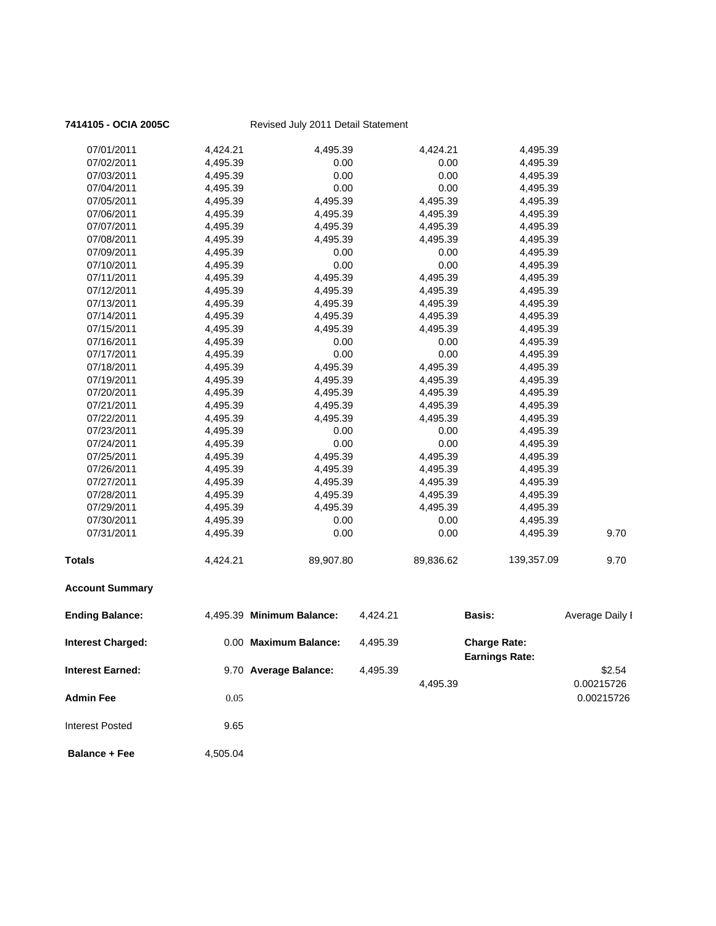| 7414105 - OCIA 2005C     |          | Revised July 2011 Detail Statement |          |           |                                              |                 |
|--------------------------|----------|------------------------------------|----------|-----------|----------------------------------------------|-----------------|
| 07/01/2011               | 4,424.21 | 4,495.39                           |          | 4,424.21  | 4,495.39                                     |                 |
| 07/02/2011               | 4,495.39 | 0.00                               |          | 0.00      | 4,495.39                                     |                 |
| 07/03/2011               | 4,495.39 | 0.00                               |          | 0.00      | 4,495.39                                     |                 |
| 07/04/2011               | 4,495.39 | 0.00                               |          | 0.00      | 4,495.39                                     |                 |
| 07/05/2011               | 4,495.39 | 4,495.39                           |          | 4,495.39  | 4,495.39                                     |                 |
| 07/06/2011               | 4,495.39 | 4,495.39                           |          | 4,495.39  | 4,495.39                                     |                 |
| 07/07/2011               | 4,495.39 | 4,495.39                           |          | 4,495.39  | 4,495.39                                     |                 |
| 07/08/2011               | 4,495.39 | 4,495.39                           |          | 4,495.39  | 4,495.39                                     |                 |
| 07/09/2011               | 4,495.39 | 0.00                               |          | 0.00      | 4,495.39                                     |                 |
| 07/10/2011               | 4,495.39 | 0.00                               |          | 0.00      | 4,495.39                                     |                 |
| 07/11/2011               | 4,495.39 | 4,495.39                           |          | 4,495.39  | 4,495.39                                     |                 |
| 07/12/2011               | 4,495.39 | 4,495.39                           |          | 4,495.39  | 4,495.39                                     |                 |
| 07/13/2011               | 4,495.39 | 4,495.39                           |          | 4,495.39  | 4,495.39                                     |                 |
| 07/14/2011               | 4,495.39 | 4,495.39                           |          | 4,495.39  | 4,495.39                                     |                 |
| 07/15/2011               | 4,495.39 | 4,495.39                           |          | 4,495.39  | 4,495.39                                     |                 |
| 07/16/2011               | 4,495.39 | 0.00                               |          | 0.00      | 4,495.39                                     |                 |
| 07/17/2011               | 4,495.39 | 0.00                               |          | 0.00      | 4,495.39                                     |                 |
| 07/18/2011               | 4,495.39 | 4,495.39                           |          | 4,495.39  | 4,495.39                                     |                 |
| 07/19/2011               | 4,495.39 | 4,495.39                           |          | 4,495.39  | 4,495.39                                     |                 |
| 07/20/2011               | 4,495.39 | 4,495.39                           |          | 4,495.39  | 4,495.39                                     |                 |
| 07/21/2011               | 4,495.39 | 4,495.39                           |          | 4,495.39  | 4,495.39                                     |                 |
| 07/22/2011               | 4,495.39 | 4,495.39                           |          | 4,495.39  | 4,495.39                                     |                 |
| 07/23/2011               | 4,495.39 | 0.00                               |          | 0.00      | 4,495.39                                     |                 |
| 07/24/2011               | 4,495.39 | 0.00                               |          | 0.00      | 4,495.39                                     |                 |
| 07/25/2011               | 4,495.39 | 4,495.39                           |          | 4,495.39  | 4,495.39                                     |                 |
| 07/26/2011               | 4,495.39 | 4,495.39                           |          | 4,495.39  | 4,495.39                                     |                 |
| 07/27/2011               | 4,495.39 | 4,495.39                           |          | 4,495.39  | 4,495.39                                     |                 |
| 07/28/2011               | 4,495.39 | 4,495.39                           |          | 4,495.39  | 4,495.39                                     |                 |
| 07/29/2011               | 4,495.39 | 4,495.39                           |          | 4,495.39  | 4,495.39                                     |                 |
| 07/30/2011               | 4,495.39 | 0.00                               |          | 0.00      | 4,495.39                                     |                 |
| 07/31/2011               | 4,495.39 | 0.00                               |          | 0.00      | 4,495.39                                     | 9.70            |
| <b>Totals</b>            | 4,424.21 | 89,907.80                          |          | 89,836.62 | 139,357.09                                   | 9.70            |
| <b>Account Summary</b>   |          |                                    |          |           |                                              |                 |
| <b>Ending Balance:</b>   |          | 4,495.39 Minimum Balance:          | 4,424.21 |           | <b>Basis:</b>                                | Average Daily I |
| <b>Interest Charged:</b> |          | 0.00 Maximum Balance:              | 4,495.39 |           | <b>Charge Rate:</b><br><b>Earnings Rate:</b> |                 |
| <b>Interest Earned:</b>  |          | 9.70 Average Balance:              | 4,495.39 |           |                                              | \$2.54          |
|                          |          |                                    |          | 4,495.39  |                                              | 0.00215726      |
| <b>Admin Fee</b>         | 0.05     |                                    |          |           |                                              | 0.00215726      |
|                          |          |                                    |          |           |                                              |                 |
| <b>Interest Posted</b>   | 9.65     |                                    |          |           |                                              |                 |
| <b>Balance + Fee</b>     | 4,505.04 |                                    |          |           |                                              |                 |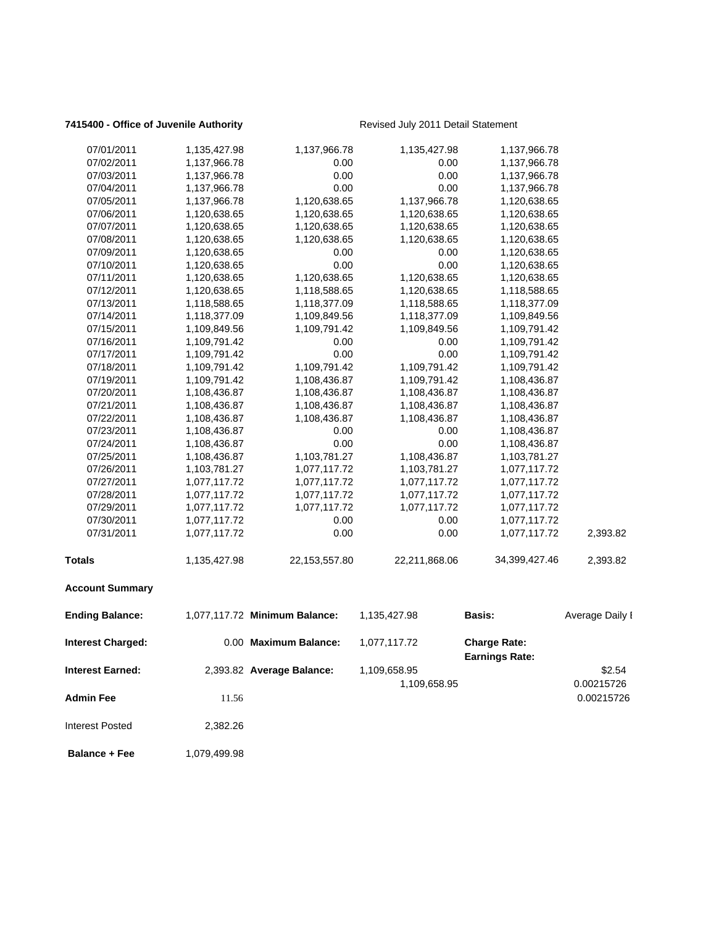### **7415400 - Office of Juvenile Authority** Revised July 2011 Detail Statement

| 07/01/2011               | 1,135,427.98 | 1,137,966.78                  | 1,135,427.98  | 1,137,966.78                                 |                          |
|--------------------------|--------------|-------------------------------|---------------|----------------------------------------------|--------------------------|
| 07/02/2011               | 1,137,966.78 | 0.00                          | 0.00          | 1,137,966.78                                 |                          |
| 07/03/2011               | 1,137,966.78 | 0.00                          | 0.00          | 1,137,966.78                                 |                          |
| 07/04/2011               | 1,137,966.78 | 0.00                          | 0.00          | 1,137,966.78                                 |                          |
| 07/05/2011               | 1,137,966.78 | 1,120,638.65                  | 1,137,966.78  | 1,120,638.65                                 |                          |
| 07/06/2011               | 1,120,638.65 | 1,120,638.65                  | 1,120,638.65  | 1,120,638.65                                 |                          |
| 07/07/2011               | 1,120,638.65 | 1,120,638.65                  | 1,120,638.65  | 1,120,638.65                                 |                          |
| 07/08/2011               | 1,120,638.65 | 1,120,638.65                  | 1,120,638.65  | 1,120,638.65                                 |                          |
| 07/09/2011               | 1,120,638.65 | 0.00                          | 0.00          | 1,120,638.65                                 |                          |
| 07/10/2011               | 1,120,638.65 | 0.00                          | 0.00          | 1,120,638.65                                 |                          |
| 07/11/2011               | 1,120,638.65 | 1,120,638.65                  | 1,120,638.65  | 1,120,638.65                                 |                          |
| 07/12/2011               | 1,120,638.65 | 1,118,588.65                  | 1,120,638.65  | 1,118,588.65                                 |                          |
| 07/13/2011               | 1,118,588.65 | 1,118,377.09                  | 1,118,588.65  | 1,118,377.09                                 |                          |
| 07/14/2011               | 1,118,377.09 | 1,109,849.56                  | 1,118,377.09  | 1,109,849.56                                 |                          |
| 07/15/2011               | 1,109,849.56 | 1,109,791.42                  | 1,109,849.56  | 1,109,791.42                                 |                          |
| 07/16/2011               | 1,109,791.42 | 0.00                          | 0.00          | 1,109,791.42                                 |                          |
| 07/17/2011               | 1,109,791.42 | 0.00                          | 0.00          | 1,109,791.42                                 |                          |
| 07/18/2011               | 1,109,791.42 | 1,109,791.42                  | 1,109,791.42  | 1,109,791.42                                 |                          |
| 07/19/2011               | 1,109,791.42 | 1,108,436.87                  | 1,109,791.42  | 1,108,436.87                                 |                          |
| 07/20/2011               | 1,108,436.87 | 1,108,436.87                  | 1,108,436.87  | 1,108,436.87                                 |                          |
| 07/21/2011               | 1,108,436.87 | 1,108,436.87                  | 1,108,436.87  | 1,108,436.87                                 |                          |
| 07/22/2011               | 1,108,436.87 | 1,108,436.87                  | 1,108,436.87  | 1,108,436.87                                 |                          |
| 07/23/2011               | 1,108,436.87 | 0.00                          | 0.00          | 1,108,436.87                                 |                          |
| 07/24/2011               | 1,108,436.87 | 0.00                          | 0.00          | 1,108,436.87                                 |                          |
| 07/25/2011               | 1,108,436.87 | 1,103,781.27                  | 1,108,436.87  | 1,103,781.27                                 |                          |
| 07/26/2011               | 1,103,781.27 | 1,077,117.72                  | 1,103,781.27  | 1,077,117.72                                 |                          |
| 07/27/2011               | 1,077,117.72 | 1,077,117.72                  | 1,077,117.72  | 1,077,117.72                                 |                          |
| 07/28/2011               | 1,077,117.72 | 1,077,117.72                  | 1,077,117.72  | 1,077,117.72                                 |                          |
| 07/29/2011               | 1,077,117.72 | 1,077,117.72                  | 1,077,117.72  | 1,077,117.72                                 |                          |
| 07/30/2011               | 1,077,117.72 | 0.00                          | 0.00          | 1,077,117.72                                 |                          |
| 07/31/2011               | 1,077,117.72 | 0.00                          | 0.00          | 1,077,117.72                                 | 2,393.82                 |
|                          |              |                               |               |                                              |                          |
| <b>Totals</b>            | 1,135,427.98 | 22, 153, 557.80               | 22,211,868.06 | 34,399,427.46                                | 2,393.82                 |
| <b>Account Summary</b>   |              |                               |               |                                              |                          |
| <b>Ending Balance:</b>   |              | 1,077,117.72 Minimum Balance: | 1,135,427.98  | Basis:                                       | Average Daily I          |
| <b>Interest Charged:</b> |              | 0.00 Maximum Balance:         | 1,077,117.72  | <b>Charge Rate:</b><br><b>Earnings Rate:</b> |                          |
| Interest Earned:         |              | 2,393.82 Average Balance:     | 1,109,658.95  |                                              | \$2.54                   |
| <b>Admin Fee</b>         | 11.56        |                               | 1,109,658.95  |                                              | 0.00215726<br>0.00215726 |
| <b>Interest Posted</b>   | 2,382.26     |                               |               |                                              |                          |
|                          |              |                               |               |                                              |                          |

**Balance + Fee** 1,079,499.98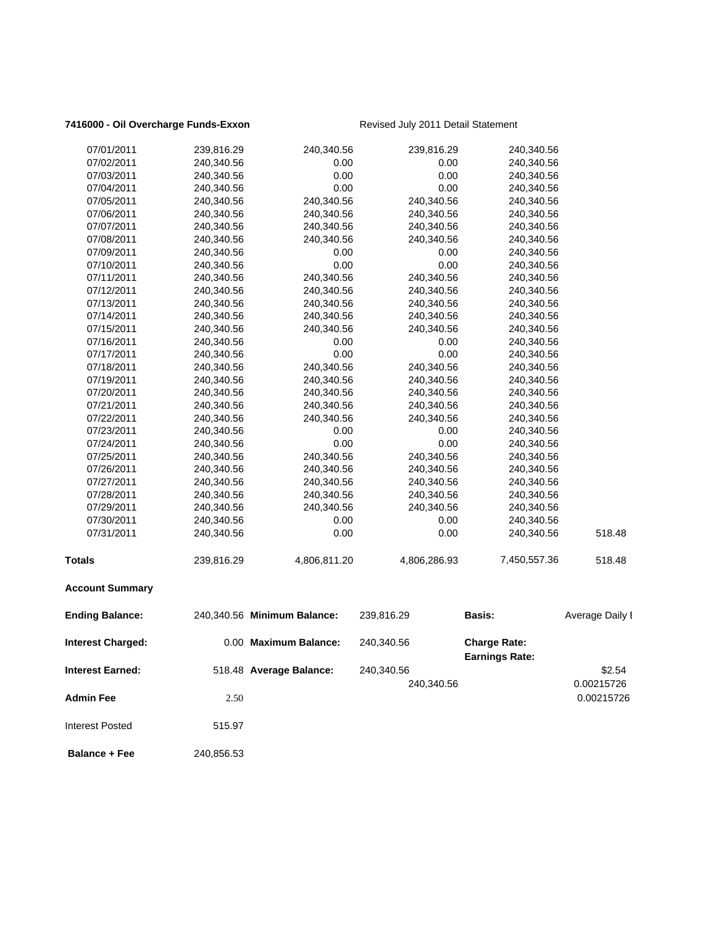### 7416000 - Oil Overcharge Funds-Exxon Revised July 2011 Detail Statement

| <b>Interest Earned:</b>  |            | 518.48 Average Balance:     | 240,340.56<br>240,340.56 |                                              | \$2.54<br>0.00215726 |
|--------------------------|------------|-----------------------------|--------------------------|----------------------------------------------|----------------------|
| <b>Interest Charged:</b> |            | 0.00 Maximum Balance:       | 240,340.56               | <b>Charge Rate:</b><br><b>Earnings Rate:</b> |                      |
| <b>Ending Balance:</b>   |            | 240,340.56 Minimum Balance: | 239,816.29               | <b>Basis:</b>                                | Average Daily I      |
| <b>Account Summary</b>   |            |                             |                          |                                              |                      |
| <b>Totals</b>            | 239,816.29 | 4,806,811.20                | 4,806,286.93             | 7,450,557.36                                 | 518.48               |
| 07/31/2011               | 240,340.56 | 0.00                        | 0.00                     | 240,340.56                                   | 518.48               |
| 07/30/2011               | 240,340.56 | 0.00                        | 0.00                     | 240,340.56                                   |                      |
| 07/29/2011               | 240,340.56 | 240,340.56                  | 240,340.56               | 240,340.56                                   |                      |
| 07/28/2011               | 240,340.56 | 240,340.56                  | 240,340.56               | 240,340.56                                   |                      |
| 07/27/2011               | 240,340.56 | 240,340.56                  | 240,340.56               | 240,340.56                                   |                      |
| 07/26/2011               | 240,340.56 | 240,340.56                  | 240,340.56               | 240,340.56                                   |                      |
| 07/25/2011               | 240,340.56 | 240,340.56                  | 240,340.56               | 240,340.56                                   |                      |
| 07/24/2011               | 240,340.56 | 0.00                        | 0.00                     | 240,340.56                                   |                      |
| 07/23/2011               | 240,340.56 | 0.00                        | 0.00                     | 240,340.56                                   |                      |
| 07/22/2011               | 240,340.56 | 240,340.56                  | 240,340.56               | 240,340.56                                   |                      |
| 07/21/2011               | 240,340.56 | 240,340.56                  | 240,340.56               | 240,340.56                                   |                      |
| 07/20/2011               | 240,340.56 | 240,340.56                  | 240,340.56               | 240,340.56                                   |                      |
| 07/19/2011               | 240,340.56 | 240,340.56                  | 240,340.56               | 240,340.56                                   |                      |
| 07/18/2011               | 240,340.56 | 240,340.56                  | 240,340.56               | 240,340.56                                   |                      |
| 07/17/2011               | 240,340.56 | 0.00                        | 0.00                     | 240,340.56                                   |                      |
| 07/16/2011               | 240,340.56 | 0.00                        | 0.00                     | 240,340.56                                   |                      |
| 07/15/2011               | 240,340.56 | 240,340.56                  | 240,340.56               | 240,340.56                                   |                      |
| 07/14/2011               | 240,340.56 | 240,340.56                  | 240,340.56               | 240,340.56                                   |                      |
| 07/13/2011               | 240,340.56 | 240,340.56                  | 240,340.56               | 240,340.56                                   |                      |
| 07/12/2011               | 240,340.56 | 240,340.56                  | 240,340.56               | 240,340.56                                   |                      |
| 07/11/2011               | 240,340.56 | 240,340.56                  | 240,340.56               | 240,340.56                                   |                      |
| 07/10/2011               | 240,340.56 | 0.00                        | 0.00                     | 240,340.56                                   |                      |
| 07/09/2011               | 240,340.56 | 0.00                        | 0.00                     | 240,340.56                                   |                      |
| 07/08/2011               | 240,340.56 | 240,340.56                  | 240,340.56               | 240,340.56                                   |                      |
| 07/07/2011               | 240,340.56 | 240,340.56                  | 240,340.56               | 240,340.56                                   |                      |
| 07/06/2011               | 240,340.56 | 240,340.56                  | 240,340.56               | 240,340.56                                   |                      |
| 07/05/2011               | 240,340.56 | 240,340.56                  | 240,340.56               | 240,340.56                                   |                      |
| 07/04/2011               | 240,340.56 | 0.00                        | 0.00                     | 240,340.56                                   |                      |
| 07/03/2011               | 240,340.56 | 0.00                        | 0.00                     | 240,340.56                                   |                      |
| 07/02/2011               | 240,340.56 | 0.00                        | 0.00                     | 240,340.56                                   |                      |
| 07/01/2011               | 239,816.29 | 240,340.56                  | 239,816.29               | 240,340.56                                   |                      |
|                          |            |                             |                          |                                              |                      |

**Admin Fee** 2.50 0.00215726 Interest Posted 515.97

**Balance + Fee** 240,856.53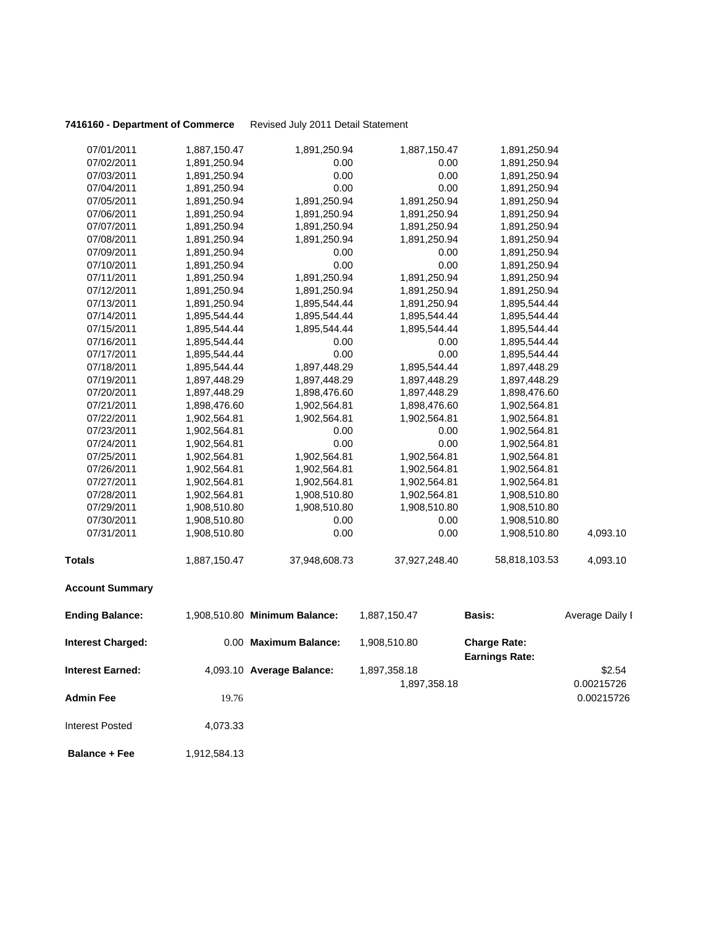### **7416160 - Department of Commerce** Revised July 2011 Detail Statement

| <b>Interest Charged:</b> |              | 0.00 Maximum Balance:         | 1,908,510.80  | <b>Charge Rate:</b><br><b>Earnings Rate:</b> |                 |
|--------------------------|--------------|-------------------------------|---------------|----------------------------------------------|-----------------|
| <b>Ending Balance:</b>   |              | 1,908,510.80 Minimum Balance: | 1,887,150.47  | <b>Basis:</b>                                | Average Daily I |
| <b>Account Summary</b>   |              |                               |               |                                              |                 |
| <b>Totals</b>            | 1,887,150.47 | 37,948,608.73                 | 37,927,248.40 | 58,818,103.53                                | 4,093.10        |
| 07/31/2011               | 1,908,510.80 | 0.00                          | 0.00          | 1,908,510.80                                 | 4,093.10        |
| 07/30/2011               | 1,908,510.80 | 0.00                          | 0.00          | 1,908,510.80                                 |                 |
| 07/29/2011               | 1,908,510.80 | 1,908,510.80                  | 1,908,510.80  | 1,908,510.80                                 |                 |
| 07/28/2011               | 1,902,564.81 | 1,908,510.80                  | 1,902,564.81  | 1,908,510.80                                 |                 |
| 07/27/2011               | 1,902,564.81 | 1,902,564.81                  | 1,902,564.81  | 1,902,564.81                                 |                 |
| 07/26/2011               | 1,902,564.81 | 1,902,564.81                  | 1,902,564.81  | 1,902,564.81                                 |                 |
| 07/25/2011               | 1,902,564.81 | 1,902,564.81                  | 1,902,564.81  | 1,902,564.81                                 |                 |
| 07/24/2011               | 1,902,564.81 | 0.00                          | 0.00          | 1,902,564.81                                 |                 |
| 07/23/2011               | 1,902,564.81 | 0.00                          | 0.00          | 1,902,564.81                                 |                 |
| 07/22/2011               | 1,902,564.81 | 1,902,564.81                  | 1,902,564.81  | 1,902,564.81                                 |                 |
| 07/21/2011               | 1,898,476.60 | 1,902,564.81                  | 1,898,476.60  | 1,902,564.81                                 |                 |
| 07/20/2011               | 1,897,448.29 | 1,898,476.60                  | 1,897,448.29  | 1,898,476.60                                 |                 |
| 07/19/2011               | 1,897,448.29 | 1,897,448.29                  | 1,897,448.29  | 1,897,448.29                                 |                 |
| 07/18/2011               | 1,895,544.44 | 1,897,448.29                  | 1,895,544.44  | 1,897,448.29                                 |                 |
| 07/17/2011               | 1,895,544.44 | 0.00                          | 0.00          | 1,895,544.44                                 |                 |
| 07/16/2011               | 1,895,544.44 | 0.00                          | 0.00          | 1,895,544.44                                 |                 |
| 07/15/2011               | 1,895,544.44 | 1,895,544.44                  | 1,895,544.44  | 1,895,544.44                                 |                 |
| 07/14/2011               | 1,895,544.44 | 1,895,544.44                  | 1,895,544.44  | 1,895,544.44                                 |                 |
| 07/13/2011               | 1,891,250.94 | 1,895,544.44                  | 1,891,250.94  | 1,895,544.44                                 |                 |
| 07/12/2011               | 1,891,250.94 | 1,891,250.94                  | 1,891,250.94  | 1,891,250.94                                 |                 |
| 07/11/2011               | 1,891,250.94 | 1,891,250.94                  | 1,891,250.94  | 1,891,250.94                                 |                 |
| 07/10/2011               | 1,891,250.94 | 0.00                          | 0.00          | 1,891,250.94                                 |                 |
| 07/09/2011               | 1,891,250.94 | 0.00                          | 0.00          | 1,891,250.94                                 |                 |
| 07/08/2011               | 1,891,250.94 | 1,891,250.94                  | 1,891,250.94  | 1,891,250.94                                 |                 |
| 07/07/2011               | 1,891,250.94 | 1,891,250.94                  | 1,891,250.94  | 1,891,250.94                                 |                 |
| 07/06/2011               | 1,891,250.94 | 1,891,250.94                  | 1,891,250.94  | 1,891,250.94                                 |                 |
| 07/05/2011               | 1,891,250.94 | 1,891,250.94                  | 1,891,250.94  | 1,891,250.94                                 |                 |
| 07/04/2011               | 1,891,250.94 | 0.00                          | 0.00          | 1,891,250.94                                 |                 |
| 07/03/2011               | 1,891,250.94 | 0.00                          | 0.00          | 1,891,250.94                                 |                 |
| 07/02/2011               | 1,891,250.94 | 0.00                          | 0.00          | 1,891,250.94                                 |                 |
| 07/01/2011               | 1,887,150.47 | 1,891,250.94                  | 1,887,150.47  | 1,891,250.94                                 |                 |

| Interest Earned: | 4,093.10 Average Balance: | 1,897,358.18 | \$2.54     |
|------------------|---------------------------|--------------|------------|
|                  |                           | 1,897,358.18 | 0.00215726 |
| Admin Fee        | 19.76                     |              | 0.00215726 |
| Interest Posted  | 4,073.33                  |              |            |

**Balance + Fee** 1,912,584.13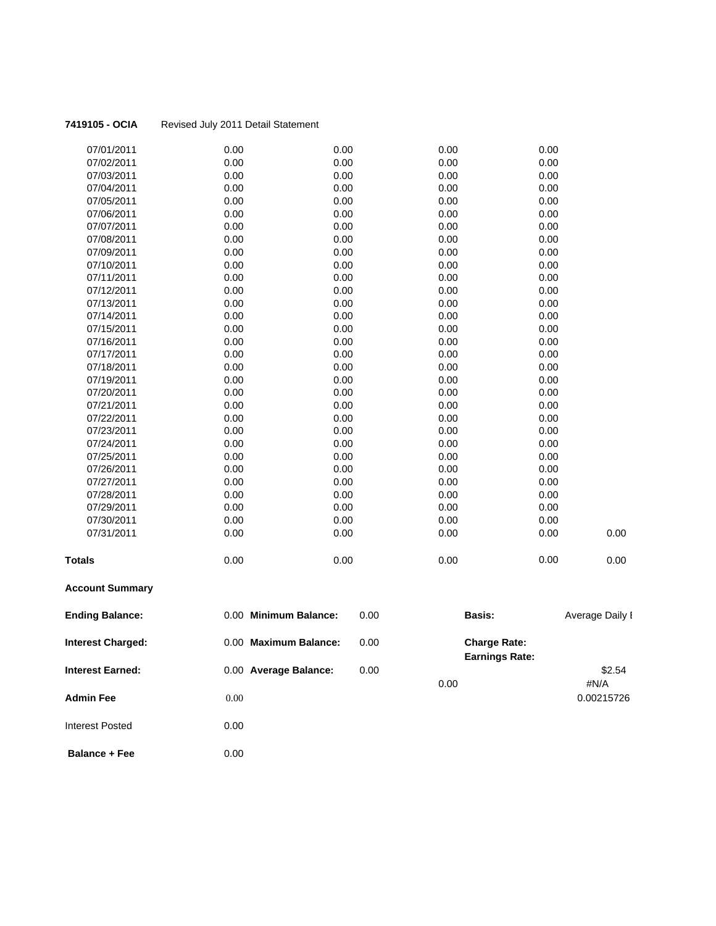| <b>Interest Charged:</b> | 0.00 Maximum Balance: | 0.00 | <b>Charge Rate:</b> |      |                 |
|--------------------------|-----------------------|------|---------------------|------|-----------------|
| <b>Ending Balance:</b>   | 0.00 Minimum Balance: | 0.00 | Basis:              |      | Average Daily I |
| <b>Account Summary</b>   |                       |      |                     |      |                 |
| <b>Totals</b>            | 0.00                  | 0.00 | 0.00                | 0.00 | 0.00            |
| 07/31/2011               | 0.00                  | 0.00 | 0.00                | 0.00 | 0.00            |
| 07/30/2011               | 0.00                  | 0.00 | 0.00                | 0.00 |                 |
| 07/29/2011               | 0.00                  | 0.00 | 0.00                | 0.00 |                 |
| 07/28/2011               | 0.00                  | 0.00 | 0.00                | 0.00 |                 |
| 07/27/2011               | 0.00                  | 0.00 | 0.00                | 0.00 |                 |
| 07/26/2011               | 0.00                  | 0.00 | 0.00                | 0.00 |                 |
| 07/25/2011               | 0.00                  | 0.00 | 0.00                | 0.00 |                 |
| 07/24/2011               | 0.00                  | 0.00 | 0.00                | 0.00 |                 |
| 07/23/2011               | 0.00                  | 0.00 | 0.00                | 0.00 |                 |
| 07/22/2011               | 0.00                  | 0.00 | 0.00                | 0.00 |                 |
| 07/21/2011               | 0.00                  | 0.00 | 0.00                | 0.00 |                 |
| 07/20/2011               | 0.00                  | 0.00 | 0.00                | 0.00 |                 |
| 07/19/2011               | 0.00                  | 0.00 | 0.00                | 0.00 |                 |
| 07/18/2011               | 0.00                  | 0.00 | 0.00                | 0.00 |                 |
| 07/17/2011               | 0.00                  | 0.00 | 0.00                | 0.00 |                 |
| 07/16/2011               | 0.00                  | 0.00 | 0.00                | 0.00 |                 |
| 07/15/2011               | 0.00                  | 0.00 | 0.00                | 0.00 |                 |
| 07/14/2011               | 0.00                  | 0.00 | 0.00                | 0.00 |                 |
| 07/13/2011               | 0.00                  | 0.00 | 0.00                | 0.00 |                 |
| 07/12/2011               | 0.00                  | 0.00 | 0.00                | 0.00 |                 |
| 07/11/2011               | 0.00                  | 0.00 | 0.00                | 0.00 |                 |
| 07/10/2011               | 0.00                  | 0.00 | 0.00                | 0.00 |                 |
| 07/09/2011               | 0.00                  | 0.00 | 0.00                | 0.00 |                 |
| 07/08/2011               | 0.00                  | 0.00 | 0.00                | 0.00 |                 |
| 07/07/2011               | 0.00                  | 0.00 | 0.00                | 0.00 |                 |
| 07/06/2011               | 0.00                  | 0.00 | 0.00                | 0.00 |                 |
| 07/05/2011               | 0.00                  | 0.00 | 0.00                | 0.00 |                 |
| 07/04/2011               | 0.00                  | 0.00 | 0.00                | 0.00 |                 |
| 07/03/2011               | 0.00                  | 0.00 | 0.00                | 0.00 |                 |
| 07/02/2011               | 0.00                  | 0.00 | 0.00                | 0.00 |                 |
| 07/01/2011               | 0.00                  | 0.00 | 0.00                | 0.00 |                 |

| πιισι σοι νι ιαι γσυ. | $0.00$ Maximum Dalance. | v.vv | UIIDI YU INDIU.<br><b>Earnings Rate:</b> |            |
|-----------------------|-------------------------|------|------------------------------------------|------------|
| Interest Earned:      | 0.00 Average Balance:   | 0.00 |                                          | \$2.54     |
|                       |                         |      | 0.00                                     | #N/A       |
| Admin Fee             | $0.00\,$                |      |                                          | 0.00215726 |

**Balance + Fee** 0.00

Interest Posted 0.00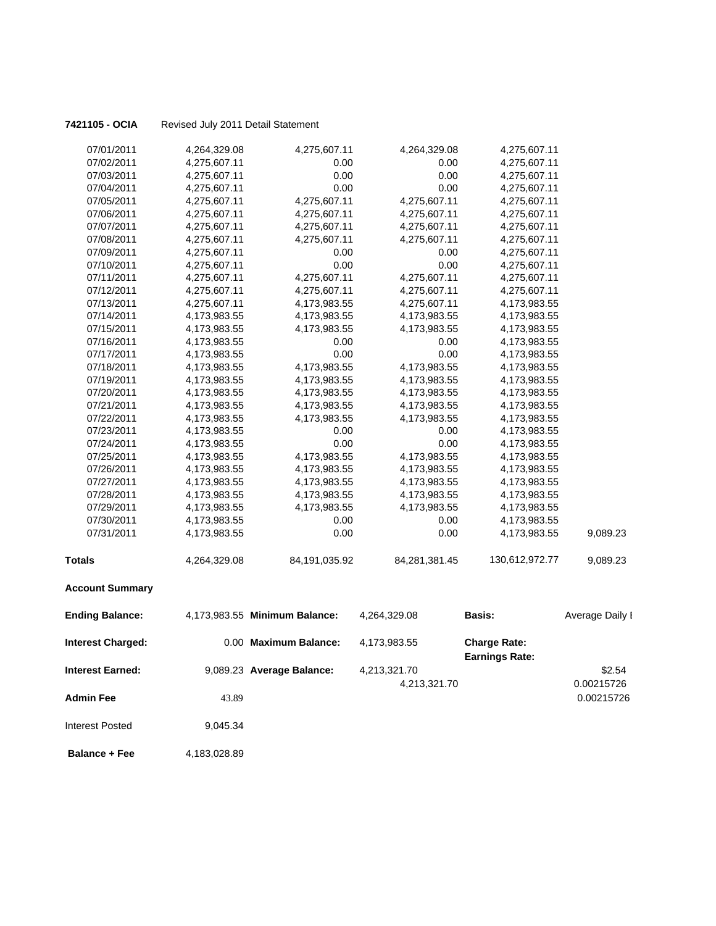| 07/01/2011               | 4,264,329.08 | 4,275,607.11                  | 4,264,329.08                 | 4,275,607.11                                 |                      |
|--------------------------|--------------|-------------------------------|------------------------------|----------------------------------------------|----------------------|
| 07/02/2011               | 4,275,607.11 | 0.00                          | 0.00                         | 4,275,607.11                                 |                      |
| 07/03/2011               | 4,275,607.11 | 0.00                          | 0.00                         | 4,275,607.11                                 |                      |
| 07/04/2011               | 4,275,607.11 | 0.00                          | 0.00                         | 4,275,607.11                                 |                      |
| 07/05/2011               | 4,275,607.11 | 4,275,607.11                  | 4,275,607.11                 | 4,275,607.11                                 |                      |
| 07/06/2011               | 4,275,607.11 | 4,275,607.11                  | 4,275,607.11                 | 4,275,607.11                                 |                      |
| 07/07/2011               | 4,275,607.11 | 4,275,607.11                  | 4,275,607.11                 | 4,275,607.11                                 |                      |
| 07/08/2011               | 4,275,607.11 | 4,275,607.11                  | 4,275,607.11                 | 4,275,607.11                                 |                      |
| 07/09/2011               | 4,275,607.11 | 0.00                          | 0.00                         | 4,275,607.11                                 |                      |
| 07/10/2011               | 4,275,607.11 | 0.00                          | 0.00                         | 4,275,607.11                                 |                      |
| 07/11/2011               | 4,275,607.11 | 4,275,607.11                  | 4,275,607.11                 | 4,275,607.11                                 |                      |
| 07/12/2011               | 4,275,607.11 | 4,275,607.11                  | 4,275,607.11                 | 4,275,607.11                                 |                      |
| 07/13/2011               | 4,275,607.11 | 4,173,983.55                  | 4,275,607.11                 | 4,173,983.55                                 |                      |
| 07/14/2011               | 4,173,983.55 | 4,173,983.55                  | 4,173,983.55                 | 4,173,983.55                                 |                      |
| 07/15/2011               | 4,173,983.55 | 4,173,983.55                  | 4,173,983.55                 | 4,173,983.55                                 |                      |
| 07/16/2011               | 4,173,983.55 | 0.00                          | 0.00                         | 4,173,983.55                                 |                      |
| 07/17/2011               | 4,173,983.55 | 0.00                          | 0.00                         | 4,173,983.55                                 |                      |
| 07/18/2011               | 4,173,983.55 | 4,173,983.55                  | 4,173,983.55                 | 4,173,983.55                                 |                      |
| 07/19/2011               | 4,173,983.55 | 4,173,983.55                  | 4,173,983.55                 | 4,173,983.55                                 |                      |
| 07/20/2011               | 4,173,983.55 | 4,173,983.55                  | 4,173,983.55                 | 4,173,983.55                                 |                      |
| 07/21/2011               | 4,173,983.55 | 4,173,983.55                  | 4,173,983.55                 | 4,173,983.55                                 |                      |
| 07/22/2011               | 4,173,983.55 | 4,173,983.55                  | 4,173,983.55                 | 4,173,983.55                                 |                      |
| 07/23/2011               | 4,173,983.55 | 0.00                          | 0.00                         | 4,173,983.55                                 |                      |
| 07/24/2011               | 4,173,983.55 | 0.00                          | 0.00                         | 4,173,983.55                                 |                      |
| 07/25/2011               | 4,173,983.55 | 4,173,983.55                  | 4,173,983.55                 | 4,173,983.55                                 |                      |
| 07/26/2011               | 4,173,983.55 | 4,173,983.55                  | 4,173,983.55                 | 4,173,983.55                                 |                      |
| 07/27/2011               | 4,173,983.55 | 4,173,983.55                  | 4,173,983.55                 | 4,173,983.55                                 |                      |
| 07/28/2011               | 4,173,983.55 | 4,173,983.55                  | 4,173,983.55                 | 4,173,983.55                                 |                      |
| 07/29/2011               | 4,173,983.55 | 4,173,983.55                  | 4,173,983.55                 | 4,173,983.55                                 |                      |
| 07/30/2011               | 4,173,983.55 | 0.00                          | 0.00                         | 4,173,983.55                                 |                      |
| 07/31/2011               | 4,173,983.55 | 0.00                          | 0.00                         | 4,173,983.55                                 | 9,089.23             |
| <b>Totals</b>            | 4,264,329.08 | 84,191,035.92                 | 84,281,381.45                | 130,612,972.77                               | 9,089.23             |
| <b>Account Summary</b>   |              |                               |                              |                                              |                      |
| <b>Ending Balance:</b>   |              | 4,173,983.55 Minimum Balance: | 4,264,329.08                 | Basis:                                       | Average Daily I      |
| <b>Interest Charged:</b> |              | 0.00 Maximum Balance:         | 4,173,983.55                 | <b>Charge Rate:</b><br><b>Earnings Rate:</b> |                      |
| <b>Interest Earned:</b>  |              | 9,089.23 Average Balance:     | 4,213,321.70<br>4,213,321.70 |                                              | \$2.54<br>0.00215726 |
| <b>Admin Fee</b>         | 43.89        |                               |                              |                                              | 0.00215726           |

**Balance + Fee** 4,183,028.89

Interest Posted 9,045.34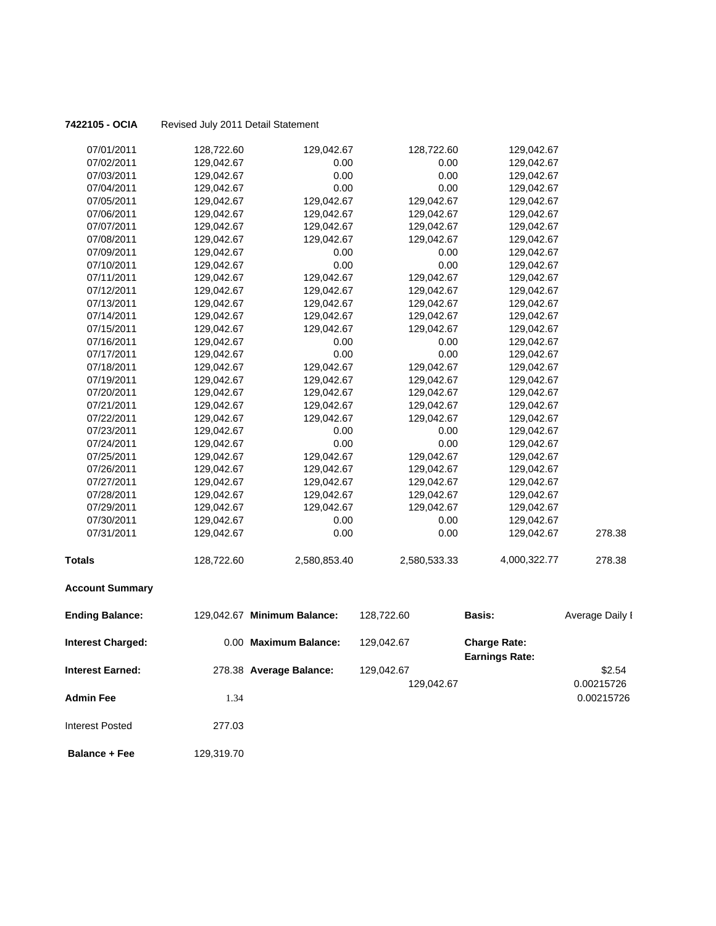| <b>Ending Balance:</b> | 129,042.67 Minimum Balance: |              | 128,722.60   | <b>Basis:</b> | Average Daily I |
|------------------------|-----------------------------|--------------|--------------|---------------|-----------------|
| <b>Account Summary</b> |                             |              |              |               |                 |
| <b>Totals</b>          | 128,722.60                  | 2,580,853.40 | 2,580,533.33 | 4,000,322.77  | 278.38          |
| 07/31/2011             | 129,042.67                  | 0.00         | 0.00         | 129,042.67    | 278.38          |
| 07/30/2011             | 129,042.67                  | 0.00         | 0.00         | 129,042.67    |                 |
| 07/29/2011             | 129,042.67                  | 129,042.67   | 129,042.67   | 129,042.67    |                 |
| 07/28/2011             | 129,042.67                  | 129,042.67   | 129,042.67   | 129,042.67    |                 |
| 07/27/2011             | 129,042.67                  | 129,042.67   | 129,042.67   | 129,042.67    |                 |
| 07/26/2011             | 129,042.67                  | 129,042.67   | 129,042.67   | 129,042.67    |                 |
| 07/25/2011             | 129,042.67                  | 129,042.67   | 129,042.67   | 129,042.67    |                 |
| 07/24/2011             | 129,042.67                  | 0.00         | 0.00         | 129,042.67    |                 |
| 07/23/2011             | 129,042.67                  | 0.00         | 0.00         | 129,042.67    |                 |
| 07/22/2011             | 129,042.67                  | 129,042.67   | 129,042.67   | 129,042.67    |                 |
| 07/21/2011             | 129,042.67                  | 129,042.67   | 129,042.67   | 129,042.67    |                 |
| 07/20/2011             | 129,042.67                  | 129,042.67   | 129,042.67   | 129,042.67    |                 |
| 07/19/2011             | 129,042.67                  | 129,042.67   | 129,042.67   | 129,042.67    |                 |
| 07/18/2011             | 129,042.67                  | 129,042.67   | 129,042.67   | 129,042.67    |                 |
| 07/17/2011             | 129,042.67                  | 0.00         | 0.00         | 129,042.67    |                 |
| 07/16/2011             | 129,042.67                  | 0.00         | 0.00         | 129,042.67    |                 |
| 07/15/2011             | 129,042.67                  | 129,042.67   | 129,042.67   | 129,042.67    |                 |
| 07/14/2011             | 129,042.67                  | 129,042.67   | 129,042.67   | 129,042.67    |                 |
| 07/13/2011             | 129,042.67                  | 129,042.67   | 129,042.67   | 129,042.67    |                 |
| 07/12/2011             | 129,042.67                  | 129,042.67   | 129,042.67   | 129,042.67    |                 |
| 07/11/2011             | 129,042.67                  | 129,042.67   | 129,042.67   | 129,042.67    |                 |
| 07/10/2011             | 129,042.67                  | 0.00         | 0.00         | 129,042.67    |                 |
| 07/09/2011             | 129,042.67                  | 0.00         | 0.00         | 129,042.67    |                 |
| 07/08/2011             | 129,042.67                  | 129,042.67   | 129,042.67   | 129,042.67    |                 |
| 07/07/2011             | 129,042.67                  | 129,042.67   | 129,042.67   | 129,042.67    |                 |
| 07/06/2011             | 129,042.67                  | 129,042.67   | 129,042.67   | 129,042.67    |                 |
| 07/05/2011             | 129,042.67                  | 129,042.67   | 129,042.67   | 129,042.67    |                 |
| 07/04/2011             | 129,042.67                  | 0.00         | 0.00         | 129,042.67    |                 |
| 07/03/2011             | 129,042.67                  | 0.00         | 0.00         | 129,042.67    |                 |
| 07/02/2011             | 129,042.67                  | 0.00         | 0.00         | 129,042.67    |                 |
| 07/01/2011             | 128,722.60                  | 129,042.67   | 128,722.60   | 129,042.67    |                 |

| <b>Interest Charged:</b> |        | 0.00 Maximum Balance:   | 129,042.67 | <b>Charge Rate:</b><br><b>Earnings Rate:</b> |                          |
|--------------------------|--------|-------------------------|------------|----------------------------------------------|--------------------------|
| <b>Interest Earned:</b>  |        | 278.38 Average Balance: | 129,042.67 |                                              | \$2.54                   |
| <b>Admin Fee</b>         | 1.34   |                         | 129,042.67 |                                              | 0.00215726<br>0.00215726 |
| Interest Posted          | 277.03 |                         |            |                                              |                          |

**Balance + Fee** 129,319.70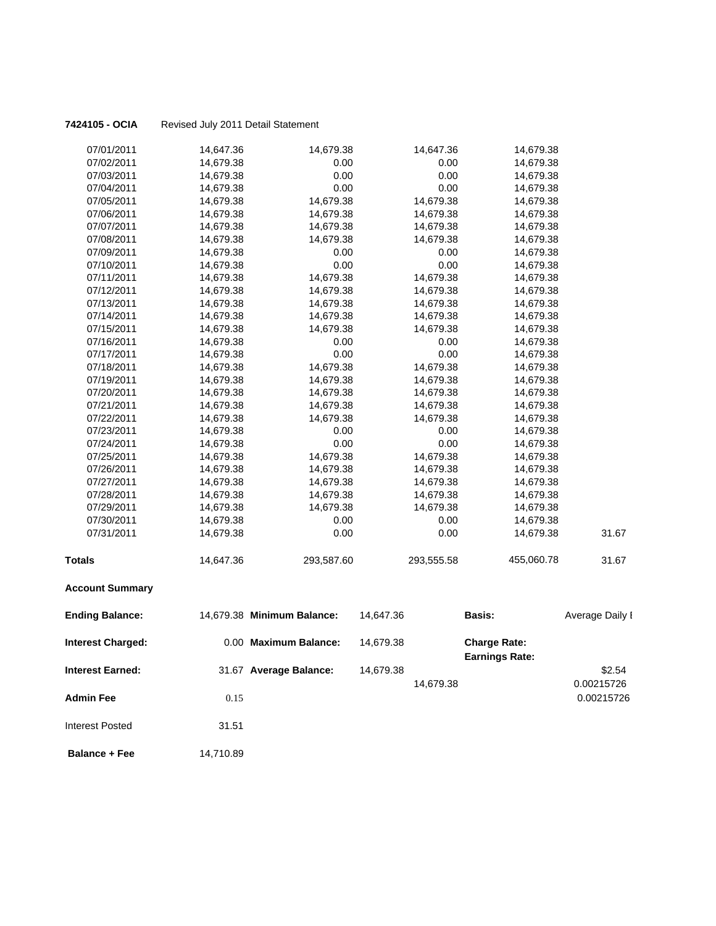| Interest Earned:         |           | 31.67 Average Balance:     | 14,679.38 | 14,679.38  |                                              | \$2.54<br>0.00215726 |
|--------------------------|-----------|----------------------------|-----------|------------|----------------------------------------------|----------------------|
| <b>Interest Charged:</b> |           | 0.00 Maximum Balance:      | 14,679.38 |            | <b>Charge Rate:</b><br><b>Earnings Rate:</b> |                      |
| <b>Ending Balance:</b>   |           | 14,679.38 Minimum Balance: | 14,647.36 |            | Basis:                                       | Average Daily I      |
| <b>Account Summary</b>   |           |                            |           |            |                                              |                      |
| Totals                   | 14,647.36 | 293,587.60                 |           | 293,555.58 | 455,060.78                                   | 31.67                |
| 07/31/2011               | 14,679.38 | 0.00                       |           | 0.00       | 14,679.38                                    | 31.67                |
| 07/30/2011               | 14,679.38 | 0.00                       |           | 0.00       | 14,679.38                                    |                      |
| 07/29/2011               | 14,679.38 | 14,679.38                  |           | 14,679.38  | 14,679.38                                    |                      |
| 07/28/2011               | 14,679.38 | 14,679.38                  |           | 14,679.38  | 14,679.38                                    |                      |
| 07/27/2011               | 14,679.38 | 14,679.38                  |           | 14,679.38  | 14,679.38                                    |                      |
| 07/26/2011               | 14,679.38 | 14,679.38                  |           | 14,679.38  | 14,679.38                                    |                      |
| 07/25/2011               | 14,679.38 | 14,679.38                  |           | 14,679.38  | 14,679.38                                    |                      |
| 07/24/2011               | 14,679.38 | 0.00                       |           | 0.00       | 14,679.38                                    |                      |
| 07/23/2011               | 14,679.38 | 0.00                       |           | 0.00       | 14,679.38                                    |                      |
| 07/22/2011               | 14,679.38 | 14,679.38                  |           | 14,679.38  | 14,679.38                                    |                      |
| 07/21/2011               | 14,679.38 | 14,679.38                  |           | 14,679.38  | 14,679.38                                    |                      |
| 07/20/2011               | 14,679.38 | 14,679.38                  |           | 14,679.38  | 14,679.38                                    |                      |
| 07/19/2011               | 14,679.38 | 14,679.38                  |           | 14,679.38  | 14,679.38                                    |                      |
| 07/18/2011               | 14,679.38 | 14,679.38                  |           | 14,679.38  | 14,679.38                                    |                      |
| 07/17/2011               | 14,679.38 | 0.00                       |           | 0.00       | 14,679.38                                    |                      |
| 07/16/2011               | 14,679.38 | 0.00                       |           | 0.00       | 14,679.38                                    |                      |
| 07/15/2011               | 14,679.38 | 14,679.38                  |           | 14,679.38  | 14,679.38                                    |                      |
| 07/14/2011               | 14,679.38 | 14,679.38                  |           | 14,679.38  | 14,679.38                                    |                      |
| 07/13/2011               | 14,679.38 | 14,679.38                  |           | 14,679.38  | 14,679.38                                    |                      |
| 07/12/2011               | 14,679.38 | 14,679.38                  |           | 14,679.38  | 14,679.38                                    |                      |
| 07/11/2011               | 14,679.38 | 14,679.38                  |           | 14,679.38  | 14,679.38                                    |                      |
| 07/10/2011               | 14,679.38 | 0.00                       |           | 0.00       | 14,679.38                                    |                      |
| 07/09/2011               | 14,679.38 | 0.00                       |           | 0.00       | 14,679.38                                    |                      |
| 07/08/2011               | 14,679.38 | 14,679.38                  |           | 14,679.38  | 14,679.38                                    |                      |
| 07/07/2011               | 14,679.38 | 14,679.38                  |           | 14,679.38  | 14,679.38                                    |                      |
| 07/06/2011               | 14,679.38 | 14,679.38                  |           | 14,679.38  | 14,679.38                                    |                      |
| 07/05/2011               | 14,679.38 | 14,679.38                  |           | 14,679.38  | 14,679.38                                    |                      |
| 07/04/2011               | 14,679.38 | 0.00                       |           | 0.00       | 14,679.38                                    |                      |
| 07/03/2011               | 14,679.38 | 0.00                       |           | 0.00       | 14,679.38                                    |                      |
| 07/02/2011               | 14,679.38 | 0.00                       |           | 0.00       | 14,679.38                                    |                      |
| 07/01/2011               | 14,647.36 | 14,679.38                  |           | 14,647.36  | 14,679.38                                    |                      |

**Admin Fee** 0.15 0.00215726

 **Balance + Fee** 14,710.89

Interest Posted 31.51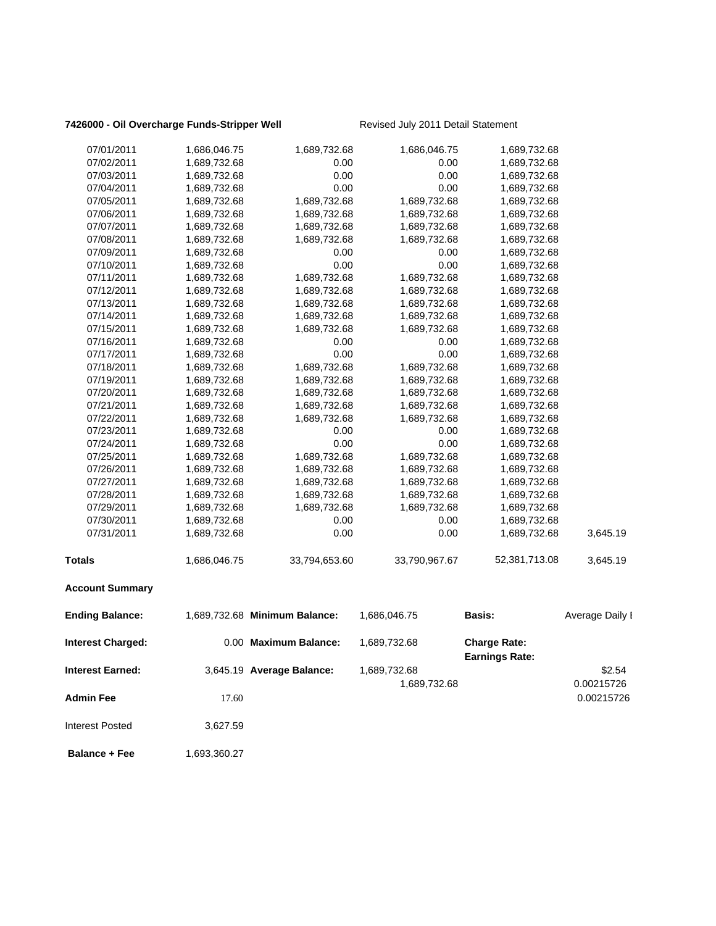### **7426000 - Oil Overcharge Funds-Stripper Well** Revised July 2011 Detail Statement

| 07/01/2011               | 1,686,046.75 | 1,689,732.68                  | 1,686,046.75  | 1,689,732.68                                 |                 |
|--------------------------|--------------|-------------------------------|---------------|----------------------------------------------|-----------------|
| 07/02/2011               | 1,689,732.68 | 0.00                          | 0.00          | 1,689,732.68                                 |                 |
| 07/03/2011               | 1,689,732.68 | 0.00                          | 0.00          | 1,689,732.68                                 |                 |
| 07/04/2011               | 1,689,732.68 | 0.00                          | 0.00          | 1,689,732.68                                 |                 |
| 07/05/2011               | 1,689,732.68 | 1,689,732.68                  | 1,689,732.68  | 1,689,732.68                                 |                 |
| 07/06/2011               | 1,689,732.68 | 1,689,732.68                  | 1,689,732.68  | 1,689,732.68                                 |                 |
| 07/07/2011               | 1,689,732.68 | 1,689,732.68                  | 1,689,732.68  | 1,689,732.68                                 |                 |
| 07/08/2011               | 1,689,732.68 | 1,689,732.68                  | 1,689,732.68  | 1,689,732.68                                 |                 |
| 07/09/2011               | 1,689,732.68 | 0.00                          | 0.00          | 1,689,732.68                                 |                 |
| 07/10/2011               | 1,689,732.68 | 0.00                          | 0.00          | 1,689,732.68                                 |                 |
| 07/11/2011               | 1,689,732.68 | 1,689,732.68                  | 1,689,732.68  | 1,689,732.68                                 |                 |
| 07/12/2011               | 1,689,732.68 | 1,689,732.68                  | 1,689,732.68  | 1,689,732.68                                 |                 |
| 07/13/2011               | 1,689,732.68 | 1,689,732.68                  | 1,689,732.68  | 1,689,732.68                                 |                 |
| 07/14/2011               | 1,689,732.68 | 1,689,732.68                  | 1,689,732.68  | 1,689,732.68                                 |                 |
| 07/15/2011               | 1,689,732.68 | 1,689,732.68                  | 1,689,732.68  | 1,689,732.68                                 |                 |
| 07/16/2011               | 1,689,732.68 | 0.00                          | 0.00          | 1,689,732.68                                 |                 |
| 07/17/2011               | 1,689,732.68 | 0.00                          | 0.00          | 1,689,732.68                                 |                 |
| 07/18/2011               | 1,689,732.68 | 1,689,732.68                  | 1,689,732.68  | 1,689,732.68                                 |                 |
| 07/19/2011               | 1,689,732.68 | 1,689,732.68                  | 1,689,732.68  | 1,689,732.68                                 |                 |
| 07/20/2011               | 1,689,732.68 | 1,689,732.68                  | 1,689,732.68  | 1,689,732.68                                 |                 |
| 07/21/2011               | 1,689,732.68 | 1,689,732.68                  | 1,689,732.68  | 1,689,732.68                                 |                 |
| 07/22/2011               | 1,689,732.68 | 1,689,732.68                  | 1,689,732.68  | 1,689,732.68                                 |                 |
| 07/23/2011               | 1,689,732.68 | 0.00                          | 0.00          | 1,689,732.68                                 |                 |
| 07/24/2011               | 1,689,732.68 | 0.00                          | 0.00          | 1,689,732.68                                 |                 |
| 07/25/2011               | 1,689,732.68 | 1,689,732.68                  | 1,689,732.68  | 1,689,732.68                                 |                 |
| 07/26/2011               | 1,689,732.68 | 1,689,732.68                  | 1,689,732.68  | 1,689,732.68                                 |                 |
| 07/27/2011               | 1,689,732.68 | 1,689,732.68                  | 1,689,732.68  | 1,689,732.68                                 |                 |
| 07/28/2011               | 1,689,732.68 | 1,689,732.68                  | 1,689,732.68  | 1,689,732.68                                 |                 |
| 07/29/2011               | 1,689,732.68 | 1,689,732.68                  | 1,689,732.68  | 1,689,732.68                                 |                 |
| 07/30/2011               | 1,689,732.68 | 0.00                          | 0.00          | 1,689,732.68                                 |                 |
| 07/31/2011               | 1,689,732.68 | 0.00                          | 0.00          | 1,689,732.68                                 | 3,645.19        |
| Totals                   | 1,686,046.75 | 33,794,653.60                 | 33,790,967.67 | 52,381,713.08                                | 3,645.19        |
| <b>Account Summary</b>   |              |                               |               |                                              |                 |
| <b>Ending Balance:</b>   |              | 1,689,732.68 Minimum Balance: | 1,686,046.75  | Basis:                                       | Average Daily I |
| <b>Interest Charged:</b> |              | 0.00 Maximum Balance:         | 1,689,732.68  | <b>Charge Rate:</b><br><b>Earnings Rate:</b> |                 |
| <b>Interest Earned:</b>  |              | 3,645.19 Average Balance:     | 1,689,732.68  |                                              | \$2.54          |
|                          |              |                               | 1,689,732.68  |                                              | 0.00215726      |
| <b>Admin Fee</b>         | 17.60        |                               |               |                                              | 0.00215726      |

**Balance + Fee** 1,693,360.27

Interest Posted 3,627.59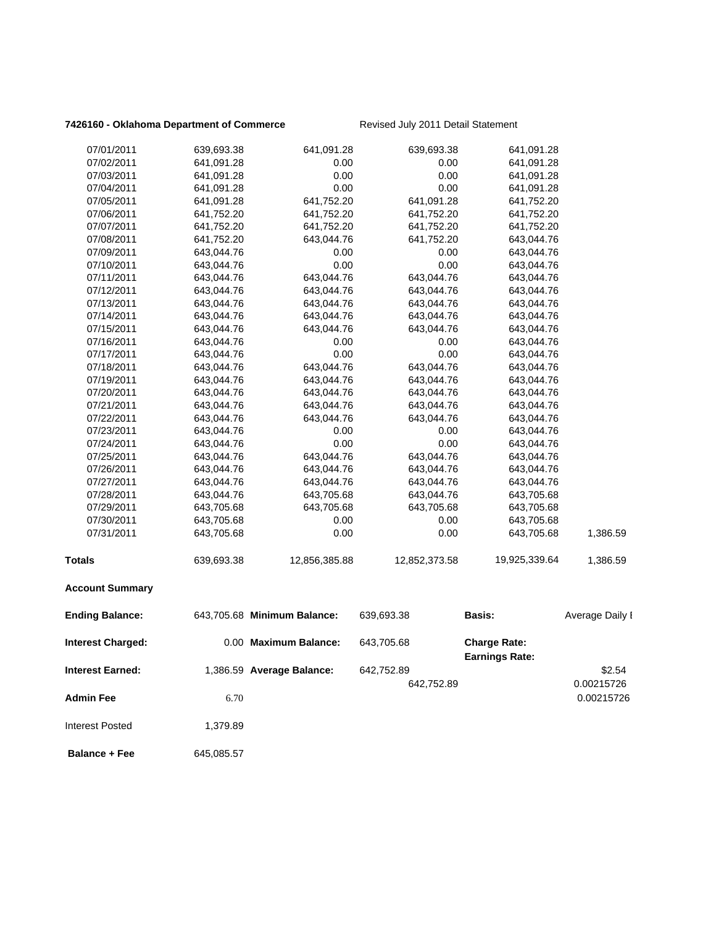### **7426160 - Oklahoma Department of Commerce** Revised July 2011 Detail Statement

| 07/01/2011               | 639,693.38 | 641,091.28                  | 639,693.38    | 641,091.28                                   |                 |
|--------------------------|------------|-----------------------------|---------------|----------------------------------------------|-----------------|
| 07/02/2011               | 641,091.28 | 0.00                        | 0.00          | 641,091.28                                   |                 |
| 07/03/2011               | 641,091.28 | 0.00                        | 0.00          | 641,091.28                                   |                 |
| 07/04/2011               | 641,091.28 | 0.00                        | 0.00          | 641,091.28                                   |                 |
| 07/05/2011               | 641,091.28 | 641,752.20                  | 641,091.28    | 641,752.20                                   |                 |
| 07/06/2011               | 641,752.20 | 641,752.20                  | 641,752.20    | 641,752.20                                   |                 |
| 07/07/2011               | 641,752.20 | 641,752.20                  | 641,752.20    | 641,752.20                                   |                 |
| 07/08/2011               | 641,752.20 | 643,044.76                  | 641,752.20    | 643,044.76                                   |                 |
| 07/09/2011               | 643,044.76 | 0.00                        | 0.00          | 643,044.76                                   |                 |
| 07/10/2011               | 643,044.76 | 0.00                        | 0.00          | 643,044.76                                   |                 |
| 07/11/2011               | 643,044.76 | 643,044.76                  | 643,044.76    | 643,044.76                                   |                 |
| 07/12/2011               | 643,044.76 | 643,044.76                  | 643,044.76    | 643,044.76                                   |                 |
| 07/13/2011               | 643,044.76 | 643,044.76                  | 643,044.76    | 643,044.76                                   |                 |
| 07/14/2011               | 643,044.76 | 643,044.76                  | 643,044.76    | 643,044.76                                   |                 |
| 07/15/2011               | 643,044.76 | 643,044.76                  | 643,044.76    | 643,044.76                                   |                 |
| 07/16/2011               | 643,044.76 | 0.00                        | 0.00          | 643,044.76                                   |                 |
| 07/17/2011               | 643,044.76 | 0.00                        | 0.00          | 643,044.76                                   |                 |
| 07/18/2011               | 643,044.76 | 643,044.76                  | 643,044.76    | 643,044.76                                   |                 |
| 07/19/2011               | 643,044.76 | 643,044.76                  | 643,044.76    | 643,044.76                                   |                 |
| 07/20/2011               | 643,044.76 | 643,044.76                  | 643,044.76    | 643,044.76                                   |                 |
| 07/21/2011               | 643,044.76 | 643,044.76                  | 643,044.76    | 643,044.76                                   |                 |
| 07/22/2011               | 643,044.76 | 643,044.76                  | 643,044.76    | 643,044.76                                   |                 |
| 07/23/2011               | 643,044.76 | 0.00                        | 0.00          | 643,044.76                                   |                 |
| 07/24/2011               | 643,044.76 | 0.00                        | 0.00          | 643,044.76                                   |                 |
| 07/25/2011               | 643,044.76 | 643,044.76                  | 643,044.76    | 643,044.76                                   |                 |
| 07/26/2011               | 643,044.76 | 643,044.76                  | 643,044.76    | 643,044.76                                   |                 |
| 07/27/2011               | 643,044.76 | 643,044.76                  | 643,044.76    | 643,044.76                                   |                 |
| 07/28/2011               | 643,044.76 | 643,705.68                  | 643,044.76    | 643,705.68                                   |                 |
| 07/29/2011               | 643,705.68 | 643,705.68                  | 643,705.68    | 643,705.68                                   |                 |
| 07/30/2011               | 643,705.68 | 0.00                        | 0.00          | 643,705.68                                   |                 |
| 07/31/2011               | 643,705.68 | 0.00                        | 0.00          | 643,705.68                                   | 1,386.59        |
| <b>Totals</b>            | 639,693.38 | 12,856,385.88               | 12,852,373.58 | 19,925,339.64                                | 1,386.59        |
| <b>Account Summary</b>   |            |                             |               |                                              |                 |
| <b>Ending Balance:</b>   |            | 643,705.68 Minimum Balance: | 639,693.38    | <b>Basis:</b>                                | Average Daily I |
| <b>Interest Charged:</b> |            | 0.00 Maximum Balance:       | 643,705.68    | <b>Charge Rate:</b><br><b>Earnings Rate:</b> |                 |
| <b>Interest Earned:</b>  |            | 1,386.59 Average Balance:   | 642,752.89    |                                              | \$2.54          |
|                          |            |                             |               |                                              | 0.00215726      |
|                          |            |                             | 642,752.89    |                                              |                 |
| <b>Admin Fee</b>         | 6.70       |                             |               |                                              | 0.00215726      |
| <b>Interest Posted</b>   | 1,379.89   |                             |               |                                              |                 |
| <b>Balance + Fee</b>     | 645,085.57 |                             |               |                                              |                 |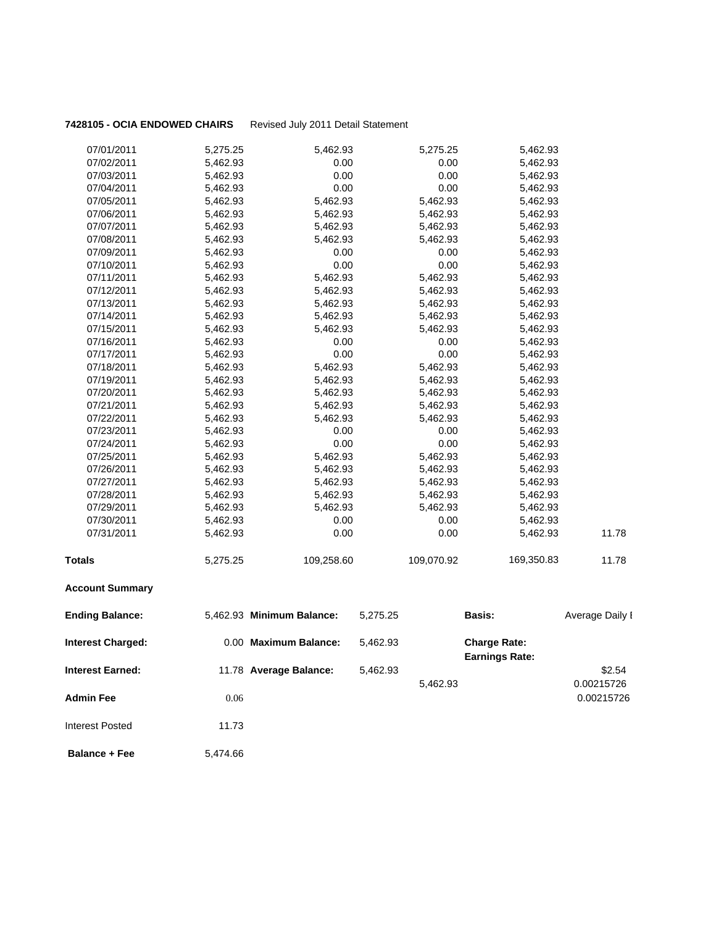### **7428105 - OCIA ENDOWED CHAIRS** Revised July 2011 Detail Statement

| 07/01/2011               | 5,275.25 | 5,462.93                  |          | 5,275.25   | 5,462.93                                     |                 |
|--------------------------|----------|---------------------------|----------|------------|----------------------------------------------|-----------------|
| 07/02/2011               | 5,462.93 | 0.00                      |          | 0.00       | 5,462.93                                     |                 |
| 07/03/2011               | 5,462.93 | 0.00                      |          | 0.00       | 5,462.93                                     |                 |
| 07/04/2011               | 5,462.93 | 0.00                      |          | 0.00       | 5,462.93                                     |                 |
| 07/05/2011               | 5,462.93 | 5,462.93                  |          | 5,462.93   | 5,462.93                                     |                 |
| 07/06/2011               | 5,462.93 | 5,462.93                  |          | 5,462.93   | 5,462.93                                     |                 |
| 07/07/2011               | 5,462.93 | 5,462.93                  |          | 5,462.93   | 5,462.93                                     |                 |
| 07/08/2011               | 5,462.93 | 5,462.93                  |          | 5,462.93   | 5,462.93                                     |                 |
| 07/09/2011               | 5,462.93 | 0.00                      |          | 0.00       | 5,462.93                                     |                 |
| 07/10/2011               | 5,462.93 | 0.00                      |          | 0.00       | 5,462.93                                     |                 |
| 07/11/2011               | 5,462.93 | 5,462.93                  |          | 5,462.93   | 5,462.93                                     |                 |
| 07/12/2011               | 5,462.93 | 5,462.93                  |          | 5,462.93   | 5,462.93                                     |                 |
| 07/13/2011               | 5,462.93 | 5,462.93                  |          | 5,462.93   | 5,462.93                                     |                 |
| 07/14/2011               | 5,462.93 | 5,462.93                  |          | 5,462.93   | 5,462.93                                     |                 |
| 07/15/2011               | 5,462.93 | 5,462.93                  |          | 5,462.93   | 5,462.93                                     |                 |
| 07/16/2011               | 5,462.93 | 0.00                      |          | 0.00       | 5,462.93                                     |                 |
| 07/17/2011               | 5,462.93 | 0.00                      |          | 0.00       | 5,462.93                                     |                 |
| 07/18/2011               | 5,462.93 | 5,462.93                  |          | 5,462.93   | 5,462.93                                     |                 |
| 07/19/2011               | 5,462.93 | 5,462.93                  |          | 5,462.93   | 5,462.93                                     |                 |
| 07/20/2011               | 5,462.93 | 5,462.93                  |          | 5,462.93   | 5,462.93                                     |                 |
| 07/21/2011               | 5,462.93 | 5,462.93                  |          | 5,462.93   | 5,462.93                                     |                 |
| 07/22/2011               | 5,462.93 | 5,462.93                  |          | 5,462.93   | 5,462.93                                     |                 |
| 07/23/2011               | 5,462.93 | 0.00                      |          | 0.00       | 5,462.93                                     |                 |
| 07/24/2011               | 5,462.93 | 0.00                      |          | 0.00       | 5,462.93                                     |                 |
| 07/25/2011               | 5,462.93 | 5,462.93                  |          | 5,462.93   | 5,462.93                                     |                 |
| 07/26/2011               | 5,462.93 | 5,462.93                  |          | 5,462.93   | 5,462.93                                     |                 |
| 07/27/2011               | 5,462.93 | 5,462.93                  |          | 5,462.93   | 5,462.93                                     |                 |
| 07/28/2011               | 5,462.93 | 5,462.93                  |          | 5,462.93   | 5,462.93                                     |                 |
| 07/29/2011               | 5,462.93 | 5,462.93                  |          | 5,462.93   | 5,462.93                                     |                 |
| 07/30/2011               | 5,462.93 | 0.00                      |          | 0.00       | 5,462.93                                     |                 |
| 07/31/2011               | 5,462.93 | 0.00                      |          | 0.00       | 5,462.93                                     | 11.78           |
| <b>Totals</b>            | 5,275.25 | 109,258.60                |          | 109,070.92 | 169,350.83                                   | 11.78           |
| <b>Account Summary</b>   |          |                           |          |            |                                              |                 |
| <b>Ending Balance:</b>   |          | 5,462.93 Minimum Balance: | 5,275.25 |            | <b>Basis:</b>                                | Average Daily I |
| <b>Interest Charged:</b> |          | 0.00 Maximum Balance:     | 5,462.93 |            | <b>Charge Rate:</b><br><b>Earnings Rate:</b> |                 |
| <b>Interest Earned:</b>  |          | 11.78 Average Balance:    | 5,462.93 |            |                                              | \$2.54          |
|                          |          |                           |          | 5,462.93   |                                              |                 |
|                          |          |                           |          |            |                                              | 0.00215726      |
| <b>Admin Fee</b>         | 0.06     |                           |          |            |                                              | 0.00215726      |
| <b>Interest Posted</b>   | 11.73    |                           |          |            |                                              |                 |
| <b>Balance + Fee</b>     | 5,474.66 |                           |          |            |                                              |                 |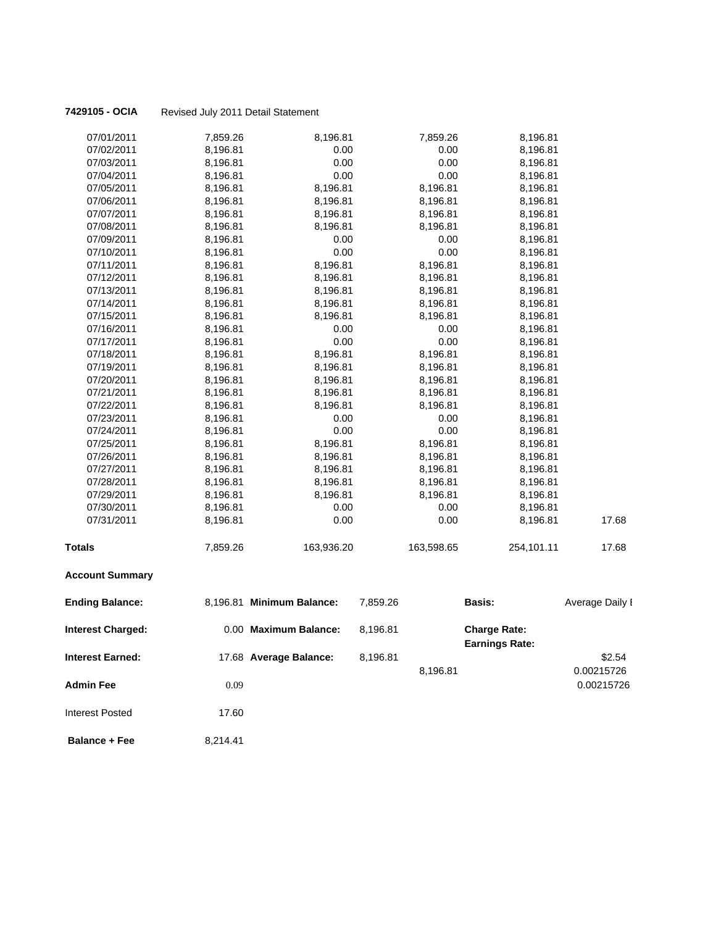| <b>Account Summary</b> |          |            |            |            |       |
|------------------------|----------|------------|------------|------------|-------|
| <b>Totals</b>          | 7,859.26 | 163,936.20 | 163,598.65 | 254,101.11 | 17.68 |
| 07/31/2011             | 8,196.81 | 0.00       | 0.00       | 8,196.81   | 17.68 |
| 07/30/2011             | 8,196.81 | 0.00       | 0.00       | 8,196.81   |       |
| 07/29/2011             | 8,196.81 | 8,196.81   | 8,196.81   | 8,196.81   |       |
| 07/28/2011             | 8,196.81 | 8,196.81   | 8,196.81   | 8,196.81   |       |
| 07/27/2011             | 8,196.81 | 8,196.81   | 8,196.81   | 8,196.81   |       |
| 07/26/2011             | 8,196.81 | 8,196.81   | 8,196.81   | 8,196.81   |       |
| 07/25/2011             | 8,196.81 | 8,196.81   | 8,196.81   | 8,196.81   |       |
| 07/24/2011             | 8,196.81 | 0.00       | 0.00       | 8,196.81   |       |
| 07/23/2011             | 8,196.81 | 0.00       | 0.00       | 8,196.81   |       |
| 07/22/2011             | 8,196.81 | 8,196.81   | 8,196.81   | 8,196.81   |       |
| 07/21/2011             | 8,196.81 | 8,196.81   | 8,196.81   | 8,196.81   |       |
| 07/20/2011             | 8,196.81 | 8,196.81   | 8,196.81   | 8,196.81   |       |
| 07/19/2011             | 8,196.81 | 8,196.81   | 8,196.81   | 8,196.81   |       |
| 07/18/2011             | 8,196.81 | 8,196.81   | 8,196.81   | 8,196.81   |       |
| 07/17/2011             | 8,196.81 | 0.00       | 0.00       | 8,196.81   |       |
| 07/16/2011             | 8,196.81 | 0.00       | 0.00       | 8,196.81   |       |
| 07/15/2011             | 8,196.81 | 8,196.81   | 8,196.81   | 8,196.81   |       |
| 07/14/2011             | 8,196.81 | 8,196.81   | 8,196.81   | 8,196.81   |       |
| 07/13/2011             | 8,196.81 | 8,196.81   | 8,196.81   | 8,196.81   |       |
| 07/12/2011             | 8,196.81 | 8,196.81   | 8,196.81   | 8,196.81   |       |
| 07/11/2011             | 8,196.81 | 8,196.81   | 8,196.81   | 8,196.81   |       |
| 07/10/2011             | 8,196.81 | 0.00       | 0.00       | 8,196.81   |       |
| 07/09/2011             | 8,196.81 | 0.00       | 0.00       | 8,196.81   |       |
| 07/08/2011             | 8,196.81 | 8,196.81   | 8,196.81   | 8,196.81   |       |
| 07/07/2011             | 8,196.81 | 8,196.81   | 8,196.81   | 8,196.81   |       |
| 07/06/2011             | 8,196.81 | 8,196.81   | 8,196.81   | 8,196.81   |       |
| 07/05/2011             | 8,196.81 | 8,196.81   | 8,196.81   | 8,196.81   |       |
| 07/04/2011             | 8,196.81 | 0.00       | 0.00       | 8,196.81   |       |
| 07/03/2011             | 8,196.81 | 0.00       | 0.00       | 8,196.81   |       |
| 07/02/2011             | 8,196.81 | 0.00       | 0.00       | 8,196.81   |       |
| 07/01/2011             | 7,859.26 | 8,196.81   | 7,859.26   | 8,196.81   |       |
|                        |          |            |            |            |       |

| <b>Ending Balance:</b>   |          | 8,196.81 Minimum Balance: | 7,859.26 | <b>Basis:</b>                                | Average Daily I          |
|--------------------------|----------|---------------------------|----------|----------------------------------------------|--------------------------|
| <b>Interest Charged:</b> |          | 0.00 Maximum Balance:     | 8.196.81 | <b>Charge Rate:</b><br><b>Earnings Rate:</b> |                          |
| <b>Interest Earned:</b>  |          | 17.68 Average Balance:    | 8,196.81 |                                              | \$2.54                   |
| <b>Admin Fee</b>         | 0.09     |                           |          | 8,196.81                                     | 0.00215726<br>0.00215726 |
| <b>Interest Posted</b>   | 17.60    |                           |          |                                              |                          |
| <b>Balance + Fee</b>     | 8.214.41 |                           |          |                                              |                          |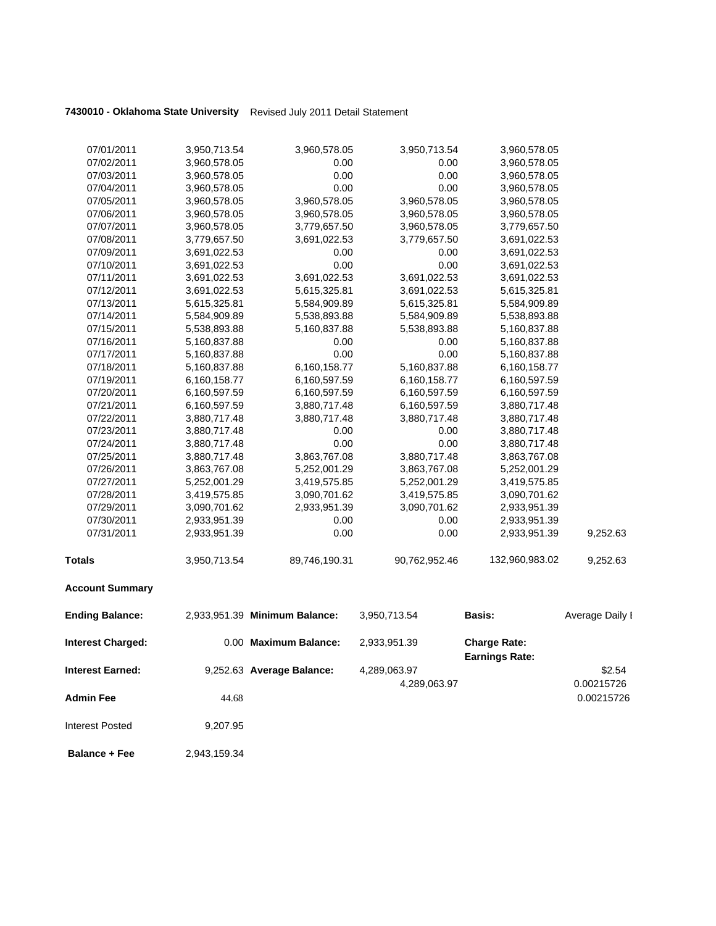| 07/01/2011               | 3,950,713.54 | 3,960,578.05                  | 3,950,713.54                 | 3,960,578.05                                 |                      |
|--------------------------|--------------|-------------------------------|------------------------------|----------------------------------------------|----------------------|
| 07/02/2011               | 3,960,578.05 | 0.00                          | 0.00                         | 3,960,578.05                                 |                      |
| 07/03/2011               | 3,960,578.05 | 0.00                          | 0.00                         | 3,960,578.05                                 |                      |
| 07/04/2011               | 3,960,578.05 | 0.00                          | 0.00                         | 3,960,578.05                                 |                      |
| 07/05/2011               | 3,960,578.05 | 3,960,578.05                  | 3,960,578.05                 | 3,960,578.05                                 |                      |
| 07/06/2011               | 3,960,578.05 | 3,960,578.05                  | 3,960,578.05                 | 3,960,578.05                                 |                      |
| 07/07/2011               | 3,960,578.05 | 3,779,657.50                  | 3,960,578.05                 | 3,779,657.50                                 |                      |
| 07/08/2011               | 3,779,657.50 | 3,691,022.53                  | 3,779,657.50                 | 3,691,022.53                                 |                      |
| 07/09/2011               | 3,691,022.53 | 0.00                          | 0.00                         | 3,691,022.53                                 |                      |
| 07/10/2011               | 3,691,022.53 | 0.00                          | 0.00                         | 3,691,022.53                                 |                      |
| 07/11/2011               | 3,691,022.53 | 3,691,022.53                  | 3,691,022.53                 | 3,691,022.53                                 |                      |
| 07/12/2011               | 3,691,022.53 | 5,615,325.81                  | 3,691,022.53                 | 5,615,325.81                                 |                      |
| 07/13/2011               | 5,615,325.81 | 5,584,909.89                  | 5,615,325.81                 | 5,584,909.89                                 |                      |
| 07/14/2011               | 5,584,909.89 | 5,538,893.88                  | 5,584,909.89                 | 5,538,893.88                                 |                      |
| 07/15/2011               | 5,538,893.88 | 5,160,837.88                  | 5,538,893.88                 | 5,160,837.88                                 |                      |
| 07/16/2011               | 5,160,837.88 | 0.00                          | 0.00                         | 5,160,837.88                                 |                      |
| 07/17/2011               | 5,160,837.88 | 0.00                          | 0.00                         | 5,160,837.88                                 |                      |
| 07/18/2011               | 5,160,837.88 | 6,160,158.77                  | 5,160,837.88                 | 6,160,158.77                                 |                      |
| 07/19/2011               | 6,160,158.77 | 6,160,597.59                  | 6,160,158.77                 | 6,160,597.59                                 |                      |
| 07/20/2011               | 6,160,597.59 | 6,160,597.59                  | 6,160,597.59                 | 6,160,597.59                                 |                      |
| 07/21/2011               | 6,160,597.59 | 3,880,717.48                  | 6,160,597.59                 | 3,880,717.48                                 |                      |
| 07/22/2011               | 3,880,717.48 | 3,880,717.48                  | 3,880,717.48                 | 3,880,717.48                                 |                      |
| 07/23/2011               | 3,880,717.48 | 0.00                          | 0.00                         | 3,880,717.48                                 |                      |
| 07/24/2011               | 3,880,717.48 | 0.00                          | 0.00                         | 3,880,717.48                                 |                      |
| 07/25/2011               | 3,880,717.48 | 3,863,767.08                  | 3,880,717.48                 | 3,863,767.08                                 |                      |
| 07/26/2011               | 3,863,767.08 | 5,252,001.29                  | 3,863,767.08                 | 5,252,001.29                                 |                      |
| 07/27/2011               | 5,252,001.29 | 3,419,575.85                  | 5,252,001.29                 | 3,419,575.85                                 |                      |
| 07/28/2011               | 3,419,575.85 | 3,090,701.62                  | 3,419,575.85                 | 3,090,701.62                                 |                      |
| 07/29/2011               | 3,090,701.62 | 2,933,951.39                  | 3,090,701.62                 | 2,933,951.39                                 |                      |
| 07/30/2011               | 2,933,951.39 | 0.00                          | 0.00                         | 2,933,951.39                                 |                      |
| 07/31/2011               | 2,933,951.39 | 0.00                          | 0.00                         | 2,933,951.39                                 | 9,252.63             |
| <b>Totals</b>            | 3,950,713.54 | 89,746,190.31                 | 90,762,952.46                | 132,960,983.02                               | 9,252.63             |
| <b>Account Summary</b>   |              |                               |                              |                                              |                      |
| <b>Ending Balance:</b>   |              | 2,933,951.39 Minimum Balance: | 3,950,713.54                 | <b>Basis:</b>                                | Average Daily I      |
| <b>Interest Charged:</b> |              | 0.00 Maximum Balance:         | 2,933,951.39                 | <b>Charge Rate:</b><br><b>Earnings Rate:</b> |                      |
| <b>Interest Earned:</b>  |              | 9,252.63 Average Balance:     | 4,289,063.97<br>4,289,063.97 |                                              | \$2.54<br>0.00215726 |
| <b>Admin Fee</b>         | 44.68        |                               |                              |                                              | 0.00215726           |

**Balance + Fee** 2,943,159.34

Interest Posted 9,207.95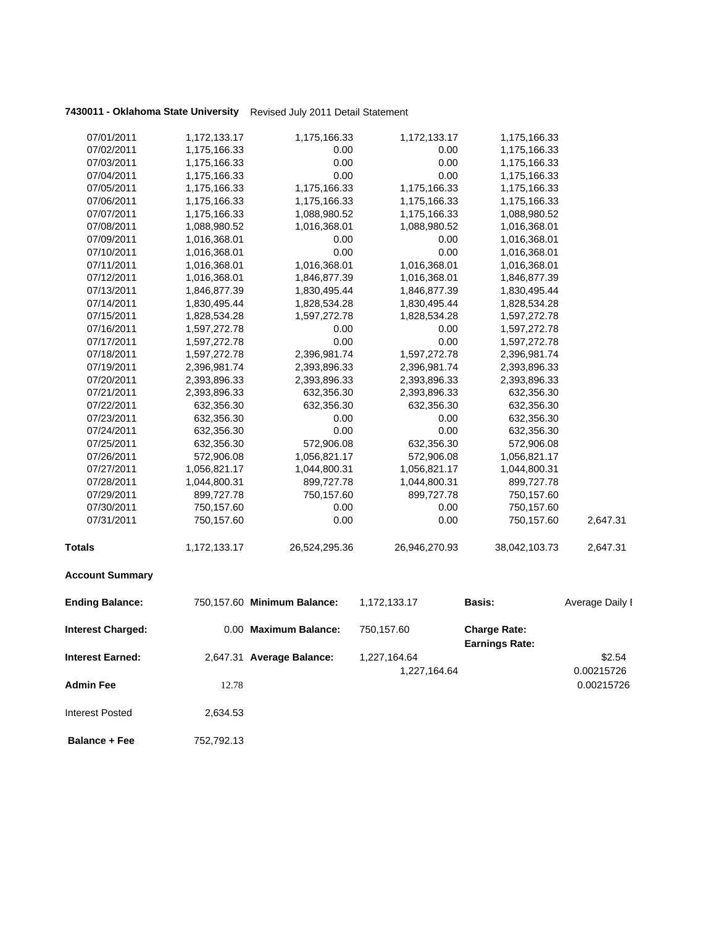| 07/01/2011               | 1,172,133.17 | 1,175,166.33                | 1,172,133.17  | 1,175,166.33                                 |                 |
|--------------------------|--------------|-----------------------------|---------------|----------------------------------------------|-----------------|
| 07/02/2011               | 1,175,166.33 | 0.00                        | 0.00          | 1,175,166.33                                 |                 |
| 07/03/2011               | 1,175,166.33 | 0.00                        | 0.00          | 1,175,166.33                                 |                 |
| 07/04/2011               | 1,175,166.33 | 0.00                        | 0.00          | 1,175,166.33                                 |                 |
| 07/05/2011               | 1,175,166.33 | 1,175,166.33                | 1,175,166.33  | 1,175,166.33                                 |                 |
| 07/06/2011               | 1,175,166.33 | 1,175,166.33                | 1,175,166.33  | 1,175,166.33                                 |                 |
| 07/07/2011               | 1,175,166.33 | 1,088,980.52                | 1,175,166.33  | 1,088,980.52                                 |                 |
| 07/08/2011               | 1,088,980.52 | 1,016,368.01                | 1,088,980.52  | 1,016,368.01                                 |                 |
| 07/09/2011               | 1,016,368.01 | 0.00                        | 0.00          | 1,016,368.01                                 |                 |
| 07/10/2011               | 1,016,368.01 | 0.00                        | 0.00          | 1,016,368.01                                 |                 |
| 07/11/2011               | 1,016,368.01 | 1,016,368.01                | 1,016,368.01  | 1,016,368.01                                 |                 |
| 07/12/2011               | 1,016,368.01 | 1,846,877.39                | 1,016,368.01  | 1,846,877.39                                 |                 |
| 07/13/2011               | 1,846,877.39 | 1,830,495.44                | 1,846,877.39  | 1,830,495.44                                 |                 |
| 07/14/2011               | 1,830,495.44 | 1,828,534.28                | 1,830,495.44  | 1,828,534.28                                 |                 |
| 07/15/2011               | 1,828,534.28 | 1,597,272.78                | 1,828,534.28  | 1,597,272.78                                 |                 |
| 07/16/2011               | 1,597,272.78 | 0.00                        | 0.00          | 1,597,272.78                                 |                 |
| 07/17/2011               | 1,597,272.78 | 0.00                        | 0.00          | 1,597,272.78                                 |                 |
| 07/18/2011               | 1,597,272.78 | 2,396,981.74                | 1,597,272.78  | 2,396,981.74                                 |                 |
| 07/19/2011               | 2,396,981.74 | 2,393,896.33                | 2,396,981.74  | 2,393,896.33                                 |                 |
| 07/20/2011               | 2,393,896.33 | 2,393,896.33                | 2,393,896.33  | 2,393,896.33                                 |                 |
| 07/21/2011               | 2,393,896.33 | 632,356.30                  | 2,393,896.33  | 632,356.30                                   |                 |
| 07/22/2011               | 632,356.30   | 632,356.30                  | 632,356.30    | 632,356.30                                   |                 |
| 07/23/2011               | 632,356.30   | 0.00                        | 0.00          | 632,356.30                                   |                 |
| 07/24/2011               | 632,356.30   | 0.00                        | 0.00          | 632,356.30                                   |                 |
| 07/25/2011               | 632,356.30   | 572,906.08                  | 632,356.30    | 572,906.08                                   |                 |
| 07/26/2011               | 572,906.08   | 1,056,821.17                | 572,906.08    | 1,056,821.17                                 |                 |
| 07/27/2011               | 1,056,821.17 | 1,044,800.31                | 1,056,821.17  | 1,044,800.31                                 |                 |
| 07/28/2011               | 1,044,800.31 | 899,727.78                  | 1,044,800.31  | 899,727.78                                   |                 |
| 07/29/2011               | 899,727.78   | 750,157.60                  | 899,727.78    | 750,157.60                                   |                 |
| 07/30/2011               | 750,157.60   | 0.00                        | 0.00          | 750,157.60                                   |                 |
| 07/31/2011               | 750,157.60   | 0.00                        | 0.00          | 750,157.60                                   | 2,647.31        |
| <b>Totals</b>            | 1,172,133.17 | 26,524,295.36               | 26,946,270.93 | 38,042,103.73                                | 2,647.31        |
| <b>Account Summary</b>   |              |                             |               |                                              |                 |
| <b>Ending Balance:</b>   |              | 750,157.60 Minimum Balance: | 1,172,133.17  | Basis:                                       | Average Daily I |
| <b>Interest Charged:</b> |              | 0.00 Maximum Balance:       | 750,157.60    | <b>Charge Rate:</b><br><b>Earnings Rate:</b> |                 |
| <b>Interest Earned:</b>  |              | 2,647.31 Average Balance:   | 1,227,164.64  |                                              | \$2.54          |
|                          |              |                             | 1,227,164.64  |                                              | 0.00215726      |
| <b>Admin Fee</b>         | 12.78        |                             |               |                                              | 0.00215726      |
| <b>Interest Posted</b>   | 2,634.53     |                             |               |                                              |                 |

 **Balance + Fee** 752,792.13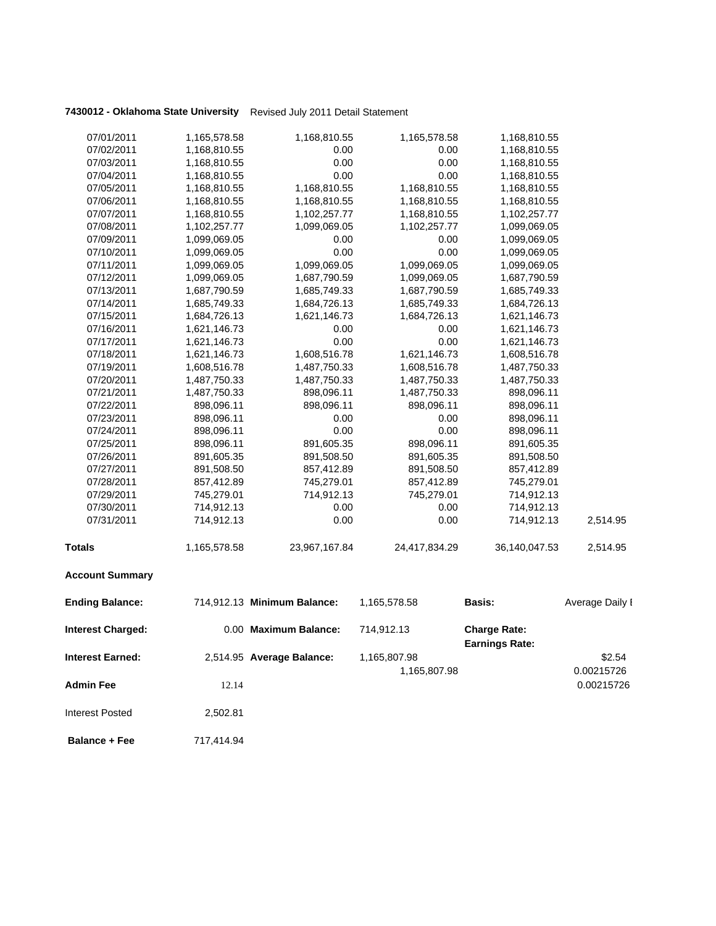| 07/01/2011               | 1,165,578.58 | 1,168,810.55                | 1,165,578.58  | 1,168,810.55                                 |                 |
|--------------------------|--------------|-----------------------------|---------------|----------------------------------------------|-----------------|
| 07/02/2011               | 1,168,810.55 | 0.00                        | 0.00          | 1,168,810.55                                 |                 |
| 07/03/2011               | 1,168,810.55 | 0.00                        | 0.00          | 1,168,810.55                                 |                 |
| 07/04/2011               | 1,168,810.55 | 0.00                        | 0.00          | 1,168,810.55                                 |                 |
| 07/05/2011               | 1,168,810.55 | 1,168,810.55                | 1,168,810.55  | 1,168,810.55                                 |                 |
| 07/06/2011               | 1,168,810.55 | 1,168,810.55                | 1,168,810.55  | 1,168,810.55                                 |                 |
| 07/07/2011               | 1,168,810.55 | 1,102,257.77                | 1,168,810.55  | 1,102,257.77                                 |                 |
| 07/08/2011               | 1,102,257.77 | 1,099,069.05                | 1,102,257.77  | 1,099,069.05                                 |                 |
| 07/09/2011               | 1,099,069.05 | 0.00                        | 0.00          | 1,099,069.05                                 |                 |
| 07/10/2011               | 1,099,069.05 | 0.00                        | 0.00          | 1,099,069.05                                 |                 |
| 07/11/2011               | 1,099,069.05 | 1,099,069.05                | 1,099,069.05  | 1,099,069.05                                 |                 |
| 07/12/2011               | 1,099,069.05 | 1,687,790.59                | 1,099,069.05  | 1,687,790.59                                 |                 |
| 07/13/2011               | 1,687,790.59 | 1,685,749.33                | 1,687,790.59  | 1,685,749.33                                 |                 |
| 07/14/2011               | 1,685,749.33 | 1,684,726.13                | 1,685,749.33  | 1,684,726.13                                 |                 |
| 07/15/2011               | 1,684,726.13 | 1,621,146.73                | 1,684,726.13  | 1,621,146.73                                 |                 |
| 07/16/2011               | 1,621,146.73 | 0.00                        | 0.00          | 1,621,146.73                                 |                 |
| 07/17/2011               | 1,621,146.73 | 0.00                        | 0.00          | 1,621,146.73                                 |                 |
| 07/18/2011               | 1,621,146.73 | 1,608,516.78                | 1,621,146.73  | 1,608,516.78                                 |                 |
| 07/19/2011               | 1,608,516.78 | 1,487,750.33                | 1,608,516.78  | 1,487,750.33                                 |                 |
| 07/20/2011               | 1,487,750.33 | 1,487,750.33                | 1,487,750.33  | 1,487,750.33                                 |                 |
| 07/21/2011               | 1,487,750.33 | 898,096.11                  | 1,487,750.33  | 898,096.11                                   |                 |
| 07/22/2011               | 898,096.11   | 898,096.11                  | 898,096.11    | 898,096.11                                   |                 |
| 07/23/2011               | 898,096.11   | 0.00                        | 0.00          | 898,096.11                                   |                 |
| 07/24/2011               | 898,096.11   | 0.00                        | 0.00          | 898,096.11                                   |                 |
| 07/25/2011               | 898,096.11   | 891,605.35                  | 898,096.11    | 891,605.35                                   |                 |
| 07/26/2011               | 891,605.35   | 891,508.50                  | 891,605.35    | 891,508.50                                   |                 |
| 07/27/2011               | 891,508.50   | 857,412.89                  | 891,508.50    | 857,412.89                                   |                 |
| 07/28/2011               | 857,412.89   | 745,279.01                  | 857,412.89    | 745,279.01                                   |                 |
| 07/29/2011               | 745,279.01   | 714,912.13                  | 745,279.01    | 714,912.13                                   |                 |
| 07/30/2011               | 714,912.13   | 0.00                        | 0.00          | 714,912.13                                   |                 |
| 07/31/2011               | 714,912.13   | 0.00                        | 0.00          | 714,912.13                                   | 2,514.95        |
| <b>Totals</b>            | 1,165,578.58 | 23,967,167.84               | 24,417,834.29 | 36,140,047.53                                | 2,514.95        |
| <b>Account Summary</b>   |              |                             |               |                                              |                 |
| <b>Ending Balance:</b>   |              | 714,912.13 Minimum Balance: | 1,165,578.58  | Basis:                                       | Average Daily I |
| <b>Interest Charged:</b> |              | 0.00 Maximum Balance:       | 714,912.13    | <b>Charge Rate:</b><br><b>Earnings Rate:</b> |                 |
| <b>Interest Earned:</b>  |              | 2,514.95 Average Balance:   | 1,165,807.98  |                                              | \$2.54          |
|                          |              |                             | 1,165,807.98  |                                              | 0.00215726      |
| <b>Admin Fee</b>         | 12.14        |                             |               |                                              | 0.00215726      |
| <b>Interest Posted</b>   | 2,502.81     |                             |               |                                              |                 |

**Balance + Fee** 717,414.94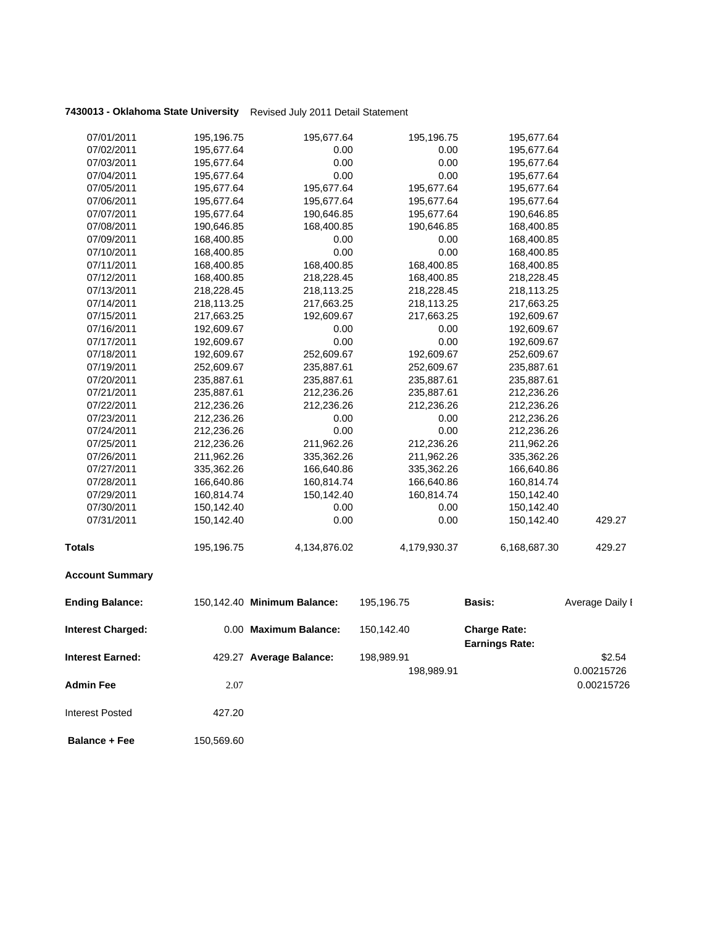| 07/01/2011               | 195,196.75 | 195,677.64                  | 195,196.75   | 195,677.64                                   |                 |
|--------------------------|------------|-----------------------------|--------------|----------------------------------------------|-----------------|
| 07/02/2011               | 195,677.64 | 0.00                        | 0.00         | 195,677.64                                   |                 |
| 07/03/2011               | 195,677.64 | 0.00                        | 0.00         | 195,677.64                                   |                 |
| 07/04/2011               | 195,677.64 | 0.00                        | 0.00         | 195,677.64                                   |                 |
| 07/05/2011               | 195,677.64 | 195,677.64                  | 195,677.64   | 195,677.64                                   |                 |
| 07/06/2011               | 195,677.64 | 195,677.64                  | 195,677.64   | 195,677.64                                   |                 |
| 07/07/2011               | 195,677.64 | 190,646.85                  | 195,677.64   | 190,646.85                                   |                 |
| 07/08/2011               | 190,646.85 | 168,400.85                  | 190,646.85   | 168,400.85                                   |                 |
| 07/09/2011               | 168,400.85 | 0.00                        | 0.00         | 168,400.85                                   |                 |
| 07/10/2011               | 168,400.85 | 0.00                        | 0.00         | 168,400.85                                   |                 |
| 07/11/2011               | 168,400.85 | 168,400.85                  | 168,400.85   | 168,400.85                                   |                 |
| 07/12/2011               | 168,400.85 | 218,228.45                  | 168,400.85   | 218,228.45                                   |                 |
| 07/13/2011               | 218,228.45 | 218,113.25                  | 218,228.45   | 218,113.25                                   |                 |
| 07/14/2011               | 218,113.25 | 217,663.25                  | 218,113.25   | 217,663.25                                   |                 |
| 07/15/2011               | 217,663.25 | 192,609.67                  | 217,663.25   | 192,609.67                                   |                 |
| 07/16/2011               | 192,609.67 | 0.00                        | 0.00         | 192,609.67                                   |                 |
| 07/17/2011               | 192,609.67 | 0.00                        | 0.00         | 192,609.67                                   |                 |
| 07/18/2011               | 192,609.67 | 252,609.67                  | 192,609.67   | 252,609.67                                   |                 |
| 07/19/2011               | 252,609.67 | 235,887.61                  | 252,609.67   | 235,887.61                                   |                 |
| 07/20/2011               | 235,887.61 | 235,887.61                  | 235,887.61   | 235,887.61                                   |                 |
| 07/21/2011               | 235,887.61 | 212,236.26                  | 235,887.61   | 212,236.26                                   |                 |
| 07/22/2011               | 212,236.26 | 212,236.26                  | 212,236.26   | 212,236.26                                   |                 |
| 07/23/2011               | 212,236.26 | 0.00                        | 0.00         | 212,236.26                                   |                 |
| 07/24/2011               | 212,236.26 | 0.00                        | 0.00         | 212,236.26                                   |                 |
| 07/25/2011               | 212,236.26 | 211,962.26                  | 212,236.26   | 211,962.26                                   |                 |
| 07/26/2011               | 211,962.26 | 335,362.26                  | 211,962.26   | 335,362.26                                   |                 |
| 07/27/2011               | 335,362.26 | 166,640.86                  | 335,362.26   | 166,640.86                                   |                 |
| 07/28/2011               | 166,640.86 | 160,814.74                  | 166,640.86   | 160,814.74                                   |                 |
| 07/29/2011               | 160,814.74 | 150,142.40                  | 160,814.74   | 150,142.40                                   |                 |
| 07/30/2011               | 150,142.40 | 0.00                        | 0.00         | 150,142.40                                   |                 |
| 07/31/2011               | 150,142.40 | 0.00                        | 0.00         | 150,142.40                                   | 429.27          |
| <b>Totals</b>            | 195,196.75 | 4,134,876.02                | 4,179,930.37 | 6,168,687.30                                 | 429.27          |
| <b>Account Summary</b>   |            |                             |              |                                              |                 |
| <b>Ending Balance:</b>   |            | 150,142.40 Minimum Balance: | 195,196.75   | <b>Basis:</b>                                | Average Daily I |
| <b>Interest Charged:</b> |            | 0.00 Maximum Balance:       | 150,142.40   | <b>Charge Rate:</b><br><b>Earnings Rate:</b> |                 |
| <b>Interest Earned:</b>  |            | 429.27 Average Balance:     | 198,989.91   |                                              | \$2.54          |
|                          |            |                             |              |                                              | 0.00215726      |
|                          |            |                             | 198,989.91   |                                              |                 |
| <b>Admin Fee</b>         | 2.07       |                             |              |                                              | 0.00215726      |

**Balance + Fee** 150,569.60

Interest Posted 427.20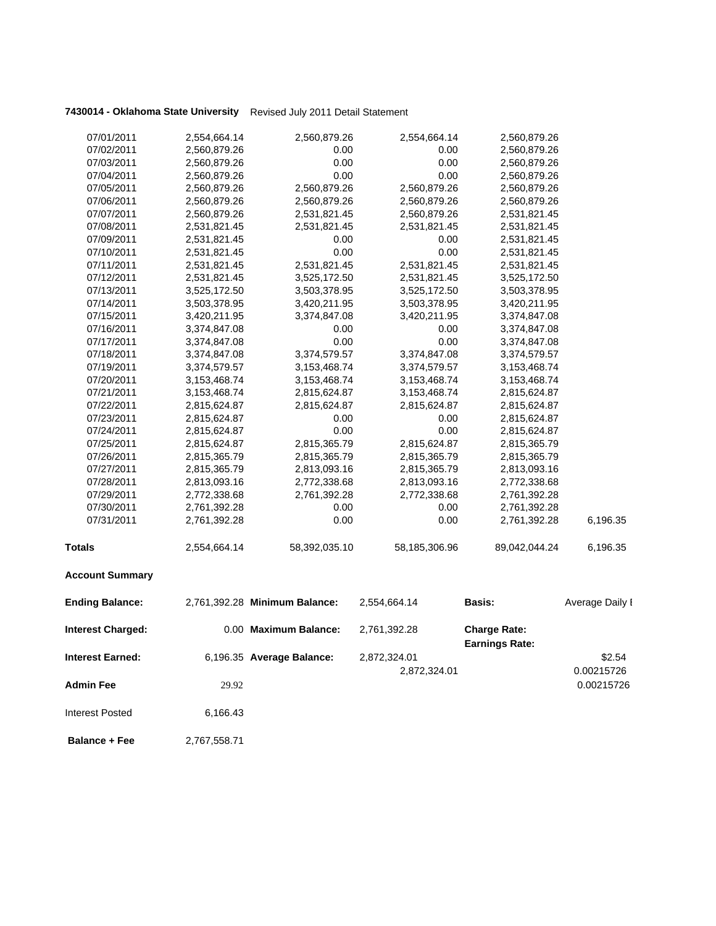| 07/01/2011               | 2,554,664.14 | 2,560,879.26                  | 2,554,664.14  | 2,560,879.26                                 |                 |
|--------------------------|--------------|-------------------------------|---------------|----------------------------------------------|-----------------|
| 07/02/2011               | 2,560,879.26 | 0.00                          | 0.00          | 2,560,879.26                                 |                 |
| 07/03/2011               | 2,560,879.26 | 0.00                          | 0.00          | 2,560,879.26                                 |                 |
| 07/04/2011               | 2,560,879.26 | 0.00                          | 0.00          | 2,560,879.26                                 |                 |
| 07/05/2011               | 2,560,879.26 | 2,560,879.26                  | 2,560,879.26  | 2,560,879.26                                 |                 |
| 07/06/2011               | 2,560,879.26 | 2,560,879.26                  | 2,560,879.26  | 2,560,879.26                                 |                 |
| 07/07/2011               | 2,560,879.26 | 2,531,821.45                  | 2,560,879.26  | 2,531,821.45                                 |                 |
| 07/08/2011               | 2,531,821.45 | 2,531,821.45                  | 2,531,821.45  | 2,531,821.45                                 |                 |
| 07/09/2011               | 2,531,821.45 | 0.00                          | 0.00          | 2,531,821.45                                 |                 |
| 07/10/2011               | 2,531,821.45 | 0.00                          | 0.00          | 2,531,821.45                                 |                 |
| 07/11/2011               | 2,531,821.45 | 2,531,821.45                  | 2,531,821.45  | 2,531,821.45                                 |                 |
| 07/12/2011               | 2,531,821.45 | 3,525,172.50                  | 2,531,821.45  | 3,525,172.50                                 |                 |
| 07/13/2011               | 3,525,172.50 | 3,503,378.95                  | 3,525,172.50  | 3,503,378.95                                 |                 |
| 07/14/2011               | 3,503,378.95 | 3,420,211.95                  | 3,503,378.95  | 3,420,211.95                                 |                 |
| 07/15/2011               | 3,420,211.95 | 3,374,847.08                  | 3,420,211.95  | 3,374,847.08                                 |                 |
| 07/16/2011               | 3,374,847.08 | 0.00                          | 0.00          | 3,374,847.08                                 |                 |
| 07/17/2011               | 3,374,847.08 | 0.00                          | 0.00          | 3,374,847.08                                 |                 |
| 07/18/2011               | 3,374,847.08 | 3,374,579.57                  | 3,374,847.08  | 3,374,579.57                                 |                 |
| 07/19/2011               | 3,374,579.57 | 3, 153, 468. 74               | 3,374,579.57  | 3,153,468.74                                 |                 |
| 07/20/2011               | 3,153,468.74 | 3,153,468.74                  | 3,153,468.74  | 3,153,468.74                                 |                 |
| 07/21/2011               | 3,153,468.74 | 2,815,624.87                  | 3,153,468.74  | 2,815,624.87                                 |                 |
| 07/22/2011               | 2,815,624.87 | 2,815,624.87                  | 2,815,624.87  | 2,815,624.87                                 |                 |
| 07/23/2011               | 2,815,624.87 | 0.00                          | 0.00          | 2,815,624.87                                 |                 |
| 07/24/2011               | 2,815,624.87 | 0.00                          | 0.00          | 2,815,624.87                                 |                 |
| 07/25/2011               | 2,815,624.87 | 2,815,365.79                  | 2,815,624.87  | 2,815,365.79                                 |                 |
| 07/26/2011               | 2,815,365.79 | 2,815,365.79                  | 2,815,365.79  | 2,815,365.79                                 |                 |
| 07/27/2011               | 2,815,365.79 | 2,813,093.16                  | 2,815,365.79  | 2,813,093.16                                 |                 |
| 07/28/2011               | 2,813,093.16 | 2,772,338.68                  | 2,813,093.16  | 2,772,338.68                                 |                 |
| 07/29/2011               | 2,772,338.68 | 2,761,392.28                  | 2,772,338.68  | 2,761,392.28                                 |                 |
| 07/30/2011               | 2,761,392.28 | 0.00                          | 0.00          | 2,761,392.28                                 |                 |
| 07/31/2011               | 2,761,392.28 | 0.00                          | 0.00          | 2,761,392.28                                 | 6,196.35        |
| <b>Totals</b>            | 2,554,664.14 | 58,392,035.10                 | 58,185,306.96 | 89,042,044.24                                | 6,196.35        |
| <b>Account Summary</b>   |              |                               |               |                                              |                 |
| <b>Ending Balance:</b>   |              | 2,761,392.28 Minimum Balance: | 2,554,664.14  | <b>Basis:</b>                                | Average Daily I |
| <b>Interest Charged:</b> |              | 0.00 Maximum Balance:         | 2,761,392.28  | <b>Charge Rate:</b><br><b>Earnings Rate:</b> |                 |
| <b>Interest Earned:</b>  |              | 6,196.35 Average Balance:     | 2,872,324.01  |                                              | \$2.54          |
|                          |              |                               | 2,872,324.01  |                                              | 0.00215726      |
| <b>Admin Fee</b>         | 29.92        |                               |               |                                              | 0.00215726      |
| <b>Interest Posted</b>   | 6,166.43     |                               |               |                                              |                 |
|                          |              |                               |               |                                              |                 |

 **Balance + Fee** 2,767,558.71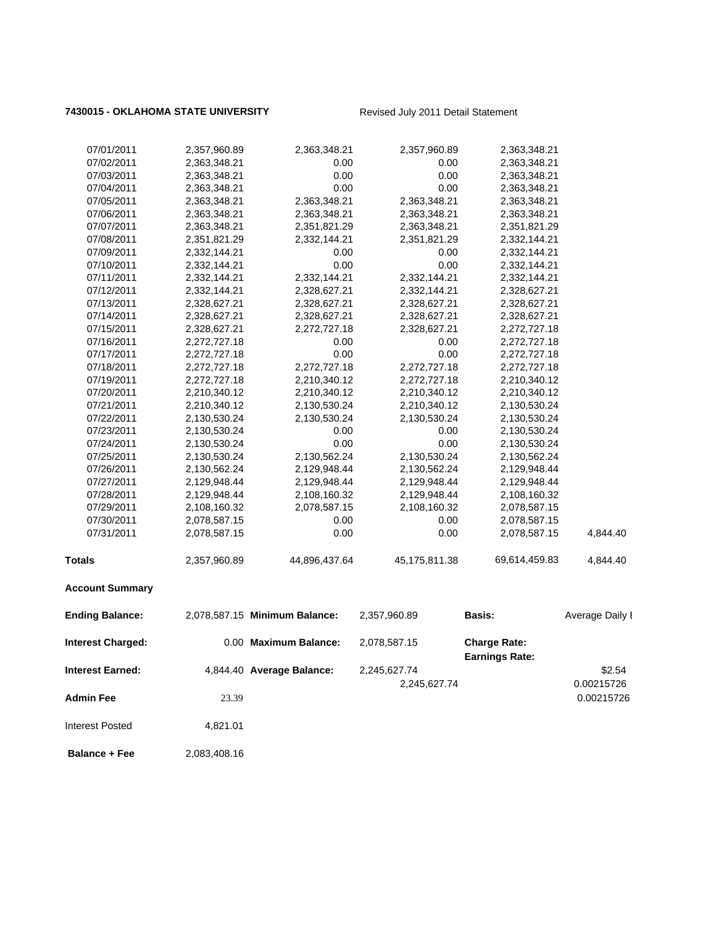### 7430015 - OKLAHOMA STATE UNIVERSITY Revised July 2011 Detail Statement

| <b>Interest Posted</b>   | 4,821.01                     |                               |                              |                                              |                          |
|--------------------------|------------------------------|-------------------------------|------------------------------|----------------------------------------------|--------------------------|
| <b>Admin Fee</b>         | 23.39                        |                               | 2,245,627.74                 |                                              | 0.00215726<br>0.00215726 |
| <b>Interest Earned:</b>  |                              | 4,844.40 Average Balance:     | 2,245,627.74                 |                                              | \$2.54                   |
| <b>Interest Charged:</b> |                              | 0.00 Maximum Balance:         | 2,078,587.15                 | <b>Charge Rate:</b><br><b>Earnings Rate:</b> |                          |
| <b>Ending Balance:</b>   |                              | 2,078,587.15 Minimum Balance: | 2,357,960.89                 | Basis:                                       | Average Daily I          |
| <b>Account Summary</b>   |                              |                               |                              |                                              |                          |
| <b>Totals</b>            | 2,357,960.89                 | 44,896,437.64                 | 45, 175, 811.38              | 69,614,459.83                                | 4,844.40                 |
| 07/31/2011               | 2,078,587.15                 | 0.00                          | 0.00                         | 2,078,587.15                                 | 4,844.40                 |
| 07/30/2011               | 2,078,587.15                 | 0.00                          | 0.00                         | 2,078,587.15                                 |                          |
| 07/29/2011               | 2,108,160.32                 | 2,078,587.15                  | 2,108,160.32                 | 2,078,587.15                                 |                          |
| 07/28/2011               | 2,129,948.44                 | 2,108,160.32                  | 2,129,948.44                 | 2,108,160.32                                 |                          |
| 07/27/2011               | 2,129,948.44                 | 2,129,948.44                  | 2,129,948.44                 | 2,129,948.44                                 |                          |
| 07/26/2011               | 2,130,562.24                 | 2,129,948.44                  | 2,130,562.24                 | 2,129,948.44                                 |                          |
| 07/25/2011               | 2,130,530.24                 | 2,130,562.24                  | 2,130,530.24                 | 2,130,562.24                                 |                          |
| 07/24/2011               | 2,130,530.24                 | 0.00                          | 0.00                         | 2,130,530.24                                 |                          |
| 07/23/2011               | 2,130,530.24                 | 0.00                          | 0.00                         | 2,130,530.24                                 |                          |
| 07/22/2011               | 2,130,530.24                 | 2,130,530.24                  | 2,130,530.24                 | 2,130,530.24                                 |                          |
| 07/21/2011               | 2,210,340.12                 | 2,130,530.24                  | 2,210,340.12                 | 2,130,530.24                                 |                          |
| 07/20/2011               | 2,210,340.12                 | 2,210,340.12                  | 2,210,340.12                 | 2,210,340.12                                 |                          |
| 07/19/2011               | 2,272,727.18                 | 2,210,340.12                  | 2,272,727.18                 | 2,210,340.12                                 |                          |
| 07/18/2011               | 2,272,727.18                 | 2,272,727.18                  | 2,272,727.18                 | 2,272,727.18                                 |                          |
| 07/17/2011               | 2,272,727.18                 | 0.00                          | 0.00                         | 2,272,727.18                                 |                          |
| 07/16/2011               | 2,272,727.18                 | 0.00                          | 0.00                         | 2,272,727.18                                 |                          |
| 07/15/2011               | 2,328,627.21                 | 2,272,727.18                  | 2,328,627.21                 | 2,272,727.18                                 |                          |
| 07/14/2011               | 2,328,627.21                 | 2,328,627.21                  | 2,328,627.21                 | 2,328,627.21                                 |                          |
| 07/12/2011<br>07/13/2011 | 2,332,144.21<br>2,328,627.21 | 2,328,627.21<br>2,328,627.21  | 2,332,144.21<br>2,328,627.21 | 2,328,627.21<br>2,328,627.21                 |                          |
| 07/11/2011               | 2,332,144.21                 | 2,332,144.21                  | 2,332,144.21                 | 2,332,144.21                                 |                          |
| 07/10/2011               | 2,332,144.21                 | 0.00                          | 0.00                         | 2,332,144.21                                 |                          |
| 07/09/2011               | 2,332,144.21                 | 0.00                          | 0.00                         | 2,332,144.21                                 |                          |
| 07/08/2011               | 2,351,821.29                 | 2,332,144.21                  | 2,351,821.29                 | 2,332,144.21                                 |                          |
| 07/07/2011               | 2,363,348.21                 | 2,351,821.29                  | 2,363,348.21                 | 2,351,821.29                                 |                          |
| 07/06/2011               | 2,363,348.21                 | 2,363,348.21                  | 2,363,348.21                 | 2,363,348.21                                 |                          |
| 07/05/2011               | 2,363,348.21                 | 2,363,348.21                  | 2,363,348.21                 | 2,363,348.21                                 |                          |
| 07/04/2011               | 2,363,348.21                 | 0.00                          | 0.00                         | 2,363,348.21                                 |                          |
| 07/03/2011               | 2,363,348.21                 | 0.00                          | 0.00                         | 2,363,348.21                                 |                          |
| 07/02/2011               | 2,363,348.21                 | 0.00                          | 0.00                         | 2,363,348.21                                 |                          |
| 07/01/2011               | 2,357,960.89                 | 2,363,348.21                  | 2,357,960.89                 | 2,363,348.21                                 |                          |
|                          |                              |                               |                              |                                              |                          |

**Balance + Fee** 2,083,408.16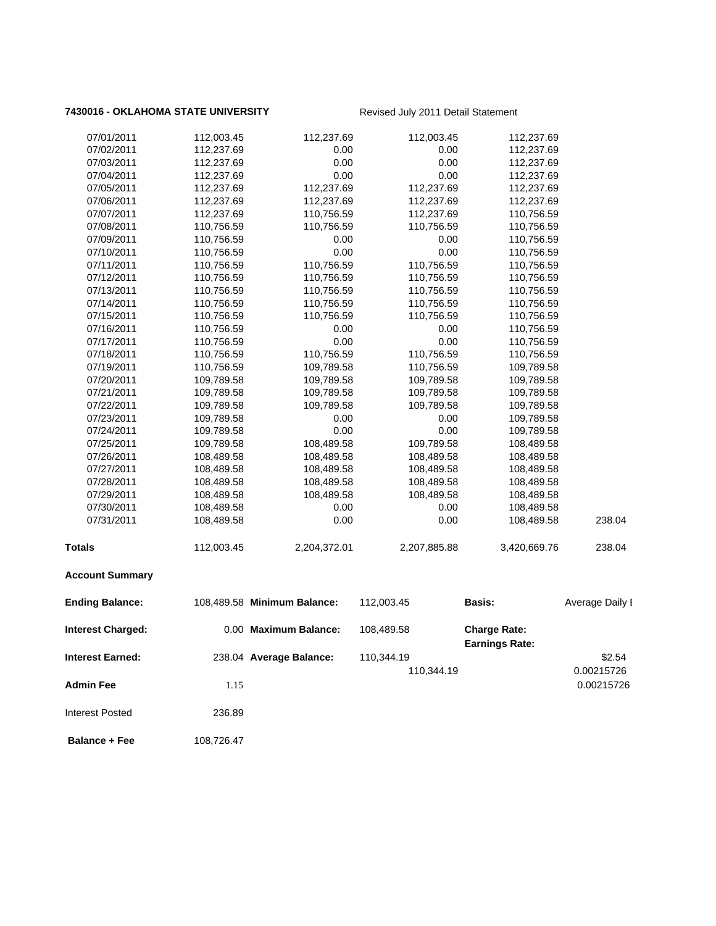### 7430016 - OKLAHOMA STATE UNIVERSITY Revised July 2011 Detail Statement

| 07/01/2011               | 112,003.45 | 112,237.69                  | 112,003.45   | 112,237.69            |                 |
|--------------------------|------------|-----------------------------|--------------|-----------------------|-----------------|
| 07/02/2011               | 112,237.69 | 0.00                        | 0.00         | 112,237.69            |                 |
| 07/03/2011               | 112,237.69 | 0.00                        | 0.00         | 112,237.69            |                 |
| 07/04/2011               | 112,237.69 | 0.00                        | 0.00         | 112,237.69            |                 |
| 07/05/2011               | 112,237.69 | 112,237.69                  | 112,237.69   | 112,237.69            |                 |
| 07/06/2011               | 112,237.69 | 112,237.69                  | 112,237.69   | 112,237.69            |                 |
| 07/07/2011               | 112,237.69 | 110,756.59                  | 112,237.69   | 110,756.59            |                 |
| 07/08/2011               | 110,756.59 | 110,756.59                  | 110,756.59   | 110,756.59            |                 |
| 07/09/2011               | 110,756.59 | 0.00                        | 0.00         | 110,756.59            |                 |
| 07/10/2011               | 110,756.59 | 0.00                        | 0.00         | 110,756.59            |                 |
| 07/11/2011               | 110,756.59 | 110,756.59                  | 110,756.59   | 110,756.59            |                 |
| 07/12/2011               | 110,756.59 | 110,756.59                  | 110,756.59   | 110,756.59            |                 |
| 07/13/2011               | 110,756.59 | 110,756.59                  | 110,756.59   | 110,756.59            |                 |
| 07/14/2011               | 110,756.59 | 110,756.59                  | 110,756.59   | 110,756.59            |                 |
| 07/15/2011               | 110,756.59 | 110,756.59                  | 110,756.59   | 110,756.59            |                 |
| 07/16/2011               | 110,756.59 | 0.00                        | 0.00         | 110,756.59            |                 |
| 07/17/2011               | 110,756.59 | 0.00                        | 0.00         | 110,756.59            |                 |
| 07/18/2011               | 110,756.59 | 110,756.59                  | 110,756.59   | 110,756.59            |                 |
| 07/19/2011               |            | 109,789.58                  |              |                       |                 |
|                          | 110,756.59 | 109,789.58                  | 110,756.59   | 109,789.58            |                 |
| 07/20/2011               | 109,789.58 |                             | 109,789.58   | 109,789.58            |                 |
| 07/21/2011               | 109,789.58 | 109,789.58                  | 109,789.58   | 109,789.58            |                 |
| 07/22/2011               | 109,789.58 | 109,789.58                  | 109,789.58   | 109,789.58            |                 |
| 07/23/2011               | 109,789.58 | 0.00                        | 0.00         | 109,789.58            |                 |
| 07/24/2011               | 109,789.58 | 0.00                        | 0.00         | 109,789.58            |                 |
| 07/25/2011               | 109,789.58 | 108,489.58                  | 109,789.58   | 108,489.58            |                 |
| 07/26/2011               | 108,489.58 | 108,489.58                  | 108,489.58   | 108,489.58            |                 |
| 07/27/2011               | 108,489.58 | 108,489.58                  | 108,489.58   | 108,489.58            |                 |
| 07/28/2011               | 108,489.58 | 108,489.58                  | 108,489.58   | 108,489.58            |                 |
| 07/29/2011               | 108,489.58 | 108,489.58                  | 108,489.58   | 108,489.58            |                 |
| 07/30/2011               | 108,489.58 | 0.00                        | 0.00         | 108,489.58            |                 |
| 07/31/2011               | 108,489.58 | 0.00                        | 0.00         | 108,489.58            | 238.04          |
| <b>Totals</b>            | 112,003.45 | 2,204,372.01                | 2,207,885.88 | 3,420,669.76          | 238.04          |
| <b>Account Summary</b>   |            |                             |              |                       |                 |
| <b>Ending Balance:</b>   |            | 108,489.58 Minimum Balance: | 112,003.45   | <b>Basis:</b>         | Average Daily I |
| <b>Interest Charged:</b> |            | 0.00 Maximum Balance:       | 108,489.58   | <b>Charge Rate:</b>   |                 |
|                          |            |                             |              | <b>Earnings Rate:</b> |                 |
| <b>Interest Earned:</b>  |            | 238.04 Average Balance:     | 110,344.19   |                       | \$2.54          |
|                          |            |                             | 110,344.19   |                       | 0.00215726      |
| <b>Admin Fee</b>         | 1.15       |                             |              |                       | 0.00215726      |
| <b>Interest Posted</b>   | 236.89     |                             |              |                       |                 |
| <b>Balance + Fee</b>     | 108,726.47 |                             |              |                       |                 |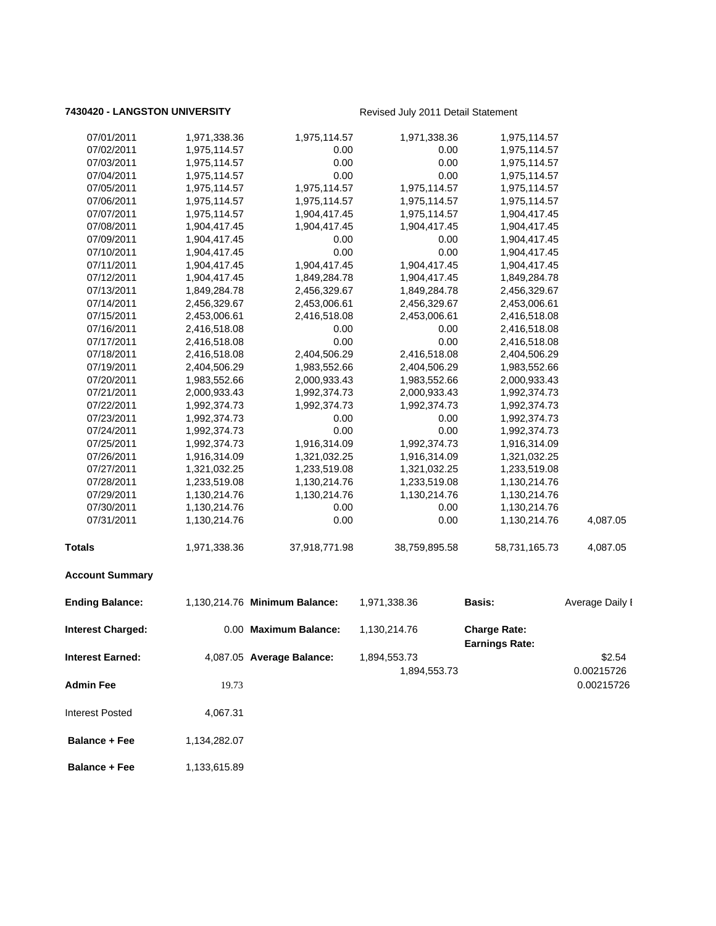### **7430420 - LANGSTON UNIVERSITY** Revised July 2011 Detail Statement

| 07/01/2011               | 1,971,338.36 | 1,975,114.57                  | 1,971,338.36  | 1,975,114.57                                 |                      |
|--------------------------|--------------|-------------------------------|---------------|----------------------------------------------|----------------------|
| 07/02/2011               | 1,975,114.57 | 0.00                          | 0.00          | 1,975,114.57                                 |                      |
| 07/03/2011               | 1,975,114.57 | 0.00                          | 0.00          | 1,975,114.57                                 |                      |
| 07/04/2011               | 1,975,114.57 | 0.00                          | 0.00          | 1,975,114.57                                 |                      |
| 07/05/2011               | 1,975,114.57 | 1,975,114.57                  | 1,975,114.57  | 1,975,114.57                                 |                      |
| 07/06/2011               | 1,975,114.57 | 1,975,114.57                  | 1,975,114.57  | 1,975,114.57                                 |                      |
| 07/07/2011               | 1,975,114.57 | 1,904,417.45                  | 1,975,114.57  | 1,904,417.45                                 |                      |
| 07/08/2011               | 1,904,417.45 | 1,904,417.45                  | 1,904,417.45  | 1,904,417.45                                 |                      |
| 07/09/2011               | 1,904,417.45 | 0.00                          | 0.00          | 1,904,417.45                                 |                      |
| 07/10/2011               | 1,904,417.45 | 0.00                          | 0.00          | 1,904,417.45                                 |                      |
| 07/11/2011               | 1,904,417.45 | 1,904,417.45                  | 1,904,417.45  | 1,904,417.45                                 |                      |
| 07/12/2011               | 1,904,417.45 | 1,849,284.78                  | 1,904,417.45  | 1,849,284.78                                 |                      |
| 07/13/2011               | 1,849,284.78 | 2,456,329.67                  | 1,849,284.78  | 2,456,329.67                                 |                      |
| 07/14/2011               | 2,456,329.67 | 2,453,006.61                  | 2,456,329.67  | 2,453,006.61                                 |                      |
| 07/15/2011               | 2,453,006.61 | 2,416,518.08                  | 2,453,006.61  | 2,416,518.08                                 |                      |
| 07/16/2011               | 2,416,518.08 | 0.00                          | 0.00          | 2,416,518.08                                 |                      |
| 07/17/2011               | 2,416,518.08 | 0.00                          | 0.00          | 2,416,518.08                                 |                      |
| 07/18/2011               | 2,416,518.08 | 2,404,506.29                  | 2,416,518.08  | 2,404,506.29                                 |                      |
| 07/19/2011               | 2,404,506.29 | 1,983,552.66                  | 2,404,506.29  | 1,983,552.66                                 |                      |
| 07/20/2011               | 1,983,552.66 | 2,000,933.43                  | 1,983,552.66  | 2,000,933.43                                 |                      |
| 07/21/2011               | 2,000,933.43 | 1,992,374.73                  | 2,000,933.43  | 1,992,374.73                                 |                      |
| 07/22/2011               | 1,992,374.73 | 1,992,374.73                  | 1,992,374.73  | 1,992,374.73                                 |                      |
| 07/23/2011               | 1,992,374.73 | 0.00                          | 0.00          | 1,992,374.73                                 |                      |
| 07/24/2011               | 1,992,374.73 | 0.00                          | 0.00          | 1,992,374.73                                 |                      |
| 07/25/2011               | 1,992,374.73 | 1,916,314.09                  | 1,992,374.73  | 1,916,314.09                                 |                      |
| 07/26/2011               | 1,916,314.09 | 1,321,032.25                  | 1,916,314.09  | 1,321,032.25                                 |                      |
| 07/27/2011               | 1,321,032.25 | 1,233,519.08                  | 1,321,032.25  | 1,233,519.08                                 |                      |
| 07/28/2011               | 1,233,519.08 | 1,130,214.76                  | 1,233,519.08  | 1,130,214.76                                 |                      |
| 07/29/2011               | 1,130,214.76 | 1,130,214.76                  | 1,130,214.76  | 1,130,214.76                                 |                      |
| 07/30/2011               | 1,130,214.76 | 0.00                          | 0.00          | 1,130,214.76                                 |                      |
| 07/31/2011               | 1,130,214.76 | 0.00                          | 0.00          | 1,130,214.76                                 | 4,087.05             |
| Totals                   | 1,971,338.36 | 37,918,771.98                 | 38,759,895.58 | 58,731,165.73                                | 4,087.05             |
| <b>Account Summary</b>   |              |                               |               |                                              |                      |
| <b>Ending Balance:</b>   |              | 1,130,214.76 Minimum Balance: | 1,971,338.36  | <b>Basis:</b>                                | Average Daily I      |
| <b>Interest Charged:</b> |              | 0.00 Maximum Balance:         | 1,130,214.76  | <b>Charge Rate:</b><br><b>Earnings Rate:</b> |                      |
| Interest Earned:         |              | 4,087.05 Average Balance:     | 1,894,553.73  |                                              | \$2.54<br>0.00215726 |
| <b>Admin Fee</b>         | 19.73        |                               | 1,894,553.73  |                                              | 0.00215726           |
| Interest Posted          | 4,067.31     |                               |               |                                              |                      |
| <b>Balance + Fee</b>     | 1,134,282.07 |                               |               |                                              |                      |
| <b>Balance + Fee</b>     | 1,133,615.89 |                               |               |                                              |                      |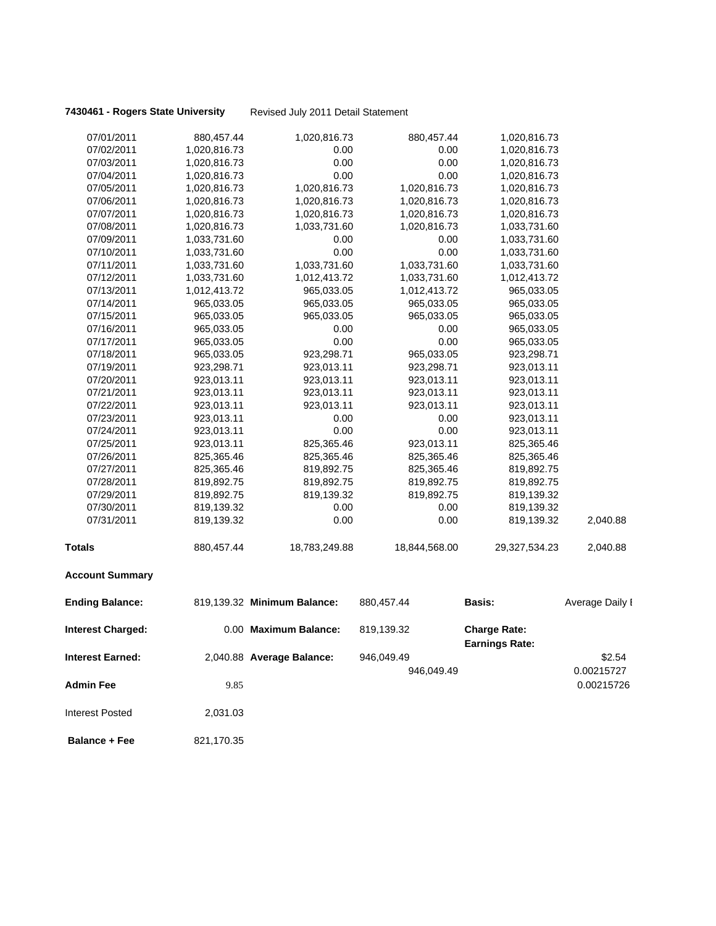| 07/01/2011               | 880,457.44   | 1,020,816.73                | 880,457.44    | 1,020,816.73                                 |                 |
|--------------------------|--------------|-----------------------------|---------------|----------------------------------------------|-----------------|
| 07/02/2011               | 1,020,816.73 | 0.00                        | 0.00          | 1,020,816.73                                 |                 |
| 07/03/2011               | 1,020,816.73 | 0.00                        | 0.00          | 1,020,816.73                                 |                 |
| 07/04/2011               | 1,020,816.73 | 0.00                        | 0.00          | 1,020,816.73                                 |                 |
| 07/05/2011               | 1,020,816.73 | 1,020,816.73                | 1,020,816.73  | 1,020,816.73                                 |                 |
| 07/06/2011               | 1,020,816.73 | 1,020,816.73                | 1,020,816.73  | 1,020,816.73                                 |                 |
| 07/07/2011               | 1,020,816.73 | 1,020,816.73                | 1,020,816.73  | 1,020,816.73                                 |                 |
| 07/08/2011               | 1,020,816.73 | 1,033,731.60                | 1,020,816.73  | 1,033,731.60                                 |                 |
| 07/09/2011               | 1,033,731.60 | 0.00                        | 0.00          | 1,033,731.60                                 |                 |
| 07/10/2011               | 1,033,731.60 | 0.00                        | 0.00          | 1,033,731.60                                 |                 |
| 07/11/2011               | 1,033,731.60 | 1,033,731.60                | 1,033,731.60  | 1,033,731.60                                 |                 |
| 07/12/2011               | 1,033,731.60 | 1,012,413.72                | 1,033,731.60  | 1,012,413.72                                 |                 |
| 07/13/2011               | 1,012,413.72 | 965,033.05                  | 1,012,413.72  | 965,033.05                                   |                 |
| 07/14/2011               | 965,033.05   | 965,033.05                  | 965,033.05    | 965,033.05                                   |                 |
| 07/15/2011               | 965,033.05   | 965,033.05                  | 965,033.05    | 965,033.05                                   |                 |
| 07/16/2011               | 965,033.05   | 0.00                        | 0.00          | 965,033.05                                   |                 |
| 07/17/2011               | 965,033.05   | 0.00                        | 0.00          | 965,033.05                                   |                 |
| 07/18/2011               | 965,033.05   | 923,298.71                  | 965,033.05    | 923,298.71                                   |                 |
| 07/19/2011               | 923,298.71   | 923,013.11                  | 923,298.71    | 923,013.11                                   |                 |
| 07/20/2011               | 923,013.11   | 923,013.11                  | 923,013.11    | 923,013.11                                   |                 |
| 07/21/2011               | 923,013.11   | 923,013.11                  | 923,013.11    | 923,013.11                                   |                 |
| 07/22/2011               | 923,013.11   | 923,013.11                  | 923,013.11    | 923,013.11                                   |                 |
| 07/23/2011               | 923,013.11   | 0.00                        | 0.00          | 923,013.11                                   |                 |
| 07/24/2011               | 923,013.11   | 0.00                        | 0.00          | 923,013.11                                   |                 |
| 07/25/2011               | 923,013.11   | 825,365.46                  | 923,013.11    | 825,365.46                                   |                 |
| 07/26/2011               | 825,365.46   | 825,365.46                  | 825,365.46    | 825,365.46                                   |                 |
| 07/27/2011               | 825,365.46   | 819,892.75                  | 825,365.46    | 819,892.75                                   |                 |
| 07/28/2011               | 819,892.75   | 819,892.75                  | 819,892.75    | 819,892.75                                   |                 |
| 07/29/2011               | 819,892.75   | 819,139.32                  | 819,892.75    | 819,139.32                                   |                 |
| 07/30/2011               | 819,139.32   | 0.00                        | 0.00          | 819,139.32                                   |                 |
| 07/31/2011               | 819,139.32   | 0.00                        | 0.00          | 819,139.32                                   | 2,040.88        |
| <b>Totals</b>            | 880,457.44   | 18,783,249.88               | 18,844,568.00 | 29,327,534.23                                | 2,040.88        |
| <b>Account Summary</b>   |              |                             |               |                                              |                 |
| <b>Ending Balance:</b>   |              | 819,139.32 Minimum Balance: | 880,457.44    | <b>Basis:</b>                                | Average Daily I |
| <b>Interest Charged:</b> |              | 0.00 Maximum Balance:       | 819,139.32    | <b>Charge Rate:</b><br><b>Earnings Rate:</b> |                 |
| <b>Interest Earned:</b>  |              | 2,040.88 Average Balance:   | 946,049.49    |                                              | \$2.54          |
|                          |              |                             | 946,049.49    |                                              | 0.00215727      |
| <b>Admin Fee</b>         | 9.85         |                             |               |                                              | 0.00215726      |
| <b>Interest Posted</b>   | 2,031.03     |                             |               |                                              |                 |
| <b>Balance + Fee</b>     | 821,170.35   |                             |               |                                              |                 |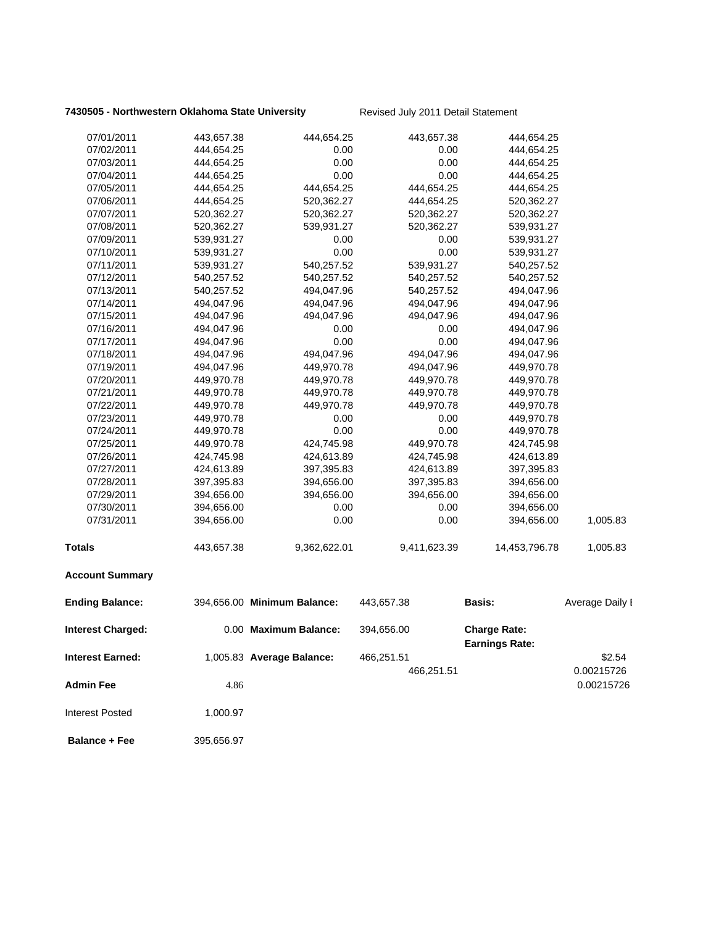| 07/01/2011               | 443,657.38 | 444,654.25                  | 443,657.38   | 444,654.25                                   |                 |
|--------------------------|------------|-----------------------------|--------------|----------------------------------------------|-----------------|
| 07/02/2011               | 444,654.25 | 0.00                        | 0.00         | 444,654.25                                   |                 |
| 07/03/2011               | 444,654.25 | 0.00                        | 0.00         | 444,654.25                                   |                 |
| 07/04/2011               | 444,654.25 | 0.00                        | 0.00         | 444,654.25                                   |                 |
| 07/05/2011               | 444,654.25 | 444,654.25                  | 444,654.25   | 444,654.25                                   |                 |
| 07/06/2011               | 444,654.25 | 520,362.27                  | 444,654.25   | 520,362.27                                   |                 |
| 07/07/2011               | 520,362.27 | 520,362.27                  | 520,362.27   | 520,362.27                                   |                 |
| 07/08/2011               | 520,362.27 | 539,931.27                  | 520,362.27   | 539,931.27                                   |                 |
| 07/09/2011               | 539,931.27 | 0.00                        | 0.00         | 539,931.27                                   |                 |
| 07/10/2011               | 539,931.27 | 0.00                        | 0.00         | 539,931.27                                   |                 |
| 07/11/2011               | 539,931.27 | 540,257.52                  | 539,931.27   | 540,257.52                                   |                 |
| 07/12/2011               | 540,257.52 | 540,257.52                  | 540,257.52   | 540,257.52                                   |                 |
| 07/13/2011               | 540,257.52 | 494,047.96                  | 540,257.52   | 494,047.96                                   |                 |
| 07/14/2011               | 494,047.96 | 494,047.96                  | 494,047.96   | 494,047.96                                   |                 |
| 07/15/2011               | 494,047.96 | 494,047.96                  | 494,047.96   | 494,047.96                                   |                 |
| 07/16/2011               | 494,047.96 | 0.00                        | 0.00         | 494,047.96                                   |                 |
| 07/17/2011               | 494,047.96 | 0.00                        | 0.00         | 494,047.96                                   |                 |
| 07/18/2011               | 494,047.96 | 494,047.96                  | 494,047.96   | 494,047.96                                   |                 |
| 07/19/2011               | 494,047.96 | 449,970.78                  | 494,047.96   | 449,970.78                                   |                 |
| 07/20/2011               | 449,970.78 | 449,970.78                  | 449,970.78   | 449,970.78                                   |                 |
| 07/21/2011               | 449,970.78 | 449,970.78                  | 449,970.78   | 449,970.78                                   |                 |
| 07/22/2011               | 449,970.78 | 449,970.78                  | 449,970.78   | 449,970.78                                   |                 |
| 07/23/2011               | 449,970.78 | 0.00                        | 0.00         | 449,970.78                                   |                 |
| 07/24/2011               | 449,970.78 | 0.00                        | 0.00         | 449,970.78                                   |                 |
| 07/25/2011               | 449,970.78 | 424,745.98                  | 449,970.78   | 424,745.98                                   |                 |
| 07/26/2011               | 424,745.98 | 424,613.89                  | 424,745.98   | 424,613.89                                   |                 |
| 07/27/2011               | 424,613.89 | 397,395.83                  | 424,613.89   | 397,395.83                                   |                 |
| 07/28/2011               | 397,395.83 | 394,656.00                  | 397,395.83   | 394,656.00                                   |                 |
| 07/29/2011               | 394,656.00 | 394,656.00                  | 394,656.00   | 394,656.00                                   |                 |
| 07/30/2011               | 394,656.00 | 0.00                        | 0.00         | 394,656.00                                   |                 |
| 07/31/2011               | 394,656.00 | 0.00                        | 0.00         | 394,656.00                                   | 1,005.83        |
| <b>Totals</b>            | 443,657.38 | 9,362,622.01                | 9,411,623.39 | 14,453,796.78                                | 1,005.83        |
| <b>Account Summary</b>   |            |                             |              |                                              |                 |
| <b>Ending Balance:</b>   |            | 394,656.00 Minimum Balance: | 443,657.38   | Basis:                                       | Average Daily I |
| <b>Interest Charged:</b> |            | 0.00 Maximum Balance:       | 394,656.00   | <b>Charge Rate:</b><br><b>Earnings Rate:</b> |                 |
| <b>Interest Earned:</b>  |            | 1,005.83 Average Balance:   | 466,251.51   |                                              | \$2.54          |
|                          |            |                             | 466,251.51   |                                              |                 |
|                          |            |                             |              |                                              | 0.00215726      |
| <b>Admin Fee</b>         | 4.86       |                             |              |                                              | 0.00215726      |
| <b>Interest Posted</b>   | 1,000.97   |                             |              |                                              |                 |
| <b>Balance + Fee</b>     | 395,656.97 |                             |              |                                              |                 |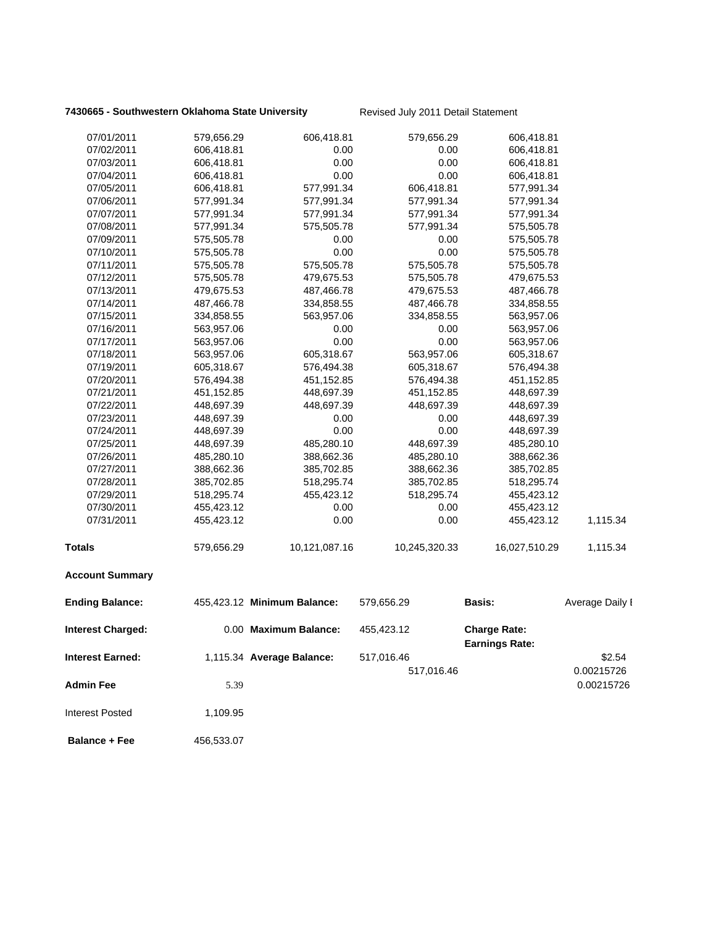| 07/01/2011               | 579,656.29 | 606,418.81                  | 579,656.29    | 606,418.81                                   |                 |
|--------------------------|------------|-----------------------------|---------------|----------------------------------------------|-----------------|
| 07/02/2011               | 606,418.81 | 0.00                        | 0.00          | 606,418.81                                   |                 |
| 07/03/2011               | 606,418.81 | 0.00                        | 0.00          | 606,418.81                                   |                 |
| 07/04/2011               | 606,418.81 | 0.00                        | 0.00          | 606,418.81                                   |                 |
| 07/05/2011               | 606,418.81 | 577,991.34                  | 606,418.81    | 577,991.34                                   |                 |
| 07/06/2011               | 577,991.34 | 577,991.34                  | 577,991.34    | 577,991.34                                   |                 |
| 07/07/2011               | 577,991.34 | 577,991.34                  | 577,991.34    | 577,991.34                                   |                 |
| 07/08/2011               | 577,991.34 | 575,505.78                  | 577,991.34    | 575,505.78                                   |                 |
| 07/09/2011               | 575,505.78 | 0.00                        | 0.00          | 575,505.78                                   |                 |
| 07/10/2011               | 575,505.78 | 0.00                        | 0.00          | 575,505.78                                   |                 |
| 07/11/2011               | 575,505.78 | 575,505.78                  | 575,505.78    | 575,505.78                                   |                 |
| 07/12/2011               | 575,505.78 | 479,675.53                  | 575,505.78    | 479,675.53                                   |                 |
| 07/13/2011               | 479,675.53 | 487,466.78                  | 479,675.53    | 487,466.78                                   |                 |
| 07/14/2011               | 487,466.78 | 334,858.55                  | 487,466.78    | 334,858.55                                   |                 |
| 07/15/2011               | 334,858.55 | 563,957.06                  | 334,858.55    | 563,957.06                                   |                 |
| 07/16/2011               | 563,957.06 | 0.00                        | 0.00          | 563,957.06                                   |                 |
| 07/17/2011               | 563,957.06 | 0.00                        | 0.00          | 563,957.06                                   |                 |
| 07/18/2011               | 563,957.06 | 605,318.67                  | 563,957.06    | 605,318.67                                   |                 |
| 07/19/2011               | 605,318.67 | 576,494.38                  | 605,318.67    | 576,494.38                                   |                 |
| 07/20/2011               | 576,494.38 | 451,152.85                  | 576,494.38    | 451,152.85                                   |                 |
| 07/21/2011               | 451,152.85 | 448,697.39                  | 451,152.85    | 448,697.39                                   |                 |
| 07/22/2011               | 448,697.39 | 448,697.39                  | 448,697.39    | 448,697.39                                   |                 |
| 07/23/2011               | 448,697.39 | 0.00                        | 0.00          | 448,697.39                                   |                 |
| 07/24/2011               | 448,697.39 | 0.00                        | 0.00          | 448,697.39                                   |                 |
| 07/25/2011               | 448,697.39 | 485,280.10                  | 448,697.39    | 485,280.10                                   |                 |
| 07/26/2011               | 485,280.10 | 388,662.36                  | 485,280.10    | 388,662.36                                   |                 |
| 07/27/2011               | 388,662.36 | 385,702.85                  | 388,662.36    | 385,702.85                                   |                 |
| 07/28/2011               | 385,702.85 | 518,295.74                  | 385,702.85    | 518,295.74                                   |                 |
| 07/29/2011               | 518,295.74 | 455,423.12                  | 518,295.74    | 455,423.12                                   |                 |
| 07/30/2011               | 455,423.12 | 0.00                        | 0.00          | 455,423.12                                   |                 |
| 07/31/2011               | 455,423.12 | 0.00                        | 0.00          | 455,423.12                                   | 1,115.34        |
| <b>Totals</b>            | 579,656.29 | 10,121,087.16               | 10,245,320.33 | 16,027,510.29                                | 1,115.34        |
| <b>Account Summary</b>   |            |                             |               |                                              |                 |
| <b>Ending Balance:</b>   |            | 455,423.12 Minimum Balance: | 579,656.29    | <b>Basis:</b>                                | Average Daily I |
| <b>Interest Charged:</b> |            | 0.00 Maximum Balance:       | 455,423.12    | <b>Charge Rate:</b><br><b>Earnings Rate:</b> |                 |
|                          |            |                             |               |                                              |                 |
| <b>Interest Earned:</b>  |            | 1,115.34 Average Balance:   | 517,016.46    |                                              | \$2.54          |
|                          |            |                             | 517,016.46    |                                              | 0.00215726      |
| <b>Admin Fee</b>         | 5.39       |                             |               |                                              | 0.00215726      |
| <b>Interest Posted</b>   | 1,109.95   |                             |               |                                              |                 |
| <b>Balance + Fee</b>     | 456,533.07 |                             |               |                                              |                 |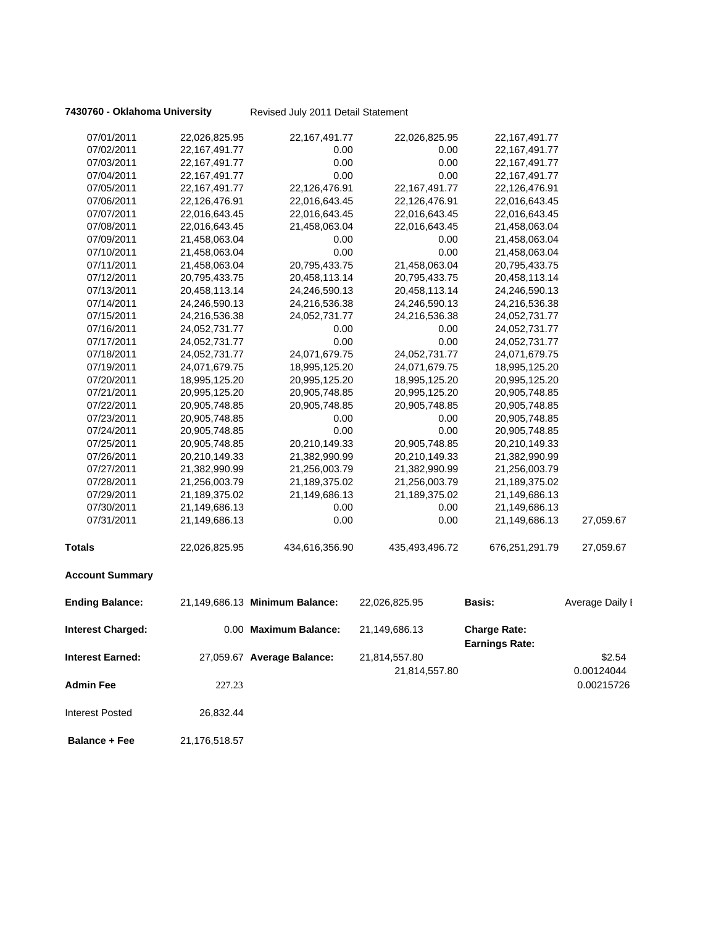| 07/01/2011               | 22,026,825.95    | 22, 167, 491. 77               | 22,026,825.95    | 22,167,491.77                                |                 |
|--------------------------|------------------|--------------------------------|------------------|----------------------------------------------|-----------------|
| 07/02/2011               | 22, 167, 491. 77 | 0.00                           | 0.00             | 22, 167, 491. 77                             |                 |
| 07/03/2011               | 22, 167, 491.77  | 0.00                           | 0.00             | 22, 167, 491.77                              |                 |
| 07/04/2011               | 22, 167, 491. 77 | 0.00                           | 0.00             | 22, 167, 491. 77                             |                 |
| 07/05/2011               | 22, 167, 491. 77 | 22,126,476.91                  | 22, 167, 491. 77 | 22,126,476.91                                |                 |
| 07/06/2011               | 22,126,476.91    | 22,016,643.45                  | 22,126,476.91    | 22,016,643.45                                |                 |
| 07/07/2011               | 22,016,643.45    | 22,016,643.45                  | 22,016,643.45    | 22,016,643.45                                |                 |
| 07/08/2011               | 22,016,643.45    | 21,458,063.04                  | 22,016,643.45    | 21,458,063.04                                |                 |
| 07/09/2011               | 21,458,063.04    | 0.00                           | 0.00             | 21,458,063.04                                |                 |
| 07/10/2011               | 21,458,063.04    | 0.00                           | 0.00             | 21,458,063.04                                |                 |
| 07/11/2011               | 21,458,063.04    | 20,795,433.75                  | 21,458,063.04    | 20,795,433.75                                |                 |
| 07/12/2011               | 20,795,433.75    | 20,458,113.14                  | 20,795,433.75    | 20,458,113.14                                |                 |
| 07/13/2011               | 20,458,113.14    | 24,246,590.13                  | 20,458,113.14    | 24,246,590.13                                |                 |
| 07/14/2011               | 24,246,590.13    | 24,216,536.38                  | 24,246,590.13    | 24,216,536.38                                |                 |
| 07/15/2011               | 24,216,536.38    | 24,052,731.77                  | 24,216,536.38    | 24,052,731.77                                |                 |
| 07/16/2011               | 24,052,731.77    | 0.00                           | 0.00             | 24,052,731.77                                |                 |
| 07/17/2011               | 24,052,731.77    | 0.00                           | 0.00             | 24,052,731.77                                |                 |
| 07/18/2011               | 24,052,731.77    | 24,071,679.75                  | 24,052,731.77    | 24,071,679.75                                |                 |
| 07/19/2011               | 24,071,679.75    | 18,995,125.20                  | 24,071,679.75    | 18,995,125.20                                |                 |
| 07/20/2011               | 18,995,125.20    | 20,995,125.20                  | 18,995,125.20    | 20,995,125.20                                |                 |
| 07/21/2011               | 20,995,125.20    | 20,905,748.85                  | 20,995,125.20    | 20,905,748.85                                |                 |
| 07/22/2011               | 20,905,748.85    | 20,905,748.85                  | 20,905,748.85    | 20,905,748.85                                |                 |
| 07/23/2011               | 20,905,748.85    | 0.00                           | 0.00             | 20,905,748.85                                |                 |
| 07/24/2011               | 20,905,748.85    | 0.00                           | 0.00             | 20,905,748.85                                |                 |
| 07/25/2011               | 20,905,748.85    | 20,210,149.33                  | 20,905,748.85    | 20,210,149.33                                |                 |
| 07/26/2011               | 20,210,149.33    | 21,382,990.99                  | 20,210,149.33    | 21,382,990.99                                |                 |
| 07/27/2011               | 21,382,990.99    | 21,256,003.79                  | 21,382,990.99    | 21,256,003.79                                |                 |
| 07/28/2011               | 21,256,003.79    | 21,189,375.02                  | 21,256,003.79    | 21,189,375.02                                |                 |
| 07/29/2011               | 21,189,375.02    | 21,149,686.13                  | 21,189,375.02    | 21,149,686.13                                |                 |
| 07/30/2011               | 21,149,686.13    | 0.00                           | 0.00             | 21,149,686.13                                |                 |
| 07/31/2011               | 21,149,686.13    | 0.00                           | 0.00             | 21,149,686.13                                | 27,059.67       |
| <b>Totals</b>            | 22,026,825.95    | 434,616,356.90                 | 435,493,496.72   | 676,251,291.79                               | 27,059.67       |
| <b>Account Summary</b>   |                  |                                |                  |                                              |                 |
| <b>Ending Balance:</b>   |                  | 21,149,686.13 Minimum Balance: | 22,026,825.95    | <b>Basis:</b>                                | Average Daily I |
| <b>Interest Charged:</b> |                  | 0.00 Maximum Balance:          | 21,149,686.13    | <b>Charge Rate:</b><br><b>Earnings Rate:</b> |                 |
| <b>Interest Earned:</b>  |                  | 27,059.67 Average Balance:     | 21,814,557.80    |                                              | \$2.54          |
|                          |                  |                                | 21,814,557.80    |                                              | 0.00124044      |
| <b>Admin Fee</b>         | 227.23           |                                |                  |                                              | 0.00215726      |
| <b>Interest Posted</b>   | 26,832.44        |                                |                  |                                              |                 |
| <b>Balance + Fee</b>     | 21,176,518.57    |                                |                  |                                              |                 |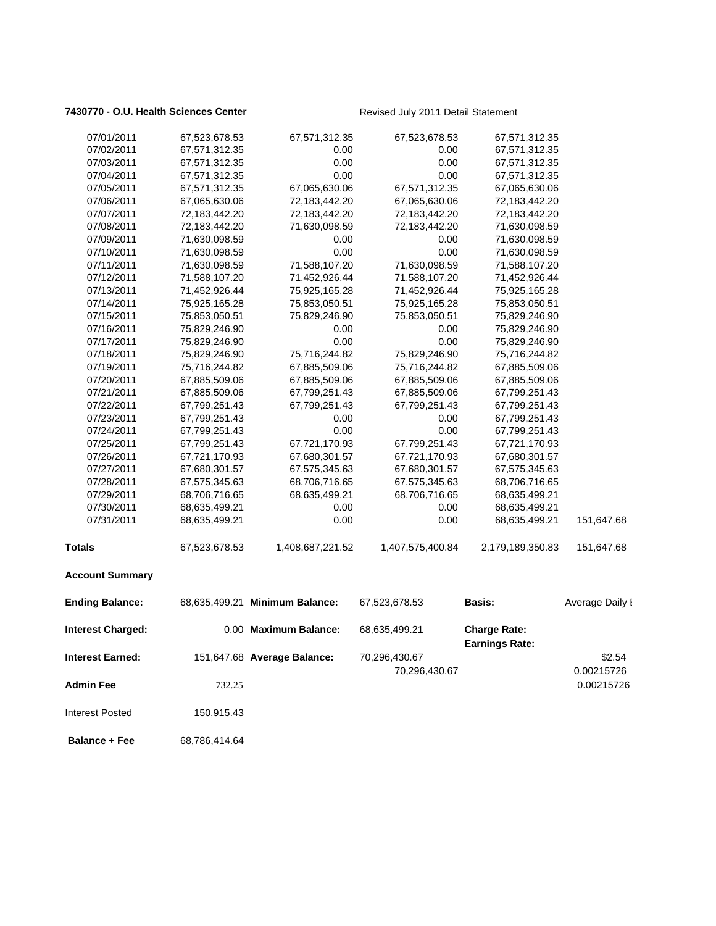### 7430770 - O.U. Health Sciences Center **Revised July 2011 Detail Statement**

| 07/01/2011               | 67,523,678.53 | 67,571,312.35                  | 67,523,678.53    | 67,571,312.35                                |                 |
|--------------------------|---------------|--------------------------------|------------------|----------------------------------------------|-----------------|
| 07/02/2011               | 67,571,312.35 | 0.00                           | 0.00             | 67,571,312.35                                |                 |
| 07/03/2011               | 67,571,312.35 | 0.00                           | 0.00             | 67,571,312.35                                |                 |
| 07/04/2011               | 67,571,312.35 | 0.00                           | 0.00             | 67,571,312.35                                |                 |
| 07/05/2011               | 67,571,312.35 | 67,065,630.06                  | 67,571,312.35    | 67,065,630.06                                |                 |
| 07/06/2011               | 67,065,630.06 | 72,183,442.20                  | 67,065,630.06    | 72,183,442.20                                |                 |
| 07/07/2011               | 72,183,442.20 | 72,183,442.20                  | 72,183,442.20    | 72,183,442.20                                |                 |
| 07/08/2011               | 72,183,442.20 | 71,630,098.59                  | 72,183,442.20    | 71,630,098.59                                |                 |
| 07/09/2011               | 71,630,098.59 | 0.00                           | 0.00             | 71,630,098.59                                |                 |
| 07/10/2011               | 71,630,098.59 | 0.00                           | 0.00             | 71,630,098.59                                |                 |
| 07/11/2011               | 71,630,098.59 | 71,588,107.20                  | 71,630,098.59    | 71,588,107.20                                |                 |
| 07/12/2011               | 71,588,107.20 | 71,452,926.44                  | 71,588,107.20    | 71,452,926.44                                |                 |
| 07/13/2011               | 71,452,926.44 | 75,925,165.28                  | 71,452,926.44    | 75,925,165.28                                |                 |
| 07/14/2011               | 75,925,165.28 | 75,853,050.51                  | 75,925,165.28    | 75,853,050.51                                |                 |
| 07/15/2011               | 75,853,050.51 | 75,829,246.90                  | 75,853,050.51    | 75,829,246.90                                |                 |
| 07/16/2011               | 75,829,246.90 | 0.00                           | 0.00             | 75,829,246.90                                |                 |
| 07/17/2011               | 75,829,246.90 | 0.00                           | 0.00             | 75,829,246.90                                |                 |
| 07/18/2011               | 75,829,246.90 | 75,716,244.82                  | 75,829,246.90    | 75,716,244.82                                |                 |
| 07/19/2011               | 75,716,244.82 | 67,885,509.06                  | 75,716,244.82    | 67,885,509.06                                |                 |
| 07/20/2011               | 67,885,509.06 | 67,885,509.06                  | 67,885,509.06    | 67,885,509.06                                |                 |
| 07/21/2011               | 67,885,509.06 | 67,799,251.43                  | 67,885,509.06    | 67,799,251.43                                |                 |
| 07/22/2011               | 67,799,251.43 | 67,799,251.43                  | 67,799,251.43    | 67,799,251.43                                |                 |
| 07/23/2011               | 67,799,251.43 | 0.00                           | 0.00             | 67,799,251.43                                |                 |
| 07/24/2011               | 67,799,251.43 | 0.00                           | 0.00             | 67,799,251.43                                |                 |
| 07/25/2011               | 67,799,251.43 | 67,721,170.93                  | 67,799,251.43    | 67,721,170.93                                |                 |
| 07/26/2011               | 67,721,170.93 | 67,680,301.57                  | 67,721,170.93    | 67,680,301.57                                |                 |
| 07/27/2011               | 67,680,301.57 | 67,575,345.63                  | 67,680,301.57    | 67,575,345.63                                |                 |
| 07/28/2011               | 67,575,345.63 | 68,706,716.65                  | 67,575,345.63    | 68,706,716.65                                |                 |
| 07/29/2011               | 68,706,716.65 | 68,635,499.21                  | 68,706,716.65    | 68,635,499.21                                |                 |
| 07/30/2011               | 68,635,499.21 | 0.00                           | 0.00             | 68,635,499.21                                |                 |
| 07/31/2011               | 68,635,499.21 | 0.00                           | 0.00             | 68,635,499.21                                | 151,647.68      |
| Totals                   | 67,523,678.53 | 1,408,687,221.52               | 1,407,575,400.84 | 2,179,189,350.83                             | 151,647.68      |
| <b>Account Summary</b>   |               |                                |                  |                                              |                 |
| <b>Ending Balance:</b>   |               | 68,635,499.21 Minimum Balance: | 67,523,678.53    | <b>Basis:</b>                                | Average Daily I |
| <b>Interest Charged:</b> |               | 0.00 Maximum Balance:          | 68,635,499.21    | <b>Charge Rate:</b><br><b>Earnings Rate:</b> |                 |
| Interest Earned:         |               | 151,647.68 Average Balance:    | 70,296,430.67    |                                              | \$2.54          |
|                          |               |                                |                  |                                              |                 |
|                          |               |                                | 70,296,430.67    |                                              | 0.00215726      |
| <b>Admin Fee</b>         | 732.25        |                                |                  |                                              | 0.00215726      |
| <b>Interest Posted</b>   | 150,915.43    |                                |                  |                                              |                 |
| <b>Balance + Fee</b>     | 68,786,414.64 |                                |                  |                                              |                 |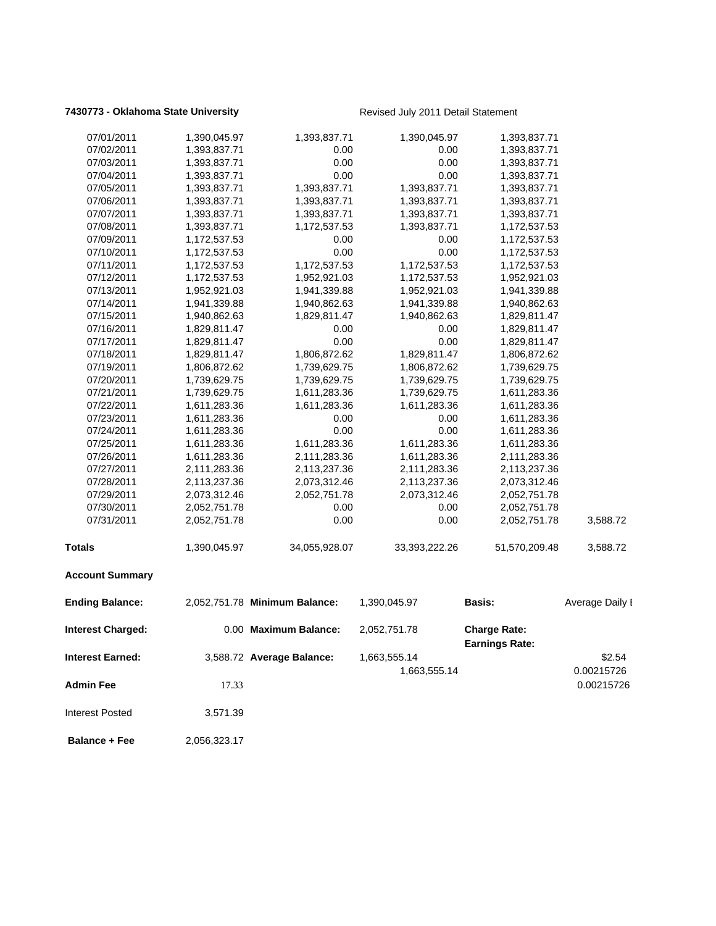### **7430773 - Oklahoma State University Revised July 2011 Detail Statement**

| 07/01/2011               | 1,390,045.97 | 1,393,837.71                  | 1,390,045.97  | 1,393,837.71          |                 |
|--------------------------|--------------|-------------------------------|---------------|-----------------------|-----------------|
| 07/02/2011               | 1,393,837.71 | 0.00                          | 0.00          | 1,393,837.71          |                 |
| 07/03/2011               | 1,393,837.71 | 0.00                          | 0.00          | 1,393,837.71          |                 |
| 07/04/2011               | 1,393,837.71 | 0.00                          | 0.00          | 1,393,837.71          |                 |
| 07/05/2011               | 1,393,837.71 | 1,393,837.71                  | 1,393,837.71  | 1,393,837.71          |                 |
| 07/06/2011               | 1,393,837.71 | 1,393,837.71                  | 1,393,837.71  | 1,393,837.71          |                 |
| 07/07/2011               | 1,393,837.71 | 1,393,837.71                  | 1,393,837.71  | 1,393,837.71          |                 |
| 07/08/2011               | 1,393,837.71 | 1,172,537.53                  | 1,393,837.71  | 1,172,537.53          |                 |
| 07/09/2011               | 1,172,537.53 | 0.00                          | 0.00          | 1,172,537.53          |                 |
| 07/10/2011               | 1,172,537.53 | 0.00                          | 0.00          | 1,172,537.53          |                 |
| 07/11/2011               | 1,172,537.53 | 1,172,537.53                  | 1,172,537.53  | 1,172,537.53          |                 |
| 07/12/2011               | 1,172,537.53 | 1,952,921.03                  | 1,172,537.53  | 1,952,921.03          |                 |
| 07/13/2011               | 1,952,921.03 | 1,941,339.88                  | 1,952,921.03  | 1,941,339.88          |                 |
| 07/14/2011               | 1,941,339.88 | 1,940,862.63                  | 1,941,339.88  | 1,940,862.63          |                 |
| 07/15/2011               | 1,940,862.63 | 1,829,811.47                  | 1,940,862.63  | 1,829,811.47          |                 |
| 07/16/2011               | 1,829,811.47 | 0.00                          | 0.00          | 1,829,811.47          |                 |
| 07/17/2011               | 1,829,811.47 | 0.00                          | 0.00          | 1,829,811.47          |                 |
| 07/18/2011               | 1,829,811.47 | 1,806,872.62                  | 1,829,811.47  | 1,806,872.62          |                 |
| 07/19/2011               | 1,806,872.62 | 1,739,629.75                  | 1,806,872.62  | 1,739,629.75          |                 |
| 07/20/2011               | 1,739,629.75 | 1,739,629.75                  | 1,739,629.75  | 1,739,629.75          |                 |
| 07/21/2011               | 1,739,629.75 | 1,611,283.36                  | 1,739,629.75  | 1,611,283.36          |                 |
| 07/22/2011               | 1,611,283.36 | 1,611,283.36                  | 1,611,283.36  | 1,611,283.36          |                 |
| 07/23/2011               | 1,611,283.36 | 0.00                          | 0.00          | 1,611,283.36          |                 |
| 07/24/2011               | 1,611,283.36 | 0.00                          | 0.00          | 1,611,283.36          |                 |
| 07/25/2011               | 1,611,283.36 | 1,611,283.36                  | 1,611,283.36  | 1,611,283.36          |                 |
| 07/26/2011               | 1,611,283.36 | 2,111,283.36                  | 1,611,283.36  | 2,111,283.36          |                 |
| 07/27/2011               | 2,111,283.36 | 2,113,237.36                  | 2,111,283.36  | 2,113,237.36          |                 |
| 07/28/2011               | 2,113,237.36 | 2,073,312.46                  | 2,113,237.36  | 2,073,312.46          |                 |
| 07/29/2011               | 2,073,312.46 | 2,052,751.78                  | 2,073,312.46  | 2,052,751.78          |                 |
| 07/30/2011               | 2,052,751.78 | 0.00                          | 0.00          | 2,052,751.78          |                 |
| 07/31/2011               | 2,052,751.78 | 0.00                          | 0.00          | 2,052,751.78          | 3,588.72        |
| <b>Totals</b>            | 1,390,045.97 | 34,055,928.07                 | 33,393,222.26 | 51,570,209.48         | 3,588.72        |
| <b>Account Summary</b>   |              |                               |               |                       |                 |
| <b>Ending Balance:</b>   |              | 2,052,751.78 Minimum Balance: | 1,390,045.97  | <b>Basis:</b>         | Average Daily I |
| <b>Interest Charged:</b> |              | 0.00 Maximum Balance:         | 2,052,751.78  | <b>Charge Rate:</b>   |                 |
| Interest Earned:         |              | 3,588.72 Average Balance:     | 1,663,555.14  | <b>Earnings Rate:</b> | \$2.54          |
|                          |              |                               | 1,663,555.14  |                       | 0.00215726      |
| <b>Admin Fee</b>         | 17.33        |                               |               |                       | 0.00215726      |
|                          |              |                               |               |                       |                 |
| <b>Interest Posted</b>   | 3,571.39     |                               |               |                       |                 |
| <b>Balance + Fee</b>     | 2,056,323.17 |                               |               |                       |                 |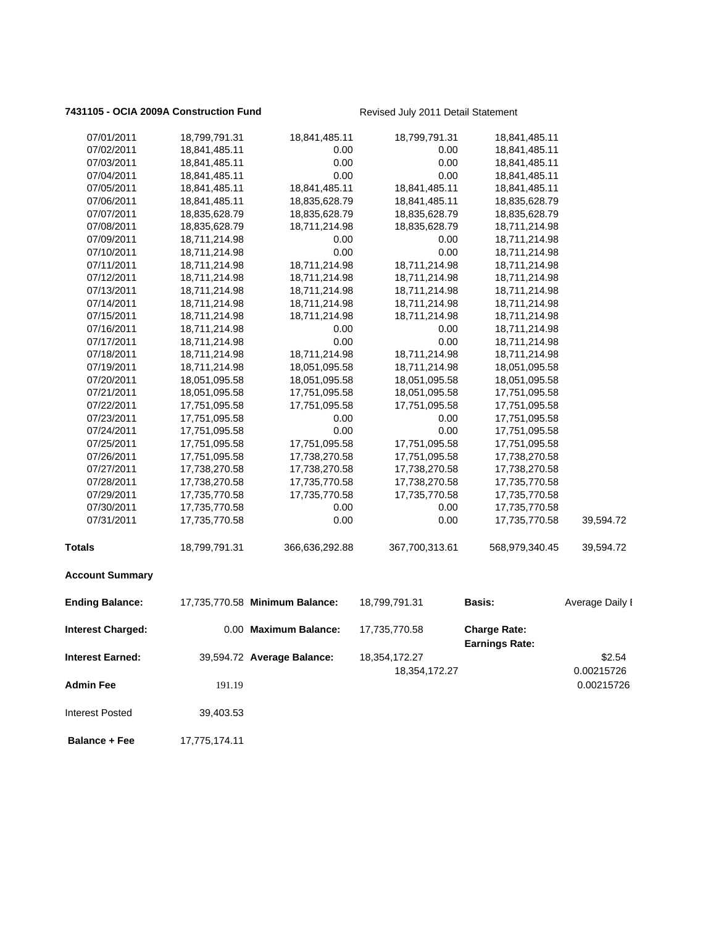### 7431105 - OCIA 2009A Construction Fund<br>
Revised July 2011 Detail Statement

| 07/01/2011               | 18,799,791.31 | 18,841,485.11                  | 18,799,791.31  | 18,841,485.11                                |                 |
|--------------------------|---------------|--------------------------------|----------------|----------------------------------------------|-----------------|
| 07/02/2011               | 18,841,485.11 | 0.00                           | 0.00           | 18,841,485.11                                |                 |
| 07/03/2011               | 18,841,485.11 | 0.00                           | 0.00           | 18,841,485.11                                |                 |
| 07/04/2011               | 18,841,485.11 | 0.00                           | 0.00           | 18,841,485.11                                |                 |
| 07/05/2011               | 18,841,485.11 | 18,841,485.11                  | 18,841,485.11  | 18,841,485.11                                |                 |
| 07/06/2011               | 18,841,485.11 | 18,835,628.79                  | 18,841,485.11  | 18,835,628.79                                |                 |
| 07/07/2011               | 18,835,628.79 | 18,835,628.79                  | 18,835,628.79  | 18,835,628.79                                |                 |
| 07/08/2011               | 18,835,628.79 | 18,711,214.98                  | 18,835,628.79  | 18,711,214.98                                |                 |
| 07/09/2011               | 18,711,214.98 | 0.00                           | 0.00           | 18,711,214.98                                |                 |
| 07/10/2011               | 18,711,214.98 | 0.00                           | 0.00           | 18,711,214.98                                |                 |
| 07/11/2011               | 18,711,214.98 | 18,711,214.98                  | 18,711,214.98  | 18,711,214.98                                |                 |
| 07/12/2011               | 18,711,214.98 | 18,711,214.98                  | 18,711,214.98  | 18,711,214.98                                |                 |
| 07/13/2011               | 18,711,214.98 | 18,711,214.98                  | 18,711,214.98  | 18,711,214.98                                |                 |
| 07/14/2011               | 18,711,214.98 | 18,711,214.98                  | 18,711,214.98  | 18,711,214.98                                |                 |
| 07/15/2011               | 18,711,214.98 | 18,711,214.98                  | 18,711,214.98  | 18,711,214.98                                |                 |
| 07/16/2011               | 18,711,214.98 | 0.00                           | 0.00           | 18,711,214.98                                |                 |
| 07/17/2011               | 18,711,214.98 | 0.00                           | 0.00           | 18,711,214.98                                |                 |
| 07/18/2011               | 18,711,214.98 | 18,711,214.98                  | 18,711,214.98  | 18,711,214.98                                |                 |
| 07/19/2011               | 18,711,214.98 | 18,051,095.58                  | 18,711,214.98  | 18,051,095.58                                |                 |
| 07/20/2011               | 18,051,095.58 | 18,051,095.58                  | 18,051,095.58  | 18,051,095.58                                |                 |
| 07/21/2011               | 18,051,095.58 | 17,751,095.58                  | 18,051,095.58  | 17,751,095.58                                |                 |
| 07/22/2011               | 17,751,095.58 | 17,751,095.58                  | 17,751,095.58  | 17,751,095.58                                |                 |
| 07/23/2011               | 17,751,095.58 | 0.00                           | 0.00           | 17,751,095.58                                |                 |
| 07/24/2011               | 17,751,095.58 | 0.00                           | 0.00           | 17,751,095.58                                |                 |
| 07/25/2011               | 17,751,095.58 | 17,751,095.58                  | 17,751,095.58  | 17,751,095.58                                |                 |
| 07/26/2011               | 17,751,095.58 | 17,738,270.58                  | 17,751,095.58  | 17,738,270.58                                |                 |
| 07/27/2011               | 17,738,270.58 | 17,738,270.58                  | 17,738,270.58  | 17,738,270.58                                |                 |
| 07/28/2011               | 17,738,270.58 | 17,735,770.58                  | 17,738,270.58  | 17,735,770.58                                |                 |
| 07/29/2011               | 17,735,770.58 | 17,735,770.58                  | 17,735,770.58  | 17,735,770.58                                |                 |
| 07/30/2011               | 17,735,770.58 | 0.00                           | 0.00           | 17,735,770.58                                |                 |
| 07/31/2011               | 17,735,770.58 | 0.00                           | 0.00           | 17,735,770.58                                | 39,594.72       |
| Totals                   | 18,799,791.31 | 366,636,292.88                 | 367,700,313.61 | 568,979,340.45                               | 39,594.72       |
| <b>Account Summary</b>   |               |                                |                |                                              |                 |
| <b>Ending Balance:</b>   |               | 17,735,770.58 Minimum Balance: | 18,799,791.31  | <b>Basis:</b>                                | Average Daily I |
| <b>Interest Charged:</b> |               | 0.00 Maximum Balance:          | 17,735,770.58  | <b>Charge Rate:</b><br><b>Earnings Rate:</b> |                 |
| Interest Earned:         |               | 39,594.72 Average Balance:     | 18,354,172.27  |                                              | \$2.54          |
|                          |               |                                | 18,354,172.27  |                                              | 0.00215726      |
| <b>Admin Fee</b>         | 191.19        |                                |                |                                              | 0.00215726      |
|                          |               |                                |                |                                              |                 |
| <b>Interest Posted</b>   | 39,403.53     |                                |                |                                              |                 |
| <b>Balance + Fee</b>     | 17,775,174.11 |                                |                |                                              |                 |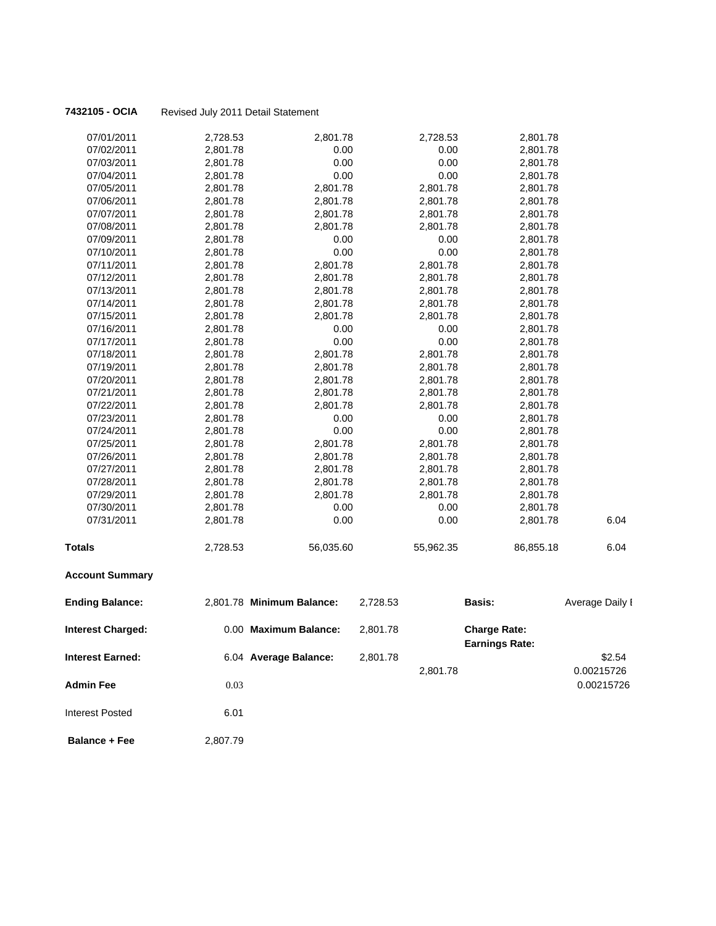| 07/01/2011               | 2,728.53 | 2,801.78                  |          | 2,728.53  | 2,801.78                                     |                 |
|--------------------------|----------|---------------------------|----------|-----------|----------------------------------------------|-----------------|
| 07/02/2011               | 2,801.78 | 0.00                      |          | 0.00      | 2,801.78                                     |                 |
| 07/03/2011               | 2,801.78 | 0.00                      |          | 0.00      | 2,801.78                                     |                 |
| 07/04/2011               | 2,801.78 | 0.00                      |          | 0.00      | 2,801.78                                     |                 |
| 07/05/2011               | 2,801.78 | 2,801.78                  |          | 2,801.78  | 2,801.78                                     |                 |
| 07/06/2011               | 2,801.78 | 2,801.78                  |          | 2,801.78  | 2,801.78                                     |                 |
| 07/07/2011               | 2,801.78 | 2,801.78                  |          | 2,801.78  | 2,801.78                                     |                 |
| 07/08/2011               | 2,801.78 | 2,801.78                  |          | 2,801.78  | 2,801.78                                     |                 |
| 07/09/2011               | 2,801.78 | 0.00                      |          | 0.00      | 2,801.78                                     |                 |
| 07/10/2011               | 2,801.78 | 0.00                      |          | 0.00      | 2,801.78                                     |                 |
| 07/11/2011               | 2,801.78 | 2,801.78                  |          | 2,801.78  | 2,801.78                                     |                 |
| 07/12/2011               | 2,801.78 | 2,801.78                  |          | 2,801.78  | 2,801.78                                     |                 |
| 07/13/2011               | 2,801.78 | 2,801.78                  |          | 2,801.78  | 2,801.78                                     |                 |
| 07/14/2011               | 2,801.78 | 2,801.78                  |          | 2,801.78  | 2,801.78                                     |                 |
| 07/15/2011               | 2,801.78 | 2,801.78                  |          | 2,801.78  | 2,801.78                                     |                 |
| 07/16/2011               | 2,801.78 | 0.00                      |          | 0.00      | 2,801.78                                     |                 |
| 07/17/2011               | 2,801.78 | 0.00                      |          | 0.00      | 2,801.78                                     |                 |
| 07/18/2011               | 2,801.78 | 2,801.78                  |          | 2,801.78  | 2,801.78                                     |                 |
| 07/19/2011               | 2,801.78 | 2,801.78                  |          | 2,801.78  | 2,801.78                                     |                 |
| 07/20/2011               | 2,801.78 | 2,801.78                  |          | 2,801.78  | 2,801.78                                     |                 |
| 07/21/2011               | 2,801.78 | 2,801.78                  |          | 2,801.78  | 2,801.78                                     |                 |
| 07/22/2011               | 2,801.78 | 2,801.78                  |          | 2,801.78  | 2,801.78                                     |                 |
| 07/23/2011               | 2,801.78 | 0.00                      |          | 0.00      | 2,801.78                                     |                 |
| 07/24/2011               | 2,801.78 | 0.00                      |          | 0.00      | 2,801.78                                     |                 |
| 07/25/2011               | 2,801.78 | 2,801.78                  |          | 2,801.78  | 2,801.78                                     |                 |
| 07/26/2011               | 2,801.78 | 2,801.78                  |          | 2,801.78  | 2,801.78                                     |                 |
| 07/27/2011               | 2,801.78 | 2,801.78                  |          | 2,801.78  | 2,801.78                                     |                 |
| 07/28/2011               | 2,801.78 | 2,801.78                  |          | 2,801.78  | 2,801.78                                     |                 |
| 07/29/2011               | 2,801.78 | 2,801.78                  |          | 2,801.78  | 2,801.78                                     |                 |
| 07/30/2011               | 2,801.78 | 0.00                      |          | 0.00      | 2,801.78                                     |                 |
| 07/31/2011               | 2,801.78 | 0.00                      |          | 0.00      | 2,801.78                                     | 6.04            |
| Totals                   | 2,728.53 | 56,035.60                 |          | 55,962.35 | 86,855.18                                    | 6.04            |
| <b>Account Summary</b>   |          |                           |          |           |                                              |                 |
| <b>Ending Balance:</b>   |          | 2,801.78 Minimum Balance: | 2,728.53 |           | <b>Basis:</b>                                | Average Daily I |
| <b>Interest Charged:</b> |          | 0.00 Maximum Balance:     | 2,801.78 |           | <b>Charge Rate:</b><br><b>Earnings Rate:</b> |                 |
| <b>Interest Earned:</b>  |          | 6.04 Average Balance:     | 2,801.78 |           |                                              | \$2.54          |
|                          |          |                           |          | 2,801.78  |                                              | 0.00215726      |
| <b>Admin Fee</b>         | 0.03     |                           |          |           |                                              | 0.00215726      |
| Interest Posted          | 6.01     |                           |          |           |                                              |                 |
|                          |          |                           |          |           |                                              |                 |
| <b>Balance + Fee</b>     | 2,807.79 |                           |          |           |                                              |                 |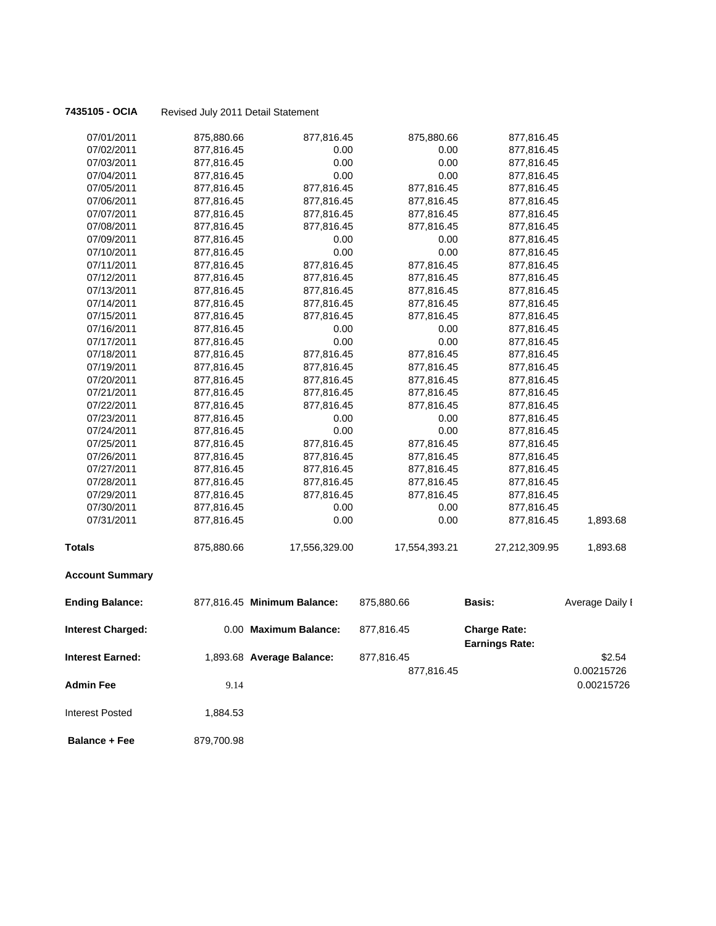| 07/01/2011               | 875,880.66 | 877,816.45                  | 875,880.66    | 877,816.45                                   |                 |
|--------------------------|------------|-----------------------------|---------------|----------------------------------------------|-----------------|
| 07/02/2011               | 877,816.45 | 0.00                        | 0.00          | 877,816.45                                   |                 |
| 07/03/2011               | 877,816.45 | 0.00                        | 0.00          | 877,816.45                                   |                 |
| 07/04/2011               | 877,816.45 | 0.00                        | 0.00          | 877,816.45                                   |                 |
| 07/05/2011               | 877,816.45 | 877,816.45                  | 877,816.45    | 877,816.45                                   |                 |
| 07/06/2011               | 877,816.45 | 877,816.45                  | 877,816.45    | 877,816.45                                   |                 |
| 07/07/2011               | 877,816.45 | 877,816.45                  | 877,816.45    | 877,816.45                                   |                 |
| 07/08/2011               | 877,816.45 | 877,816.45                  | 877,816.45    | 877,816.45                                   |                 |
| 07/09/2011               | 877,816.45 | 0.00                        | 0.00          | 877,816.45                                   |                 |
| 07/10/2011               | 877,816.45 | 0.00                        | 0.00          | 877,816.45                                   |                 |
| 07/11/2011               | 877,816.45 | 877,816.45                  | 877,816.45    | 877,816.45                                   |                 |
| 07/12/2011               | 877,816.45 | 877,816.45                  | 877,816.45    | 877,816.45                                   |                 |
| 07/13/2011               | 877,816.45 | 877,816.45                  | 877,816.45    | 877,816.45                                   |                 |
| 07/14/2011               | 877,816.45 | 877,816.45                  | 877,816.45    | 877,816.45                                   |                 |
| 07/15/2011               | 877,816.45 | 877,816.45                  | 877,816.45    | 877,816.45                                   |                 |
| 07/16/2011               | 877,816.45 | 0.00                        | 0.00          | 877,816.45                                   |                 |
| 07/17/2011               | 877,816.45 | 0.00                        | 0.00          | 877,816.45                                   |                 |
| 07/18/2011               | 877,816.45 | 877,816.45                  | 877,816.45    | 877,816.45                                   |                 |
| 07/19/2011               | 877,816.45 | 877,816.45                  | 877,816.45    | 877,816.45                                   |                 |
| 07/20/2011               | 877,816.45 | 877,816.45                  | 877,816.45    | 877,816.45                                   |                 |
| 07/21/2011               | 877,816.45 | 877,816.45                  | 877,816.45    | 877,816.45                                   |                 |
| 07/22/2011               | 877,816.45 | 877,816.45                  | 877,816.45    | 877,816.45                                   |                 |
| 07/23/2011               | 877,816.45 | 0.00                        | 0.00          | 877,816.45                                   |                 |
| 07/24/2011               | 877,816.45 | 0.00                        | 0.00          | 877,816.45                                   |                 |
| 07/25/2011               | 877,816.45 | 877,816.45                  | 877,816.45    | 877,816.45                                   |                 |
| 07/26/2011               | 877,816.45 | 877,816.45                  | 877,816.45    | 877,816.45                                   |                 |
| 07/27/2011               | 877,816.45 | 877,816.45                  | 877,816.45    | 877,816.45                                   |                 |
| 07/28/2011               | 877,816.45 | 877,816.45                  | 877,816.45    | 877,816.45                                   |                 |
| 07/29/2011               | 877,816.45 | 877,816.45                  | 877,816.45    | 877,816.45                                   |                 |
| 07/30/2011               | 877,816.45 | 0.00                        | 0.00          | 877,816.45                                   |                 |
| 07/31/2011               | 877,816.45 | 0.00                        | 0.00          | 877,816.45                                   | 1,893.68        |
| <b>Totals</b>            | 875,880.66 | 17,556,329.00               | 17,554,393.21 | 27,212,309.95                                | 1,893.68        |
| <b>Account Summary</b>   |            |                             |               |                                              |                 |
| <b>Ending Balance:</b>   |            | 877,816.45 Minimum Balance: | 875,880.66    | Basis:                                       | Average Daily I |
| <b>Interest Charged:</b> |            | 0.00 Maximum Balance:       | 877,816.45    | <b>Charge Rate:</b><br><b>Earnings Rate:</b> |                 |
| <b>Interest Earned:</b>  |            | 1,893.68 Average Balance:   | 877,816.45    |                                              | \$2.54          |
|                          |            |                             | 877,816.45    |                                              | 0.00215726      |
| <b>Admin Fee</b>         | 9.14       |                             |               |                                              | 0.00215726      |
| <b>Interest Posted</b>   | 1,884.53   |                             |               |                                              |                 |
|                          |            |                             |               |                                              |                 |
| <b>Balance + Fee</b>     | 879,700.98 |                             |               |                                              |                 |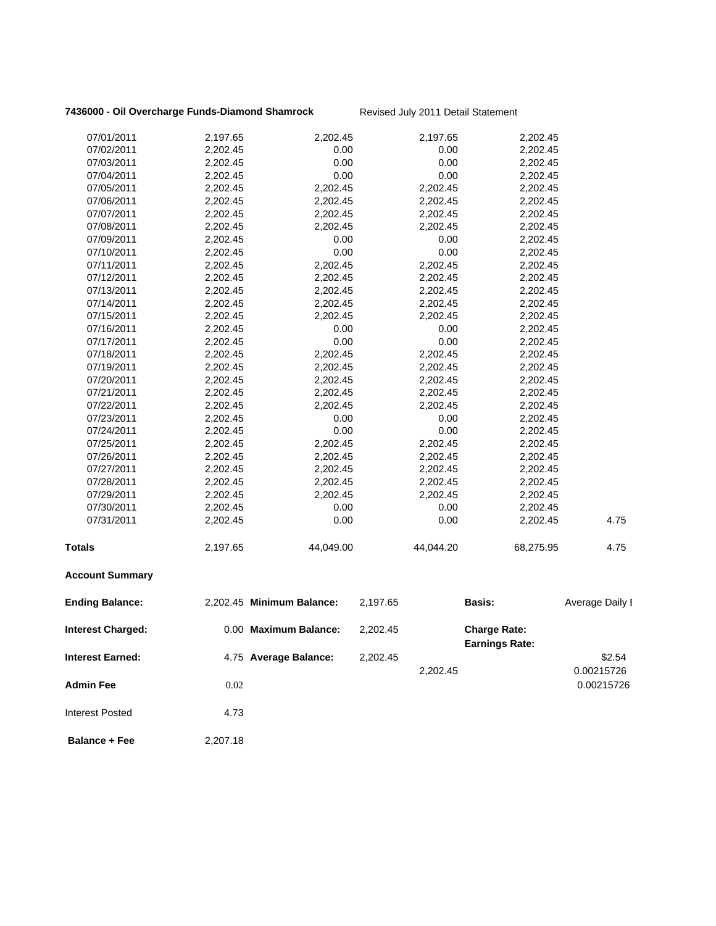### **7436000 - Oil Overcharge Funds-Diamond Shamrock** Revised July 2011 Detail Statement

| 07/01/2011               | 2,197.65 | 2,202.45                  |          | 2,197.65  | 2,202.45                                     |                 |
|--------------------------|----------|---------------------------|----------|-----------|----------------------------------------------|-----------------|
| 07/02/2011               | 2,202.45 | 0.00                      |          | 0.00      | 2,202.45                                     |                 |
| 07/03/2011               | 2,202.45 | 0.00                      |          | 0.00      | 2,202.45                                     |                 |
| 07/04/2011               | 2,202.45 | 0.00                      |          | 0.00      | 2,202.45                                     |                 |
| 07/05/2011               | 2,202.45 | 2,202.45                  |          | 2,202.45  | 2,202.45                                     |                 |
| 07/06/2011               | 2,202.45 | 2,202.45                  |          | 2,202.45  | 2,202.45                                     |                 |
| 07/07/2011               | 2,202.45 | 2,202.45                  |          | 2,202.45  | 2,202.45                                     |                 |
| 07/08/2011               | 2,202.45 | 2,202.45                  |          | 2,202.45  | 2,202.45                                     |                 |
| 07/09/2011               | 2,202.45 | 0.00                      |          | 0.00      | 2,202.45                                     |                 |
| 07/10/2011               | 2,202.45 | 0.00                      |          | 0.00      | 2,202.45                                     |                 |
| 07/11/2011               | 2,202.45 | 2,202.45                  |          | 2,202.45  | 2,202.45                                     |                 |
| 07/12/2011               | 2,202.45 | 2,202.45                  |          | 2,202.45  | 2,202.45                                     |                 |
| 07/13/2011               | 2,202.45 | 2,202.45                  |          | 2,202.45  | 2,202.45                                     |                 |
| 07/14/2011               | 2,202.45 | 2,202.45                  |          | 2,202.45  | 2,202.45                                     |                 |
| 07/15/2011               | 2,202.45 | 2,202.45                  |          | 2,202.45  | 2,202.45                                     |                 |
| 07/16/2011               | 2,202.45 | 0.00                      |          | 0.00      | 2,202.45                                     |                 |
| 07/17/2011               | 2,202.45 | 0.00                      |          | 0.00      | 2,202.45                                     |                 |
| 07/18/2011               | 2,202.45 | 2,202.45                  |          | 2,202.45  | 2,202.45                                     |                 |
| 07/19/2011               | 2,202.45 | 2,202.45                  |          | 2,202.45  | 2,202.45                                     |                 |
| 07/20/2011               | 2,202.45 | 2,202.45                  |          | 2,202.45  | 2,202.45                                     |                 |
| 07/21/2011               | 2,202.45 | 2,202.45                  |          | 2,202.45  | 2,202.45                                     |                 |
| 07/22/2011               | 2,202.45 | 2,202.45                  |          | 2,202.45  | 2,202.45                                     |                 |
| 07/23/2011               | 2,202.45 | 0.00                      |          | 0.00      | 2,202.45                                     |                 |
| 07/24/2011               | 2,202.45 | 0.00                      |          | 0.00      | 2,202.45                                     |                 |
| 07/25/2011               | 2,202.45 | 2,202.45                  |          | 2,202.45  | 2,202.45                                     |                 |
| 07/26/2011               | 2,202.45 | 2,202.45                  |          | 2,202.45  | 2,202.45                                     |                 |
| 07/27/2011               | 2,202.45 | 2,202.45                  |          | 2,202.45  | 2,202.45                                     |                 |
| 07/28/2011               | 2,202.45 | 2,202.45                  |          | 2,202.45  | 2,202.45                                     |                 |
| 07/29/2011               | 2,202.45 | 2,202.45                  |          | 2,202.45  | 2,202.45                                     |                 |
| 07/30/2011               | 2,202.45 | 0.00                      |          | 0.00      | 2,202.45                                     |                 |
| 07/31/2011               | 2,202.45 | 0.00                      |          | 0.00      | 2,202.45                                     | 4.75            |
| <b>Totals</b>            | 2,197.65 | 44,049.00                 |          | 44,044.20 | 68,275.95                                    | 4.75            |
| <b>Account Summary</b>   |          |                           |          |           |                                              |                 |
| <b>Ending Balance:</b>   |          | 2,202.45 Minimum Balance: | 2,197.65 |           | <b>Basis:</b>                                | Average Daily I |
| <b>Interest Charged:</b> |          | 0.00 Maximum Balance:     | 2,202.45 |           | <b>Charge Rate:</b><br><b>Earnings Rate:</b> |                 |
| <b>Interest Earned:</b>  |          | 4.75 Average Balance:     | 2,202.45 |           |                                              | \$2.54          |
|                          |          |                           |          | 2,202.45  |                                              |                 |
|                          |          |                           |          |           |                                              | 0.00215726      |
| <b>Admin Fee</b>         | 0.02     |                           |          |           |                                              | 0.00215726      |
| <b>Interest Posted</b>   | 4.73     |                           |          |           |                                              |                 |
| <b>Balance + Fee</b>     | 2,207.18 |                           |          |           |                                              |                 |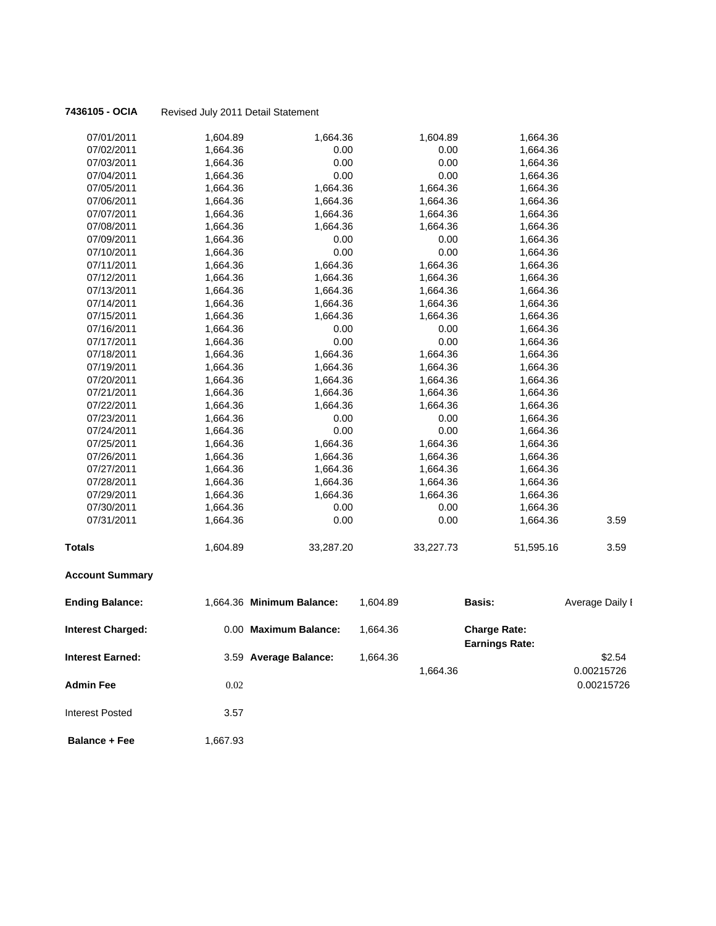| 07/01/2011               | 1,604.89 | 1,664.36                  |          | 1,604.89  | 1,664.36                                     |                 |
|--------------------------|----------|---------------------------|----------|-----------|----------------------------------------------|-----------------|
| 07/02/2011               | 1,664.36 | 0.00                      |          | 0.00      | 1,664.36                                     |                 |
| 07/03/2011               | 1,664.36 | 0.00                      |          | 0.00      | 1,664.36                                     |                 |
| 07/04/2011               | 1,664.36 | 0.00                      |          | 0.00      | 1,664.36                                     |                 |
| 07/05/2011               | 1,664.36 | 1,664.36                  |          | 1,664.36  | 1,664.36                                     |                 |
| 07/06/2011               | 1,664.36 | 1,664.36                  |          | 1,664.36  | 1,664.36                                     |                 |
| 07/07/2011               | 1,664.36 | 1,664.36                  |          | 1,664.36  | 1,664.36                                     |                 |
| 07/08/2011               | 1,664.36 | 1,664.36                  |          | 1,664.36  | 1,664.36                                     |                 |
| 07/09/2011               | 1,664.36 | 0.00                      |          | 0.00      | 1,664.36                                     |                 |
| 07/10/2011               | 1,664.36 | 0.00                      |          | 0.00      | 1,664.36                                     |                 |
| 07/11/2011               | 1,664.36 | 1,664.36                  |          | 1,664.36  | 1,664.36                                     |                 |
| 07/12/2011               | 1,664.36 | 1,664.36                  |          | 1,664.36  | 1,664.36                                     |                 |
| 07/13/2011               | 1,664.36 | 1,664.36                  |          | 1,664.36  | 1,664.36                                     |                 |
| 07/14/2011               | 1,664.36 | 1,664.36                  |          | 1,664.36  | 1,664.36                                     |                 |
| 07/15/2011               | 1,664.36 | 1,664.36                  |          | 1,664.36  | 1,664.36                                     |                 |
| 07/16/2011               | 1,664.36 | 0.00                      |          | 0.00      | 1,664.36                                     |                 |
| 07/17/2011               | 1,664.36 | 0.00                      |          | 0.00      | 1,664.36                                     |                 |
| 07/18/2011               | 1,664.36 | 1,664.36                  |          | 1,664.36  | 1,664.36                                     |                 |
| 07/19/2011               | 1,664.36 | 1,664.36                  |          | 1,664.36  | 1,664.36                                     |                 |
| 07/20/2011               | 1,664.36 | 1,664.36                  |          | 1,664.36  | 1,664.36                                     |                 |
| 07/21/2011               | 1,664.36 | 1,664.36                  |          | 1,664.36  | 1,664.36                                     |                 |
| 07/22/2011               | 1,664.36 | 1,664.36                  |          | 1,664.36  | 1,664.36                                     |                 |
| 07/23/2011               | 1,664.36 | 0.00                      |          | 0.00      | 1,664.36                                     |                 |
| 07/24/2011               | 1,664.36 | 0.00                      |          | 0.00      | 1,664.36                                     |                 |
| 07/25/2011               | 1,664.36 | 1,664.36                  |          | 1,664.36  | 1,664.36                                     |                 |
| 07/26/2011               | 1,664.36 | 1,664.36                  |          | 1,664.36  | 1,664.36                                     |                 |
| 07/27/2011               | 1,664.36 | 1,664.36                  |          | 1,664.36  | 1,664.36                                     |                 |
| 07/28/2011               | 1,664.36 | 1,664.36                  |          | 1,664.36  | 1,664.36                                     |                 |
| 07/29/2011               | 1,664.36 | 1,664.36                  |          | 1,664.36  | 1,664.36                                     |                 |
| 07/30/2011               | 1,664.36 | 0.00                      |          | 0.00      | 1,664.36                                     |                 |
| 07/31/2011               | 1,664.36 | 0.00                      |          | 0.00      | 1,664.36                                     | 3.59            |
| Totals                   | 1,604.89 | 33,287.20                 |          | 33,227.73 | 51,595.16                                    | 3.59            |
| <b>Account Summary</b>   |          |                           |          |           |                                              |                 |
| <b>Ending Balance:</b>   |          | 1,664.36 Minimum Balance: | 1,604.89 |           | Basis:                                       | Average Daily I |
| <b>Interest Charged:</b> |          | 0.00 Maximum Balance:     | 1,664.36 |           | <b>Charge Rate:</b><br><b>Earnings Rate:</b> |                 |
| <b>Interest Earned:</b>  |          | 3.59 Average Balance:     | 1,664.36 |           |                                              | \$2.54          |
|                          |          |                           |          | 1,664.36  |                                              | 0.00215726      |
| Admin Fee                | 0.02     |                           |          |           |                                              | 0.00215726      |
|                          |          |                           |          |           |                                              |                 |

**Balance + Fee** 1,667.93

Interest Posted 3.57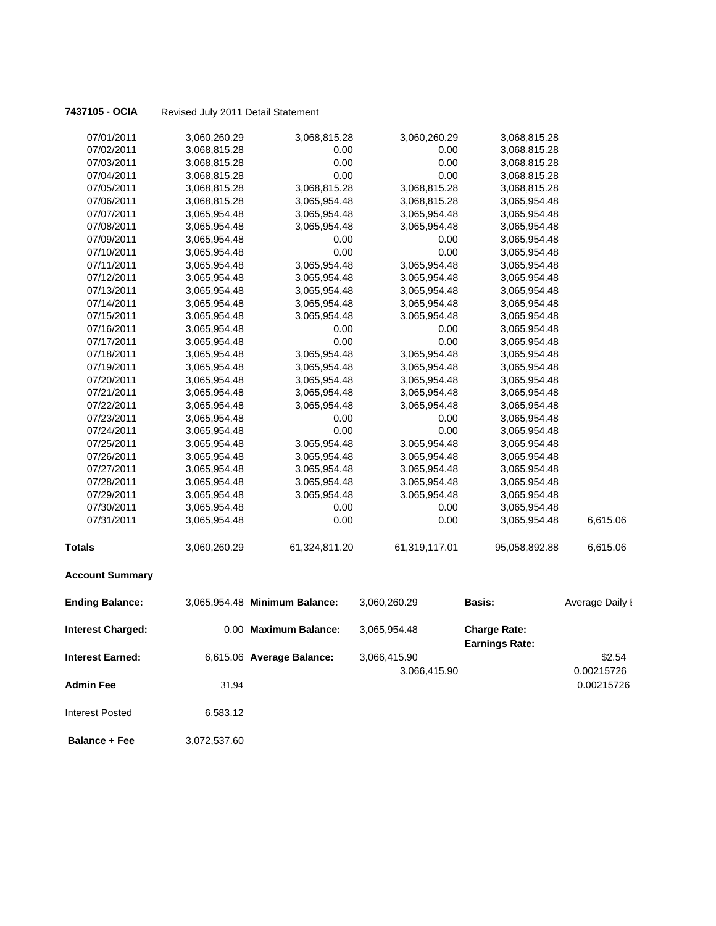| 7437105 - OCIA | Revised July 2011 Detail Statement |
|----------------|------------------------------------|

| 07/01/2011               | 3,060,260.29 | 3,068,815.28                  | 3,060,260.29  | 3,068,815.28                                 |                 |
|--------------------------|--------------|-------------------------------|---------------|----------------------------------------------|-----------------|
| 07/02/2011               | 3,068,815.28 | 0.00                          | 0.00          | 3,068,815.28                                 |                 |
| 07/03/2011               | 3,068,815.28 | 0.00                          | 0.00          | 3,068,815.28                                 |                 |
| 07/04/2011               | 3,068,815.28 | 0.00                          | 0.00          | 3,068,815.28                                 |                 |
| 07/05/2011               | 3,068,815.28 | 3,068,815.28                  | 3,068,815.28  | 3,068,815.28                                 |                 |
| 07/06/2011               | 3,068,815.28 | 3,065,954.48                  | 3,068,815.28  | 3,065,954.48                                 |                 |
| 07/07/2011               | 3,065,954.48 | 3,065,954.48                  | 3,065,954.48  | 3,065,954.48                                 |                 |
| 07/08/2011               | 3,065,954.48 | 3,065,954.48                  | 3,065,954.48  | 3,065,954.48                                 |                 |
| 07/09/2011               | 3,065,954.48 | 0.00                          | 0.00          | 3,065,954.48                                 |                 |
| 07/10/2011               | 3,065,954.48 | 0.00                          | 0.00          | 3,065,954.48                                 |                 |
| 07/11/2011               | 3,065,954.48 | 3,065,954.48                  | 3,065,954.48  | 3,065,954.48                                 |                 |
| 07/12/2011               | 3,065,954.48 | 3,065,954.48                  | 3,065,954.48  | 3,065,954.48                                 |                 |
| 07/13/2011               | 3,065,954.48 | 3,065,954.48                  | 3,065,954.48  | 3,065,954.48                                 |                 |
| 07/14/2011               | 3,065,954.48 | 3,065,954.48                  | 3,065,954.48  | 3,065,954.48                                 |                 |
| 07/15/2011               | 3,065,954.48 | 3,065,954.48                  | 3,065,954.48  | 3,065,954.48                                 |                 |
| 07/16/2011               | 3,065,954.48 | 0.00                          | 0.00          | 3,065,954.48                                 |                 |
| 07/17/2011               | 3,065,954.48 | 0.00                          | 0.00          | 3,065,954.48                                 |                 |
| 07/18/2011               | 3,065,954.48 | 3,065,954.48                  | 3,065,954.48  | 3,065,954.48                                 |                 |
| 07/19/2011               | 3,065,954.48 | 3,065,954.48                  | 3,065,954.48  | 3,065,954.48                                 |                 |
| 07/20/2011               | 3,065,954.48 | 3,065,954.48                  | 3,065,954.48  | 3,065,954.48                                 |                 |
| 07/21/2011               | 3,065,954.48 | 3,065,954.48                  | 3,065,954.48  | 3,065,954.48                                 |                 |
| 07/22/2011               | 3,065,954.48 | 3,065,954.48                  | 3,065,954.48  | 3,065,954.48                                 |                 |
| 07/23/2011               | 3,065,954.48 | 0.00                          | 0.00          | 3,065,954.48                                 |                 |
| 07/24/2011               | 3,065,954.48 | 0.00                          | 0.00          | 3,065,954.48                                 |                 |
| 07/25/2011               | 3,065,954.48 | 3,065,954.48                  | 3,065,954.48  | 3,065,954.48                                 |                 |
| 07/26/2011               | 3,065,954.48 | 3,065,954.48                  | 3,065,954.48  | 3,065,954.48                                 |                 |
| 07/27/2011               | 3,065,954.48 | 3,065,954.48                  | 3,065,954.48  | 3,065,954.48                                 |                 |
| 07/28/2011               | 3,065,954.48 | 3,065,954.48                  | 3,065,954.48  | 3,065,954.48                                 |                 |
| 07/29/2011               | 3,065,954.48 | 3,065,954.48                  | 3,065,954.48  | 3,065,954.48                                 |                 |
| 07/30/2011               | 3,065,954.48 | 0.00                          | 0.00          | 3,065,954.48                                 |                 |
| 07/31/2011               | 3,065,954.48 | 0.00                          | 0.00          | 3,065,954.48                                 | 6,615.06        |
| <b>Totals</b>            | 3,060,260.29 | 61,324,811.20                 | 61,319,117.01 | 95,058,892.88                                | 6,615.06        |
| <b>Account Summary</b>   |              |                               |               |                                              |                 |
| <b>Ending Balance:</b>   |              | 3,065,954.48 Minimum Balance: | 3,060,260.29  | <b>Basis:</b>                                | Average Daily I |
| <b>Interest Charged:</b> |              | 0.00 Maximum Balance:         | 3,065,954.48  | <b>Charge Rate:</b><br><b>Earnings Rate:</b> |                 |
| <b>Interest Earned:</b>  |              | 6,615.06 Average Balance:     | 3,066,415.90  |                                              | \$2.54          |
|                          |              |                               | 3,066,415.90  |                                              | 0.00215726      |
|                          |              |                               |               |                                              |                 |
| <b>Admin Fee</b>         | 31.94        |                               |               |                                              | 0.00215726      |

 **Balance + Fee** 3,072,537.60

Interest Posted 6,583.12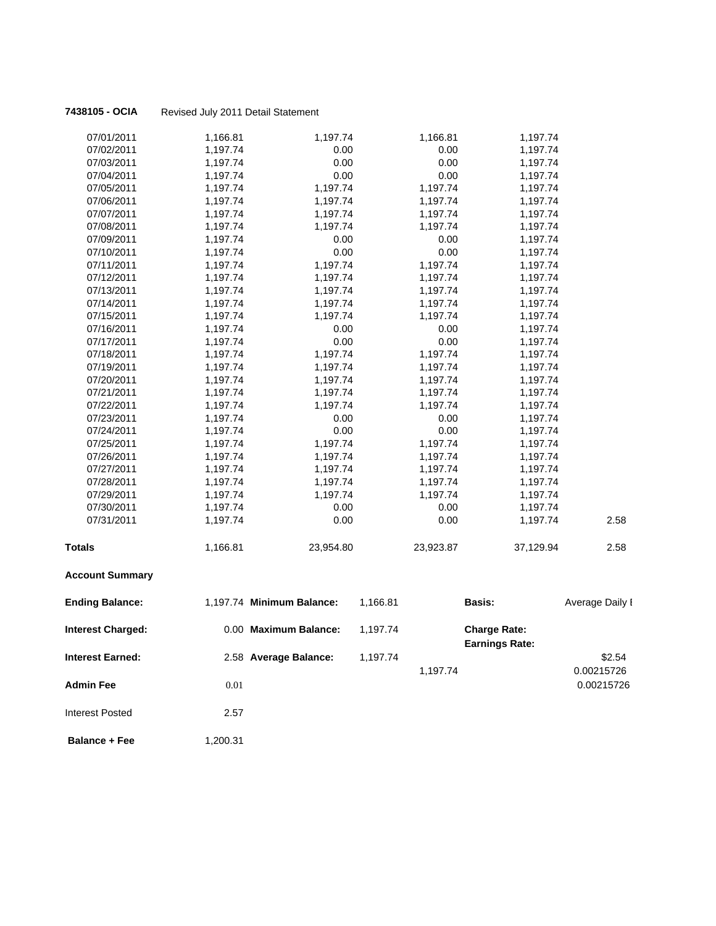| 07/01/2011               | 1,166.81 | 1,197.74                  |          | 1,166.81  | 1,197.74                                     |                 |
|--------------------------|----------|---------------------------|----------|-----------|----------------------------------------------|-----------------|
| 07/02/2011               | 1,197.74 | 0.00                      |          | 0.00      | 1,197.74                                     |                 |
| 07/03/2011               | 1,197.74 | 0.00                      |          | 0.00      | 1,197.74                                     |                 |
| 07/04/2011               | 1,197.74 | 0.00                      |          | 0.00      | 1,197.74                                     |                 |
| 07/05/2011               | 1,197.74 | 1,197.74                  |          | 1,197.74  | 1,197.74                                     |                 |
| 07/06/2011               | 1,197.74 | 1,197.74                  |          | 1,197.74  | 1,197.74                                     |                 |
| 07/07/2011               | 1,197.74 | 1,197.74                  |          | 1,197.74  | 1,197.74                                     |                 |
| 07/08/2011               | 1,197.74 | 1,197.74                  |          | 1,197.74  | 1,197.74                                     |                 |
| 07/09/2011               | 1,197.74 | 0.00                      |          | 0.00      | 1,197.74                                     |                 |
| 07/10/2011               | 1,197.74 | 0.00                      |          | 0.00      | 1,197.74                                     |                 |
| 07/11/2011               | 1,197.74 | 1,197.74                  |          | 1,197.74  | 1,197.74                                     |                 |
| 07/12/2011               | 1,197.74 | 1,197.74                  |          | 1,197.74  | 1,197.74                                     |                 |
| 07/13/2011               | 1,197.74 | 1,197.74                  |          | 1,197.74  | 1,197.74                                     |                 |
| 07/14/2011               | 1,197.74 | 1,197.74                  |          | 1,197.74  | 1,197.74                                     |                 |
| 07/15/2011               | 1,197.74 | 1,197.74                  |          | 1,197.74  | 1,197.74                                     |                 |
| 07/16/2011               | 1,197.74 | 0.00                      |          | 0.00      | 1,197.74                                     |                 |
| 07/17/2011               | 1,197.74 | 0.00                      |          | 0.00      | 1,197.74                                     |                 |
| 07/18/2011               | 1,197.74 | 1,197.74                  |          | 1,197.74  | 1,197.74                                     |                 |
| 07/19/2011               | 1,197.74 | 1,197.74                  |          | 1,197.74  | 1,197.74                                     |                 |
| 07/20/2011               | 1,197.74 | 1,197.74                  |          | 1,197.74  | 1,197.74                                     |                 |
| 07/21/2011               | 1,197.74 | 1,197.74                  |          | 1,197.74  | 1,197.74                                     |                 |
| 07/22/2011               | 1,197.74 | 1,197.74                  |          | 1,197.74  | 1,197.74                                     |                 |
| 07/23/2011               | 1,197.74 | 0.00                      |          | 0.00      | 1,197.74                                     |                 |
| 07/24/2011               | 1,197.74 | 0.00                      |          | 0.00      | 1,197.74                                     |                 |
| 07/25/2011               | 1,197.74 | 1,197.74                  |          | 1,197.74  | 1,197.74                                     |                 |
| 07/26/2011               | 1,197.74 | 1,197.74                  |          | 1,197.74  | 1,197.74                                     |                 |
| 07/27/2011               | 1,197.74 | 1,197.74                  |          | 1,197.74  | 1,197.74                                     |                 |
| 07/28/2011               | 1,197.74 | 1,197.74                  |          | 1,197.74  | 1,197.74                                     |                 |
| 07/29/2011               | 1,197.74 | 1,197.74                  |          | 1,197.74  | 1,197.74                                     |                 |
| 07/30/2011               | 1,197.74 | 0.00                      |          | 0.00      | 1,197.74                                     |                 |
| 07/31/2011               | 1,197.74 | 0.00                      |          | 0.00      | 1,197.74                                     | 2.58            |
| Totals                   | 1,166.81 | 23,954.80                 |          | 23,923.87 | 37,129.94                                    | 2.58            |
| <b>Account Summary</b>   |          |                           |          |           |                                              |                 |
| <b>Ending Balance:</b>   |          | 1,197.74 Minimum Balance: | 1,166.81 |           | <b>Basis:</b>                                | Average Daily I |
| <b>Interest Charged:</b> |          | 0.00 Maximum Balance:     | 1,197.74 |           | <b>Charge Rate:</b><br><b>Earnings Rate:</b> |                 |
| <b>Interest Earned:</b>  |          | 2.58 Average Balance:     | 1,197.74 |           |                                              | \$2.54          |
|                          |          |                           |          | 1,197.74  |                                              |                 |
|                          |          |                           |          |           |                                              | 0.00215726      |
| <b>Admin Fee</b>         | 0.01     |                           |          |           |                                              | 0.00215726      |
| <b>Interest Posted</b>   | 2.57     |                           |          |           |                                              |                 |
| <b>Balance + Fee</b>     | 1,200.31 |                           |          |           |                                              |                 |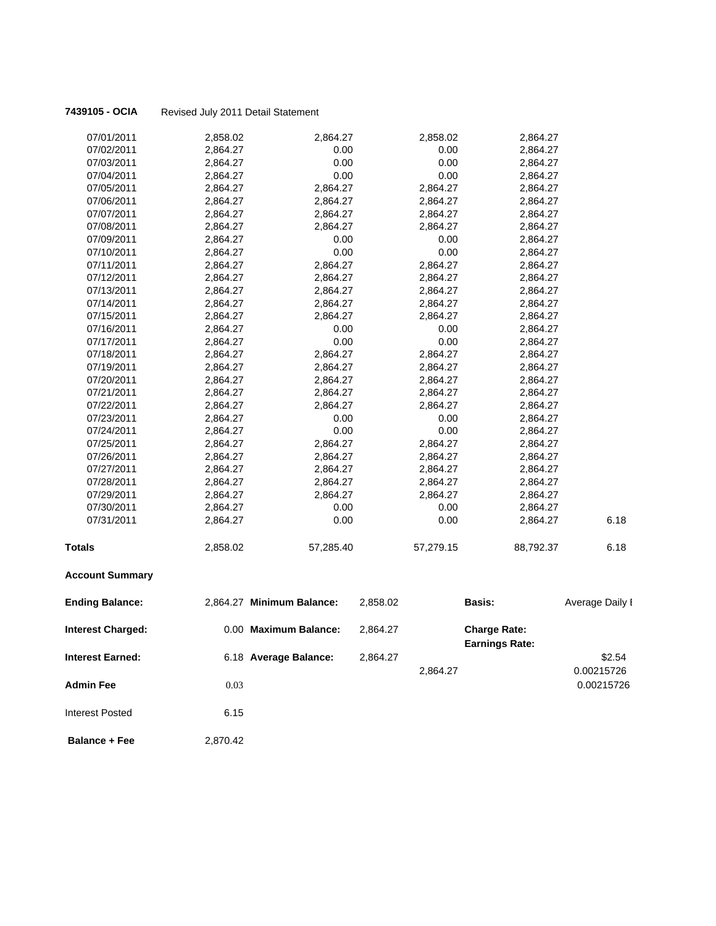| 07/01/2011               | 2,858.02 | 2,864.27                  |          | 2,858.02  | 2,864.27                                     |                 |
|--------------------------|----------|---------------------------|----------|-----------|----------------------------------------------|-----------------|
| 07/02/2011               | 2,864.27 | 0.00                      |          | 0.00      | 2,864.27                                     |                 |
| 07/03/2011               | 2,864.27 | 0.00                      |          | 0.00      | 2,864.27                                     |                 |
| 07/04/2011               | 2,864.27 | 0.00                      |          | 0.00      | 2,864.27                                     |                 |
| 07/05/2011               | 2,864.27 | 2,864.27                  |          | 2,864.27  | 2,864.27                                     |                 |
| 07/06/2011               | 2,864.27 | 2,864.27                  |          | 2,864.27  | 2,864.27                                     |                 |
| 07/07/2011               | 2,864.27 | 2,864.27                  |          | 2,864.27  | 2,864.27                                     |                 |
| 07/08/2011               | 2,864.27 | 2,864.27                  |          | 2,864.27  | 2,864.27                                     |                 |
| 07/09/2011               | 2,864.27 | 0.00                      |          | 0.00      | 2,864.27                                     |                 |
| 07/10/2011               | 2,864.27 | 0.00                      |          | 0.00      | 2,864.27                                     |                 |
| 07/11/2011               | 2,864.27 | 2,864.27                  |          | 2,864.27  | 2,864.27                                     |                 |
| 07/12/2011               | 2,864.27 | 2,864.27                  |          | 2,864.27  | 2,864.27                                     |                 |
| 07/13/2011               | 2,864.27 | 2,864.27                  |          | 2,864.27  | 2,864.27                                     |                 |
| 07/14/2011               | 2,864.27 | 2,864.27                  |          | 2,864.27  | 2,864.27                                     |                 |
| 07/15/2011               | 2,864.27 | 2,864.27                  |          | 2,864.27  | 2,864.27                                     |                 |
| 07/16/2011               | 2,864.27 | 0.00                      |          | 0.00      | 2,864.27                                     |                 |
| 07/17/2011               | 2,864.27 | 0.00                      |          | 0.00      | 2,864.27                                     |                 |
| 07/18/2011               | 2,864.27 | 2,864.27                  |          | 2,864.27  | 2,864.27                                     |                 |
| 07/19/2011               | 2,864.27 | 2,864.27                  |          | 2,864.27  | 2,864.27                                     |                 |
| 07/20/2011               | 2,864.27 | 2,864.27                  |          | 2,864.27  | 2,864.27                                     |                 |
| 07/21/2011               | 2,864.27 | 2,864.27                  |          | 2,864.27  | 2,864.27                                     |                 |
| 07/22/2011               | 2,864.27 | 2,864.27                  |          | 2,864.27  | 2,864.27                                     |                 |
| 07/23/2011               | 2,864.27 | 0.00                      |          | 0.00      | 2,864.27                                     |                 |
| 07/24/2011               | 2,864.27 | 0.00                      |          | 0.00      | 2,864.27                                     |                 |
| 07/25/2011               | 2,864.27 | 2,864.27                  |          | 2,864.27  | 2,864.27                                     |                 |
| 07/26/2011               | 2,864.27 | 2,864.27                  |          | 2,864.27  | 2,864.27                                     |                 |
| 07/27/2011               | 2,864.27 | 2,864.27                  |          | 2,864.27  | 2,864.27                                     |                 |
| 07/28/2011               | 2,864.27 | 2,864.27                  |          | 2,864.27  | 2,864.27                                     |                 |
| 07/29/2011               | 2,864.27 | 2,864.27                  |          | 2,864.27  | 2,864.27                                     |                 |
| 07/30/2011               | 2,864.27 | 0.00                      |          | 0.00      | 2,864.27                                     |                 |
| 07/31/2011               | 2,864.27 | 0.00                      |          | 0.00      | 2,864.27                                     | 6.18            |
| <b>Totals</b>            | 2,858.02 | 57,285.40                 |          | 57,279.15 | 88,792.37                                    | 6.18            |
| <b>Account Summary</b>   |          |                           |          |           |                                              |                 |
| <b>Ending Balance:</b>   |          | 2,864.27 Minimum Balance: | 2,858.02 |           | Basis:                                       | Average Daily I |
| <b>Interest Charged:</b> |          | 0.00 Maximum Balance:     | 2,864.27 |           | <b>Charge Rate:</b><br><b>Earnings Rate:</b> |                 |
| <b>Interest Earned:</b>  |          | 6.18 Average Balance:     | 2,864.27 |           |                                              | \$2.54          |
|                          |          |                           |          | 2,864.27  |                                              | 0.00215726      |
| <b>Admin Fee</b>         | 0.03     |                           |          |           |                                              | 0.00215726      |
| <b>Interest Posted</b>   | 6.15     |                           |          |           |                                              |                 |

 **Balance + Fee** 2,870.42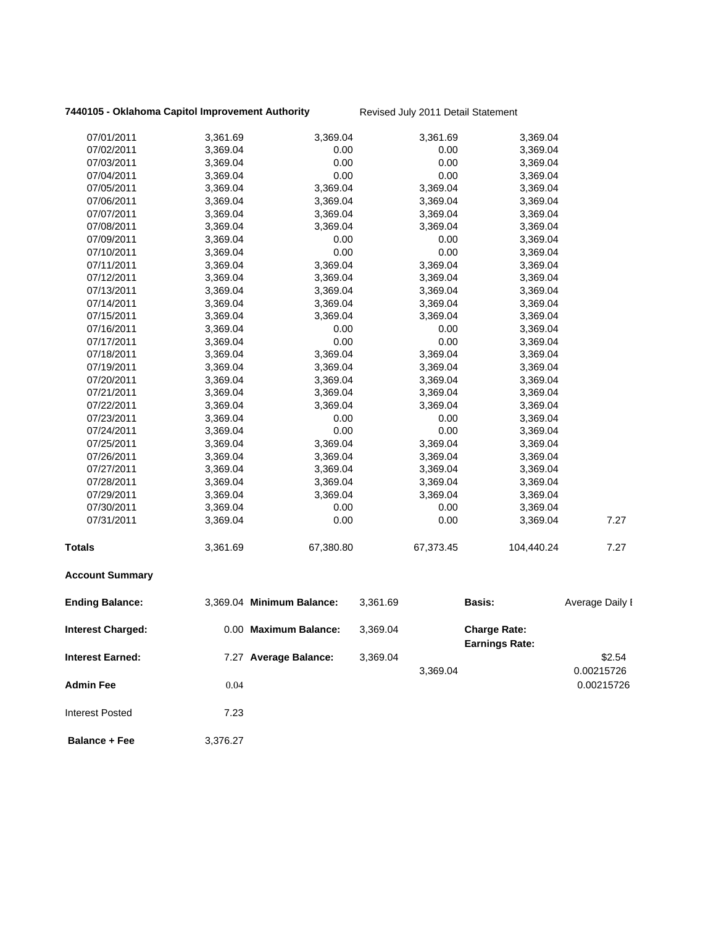### **7440105 - Oklahoma Capitol Improvement Authority** Revised July 2011 Detail Statement

| 07/01/2011              | 3,361.69 | 3,369.04                  |          | 3,361.69  | 3,369.04                                     |                 |
|-------------------------|----------|---------------------------|----------|-----------|----------------------------------------------|-----------------|
| 07/02/2011              | 3,369.04 | 0.00                      |          | 0.00      | 3,369.04                                     |                 |
| 07/03/2011              | 3,369.04 | 0.00                      |          | 0.00      | 3,369.04                                     |                 |
| 07/04/2011              | 3,369.04 | 0.00                      |          | 0.00      | 3,369.04                                     |                 |
| 07/05/2011              | 3,369.04 | 3,369.04                  |          | 3,369.04  | 3,369.04                                     |                 |
| 07/06/2011              | 3,369.04 | 3,369.04                  |          | 3,369.04  | 3,369.04                                     |                 |
| 07/07/2011              | 3,369.04 | 3,369.04                  |          | 3,369.04  | 3,369.04                                     |                 |
| 07/08/2011              | 3,369.04 | 3,369.04                  |          | 3,369.04  | 3,369.04                                     |                 |
| 07/09/2011              | 3,369.04 | 0.00                      |          | 0.00      | 3,369.04                                     |                 |
| 07/10/2011              | 3,369.04 | 0.00                      |          | 0.00      | 3,369.04                                     |                 |
| 07/11/2011              | 3,369.04 | 3,369.04                  |          | 3,369.04  | 3,369.04                                     |                 |
| 07/12/2011              | 3,369.04 | 3,369.04                  |          | 3,369.04  | 3,369.04                                     |                 |
| 07/13/2011              | 3,369.04 | 3,369.04                  |          | 3,369.04  | 3,369.04                                     |                 |
| 07/14/2011              | 3,369.04 | 3,369.04                  |          | 3,369.04  | 3,369.04                                     |                 |
| 07/15/2011              | 3,369.04 | 3,369.04                  |          | 3,369.04  | 3,369.04                                     |                 |
| 07/16/2011              | 3,369.04 | 0.00                      |          | 0.00      | 3,369.04                                     |                 |
| 07/17/2011              | 3,369.04 | 0.00                      |          | 0.00      | 3,369.04                                     |                 |
| 07/18/2011              | 3,369.04 | 3,369.04                  |          | 3,369.04  | 3,369.04                                     |                 |
| 07/19/2011              | 3,369.04 | 3,369.04                  |          | 3,369.04  | 3,369.04                                     |                 |
| 07/20/2011              | 3,369.04 | 3,369.04                  |          | 3,369.04  | 3,369.04                                     |                 |
| 07/21/2011              | 3,369.04 | 3,369.04                  |          | 3,369.04  | 3,369.04                                     |                 |
| 07/22/2011              | 3,369.04 | 3,369.04                  |          | 3,369.04  | 3,369.04                                     |                 |
| 07/23/2011              | 3,369.04 | 0.00                      |          | 0.00      | 3,369.04                                     |                 |
| 07/24/2011              | 3,369.04 | 0.00                      |          | 0.00      | 3,369.04                                     |                 |
| 07/25/2011              | 3,369.04 | 3,369.04                  |          | 3,369.04  | 3,369.04                                     |                 |
| 07/26/2011              | 3,369.04 | 3,369.04                  |          | 3,369.04  | 3,369.04                                     |                 |
| 07/27/2011              | 3,369.04 | 3,369.04                  |          | 3,369.04  | 3,369.04                                     |                 |
| 07/28/2011              | 3,369.04 | 3,369.04                  |          | 3,369.04  | 3,369.04                                     |                 |
| 07/29/2011              | 3,369.04 | 3,369.04                  |          | 3,369.04  | 3,369.04                                     |                 |
| 07/30/2011              | 3,369.04 | 0.00                      |          | 0.00      | 3,369.04                                     |                 |
| 07/31/2011              | 3,369.04 | 0.00                      |          | 0.00      | 3,369.04                                     | 7.27            |
| <b>Totals</b>           | 3,361.69 | 67,380.80                 |          | 67,373.45 | 104,440.24                                   | 7.27            |
| <b>Account Summary</b>  |          |                           |          |           |                                              |                 |
| <b>Ending Balance:</b>  |          | 3,369.04 Minimum Balance: | 3,361.69 |           | <b>Basis:</b>                                | Average Daily I |
| Interest Charged:       |          | 0.00 Maximum Balance:     | 3,369.04 |           | <b>Charge Rate:</b><br><b>Earnings Rate:</b> |                 |
| <b>Interest Earned:</b> |          | 7.27 Average Balance:     | 3,369.04 |           |                                              | \$2.54          |
|                         |          |                           |          | 3,369.04  |                                              | 0.00215726      |
| <b>Admin Fee</b>        | 0.04     |                           |          |           |                                              | 0.00215726      |
| <b>Interest Posted</b>  | 7.23     |                           |          |           |                                              |                 |
| <b>Balance + Fee</b>    | 3,376.27 |                           |          |           |                                              |                 |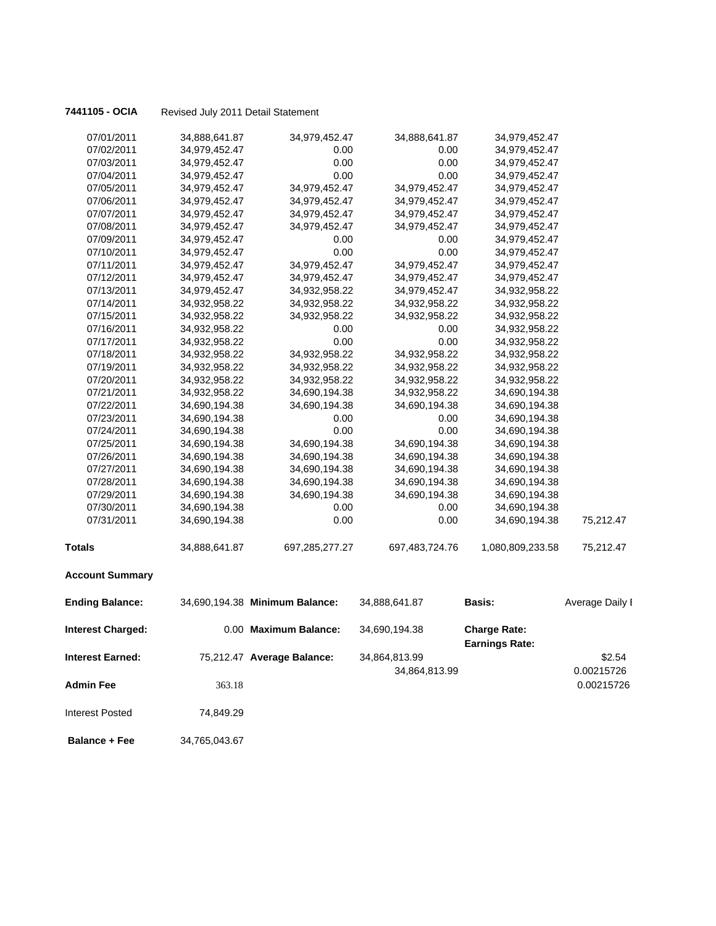|  |  | 7441105 - OCIA |  |
|--|--|----------------|--|
|--|--|----------------|--|

| 07/01/2011               | 34,888,641.87 | 34,979,452.47                  | 34,888,641.87  | 34,979,452.47                                |                 |
|--------------------------|---------------|--------------------------------|----------------|----------------------------------------------|-----------------|
| 07/02/2011               | 34,979,452.47 | 0.00                           | 0.00           | 34,979,452.47                                |                 |
| 07/03/2011               | 34,979,452.47 | 0.00                           | 0.00           | 34,979,452.47                                |                 |
| 07/04/2011               | 34,979,452.47 | 0.00                           | 0.00           | 34,979,452.47                                |                 |
| 07/05/2011               | 34,979,452.47 | 34,979,452.47                  | 34,979,452.47  | 34,979,452.47                                |                 |
| 07/06/2011               | 34,979,452.47 | 34,979,452.47                  | 34,979,452.47  | 34,979,452.47                                |                 |
| 07/07/2011               | 34,979,452.47 | 34,979,452.47                  | 34,979,452.47  | 34,979,452.47                                |                 |
| 07/08/2011               | 34,979,452.47 | 34,979,452.47                  | 34,979,452.47  | 34,979,452.47                                |                 |
| 07/09/2011               | 34,979,452.47 | 0.00                           | 0.00           | 34,979,452.47                                |                 |
| 07/10/2011               | 34,979,452.47 | 0.00                           | 0.00           | 34,979,452.47                                |                 |
| 07/11/2011               | 34,979,452.47 | 34,979,452.47                  | 34,979,452.47  | 34,979,452.47                                |                 |
| 07/12/2011               | 34,979,452.47 | 34,979,452.47                  | 34,979,452.47  | 34,979,452.47                                |                 |
| 07/13/2011               | 34,979,452.47 | 34,932,958.22                  | 34,979,452.47  | 34,932,958.22                                |                 |
| 07/14/2011               | 34,932,958.22 | 34,932,958.22                  | 34,932,958.22  | 34,932,958.22                                |                 |
| 07/15/2011               | 34,932,958.22 | 34,932,958.22                  | 34,932,958.22  | 34,932,958.22                                |                 |
| 07/16/2011               | 34,932,958.22 | 0.00                           | 0.00           | 34,932,958.22                                |                 |
| 07/17/2011               | 34,932,958.22 | 0.00                           | 0.00           | 34,932,958.22                                |                 |
| 07/18/2011               | 34,932,958.22 | 34,932,958.22                  | 34,932,958.22  | 34,932,958.22                                |                 |
| 07/19/2011               | 34,932,958.22 | 34,932,958.22                  | 34,932,958.22  | 34,932,958.22                                |                 |
| 07/20/2011               | 34,932,958.22 | 34,932,958.22                  | 34,932,958.22  | 34,932,958.22                                |                 |
| 07/21/2011               | 34,932,958.22 | 34,690,194.38                  | 34,932,958.22  | 34,690,194.38                                |                 |
| 07/22/2011               | 34,690,194.38 | 34,690,194.38                  | 34,690,194.38  | 34,690,194.38                                |                 |
| 07/23/2011               | 34,690,194.38 | 0.00                           | 0.00           | 34,690,194.38                                |                 |
| 07/24/2011               | 34,690,194.38 | 0.00                           | 0.00           | 34,690,194.38                                |                 |
| 07/25/2011               | 34,690,194.38 | 34,690,194.38                  | 34,690,194.38  | 34,690,194.38                                |                 |
| 07/26/2011               | 34,690,194.38 | 34,690,194.38                  | 34,690,194.38  | 34,690,194.38                                |                 |
| 07/27/2011               | 34,690,194.38 | 34,690,194.38                  | 34,690,194.38  | 34,690,194.38                                |                 |
| 07/28/2011               | 34,690,194.38 | 34,690,194.38                  | 34,690,194.38  | 34,690,194.38                                |                 |
| 07/29/2011               | 34,690,194.38 | 34,690,194.38                  | 34,690,194.38  | 34,690,194.38                                |                 |
| 07/30/2011               | 34,690,194.38 | 0.00                           | 0.00           | 34,690,194.38                                |                 |
| 07/31/2011               | 34,690,194.38 | 0.00                           | 0.00           | 34,690,194.38                                | 75,212.47       |
| <b>Totals</b>            | 34,888,641.87 | 697,285,277.27                 | 697,483,724.76 | 1,080,809,233.58                             | 75,212.47       |
| <b>Account Summary</b>   |               |                                |                |                                              |                 |
| <b>Ending Balance:</b>   |               | 34,690,194.38 Minimum Balance: | 34,888,641.87  | <b>Basis:</b>                                | Average Daily I |
| <b>Interest Charged:</b> |               | 0.00 Maximum Balance:          | 34,690,194.38  | <b>Charge Rate:</b><br><b>Earnings Rate:</b> |                 |
| Interest Earned:         |               | 75,212.47 Average Balance:     | 34,864,813.99  |                                              | \$2.54          |
|                          |               |                                |                |                                              | 0.00215726      |
|                          |               |                                | 34,864,813.99  |                                              |                 |
| <b>Admin Fee</b>         | 363.18        |                                |                |                                              | 0.00215726      |
| <b>Interest Posted</b>   | 74,849.29     |                                |                |                                              |                 |
| <b>Balance + Fee</b>     | 34,765,043.67 |                                |                |                                              |                 |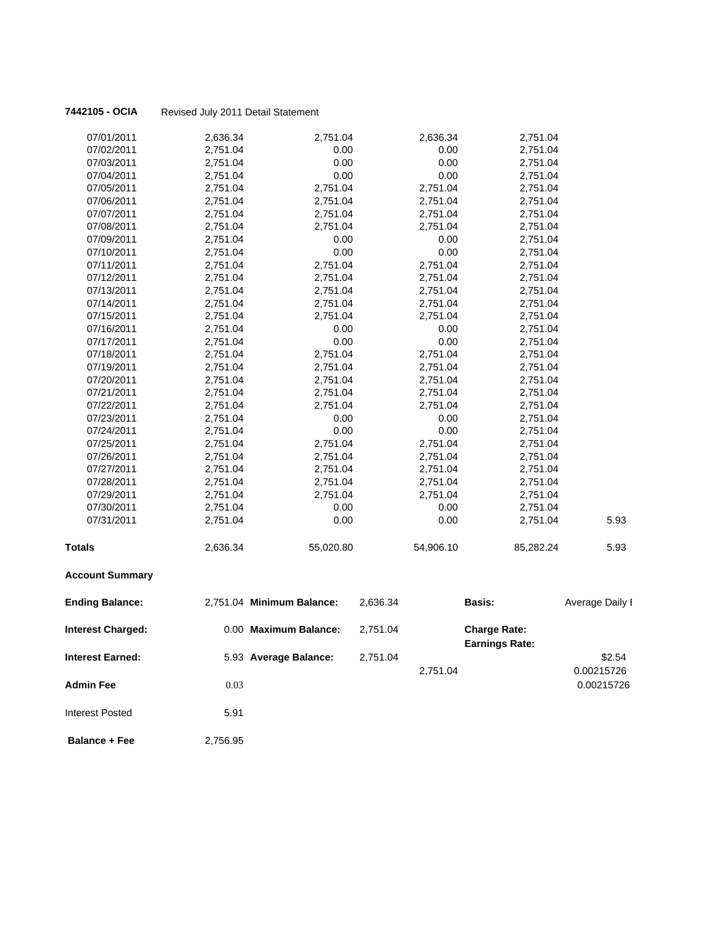### 7442105 - OCIA

|  | Revised July 2011 Detail Statement |
|--|------------------------------------|
|--|------------------------------------|

| 07/01/2011               | 2,636.34 | 2,751.04                  |          | 2,636.34  | 2,751.04                                     |                 |
|--------------------------|----------|---------------------------|----------|-----------|----------------------------------------------|-----------------|
| 07/02/2011               | 2,751.04 | 0.00                      |          | 0.00      | 2,751.04                                     |                 |
| 07/03/2011               | 2,751.04 | 0.00                      |          | 0.00      | 2,751.04                                     |                 |
| 07/04/2011               | 2,751.04 | 0.00                      |          | 0.00      | 2,751.04                                     |                 |
| 07/05/2011               | 2,751.04 | 2,751.04                  |          | 2,751.04  | 2,751.04                                     |                 |
| 07/06/2011               | 2,751.04 | 2,751.04                  |          | 2,751.04  | 2,751.04                                     |                 |
| 07/07/2011               | 2,751.04 | 2,751.04                  |          | 2,751.04  | 2,751.04                                     |                 |
| 07/08/2011               | 2,751.04 | 2,751.04                  |          | 2,751.04  | 2,751.04                                     |                 |
| 07/09/2011               | 2,751.04 | 0.00                      |          | 0.00      | 2,751.04                                     |                 |
| 07/10/2011               | 2,751.04 | 0.00                      |          | 0.00      | 2,751.04                                     |                 |
| 07/11/2011               | 2,751.04 | 2,751.04                  |          | 2,751.04  | 2,751.04                                     |                 |
| 07/12/2011               | 2,751.04 | 2,751.04                  |          | 2,751.04  | 2,751.04                                     |                 |
| 07/13/2011               | 2,751.04 | 2,751.04                  |          | 2,751.04  | 2,751.04                                     |                 |
| 07/14/2011               | 2,751.04 | 2,751.04                  |          | 2,751.04  | 2,751.04                                     |                 |
| 07/15/2011               | 2,751.04 | 2,751.04                  |          | 2,751.04  | 2,751.04                                     |                 |
| 07/16/2011               | 2,751.04 | 0.00                      |          | 0.00      | 2,751.04                                     |                 |
| 07/17/2011               | 2,751.04 | 0.00                      |          | 0.00      | 2,751.04                                     |                 |
| 07/18/2011               | 2,751.04 | 2,751.04                  |          | 2,751.04  | 2,751.04                                     |                 |
| 07/19/2011               | 2,751.04 | 2,751.04                  |          | 2,751.04  | 2,751.04                                     |                 |
| 07/20/2011               | 2,751.04 | 2,751.04                  |          | 2,751.04  | 2,751.04                                     |                 |
| 07/21/2011               | 2,751.04 | 2,751.04                  |          | 2,751.04  | 2,751.04                                     |                 |
| 07/22/2011               | 2,751.04 | 2,751.04                  |          | 2,751.04  | 2,751.04                                     |                 |
| 07/23/2011               | 2,751.04 | 0.00                      |          | 0.00      | 2,751.04                                     |                 |
| 07/24/2011               | 2,751.04 | 0.00                      |          | 0.00      | 2,751.04                                     |                 |
| 07/25/2011               | 2,751.04 | 2,751.04                  |          | 2,751.04  | 2,751.04                                     |                 |
| 07/26/2011               | 2,751.04 | 2,751.04                  |          | 2,751.04  | 2,751.04                                     |                 |
| 07/27/2011               | 2,751.04 | 2,751.04                  |          | 2,751.04  | 2,751.04                                     |                 |
| 07/28/2011               | 2,751.04 | 2,751.04                  |          | 2,751.04  | 2,751.04                                     |                 |
| 07/29/2011               | 2,751.04 | 2,751.04                  |          | 2,751.04  | 2,751.04                                     |                 |
| 07/30/2011               | 2,751.04 | 0.00                      |          | 0.00      | 2,751.04                                     |                 |
| 07/31/2011               | 2,751.04 | 0.00                      |          | 0.00      | 2,751.04                                     | 5.93            |
| <b>Totals</b>            | 2,636.34 | 55,020.80                 |          | 54,906.10 | 85,282.24                                    | 5.93            |
| <b>Account Summary</b>   |          |                           |          |           |                                              |                 |
| <b>Ending Balance:</b>   |          | 2,751.04 Minimum Balance: | 2,636.34 |           | Basis:                                       | Average Daily I |
| <b>Interest Charged:</b> |          | 0.00 Maximum Balance:     | 2,751.04 |           | <b>Charge Rate:</b><br><b>Earnings Rate:</b> |                 |
| <b>Interest Earned:</b>  |          | 5.93 Average Balance:     | 2,751.04 |           |                                              | \$2.54          |
|                          |          |                           |          | 2,751.04  |                                              | 0.00215726      |
| <b>Admin Fee</b>         | 0.03     |                           |          |           |                                              | 0.00215726      |
| <b>Interest Posted</b>   | 5.91     |                           |          |           |                                              |                 |

**Balance + Fee** 2,756.95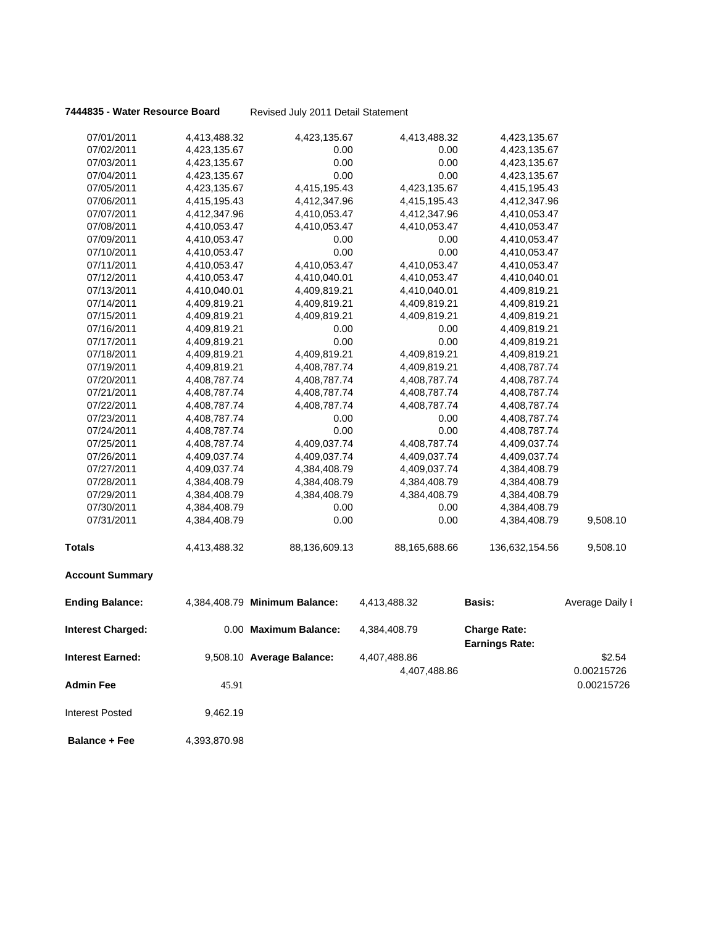|  |  | 7444835 - Water Resource Board |  |
|--|--|--------------------------------|--|
|--|--|--------------------------------|--|

| 07/01/2011               | 4,413,488.32 | 4,423,135.67                  | 4,413,488.32  | 4,423,135.67                                 |                 |
|--------------------------|--------------|-------------------------------|---------------|----------------------------------------------|-----------------|
| 07/02/2011               | 4,423,135.67 | 0.00                          | 0.00          | 4,423,135.67                                 |                 |
| 07/03/2011               | 4,423,135.67 | 0.00                          | 0.00          | 4,423,135.67                                 |                 |
| 07/04/2011               | 4,423,135.67 | 0.00                          | 0.00          | 4,423,135.67                                 |                 |
| 07/05/2011               | 4,423,135.67 | 4,415,195.43                  | 4,423,135.67  | 4,415,195.43                                 |                 |
| 07/06/2011               | 4,415,195.43 | 4,412,347.96                  | 4,415,195.43  | 4,412,347.96                                 |                 |
| 07/07/2011               | 4,412,347.96 | 4,410,053.47                  | 4,412,347.96  | 4,410,053.47                                 |                 |
| 07/08/2011               | 4,410,053.47 | 4,410,053.47                  | 4,410,053.47  | 4,410,053.47                                 |                 |
| 07/09/2011               | 4,410,053.47 | 0.00                          | 0.00          | 4,410,053.47                                 |                 |
| 07/10/2011               | 4,410,053.47 | 0.00                          | 0.00          | 4,410,053.47                                 |                 |
| 07/11/2011               | 4,410,053.47 | 4,410,053.47                  | 4,410,053.47  | 4,410,053.47                                 |                 |
| 07/12/2011               | 4,410,053.47 | 4,410,040.01                  | 4,410,053.47  | 4,410,040.01                                 |                 |
| 07/13/2011               | 4,410,040.01 | 4,409,819.21                  | 4,410,040.01  | 4,409,819.21                                 |                 |
| 07/14/2011               | 4,409,819.21 | 4,409,819.21                  | 4,409,819.21  | 4,409,819.21                                 |                 |
| 07/15/2011               | 4,409,819.21 | 4,409,819.21                  | 4,409,819.21  | 4,409,819.21                                 |                 |
| 07/16/2011               | 4,409,819.21 | 0.00                          | 0.00          | 4,409,819.21                                 |                 |
| 07/17/2011               | 4,409,819.21 | 0.00                          | 0.00          | 4,409,819.21                                 |                 |
| 07/18/2011               | 4,409,819.21 | 4,409,819.21                  | 4,409,819.21  | 4,409,819.21                                 |                 |
| 07/19/2011               | 4,409,819.21 | 4,408,787.74                  | 4,409,819.21  | 4,408,787.74                                 |                 |
| 07/20/2011               | 4,408,787.74 | 4,408,787.74                  | 4,408,787.74  | 4,408,787.74                                 |                 |
| 07/21/2011               | 4,408,787.74 | 4,408,787.74                  | 4,408,787.74  | 4,408,787.74                                 |                 |
| 07/22/2011               | 4,408,787.74 | 4,408,787.74                  | 4,408,787.74  | 4,408,787.74                                 |                 |
| 07/23/2011               | 4,408,787.74 | 0.00                          | 0.00          | 4,408,787.74                                 |                 |
| 07/24/2011               | 4,408,787.74 | 0.00                          | 0.00          | 4,408,787.74                                 |                 |
| 07/25/2011               | 4,408,787.74 | 4,409,037.74                  | 4,408,787.74  | 4,409,037.74                                 |                 |
| 07/26/2011               | 4,409,037.74 | 4,409,037.74                  | 4,409,037.74  | 4,409,037.74                                 |                 |
| 07/27/2011               | 4,409,037.74 | 4,384,408.79                  | 4,409,037.74  | 4,384,408.79                                 |                 |
| 07/28/2011               | 4,384,408.79 | 4,384,408.79                  | 4,384,408.79  | 4,384,408.79                                 |                 |
| 07/29/2011               | 4,384,408.79 | 4,384,408.79                  | 4,384,408.79  | 4,384,408.79                                 |                 |
| 07/30/2011               | 4,384,408.79 | 0.00                          | 0.00          | 4,384,408.79                                 |                 |
| 07/31/2011               | 4,384,408.79 | 0.00                          | 0.00          | 4,384,408.79                                 | 9,508.10        |
| <b>Totals</b>            | 4,413,488.32 | 88,136,609.13                 | 88,165,688.66 | 136,632,154.56                               | 9,508.10        |
| <b>Account Summary</b>   |              |                               |               |                                              |                 |
| <b>Ending Balance:</b>   |              | 4,384,408.79 Minimum Balance: | 4,413,488.32  | <b>Basis:</b>                                | Average Daily I |
| <b>Interest Charged:</b> |              | 0.00 Maximum Balance:         | 4,384,408.79  | <b>Charge Rate:</b><br><b>Earnings Rate:</b> |                 |
| Interest Earned:         |              | 9,508.10 Average Balance:     | 4,407,488.86  |                                              | \$2.54          |
|                          |              |                               | 4,407,488.86  |                                              | 0.00215726      |
| <b>Admin Fee</b>         | 45.91        |                               |               |                                              | 0.00215726      |
| <b>Interest Posted</b>   | 9,462.19     |                               |               |                                              |                 |
| <b>Balance + Fee</b>     | 4,393,870.98 |                               |               |                                              |                 |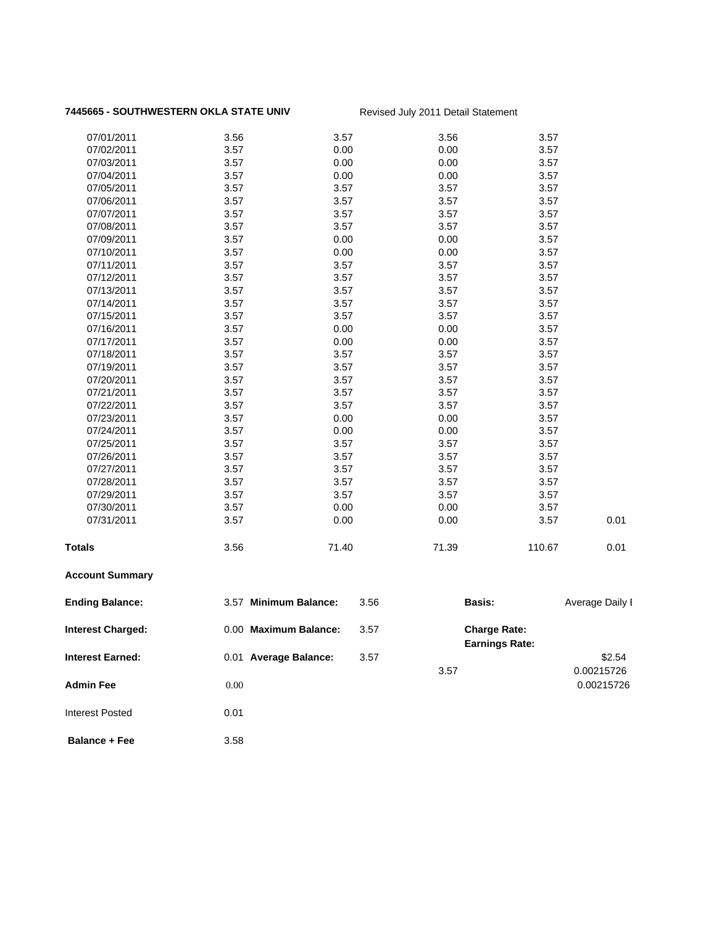### 7445665 - SOUTHWESTERN OKLA STATE UNIV Revised July 2011 Detail Statement

| 07/01/2011              | 3.56                  | 3.57  | 3.56  | 3.57                                         |                          |
|-------------------------|-----------------------|-------|-------|----------------------------------------------|--------------------------|
| 07/02/2011              | 3.57                  | 0.00  | 0.00  | 3.57                                         |                          |
| 07/03/2011              | 3.57                  | 0.00  | 0.00  | 3.57                                         |                          |
| 07/04/2011              | 3.57                  | 0.00  | 0.00  | 3.57                                         |                          |
| 07/05/2011              | 3.57                  | 3.57  | 3.57  | 3.57                                         |                          |
| 07/06/2011              | 3.57                  | 3.57  | 3.57  | 3.57                                         |                          |
| 07/07/2011              | 3.57                  | 3.57  | 3.57  | 3.57                                         |                          |
| 07/08/2011              | 3.57                  | 3.57  | 3.57  | 3.57                                         |                          |
| 07/09/2011              | 3.57                  | 0.00  | 0.00  | 3.57                                         |                          |
| 07/10/2011              | 3.57                  | 0.00  | 0.00  | 3.57                                         |                          |
| 07/11/2011              | 3.57                  | 3.57  | 3.57  | 3.57                                         |                          |
| 07/12/2011              | 3.57                  | 3.57  | 3.57  | 3.57                                         |                          |
| 07/13/2011              | 3.57                  | 3.57  | 3.57  | 3.57                                         |                          |
| 07/14/2011              | 3.57                  | 3.57  | 3.57  | 3.57                                         |                          |
| 07/15/2011              | 3.57                  | 3.57  | 3.57  | 3.57                                         |                          |
| 07/16/2011              | 3.57                  | 0.00  | 0.00  | 3.57                                         |                          |
| 07/17/2011              | 3.57                  | 0.00  | 0.00  | 3.57                                         |                          |
| 07/18/2011              | 3.57                  | 3.57  | 3.57  | 3.57                                         |                          |
| 07/19/2011              | 3.57                  | 3.57  | 3.57  | 3.57                                         |                          |
| 07/20/2011              | 3.57                  | 3.57  | 3.57  | 3.57                                         |                          |
| 07/21/2011              | 3.57                  | 3.57  | 3.57  | 3.57                                         |                          |
| 07/22/2011              | 3.57                  | 3.57  | 3.57  | 3.57                                         |                          |
| 07/23/2011              | 3.57                  | 0.00  | 0.00  | 3.57                                         |                          |
| 07/24/2011              | 3.57                  | 0.00  | 0.00  | 3.57                                         |                          |
| 07/25/2011              | 3.57                  | 3.57  | 3.57  | 3.57                                         |                          |
| 07/26/2011              | 3.57                  | 3.57  | 3.57  | 3.57                                         |                          |
| 07/27/2011              | 3.57                  | 3.57  | 3.57  | 3.57                                         |                          |
| 07/28/2011              | 3.57                  | 3.57  | 3.57  | 3.57                                         |                          |
| 07/29/2011              | 3.57                  | 3.57  | 3.57  | 3.57                                         |                          |
| 07/30/2011              | 3.57                  | 0.00  | 0.00  | 3.57                                         |                          |
| 07/31/2011              | 3.57                  | 0.00  | 0.00  | 3.57                                         | 0.01                     |
| <b>Totals</b>           | 3.56                  | 71.40 | 71.39 | 110.67                                       | 0.01                     |
| <b>Account Summary</b>  |                       |       |       |                                              |                          |
| <b>Ending Balance:</b>  | 3.57 Minimum Balance: | 3.56  |       | Basis:                                       | Average Daily I          |
| Interest Charged:       | 0.00 Maximum Balance: | 3.57  |       | <b>Charge Rate:</b><br><b>Earnings Rate:</b> |                          |
| <b>Interest Earned:</b> | 0.01 Average Balance: | 3.57  |       |                                              | \$2.54                   |
| <b>Admin Fee</b>        | $0.00\,$              |       | 3.57  |                                              | 0.00215726<br>0.00215726 |
|                         |                       |       |       |                                              |                          |

**Balance + Fee** 3.58

Interest Posted 0.01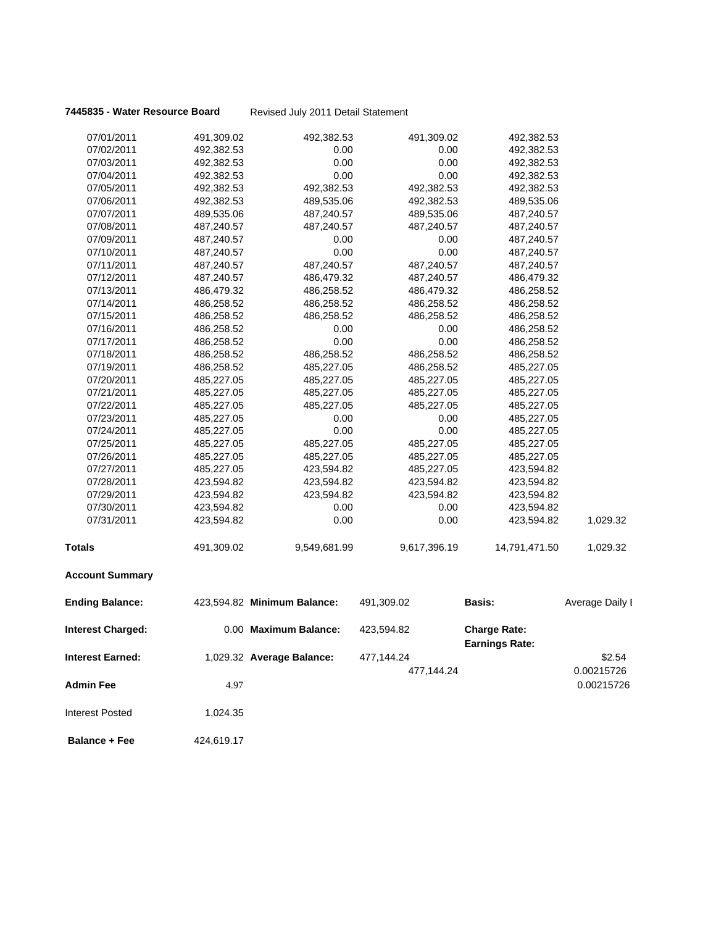**7445835 - Water Resource Board** Revised July 2011 Detail Statement

| 07/01/2011               | 491,309.02 | 492,382.53                  | 491,309.02   | 492,382.53                                   |                 |
|--------------------------|------------|-----------------------------|--------------|----------------------------------------------|-----------------|
| 07/02/2011               | 492,382.53 | 0.00                        | 0.00         | 492,382.53                                   |                 |
| 07/03/2011               | 492,382.53 | 0.00                        | 0.00         | 492,382.53                                   |                 |
| 07/04/2011               | 492,382.53 | 0.00                        | 0.00         | 492,382.53                                   |                 |
| 07/05/2011               | 492,382.53 | 492,382.53                  | 492,382.53   | 492,382.53                                   |                 |
| 07/06/2011               | 492,382.53 | 489,535.06                  | 492,382.53   | 489,535.06                                   |                 |
| 07/07/2011               | 489,535.06 | 487,240.57                  | 489,535.06   | 487,240.57                                   |                 |
| 07/08/2011               | 487,240.57 | 487,240.57                  | 487,240.57   | 487,240.57                                   |                 |
| 07/09/2011               | 487,240.57 | 0.00                        | 0.00         | 487,240.57                                   |                 |
| 07/10/2011               | 487,240.57 | 0.00                        | 0.00         | 487,240.57                                   |                 |
| 07/11/2011               | 487,240.57 | 487,240.57                  | 487,240.57   | 487,240.57                                   |                 |
| 07/12/2011               | 487,240.57 | 486,479.32                  | 487,240.57   | 486,479.32                                   |                 |
| 07/13/2011               | 486,479.32 | 486,258.52                  | 486,479.32   | 486,258.52                                   |                 |
| 07/14/2011               | 486,258.52 | 486,258.52                  | 486,258.52   | 486,258.52                                   |                 |
| 07/15/2011               | 486,258.52 | 486,258.52                  | 486,258.52   | 486,258.52                                   |                 |
| 07/16/2011               | 486,258.52 | 0.00                        | 0.00         | 486,258.52                                   |                 |
| 07/17/2011               | 486,258.52 | 0.00                        | 0.00         | 486,258.52                                   |                 |
| 07/18/2011               | 486,258.52 | 486,258.52                  | 486,258.52   | 486,258.52                                   |                 |
| 07/19/2011               | 486,258.52 | 485,227.05                  | 486,258.52   | 485,227.05                                   |                 |
| 07/20/2011               | 485,227.05 | 485,227.05                  | 485,227.05   | 485,227.05                                   |                 |
| 07/21/2011               | 485,227.05 | 485,227.05                  | 485,227.05   | 485,227.05                                   |                 |
| 07/22/2011               | 485,227.05 | 485,227.05                  | 485,227.05   | 485,227.05                                   |                 |
| 07/23/2011               | 485,227.05 | 0.00                        | 0.00         | 485,227.05                                   |                 |
| 07/24/2011               | 485,227.05 | 0.00                        | 0.00         | 485,227.05                                   |                 |
| 07/25/2011               | 485,227.05 | 485,227.05                  | 485,227.05   | 485,227.05                                   |                 |
| 07/26/2011               | 485,227.05 | 485,227.05                  | 485,227.05   | 485,227.05                                   |                 |
| 07/27/2011               | 485,227.05 | 423,594.82                  | 485,227.05   | 423,594.82                                   |                 |
| 07/28/2011               | 423,594.82 | 423,594.82                  | 423,594.82   | 423,594.82                                   |                 |
| 07/29/2011               | 423,594.82 | 423,594.82                  | 423,594.82   | 423,594.82                                   |                 |
| 07/30/2011               | 423,594.82 | 0.00                        | 0.00         | 423,594.82                                   |                 |
| 07/31/2011               | 423,594.82 | 0.00                        | 0.00         | 423,594.82                                   | 1,029.32        |
| Totals                   | 491,309.02 | 9,549,681.99                | 9,617,396.19 | 14,791,471.50                                | 1,029.32        |
| <b>Account Summary</b>   |            |                             |              |                                              |                 |
| <b>Ending Balance:</b>   |            | 423,594.82 Minimum Balance: | 491,309.02   | <b>Basis:</b>                                | Average Daily I |
| <b>Interest Charged:</b> |            | 0.00 Maximum Balance:       | 423,594.82   | <b>Charge Rate:</b><br><b>Earnings Rate:</b> |                 |
| <b>Interest Earned:</b>  |            | 1,029.32 Average Balance:   | 477,144.24   |                                              | \$2.54          |
|                          |            |                             | 477,144.24   |                                              | 0.00215726      |
|                          |            |                             |              |                                              | 0.00215726      |
| <b>Admin Fee</b>         | 4.97       |                             |              |                                              |                 |
| <b>Interest Posted</b>   | 1,024.35   |                             |              |                                              |                 |
| <b>Balance + Fee</b>     | 424,619.17 |                             |              |                                              |                 |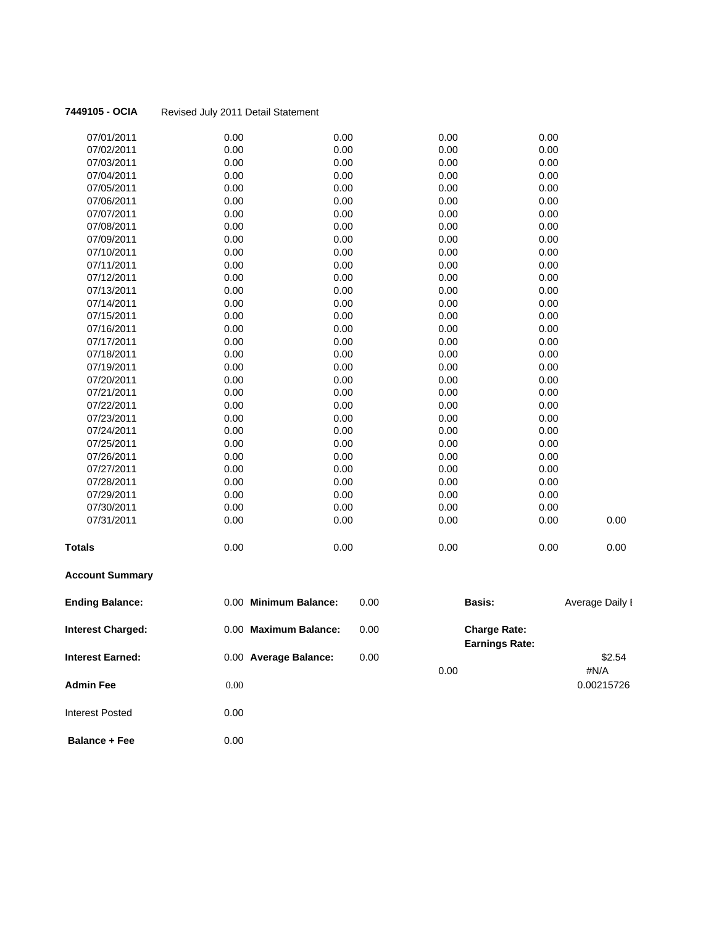| 07/01/2011    | 0.00 | 0.00 | 0.00 | 0.00 |      |
|---------------|------|------|------|------|------|
|               |      |      |      |      |      |
| 07/02/2011    | 0.00 | 0.00 | 0.00 | 0.00 |      |
| 07/03/2011    | 0.00 | 0.00 | 0.00 | 0.00 |      |
| 07/04/2011    | 0.00 | 0.00 | 0.00 | 0.00 |      |
| 07/05/2011    | 0.00 | 0.00 | 0.00 | 0.00 |      |
| 07/06/2011    | 0.00 | 0.00 | 0.00 | 0.00 |      |
| 07/07/2011    | 0.00 | 0.00 | 0.00 | 0.00 |      |
| 07/08/2011    | 0.00 | 0.00 | 0.00 | 0.00 |      |
| 07/09/2011    | 0.00 | 0.00 | 0.00 | 0.00 |      |
| 07/10/2011    | 0.00 | 0.00 | 0.00 | 0.00 |      |
| 07/11/2011    | 0.00 | 0.00 | 0.00 | 0.00 |      |
| 07/12/2011    | 0.00 | 0.00 | 0.00 | 0.00 |      |
| 07/13/2011    | 0.00 | 0.00 | 0.00 | 0.00 |      |
| 07/14/2011    | 0.00 | 0.00 | 0.00 | 0.00 |      |
| 07/15/2011    | 0.00 | 0.00 | 0.00 | 0.00 |      |
| 07/16/2011    | 0.00 | 0.00 | 0.00 | 0.00 |      |
| 07/17/2011    | 0.00 | 0.00 | 0.00 | 0.00 |      |
| 07/18/2011    | 0.00 | 0.00 | 0.00 | 0.00 |      |
| 07/19/2011    | 0.00 | 0.00 | 0.00 | 0.00 |      |
| 07/20/2011    | 0.00 | 0.00 | 0.00 | 0.00 |      |
| 07/21/2011    | 0.00 | 0.00 | 0.00 | 0.00 |      |
| 07/22/2011    | 0.00 | 0.00 | 0.00 | 0.00 |      |
| 07/23/2011    | 0.00 | 0.00 | 0.00 | 0.00 |      |
| 07/24/2011    | 0.00 | 0.00 | 0.00 | 0.00 |      |
| 07/25/2011    | 0.00 | 0.00 | 0.00 | 0.00 |      |
| 07/26/2011    | 0.00 | 0.00 | 0.00 | 0.00 |      |
| 07/27/2011    | 0.00 | 0.00 | 0.00 | 0.00 |      |
| 07/28/2011    | 0.00 | 0.00 | 0.00 | 0.00 |      |
| 07/29/2011    | 0.00 | 0.00 | 0.00 | 0.00 |      |
| 07/30/2011    | 0.00 | 0.00 | 0.00 | 0.00 |      |
| 07/31/2011    | 0.00 | 0.00 | 0.00 | 0.00 | 0.00 |
| <b>Totals</b> | 0.00 | 0.00 | 0.00 | 0.00 | 0.00 |

## **Account Summary**

| <b>Ending Balance:</b>   | 0.00 Minimum Balance: | 0.00 | <b>Basis:</b>                                | Average Daily I |
|--------------------------|-----------------------|------|----------------------------------------------|-----------------|
| <b>Interest Charged:</b> | 0.00 Maximum Balance: | 0.00 | <b>Charge Rate:</b><br><b>Earnings Rate:</b> |                 |
| <b>Interest Earned:</b>  | 0.00 Average Balance: | 0.00 |                                              | \$2.54          |
|                          |                       |      | 0.00                                         | #N/A            |
| <b>Admin Fee</b>         | 0.00                  |      |                                              | 0.00215726      |
| Interest Posted          | 0.00                  |      |                                              |                 |
| - -                      | $\sim$ $\sim$ $\sim$  |      |                                              |                 |

**Balance + Fee** 0.00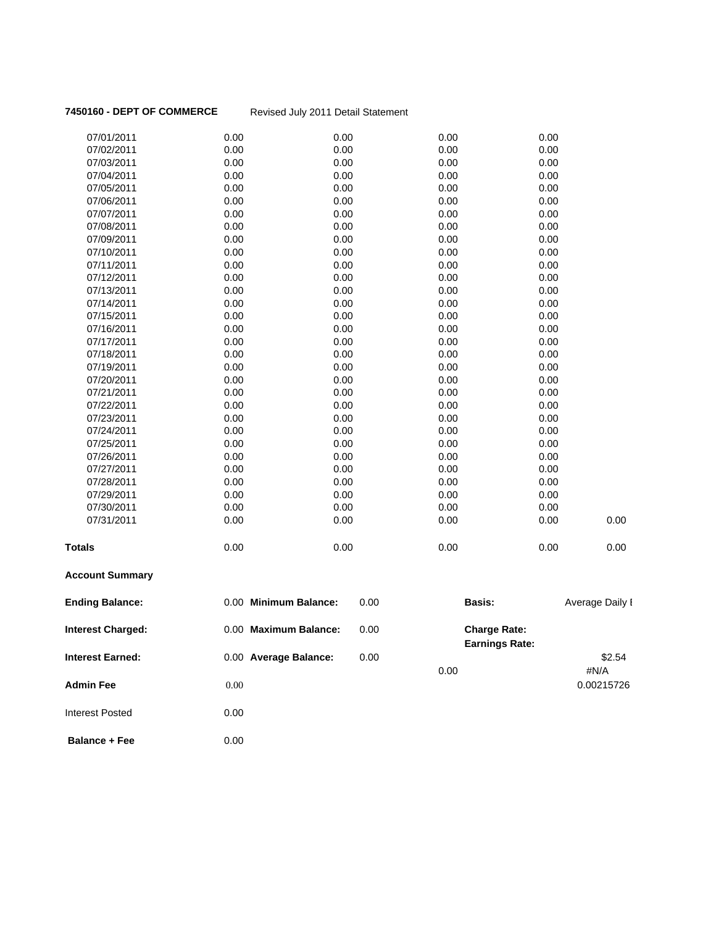**7450160 - DEPT OF COMMERCE** Revised July 2011 Detail Statement

| <b>Interest Earned:</b>  |      | 0.00 Average Balance: | 0.00 | 0.00   |                                              | \$2.54<br>#N/A  |
|--------------------------|------|-----------------------|------|--------|----------------------------------------------|-----------------|
| <b>Interest Charged:</b> |      | 0.00 Maximum Balance: | 0.00 |        | <b>Charge Rate:</b><br><b>Earnings Rate:</b> |                 |
| <b>Ending Balance:</b>   |      | 0.00 Minimum Balance: | 0.00 | Basis: |                                              | Average Daily I |
| <b>Account Summary</b>   |      |                       |      |        |                                              |                 |
| Totals                   | 0.00 | 0.00                  |      | 0.00   | 0.00                                         | 0.00            |
| 07/31/2011               | 0.00 | 0.00                  |      | 0.00   | 0.00                                         | 0.00            |
| 07/30/2011               | 0.00 | 0.00                  |      | 0.00   | 0.00                                         |                 |
| 07/29/2011               | 0.00 | 0.00                  |      | 0.00   | 0.00                                         |                 |
| 07/28/2011               | 0.00 | 0.00                  |      | 0.00   | 0.00                                         |                 |
| 07/27/2011               | 0.00 | 0.00                  |      | 0.00   | 0.00                                         |                 |
| 07/26/2011               | 0.00 | 0.00                  |      | 0.00   | 0.00                                         |                 |
| 07/25/2011               | 0.00 | 0.00                  |      | 0.00   | 0.00                                         |                 |
| 07/24/2011               | 0.00 | 0.00                  |      | 0.00   | 0.00                                         |                 |
| 07/23/2011               | 0.00 | 0.00                  |      | 0.00   | 0.00                                         |                 |
| 07/22/2011               | 0.00 | 0.00                  |      | 0.00   | 0.00                                         |                 |
| 07/21/2011               | 0.00 | 0.00                  |      | 0.00   | 0.00                                         |                 |
| 07/20/2011               | 0.00 | 0.00                  |      | 0.00   | 0.00                                         |                 |
| 07/19/2011               | 0.00 | 0.00                  |      | 0.00   | 0.00                                         |                 |
| 07/18/2011               | 0.00 | 0.00                  |      | 0.00   | 0.00                                         |                 |
| 07/17/2011               | 0.00 | 0.00                  |      | 0.00   | 0.00                                         |                 |
| 07/16/2011               | 0.00 | 0.00                  |      | 0.00   | 0.00                                         |                 |
| 07/15/2011               | 0.00 | 0.00                  |      | 0.00   | 0.00                                         |                 |
| 07/14/2011               | 0.00 | 0.00                  |      | 0.00   | 0.00                                         |                 |
| 07/13/2011               | 0.00 | 0.00                  |      | 0.00   | 0.00                                         |                 |
| 07/12/2011               | 0.00 | 0.00                  |      | 0.00   | 0.00                                         |                 |
| 07/11/2011               | 0.00 | 0.00                  |      | 0.00   | 0.00                                         |                 |
| 07/10/2011               | 0.00 | 0.00                  |      | 0.00   | 0.00                                         |                 |
| 07/09/2011               | 0.00 | 0.00                  |      | 0.00   | 0.00                                         |                 |
| 07/08/2011               | 0.00 | 0.00                  |      | 0.00   | 0.00                                         |                 |
| 07/07/2011               | 0.00 | 0.00                  |      | 0.00   | 0.00                                         |                 |
| 07/06/2011               | 0.00 | 0.00                  |      | 0.00   | 0.00                                         |                 |
| 07/05/2011               | 0.00 | 0.00                  |      | 0.00   | 0.00                                         |                 |
| 07/04/2011               | 0.00 | 0.00                  |      | 0.00   | 0.00                                         |                 |
| 07/03/2011               | 0.00 | 0.00                  |      | 0.00   | 0.00                                         |                 |
| 07/02/2011               | 0.00 | 0.00                  |      | 0.00   | 0.00                                         |                 |
| 07/01/2011               | 0.00 | 0.00                  |      | 0.00   | 0.00                                         |                 |

**Admin Fee** 0.00 0.000 0.000 0.000 0.00215726

**Balance + Fee** 0.00

Interest Posted 0.00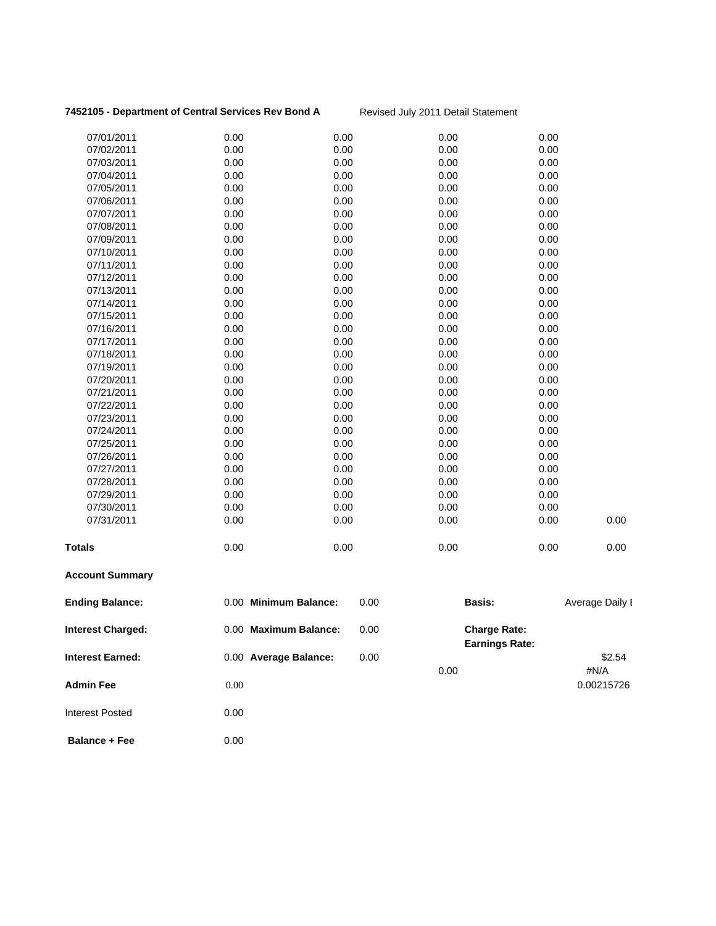### 7452105 - Department of Central Services Rev Bond A<br>Revised July 2011 Detail Statement

| 07/01/2011               | 0.00     | 0.00                  |      | 0.00 | 0.00                                         |                 |
|--------------------------|----------|-----------------------|------|------|----------------------------------------------|-----------------|
| 07/02/2011               | 0.00     | 0.00                  |      | 0.00 | 0.00                                         |                 |
| 07/03/2011               | 0.00     | 0.00                  |      | 0.00 | 0.00                                         |                 |
| 07/04/2011               | 0.00     | 0.00                  |      | 0.00 | 0.00                                         |                 |
| 07/05/2011               | 0.00     | 0.00                  |      | 0.00 | 0.00                                         |                 |
| 07/06/2011               | 0.00     | 0.00                  |      | 0.00 | 0.00                                         |                 |
| 07/07/2011               | 0.00     | 0.00                  |      | 0.00 | 0.00                                         |                 |
| 07/08/2011               | 0.00     | 0.00                  |      | 0.00 | 0.00                                         |                 |
| 07/09/2011               | 0.00     | 0.00                  |      | 0.00 | 0.00                                         |                 |
| 07/10/2011               | 0.00     | 0.00                  |      | 0.00 | 0.00                                         |                 |
| 07/11/2011               | 0.00     | 0.00                  |      | 0.00 | 0.00                                         |                 |
| 07/12/2011               | 0.00     | 0.00                  |      | 0.00 | 0.00                                         |                 |
| 07/13/2011               | 0.00     | 0.00                  |      | 0.00 | 0.00                                         |                 |
| 07/14/2011               | 0.00     | 0.00                  |      | 0.00 | 0.00                                         |                 |
| 07/15/2011               | 0.00     | 0.00                  |      | 0.00 | 0.00                                         |                 |
| 07/16/2011               | 0.00     | 0.00                  |      | 0.00 | 0.00                                         |                 |
| 07/17/2011               | 0.00     | 0.00                  |      | 0.00 | 0.00                                         |                 |
| 07/18/2011               | 0.00     | 0.00                  |      | 0.00 | 0.00                                         |                 |
| 07/19/2011               | 0.00     | 0.00                  |      | 0.00 | 0.00                                         |                 |
| 07/20/2011               | 0.00     | 0.00                  |      | 0.00 | 0.00                                         |                 |
| 07/21/2011               | 0.00     | 0.00                  |      | 0.00 | 0.00                                         |                 |
| 07/22/2011               | 0.00     | 0.00                  |      | 0.00 | 0.00                                         |                 |
| 07/23/2011               | 0.00     | 0.00                  |      | 0.00 | 0.00                                         |                 |
| 07/24/2011               | 0.00     | 0.00                  |      | 0.00 | 0.00                                         |                 |
| 07/25/2011               | 0.00     | 0.00                  |      | 0.00 | 0.00                                         |                 |
| 07/26/2011               | 0.00     | 0.00                  |      | 0.00 | 0.00                                         |                 |
| 07/27/2011               | 0.00     | 0.00                  |      | 0.00 | 0.00                                         |                 |
| 07/28/2011               | 0.00     | 0.00                  |      | 0.00 | 0.00                                         |                 |
| 07/29/2011               | 0.00     | 0.00                  |      | 0.00 | 0.00                                         |                 |
| 07/30/2011               | 0.00     | 0.00                  |      | 0.00 | 0.00                                         |                 |
| 07/31/2011               | 0.00     | 0.00                  |      | 0.00 | 0.00                                         | 0.00            |
| <b>Totals</b>            | 0.00     | 0.00                  |      | 0.00 | 0.00                                         | 0.00            |
| <b>Account Summary</b>   |          |                       |      |      |                                              |                 |
| <b>Ending Balance:</b>   |          | 0.00 Minimum Balance: | 0.00 |      | Basis:                                       | Average Daily I |
| <b>Interest Charged:</b> |          | 0.00 Maximum Balance: | 0.00 |      | <b>Charge Rate:</b><br><b>Earnings Rate:</b> |                 |
| <b>Interest Earned:</b>  |          | 0.00 Average Balance: | 0.00 | 0.00 |                                              | \$2.54<br>#N/A  |
| <b>Admin Fee</b>         | $0.00\,$ |                       |      |      |                                              | 0.00215726      |
| <b>Interest Posted</b>   | 0.00     |                       |      |      |                                              |                 |

**Balance + Fee** 0.00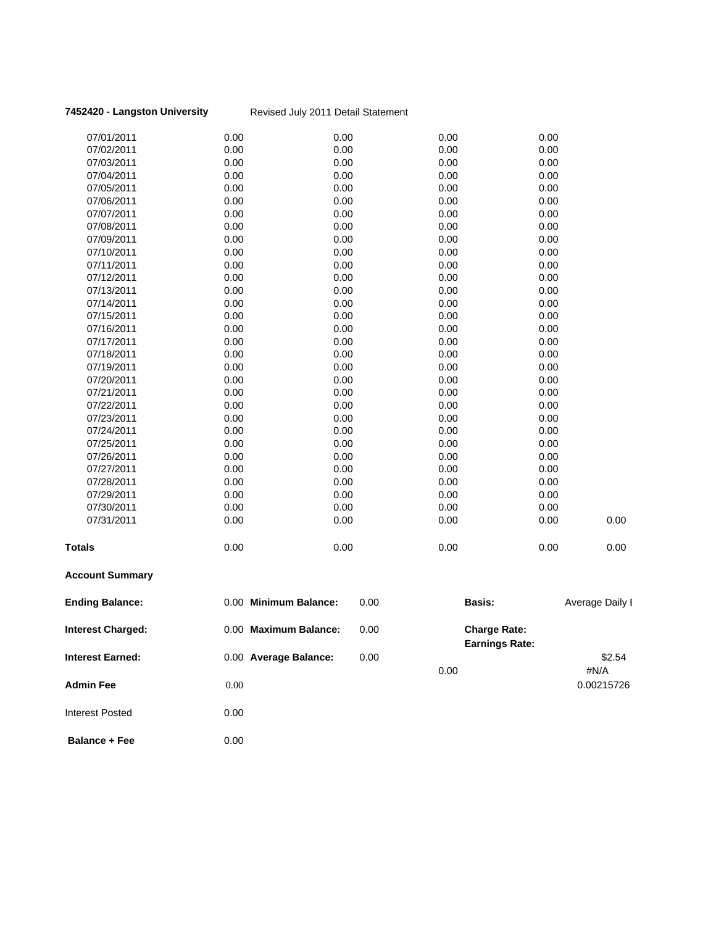### **7452420 - Langston University** Revised July 2011 Detail Statement

| <b>Account Summary</b> |      |      |      |      |      |
|------------------------|------|------|------|------|------|
| <b>Totals</b>          | 0.00 | 0.00 | 0.00 | 0.00 | 0.00 |
| 07/31/2011             | 0.00 | 0.00 | 0.00 | 0.00 | 0.00 |
| 07/30/2011             | 0.00 | 0.00 | 0.00 | 0.00 |      |
| 07/29/2011             | 0.00 | 0.00 | 0.00 | 0.00 |      |
| 07/28/2011             | 0.00 | 0.00 | 0.00 | 0.00 |      |
| 07/27/2011             | 0.00 | 0.00 | 0.00 | 0.00 |      |
| 07/26/2011             | 0.00 | 0.00 | 0.00 | 0.00 |      |
| 07/25/2011             | 0.00 | 0.00 | 0.00 | 0.00 |      |
| 07/24/2011             | 0.00 | 0.00 | 0.00 | 0.00 |      |
| 07/23/2011             | 0.00 | 0.00 | 0.00 | 0.00 |      |
| 07/22/2011             | 0.00 | 0.00 | 0.00 | 0.00 |      |
| 07/21/2011             | 0.00 | 0.00 | 0.00 | 0.00 |      |
| 07/20/2011             | 0.00 | 0.00 | 0.00 | 0.00 |      |
| 07/19/2011             | 0.00 | 0.00 | 0.00 | 0.00 |      |
| 07/18/2011             | 0.00 | 0.00 | 0.00 | 0.00 |      |
| 07/17/2011             | 0.00 | 0.00 | 0.00 | 0.00 |      |
| 07/16/2011             | 0.00 | 0.00 | 0.00 | 0.00 |      |
| 07/15/2011             | 0.00 | 0.00 | 0.00 | 0.00 |      |
| 07/14/2011             | 0.00 | 0.00 | 0.00 | 0.00 |      |
| 07/13/2011             | 0.00 | 0.00 | 0.00 | 0.00 |      |
| 07/12/2011             | 0.00 | 0.00 | 0.00 | 0.00 |      |
| 07/11/2011             | 0.00 | 0.00 | 0.00 | 0.00 |      |
| 07/10/2011             | 0.00 | 0.00 | 0.00 | 0.00 |      |
| 07/09/2011             | 0.00 | 0.00 | 0.00 | 0.00 |      |
| 07/08/2011             | 0.00 | 0.00 | 0.00 | 0.00 |      |
| 07/07/2011             | 0.00 | 0.00 | 0.00 | 0.00 |      |
| 07/06/2011             | 0.00 | 0.00 | 0.00 | 0.00 |      |
| 07/05/2011             | 0.00 | 0.00 | 0.00 | 0.00 |      |
| 07/04/2011             | 0.00 | 0.00 | 0.00 | 0.00 |      |
| 07/03/2011             | 0.00 | 0.00 | 0.00 | 0.00 |      |
| 07/02/2011             | 0.00 | 0.00 | 0.00 | 0.00 |      |
| 07/01/2011             | 0.00 | 0.00 | 0.00 | 0.00 |      |

| <b>Ending Balance:</b>   | 0.00 Minimum Balance: | 0.00 | <b>Basis:</b>                                | Average Daily I |
|--------------------------|-----------------------|------|----------------------------------------------|-----------------|
| <b>Interest Charged:</b> | 0.00 Maximum Balance: | 0.00 | <b>Charge Rate:</b><br><b>Earnings Rate:</b> |                 |
| <b>Interest Earned:</b>  | 0.00 Average Balance: | 0.00 |                                              | \$2.54          |
|                          |                       | 0.00 |                                              | #N/A            |
| <b>Admin Fee</b>         | 0.00                  |      |                                              | 0.00215726      |
| Interest Posted          | 0.00                  |      |                                              |                 |

| <b>Balance + Fee</b> | 0.00 |
|----------------------|------|
|                      |      |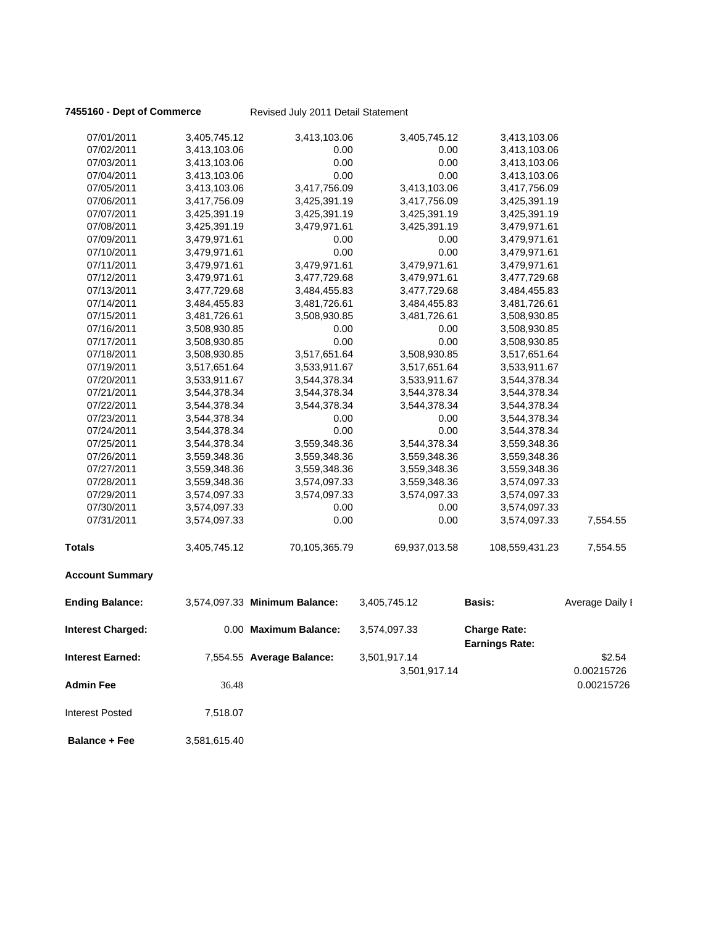**7455160 - Dept of Commerce** Revised July 2011 Detail Statement

| 07/01/2011              | 3,405,745.12 | 3,413,103.06                  | 3,405,745.12  | 3,413,103.06                                 |                 |
|-------------------------|--------------|-------------------------------|---------------|----------------------------------------------|-----------------|
| 07/02/2011              | 3,413,103.06 | 0.00                          | 0.00          | 3,413,103.06                                 |                 |
| 07/03/2011              | 3,413,103.06 | 0.00                          | 0.00          | 3,413,103.06                                 |                 |
| 07/04/2011              | 3,413,103.06 | 0.00                          | 0.00          | 3,413,103.06                                 |                 |
| 07/05/2011              | 3,413,103.06 | 3,417,756.09                  | 3,413,103.06  | 3,417,756.09                                 |                 |
| 07/06/2011              | 3,417,756.09 | 3,425,391.19                  | 3,417,756.09  | 3,425,391.19                                 |                 |
| 07/07/2011              | 3,425,391.19 | 3,425,391.19                  | 3,425,391.19  | 3,425,391.19                                 |                 |
| 07/08/2011              | 3,425,391.19 | 3,479,971.61                  | 3,425,391.19  | 3,479,971.61                                 |                 |
| 07/09/2011              | 3,479,971.61 | 0.00                          | 0.00          | 3,479,971.61                                 |                 |
| 07/10/2011              | 3,479,971.61 | 0.00                          | 0.00          | 3,479,971.61                                 |                 |
| 07/11/2011              | 3,479,971.61 | 3,479,971.61                  | 3,479,971.61  | 3,479,971.61                                 |                 |
| 07/12/2011              | 3,479,971.61 | 3,477,729.68                  | 3,479,971.61  | 3,477,729.68                                 |                 |
| 07/13/2011              | 3,477,729.68 | 3,484,455.83                  | 3,477,729.68  | 3,484,455.83                                 |                 |
| 07/14/2011              | 3,484,455.83 | 3,481,726.61                  | 3,484,455.83  | 3,481,726.61                                 |                 |
| 07/15/2011              | 3,481,726.61 | 3,508,930.85                  | 3,481,726.61  | 3,508,930.85                                 |                 |
| 07/16/2011              | 3,508,930.85 | 0.00                          | 0.00          | 3,508,930.85                                 |                 |
| 07/17/2011              | 3,508,930.85 | 0.00                          | 0.00          | 3,508,930.85                                 |                 |
| 07/18/2011              | 3,508,930.85 | 3,517,651.64                  | 3,508,930.85  | 3,517,651.64                                 |                 |
| 07/19/2011              | 3,517,651.64 | 3,533,911.67                  | 3,517,651.64  | 3,533,911.67                                 |                 |
| 07/20/2011              | 3,533,911.67 | 3,544,378.34                  | 3,533,911.67  | 3,544,378.34                                 |                 |
| 07/21/2011              | 3,544,378.34 | 3,544,378.34                  | 3,544,378.34  | 3,544,378.34                                 |                 |
| 07/22/2011              | 3,544,378.34 | 3,544,378.34                  | 3,544,378.34  | 3,544,378.34                                 |                 |
| 07/23/2011              | 3,544,378.34 | 0.00                          | 0.00          | 3,544,378.34                                 |                 |
| 07/24/2011              | 3,544,378.34 | 0.00                          | 0.00          | 3,544,378.34                                 |                 |
| 07/25/2011              | 3,544,378.34 | 3,559,348.36                  | 3,544,378.34  | 3,559,348.36                                 |                 |
| 07/26/2011              | 3,559,348.36 | 3,559,348.36                  | 3,559,348.36  | 3,559,348.36                                 |                 |
| 07/27/2011              | 3,559,348.36 | 3,559,348.36                  | 3,559,348.36  | 3,559,348.36                                 |                 |
| 07/28/2011              | 3,559,348.36 | 3,574,097.33                  | 3,559,348.36  | 3,574,097.33                                 |                 |
| 07/29/2011              | 3,574,097.33 | 3,574,097.33                  | 3,574,097.33  | 3,574,097.33                                 |                 |
| 07/30/2011              | 3,574,097.33 | 0.00                          | 0.00          | 3,574,097.33                                 |                 |
| 07/31/2011              | 3,574,097.33 | 0.00                          | 0.00          | 3,574,097.33                                 | 7,554.55        |
| <b>Totals</b>           | 3,405,745.12 | 70,105,365.79                 | 69,937,013.58 | 108,559,431.23                               | 7,554.55        |
| <b>Account Summary</b>  |              |                               |               |                                              |                 |
| <b>Ending Balance:</b>  |              | 3,574,097.33 Minimum Balance: | 3,405,745.12  | <b>Basis:</b>                                | Average Daily I |
| Interest Charged:       |              | 0.00 Maximum Balance:         | 3,574,097.33  | <b>Charge Rate:</b><br><b>Earnings Rate:</b> |                 |
| <b>Interest Earned:</b> |              | 7,554.55 Average Balance:     | 3,501,917.14  |                                              | \$2.54          |
|                         |              |                               | 3,501,917.14  |                                              | 0.00215726      |
| <b>Admin Fee</b>        | 36.48        |                               |               |                                              | 0.00215726      |
| <b>Interest Posted</b>  | 7,518.07     |                               |               |                                              |                 |
| <b>Balance + Fee</b>    | 3,581,615.40 |                               |               |                                              |                 |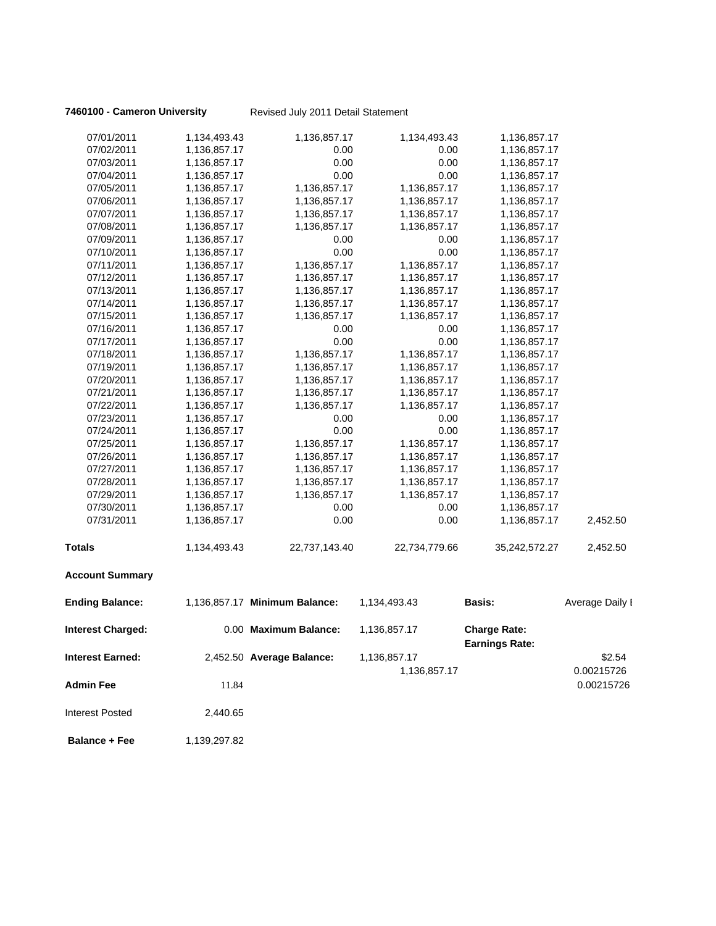**7460100 - Cameron University** Revised July 2011 Detail Statement

| 07/01/2011               | 1,134,493.43 | 1,136,857.17                  | 1,134,493.43  | 1,136,857.17                                 |                 |
|--------------------------|--------------|-------------------------------|---------------|----------------------------------------------|-----------------|
| 07/02/2011               | 1,136,857.17 | 0.00                          | 0.00          | 1,136,857.17                                 |                 |
| 07/03/2011               | 1,136,857.17 | 0.00                          | 0.00          | 1,136,857.17                                 |                 |
| 07/04/2011               | 1,136,857.17 | 0.00                          | 0.00          | 1,136,857.17                                 |                 |
| 07/05/2011               | 1,136,857.17 | 1,136,857.17                  | 1,136,857.17  | 1,136,857.17                                 |                 |
| 07/06/2011               | 1,136,857.17 | 1,136,857.17                  | 1,136,857.17  | 1,136,857.17                                 |                 |
| 07/07/2011               | 1,136,857.17 | 1,136,857.17                  | 1,136,857.17  | 1,136,857.17                                 |                 |
| 07/08/2011               | 1,136,857.17 | 1,136,857.17                  | 1,136,857.17  | 1,136,857.17                                 |                 |
| 07/09/2011               | 1,136,857.17 | 0.00                          | 0.00          | 1,136,857.17                                 |                 |
| 07/10/2011               | 1,136,857.17 | 0.00                          | 0.00          | 1,136,857.17                                 |                 |
| 07/11/2011               | 1,136,857.17 | 1,136,857.17                  | 1,136,857.17  | 1,136,857.17                                 |                 |
| 07/12/2011               | 1,136,857.17 | 1,136,857.17                  | 1,136,857.17  | 1,136,857.17                                 |                 |
| 07/13/2011               | 1,136,857.17 | 1,136,857.17                  | 1,136,857.17  | 1,136,857.17                                 |                 |
| 07/14/2011               | 1,136,857.17 | 1,136,857.17                  | 1,136,857.17  | 1,136,857.17                                 |                 |
| 07/15/2011               | 1,136,857.17 | 1,136,857.17                  | 1,136,857.17  | 1,136,857.17                                 |                 |
| 07/16/2011               | 1,136,857.17 | 0.00                          | 0.00          | 1,136,857.17                                 |                 |
| 07/17/2011               | 1,136,857.17 | 0.00                          | 0.00          | 1,136,857.17                                 |                 |
| 07/18/2011               | 1,136,857.17 | 1,136,857.17                  | 1,136,857.17  | 1,136,857.17                                 |                 |
| 07/19/2011               | 1,136,857.17 | 1,136,857.17                  | 1,136,857.17  | 1,136,857.17                                 |                 |
| 07/20/2011               | 1,136,857.17 | 1,136,857.17                  | 1,136,857.17  | 1,136,857.17                                 |                 |
| 07/21/2011               | 1,136,857.17 | 1,136,857.17                  | 1,136,857.17  | 1,136,857.17                                 |                 |
| 07/22/2011               | 1,136,857.17 | 1,136,857.17                  | 1,136,857.17  | 1,136,857.17                                 |                 |
| 07/23/2011               | 1,136,857.17 | 0.00                          | 0.00          | 1,136,857.17                                 |                 |
| 07/24/2011               | 1,136,857.17 | 0.00                          | 0.00          | 1,136,857.17                                 |                 |
| 07/25/2011               | 1,136,857.17 | 1,136,857.17                  | 1,136,857.17  | 1,136,857.17                                 |                 |
| 07/26/2011               | 1,136,857.17 | 1,136,857.17                  | 1,136,857.17  | 1,136,857.17                                 |                 |
| 07/27/2011               | 1,136,857.17 | 1,136,857.17                  | 1,136,857.17  | 1,136,857.17                                 |                 |
| 07/28/2011               | 1,136,857.17 | 1,136,857.17                  | 1,136,857.17  | 1,136,857.17                                 |                 |
| 07/29/2011               | 1,136,857.17 | 1,136,857.17                  | 1,136,857.17  | 1,136,857.17                                 |                 |
| 07/30/2011               | 1,136,857.17 | 0.00                          | 0.00          | 1,136,857.17                                 |                 |
| 07/31/2011               | 1,136,857.17 | 0.00                          | 0.00          | 1,136,857.17                                 | 2,452.50        |
| <b>Totals</b>            | 1,134,493.43 | 22,737,143.40                 | 22,734,779.66 | 35,242,572.27                                | 2,452.50        |
| <b>Account Summary</b>   |              |                               |               |                                              |                 |
| <b>Ending Balance:</b>   |              | 1,136,857.17 Minimum Balance: | 1,134,493.43  | <b>Basis:</b>                                | Average Daily I |
| <b>Interest Charged:</b> |              | 0.00 Maximum Balance:         | 1,136,857.17  | <b>Charge Rate:</b><br><b>Earnings Rate:</b> |                 |
|                          |              | 2,452.50 Average Balance:     |               |                                              |                 |
| <b>Interest Earned:</b>  |              |                               | 1,136,857.17  |                                              | \$2.54          |
|                          |              |                               | 1,136,857.17  |                                              | 0.00215726      |
| <b>Admin Fee</b>         | 11.84        |                               |               |                                              | 0.00215726      |
| <b>Interest Posted</b>   | 2,440.65     |                               |               |                                              |                 |
| <b>Balance + Fee</b>     | 1,139,297.82 |                               |               |                                              |                 |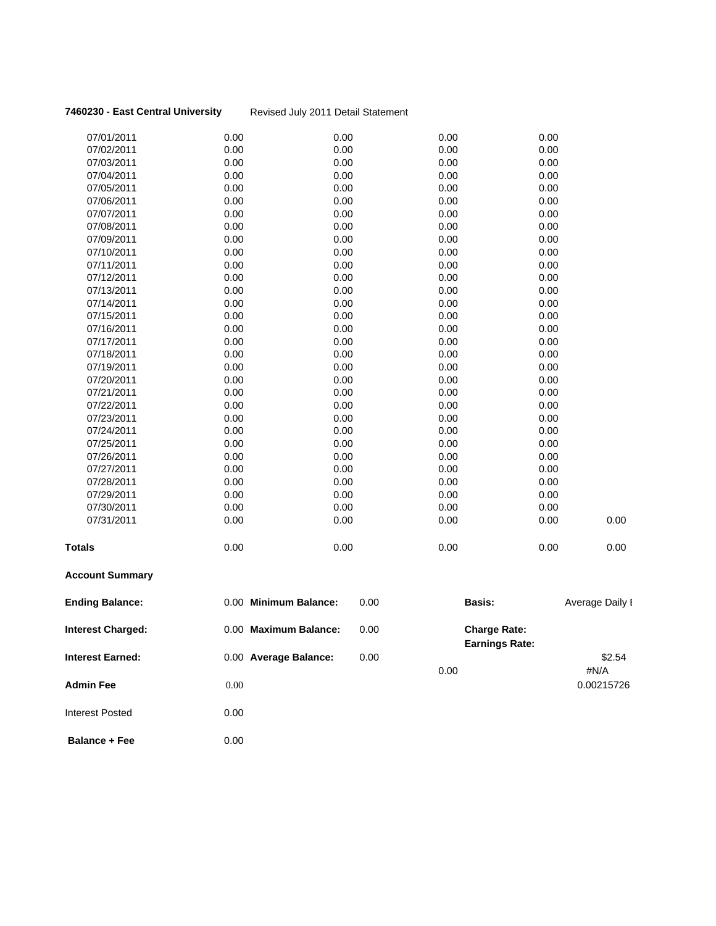**7460230 - East Central University** Revised July 2011 Detail Statement

| 07/01/2011               | 0.00                  | 0.00 | 0.00                                         | 0.00 |                 |
|--------------------------|-----------------------|------|----------------------------------------------|------|-----------------|
| 07/02/2011               | 0.00                  | 0.00 | 0.00                                         | 0.00 |                 |
| 07/03/2011               | 0.00                  | 0.00 | 0.00                                         | 0.00 |                 |
| 07/04/2011               | 0.00                  | 0.00 | 0.00                                         | 0.00 |                 |
| 07/05/2011               | 0.00                  | 0.00 | 0.00                                         | 0.00 |                 |
| 07/06/2011               | 0.00                  | 0.00 | 0.00                                         | 0.00 |                 |
| 07/07/2011               | 0.00                  | 0.00 | 0.00                                         | 0.00 |                 |
| 07/08/2011               | 0.00                  | 0.00 | 0.00                                         | 0.00 |                 |
| 07/09/2011               | 0.00                  | 0.00 | 0.00                                         | 0.00 |                 |
| 07/10/2011               | 0.00                  | 0.00 | 0.00                                         | 0.00 |                 |
| 07/11/2011               | 0.00                  | 0.00 | 0.00                                         | 0.00 |                 |
| 07/12/2011               | 0.00                  | 0.00 | 0.00                                         | 0.00 |                 |
| 07/13/2011               | 0.00                  | 0.00 | 0.00                                         | 0.00 |                 |
| 07/14/2011               | 0.00                  | 0.00 | 0.00                                         | 0.00 |                 |
| 07/15/2011               | 0.00                  | 0.00 | 0.00                                         | 0.00 |                 |
| 07/16/2011               | 0.00                  | 0.00 | 0.00                                         | 0.00 |                 |
| 07/17/2011               | 0.00                  | 0.00 | 0.00                                         | 0.00 |                 |
| 07/18/2011               | 0.00                  | 0.00 | 0.00                                         | 0.00 |                 |
| 07/19/2011               | 0.00                  | 0.00 | 0.00                                         | 0.00 |                 |
| 07/20/2011               | 0.00                  | 0.00 | 0.00                                         | 0.00 |                 |
| 07/21/2011               | 0.00                  | 0.00 | 0.00                                         | 0.00 |                 |
| 07/22/2011               | 0.00                  | 0.00 | 0.00                                         | 0.00 |                 |
| 07/23/2011               | 0.00                  | 0.00 | 0.00                                         | 0.00 |                 |
| 07/24/2011               | 0.00                  | 0.00 | 0.00                                         | 0.00 |                 |
| 07/25/2011               | 0.00                  | 0.00 | 0.00                                         | 0.00 |                 |
| 07/26/2011               | 0.00                  | 0.00 | 0.00                                         | 0.00 |                 |
| 07/27/2011               | 0.00                  | 0.00 | 0.00                                         | 0.00 |                 |
| 07/28/2011               | 0.00                  | 0.00 | 0.00                                         | 0.00 |                 |
| 07/29/2011               | 0.00                  | 0.00 | 0.00                                         | 0.00 |                 |
| 07/30/2011               | 0.00                  | 0.00 | 0.00                                         | 0.00 |                 |
| 07/31/2011               | 0.00                  | 0.00 | 0.00                                         | 0.00 | 0.00            |
| Totals                   | 0.00                  | 0.00 | 0.00                                         | 0.00 | 0.00            |
| <b>Account Summary</b>   |                       |      |                                              |      |                 |
| <b>Ending Balance:</b>   | 0.00 Minimum Balance: | 0.00 | Basis:                                       |      | Average Daily I |
| <b>Interest Charged:</b> | 0.00 Maximum Balance: | 0.00 | <b>Charge Rate:</b><br><b>Earnings Rate:</b> |      |                 |
| <b>Interest Earned:</b>  | 0.00 Average Balance: | 0.00 |                                              |      | \$2.54          |
|                          |                       |      | 0.00                                         |      | #N/A            |
| Admin Fee                | 0.00                  |      |                                              |      | 0.00215726      |
|                          |                       |      |                                              |      |                 |

**Balance + Fee** 0.00

Interest Posted 0.00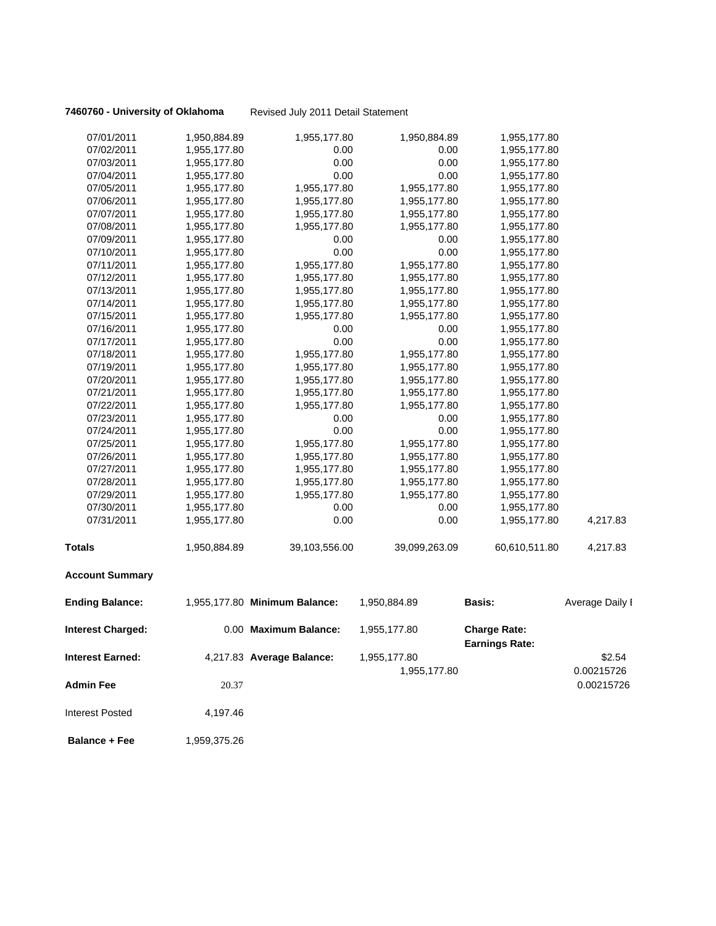**7460760 - University of Oklahoma** Revised July 2011 Detail Statement

| 07/01/2011               | 1,950,884.89 | 1,955,177.80                  | 1,950,884.89  | 1,955,177.80                                 |                 |
|--------------------------|--------------|-------------------------------|---------------|----------------------------------------------|-----------------|
| 07/02/2011               | 1,955,177.80 | 0.00                          | 0.00          | 1,955,177.80                                 |                 |
| 07/03/2011               | 1,955,177.80 | 0.00                          | 0.00          | 1,955,177.80                                 |                 |
| 07/04/2011               | 1,955,177.80 | 0.00                          | 0.00          | 1,955,177.80                                 |                 |
| 07/05/2011               | 1,955,177.80 | 1,955,177.80                  | 1,955,177.80  | 1,955,177.80                                 |                 |
| 07/06/2011               | 1,955,177.80 | 1,955,177.80                  | 1,955,177.80  | 1,955,177.80                                 |                 |
| 07/07/2011               | 1,955,177.80 | 1,955,177.80                  | 1,955,177.80  | 1,955,177.80                                 |                 |
| 07/08/2011               | 1,955,177.80 | 1,955,177.80                  | 1,955,177.80  | 1,955,177.80                                 |                 |
| 07/09/2011               | 1,955,177.80 | 0.00                          | 0.00          | 1,955,177.80                                 |                 |
| 07/10/2011               | 1,955,177.80 | 0.00                          | 0.00          | 1,955,177.80                                 |                 |
| 07/11/2011               | 1,955,177.80 | 1,955,177.80                  | 1,955,177.80  | 1,955,177.80                                 |                 |
| 07/12/2011               | 1,955,177.80 | 1,955,177.80                  | 1,955,177.80  | 1,955,177.80                                 |                 |
| 07/13/2011               | 1,955,177.80 | 1,955,177.80                  | 1,955,177.80  | 1,955,177.80                                 |                 |
| 07/14/2011               | 1,955,177.80 | 1,955,177.80                  | 1,955,177.80  | 1,955,177.80                                 |                 |
| 07/15/2011               | 1,955,177.80 | 1,955,177.80                  | 1,955,177.80  | 1,955,177.80                                 |                 |
| 07/16/2011               | 1,955,177.80 | 0.00                          | 0.00          | 1,955,177.80                                 |                 |
| 07/17/2011               | 1,955,177.80 | 0.00                          | 0.00          | 1,955,177.80                                 |                 |
| 07/18/2011               | 1,955,177.80 | 1,955,177.80                  | 1,955,177.80  | 1,955,177.80                                 |                 |
| 07/19/2011               | 1,955,177.80 | 1,955,177.80                  | 1,955,177.80  | 1,955,177.80                                 |                 |
| 07/20/2011               | 1,955,177.80 | 1,955,177.80                  | 1,955,177.80  | 1,955,177.80                                 |                 |
| 07/21/2011               | 1,955,177.80 | 1,955,177.80                  | 1,955,177.80  | 1,955,177.80                                 |                 |
| 07/22/2011               | 1,955,177.80 | 1,955,177.80                  | 1,955,177.80  | 1,955,177.80                                 |                 |
| 07/23/2011               | 1,955,177.80 | 0.00                          | 0.00          | 1,955,177.80                                 |                 |
| 07/24/2011               | 1,955,177.80 | 0.00                          | 0.00          | 1,955,177.80                                 |                 |
| 07/25/2011               | 1,955,177.80 | 1,955,177.80                  | 1,955,177.80  | 1,955,177.80                                 |                 |
| 07/26/2011               | 1,955,177.80 | 1,955,177.80                  | 1,955,177.80  | 1,955,177.80                                 |                 |
| 07/27/2011               | 1,955,177.80 | 1,955,177.80                  | 1,955,177.80  | 1,955,177.80                                 |                 |
| 07/28/2011               | 1,955,177.80 | 1,955,177.80                  | 1,955,177.80  | 1,955,177.80                                 |                 |
| 07/29/2011               | 1,955,177.80 | 1,955,177.80                  | 1,955,177.80  | 1,955,177.80                                 |                 |
| 07/30/2011               | 1,955,177.80 | 0.00                          | 0.00          | 1,955,177.80                                 |                 |
| 07/31/2011               | 1,955,177.80 | 0.00                          | 0.00          | 1,955,177.80                                 | 4,217.83        |
| <b>Totals</b>            | 1,950,884.89 | 39,103,556.00                 | 39,099,263.09 | 60,610,511.80                                | 4,217.83        |
| <b>Account Summary</b>   |              |                               |               |                                              |                 |
| <b>Ending Balance:</b>   |              | 1,955,177.80 Minimum Balance: | 1,950,884.89  | Basis:                                       | Average Daily I |
| <b>Interest Charged:</b> |              | 0.00 Maximum Balance:         | 1,955,177.80  | <b>Charge Rate:</b><br><b>Earnings Rate:</b> |                 |
|                          |              |                               |               |                                              |                 |
| <b>Interest Earned:</b>  |              | 4,217.83 Average Balance:     | 1,955,177.80  |                                              | \$2.54          |
|                          |              |                               | 1,955,177.80  |                                              | 0.00215726      |
| <b>Admin Fee</b>         | 20.37        |                               |               |                                              | 0.00215726      |
| <b>Interest Posted</b>   | 4,197.46     |                               |               |                                              |                 |
| <b>Balance + Fee</b>     | 1,959,375.26 |                               |               |                                              |                 |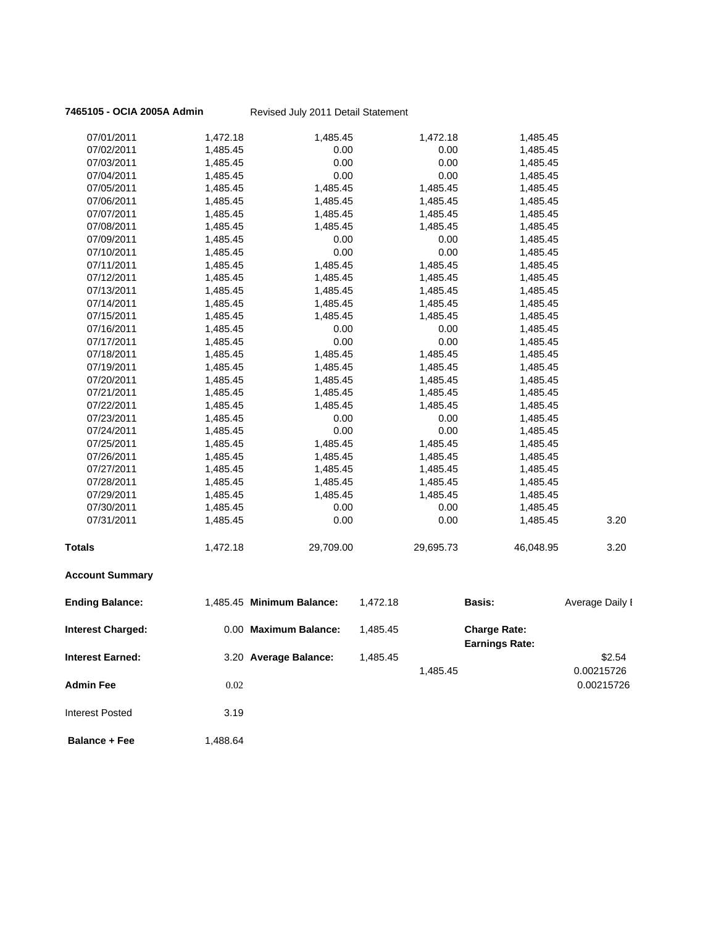### **7465105 - OCIA 2005A Admin** Revised July 2011 Detail Statement

| 07/01/2011               | 1,472.18 | 1,485.45                  |          | 1,472.18  | 1,485.45                                     |                 |
|--------------------------|----------|---------------------------|----------|-----------|----------------------------------------------|-----------------|
| 07/02/2011               | 1,485.45 | 0.00                      |          | 0.00      | 1,485.45                                     |                 |
| 07/03/2011               | 1,485.45 | 0.00                      |          | 0.00      | 1,485.45                                     |                 |
| 07/04/2011               | 1,485.45 | 0.00                      |          | 0.00      | 1,485.45                                     |                 |
| 07/05/2011               | 1,485.45 | 1,485.45                  |          | 1,485.45  | 1,485.45                                     |                 |
| 07/06/2011               | 1,485.45 | 1,485.45                  |          | 1,485.45  | 1,485.45                                     |                 |
| 07/07/2011               | 1,485.45 | 1,485.45                  |          | 1,485.45  | 1,485.45                                     |                 |
| 07/08/2011               | 1,485.45 | 1,485.45                  |          | 1,485.45  | 1,485.45                                     |                 |
| 07/09/2011               | 1,485.45 | 0.00                      |          | 0.00      | 1,485.45                                     |                 |
| 07/10/2011               | 1,485.45 | 0.00                      |          | 0.00      | 1,485.45                                     |                 |
| 07/11/2011               | 1,485.45 | 1,485.45                  |          | 1,485.45  | 1,485.45                                     |                 |
| 07/12/2011               | 1,485.45 | 1,485.45                  |          | 1,485.45  | 1,485.45                                     |                 |
| 07/13/2011               | 1,485.45 | 1,485.45                  |          | 1,485.45  | 1,485.45                                     |                 |
| 07/14/2011               | 1,485.45 | 1,485.45                  |          | 1,485.45  | 1,485.45                                     |                 |
| 07/15/2011               | 1,485.45 | 1,485.45                  |          | 1,485.45  | 1,485.45                                     |                 |
| 07/16/2011               | 1,485.45 | 0.00                      |          | 0.00      | 1,485.45                                     |                 |
| 07/17/2011               | 1,485.45 | 0.00                      |          | 0.00      | 1,485.45                                     |                 |
| 07/18/2011               | 1,485.45 | 1,485.45                  |          | 1,485.45  | 1,485.45                                     |                 |
| 07/19/2011               | 1,485.45 | 1,485.45                  |          | 1,485.45  | 1,485.45                                     |                 |
| 07/20/2011               | 1,485.45 | 1,485.45                  |          | 1,485.45  | 1,485.45                                     |                 |
| 07/21/2011               | 1,485.45 | 1,485.45                  |          | 1,485.45  | 1,485.45                                     |                 |
| 07/22/2011               | 1,485.45 | 1,485.45                  |          | 1,485.45  | 1,485.45                                     |                 |
| 07/23/2011               | 1,485.45 | 0.00                      |          | 0.00      | 1,485.45                                     |                 |
| 07/24/2011               | 1,485.45 | 0.00                      |          | 0.00      | 1,485.45                                     |                 |
| 07/25/2011               | 1,485.45 | 1,485.45                  |          | 1,485.45  | 1,485.45                                     |                 |
| 07/26/2011               | 1,485.45 | 1,485.45                  |          | 1,485.45  | 1,485.45                                     |                 |
| 07/27/2011               | 1,485.45 | 1,485.45                  |          | 1,485.45  | 1,485.45                                     |                 |
| 07/28/2011               | 1,485.45 | 1,485.45                  |          | 1,485.45  | 1,485.45                                     |                 |
| 07/29/2011               | 1,485.45 | 1,485.45                  |          | 1,485.45  | 1,485.45                                     |                 |
| 07/30/2011               | 1,485.45 | 0.00                      |          | 0.00      | 1,485.45                                     |                 |
| 07/31/2011               | 1,485.45 | 0.00                      |          | 0.00      | 1,485.45                                     | 3.20            |
| <b>Totals</b>            | 1,472.18 | 29,709.00                 |          | 29,695.73 | 46,048.95                                    | 3.20            |
| <b>Account Summary</b>   |          |                           |          |           |                                              |                 |
| <b>Ending Balance:</b>   |          | 1,485.45 Minimum Balance: | 1,472.18 |           | Basis:                                       | Average Daily I |
| <b>Interest Charged:</b> |          | 0.00 Maximum Balance:     | 1,485.45 |           | <b>Charge Rate:</b><br><b>Earnings Rate:</b> |                 |
| <b>Interest Earned:</b>  |          | 3.20 Average Balance:     | 1,485.45 |           |                                              | \$2.54          |
|                          |          |                           |          | 1,485.45  |                                              | 0.00215726      |
| Admin Fee                | 0.02     |                           |          |           |                                              | 0.00215726      |
|                          |          |                           |          |           |                                              |                 |

**Balance + Fee** 1,488.64

Interest Posted 3.19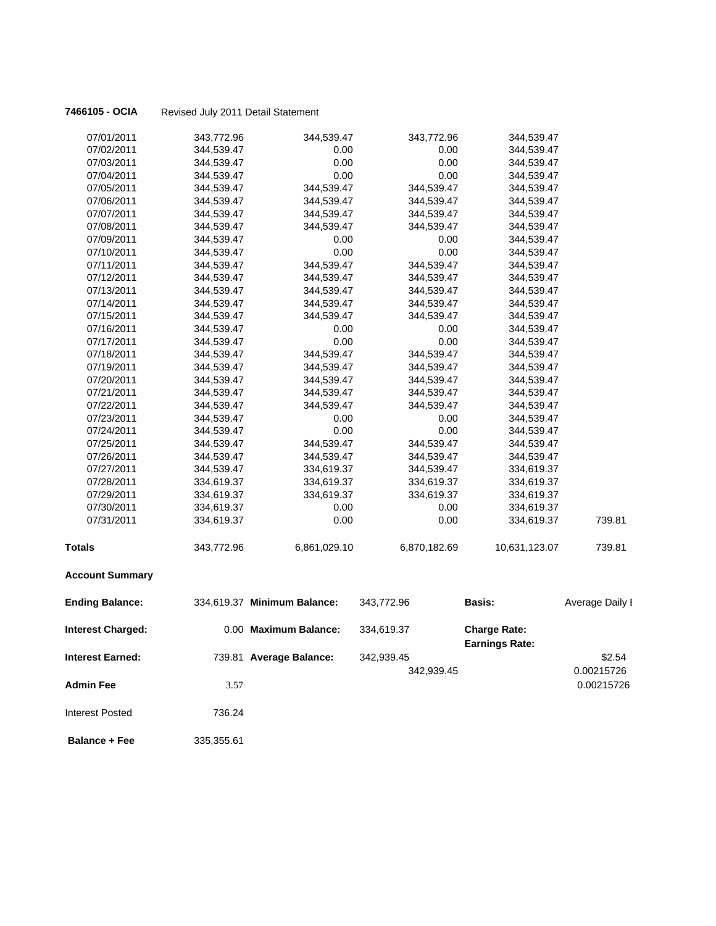| 07/01/2011               | 343,772.96 | 344,539.47                  | 343,772.96   | 344,539.47                                   |                 |
|--------------------------|------------|-----------------------------|--------------|----------------------------------------------|-----------------|
| 07/02/2011               | 344,539.47 | 0.00                        | 0.00         | 344,539.47                                   |                 |
| 07/03/2011               | 344,539.47 | 0.00                        | 0.00         | 344,539.47                                   |                 |
| 07/04/2011               | 344,539.47 | 0.00                        | 0.00         | 344,539.47                                   |                 |
| 07/05/2011               | 344,539.47 | 344,539.47                  | 344,539.47   | 344,539.47                                   |                 |
| 07/06/2011               | 344,539.47 | 344,539.47                  | 344,539.47   | 344,539.47                                   |                 |
| 07/07/2011               | 344,539.47 | 344,539.47                  | 344,539.47   | 344,539.47                                   |                 |
| 07/08/2011               | 344,539.47 | 344,539.47                  | 344,539.47   | 344,539.47                                   |                 |
| 07/09/2011               | 344,539.47 | 0.00                        | 0.00         | 344,539.47                                   |                 |
| 07/10/2011               | 344,539.47 | 0.00                        | 0.00         | 344,539.47                                   |                 |
| 07/11/2011               | 344,539.47 | 344,539.47                  | 344,539.47   | 344,539.47                                   |                 |
| 07/12/2011               | 344,539.47 | 344,539.47                  | 344,539.47   | 344,539.47                                   |                 |
| 07/13/2011               | 344,539.47 | 344,539.47                  | 344,539.47   | 344,539.47                                   |                 |
| 07/14/2011               | 344,539.47 | 344,539.47                  | 344,539.47   | 344,539.47                                   |                 |
| 07/15/2011               | 344,539.47 | 344,539.47                  | 344,539.47   | 344,539.47                                   |                 |
| 07/16/2011               | 344,539.47 | 0.00                        | 0.00         | 344,539.47                                   |                 |
| 07/17/2011               | 344,539.47 | 0.00                        | 0.00         | 344,539.47                                   |                 |
| 07/18/2011               | 344,539.47 | 344,539.47                  | 344,539.47   | 344,539.47                                   |                 |
| 07/19/2011               | 344,539.47 | 344,539.47                  | 344,539.47   | 344,539.47                                   |                 |
| 07/20/2011               | 344,539.47 | 344,539.47                  | 344,539.47   | 344,539.47                                   |                 |
| 07/21/2011               | 344,539.47 | 344,539.47                  | 344,539.47   | 344,539.47                                   |                 |
| 07/22/2011               | 344,539.47 | 344,539.47                  | 344,539.47   | 344,539.47                                   |                 |
| 07/23/2011               | 344,539.47 | 0.00                        | 0.00         | 344,539.47                                   |                 |
| 07/24/2011               | 344,539.47 | 0.00                        | 0.00         | 344,539.47                                   |                 |
| 07/25/2011               | 344,539.47 | 344,539.47                  | 344,539.47   | 344,539.47                                   |                 |
| 07/26/2011               | 344,539.47 | 344,539.47                  | 344,539.47   | 344,539.47                                   |                 |
| 07/27/2011               | 344,539.47 | 334,619.37                  | 344,539.47   | 334,619.37                                   |                 |
| 07/28/2011               | 334,619.37 | 334,619.37                  | 334,619.37   | 334,619.37                                   |                 |
| 07/29/2011               | 334,619.37 | 334,619.37                  | 334,619.37   | 334,619.37                                   |                 |
| 07/30/2011               | 334,619.37 | 0.00                        | 0.00         | 334,619.37                                   |                 |
| 07/31/2011               | 334,619.37 | 0.00                        | 0.00         | 334,619.37                                   | 739.81          |
| Totals                   | 343,772.96 | 6,861,029.10                | 6,870,182.69 | 10,631,123.07                                | 739.81          |
| <b>Account Summary</b>   |            |                             |              |                                              |                 |
| <b>Ending Balance:</b>   |            | 334,619.37 Minimum Balance: | 343,772.96   | <b>Basis:</b>                                | Average Daily I |
| <b>Interest Charged:</b> |            | 0.00 Maximum Balance:       | 334,619.37   | <b>Charge Rate:</b><br><b>Earnings Rate:</b> |                 |
|                          |            |                             |              |                                              |                 |
| Interest Earned:         |            | 739.81 Average Balance:     | 342,939.45   |                                              | \$2.54          |
|                          |            |                             | 342,939.45   |                                              | 0.00215726      |
| <b>Admin Fee</b>         | 3.57       |                             |              |                                              | 0.00215726      |
| <b>Interest Posted</b>   | 736.24     |                             |              |                                              |                 |
| <b>Balance + Fee</b>     | 335,355.61 |                             |              |                                              |                 |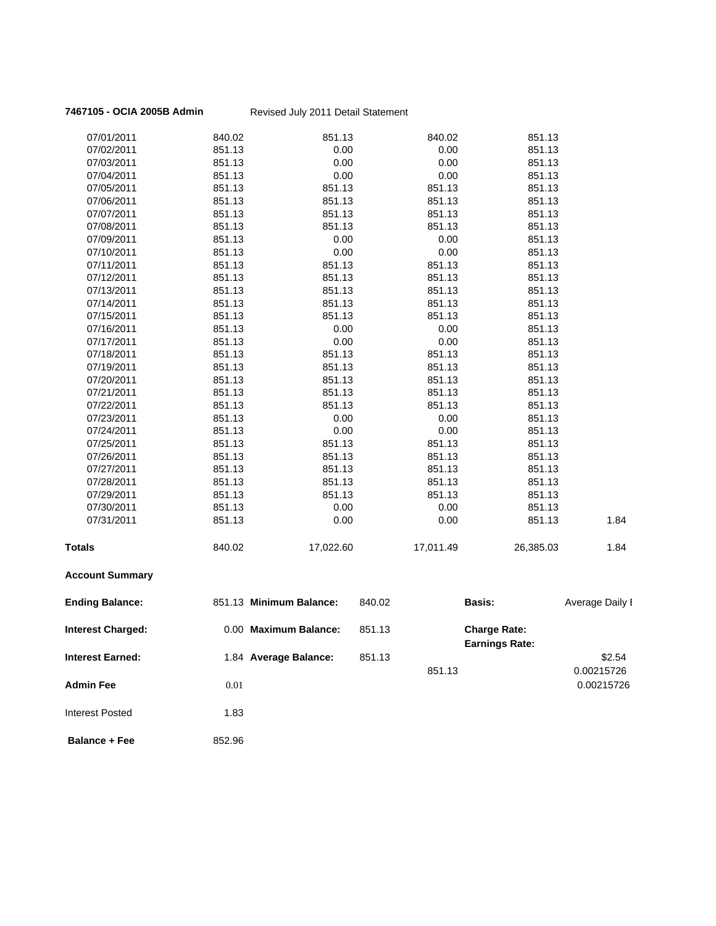### **7467105 - OCIA 2005B Admin** Revised July 2011 Detail Statement

| 07/01/2011               | 840.02 | 851.13                  |        | 840.02    | 851.13                                       |                 |
|--------------------------|--------|-------------------------|--------|-----------|----------------------------------------------|-----------------|
| 07/02/2011               | 851.13 | 0.00                    |        | 0.00      | 851.13                                       |                 |
| 07/03/2011               | 851.13 | 0.00                    |        | 0.00      | 851.13                                       |                 |
| 07/04/2011               | 851.13 | 0.00                    |        | 0.00      | 851.13                                       |                 |
| 07/05/2011               | 851.13 | 851.13                  |        | 851.13    | 851.13                                       |                 |
| 07/06/2011               | 851.13 | 851.13                  |        | 851.13    | 851.13                                       |                 |
| 07/07/2011               | 851.13 | 851.13                  |        | 851.13    | 851.13                                       |                 |
| 07/08/2011               | 851.13 | 851.13                  |        | 851.13    | 851.13                                       |                 |
| 07/09/2011               | 851.13 | 0.00                    |        | 0.00      | 851.13                                       |                 |
| 07/10/2011               | 851.13 | 0.00                    |        | 0.00      | 851.13                                       |                 |
| 07/11/2011               | 851.13 | 851.13                  |        | 851.13    | 851.13                                       |                 |
| 07/12/2011               | 851.13 | 851.13                  |        | 851.13    | 851.13                                       |                 |
| 07/13/2011               | 851.13 | 851.13                  |        | 851.13    | 851.13                                       |                 |
| 07/14/2011               | 851.13 | 851.13                  |        | 851.13    | 851.13                                       |                 |
| 07/15/2011               | 851.13 | 851.13                  |        | 851.13    | 851.13                                       |                 |
| 07/16/2011               | 851.13 | 0.00                    |        | 0.00      | 851.13                                       |                 |
| 07/17/2011               | 851.13 | 0.00                    |        | 0.00      | 851.13                                       |                 |
| 07/18/2011               | 851.13 | 851.13                  |        | 851.13    | 851.13                                       |                 |
| 07/19/2011               | 851.13 | 851.13                  |        | 851.13    | 851.13                                       |                 |
| 07/20/2011               | 851.13 | 851.13                  |        | 851.13    | 851.13                                       |                 |
| 07/21/2011               | 851.13 | 851.13                  |        | 851.13    | 851.13                                       |                 |
| 07/22/2011               | 851.13 | 851.13                  |        | 851.13    | 851.13                                       |                 |
| 07/23/2011               | 851.13 | 0.00                    |        | 0.00      | 851.13                                       |                 |
| 07/24/2011               | 851.13 | 0.00                    |        | 0.00      | 851.13                                       |                 |
| 07/25/2011               | 851.13 | 851.13                  |        | 851.13    | 851.13                                       |                 |
| 07/26/2011               | 851.13 | 851.13                  |        | 851.13    | 851.13                                       |                 |
| 07/27/2011               | 851.13 | 851.13                  |        | 851.13    | 851.13                                       |                 |
| 07/28/2011               | 851.13 | 851.13                  |        | 851.13    | 851.13                                       |                 |
| 07/29/2011               | 851.13 | 851.13                  |        | 851.13    | 851.13                                       |                 |
| 07/30/2011               | 851.13 | 0.00                    |        | 0.00      | 851.13                                       |                 |
| 07/31/2011               | 851.13 | 0.00                    |        | 0.00      | 851.13                                       | 1.84            |
| <b>Totals</b>            | 840.02 | 17,022.60               |        | 17,011.49 | 26,385.03                                    | 1.84            |
| <b>Account Summary</b>   |        |                         |        |           |                                              |                 |
| <b>Ending Balance:</b>   |        | 851.13 Minimum Balance: | 840.02 |           | <b>Basis:</b>                                | Average Daily I |
| <b>Interest Charged:</b> |        | 0.00 Maximum Balance:   | 851.13 |           | <b>Charge Rate:</b><br><b>Earnings Rate:</b> |                 |
|                          |        |                         | 851.13 |           |                                              |                 |
| Interest Earned:         |        | 1.84 Average Balance:   |        |           |                                              | \$2.54          |
|                          |        |                         |        | 851.13    |                                              | 0.00215726      |
| <b>Admin Fee</b>         | 0.01   |                         |        |           |                                              | 0.00215726      |
| Interest Posted          | 1.83   |                         |        |           |                                              |                 |
| <b>Balance + Fee</b>     | 852.96 |                         |        |           |                                              |                 |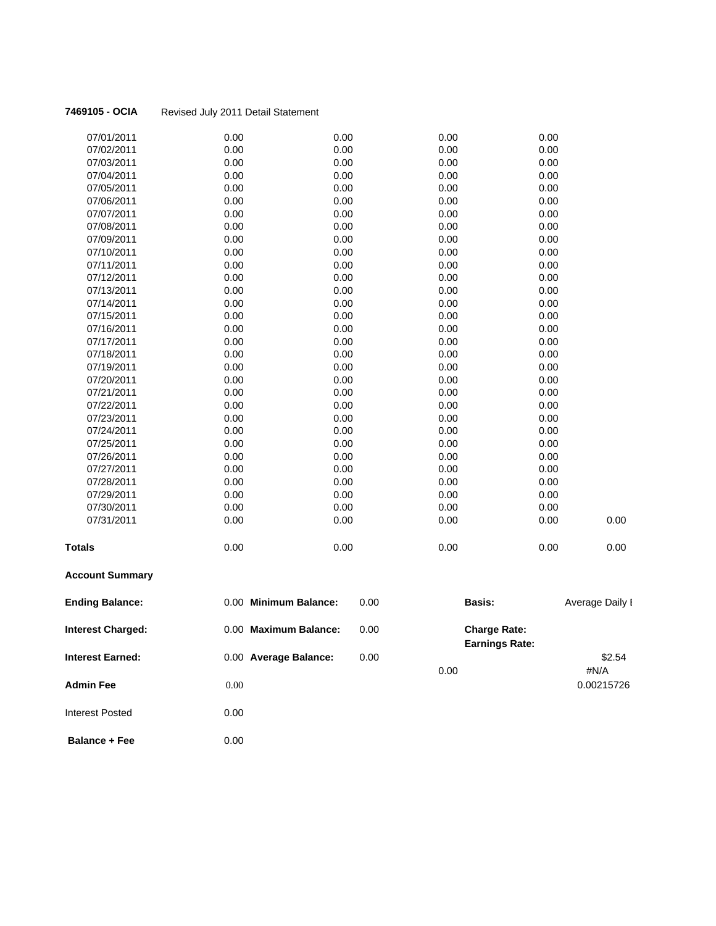| 07/01/2011    | 0.00 | 0.00 | 0.00 | 0.00 |      |
|---------------|------|------|------|------|------|
|               |      |      |      |      |      |
| 07/02/2011    | 0.00 | 0.00 | 0.00 | 0.00 |      |
| 07/03/2011    | 0.00 | 0.00 | 0.00 | 0.00 |      |
| 07/04/2011    | 0.00 | 0.00 | 0.00 | 0.00 |      |
| 07/05/2011    | 0.00 | 0.00 | 0.00 | 0.00 |      |
| 07/06/2011    | 0.00 | 0.00 | 0.00 | 0.00 |      |
| 07/07/2011    | 0.00 | 0.00 | 0.00 | 0.00 |      |
| 07/08/2011    | 0.00 | 0.00 | 0.00 | 0.00 |      |
| 07/09/2011    | 0.00 | 0.00 | 0.00 | 0.00 |      |
| 07/10/2011    | 0.00 | 0.00 | 0.00 | 0.00 |      |
| 07/11/2011    | 0.00 | 0.00 | 0.00 | 0.00 |      |
| 07/12/2011    | 0.00 | 0.00 | 0.00 | 0.00 |      |
| 07/13/2011    | 0.00 | 0.00 | 0.00 | 0.00 |      |
| 07/14/2011    | 0.00 | 0.00 | 0.00 | 0.00 |      |
| 07/15/2011    | 0.00 | 0.00 | 0.00 | 0.00 |      |
| 07/16/2011    | 0.00 | 0.00 | 0.00 | 0.00 |      |
| 07/17/2011    | 0.00 | 0.00 | 0.00 | 0.00 |      |
| 07/18/2011    | 0.00 | 0.00 | 0.00 | 0.00 |      |
| 07/19/2011    | 0.00 | 0.00 | 0.00 | 0.00 |      |
| 07/20/2011    | 0.00 | 0.00 | 0.00 | 0.00 |      |
| 07/21/2011    | 0.00 | 0.00 | 0.00 | 0.00 |      |
| 07/22/2011    | 0.00 | 0.00 | 0.00 | 0.00 |      |
| 07/23/2011    | 0.00 | 0.00 | 0.00 | 0.00 |      |
| 07/24/2011    | 0.00 | 0.00 | 0.00 | 0.00 |      |
| 07/25/2011    | 0.00 | 0.00 | 0.00 | 0.00 |      |
| 07/26/2011    | 0.00 | 0.00 | 0.00 | 0.00 |      |
| 07/27/2011    | 0.00 | 0.00 | 0.00 | 0.00 |      |
| 07/28/2011    | 0.00 | 0.00 | 0.00 | 0.00 |      |
| 07/29/2011    | 0.00 | 0.00 | 0.00 | 0.00 |      |
| 07/30/2011    | 0.00 | 0.00 | 0.00 | 0.00 |      |
| 07/31/2011    | 0.00 | 0.00 | 0.00 | 0.00 | 0.00 |
| <b>Totals</b> | 0.00 | 0.00 | 0.00 | 0.00 | 0.00 |

# **Account Summary**

| <b>Ending Balance:</b>   | 0.00 Minimum Balance: | 0.00 | <b>Basis:</b>                                | Average Daily I |
|--------------------------|-----------------------|------|----------------------------------------------|-----------------|
| <b>Interest Charged:</b> | 0.00 Maximum Balance: | 0.00 | <b>Charge Rate:</b><br><b>Earnings Rate:</b> |                 |
| <b>Interest Earned:</b>  | 0.00 Average Balance: | 0.00 |                                              | \$2.54          |
|                          |                       |      | 0.00                                         | #N/A            |
| <b>Admin Fee</b>         | 0.00                  |      |                                              | 0.00215726      |
| <b>Interest Posted</b>   | 0.00                  |      |                                              |                 |
|                          |                       |      |                                              |                 |

**Balance + Fee** 0.00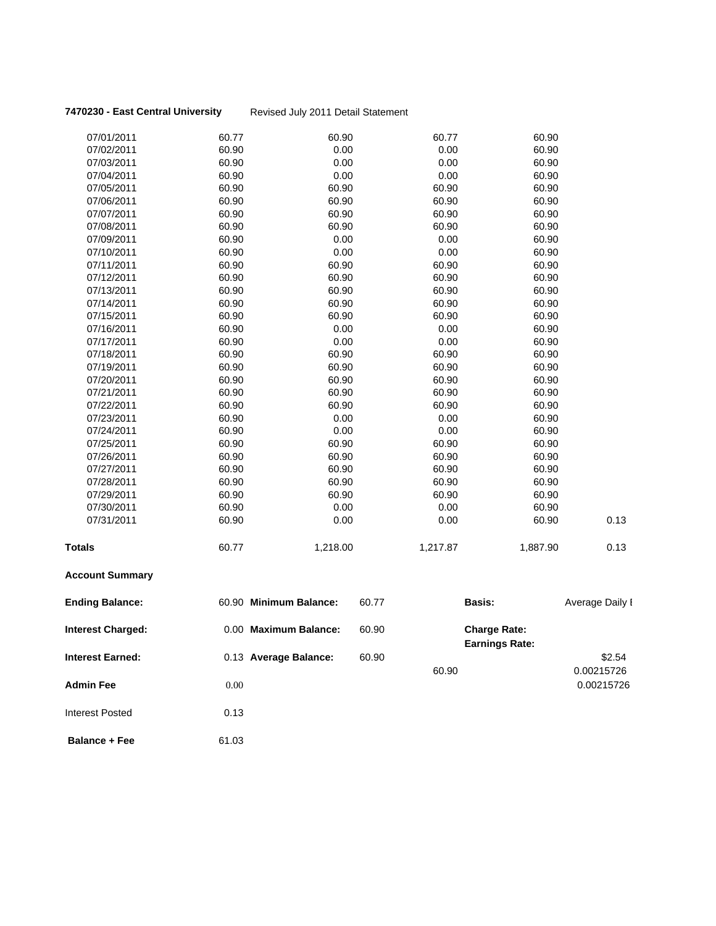### **7470230 - East Central University** Revised July 2011 Detail Statement

| <b>Interest Charged:</b> |       | 0.00 Maximum Balance:  | 60.90 |               | <b>Charge Rate:</b> |                 |
|--------------------------|-------|------------------------|-------|---------------|---------------------|-----------------|
| <b>Ending Balance:</b>   |       | 60.90 Minimum Balance: | 60.77 | <b>Basis:</b> |                     | Average Daily I |
| <b>Account Summary</b>   |       |                        |       |               |                     |                 |
| <b>Totals</b>            | 60.77 | 1,218.00               |       | 1,217.87      | 1,887.90            | 0.13            |
| 07/31/2011               | 60.90 | 0.00                   |       | 0.00          | 60.90               | 0.13            |
| 07/30/2011               | 60.90 | 0.00                   |       | 0.00          | 60.90               |                 |
| 07/29/2011               | 60.90 | 60.90                  |       | 60.90         | 60.90               |                 |
| 07/28/2011               | 60.90 | 60.90                  |       | 60.90         | 60.90               |                 |
| 07/27/2011               | 60.90 | 60.90                  |       | 60.90         | 60.90               |                 |
| 07/26/2011               | 60.90 | 60.90                  |       | 60.90         | 60.90               |                 |
| 07/25/2011               | 60.90 | 60.90                  |       | 60.90         | 60.90               |                 |
| 07/24/2011               | 60.90 | 0.00                   |       | 0.00          | 60.90               |                 |
| 07/23/2011               | 60.90 | 0.00                   |       | 0.00          | 60.90               |                 |
| 07/22/2011               | 60.90 | 60.90                  |       | 60.90         | 60.90               |                 |
| 07/21/2011               | 60.90 | 60.90                  |       | 60.90         | 60.90               |                 |
| 07/20/2011               | 60.90 | 60.90                  |       | 60.90         | 60.90               |                 |
| 07/19/2011               | 60.90 | 60.90                  |       | 60.90         | 60.90               |                 |
| 07/18/2011               | 60.90 | 60.90                  |       | 60.90         | 60.90               |                 |
| 07/17/2011               | 60.90 | 0.00                   |       | 0.00          | 60.90               |                 |
| 07/16/2011               | 60.90 | 0.00                   |       | 0.00          | 60.90               |                 |
| 07/15/2011               | 60.90 | 60.90                  |       | 60.90         | 60.90               |                 |
| 07/14/2011               | 60.90 | 60.90                  |       | 60.90         | 60.90               |                 |
| 07/13/2011               | 60.90 | 60.90                  |       | 60.90         | 60.90               |                 |
| 07/12/2011               | 60.90 | 60.90                  |       | 60.90         | 60.90               |                 |
| 07/11/2011               | 60.90 | 60.90                  |       | 60.90         | 60.90               |                 |
| 07/10/2011               | 60.90 | 0.00                   |       | 0.00          | 60.90               |                 |
| 07/09/2011               | 60.90 | 0.00                   |       | 0.00          | 60.90               |                 |
| 07/08/2011               | 60.90 | 60.90                  |       | 60.90         | 60.90               |                 |
| 07/07/2011               | 60.90 | 60.90                  |       | 60.90         | 60.90               |                 |
| 07/06/2011               | 60.90 | 60.90                  |       | 60.90         | 60.90               |                 |
| 07/05/2011               | 60.90 | 60.90                  |       | 60.90         | 60.90               |                 |
| 07/04/2011               | 60.90 | 0.00                   |       | 0.00          | 60.90               |                 |
| 07/03/2011               | 60.90 | 0.00                   |       | 0.00          | 60.90               |                 |
| 07/02/2011               | 60.90 | 0.00                   |       | 0.00          | 60.90               |                 |
| 07/01/2011               | 60.77 | 60.90                  |       | 60.77         | 60.90               |                 |

| <b>Interest Charged:</b> | 0.00 Maximum Balance: | 60.90 | <b>Charge Rate:</b>   |            |
|--------------------------|-----------------------|-------|-----------------------|------------|
|                          |                       |       | <b>Earnings Rate:</b> |            |
| Interest Earned:         | 0.13 Average Balance: | 60.90 |                       | \$2.54     |
|                          |                       |       | 60.90                 | 0.00215726 |
| Admin Fee                | 0.00                  |       |                       | 0.00215726 |

**Balance + Fee** 61.03

Interest Posted 0.13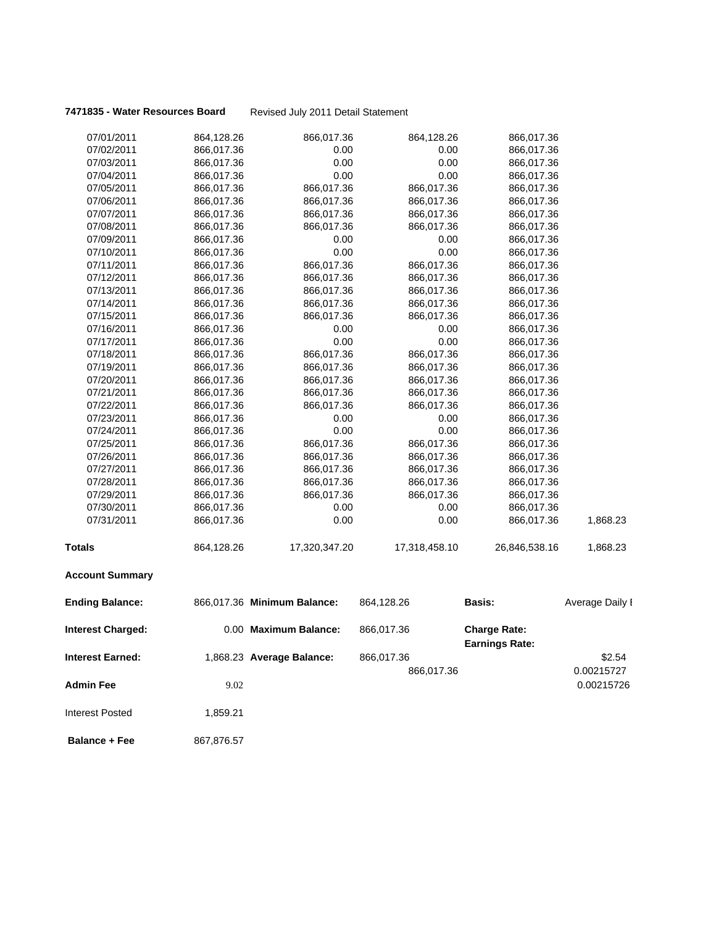**7471835 - Water Resources Board** Revised July 2011 Detail Statement

| 07/01/2011               | 864,128.26 | 866,017.36                  | 864,128.26    | 866,017.36                                   |                 |
|--------------------------|------------|-----------------------------|---------------|----------------------------------------------|-----------------|
| 07/02/2011               | 866,017.36 | 0.00                        | 0.00          | 866,017.36                                   |                 |
| 07/03/2011               | 866,017.36 | 0.00                        | 0.00          | 866,017.36                                   |                 |
| 07/04/2011               | 866,017.36 | 0.00                        | 0.00          | 866,017.36                                   |                 |
| 07/05/2011               | 866,017.36 | 866,017.36                  | 866,017.36    | 866,017.36                                   |                 |
| 07/06/2011               | 866,017.36 | 866,017.36                  | 866,017.36    | 866,017.36                                   |                 |
| 07/07/2011               | 866,017.36 | 866,017.36                  | 866,017.36    | 866,017.36                                   |                 |
| 07/08/2011               | 866,017.36 | 866,017.36                  | 866,017.36    | 866,017.36                                   |                 |
| 07/09/2011               | 866,017.36 | 0.00                        | 0.00          | 866,017.36                                   |                 |
| 07/10/2011               | 866,017.36 | 0.00                        | 0.00          | 866,017.36                                   |                 |
| 07/11/2011               | 866,017.36 | 866,017.36                  | 866,017.36    | 866,017.36                                   |                 |
| 07/12/2011               | 866,017.36 | 866,017.36                  | 866,017.36    | 866,017.36                                   |                 |
| 07/13/2011               | 866,017.36 | 866,017.36                  | 866,017.36    | 866,017.36                                   |                 |
| 07/14/2011               | 866,017.36 | 866,017.36                  | 866,017.36    | 866,017.36                                   |                 |
| 07/15/2011               | 866,017.36 | 866,017.36                  | 866,017.36    | 866,017.36                                   |                 |
| 07/16/2011               | 866,017.36 | 0.00                        | 0.00          | 866,017.36                                   |                 |
| 07/17/2011               | 866,017.36 | 0.00                        | 0.00          | 866,017.36                                   |                 |
| 07/18/2011               | 866,017.36 | 866,017.36                  | 866,017.36    | 866,017.36                                   |                 |
| 07/19/2011               | 866,017.36 | 866,017.36                  | 866,017.36    | 866,017.36                                   |                 |
| 07/20/2011               | 866,017.36 | 866,017.36                  | 866,017.36    | 866,017.36                                   |                 |
| 07/21/2011               | 866,017.36 | 866,017.36                  | 866,017.36    | 866,017.36                                   |                 |
| 07/22/2011               | 866,017.36 | 866,017.36                  | 866,017.36    | 866,017.36                                   |                 |
| 07/23/2011               | 866,017.36 | 0.00                        | 0.00          | 866,017.36                                   |                 |
| 07/24/2011               | 866,017.36 | 0.00                        | 0.00          | 866,017.36                                   |                 |
| 07/25/2011               | 866,017.36 | 866,017.36                  | 866,017.36    | 866,017.36                                   |                 |
| 07/26/2011               | 866,017.36 | 866,017.36                  | 866,017.36    | 866,017.36                                   |                 |
| 07/27/2011               | 866,017.36 | 866,017.36                  | 866,017.36    | 866,017.36                                   |                 |
| 07/28/2011               | 866,017.36 | 866,017.36                  | 866,017.36    | 866,017.36                                   |                 |
| 07/29/2011               | 866,017.36 | 866,017.36                  | 866,017.36    | 866,017.36                                   |                 |
| 07/30/2011               | 866,017.36 | 0.00                        | 0.00          | 866,017.36                                   |                 |
| 07/31/2011               | 866,017.36 | 0.00                        | 0.00          | 866,017.36                                   | 1,868.23        |
| Totals                   | 864,128.26 | 17,320,347.20               | 17,318,458.10 | 26,846,538.16                                | 1,868.23        |
| <b>Account Summary</b>   |            |                             |               |                                              |                 |
| <b>Ending Balance:</b>   |            | 866,017.36 Minimum Balance: | 864,128.26    | Basis:                                       | Average Daily I |
| <b>Interest Charged:</b> |            | 0.00 Maximum Balance:       | 866,017.36    | <b>Charge Rate:</b><br><b>Earnings Rate:</b> |                 |
| <b>Interest Earned:</b>  |            |                             |               |                                              |                 |
|                          |            | 1,868.23 Average Balance:   | 866,017.36    |                                              | \$2.54          |
|                          |            |                             | 866,017.36    |                                              | 0.00215727      |
| Admin Fee                | 9.02       |                             |               |                                              | 0.00215726      |
| <b>Interest Posted</b>   | 1,859.21   |                             |               |                                              |                 |
| <b>Balance + Fee</b>     | 867,876.57 |                             |               |                                              |                 |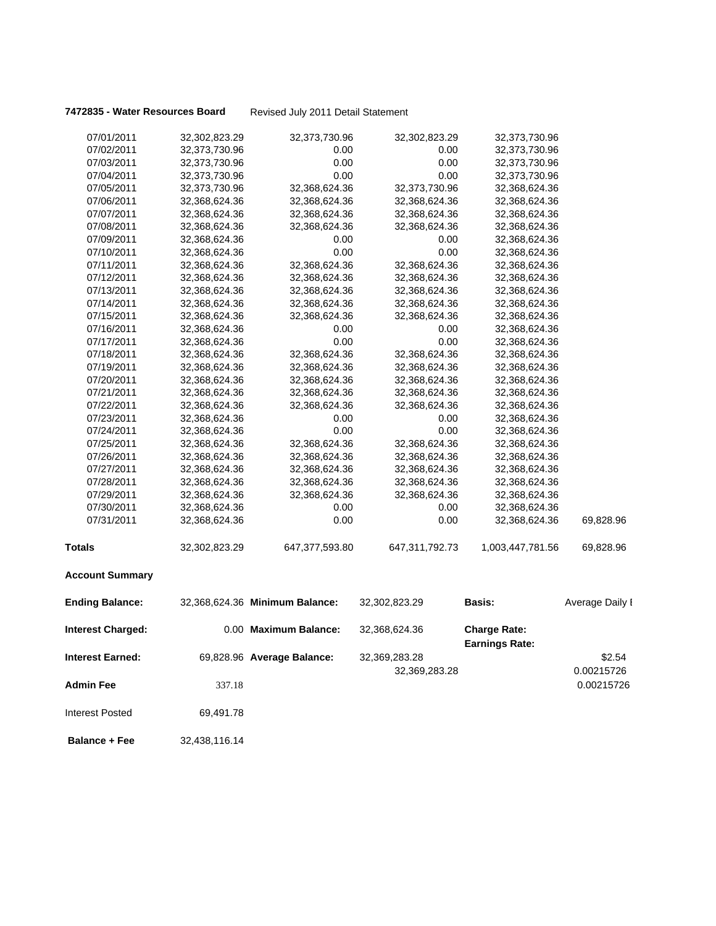|  |  | 7472835 - Water Resources Board |  |
|--|--|---------------------------------|--|
|--|--|---------------------------------|--|

| 07/01/2011               | 32,302,823.29 | 32,373,730.96                  | 32,302,823.29  | 32,373,730.96                                |                 |
|--------------------------|---------------|--------------------------------|----------------|----------------------------------------------|-----------------|
| 07/02/2011               | 32,373,730.96 | 0.00                           | 0.00           | 32,373,730.96                                |                 |
| 07/03/2011               | 32,373,730.96 | 0.00                           | 0.00           | 32,373,730.96                                |                 |
| 07/04/2011               | 32,373,730.96 | 0.00                           | 0.00           | 32,373,730.96                                |                 |
| 07/05/2011               | 32,373,730.96 | 32,368,624.36                  | 32,373,730.96  | 32,368,624.36                                |                 |
| 07/06/2011               | 32,368,624.36 | 32,368,624.36                  | 32,368,624.36  | 32,368,624.36                                |                 |
| 07/07/2011               | 32,368,624.36 | 32,368,624.36                  | 32,368,624.36  | 32,368,624.36                                |                 |
| 07/08/2011               | 32,368,624.36 | 32,368,624.36                  | 32,368,624.36  | 32,368,624.36                                |                 |
| 07/09/2011               | 32,368,624.36 | 0.00                           | 0.00           | 32,368,624.36                                |                 |
| 07/10/2011               | 32,368,624.36 | 0.00                           | 0.00           | 32,368,624.36                                |                 |
| 07/11/2011               | 32,368,624.36 | 32,368,624.36                  | 32,368,624.36  | 32,368,624.36                                |                 |
| 07/12/2011               | 32,368,624.36 | 32,368,624.36                  | 32,368,624.36  | 32,368,624.36                                |                 |
| 07/13/2011               | 32,368,624.36 | 32,368,624.36                  | 32,368,624.36  | 32,368,624.36                                |                 |
| 07/14/2011               | 32,368,624.36 | 32,368,624.36                  | 32,368,624.36  | 32,368,624.36                                |                 |
| 07/15/2011               | 32,368,624.36 | 32,368,624.36                  | 32,368,624.36  | 32,368,624.36                                |                 |
| 07/16/2011               | 32,368,624.36 | 0.00                           | 0.00           | 32,368,624.36                                |                 |
| 07/17/2011               | 32,368,624.36 | 0.00                           | 0.00           | 32,368,624.36                                |                 |
| 07/18/2011               | 32,368,624.36 | 32,368,624.36                  | 32,368,624.36  | 32,368,624.36                                |                 |
| 07/19/2011               | 32,368,624.36 | 32,368,624.36                  | 32,368,624.36  | 32,368,624.36                                |                 |
| 07/20/2011               | 32,368,624.36 | 32,368,624.36                  | 32,368,624.36  | 32,368,624.36                                |                 |
| 07/21/2011               | 32,368,624.36 | 32,368,624.36                  | 32,368,624.36  | 32,368,624.36                                |                 |
| 07/22/2011               | 32,368,624.36 | 32,368,624.36                  | 32,368,624.36  | 32,368,624.36                                |                 |
| 07/23/2011               | 32,368,624.36 | 0.00                           | 0.00           | 32,368,624.36                                |                 |
| 07/24/2011               | 32,368,624.36 | 0.00                           | 0.00           | 32,368,624.36                                |                 |
| 07/25/2011               | 32,368,624.36 | 32,368,624.36                  | 32,368,624.36  | 32,368,624.36                                |                 |
| 07/26/2011               | 32,368,624.36 | 32,368,624.36                  | 32,368,624.36  | 32,368,624.36                                |                 |
| 07/27/2011               | 32,368,624.36 | 32,368,624.36                  | 32,368,624.36  | 32,368,624.36                                |                 |
| 07/28/2011               | 32,368,624.36 | 32,368,624.36                  | 32,368,624.36  | 32,368,624.36                                |                 |
| 07/29/2011               | 32,368,624.36 | 32,368,624.36                  | 32,368,624.36  | 32,368,624.36                                |                 |
| 07/30/2011               | 32,368,624.36 | 0.00                           | 0.00           | 32,368,624.36                                |                 |
| 07/31/2011               | 32,368,624.36 | 0.00                           | 0.00           | 32,368,624.36                                | 69,828.96       |
| <b>Totals</b>            | 32,302,823.29 | 647,377,593.80                 | 647,311,792.73 | 1,003,447,781.56                             | 69,828.96       |
| <b>Account Summary</b>   |               |                                |                |                                              |                 |
| <b>Ending Balance:</b>   |               | 32,368,624.36 Minimum Balance: | 32,302,823.29  | Basis:                                       | Average Daily I |
| <b>Interest Charged:</b> |               | 0.00 Maximum Balance:          | 32,368,624.36  | <b>Charge Rate:</b><br><b>Earnings Rate:</b> |                 |
| <b>Interest Earned:</b>  |               | 69,828.96 Average Balance:     | 32,369,283.28  |                                              | \$2.54          |
|                          |               |                                | 32,369,283.28  |                                              | 0.00215726      |
| <b>Admin Fee</b>         | 337.18        |                                |                |                                              | 0.00215726      |
| <b>Interest Posted</b>   | 69,491.78     |                                |                |                                              |                 |
| <b>Balance + Fee</b>     | 32,438,116.14 |                                |                |                                              |                 |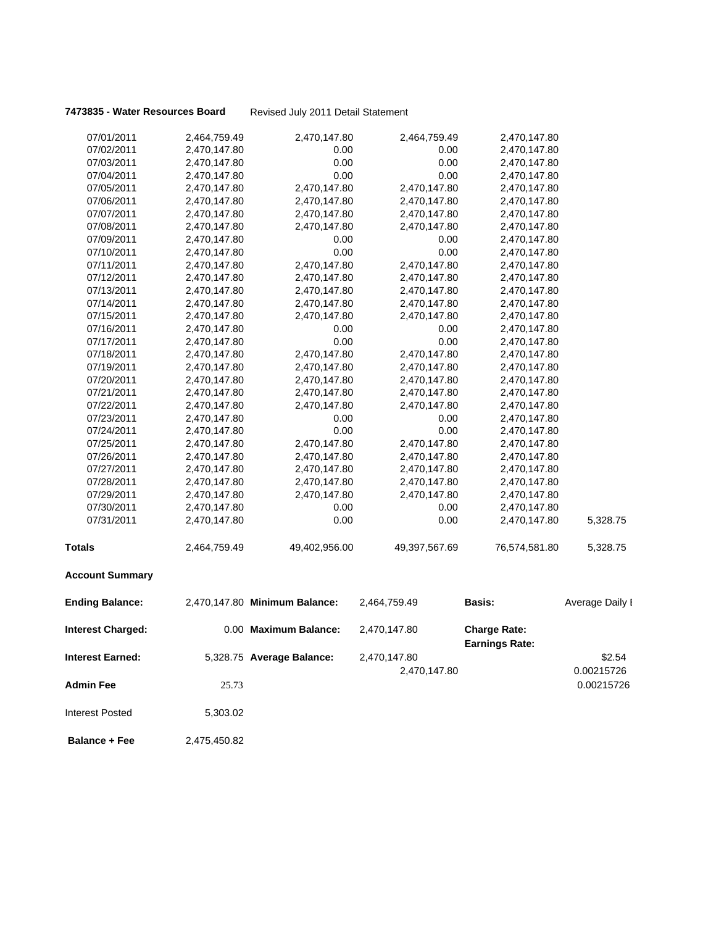|  |  | 7473835 - Water Resources Board |  |
|--|--|---------------------------------|--|
|--|--|---------------------------------|--|

| 07/01/2011               | 2,464,759.49 | 2,470,147.80                  | 2,464,759.49  | 2,470,147.80                                 |                 |
|--------------------------|--------------|-------------------------------|---------------|----------------------------------------------|-----------------|
| 07/02/2011               | 2,470,147.80 | 0.00                          | 0.00          | 2,470,147.80                                 |                 |
| 07/03/2011               | 2,470,147.80 | 0.00                          | 0.00          | 2,470,147.80                                 |                 |
| 07/04/2011               | 2,470,147.80 | 0.00                          | 0.00          | 2,470,147.80                                 |                 |
| 07/05/2011               | 2,470,147.80 | 2,470,147.80                  | 2,470,147.80  | 2,470,147.80                                 |                 |
| 07/06/2011               | 2,470,147.80 | 2,470,147.80                  | 2,470,147.80  | 2,470,147.80                                 |                 |
| 07/07/2011               | 2,470,147.80 | 2,470,147.80                  | 2,470,147.80  | 2,470,147.80                                 |                 |
| 07/08/2011               | 2,470,147.80 | 2,470,147.80                  | 2,470,147.80  | 2,470,147.80                                 |                 |
| 07/09/2011               | 2,470,147.80 | 0.00                          | 0.00          | 2,470,147.80                                 |                 |
| 07/10/2011               | 2,470,147.80 | 0.00                          | 0.00          | 2,470,147.80                                 |                 |
| 07/11/2011               | 2,470,147.80 | 2,470,147.80                  | 2,470,147.80  | 2,470,147.80                                 |                 |
| 07/12/2011               | 2,470,147.80 | 2,470,147.80                  | 2,470,147.80  | 2,470,147.80                                 |                 |
| 07/13/2011               | 2,470,147.80 | 2,470,147.80                  | 2,470,147.80  | 2,470,147.80                                 |                 |
| 07/14/2011               | 2,470,147.80 | 2,470,147.80                  | 2,470,147.80  | 2,470,147.80                                 |                 |
| 07/15/2011               | 2,470,147.80 | 2,470,147.80                  | 2,470,147.80  | 2,470,147.80                                 |                 |
| 07/16/2011               | 2,470,147.80 | 0.00                          | 0.00          | 2,470,147.80                                 |                 |
| 07/17/2011               | 2,470,147.80 | 0.00                          | 0.00          | 2,470,147.80                                 |                 |
| 07/18/2011               | 2,470,147.80 | 2,470,147.80                  | 2,470,147.80  | 2,470,147.80                                 |                 |
| 07/19/2011               | 2,470,147.80 | 2,470,147.80                  | 2,470,147.80  | 2,470,147.80                                 |                 |
| 07/20/2011               | 2,470,147.80 | 2,470,147.80                  | 2,470,147.80  | 2,470,147.80                                 |                 |
| 07/21/2011               | 2,470,147.80 | 2,470,147.80                  | 2,470,147.80  | 2,470,147.80                                 |                 |
| 07/22/2011               | 2,470,147.80 | 2,470,147.80                  | 2,470,147.80  | 2,470,147.80                                 |                 |
| 07/23/2011               | 2,470,147.80 | 0.00                          | 0.00          | 2,470,147.80                                 |                 |
| 07/24/2011               | 2,470,147.80 | 0.00                          | 0.00          | 2,470,147.80                                 |                 |
| 07/25/2011               | 2,470,147.80 | 2,470,147.80                  | 2,470,147.80  | 2,470,147.80                                 |                 |
| 07/26/2011               | 2,470,147.80 | 2,470,147.80                  | 2,470,147.80  | 2,470,147.80                                 |                 |
| 07/27/2011               | 2,470,147.80 | 2,470,147.80                  | 2,470,147.80  | 2,470,147.80                                 |                 |
| 07/28/2011               | 2,470,147.80 | 2,470,147.80                  | 2,470,147.80  | 2,470,147.80                                 |                 |
| 07/29/2011               | 2,470,147.80 | 2,470,147.80                  | 2,470,147.80  | 2,470,147.80                                 |                 |
| 07/30/2011               | 2,470,147.80 | 0.00                          | 0.00          | 2,470,147.80                                 |                 |
| 07/31/2011               | 2,470,147.80 | 0.00                          | 0.00          | 2,470,147.80                                 | 5,328.75        |
| <b>Totals</b>            | 2,464,759.49 | 49,402,956.00                 | 49,397,567.69 | 76,574,581.80                                | 5,328.75        |
| <b>Account Summary</b>   |              |                               |               |                                              |                 |
| <b>Ending Balance:</b>   |              | 2,470,147.80 Minimum Balance: | 2,464,759.49  | <b>Basis:</b>                                | Average Daily I |
| <b>Interest Charged:</b> |              | 0.00 Maximum Balance:         | 2,470,147.80  | <b>Charge Rate:</b><br><b>Earnings Rate:</b> |                 |
|                          |              |                               |               |                                              |                 |
| Interest Earned:         |              | 5,328.75 Average Balance:     | 2,470,147.80  |                                              | \$2.54          |
|                          |              |                               | 2,470,147.80  |                                              | 0.00215726      |
| <b>Admin Fee</b>         | 25.73        |                               |               |                                              | 0.00215726      |
| <b>Interest Posted</b>   | 5,303.02     |                               |               |                                              |                 |
| <b>Balance + Fee</b>     | 2,475,450.82 |                               |               |                                              |                 |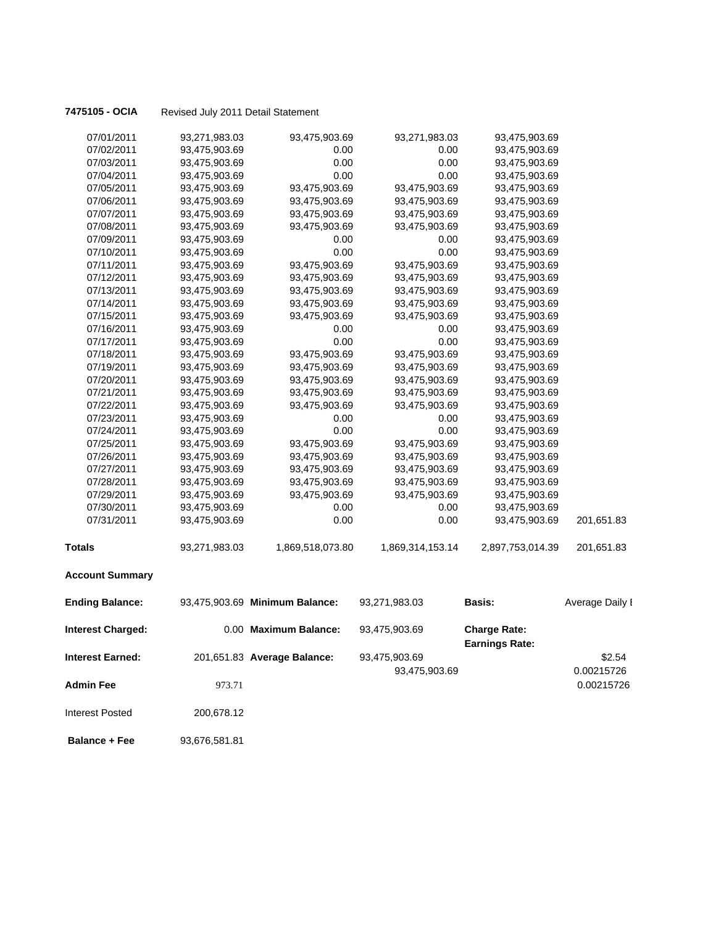| 07/01/2011               | 93,271,983.03 | 93,475,903.69                  | 93,271,983.03    | 93,475,903.69                                |                 |
|--------------------------|---------------|--------------------------------|------------------|----------------------------------------------|-----------------|
| 07/02/2011               | 93,475,903.69 | 0.00                           | 0.00             | 93,475,903.69                                |                 |
| 07/03/2011               | 93,475,903.69 | 0.00                           | 0.00             | 93,475,903.69                                |                 |
| 07/04/2011               | 93,475,903.69 | 0.00                           | 0.00             | 93,475,903.69                                |                 |
| 07/05/2011               | 93,475,903.69 | 93,475,903.69                  | 93,475,903.69    | 93,475,903.69                                |                 |
| 07/06/2011               | 93,475,903.69 | 93,475,903.69                  | 93,475,903.69    | 93,475,903.69                                |                 |
| 07/07/2011               | 93,475,903.69 | 93,475,903.69                  | 93,475,903.69    | 93,475,903.69                                |                 |
| 07/08/2011               | 93,475,903.69 | 93,475,903.69                  | 93,475,903.69    | 93,475,903.69                                |                 |
| 07/09/2011               | 93,475,903.69 | 0.00                           | 0.00             | 93,475,903.69                                |                 |
| 07/10/2011               | 93,475,903.69 | 0.00                           | 0.00             | 93,475,903.69                                |                 |
| 07/11/2011               | 93,475,903.69 | 93,475,903.69                  | 93,475,903.69    | 93,475,903.69                                |                 |
| 07/12/2011               | 93,475,903.69 | 93,475,903.69                  | 93,475,903.69    | 93,475,903.69                                |                 |
| 07/13/2011               | 93,475,903.69 | 93,475,903.69                  | 93,475,903.69    | 93,475,903.69                                |                 |
| 07/14/2011               | 93,475,903.69 | 93,475,903.69                  | 93,475,903.69    | 93,475,903.69                                |                 |
| 07/15/2011               | 93,475,903.69 | 93,475,903.69                  | 93,475,903.69    | 93,475,903.69                                |                 |
| 07/16/2011               | 93,475,903.69 | 0.00                           | 0.00             | 93,475,903.69                                |                 |
| 07/17/2011               | 93,475,903.69 | 0.00                           | 0.00             | 93,475,903.69                                |                 |
| 07/18/2011               | 93,475,903.69 | 93,475,903.69                  | 93,475,903.69    | 93,475,903.69                                |                 |
| 07/19/2011               | 93,475,903.69 | 93,475,903.69                  | 93,475,903.69    | 93,475,903.69                                |                 |
| 07/20/2011               | 93,475,903.69 | 93,475,903.69                  | 93,475,903.69    | 93,475,903.69                                |                 |
| 07/21/2011               | 93,475,903.69 | 93,475,903.69                  | 93,475,903.69    | 93,475,903.69                                |                 |
| 07/22/2011               | 93,475,903.69 | 93,475,903.69                  | 93,475,903.69    | 93,475,903.69                                |                 |
| 07/23/2011               | 93,475,903.69 | 0.00                           | 0.00             | 93,475,903.69                                |                 |
| 07/24/2011               | 93,475,903.69 | 0.00                           | 0.00             | 93,475,903.69                                |                 |
| 07/25/2011               | 93,475,903.69 | 93,475,903.69                  | 93,475,903.69    | 93,475,903.69                                |                 |
| 07/26/2011               | 93,475,903.69 | 93,475,903.69                  | 93,475,903.69    | 93,475,903.69                                |                 |
| 07/27/2011               | 93,475,903.69 | 93,475,903.69                  | 93,475,903.69    | 93,475,903.69                                |                 |
| 07/28/2011               | 93,475,903.69 | 93,475,903.69                  | 93,475,903.69    | 93,475,903.69                                |                 |
| 07/29/2011               | 93,475,903.69 | 93,475,903.69                  | 93,475,903.69    | 93,475,903.69                                |                 |
| 07/30/2011               | 93,475,903.69 | 0.00                           | 0.00             | 93,475,903.69                                |                 |
| 07/31/2011               | 93,475,903.69 | 0.00                           | 0.00             | 93,475,903.69                                | 201,651.83      |
| <b>Totals</b>            | 93,271,983.03 | 1,869,518,073.80               | 1,869,314,153.14 | 2,897,753,014.39                             | 201,651.83      |
| <b>Account Summary</b>   |               |                                |                  |                                              |                 |
| <b>Ending Balance:</b>   |               | 93,475,903.69 Minimum Balance: | 93,271,983.03    | <b>Basis:</b>                                | Average Daily I |
| <b>Interest Charged:</b> |               | 0.00 Maximum Balance:          | 93,475,903.69    | <b>Charge Rate:</b><br><b>Earnings Rate:</b> |                 |
| Interest Earned:         |               | 201,651.83 Average Balance:    | 93,475,903.69    |                                              | \$2.54          |
|                          |               |                                | 93,475,903.69    |                                              | 0.00215726      |
| <b>Admin Fee</b>         | 973.71        |                                |                  |                                              | 0.00215726      |
| Interest Posted          | 200,678.12    |                                |                  |                                              |                 |
| <b>Balance + Fee</b>     | 93,676,581.81 |                                |                  |                                              |                 |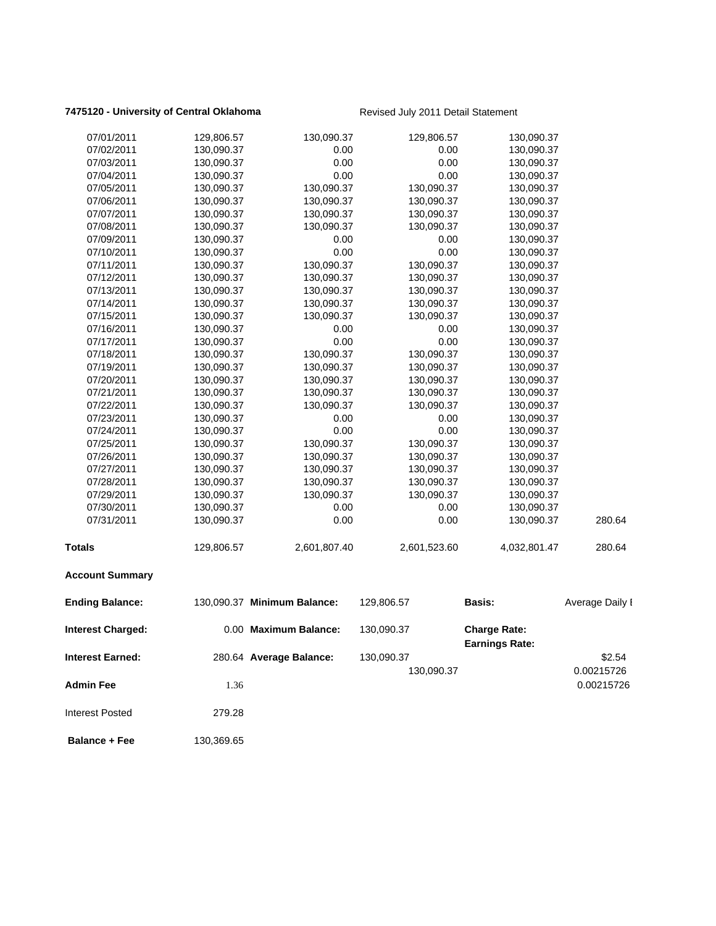### **7475120 - University of Central Oklahoma** Revised July 2011 Detail Statement

**Balance + Fee** 130,369.65

| 07/01/2011               | 129,806.57 | 130,090.37                  | 129,806.57   | 130,090.37                                   |                 |
|--------------------------|------------|-----------------------------|--------------|----------------------------------------------|-----------------|
| 07/02/2011               | 130,090.37 | 0.00                        | 0.00         | 130,090.37                                   |                 |
| 07/03/2011               | 130,090.37 | 0.00                        | 0.00         | 130,090.37                                   |                 |
| 07/04/2011               | 130,090.37 | 0.00                        | 0.00         | 130,090.37                                   |                 |
| 07/05/2011               | 130,090.37 | 130,090.37                  | 130,090.37   | 130,090.37                                   |                 |
| 07/06/2011               | 130,090.37 | 130,090.37                  | 130,090.37   | 130,090.37                                   |                 |
| 07/07/2011               | 130,090.37 | 130,090.37                  | 130,090.37   | 130,090.37                                   |                 |
| 07/08/2011               | 130,090.37 | 130,090.37                  | 130,090.37   | 130,090.37                                   |                 |
| 07/09/2011               | 130,090.37 | 0.00                        | 0.00         | 130,090.37                                   |                 |
| 07/10/2011               | 130,090.37 | 0.00                        | 0.00         | 130,090.37                                   |                 |
| 07/11/2011               | 130,090.37 | 130,090.37                  | 130,090.37   | 130,090.37                                   |                 |
| 07/12/2011               | 130,090.37 | 130,090.37                  | 130,090.37   | 130,090.37                                   |                 |
| 07/13/2011               | 130,090.37 | 130,090.37                  | 130,090.37   | 130,090.37                                   |                 |
| 07/14/2011               | 130,090.37 | 130,090.37                  | 130,090.37   | 130,090.37                                   |                 |
| 07/15/2011               | 130,090.37 | 130,090.37                  | 130,090.37   | 130,090.37                                   |                 |
| 07/16/2011               | 130,090.37 | 0.00                        | 0.00         | 130,090.37                                   |                 |
| 07/17/2011               | 130,090.37 | 0.00                        | 0.00         | 130,090.37                                   |                 |
| 07/18/2011               | 130,090.37 | 130,090.37                  | 130,090.37   | 130,090.37                                   |                 |
| 07/19/2011               | 130,090.37 | 130,090.37                  | 130,090.37   | 130,090.37                                   |                 |
| 07/20/2011               | 130,090.37 | 130,090.37                  | 130,090.37   | 130,090.37                                   |                 |
| 07/21/2011               | 130,090.37 | 130,090.37                  | 130,090.37   | 130,090.37                                   |                 |
| 07/22/2011               | 130,090.37 | 130,090.37                  | 130,090.37   | 130,090.37                                   |                 |
| 07/23/2011               | 130,090.37 | 0.00                        | 0.00         | 130,090.37                                   |                 |
| 07/24/2011               | 130,090.37 | 0.00                        | 0.00         | 130,090.37                                   |                 |
| 07/25/2011               | 130,090.37 | 130,090.37                  | 130,090.37   | 130,090.37                                   |                 |
| 07/26/2011               | 130,090.37 | 130,090.37                  | 130,090.37   | 130,090.37                                   |                 |
| 07/27/2011               | 130,090.37 | 130,090.37                  | 130,090.37   | 130,090.37                                   |                 |
| 07/28/2011               | 130,090.37 | 130,090.37                  | 130,090.37   | 130,090.37                                   |                 |
| 07/29/2011               | 130,090.37 | 130,090.37                  | 130,090.37   | 130,090.37                                   |                 |
| 07/30/2011               | 130,090.37 | 0.00                        | 0.00         | 130,090.37                                   |                 |
| 07/31/2011               | 130,090.37 | 0.00                        | 0.00         | 130,090.37                                   | 280.64          |
| <b>Totals</b>            | 129,806.57 | 2,601,807.40                | 2,601,523.60 | 4,032,801.47                                 | 280.64          |
| <b>Account Summary</b>   |            |                             |              |                                              |                 |
| <b>Ending Balance:</b>   |            | 130,090.37 Minimum Balance: | 129,806.57   | <b>Basis:</b>                                | Average Daily I |
| <b>Interest Charged:</b> |            | 0.00 Maximum Balance:       | 130,090.37   | <b>Charge Rate:</b><br><b>Earnings Rate:</b> |                 |
| <b>Interest Earned:</b>  |            | 280.64 Average Balance:     | 130,090.37   |                                              | \$2.54          |
|                          |            |                             | 130,090.37   |                                              | 0.00215726      |
| <b>Admin Fee</b>         | 1.36       |                             |              |                                              | 0.00215726      |
| <b>Interest Posted</b>   | 279.28     |                             |              |                                              |                 |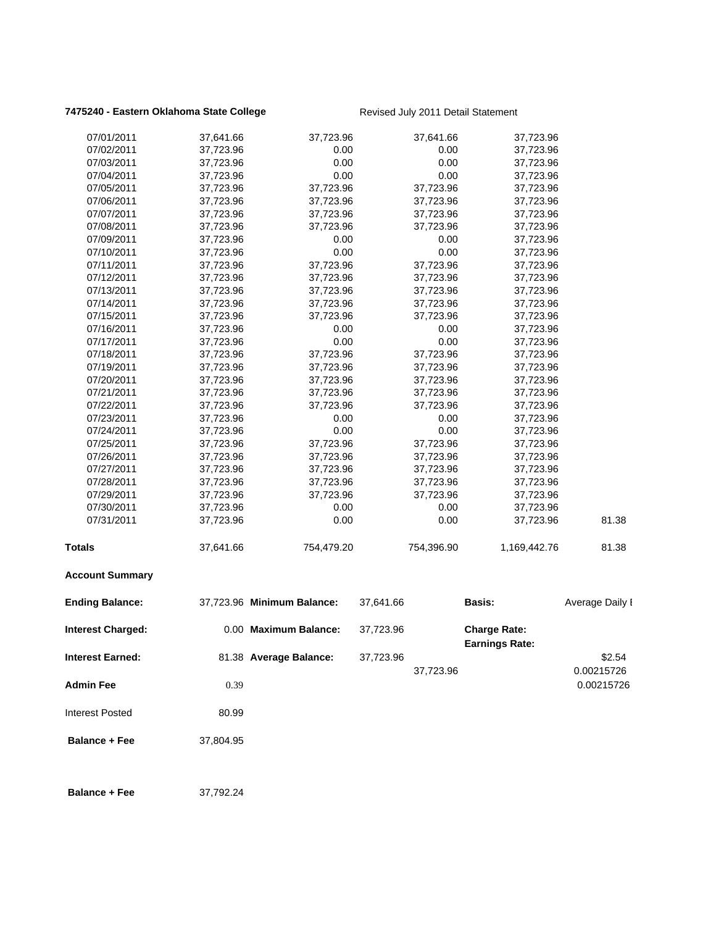### 7475240 - Eastern Oklahoma State College **Revised July 2011 Detail Statement**

| 07/02/2011<br>37,723.96<br>0.00<br>0.00<br>37,723.96<br>0.00<br>07/03/2011<br>37,723.96<br>0.00<br>37,723.96<br>0.00<br>07/04/2011<br>37,723.96<br>0.00<br>37,723.96<br>07/05/2011<br>37,723.96<br>37,723.96<br>37,723.96<br>37,723.96<br>37,723.96<br>37,723.96<br>37,723.96<br>07/06/2011<br>37,723.96<br>07/07/2011<br>37,723.96<br>37,723.96<br>37,723.96<br>37,723.96<br>37,723.96<br>07/08/2011<br>37,723.96<br>37,723.96<br>37,723.96<br>37,723.96<br>0.00<br>07/09/2011<br>0.00<br>37,723.96<br>0.00<br>0.00<br>07/10/2011<br>37,723.96<br>37,723.96<br>07/11/2011<br>37,723.96<br>37,723.96<br>37,723.96<br>37,723.96<br>07/12/2011<br>37,723.96<br>37,723.96<br>37,723.96<br>37,723.96<br>07/13/2011<br>37,723.96<br>37,723.96<br>37,723.96<br>37,723.96<br>07/14/2011<br>37,723.96<br>37,723.96<br>37,723.96<br>37,723.96<br>07/15/2011<br>37,723.96<br>37,723.96<br>37,723.96<br>37,723.96<br>37,723.96<br>0.00<br>0.00<br>07/16/2011<br>37,723.96<br>07/17/2011<br>37,723.96<br>0.00<br>0.00<br>37,723.96<br>07/18/2011<br>37,723.96<br>37,723.96<br>37,723.96<br>37,723.96<br>37,723.96<br>07/19/2011<br>37,723.96<br>37,723.96<br>37,723.96<br>37,723.96<br>07/20/2011<br>37,723.96<br>37,723.96<br>37,723.96<br>37,723.96<br>07/21/2011<br>37,723.96<br>37,723.96<br>37,723.96<br>37,723.96<br>07/22/2011<br>37,723.96<br>37,723.96<br>37,723.96<br>07/23/2011<br>37,723.96<br>0.00<br>0.00<br>37,723.96<br>0.00<br>07/24/2011<br>37,723.96<br>0.00<br>37,723.96<br>37,723.96<br>37,723.96<br>37,723.96<br>07/25/2011<br>37,723.96<br>07/26/2011<br>37,723.96<br>37,723.96<br>37,723.96<br>37,723.96<br>37,723.96<br>07/27/2011<br>37,723.96<br>37,723.96<br>37,723.96<br>07/28/2011<br>37,723.96<br>37,723.96<br>37,723.96<br>37,723.96<br>07/29/2011<br>37,723.96<br>37,723.96<br>37,723.96<br>37,723.96<br>07/30/2011<br>0.00<br>37,723.96<br>0.00<br>37,723.96<br>07/31/2011<br>0.00<br>0.00<br>81.38<br>37,723.96<br>37,723.96<br><b>Totals</b><br>37,641.66<br>754,479.20<br>754,396.90<br>1,169,442.76<br>81.38<br><b>Account Summary</b><br><b>Ending Balance:</b><br>37,723.96 Minimum Balance:<br>37,641.66<br><b>Basis:</b><br>0.00 Maximum Balance:<br><b>Charge Rate:</b><br><b>Interest Charged:</b><br>37,723.96<br><b>Earnings Rate:</b><br>\$2.54<br><b>Interest Earned:</b><br>81.38 Average Balance:<br>37,723.96<br>0.00215726<br>37,723.96<br><b>Admin Fee</b><br>0.39<br><b>Interest Posted</b><br>80.99<br><b>Balance + Fee</b><br>37,804.95<br><b>Balance + Fee</b><br>37,792.24 | 07/01/2011 | 37,641.66 | 37,723.96 | 37,641.66 | 37,723.96 |                 |
|--------------------------------------------------------------------------------------------------------------------------------------------------------------------------------------------------------------------------------------------------------------------------------------------------------------------------------------------------------------------------------------------------------------------------------------------------------------------------------------------------------------------------------------------------------------------------------------------------------------------------------------------------------------------------------------------------------------------------------------------------------------------------------------------------------------------------------------------------------------------------------------------------------------------------------------------------------------------------------------------------------------------------------------------------------------------------------------------------------------------------------------------------------------------------------------------------------------------------------------------------------------------------------------------------------------------------------------------------------------------------------------------------------------------------------------------------------------------------------------------------------------------------------------------------------------------------------------------------------------------------------------------------------------------------------------------------------------------------------------------------------------------------------------------------------------------------------------------------------------------------------------------------------------------------------------------------------------------------------------------------------------------------------------------------------------------------------------------------------------------------------------------------------------------------------------------------------------------------------------------------------------------------------------------------------------------------------------------------------------------------------------------------------------------------------------------------------------------------------------------------------------------------|------------|-----------|-----------|-----------|-----------|-----------------|
|                                                                                                                                                                                                                                                                                                                                                                                                                                                                                                                                                                                                                                                                                                                                                                                                                                                                                                                                                                                                                                                                                                                                                                                                                                                                                                                                                                                                                                                                                                                                                                                                                                                                                                                                                                                                                                                                                                                                                                                                                                                                                                                                                                                                                                                                                                                                                                                                                                                                                                                          |            |           |           |           |           |                 |
|                                                                                                                                                                                                                                                                                                                                                                                                                                                                                                                                                                                                                                                                                                                                                                                                                                                                                                                                                                                                                                                                                                                                                                                                                                                                                                                                                                                                                                                                                                                                                                                                                                                                                                                                                                                                                                                                                                                                                                                                                                                                                                                                                                                                                                                                                                                                                                                                                                                                                                                          |            |           |           |           |           |                 |
|                                                                                                                                                                                                                                                                                                                                                                                                                                                                                                                                                                                                                                                                                                                                                                                                                                                                                                                                                                                                                                                                                                                                                                                                                                                                                                                                                                                                                                                                                                                                                                                                                                                                                                                                                                                                                                                                                                                                                                                                                                                                                                                                                                                                                                                                                                                                                                                                                                                                                                                          |            |           |           |           |           |                 |
|                                                                                                                                                                                                                                                                                                                                                                                                                                                                                                                                                                                                                                                                                                                                                                                                                                                                                                                                                                                                                                                                                                                                                                                                                                                                                                                                                                                                                                                                                                                                                                                                                                                                                                                                                                                                                                                                                                                                                                                                                                                                                                                                                                                                                                                                                                                                                                                                                                                                                                                          |            |           |           |           |           |                 |
|                                                                                                                                                                                                                                                                                                                                                                                                                                                                                                                                                                                                                                                                                                                                                                                                                                                                                                                                                                                                                                                                                                                                                                                                                                                                                                                                                                                                                                                                                                                                                                                                                                                                                                                                                                                                                                                                                                                                                                                                                                                                                                                                                                                                                                                                                                                                                                                                                                                                                                                          |            |           |           |           |           |                 |
|                                                                                                                                                                                                                                                                                                                                                                                                                                                                                                                                                                                                                                                                                                                                                                                                                                                                                                                                                                                                                                                                                                                                                                                                                                                                                                                                                                                                                                                                                                                                                                                                                                                                                                                                                                                                                                                                                                                                                                                                                                                                                                                                                                                                                                                                                                                                                                                                                                                                                                                          |            |           |           |           |           |                 |
|                                                                                                                                                                                                                                                                                                                                                                                                                                                                                                                                                                                                                                                                                                                                                                                                                                                                                                                                                                                                                                                                                                                                                                                                                                                                                                                                                                                                                                                                                                                                                                                                                                                                                                                                                                                                                                                                                                                                                                                                                                                                                                                                                                                                                                                                                                                                                                                                                                                                                                                          |            |           |           |           |           |                 |
|                                                                                                                                                                                                                                                                                                                                                                                                                                                                                                                                                                                                                                                                                                                                                                                                                                                                                                                                                                                                                                                                                                                                                                                                                                                                                                                                                                                                                                                                                                                                                                                                                                                                                                                                                                                                                                                                                                                                                                                                                                                                                                                                                                                                                                                                                                                                                                                                                                                                                                                          |            |           |           |           |           |                 |
|                                                                                                                                                                                                                                                                                                                                                                                                                                                                                                                                                                                                                                                                                                                                                                                                                                                                                                                                                                                                                                                                                                                                                                                                                                                                                                                                                                                                                                                                                                                                                                                                                                                                                                                                                                                                                                                                                                                                                                                                                                                                                                                                                                                                                                                                                                                                                                                                                                                                                                                          |            |           |           |           |           |                 |
|                                                                                                                                                                                                                                                                                                                                                                                                                                                                                                                                                                                                                                                                                                                                                                                                                                                                                                                                                                                                                                                                                                                                                                                                                                                                                                                                                                                                                                                                                                                                                                                                                                                                                                                                                                                                                                                                                                                                                                                                                                                                                                                                                                                                                                                                                                                                                                                                                                                                                                                          |            |           |           |           |           |                 |
|                                                                                                                                                                                                                                                                                                                                                                                                                                                                                                                                                                                                                                                                                                                                                                                                                                                                                                                                                                                                                                                                                                                                                                                                                                                                                                                                                                                                                                                                                                                                                                                                                                                                                                                                                                                                                                                                                                                                                                                                                                                                                                                                                                                                                                                                                                                                                                                                                                                                                                                          |            |           |           |           |           |                 |
|                                                                                                                                                                                                                                                                                                                                                                                                                                                                                                                                                                                                                                                                                                                                                                                                                                                                                                                                                                                                                                                                                                                                                                                                                                                                                                                                                                                                                                                                                                                                                                                                                                                                                                                                                                                                                                                                                                                                                                                                                                                                                                                                                                                                                                                                                                                                                                                                                                                                                                                          |            |           |           |           |           |                 |
|                                                                                                                                                                                                                                                                                                                                                                                                                                                                                                                                                                                                                                                                                                                                                                                                                                                                                                                                                                                                                                                                                                                                                                                                                                                                                                                                                                                                                                                                                                                                                                                                                                                                                                                                                                                                                                                                                                                                                                                                                                                                                                                                                                                                                                                                                                                                                                                                                                                                                                                          |            |           |           |           |           |                 |
|                                                                                                                                                                                                                                                                                                                                                                                                                                                                                                                                                                                                                                                                                                                                                                                                                                                                                                                                                                                                                                                                                                                                                                                                                                                                                                                                                                                                                                                                                                                                                                                                                                                                                                                                                                                                                                                                                                                                                                                                                                                                                                                                                                                                                                                                                                                                                                                                                                                                                                                          |            |           |           |           |           |                 |
|                                                                                                                                                                                                                                                                                                                                                                                                                                                                                                                                                                                                                                                                                                                                                                                                                                                                                                                                                                                                                                                                                                                                                                                                                                                                                                                                                                                                                                                                                                                                                                                                                                                                                                                                                                                                                                                                                                                                                                                                                                                                                                                                                                                                                                                                                                                                                                                                                                                                                                                          |            |           |           |           |           |                 |
|                                                                                                                                                                                                                                                                                                                                                                                                                                                                                                                                                                                                                                                                                                                                                                                                                                                                                                                                                                                                                                                                                                                                                                                                                                                                                                                                                                                                                                                                                                                                                                                                                                                                                                                                                                                                                                                                                                                                                                                                                                                                                                                                                                                                                                                                                                                                                                                                                                                                                                                          |            |           |           |           |           |                 |
|                                                                                                                                                                                                                                                                                                                                                                                                                                                                                                                                                                                                                                                                                                                                                                                                                                                                                                                                                                                                                                                                                                                                                                                                                                                                                                                                                                                                                                                                                                                                                                                                                                                                                                                                                                                                                                                                                                                                                                                                                                                                                                                                                                                                                                                                                                                                                                                                                                                                                                                          |            |           |           |           |           |                 |
|                                                                                                                                                                                                                                                                                                                                                                                                                                                                                                                                                                                                                                                                                                                                                                                                                                                                                                                                                                                                                                                                                                                                                                                                                                                                                                                                                                                                                                                                                                                                                                                                                                                                                                                                                                                                                                                                                                                                                                                                                                                                                                                                                                                                                                                                                                                                                                                                                                                                                                                          |            |           |           |           |           |                 |
|                                                                                                                                                                                                                                                                                                                                                                                                                                                                                                                                                                                                                                                                                                                                                                                                                                                                                                                                                                                                                                                                                                                                                                                                                                                                                                                                                                                                                                                                                                                                                                                                                                                                                                                                                                                                                                                                                                                                                                                                                                                                                                                                                                                                                                                                                                                                                                                                                                                                                                                          |            |           |           |           |           |                 |
|                                                                                                                                                                                                                                                                                                                                                                                                                                                                                                                                                                                                                                                                                                                                                                                                                                                                                                                                                                                                                                                                                                                                                                                                                                                                                                                                                                                                                                                                                                                                                                                                                                                                                                                                                                                                                                                                                                                                                                                                                                                                                                                                                                                                                                                                                                                                                                                                                                                                                                                          |            |           |           |           |           |                 |
|                                                                                                                                                                                                                                                                                                                                                                                                                                                                                                                                                                                                                                                                                                                                                                                                                                                                                                                                                                                                                                                                                                                                                                                                                                                                                                                                                                                                                                                                                                                                                                                                                                                                                                                                                                                                                                                                                                                                                                                                                                                                                                                                                                                                                                                                                                                                                                                                                                                                                                                          |            |           |           |           |           |                 |
|                                                                                                                                                                                                                                                                                                                                                                                                                                                                                                                                                                                                                                                                                                                                                                                                                                                                                                                                                                                                                                                                                                                                                                                                                                                                                                                                                                                                                                                                                                                                                                                                                                                                                                                                                                                                                                                                                                                                                                                                                                                                                                                                                                                                                                                                                                                                                                                                                                                                                                                          |            |           |           |           |           |                 |
|                                                                                                                                                                                                                                                                                                                                                                                                                                                                                                                                                                                                                                                                                                                                                                                                                                                                                                                                                                                                                                                                                                                                                                                                                                                                                                                                                                                                                                                                                                                                                                                                                                                                                                                                                                                                                                                                                                                                                                                                                                                                                                                                                                                                                                                                                                                                                                                                                                                                                                                          |            |           |           |           |           |                 |
|                                                                                                                                                                                                                                                                                                                                                                                                                                                                                                                                                                                                                                                                                                                                                                                                                                                                                                                                                                                                                                                                                                                                                                                                                                                                                                                                                                                                                                                                                                                                                                                                                                                                                                                                                                                                                                                                                                                                                                                                                                                                                                                                                                                                                                                                                                                                                                                                                                                                                                                          |            |           |           |           |           |                 |
|                                                                                                                                                                                                                                                                                                                                                                                                                                                                                                                                                                                                                                                                                                                                                                                                                                                                                                                                                                                                                                                                                                                                                                                                                                                                                                                                                                                                                                                                                                                                                                                                                                                                                                                                                                                                                                                                                                                                                                                                                                                                                                                                                                                                                                                                                                                                                                                                                                                                                                                          |            |           |           |           |           |                 |
|                                                                                                                                                                                                                                                                                                                                                                                                                                                                                                                                                                                                                                                                                                                                                                                                                                                                                                                                                                                                                                                                                                                                                                                                                                                                                                                                                                                                                                                                                                                                                                                                                                                                                                                                                                                                                                                                                                                                                                                                                                                                                                                                                                                                                                                                                                                                                                                                                                                                                                                          |            |           |           |           |           |                 |
|                                                                                                                                                                                                                                                                                                                                                                                                                                                                                                                                                                                                                                                                                                                                                                                                                                                                                                                                                                                                                                                                                                                                                                                                                                                                                                                                                                                                                                                                                                                                                                                                                                                                                                                                                                                                                                                                                                                                                                                                                                                                                                                                                                                                                                                                                                                                                                                                                                                                                                                          |            |           |           |           |           |                 |
|                                                                                                                                                                                                                                                                                                                                                                                                                                                                                                                                                                                                                                                                                                                                                                                                                                                                                                                                                                                                                                                                                                                                                                                                                                                                                                                                                                                                                                                                                                                                                                                                                                                                                                                                                                                                                                                                                                                                                                                                                                                                                                                                                                                                                                                                                                                                                                                                                                                                                                                          |            |           |           |           |           |                 |
|                                                                                                                                                                                                                                                                                                                                                                                                                                                                                                                                                                                                                                                                                                                                                                                                                                                                                                                                                                                                                                                                                                                                                                                                                                                                                                                                                                                                                                                                                                                                                                                                                                                                                                                                                                                                                                                                                                                                                                                                                                                                                                                                                                                                                                                                                                                                                                                                                                                                                                                          |            |           |           |           |           |                 |
|                                                                                                                                                                                                                                                                                                                                                                                                                                                                                                                                                                                                                                                                                                                                                                                                                                                                                                                                                                                                                                                                                                                                                                                                                                                                                                                                                                                                                                                                                                                                                                                                                                                                                                                                                                                                                                                                                                                                                                                                                                                                                                                                                                                                                                                                                                                                                                                                                                                                                                                          |            |           |           |           |           |                 |
|                                                                                                                                                                                                                                                                                                                                                                                                                                                                                                                                                                                                                                                                                                                                                                                                                                                                                                                                                                                                                                                                                                                                                                                                                                                                                                                                                                                                                                                                                                                                                                                                                                                                                                                                                                                                                                                                                                                                                                                                                                                                                                                                                                                                                                                                                                                                                                                                                                                                                                                          |            |           |           |           |           |                 |
|                                                                                                                                                                                                                                                                                                                                                                                                                                                                                                                                                                                                                                                                                                                                                                                                                                                                                                                                                                                                                                                                                                                                                                                                                                                                                                                                                                                                                                                                                                                                                                                                                                                                                                                                                                                                                                                                                                                                                                                                                                                                                                                                                                                                                                                                                                                                                                                                                                                                                                                          |            |           |           |           |           |                 |
|                                                                                                                                                                                                                                                                                                                                                                                                                                                                                                                                                                                                                                                                                                                                                                                                                                                                                                                                                                                                                                                                                                                                                                                                                                                                                                                                                                                                                                                                                                                                                                                                                                                                                                                                                                                                                                                                                                                                                                                                                                                                                                                                                                                                                                                                                                                                                                                                                                                                                                                          |            |           |           |           |           | Average Daily I |
|                                                                                                                                                                                                                                                                                                                                                                                                                                                                                                                                                                                                                                                                                                                                                                                                                                                                                                                                                                                                                                                                                                                                                                                                                                                                                                                                                                                                                                                                                                                                                                                                                                                                                                                                                                                                                                                                                                                                                                                                                                                                                                                                                                                                                                                                                                                                                                                                                                                                                                                          |            |           |           |           |           |                 |
|                                                                                                                                                                                                                                                                                                                                                                                                                                                                                                                                                                                                                                                                                                                                                                                                                                                                                                                                                                                                                                                                                                                                                                                                                                                                                                                                                                                                                                                                                                                                                                                                                                                                                                                                                                                                                                                                                                                                                                                                                                                                                                                                                                                                                                                                                                                                                                                                                                                                                                                          |            |           |           |           |           |                 |
|                                                                                                                                                                                                                                                                                                                                                                                                                                                                                                                                                                                                                                                                                                                                                                                                                                                                                                                                                                                                                                                                                                                                                                                                                                                                                                                                                                                                                                                                                                                                                                                                                                                                                                                                                                                                                                                                                                                                                                                                                                                                                                                                                                                                                                                                                                                                                                                                                                                                                                                          |            |           |           |           |           | 0.00215726      |
|                                                                                                                                                                                                                                                                                                                                                                                                                                                                                                                                                                                                                                                                                                                                                                                                                                                                                                                                                                                                                                                                                                                                                                                                                                                                                                                                                                                                                                                                                                                                                                                                                                                                                                                                                                                                                                                                                                                                                                                                                                                                                                                                                                                                                                                                                                                                                                                                                                                                                                                          |            |           |           |           |           |                 |
|                                                                                                                                                                                                                                                                                                                                                                                                                                                                                                                                                                                                                                                                                                                                                                                                                                                                                                                                                                                                                                                                                                                                                                                                                                                                                                                                                                                                                                                                                                                                                                                                                                                                                                                                                                                                                                                                                                                                                                                                                                                                                                                                                                                                                                                                                                                                                                                                                                                                                                                          |            |           |           |           |           |                 |
|                                                                                                                                                                                                                                                                                                                                                                                                                                                                                                                                                                                                                                                                                                                                                                                                                                                                                                                                                                                                                                                                                                                                                                                                                                                                                                                                                                                                                                                                                                                                                                                                                                                                                                                                                                                                                                                                                                                                                                                                                                                                                                                                                                                                                                                                                                                                                                                                                                                                                                                          |            |           |           |           |           |                 |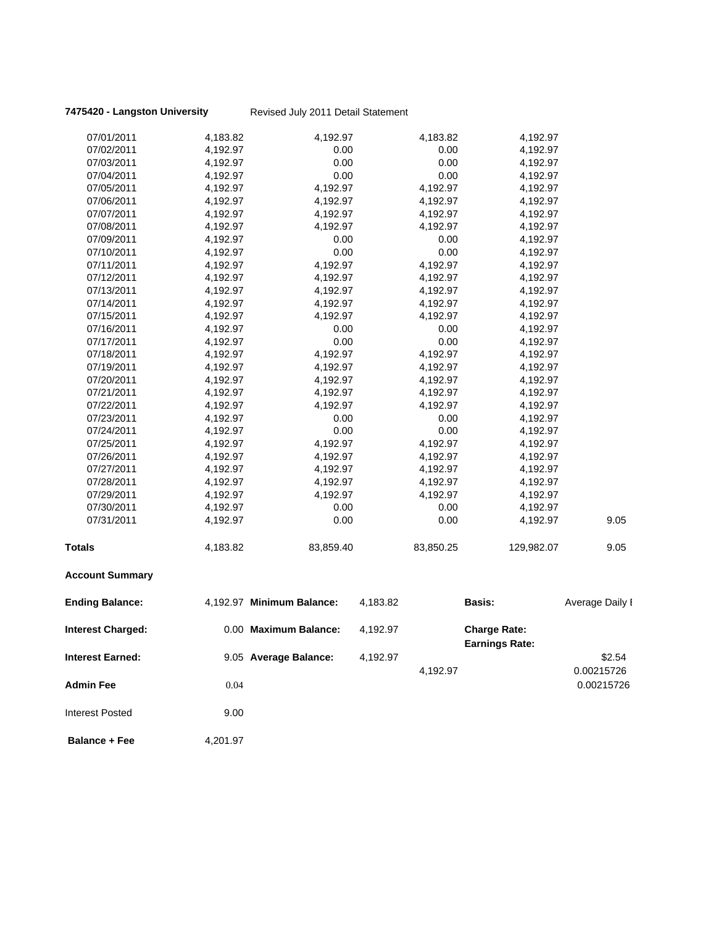### **7475420 - Langston University** Revised July 2011 Detail Statement

| 07/01/2011               | 4,183.82 | 4,192.97                  |          | 4,183.82  | 4,192.97                                     |                 |
|--------------------------|----------|---------------------------|----------|-----------|----------------------------------------------|-----------------|
| 07/02/2011               | 4,192.97 | 0.00                      |          | 0.00      | 4,192.97                                     |                 |
| 07/03/2011               | 4,192.97 | 0.00                      |          | 0.00      | 4,192.97                                     |                 |
| 07/04/2011               | 4,192.97 | 0.00                      |          | 0.00      | 4,192.97                                     |                 |
| 07/05/2011               | 4,192.97 | 4,192.97                  |          | 4,192.97  | 4,192.97                                     |                 |
| 07/06/2011               | 4,192.97 | 4,192.97                  |          | 4,192.97  | 4,192.97                                     |                 |
| 07/07/2011               | 4,192.97 | 4,192.97                  |          | 4,192.97  | 4,192.97                                     |                 |
| 07/08/2011               | 4,192.97 | 4,192.97                  |          | 4,192.97  | 4,192.97                                     |                 |
| 07/09/2011               | 4,192.97 | 0.00                      |          | 0.00      | 4,192.97                                     |                 |
| 07/10/2011               | 4,192.97 | 0.00                      |          | 0.00      | 4,192.97                                     |                 |
| 07/11/2011               | 4,192.97 | 4,192.97                  |          | 4,192.97  | 4,192.97                                     |                 |
| 07/12/2011               | 4,192.97 | 4,192.97                  |          | 4,192.97  | 4,192.97                                     |                 |
| 07/13/2011               | 4,192.97 | 4,192.97                  |          | 4,192.97  | 4,192.97                                     |                 |
| 07/14/2011               | 4,192.97 | 4,192.97                  |          | 4,192.97  | 4,192.97                                     |                 |
| 07/15/2011               | 4,192.97 | 4,192.97                  |          | 4,192.97  | 4,192.97                                     |                 |
| 07/16/2011               | 4,192.97 | 0.00                      |          | 0.00      | 4,192.97                                     |                 |
| 07/17/2011               | 4,192.97 | 0.00                      |          | 0.00      | 4,192.97                                     |                 |
| 07/18/2011               | 4,192.97 | 4,192.97                  |          | 4,192.97  | 4,192.97                                     |                 |
| 07/19/2011               | 4,192.97 | 4,192.97                  |          | 4,192.97  | 4,192.97                                     |                 |
| 07/20/2011               | 4,192.97 | 4,192.97                  |          | 4,192.97  | 4,192.97                                     |                 |
| 07/21/2011               | 4,192.97 | 4,192.97                  |          | 4,192.97  | 4,192.97                                     |                 |
| 07/22/2011               | 4,192.97 | 4,192.97                  |          | 4,192.97  | 4,192.97                                     |                 |
| 07/23/2011               | 4,192.97 | 0.00                      |          | 0.00      | 4,192.97                                     |                 |
| 07/24/2011               | 4,192.97 | 0.00                      |          | 0.00      | 4,192.97                                     |                 |
| 07/25/2011               | 4,192.97 | 4,192.97                  |          | 4,192.97  | 4,192.97                                     |                 |
| 07/26/2011               | 4,192.97 | 4,192.97                  |          | 4,192.97  | 4,192.97                                     |                 |
| 07/27/2011               | 4,192.97 | 4,192.97                  |          | 4,192.97  | 4,192.97                                     |                 |
| 07/28/2011               | 4,192.97 | 4,192.97                  |          | 4,192.97  | 4,192.97                                     |                 |
| 07/29/2011               | 4,192.97 | 4,192.97                  |          | 4,192.97  | 4,192.97                                     |                 |
| 07/30/2011               | 4,192.97 | 0.00                      |          | 0.00      | 4,192.97                                     |                 |
| 07/31/2011               | 4,192.97 | 0.00                      |          | 0.00      | 4,192.97                                     | 9.05            |
| Totals                   | 4,183.82 | 83,859.40                 |          | 83,850.25 | 129,982.07                                   | 9.05            |
| <b>Account Summary</b>   |          |                           |          |           |                                              |                 |
| <b>Ending Balance:</b>   |          | 4,192.97 Minimum Balance: | 4,183.82 |           | Basis:                                       | Average Daily I |
| <b>Interest Charged:</b> |          | 0.00 Maximum Balance:     | 4,192.97 |           | <b>Charge Rate:</b><br><b>Earnings Rate:</b> |                 |
| <b>Interest Earned:</b>  |          | 9.05 Average Balance:     | 4,192.97 |           |                                              | \$2.54          |
|                          |          |                           |          | 4,192.97  |                                              | 0.00215726      |
| <b>Admin Fee</b>         | 0.04     |                           |          |           |                                              | 0.00215726      |
| <b>Interest Posted</b>   | 9.00     |                           |          |           |                                              |                 |

**Balance + Fee** 4,201.97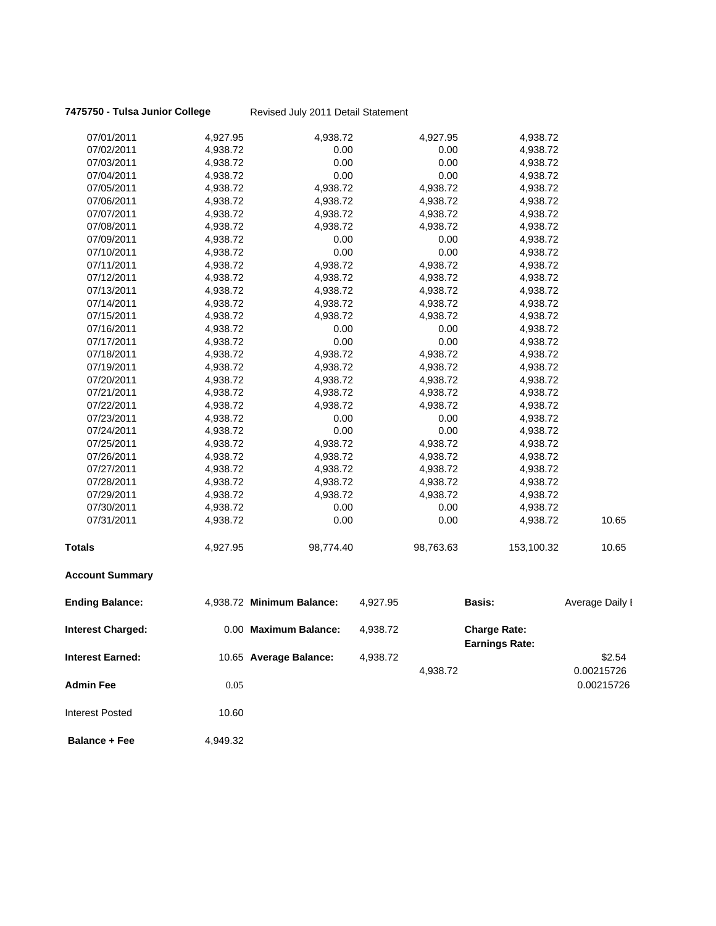### **7475750 - Tulsa Junior College** Revised July 2011 Detail Statement

| 07/01/2011               | 4,927.95 | 4,938.72                  |          | 4,927.95  | 4,938.72                                     |                 |
|--------------------------|----------|---------------------------|----------|-----------|----------------------------------------------|-----------------|
| 07/02/2011               | 4,938.72 | 0.00                      |          | 0.00      | 4,938.72                                     |                 |
| 07/03/2011               | 4,938.72 | 0.00                      |          | 0.00      | 4,938.72                                     |                 |
| 07/04/2011               | 4,938.72 | 0.00                      |          | 0.00      | 4,938.72                                     |                 |
| 07/05/2011               | 4,938.72 | 4,938.72                  |          | 4,938.72  | 4,938.72                                     |                 |
| 07/06/2011               | 4,938.72 | 4,938.72                  |          | 4,938.72  | 4,938.72                                     |                 |
| 07/07/2011               | 4,938.72 | 4,938.72                  |          | 4,938.72  | 4,938.72                                     |                 |
| 07/08/2011               | 4,938.72 | 4,938.72                  |          | 4,938.72  | 4,938.72                                     |                 |
| 07/09/2011               | 4,938.72 | 0.00                      |          | 0.00      | 4,938.72                                     |                 |
| 07/10/2011               | 4,938.72 | 0.00                      |          | 0.00      | 4,938.72                                     |                 |
| 07/11/2011               | 4,938.72 | 4,938.72                  |          | 4,938.72  | 4,938.72                                     |                 |
| 07/12/2011               | 4,938.72 | 4,938.72                  |          | 4,938.72  | 4,938.72                                     |                 |
| 07/13/2011               | 4,938.72 | 4,938.72                  |          | 4,938.72  | 4,938.72                                     |                 |
| 07/14/2011               | 4,938.72 | 4,938.72                  |          | 4,938.72  | 4,938.72                                     |                 |
| 07/15/2011               | 4,938.72 | 4,938.72                  |          | 4,938.72  | 4,938.72                                     |                 |
| 07/16/2011               | 4,938.72 | 0.00                      |          | 0.00      | 4,938.72                                     |                 |
| 07/17/2011               | 4,938.72 | 0.00                      |          | 0.00      | 4,938.72                                     |                 |
| 07/18/2011               | 4,938.72 | 4,938.72                  |          | 4,938.72  | 4,938.72                                     |                 |
| 07/19/2011               | 4,938.72 | 4,938.72                  |          | 4,938.72  | 4,938.72                                     |                 |
| 07/20/2011               | 4,938.72 | 4,938.72                  |          | 4,938.72  | 4,938.72                                     |                 |
| 07/21/2011               | 4,938.72 | 4,938.72                  |          | 4,938.72  | 4,938.72                                     |                 |
| 07/22/2011               | 4,938.72 | 4,938.72                  |          | 4,938.72  | 4,938.72                                     |                 |
| 07/23/2011               | 4,938.72 | 0.00                      |          | 0.00      | 4,938.72                                     |                 |
| 07/24/2011               | 4,938.72 | 0.00                      |          | 0.00      | 4,938.72                                     |                 |
| 07/25/2011               | 4,938.72 | 4,938.72                  |          | 4,938.72  | 4,938.72                                     |                 |
| 07/26/2011               | 4,938.72 | 4,938.72                  |          | 4,938.72  | 4,938.72                                     |                 |
| 07/27/2011               | 4,938.72 | 4,938.72                  |          | 4,938.72  | 4,938.72                                     |                 |
| 07/28/2011               | 4,938.72 | 4,938.72                  |          | 4,938.72  | 4,938.72                                     |                 |
| 07/29/2011               | 4,938.72 | 4,938.72                  |          | 4,938.72  | 4,938.72                                     |                 |
| 07/30/2011               | 4,938.72 | 0.00                      |          | 0.00      | 4,938.72                                     |                 |
| 07/31/2011               | 4,938.72 | 0.00                      |          | 0.00      | 4,938.72                                     | 10.65           |
| <b>Totals</b>            | 4,927.95 | 98,774.40                 |          | 98,763.63 | 153,100.32                                   | 10.65           |
| <b>Account Summary</b>   |          |                           |          |           |                                              |                 |
| <b>Ending Balance:</b>   |          | 4,938.72 Minimum Balance: | 4,927.95 |           | <b>Basis:</b>                                | Average Daily I |
| <b>Interest Charged:</b> |          | 0.00 Maximum Balance:     | 4,938.72 |           | <b>Charge Rate:</b><br><b>Earnings Rate:</b> |                 |
| <b>Interest Earned:</b>  |          | 10.65 Average Balance:    | 4,938.72 |           |                                              | \$2.54          |
|                          |          |                           |          | 4,938.72  |                                              | 0.00215726      |
| Admin Fee                | 0.05     |                           |          |           |                                              | 0.00215726      |
|                          |          |                           |          |           |                                              |                 |
| <b>Interest Posted</b>   | 10.60    |                           |          |           |                                              |                 |
|                          |          |                           |          |           |                                              |                 |

**Balance + Fee** 4,949.32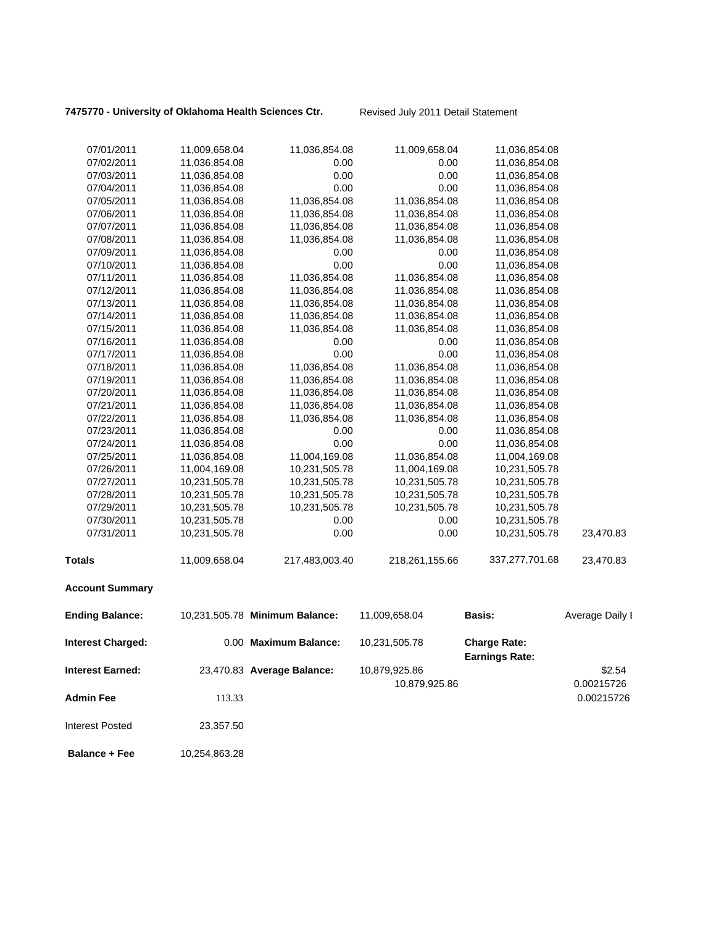7475770 - University of Oklahoma Health Sciences Ctr. Revised July 2011 Detail Statement

| 07/01/2011               | 11,009,658.04 | 11,036,854.08                  | 11,009,658.04  | 11,036,854.08         |                 |
|--------------------------|---------------|--------------------------------|----------------|-----------------------|-----------------|
| 07/02/2011               | 11,036,854.08 | 0.00                           | 0.00           | 11,036,854.08         |                 |
| 07/03/2011               | 11,036,854.08 | 0.00                           | 0.00           | 11,036,854.08         |                 |
| 07/04/2011               | 11,036,854.08 | 0.00                           | 0.00           | 11,036,854.08         |                 |
| 07/05/2011               | 11,036,854.08 | 11,036,854.08                  | 11,036,854.08  | 11,036,854.08         |                 |
| 07/06/2011               | 11,036,854.08 | 11,036,854.08                  | 11,036,854.08  | 11,036,854.08         |                 |
| 07/07/2011               | 11,036,854.08 | 11,036,854.08                  | 11,036,854.08  | 11,036,854.08         |                 |
| 07/08/2011               | 11,036,854.08 | 11,036,854.08                  | 11,036,854.08  | 11,036,854.08         |                 |
| 07/09/2011               | 11,036,854.08 | 0.00                           | 0.00           | 11,036,854.08         |                 |
| 07/10/2011               | 11,036,854.08 | 0.00                           | 0.00           | 11,036,854.08         |                 |
| 07/11/2011               | 11,036,854.08 | 11,036,854.08                  | 11,036,854.08  | 11,036,854.08         |                 |
| 07/12/2011               | 11,036,854.08 | 11,036,854.08                  | 11,036,854.08  | 11,036,854.08         |                 |
| 07/13/2011               | 11,036,854.08 | 11,036,854.08                  | 11,036,854.08  | 11,036,854.08         |                 |
| 07/14/2011               | 11,036,854.08 | 11,036,854.08                  | 11,036,854.08  | 11,036,854.08         |                 |
| 07/15/2011               | 11,036,854.08 | 11,036,854.08                  | 11,036,854.08  | 11,036,854.08         |                 |
| 07/16/2011               | 11,036,854.08 | 0.00                           | 0.00           | 11,036,854.08         |                 |
| 07/17/2011               | 11,036,854.08 | 0.00                           | 0.00           | 11,036,854.08         |                 |
| 07/18/2011               | 11,036,854.08 | 11,036,854.08                  | 11,036,854.08  | 11,036,854.08         |                 |
| 07/19/2011               | 11,036,854.08 | 11,036,854.08                  | 11,036,854.08  | 11,036,854.08         |                 |
| 07/20/2011               | 11,036,854.08 | 11,036,854.08                  | 11,036,854.08  | 11,036,854.08         |                 |
| 07/21/2011               | 11,036,854.08 | 11,036,854.08                  | 11,036,854.08  | 11,036,854.08         |                 |
| 07/22/2011               | 11,036,854.08 | 11,036,854.08                  | 11,036,854.08  | 11,036,854.08         |                 |
| 07/23/2011               | 11,036,854.08 | 0.00                           | 0.00           | 11,036,854.08         |                 |
| 07/24/2011               | 11,036,854.08 | 0.00                           | 0.00           | 11,036,854.08         |                 |
| 07/25/2011               | 11,036,854.08 | 11,004,169.08                  | 11,036,854.08  | 11,004,169.08         |                 |
| 07/26/2011               | 11,004,169.08 | 10,231,505.78                  | 11,004,169.08  | 10,231,505.78         |                 |
| 07/27/2011               | 10,231,505.78 | 10,231,505.78                  | 10,231,505.78  | 10,231,505.78         |                 |
| 07/28/2011               | 10,231,505.78 | 10,231,505.78                  | 10,231,505.78  | 10,231,505.78         |                 |
| 07/29/2011               | 10,231,505.78 | 10,231,505.78                  | 10,231,505.78  | 10,231,505.78         |                 |
| 07/30/2011               | 10,231,505.78 | 0.00                           | 0.00           | 10,231,505.78         |                 |
| 07/31/2011               | 10,231,505.78 | 0.00                           | 0.00           | 10,231,505.78         | 23,470.83       |
|                          |               |                                |                |                       |                 |
| <b>Totals</b>            | 11,009,658.04 | 217,483,003.40                 | 218,261,155.66 | 337,277,701.68        | 23,470.83       |
| <b>Account Summary</b>   |               |                                |                |                       |                 |
| <b>Ending Balance:</b>   |               | 10,231,505.78 Minimum Balance: | 11,009,658.04  | Basis:                | Average Daily I |
| <b>Interest Charged:</b> |               | 0.00 Maximum Balance:          | 10,231,505.78  | <b>Charge Rate:</b>   |                 |
|                          |               |                                |                | <b>Earnings Rate:</b> |                 |
| <b>Interest Earned:</b>  |               | 23,470.83 Average Balance:     | 10,879,925.86  |                       | \$2.54          |
|                          |               |                                | 10,879,925.86  |                       | 0.00215726      |
| <b>Admin Fee</b>         | 113.33        |                                |                |                       | 0.00215726      |
|                          |               |                                |                |                       |                 |
| <b>Interest Posted</b>   | 23,357.50     |                                |                |                       |                 |

**Balance + Fee** 10,254,863.28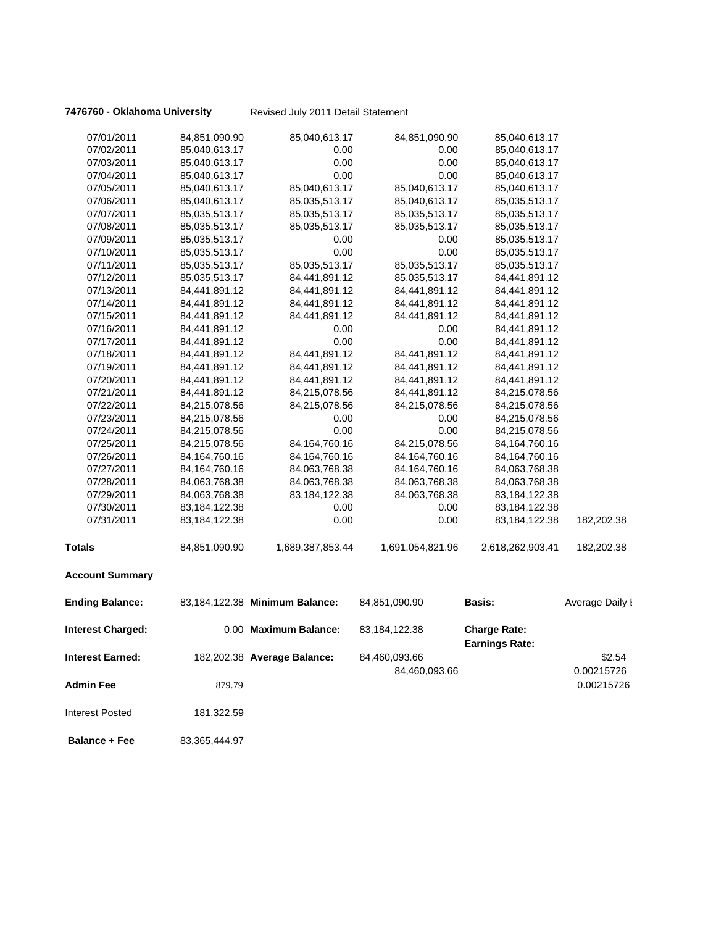**7476760 - Oklahoma University** Revised July 2011 Detail Statement

| 07/01/2011               | 84,851,090.90    | 85,040,613.17                  | 84,851,090.90    | 85,040,613.17                                |                 |
|--------------------------|------------------|--------------------------------|------------------|----------------------------------------------|-----------------|
| 07/02/2011               | 85,040,613.17    | 0.00                           | 0.00             | 85,040,613.17                                |                 |
| 07/03/2011               | 85,040,613.17    | 0.00                           | 0.00             | 85,040,613.17                                |                 |
| 07/04/2011               | 85,040,613.17    | 0.00                           | 0.00             | 85,040,613.17                                |                 |
| 07/05/2011               | 85,040,613.17    | 85,040,613.17                  | 85,040,613.17    | 85,040,613.17                                |                 |
| 07/06/2011               | 85,040,613.17    | 85,035,513.17                  | 85,040,613.17    | 85,035,513.17                                |                 |
| 07/07/2011               | 85,035,513.17    | 85,035,513.17                  | 85,035,513.17    | 85,035,513.17                                |                 |
| 07/08/2011               | 85,035,513.17    | 85,035,513.17                  | 85,035,513.17    | 85,035,513.17                                |                 |
| 07/09/2011               | 85,035,513.17    | 0.00                           | 0.00             | 85,035,513.17                                |                 |
| 07/10/2011               | 85,035,513.17    | 0.00                           | 0.00             | 85,035,513.17                                |                 |
| 07/11/2011               | 85,035,513.17    | 85,035,513.17                  | 85,035,513.17    | 85,035,513.17                                |                 |
| 07/12/2011               | 85,035,513.17    | 84,441,891.12                  | 85,035,513.17    | 84,441,891.12                                |                 |
| 07/13/2011               | 84,441,891.12    | 84,441,891.12                  | 84,441,891.12    | 84,441,891.12                                |                 |
| 07/14/2011               | 84,441,891.12    | 84,441,891.12                  | 84,441,891.12    | 84,441,891.12                                |                 |
| 07/15/2011               | 84,441,891.12    | 84,441,891.12                  | 84,441,891.12    | 84,441,891.12                                |                 |
| 07/16/2011               | 84,441,891.12    | 0.00                           | 0.00             | 84,441,891.12                                |                 |
| 07/17/2011               | 84,441,891.12    | 0.00                           | 0.00             | 84,441,891.12                                |                 |
| 07/18/2011               | 84,441,891.12    | 84,441,891.12                  | 84,441,891.12    | 84,441,891.12                                |                 |
| 07/19/2011               | 84,441,891.12    | 84,441,891.12                  | 84,441,891.12    | 84,441,891.12                                |                 |
| 07/20/2011               | 84,441,891.12    | 84,441,891.12                  | 84,441,891.12    | 84,441,891.12                                |                 |
| 07/21/2011               | 84,441,891.12    | 84,215,078.56                  | 84,441,891.12    | 84,215,078.56                                |                 |
| 07/22/2011               | 84,215,078.56    | 84,215,078.56                  | 84,215,078.56    | 84,215,078.56                                |                 |
| 07/23/2011               | 84,215,078.56    | 0.00                           | 0.00             | 84,215,078.56                                |                 |
| 07/24/2011               | 84,215,078.56    | 0.00                           | 0.00             | 84,215,078.56                                |                 |
| 07/25/2011               | 84,215,078.56    | 84, 164, 760. 16               | 84,215,078.56    | 84,164,760.16                                |                 |
| 07/26/2011               | 84,164,760.16    | 84, 164, 760. 16               | 84, 164, 760. 16 | 84, 164, 760. 16                             |                 |
| 07/27/2011               | 84,164,760.16    | 84,063,768.38                  | 84, 164, 760. 16 | 84,063,768.38                                |                 |
| 07/28/2011               | 84,063,768.38    | 84,063,768.38                  | 84,063,768.38    | 84,063,768.38                                |                 |
| 07/29/2011               | 84,063,768.38    | 83, 184, 122. 38               | 84,063,768.38    | 83,184,122.38                                |                 |
| 07/30/2011               | 83, 184, 122. 38 | 0.00                           | 0.00             | 83,184,122.38                                |                 |
| 07/31/2011               | 83, 184, 122. 38 | 0.00                           | 0.00             | 83,184,122.38                                | 182,202.38      |
| <b>Totals</b>            | 84,851,090.90    | 1,689,387,853.44               | 1,691,054,821.96 | 2,618,262,903.41                             | 182,202.38      |
| <b>Account Summary</b>   |                  |                                |                  |                                              |                 |
| <b>Ending Balance:</b>   |                  | 83,184,122.38 Minimum Balance: | 84,851,090.90    | <b>Basis:</b>                                | Average Daily I |
| <b>Interest Charged:</b> |                  | 0.00 Maximum Balance:          | 83,184,122.38    | <b>Charge Rate:</b><br><b>Earnings Rate:</b> |                 |
| <b>Interest Earned:</b>  |                  | 182,202.38 Average Balance:    | 84,460,093.66    |                                              | \$2.54          |
|                          |                  |                                | 84,460,093.66    |                                              | 0.00215726      |
| <b>Admin Fee</b>         | 879.79           |                                |                  |                                              | 0.00215726      |
| <b>Interest Posted</b>   | 181,322.59       |                                |                  |                                              |                 |
| <b>Balance + Fee</b>     | 83,365,444.97    |                                |                  |                                              |                 |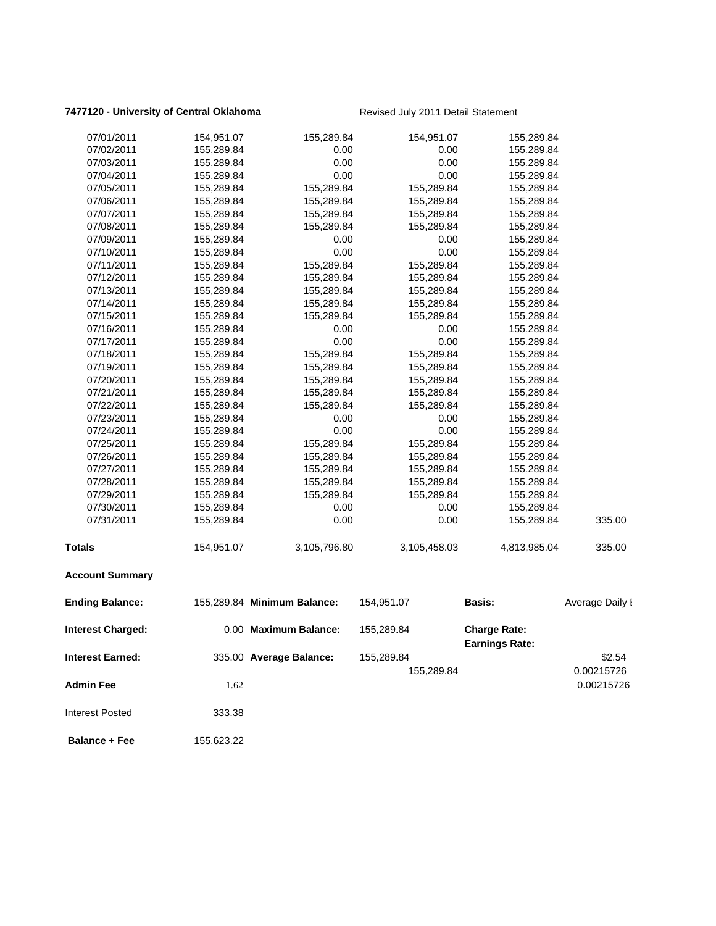### **7477120 - University of Central Oklahoma** Revised July 2011 Detail Statement

| 07/01/2011              | 154,951.07 | 155,289.84                  | 154,951.07   | 155,289.84                                   |                 |
|-------------------------|------------|-----------------------------|--------------|----------------------------------------------|-----------------|
| 07/02/2011              | 155,289.84 | 0.00                        | 0.00         | 155,289.84                                   |                 |
| 07/03/2011              | 155,289.84 | 0.00                        | 0.00         | 155,289.84                                   |                 |
| 07/04/2011              | 155,289.84 | 0.00                        | 0.00         | 155,289.84                                   |                 |
| 07/05/2011              | 155,289.84 | 155,289.84                  | 155,289.84   | 155,289.84                                   |                 |
| 07/06/2011              | 155,289.84 | 155,289.84                  | 155,289.84   | 155,289.84                                   |                 |
| 07/07/2011              | 155,289.84 | 155,289.84                  | 155,289.84   | 155,289.84                                   |                 |
| 07/08/2011              | 155,289.84 | 155,289.84                  | 155,289.84   | 155,289.84                                   |                 |
| 07/09/2011              | 155,289.84 | 0.00                        | 0.00         | 155,289.84                                   |                 |
| 07/10/2011              | 155,289.84 | 0.00                        | 0.00         | 155,289.84                                   |                 |
| 07/11/2011              | 155,289.84 | 155,289.84                  | 155,289.84   | 155,289.84                                   |                 |
| 07/12/2011              | 155,289.84 | 155,289.84                  | 155,289.84   | 155,289.84                                   |                 |
| 07/13/2011              | 155,289.84 | 155,289.84                  | 155,289.84   | 155,289.84                                   |                 |
| 07/14/2011              | 155,289.84 | 155,289.84                  | 155,289.84   | 155,289.84                                   |                 |
| 07/15/2011              | 155,289.84 | 155,289.84                  | 155,289.84   | 155,289.84                                   |                 |
| 07/16/2011              | 155,289.84 | 0.00                        | 0.00         | 155,289.84                                   |                 |
| 07/17/2011              | 155,289.84 | 0.00                        | 0.00         | 155,289.84                                   |                 |
| 07/18/2011              | 155,289.84 | 155,289.84                  | 155,289.84   | 155,289.84                                   |                 |
| 07/19/2011              | 155,289.84 | 155,289.84                  | 155,289.84   | 155,289.84                                   |                 |
| 07/20/2011              | 155,289.84 | 155,289.84                  | 155,289.84   | 155,289.84                                   |                 |
| 07/21/2011              | 155,289.84 | 155,289.84                  | 155,289.84   | 155,289.84                                   |                 |
| 07/22/2011              | 155,289.84 | 155,289.84                  | 155,289.84   | 155,289.84                                   |                 |
| 07/23/2011              | 155,289.84 | 0.00                        | 0.00         | 155,289.84                                   |                 |
| 07/24/2011              | 155,289.84 | 0.00                        | 0.00         | 155,289.84                                   |                 |
| 07/25/2011              | 155,289.84 | 155,289.84                  | 155,289.84   | 155,289.84                                   |                 |
| 07/26/2011              | 155,289.84 | 155,289.84                  | 155,289.84   | 155,289.84                                   |                 |
| 07/27/2011              | 155,289.84 | 155,289.84                  | 155,289.84   | 155,289.84                                   |                 |
| 07/28/2011              | 155,289.84 | 155,289.84                  | 155,289.84   | 155,289.84                                   |                 |
| 07/29/2011              | 155,289.84 | 155,289.84                  | 155,289.84   | 155,289.84                                   |                 |
| 07/30/2011              | 155,289.84 | 0.00                        | 0.00         | 155,289.84                                   |                 |
| 07/31/2011              | 155,289.84 | 0.00                        | 0.00         | 155,289.84                                   | 335.00          |
| <b>Totals</b>           | 154,951.07 | 3,105,796.80                | 3,105,458.03 | 4,813,985.04                                 | 335.00          |
| <b>Account Summary</b>  |            |                             |              |                                              |                 |
| <b>Ending Balance:</b>  |            | 155,289.84 Minimum Balance: | 154,951.07   | <b>Basis:</b>                                | Average Daily I |
| Interest Charged:       |            | 0.00 Maximum Balance:       | 155,289.84   | <b>Charge Rate:</b><br><b>Earnings Rate:</b> |                 |
| <b>Interest Earned:</b> |            | 335.00 Average Balance:     | 155,289.84   |                                              | \$2.54          |
|                         |            |                             |              |                                              |                 |
|                         |            |                             | 155,289.84   |                                              | 0.00215726      |
| <b>Admin Fee</b>        | 1.62       |                             |              |                                              | 0.00215726      |
| <b>Interest Posted</b>  | 333.38     |                             |              |                                              |                 |
| <b>Balance + Fee</b>    | 155,623.22 |                             |              |                                              |                 |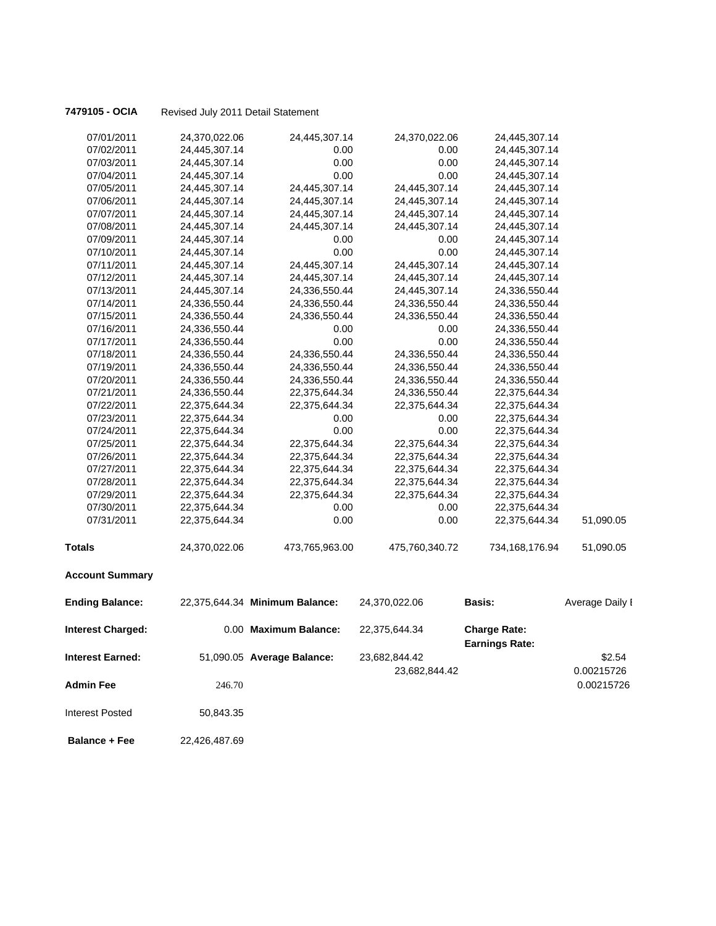**7479105 - OCIA** Revised July 2011 Detail Statement

| 07/01/2011               | 24,370,022.06 | 24,445,307.14                  | 24,370,022.06  | 24,445,307.14                                |                 |
|--------------------------|---------------|--------------------------------|----------------|----------------------------------------------|-----------------|
| 07/02/2011               | 24,445,307.14 | 0.00                           | 0.00           | 24,445,307.14                                |                 |
| 07/03/2011               | 24,445,307.14 | 0.00                           | 0.00           | 24,445,307.14                                |                 |
| 07/04/2011               | 24,445,307.14 | 0.00                           | 0.00           | 24,445,307.14                                |                 |
| 07/05/2011               | 24,445,307.14 | 24,445,307.14                  | 24,445,307.14  | 24,445,307.14                                |                 |
| 07/06/2011               | 24,445,307.14 | 24,445,307.14                  | 24,445,307.14  | 24,445,307.14                                |                 |
| 07/07/2011               | 24,445,307.14 | 24,445,307.14                  | 24,445,307.14  | 24,445,307.14                                |                 |
| 07/08/2011               | 24,445,307.14 | 24,445,307.14                  | 24,445,307.14  | 24,445,307.14                                |                 |
| 07/09/2011               | 24,445,307.14 | 0.00                           | 0.00           | 24,445,307.14                                |                 |
| 07/10/2011               | 24,445,307.14 | 0.00                           | 0.00           | 24,445,307.14                                |                 |
| 07/11/2011               | 24,445,307.14 | 24,445,307.14                  | 24,445,307.14  | 24,445,307.14                                |                 |
| 07/12/2011               | 24,445,307.14 | 24,445,307.14                  | 24,445,307.14  | 24,445,307.14                                |                 |
| 07/13/2011               | 24,445,307.14 | 24,336,550.44                  | 24,445,307.14  | 24,336,550.44                                |                 |
| 07/14/2011               | 24,336,550.44 | 24,336,550.44                  | 24,336,550.44  | 24,336,550.44                                |                 |
| 07/15/2011               | 24,336,550.44 | 24,336,550.44                  | 24,336,550.44  | 24,336,550.44                                |                 |
| 07/16/2011               | 24,336,550.44 | 0.00                           | 0.00           | 24,336,550.44                                |                 |
| 07/17/2011               | 24,336,550.44 | 0.00                           | 0.00           | 24,336,550.44                                |                 |
| 07/18/2011               | 24,336,550.44 | 24,336,550.44                  | 24,336,550.44  | 24,336,550.44                                |                 |
| 07/19/2011               | 24,336,550.44 | 24,336,550.44                  | 24,336,550.44  | 24,336,550.44                                |                 |
| 07/20/2011               | 24,336,550.44 | 24,336,550.44                  | 24,336,550.44  | 24,336,550.44                                |                 |
| 07/21/2011               | 24,336,550.44 | 22,375,644.34                  | 24,336,550.44  | 22,375,644.34                                |                 |
| 07/22/2011               | 22,375,644.34 | 22,375,644.34                  | 22,375,644.34  | 22,375,644.34                                |                 |
| 07/23/2011               | 22,375,644.34 | 0.00                           | 0.00           | 22,375,644.34                                |                 |
| 07/24/2011               | 22,375,644.34 | 0.00                           | 0.00           | 22,375,644.34                                |                 |
| 07/25/2011               | 22,375,644.34 | 22,375,644.34                  | 22,375,644.34  | 22,375,644.34                                |                 |
| 07/26/2011               | 22,375,644.34 | 22,375,644.34                  | 22,375,644.34  | 22,375,644.34                                |                 |
| 07/27/2011               | 22,375,644.34 | 22,375,644.34                  | 22,375,644.34  | 22,375,644.34                                |                 |
| 07/28/2011               | 22,375,644.34 | 22,375,644.34                  | 22,375,644.34  | 22,375,644.34                                |                 |
| 07/29/2011               | 22,375,644.34 | 22,375,644.34                  | 22,375,644.34  | 22,375,644.34                                |                 |
| 07/30/2011               | 22,375,644.34 | 0.00                           | 0.00           | 22,375,644.34                                |                 |
| 07/31/2011               | 22,375,644.34 | 0.00                           | 0.00           | 22,375,644.34                                | 51,090.05       |
| <b>Totals</b>            | 24,370,022.06 | 473,765,963.00                 | 475,760,340.72 | 734,168,176.94                               | 51,090.05       |
| <b>Account Summary</b>   |               |                                |                |                                              |                 |
| <b>Ending Balance:</b>   |               | 22,375,644.34 Minimum Balance: | 24,370,022.06  | <b>Basis:</b>                                | Average Daily I |
| <b>Interest Charged:</b> |               | 0.00 Maximum Balance:          | 22,375,644.34  | <b>Charge Rate:</b><br><b>Earnings Rate:</b> |                 |
| Interest Earned:         |               | 51,090.05 Average Balance:     | 23,682,844.42  |                                              | \$2.54          |
|                          |               |                                | 23,682,844.42  |                                              | 0.00215726      |
| <b>Admin Fee</b>         |               |                                |                |                                              |                 |
|                          | 246.70        |                                |                |                                              | 0.00215726      |
| <b>Interest Posted</b>   | 50,843.35     |                                |                |                                              |                 |
| <b>Balance + Fee</b>     | 22,426,487.69 |                                |                |                                              |                 |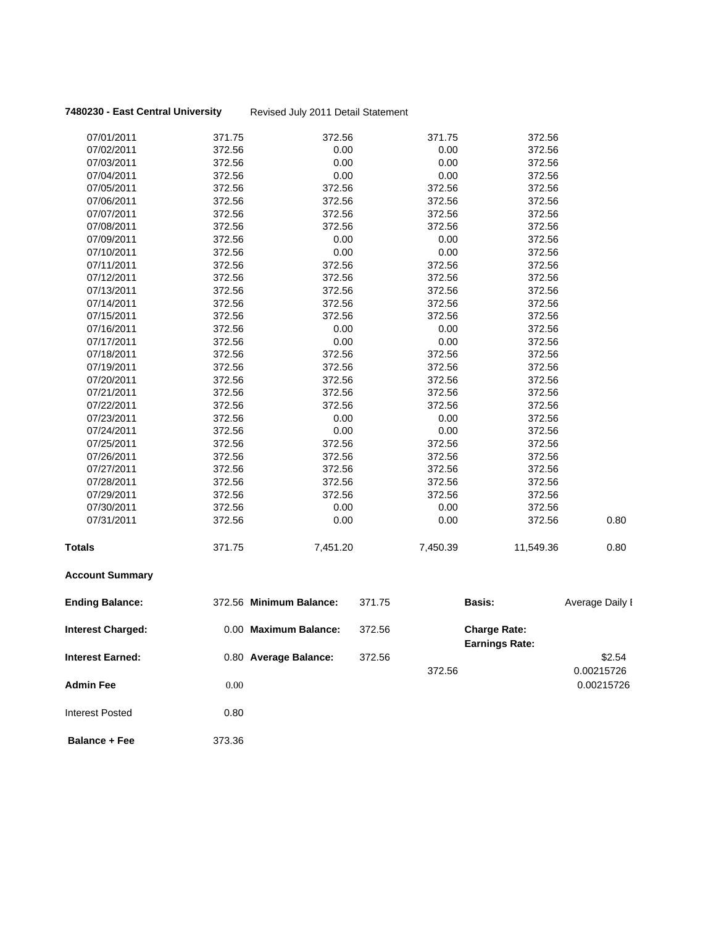### **7480230 - East Central University** Revised July 2011 Detail Statement

|                                                     |        | 0.80 Average Balance:   |                  | 372.56   |                                              | 0.00215726      |
|-----------------------------------------------------|--------|-------------------------|------------------|----------|----------------------------------------------|-----------------|
| <b>Interest Charged:</b><br><b>Interest Earned:</b> |        | 0.00 Maximum Balance:   | 372.56<br>372.56 |          | <b>Charge Rate:</b><br><b>Earnings Rate:</b> | \$2.54          |
| <b>Ending Balance:</b>                              |        | 372.56 Minimum Balance: | 371.75           |          | Basis:                                       | Average Daily I |
| <b>Account Summary</b>                              |        |                         |                  |          |                                              |                 |
| Totals                                              | 371.75 | 7,451.20                |                  | 7,450.39 | 11,549.36                                    | 0.80            |
| 07/31/2011                                          | 372.56 | 0.00                    |                  | 0.00     | 372.56                                       | 0.80            |
| 07/30/2011                                          | 372.56 | 0.00                    |                  | 0.00     | 372.56                                       |                 |
| 07/29/2011                                          | 372.56 | 372.56                  |                  | 372.56   | 372.56                                       |                 |
| 07/28/2011                                          | 372.56 | 372.56                  |                  | 372.56   | 372.56                                       |                 |
| 07/27/2011                                          | 372.56 | 372.56                  |                  | 372.56   | 372.56                                       |                 |
| 07/26/2011                                          | 372.56 | 372.56                  |                  | 372.56   | 372.56                                       |                 |
| 07/25/2011                                          | 372.56 | 372.56                  |                  | 372.56   | 372.56                                       |                 |
| 07/24/2011                                          | 372.56 | 0.00                    |                  | 0.00     | 372.56                                       |                 |
| 07/23/2011                                          | 372.56 | 0.00                    |                  | 0.00     | 372.56                                       |                 |
| 07/22/2011                                          | 372.56 | 372.56                  |                  | 372.56   | 372.56                                       |                 |
| 07/21/2011                                          | 372.56 | 372.56                  |                  | 372.56   | 372.56                                       |                 |
| 07/20/2011                                          | 372.56 | 372.56                  |                  | 372.56   | 372.56                                       |                 |
| 07/19/2011                                          | 372.56 | 372.56                  |                  | 372.56   | 372.56                                       |                 |
| 07/18/2011                                          | 372.56 | 372.56                  |                  | 372.56   | 372.56                                       |                 |
| 07/17/2011                                          | 372.56 | 0.00                    |                  | 0.00     | 372.56                                       |                 |
| 07/16/2011                                          | 372.56 | 0.00                    |                  | 0.00     | 372.56                                       |                 |
| 07/15/2011                                          | 372.56 | 372.56                  |                  | 372.56   | 372.56                                       |                 |
| 07/14/2011                                          | 372.56 | 372.56                  |                  | 372.56   | 372.56                                       |                 |
| 07/13/2011                                          | 372.56 | 372.56                  |                  | 372.56   | 372.56                                       |                 |
| 07/12/2011                                          | 372.56 | 372.56                  |                  | 372.56   | 372.56                                       |                 |
| 07/11/2011                                          | 372.56 | 372.56                  |                  | 372.56   | 372.56                                       |                 |
| 07/10/2011                                          | 372.56 | 0.00                    |                  | 0.00     | 372.56                                       |                 |
| 07/09/2011                                          | 372.56 | 0.00                    |                  | 0.00     | 372.56                                       |                 |
| 07/08/2011                                          | 372.56 | 372.56                  |                  | 372.56   | 372.56                                       |                 |
| 07/07/2011                                          | 372.56 | 372.56                  |                  | 372.56   | 372.56                                       |                 |
| 07/06/2011                                          | 372.56 | 372.56                  |                  | 372.56   | 372.56                                       |                 |
| 07/05/2011                                          | 372.56 | 372.56                  |                  | 372.56   | 372.56                                       |                 |
| 07/04/2011                                          | 372.56 | 0.00                    |                  | 0.00     | 372.56                                       |                 |
| 07/03/2011                                          | 372.56 | 0.00                    |                  | 0.00     | 372.56                                       |                 |
| 07/02/2011                                          | 372.56 | 0.00                    |                  | 0.00     | 372.56                                       |                 |
| 07/01/2011                                          | 371.75 | 372.56                  |                  | 371.75   | 372.56                                       |                 |
|                                                     |        |                         |                  |          |                                              |                 |

**Admin Fee** 0.00 0.000 0.000 0.000 0.00215726

**Balance + Fee** 373.36

Interest Posted 0.80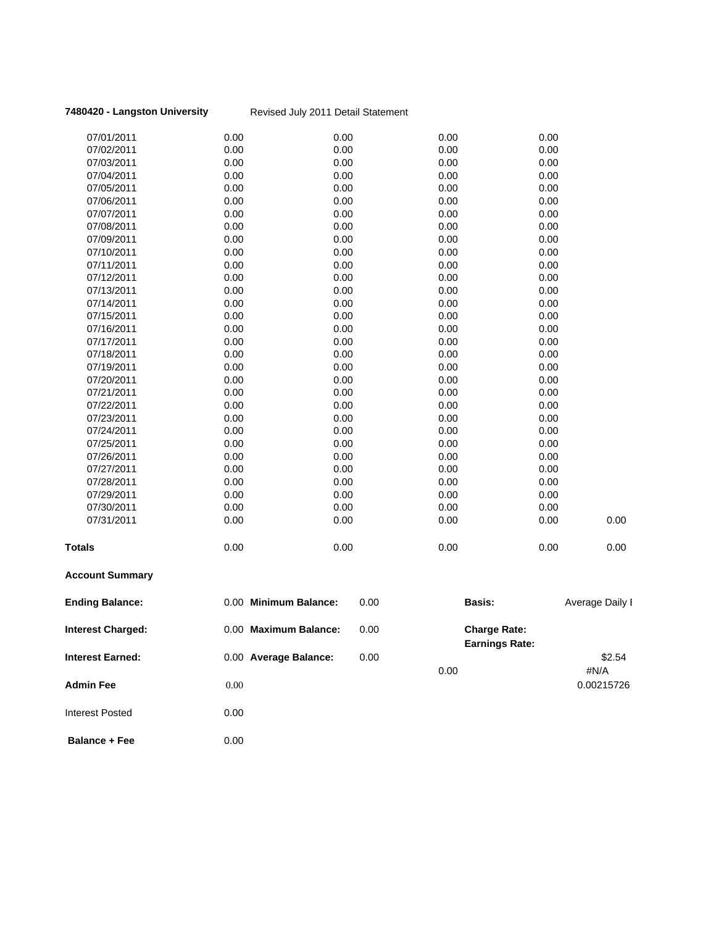### **7480420 - Langston University** Revised July 2011 Detail Statement

| <b>Account Summary</b> |      |      |      |      |      |
|------------------------|------|------|------|------|------|
| <b>Totals</b>          | 0.00 | 0.00 | 0.00 | 0.00 | 0.00 |
| 07/31/2011             | 0.00 | 0.00 | 0.00 | 0.00 | 0.00 |
| 07/30/2011             | 0.00 | 0.00 | 0.00 | 0.00 |      |
| 07/29/2011             | 0.00 | 0.00 | 0.00 | 0.00 |      |
| 07/28/2011             | 0.00 | 0.00 | 0.00 | 0.00 |      |
| 07/27/2011             | 0.00 | 0.00 | 0.00 | 0.00 |      |
| 07/26/2011             | 0.00 | 0.00 | 0.00 | 0.00 |      |
| 07/25/2011             | 0.00 | 0.00 | 0.00 | 0.00 |      |
| 07/24/2011             | 0.00 | 0.00 | 0.00 | 0.00 |      |
| 07/23/2011             | 0.00 | 0.00 | 0.00 | 0.00 |      |
| 07/22/2011             | 0.00 | 0.00 | 0.00 | 0.00 |      |
| 07/21/2011             | 0.00 | 0.00 | 0.00 | 0.00 |      |
| 07/20/2011             | 0.00 | 0.00 | 0.00 | 0.00 |      |
| 07/19/2011             | 0.00 | 0.00 | 0.00 | 0.00 |      |
| 07/18/2011             | 0.00 | 0.00 | 0.00 | 0.00 |      |
| 07/17/2011             | 0.00 | 0.00 | 0.00 | 0.00 |      |
| 07/16/2011             | 0.00 | 0.00 | 0.00 | 0.00 |      |
| 07/15/2011             | 0.00 | 0.00 | 0.00 | 0.00 |      |
| 07/14/2011             | 0.00 | 0.00 | 0.00 | 0.00 |      |
| 07/13/2011             | 0.00 | 0.00 | 0.00 | 0.00 |      |
| 07/12/2011             | 0.00 | 0.00 | 0.00 | 0.00 |      |
| 07/11/2011             | 0.00 | 0.00 | 0.00 | 0.00 |      |
| 07/10/2011             | 0.00 | 0.00 | 0.00 | 0.00 |      |
| 07/09/2011             | 0.00 | 0.00 | 0.00 | 0.00 |      |
| 07/08/2011             | 0.00 | 0.00 | 0.00 | 0.00 |      |
| 07/07/2011             | 0.00 | 0.00 | 0.00 | 0.00 |      |
| 07/06/2011             | 0.00 | 0.00 | 0.00 | 0.00 |      |
| 07/05/2011             | 0.00 | 0.00 | 0.00 | 0.00 |      |
| 07/04/2011             | 0.00 | 0.00 | 0.00 | 0.00 |      |
| 07/03/2011             | 0.00 | 0.00 | 0.00 | 0.00 |      |
| 07/02/2011             | 0.00 | 0.00 | 0.00 | 0.00 |      |
| 07/01/2011             | 0.00 | 0.00 | 0.00 | 0.00 |      |

**Average Daily I** 

#N/A<br>0.00215726

| <b>Ending Balance:</b>   | 0.00 | <b>Minimum Balance:</b> | 0.00 | <b>Basis:</b>                                | Average Daily |
|--------------------------|------|-------------------------|------|----------------------------------------------|---------------|
| <b>Interest Charged:</b> | 0.00 | <b>Maximum Balance:</b> | 0.00 | <b>Charge Rate:</b><br><b>Earnings Rate:</b> |               |
| <b>Interest Earned:</b>  |      | 0.00 Average Balance:   | 0.00 |                                              | \$2.54        |
|                          |      |                         |      | 0.00                                         | #N/A          |
| <b>Admin Fee</b>         | 0.00 |                         |      |                                              | 0.00215726    |
| <b>Interest Posted</b>   | 0.00 |                         |      |                                              |               |
|                          |      |                         |      |                                              |               |

**Balance + Fee** 0.00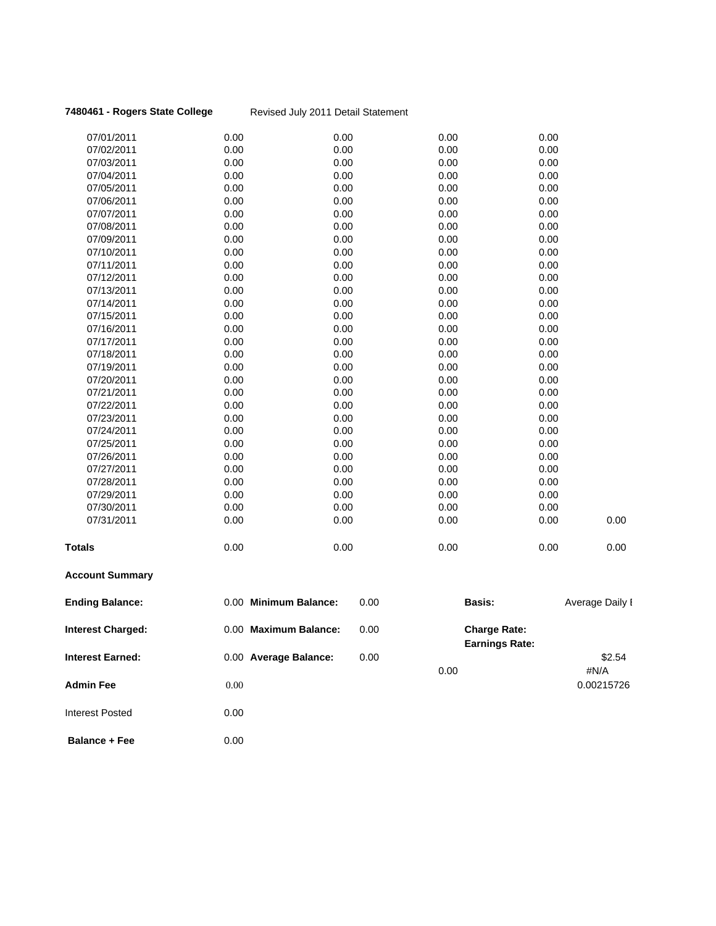| <b>Ending Balance:</b> | 0.00 Minimum Balance: | 0.00 | <b>Basis:</b> |      | Average Daily I |
|------------------------|-----------------------|------|---------------|------|-----------------|
| <b>Account Summary</b> |                       |      |               |      |                 |
| <b>Totals</b>          | 0.00                  | 0.00 | 0.00          | 0.00 | 0.00            |
| 07/31/2011             | 0.00                  | 0.00 | 0.00          | 0.00 | 0.00            |
| 07/30/2011             | 0.00                  | 0.00 | 0.00          | 0.00 |                 |
| 07/29/2011             | 0.00                  | 0.00 | 0.00          | 0.00 |                 |
| 07/28/2011             | 0.00                  | 0.00 | 0.00          | 0.00 |                 |
| 07/27/2011             | 0.00                  | 0.00 | 0.00          | 0.00 |                 |
| 07/26/2011             | 0.00                  | 0.00 | 0.00          | 0.00 |                 |
| 07/25/2011             | 0.00                  | 0.00 | 0.00          | 0.00 |                 |
| 07/24/2011             | 0.00                  | 0.00 | 0.00          | 0.00 |                 |
| 07/23/2011             | 0.00                  | 0.00 | 0.00          | 0.00 |                 |
| 07/22/2011             | 0.00                  | 0.00 | 0.00          | 0.00 |                 |
| 07/21/2011             | 0.00                  | 0.00 | 0.00          | 0.00 |                 |
| 07/20/2011             | 0.00                  | 0.00 | 0.00          | 0.00 |                 |
| 07/19/2011             | 0.00                  | 0.00 | 0.00          | 0.00 |                 |
| 07/18/2011             | 0.00                  | 0.00 | 0.00          | 0.00 |                 |
| 07/17/2011             | 0.00                  | 0.00 | 0.00          | 0.00 |                 |
| 07/16/2011             | 0.00                  | 0.00 | 0.00          | 0.00 |                 |
| 07/15/2011             | 0.00                  | 0.00 | 0.00          | 0.00 |                 |
| 07/14/2011             | 0.00                  | 0.00 | 0.00          | 0.00 |                 |
| 07/13/2011             | 0.00                  | 0.00 | 0.00          | 0.00 |                 |
| 07/12/2011             | 0.00                  | 0.00 | 0.00          | 0.00 |                 |
| 07/11/2011             | 0.00                  | 0.00 | 0.00          | 0.00 |                 |
| 07/10/2011             | 0.00                  | 0.00 | 0.00          | 0.00 |                 |
| 07/09/2011             | 0.00                  | 0.00 | 0.00          | 0.00 |                 |
| 07/08/2011             | 0.00                  | 0.00 | 0.00          | 0.00 |                 |
| 07/07/2011             | 0.00                  | 0.00 | 0.00          | 0.00 |                 |
| 07/06/2011             | 0.00                  | 0.00 | 0.00          | 0.00 |                 |
| 07/05/2011             | 0.00                  | 0.00 | 0.00          | 0.00 |                 |
| 07/04/2011             | 0.00                  | 0.00 | 0.00          | 0.00 |                 |
| 07/03/2011             | 0.00                  | 0.00 | 0.00          | 0.00 |                 |
| 07/02/2011             | 0.00                  | 0.00 | 0.00          | 0.00 |                 |
| 07/01/2011             | 0.00                  | 0.00 | 0.00          | 0.00 |                 |
|                        |                       |      |               |      |                 |

**7480461 - Rogers State College** Revised July 2011 Detail Statement

| <b>Interest Charged:</b> | 0.00 Maximum Balance: | 0.00 | <b>Charge Rate:</b><br><b>Earnings Rate:</b> |                |
|--------------------------|-----------------------|------|----------------------------------------------|----------------|
| <b>Interest Earned:</b>  | 0.00 Average Balance: | 0.00 | 0.00                                         | \$2.54<br>#N/A |
| <b>Admin Fee</b>         | 0.00                  |      |                                              | 0.00215726     |
| <b>Interest Posted</b>   | 0.00                  |      |                                              |                |
| <b>Balance + Fee</b>     | 0.00                  |      |                                              |                |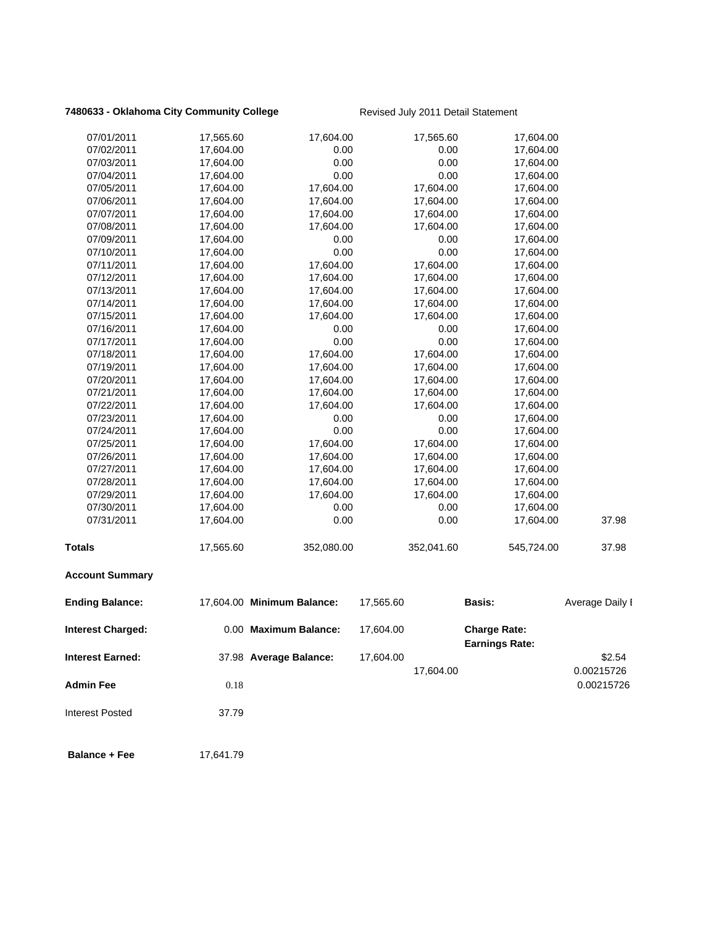# **7480633 - Oklahoma City Community College** Revised July 2011 Detail Statement

| <b>Balance + Fee</b>     | 17,641.79              |                            |           |                        |                                              |                      |
|--------------------------|------------------------|----------------------------|-----------|------------------------|----------------------------------------------|----------------------|
| <b>Interest Posted</b>   | 37.79                  |                            |           |                        |                                              |                      |
| <b>Admin Fee</b>         | 0.18                   |                            |           |                        |                                              | 0.00215726           |
| <b>Interest Earned:</b>  |                        | 37.98 Average Balance:     | 17,604.00 | 17,604.00              |                                              | \$2.54<br>0.00215726 |
| Interest Charged:        |                        | 0.00 Maximum Balance:      | 17,604.00 |                        | <b>Charge Rate:</b><br><b>Earnings Rate:</b> |                      |
| <b>Ending Balance:</b>   |                        | 17,604.00 Minimum Balance: | 17,565.60 |                        | <b>Basis:</b>                                | Average Daily I      |
|                          |                        |                            |           |                        |                                              |                      |
| <b>Account Summary</b>   |                        |                            |           |                        |                                              |                      |
| <b>Totals</b>            | 17,565.60              | 352,080.00                 |           | 352,041.60             | 545,724.00                                   | 37.98                |
| 07/31/2011               | 17,604.00              | 0.00                       |           | 0.00                   | 17,604.00                                    | 37.98                |
| 07/30/2011               | 17,604.00              | 0.00                       |           | 0.00                   | 17,604.00                                    |                      |
| 07/29/2011               | 17,604.00              | 17,604.00                  |           | 17,604.00              | 17,604.00                                    |                      |
| 07/28/2011               | 17,604.00              | 17,604.00                  |           | 17,604.00              | 17,604.00                                    |                      |
| 07/27/2011               | 17,604.00              | 17,604.00                  |           | 17,604.00              | 17,604.00                                    |                      |
| 07/26/2011               | 17,604.00              | 17,604.00                  |           | 17,604.00              | 17,604.00                                    |                      |
| 07/25/2011               | 17,604.00              | 17,604.00                  |           | 17,604.00              | 17,604.00                                    |                      |
| 07/24/2011               | 17,604.00              | 0.00                       |           | 0.00                   | 17,604.00                                    |                      |
| 07/23/2011               | 17,604.00              | 0.00                       |           | 0.00                   | 17,604.00                                    |                      |
| 07/22/2011               | 17,604.00              | 17,604.00                  |           | 17,604.00              | 17,604.00                                    |                      |
| 07/21/2011               | 17,604.00              | 17,604.00                  |           | 17,604.00              | 17,604.00                                    |                      |
| 07/20/2011               | 17,604.00              | 17,604.00                  |           | 17,604.00              | 17,604.00                                    |                      |
| 07/19/2011               | 17,604.00              | 17,604.00                  |           | 17,604.00              | 17,604.00                                    |                      |
| 07/18/2011               | 17,604.00              | 17,604.00                  |           | 17,604.00              | 17,604.00                                    |                      |
| 07/17/2011               | 17,604.00              | 0.00                       |           | 0.00                   | 17,604.00                                    |                      |
| 07/16/2011               | 17,604.00              | 0.00                       |           | 0.00                   | 17,604.00                                    |                      |
| 07/15/2011               | 17,604.00              | 17,604.00                  |           | 17,604.00              | 17,604.00<br>17,604.00                       |                      |
| 07/13/2011<br>07/14/2011 | 17,604.00<br>17,604.00 | 17,604.00<br>17,604.00     |           | 17,604.00<br>17,604.00 | 17,604.00                                    |                      |
| 07/12/2011               | 17,604.00              | 17,604.00                  |           | 17,604.00              | 17,604.00                                    |                      |
| 07/11/2011               | 17,604.00              | 17,604.00                  |           | 17,604.00              | 17,604.00                                    |                      |
| 07/10/2011               | 17,604.00              | 0.00                       |           | 0.00                   | 17,604.00                                    |                      |
| 07/09/2011               | 17,604.00              | 0.00                       |           | 0.00                   | 17,604.00                                    |                      |
| 07/08/2011               | 17,604.00              | 17,604.00                  |           | 17,604.00              | 17,604.00                                    |                      |
| 07/07/2011               | 17,604.00              | 17,604.00                  |           | 17,604.00              | 17,604.00                                    |                      |
| 07/06/2011               | 17,604.00              | 17,604.00                  |           | 17,604.00              | 17,604.00                                    |                      |
| 07/05/2011               | 17,604.00              | 17,604.00                  |           | 17,604.00              | 17,604.00                                    |                      |
| 07/04/2011               | 17,604.00              | 0.00                       |           | 0.00                   | 17,604.00                                    |                      |
| 07/03/2011               | 17,604.00              | 0.00                       |           | 0.00                   | 17,604.00                                    |                      |
| 07/02/2011               | 17,604.00              | 0.00                       |           | 0.00                   | 17,604.00                                    |                      |
| 07/01/2011               | 17,565.60              | 17,604.00                  |           | 17,565.60              | 17,604.00                                    |                      |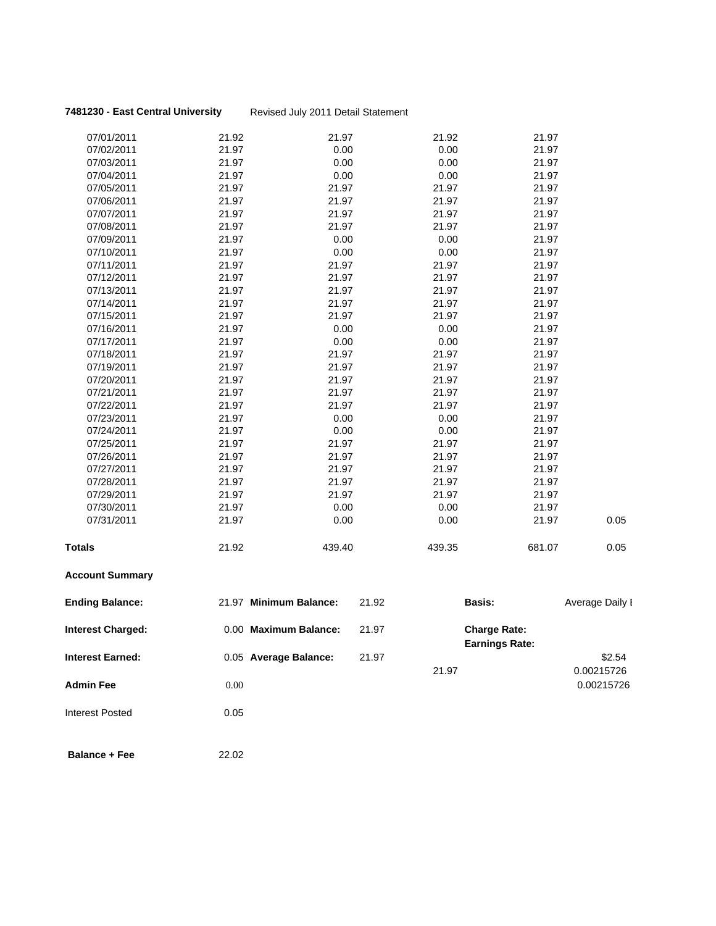### **7481230 - East Central University** Revised July 2011 Detail Statement

| <b>Account Summary</b> |       |        |        |        |      |
|------------------------|-------|--------|--------|--------|------|
| <b>Totals</b>          | 21.92 | 439.40 | 439.35 | 681.07 | 0.05 |
| 07/31/2011             | 21.97 | 0.00   | 0.00   | 21.97  | 0.05 |
| 07/30/2011             | 21.97 | 0.00   | 0.00   | 21.97  |      |
| 07/29/2011             | 21.97 | 21.97  | 21.97  | 21.97  |      |
| 07/28/2011             | 21.97 | 21.97  | 21.97  | 21.97  |      |
| 07/27/2011             | 21.97 | 21.97  | 21.97  | 21.97  |      |
| 07/26/2011             | 21.97 | 21.97  | 21.97  | 21.97  |      |
| 07/25/2011             | 21.97 | 21.97  | 21.97  | 21.97  |      |
| 07/24/2011             | 21.97 | 0.00   | 0.00   | 21.97  |      |
| 07/23/2011             | 21.97 | 0.00   | 0.00   | 21.97  |      |
| 07/22/2011             | 21.97 | 21.97  | 21.97  | 21.97  |      |
| 07/21/2011             | 21.97 | 21.97  | 21.97  | 21.97  |      |
| 07/20/2011             | 21.97 | 21.97  | 21.97  | 21.97  |      |
| 07/19/2011             | 21.97 | 21.97  | 21.97  | 21.97  |      |
| 07/18/2011             | 21.97 | 21.97  | 21.97  | 21.97  |      |
| 07/17/2011             | 21.97 | 0.00   | 0.00   | 21.97  |      |
| 07/16/2011             | 21.97 | 0.00   | 0.00   | 21.97  |      |
| 07/15/2011             | 21.97 | 21.97  | 21.97  | 21.97  |      |
| 07/14/2011             | 21.97 | 21.97  | 21.97  | 21.97  |      |
| 07/13/2011             | 21.97 | 21.97  | 21.97  | 21.97  |      |
| 07/12/2011             | 21.97 | 21.97  | 21.97  | 21.97  |      |
| 07/11/2011             | 21.97 | 21.97  | 21.97  | 21.97  |      |
| 07/10/2011             | 21.97 | 0.00   | 0.00   | 21.97  |      |
| 07/09/2011             | 21.97 | 0.00   | 0.00   | 21.97  |      |
| 07/08/2011             | 21.97 | 21.97  | 21.97  | 21.97  |      |
| 07/07/2011             | 21.97 | 21.97  | 21.97  | 21.97  |      |
| 07/06/2011             | 21.97 | 21.97  | 21.97  | 21.97  |      |
| 07/05/2011             | 21.97 | 21.97  | 21.97  | 21.97  |      |
| 07/04/2011             | 21.97 | 0.00   | 0.00   | 21.97  |      |
| 07/03/2011             | 21.97 | 0.00   | 0.00   | 21.97  |      |
| 07/02/2011             | 21.97 | 0.00   | 0.00   | 21.97  |      |
| 07/01/2011             | 21.92 | 21.97  | 21.92  | 21.97  |      |
|                        |       |        |        |        |      |

| <b>Ending Balance:</b>   | 21.97 | <b>Minimum Balance:</b> | 21.92 |       | <b>Basis:</b>                                | Average Daily I |
|--------------------------|-------|-------------------------|-------|-------|----------------------------------------------|-----------------|
| <b>Interest Charged:</b> |       | 0.00 Maximum Balance:   | 21.97 |       | <b>Charge Rate:</b><br><b>Earnings Rate:</b> |                 |
| <b>Interest Earned:</b>  |       | 0.05 Average Balance:   | 21.97 |       |                                              | \$2.54          |
|                          |       |                         |       | 21.97 |                                              | 0.00215726      |
| <b>Admin Fee</b>         | 0.00  |                         |       |       |                                              | 0.00215726      |
| <b>Interest Posted</b>   | 0.05  |                         |       |       |                                              |                 |
|                          |       |                         |       |       |                                              |                 |

 **Balance + Fee** 22.02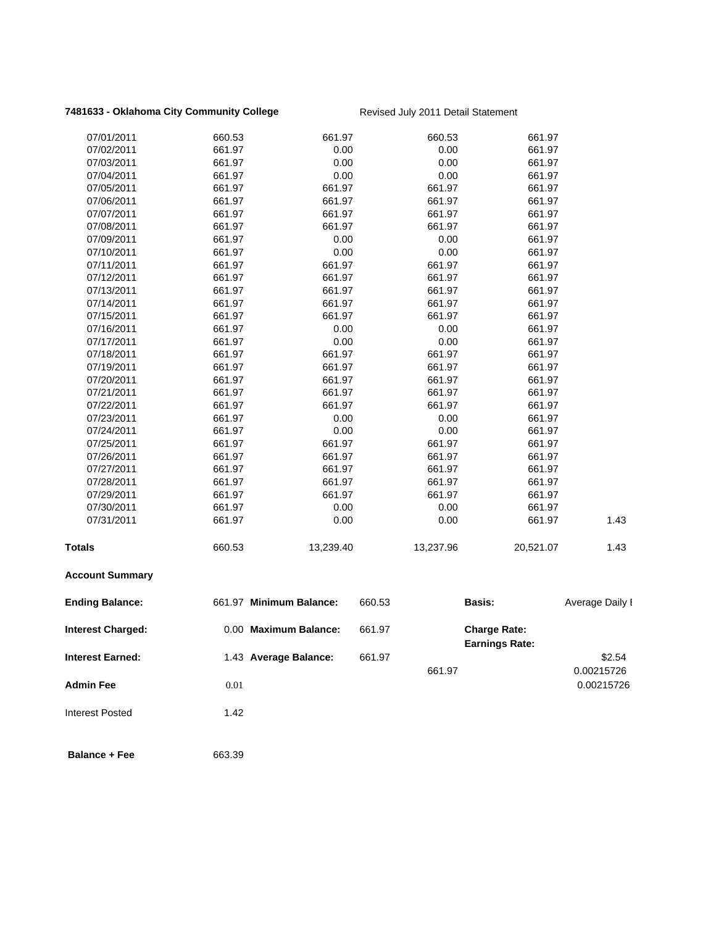# 7481633 - Oklahoma City Community College **Revised July 2011 Detail Statement**

| 07/01/2011               | 660.53   | 661.97                  |        | 660.53    | 661.97                                       |                      |
|--------------------------|----------|-------------------------|--------|-----------|----------------------------------------------|----------------------|
| 07/02/2011               | 661.97   | 0.00                    |        | 0.00      | 661.97                                       |                      |
| 07/03/2011               | 661.97   | 0.00                    |        | 0.00      | 661.97                                       |                      |
| 07/04/2011               | 661.97   | 0.00                    |        | 0.00      | 661.97                                       |                      |
| 07/05/2011               | 661.97   | 661.97                  |        | 661.97    | 661.97                                       |                      |
| 07/06/2011               | 661.97   | 661.97                  |        | 661.97    | 661.97                                       |                      |
| 07/07/2011               | 661.97   | 661.97                  |        | 661.97    | 661.97                                       |                      |
| 07/08/2011               | 661.97   | 661.97                  |        | 661.97    | 661.97                                       |                      |
| 07/09/2011               | 661.97   | 0.00                    |        | 0.00      | 661.97                                       |                      |
| 07/10/2011               | 661.97   | 0.00                    |        | 0.00      | 661.97                                       |                      |
| 07/11/2011               | 661.97   | 661.97                  |        | 661.97    | 661.97                                       |                      |
| 07/12/2011               | 661.97   | 661.97                  |        | 661.97    | 661.97                                       |                      |
| 07/13/2011               | 661.97   | 661.97                  |        | 661.97    | 661.97                                       |                      |
| 07/14/2011               | 661.97   | 661.97                  |        | 661.97    | 661.97                                       |                      |
| 07/15/2011               | 661.97   | 661.97                  |        | 661.97    | 661.97                                       |                      |
| 07/16/2011               | 661.97   | 0.00                    |        | 0.00      | 661.97                                       |                      |
| 07/17/2011               | 661.97   | 0.00                    |        | 0.00      | 661.97                                       |                      |
| 07/18/2011               | 661.97   | 661.97                  |        | 661.97    | 661.97                                       |                      |
| 07/19/2011               | 661.97   | 661.97                  |        | 661.97    | 661.97                                       |                      |
| 07/20/2011               | 661.97   | 661.97                  |        | 661.97    | 661.97                                       |                      |
| 07/21/2011               | 661.97   | 661.97                  |        | 661.97    | 661.97                                       |                      |
| 07/22/2011               | 661.97   | 661.97                  |        | 661.97    | 661.97                                       |                      |
| 07/23/2011               | 661.97   | 0.00                    |        | 0.00      | 661.97                                       |                      |
| 07/24/2011               | 661.97   | 0.00                    |        | 0.00      | 661.97                                       |                      |
| 07/25/2011               | 661.97   | 661.97                  |        | 661.97    | 661.97                                       |                      |
| 07/26/2011               | 661.97   | 661.97                  |        | 661.97    | 661.97                                       |                      |
| 07/27/2011               | 661.97   | 661.97                  |        | 661.97    | 661.97                                       |                      |
| 07/28/2011               | 661.97   | 661.97                  |        | 661.97    | 661.97                                       |                      |
| 07/29/2011               | 661.97   | 661.97                  |        | 661.97    | 661.97                                       |                      |
| 07/30/2011               | 661.97   | 0.00                    |        | 0.00      | 661.97                                       |                      |
| 07/31/2011               | 661.97   | 0.00                    |        | 0.00      | 661.97                                       | 1.43                 |
| <b>Totals</b>            | 660.53   | 13,239.40               |        | 13,237.96 | 20,521.07                                    | 1.43                 |
| <b>Account Summary</b>   |          |                         |        |           |                                              |                      |
| <b>Ending Balance:</b>   |          | 661.97 Minimum Balance: | 660.53 |           | <b>Basis:</b>                                | Average Daily I      |
| <b>Interest Charged:</b> |          | 0.00 Maximum Balance:   | 661.97 |           | <b>Charge Rate:</b><br><b>Earnings Rate:</b> |                      |
| <b>Interest Earned:</b>  |          | 1.43 Average Balance:   | 661.97 | 661.97    |                                              | \$2.54<br>0.00215726 |
| <b>Admin Fee</b>         | $0.01\,$ |                         |        |           |                                              | 0.00215726           |
| <b>Interest Posted</b>   | 1.42     |                         |        |           |                                              |                      |
| <b>Balance + Fee</b>     | 663.39   |                         |        |           |                                              |                      |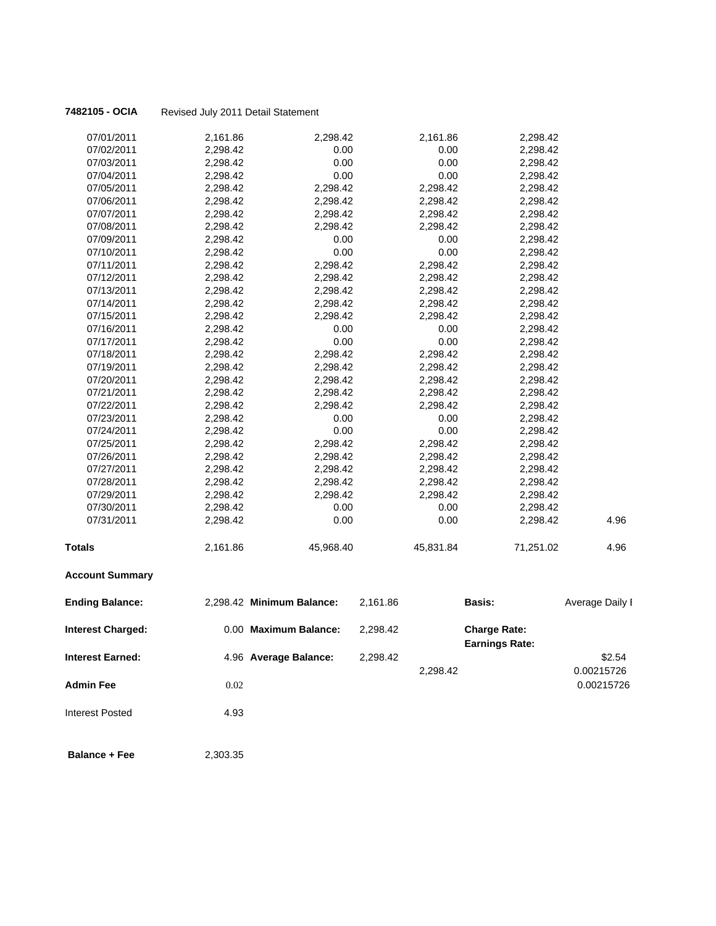**7482105 - OCIA** Revised July 2011 Detail Statement

| 07/01/2011               | 2,161.86 | 2,298.42                  |          | 2,161.86  | 2,298.42                                     |                 |
|--------------------------|----------|---------------------------|----------|-----------|----------------------------------------------|-----------------|
| 07/02/2011               | 2,298.42 | 0.00                      |          | 0.00      | 2,298.42                                     |                 |
| 07/03/2011               | 2,298.42 | 0.00                      |          | 0.00      | 2,298.42                                     |                 |
| 07/04/2011               | 2,298.42 | 0.00                      |          | 0.00      | 2,298.42                                     |                 |
| 07/05/2011               | 2,298.42 | 2,298.42                  |          | 2,298.42  | 2,298.42                                     |                 |
| 07/06/2011               | 2,298.42 | 2,298.42                  |          | 2,298.42  | 2,298.42                                     |                 |
| 07/07/2011               | 2,298.42 | 2,298.42                  |          | 2,298.42  | 2,298.42                                     |                 |
| 07/08/2011               | 2,298.42 | 2,298.42                  |          | 2,298.42  | 2,298.42                                     |                 |
| 07/09/2011               | 2,298.42 | 0.00                      |          | 0.00      | 2,298.42                                     |                 |
| 07/10/2011               | 2,298.42 | 0.00                      |          | 0.00      | 2,298.42                                     |                 |
| 07/11/2011               | 2,298.42 | 2,298.42                  |          | 2,298.42  | 2,298.42                                     |                 |
| 07/12/2011               | 2,298.42 | 2,298.42                  |          | 2,298.42  | 2,298.42                                     |                 |
| 07/13/2011               | 2,298.42 | 2,298.42                  |          | 2,298.42  | 2,298.42                                     |                 |
| 07/14/2011               | 2,298.42 | 2,298.42                  |          | 2,298.42  | 2,298.42                                     |                 |
| 07/15/2011               | 2,298.42 | 2,298.42                  |          | 2,298.42  | 2,298.42                                     |                 |
| 07/16/2011               | 2,298.42 | 0.00                      |          | 0.00      | 2,298.42                                     |                 |
| 07/17/2011               | 2,298.42 | 0.00                      |          | 0.00      | 2,298.42                                     |                 |
| 07/18/2011               | 2,298.42 | 2,298.42                  |          | 2,298.42  | 2,298.42                                     |                 |
| 07/19/2011               | 2,298.42 | 2,298.42                  |          | 2,298.42  | 2,298.42                                     |                 |
| 07/20/2011               | 2,298.42 | 2,298.42                  |          | 2,298.42  | 2,298.42                                     |                 |
| 07/21/2011               | 2,298.42 | 2,298.42                  |          | 2,298.42  | 2,298.42                                     |                 |
| 07/22/2011               | 2,298.42 | 2,298.42                  |          | 2,298.42  | 2,298.42                                     |                 |
| 07/23/2011               | 2,298.42 | 0.00                      |          | 0.00      | 2,298.42                                     |                 |
| 07/24/2011               | 2,298.42 | 0.00                      |          | 0.00      | 2,298.42                                     |                 |
| 07/25/2011               | 2,298.42 | 2,298.42                  |          | 2,298.42  | 2,298.42                                     |                 |
| 07/26/2011               | 2,298.42 | 2,298.42                  |          | 2,298.42  | 2,298.42                                     |                 |
| 07/27/2011               | 2,298.42 | 2,298.42                  |          | 2,298.42  | 2,298.42                                     |                 |
| 07/28/2011               | 2,298.42 | 2,298.42                  |          | 2,298.42  | 2,298.42                                     |                 |
| 07/29/2011               | 2,298.42 | 2,298.42                  |          | 2,298.42  | 2,298.42                                     |                 |
| 07/30/2011               | 2,298.42 | 0.00                      |          | 0.00      | 2,298.42                                     |                 |
| 07/31/2011               | 2,298.42 | 0.00                      |          | 0.00      | 2,298.42                                     | 4.96            |
| <b>Totals</b>            | 2,161.86 | 45,968.40                 |          | 45,831.84 | 71,251.02                                    | 4.96            |
| <b>Account Summary</b>   |          |                           |          |           |                                              |                 |
| <b>Ending Balance:</b>   |          | 2,298.42 Minimum Balance: | 2,161.86 |           | <b>Basis:</b>                                | Average Daily I |
| <b>Interest Charged:</b> |          | 0.00 Maximum Balance:     | 2,298.42 |           | <b>Charge Rate:</b><br><b>Earnings Rate:</b> |                 |
| Interest Earned:         |          | 4.96 Average Balance:     | 2,298.42 |           |                                              | \$2.54          |
|                          |          |                           |          | 2,298.42  |                                              | 0.00215726      |
| <b>Admin Fee</b>         | 0.02     |                           |          |           |                                              | 0.00215726      |
| Interest Posted          | 4.93     |                           |          |           |                                              |                 |
| <b>Balance + Fee</b>     | 2,303.35 |                           |          |           |                                              |                 |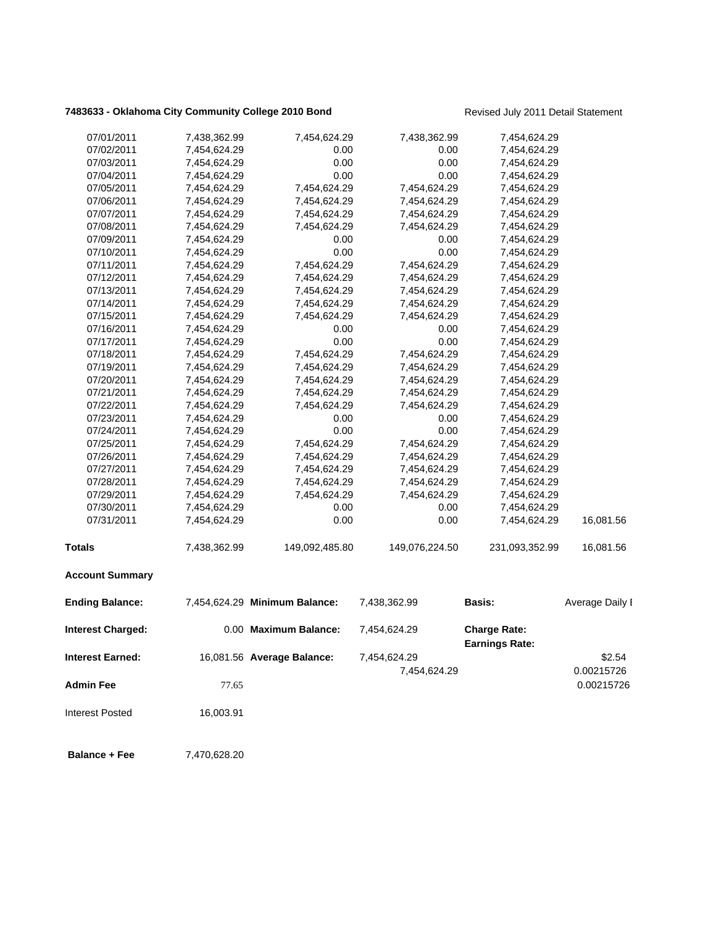# **7483633 - Oklahoma City Community College 2010 Bond** Revised July 2011 Detail Statement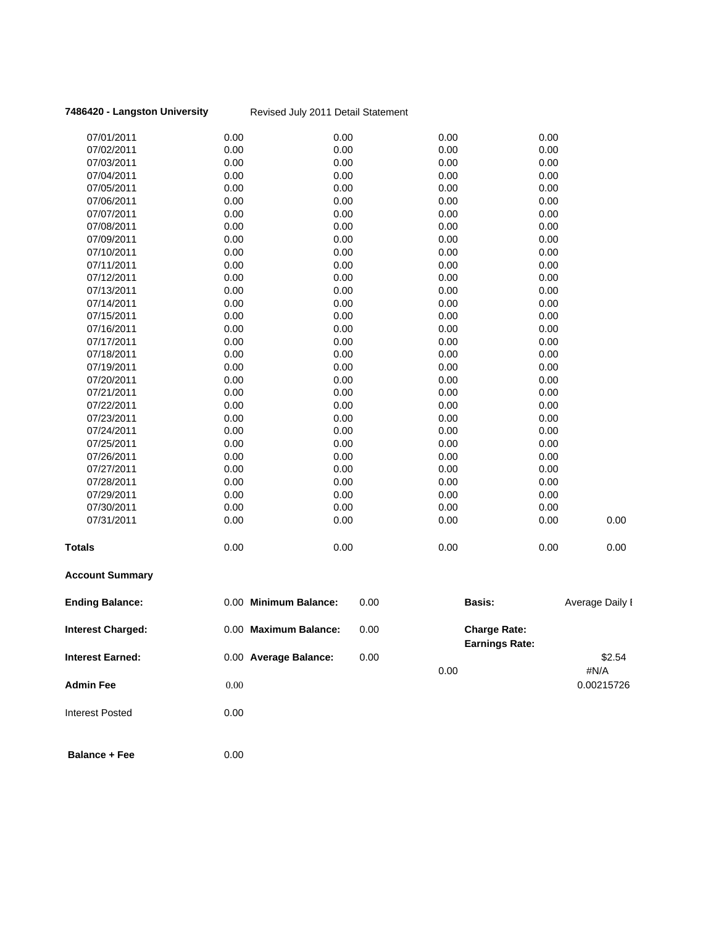### **7486420 - Langston University** Revised July 2011 Detail Statement

| <b>Totals</b>            | 0.00         | 0.00         | 0.00         | 0.00         | 0.00 |
|--------------------------|--------------|--------------|--------------|--------------|------|
| 07/31/2011               | 0.00         | 0.00         | 0.00         | 0.00         | 0.00 |
| 07/30/2011               | 0.00         | 0.00         | 0.00         | 0.00         |      |
| 07/29/2011               | 0.00         | 0.00         | 0.00         | 0.00         |      |
| 07/28/2011               | 0.00         | 0.00         | 0.00         | 0.00         |      |
| 07/27/2011               | 0.00         | 0.00         | 0.00         | 0.00         |      |
| 07/26/2011               | 0.00         | 0.00         | 0.00         | 0.00         |      |
| 07/25/2011               | 0.00         | 0.00         | 0.00         | 0.00         |      |
| 07/24/2011               | 0.00         | 0.00         | 0.00         | 0.00         |      |
| 07/23/2011               | 0.00         | 0.00         | 0.00         | 0.00         |      |
| 07/22/2011               | 0.00         | 0.00         | 0.00         | 0.00         |      |
| 07/21/2011               | 0.00         | 0.00         | 0.00         | 0.00         |      |
| 07/20/2011               | 0.00         | 0.00         | 0.00         | 0.00         |      |
| 07/19/2011               | 0.00         | 0.00         | 0.00         | 0.00         |      |
| 07/18/2011               | 0.00         | 0.00         | 0.00         | 0.00         |      |
| 07/17/2011               | 0.00         | 0.00         | 0.00         | 0.00         |      |
| 07/16/2011               | 0.00         | 0.00         | 0.00         | 0.00         |      |
| 07/15/2011               | 0.00         | 0.00         | 0.00         | 0.00         |      |
| 07/14/2011               | 0.00         | 0.00         | 0.00         | 0.00         |      |
| 07/13/2011               | 0.00         | 0.00         | 0.00         | 0.00         |      |
| 07/12/2011               | 0.00         | 0.00         | 0.00         | 0.00         |      |
|                          |              |              |              |              |      |
| 07/11/2011               | 0.00         | 0.00         | 0.00         | 0.00         |      |
| 07/10/2011               | 0.00         | 0.00         | 0.00         | 0.00         |      |
| 07/09/2011               | 0.00         | 0.00<br>0.00 | 0.00<br>0.00 | 0.00<br>0.00 |      |
| 07/08/2011               | 0.00         |              |              |              |      |
| 07/07/2011               | 0.00         | 0.00         | 0.00         | 0.00         |      |
| 07/05/2011<br>07/06/2011 | 0.00<br>0.00 | 0.00<br>0.00 | 0.00<br>0.00 | 0.00<br>0.00 |      |
| 07/04/2011               | 0.00         | 0.00         | 0.00         | 0.00         |      |
| 07/03/2011               |              | 0.00         | 0.00         | 0.00         |      |
|                          | 0.00         |              |              |              |      |
| 07/02/2011               | 0.00         | 0.00         | 0.00         | 0.00         |      |
| 07/01/2011               | 0.00         | 0.00         | 0.00         | 0.00         |      |

## **Account Summary**

| <b>Ending Balance:</b>   |      | 0.00 Minimum Balance: | 0.00 |      | <b>Basis:</b>                                | Average Daily I    |
|--------------------------|------|-----------------------|------|------|----------------------------------------------|--------------------|
| <b>Interest Charged:</b> |      | 0.00 Maximum Balance: | 0.00 |      | <b>Charge Rate:</b><br><b>Earnings Rate:</b> |                    |
| <b>Interest Earned:</b>  |      | 0.00 Average Balance: | 0.00 |      |                                              | \$2.54             |
| <b>Admin Fee</b>         | 0.00 |                       |      | 0.00 |                                              | #N/A<br>0.00215726 |
| Interest Posted          | 0.00 |                       |      |      |                                              |                    |

**Balance + Fee** 0.00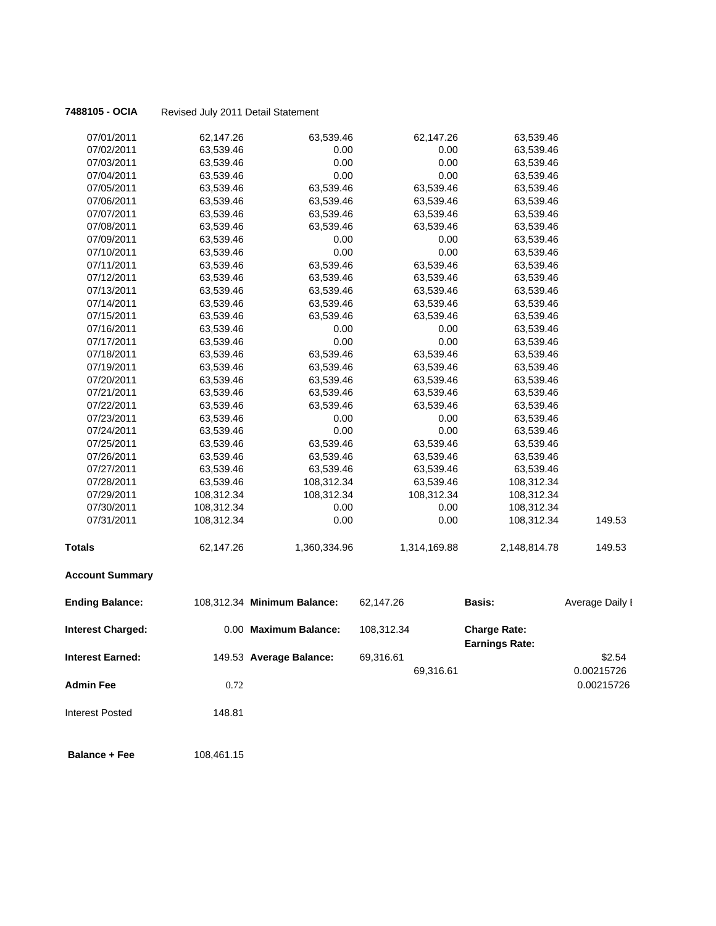**7488105 - OCIA** Revised July 2011 Detail Statement

| 07/01/2011               | 62,147.26  | 63,539.46                   | 62,147.26    | 63,539.46                                    |                 |
|--------------------------|------------|-----------------------------|--------------|----------------------------------------------|-----------------|
| 07/02/2011               | 63,539.46  | 0.00                        | 0.00         | 63,539.46                                    |                 |
| 07/03/2011               | 63,539.46  | 0.00                        | 0.00         | 63,539.46                                    |                 |
| 07/04/2011               | 63,539.46  | 0.00                        | 0.00         | 63,539.46                                    |                 |
| 07/05/2011               | 63,539.46  | 63,539.46                   | 63,539.46    | 63,539.46                                    |                 |
| 07/06/2011               | 63,539.46  | 63,539.46                   | 63,539.46    | 63,539.46                                    |                 |
| 07/07/2011               | 63,539.46  | 63,539.46                   | 63,539.46    | 63,539.46                                    |                 |
| 07/08/2011               | 63,539.46  | 63,539.46                   | 63,539.46    | 63,539.46                                    |                 |
| 07/09/2011               | 63,539.46  | 0.00                        | 0.00         | 63,539.46                                    |                 |
| 07/10/2011               | 63,539.46  | 0.00                        | 0.00         | 63,539.46                                    |                 |
| 07/11/2011               | 63,539.46  | 63,539.46                   | 63,539.46    | 63,539.46                                    |                 |
| 07/12/2011               | 63,539.46  | 63,539.46                   | 63,539.46    | 63,539.46                                    |                 |
| 07/13/2011               | 63,539.46  | 63,539.46                   | 63,539.46    | 63,539.46                                    |                 |
| 07/14/2011               | 63,539.46  | 63,539.46                   | 63,539.46    | 63,539.46                                    |                 |
| 07/15/2011               | 63,539.46  | 63,539.46                   | 63,539.46    | 63,539.46                                    |                 |
| 07/16/2011               | 63,539.46  | 0.00                        | 0.00         | 63,539.46                                    |                 |
| 07/17/2011               | 63,539.46  | 0.00                        | 0.00         | 63,539.46                                    |                 |
| 07/18/2011               | 63,539.46  | 63,539.46                   | 63,539.46    | 63,539.46                                    |                 |
| 07/19/2011               | 63,539.46  | 63,539.46                   | 63,539.46    | 63,539.46                                    |                 |
| 07/20/2011               | 63,539.46  | 63,539.46                   | 63,539.46    | 63,539.46                                    |                 |
| 07/21/2011               | 63,539.46  | 63,539.46                   | 63,539.46    | 63,539.46                                    |                 |
| 07/22/2011               | 63,539.46  | 63,539.46                   | 63,539.46    | 63,539.46                                    |                 |
| 07/23/2011               | 63,539.46  | 0.00                        | 0.00         | 63,539.46                                    |                 |
| 07/24/2011               | 63,539.46  | 0.00                        | 0.00         | 63,539.46                                    |                 |
| 07/25/2011               | 63,539.46  | 63,539.46                   | 63,539.46    | 63,539.46                                    |                 |
| 07/26/2011               | 63,539.46  | 63,539.46                   | 63,539.46    | 63,539.46                                    |                 |
| 07/27/2011               | 63,539.46  | 63,539.46                   | 63,539.46    | 63,539.46                                    |                 |
| 07/28/2011               | 63,539.46  | 108,312.34                  | 63,539.46    | 108,312.34                                   |                 |
| 07/29/2011               | 108,312.34 | 108,312.34                  | 108,312.34   | 108,312.34                                   |                 |
| 07/30/2011               | 108,312.34 | 0.00                        | 0.00         | 108,312.34                                   |                 |
| 07/31/2011               | 108,312.34 | 0.00                        | 0.00         | 108,312.34                                   | 149.53          |
| Totals                   | 62,147.26  | 1,360,334.96                | 1,314,169.88 | 2,148,814.78                                 | 149.53          |
| <b>Account Summary</b>   |            |                             |              |                                              |                 |
| <b>Ending Balance:</b>   |            | 108,312.34 Minimum Balance: | 62,147.26    | <b>Basis:</b>                                | Average Daily I |
| <b>Interest Charged:</b> |            | 0.00 Maximum Balance:       | 108,312.34   | <b>Charge Rate:</b><br><b>Earnings Rate:</b> |                 |
| Interest Earned:         |            | 149.53 Average Balance:     | 69,316.61    |                                              | \$2.54          |
|                          |            |                             | 69,316.61    |                                              | 0.00215726      |
| <b>Admin Fee</b>         | 0.72       |                             |              |                                              | 0.00215726      |
| <b>Interest Posted</b>   | 148.81     |                             |              |                                              |                 |
| <b>Balance + Fee</b>     | 108,461.15 |                             |              |                                              |                 |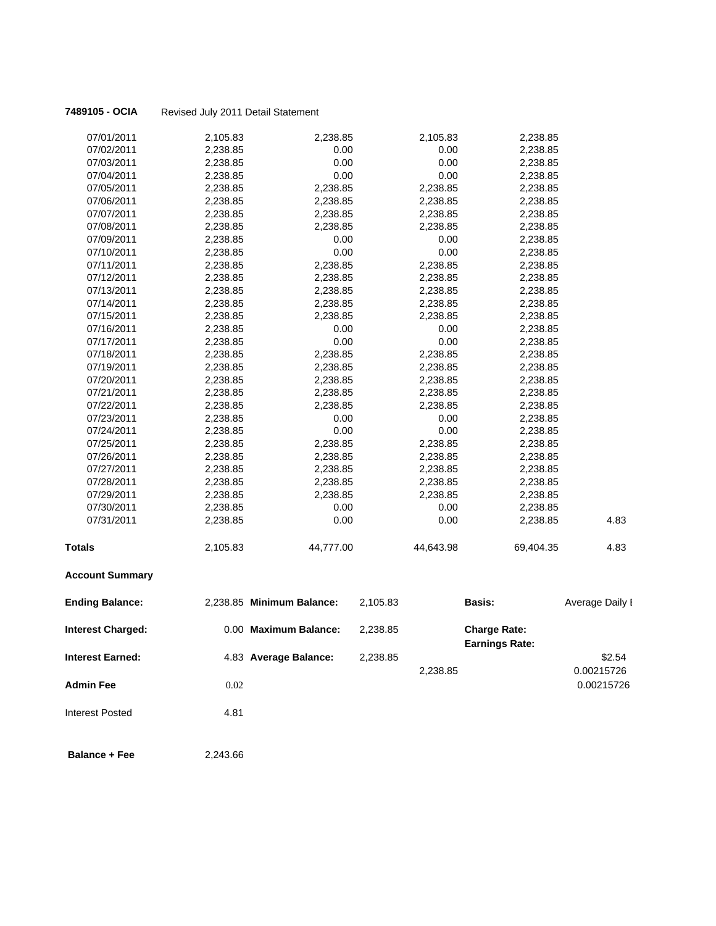### **7489105 - OCIA** Revised July 2011 Detail Statement

| 07/01/2011               | 2,105.83 | 2,238.85                  |          | 2,105.83  | 2,238.85                                     |                 |
|--------------------------|----------|---------------------------|----------|-----------|----------------------------------------------|-----------------|
| 07/02/2011               | 2,238.85 | 0.00                      |          | 0.00      | 2,238.85                                     |                 |
| 07/03/2011               | 2,238.85 | 0.00                      |          | 0.00      | 2,238.85                                     |                 |
| 07/04/2011               | 2,238.85 | 0.00                      |          | 0.00      | 2,238.85                                     |                 |
| 07/05/2011               | 2,238.85 | 2,238.85                  |          | 2,238.85  | 2,238.85                                     |                 |
| 07/06/2011               | 2,238.85 | 2,238.85                  |          | 2,238.85  | 2,238.85                                     |                 |
| 07/07/2011               | 2,238.85 | 2,238.85                  |          | 2,238.85  | 2,238.85                                     |                 |
| 07/08/2011               | 2,238.85 | 2,238.85                  |          | 2,238.85  | 2,238.85                                     |                 |
| 07/09/2011               | 2,238.85 | 0.00                      |          | 0.00      | 2,238.85                                     |                 |
| 07/10/2011               | 2,238.85 | 0.00                      |          | 0.00      | 2,238.85                                     |                 |
| 07/11/2011               | 2,238.85 | 2,238.85                  |          | 2,238.85  | 2,238.85                                     |                 |
| 07/12/2011               | 2,238.85 | 2,238.85                  |          | 2,238.85  | 2,238.85                                     |                 |
| 07/13/2011               | 2,238.85 | 2,238.85                  |          | 2,238.85  | 2,238.85                                     |                 |
| 07/14/2011               | 2,238.85 | 2,238.85                  |          | 2,238.85  | 2,238.85                                     |                 |
| 07/15/2011               | 2,238.85 | 2,238.85                  |          | 2,238.85  | 2,238.85                                     |                 |
| 07/16/2011               | 2,238.85 | 0.00                      |          | 0.00      | 2,238.85                                     |                 |
| 07/17/2011               | 2,238.85 | 0.00                      |          | 0.00      | 2,238.85                                     |                 |
| 07/18/2011               | 2,238.85 | 2,238.85                  |          | 2,238.85  | 2,238.85                                     |                 |
| 07/19/2011               | 2,238.85 | 2,238.85                  |          | 2,238.85  | 2,238.85                                     |                 |
| 07/20/2011               | 2,238.85 | 2,238.85                  |          | 2,238.85  | 2,238.85                                     |                 |
| 07/21/2011               | 2,238.85 | 2,238.85                  |          | 2,238.85  | 2,238.85                                     |                 |
| 07/22/2011               | 2,238.85 | 2,238.85                  |          | 2,238.85  | 2,238.85                                     |                 |
| 07/23/2011               | 2,238.85 | 0.00                      |          | 0.00      | 2,238.85                                     |                 |
| 07/24/2011               | 2,238.85 | 0.00                      |          | 0.00      | 2,238.85                                     |                 |
| 07/25/2011               | 2,238.85 | 2,238.85                  |          | 2,238.85  | 2,238.85                                     |                 |
| 07/26/2011               | 2,238.85 | 2,238.85                  |          | 2,238.85  | 2,238.85                                     |                 |
| 07/27/2011               | 2,238.85 | 2,238.85                  |          | 2,238.85  | 2,238.85                                     |                 |
| 07/28/2011               | 2,238.85 | 2,238.85                  |          | 2,238.85  | 2,238.85                                     |                 |
| 07/29/2011               | 2,238.85 | 2,238.85                  |          | 2,238.85  | 2,238.85                                     |                 |
| 07/30/2011               | 2,238.85 | 0.00                      |          | 0.00      | 2,238.85                                     |                 |
| 07/31/2011               | 2,238.85 | 0.00                      |          | 0.00      | 2,238.85                                     | 4.83            |
| <b>Totals</b>            | 2,105.83 | 44,777.00                 |          | 44,643.98 | 69,404.35                                    | 4.83            |
| <b>Account Summary</b>   |          |                           |          |           |                                              |                 |
| <b>Ending Balance:</b>   |          | 2,238.85 Minimum Balance: | 2,105.83 |           | <b>Basis:</b>                                | Average Daily I |
| <b>Interest Charged:</b> |          | 0.00 Maximum Balance:     | 2,238.85 |           | <b>Charge Rate:</b><br><b>Earnings Rate:</b> |                 |
| Interest Earned:         |          | 4.83 Average Balance:     | 2,238.85 |           |                                              | \$2.54          |
|                          |          |                           |          | 2,238.85  |                                              | 0.00215726      |
| <b>Admin Fee</b>         | 0.02     |                           |          |           |                                              | 0.00215726      |
| Interest Posted          | 4.81     |                           |          |           |                                              |                 |
| <b>Balance + Fee</b>     | 2,243.66 |                           |          |           |                                              |                 |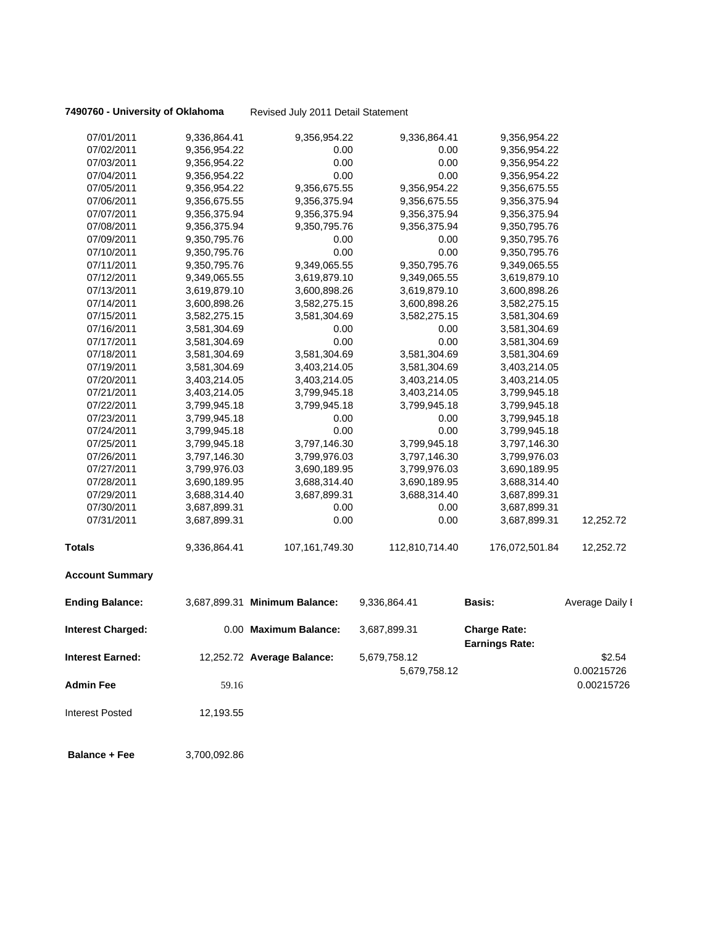**7490760 - University of Oklahoma** Revised July 2011 Detail Statement

| 07/01/2011               | 9,336,864.41 | 9,356,954.22                  | 9,336,864.41   | 9,356,954.22                                 |                 |
|--------------------------|--------------|-------------------------------|----------------|----------------------------------------------|-----------------|
| 07/02/2011               | 9,356,954.22 | 0.00                          | 0.00           | 9,356,954.22                                 |                 |
| 07/03/2011               | 9,356,954.22 | 0.00                          | 0.00           | 9,356,954.22                                 |                 |
| 07/04/2011               | 9,356,954.22 | 0.00                          | 0.00           | 9,356,954.22                                 |                 |
| 07/05/2011               | 9,356,954.22 | 9,356,675.55                  | 9,356,954.22   | 9,356,675.55                                 |                 |
| 07/06/2011               | 9,356,675.55 | 9,356,375.94                  | 9,356,675.55   | 9,356,375.94                                 |                 |
| 07/07/2011               | 9,356,375.94 | 9,356,375.94                  | 9,356,375.94   | 9,356,375.94                                 |                 |
| 07/08/2011               | 9,356,375.94 | 9,350,795.76                  | 9,356,375.94   | 9,350,795.76                                 |                 |
| 07/09/2011               | 9,350,795.76 | 0.00                          | 0.00           | 9,350,795.76                                 |                 |
| 07/10/2011               | 9,350,795.76 | 0.00                          | 0.00           | 9,350,795.76                                 |                 |
| 07/11/2011               | 9,350,795.76 | 9,349,065.55                  | 9,350,795.76   | 9,349,065.55                                 |                 |
| 07/12/2011               | 9,349,065.55 | 3,619,879.10                  | 9,349,065.55   | 3,619,879.10                                 |                 |
| 07/13/2011               | 3,619,879.10 | 3,600,898.26                  | 3,619,879.10   | 3,600,898.26                                 |                 |
| 07/14/2011               | 3,600,898.26 | 3,582,275.15                  | 3,600,898.26   | 3,582,275.15                                 |                 |
| 07/15/2011               | 3,582,275.15 | 3,581,304.69                  | 3,582,275.15   | 3,581,304.69                                 |                 |
| 07/16/2011               | 3,581,304.69 | 0.00                          | 0.00           | 3,581,304.69                                 |                 |
| 07/17/2011               | 3,581,304.69 | 0.00                          | 0.00           | 3,581,304.69                                 |                 |
| 07/18/2011               | 3,581,304.69 | 3,581,304.69                  | 3,581,304.69   | 3,581,304.69                                 |                 |
| 07/19/2011               | 3,581,304.69 | 3,403,214.05                  | 3,581,304.69   | 3,403,214.05                                 |                 |
| 07/20/2011               | 3,403,214.05 | 3,403,214.05                  | 3,403,214.05   | 3,403,214.05                                 |                 |
| 07/21/2011               | 3,403,214.05 | 3,799,945.18                  | 3,403,214.05   | 3,799,945.18                                 |                 |
| 07/22/2011               | 3,799,945.18 | 3,799,945.18                  | 3,799,945.18   | 3,799,945.18                                 |                 |
| 07/23/2011               | 3,799,945.18 | 0.00                          | 0.00           | 3,799,945.18                                 |                 |
| 07/24/2011               | 3,799,945.18 | 0.00                          | 0.00           | 3,799,945.18                                 |                 |
| 07/25/2011               | 3,799,945.18 | 3,797,146.30                  | 3,799,945.18   | 3,797,146.30                                 |                 |
| 07/26/2011               | 3,797,146.30 | 3,799,976.03                  | 3,797,146.30   | 3,799,976.03                                 |                 |
| 07/27/2011               | 3,799,976.03 | 3,690,189.95                  | 3,799,976.03   | 3,690,189.95                                 |                 |
| 07/28/2011               | 3,690,189.95 | 3,688,314.40                  | 3,690,189.95   | 3,688,314.40                                 |                 |
| 07/29/2011               | 3,688,314.40 | 3,687,899.31                  | 3,688,314.40   | 3,687,899.31                                 |                 |
| 07/30/2011               | 3,687,899.31 | 0.00                          | 0.00           | 3,687,899.31                                 |                 |
| 07/31/2011               | 3,687,899.31 | 0.00                          | 0.00           | 3,687,899.31                                 | 12,252.72       |
| <b>Totals</b>            | 9,336,864.41 | 107,161,749.30                | 112,810,714.40 | 176,072,501.84                               | 12,252.72       |
| <b>Account Summary</b>   |              |                               |                |                                              |                 |
| <b>Ending Balance:</b>   |              | 3,687,899.31 Minimum Balance: | 9,336,864.41   | <b>Basis:</b>                                | Average Daily I |
| <b>Interest Charged:</b> |              | 0.00 Maximum Balance:         | 3,687,899.31   | <b>Charge Rate:</b><br><b>Earnings Rate:</b> |                 |
| <b>Interest Earned:</b>  |              | 12,252.72 Average Balance:    | 5,679,758.12   |                                              | \$2.54          |
|                          |              |                               | 5,679,758.12   |                                              | 0.00215726      |
| <b>Admin Fee</b>         | 59.16        |                               |                |                                              | 0.00215726      |
| <b>Interest Posted</b>   | 12,193.55    |                               |                |                                              |                 |
| <b>Balance + Fee</b>     | 3,700,092.86 |                               |                |                                              |                 |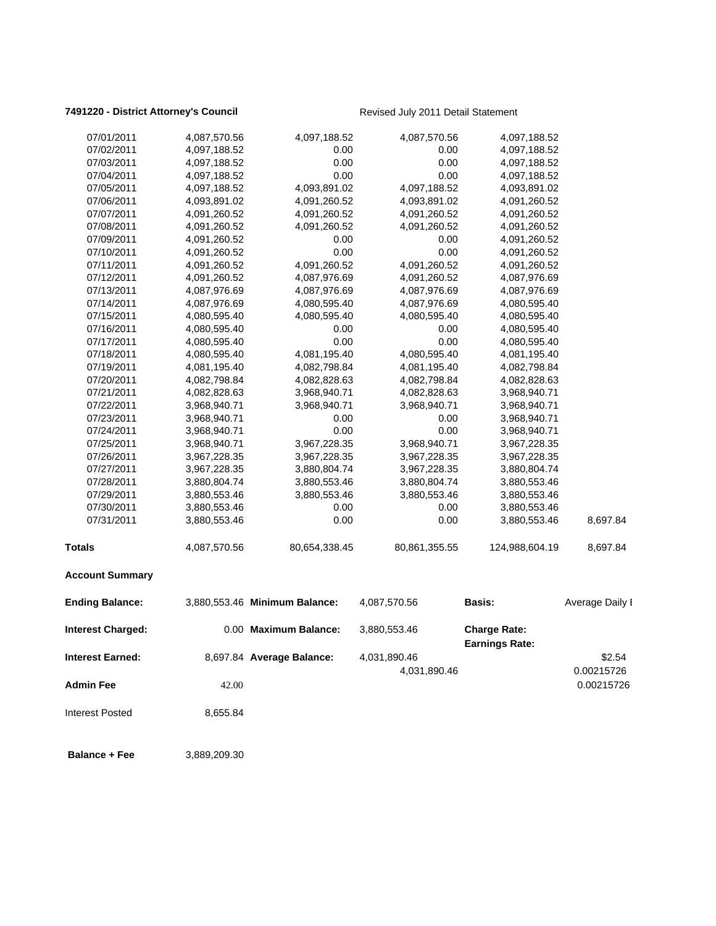### 7491220 - District Attorney's Council **Revised July 2011 Detail Statement**

| <b>Admin Fee</b><br><b>Interest Posted</b> | 42.00<br>8,655.84            |                               |                              |                                              | 0.00215726           |
|--------------------------------------------|------------------------------|-------------------------------|------------------------------|----------------------------------------------|----------------------|
| <b>Interest Earned:</b>                    |                              | 8,697.84 Average Balance:     | 4,031,890.46<br>4,031,890.46 |                                              | \$2.54<br>0.00215726 |
| <b>Interest Charged:</b>                   |                              | 0.00 Maximum Balance:         | 3,880,553.46                 | <b>Charge Rate:</b><br><b>Earnings Rate:</b> |                      |
| <b>Ending Balance:</b>                     |                              | 3,880,553.46 Minimum Balance: | 4,087,570.56                 | Basis:                                       | Average Daily I      |
| <b>Account Summary</b>                     |                              |                               |                              |                                              |                      |
| <b>Totals</b>                              | 4,087,570.56                 | 80,654,338.45                 | 80,861,355.55                | 124,988,604.19                               | 8,697.84             |
| 07/31/2011                                 | 3,880,553.46                 | 0.00                          | 0.00                         | 3,880,553.46                                 | 8,697.84             |
| 07/30/2011                                 | 3,880,553.46                 | 0.00                          | 0.00                         | 3,880,553.46                                 |                      |
| 07/29/2011                                 | 3,880,553.46                 | 3,880,553.46                  | 3,880,553.46                 | 3,880,553.46                                 |                      |
| 07/28/2011                                 | 3,880,804.74                 | 3,880,553.46                  | 3,880,804.74                 | 3,880,553.46                                 |                      |
| 07/27/2011                                 | 3,967,228.35                 | 3,880,804.74                  | 3,967,228.35                 | 3,880,804.74                                 |                      |
| 07/26/2011                                 | 3,967,228.35                 | 3,967,228.35                  | 3,967,228.35                 | 3,967,228.35                                 |                      |
| 07/25/2011                                 | 3,968,940.71                 | 3,967,228.35                  | 3,968,940.71                 | 3,967,228.35                                 |                      |
| 07/24/2011                                 | 3,968,940.71                 | 0.00                          | 0.00                         | 3,968,940.71                                 |                      |
| 07/23/2011                                 | 3,968,940.71                 | 0.00                          | 0.00                         | 3,968,940.71                                 |                      |
| 07/22/2011                                 | 3,968,940.71                 | 3,968,940.71                  | 3,968,940.71                 | 3,968,940.71                                 |                      |
| 07/21/2011                                 | 4,082,828.63                 | 3,968,940.71                  | 4,082,828.63                 | 3,968,940.71                                 |                      |
| 07/20/2011                                 | 4,082,798.84                 | 4,082,828.63                  | 4,082,798.84                 | 4,082,828.63                                 |                      |
| 07/19/2011                                 | 4,081,195.40                 | 4,082,798.84                  | 4,081,195.40                 | 4,082,798.84                                 |                      |
| 07/18/2011                                 | 4,080,595.40                 | 4,081,195.40                  | 4,080,595.40                 | 4,081,195.40                                 |                      |
| 07/17/2011                                 | 4,080,595.40                 | 0.00                          | 0.00                         | 4,080,595.40                                 |                      |
| 07/16/2011                                 | 4,080,595.40                 | 0.00                          | 0.00                         | 4,080,595.40                                 |                      |
| 07/15/2011                                 | 4,080,595.40                 | 4,080,595.40                  | 4,080,595.40                 | 4,080,595.40                                 |                      |
| 07/14/2011                                 | 4,087,976.69                 | 4,080,595.40                  | 4,087,976.69                 | 4,080,595.40                                 |                      |
| 07/13/2011                                 | 4,087,976.69                 | 4,087,976.69                  | 4,087,976.69                 | 4,087,976.69                                 |                      |
| 07/12/2011                                 | 4,091,260.52                 | 4,087,976.69                  | 4,091,260.52                 | 4,087,976.69                                 |                      |
| 07/11/2011                                 | 4,091,260.52                 | 4,091,260.52                  | 4,091,260.52                 | 4,091,260.52                                 |                      |
| 07/10/2011                                 | 4,091,260.52                 | 0.00                          | 0.00                         | 4,091,260.52                                 |                      |
| 07/09/2011                                 | 4,091,260.52                 | 0.00                          | 0.00                         | 4,091,260.52                                 |                      |
| 07/08/2011                                 | 4,091,260.52                 | 4,091,260.52                  | 4,091,260.52                 | 4,091,260.52                                 |                      |
| 07/07/2011                                 | 4,091,260.52                 | 4,091,260.52                  | 4,091,260.52                 | 4,091,260.52                                 |                      |
| 07/06/2011                                 | 4,093,891.02                 | 4,091,260.52                  | 4,093,891.02                 | 4,091,260.52                                 |                      |
| 07/05/2011                                 | 4,097,188.52                 | 4,093,891.02                  | 4,097,188.52                 | 4,093,891.02                                 |                      |
| 07/04/2011                                 | 4,097,188.52                 | 0.00                          | 0.00                         | 4,097,188.52                                 |                      |
| 07/03/2011                                 | 4,097,188.52                 | 0.00                          | 0.00                         | 4,097,188.52                                 |                      |
| 07/01/2011<br>07/02/2011                   | 4,087,570.56<br>4,097,188.52 | 4,097,188.52<br>0.00          | 4,087,570.56<br>0.00         | 4,097,188.52<br>4,097,188.52                 |                      |
|                                            |                              |                               |                              |                                              |                      |

**Balance + Fee** 3,889,209.30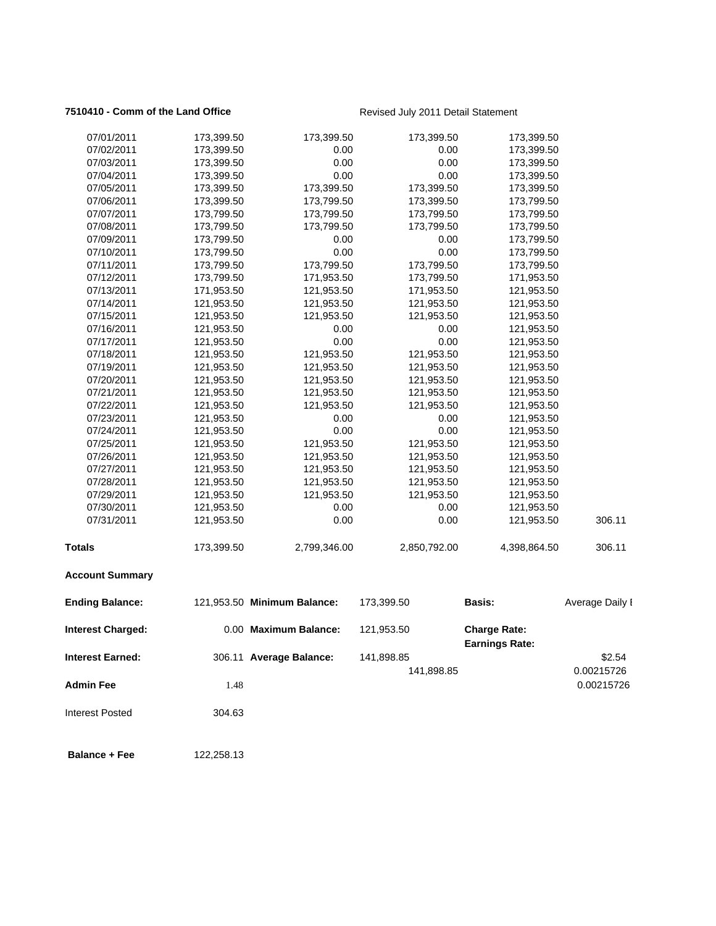### **7510410 - Comm of the Land Office Revised July 2011 Detail Statement**

| 07/01/2011               | 173,399.50 | 173,399.50                  | 173,399.50   | 173,399.50                                   |                 |
|--------------------------|------------|-----------------------------|--------------|----------------------------------------------|-----------------|
| 07/02/2011               | 173,399.50 | 0.00                        | 0.00         | 173,399.50                                   |                 |
| 07/03/2011               | 173,399.50 | 0.00                        | 0.00         | 173,399.50                                   |                 |
| 07/04/2011               | 173,399.50 | 0.00                        | 0.00         | 173,399.50                                   |                 |
| 07/05/2011               | 173,399.50 | 173,399.50                  | 173,399.50   | 173,399.50                                   |                 |
| 07/06/2011               | 173,399.50 | 173,799.50                  | 173,399.50   | 173,799.50                                   |                 |
| 07/07/2011               | 173,799.50 | 173,799.50                  | 173,799.50   | 173,799.50                                   |                 |
| 07/08/2011               | 173,799.50 | 173,799.50                  | 173,799.50   | 173,799.50                                   |                 |
| 07/09/2011               | 173,799.50 | 0.00                        | 0.00         | 173,799.50                                   |                 |
| 07/10/2011               | 173,799.50 | 0.00                        | 0.00         | 173,799.50                                   |                 |
| 07/11/2011               | 173,799.50 | 173,799.50                  | 173,799.50   | 173,799.50                                   |                 |
| 07/12/2011               | 173,799.50 | 171,953.50                  | 173,799.50   | 171,953.50                                   |                 |
| 07/13/2011               | 171,953.50 | 121,953.50                  | 171,953.50   | 121,953.50                                   |                 |
| 07/14/2011               | 121,953.50 | 121,953.50                  | 121,953.50   | 121,953.50                                   |                 |
| 07/15/2011               | 121,953.50 | 121,953.50                  | 121,953.50   | 121,953.50                                   |                 |
| 07/16/2011               | 121,953.50 | 0.00                        | 0.00         | 121,953.50                                   |                 |
| 07/17/2011               | 121,953.50 | 0.00                        | 0.00         | 121,953.50                                   |                 |
| 07/18/2011               | 121,953.50 | 121,953.50                  | 121,953.50   | 121,953.50                                   |                 |
| 07/19/2011               | 121,953.50 | 121,953.50                  | 121,953.50   | 121,953.50                                   |                 |
| 07/20/2011               | 121,953.50 | 121,953.50                  | 121,953.50   | 121,953.50                                   |                 |
| 07/21/2011               | 121,953.50 | 121,953.50                  | 121,953.50   | 121,953.50                                   |                 |
| 07/22/2011               | 121,953.50 | 121,953.50                  | 121,953.50   | 121,953.50                                   |                 |
| 07/23/2011               | 121,953.50 | 0.00                        | 0.00         | 121,953.50                                   |                 |
| 07/24/2011               | 121,953.50 | 0.00                        | 0.00         | 121,953.50                                   |                 |
| 07/25/2011               | 121,953.50 | 121,953.50                  | 121,953.50   | 121,953.50                                   |                 |
| 07/26/2011               | 121,953.50 | 121,953.50                  | 121,953.50   | 121,953.50                                   |                 |
| 07/27/2011               | 121,953.50 | 121,953.50                  | 121,953.50   | 121,953.50                                   |                 |
| 07/28/2011               | 121,953.50 | 121,953.50                  | 121,953.50   | 121,953.50                                   |                 |
| 07/29/2011               | 121,953.50 | 121,953.50                  | 121,953.50   | 121,953.50                                   |                 |
| 07/30/2011               | 121,953.50 | 0.00                        | 0.00         | 121,953.50                                   |                 |
| 07/31/2011               | 121,953.50 | 0.00                        | 0.00         | 121,953.50                                   | 306.11          |
| <b>Totals</b>            | 173,399.50 | 2,799,346.00                | 2,850,792.00 | 4,398,864.50                                 | 306.11          |
| <b>Account Summary</b>   |            |                             |              |                                              |                 |
| <b>Ending Balance:</b>   |            | 121,953.50 Minimum Balance: | 173,399.50   | <b>Basis:</b>                                | Average Daily I |
| <b>Interest Charged:</b> |            | 0.00 Maximum Balance:       | 121,953.50   | <b>Charge Rate:</b><br><b>Earnings Rate:</b> |                 |
| <b>Interest Earned:</b>  |            | 306.11 Average Balance:     | 141,898.85   |                                              | \$2.54          |
|                          |            |                             | 141,898.85   |                                              | 0.00215726      |
| <b>Admin Fee</b>         | 1.48       |                             |              |                                              | 0.00215726      |
|                          |            |                             |              |                                              |                 |
| <b>Interest Posted</b>   | 304.63     |                             |              |                                              |                 |
| <b>Balance + Fee</b>     | 122,258.13 |                             |              |                                              |                 |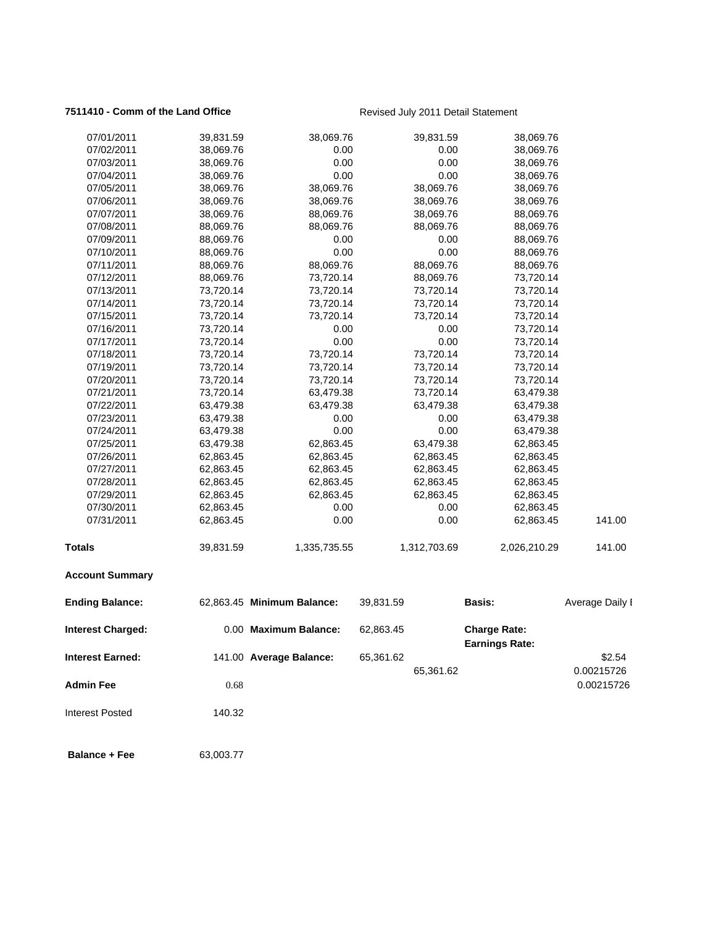### **7511410 - Comm of the Land Office Revised July 2011 Detail Statement**

| 07/02/2011<br>38,069.76<br>0.00<br>0.00<br>38,069.76<br>0.00<br>07/03/2011<br>38,069.76<br>0.00<br>38,069.76<br>0.00<br>07/04/2011<br>0.00<br>38,069.76<br>38,069.76<br>38,069.76<br>38,069.76<br>07/05/2011<br>38,069.76<br>38,069.76<br>07/06/2011<br>38,069.76<br>38,069.76<br>38,069.76<br>38,069.76<br>07/07/2011<br>38,069.76<br>88,069.76<br>38,069.76<br>88,069.76<br>07/08/2011<br>88,069.76<br>88,069.76<br>88,069.76<br>88,069.76<br>0.00<br>0.00<br>07/09/2011<br>88,069.76<br>88,069.76<br>0.00<br>0.00<br>07/10/2011<br>88,069.76<br>88,069.76<br>07/11/2011<br>88,069.76<br>88,069.76<br>88,069.76<br>88,069.76<br>07/12/2011<br>88,069.76<br>73,720.14<br>88,069.76<br>73,720.14<br>07/13/2011<br>73,720.14<br>73,720.14<br>73,720.14<br>73,720.14<br>07/14/2011<br>73,720.14<br>73,720.14<br>73,720.14<br>73,720.14<br>07/15/2011<br>73,720.14<br>73,720.14<br>73,720.14<br>73,720.14<br>73,720.14<br>0.00<br>0.00<br>07/16/2011<br>73,720.14<br>07/17/2011<br>73,720.14<br>0.00<br>0.00<br>73,720.14<br>73,720.14<br>07/18/2011<br>73,720.14<br>73,720.14<br>73,720.14<br>73,720.14<br>73,720.14<br>07/19/2011<br>73,720.14<br>73,720.14<br>73,720.14<br>73,720.14<br>07/20/2011<br>73,720.14<br>73,720.14<br>73,720.14<br>73,720.14<br>07/21/2011<br>63,479.38<br>63,479.38<br>07/22/2011<br>63,479.38<br>63,479.38<br>63,479.38<br>63,479.38<br>07/23/2011<br>63,479.38<br>0.00<br>0.00<br>63,479.38<br>07/24/2011<br>63,479.38<br>0.00<br>0.00<br>63,479.38<br>07/25/2011<br>63,479.38<br>62,863.45<br>63,479.38<br>62,863.45<br>07/26/2011<br>62,863.45<br>62,863.45<br>62,863.45<br>62,863.45<br>07/27/2011<br>62,863.45<br>62,863.45<br>62,863.45<br>62,863.45<br>07/28/2011<br>62,863.45<br>62,863.45<br>62,863.45<br>62,863.45<br>62,863.45<br>07/29/2011<br>62,863.45<br>62,863.45<br>62,863.45<br>07/30/2011<br>62,863.45<br>0.00<br>0.00<br>62,863.45<br>0.00<br>0.00<br>07/31/2011<br>62,863.45<br>62,863.45<br>2,026,210.29<br>Totals<br>39,831.59<br>1,312,703.69<br>1,335,735.55<br><b>Account Summary</b><br><b>Ending Balance:</b><br>62,863.45 Minimum Balance:<br><b>Basis:</b><br>39,831.59<br><b>Interest Charged:</b><br>0.00 Maximum Balance:<br>62,863.45<br><b>Charge Rate:</b><br><b>Earnings Rate:</b><br>Interest Earned:<br>141.00 Average Balance:<br>65,361.62<br>0.00215726<br>65,361.62<br><b>Admin Fee</b><br>0.68<br><b>Interest Posted</b><br>140.32<br><b>Balance + Fee</b><br>63,003.77 | 07/01/2011 | 39,831.59 | 38,069.76 | 39,831.59 | 38,069.76 |                 |
|-------------------------------------------------------------------------------------------------------------------------------------------------------------------------------------------------------------------------------------------------------------------------------------------------------------------------------------------------------------------------------------------------------------------------------------------------------------------------------------------------------------------------------------------------------------------------------------------------------------------------------------------------------------------------------------------------------------------------------------------------------------------------------------------------------------------------------------------------------------------------------------------------------------------------------------------------------------------------------------------------------------------------------------------------------------------------------------------------------------------------------------------------------------------------------------------------------------------------------------------------------------------------------------------------------------------------------------------------------------------------------------------------------------------------------------------------------------------------------------------------------------------------------------------------------------------------------------------------------------------------------------------------------------------------------------------------------------------------------------------------------------------------------------------------------------------------------------------------------------------------------------------------------------------------------------------------------------------------------------------------------------------------------------------------------------------------------------------------------------------------------------------------------------------------------------------------------------------------------------------------------------------------------------------------------------------------------------------------------------------------------------------------------------------------------------------------|------------|-----------|-----------|-----------|-----------|-----------------|
|                                                                                                                                                                                                                                                                                                                                                                                                                                                                                                                                                                                                                                                                                                                                                                                                                                                                                                                                                                                                                                                                                                                                                                                                                                                                                                                                                                                                                                                                                                                                                                                                                                                                                                                                                                                                                                                                                                                                                                                                                                                                                                                                                                                                                                                                                                                                                                                                                                                 |            |           |           |           |           |                 |
|                                                                                                                                                                                                                                                                                                                                                                                                                                                                                                                                                                                                                                                                                                                                                                                                                                                                                                                                                                                                                                                                                                                                                                                                                                                                                                                                                                                                                                                                                                                                                                                                                                                                                                                                                                                                                                                                                                                                                                                                                                                                                                                                                                                                                                                                                                                                                                                                                                                 |            |           |           |           |           |                 |
|                                                                                                                                                                                                                                                                                                                                                                                                                                                                                                                                                                                                                                                                                                                                                                                                                                                                                                                                                                                                                                                                                                                                                                                                                                                                                                                                                                                                                                                                                                                                                                                                                                                                                                                                                                                                                                                                                                                                                                                                                                                                                                                                                                                                                                                                                                                                                                                                                                                 |            |           |           |           |           |                 |
|                                                                                                                                                                                                                                                                                                                                                                                                                                                                                                                                                                                                                                                                                                                                                                                                                                                                                                                                                                                                                                                                                                                                                                                                                                                                                                                                                                                                                                                                                                                                                                                                                                                                                                                                                                                                                                                                                                                                                                                                                                                                                                                                                                                                                                                                                                                                                                                                                                                 |            |           |           |           |           |                 |
|                                                                                                                                                                                                                                                                                                                                                                                                                                                                                                                                                                                                                                                                                                                                                                                                                                                                                                                                                                                                                                                                                                                                                                                                                                                                                                                                                                                                                                                                                                                                                                                                                                                                                                                                                                                                                                                                                                                                                                                                                                                                                                                                                                                                                                                                                                                                                                                                                                                 |            |           |           |           |           |                 |
|                                                                                                                                                                                                                                                                                                                                                                                                                                                                                                                                                                                                                                                                                                                                                                                                                                                                                                                                                                                                                                                                                                                                                                                                                                                                                                                                                                                                                                                                                                                                                                                                                                                                                                                                                                                                                                                                                                                                                                                                                                                                                                                                                                                                                                                                                                                                                                                                                                                 |            |           |           |           |           |                 |
|                                                                                                                                                                                                                                                                                                                                                                                                                                                                                                                                                                                                                                                                                                                                                                                                                                                                                                                                                                                                                                                                                                                                                                                                                                                                                                                                                                                                                                                                                                                                                                                                                                                                                                                                                                                                                                                                                                                                                                                                                                                                                                                                                                                                                                                                                                                                                                                                                                                 |            |           |           |           |           |                 |
|                                                                                                                                                                                                                                                                                                                                                                                                                                                                                                                                                                                                                                                                                                                                                                                                                                                                                                                                                                                                                                                                                                                                                                                                                                                                                                                                                                                                                                                                                                                                                                                                                                                                                                                                                                                                                                                                                                                                                                                                                                                                                                                                                                                                                                                                                                                                                                                                                                                 |            |           |           |           |           |                 |
|                                                                                                                                                                                                                                                                                                                                                                                                                                                                                                                                                                                                                                                                                                                                                                                                                                                                                                                                                                                                                                                                                                                                                                                                                                                                                                                                                                                                                                                                                                                                                                                                                                                                                                                                                                                                                                                                                                                                                                                                                                                                                                                                                                                                                                                                                                                                                                                                                                                 |            |           |           |           |           |                 |
|                                                                                                                                                                                                                                                                                                                                                                                                                                                                                                                                                                                                                                                                                                                                                                                                                                                                                                                                                                                                                                                                                                                                                                                                                                                                                                                                                                                                                                                                                                                                                                                                                                                                                                                                                                                                                                                                                                                                                                                                                                                                                                                                                                                                                                                                                                                                                                                                                                                 |            |           |           |           |           |                 |
|                                                                                                                                                                                                                                                                                                                                                                                                                                                                                                                                                                                                                                                                                                                                                                                                                                                                                                                                                                                                                                                                                                                                                                                                                                                                                                                                                                                                                                                                                                                                                                                                                                                                                                                                                                                                                                                                                                                                                                                                                                                                                                                                                                                                                                                                                                                                                                                                                                                 |            |           |           |           |           |                 |
|                                                                                                                                                                                                                                                                                                                                                                                                                                                                                                                                                                                                                                                                                                                                                                                                                                                                                                                                                                                                                                                                                                                                                                                                                                                                                                                                                                                                                                                                                                                                                                                                                                                                                                                                                                                                                                                                                                                                                                                                                                                                                                                                                                                                                                                                                                                                                                                                                                                 |            |           |           |           |           |                 |
|                                                                                                                                                                                                                                                                                                                                                                                                                                                                                                                                                                                                                                                                                                                                                                                                                                                                                                                                                                                                                                                                                                                                                                                                                                                                                                                                                                                                                                                                                                                                                                                                                                                                                                                                                                                                                                                                                                                                                                                                                                                                                                                                                                                                                                                                                                                                                                                                                                                 |            |           |           |           |           |                 |
|                                                                                                                                                                                                                                                                                                                                                                                                                                                                                                                                                                                                                                                                                                                                                                                                                                                                                                                                                                                                                                                                                                                                                                                                                                                                                                                                                                                                                                                                                                                                                                                                                                                                                                                                                                                                                                                                                                                                                                                                                                                                                                                                                                                                                                                                                                                                                                                                                                                 |            |           |           |           |           |                 |
|                                                                                                                                                                                                                                                                                                                                                                                                                                                                                                                                                                                                                                                                                                                                                                                                                                                                                                                                                                                                                                                                                                                                                                                                                                                                                                                                                                                                                                                                                                                                                                                                                                                                                                                                                                                                                                                                                                                                                                                                                                                                                                                                                                                                                                                                                                                                                                                                                                                 |            |           |           |           |           |                 |
|                                                                                                                                                                                                                                                                                                                                                                                                                                                                                                                                                                                                                                                                                                                                                                                                                                                                                                                                                                                                                                                                                                                                                                                                                                                                                                                                                                                                                                                                                                                                                                                                                                                                                                                                                                                                                                                                                                                                                                                                                                                                                                                                                                                                                                                                                                                                                                                                                                                 |            |           |           |           |           |                 |
|                                                                                                                                                                                                                                                                                                                                                                                                                                                                                                                                                                                                                                                                                                                                                                                                                                                                                                                                                                                                                                                                                                                                                                                                                                                                                                                                                                                                                                                                                                                                                                                                                                                                                                                                                                                                                                                                                                                                                                                                                                                                                                                                                                                                                                                                                                                                                                                                                                                 |            |           |           |           |           |                 |
|                                                                                                                                                                                                                                                                                                                                                                                                                                                                                                                                                                                                                                                                                                                                                                                                                                                                                                                                                                                                                                                                                                                                                                                                                                                                                                                                                                                                                                                                                                                                                                                                                                                                                                                                                                                                                                                                                                                                                                                                                                                                                                                                                                                                                                                                                                                                                                                                                                                 |            |           |           |           |           |                 |
|                                                                                                                                                                                                                                                                                                                                                                                                                                                                                                                                                                                                                                                                                                                                                                                                                                                                                                                                                                                                                                                                                                                                                                                                                                                                                                                                                                                                                                                                                                                                                                                                                                                                                                                                                                                                                                                                                                                                                                                                                                                                                                                                                                                                                                                                                                                                                                                                                                                 |            |           |           |           |           |                 |
|                                                                                                                                                                                                                                                                                                                                                                                                                                                                                                                                                                                                                                                                                                                                                                                                                                                                                                                                                                                                                                                                                                                                                                                                                                                                                                                                                                                                                                                                                                                                                                                                                                                                                                                                                                                                                                                                                                                                                                                                                                                                                                                                                                                                                                                                                                                                                                                                                                                 |            |           |           |           |           |                 |
|                                                                                                                                                                                                                                                                                                                                                                                                                                                                                                                                                                                                                                                                                                                                                                                                                                                                                                                                                                                                                                                                                                                                                                                                                                                                                                                                                                                                                                                                                                                                                                                                                                                                                                                                                                                                                                                                                                                                                                                                                                                                                                                                                                                                                                                                                                                                                                                                                                                 |            |           |           |           |           |                 |
|                                                                                                                                                                                                                                                                                                                                                                                                                                                                                                                                                                                                                                                                                                                                                                                                                                                                                                                                                                                                                                                                                                                                                                                                                                                                                                                                                                                                                                                                                                                                                                                                                                                                                                                                                                                                                                                                                                                                                                                                                                                                                                                                                                                                                                                                                                                                                                                                                                                 |            |           |           |           |           |                 |
|                                                                                                                                                                                                                                                                                                                                                                                                                                                                                                                                                                                                                                                                                                                                                                                                                                                                                                                                                                                                                                                                                                                                                                                                                                                                                                                                                                                                                                                                                                                                                                                                                                                                                                                                                                                                                                                                                                                                                                                                                                                                                                                                                                                                                                                                                                                                                                                                                                                 |            |           |           |           |           |                 |
|                                                                                                                                                                                                                                                                                                                                                                                                                                                                                                                                                                                                                                                                                                                                                                                                                                                                                                                                                                                                                                                                                                                                                                                                                                                                                                                                                                                                                                                                                                                                                                                                                                                                                                                                                                                                                                                                                                                                                                                                                                                                                                                                                                                                                                                                                                                                                                                                                                                 |            |           |           |           |           |                 |
|                                                                                                                                                                                                                                                                                                                                                                                                                                                                                                                                                                                                                                                                                                                                                                                                                                                                                                                                                                                                                                                                                                                                                                                                                                                                                                                                                                                                                                                                                                                                                                                                                                                                                                                                                                                                                                                                                                                                                                                                                                                                                                                                                                                                                                                                                                                                                                                                                                                 |            |           |           |           |           |                 |
|                                                                                                                                                                                                                                                                                                                                                                                                                                                                                                                                                                                                                                                                                                                                                                                                                                                                                                                                                                                                                                                                                                                                                                                                                                                                                                                                                                                                                                                                                                                                                                                                                                                                                                                                                                                                                                                                                                                                                                                                                                                                                                                                                                                                                                                                                                                                                                                                                                                 |            |           |           |           |           |                 |
|                                                                                                                                                                                                                                                                                                                                                                                                                                                                                                                                                                                                                                                                                                                                                                                                                                                                                                                                                                                                                                                                                                                                                                                                                                                                                                                                                                                                                                                                                                                                                                                                                                                                                                                                                                                                                                                                                                                                                                                                                                                                                                                                                                                                                                                                                                                                                                                                                                                 |            |           |           |           |           |                 |
|                                                                                                                                                                                                                                                                                                                                                                                                                                                                                                                                                                                                                                                                                                                                                                                                                                                                                                                                                                                                                                                                                                                                                                                                                                                                                                                                                                                                                                                                                                                                                                                                                                                                                                                                                                                                                                                                                                                                                                                                                                                                                                                                                                                                                                                                                                                                                                                                                                                 |            |           |           |           |           |                 |
|                                                                                                                                                                                                                                                                                                                                                                                                                                                                                                                                                                                                                                                                                                                                                                                                                                                                                                                                                                                                                                                                                                                                                                                                                                                                                                                                                                                                                                                                                                                                                                                                                                                                                                                                                                                                                                                                                                                                                                                                                                                                                                                                                                                                                                                                                                                                                                                                                                                 |            |           |           |           |           |                 |
|                                                                                                                                                                                                                                                                                                                                                                                                                                                                                                                                                                                                                                                                                                                                                                                                                                                                                                                                                                                                                                                                                                                                                                                                                                                                                                                                                                                                                                                                                                                                                                                                                                                                                                                                                                                                                                                                                                                                                                                                                                                                                                                                                                                                                                                                                                                                                                                                                                                 |            |           |           |           |           | 141.00          |
|                                                                                                                                                                                                                                                                                                                                                                                                                                                                                                                                                                                                                                                                                                                                                                                                                                                                                                                                                                                                                                                                                                                                                                                                                                                                                                                                                                                                                                                                                                                                                                                                                                                                                                                                                                                                                                                                                                                                                                                                                                                                                                                                                                                                                                                                                                                                                                                                                                                 |            |           |           |           |           | 141.00          |
|                                                                                                                                                                                                                                                                                                                                                                                                                                                                                                                                                                                                                                                                                                                                                                                                                                                                                                                                                                                                                                                                                                                                                                                                                                                                                                                                                                                                                                                                                                                                                                                                                                                                                                                                                                                                                                                                                                                                                                                                                                                                                                                                                                                                                                                                                                                                                                                                                                                 |            |           |           |           |           |                 |
|                                                                                                                                                                                                                                                                                                                                                                                                                                                                                                                                                                                                                                                                                                                                                                                                                                                                                                                                                                                                                                                                                                                                                                                                                                                                                                                                                                                                                                                                                                                                                                                                                                                                                                                                                                                                                                                                                                                                                                                                                                                                                                                                                                                                                                                                                                                                                                                                                                                 |            |           |           |           |           | Average Daily I |
|                                                                                                                                                                                                                                                                                                                                                                                                                                                                                                                                                                                                                                                                                                                                                                                                                                                                                                                                                                                                                                                                                                                                                                                                                                                                                                                                                                                                                                                                                                                                                                                                                                                                                                                                                                                                                                                                                                                                                                                                                                                                                                                                                                                                                                                                                                                                                                                                                                                 |            |           |           |           |           |                 |
|                                                                                                                                                                                                                                                                                                                                                                                                                                                                                                                                                                                                                                                                                                                                                                                                                                                                                                                                                                                                                                                                                                                                                                                                                                                                                                                                                                                                                                                                                                                                                                                                                                                                                                                                                                                                                                                                                                                                                                                                                                                                                                                                                                                                                                                                                                                                                                                                                                                 |            |           |           |           |           | \$2.54          |
|                                                                                                                                                                                                                                                                                                                                                                                                                                                                                                                                                                                                                                                                                                                                                                                                                                                                                                                                                                                                                                                                                                                                                                                                                                                                                                                                                                                                                                                                                                                                                                                                                                                                                                                                                                                                                                                                                                                                                                                                                                                                                                                                                                                                                                                                                                                                                                                                                                                 |            |           |           |           |           | 0.00215726      |
|                                                                                                                                                                                                                                                                                                                                                                                                                                                                                                                                                                                                                                                                                                                                                                                                                                                                                                                                                                                                                                                                                                                                                                                                                                                                                                                                                                                                                                                                                                                                                                                                                                                                                                                                                                                                                                                                                                                                                                                                                                                                                                                                                                                                                                                                                                                                                                                                                                                 |            |           |           |           |           |                 |
|                                                                                                                                                                                                                                                                                                                                                                                                                                                                                                                                                                                                                                                                                                                                                                                                                                                                                                                                                                                                                                                                                                                                                                                                                                                                                                                                                                                                                                                                                                                                                                                                                                                                                                                                                                                                                                                                                                                                                                                                                                                                                                                                                                                                                                                                                                                                                                                                                                                 |            |           |           |           |           |                 |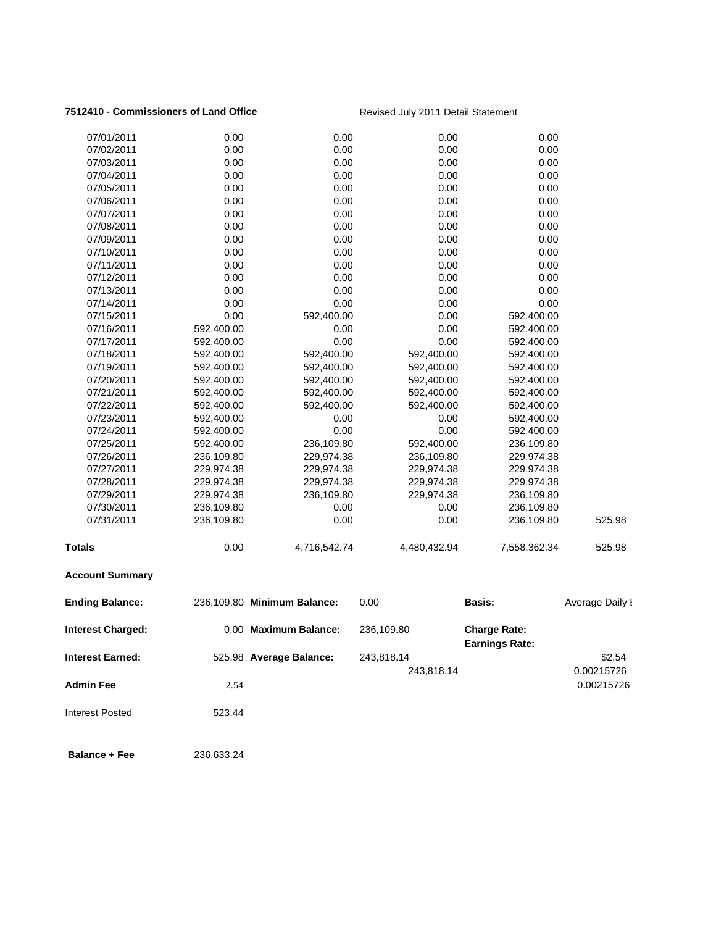### **7512410 - Commissioners of Land Office** Revised July 2011 Detail Statement

| 07/01/2011               | 0.00       | 0.00                        | 0.00         | 0.00                                         |                 |
|--------------------------|------------|-----------------------------|--------------|----------------------------------------------|-----------------|
| 07/02/2011               | 0.00       | 0.00                        | 0.00         | 0.00                                         |                 |
| 07/03/2011               | 0.00       | 0.00                        | 0.00         | 0.00                                         |                 |
| 07/04/2011               | 0.00       | 0.00                        | 0.00         | 0.00                                         |                 |
| 07/05/2011               | 0.00       | 0.00                        | 0.00         | 0.00                                         |                 |
| 07/06/2011               | 0.00       | 0.00                        | 0.00         | 0.00                                         |                 |
| 07/07/2011               | 0.00       | 0.00                        | 0.00         | 0.00                                         |                 |
| 07/08/2011               | 0.00       | 0.00                        | 0.00         | 0.00                                         |                 |
| 07/09/2011               | 0.00       | 0.00                        | 0.00         | 0.00                                         |                 |
| 07/10/2011               | 0.00       | 0.00                        | 0.00         | 0.00                                         |                 |
| 07/11/2011               | 0.00       | 0.00                        | 0.00         | 0.00                                         |                 |
| 07/12/2011               | 0.00       | 0.00                        | 0.00         | 0.00                                         |                 |
| 07/13/2011               | 0.00       | 0.00                        | 0.00         | 0.00                                         |                 |
| 07/14/2011               | 0.00       | 0.00                        | 0.00         | 0.00                                         |                 |
| 07/15/2011               | 0.00       | 592,400.00                  | 0.00         | 592,400.00                                   |                 |
| 07/16/2011               | 592,400.00 | 0.00                        | 0.00         | 592,400.00                                   |                 |
| 07/17/2011               | 592,400.00 | 0.00                        | 0.00         | 592,400.00                                   |                 |
| 07/18/2011               | 592,400.00 | 592,400.00                  | 592,400.00   | 592,400.00                                   |                 |
| 07/19/2011               | 592,400.00 | 592,400.00                  | 592,400.00   | 592,400.00                                   |                 |
| 07/20/2011               | 592,400.00 | 592,400.00                  | 592,400.00   | 592,400.00                                   |                 |
| 07/21/2011               | 592,400.00 | 592,400.00                  | 592,400.00   | 592,400.00                                   |                 |
| 07/22/2011               | 592,400.00 | 592,400.00                  | 592,400.00   | 592,400.00                                   |                 |
| 07/23/2011               | 592,400.00 | 0.00                        | 0.00         | 592,400.00                                   |                 |
| 07/24/2011               | 592,400.00 | 0.00                        | 0.00         | 592,400.00                                   |                 |
| 07/25/2011               | 592,400.00 | 236,109.80                  | 592,400.00   | 236,109.80                                   |                 |
| 07/26/2011               | 236,109.80 | 229,974.38                  | 236,109.80   | 229,974.38                                   |                 |
| 07/27/2011               | 229,974.38 | 229,974.38                  | 229,974.38   | 229,974.38                                   |                 |
| 07/28/2011               | 229,974.38 | 229,974.38                  | 229,974.38   | 229,974.38                                   |                 |
| 07/29/2011               | 229,974.38 | 236,109.80                  | 229,974.38   | 236,109.80                                   |                 |
| 07/30/2011               | 236,109.80 | 0.00                        | 0.00         | 236,109.80                                   |                 |
| 07/31/2011               | 236,109.80 | 0.00                        | 0.00         | 236,109.80                                   | 525.98          |
| <b>Totals</b>            | 0.00       | 4,716,542.74                | 4,480,432.94 | 7,558,362.34                                 | 525.98          |
| <b>Account Summary</b>   |            |                             |              |                                              |                 |
| <b>Ending Balance:</b>   |            | 236,109.80 Minimum Balance: | 0.00         | <b>Basis:</b>                                | Average Daily I |
| <b>Interest Charged:</b> |            | 0.00 Maximum Balance:       | 236,109.80   | <b>Charge Rate:</b><br><b>Earnings Rate:</b> |                 |
| <b>Interest Earned:</b>  |            | 525.98 Average Balance:     | 243,818.14   |                                              | \$2.54          |
|                          |            |                             | 243,818.14   |                                              | 0.00215726      |
| <b>Admin Fee</b>         | 2.54       |                             |              |                                              | 0.00215726      |
|                          |            |                             |              |                                              |                 |
| <b>Interest Posted</b>   | 523.44     |                             |              |                                              |                 |
| <b>Balance + Fee</b>     | 236,633.24 |                             |              |                                              |                 |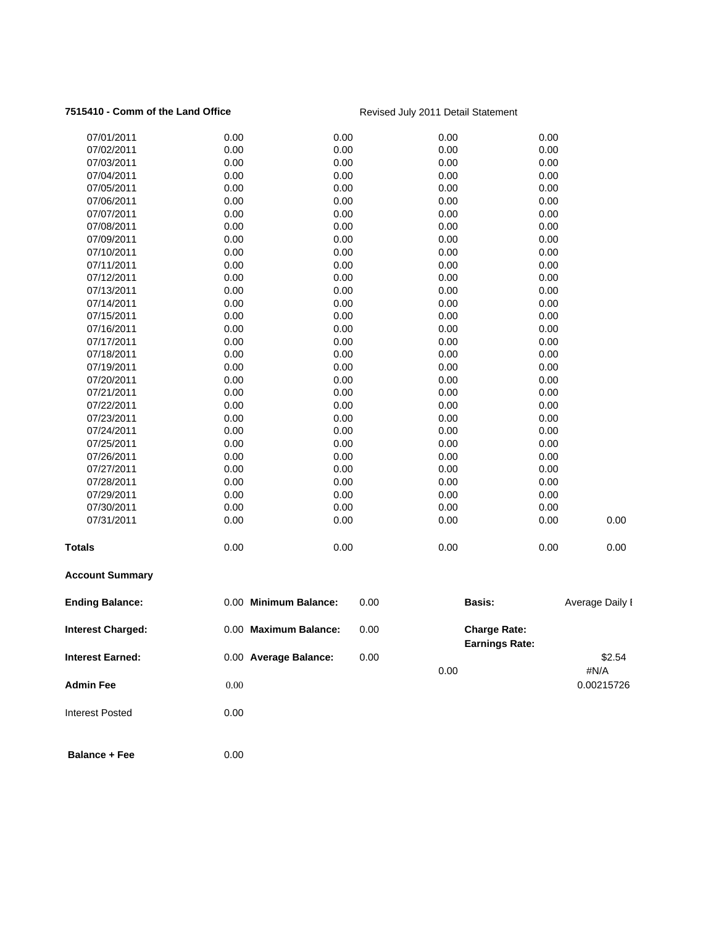### **7515410 - Comm of the Land Office Revised July 2011 Detail Statement**

| <b>Admin Fee</b>         | 0.00                  |      | 0.00                  |      | #N/A<br>0.00215726 |
|--------------------------|-----------------------|------|-----------------------|------|--------------------|
| <b>Interest Earned:</b>  | 0.00 Average Balance: | 0.00 | <b>Earnings Rate:</b> |      | \$2.54             |
| <b>Interest Charged:</b> | 0.00 Maximum Balance: | 0.00 | <b>Charge Rate:</b>   |      |                    |
| <b>Ending Balance:</b>   | 0.00 Minimum Balance: | 0.00 | Basis:                |      | Average Daily I    |
| <b>Account Summary</b>   |                       |      |                       |      |                    |
| <b>Totals</b>            | 0.00                  | 0.00 | 0.00                  | 0.00 | 0.00               |
| 07/31/2011               | 0.00                  | 0.00 | 0.00                  | 0.00 | 0.00               |
| 07/30/2011               | 0.00                  | 0.00 | 0.00                  | 0.00 |                    |
| 07/29/2011               | 0.00                  | 0.00 | 0.00                  | 0.00 |                    |
| 07/28/2011               | 0.00                  | 0.00 | 0.00                  | 0.00 |                    |
| 07/27/2011               | 0.00                  | 0.00 | 0.00                  | 0.00 |                    |
| 07/26/2011               | 0.00                  | 0.00 | 0.00                  | 0.00 |                    |
| 07/25/2011               | 0.00                  | 0.00 | 0.00                  | 0.00 |                    |
| 07/24/2011               | 0.00                  | 0.00 | 0.00                  | 0.00 |                    |
| 07/23/2011               | 0.00                  | 0.00 | 0.00                  | 0.00 |                    |
| 07/22/2011               | 0.00                  | 0.00 | 0.00                  | 0.00 |                    |
| 07/21/2011               | 0.00                  | 0.00 | 0.00                  | 0.00 |                    |
| 07/20/2011               | 0.00                  | 0.00 | 0.00                  | 0.00 |                    |
| 07/19/2011               | 0.00                  | 0.00 | 0.00                  | 0.00 |                    |
| 07/18/2011               | 0.00                  | 0.00 | 0.00                  | 0.00 |                    |
| 07/17/2011               | 0.00                  | 0.00 | 0.00                  | 0.00 |                    |
| 07/16/2011               | 0.00                  | 0.00 | 0.00                  | 0.00 |                    |
| 07/15/2011               | 0.00                  | 0.00 | 0.00                  | 0.00 |                    |
| 07/14/2011               | 0.00                  | 0.00 | 0.00                  | 0.00 |                    |
| 07/13/2011               | 0.00                  | 0.00 | 0.00                  | 0.00 |                    |
| 07/12/2011               | 0.00                  | 0.00 | 0.00                  | 0.00 |                    |
| 07/11/2011               | 0.00                  | 0.00 | 0.00                  | 0.00 |                    |
| 07/10/2011               | 0.00                  | 0.00 | 0.00                  | 0.00 |                    |
| 07/09/2011               | 0.00                  | 0.00 | 0.00                  | 0.00 |                    |
| 07/08/2011               | 0.00                  | 0.00 | 0.00                  | 0.00 |                    |
| 07/07/2011               | 0.00                  | 0.00 | 0.00                  | 0.00 |                    |
| 07/06/2011               | 0.00                  | 0.00 | 0.00                  | 0.00 |                    |
| 07/05/2011               | 0.00                  | 0.00 | 0.00                  | 0.00 |                    |
| 07/04/2011               | 0.00                  | 0.00 | 0.00                  | 0.00 |                    |
| 07/03/2011               | 0.00                  | 0.00 | 0.00                  | 0.00 |                    |
| 07/02/2011               | 0.00                  | 0.00 | 0.00                  | 0.00 |                    |
| 07/01/2011               | 0.00                  | 0.00 | 0.00                  | 0.00 |                    |
|                          |                       |      |                       |      |                    |

- Interest Posted 0.00
- **Balance + Fee** 0.00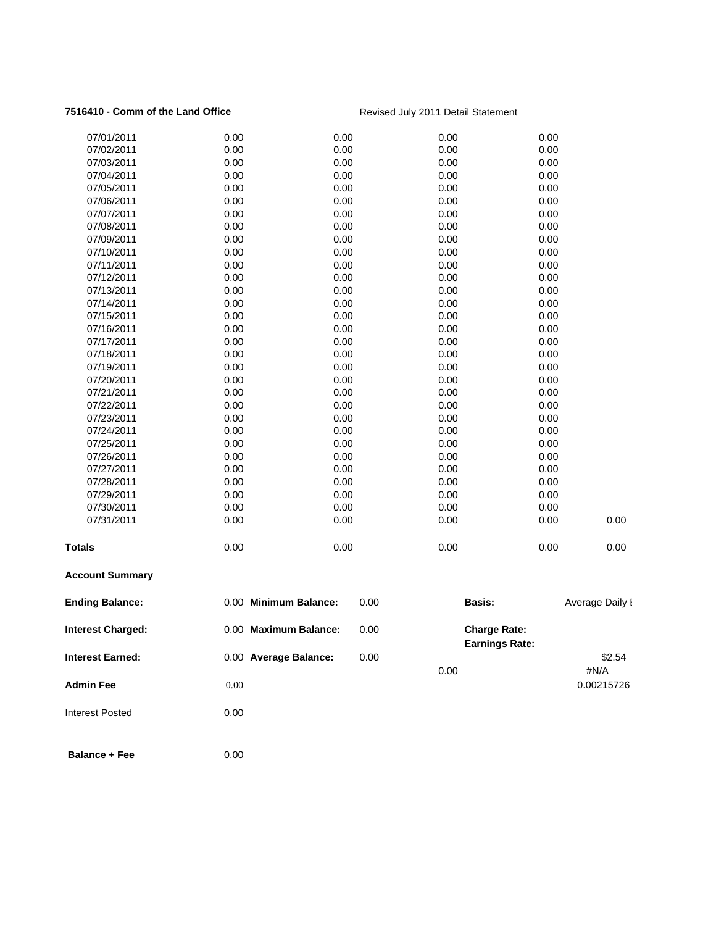### **7516410 - Comm of the Land Office Revised July 2011 Detail Statement**

| <b>Interest Earned:</b><br><b>Admin Fee</b> | 0.00                                                                                                                                                                                                                                       |                                                                                                                                                      | 0.00                                                                                                                                                                                                                            |                     | \$2.54<br>#N/A<br>0.00215726                                                                                                                                                                                                                                                                                                                                                                                                                          |
|---------------------------------------------|--------------------------------------------------------------------------------------------------------------------------------------------------------------------------------------------------------------------------------------------|------------------------------------------------------------------------------------------------------------------------------------------------------|---------------------------------------------------------------------------------------------------------------------------------------------------------------------------------------------------------------------------------|---------------------|-------------------------------------------------------------------------------------------------------------------------------------------------------------------------------------------------------------------------------------------------------------------------------------------------------------------------------------------------------------------------------------------------------------------------------------------------------|
| <b>Interest Charged:</b>                    |                                                                                                                                                                                                                                            |                                                                                                                                                      | 0.00                                                                                                                                                                                                                            | <b>Charge Rate:</b> |                                                                                                                                                                                                                                                                                                                                                                                                                                                       |
| <b>Ending Balance:</b>                      |                                                                                                                                                                                                                                            |                                                                                                                                                      | 0.00                                                                                                                                                                                                                            | Basis:              | Average Daily I                                                                                                                                                                                                                                                                                                                                                                                                                                       |
| <b>Account Summary</b>                      |                                                                                                                                                                                                                                            |                                                                                                                                                      |                                                                                                                                                                                                                                 |                     |                                                                                                                                                                                                                                                                                                                                                                                                                                                       |
|                                             | 0.00                                                                                                                                                                                                                                       | 0.00                                                                                                                                                 |                                                                                                                                                                                                                                 | 0.00                | 0.00                                                                                                                                                                                                                                                                                                                                                                                                                                                  |
| 07/31/2011                                  | 0.00                                                                                                                                                                                                                                       | 0.00                                                                                                                                                 |                                                                                                                                                                                                                                 | 0.00                | 0.00                                                                                                                                                                                                                                                                                                                                                                                                                                                  |
|                                             |                                                                                                                                                                                                                                            |                                                                                                                                                      |                                                                                                                                                                                                                                 |                     |                                                                                                                                                                                                                                                                                                                                                                                                                                                       |
|                                             |                                                                                                                                                                                                                                            |                                                                                                                                                      |                                                                                                                                                                                                                                 |                     |                                                                                                                                                                                                                                                                                                                                                                                                                                                       |
|                                             |                                                                                                                                                                                                                                            |                                                                                                                                                      |                                                                                                                                                                                                                                 |                     |                                                                                                                                                                                                                                                                                                                                                                                                                                                       |
|                                             |                                                                                                                                                                                                                                            |                                                                                                                                                      |                                                                                                                                                                                                                                 |                     |                                                                                                                                                                                                                                                                                                                                                                                                                                                       |
|                                             |                                                                                                                                                                                                                                            |                                                                                                                                                      |                                                                                                                                                                                                                                 |                     |                                                                                                                                                                                                                                                                                                                                                                                                                                                       |
|                                             |                                                                                                                                                                                                                                            |                                                                                                                                                      |                                                                                                                                                                                                                                 |                     |                                                                                                                                                                                                                                                                                                                                                                                                                                                       |
|                                             |                                                                                                                                                                                                                                            |                                                                                                                                                      |                                                                                                                                                                                                                                 |                     |                                                                                                                                                                                                                                                                                                                                                                                                                                                       |
|                                             |                                                                                                                                                                                                                                            |                                                                                                                                                      |                                                                                                                                                                                                                                 |                     |                                                                                                                                                                                                                                                                                                                                                                                                                                                       |
|                                             |                                                                                                                                                                                                                                            |                                                                                                                                                      |                                                                                                                                                                                                                                 |                     |                                                                                                                                                                                                                                                                                                                                                                                                                                                       |
|                                             |                                                                                                                                                                                                                                            |                                                                                                                                                      |                                                                                                                                                                                                                                 |                     |                                                                                                                                                                                                                                                                                                                                                                                                                                                       |
|                                             |                                                                                                                                                                                                                                            |                                                                                                                                                      |                                                                                                                                                                                                                                 |                     |                                                                                                                                                                                                                                                                                                                                                                                                                                                       |
|                                             |                                                                                                                                                                                                                                            |                                                                                                                                                      |                                                                                                                                                                                                                                 |                     |                                                                                                                                                                                                                                                                                                                                                                                                                                                       |
|                                             |                                                                                                                                                                                                                                            |                                                                                                                                                      |                                                                                                                                                                                                                                 |                     |                                                                                                                                                                                                                                                                                                                                                                                                                                                       |
|                                             |                                                                                                                                                                                                                                            |                                                                                                                                                      |                                                                                                                                                                                                                                 |                     |                                                                                                                                                                                                                                                                                                                                                                                                                                                       |
|                                             |                                                                                                                                                                                                                                            |                                                                                                                                                      |                                                                                                                                                                                                                                 |                     |                                                                                                                                                                                                                                                                                                                                                                                                                                                       |
|                                             |                                                                                                                                                                                                                                            |                                                                                                                                                      |                                                                                                                                                                                                                                 |                     |                                                                                                                                                                                                                                                                                                                                                                                                                                                       |
|                                             |                                                                                                                                                                                                                                            |                                                                                                                                                      |                                                                                                                                                                                                                                 |                     |                                                                                                                                                                                                                                                                                                                                                                                                                                                       |
| 07/13/2011                                  | 0.00                                                                                                                                                                                                                                       |                                                                                                                                                      |                                                                                                                                                                                                                                 |                     |                                                                                                                                                                                                                                                                                                                                                                                                                                                       |
| 07/12/2011                                  | 0.00                                                                                                                                                                                                                                       | 0.00                                                                                                                                                 |                                                                                                                                                                                                                                 | 0.00                |                                                                                                                                                                                                                                                                                                                                                                                                                                                       |
| 07/11/2011                                  |                                                                                                                                                                                                                                            |                                                                                                                                                      |                                                                                                                                                                                                                                 |                     |                                                                                                                                                                                                                                                                                                                                                                                                                                                       |
| 07/10/2011                                  | 0.00                                                                                                                                                                                                                                       | 0.00                                                                                                                                                 |                                                                                                                                                                                                                                 | 0.00                |                                                                                                                                                                                                                                                                                                                                                                                                                                                       |
| 07/09/2011                                  |                                                                                                                                                                                                                                            | 0.00                                                                                                                                                 |                                                                                                                                                                                                                                 | 0.00                |                                                                                                                                                                                                                                                                                                                                                                                                                                                       |
| 07/08/2011                                  | 0.00                                                                                                                                                                                                                                       | 0.00                                                                                                                                                 |                                                                                                                                                                                                                                 | 0.00                |                                                                                                                                                                                                                                                                                                                                                                                                                                                       |
| 07/07/2011                                  | 0.00                                                                                                                                                                                                                                       | 0.00                                                                                                                                                 |                                                                                                                                                                                                                                 | 0.00                |                                                                                                                                                                                                                                                                                                                                                                                                                                                       |
| 07/06/2011                                  | 0.00                                                                                                                                                                                                                                       | 0.00                                                                                                                                                 |                                                                                                                                                                                                                                 | 0.00                |                                                                                                                                                                                                                                                                                                                                                                                                                                                       |
| 07/05/2011                                  | 0.00                                                                                                                                                                                                                                       | 0.00                                                                                                                                                 |                                                                                                                                                                                                                                 | 0.00                |                                                                                                                                                                                                                                                                                                                                                                                                                                                       |
| 07/04/2011                                  | 0.00                                                                                                                                                                                                                                       | 0.00                                                                                                                                                 |                                                                                                                                                                                                                                 | 0.00                |                                                                                                                                                                                                                                                                                                                                                                                                                                                       |
| 07/03/2011                                  | 0.00                                                                                                                                                                                                                                       | 0.00                                                                                                                                                 |                                                                                                                                                                                                                                 | 0.00                |                                                                                                                                                                                                                                                                                                                                                                                                                                                       |
| 07/02/2011                                  | 0.00                                                                                                                                                                                                                                       | 0.00                                                                                                                                                 |                                                                                                                                                                                                                                 | 0.00                |                                                                                                                                                                                                                                                                                                                                                                                                                                                       |
| 07/01/2011                                  | 0.00                                                                                                                                                                                                                                       | 0.00                                                                                                                                                 |                                                                                                                                                                                                                                 | 0.00                |                                                                                                                                                                                                                                                                                                                                                                                                                                                       |
|                                             | 07/14/2011<br>07/15/2011<br>07/16/2011<br>07/17/2011<br>07/18/2011<br>07/19/2011<br>07/20/2011<br>07/21/2011<br>07/22/2011<br>07/23/2011<br>07/24/2011<br>07/25/2011<br>07/26/2011<br>07/27/2011<br>07/28/2011<br>07/29/2011<br>07/30/2011 | 0.00<br>0.00<br>0.00<br>0.00<br>0.00<br>0.00<br>0.00<br>0.00<br>0.00<br>0.00<br>0.00<br>0.00<br>0.00<br>0.00<br>0.00<br>0.00<br>0.00<br>0.00<br>0.00 | 0.00<br>0.00<br>0.00<br>0.00<br>0.00<br>0.00<br>0.00<br>0.00<br>0.00<br>0.00<br>0.00<br>0.00<br>0.00<br>0.00<br>0.00<br>0.00<br>0.00<br>0.00<br>0.00<br>0.00 Minimum Balance:<br>0.00 Maximum Balance:<br>0.00 Average Balance: |                     | 0.00<br>0.00<br>0.00<br>0.00<br>0.00<br>0.00<br>0.00<br>0.00<br>0.00<br>0.00<br>0.00<br>0.00<br>0.00<br>0.00<br>0.00<br>0.00<br>0.00<br>0.00<br>0.00<br>0.00<br>0.00<br>0.00<br>0.00<br>0.00<br>0.00<br>0.00<br>0.00<br>0.00<br>0.00<br>0.00<br>0.00<br>0.00<br>0.00<br>0.00<br>0.00<br>0.00<br>0.00<br>0.00<br>0.00<br>0.00<br>0.00<br>0.00<br>0.00<br>0.00<br>0.00<br>0.00<br>0.00<br>0.00<br>0.00<br>0.00<br>0.00<br><b>Earnings Rate:</b><br>0.00 |

- Interest Posted 0.00
- **Balance + Fee** 0.00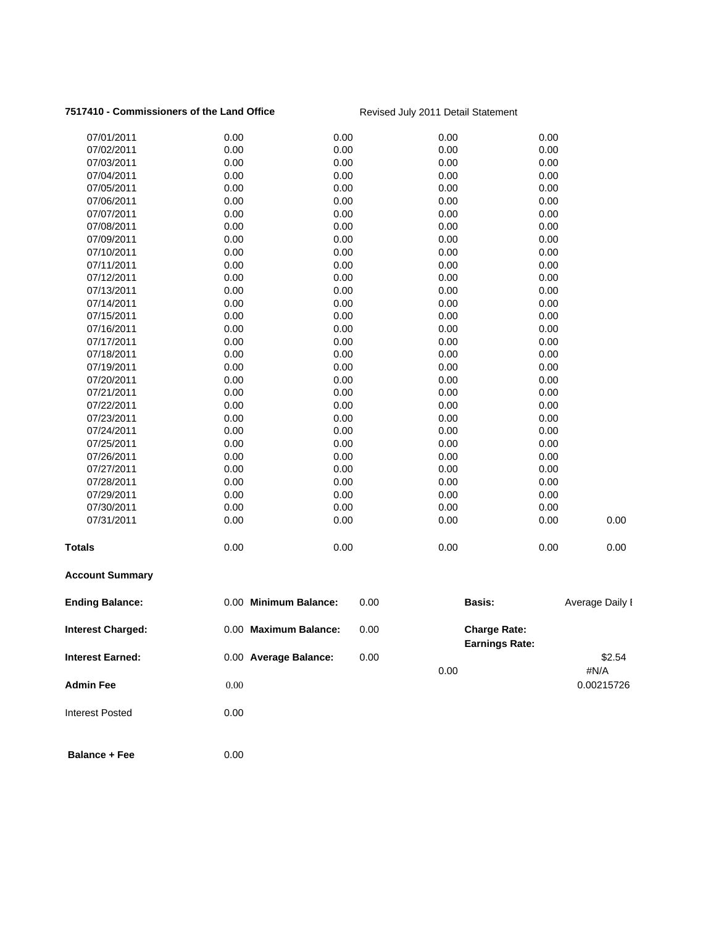### **7517410 - Commissioners of the Land Office** Revised July 2011 Detail Statement

| <b>Admin Fee</b>                                    | 0.00 Average Balance:<br>0.00 |              | 0.00                                         |      | #N/A<br>0.00215726 |
|-----------------------------------------------------|-------------------------------|--------------|----------------------------------------------|------|--------------------|
| <b>Interest Charged:</b><br><b>Interest Earned:</b> | 0.00 Maximum Balance:         | 0.00<br>0.00 | <b>Charge Rate:</b><br><b>Earnings Rate:</b> |      | \$2.54             |
| <b>Ending Balance:</b>                              | 0.00 Minimum Balance:         | 0.00         | Basis:                                       |      | Average Daily I    |
| <b>Account Summary</b>                              |                               |              |                                              |      |                    |
| <b>Totals</b>                                       | 0.00                          | 0.00         | 0.00                                         | 0.00 | 0.00               |
| 07/31/2011                                          | 0.00                          | 0.00         | 0.00                                         | 0.00 | 0.00               |
| 07/30/2011                                          | 0.00                          | 0.00         | 0.00                                         | 0.00 |                    |
| 07/29/2011                                          | 0.00                          | 0.00         | 0.00                                         | 0.00 |                    |
| 07/28/2011                                          | 0.00                          | 0.00         | 0.00                                         | 0.00 |                    |
| 07/27/2011                                          | 0.00                          | 0.00         | 0.00                                         | 0.00 |                    |
| 07/26/2011                                          | 0.00                          | 0.00         | 0.00                                         | 0.00 |                    |
| 07/25/2011                                          | 0.00                          | 0.00         | 0.00                                         | 0.00 |                    |
| 07/24/2011                                          | 0.00                          | 0.00         | 0.00                                         | 0.00 |                    |
| 07/23/2011                                          | 0.00                          | 0.00         | 0.00                                         | 0.00 |                    |
| 07/22/2011                                          | 0.00                          | 0.00         | 0.00                                         | 0.00 |                    |
| 07/21/2011                                          | 0.00                          | 0.00         | 0.00                                         | 0.00 |                    |
| 07/20/2011                                          | 0.00                          | 0.00         | 0.00                                         | 0.00 |                    |
| 07/19/2011                                          | 0.00                          | 0.00         | 0.00                                         | 0.00 |                    |
| 07/18/2011                                          | 0.00                          | 0.00         | 0.00                                         | 0.00 |                    |
| 07/17/2011                                          | 0.00                          | 0.00         | 0.00                                         | 0.00 |                    |
| 07/16/2011                                          | 0.00                          | 0.00         | 0.00                                         | 0.00 |                    |
| 07/15/2011                                          | 0.00                          | 0.00         | 0.00                                         | 0.00 |                    |
| 07/14/2011                                          | 0.00                          | 0.00         | 0.00                                         | 0.00 |                    |
| 07/13/2011                                          | 0.00                          | 0.00         | 0.00                                         | 0.00 |                    |
| 07/12/2011                                          | 0.00                          | 0.00         | 0.00                                         | 0.00 |                    |
| 07/11/2011                                          | 0.00                          | 0.00         | 0.00                                         | 0.00 |                    |
| 07/10/2011                                          | 0.00                          | 0.00         | 0.00                                         | 0.00 |                    |
| 07/09/2011                                          | 0.00                          | 0.00         | 0.00                                         | 0.00 |                    |
| 07/08/2011                                          | 0.00                          | 0.00         | 0.00                                         | 0.00 |                    |
| 07/07/2011                                          | 0.00                          | 0.00         | 0.00                                         | 0.00 |                    |
| 07/06/2011                                          | 0.00                          | 0.00         | 0.00                                         | 0.00 |                    |
| 07/05/2011                                          | 0.00                          | 0.00         | 0.00                                         | 0.00 |                    |
| 07/04/2011                                          | 0.00                          | 0.00         | 0.00                                         | 0.00 |                    |
| 07/03/2011                                          | 0.00                          | 0.00         | 0.00                                         | 0.00 |                    |
| 07/02/2011                                          | 0.00                          | 0.00         | 0.00                                         | 0.00 |                    |
| 07/01/2011                                          | 0.00                          | 0.00         | 0.00                                         | 0.00 |                    |

- Interest Posted 0.00
- **Balance + Fee** 0.00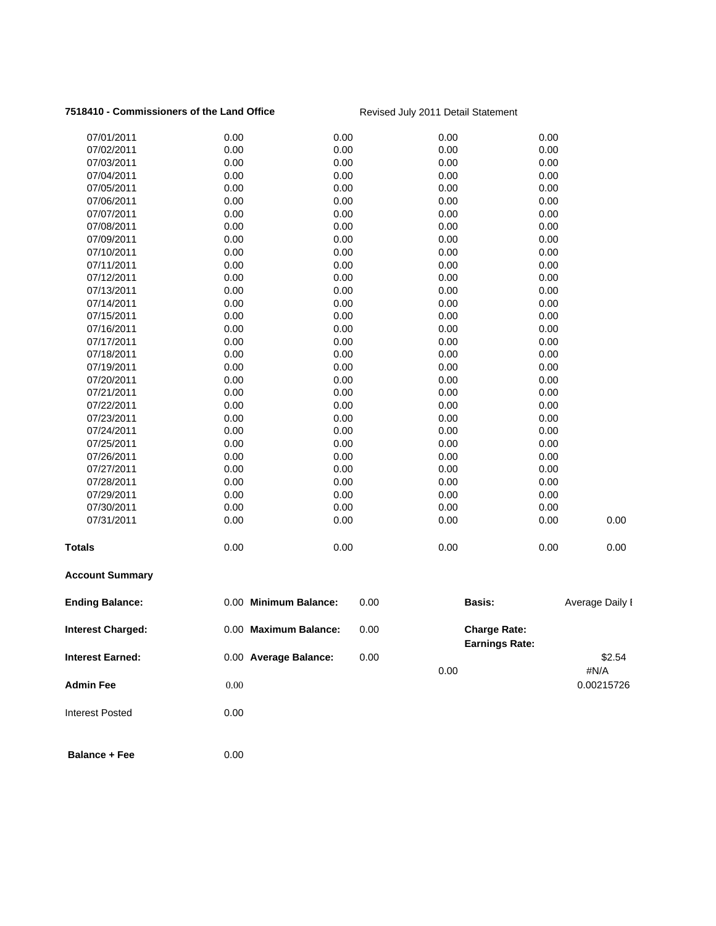### **7518410 - Commissioners of the Land Office** Revised July 2011 Detail Statement

| <b>Admin Fee</b>         | 0.00                  |      | 0.00                  |      | #N/A<br>0.00215726 |
|--------------------------|-----------------------|------|-----------------------|------|--------------------|
| <b>Interest Earned:</b>  | 0.00 Average Balance: | 0.00 | <b>Earnings Rate:</b> |      | \$2.54             |
| <b>Interest Charged:</b> | 0.00 Maximum Balance: | 0.00 | <b>Charge Rate:</b>   |      |                    |
| <b>Ending Balance:</b>   | 0.00 Minimum Balance: | 0.00 | <b>Basis:</b>         |      | Average Daily I    |
| <b>Account Summary</b>   |                       |      |                       |      |                    |
| <b>Totals</b>            | 0.00                  | 0.00 | 0.00                  | 0.00 | 0.00               |
| 07/31/2011               | 0.00                  | 0.00 | 0.00                  | 0.00 | 0.00               |
| 07/30/2011               | 0.00                  | 0.00 | 0.00                  | 0.00 |                    |
| 07/29/2011               | 0.00                  | 0.00 | 0.00                  | 0.00 |                    |
| 07/28/2011               | 0.00                  | 0.00 | 0.00                  | 0.00 |                    |
| 07/27/2011               | 0.00                  | 0.00 | 0.00                  | 0.00 |                    |
| 07/26/2011               | 0.00                  | 0.00 | 0.00                  | 0.00 |                    |
| 07/25/2011               | 0.00                  | 0.00 | 0.00                  | 0.00 |                    |
| 07/24/2011               | 0.00                  | 0.00 | 0.00                  | 0.00 |                    |
| 07/23/2011               | 0.00                  | 0.00 | 0.00                  | 0.00 |                    |
| 07/22/2011               | 0.00                  | 0.00 | 0.00                  | 0.00 |                    |
| 07/21/2011               | 0.00                  | 0.00 | 0.00                  | 0.00 |                    |
| 07/20/2011               | 0.00                  | 0.00 | 0.00                  | 0.00 |                    |
| 07/19/2011               | 0.00                  | 0.00 | 0.00                  | 0.00 |                    |
| 07/18/2011               | 0.00                  | 0.00 | 0.00                  | 0.00 |                    |
| 07/17/2011               | 0.00                  | 0.00 | 0.00                  | 0.00 |                    |
| 07/16/2011               | 0.00                  | 0.00 | 0.00                  | 0.00 |                    |
| 07/15/2011               | 0.00                  | 0.00 | 0.00                  | 0.00 |                    |
| 07/14/2011               | 0.00                  | 0.00 | 0.00                  | 0.00 |                    |
| 07/13/2011               | 0.00                  | 0.00 | 0.00                  | 0.00 |                    |
| 07/12/2011               | 0.00                  | 0.00 | 0.00                  | 0.00 |                    |
| 07/11/2011               | 0.00                  | 0.00 | 0.00                  | 0.00 |                    |
| 07/10/2011               | 0.00                  | 0.00 | 0.00                  | 0.00 |                    |
| 07/09/2011               | 0.00                  | 0.00 | 0.00                  | 0.00 |                    |
| 07/08/2011               | 0.00                  | 0.00 | 0.00                  | 0.00 |                    |
| 07/07/2011               | 0.00                  | 0.00 | 0.00                  | 0.00 |                    |
| 07/06/2011               | 0.00                  | 0.00 | 0.00                  | 0.00 |                    |
| 07/05/2011               | 0.00                  | 0.00 | 0.00                  | 0.00 |                    |
| 07/04/2011               | 0.00                  | 0.00 | 0.00                  | 0.00 |                    |
| 07/03/2011               | 0.00                  | 0.00 | 0.00                  | 0.00 |                    |
| 07/02/2011               | 0.00                  | 0.00 | 0.00                  | 0.00 |                    |
| 07/01/2011               | 0.00                  | 0.00 | 0.00                  | 0.00 |                    |
|                          |                       |      |                       |      |                    |

- Interest Posted 0.00
- **Balance + Fee** 0.00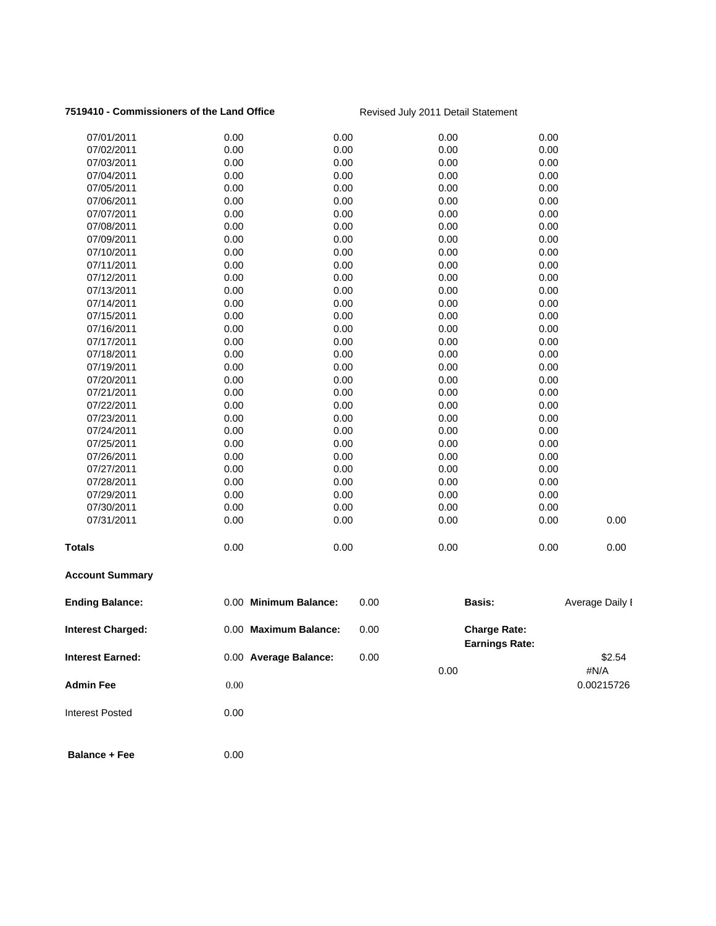### **7519410 - Commissioners of the Land Office** Revised July 2011 Detail Statement

| <b>Admin Fee</b>         | 0.00                  |      | 0.00                  |      | #N/A<br>0.00215726 |
|--------------------------|-----------------------|------|-----------------------|------|--------------------|
| <b>Interest Earned:</b>  | 0.00 Average Balance: | 0.00 | <b>Earnings Rate:</b> |      | \$2.54             |
| <b>Interest Charged:</b> | 0.00 Maximum Balance: | 0.00 | <b>Charge Rate:</b>   |      |                    |
| <b>Ending Balance:</b>   | 0.00 Minimum Balance: | 0.00 | Basis:                |      | Average Daily I    |
| <b>Account Summary</b>   |                       |      |                       |      |                    |
| <b>Totals</b>            | 0.00                  | 0.00 | 0.00                  | 0.00 | 0.00               |
| 07/31/2011               | 0.00                  | 0.00 | 0.00                  | 0.00 | 0.00               |
| 07/30/2011               | 0.00                  | 0.00 | 0.00                  | 0.00 |                    |
| 07/29/2011               | 0.00                  | 0.00 | 0.00                  | 0.00 |                    |
| 07/28/2011               | 0.00                  | 0.00 | 0.00                  | 0.00 |                    |
| 07/27/2011               | 0.00                  | 0.00 | 0.00                  | 0.00 |                    |
| 07/26/2011               | 0.00                  | 0.00 | 0.00                  | 0.00 |                    |
| 07/25/2011               | 0.00                  | 0.00 | 0.00                  | 0.00 |                    |
| 07/24/2011               | 0.00                  | 0.00 | 0.00                  | 0.00 |                    |
| 07/23/2011               | 0.00                  | 0.00 | 0.00                  | 0.00 |                    |
| 07/22/2011               | 0.00                  | 0.00 | 0.00                  | 0.00 |                    |
| 07/21/2011               | 0.00                  | 0.00 | 0.00                  | 0.00 |                    |
| 07/20/2011               | 0.00                  | 0.00 | 0.00                  | 0.00 |                    |
| 07/19/2011               | 0.00                  | 0.00 | 0.00                  | 0.00 |                    |
| 07/18/2011               | 0.00                  | 0.00 | 0.00                  | 0.00 |                    |
| 07/17/2011               | 0.00                  | 0.00 | 0.00                  | 0.00 |                    |
| 07/16/2011               | 0.00                  | 0.00 | 0.00                  | 0.00 |                    |
| 07/15/2011               | 0.00                  | 0.00 | 0.00                  | 0.00 |                    |
| 07/14/2011               | 0.00                  | 0.00 | 0.00                  | 0.00 |                    |
| 07/13/2011               | 0.00                  | 0.00 | 0.00                  | 0.00 |                    |
| 07/12/2011               | 0.00                  | 0.00 | 0.00                  | 0.00 |                    |
| 07/11/2011               | 0.00                  | 0.00 | 0.00                  | 0.00 |                    |
| 07/10/2011               | 0.00                  | 0.00 | 0.00                  | 0.00 |                    |
| 07/09/2011               | 0.00                  | 0.00 | 0.00                  | 0.00 |                    |
| 07/08/2011               | 0.00                  | 0.00 | 0.00                  | 0.00 |                    |
| 07/07/2011               | 0.00                  | 0.00 | 0.00                  | 0.00 |                    |
| 07/06/2011               | 0.00                  | 0.00 | 0.00                  | 0.00 |                    |
| 07/05/2011               | 0.00                  | 0.00 | 0.00                  | 0.00 |                    |
| 07/04/2011               | 0.00                  | 0.00 | 0.00                  | 0.00 |                    |
| 07/03/2011               | 0.00                  | 0.00 | 0.00                  | 0.00 |                    |
| 07/02/2011               | 0.00                  | 0.00 | 0.00                  | 0.00 |                    |
| 07/01/2011               | 0.00                  | 0.00 | 0.00                  | 0.00 |                    |
|                          |                       |      |                       |      |                    |

- Interest Posted 0.00
- **Balance + Fee** 0.00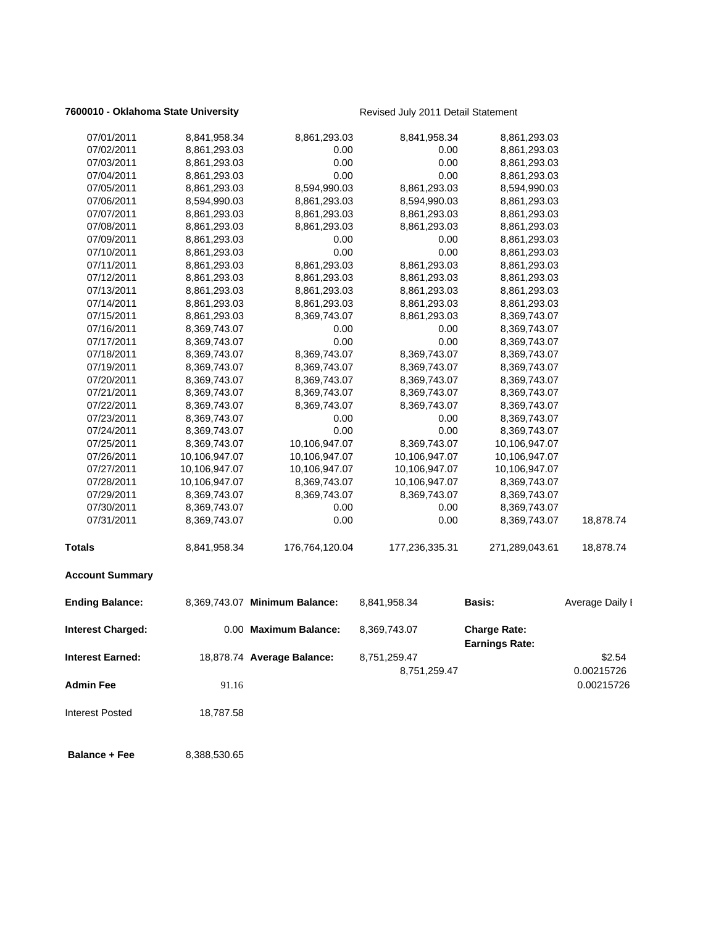### **7600010 - Oklahoma State University Revised July 2011 Detail Statement**

| 07/01/2011               | 8,841,958.34  | 8,861,293.03                  | 8,841,958.34   | 8,861,293.03                                 |                          |
|--------------------------|---------------|-------------------------------|----------------|----------------------------------------------|--------------------------|
| 07/02/2011               | 8,861,293.03  | 0.00                          | 0.00           | 8,861,293.03                                 |                          |
| 07/03/2011               | 8,861,293.03  | 0.00                          | 0.00           | 8,861,293.03                                 |                          |
| 07/04/2011               | 8,861,293.03  | 0.00                          | 0.00           | 8,861,293.03                                 |                          |
| 07/05/2011               | 8,861,293.03  | 8,594,990.03                  | 8,861,293.03   | 8,594,990.03                                 |                          |
| 07/06/2011               | 8,594,990.03  | 8,861,293.03                  | 8,594,990.03   | 8,861,293.03                                 |                          |
| 07/07/2011               | 8,861,293.03  | 8,861,293.03                  | 8,861,293.03   | 8,861,293.03                                 |                          |
| 07/08/2011               | 8,861,293.03  | 8,861,293.03                  | 8,861,293.03   | 8,861,293.03                                 |                          |
| 07/09/2011               | 8,861,293.03  | 0.00                          | 0.00           | 8,861,293.03                                 |                          |
| 07/10/2011               | 8,861,293.03  | 0.00                          | 0.00           | 8,861,293.03                                 |                          |
| 07/11/2011               | 8,861,293.03  | 8,861,293.03                  | 8,861,293.03   | 8,861,293.03                                 |                          |
| 07/12/2011               | 8,861,293.03  | 8,861,293.03                  | 8,861,293.03   | 8,861,293.03                                 |                          |
| 07/13/2011               | 8,861,293.03  | 8,861,293.03                  | 8,861,293.03   | 8,861,293.03                                 |                          |
| 07/14/2011               | 8,861,293.03  | 8,861,293.03                  | 8,861,293.03   | 8,861,293.03                                 |                          |
| 07/15/2011               | 8,861,293.03  | 8,369,743.07                  | 8,861,293.03   | 8,369,743.07                                 |                          |
| 07/16/2011               | 8,369,743.07  | 0.00                          | 0.00           | 8,369,743.07                                 |                          |
| 07/17/2011               | 8,369,743.07  | 0.00                          | 0.00           | 8,369,743.07                                 |                          |
| 07/18/2011               | 8,369,743.07  | 8,369,743.07                  | 8,369,743.07   | 8,369,743.07                                 |                          |
| 07/19/2011               | 8,369,743.07  | 8,369,743.07                  | 8,369,743.07   | 8,369,743.07                                 |                          |
| 07/20/2011               | 8,369,743.07  | 8,369,743.07                  | 8,369,743.07   | 8,369,743.07                                 |                          |
| 07/21/2011               | 8,369,743.07  | 8,369,743.07                  | 8,369,743.07   | 8,369,743.07                                 |                          |
| 07/22/2011               | 8,369,743.07  | 8,369,743.07                  | 8,369,743.07   | 8,369,743.07                                 |                          |
| 07/23/2011               | 8,369,743.07  | 0.00                          | 0.00           | 8,369,743.07                                 |                          |
| 07/24/2011               | 8,369,743.07  | 0.00                          | 0.00           | 8,369,743.07                                 |                          |
| 07/25/2011               | 8,369,743.07  | 10,106,947.07                 | 8,369,743.07   | 10,106,947.07                                |                          |
| 07/26/2011               | 10,106,947.07 | 10,106,947.07                 | 10,106,947.07  | 10,106,947.07                                |                          |
| 07/27/2011               | 10,106,947.07 | 10,106,947.07                 | 10,106,947.07  | 10,106,947.07                                |                          |
| 07/28/2011               | 10,106,947.07 | 8,369,743.07                  | 10,106,947.07  | 8,369,743.07                                 |                          |
| 07/29/2011               | 8,369,743.07  | 8,369,743.07                  | 8,369,743.07   | 8,369,743.07                                 |                          |
| 07/30/2011               | 8,369,743.07  | 0.00                          | 0.00           | 8,369,743.07                                 |                          |
| 07/31/2011               | 8,369,743.07  | 0.00                          | 0.00           | 8,369,743.07                                 | 18,878.74                |
| Totals                   | 8,841,958.34  | 176,764,120.04                | 177,236,335.31 | 271,289,043.61                               | 18,878.74                |
| <b>Account Summary</b>   |               |                               |                |                                              |                          |
| <b>Ending Balance:</b>   |               | 8,369,743.07 Minimum Balance: | 8,841,958.34   | <b>Basis:</b>                                | Average Daily I          |
| <b>Interest Charged:</b> |               | 0.00 Maximum Balance:         | 8,369,743.07   | <b>Charge Rate:</b><br><b>Earnings Rate:</b> |                          |
| Interest Earned:         |               | 18,878.74 Average Balance:    | 8,751,259.47   |                                              | \$2.54                   |
| <b>Admin Fee</b>         | 91.16         |                               | 8,751,259.47   |                                              | 0.00215726<br>0.00215726 |
| Interest Posted          | 18,787.58     |                               |                |                                              |                          |
| <b>Balance + Fee</b>     | 8,388,530.65  |                               |                |                                              |                          |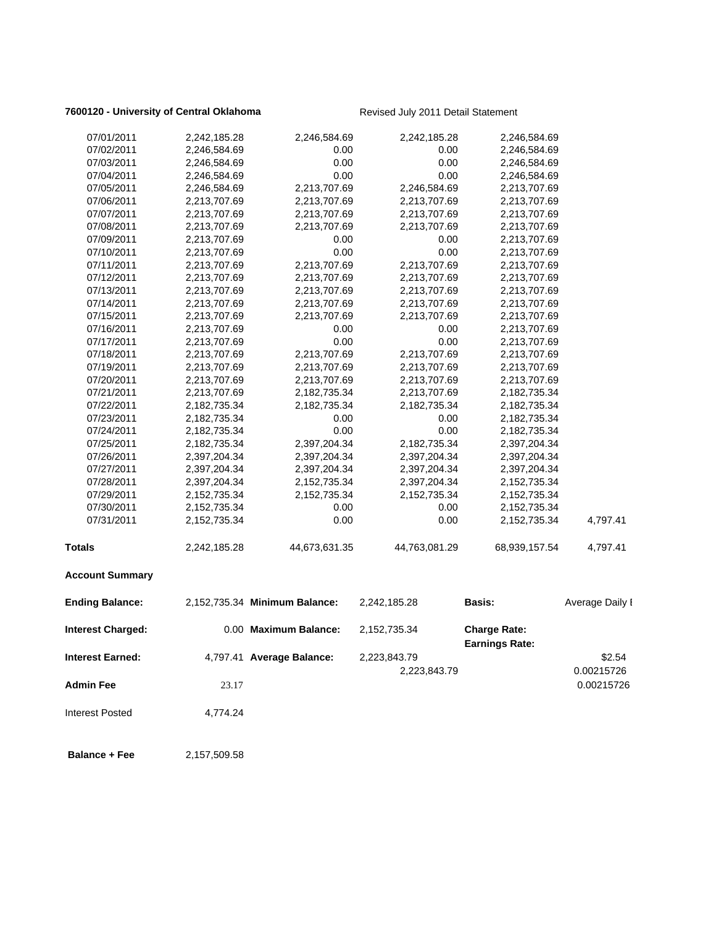### **7600120 - University of Central Oklahoma** Revised July 2011 Detail Statement

| 07/01/2011              | 2,242,185.28 | 2,246,584.69                  | 2,242,185.28  | 2,246,584.69                                 |                 |
|-------------------------|--------------|-------------------------------|---------------|----------------------------------------------|-----------------|
| 07/02/2011              | 2,246,584.69 | 0.00                          | 0.00          | 2,246,584.69                                 |                 |
| 07/03/2011              | 2,246,584.69 | 0.00                          | 0.00          | 2,246,584.69                                 |                 |
| 07/04/2011              | 2,246,584.69 | 0.00                          | 0.00          | 2,246,584.69                                 |                 |
| 07/05/2011              | 2,246,584.69 | 2,213,707.69                  | 2,246,584.69  | 2,213,707.69                                 |                 |
| 07/06/2011              | 2,213,707.69 | 2,213,707.69                  | 2,213,707.69  | 2,213,707.69                                 |                 |
| 07/07/2011              | 2,213,707.69 | 2,213,707.69                  | 2,213,707.69  | 2,213,707.69                                 |                 |
| 07/08/2011              | 2,213,707.69 | 2,213,707.69                  | 2,213,707.69  | 2,213,707.69                                 |                 |
| 07/09/2011              | 2,213,707.69 | 0.00                          | 0.00          | 2,213,707.69                                 |                 |
| 07/10/2011              | 2,213,707.69 | 0.00                          | 0.00          | 2,213,707.69                                 |                 |
| 07/11/2011              | 2,213,707.69 | 2,213,707.69                  | 2,213,707.69  | 2,213,707.69                                 |                 |
| 07/12/2011              | 2,213,707.69 | 2,213,707.69                  | 2,213,707.69  | 2,213,707.69                                 |                 |
| 07/13/2011              | 2,213,707.69 | 2,213,707.69                  | 2,213,707.69  | 2,213,707.69                                 |                 |
| 07/14/2011              | 2,213,707.69 | 2,213,707.69                  | 2,213,707.69  | 2,213,707.69                                 |                 |
| 07/15/2011              | 2,213,707.69 | 2,213,707.69                  | 2,213,707.69  | 2,213,707.69                                 |                 |
| 07/16/2011              | 2,213,707.69 | 0.00                          | 0.00          | 2,213,707.69                                 |                 |
| 07/17/2011              | 2,213,707.69 | 0.00                          | 0.00          | 2,213,707.69                                 |                 |
| 07/18/2011              | 2,213,707.69 | 2,213,707.69                  | 2,213,707.69  | 2,213,707.69                                 |                 |
| 07/19/2011              | 2,213,707.69 | 2,213,707.69                  | 2,213,707.69  | 2,213,707.69                                 |                 |
| 07/20/2011              | 2,213,707.69 | 2,213,707.69                  | 2,213,707.69  | 2,213,707.69                                 |                 |
| 07/21/2011              | 2,213,707.69 | 2,182,735.34                  | 2,213,707.69  | 2,182,735.34                                 |                 |
| 07/22/2011              | 2,182,735.34 | 2,182,735.34                  | 2,182,735.34  | 2,182,735.34                                 |                 |
| 07/23/2011              | 2,182,735.34 | 0.00                          | 0.00          | 2,182,735.34                                 |                 |
| 07/24/2011              | 2,182,735.34 | 0.00                          | 0.00          | 2,182,735.34                                 |                 |
| 07/25/2011              | 2,182,735.34 | 2,397,204.34                  | 2,182,735.34  | 2,397,204.34                                 |                 |
| 07/26/2011              | 2,397,204.34 | 2,397,204.34                  | 2,397,204.34  | 2,397,204.34                                 |                 |
| 07/27/2011              | 2,397,204.34 | 2,397,204.34                  | 2,397,204.34  | 2,397,204.34                                 |                 |
| 07/28/2011              | 2,397,204.34 | 2,152,735.34                  | 2,397,204.34  | 2,152,735.34                                 |                 |
| 07/29/2011              | 2,152,735.34 | 2,152,735.34                  | 2,152,735.34  | 2,152,735.34                                 |                 |
| 07/30/2011              | 2,152,735.34 | 0.00                          | 0.00          | 2,152,735.34                                 |                 |
| 07/31/2011              | 2,152,735.34 | 0.00                          | 0.00          | 2,152,735.34                                 | 4,797.41        |
| <b>Totals</b>           | 2,242,185.28 | 44,673,631.35                 | 44,763,081.29 | 68,939,157.54                                | 4,797.41        |
| <b>Account Summary</b>  |              |                               |               |                                              |                 |
| <b>Ending Balance:</b>  |              | 2,152,735.34 Minimum Balance: | 2,242,185.28  | <b>Basis:</b>                                | Average Daily I |
| Interest Charged:       |              | 0.00 Maximum Balance:         | 2,152,735.34  | <b>Charge Rate:</b><br><b>Earnings Rate:</b> |                 |
| <b>Interest Earned:</b> |              | 4,797.41 Average Balance:     | 2,223,843.79  |                                              | \$2.54          |
|                         |              |                               | 2,223,843.79  |                                              | 0.00215726      |
| <b>Admin Fee</b>        |              |                               |               |                                              | 0.00215726      |
|                         | 23.17        |                               |               |                                              |                 |
| <b>Interest Posted</b>  | 4,774.24     |                               |               |                                              |                 |
| <b>Balance + Fee</b>    | 2,157,509.58 |                               |               |                                              |                 |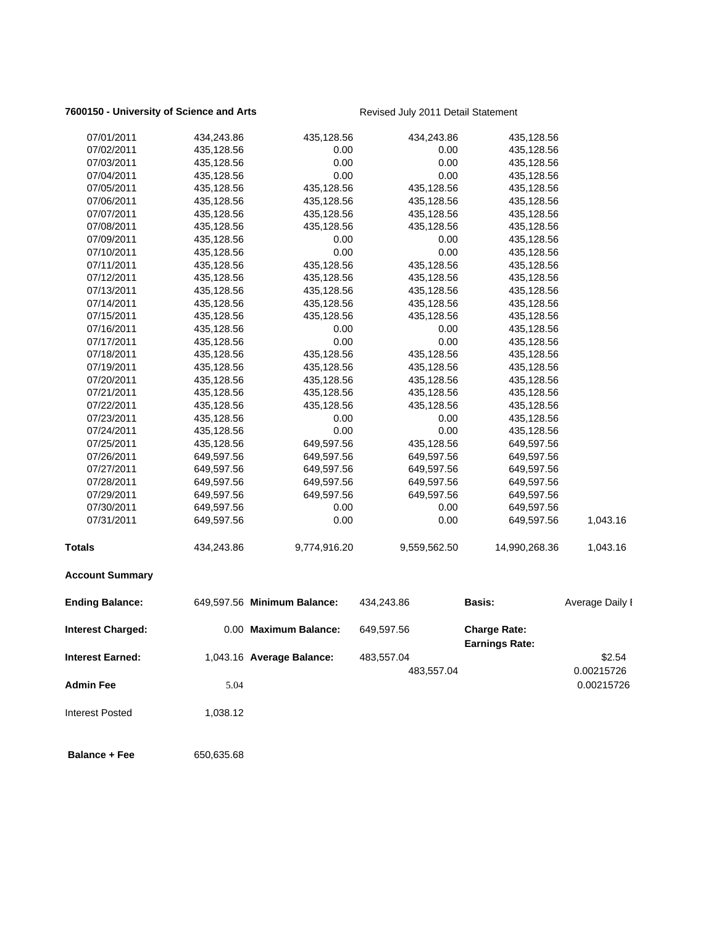### **7600150 - University of Science and Arts** Revised July 2011 Detail Statement

| 07/01/2011              | 434,243.86 | 435,128.56                  | 434,243.86   | 435,128.56                                   |                 |
|-------------------------|------------|-----------------------------|--------------|----------------------------------------------|-----------------|
| 07/02/2011              | 435,128.56 | 0.00                        | 0.00         | 435,128.56                                   |                 |
| 07/03/2011              | 435,128.56 | 0.00                        | 0.00         | 435,128.56                                   |                 |
| 07/04/2011              | 435,128.56 | 0.00                        | 0.00         | 435,128.56                                   |                 |
| 07/05/2011              | 435,128.56 | 435,128.56                  | 435,128.56   | 435,128.56                                   |                 |
| 07/06/2011              | 435,128.56 | 435,128.56                  | 435,128.56   | 435,128.56                                   |                 |
| 07/07/2011              | 435,128.56 | 435,128.56                  | 435,128.56   | 435,128.56                                   |                 |
| 07/08/2011              | 435,128.56 | 435,128.56                  | 435,128.56   | 435,128.56                                   |                 |
| 07/09/2011              | 435,128.56 | 0.00                        | 0.00         | 435,128.56                                   |                 |
| 07/10/2011              | 435,128.56 | 0.00                        | 0.00         | 435,128.56                                   |                 |
| 07/11/2011              | 435,128.56 | 435,128.56                  | 435,128.56   | 435,128.56                                   |                 |
| 07/12/2011              | 435,128.56 | 435,128.56                  | 435,128.56   | 435,128.56                                   |                 |
| 07/13/2011              | 435,128.56 | 435,128.56                  | 435,128.56   | 435,128.56                                   |                 |
| 07/14/2011              | 435,128.56 | 435,128.56                  | 435,128.56   | 435,128.56                                   |                 |
| 07/15/2011              | 435,128.56 | 435,128.56                  | 435,128.56   | 435,128.56                                   |                 |
| 07/16/2011              | 435,128.56 | 0.00                        | 0.00         | 435,128.56                                   |                 |
| 07/17/2011              | 435,128.56 | 0.00                        | 0.00         | 435,128.56                                   |                 |
| 07/18/2011              | 435,128.56 | 435,128.56                  | 435,128.56   | 435,128.56                                   |                 |
| 07/19/2011              | 435,128.56 | 435,128.56                  | 435,128.56   | 435,128.56                                   |                 |
| 07/20/2011              | 435,128.56 | 435,128.56                  | 435,128.56   | 435,128.56                                   |                 |
| 07/21/2011              | 435,128.56 | 435,128.56                  | 435,128.56   | 435,128.56                                   |                 |
| 07/22/2011              | 435,128.56 | 435,128.56                  | 435,128.56   | 435,128.56                                   |                 |
| 07/23/2011              | 435,128.56 | 0.00                        | 0.00         | 435,128.56                                   |                 |
| 07/24/2011              | 435,128.56 | 0.00                        | 0.00         | 435,128.56                                   |                 |
| 07/25/2011              | 435,128.56 | 649,597.56                  | 435,128.56   | 649,597.56                                   |                 |
| 07/26/2011              | 649,597.56 | 649,597.56                  | 649,597.56   | 649,597.56                                   |                 |
| 07/27/2011              | 649,597.56 | 649,597.56                  | 649,597.56   | 649,597.56                                   |                 |
| 07/28/2011              | 649,597.56 | 649,597.56                  | 649,597.56   | 649,597.56                                   |                 |
| 07/29/2011              | 649,597.56 | 649,597.56                  | 649,597.56   | 649,597.56                                   |                 |
| 07/30/2011              | 649,597.56 | 0.00                        | 0.00         | 649,597.56                                   |                 |
| 07/31/2011              | 649,597.56 | 0.00                        | 0.00         | 649,597.56                                   | 1,043.16        |
| Totals                  | 434,243.86 | 9,774,916.20                | 9,559,562.50 | 14,990,268.36                                | 1,043.16        |
| <b>Account Summary</b>  |            |                             |              |                                              |                 |
| <b>Ending Balance:</b>  |            | 649,597.56 Minimum Balance: | 434,243.86   | <b>Basis:</b>                                | Average Daily I |
| Interest Charged:       |            | 0.00 Maximum Balance:       | 649,597.56   | <b>Charge Rate:</b><br><b>Earnings Rate:</b> |                 |
| <b>Interest Earned:</b> |            | 1,043.16 Average Balance:   | 483,557.04   |                                              | \$2.54          |
|                         |            |                             | 483,557.04   |                                              | 0.00215726      |
| <b>Admin Fee</b>        | 5.04       |                             |              |                                              | 0.00215726      |
| <b>Interest Posted</b>  | 1,038.12   |                             |              |                                              |                 |
| <b>Balance + Fee</b>    | 650,635.68 |                             |              |                                              |                 |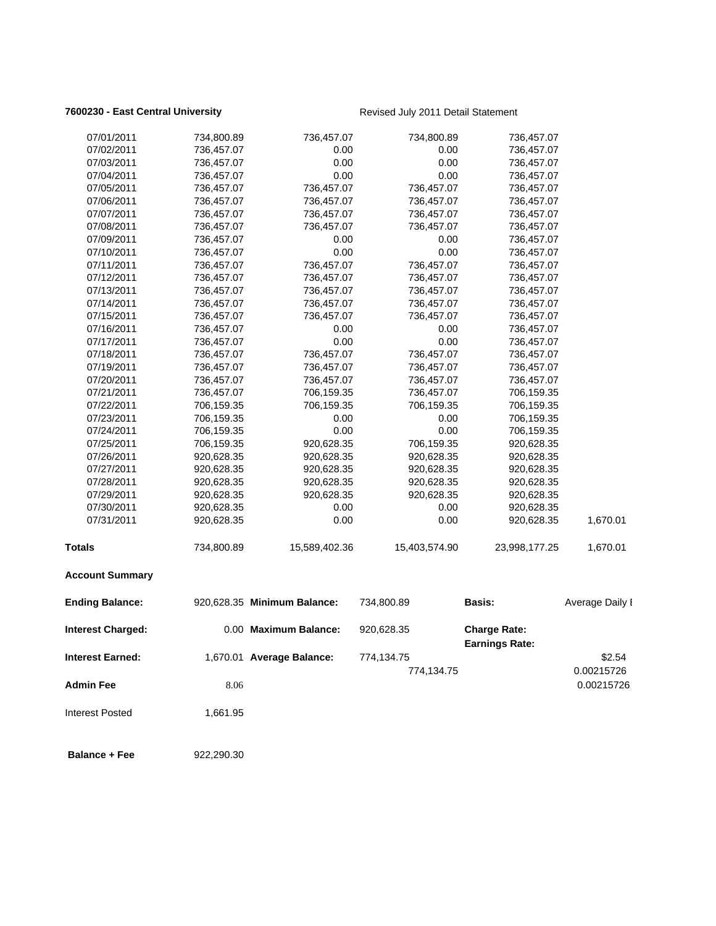### **7600230 - East Central University Revised July 2011 Detail Statement**

| 07/02/2011<br>736,457.07<br>0.00<br>0.00<br>736,457.07<br>07/03/2011<br>736,457.07<br>0.00<br>0.00<br>736,457.07<br>0.00<br>0.00<br>07/04/2011<br>736,457.07<br>736,457.07<br>07/05/2011<br>736,457.07<br>736,457.07<br>736,457.07<br>736,457.07<br>07/06/2011<br>736,457.07<br>736,457.07<br>736,457.07<br>736,457.07<br>07/07/2011<br>736,457.07<br>736,457.07<br>736,457.07<br>736,457.07<br>07/08/2011<br>736,457.07<br>736,457.07<br>736,457.07<br>736,457.07<br>0.00<br>07/09/2011<br>0.00<br>736,457.07<br>736,457.07<br>0.00<br>0.00<br>07/10/2011<br>736,457.07<br>736,457.07<br>07/11/2011<br>736,457.07<br>736,457.07<br>736,457.07<br>736,457.07<br>07/12/2011<br>736,457.07<br>736,457.07<br>736,457.07<br>736,457.07<br>07/13/2011<br>736,457.07<br>736,457.07<br>736,457.07<br>736,457.07<br>07/14/2011<br>736,457.07<br>736,457.07<br>736,457.07<br>736,457.07<br>07/15/2011<br>736,457.07<br>736,457.07<br>736,457.07<br>736,457.07<br>07/16/2011<br>736,457.07<br>0.00<br>0.00<br>736,457.07<br>0.00<br>07/17/2011<br>736,457.07<br>0.00<br>736,457.07<br>07/18/2011<br>736,457.07<br>736,457.07<br>736,457.07<br>736,457.07<br>07/19/2011<br>736,457.07<br>736,457.07<br>736,457.07<br>736,457.07<br>07/20/2011<br>736,457.07<br>736,457.07<br>736,457.07<br>736,457.07<br>07/21/2011<br>736,457.07<br>706,159.35<br>736,457.07<br>706,159.35<br>706,159.35<br>07/22/2011<br>706,159.35<br>706,159.35<br>706,159.35<br>07/23/2011<br>706,159.35<br>0.00<br>0.00<br>706,159.35<br>0.00<br>0.00<br>07/24/2011<br>706,159.35<br>706,159.35<br>07/25/2011<br>706,159.35<br>920,628.35<br>706,159.35<br>920,628.35<br>07/26/2011<br>920,628.35<br>920,628.35<br>920,628.35<br>920,628.35<br>07/27/2011<br>920,628.35<br>920,628.35<br>920,628.35<br>920,628.35 |                          |
|------------------------------------------------------------------------------------------------------------------------------------------------------------------------------------------------------------------------------------------------------------------------------------------------------------------------------------------------------------------------------------------------------------------------------------------------------------------------------------------------------------------------------------------------------------------------------------------------------------------------------------------------------------------------------------------------------------------------------------------------------------------------------------------------------------------------------------------------------------------------------------------------------------------------------------------------------------------------------------------------------------------------------------------------------------------------------------------------------------------------------------------------------------------------------------------------------------------------------------------------------------------------------------------------------------------------------------------------------------------------------------------------------------------------------------------------------------------------------------------------------------------------------------------------------------------------------------------------------------------------------------------------------------------------------------------------------------------------------------------------------------------------------|--------------------------|
|                                                                                                                                                                                                                                                                                                                                                                                                                                                                                                                                                                                                                                                                                                                                                                                                                                                                                                                                                                                                                                                                                                                                                                                                                                                                                                                                                                                                                                                                                                                                                                                                                                                                                                                                                                              |                          |
|                                                                                                                                                                                                                                                                                                                                                                                                                                                                                                                                                                                                                                                                                                                                                                                                                                                                                                                                                                                                                                                                                                                                                                                                                                                                                                                                                                                                                                                                                                                                                                                                                                                                                                                                                                              |                          |
|                                                                                                                                                                                                                                                                                                                                                                                                                                                                                                                                                                                                                                                                                                                                                                                                                                                                                                                                                                                                                                                                                                                                                                                                                                                                                                                                                                                                                                                                                                                                                                                                                                                                                                                                                                              |                          |
|                                                                                                                                                                                                                                                                                                                                                                                                                                                                                                                                                                                                                                                                                                                                                                                                                                                                                                                                                                                                                                                                                                                                                                                                                                                                                                                                                                                                                                                                                                                                                                                                                                                                                                                                                                              |                          |
|                                                                                                                                                                                                                                                                                                                                                                                                                                                                                                                                                                                                                                                                                                                                                                                                                                                                                                                                                                                                                                                                                                                                                                                                                                                                                                                                                                                                                                                                                                                                                                                                                                                                                                                                                                              |                          |
|                                                                                                                                                                                                                                                                                                                                                                                                                                                                                                                                                                                                                                                                                                                                                                                                                                                                                                                                                                                                                                                                                                                                                                                                                                                                                                                                                                                                                                                                                                                                                                                                                                                                                                                                                                              |                          |
|                                                                                                                                                                                                                                                                                                                                                                                                                                                                                                                                                                                                                                                                                                                                                                                                                                                                                                                                                                                                                                                                                                                                                                                                                                                                                                                                                                                                                                                                                                                                                                                                                                                                                                                                                                              |                          |
|                                                                                                                                                                                                                                                                                                                                                                                                                                                                                                                                                                                                                                                                                                                                                                                                                                                                                                                                                                                                                                                                                                                                                                                                                                                                                                                                                                                                                                                                                                                                                                                                                                                                                                                                                                              |                          |
|                                                                                                                                                                                                                                                                                                                                                                                                                                                                                                                                                                                                                                                                                                                                                                                                                                                                                                                                                                                                                                                                                                                                                                                                                                                                                                                                                                                                                                                                                                                                                                                                                                                                                                                                                                              |                          |
|                                                                                                                                                                                                                                                                                                                                                                                                                                                                                                                                                                                                                                                                                                                                                                                                                                                                                                                                                                                                                                                                                                                                                                                                                                                                                                                                                                                                                                                                                                                                                                                                                                                                                                                                                                              |                          |
|                                                                                                                                                                                                                                                                                                                                                                                                                                                                                                                                                                                                                                                                                                                                                                                                                                                                                                                                                                                                                                                                                                                                                                                                                                                                                                                                                                                                                                                                                                                                                                                                                                                                                                                                                                              |                          |
|                                                                                                                                                                                                                                                                                                                                                                                                                                                                                                                                                                                                                                                                                                                                                                                                                                                                                                                                                                                                                                                                                                                                                                                                                                                                                                                                                                                                                                                                                                                                                                                                                                                                                                                                                                              |                          |
|                                                                                                                                                                                                                                                                                                                                                                                                                                                                                                                                                                                                                                                                                                                                                                                                                                                                                                                                                                                                                                                                                                                                                                                                                                                                                                                                                                                                                                                                                                                                                                                                                                                                                                                                                                              |                          |
|                                                                                                                                                                                                                                                                                                                                                                                                                                                                                                                                                                                                                                                                                                                                                                                                                                                                                                                                                                                                                                                                                                                                                                                                                                                                                                                                                                                                                                                                                                                                                                                                                                                                                                                                                                              |                          |
|                                                                                                                                                                                                                                                                                                                                                                                                                                                                                                                                                                                                                                                                                                                                                                                                                                                                                                                                                                                                                                                                                                                                                                                                                                                                                                                                                                                                                                                                                                                                                                                                                                                                                                                                                                              |                          |
|                                                                                                                                                                                                                                                                                                                                                                                                                                                                                                                                                                                                                                                                                                                                                                                                                                                                                                                                                                                                                                                                                                                                                                                                                                                                                                                                                                                                                                                                                                                                                                                                                                                                                                                                                                              |                          |
|                                                                                                                                                                                                                                                                                                                                                                                                                                                                                                                                                                                                                                                                                                                                                                                                                                                                                                                                                                                                                                                                                                                                                                                                                                                                                                                                                                                                                                                                                                                                                                                                                                                                                                                                                                              |                          |
|                                                                                                                                                                                                                                                                                                                                                                                                                                                                                                                                                                                                                                                                                                                                                                                                                                                                                                                                                                                                                                                                                                                                                                                                                                                                                                                                                                                                                                                                                                                                                                                                                                                                                                                                                                              |                          |
|                                                                                                                                                                                                                                                                                                                                                                                                                                                                                                                                                                                                                                                                                                                                                                                                                                                                                                                                                                                                                                                                                                                                                                                                                                                                                                                                                                                                                                                                                                                                                                                                                                                                                                                                                                              |                          |
|                                                                                                                                                                                                                                                                                                                                                                                                                                                                                                                                                                                                                                                                                                                                                                                                                                                                                                                                                                                                                                                                                                                                                                                                                                                                                                                                                                                                                                                                                                                                                                                                                                                                                                                                                                              |                          |
|                                                                                                                                                                                                                                                                                                                                                                                                                                                                                                                                                                                                                                                                                                                                                                                                                                                                                                                                                                                                                                                                                                                                                                                                                                                                                                                                                                                                                                                                                                                                                                                                                                                                                                                                                                              |                          |
|                                                                                                                                                                                                                                                                                                                                                                                                                                                                                                                                                                                                                                                                                                                                                                                                                                                                                                                                                                                                                                                                                                                                                                                                                                                                                                                                                                                                                                                                                                                                                                                                                                                                                                                                                                              |                          |
|                                                                                                                                                                                                                                                                                                                                                                                                                                                                                                                                                                                                                                                                                                                                                                                                                                                                                                                                                                                                                                                                                                                                                                                                                                                                                                                                                                                                                                                                                                                                                                                                                                                                                                                                                                              |                          |
|                                                                                                                                                                                                                                                                                                                                                                                                                                                                                                                                                                                                                                                                                                                                                                                                                                                                                                                                                                                                                                                                                                                                                                                                                                                                                                                                                                                                                                                                                                                                                                                                                                                                                                                                                                              |                          |
|                                                                                                                                                                                                                                                                                                                                                                                                                                                                                                                                                                                                                                                                                                                                                                                                                                                                                                                                                                                                                                                                                                                                                                                                                                                                                                                                                                                                                                                                                                                                                                                                                                                                                                                                                                              |                          |
|                                                                                                                                                                                                                                                                                                                                                                                                                                                                                                                                                                                                                                                                                                                                                                                                                                                                                                                                                                                                                                                                                                                                                                                                                                                                                                                                                                                                                                                                                                                                                                                                                                                                                                                                                                              |                          |
| 07/28/2011<br>920,628.35<br>920,628.35<br>920,628.35<br>920,628.35                                                                                                                                                                                                                                                                                                                                                                                                                                                                                                                                                                                                                                                                                                                                                                                                                                                                                                                                                                                                                                                                                                                                                                                                                                                                                                                                                                                                                                                                                                                                                                                                                                                                                                           |                          |
| 920,628.35<br>920,628.35<br>07/29/2011<br>920,628.35<br>920,628.35                                                                                                                                                                                                                                                                                                                                                                                                                                                                                                                                                                                                                                                                                                                                                                                                                                                                                                                                                                                                                                                                                                                                                                                                                                                                                                                                                                                                                                                                                                                                                                                                                                                                                                           |                          |
| 07/30/2011<br>0.00<br>920,628.35<br>0.00<br>920,628.35                                                                                                                                                                                                                                                                                                                                                                                                                                                                                                                                                                                                                                                                                                                                                                                                                                                                                                                                                                                                                                                                                                                                                                                                                                                                                                                                                                                                                                                                                                                                                                                                                                                                                                                       |                          |
| 0.00<br>0.00<br>07/31/2011<br>920,628.35<br>920,628.35                                                                                                                                                                                                                                                                                                                                                                                                                                                                                                                                                                                                                                                                                                                                                                                                                                                                                                                                                                                                                                                                                                                                                                                                                                                                                                                                                                                                                                                                                                                                                                                                                                                                                                                       | 1,670.01                 |
| <b>Totals</b><br>23,998,177.25<br>734,800.89<br>15,589,402.36<br>15,403,574.90                                                                                                                                                                                                                                                                                                                                                                                                                                                                                                                                                                                                                                                                                                                                                                                                                                                                                                                                                                                                                                                                                                                                                                                                                                                                                                                                                                                                                                                                                                                                                                                                                                                                                               | 1,670.01                 |
| <b>Account Summary</b>                                                                                                                                                                                                                                                                                                                                                                                                                                                                                                                                                                                                                                                                                                                                                                                                                                                                                                                                                                                                                                                                                                                                                                                                                                                                                                                                                                                                                                                                                                                                                                                                                                                                                                                                                       |                          |
| <b>Ending Balance:</b><br>920,628.35 Minimum Balance:<br>734,800.89<br><b>Basis:</b>                                                                                                                                                                                                                                                                                                                                                                                                                                                                                                                                                                                                                                                                                                                                                                                                                                                                                                                                                                                                                                                                                                                                                                                                                                                                                                                                                                                                                                                                                                                                                                                                                                                                                         | Average Daily I          |
| Interest Charged:<br>0.00 Maximum Balance:<br>920,628.35<br><b>Charge Rate:</b><br><b>Earnings Rate:</b>                                                                                                                                                                                                                                                                                                                                                                                                                                                                                                                                                                                                                                                                                                                                                                                                                                                                                                                                                                                                                                                                                                                                                                                                                                                                                                                                                                                                                                                                                                                                                                                                                                                                     |                          |
| <b>Interest Earned:</b><br>1,670.01 Average Balance:<br>774,134.75                                                                                                                                                                                                                                                                                                                                                                                                                                                                                                                                                                                                                                                                                                                                                                                                                                                                                                                                                                                                                                                                                                                                                                                                                                                                                                                                                                                                                                                                                                                                                                                                                                                                                                           | \$2.54                   |
| 774,134.75<br><b>Admin Fee</b><br>8.06                                                                                                                                                                                                                                                                                                                                                                                                                                                                                                                                                                                                                                                                                                                                                                                                                                                                                                                                                                                                                                                                                                                                                                                                                                                                                                                                                                                                                                                                                                                                                                                                                                                                                                                                       | 0.00215726<br>0.00215726 |
|                                                                                                                                                                                                                                                                                                                                                                                                                                                                                                                                                                                                                                                                                                                                                                                                                                                                                                                                                                                                                                                                                                                                                                                                                                                                                                                                                                                                                                                                                                                                                                                                                                                                                                                                                                              |                          |
| <b>Interest Posted</b><br>1,661.95                                                                                                                                                                                                                                                                                                                                                                                                                                                                                                                                                                                                                                                                                                                                                                                                                                                                                                                                                                                                                                                                                                                                                                                                                                                                                                                                                                                                                                                                                                                                                                                                                                                                                                                                           |                          |
| <b>Balance + Fee</b><br>922,290.30                                                                                                                                                                                                                                                                                                                                                                                                                                                                                                                                                                                                                                                                                                                                                                                                                                                                                                                                                                                                                                                                                                                                                                                                                                                                                                                                                                                                                                                                                                                                                                                                                                                                                                                                           |                          |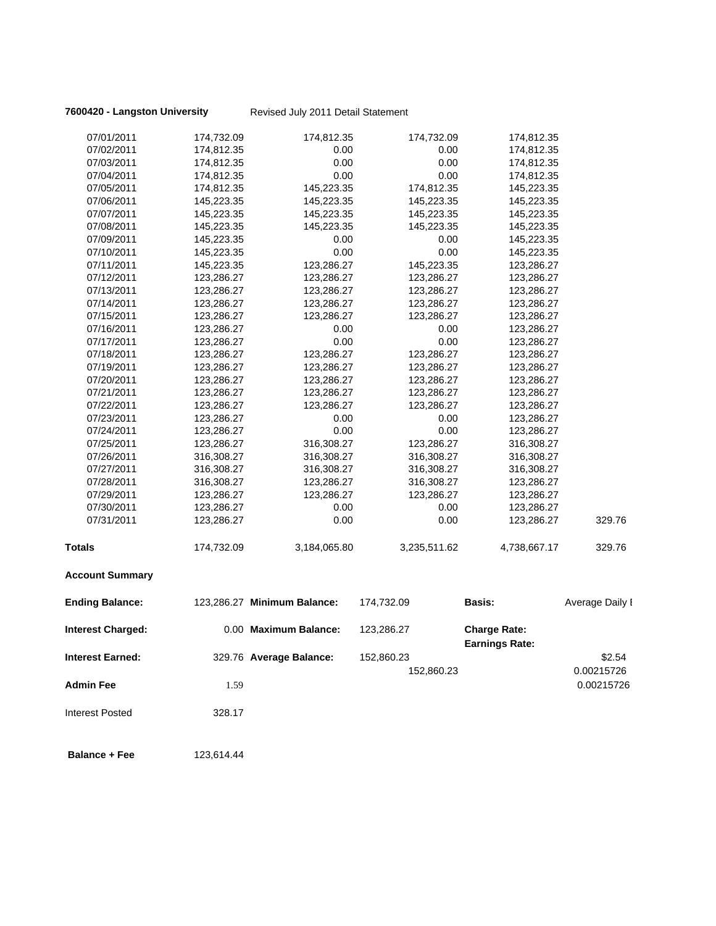**7600420 - Langston University** Revised July 2011 Detail Statement

| 07/01/2011               | 174,732.09 | 174,812.35                  | 174,732.09   | 174,812.35            |                 |
|--------------------------|------------|-----------------------------|--------------|-----------------------|-----------------|
| 07/02/2011               | 174,812.35 | 0.00                        | 0.00         | 174,812.35            |                 |
| 07/03/2011               | 174,812.35 | 0.00                        | 0.00         | 174,812.35            |                 |
| 07/04/2011               | 174,812.35 | 0.00                        | 0.00         | 174,812.35            |                 |
| 07/05/2011               | 174,812.35 | 145,223.35                  | 174,812.35   | 145,223.35            |                 |
| 07/06/2011               | 145,223.35 | 145,223.35                  | 145,223.35   | 145,223.35            |                 |
| 07/07/2011               | 145,223.35 | 145,223.35                  | 145,223.35   | 145,223.35            |                 |
| 07/08/2011               | 145,223.35 | 145,223.35                  | 145,223.35   | 145,223.35            |                 |
| 07/09/2011               | 145,223.35 | 0.00                        | 0.00         | 145,223.35            |                 |
| 07/10/2011               | 145,223.35 | 0.00                        | 0.00         | 145,223.35            |                 |
| 07/11/2011               | 145,223.35 | 123,286.27                  | 145,223.35   | 123,286.27            |                 |
| 07/12/2011               | 123,286.27 | 123,286.27                  | 123,286.27   | 123,286.27            |                 |
| 07/13/2011               | 123,286.27 | 123,286.27                  | 123,286.27   | 123,286.27            |                 |
| 07/14/2011               | 123,286.27 | 123,286.27                  | 123,286.27   | 123,286.27            |                 |
| 07/15/2011               | 123,286.27 | 123,286.27                  | 123,286.27   | 123,286.27            |                 |
| 07/16/2011               | 123,286.27 | 0.00                        | 0.00         | 123,286.27            |                 |
| 07/17/2011               | 123,286.27 | 0.00                        | 0.00         | 123,286.27            |                 |
| 07/18/2011               | 123,286.27 | 123,286.27                  | 123,286.27   | 123,286.27            |                 |
| 07/19/2011               | 123,286.27 | 123,286.27                  | 123,286.27   | 123,286.27            |                 |
| 07/20/2011               | 123,286.27 | 123,286.27                  | 123,286.27   | 123,286.27            |                 |
| 07/21/2011               | 123,286.27 | 123,286.27                  | 123,286.27   | 123,286.27            |                 |
| 07/22/2011               | 123,286.27 | 123,286.27                  | 123,286.27   | 123,286.27            |                 |
| 07/23/2011               | 123,286.27 | 0.00                        | 0.00         | 123,286.27            |                 |
| 07/24/2011               | 123,286.27 | 0.00                        | 0.00         | 123,286.27            |                 |
| 07/25/2011               | 123,286.27 | 316,308.27                  | 123,286.27   | 316,308.27            |                 |
| 07/26/2011               | 316,308.27 | 316,308.27                  | 316,308.27   | 316,308.27            |                 |
| 07/27/2011               | 316,308.27 | 316,308.27                  | 316,308.27   | 316,308.27            |                 |
| 07/28/2011               | 316,308.27 | 123,286.27                  | 316,308.27   | 123,286.27            |                 |
| 07/29/2011               | 123,286.27 | 123,286.27                  | 123,286.27   | 123,286.27            |                 |
| 07/30/2011               | 123,286.27 | 0.00                        | 0.00         | 123,286.27            |                 |
| 07/31/2011               | 123,286.27 | 0.00                        | 0.00         | 123,286.27            | 329.76          |
| <b>Totals</b>            | 174,732.09 | 3,184,065.80                | 3,235,511.62 | 4,738,667.17          | 329.76          |
| <b>Account Summary</b>   |            |                             |              |                       |                 |
| <b>Ending Balance:</b>   |            | 123,286.27 Minimum Balance: | 174,732.09   | <b>Basis:</b>         | Average Daily I |
| <b>Interest Charged:</b> |            | 0.00 Maximum Balance:       | 123,286.27   | <b>Charge Rate:</b>   |                 |
|                          |            |                             |              | <b>Earnings Rate:</b> |                 |
| <b>Interest Earned:</b>  |            | 329.76 Average Balance:     | 152,860.23   |                       | \$2.54          |
|                          |            |                             | 152,860.23   |                       | 0.00215726      |
| <b>Admin Fee</b>         | 1.59       |                             |              |                       | 0.00215726      |
| <b>Interest Posted</b>   | 328.17     |                             |              |                       |                 |
|                          |            |                             |              |                       |                 |

 **Balance + Fee** 123,614.44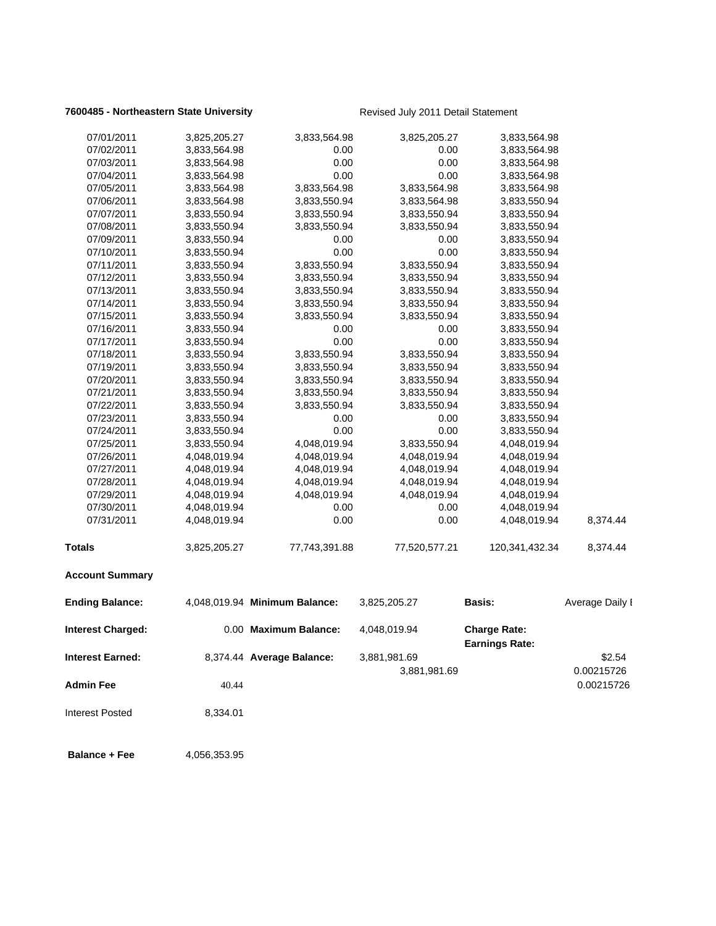### **7600485 - Northeastern State University** Revised July 2011 Detail Statement

| 07/01/2011               | 3,825,205.27 | 3,833,564.98                  | 3,825,205.27  | 3,833,564.98          |                 |
|--------------------------|--------------|-------------------------------|---------------|-----------------------|-----------------|
| 07/02/2011               | 3,833,564.98 | 0.00                          | 0.00          | 3,833,564.98          |                 |
| 07/03/2011               | 3,833,564.98 | 0.00                          | 0.00          | 3,833,564.98          |                 |
| 07/04/2011               | 3,833,564.98 | 0.00                          | 0.00          | 3,833,564.98          |                 |
| 07/05/2011               | 3,833,564.98 | 3,833,564.98                  | 3,833,564.98  | 3,833,564.98          |                 |
| 07/06/2011               | 3,833,564.98 | 3,833,550.94                  | 3,833,564.98  | 3,833,550.94          |                 |
| 07/07/2011               | 3,833,550.94 | 3,833,550.94                  | 3,833,550.94  | 3,833,550.94          |                 |
| 07/08/2011               | 3,833,550.94 | 3,833,550.94                  | 3,833,550.94  | 3,833,550.94          |                 |
| 07/09/2011               | 3,833,550.94 | 0.00                          | 0.00          | 3,833,550.94          |                 |
| 07/10/2011               | 3,833,550.94 | 0.00                          | 0.00          | 3,833,550.94          |                 |
| 07/11/2011               | 3,833,550.94 | 3,833,550.94                  | 3,833,550.94  | 3,833,550.94          |                 |
| 07/12/2011               | 3,833,550.94 | 3,833,550.94                  | 3,833,550.94  | 3,833,550.94          |                 |
| 07/13/2011               | 3,833,550.94 | 3,833,550.94                  | 3,833,550.94  | 3,833,550.94          |                 |
| 07/14/2011               | 3,833,550.94 | 3,833,550.94                  | 3,833,550.94  | 3,833,550.94          |                 |
| 07/15/2011               | 3,833,550.94 | 3,833,550.94                  | 3,833,550.94  | 3,833,550.94          |                 |
| 07/16/2011               | 3,833,550.94 | 0.00                          | 0.00          | 3,833,550.94          |                 |
| 07/17/2011               | 3,833,550.94 | 0.00                          | 0.00          | 3,833,550.94          |                 |
| 07/18/2011               | 3,833,550.94 | 3,833,550.94                  | 3,833,550.94  | 3,833,550.94          |                 |
| 07/19/2011               | 3,833,550.94 | 3,833,550.94                  | 3,833,550.94  | 3,833,550.94          |                 |
| 07/20/2011               | 3,833,550.94 | 3,833,550.94                  | 3,833,550.94  | 3,833,550.94          |                 |
| 07/21/2011               | 3,833,550.94 | 3,833,550.94                  | 3,833,550.94  | 3,833,550.94          |                 |
| 07/22/2011               | 3,833,550.94 | 3,833,550.94                  | 3,833,550.94  | 3,833,550.94          |                 |
| 07/23/2011               | 3,833,550.94 | 0.00                          | 0.00          | 3,833,550.94          |                 |
| 07/24/2011               | 3,833,550.94 | 0.00                          | 0.00          | 3,833,550.94          |                 |
| 07/25/2011               | 3,833,550.94 | 4,048,019.94                  | 3,833,550.94  | 4,048,019.94          |                 |
| 07/26/2011               | 4,048,019.94 | 4,048,019.94                  | 4,048,019.94  | 4,048,019.94          |                 |
| 07/27/2011               | 4,048,019.94 | 4,048,019.94                  | 4,048,019.94  | 4,048,019.94          |                 |
| 07/28/2011               | 4,048,019.94 | 4,048,019.94                  | 4,048,019.94  | 4,048,019.94          |                 |
| 07/29/2011               | 4,048,019.94 | 4,048,019.94                  | 4,048,019.94  | 4,048,019.94          |                 |
| 07/30/2011               | 4,048,019.94 | 0.00                          | 0.00          | 4,048,019.94          |                 |
| 07/31/2011               | 4,048,019.94 | 0.00                          | 0.00          | 4,048,019.94          | 8,374.44        |
| <b>Totals</b>            | 3,825,205.27 | 77,743,391.88                 | 77,520,577.21 | 120,341,432.34        | 8,374.44        |
| <b>Account Summary</b>   |              |                               |               |                       |                 |
| <b>Ending Balance:</b>   |              | 4,048,019.94 Minimum Balance: | 3,825,205.27  | Basis:                | Average Daily I |
| <b>Interest Charged:</b> |              | 0.00 Maximum Balance:         | 4,048,019.94  | <b>Charge Rate:</b>   |                 |
|                          |              |                               |               | <b>Earnings Rate:</b> |                 |
| <b>Interest Earned:</b>  |              | 8,374.44 Average Balance:     | 3,881,981.69  |                       | \$2.54          |
|                          |              |                               | 3,881,981.69  |                       | 0.00215726      |
| <b>Admin Fee</b>         | 40.44        |                               |               |                       | 0.00215726      |
| <b>Interest Posted</b>   | 8,334.01     |                               |               |                       |                 |
|                          |              |                               |               |                       |                 |

**Balance + Fee** 4,056,353.95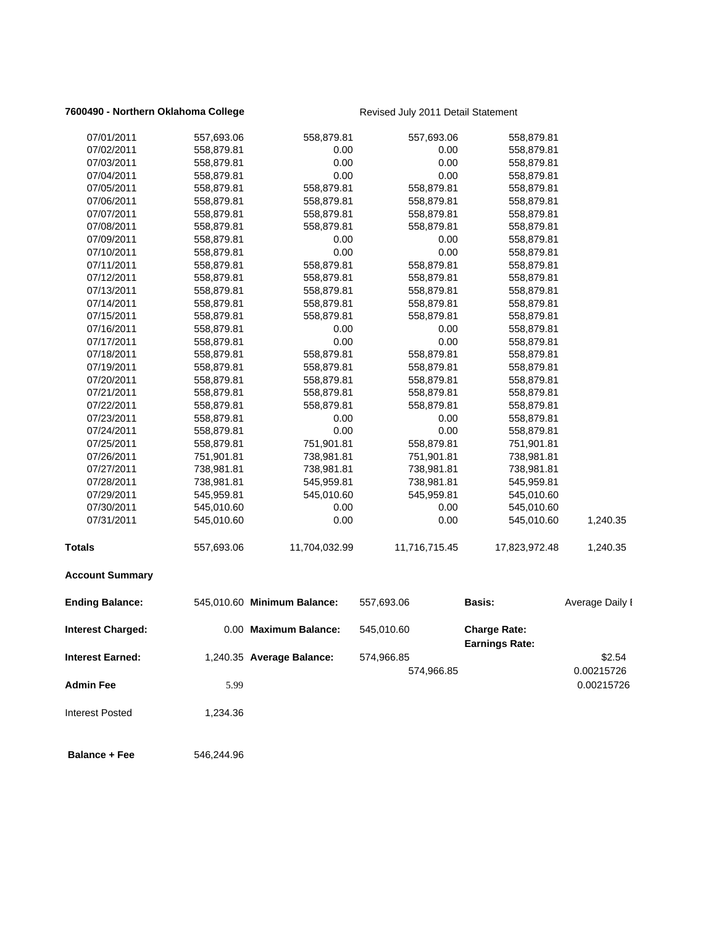### **7600490 - Northern Oklahoma College** Revised July 2011 Detail Statement

| 07/01/2011              | 557,693.06 | 558,879.81                  | 557,693.06    | 558,879.81                                   |                 |
|-------------------------|------------|-----------------------------|---------------|----------------------------------------------|-----------------|
| 07/02/2011              | 558,879.81 | 0.00                        | 0.00          | 558,879.81                                   |                 |
| 07/03/2011              | 558,879.81 | 0.00                        | 0.00          | 558,879.81                                   |                 |
| 07/04/2011              | 558,879.81 | 0.00                        | 0.00          | 558,879.81                                   |                 |
| 07/05/2011              | 558,879.81 | 558,879.81                  | 558,879.81    | 558,879.81                                   |                 |
| 07/06/2011              | 558,879.81 | 558,879.81                  | 558,879.81    | 558,879.81                                   |                 |
| 07/07/2011              | 558,879.81 | 558,879.81                  | 558,879.81    | 558,879.81                                   |                 |
| 07/08/2011              | 558,879.81 | 558,879.81                  | 558,879.81    | 558,879.81                                   |                 |
| 07/09/2011              | 558,879.81 | 0.00                        | 0.00          | 558,879.81                                   |                 |
| 07/10/2011              | 558,879.81 | 0.00                        | 0.00          | 558,879.81                                   |                 |
| 07/11/2011              | 558,879.81 | 558,879.81                  | 558,879.81    | 558,879.81                                   |                 |
| 07/12/2011              | 558,879.81 | 558,879.81                  | 558,879.81    | 558,879.81                                   |                 |
| 07/13/2011              | 558,879.81 | 558,879.81                  | 558,879.81    | 558,879.81                                   |                 |
| 07/14/2011              | 558,879.81 | 558,879.81                  | 558,879.81    | 558,879.81                                   |                 |
| 07/15/2011              | 558,879.81 | 558,879.81                  | 558,879.81    | 558,879.81                                   |                 |
| 07/16/2011              | 558,879.81 | 0.00                        | 0.00          | 558,879.81                                   |                 |
| 07/17/2011              | 558,879.81 | 0.00                        | 0.00          | 558,879.81                                   |                 |
| 07/18/2011              | 558,879.81 | 558,879.81                  | 558,879.81    | 558,879.81                                   |                 |
| 07/19/2011              | 558,879.81 | 558,879.81                  | 558,879.81    | 558,879.81                                   |                 |
| 07/20/2011              | 558,879.81 | 558,879.81                  | 558,879.81    | 558,879.81                                   |                 |
| 07/21/2011              | 558,879.81 | 558,879.81                  | 558,879.81    | 558,879.81                                   |                 |
| 07/22/2011              | 558,879.81 | 558,879.81                  | 558,879.81    | 558,879.81                                   |                 |
| 07/23/2011              | 558,879.81 | 0.00                        | 0.00          | 558,879.81                                   |                 |
| 07/24/2011              | 558,879.81 | 0.00                        | 0.00          | 558,879.81                                   |                 |
| 07/25/2011              | 558,879.81 | 751,901.81                  | 558,879.81    | 751,901.81                                   |                 |
| 07/26/2011              | 751,901.81 | 738,981.81                  | 751,901.81    | 738,981.81                                   |                 |
| 07/27/2011              | 738,981.81 | 738,981.81                  | 738,981.81    | 738,981.81                                   |                 |
| 07/28/2011              | 738,981.81 | 545,959.81                  | 738,981.81    | 545,959.81                                   |                 |
| 07/29/2011              | 545,959.81 | 545,010.60                  | 545,959.81    | 545,010.60                                   |                 |
| 07/30/2011              | 545,010.60 | 0.00                        | 0.00          | 545,010.60                                   |                 |
| 07/31/2011              | 545,010.60 | 0.00                        | 0.00          | 545,010.60                                   | 1,240.35        |
| Totals                  | 557,693.06 | 11,704,032.99               | 11,716,715.45 | 17,823,972.48                                | 1,240.35        |
| <b>Account Summary</b>  |            |                             |               |                                              |                 |
| <b>Ending Balance:</b>  |            | 545,010.60 Minimum Balance: | 557,693.06    | <b>Basis:</b>                                | Average Daily I |
| Interest Charged:       |            | 0.00 Maximum Balance:       | 545,010.60    | <b>Charge Rate:</b><br><b>Earnings Rate:</b> |                 |
| <b>Interest Earned:</b> |            | 1,240.35 Average Balance:   | 574,966.85    |                                              | \$2.54          |
|                         |            |                             | 574,966.85    |                                              | 0.00215726      |
| <b>Admin Fee</b>        | 5.99       |                             |               |                                              | 0.00215726      |
| <b>Interest Posted</b>  | 1,234.36   |                             |               |                                              |                 |
| <b>Balance + Fee</b>    | 546,244.96 |                             |               |                                              |                 |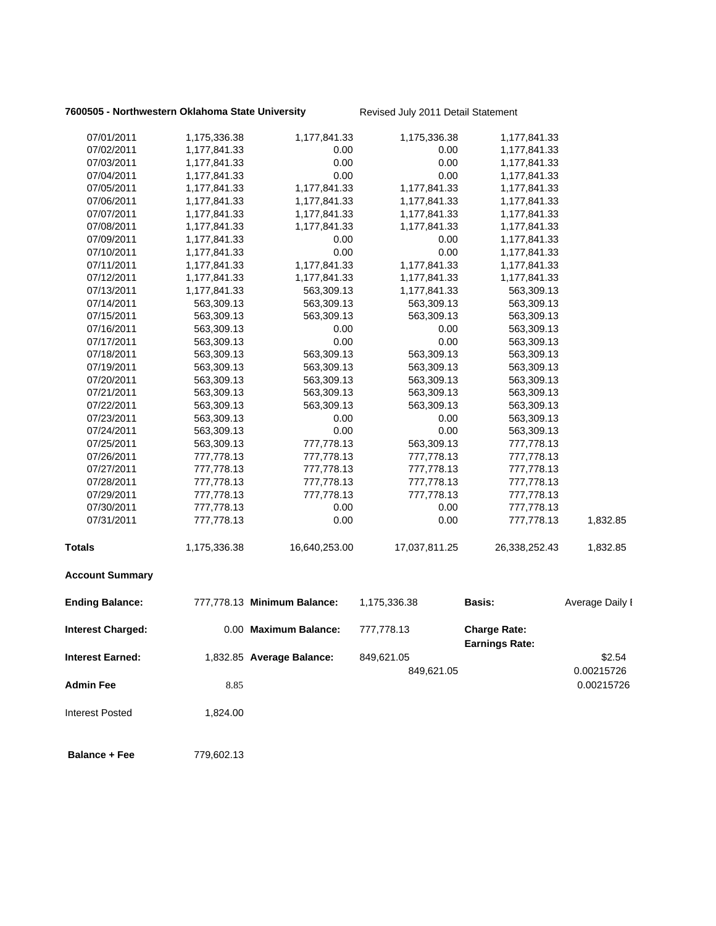### **7600505 - Northwestern Oklahoma State University Revised July 2011 Detail Statement**

| 07/01/2011               | 1,175,336.38 | 1,177,841.33                | 1,175,336.38  | 1,177,841.33                                 |                 |
|--------------------------|--------------|-----------------------------|---------------|----------------------------------------------|-----------------|
| 07/02/2011               | 1,177,841.33 | 0.00                        | 0.00          | 1,177,841.33                                 |                 |
| 07/03/2011               | 1,177,841.33 | 0.00                        | 0.00          | 1,177,841.33                                 |                 |
| 07/04/2011               | 1,177,841.33 | 0.00                        | 0.00          | 1,177,841.33                                 |                 |
| 07/05/2011               | 1,177,841.33 | 1,177,841.33                | 1,177,841.33  | 1,177,841.33                                 |                 |
| 07/06/2011               | 1,177,841.33 | 1,177,841.33                | 1,177,841.33  | 1,177,841.33                                 |                 |
| 07/07/2011               | 1,177,841.33 | 1,177,841.33                | 1,177,841.33  | 1,177,841.33                                 |                 |
| 07/08/2011               | 1,177,841.33 | 1,177,841.33                | 1,177,841.33  | 1,177,841.33                                 |                 |
| 07/09/2011               | 1,177,841.33 | 0.00                        | 0.00          | 1,177,841.33                                 |                 |
| 07/10/2011               | 1,177,841.33 | 0.00                        | 0.00          | 1,177,841.33                                 |                 |
| 07/11/2011               | 1,177,841.33 | 1,177,841.33                | 1,177,841.33  | 1,177,841.33                                 |                 |
| 07/12/2011               | 1,177,841.33 | 1,177,841.33                | 1,177,841.33  | 1,177,841.33                                 |                 |
| 07/13/2011               | 1,177,841.33 | 563,309.13                  | 1,177,841.33  | 563,309.13                                   |                 |
| 07/14/2011               | 563,309.13   | 563,309.13                  | 563,309.13    | 563,309.13                                   |                 |
| 07/15/2011               | 563,309.13   | 563,309.13                  | 563,309.13    | 563,309.13                                   |                 |
| 07/16/2011               | 563,309.13   | 0.00                        | 0.00          | 563,309.13                                   |                 |
| 07/17/2011               | 563,309.13   | 0.00                        | 0.00          | 563,309.13                                   |                 |
| 07/18/2011               | 563,309.13   | 563,309.13                  | 563,309.13    | 563,309.13                                   |                 |
| 07/19/2011               | 563,309.13   | 563,309.13                  | 563,309.13    | 563,309.13                                   |                 |
| 07/20/2011               | 563,309.13   | 563,309.13                  | 563,309.13    | 563,309.13                                   |                 |
| 07/21/2011               | 563,309.13   | 563,309.13                  | 563,309.13    | 563,309.13                                   |                 |
| 07/22/2011               | 563,309.13   | 563,309.13                  | 563,309.13    | 563,309.13                                   |                 |
| 07/23/2011               | 563,309.13   | 0.00                        | 0.00          | 563,309.13                                   |                 |
| 07/24/2011               | 563,309.13   | 0.00                        | 0.00          | 563,309.13                                   |                 |
| 07/25/2011               | 563,309.13   | 777,778.13                  | 563,309.13    | 777,778.13                                   |                 |
| 07/26/2011               | 777,778.13   | 777,778.13                  | 777,778.13    | 777,778.13                                   |                 |
| 07/27/2011               | 777,778.13   | 777,778.13                  | 777,778.13    | 777,778.13                                   |                 |
| 07/28/2011               | 777,778.13   | 777,778.13                  | 777,778.13    | 777,778.13                                   |                 |
| 07/29/2011               | 777,778.13   | 777,778.13                  | 777,778.13    | 777,778.13                                   |                 |
| 07/30/2011               | 777,778.13   | 0.00                        | 0.00          | 777,778.13                                   |                 |
| 07/31/2011               | 777,778.13   | 0.00                        | 0.00          | 777,778.13                                   | 1,832.85        |
| Totals                   | 1,175,336.38 | 16,640,253.00               | 17,037,811.25 | 26,338,252.43                                | 1,832.85        |
| <b>Account Summary</b>   |              |                             |               |                                              |                 |
| <b>Ending Balance:</b>   |              | 777,778.13 Minimum Balance: | 1,175,336.38  | <b>Basis:</b>                                | Average Daily I |
| <b>Interest Charged:</b> |              | 0.00 Maximum Balance:       | 777,778.13    | <b>Charge Rate:</b><br><b>Earnings Rate:</b> |                 |
| Interest Earned:         |              | 1,832.85 Average Balance:   | 849,621.05    |                                              | \$2.54          |
|                          |              |                             | 849,621.05    |                                              | 0.00215726      |
| Admin Fee                | 8.85         |                             |               |                                              | 0.00215726      |
| <b>Interest Posted</b>   | 1,824.00     |                             |               |                                              |                 |
| <b>Balance + Fee</b>     | 779,602.13   |                             |               |                                              |                 |
|                          |              |                             |               |                                              |                 |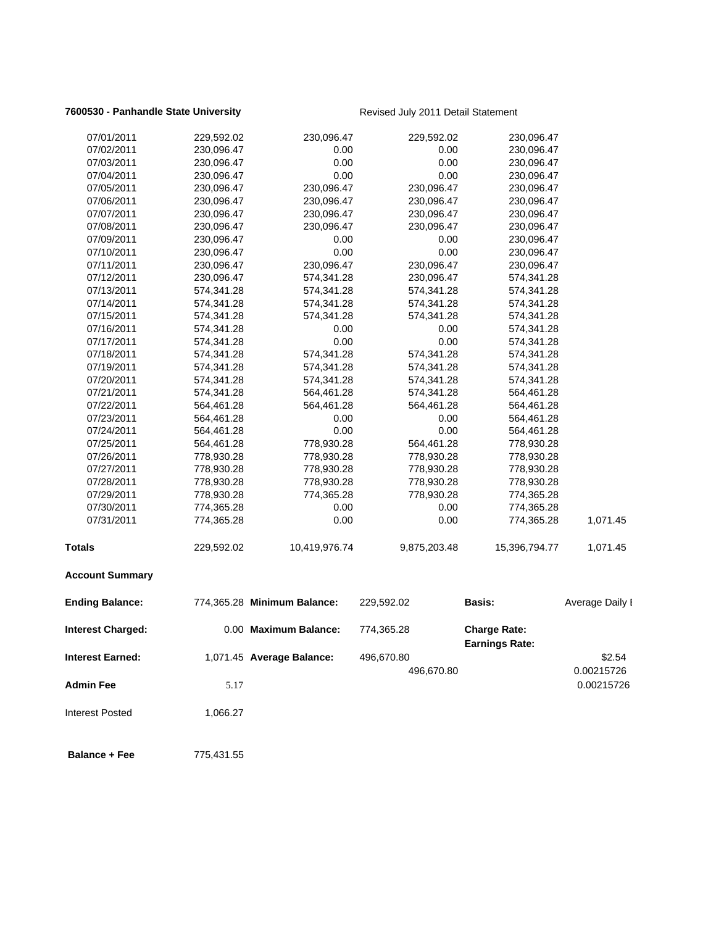### **7600530 - Panhandle State University Revised July 2011 Detail Statement**

| 07/01/2011              | 229,592.02 | 230,096.47                  | 229,592.02   | 230,096.47                                   |                 |
|-------------------------|------------|-----------------------------|--------------|----------------------------------------------|-----------------|
| 07/02/2011              | 230,096.47 | 0.00                        | 0.00         | 230,096.47                                   |                 |
| 07/03/2011              | 230,096.47 | 0.00                        | 0.00         | 230,096.47                                   |                 |
| 07/04/2011              | 230,096.47 | 0.00                        | 0.00         | 230,096.47                                   |                 |
| 07/05/2011              | 230,096.47 | 230,096.47                  | 230,096.47   | 230,096.47                                   |                 |
| 07/06/2011              | 230,096.47 | 230,096.47                  | 230,096.47   | 230,096.47                                   |                 |
| 07/07/2011              | 230,096.47 | 230,096.47                  | 230,096.47   | 230,096.47                                   |                 |
| 07/08/2011              | 230,096.47 | 230,096.47                  | 230,096.47   | 230,096.47                                   |                 |
| 07/09/2011              | 230,096.47 | 0.00                        | 0.00         | 230,096.47                                   |                 |
| 07/10/2011              | 230,096.47 | 0.00                        | 0.00         | 230,096.47                                   |                 |
| 07/11/2011              | 230,096.47 | 230,096.47                  | 230,096.47   | 230,096.47                                   |                 |
| 07/12/2011              | 230,096.47 | 574,341.28                  | 230,096.47   | 574,341.28                                   |                 |
| 07/13/2011              | 574,341.28 | 574,341.28                  | 574,341.28   | 574,341.28                                   |                 |
| 07/14/2011              | 574,341.28 | 574,341.28                  | 574,341.28   | 574,341.28                                   |                 |
| 07/15/2011              | 574,341.28 | 574,341.28                  | 574,341.28   | 574,341.28                                   |                 |
| 07/16/2011              | 574,341.28 | 0.00                        | 0.00         | 574,341.28                                   |                 |
| 07/17/2011              | 574,341.28 | 0.00                        | 0.00         | 574,341.28                                   |                 |
| 07/18/2011              | 574,341.28 | 574,341.28                  | 574,341.28   | 574,341.28                                   |                 |
| 07/19/2011              | 574,341.28 | 574,341.28                  | 574,341.28   | 574,341.28                                   |                 |
| 07/20/2011              | 574,341.28 | 574,341.28                  | 574,341.28   | 574,341.28                                   |                 |
| 07/21/2011              | 574,341.28 | 564,461.28                  | 574,341.28   | 564,461.28                                   |                 |
| 07/22/2011              | 564,461.28 | 564,461.28                  | 564,461.28   | 564,461.28                                   |                 |
| 07/23/2011              | 564,461.28 | 0.00                        | 0.00         | 564,461.28                                   |                 |
| 07/24/2011              | 564,461.28 | 0.00                        | 0.00         | 564,461.28                                   |                 |
| 07/25/2011              | 564,461.28 | 778,930.28                  | 564,461.28   | 778,930.28                                   |                 |
| 07/26/2011              | 778,930.28 | 778,930.28                  | 778,930.28   | 778,930.28                                   |                 |
| 07/27/2011              | 778,930.28 | 778,930.28                  | 778,930.28   | 778,930.28                                   |                 |
| 07/28/2011              | 778,930.28 | 778,930.28                  | 778,930.28   | 778,930.28                                   |                 |
| 07/29/2011              | 778,930.28 | 774,365.28                  | 778,930.28   | 774,365.28                                   |                 |
| 07/30/2011              | 774,365.28 | 0.00                        | 0.00         | 774,365.28                                   |                 |
| 07/31/2011              | 774,365.28 | 0.00                        | 0.00         | 774,365.28                                   | 1,071.45        |
| Totals                  | 229,592.02 | 10,419,976.74               | 9,875,203.48 | 15,396,794.77                                | 1,071.45        |
| <b>Account Summary</b>  |            |                             |              |                                              |                 |
| <b>Ending Balance:</b>  |            | 774,365.28 Minimum Balance: | 229,592.02   | <b>Basis:</b>                                | Average Daily I |
| Interest Charged:       |            | 0.00 Maximum Balance:       | 774,365.28   | <b>Charge Rate:</b><br><b>Earnings Rate:</b> |                 |
| <b>Interest Earned:</b> |            | 1,071.45 Average Balance:   | 496,670.80   |                                              | \$2.54          |
|                         |            |                             | 496,670.80   |                                              | 0.00215726      |
| <b>Admin Fee</b>        | 5.17       |                             |              |                                              | 0.00215726      |
| <b>Interest Posted</b>  | 1,066.27   |                             |              |                                              |                 |
| <b>Balance + Fee</b>    | 775,431.55 |                             |              |                                              |                 |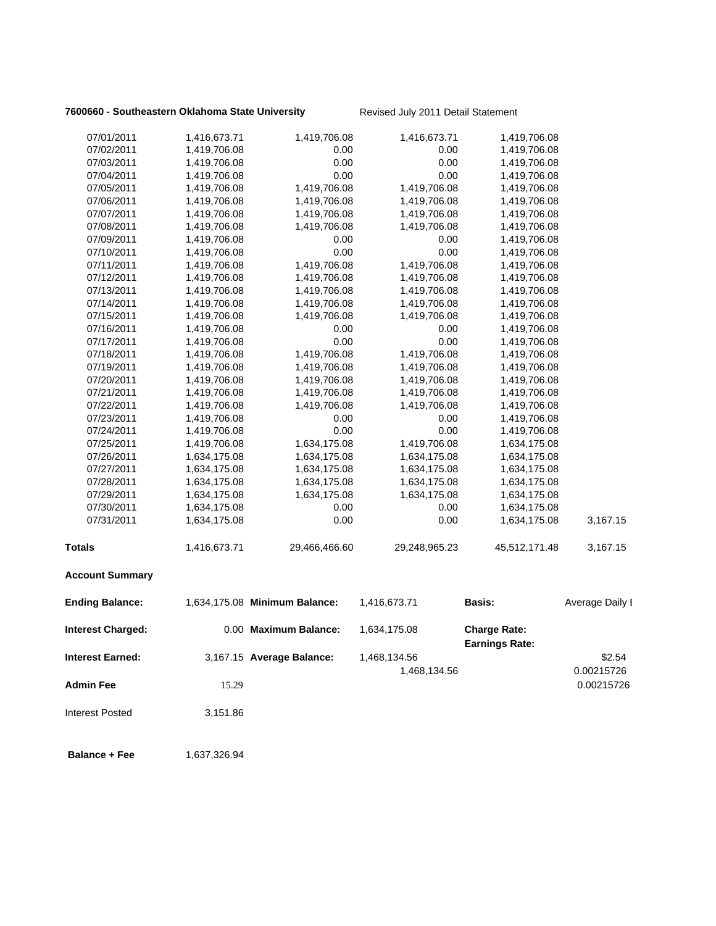### **7600660 - Southeastern Oklahoma State University Revised July 2011 Detail Statement**

| 07/01/2011               | 1,416,673.71 | 1,419,706.08                  | 1,416,673.71  | 1,419,706.08                                 |                 |
|--------------------------|--------------|-------------------------------|---------------|----------------------------------------------|-----------------|
| 07/02/2011               | 1,419,706.08 | 0.00                          | 0.00          | 1,419,706.08                                 |                 |
| 07/03/2011               | 1,419,706.08 | 0.00                          | 0.00          | 1,419,706.08                                 |                 |
| 07/04/2011               | 1,419,706.08 | 0.00                          | 0.00          | 1,419,706.08                                 |                 |
| 07/05/2011               | 1,419,706.08 | 1,419,706.08                  | 1,419,706.08  | 1,419,706.08                                 |                 |
| 07/06/2011               | 1,419,706.08 | 1,419,706.08                  | 1,419,706.08  | 1,419,706.08                                 |                 |
| 07/07/2011               | 1,419,706.08 | 1,419,706.08                  | 1,419,706.08  | 1,419,706.08                                 |                 |
| 07/08/2011               | 1,419,706.08 | 1,419,706.08                  | 1,419,706.08  | 1,419,706.08                                 |                 |
| 07/09/2011               | 1,419,706.08 | 0.00                          | 0.00          | 1,419,706.08                                 |                 |
| 07/10/2011               | 1,419,706.08 | 0.00                          | 0.00          | 1,419,706.08                                 |                 |
| 07/11/2011               | 1,419,706.08 | 1,419,706.08                  | 1,419,706.08  | 1,419,706.08                                 |                 |
| 07/12/2011               | 1,419,706.08 | 1,419,706.08                  | 1,419,706.08  | 1,419,706.08                                 |                 |
| 07/13/2011               | 1,419,706.08 | 1,419,706.08                  | 1,419,706.08  | 1,419,706.08                                 |                 |
| 07/14/2011               | 1,419,706.08 | 1,419,706.08                  | 1,419,706.08  | 1,419,706.08                                 |                 |
| 07/15/2011               | 1,419,706.08 | 1,419,706.08                  | 1,419,706.08  | 1,419,706.08                                 |                 |
| 07/16/2011               | 1,419,706.08 | 0.00                          | 0.00          | 1,419,706.08                                 |                 |
| 07/17/2011               | 1,419,706.08 | 0.00                          | 0.00          | 1,419,706.08                                 |                 |
| 07/18/2011               | 1,419,706.08 | 1,419,706.08                  | 1,419,706.08  | 1,419,706.08                                 |                 |
| 07/19/2011               | 1,419,706.08 | 1,419,706.08                  | 1,419,706.08  | 1,419,706.08                                 |                 |
| 07/20/2011               | 1,419,706.08 | 1,419,706.08                  | 1,419,706.08  | 1,419,706.08                                 |                 |
| 07/21/2011               | 1,419,706.08 | 1,419,706.08                  | 1,419,706.08  | 1,419,706.08                                 |                 |
| 07/22/2011               | 1,419,706.08 | 1,419,706.08                  | 1,419,706.08  | 1,419,706.08                                 |                 |
| 07/23/2011               | 1,419,706.08 | 0.00                          | 0.00          | 1,419,706.08                                 |                 |
| 07/24/2011               | 1,419,706.08 | 0.00                          | 0.00          | 1,419,706.08                                 |                 |
| 07/25/2011               | 1,419,706.08 | 1,634,175.08                  | 1,419,706.08  | 1,634,175.08                                 |                 |
| 07/26/2011               | 1,634,175.08 | 1,634,175.08                  | 1,634,175.08  | 1,634,175.08                                 |                 |
| 07/27/2011               | 1,634,175.08 | 1,634,175.08                  | 1,634,175.08  | 1,634,175.08                                 |                 |
| 07/28/2011               | 1,634,175.08 | 1,634,175.08                  | 1,634,175.08  | 1,634,175.08                                 |                 |
| 07/29/2011               | 1,634,175.08 | 1,634,175.08                  | 1,634,175.08  | 1,634,175.08                                 |                 |
| 07/30/2011               | 1,634,175.08 | 0.00                          | 0.00          | 1,634,175.08                                 |                 |
| 07/31/2011               | 1,634,175.08 | 0.00                          | 0.00          | 1,634,175.08                                 | 3,167.15        |
| <b>Totals</b>            | 1,416,673.71 | 29,466,466.60                 | 29,248,965.23 | 45,512,171.48                                | 3,167.15        |
| <b>Account Summary</b>   |              |                               |               |                                              |                 |
| <b>Ending Balance:</b>   |              | 1,634,175.08 Minimum Balance: | 1,416,673.71  | <b>Basis:</b>                                | Average Daily I |
| <b>Interest Charged:</b> |              | 0.00 Maximum Balance:         | 1,634,175.08  | <b>Charge Rate:</b><br><b>Earnings Rate:</b> |                 |
| <b>Interest Earned:</b>  |              | 3,167.15 Average Balance:     | 1,468,134.56  |                                              | \$2.54          |
|                          |              |                               | 1,468,134.56  |                                              | 0.00215726      |
|                          |              |                               |               |                                              |                 |
| <b>Admin Fee</b>         | 15.29        |                               |               |                                              | 0.00215726      |
| <b>Interest Posted</b>   | 3,151.86     |                               |               |                                              |                 |
| <b>Balance + Fee</b>     | 1,637,326.94 |                               |               |                                              |                 |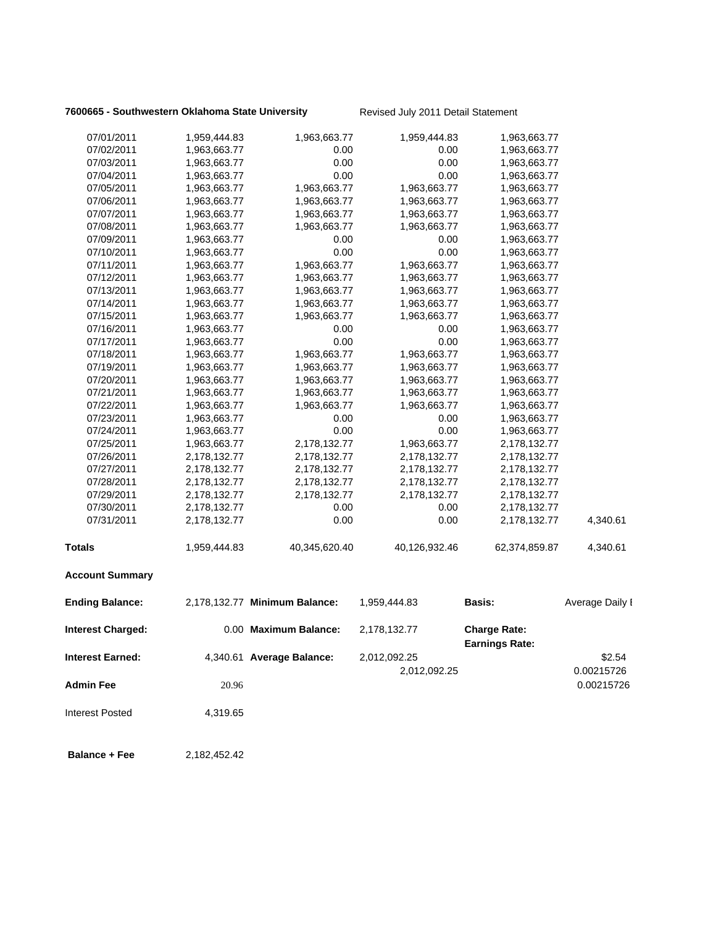## **7600665 - Southwestern Oklahoma State University Revised July 2011 Detail Statement**

| 07/01/2011              | 1,959,444.83 | 1,963,663.77                  | 1,959,444.83  | 1,963,663.77                                 |                 |
|-------------------------|--------------|-------------------------------|---------------|----------------------------------------------|-----------------|
| 07/02/2011              | 1,963,663.77 | 0.00                          | 0.00          | 1,963,663.77                                 |                 |
| 07/03/2011              | 1,963,663.77 | 0.00                          | 0.00          | 1,963,663.77                                 |                 |
| 07/04/2011              | 1,963,663.77 | 0.00                          | 0.00          | 1,963,663.77                                 |                 |
| 07/05/2011              | 1,963,663.77 | 1,963,663.77                  | 1,963,663.77  | 1,963,663.77                                 |                 |
| 07/06/2011              | 1,963,663.77 | 1,963,663.77                  | 1,963,663.77  | 1,963,663.77                                 |                 |
| 07/07/2011              | 1,963,663.77 | 1,963,663.77                  | 1,963,663.77  | 1,963,663.77                                 |                 |
| 07/08/2011              | 1,963,663.77 | 1,963,663.77                  | 1,963,663.77  | 1,963,663.77                                 |                 |
| 07/09/2011              | 1,963,663.77 | 0.00                          | 0.00          | 1,963,663.77                                 |                 |
| 07/10/2011              | 1,963,663.77 | 0.00                          | 0.00          | 1,963,663.77                                 |                 |
| 07/11/2011              | 1,963,663.77 | 1,963,663.77                  | 1,963,663.77  | 1,963,663.77                                 |                 |
| 07/12/2011              | 1,963,663.77 | 1,963,663.77                  | 1,963,663.77  | 1,963,663.77                                 |                 |
| 07/13/2011              | 1,963,663.77 | 1,963,663.77                  | 1,963,663.77  | 1,963,663.77                                 |                 |
| 07/14/2011              | 1,963,663.77 | 1,963,663.77                  | 1,963,663.77  | 1,963,663.77                                 |                 |
| 07/15/2011              | 1,963,663.77 | 1,963,663.77                  | 1,963,663.77  | 1,963,663.77                                 |                 |
| 07/16/2011              | 1,963,663.77 | 0.00                          | 0.00          | 1,963,663.77                                 |                 |
| 07/17/2011              | 1,963,663.77 | 0.00                          | 0.00          | 1,963,663.77                                 |                 |
| 07/18/2011              | 1,963,663.77 | 1,963,663.77                  | 1,963,663.77  | 1,963,663.77                                 |                 |
| 07/19/2011              | 1,963,663.77 | 1,963,663.77                  | 1,963,663.77  | 1,963,663.77                                 |                 |
| 07/20/2011              | 1,963,663.77 | 1,963,663.77                  | 1,963,663.77  | 1,963,663.77                                 |                 |
| 07/21/2011              | 1,963,663.77 | 1,963,663.77                  | 1,963,663.77  | 1,963,663.77                                 |                 |
| 07/22/2011              | 1,963,663.77 | 1,963,663.77                  | 1,963,663.77  | 1,963,663.77                                 |                 |
| 07/23/2011              | 1,963,663.77 | 0.00                          | 0.00          | 1,963,663.77                                 |                 |
| 07/24/2011              | 1,963,663.77 | 0.00                          | 0.00          | 1,963,663.77                                 |                 |
| 07/25/2011              | 1,963,663.77 | 2,178,132.77                  | 1,963,663.77  | 2,178,132.77                                 |                 |
| 07/26/2011              | 2,178,132.77 | 2,178,132.77                  | 2,178,132.77  | 2,178,132.77                                 |                 |
| 07/27/2011              | 2,178,132.77 | 2,178,132.77                  | 2,178,132.77  | 2,178,132.77                                 |                 |
| 07/28/2011              | 2,178,132.77 | 2,178,132.77                  | 2,178,132.77  | 2,178,132.77                                 |                 |
| 07/29/2011              | 2,178,132.77 | 2,178,132.77                  | 2,178,132.77  | 2,178,132.77                                 |                 |
| 07/30/2011              | 2,178,132.77 | 0.00                          | 0.00          | 2,178,132.77                                 |                 |
| 07/31/2011              | 2,178,132.77 | 0.00                          | 0.00          | 2,178,132.77                                 | 4,340.61        |
| <b>Totals</b>           | 1,959,444.83 | 40,345,620.40                 | 40,126,932.46 | 62,374,859.87                                | 4,340.61        |
| <b>Account Summary</b>  |              |                               |               |                                              |                 |
| <b>Ending Balance:</b>  |              | 2,178,132.77 Minimum Balance: | 1,959,444.83  | Basis:                                       | Average Daily I |
| Interest Charged:       |              | 0.00 Maximum Balance:         | 2,178,132.77  | <b>Charge Rate:</b><br><b>Earnings Rate:</b> |                 |
| <b>Interest Earned:</b> |              | 4,340.61 Average Balance:     | 2,012,092.25  |                                              | \$2.54          |
|                         |              |                               | 2,012,092.25  |                                              | 0.00215726      |
| <b>Admin Fee</b>        | 20.96        |                               |               |                                              | 0.00215726      |
|                         |              |                               |               |                                              |                 |
| <b>Interest Posted</b>  | 4,319.65     |                               |               |                                              |                 |
|                         |              |                               |               |                                              |                 |

 **Balance + Fee** 2,182,452.42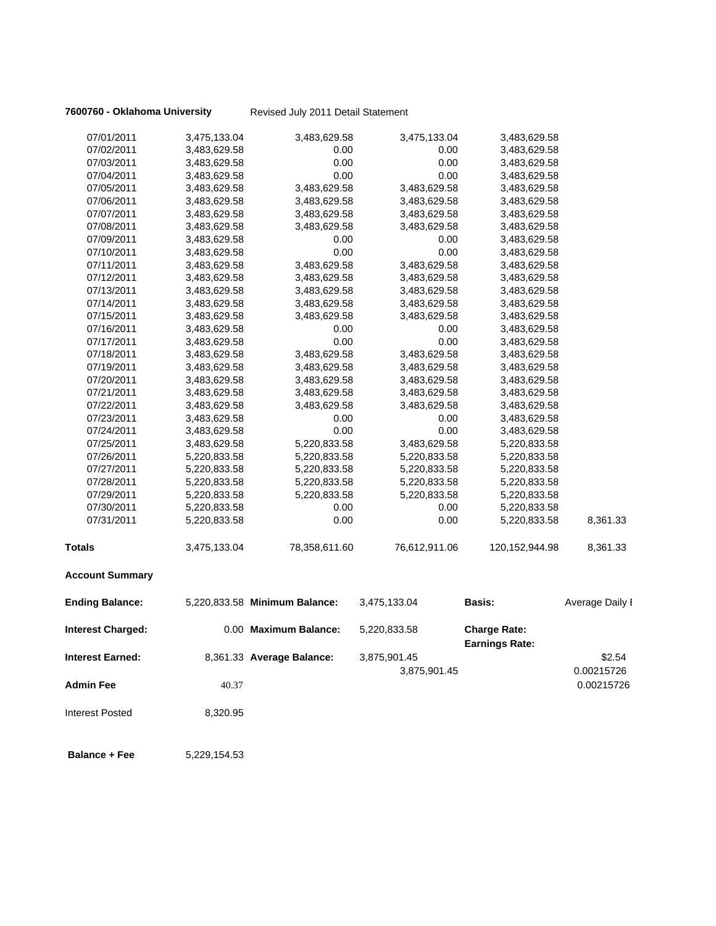|  | 7600760 - Oklahoma University |  |
|--|-------------------------------|--|
|--|-------------------------------|--|

**fy** Revised July 2011 Detail Statement

| 07/01/2011               | 3,475,133.04 | 3,483,629.58                  | 3,475,133.04  | 3,483,629.58                                 |                 |
|--------------------------|--------------|-------------------------------|---------------|----------------------------------------------|-----------------|
| 07/02/2011               | 3,483,629.58 | 0.00                          | 0.00          | 3,483,629.58                                 |                 |
| 07/03/2011               | 3,483,629.58 | 0.00                          | 0.00          | 3,483,629.58                                 |                 |
| 07/04/2011               | 3,483,629.58 | 0.00                          | 0.00          | 3,483,629.58                                 |                 |
| 07/05/2011               | 3,483,629.58 | 3,483,629.58                  | 3,483,629.58  | 3,483,629.58                                 |                 |
| 07/06/2011               | 3,483,629.58 | 3,483,629.58                  | 3,483,629.58  | 3,483,629.58                                 |                 |
| 07/07/2011               | 3,483,629.58 | 3,483,629.58                  | 3,483,629.58  | 3,483,629.58                                 |                 |
| 07/08/2011               | 3,483,629.58 | 3,483,629.58                  | 3,483,629.58  | 3,483,629.58                                 |                 |
| 07/09/2011               | 3,483,629.58 | 0.00                          | 0.00          | 3,483,629.58                                 |                 |
| 07/10/2011               | 3,483,629.58 | 0.00                          | 0.00          | 3,483,629.58                                 |                 |
| 07/11/2011               | 3,483,629.58 | 3,483,629.58                  | 3,483,629.58  | 3,483,629.58                                 |                 |
| 07/12/2011               | 3,483,629.58 | 3,483,629.58                  | 3,483,629.58  | 3,483,629.58                                 |                 |
| 07/13/2011               | 3,483,629.58 | 3,483,629.58                  | 3,483,629.58  | 3,483,629.58                                 |                 |
| 07/14/2011               | 3,483,629.58 | 3,483,629.58                  | 3,483,629.58  | 3,483,629.58                                 |                 |
| 07/15/2011               | 3,483,629.58 | 3,483,629.58                  | 3,483,629.58  | 3,483,629.58                                 |                 |
| 07/16/2011               | 3,483,629.58 | 0.00                          | 0.00          | 3,483,629.58                                 |                 |
| 07/17/2011               | 3,483,629.58 | 0.00                          | 0.00          | 3,483,629.58                                 |                 |
| 07/18/2011               | 3,483,629.58 | 3,483,629.58                  | 3,483,629.58  | 3,483,629.58                                 |                 |
| 07/19/2011               | 3,483,629.58 | 3,483,629.58                  | 3,483,629.58  | 3,483,629.58                                 |                 |
| 07/20/2011               | 3,483,629.58 | 3,483,629.58                  | 3,483,629.58  | 3,483,629.58                                 |                 |
| 07/21/2011               | 3,483,629.58 | 3,483,629.58                  | 3,483,629.58  | 3,483,629.58                                 |                 |
| 07/22/2011               | 3,483,629.58 | 3,483,629.58                  | 3,483,629.58  | 3,483,629.58                                 |                 |
| 07/23/2011               | 3,483,629.58 | 0.00                          | 0.00          | 3,483,629.58                                 |                 |
| 07/24/2011               | 3,483,629.58 | 0.00                          | 0.00          | 3,483,629.58                                 |                 |
| 07/25/2011               | 3,483,629.58 | 5,220,833.58                  | 3,483,629.58  | 5,220,833.58                                 |                 |
| 07/26/2011               | 5,220,833.58 | 5,220,833.58                  | 5,220,833.58  | 5,220,833.58                                 |                 |
| 07/27/2011               | 5,220,833.58 | 5,220,833.58                  | 5,220,833.58  | 5,220,833.58                                 |                 |
| 07/28/2011               | 5,220,833.58 | 5,220,833.58                  | 5,220,833.58  | 5,220,833.58                                 |                 |
| 07/29/2011               | 5,220,833.58 | 5,220,833.58                  | 5,220,833.58  | 5,220,833.58                                 |                 |
| 07/30/2011               | 5,220,833.58 | 0.00                          | 0.00          | 5,220,833.58                                 |                 |
| 07/31/2011               | 5,220,833.58 | 0.00                          | 0.00          | 5,220,833.58                                 | 8,361.33        |
| <b>Totals</b>            | 3,475,133.04 | 78,358,611.60                 | 76,612,911.06 | 120, 152, 944. 98                            | 8,361.33        |
| <b>Account Summary</b>   |              |                               |               |                                              |                 |
| <b>Ending Balance:</b>   |              | 5,220,833.58 Minimum Balance: | 3,475,133.04  | <b>Basis:</b>                                | Average Daily I |
| <b>Interest Charged:</b> |              | 0.00 Maximum Balance:         | 5,220,833.58  | <b>Charge Rate:</b><br><b>Earnings Rate:</b> |                 |
| Interest Earned:         |              | 8,361.33 Average Balance:     | 3,875,901.45  |                                              | \$2.54          |
|                          |              |                               | 3,875,901.45  |                                              | 0.00215726      |
| <b>Admin Fee</b>         | 40.37        |                               |               |                                              | 0.00215726      |
| Interest Posted          | 8,320.95     |                               |               |                                              |                 |
| <b>Balance + Fee</b>     | 5,229,154.53 |                               |               |                                              |                 |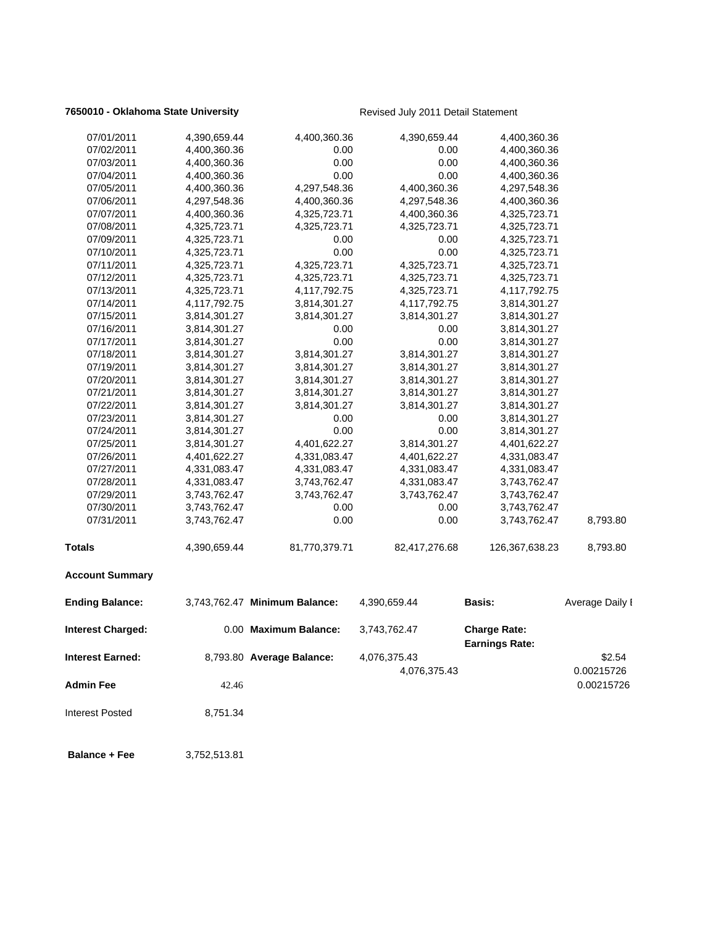## **7650010 - Oklahoma State University Revised July 2011 Detail Statement**

| 07/01/2011               | 4,390,659.44 | 4,400,360.36                  | 4,390,659.44  | 4,400,360.36                                 |                          |
|--------------------------|--------------|-------------------------------|---------------|----------------------------------------------|--------------------------|
| 07/02/2011               | 4,400,360.36 | 0.00                          | 0.00          | 4,400,360.36                                 |                          |
| 07/03/2011               | 4,400,360.36 | 0.00                          | 0.00          | 4,400,360.36                                 |                          |
| 07/04/2011               | 4,400,360.36 | 0.00                          | 0.00          | 4,400,360.36                                 |                          |
| 07/05/2011               | 4,400,360.36 | 4,297,548.36                  | 4,400,360.36  | 4,297,548.36                                 |                          |
| 07/06/2011               | 4,297,548.36 | 4,400,360.36                  | 4,297,548.36  | 4,400,360.36                                 |                          |
| 07/07/2011               | 4,400,360.36 | 4,325,723.71                  | 4,400,360.36  | 4,325,723.71                                 |                          |
| 07/08/2011               | 4,325,723.71 | 4,325,723.71                  | 4,325,723.71  | 4,325,723.71                                 |                          |
| 07/09/2011               | 4,325,723.71 | 0.00                          | 0.00          | 4,325,723.71                                 |                          |
| 07/10/2011               | 4,325,723.71 | 0.00                          | 0.00          | 4,325,723.71                                 |                          |
| 07/11/2011               | 4,325,723.71 | 4,325,723.71                  | 4,325,723.71  | 4,325,723.71                                 |                          |
| 07/12/2011               | 4,325,723.71 | 4,325,723.71                  | 4,325,723.71  | 4,325,723.71                                 |                          |
| 07/13/2011               | 4,325,723.71 | 4,117,792.75                  | 4,325,723.71  | 4,117,792.75                                 |                          |
| 07/14/2011               | 4,117,792.75 | 3,814,301.27                  | 4,117,792.75  | 3,814,301.27                                 |                          |
| 07/15/2011               | 3,814,301.27 | 3,814,301.27                  | 3,814,301.27  | 3,814,301.27                                 |                          |
| 07/16/2011               | 3,814,301.27 | 0.00                          | 0.00          | 3,814,301.27                                 |                          |
| 07/17/2011               | 3,814,301.27 | 0.00                          | 0.00          | 3,814,301.27                                 |                          |
| 07/18/2011               | 3,814,301.27 | 3,814,301.27                  | 3,814,301.27  | 3,814,301.27                                 |                          |
| 07/19/2011               | 3,814,301.27 | 3,814,301.27                  | 3,814,301.27  | 3,814,301.27                                 |                          |
| 07/20/2011               | 3,814,301.27 | 3,814,301.27                  | 3,814,301.27  | 3,814,301.27                                 |                          |
| 07/21/2011               | 3,814,301.27 | 3,814,301.27                  | 3,814,301.27  | 3,814,301.27                                 |                          |
| 07/22/2011               | 3,814,301.27 | 3,814,301.27                  | 3,814,301.27  | 3,814,301.27                                 |                          |
| 07/23/2011               | 3,814,301.27 | 0.00                          | 0.00          | 3,814,301.27                                 |                          |
| 07/24/2011               | 3,814,301.27 | 0.00                          | 0.00          | 3,814,301.27                                 |                          |
| 07/25/2011               | 3,814,301.27 | 4,401,622.27                  | 3,814,301.27  | 4,401,622.27                                 |                          |
| 07/26/2011               | 4,401,622.27 | 4,331,083.47                  | 4,401,622.27  | 4,331,083.47                                 |                          |
| 07/27/2011               | 4,331,083.47 | 4,331,083.47                  | 4,331,083.47  | 4,331,083.47                                 |                          |
| 07/28/2011               | 4,331,083.47 | 3,743,762.47                  | 4,331,083.47  | 3,743,762.47                                 |                          |
| 07/29/2011               | 3,743,762.47 | 3,743,762.47                  | 3,743,762.47  | 3,743,762.47                                 |                          |
| 07/30/2011               | 3,743,762.47 | 0.00                          | 0.00          | 3,743,762.47                                 |                          |
| 07/31/2011               | 3,743,762.47 | 0.00                          | 0.00          | 3,743,762.47                                 | 8,793.80                 |
| <b>Totals</b>            | 4,390,659.44 | 81,770,379.71                 | 82,417,276.68 | 126,367,638.23                               | 8,793.80                 |
| <b>Account Summary</b>   |              |                               |               |                                              |                          |
| <b>Ending Balance:</b>   |              | 3,743,762.47 Minimum Balance: | 4,390,659.44  | <b>Basis:</b>                                | Average Daily I          |
| <b>Interest Charged:</b> |              | 0.00 Maximum Balance:         | 3,743,762.47  | <b>Charge Rate:</b><br><b>Earnings Rate:</b> |                          |
| <b>Interest Earned:</b>  |              | 8,793.80 Average Balance:     | 4,076,375.43  |                                              | \$2.54                   |
| <b>Admin Fee</b>         | 42.46        |                               | 4,076,375.43  |                                              | 0.00215726<br>0.00215726 |
| <b>Interest Posted</b>   | 8,751.34     |                               |               |                                              |                          |
| <b>Balance + Fee</b>     | 3,752,513.81 |                               |               |                                              |                          |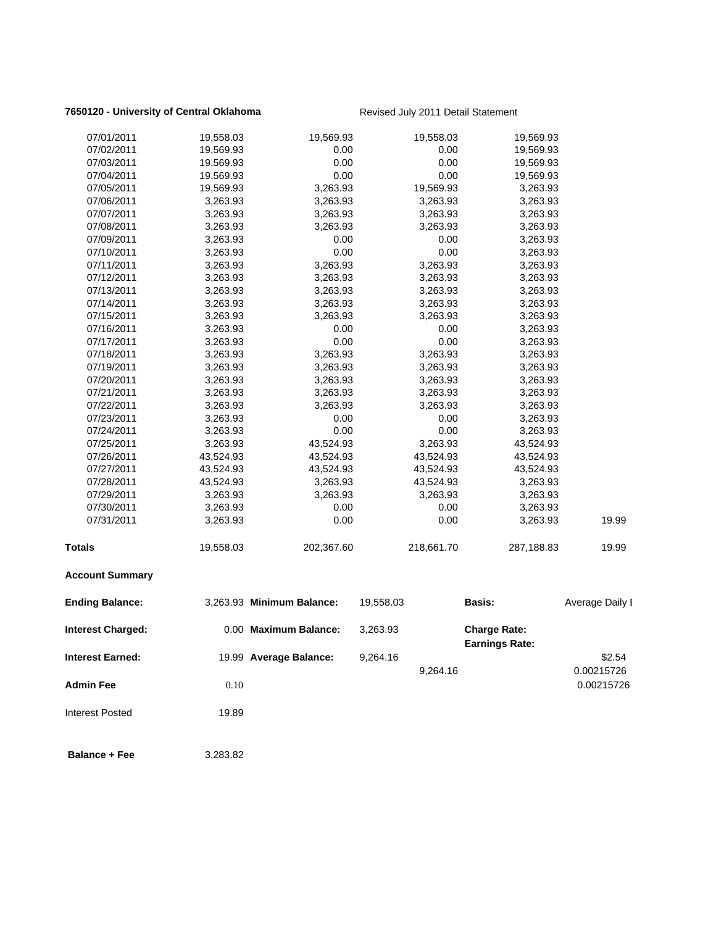## **7650120 - University of Central Oklahoma** Revised July 2011 Detail Statement

| 07/01/2011              | 19,558.03 | 19,569.93                 |           | 19,558.03  | 19,569.93                                    |                      |
|-------------------------|-----------|---------------------------|-----------|------------|----------------------------------------------|----------------------|
| 07/02/2011              | 19,569.93 | 0.00                      |           | 0.00       | 19,569.93                                    |                      |
| 07/03/2011              | 19,569.93 | 0.00                      |           | 0.00       | 19,569.93                                    |                      |
| 07/04/2011              | 19,569.93 | 0.00                      |           | 0.00       | 19,569.93                                    |                      |
| 07/05/2011              | 19,569.93 | 3,263.93                  |           | 19,569.93  | 3,263.93                                     |                      |
| 07/06/2011              | 3,263.93  | 3,263.93                  |           | 3,263.93   | 3,263.93                                     |                      |
| 07/07/2011              | 3,263.93  | 3,263.93                  |           | 3,263.93   | 3,263.93                                     |                      |
| 07/08/2011              | 3,263.93  | 3,263.93                  |           | 3,263.93   | 3,263.93                                     |                      |
| 07/09/2011              | 3,263.93  | 0.00                      |           | 0.00       | 3,263.93                                     |                      |
| 07/10/2011              | 3,263.93  | 0.00                      |           | 0.00       | 3,263.93                                     |                      |
| 07/11/2011              | 3,263.93  | 3,263.93                  |           | 3,263.93   | 3,263.93                                     |                      |
| 07/12/2011              | 3,263.93  | 3,263.93                  |           | 3,263.93   | 3,263.93                                     |                      |
| 07/13/2011              | 3,263.93  | 3,263.93                  |           | 3,263.93   | 3,263.93                                     |                      |
| 07/14/2011              | 3,263.93  | 3,263.93                  |           | 3,263.93   | 3,263.93                                     |                      |
| 07/15/2011              | 3,263.93  | 3,263.93                  |           | 3,263.93   | 3,263.93                                     |                      |
| 07/16/2011              | 3,263.93  | 0.00                      |           | 0.00       | 3,263.93                                     |                      |
| 07/17/2011              | 3,263.93  | 0.00                      |           | 0.00       | 3,263.93                                     |                      |
| 07/18/2011              | 3,263.93  | 3,263.93                  |           | 3,263.93   | 3,263.93                                     |                      |
| 07/19/2011              | 3,263.93  | 3,263.93                  |           | 3,263.93   | 3,263.93                                     |                      |
| 07/20/2011              | 3,263.93  | 3,263.93                  |           | 3,263.93   | 3,263.93                                     |                      |
| 07/21/2011              | 3,263.93  | 3,263.93                  |           | 3,263.93   | 3,263.93                                     |                      |
| 07/22/2011              | 3,263.93  | 3,263.93                  |           | 3,263.93   | 3,263.93                                     |                      |
| 07/23/2011              | 3,263.93  | 0.00                      |           | 0.00       | 3,263.93                                     |                      |
| 07/24/2011              | 3,263.93  | 0.00                      |           | 0.00       | 3,263.93                                     |                      |
| 07/25/2011              | 3,263.93  | 43,524.93                 |           | 3,263.93   | 43,524.93                                    |                      |
| 07/26/2011              | 43,524.93 | 43,524.93                 |           | 43,524.93  | 43,524.93                                    |                      |
| 07/27/2011              | 43,524.93 | 43,524.93                 |           | 43,524.93  | 43,524.93                                    |                      |
| 07/28/2011              | 43,524.93 | 3,263.93                  |           | 43,524.93  | 3,263.93                                     |                      |
| 07/29/2011              | 3,263.93  | 3,263.93                  |           | 3,263.93   | 3,263.93                                     |                      |
| 07/30/2011              | 3,263.93  | 0.00                      |           | 0.00       | 3,263.93                                     |                      |
| 07/31/2011              | 3,263.93  | 0.00                      |           | 0.00       | 3,263.93                                     | 19.99                |
| <b>Totals</b>           | 19,558.03 | 202,367.60                |           | 218,661.70 | 287,188.83                                   | 19.99                |
| <b>Account Summary</b>  |           |                           |           |            |                                              |                      |
| <b>Ending Balance:</b>  |           | 3,263.93 Minimum Balance: | 19,558.03 |            | <b>Basis:</b>                                | Average Daily I      |
| Interest Charged:       |           | 0.00 Maximum Balance:     | 3,263.93  |            | <b>Charge Rate:</b><br><b>Earnings Rate:</b> |                      |
| <b>Interest Earned:</b> |           | 19.99 Average Balance:    | 9,264.16  | 9,264.16   |                                              | \$2.54<br>0.00215726 |
| <b>Admin Fee</b>        | 0.10      |                           |           |            |                                              | 0.00215726           |
| <b>Interest Posted</b>  | 19.89     |                           |           |            |                                              |                      |
| <b>Balance + Fee</b>    | 3,283.82  |                           |           |            |                                              |                      |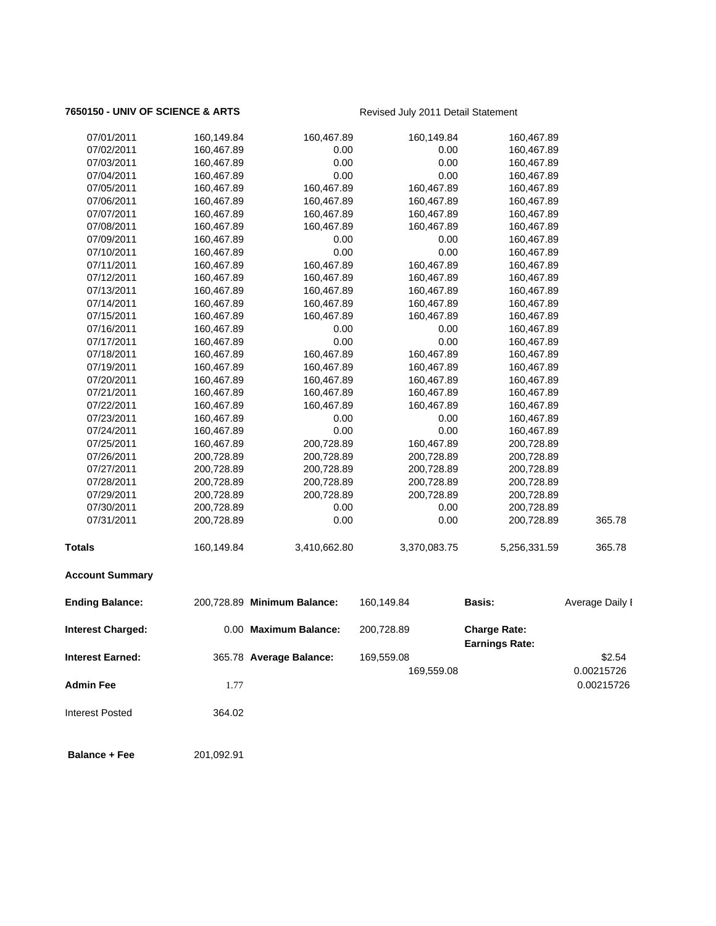## **7650150 - UNIV OF SCIENCE & ARTS** Revised July 2011 Detail Statement

| <b>Interest Earned:</b>  |            | 365.78 Average Balance:     | 169,559.08<br>169,559.08 |                       | \$2.54<br>0.00215726 |
|--------------------------|------------|-----------------------------|--------------------------|-----------------------|----------------------|
|                          |            |                             |                          | <b>Earnings Rate:</b> |                      |
| <b>Interest Charged:</b> |            | 0.00 Maximum Balance:       | 200,728.89               | <b>Charge Rate:</b>   |                      |
| <b>Ending Balance:</b>   |            | 200,728.89 Minimum Balance: | 160,149.84               | <b>Basis:</b>         | Average Daily I      |
| <b>Account Summary</b>   |            |                             |                          |                       |                      |
| <b>Totals</b>            | 160,149.84 | 3,410,662.80                | 3,370,083.75             | 5,256,331.59          | 365.78               |
| 07/31/2011               | 200,728.89 | 0.00                        | 0.00                     | 200,728.89            | 365.78               |
| 07/30/2011               | 200,728.89 | 0.00                        | 0.00                     | 200,728.89            |                      |
| 07/29/2011               | 200,728.89 | 200,728.89                  | 200,728.89               | 200,728.89            |                      |
| 07/28/2011               | 200,728.89 | 200,728.89                  | 200,728.89               | 200,728.89            |                      |
| 07/27/2011               | 200,728.89 | 200,728.89                  | 200,728.89               | 200,728.89            |                      |
| 07/26/2011               | 200,728.89 | 200,728.89                  | 200,728.89               | 200,728.89            |                      |
| 07/25/2011               | 160,467.89 | 200,728.89                  | 160,467.89               | 200,728.89            |                      |
| 07/24/2011               | 160,467.89 | 0.00                        | 0.00                     | 160,467.89            |                      |
| 07/23/2011               | 160,467.89 | 0.00                        | 0.00                     | 160,467.89            |                      |
| 07/22/2011               | 160,467.89 | 160,467.89                  | 160,467.89               | 160,467.89            |                      |
| 07/21/2011               | 160,467.89 | 160,467.89                  | 160,467.89               | 160,467.89            |                      |
| 07/20/2011               | 160,467.89 | 160,467.89                  | 160,467.89               | 160,467.89            |                      |
| 07/19/2011               | 160,467.89 | 160,467.89                  | 160,467.89               | 160,467.89            |                      |
| 07/18/2011               | 160,467.89 | 160,467.89                  | 160,467.89               | 160,467.89            |                      |
| 07/17/2011               | 160,467.89 | 0.00                        | 0.00                     | 160,467.89            |                      |
| 07/16/2011               | 160,467.89 | 0.00                        | 0.00                     | 160,467.89            |                      |
| 07/15/2011               | 160,467.89 | 160,467.89                  | 160,467.89               | 160,467.89            |                      |
| 07/14/2011               | 160,467.89 | 160,467.89                  | 160,467.89               | 160,467.89            |                      |
| 07/13/2011               | 160,467.89 | 160,467.89                  | 160,467.89               | 160,467.89            |                      |
| 07/12/2011               | 160,467.89 | 160,467.89                  | 160,467.89               | 160,467.89            |                      |
| 07/11/2011               | 160,467.89 | 160,467.89                  | 160,467.89               | 160,467.89            |                      |
| 07/10/2011               | 160,467.89 | 0.00                        | 0.00                     | 160,467.89            |                      |
| 07/09/2011               | 160,467.89 | 0.00                        | 0.00                     | 160,467.89            |                      |
| 07/08/2011               | 160,467.89 | 160,467.89                  | 160,467.89               | 160,467.89            |                      |
| 07/07/2011               | 160,467.89 | 160,467.89                  | 160,467.89               | 160,467.89            |                      |
| 07/06/2011               | 160,467.89 | 160,467.89                  | 160,467.89               | 160,467.89            |                      |
| 07/05/2011               | 160,467.89 | 160,467.89                  | 160,467.89               | 160,467.89            |                      |
| 07/04/2011               | 160,467.89 | 0.00                        | 0.00                     | 160,467.89            |                      |
| 07/03/2011               | 160,467.89 | 0.00                        | 0.00                     | 160,467.89            |                      |
| 07/02/2011               | 160,467.89 | 0.00                        | 0.00                     | 160,467.89            |                      |
| 07/01/2011               | 160,149.84 | 160,467.89                  | 160,149.84               | 160,467.89            |                      |
|                          |            |                             |                          |                       |                      |

**Admin Fee** 1.77 0.00215726

 **Balance + Fee** 201,092.91

Interest Posted 364.02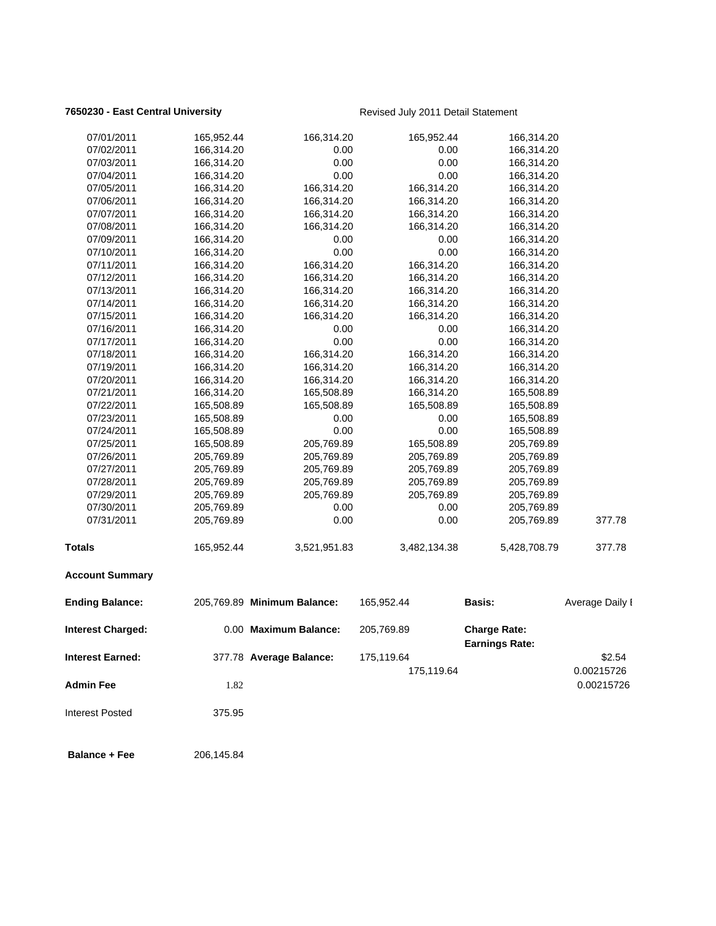## **7650230 - East Central University Revised July 2011 Detail Statement**

| 07/01/2011               | 165,952.44 | 166,314.20                  | 165,952.44   | 166,314.20                                   |                          |
|--------------------------|------------|-----------------------------|--------------|----------------------------------------------|--------------------------|
| 07/02/2011               | 166,314.20 | 0.00                        | 0.00         | 166,314.20                                   |                          |
| 07/03/2011               | 166,314.20 | 0.00                        | 0.00         | 166,314.20                                   |                          |
| 07/04/2011               | 166,314.20 | 0.00                        | 0.00         | 166,314.20                                   |                          |
| 07/05/2011               | 166,314.20 | 166,314.20                  | 166,314.20   | 166,314.20                                   |                          |
| 07/06/2011               | 166,314.20 | 166,314.20                  | 166,314.20   | 166,314.20                                   |                          |
| 07/07/2011               | 166,314.20 | 166,314.20                  | 166,314.20   | 166,314.20                                   |                          |
| 07/08/2011               | 166,314.20 | 166,314.20                  | 166,314.20   | 166,314.20                                   |                          |
| 07/09/2011               | 166,314.20 | 0.00                        | 0.00         | 166,314.20                                   |                          |
| 07/10/2011               | 166,314.20 | 0.00                        | 0.00         | 166,314.20                                   |                          |
| 07/11/2011               | 166,314.20 | 166,314.20                  | 166,314.20   | 166,314.20                                   |                          |
| 07/12/2011               | 166,314.20 | 166,314.20                  | 166,314.20   | 166,314.20                                   |                          |
| 07/13/2011               | 166,314.20 | 166,314.20                  | 166,314.20   | 166,314.20                                   |                          |
| 07/14/2011               | 166,314.20 | 166,314.20                  | 166,314.20   | 166,314.20                                   |                          |
| 07/15/2011               | 166,314.20 | 166,314.20                  | 166,314.20   | 166,314.20                                   |                          |
| 07/16/2011               | 166,314.20 | 0.00                        | 0.00         | 166,314.20                                   |                          |
| 07/17/2011               | 166,314.20 | 0.00                        | 0.00         | 166,314.20                                   |                          |
| 07/18/2011               | 166,314.20 | 166,314.20                  | 166,314.20   | 166,314.20                                   |                          |
| 07/19/2011               | 166,314.20 | 166,314.20                  | 166,314.20   | 166,314.20                                   |                          |
| 07/20/2011               | 166,314.20 | 166,314.20                  | 166,314.20   | 166,314.20                                   |                          |
| 07/21/2011               | 166,314.20 | 165,508.89                  | 166,314.20   | 165,508.89                                   |                          |
| 07/22/2011               | 165,508.89 | 165,508.89                  | 165,508.89   | 165,508.89                                   |                          |
| 07/23/2011               | 165,508.89 | 0.00                        | 0.00         | 165,508.89                                   |                          |
| 07/24/2011               | 165,508.89 | 0.00                        | 0.00         | 165,508.89                                   |                          |
| 07/25/2011               | 165,508.89 | 205,769.89                  | 165,508.89   | 205,769.89                                   |                          |
| 07/26/2011               | 205,769.89 | 205,769.89                  | 205,769.89   | 205,769.89                                   |                          |
| 07/27/2011               | 205,769.89 | 205,769.89                  | 205,769.89   | 205,769.89                                   |                          |
| 07/28/2011               | 205,769.89 | 205,769.89                  | 205,769.89   | 205,769.89                                   |                          |
| 07/29/2011               | 205,769.89 | 205,769.89                  | 205,769.89   | 205,769.89                                   |                          |
| 07/30/2011               | 205,769.89 | 0.00                        | 0.00         | 205,769.89                                   |                          |
| 07/31/2011               | 205,769.89 | 0.00                        | 0.00         | 205,769.89                                   | 377.78                   |
| Totals                   | 165,952.44 | 3,521,951.83                | 3,482,134.38 | 5,428,708.79                                 | 377.78                   |
| <b>Account Summary</b>   |            |                             |              |                                              |                          |
| <b>Ending Balance:</b>   |            | 205,769.89 Minimum Balance: | 165,952.44   | <b>Basis:</b>                                | Average Daily I          |
| <b>Interest Charged:</b> |            | 0.00 Maximum Balance:       | 205,769.89   | <b>Charge Rate:</b><br><b>Earnings Rate:</b> |                          |
| Interest Earned:         |            | 377.78 Average Balance:     | 175,119.64   |                                              | \$2.54                   |
| <b>Admin Fee</b>         | 1.82       |                             | 175,119.64   |                                              | 0.00215726<br>0.00215726 |
| <b>Interest Posted</b>   | 375.95     |                             |              |                                              |                          |
| <b>Balance + Fee</b>     | 206,145.84 |                             |              |                                              |                          |
|                          |            |                             |              |                                              |                          |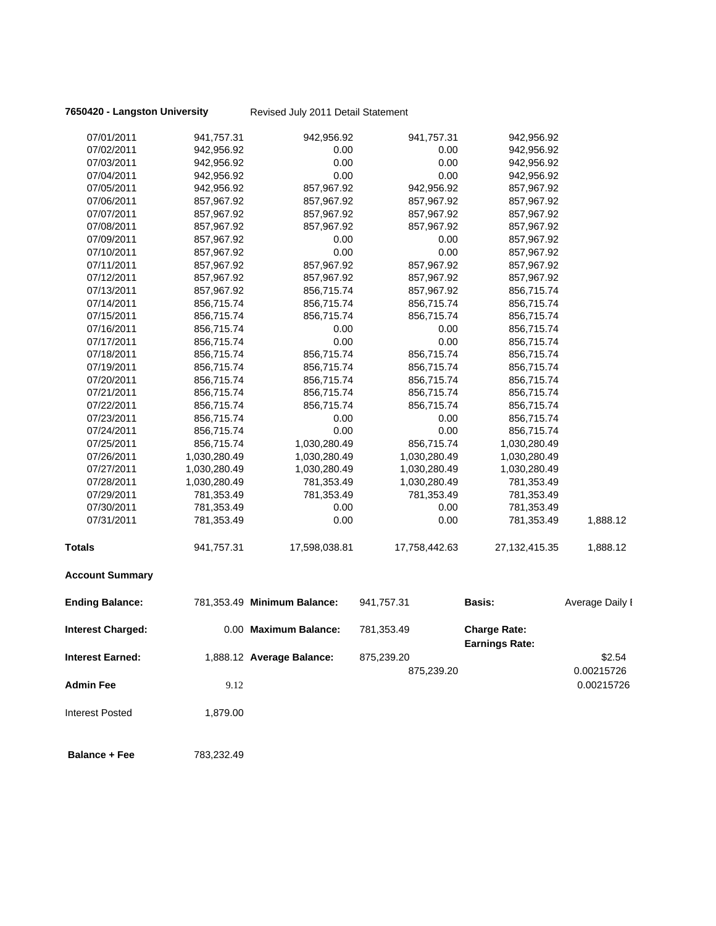**7650420 - Langston University** Revised July 2011 Detail Statement

| 07/01/2011               | 941,757.31   | 942,956.92                  | 941,757.31    | 942,956.92                                   |                 |
|--------------------------|--------------|-----------------------------|---------------|----------------------------------------------|-----------------|
| 07/02/2011               | 942,956.92   | 0.00                        | 0.00          | 942,956.92                                   |                 |
| 07/03/2011               | 942,956.92   | 0.00                        | 0.00          | 942,956.92                                   |                 |
| 07/04/2011               | 942,956.92   | 0.00                        | 0.00          | 942,956.92                                   |                 |
| 07/05/2011               | 942,956.92   | 857,967.92                  | 942,956.92    | 857,967.92                                   |                 |
| 07/06/2011               | 857,967.92   | 857,967.92                  | 857,967.92    | 857,967.92                                   |                 |
| 07/07/2011               | 857,967.92   | 857,967.92                  | 857,967.92    | 857,967.92                                   |                 |
| 07/08/2011               | 857,967.92   | 857,967.92                  | 857,967.92    | 857,967.92                                   |                 |
| 07/09/2011               | 857,967.92   | 0.00                        | 0.00          | 857,967.92                                   |                 |
| 07/10/2011               | 857,967.92   | 0.00                        | 0.00          | 857,967.92                                   |                 |
| 07/11/2011               | 857,967.92   | 857,967.92                  | 857,967.92    | 857,967.92                                   |                 |
| 07/12/2011               | 857,967.92   | 857,967.92                  | 857,967.92    | 857,967.92                                   |                 |
| 07/13/2011               | 857,967.92   | 856,715.74                  | 857,967.92    | 856,715.74                                   |                 |
| 07/14/2011               | 856,715.74   | 856,715.74                  | 856,715.74    | 856,715.74                                   |                 |
| 07/15/2011               | 856,715.74   | 856,715.74                  | 856,715.74    | 856,715.74                                   |                 |
| 07/16/2011               | 856,715.74   | 0.00                        | 0.00          | 856,715.74                                   |                 |
| 07/17/2011               | 856,715.74   | 0.00                        | 0.00          | 856,715.74                                   |                 |
| 07/18/2011               | 856,715.74   | 856,715.74                  | 856,715.74    | 856,715.74                                   |                 |
| 07/19/2011               | 856,715.74   | 856,715.74                  | 856,715.74    | 856,715.74                                   |                 |
| 07/20/2011               | 856,715.74   | 856,715.74                  | 856,715.74    | 856,715.74                                   |                 |
| 07/21/2011               | 856,715.74   | 856,715.74                  | 856,715.74    | 856,715.74                                   |                 |
| 07/22/2011               | 856,715.74   | 856,715.74                  | 856,715.74    | 856,715.74                                   |                 |
| 07/23/2011               | 856,715.74   | 0.00                        | 0.00          | 856,715.74                                   |                 |
| 07/24/2011               | 856,715.74   | 0.00                        | 0.00          | 856,715.74                                   |                 |
| 07/25/2011               | 856,715.74   | 1,030,280.49                | 856,715.74    | 1,030,280.49                                 |                 |
| 07/26/2011               | 1,030,280.49 | 1,030,280.49                | 1,030,280.49  | 1,030,280.49                                 |                 |
| 07/27/2011               | 1,030,280.49 | 1,030,280.49                | 1,030,280.49  | 1,030,280.49                                 |                 |
| 07/28/2011               | 1,030,280.49 | 781,353.49                  | 1,030,280.49  | 781,353.49                                   |                 |
| 07/29/2011               | 781,353.49   | 781,353.49                  | 781,353.49    | 781,353.49                                   |                 |
| 07/30/2011               | 781,353.49   | 0.00                        | 0.00          | 781,353.49                                   |                 |
| 07/31/2011               | 781,353.49   | 0.00                        | 0.00          | 781,353.49                                   | 1,888.12        |
| <b>Totals</b>            | 941,757.31   | 17,598,038.81               | 17,758,442.63 | 27, 132, 415. 35                             | 1,888.12        |
| <b>Account Summary</b>   |              |                             |               |                                              |                 |
| <b>Ending Balance:</b>   |              | 781,353.49 Minimum Balance: | 941,757.31    | <b>Basis:</b>                                | Average Daily I |
| <b>Interest Charged:</b> |              | 0.00 Maximum Balance:       | 781,353.49    | <b>Charge Rate:</b><br><b>Earnings Rate:</b> |                 |
| <b>Interest Earned:</b>  |              | 1,888.12 Average Balance:   | 875,239.20    |                                              | \$2.54          |
|                          |              |                             | 875,239.20    |                                              | 0.00215726      |
| <b>Admin Fee</b>         | 9.12         |                             |               |                                              | 0.00215726      |
| <b>Interest Posted</b>   | 1,879.00     |                             |               |                                              |                 |
| <b>Balance + Fee</b>     | 783,232.49   |                             |               |                                              |                 |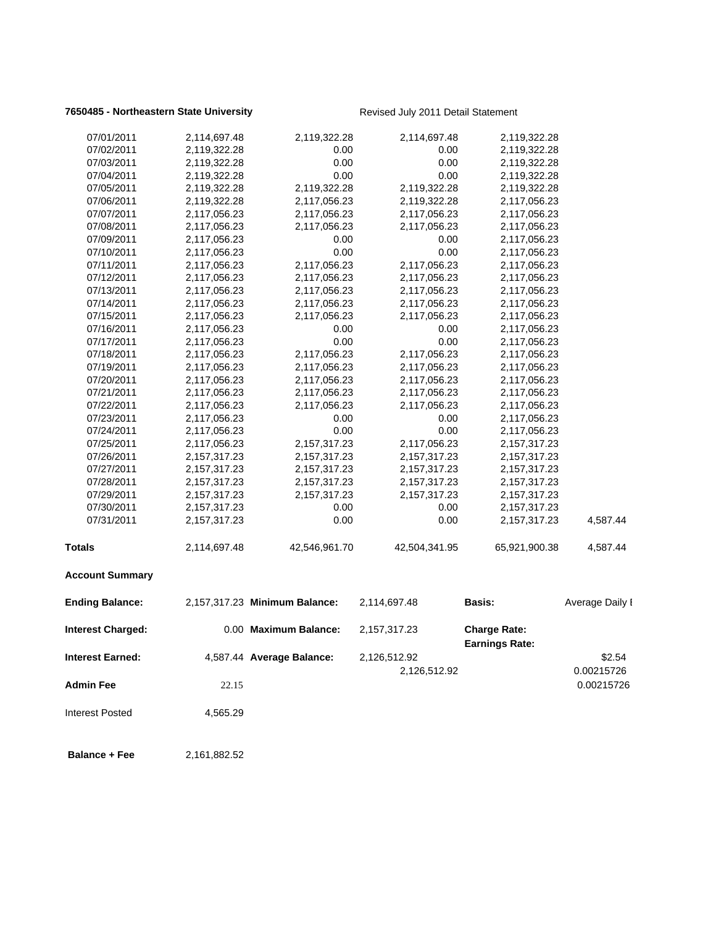## **7650485 - Northeastern State University** Revised July 2011 Detail Statement

| 07/01/2011               | 2,114,697.48    | 2,119,322.28                  | 2,114,697.48    | 2,119,322.28                                 |                 |
|--------------------------|-----------------|-------------------------------|-----------------|----------------------------------------------|-----------------|
| 07/02/2011               | 2,119,322.28    | 0.00                          | 0.00            | 2,119,322.28                                 |                 |
| 07/03/2011               | 2,119,322.28    | 0.00                          | 0.00            | 2,119,322.28                                 |                 |
| 07/04/2011               | 2,119,322.28    | 0.00                          | 0.00            | 2,119,322.28                                 |                 |
| 07/05/2011               | 2,119,322.28    | 2,119,322.28                  | 2,119,322.28    | 2,119,322.28                                 |                 |
| 07/06/2011               | 2,119,322.28    | 2,117,056.23                  | 2,119,322.28    | 2,117,056.23                                 |                 |
| 07/07/2011               | 2,117,056.23    | 2,117,056.23                  | 2,117,056.23    | 2,117,056.23                                 |                 |
| 07/08/2011               | 2,117,056.23    | 2,117,056.23                  | 2,117,056.23    | 2,117,056.23                                 |                 |
| 07/09/2011               | 2,117,056.23    | 0.00                          | 0.00            | 2,117,056.23                                 |                 |
| 07/10/2011               | 2,117,056.23    | 0.00                          | 0.00            | 2,117,056.23                                 |                 |
| 07/11/2011               | 2,117,056.23    | 2,117,056.23                  | 2,117,056.23    | 2,117,056.23                                 |                 |
| 07/12/2011               | 2,117,056.23    | 2,117,056.23                  | 2,117,056.23    | 2,117,056.23                                 |                 |
| 07/13/2011               | 2,117,056.23    | 2,117,056.23                  | 2,117,056.23    | 2,117,056.23                                 |                 |
| 07/14/2011               | 2,117,056.23    | 2,117,056.23                  | 2,117,056.23    | 2,117,056.23                                 |                 |
| 07/15/2011               | 2,117,056.23    | 2,117,056.23                  | 2,117,056.23    | 2,117,056.23                                 |                 |
| 07/16/2011               | 2,117,056.23    | 0.00                          | 0.00            | 2,117,056.23                                 |                 |
| 07/17/2011               | 2,117,056.23    | 0.00                          | 0.00            | 2,117,056.23                                 |                 |
| 07/18/2011               | 2,117,056.23    | 2,117,056.23                  | 2,117,056.23    | 2,117,056.23                                 |                 |
| 07/19/2011               | 2,117,056.23    | 2,117,056.23                  | 2,117,056.23    | 2,117,056.23                                 |                 |
| 07/20/2011               | 2,117,056.23    | 2,117,056.23                  | 2,117,056.23    | 2,117,056.23                                 |                 |
| 07/21/2011               | 2,117,056.23    | 2,117,056.23                  | 2,117,056.23    | 2,117,056.23                                 |                 |
| 07/22/2011               | 2,117,056.23    | 2,117,056.23                  | 2,117,056.23    | 2,117,056.23                                 |                 |
| 07/23/2011               | 2,117,056.23    | 0.00                          | 0.00            | 2,117,056.23                                 |                 |
| 07/24/2011               | 2,117,056.23    | 0.00                          | 0.00            | 2,117,056.23                                 |                 |
| 07/25/2011               | 2,117,056.23    | 2,157,317.23                  | 2,117,056.23    | 2,157,317.23                                 |                 |
| 07/26/2011               | 2,157,317.23    | 2,157,317.23                  | 2,157,317.23    | 2,157,317.23                                 |                 |
| 07/27/2011               | 2, 157, 317. 23 | 2,157,317.23                  | 2, 157, 317. 23 | 2,157,317.23                                 |                 |
| 07/28/2011               | 2, 157, 317. 23 | 2,157,317.23                  | 2,157,317.23    | 2,157,317.23                                 |                 |
| 07/29/2011               | 2,157,317.23    | 2,157,317.23                  | 2,157,317.23    | 2,157,317.23                                 |                 |
| 07/30/2011               | 2, 157, 317. 23 | 0.00                          | 0.00            | 2,157,317.23                                 |                 |
| 07/31/2011               | 2, 157, 317. 23 | 0.00                          | 0.00            | 2,157,317.23                                 | 4,587.44        |
| <b>Totals</b>            | 2,114,697.48    | 42,546,961.70                 | 42,504,341.95   | 65,921,900.38                                | 4,587.44        |
| <b>Account Summary</b>   |                 |                               |                 |                                              |                 |
| <b>Ending Balance:</b>   |                 | 2,157,317.23 Minimum Balance: | 2,114,697.48    | <b>Basis:</b>                                | Average Daily I |
| <b>Interest Charged:</b> |                 | 0.00 Maximum Balance:         | 2,157,317.23    | <b>Charge Rate:</b><br><b>Earnings Rate:</b> |                 |
| Interest Earned:         |                 | 4,587.44 Average Balance:     | 2,126,512.92    |                                              | \$2.54          |
|                          |                 |                               | 2,126,512.92    |                                              | 0.00215726      |
| Admin Fee                | 22.15           |                               |                 |                                              | 0.00215726      |
| <b>Interest Posted</b>   | 4,565.29        |                               |                 |                                              |                 |
| <b>Balance + Fee</b>     | 2,161,882.52    |                               |                 |                                              |                 |
|                          |                 |                               |                 |                                              |                 |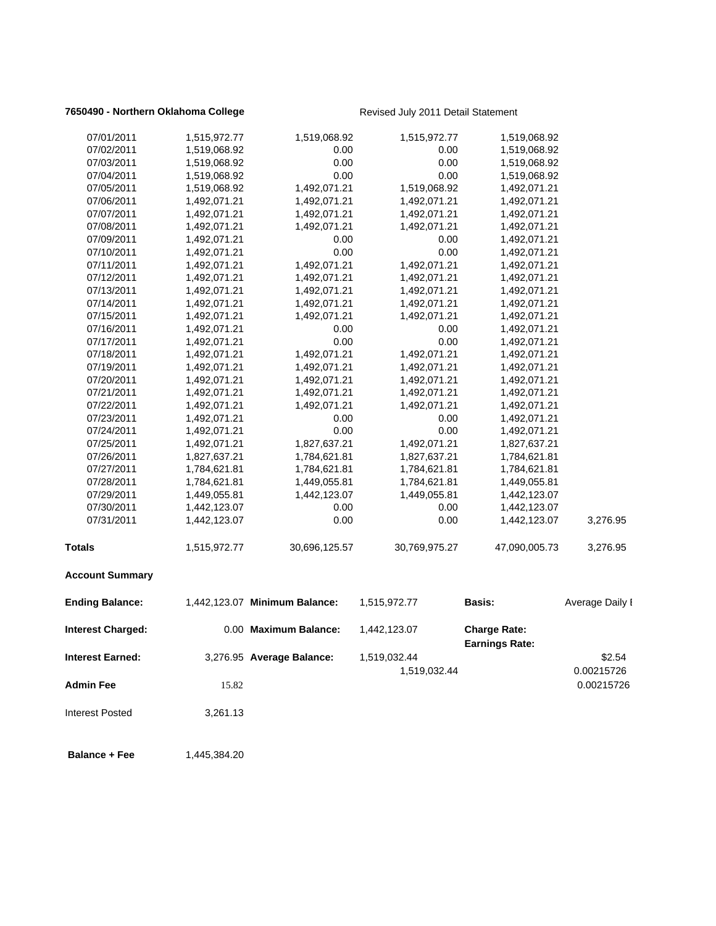## **7650490 - Northern Oklahoma College** Revised July 2011 Detail Statement

| <b>Admin Fee</b><br><b>Interest Posted</b> | 15.82<br>3,261.13 |                               |                              |                                              | 0.00215726           |
|--------------------------------------------|-------------------|-------------------------------|------------------------------|----------------------------------------------|----------------------|
| <b>Interest Earned:</b>                    |                   | 3,276.95 Average Balance:     | 1,519,032.44<br>1,519,032.44 |                                              | \$2.54<br>0.00215726 |
| <b>Interest Charged:</b>                   |                   | 0.00 Maximum Balance:         | 1,442,123.07                 | <b>Charge Rate:</b><br><b>Earnings Rate:</b> |                      |
| <b>Ending Balance:</b>                     |                   | 1,442,123.07 Minimum Balance: | 1,515,972.77                 | <b>Basis:</b>                                | Average Daily I      |
| <b>Account Summary</b>                     |                   |                               |                              |                                              |                      |
| Totals                                     | 1,515,972.77      | 30,696,125.57                 | 30,769,975.27                | 47,090,005.73                                | 3,276.95             |
| 07/31/2011                                 | 1,442,123.07      | 0.00                          | 0.00                         | 1,442,123.07                                 | 3,276.95             |
| 07/30/2011                                 | 1,442,123.07      | 0.00                          | 0.00                         | 1,442,123.07                                 |                      |
| 07/29/2011                                 | 1,449,055.81      | 1,442,123.07                  | 1,449,055.81                 | 1,442,123.07                                 |                      |
| 07/28/2011                                 | 1,784,621.81      | 1,449,055.81                  | 1,784,621.81                 | 1,449,055.81                                 |                      |
| 07/27/2011                                 | 1,784,621.81      | 1,784,621.81                  | 1,784,621.81                 | 1,784,621.81                                 |                      |
| 07/26/2011                                 | 1,827,637.21      | 1,784,621.81                  | 1,827,637.21                 | 1,784,621.81                                 |                      |
| 07/25/2011                                 | 1,492,071.21      | 1,827,637.21                  | 1,492,071.21                 | 1,827,637.21                                 |                      |
| 07/24/2011                                 | 1,492,071.21      | 0.00                          | 0.00                         | 1,492,071.21                                 |                      |
| 07/23/2011                                 | 1,492,071.21      | 0.00                          | 0.00                         | 1,492,071.21                                 |                      |
| 07/22/2011                                 | 1,492,071.21      | 1,492,071.21                  | 1,492,071.21                 | 1,492,071.21                                 |                      |
| 07/21/2011                                 | 1,492,071.21      | 1,492,071.21                  | 1,492,071.21                 | 1,492,071.21                                 |                      |
| 07/20/2011                                 | 1,492,071.21      | 1,492,071.21                  | 1,492,071.21                 | 1,492,071.21                                 |                      |
| 07/19/2011                                 | 1,492,071.21      | 1,492,071.21                  | 1,492,071.21                 | 1,492,071.21                                 |                      |
| 07/18/2011                                 | 1,492,071.21      | 1,492,071.21                  | 1,492,071.21                 | 1,492,071.21                                 |                      |
| 07/17/2011                                 | 1,492,071.21      | 0.00                          | 0.00                         | 1,492,071.21                                 |                      |
| 07/16/2011                                 | 1,492,071.21      | 0.00                          | 0.00                         | 1,492,071.21                                 |                      |
| 07/15/2011                                 | 1,492,071.21      | 1,492,071.21                  | 1,492,071.21                 | 1,492,071.21                                 |                      |
| 07/14/2011                                 | 1,492,071.21      | 1,492,071.21                  | 1,492,071.21                 | 1,492,071.21                                 |                      |
| 07/13/2011                                 | 1,492,071.21      | 1,492,071.21                  | 1,492,071.21                 | 1,492,071.21                                 |                      |
| 07/12/2011                                 | 1,492,071.21      | 1,492,071.21                  | 1,492,071.21                 | 1,492,071.21                                 |                      |
| 07/11/2011                                 | 1,492,071.21      | 1,492,071.21                  | 1,492,071.21                 | 1,492,071.21                                 |                      |
| 07/10/2011                                 | 1,492,071.21      | 0.00                          | 0.00                         | 1,492,071.21                                 |                      |
| 07/09/2011                                 | 1,492,071.21      | 0.00                          | 0.00                         | 1,492,071.21                                 |                      |
| 07/08/2011                                 | 1,492,071.21      | 1,492,071.21                  | 1,492,071.21                 | 1,492,071.21                                 |                      |
| 07/07/2011                                 | 1,492,071.21      | 1,492,071.21                  | 1,492,071.21                 | 1,492,071.21                                 |                      |
| 07/06/2011                                 | 1,492,071.21      | 1,492,071.21                  | 1,492,071.21                 | 1,492,071.21                                 |                      |
| 07/05/2011                                 | 1,519,068.92      | 1,492,071.21                  | 1,519,068.92                 | 1,492,071.21                                 |                      |
| 07/04/2011                                 | 1,519,068.92      | 0.00                          | 0.00                         | 1,519,068.92                                 |                      |
| 07/03/2011                                 | 1,519,068.92      | 0.00                          | 0.00                         | 1,519,068.92                                 |                      |
| 07/02/2011                                 | 1,519,068.92      | 0.00                          | 0.00                         | 1,519,068.92                                 |                      |
| 07/01/2011                                 | 1,515,972.77      | 1,519,068.92                  | 1,515,972.77                 | 1,519,068.92                                 |                      |
|                                            |                   |                               |                              |                                              |                      |

**Balance + Fee** 1,445,384.20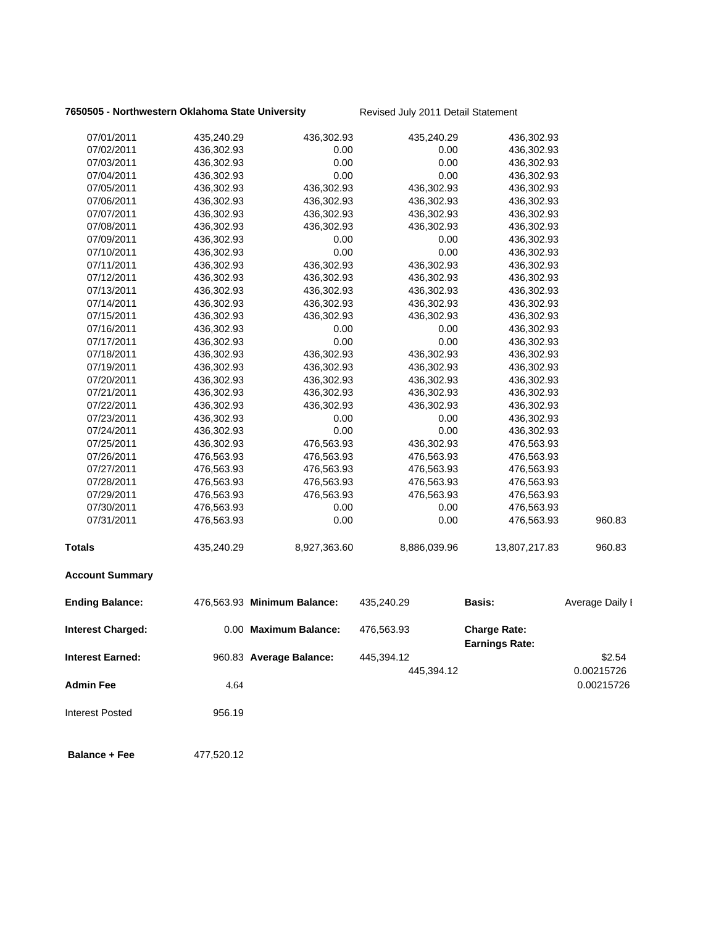## **7650505 - Northwestern Oklahoma State University Revised July 2011 Detail Statement**

| 07/01/2011              | 435,240.29 | 436,302.93                  | 435,240.29   | 436,302.93                                   |                 |
|-------------------------|------------|-----------------------------|--------------|----------------------------------------------|-----------------|
| 07/02/2011              | 436,302.93 | 0.00                        | 0.00         | 436,302.93                                   |                 |
| 07/03/2011              | 436,302.93 | 0.00                        | 0.00         | 436,302.93                                   |                 |
| 07/04/2011              | 436,302.93 | 0.00                        | 0.00         | 436,302.93                                   |                 |
| 07/05/2011              | 436,302.93 | 436,302.93                  | 436,302.93   | 436,302.93                                   |                 |
| 07/06/2011              | 436,302.93 | 436,302.93                  | 436,302.93   | 436,302.93                                   |                 |
| 07/07/2011              | 436,302.93 | 436,302.93                  | 436,302.93   | 436,302.93                                   |                 |
| 07/08/2011              | 436,302.93 | 436,302.93                  | 436,302.93   | 436,302.93                                   |                 |
| 07/09/2011              | 436,302.93 | 0.00                        | 0.00         | 436,302.93                                   |                 |
| 07/10/2011              | 436,302.93 | 0.00                        | 0.00         | 436,302.93                                   |                 |
| 07/11/2011              | 436,302.93 | 436,302.93                  | 436,302.93   | 436,302.93                                   |                 |
| 07/12/2011              | 436,302.93 | 436,302.93                  | 436,302.93   | 436,302.93                                   |                 |
| 07/13/2011              | 436,302.93 | 436,302.93                  | 436,302.93   | 436,302.93                                   |                 |
| 07/14/2011              | 436,302.93 | 436,302.93                  | 436,302.93   | 436,302.93                                   |                 |
| 07/15/2011              | 436,302.93 | 436,302.93                  | 436,302.93   | 436,302.93                                   |                 |
| 07/16/2011              | 436,302.93 | 0.00                        | 0.00         | 436,302.93                                   |                 |
| 07/17/2011              | 436,302.93 | 0.00                        | 0.00         | 436,302.93                                   |                 |
| 07/18/2011              | 436,302.93 | 436,302.93                  | 436,302.93   | 436,302.93                                   |                 |
| 07/19/2011              | 436,302.93 | 436,302.93                  | 436,302.93   | 436,302.93                                   |                 |
| 07/20/2011              | 436,302.93 | 436,302.93                  | 436,302.93   | 436,302.93                                   |                 |
| 07/21/2011              | 436,302.93 | 436,302.93                  | 436,302.93   | 436,302.93                                   |                 |
| 07/22/2011              | 436,302.93 | 436,302.93                  | 436,302.93   | 436,302.93                                   |                 |
| 07/23/2011              | 436,302.93 | 0.00                        | 0.00         | 436,302.93                                   |                 |
| 07/24/2011              | 436,302.93 | 0.00                        | 0.00         | 436,302.93                                   |                 |
| 07/25/2011              | 436,302.93 | 476,563.93                  | 436,302.93   | 476,563.93                                   |                 |
| 07/26/2011              | 476,563.93 | 476,563.93                  | 476,563.93   | 476,563.93                                   |                 |
| 07/27/2011              | 476,563.93 | 476,563.93                  | 476,563.93   | 476,563.93                                   |                 |
| 07/28/2011              | 476,563.93 | 476,563.93                  | 476,563.93   | 476,563.93                                   |                 |
| 07/29/2011              | 476,563.93 | 476,563.93                  | 476,563.93   | 476,563.93                                   |                 |
| 07/30/2011              | 476,563.93 | 0.00                        | 0.00         | 476,563.93                                   |                 |
| 07/31/2011              | 476,563.93 | 0.00                        | 0.00         | 476,563.93                                   | 960.83          |
| Totals                  | 435,240.29 | 8,927,363.60                | 8,886,039.96 | 13,807,217.83                                | 960.83          |
| <b>Account Summary</b>  |            |                             |              |                                              |                 |
| <b>Ending Balance:</b>  |            | 476,563.93 Minimum Balance: | 435,240.29   | <b>Basis:</b>                                | Average Daily I |
| Interest Charged:       |            | 0.00 Maximum Balance:       | 476,563.93   | <b>Charge Rate:</b><br><b>Earnings Rate:</b> |                 |
| <b>Interest Earned:</b> |            | 960.83 Average Balance:     | 445,394.12   |                                              | \$2.54          |
|                         |            |                             | 445,394.12   |                                              | 0.00215726      |
| <b>Admin Fee</b>        | 4.64       |                             |              |                                              | 0.00215726      |
| <b>Interest Posted</b>  | 956.19     |                             |              |                                              |                 |
| <b>Balance + Fee</b>    | 477,520.12 |                             |              |                                              |                 |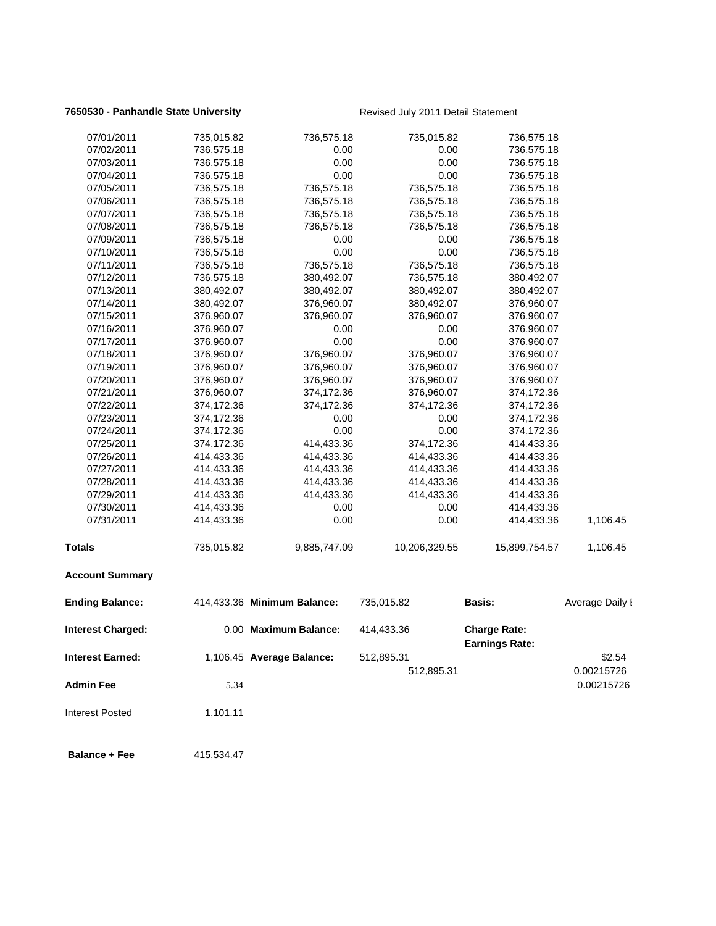## **7650530 - Panhandle State University Revised July 2011 Detail Statement**

| 07/01/2011              | 735,015.82 | 736,575.18                  | 735,015.82    | 736,575.18                                   |                 |
|-------------------------|------------|-----------------------------|---------------|----------------------------------------------|-----------------|
| 07/02/2011              | 736,575.18 | 0.00                        | 0.00          | 736,575.18                                   |                 |
| 07/03/2011              | 736,575.18 | 0.00                        | 0.00          | 736,575.18                                   |                 |
| 07/04/2011              | 736,575.18 | 0.00                        | 0.00          | 736,575.18                                   |                 |
| 07/05/2011              | 736,575.18 | 736,575.18                  | 736,575.18    | 736,575.18                                   |                 |
| 07/06/2011              | 736,575.18 | 736,575.18                  | 736,575.18    | 736,575.18                                   |                 |
| 07/07/2011              | 736,575.18 | 736,575.18                  | 736,575.18    | 736,575.18                                   |                 |
| 07/08/2011              | 736,575.18 | 736,575.18                  | 736,575.18    | 736,575.18                                   |                 |
| 07/09/2011              | 736,575.18 | 0.00                        | 0.00          | 736,575.18                                   |                 |
| 07/10/2011              | 736,575.18 | 0.00                        | 0.00          | 736,575.18                                   |                 |
| 07/11/2011              | 736,575.18 | 736,575.18                  | 736,575.18    | 736,575.18                                   |                 |
| 07/12/2011              | 736,575.18 | 380,492.07                  | 736,575.18    | 380,492.07                                   |                 |
| 07/13/2011              | 380,492.07 | 380,492.07                  | 380,492.07    | 380,492.07                                   |                 |
| 07/14/2011              | 380,492.07 | 376,960.07                  | 380,492.07    | 376,960.07                                   |                 |
| 07/15/2011              | 376,960.07 | 376,960.07                  | 376,960.07    | 376,960.07                                   |                 |
| 07/16/2011              | 376,960.07 | 0.00                        | 0.00          | 376,960.07                                   |                 |
| 07/17/2011              | 376,960.07 | 0.00                        | 0.00          | 376,960.07                                   |                 |
| 07/18/2011              | 376,960.07 | 376,960.07                  | 376,960.07    | 376,960.07                                   |                 |
| 07/19/2011              | 376,960.07 | 376,960.07                  | 376,960.07    | 376,960.07                                   |                 |
| 07/20/2011              | 376,960.07 | 376,960.07                  | 376,960.07    | 376,960.07                                   |                 |
| 07/21/2011              | 376,960.07 | 374,172.36                  | 376,960.07    | 374,172.36                                   |                 |
| 07/22/2011              | 374,172.36 | 374,172.36                  | 374,172.36    | 374,172.36                                   |                 |
| 07/23/2011              | 374,172.36 | 0.00                        | 0.00          | 374,172.36                                   |                 |
| 07/24/2011              | 374,172.36 | 0.00                        | 0.00          | 374,172.36                                   |                 |
| 07/25/2011              | 374,172.36 | 414,433.36                  | 374,172.36    | 414,433.36                                   |                 |
| 07/26/2011              | 414,433.36 | 414,433.36                  | 414,433.36    | 414,433.36                                   |                 |
| 07/27/2011              | 414,433.36 | 414,433.36                  | 414,433.36    | 414,433.36                                   |                 |
| 07/28/2011              | 414,433.36 | 414,433.36                  | 414,433.36    | 414,433.36                                   |                 |
| 07/29/2011              | 414,433.36 | 414,433.36                  | 414,433.36    | 414,433.36                                   |                 |
| 07/30/2011              | 414,433.36 | 0.00                        | 0.00          | 414,433.36                                   |                 |
| 07/31/2011              | 414,433.36 | 0.00                        | 0.00          | 414,433.36                                   | 1,106.45        |
| <b>Totals</b>           | 735,015.82 | 9,885,747.09                | 10,206,329.55 | 15,899,754.57                                | 1,106.45        |
| <b>Account Summary</b>  |            |                             |               |                                              |                 |
| <b>Ending Balance:</b>  |            | 414,433.36 Minimum Balance: | 735,015.82    | <b>Basis:</b>                                | Average Daily I |
| Interest Charged:       |            | 0.00 Maximum Balance:       | 414,433.36    | <b>Charge Rate:</b><br><b>Earnings Rate:</b> |                 |
| <b>Interest Earned:</b> |            | 1,106.45 Average Balance:   | 512,895.31    |                                              | \$2.54          |
|                         |            |                             | 512,895.31    |                                              | 0.00215726      |
| <b>Admin Fee</b>        | 5.34       |                             |               |                                              | 0.00215726      |
| <b>Interest Posted</b>  | 1,101.11   |                             |               |                                              |                 |
|                         |            |                             |               |                                              |                 |
| <b>Balance + Fee</b>    | 415,534.47 |                             |               |                                              |                 |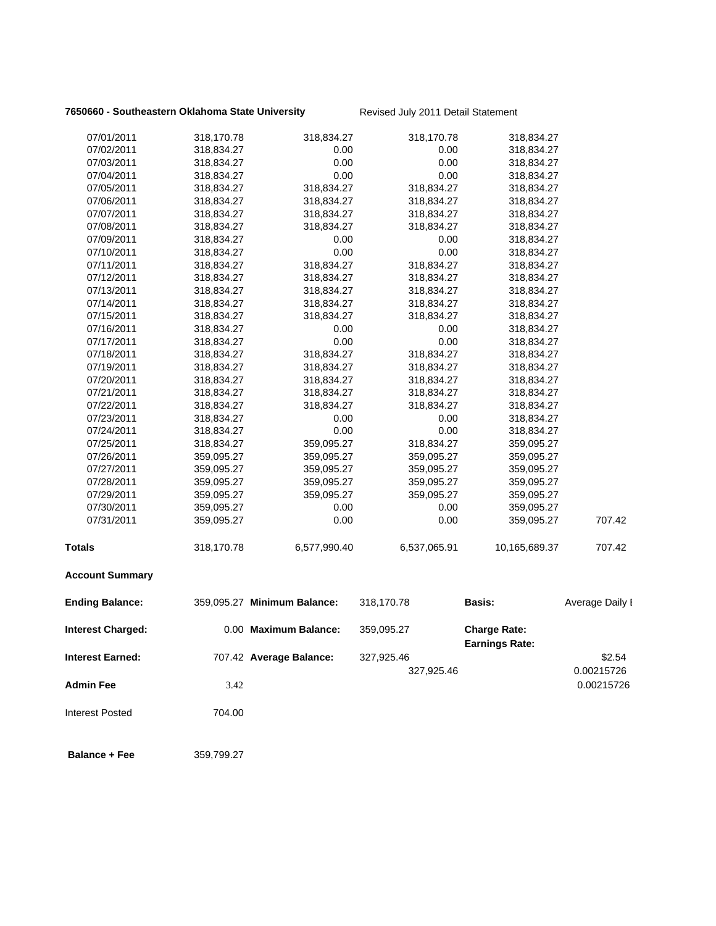## **7650660 - Southeastern Oklahoma State University Revised July 2011 Detail Statement**

| 07/01/2011               | 318,170.78 | 318,834.27                  | 318,170.78   | 318,834.27                                   |                 |
|--------------------------|------------|-----------------------------|--------------|----------------------------------------------|-----------------|
| 07/02/2011               | 318,834.27 | 0.00                        | 0.00         | 318,834.27                                   |                 |
| 07/03/2011               | 318,834.27 | 0.00                        | 0.00         | 318,834.27                                   |                 |
| 07/04/2011               | 318,834.27 | 0.00                        | 0.00         | 318,834.27                                   |                 |
| 07/05/2011               | 318,834.27 | 318,834.27                  | 318,834.27   | 318,834.27                                   |                 |
| 07/06/2011               | 318,834.27 | 318,834.27                  | 318,834.27   | 318,834.27                                   |                 |
| 07/07/2011               | 318,834.27 | 318,834.27                  | 318,834.27   | 318,834.27                                   |                 |
| 07/08/2011               | 318,834.27 | 318,834.27                  | 318,834.27   | 318,834.27                                   |                 |
| 07/09/2011               | 318,834.27 | 0.00                        | 0.00         | 318,834.27                                   |                 |
| 07/10/2011               | 318,834.27 | 0.00                        | 0.00         | 318,834.27                                   |                 |
| 07/11/2011               | 318,834.27 | 318,834.27                  | 318,834.27   | 318,834.27                                   |                 |
| 07/12/2011               | 318,834.27 | 318,834.27                  | 318,834.27   | 318,834.27                                   |                 |
| 07/13/2011               | 318,834.27 | 318,834.27                  | 318,834.27   | 318,834.27                                   |                 |
| 07/14/2011               | 318,834.27 | 318,834.27                  | 318,834.27   | 318,834.27                                   |                 |
| 07/15/2011               | 318,834.27 | 318,834.27                  | 318,834.27   | 318,834.27                                   |                 |
| 07/16/2011               | 318,834.27 | 0.00                        | 0.00         | 318,834.27                                   |                 |
| 07/17/2011               | 318,834.27 | 0.00                        | 0.00         | 318,834.27                                   |                 |
| 07/18/2011               | 318,834.27 | 318,834.27                  | 318,834.27   | 318,834.27                                   |                 |
| 07/19/2011               | 318,834.27 | 318,834.27                  | 318,834.27   | 318,834.27                                   |                 |
| 07/20/2011               | 318,834.27 | 318,834.27                  | 318,834.27   | 318,834.27                                   |                 |
| 07/21/2011               | 318,834.27 | 318,834.27                  | 318,834.27   | 318,834.27                                   |                 |
| 07/22/2011               | 318,834.27 | 318,834.27                  | 318,834.27   | 318,834.27                                   |                 |
| 07/23/2011               | 318,834.27 | 0.00                        | 0.00         | 318,834.27                                   |                 |
| 07/24/2011               | 318,834.27 | 0.00                        | 0.00         | 318,834.27                                   |                 |
| 07/25/2011               | 318,834.27 | 359,095.27                  | 318,834.27   | 359,095.27                                   |                 |
| 07/26/2011               | 359,095.27 | 359,095.27                  | 359,095.27   | 359,095.27                                   |                 |
| 07/27/2011               | 359,095.27 | 359,095.27                  | 359,095.27   | 359,095.27                                   |                 |
| 07/28/2011               | 359,095.27 | 359,095.27                  | 359,095.27   | 359,095.27                                   |                 |
| 07/29/2011               | 359,095.27 | 359,095.27                  | 359,095.27   | 359,095.27                                   |                 |
| 07/30/2011               | 359,095.27 | 0.00                        | 0.00         | 359,095.27                                   |                 |
| 07/31/2011               | 359,095.27 | 0.00                        | 0.00         | 359,095.27                                   | 707.42          |
| <b>Totals</b>            | 318,170.78 | 6,577,990.40                | 6,537,065.91 | 10,165,689.37                                | 707.42          |
| <b>Account Summary</b>   |            |                             |              |                                              |                 |
| <b>Ending Balance:</b>   |            | 359,095.27 Minimum Balance: | 318,170.78   | <b>Basis:</b>                                | Average Daily I |
| <b>Interest Charged:</b> |            | 0.00 Maximum Balance:       | 359,095.27   | <b>Charge Rate:</b><br><b>Earnings Rate:</b> |                 |
| <b>Interest Earned:</b>  |            | 707.42 Average Balance:     | 327,925.46   |                                              | \$2.54          |
|                          |            |                             | 327,925.46   |                                              | 0.00215726      |
| <b>Admin Fee</b>         | 3.42       |                             |              |                                              | 0.00215726      |
| <b>Interest Posted</b>   | 704.00     |                             |              |                                              |                 |
| <b>Balance + Fee</b>     | 359,799.27 |                             |              |                                              |                 |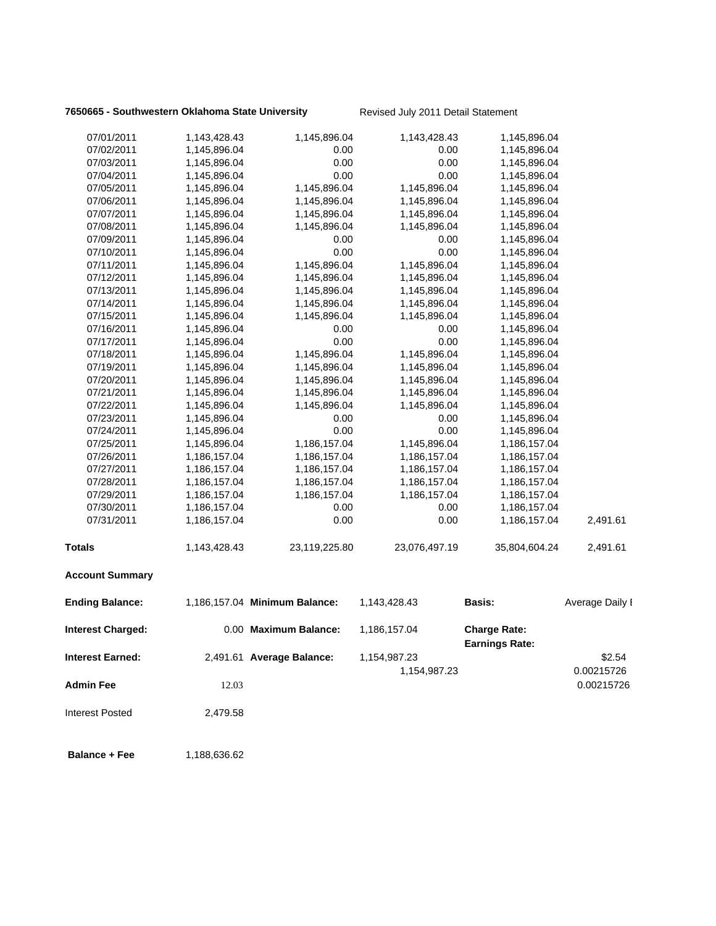## **7650665 - Southwestern Oklahoma State University Revised July 2011 Detail Statement**

| 07/01/2011               | 1,143,428.43 | 1,145,896.04                  | 1,143,428.43  | 1,145,896.04                                 |                 |
|--------------------------|--------------|-------------------------------|---------------|----------------------------------------------|-----------------|
| 07/02/2011               | 1,145,896.04 | 0.00                          | 0.00          | 1,145,896.04                                 |                 |
| 07/03/2011               | 1,145,896.04 | 0.00                          | 0.00          | 1,145,896.04                                 |                 |
| 07/04/2011               | 1,145,896.04 | 0.00                          | 0.00          | 1,145,896.04                                 |                 |
| 07/05/2011               | 1,145,896.04 | 1,145,896.04                  | 1,145,896.04  | 1,145,896.04                                 |                 |
| 07/06/2011               | 1,145,896.04 | 1,145,896.04                  | 1,145,896.04  | 1,145,896.04                                 |                 |
| 07/07/2011               | 1,145,896.04 | 1,145,896.04                  | 1,145,896.04  | 1,145,896.04                                 |                 |
| 07/08/2011               | 1,145,896.04 | 1,145,896.04                  | 1,145,896.04  | 1,145,896.04                                 |                 |
| 07/09/2011               | 1,145,896.04 | 0.00                          | 0.00          | 1,145,896.04                                 |                 |
| 07/10/2011               | 1,145,896.04 | 0.00                          | 0.00          | 1,145,896.04                                 |                 |
| 07/11/2011               | 1,145,896.04 | 1,145,896.04                  | 1,145,896.04  | 1,145,896.04                                 |                 |
| 07/12/2011               | 1,145,896.04 | 1,145,896.04                  | 1,145,896.04  | 1,145,896.04                                 |                 |
| 07/13/2011               | 1,145,896.04 | 1,145,896.04                  | 1,145,896.04  | 1,145,896.04                                 |                 |
| 07/14/2011               | 1,145,896.04 | 1,145,896.04                  | 1,145,896.04  | 1,145,896.04                                 |                 |
| 07/15/2011               | 1,145,896.04 | 1,145,896.04                  | 1,145,896.04  | 1,145,896.04                                 |                 |
| 07/16/2011               | 1,145,896.04 | 0.00                          | 0.00          | 1,145,896.04                                 |                 |
| 07/17/2011               | 1,145,896.04 | 0.00                          | 0.00          | 1,145,896.04                                 |                 |
| 07/18/2011               | 1,145,896.04 | 1,145,896.04                  | 1,145,896.04  | 1,145,896.04                                 |                 |
| 07/19/2011               | 1,145,896.04 | 1,145,896.04                  | 1,145,896.04  | 1,145,896.04                                 |                 |
| 07/20/2011               | 1,145,896.04 | 1,145,896.04                  | 1,145,896.04  | 1,145,896.04                                 |                 |
| 07/21/2011               | 1,145,896.04 | 1,145,896.04                  | 1,145,896.04  | 1,145,896.04                                 |                 |
| 07/22/2011               | 1,145,896.04 | 1,145,896.04                  | 1,145,896.04  | 1,145,896.04                                 |                 |
| 07/23/2011               | 1,145,896.04 | 0.00                          | 0.00          | 1,145,896.04                                 |                 |
| 07/24/2011               | 1,145,896.04 | 0.00                          | 0.00          | 1,145,896.04                                 |                 |
| 07/25/2011               | 1,145,896.04 | 1,186,157.04                  | 1,145,896.04  | 1,186,157.04                                 |                 |
| 07/26/2011               | 1,186,157.04 | 1,186,157.04                  | 1,186,157.04  | 1,186,157.04                                 |                 |
| 07/27/2011               | 1,186,157.04 | 1,186,157.04                  | 1,186,157.04  | 1,186,157.04                                 |                 |
| 07/28/2011               | 1,186,157.04 | 1,186,157.04                  | 1,186,157.04  | 1,186,157.04                                 |                 |
| 07/29/2011               | 1,186,157.04 | 1,186,157.04                  | 1,186,157.04  | 1,186,157.04                                 |                 |
| 07/30/2011               | 1,186,157.04 | 0.00                          | 0.00          | 1,186,157.04                                 |                 |
| 07/31/2011               | 1,186,157.04 | 0.00                          | 0.00          | 1,186,157.04                                 | 2,491.61        |
| <b>Totals</b>            | 1,143,428.43 | 23,119,225.80                 | 23,076,497.19 | 35,804,604.24                                | 2,491.61        |
| <b>Account Summary</b>   |              |                               |               |                                              |                 |
| <b>Ending Balance:</b>   |              | 1,186,157.04 Minimum Balance: | 1,143,428.43  | <b>Basis:</b>                                | Average Daily I |
| <b>Interest Charged:</b> |              | 0.00 Maximum Balance:         | 1,186,157.04  | <b>Charge Rate:</b><br><b>Earnings Rate:</b> |                 |
| Interest Earned:         |              | 2,491.61 Average Balance:     | 1,154,987.23  |                                              | \$2.54          |
|                          |              |                               | 1,154,987.23  |                                              | 0.00215726      |
| Admin Fee                | 12.03        |                               |               |                                              | 0.00215726      |
|                          |              |                               |               |                                              |                 |
| <b>Interest Posted</b>   | 2,479.58     |                               |               |                                              |                 |
|                          |              |                               |               |                                              |                 |

**Balance + Fee** 1,188,636.62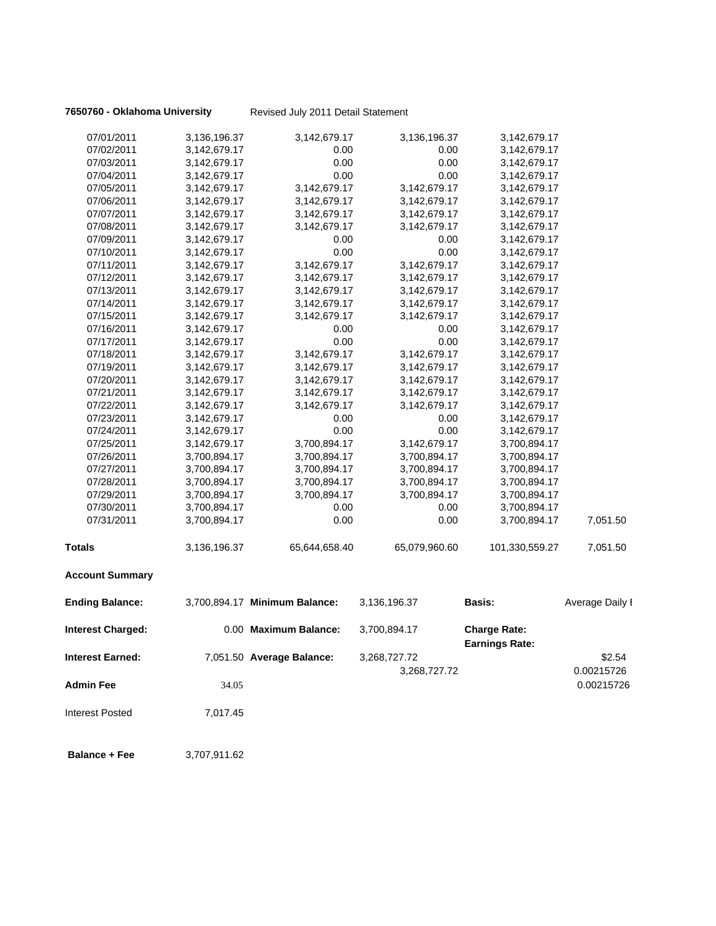**7650760 - Oklahoma University** Revised July 2011 Detail Statement

| 07/01/2011               | 3,136,196.37 | 3,142,679.17                  | 3,136,196.37  | 3,142,679.17                                 |                 |
|--------------------------|--------------|-------------------------------|---------------|----------------------------------------------|-----------------|
| 07/02/2011               | 3,142,679.17 | 0.00                          | 0.00          | 3,142,679.17                                 |                 |
| 07/03/2011               | 3,142,679.17 | 0.00                          | 0.00          | 3,142,679.17                                 |                 |
| 07/04/2011               | 3,142,679.17 | 0.00                          | 0.00          | 3,142,679.17                                 |                 |
| 07/05/2011               | 3,142,679.17 | 3,142,679.17                  | 3,142,679.17  | 3,142,679.17                                 |                 |
| 07/06/2011               | 3,142,679.17 | 3,142,679.17                  | 3,142,679.17  | 3,142,679.17                                 |                 |
| 07/07/2011               | 3,142,679.17 | 3,142,679.17                  | 3,142,679.17  | 3,142,679.17                                 |                 |
| 07/08/2011               | 3,142,679.17 | 3,142,679.17                  | 3,142,679.17  | 3,142,679.17                                 |                 |
| 07/09/2011               | 3,142,679.17 | 0.00                          | 0.00          | 3,142,679.17                                 |                 |
| 07/10/2011               | 3,142,679.17 | 0.00                          | 0.00          | 3,142,679.17                                 |                 |
| 07/11/2011               | 3,142,679.17 | 3,142,679.17                  | 3,142,679.17  | 3,142,679.17                                 |                 |
| 07/12/2011               | 3,142,679.17 | 3,142,679.17                  | 3,142,679.17  | 3,142,679.17                                 |                 |
| 07/13/2011               | 3,142,679.17 | 3,142,679.17                  | 3,142,679.17  | 3,142,679.17                                 |                 |
| 07/14/2011               | 3,142,679.17 | 3,142,679.17                  | 3,142,679.17  | 3,142,679.17                                 |                 |
| 07/15/2011               | 3,142,679.17 | 3,142,679.17                  | 3,142,679.17  | 3,142,679.17                                 |                 |
| 07/16/2011               | 3,142,679.17 | 0.00                          | 0.00          | 3,142,679.17                                 |                 |
| 07/17/2011               | 3,142,679.17 | 0.00                          | 0.00          | 3,142,679.17                                 |                 |
| 07/18/2011               | 3,142,679.17 | 3,142,679.17                  | 3,142,679.17  | 3,142,679.17                                 |                 |
| 07/19/2011               | 3,142,679.17 | 3,142,679.17                  | 3,142,679.17  | 3,142,679.17                                 |                 |
| 07/20/2011               | 3,142,679.17 | 3,142,679.17                  | 3,142,679.17  | 3,142,679.17                                 |                 |
| 07/21/2011               | 3,142,679.17 | 3,142,679.17                  | 3,142,679.17  | 3,142,679.17                                 |                 |
| 07/22/2011               | 3,142,679.17 | 3,142,679.17                  | 3,142,679.17  | 3,142,679.17                                 |                 |
| 07/23/2011               | 3,142,679.17 | 0.00                          | 0.00          | 3,142,679.17                                 |                 |
| 07/24/2011               | 3,142,679.17 | 0.00                          | 0.00          | 3,142,679.17                                 |                 |
| 07/25/2011               | 3,142,679.17 | 3,700,894.17                  | 3,142,679.17  | 3,700,894.17                                 |                 |
| 07/26/2011               | 3,700,894.17 | 3,700,894.17                  | 3,700,894.17  | 3,700,894.17                                 |                 |
| 07/27/2011               | 3,700,894.17 | 3,700,894.17                  | 3,700,894.17  | 3,700,894.17                                 |                 |
| 07/28/2011               | 3,700,894.17 | 3,700,894.17                  | 3,700,894.17  | 3,700,894.17                                 |                 |
| 07/29/2011               | 3,700,894.17 | 3,700,894.17                  | 3,700,894.17  | 3,700,894.17                                 |                 |
| 07/30/2011               | 3,700,894.17 | 0.00                          | 0.00          | 3,700,894.17                                 |                 |
| 07/31/2011               | 3,700,894.17 | 0.00                          | 0.00          | 3,700,894.17                                 | 7,051.50        |
| <b>Totals</b>            | 3,136,196.37 | 65,644,658.40                 | 65,079,960.60 | 101,330,559.27                               | 7,051.50        |
| <b>Account Summary</b>   |              |                               |               |                                              |                 |
| <b>Ending Balance:</b>   |              | 3,700,894.17 Minimum Balance: | 3,136,196.37  | <b>Basis:</b>                                | Average Daily I |
| <b>Interest Charged:</b> |              | 0.00 Maximum Balance:         | 3,700,894.17  | <b>Charge Rate:</b><br><b>Earnings Rate:</b> |                 |
| Interest Earned:         |              | 7,051.50 Average Balance:     | 3,268,727.72  |                                              | \$2.54          |
|                          |              |                               | 3,268,727.72  |                                              | 0.00215726      |
| <b>Admin Fee</b>         | 34.05        |                               |               |                                              | 0.00215726      |
| Interest Posted          | 7,017.45     |                               |               |                                              |                 |
| <b>Balance + Fee</b>     | 3,707,911.62 |                               |               |                                              |                 |
|                          |              |                               |               |                                              |                 |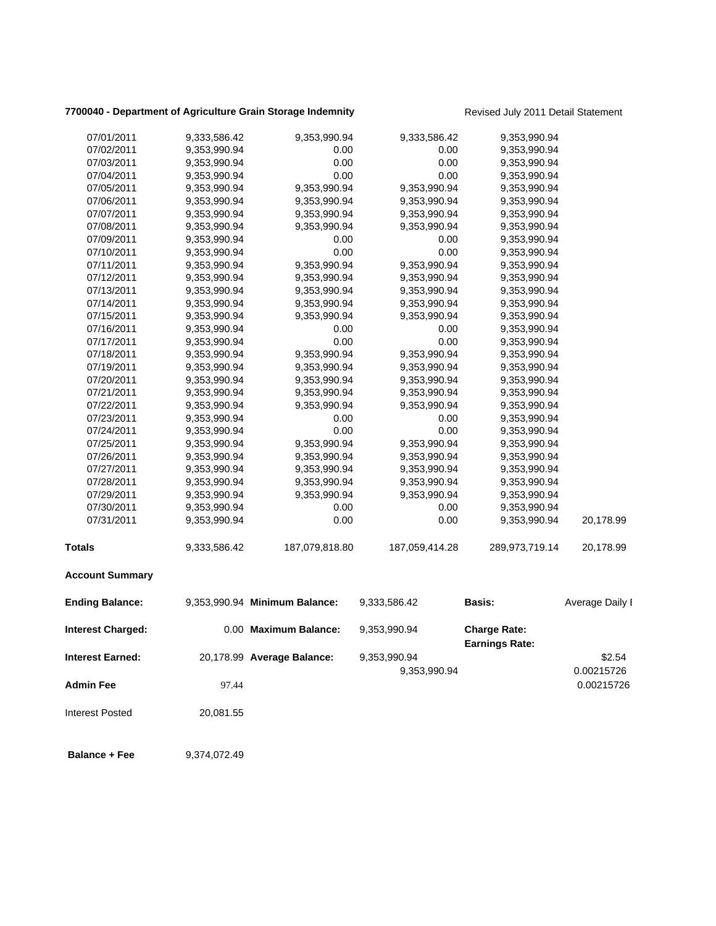## 7700040 - Department of Agriculture Grain Storage Indemnity **Revised July 2011 Detail Statement**

| 07/01/2011               | 9,333,586.42 | 9,353,990.94                  | 9,333,586.42   | 9,353,990.94                 |                 |
|--------------------------|--------------|-------------------------------|----------------|------------------------------|-----------------|
| 07/02/2011               | 9,353,990.94 | 0.00                          | 0.00           | 9,353,990.94                 |                 |
| 07/03/2011               | 9,353,990.94 | 0.00                          | 0.00           | 9,353,990.94                 |                 |
| 07/04/2011               | 9,353,990.94 | 0.00                          | 0.00           | 9,353,990.94                 |                 |
| 07/05/2011               | 9,353,990.94 | 9,353,990.94                  | 9,353,990.94   | 9,353,990.94                 |                 |
| 07/06/2011               | 9,353,990.94 | 9,353,990.94                  | 9,353,990.94   |                              |                 |
| 07/07/2011               | 9,353,990.94 | 9,353,990.94                  | 9,353,990.94   | 9,353,990.94<br>9,353,990.94 |                 |
| 07/08/2011               |              | 9,353,990.94                  | 9,353,990.94   |                              |                 |
|                          | 9,353,990.94 |                               |                | 9,353,990.94                 |                 |
| 07/09/2011               | 9,353,990.94 | 0.00<br>0.00                  | 0.00<br>0.00   | 9,353,990.94                 |                 |
| 07/10/2011<br>07/11/2011 | 9,353,990.94 | 9,353,990.94                  | 9,353,990.94   | 9,353,990.94                 |                 |
| 07/12/2011               | 9,353,990.94 |                               | 9,353,990.94   | 9,353,990.94<br>9,353,990.94 |                 |
|                          | 9,353,990.94 | 9,353,990.94                  |                |                              |                 |
| 07/13/2011               | 9,353,990.94 | 9,353,990.94                  | 9,353,990.94   | 9,353,990.94                 |                 |
| 07/14/2011               | 9,353,990.94 | 9,353,990.94                  | 9,353,990.94   | 9,353,990.94                 |                 |
| 07/15/2011               | 9,353,990.94 | 9,353,990.94                  | 9,353,990.94   | 9,353,990.94                 |                 |
| 07/16/2011               | 9,353,990.94 | 0.00                          | 0.00           | 9,353,990.94                 |                 |
| 07/17/2011               | 9,353,990.94 | 0.00                          | 0.00           | 9,353,990.94                 |                 |
| 07/18/2011               | 9,353,990.94 | 9,353,990.94                  | 9,353,990.94   | 9,353,990.94                 |                 |
| 07/19/2011               | 9,353,990.94 | 9,353,990.94                  | 9,353,990.94   | 9,353,990.94                 |                 |
| 07/20/2011               | 9,353,990.94 | 9,353,990.94                  | 9,353,990.94   | 9,353,990.94                 |                 |
| 07/21/2011               | 9,353,990.94 | 9,353,990.94                  | 9,353,990.94   | 9,353,990.94                 |                 |
| 07/22/2011               | 9,353,990.94 | 9,353,990.94                  | 9,353,990.94   | 9,353,990.94                 |                 |
| 07/23/2011               | 9,353,990.94 | 0.00                          | 0.00           | 9,353,990.94                 |                 |
| 07/24/2011               | 9,353,990.94 | 0.00                          | 0.00           | 9,353,990.94                 |                 |
| 07/25/2011               | 9,353,990.94 | 9,353,990.94                  | 9,353,990.94   | 9,353,990.94                 |                 |
| 07/26/2011               | 9,353,990.94 | 9,353,990.94                  | 9,353,990.94   | 9,353,990.94                 |                 |
| 07/27/2011               | 9,353,990.94 | 9,353,990.94                  | 9,353,990.94   | 9,353,990.94                 |                 |
| 07/28/2011               | 9,353,990.94 | 9,353,990.94                  | 9,353,990.94   | 9,353,990.94                 |                 |
| 07/29/2011               | 9,353,990.94 | 9,353,990.94                  | 9,353,990.94   | 9,353,990.94                 |                 |
| 07/30/2011               | 9,353,990.94 | 0.00                          | 0.00           | 9,353,990.94                 |                 |
| 07/31/2011               | 9,353,990.94 | 0.00                          | 0.00           | 9,353,990.94                 | 20,178.99       |
| <b>Totals</b>            | 9,333,586.42 | 187,079,818.80                | 187,059,414.28 | 289,973,719.14               | 20,178.99       |
| <b>Account Summary</b>   |              |                               |                |                              |                 |
| <b>Ending Balance:</b>   |              | 9,353,990.94 Minimum Balance: | 9,333,586.42   | <b>Basis:</b>                | Average Daily I |
| <b>Interest Charged:</b> |              | 0.00 Maximum Balance:         | 9,353,990.94   | <b>Charge Rate:</b>          |                 |
|                          |              |                               |                | <b>Earnings Rate:</b>        |                 |
| <b>Interest Earned:</b>  |              | 20,178.99 Average Balance:    | 9,353,990.94   |                              | \$2.54          |
|                          |              |                               | 9,353,990.94   |                              | 0.00215726      |
| <b>Admin Fee</b>         | 97.44        |                               |                |                              | 0.00215726      |
| <b>Interest Posted</b>   | 20,081.55    |                               |                |                              |                 |
|                          |              |                               |                |                              |                 |

**Balance + Fee** 9,374,072.49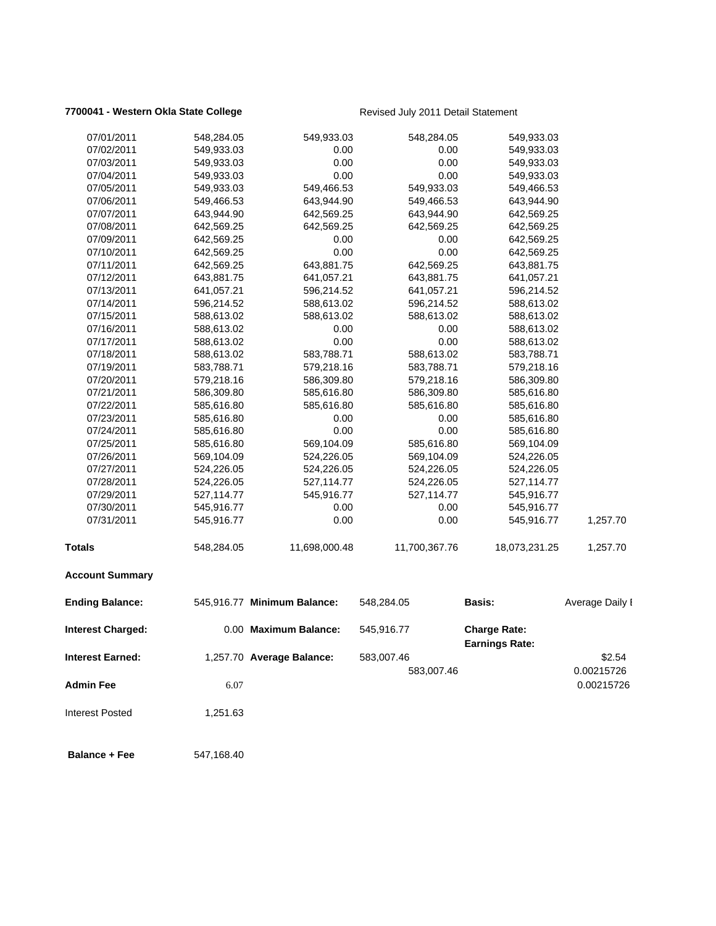## **7700041 - Western Okla State College** Revised July 2011 Detail Statement

| <b>Balance + Fee</b>     | 547,168.40               |                             |                          |                                              |                      |
|--------------------------|--------------------------|-----------------------------|--------------------------|----------------------------------------------|----------------------|
| <b>Interest Posted</b>   | 1,251.63                 |                             |                          |                                              |                      |
| <b>Admin Fee</b>         | 6.07                     |                             |                          |                                              | 0.00215726           |
| <b>Interest Earned:</b>  |                          | 1,257.70 Average Balance:   | 583,007.46<br>583,007.46 |                                              | \$2.54<br>0.00215726 |
| <b>Interest Charged:</b> |                          | 0.00 Maximum Balance:       | 545,916.77               | <b>Charge Rate:</b><br><b>Earnings Rate:</b> |                      |
| <b>Ending Balance:</b>   |                          | 545,916.77 Minimum Balance: | 548,284.05               | <b>Basis:</b>                                | Average Daily I      |
| <b>Account Summary</b>   |                          |                             |                          |                                              |                      |
| Totals                   | 548,284.05               | 11,698,000.48               | 11,700,367.76            | 18,073,231.25                                | 1,257.70             |
| 07/31/2011               | 545,916.77               | 0.00                        | 0.00                     | 545,916.77                                   | 1,257.70             |
| 07/30/2011               | 545,916.77               | 0.00                        | 0.00                     | 545,916.77                                   |                      |
| 07/29/2011               | 527,114.77               | 545,916.77                  | 527,114.77               | 545,916.77                                   |                      |
| 07/28/2011               | 524,226.05               | 527,114.77                  | 524,226.05               | 527,114.77                                   |                      |
| 07/27/2011               | 524,226.05               | 524,226.05                  | 524,226.05               | 524,226.05                                   |                      |
| 07/26/2011               | 569,104.09               | 524,226.05                  | 569,104.09               | 524,226.05                                   |                      |
| 07/25/2011               | 585,616.80               | 569,104.09                  | 585,616.80               | 569,104.09                                   |                      |
| 07/24/2011               | 585,616.80               | 0.00                        | 0.00                     | 585,616.80                                   |                      |
| 07/23/2011               | 585,616.80               | 0.00                        | 0.00                     | 585,616.80                                   |                      |
| 07/22/2011               | 585,616.80               | 585,616.80                  | 585,616.80               | 585,616.80                                   |                      |
| 07/21/2011               | 586,309.80               | 585,616.80                  | 586,309.80               | 585,616.80                                   |                      |
| 07/20/2011               | 579,218.16               | 586,309.80                  | 579,218.16               | 586,309.80                                   |                      |
| 07/19/2011               | 583,788.71               | 579,218.16                  | 583,788.71               | 579,218.16                                   |                      |
| 07/17/2011<br>07/18/2011 | 588,613.02<br>588,613.02 | 0.00<br>583,788.71          | 0.00<br>588,613.02       | 588,613.02<br>583,788.71                     |                      |
| 07/16/2011               | 588,613.02               | 0.00                        | 0.00                     | 588,613.02                                   |                      |
| 07/15/2011               | 588,613.02               | 588,613.02                  | 588,613.02               | 588,613.02                                   |                      |
| 07/14/2011               | 596,214.52               | 588,613.02                  | 596,214.52               | 588,613.02                                   |                      |
| 07/13/2011               | 641,057.21               | 596,214.52                  | 641,057.21               | 596,214.52                                   |                      |
| 07/12/2011               | 643,881.75               | 641,057.21                  | 643,881.75               | 641,057.21                                   |                      |
| 07/11/2011               | 642,569.25               | 643,881.75                  | 642,569.25               | 643,881.75                                   |                      |
| 07/10/2011               | 642,569.25               | 0.00                        | 0.00                     | 642,569.25                                   |                      |
| 07/09/2011               | 642,569.25               | 0.00                        | 0.00                     | 642,569.25                                   |                      |
| 07/08/2011               | 642,569.25               | 642,569.25                  | 642,569.25               | 642,569.25                                   |                      |
| 07/07/2011               | 643,944.90               | 642,569.25                  | 643,944.90               | 642,569.25                                   |                      |
| 07/06/2011               | 549,466.53               | 643,944.90                  | 549,466.53               | 643,944.90                                   |                      |
| 07/05/2011               | 549,933.03               | 549,466.53                  | 549,933.03               | 549,466.53                                   |                      |
| 07/04/2011               | 549,933.03               | 0.00                        | 0.00                     | 549,933.03                                   |                      |
| 07/03/2011               | 549,933.03               | 0.00                        | 0.00                     | 549,933.03                                   |                      |
| 07/02/2011               | 549,933.03               | 0.00                        | 0.00                     | 549,933.03                                   |                      |
| 07/01/2011               | 548,284.05               | 549,933.03                  | 548,284.05               | 549,933.03                                   |                      |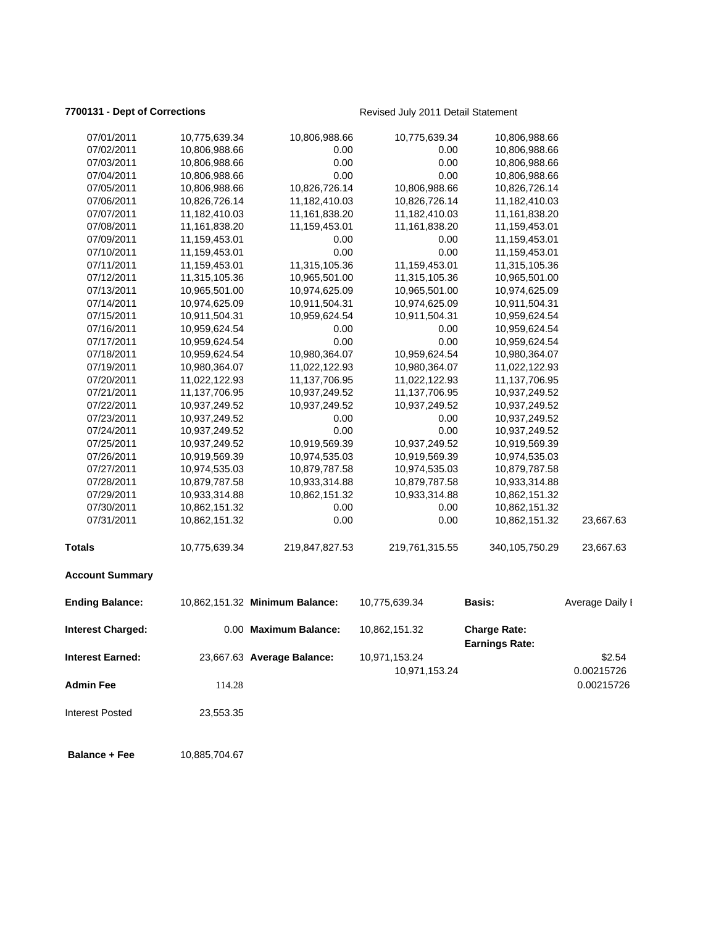**7700131 - Dept of Corrections Revised July 2011 Detail Statement** 

| 07/01/2011               | 10,775,639.34 | 10,806,988.66                  | 10,775,639.34                  | 10,806,988.66                                |                          |
|--------------------------|---------------|--------------------------------|--------------------------------|----------------------------------------------|--------------------------|
| 07/02/2011               | 10,806,988.66 | 0.00                           | 0.00                           | 10,806,988.66                                |                          |
| 07/03/2011               | 10,806,988.66 | 0.00                           | 0.00                           | 10,806,988.66                                |                          |
| 07/04/2011               | 10,806,988.66 | 0.00                           | 0.00                           | 10,806,988.66                                |                          |
| 07/05/2011               | 10,806,988.66 | 10,826,726.14                  | 10,806,988.66                  | 10,826,726.14                                |                          |
| 07/06/2011               | 10,826,726.14 | 11,182,410.03                  | 10,826,726.14                  | 11,182,410.03                                |                          |
| 07/07/2011               | 11,182,410.03 | 11,161,838.20                  | 11,182,410.03                  | 11,161,838.20                                |                          |
| 07/08/2011               | 11,161,838.20 | 11,159,453.01                  | 11,161,838.20                  | 11,159,453.01                                |                          |
| 07/09/2011               | 11,159,453.01 | 0.00                           | 0.00                           | 11,159,453.01                                |                          |
| 07/10/2011               | 11,159,453.01 | 0.00                           | 0.00                           | 11,159,453.01                                |                          |
| 07/11/2011               | 11,159,453.01 | 11,315,105.36                  | 11,159,453.01                  | 11,315,105.36                                |                          |
| 07/12/2011               | 11,315,105.36 | 10,965,501.00                  | 11,315,105.36                  | 10,965,501.00                                |                          |
| 07/13/2011               | 10,965,501.00 | 10,974,625.09                  | 10,965,501.00                  | 10,974,625.09                                |                          |
| 07/14/2011               | 10,974,625.09 | 10,911,504.31                  | 10,974,625.09                  | 10,911,504.31                                |                          |
| 07/15/2011               | 10,911,504.31 | 10,959,624.54                  | 10,911,504.31                  | 10,959,624.54                                |                          |
| 07/16/2011               | 10,959,624.54 | 0.00                           | 0.00                           | 10,959,624.54                                |                          |
| 07/17/2011               | 10,959,624.54 | 0.00                           | 0.00                           | 10,959,624.54                                |                          |
| 07/18/2011               | 10,959,624.54 | 10,980,364.07                  | 10,959,624.54                  | 10,980,364.07                                |                          |
| 07/19/2011               | 10,980,364.07 | 11,022,122.93                  | 10,980,364.07                  | 11,022,122.93                                |                          |
| 07/20/2011               | 11,022,122.93 | 11,137,706.95                  | 11,022,122.93                  | 11,137,706.95                                |                          |
| 07/21/2011               | 11,137,706.95 | 10,937,249.52                  | 11,137,706.95                  | 10,937,249.52                                |                          |
| 07/22/2011               | 10,937,249.52 | 10,937,249.52                  | 10,937,249.52                  | 10,937,249.52                                |                          |
| 07/23/2011               | 10,937,249.52 | 0.00                           | 0.00                           | 10,937,249.52                                |                          |
| 07/24/2011               | 10,937,249.52 | 0.00                           | 0.00                           | 10,937,249.52                                |                          |
| 07/25/2011               | 10,937,249.52 | 10,919,569.39                  | 10,937,249.52                  | 10,919,569.39                                |                          |
| 07/26/2011               | 10,919,569.39 | 10,974,535.03                  | 10,919,569.39                  | 10,974,535.03                                |                          |
| 07/27/2011               | 10,974,535.03 | 10,879,787.58                  | 10,974,535.03                  | 10,879,787.58                                |                          |
| 07/28/2011               | 10,879,787.58 | 10,933,314.88                  | 10,879,787.58                  | 10,933,314.88                                |                          |
| 07/29/2011               | 10,933,314.88 | 10,862,151.32                  | 10,933,314.88                  | 10,862,151.32                                |                          |
| 07/30/2011               | 10,862,151.32 | 0.00                           | 0.00                           | 10,862,151.32                                |                          |
| 07/31/2011               | 10,862,151.32 | 0.00                           | 0.00                           | 10,862,151.32                                | 23,667.63                |
| <b>Totals</b>            | 10,775,639.34 | 219,847,827.53                 | 219,761,315.55                 | 340, 105, 750. 29                            | 23,667.63                |
| <b>Account Summary</b>   |               |                                |                                |                                              |                          |
| <b>Ending Balance:</b>   |               | 10,862,151.32 Minimum Balance: | 10,775,639.34                  | Basis:                                       | Average Daily I          |
| <b>Interest Charged:</b> |               | 0.00 Maximum Balance:          | 10,862,151.32                  | <b>Charge Rate:</b><br><b>Earnings Rate:</b> |                          |
| <b>Interest Earned:</b>  |               | 23,667.63 Average Balance:     | 10,971,153.24<br>10,971,153.24 |                                              | \$2.54                   |
| <b>Admin Fee</b>         | 114.28        |                                |                                |                                              | 0.00215726<br>0.00215726 |
| <b>Interest Posted</b>   | 23,553.35     |                                |                                |                                              |                          |
| <b>Balance + Fee</b>     | 10,885,704.67 |                                |                                |                                              |                          |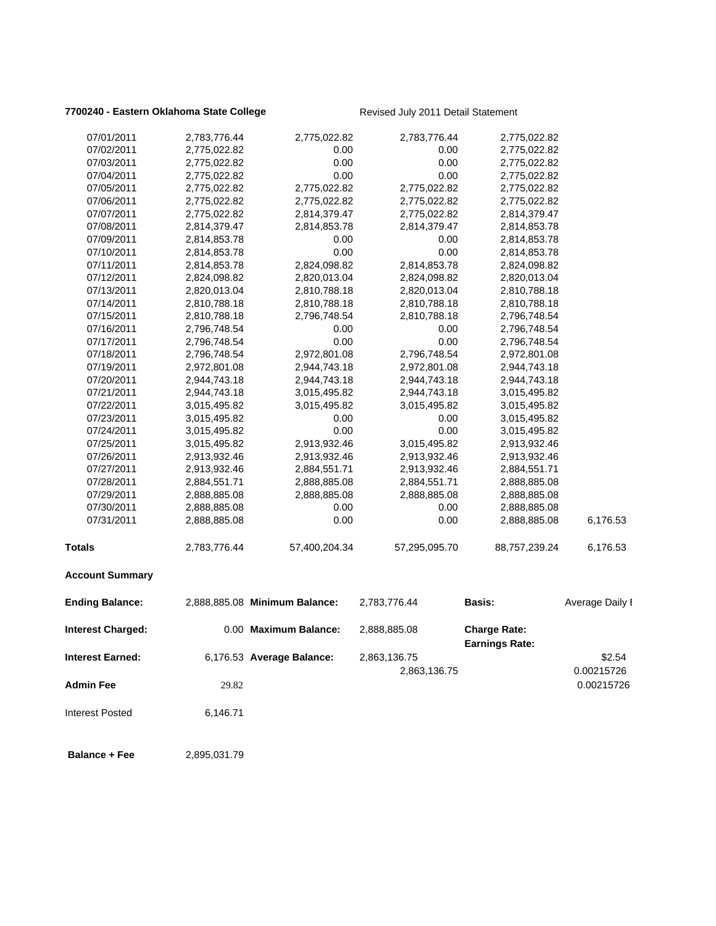## **7700240 - Eastern Oklahoma State College** Revised July 2011 Detail Statement

| 07/01/2011              | 2,783,776.44 | 2,775,022.82                  | 2,783,776.44  | 2,775,022.82          |                 |
|-------------------------|--------------|-------------------------------|---------------|-----------------------|-----------------|
| 07/02/2011              | 2,775,022.82 | 0.00                          | 0.00          | 2,775,022.82          |                 |
| 07/03/2011              | 2,775,022.82 | 0.00                          | 0.00          | 2,775,022.82          |                 |
| 07/04/2011              | 2,775,022.82 | 0.00                          | 0.00          | 2,775,022.82          |                 |
| 07/05/2011              | 2,775,022.82 | 2,775,022.82                  | 2,775,022.82  | 2,775,022.82          |                 |
| 07/06/2011              | 2,775,022.82 | 2,775,022.82                  | 2,775,022.82  | 2,775,022.82          |                 |
| 07/07/2011              | 2,775,022.82 | 2,814,379.47                  | 2,775,022.82  | 2,814,379.47          |                 |
| 07/08/2011              | 2,814,379.47 | 2,814,853.78                  | 2,814,379.47  | 2,814,853.78          |                 |
| 07/09/2011              | 2,814,853.78 | 0.00                          | 0.00          | 2,814,853.78          |                 |
| 07/10/2011              | 2,814,853.78 | 0.00                          | 0.00          | 2,814,853.78          |                 |
| 07/11/2011              | 2,814,853.78 | 2,824,098.82                  | 2,814,853.78  | 2,824,098.82          |                 |
| 07/12/2011              | 2,824,098.82 | 2,820,013.04                  | 2,824,098.82  | 2,820,013.04          |                 |
| 07/13/2011              | 2,820,013.04 | 2,810,788.18                  | 2,820,013.04  | 2,810,788.18          |                 |
| 07/14/2011              | 2,810,788.18 | 2,810,788.18                  | 2,810,788.18  | 2,810,788.18          |                 |
| 07/15/2011              | 2,810,788.18 | 2,796,748.54                  | 2,810,788.18  | 2,796,748.54          |                 |
| 07/16/2011              | 2,796,748.54 | 0.00                          | 0.00          | 2,796,748.54          |                 |
| 07/17/2011              | 2,796,748.54 | 0.00                          | 0.00          | 2,796,748.54          |                 |
| 07/18/2011              | 2,796,748.54 | 2,972,801.08                  | 2,796,748.54  | 2,972,801.08          |                 |
| 07/19/2011              | 2,972,801.08 | 2,944,743.18                  | 2,972,801.08  | 2,944,743.18          |                 |
| 07/20/2011              | 2,944,743.18 | 2,944,743.18                  | 2,944,743.18  | 2,944,743.18          |                 |
| 07/21/2011              | 2,944,743.18 | 3,015,495.82                  | 2,944,743.18  | 3,015,495.82          |                 |
| 07/22/2011              | 3,015,495.82 | 3,015,495.82                  | 3,015,495.82  | 3,015,495.82          |                 |
| 07/23/2011              | 3,015,495.82 | 0.00                          | 0.00          | 3,015,495.82          |                 |
| 07/24/2011              | 3,015,495.82 | 0.00                          | 0.00          | 3,015,495.82          |                 |
| 07/25/2011              | 3,015,495.82 | 2,913,932.46                  | 3,015,495.82  | 2,913,932.46          |                 |
| 07/26/2011              | 2,913,932.46 | 2,913,932.46                  | 2,913,932.46  | 2,913,932.46          |                 |
| 07/27/2011              | 2,913,932.46 | 2,884,551.71                  | 2,913,932.46  | 2,884,551.71          |                 |
| 07/28/2011              | 2,884,551.71 | 2,888,885.08                  | 2,884,551.71  | 2,888,885.08          |                 |
| 07/29/2011              | 2,888,885.08 | 2,888,885.08                  | 2,888,885.08  | 2,888,885.08          |                 |
| 07/30/2011              | 2,888,885.08 | 0.00                          | 0.00          | 2,888,885.08          |                 |
| 07/31/2011              | 2,888,885.08 | 0.00                          | 0.00          | 2,888,885.08          | 6,176.53        |
| <b>Totals</b>           | 2,783,776.44 | 57,400,204.34                 | 57,295,095.70 | 88,757,239.24         | 6,176.53        |
|                         |              |                               |               |                       |                 |
| <b>Account Summary</b>  |              |                               |               |                       |                 |
| <b>Ending Balance:</b>  |              | 2,888,885.08 Minimum Balance: | 2,783,776.44  | Basis:                | Average Daily I |
| Interest Charged:       |              | 0.00 Maximum Balance:         | 2,888,885.08  | <b>Charge Rate:</b>   |                 |
|                         |              |                               |               | <b>Earnings Rate:</b> |                 |
| <b>Interest Earned:</b> |              | 6,176.53 Average Balance:     | 2,863,136.75  |                       | \$2.54          |
|                         |              |                               | 2,863,136.75  |                       | 0.00215726      |
| <b>Admin Fee</b>        | 29.82        |                               |               |                       | 0.00215726      |
| <b>Interest Posted</b>  | 6,146.71     |                               |               |                       |                 |
|                         |              |                               |               |                       |                 |
| <b>Balance + Fee</b>    | 2,895,031.79 |                               |               |                       |                 |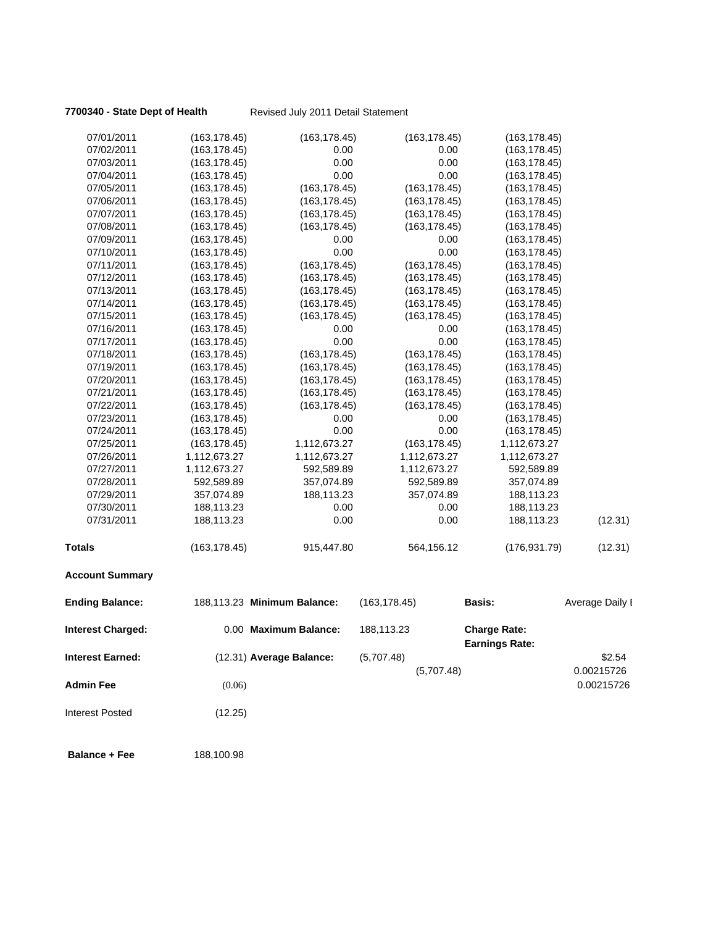## **7700340 - State Dept of Health** Revised July 2011 Detail Statement

| 07/01/2011               | (163, 178.45) | (163, 178.45)               | (163, 178.45) | (163, 178.45)                                |                 |
|--------------------------|---------------|-----------------------------|---------------|----------------------------------------------|-----------------|
| 07/02/2011               | (163, 178.45) | 0.00                        | 0.00          | (163, 178.45)                                |                 |
| 07/03/2011               | (163, 178.45) | 0.00                        | 0.00          | (163, 178.45)                                |                 |
| 07/04/2011               | (163, 178.45) | 0.00                        | 0.00          | (163, 178.45)                                |                 |
| 07/05/2011               | (163, 178.45) | (163, 178.45)               | (163, 178.45) | (163, 178.45)                                |                 |
| 07/06/2011               | (163, 178.45) | (163, 178.45)               | (163, 178.45) | (163, 178.45)                                |                 |
| 07/07/2011               | (163, 178.45) | (163, 178.45)               | (163, 178.45) | (163, 178.45)                                |                 |
| 07/08/2011               | (163, 178.45) | (163, 178.45)               | (163, 178.45) | (163, 178.45)                                |                 |
| 07/09/2011               | (163,178.45)  | 0.00                        | 0.00          | (163, 178.45)                                |                 |
| 07/10/2011               | (163,178.45)  | 0.00                        | 0.00          | (163, 178.45)                                |                 |
| 07/11/2011               | (163, 178.45) | (163, 178.45)               | (163, 178.45) | (163, 178.45)                                |                 |
| 07/12/2011               | (163, 178.45) | (163, 178.45)               | (163, 178.45) | (163, 178.45)                                |                 |
| 07/13/2011               | (163,178.45)  | (163, 178.45)               | (163, 178.45) | (163, 178.45)                                |                 |
| 07/14/2011               | (163, 178.45) | (163, 178.45)               | (163, 178.45) | (163, 178.45)                                |                 |
| 07/15/2011               | (163, 178.45) | (163, 178.45)               | (163, 178.45) | (163, 178.45)                                |                 |
| 07/16/2011               | (163, 178.45) | 0.00                        | 0.00          | (163, 178.45)                                |                 |
| 07/17/2011               | (163, 178.45) | 0.00                        | 0.00          | (163, 178.45)                                |                 |
| 07/18/2011               | (163,178.45)  | (163, 178.45)               | (163, 178.45) | (163, 178.45)                                |                 |
| 07/19/2011               | (163, 178.45) | (163, 178.45)               | (163, 178.45) | (163, 178.45)                                |                 |
| 07/20/2011               | (163, 178.45) | (163, 178.45)               | (163, 178.45) | (163, 178.45)                                |                 |
| 07/21/2011               | (163, 178.45) | (163, 178.45)               | (163, 178.45) | (163, 178.45)                                |                 |
| 07/22/2011               | (163, 178.45) | (163, 178.45)               | (163, 178.45) | (163, 178.45)                                |                 |
| 07/23/2011               | (163, 178.45) | 0.00                        | 0.00          | (163, 178.45)                                |                 |
| 07/24/2011               | (163, 178.45) | 0.00                        | 0.00          | (163, 178.45)                                |                 |
| 07/25/2011               | (163, 178.45) | 1,112,673.27                | (163, 178.45) | 1,112,673.27                                 |                 |
| 07/26/2011               | 1,112,673.27  | 1,112,673.27                | 1,112,673.27  | 1,112,673.27                                 |                 |
| 07/27/2011               | 1,112,673.27  | 592,589.89                  | 1,112,673.27  | 592,589.89                                   |                 |
| 07/28/2011               | 592,589.89    | 357,074.89                  | 592,589.89    | 357,074.89                                   |                 |
| 07/29/2011               | 357,074.89    | 188,113.23                  | 357,074.89    | 188,113.23                                   |                 |
| 07/30/2011               | 188,113.23    | 0.00                        | 0.00          | 188,113.23                                   |                 |
| 07/31/2011               | 188,113.23    | 0.00                        | 0.00          | 188,113.23                                   | (12.31)         |
| <b>Totals</b>            | (163, 178.45) | 915,447.80                  | 564,156.12    | (176, 931.79)                                | (12.31)         |
| <b>Account Summary</b>   |               |                             |               |                                              |                 |
| <b>Ending Balance:</b>   |               | 188,113.23 Minimum Balance: | (163, 178.45) | Basis:                                       | Average Daily I |
| <b>Interest Charged:</b> |               | 0.00 Maximum Balance:       | 188,113.23    | <b>Charge Rate:</b><br><b>Earnings Rate:</b> |                 |
| <b>Interest Earned:</b>  |               | (12.31) Average Balance:    | (5,707.48)    |                                              | \$2.54          |
|                          |               |                             | (5,707.48)    |                                              | 0.00215726      |
|                          |               |                             |               |                                              |                 |
| <b>Admin Fee</b>         | (0.06)        |                             |               |                                              | 0.00215726      |

Interest Posted (12.25)

**Balance + Fee** 188,100.98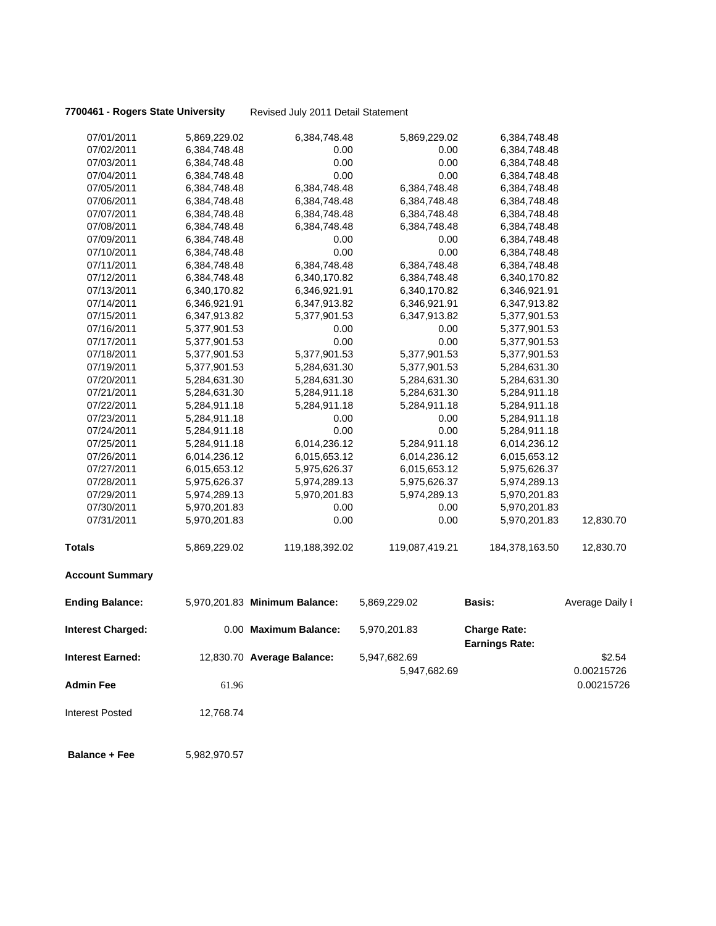**7700461 - Rogers State University** Revised July 2011 Detail Statement

| 07/01/2011               | 5,869,229.02 | 6,384,748.48                  | 5,869,229.02   | 6,384,748.48                                 |                 |
|--------------------------|--------------|-------------------------------|----------------|----------------------------------------------|-----------------|
| 07/02/2011               | 6,384,748.48 | 0.00                          | 0.00           | 6,384,748.48                                 |                 |
| 07/03/2011               | 6,384,748.48 | 0.00                          | 0.00           | 6,384,748.48                                 |                 |
| 07/04/2011               | 6,384,748.48 | 0.00                          | 0.00           | 6,384,748.48                                 |                 |
| 07/05/2011               | 6,384,748.48 | 6,384,748.48                  | 6,384,748.48   | 6,384,748.48                                 |                 |
| 07/06/2011               | 6,384,748.48 | 6,384,748.48                  | 6,384,748.48   | 6,384,748.48                                 |                 |
| 07/07/2011               | 6,384,748.48 | 6,384,748.48                  | 6,384,748.48   | 6,384,748.48                                 |                 |
| 07/08/2011               | 6,384,748.48 | 6,384,748.48                  | 6,384,748.48   | 6,384,748.48                                 |                 |
| 07/09/2011               | 6,384,748.48 | 0.00                          | 0.00           | 6,384,748.48                                 |                 |
| 07/10/2011               | 6,384,748.48 | 0.00                          | 0.00           | 6,384,748.48                                 |                 |
| 07/11/2011               | 6,384,748.48 | 6,384,748.48                  | 6,384,748.48   | 6,384,748.48                                 |                 |
| 07/12/2011               | 6,384,748.48 | 6,340,170.82                  | 6,384,748.48   | 6,340,170.82                                 |                 |
| 07/13/2011               | 6,340,170.82 | 6,346,921.91                  | 6,340,170.82   | 6,346,921.91                                 |                 |
| 07/14/2011               | 6,346,921.91 | 6,347,913.82                  | 6,346,921.91   | 6,347,913.82                                 |                 |
| 07/15/2011               | 6,347,913.82 | 5,377,901.53                  | 6,347,913.82   | 5,377,901.53                                 |                 |
| 07/16/2011               | 5,377,901.53 | 0.00                          | 0.00           | 5,377,901.53                                 |                 |
| 07/17/2011               | 5,377,901.53 | 0.00                          | 0.00           | 5,377,901.53                                 |                 |
| 07/18/2011               | 5,377,901.53 | 5,377,901.53                  | 5,377,901.53   | 5,377,901.53                                 |                 |
| 07/19/2011               | 5,377,901.53 | 5,284,631.30                  | 5,377,901.53   | 5,284,631.30                                 |                 |
| 07/20/2011               | 5,284,631.30 | 5,284,631.30                  | 5,284,631.30   | 5,284,631.30                                 |                 |
| 07/21/2011               | 5,284,631.30 | 5,284,911.18                  | 5,284,631.30   | 5,284,911.18                                 |                 |
| 07/22/2011               | 5,284,911.18 | 5,284,911.18                  | 5,284,911.18   | 5,284,911.18                                 |                 |
| 07/23/2011               | 5,284,911.18 | 0.00                          | 0.00           | 5,284,911.18                                 |                 |
| 07/24/2011               | 5,284,911.18 | 0.00                          | 0.00           | 5,284,911.18                                 |                 |
| 07/25/2011               | 5,284,911.18 | 6,014,236.12                  | 5,284,911.18   | 6,014,236.12                                 |                 |
| 07/26/2011               | 6,014,236.12 | 6,015,653.12                  | 6,014,236.12   | 6,015,653.12                                 |                 |
| 07/27/2011               | 6,015,653.12 | 5,975,626.37                  | 6,015,653.12   | 5,975,626.37                                 |                 |
| 07/28/2011               | 5,975,626.37 | 5,974,289.13                  | 5,975,626.37   | 5,974,289.13                                 |                 |
| 07/29/2011               | 5,974,289.13 | 5,970,201.83                  | 5,974,289.13   | 5,970,201.83                                 |                 |
| 07/30/2011               | 5,970,201.83 | 0.00                          | 0.00           | 5,970,201.83                                 |                 |
| 07/31/2011               | 5,970,201.83 | 0.00                          | 0.00           | 5,970,201.83                                 | 12,830.70       |
| <b>Totals</b>            | 5,869,229.02 | 119,188,392.02                | 119,087,419.21 | 184,378,163.50                               | 12,830.70       |
| <b>Account Summary</b>   |              |                               |                |                                              |                 |
| <b>Ending Balance:</b>   |              | 5,970,201.83 Minimum Balance: | 5,869,229.02   | <b>Basis:</b>                                | Average Daily I |
| <b>Interest Charged:</b> |              | 0.00 Maximum Balance:         | 5,970,201.83   | <b>Charge Rate:</b><br><b>Earnings Rate:</b> |                 |
| <b>Interest Earned:</b>  |              | 12,830.70 Average Balance:    | 5,947,682.69   |                                              | \$2.54          |
|                          |              |                               | 5,947,682.69   |                                              | 0.00215726      |
| <b>Admin Fee</b>         | 61.96        |                               |                |                                              | 0.00215726      |
|                          |              |                               |                |                                              |                 |
| <b>Interest Posted</b>   | 12,768.74    |                               |                |                                              |                 |
| <b>Balance + Fee</b>     | 5,982,970.57 |                               |                |                                              |                 |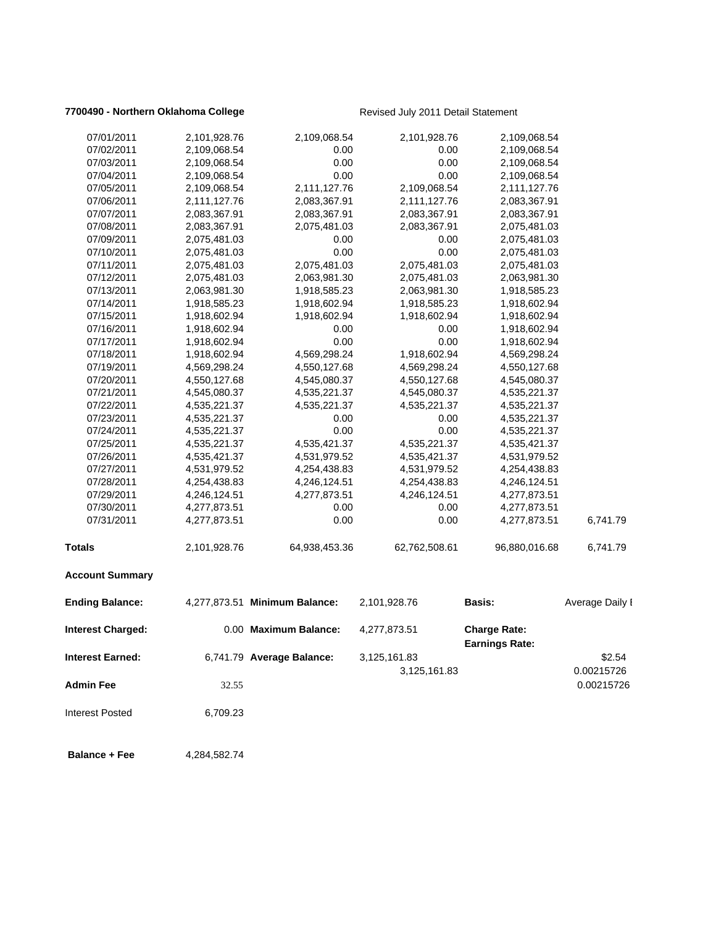## **7700490 - Northern Oklahoma College** Revised July 2011 Detail Statement

| 07/01/2011               | 2,101,928.76 | 2,109,068.54                  | 2,101,928.76  | 2,109,068.54                                 |                 |
|--------------------------|--------------|-------------------------------|---------------|----------------------------------------------|-----------------|
| 07/02/2011               | 2,109,068.54 | 0.00                          | 0.00          | 2,109,068.54                                 |                 |
| 07/03/2011               | 2,109,068.54 | 0.00                          | 0.00          | 2,109,068.54                                 |                 |
| 07/04/2011               | 2,109,068.54 | 0.00                          | 0.00          | 2,109,068.54                                 |                 |
| 07/05/2011               | 2,109,068.54 | 2,111,127.76                  | 2,109,068.54  | 2,111,127.76                                 |                 |
| 07/06/2011               | 2,111,127.76 | 2,083,367.91                  | 2,111,127.76  | 2,083,367.91                                 |                 |
| 07/07/2011               | 2,083,367.91 | 2,083,367.91                  | 2,083,367.91  | 2,083,367.91                                 |                 |
| 07/08/2011               | 2,083,367.91 | 2,075,481.03                  | 2,083,367.91  | 2,075,481.03                                 |                 |
| 07/09/2011               | 2,075,481.03 | 0.00                          | 0.00          | 2,075,481.03                                 |                 |
| 07/10/2011               | 2,075,481.03 | 0.00                          | 0.00          | 2,075,481.03                                 |                 |
| 07/11/2011               | 2,075,481.03 | 2,075,481.03                  | 2,075,481.03  | 2,075,481.03                                 |                 |
| 07/12/2011               | 2,075,481.03 | 2,063,981.30                  | 2,075,481.03  | 2,063,981.30                                 |                 |
| 07/13/2011               | 2,063,981.30 | 1,918,585.23                  | 2,063,981.30  | 1,918,585.23                                 |                 |
| 07/14/2011               | 1,918,585.23 | 1,918,602.94                  | 1,918,585.23  | 1,918,602.94                                 |                 |
| 07/15/2011               | 1,918,602.94 | 1,918,602.94                  | 1,918,602.94  | 1,918,602.94                                 |                 |
| 07/16/2011               | 1,918,602.94 | 0.00                          | 0.00          | 1,918,602.94                                 |                 |
| 07/17/2011               | 1,918,602.94 | 0.00                          | 0.00          | 1,918,602.94                                 |                 |
| 07/18/2011               | 1,918,602.94 | 4,569,298.24                  | 1,918,602.94  | 4,569,298.24                                 |                 |
| 07/19/2011               | 4,569,298.24 | 4,550,127.68                  | 4,569,298.24  | 4,550,127.68                                 |                 |
| 07/20/2011               | 4,550,127.68 | 4,545,080.37                  | 4,550,127.68  | 4,545,080.37                                 |                 |
| 07/21/2011               | 4,545,080.37 | 4,535,221.37                  | 4,545,080.37  | 4,535,221.37                                 |                 |
| 07/22/2011               | 4,535,221.37 | 4,535,221.37                  | 4,535,221.37  | 4,535,221.37                                 |                 |
| 07/23/2011               | 4,535,221.37 | 0.00                          | 0.00          | 4,535,221.37                                 |                 |
| 07/24/2011               | 4,535,221.37 | 0.00                          | 0.00          | 4,535,221.37                                 |                 |
| 07/25/2011               | 4,535,221.37 | 4,535,421.37                  | 4,535,221.37  | 4,535,421.37                                 |                 |
| 07/26/2011               | 4,535,421.37 | 4,531,979.52                  | 4,535,421.37  | 4,531,979.52                                 |                 |
| 07/27/2011               | 4,531,979.52 | 4,254,438.83                  | 4,531,979.52  | 4,254,438.83                                 |                 |
| 07/28/2011               | 4,254,438.83 | 4,246,124.51                  | 4,254,438.83  | 4,246,124.51                                 |                 |
| 07/29/2011               | 4,246,124.51 | 4,277,873.51                  | 4,246,124.51  | 4,277,873.51                                 |                 |
| 07/30/2011               | 4,277,873.51 | 0.00                          | 0.00          | 4,277,873.51                                 |                 |
| 07/31/2011               | 4,277,873.51 | 0.00                          | 0.00          | 4,277,873.51                                 | 6,741.79        |
| <b>Totals</b>            | 2,101,928.76 | 64,938,453.36                 | 62,762,508.61 | 96,880,016.68                                | 6,741.79        |
| <b>Account Summary</b>   |              |                               |               |                                              |                 |
| <b>Ending Balance:</b>   |              | 4,277,873.51 Minimum Balance: | 2,101,928.76  | <b>Basis:</b>                                | Average Daily I |
| <b>Interest Charged:</b> |              | 0.00 Maximum Balance:         | 4,277,873.51  | <b>Charge Rate:</b><br><b>Earnings Rate:</b> |                 |
| Interest Earned:         |              | 6,741.79 Average Balance:     | 3,125,161.83  |                                              | \$2.54          |
|                          |              |                               | 3,125,161.83  |                                              | 0.00215726      |
| Admin Fee                | 32.55        |                               |               |                                              | 0.00215726      |
| <b>Interest Posted</b>   | 6,709.23     |                               |               |                                              |                 |
| <b>Balance + Fee</b>     | 4,284,582.74 |                               |               |                                              |                 |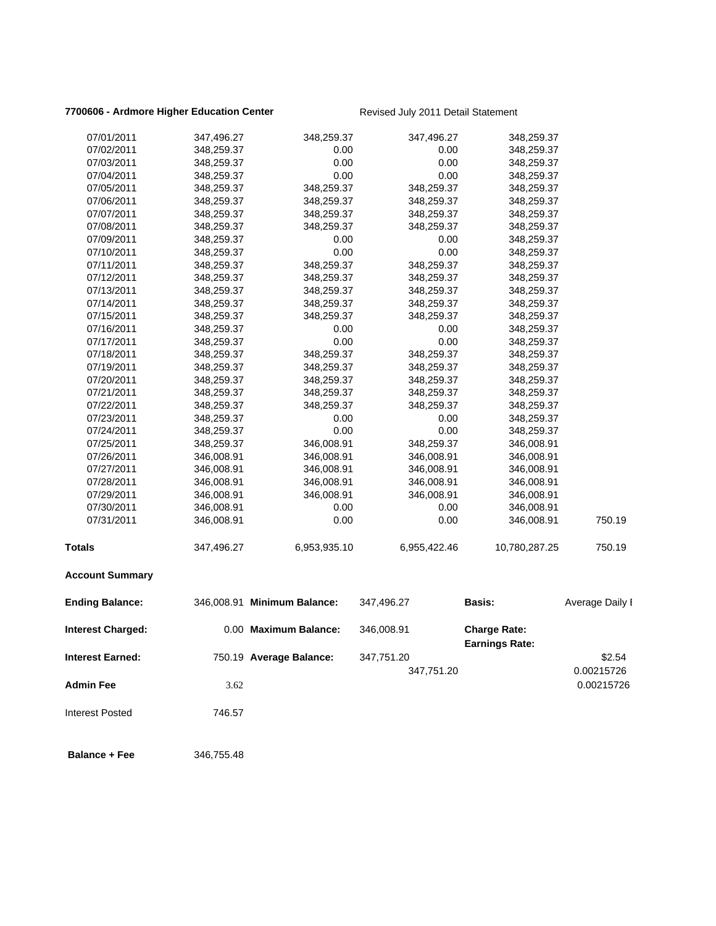## **7700606 - Ardmore Higher Education Center** Revised July 2011 Detail Statement

| 07/01/2011               | 347,496.27 | 348,259.37                  | 347,496.27   | 348,259.37                                   |                 |
|--------------------------|------------|-----------------------------|--------------|----------------------------------------------|-----------------|
| 07/02/2011               | 348,259.37 | 0.00                        | 0.00         | 348,259.37                                   |                 |
| 07/03/2011               | 348,259.37 | 0.00                        | 0.00         | 348,259.37                                   |                 |
| 07/04/2011               | 348,259.37 | 0.00                        | 0.00         | 348,259.37                                   |                 |
| 07/05/2011               | 348,259.37 | 348,259.37                  | 348,259.37   | 348,259.37                                   |                 |
| 07/06/2011               | 348,259.37 | 348,259.37                  | 348,259.37   | 348,259.37                                   |                 |
| 07/07/2011               | 348,259.37 | 348,259.37                  | 348,259.37   | 348,259.37                                   |                 |
| 07/08/2011               | 348,259.37 | 348,259.37                  | 348,259.37   | 348,259.37                                   |                 |
| 07/09/2011               | 348,259.37 | 0.00                        | 0.00         | 348,259.37                                   |                 |
| 07/10/2011               | 348,259.37 | 0.00                        | 0.00         | 348,259.37                                   |                 |
| 07/11/2011               | 348,259.37 | 348,259.37                  | 348,259.37   | 348,259.37                                   |                 |
| 07/12/2011               | 348,259.37 | 348,259.37                  | 348,259.37   | 348,259.37                                   |                 |
| 07/13/2011               | 348,259.37 | 348,259.37                  | 348,259.37   | 348,259.37                                   |                 |
| 07/14/2011               | 348,259.37 | 348,259.37                  | 348,259.37   | 348,259.37                                   |                 |
| 07/15/2011               | 348,259.37 | 348,259.37                  | 348,259.37   | 348,259.37                                   |                 |
| 07/16/2011               | 348,259.37 | 0.00                        | 0.00         | 348,259.37                                   |                 |
| 07/17/2011               | 348,259.37 | 0.00                        | 0.00         | 348,259.37                                   |                 |
| 07/18/2011               | 348,259.37 | 348,259.37                  | 348,259.37   | 348,259.37                                   |                 |
| 07/19/2011               | 348,259.37 | 348,259.37                  | 348,259.37   | 348,259.37                                   |                 |
| 07/20/2011               | 348,259.37 | 348,259.37                  | 348,259.37   | 348,259.37                                   |                 |
| 07/21/2011               | 348,259.37 | 348,259.37                  | 348,259.37   | 348,259.37                                   |                 |
| 07/22/2011               | 348,259.37 | 348,259.37                  | 348,259.37   | 348,259.37                                   |                 |
| 07/23/2011               | 348,259.37 | 0.00                        | 0.00         | 348,259.37                                   |                 |
| 07/24/2011               | 348,259.37 | 0.00                        | 0.00         | 348,259.37                                   |                 |
| 07/25/2011               | 348,259.37 | 346,008.91                  | 348,259.37   | 346,008.91                                   |                 |
| 07/26/2011               | 346,008.91 | 346,008.91                  | 346,008.91   | 346,008.91                                   |                 |
| 07/27/2011               | 346,008.91 | 346,008.91                  | 346,008.91   | 346,008.91                                   |                 |
| 07/28/2011               | 346,008.91 | 346,008.91                  | 346,008.91   | 346,008.91                                   |                 |
| 07/29/2011               | 346,008.91 | 346,008.91                  | 346,008.91   | 346,008.91                                   |                 |
| 07/30/2011               | 346,008.91 | 0.00                        | 0.00         | 346,008.91                                   |                 |
| 07/31/2011               | 346,008.91 | 0.00                        | 0.00         | 346,008.91                                   | 750.19          |
| Totals                   | 347,496.27 | 6,953,935.10                | 6,955,422.46 | 10,780,287.25                                | 750.19          |
| <b>Account Summary</b>   |            |                             |              |                                              |                 |
| <b>Ending Balance:</b>   |            | 346,008.91 Minimum Balance: | 347,496.27   | <b>Basis:</b>                                | Average Daily I |
| <b>Interest Charged:</b> |            | 0.00 Maximum Balance:       | 346,008.91   | <b>Charge Rate:</b><br><b>Earnings Rate:</b> |                 |
| <b>Interest Earned:</b>  |            | 750.19 Average Balance:     | 347,751.20   |                                              | \$2.54          |
|                          |            |                             | 347,751.20   |                                              | 0.00215726      |
| <b>Admin Fee</b>         | 3.62       |                             |              |                                              | 0.00215726      |
| <b>Interest Posted</b>   | 746.57     |                             |              |                                              |                 |
| <b>Balance + Fee</b>     | 346,755.48 |                             |              |                                              |                 |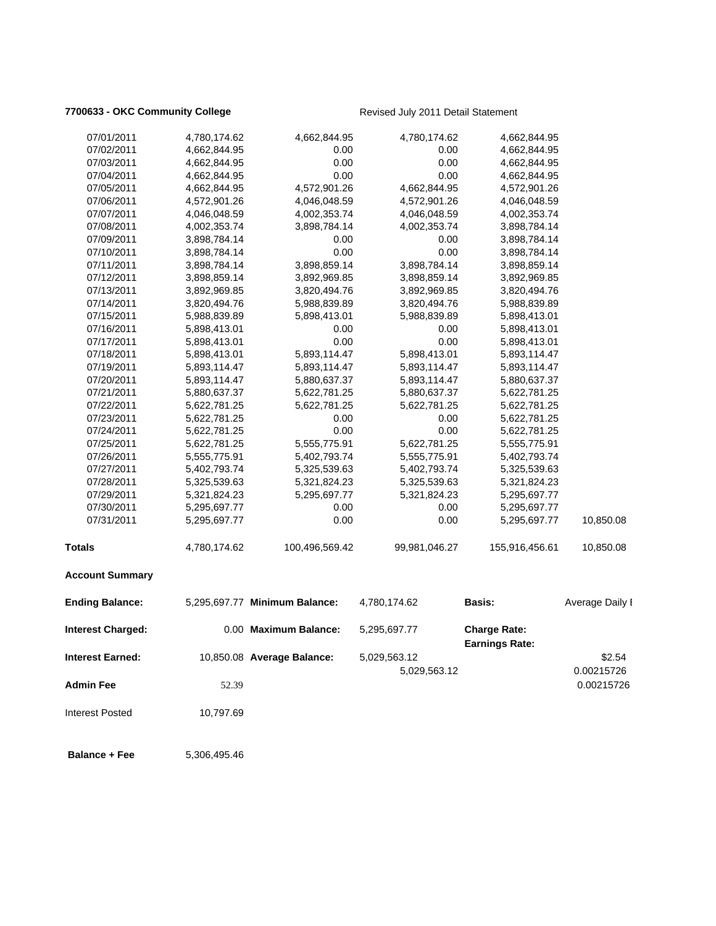## **7700633 - OKC Community College** Revised July 2011 Detail Statement

| 07/01/2011               | 4,780,174.62 | 4,662,844.95                  | 4,780,174.62  | 4,662,844.95                                 |                 |
|--------------------------|--------------|-------------------------------|---------------|----------------------------------------------|-----------------|
| 07/02/2011               | 4,662,844.95 | 0.00                          | 0.00          | 4,662,844.95                                 |                 |
| 07/03/2011               | 4,662,844.95 | 0.00                          | 0.00          | 4,662,844.95                                 |                 |
| 07/04/2011               | 4,662,844.95 | 0.00                          | 0.00          | 4,662,844.95                                 |                 |
| 07/05/2011               | 4,662,844.95 | 4,572,901.26                  | 4,662,844.95  | 4,572,901.26                                 |                 |
| 07/06/2011               | 4,572,901.26 | 4,046,048.59                  | 4,572,901.26  | 4,046,048.59                                 |                 |
| 07/07/2011               | 4,046,048.59 | 4,002,353.74                  | 4,046,048.59  | 4,002,353.74                                 |                 |
| 07/08/2011               | 4,002,353.74 | 3,898,784.14                  | 4,002,353.74  | 3,898,784.14                                 |                 |
| 07/09/2011               | 3,898,784.14 | 0.00                          | 0.00          | 3,898,784.14                                 |                 |
| 07/10/2011               | 3,898,784.14 | 0.00                          | 0.00          | 3,898,784.14                                 |                 |
| 07/11/2011               | 3,898,784.14 | 3,898,859.14                  | 3,898,784.14  | 3,898,859.14                                 |                 |
| 07/12/2011               | 3,898,859.14 | 3,892,969.85                  | 3,898,859.14  | 3,892,969.85                                 |                 |
| 07/13/2011               | 3,892,969.85 | 3,820,494.76                  | 3,892,969.85  | 3,820,494.76                                 |                 |
| 07/14/2011               | 3,820,494.76 | 5,988,839.89                  | 3,820,494.76  | 5,988,839.89                                 |                 |
| 07/15/2011               | 5,988,839.89 | 5,898,413.01                  | 5,988,839.89  | 5,898,413.01                                 |                 |
| 07/16/2011               | 5,898,413.01 | 0.00                          | 0.00          | 5,898,413.01                                 |                 |
| 07/17/2011               | 5,898,413.01 | 0.00                          | 0.00          | 5,898,413.01                                 |                 |
| 07/18/2011               | 5,898,413.01 | 5,893,114.47                  | 5,898,413.01  | 5,893,114.47                                 |                 |
| 07/19/2011               | 5,893,114.47 | 5,893,114.47                  | 5,893,114.47  | 5,893,114.47                                 |                 |
| 07/20/2011               | 5,893,114.47 | 5,880,637.37                  | 5,893,114.47  | 5,880,637.37                                 |                 |
| 07/21/2011               | 5,880,637.37 | 5,622,781.25                  | 5,880,637.37  | 5,622,781.25                                 |                 |
| 07/22/2011               | 5,622,781.25 | 5,622,781.25                  | 5,622,781.25  | 5,622,781.25                                 |                 |
| 07/23/2011               | 5,622,781.25 | 0.00                          | 0.00          | 5,622,781.25                                 |                 |
| 07/24/2011               | 5,622,781.25 | 0.00                          | 0.00          | 5,622,781.25                                 |                 |
| 07/25/2011               | 5,622,781.25 | 5,555,775.91                  | 5,622,781.25  | 5,555,775.91                                 |                 |
| 07/26/2011               | 5,555,775.91 | 5,402,793.74                  | 5,555,775.91  | 5,402,793.74                                 |                 |
| 07/27/2011               | 5,402,793.74 | 5,325,539.63                  | 5,402,793.74  | 5,325,539.63                                 |                 |
| 07/28/2011               | 5,325,539.63 | 5,321,824.23                  | 5,325,539.63  | 5,321,824.23                                 |                 |
| 07/29/2011               | 5,321,824.23 | 5,295,697.77                  | 5,321,824.23  | 5,295,697.77                                 |                 |
| 07/30/2011               | 5,295,697.77 | 0.00                          | 0.00          | 5,295,697.77                                 |                 |
| 07/31/2011               | 5,295,697.77 | 0.00                          | 0.00          | 5,295,697.77                                 | 10,850.08       |
| <b>Totals</b>            | 4,780,174.62 | 100,496,569.42                | 99,981,046.27 | 155,916,456.61                               | 10,850.08       |
| <b>Account Summary</b>   |              |                               |               |                                              |                 |
| <b>Ending Balance:</b>   |              | 5,295,697.77 Minimum Balance: | 4,780,174.62  | <b>Basis:</b>                                | Average Daily I |
| <b>Interest Charged:</b> |              | 0.00 Maximum Balance:         | 5,295,697.77  | <b>Charge Rate:</b><br><b>Earnings Rate:</b> |                 |
| <b>Interest Earned:</b>  |              | 10,850.08 Average Balance:    | 5,029,563.12  |                                              | \$2.54          |
|                          |              |                               | 5,029,563.12  |                                              | 0.00215726      |
| <b>Admin Fee</b>         | 52.39        |                               |               |                                              | 0.00215726      |
| <b>Interest Posted</b>   | 10,797.69    |                               |               |                                              |                 |
| <b>Balance + Fee</b>     | 5,306,495.46 |                               |               |                                              |                 |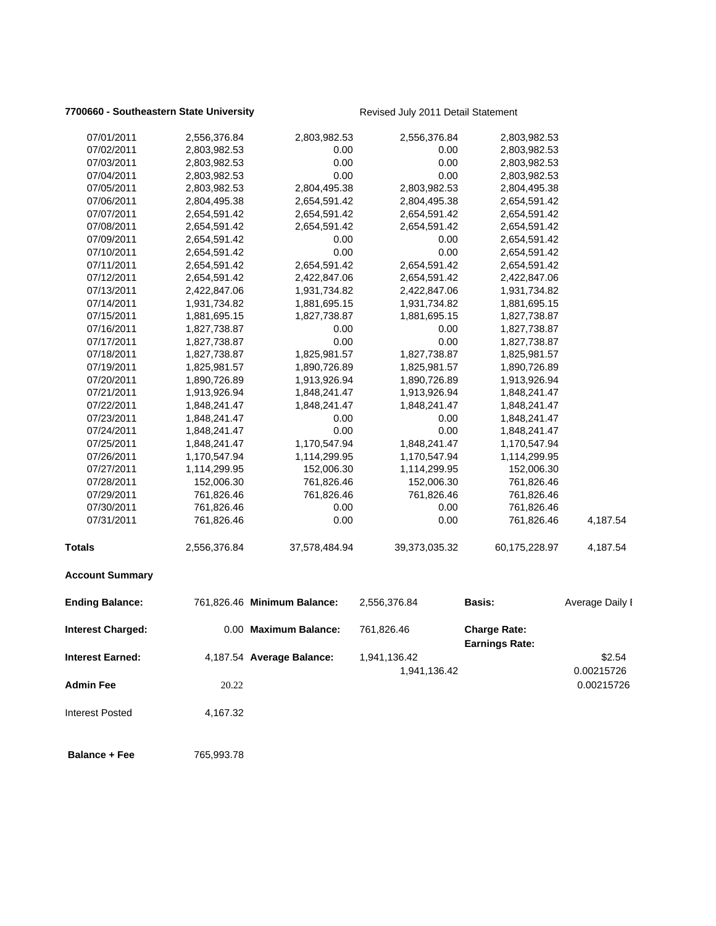## **7700660 - Southeastern State University** Revised July 2011 Detail Statement

| 07/01/2011              | 2,556,376.84 | 2,803,982.53                | 2,556,376.84  | 2,803,982.53                                 |                 |
|-------------------------|--------------|-----------------------------|---------------|----------------------------------------------|-----------------|
| 07/02/2011              | 2,803,982.53 | 0.00                        | 0.00          | 2,803,982.53                                 |                 |
| 07/03/2011              | 2,803,982.53 | 0.00                        | 0.00          | 2,803,982.53                                 |                 |
| 07/04/2011              | 2,803,982.53 | 0.00                        | 0.00          | 2,803,982.53                                 |                 |
| 07/05/2011              | 2,803,982.53 | 2,804,495.38                | 2,803,982.53  | 2,804,495.38                                 |                 |
| 07/06/2011              | 2,804,495.38 | 2,654,591.42                | 2,804,495.38  | 2,654,591.42                                 |                 |
| 07/07/2011              | 2,654,591.42 | 2,654,591.42                | 2,654,591.42  | 2,654,591.42                                 |                 |
| 07/08/2011              | 2,654,591.42 | 2,654,591.42                | 2,654,591.42  | 2,654,591.42                                 |                 |
| 07/09/2011              | 2,654,591.42 | 0.00                        | 0.00          | 2,654,591.42                                 |                 |
| 07/10/2011              | 2,654,591.42 | 0.00                        | 0.00          | 2,654,591.42                                 |                 |
| 07/11/2011              | 2,654,591.42 | 2,654,591.42                | 2,654,591.42  | 2,654,591.42                                 |                 |
| 07/12/2011              | 2,654,591.42 | 2,422,847.06                | 2,654,591.42  | 2,422,847.06                                 |                 |
| 07/13/2011              | 2,422,847.06 | 1,931,734.82                | 2,422,847.06  | 1,931,734.82                                 |                 |
| 07/14/2011              | 1,931,734.82 | 1,881,695.15                | 1,931,734.82  | 1,881,695.15                                 |                 |
| 07/15/2011              | 1,881,695.15 | 1,827,738.87                | 1,881,695.15  | 1,827,738.87                                 |                 |
| 07/16/2011              | 1,827,738.87 | 0.00                        | 0.00          | 1,827,738.87                                 |                 |
| 07/17/2011              | 1,827,738.87 | 0.00                        | 0.00          | 1,827,738.87                                 |                 |
| 07/18/2011              | 1,827,738.87 | 1,825,981.57                | 1,827,738.87  | 1,825,981.57                                 |                 |
| 07/19/2011              | 1,825,981.57 | 1,890,726.89                | 1,825,981.57  | 1,890,726.89                                 |                 |
| 07/20/2011              | 1,890,726.89 | 1,913,926.94                | 1,890,726.89  | 1,913,926.94                                 |                 |
| 07/21/2011              | 1,913,926.94 | 1,848,241.47                | 1,913,926.94  | 1,848,241.47                                 |                 |
| 07/22/2011              | 1,848,241.47 | 1,848,241.47                | 1,848,241.47  | 1,848,241.47                                 |                 |
| 07/23/2011              | 1,848,241.47 | 0.00                        | 0.00          | 1,848,241.47                                 |                 |
| 07/24/2011              | 1,848,241.47 | 0.00                        | 0.00          | 1,848,241.47                                 |                 |
| 07/25/2011              | 1,848,241.47 | 1,170,547.94                | 1,848,241.47  | 1,170,547.94                                 |                 |
| 07/26/2011              | 1,170,547.94 | 1,114,299.95                | 1,170,547.94  | 1,114,299.95                                 |                 |
| 07/27/2011              | 1,114,299.95 | 152,006.30                  | 1,114,299.95  | 152,006.30                                   |                 |
| 07/28/2011              | 152,006.30   | 761,826.46                  | 152,006.30    | 761,826.46                                   |                 |
| 07/29/2011              | 761,826.46   | 761,826.46                  | 761,826.46    | 761,826.46                                   |                 |
| 07/30/2011              | 761,826.46   | 0.00                        | 0.00          | 761,826.46                                   |                 |
| 07/31/2011              | 761,826.46   | 0.00                        | 0.00          | 761,826.46                                   | 4,187.54        |
| <b>Totals</b>           | 2,556,376.84 | 37,578,484.94               | 39,373,035.32 | 60,175,228.97                                | 4,187.54        |
| <b>Account Summary</b>  |              |                             |               |                                              |                 |
| <b>Ending Balance:</b>  |              | 761,826.46 Minimum Balance: | 2,556,376.84  | <b>Basis:</b>                                | Average Daily I |
| Interest Charged:       |              | 0.00 Maximum Balance:       | 761,826.46    | <b>Charge Rate:</b><br><b>Earnings Rate:</b> |                 |
| <b>Interest Earned:</b> |              |                             |               |                                              |                 |
|                         |              | 4,187.54 Average Balance:   | 1,941,136.42  |                                              | \$2.54          |
|                         |              |                             | 1,941,136.42  |                                              | 0.00215726      |
| <b>Admin Fee</b>        | 20.22        |                             |               |                                              | 0.00215726      |
| <b>Interest Posted</b>  | 4,167.32     |                             |               |                                              |                 |
|                         |              |                             |               |                                              |                 |

 **Balance + Fee** 765,993.78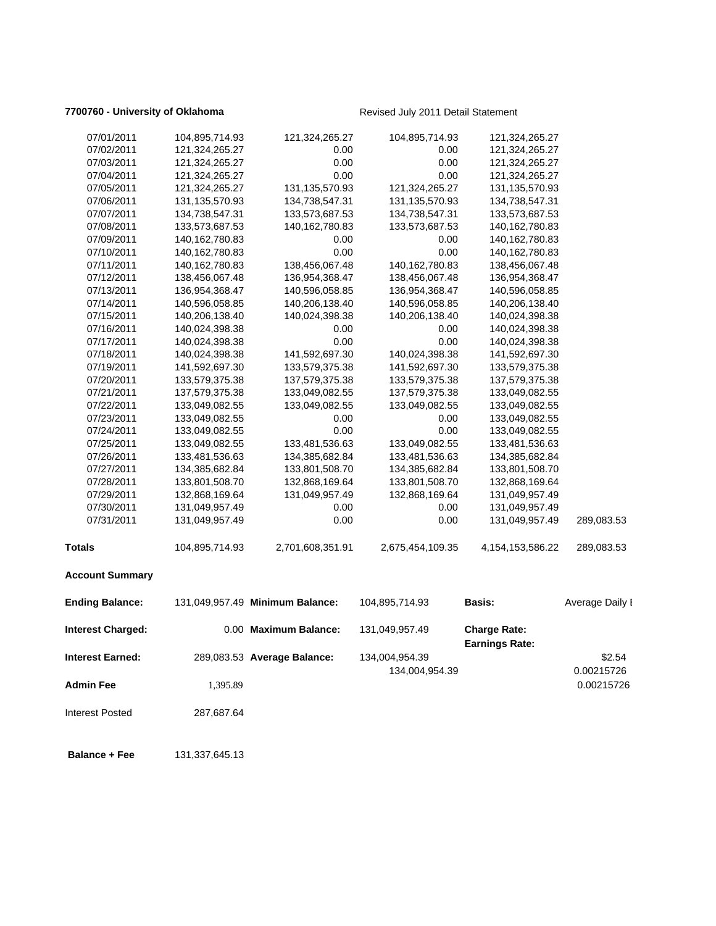## **7700760 - University of Oklahoma Revised July 2011 Detail Statement**

| 07/01/2011               | 104,895,714.93    | 121,324,265.27                  | 104,895,714.93   | 121,324,265.27                               |                 |
|--------------------------|-------------------|---------------------------------|------------------|----------------------------------------------|-----------------|
| 07/02/2011               | 121,324,265.27    | 0.00                            | 0.00             | 121,324,265.27                               |                 |
| 07/03/2011               | 121,324,265.27    | 0.00                            | 0.00             | 121,324,265.27                               |                 |
| 07/04/2011               | 121,324,265.27    | 0.00                            | 0.00             | 121,324,265.27                               |                 |
| 07/05/2011               | 121,324,265.27    | 131,135,570.93                  | 121,324,265.27   | 131, 135, 570. 93                            |                 |
| 07/06/2011               | 131, 135, 570. 93 | 134,738,547.31                  | 131,135,570.93   | 134,738,547.31                               |                 |
| 07/07/2011               | 134,738,547.31    | 133,573,687.53                  | 134,738,547.31   | 133,573,687.53                               |                 |
| 07/08/2011               | 133,573,687.53    | 140, 162, 780. 83               | 133,573,687.53   | 140,162,780.83                               |                 |
| 07/09/2011               | 140, 162, 780. 83 | 0.00                            | 0.00             | 140,162,780.83                               |                 |
| 07/10/2011               | 140,162,780.83    | 0.00                            | 0.00             | 140,162,780.83                               |                 |
| 07/11/2011               | 140, 162, 780. 83 | 138,456,067.48                  | 140,162,780.83   | 138,456,067.48                               |                 |
| 07/12/2011               | 138,456,067.48    | 136,954,368.47                  | 138,456,067.48   | 136,954,368.47                               |                 |
| 07/13/2011               | 136,954,368.47    | 140,596,058.85                  | 136,954,368.47   | 140,596,058.85                               |                 |
| 07/14/2011               | 140,596,058.85    | 140,206,138.40                  | 140,596,058.85   | 140,206,138.40                               |                 |
| 07/15/2011               | 140,206,138.40    | 140,024,398.38                  | 140,206,138.40   | 140,024,398.38                               |                 |
| 07/16/2011               | 140,024,398.38    | 0.00                            | 0.00             | 140,024,398.38                               |                 |
| 07/17/2011               | 140,024,398.38    | 0.00                            | 0.00             | 140,024,398.38                               |                 |
| 07/18/2011               | 140,024,398.38    | 141,592,697.30                  | 140,024,398.38   | 141,592,697.30                               |                 |
| 07/19/2011               | 141,592,697.30    | 133,579,375.38                  | 141,592,697.30   | 133,579,375.38                               |                 |
| 07/20/2011               | 133,579,375.38    | 137,579,375.38                  | 133,579,375.38   | 137,579,375.38                               |                 |
| 07/21/2011               | 137,579,375.38    | 133,049,082.55                  | 137,579,375.38   | 133,049,082.55                               |                 |
| 07/22/2011               | 133,049,082.55    | 133,049,082.55                  | 133,049,082.55   | 133,049,082.55                               |                 |
| 07/23/2011               | 133,049,082.55    | 0.00                            | 0.00             | 133,049,082.55                               |                 |
| 07/24/2011               | 133,049,082.55    | 0.00                            | 0.00             | 133,049,082.55                               |                 |
| 07/25/2011               | 133,049,082.55    | 133,481,536.63                  | 133,049,082.55   | 133,481,536.63                               |                 |
| 07/26/2011               | 133,481,536.63    | 134,385,682.84                  | 133,481,536.63   | 134,385,682.84                               |                 |
| 07/27/2011               | 134,385,682.84    | 133,801,508.70                  | 134,385,682.84   | 133,801,508.70                               |                 |
| 07/28/2011               | 133,801,508.70    | 132,868,169.64                  | 133,801,508.70   | 132,868,169.64                               |                 |
| 07/29/2011               | 132,868,169.64    | 131,049,957.49                  | 132,868,169.64   | 131,049,957.49                               |                 |
| 07/30/2011               | 131,049,957.49    | 0.00                            | 0.00             | 131,049,957.49                               |                 |
| 07/31/2011               | 131,049,957.49    | 0.00                            | 0.00             | 131,049,957.49                               | 289,083.53      |
| <b>Totals</b>            | 104,895,714.93    | 2,701,608,351.91                | 2,675,454,109.35 | 4, 154, 153, 586. 22                         | 289,083.53      |
| <b>Account Summary</b>   |                   |                                 |                  |                                              |                 |
| <b>Ending Balance:</b>   |                   | 131,049,957.49 Minimum Balance: | 104,895,714.93   | <b>Basis:</b>                                | Average Daily I |
| <b>Interest Charged:</b> |                   | 0.00 Maximum Balance:           | 131,049,957.49   | <b>Charge Rate:</b><br><b>Earnings Rate:</b> |                 |
| <b>Interest Earned:</b>  |                   | 289,083.53 Average Balance:     | 134,004,954.39   |                                              | \$2.54          |
|                          |                   |                                 | 134,004,954.39   |                                              | 0.00215726      |
| <b>Admin Fee</b>         | 1,395.89          |                                 |                  |                                              | 0.00215726      |
|                          |                   |                                 |                  |                                              |                 |
| <b>Interest Posted</b>   | 287,687.64        |                                 |                  |                                              |                 |
| <b>Balance + Fee</b>     | 131,337,645.13    |                                 |                  |                                              |                 |
|                          |                   |                                 |                  |                                              |                 |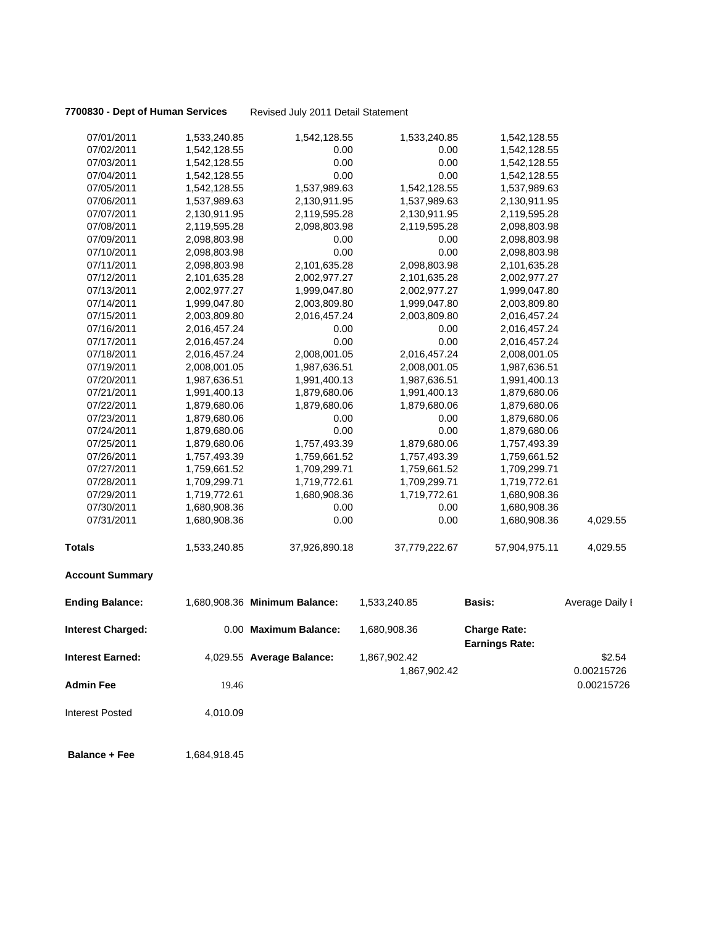**7700830 - Dept of Human Services** Revised July 2011 Detail Statement

| 07/01/2011               | 1,533,240.85 | 1,542,128.55                  | 1,533,240.85  | 1,542,128.55                                 |                 |
|--------------------------|--------------|-------------------------------|---------------|----------------------------------------------|-----------------|
| 07/02/2011               | 1,542,128.55 | 0.00                          | 0.00          | 1,542,128.55                                 |                 |
| 07/03/2011               | 1,542,128.55 | 0.00                          | 0.00          | 1,542,128.55                                 |                 |
| 07/04/2011               | 1,542,128.55 | 0.00                          | 0.00          | 1,542,128.55                                 |                 |
| 07/05/2011               | 1,542,128.55 | 1,537,989.63                  | 1,542,128.55  | 1,537,989.63                                 |                 |
| 07/06/2011               | 1,537,989.63 | 2,130,911.95                  | 1,537,989.63  | 2,130,911.95                                 |                 |
| 07/07/2011               | 2,130,911.95 | 2,119,595.28                  | 2,130,911.95  | 2,119,595.28                                 |                 |
| 07/08/2011               | 2,119,595.28 | 2,098,803.98                  | 2,119,595.28  | 2,098,803.98                                 |                 |
| 07/09/2011               | 2,098,803.98 | 0.00                          | 0.00          | 2,098,803.98                                 |                 |
| 07/10/2011               | 2,098,803.98 | 0.00                          | 0.00          | 2,098,803.98                                 |                 |
| 07/11/2011               | 2,098,803.98 | 2,101,635.28                  | 2,098,803.98  | 2,101,635.28                                 |                 |
| 07/12/2011               | 2,101,635.28 | 2,002,977.27                  | 2,101,635.28  | 2,002,977.27                                 |                 |
| 07/13/2011               | 2,002,977.27 | 1,999,047.80                  | 2,002,977.27  | 1,999,047.80                                 |                 |
| 07/14/2011               | 1,999,047.80 | 2,003,809.80                  | 1,999,047.80  | 2,003,809.80                                 |                 |
| 07/15/2011               | 2,003,809.80 | 2,016,457.24                  | 2,003,809.80  | 2,016,457.24                                 |                 |
| 07/16/2011               | 2,016,457.24 | 0.00                          | 0.00          | 2,016,457.24                                 |                 |
| 07/17/2011               | 2,016,457.24 | 0.00                          | 0.00          | 2,016,457.24                                 |                 |
| 07/18/2011               | 2,016,457.24 | 2,008,001.05                  | 2,016,457.24  | 2,008,001.05                                 |                 |
| 07/19/2011               | 2,008,001.05 | 1,987,636.51                  | 2,008,001.05  | 1,987,636.51                                 |                 |
| 07/20/2011               | 1,987,636.51 | 1,991,400.13                  | 1,987,636.51  | 1,991,400.13                                 |                 |
| 07/21/2011               | 1,991,400.13 | 1,879,680.06                  | 1,991,400.13  | 1,879,680.06                                 |                 |
| 07/22/2011               | 1,879,680.06 | 1,879,680.06                  | 1,879,680.06  | 1,879,680.06                                 |                 |
| 07/23/2011               | 1,879,680.06 | 0.00                          | 0.00          | 1,879,680.06                                 |                 |
| 07/24/2011               | 1,879,680.06 | 0.00                          | 0.00          | 1,879,680.06                                 |                 |
| 07/25/2011               | 1,879,680.06 | 1,757,493.39                  | 1,879,680.06  | 1,757,493.39                                 |                 |
| 07/26/2011               | 1,757,493.39 | 1,759,661.52                  | 1,757,493.39  | 1,759,661.52                                 |                 |
| 07/27/2011               | 1,759,661.52 | 1,709,299.71                  | 1,759,661.52  | 1,709,299.71                                 |                 |
| 07/28/2011               | 1,709,299.71 | 1,719,772.61                  | 1,709,299.71  | 1,719,772.61                                 |                 |
| 07/29/2011               | 1,719,772.61 | 1,680,908.36                  | 1,719,772.61  | 1,680,908.36                                 |                 |
| 07/30/2011               | 1,680,908.36 | 0.00                          | 0.00          | 1,680,908.36                                 |                 |
| 07/31/2011               | 1,680,908.36 | 0.00                          | 0.00          | 1,680,908.36                                 | 4,029.55        |
| <b>Totals</b>            | 1,533,240.85 | 37,926,890.18                 | 37,779,222.67 | 57,904,975.11                                | 4,029.55        |
| <b>Account Summary</b>   |              |                               |               |                                              |                 |
| <b>Ending Balance:</b>   |              | 1,680,908.36 Minimum Balance: | 1,533,240.85  | <b>Basis:</b>                                | Average Daily I |
| <b>Interest Charged:</b> |              | 0.00 Maximum Balance:         | 1,680,908.36  | <b>Charge Rate:</b><br><b>Earnings Rate:</b> |                 |
| <b>Interest Earned:</b>  |              | 4,029.55 Average Balance:     | 1,867,902.42  |                                              | \$2.54          |
|                          |              |                               | 1,867,902.42  |                                              | 0.00215726      |
| <b>Admin Fee</b>         | 19.46        |                               |               |                                              | 0.00215726      |
| <b>Interest Posted</b>   | 4,010.09     |                               |               |                                              |                 |
| <b>Balance + Fee</b>     | 1,684,918.45 |                               |               |                                              |                 |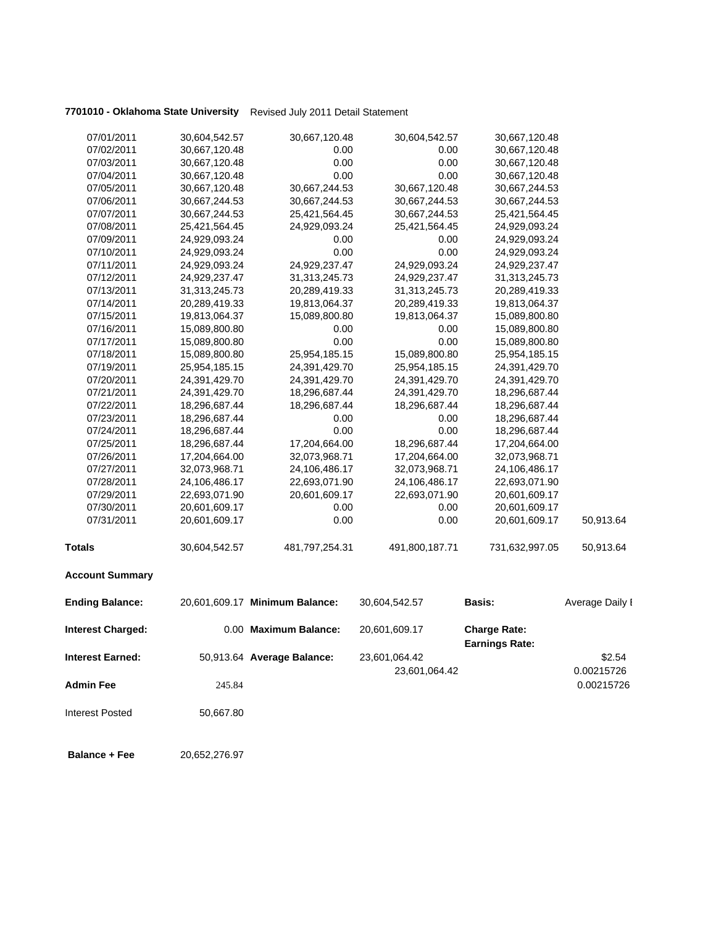# **7701010 - Oklahoma State University** Revised July 2011 Detail Statement

| 07/01/2011               | 30,604,542.57 | 30,667,120.48                  | 30,604,542.57  | 30,667,120.48                                |                 |
|--------------------------|---------------|--------------------------------|----------------|----------------------------------------------|-----------------|
| 07/02/2011               | 30,667,120.48 | 0.00                           | 0.00           | 30,667,120.48                                |                 |
| 07/03/2011               | 30,667,120.48 | 0.00                           | 0.00           | 30,667,120.48                                |                 |
| 07/04/2011               | 30,667,120.48 | 0.00                           | 0.00           | 30,667,120.48                                |                 |
| 07/05/2011               | 30,667,120.48 | 30,667,244.53                  | 30,667,120.48  | 30,667,244.53                                |                 |
| 07/06/2011               | 30,667,244.53 | 30,667,244.53                  | 30,667,244.53  | 30,667,244.53                                |                 |
| 07/07/2011               | 30,667,244.53 | 25,421,564.45                  | 30,667,244.53  | 25,421,564.45                                |                 |
| 07/08/2011               | 25,421,564.45 | 24,929,093.24                  | 25,421,564.45  | 24,929,093.24                                |                 |
| 07/09/2011               | 24,929,093.24 | 0.00                           | 0.00           | 24,929,093.24                                |                 |
| 07/10/2011               | 24,929,093.24 | 0.00                           | 0.00           | 24,929,093.24                                |                 |
| 07/11/2011               | 24,929,093.24 | 24,929,237.47                  | 24,929,093.24  | 24,929,237.47                                |                 |
| 07/12/2011               | 24,929,237.47 | 31,313,245.73                  | 24,929,237.47  | 31,313,245.73                                |                 |
| 07/13/2011               | 31,313,245.73 | 20,289,419.33                  | 31,313,245.73  | 20,289,419.33                                |                 |
| 07/14/2011               | 20,289,419.33 | 19,813,064.37                  | 20,289,419.33  | 19,813,064.37                                |                 |
| 07/15/2011               | 19,813,064.37 | 15,089,800.80                  | 19,813,064.37  | 15,089,800.80                                |                 |
| 07/16/2011               | 15,089,800.80 | 0.00                           | 0.00           | 15,089,800.80                                |                 |
| 07/17/2011               | 15,089,800.80 | 0.00                           | 0.00           | 15,089,800.80                                |                 |
| 07/18/2011               | 15,089,800.80 | 25,954,185.15                  | 15,089,800.80  | 25,954,185.15                                |                 |
| 07/19/2011               | 25,954,185.15 | 24,391,429.70                  | 25,954,185.15  | 24,391,429.70                                |                 |
| 07/20/2011               | 24,391,429.70 | 24,391,429.70                  | 24,391,429.70  | 24,391,429.70                                |                 |
| 07/21/2011               | 24,391,429.70 | 18,296,687.44                  | 24,391,429.70  | 18,296,687.44                                |                 |
| 07/22/2011               | 18,296,687.44 | 18,296,687.44                  | 18,296,687.44  | 18,296,687.44                                |                 |
| 07/23/2011               | 18,296,687.44 | 0.00                           | 0.00           | 18,296,687.44                                |                 |
| 07/24/2011               | 18,296,687.44 | 0.00                           | 0.00           | 18,296,687.44                                |                 |
| 07/25/2011               | 18,296,687.44 | 17,204,664.00                  | 18,296,687.44  | 17,204,664.00                                |                 |
| 07/26/2011               | 17,204,664.00 | 32,073,968.71                  | 17,204,664.00  | 32,073,968.71                                |                 |
| 07/27/2011               | 32,073,968.71 | 24,106,486.17                  | 32,073,968.71  | 24,106,486.17                                |                 |
| 07/28/2011               | 24,106,486.17 | 22,693,071.90                  | 24,106,486.17  | 22,693,071.90                                |                 |
| 07/29/2011               | 22,693,071.90 | 20,601,609.17                  | 22,693,071.90  | 20,601,609.17                                |                 |
| 07/30/2011               | 20,601,609.17 | 0.00                           | 0.00           | 20,601,609.17                                |                 |
| 07/31/2011               | 20,601,609.17 | 0.00                           | 0.00           | 20,601,609.17                                | 50,913.64       |
| <b>Totals</b>            | 30,604,542.57 | 481,797,254.31                 | 491,800,187.71 | 731,632,997.05                               | 50,913.64       |
| <b>Account Summary</b>   |               |                                |                |                                              |                 |
| <b>Ending Balance:</b>   |               | 20,601,609.17 Minimum Balance: | 30,604,542.57  | Basis:                                       | Average Daily I |
| <b>Interest Charged:</b> |               | 0.00 Maximum Balance:          | 20,601,609.17  | <b>Charge Rate:</b><br><b>Earnings Rate:</b> |                 |
| <b>Interest Earned:</b>  |               | 50,913.64 Average Balance:     | 23,601,064.42  |                                              | \$2.54          |
|                          |               |                                | 23,601,064.42  |                                              | 0.00215726      |
| <b>Admin Fee</b>         | 245.84        |                                |                |                                              | 0.00215726      |
|                          |               |                                |                |                                              |                 |
| <b>Interest Posted</b>   | 50,667.80     |                                |                |                                              |                 |

**Balance + Fee** 20,652,276.97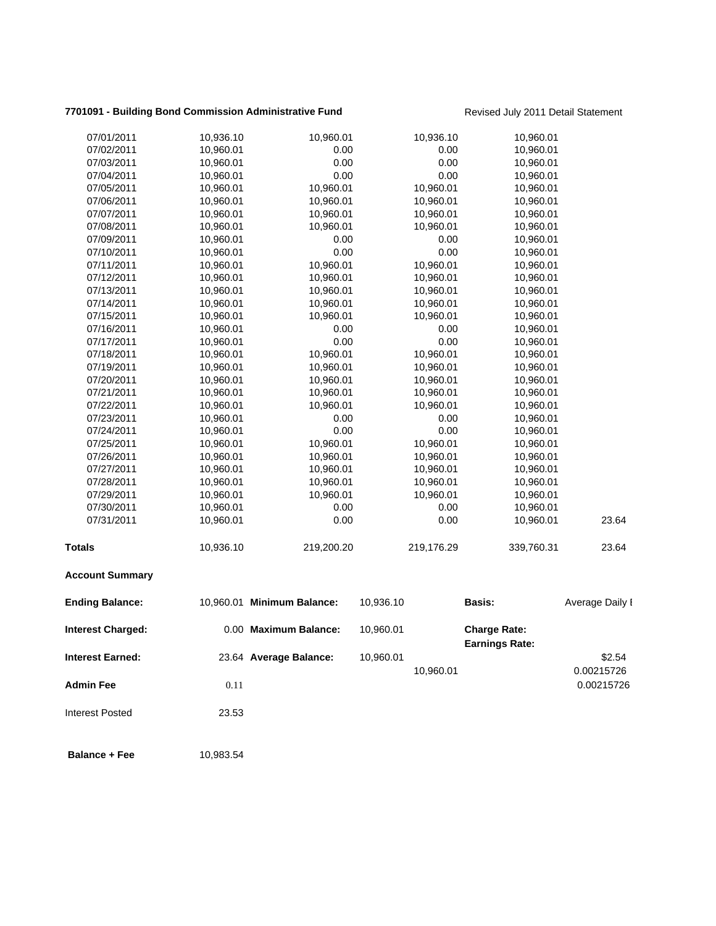## **7701091 - Building Bond Commission Administrative Fund** Revised July 2011 Detail Statement

| <b>Interest Earned:</b>  |           | 23.64 Average Balance:     | 10,960.01 | 10,960.01  |                                              | \$2.54<br>0.00215726 |
|--------------------------|-----------|----------------------------|-----------|------------|----------------------------------------------|----------------------|
| <b>Interest Charged:</b> |           | 0.00 Maximum Balance:      | 10,960.01 |            | <b>Charge Rate:</b><br><b>Earnings Rate:</b> |                      |
| <b>Ending Balance:</b>   |           | 10,960.01 Minimum Balance: | 10,936.10 |            | Basis:                                       | Average Daily I      |
| <b>Account Summary</b>   |           |                            |           |            |                                              |                      |
| Totals                   | 10,936.10 | 219,200.20                 |           | 219,176.29 | 339,760.31                                   | 23.64                |
| 07/31/2011               | 10,960.01 | 0.00                       |           | 0.00       | 10,960.01                                    | 23.64                |
| 07/30/2011               | 10,960.01 | 0.00                       |           | 0.00       | 10,960.01                                    |                      |
| 07/29/2011               | 10,960.01 | 10,960.01                  |           | 10,960.01  | 10,960.01                                    |                      |
| 07/28/2011               | 10,960.01 | 10,960.01                  |           | 10,960.01  | 10,960.01                                    |                      |
| 07/27/2011               | 10,960.01 | 10,960.01                  |           | 10,960.01  | 10,960.01                                    |                      |
| 07/26/2011               | 10,960.01 | 10,960.01                  |           | 10,960.01  | 10,960.01                                    |                      |
| 07/25/2011               | 10,960.01 | 10,960.01                  |           | 10,960.01  | 10,960.01                                    |                      |
| 07/24/2011               | 10,960.01 | 0.00                       |           | 0.00       | 10,960.01                                    |                      |
| 07/23/2011               | 10,960.01 | 0.00                       |           | 0.00       | 10,960.01                                    |                      |
| 07/22/2011               | 10,960.01 | 10,960.01                  |           | 10,960.01  | 10,960.01                                    |                      |
| 07/21/2011               | 10,960.01 | 10,960.01                  |           | 10,960.01  | 10,960.01                                    |                      |
| 07/20/2011               | 10,960.01 | 10,960.01                  |           | 10,960.01  | 10,960.01                                    |                      |
| 07/19/2011               | 10,960.01 | 10,960.01                  |           | 10,960.01  | 10,960.01                                    |                      |
| 07/18/2011               | 10,960.01 | 10,960.01                  |           | 10,960.01  | 10,960.01                                    |                      |
| 07/17/2011               | 10,960.01 | 0.00                       |           | 0.00       | 10,960.01                                    |                      |
| 07/16/2011               | 10,960.01 | 0.00                       |           | 0.00       | 10,960.01                                    |                      |
| 07/15/2011               | 10,960.01 | 10,960.01                  |           | 10,960.01  | 10,960.01                                    |                      |
| 07/14/2011               | 10,960.01 | 10,960.01                  |           | 10,960.01  | 10,960.01                                    |                      |
| 07/13/2011               | 10,960.01 | 10,960.01                  |           | 10,960.01  | 10,960.01                                    |                      |
| 07/12/2011               | 10,960.01 | 10,960.01                  |           | 10,960.01  | 10,960.01                                    |                      |
| 07/11/2011               | 10,960.01 | 10,960.01                  |           | 10,960.01  | 10,960.01                                    |                      |
| 07/10/2011               | 10,960.01 | 0.00                       |           | 0.00       | 10,960.01                                    |                      |
| 07/09/2011               | 10,960.01 | 0.00                       |           | 0.00       | 10,960.01                                    |                      |
| 07/08/2011               | 10,960.01 | 10,960.01                  |           | 10,960.01  | 10,960.01                                    |                      |
| 07/07/2011               | 10,960.01 | 10,960.01                  |           | 10,960.01  | 10,960.01                                    |                      |
| 07/06/2011               | 10,960.01 | 10,960.01                  |           | 10,960.01  | 10,960.01                                    |                      |
| 07/05/2011               | 10,960.01 | 10,960.01                  |           | 10,960.01  | 10,960.01                                    |                      |
| 07/04/2011               | 10,960.01 | 0.00                       |           | 0.00       | 10,960.01                                    |                      |
| 07/03/2011               | 10,960.01 | 0.00                       |           | 0.00       | 10,960.01                                    |                      |
| 07/02/2011               | 10,960.01 | 0.00                       |           | 0.00       | 10,960.01                                    |                      |
| 07/01/2011               | 10,936.10 | 10,960.01                  |           | 10,936.10  | 10,960.01                                    |                      |
|                          |           |                            |           |            |                                              |                      |

**Admin Fee** 0.11 0.00215726

Interest Posted 23.53

**Balance + Fee** 10,983.54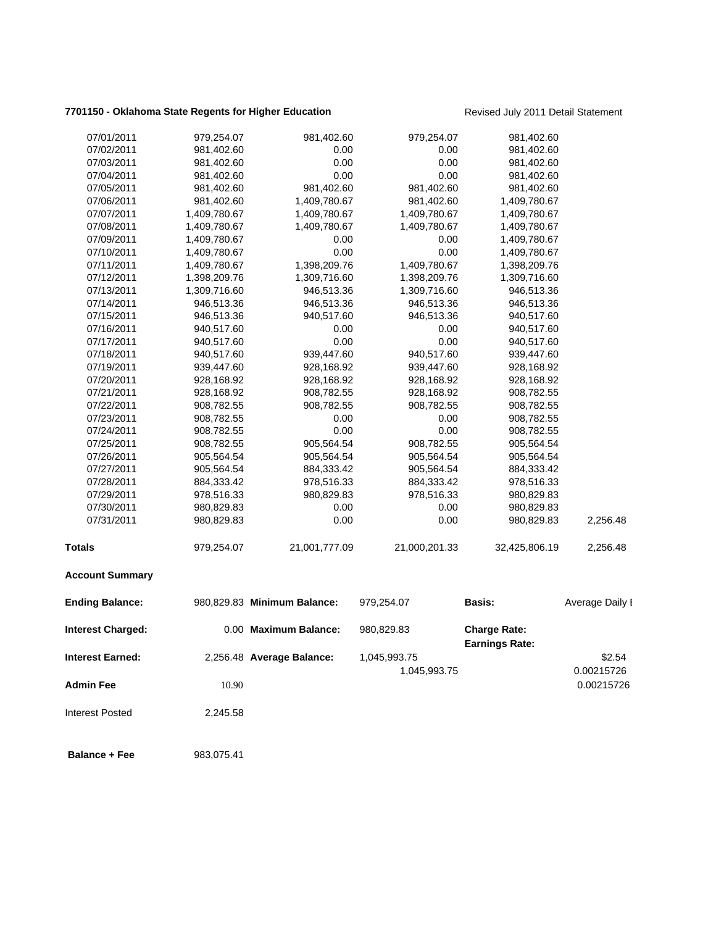## **7701150 - Oklahoma State Regents for Higher Education** Revised July 2011 Detail Statement

| 07/01/2011              | 979,254.07   | 981,402.60                  | 979,254.07    | 981,402.60                                   |                 |
|-------------------------|--------------|-----------------------------|---------------|----------------------------------------------|-----------------|
| 07/02/2011              | 981,402.60   | 0.00                        | 0.00          | 981,402.60                                   |                 |
| 07/03/2011              | 981,402.60   | 0.00                        | 0.00          | 981,402.60                                   |                 |
| 07/04/2011              | 981,402.60   | 0.00                        | 0.00          | 981,402.60                                   |                 |
| 07/05/2011              | 981,402.60   | 981,402.60                  | 981,402.60    | 981,402.60                                   |                 |
| 07/06/2011              | 981,402.60   | 1,409,780.67                | 981,402.60    | 1,409,780.67                                 |                 |
| 07/07/2011              | 1,409,780.67 | 1,409,780.67                | 1,409,780.67  | 1,409,780.67                                 |                 |
| 07/08/2011              | 1,409,780.67 | 1,409,780.67                | 1,409,780.67  | 1,409,780.67                                 |                 |
| 07/09/2011              | 1,409,780.67 | 0.00                        | 0.00          | 1,409,780.67                                 |                 |
| 07/10/2011              | 1,409,780.67 | 0.00                        | 0.00          | 1,409,780.67                                 |                 |
| 07/11/2011              | 1,409,780.67 | 1,398,209.76                | 1,409,780.67  | 1,398,209.76                                 |                 |
| 07/12/2011              | 1,398,209.76 | 1,309,716.60                | 1,398,209.76  | 1,309,716.60                                 |                 |
| 07/13/2011              | 1,309,716.60 | 946,513.36                  | 1,309,716.60  | 946,513.36                                   |                 |
| 07/14/2011              | 946,513.36   | 946,513.36                  | 946,513.36    | 946,513.36                                   |                 |
| 07/15/2011              | 946,513.36   | 940,517.60                  | 946,513.36    | 940,517.60                                   |                 |
| 07/16/2011              | 940,517.60   | 0.00                        | 0.00          | 940,517.60                                   |                 |
| 07/17/2011              | 940,517.60   | 0.00                        | 0.00          | 940,517.60                                   |                 |
| 07/18/2011              | 940,517.60   | 939,447.60                  | 940,517.60    | 939,447.60                                   |                 |
| 07/19/2011              | 939,447.60   | 928,168.92                  | 939,447.60    | 928,168.92                                   |                 |
| 07/20/2011              | 928,168.92   | 928,168.92                  | 928,168.92    | 928,168.92                                   |                 |
| 07/21/2011              | 928,168.92   | 908,782.55                  | 928,168.92    | 908,782.55                                   |                 |
| 07/22/2011              | 908,782.55   | 908,782.55                  | 908,782.55    | 908,782.55                                   |                 |
| 07/23/2011              | 908,782.55   | 0.00                        | 0.00          | 908,782.55                                   |                 |
| 07/24/2011              | 908,782.55   | 0.00                        | 0.00          | 908,782.55                                   |                 |
| 07/25/2011              | 908,782.55   | 905,564.54                  | 908,782.55    | 905,564.54                                   |                 |
| 07/26/2011              | 905,564.54   | 905,564.54                  | 905,564.54    | 905,564.54                                   |                 |
| 07/27/2011              | 905,564.54   | 884,333.42                  | 905,564.54    | 884,333.42                                   |                 |
| 07/28/2011              | 884,333.42   | 978,516.33                  | 884,333.42    | 978,516.33                                   |                 |
| 07/29/2011              | 978,516.33   | 980,829.83                  | 978,516.33    | 980,829.83                                   |                 |
| 07/30/2011              | 980,829.83   | 0.00                        | 0.00          | 980,829.83                                   |                 |
| 07/31/2011              | 980,829.83   | 0.00                        | 0.00          | 980,829.83                                   | 2,256.48        |
| <b>Totals</b>           | 979,254.07   | 21,001,777.09               | 21,000,201.33 | 32,425,806.19                                | 2,256.48        |
| <b>Account Summary</b>  |              |                             |               |                                              |                 |
| <b>Ending Balance:</b>  |              | 980,829.83 Minimum Balance: | 979,254.07    | <b>Basis:</b>                                | Average Daily I |
| Interest Charged:       |              | 0.00 Maximum Balance:       | 980,829.83    | <b>Charge Rate:</b><br><b>Earnings Rate:</b> |                 |
| <b>Interest Earned:</b> |              | 2,256.48 Average Balance:   | 1,045,993.75  |                                              | \$2.54          |
|                         |              |                             | 1,045,993.75  |                                              | 0.00215726      |
| <b>Admin Fee</b>        |              |                             |               |                                              |                 |
|                         | 10.90        |                             |               |                                              | 0.00215726      |
| <b>Interest Posted</b>  | 2,245.58     |                             |               |                                              |                 |
| <b>Balance + Fee</b>    | 983,075.41   |                             |               |                                              |                 |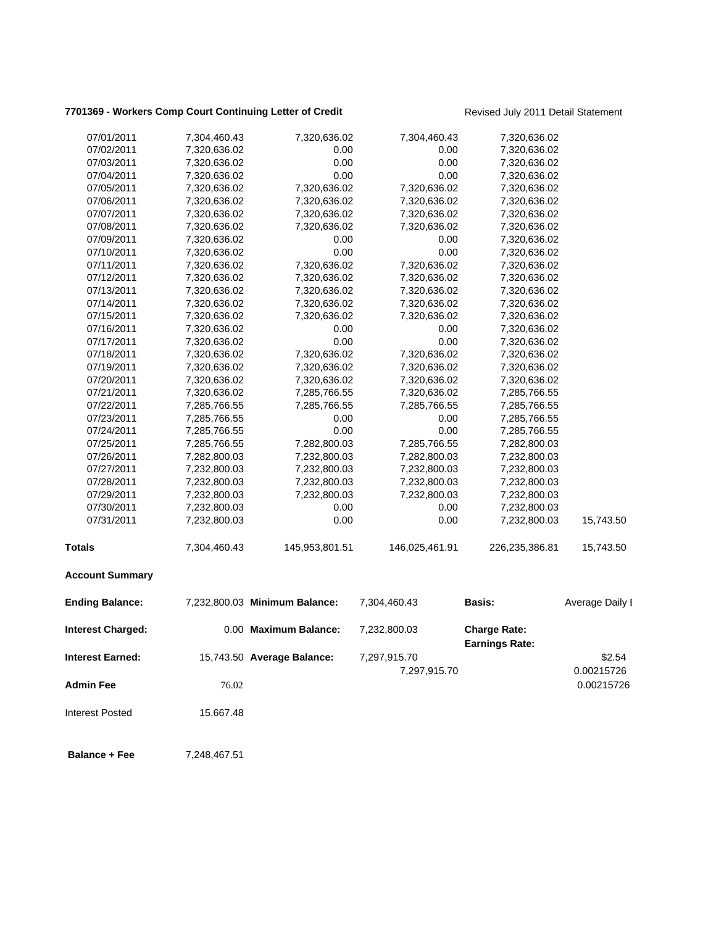# **7701369 - Workers Comp Court Continuing Letter of Credit** Revised July 2011 Detail Statement

| 07/01/2011              | 7,304,460.43 | 7,320,636.02                  | 7,304,460.43                 | 7,320,636.02                                 |                      |
|-------------------------|--------------|-------------------------------|------------------------------|----------------------------------------------|----------------------|
| 07/02/2011              | 7,320,636.02 | 0.00                          | 0.00                         | 7,320,636.02                                 |                      |
| 07/03/2011              | 7,320,636.02 | 0.00                          | 0.00                         | 7,320,636.02                                 |                      |
| 07/04/2011              | 7,320,636.02 | 0.00                          | 0.00                         | 7,320,636.02                                 |                      |
| 07/05/2011              | 7,320,636.02 | 7,320,636.02                  | 7,320,636.02                 | 7,320,636.02                                 |                      |
| 07/06/2011              | 7,320,636.02 | 7,320,636.02                  | 7,320,636.02                 | 7,320,636.02                                 |                      |
| 07/07/2011              | 7,320,636.02 | 7,320,636.02                  | 7,320,636.02                 | 7,320,636.02                                 |                      |
| 07/08/2011              | 7,320,636.02 | 7,320,636.02                  | 7,320,636.02                 | 7,320,636.02                                 |                      |
| 07/09/2011              | 7,320,636.02 | 0.00                          | 0.00                         | 7,320,636.02                                 |                      |
| 07/10/2011              | 7,320,636.02 | 0.00                          | 0.00                         | 7,320,636.02                                 |                      |
| 07/11/2011              | 7,320,636.02 | 7,320,636.02                  | 7,320,636.02                 | 7,320,636.02                                 |                      |
| 07/12/2011              | 7,320,636.02 | 7,320,636.02                  | 7,320,636.02                 | 7,320,636.02                                 |                      |
| 07/13/2011              | 7,320,636.02 | 7,320,636.02                  | 7,320,636.02                 | 7,320,636.02                                 |                      |
| 07/14/2011              | 7,320,636.02 | 7,320,636.02                  | 7,320,636.02                 | 7,320,636.02                                 |                      |
| 07/15/2011              | 7,320,636.02 | 7,320,636.02                  | 7,320,636.02                 | 7,320,636.02                                 |                      |
| 07/16/2011              | 7,320,636.02 | 0.00                          | 0.00                         | 7,320,636.02                                 |                      |
| 07/17/2011              | 7,320,636.02 | 0.00                          | 0.00                         | 7,320,636.02                                 |                      |
| 07/18/2011              | 7,320,636.02 | 7,320,636.02                  | 7,320,636.02                 | 7,320,636.02                                 |                      |
| 07/19/2011              | 7,320,636.02 | 7,320,636.02                  | 7,320,636.02                 | 7,320,636.02                                 |                      |
| 07/20/2011              | 7,320,636.02 | 7,320,636.02                  | 7,320,636.02                 | 7,320,636.02                                 |                      |
| 07/21/2011              | 7,320,636.02 | 7,285,766.55                  | 7,320,636.02                 | 7,285,766.55                                 |                      |
| 07/22/2011              | 7,285,766.55 | 7,285,766.55                  | 7,285,766.55                 | 7,285,766.55                                 |                      |
| 07/23/2011              | 7,285,766.55 | 0.00                          | 0.00                         | 7,285,766.55                                 |                      |
| 07/24/2011              | 7,285,766.55 | 0.00                          | 0.00                         | 7,285,766.55                                 |                      |
| 07/25/2011              | 7,285,766.55 | 7,282,800.03                  | 7,285,766.55                 | 7,282,800.03                                 |                      |
| 07/26/2011              | 7,282,800.03 | 7,232,800.03                  | 7,282,800.03                 | 7,232,800.03                                 |                      |
| 07/27/2011              | 7,232,800.03 | 7,232,800.03                  | 7,232,800.03                 | 7,232,800.03                                 |                      |
| 07/28/2011              | 7,232,800.03 | 7,232,800.03                  | 7,232,800.03                 | 7,232,800.03                                 |                      |
| 07/29/2011              | 7,232,800.03 | 7,232,800.03                  | 7,232,800.03                 | 7,232,800.03                                 |                      |
| 07/30/2011              | 7,232,800.03 | 0.00                          | 0.00                         | 7,232,800.03                                 |                      |
| 07/31/2011              | 7,232,800.03 | 0.00                          | 0.00                         | 7,232,800.03                                 | 15,743.50            |
| <b>Totals</b>           | 7,304,460.43 | 145,953,801.51                | 146,025,461.91               | 226,235,386.81                               | 15,743.50            |
| <b>Account Summary</b>  |              |                               |                              |                                              |                      |
| <b>Ending Balance:</b>  |              | 7,232,800.03 Minimum Balance: | 7,304,460.43                 | <b>Basis:</b>                                | Average Daily I      |
| Interest Charged:       |              | 0.00 Maximum Balance:         | 7,232,800.03                 | <b>Charge Rate:</b><br><b>Earnings Rate:</b> |                      |
| <b>Interest Earned:</b> |              | 15,743.50 Average Balance:    | 7,297,915.70<br>7,297,915.70 |                                              | \$2.54<br>0.00215726 |
| <b>Admin Fee</b>        | 76.02        |                               |                              |                                              | 0.00215726           |
| <b>Interest Posted</b>  | 15,667.48    |                               |                              |                                              |                      |
| <b>Balance + Fee</b>    | 7,248,467.51 |                               |                              |                                              |                      |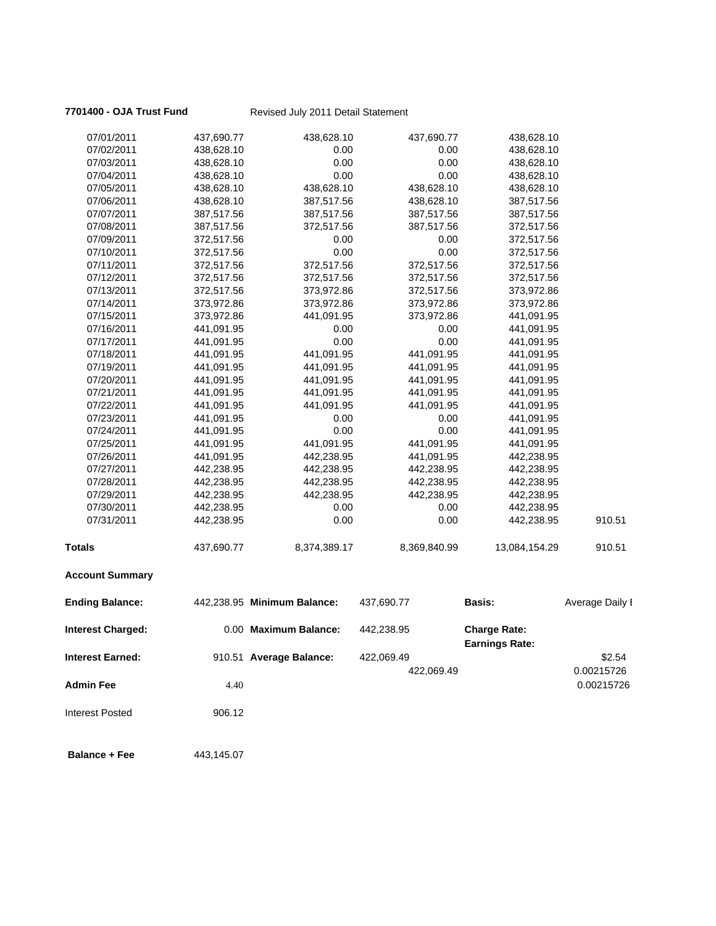## **7701400 - OJA Trust Fund** Revised July 2011 Detail Statement

| 07/01/2011               | 437,690.77 | 438,628.10                  | 437,690.77   | 438,628.10                                   |                 |
|--------------------------|------------|-----------------------------|--------------|----------------------------------------------|-----------------|
| 07/02/2011               | 438,628.10 | 0.00                        | 0.00         | 438,628.10                                   |                 |
| 07/03/2011               | 438,628.10 | 0.00                        | 0.00         | 438,628.10                                   |                 |
| 07/04/2011               | 438,628.10 | 0.00                        | 0.00         | 438,628.10                                   |                 |
| 07/05/2011               | 438,628.10 | 438,628.10                  | 438,628.10   | 438,628.10                                   |                 |
| 07/06/2011               | 438,628.10 | 387,517.56                  | 438,628.10   | 387,517.56                                   |                 |
| 07/07/2011               | 387,517.56 | 387,517.56                  | 387,517.56   | 387,517.56                                   |                 |
| 07/08/2011               | 387,517.56 | 372,517.56                  | 387,517.56   | 372,517.56                                   |                 |
| 07/09/2011               | 372,517.56 | 0.00                        | 0.00         | 372,517.56                                   |                 |
| 07/10/2011               | 372,517.56 | 0.00                        | 0.00         | 372,517.56                                   |                 |
| 07/11/2011               | 372,517.56 | 372,517.56                  | 372,517.56   | 372,517.56                                   |                 |
| 07/12/2011               | 372,517.56 | 372,517.56                  | 372,517.56   | 372,517.56                                   |                 |
| 07/13/2011               | 372,517.56 | 373,972.86                  | 372,517.56   | 373,972.86                                   |                 |
| 07/14/2011               | 373,972.86 | 373,972.86                  | 373,972.86   | 373,972.86                                   |                 |
| 07/15/2011               | 373,972.86 | 441,091.95                  | 373,972.86   | 441,091.95                                   |                 |
| 07/16/2011               | 441,091.95 | 0.00                        | 0.00         | 441,091.95                                   |                 |
| 07/17/2011               | 441,091.95 | 0.00                        | 0.00         | 441,091.95                                   |                 |
| 07/18/2011               | 441,091.95 | 441,091.95                  | 441,091.95   | 441,091.95                                   |                 |
| 07/19/2011               | 441,091.95 | 441,091.95                  | 441,091.95   | 441,091.95                                   |                 |
| 07/20/2011               | 441,091.95 | 441,091.95                  | 441,091.95   | 441,091.95                                   |                 |
| 07/21/2011               | 441,091.95 | 441,091.95                  | 441,091.95   | 441,091.95                                   |                 |
| 07/22/2011               | 441,091.95 | 441,091.95                  | 441,091.95   | 441,091.95                                   |                 |
| 07/23/2011               | 441,091.95 | 0.00                        | 0.00         | 441,091.95                                   |                 |
| 07/24/2011               | 441,091.95 | 0.00                        | 0.00         | 441,091.95                                   |                 |
| 07/25/2011               | 441,091.95 | 441,091.95                  | 441,091.95   | 441,091.95                                   |                 |
| 07/26/2011               | 441,091.95 | 442,238.95                  | 441,091.95   | 442,238.95                                   |                 |
| 07/27/2011               | 442,238.95 | 442,238.95                  | 442,238.95   | 442,238.95                                   |                 |
| 07/28/2011               | 442,238.95 | 442,238.95                  | 442,238.95   | 442,238.95                                   |                 |
| 07/29/2011               | 442,238.95 | 442,238.95                  | 442,238.95   | 442,238.95                                   |                 |
| 07/30/2011               | 442,238.95 | 0.00                        | 0.00         | 442,238.95                                   |                 |
| 07/31/2011               | 442,238.95 | 0.00                        | 0.00         | 442,238.95                                   | 910.51          |
| Totals                   | 437,690.77 | 8,374,389.17                | 8,369,840.99 | 13,084,154.29                                | 910.51          |
| <b>Account Summary</b>   |            |                             |              |                                              |                 |
| <b>Ending Balance:</b>   |            | 442,238.95 Minimum Balance: | 437,690.77   | <b>Basis:</b>                                | Average Daily I |
| <b>Interest Charged:</b> |            | 0.00 Maximum Balance:       | 442,238.95   | <b>Charge Rate:</b><br><b>Earnings Rate:</b> |                 |
| <b>Interest Earned:</b>  |            | 910.51 Average Balance:     | 422,069.49   |                                              | \$2.54          |
|                          |            |                             | 422,069.49   |                                              | 0.00215726      |
| <b>Admin Fee</b>         | 4.40       |                             |              |                                              | 0.00215726      |
| <b>Interest Posted</b>   | 906.12     |                             |              |                                              |                 |

**Balance + Fee** 443,145.07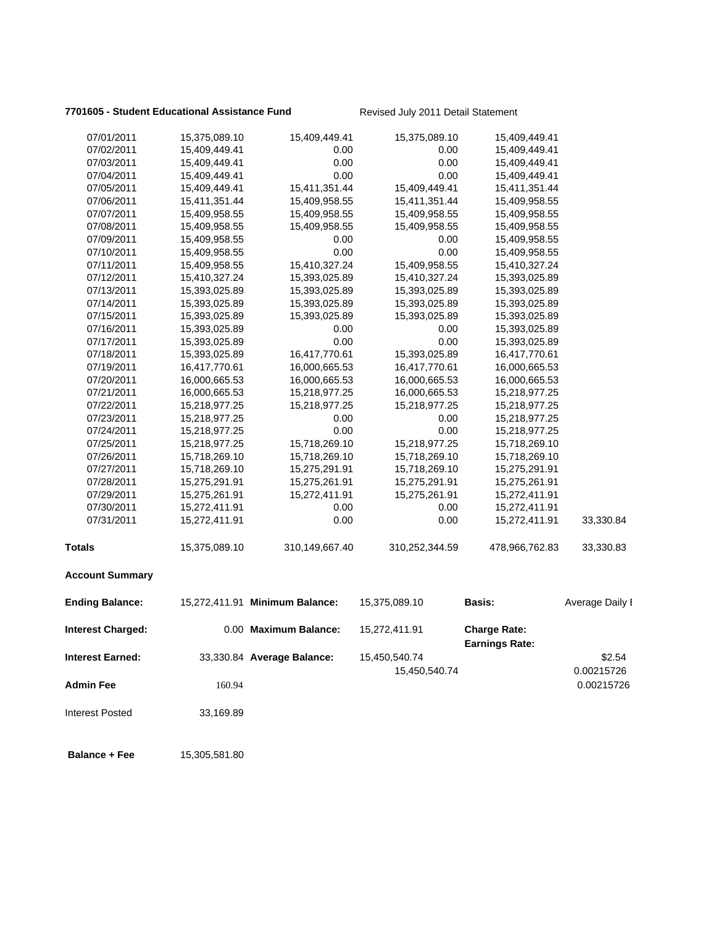## **7701605 - Student Educational Assistance Fund** Revised July 2011 Detail Statement

| 07/01/2011              | 15,375,089.10 | 15,409,449.41                  | 15,375,089.10                  | 15,409,449.41                                |                      |
|-------------------------|---------------|--------------------------------|--------------------------------|----------------------------------------------|----------------------|
| 07/02/2011              | 15,409,449.41 | 0.00                           | 0.00                           | 15,409,449.41                                |                      |
| 07/03/2011              | 15,409,449.41 | 0.00                           | 0.00                           | 15,409,449.41                                |                      |
| 07/04/2011              | 15,409,449.41 | 0.00                           | 0.00                           | 15,409,449.41                                |                      |
| 07/05/2011              | 15,409,449.41 | 15,411,351.44                  | 15,409,449.41                  | 15,411,351.44                                |                      |
| 07/06/2011              | 15,411,351.44 | 15,409,958.55                  | 15,411,351.44                  | 15,409,958.55                                |                      |
| 07/07/2011              | 15,409,958.55 | 15,409,958.55                  | 15,409,958.55                  | 15,409,958.55                                |                      |
| 07/08/2011              | 15,409,958.55 | 15,409,958.55                  | 15,409,958.55                  | 15,409,958.55                                |                      |
| 07/09/2011              | 15,409,958.55 | 0.00                           | 0.00                           | 15,409,958.55                                |                      |
| 07/10/2011              | 15,409,958.55 | 0.00                           | 0.00                           | 15,409,958.55                                |                      |
| 07/11/2011              | 15,409,958.55 | 15,410,327.24                  | 15,409,958.55                  | 15,410,327.24                                |                      |
| 07/12/2011              | 15,410,327.24 | 15,393,025.89                  | 15,410,327.24                  | 15,393,025.89                                |                      |
| 07/13/2011              | 15,393,025.89 | 15,393,025.89                  | 15,393,025.89                  | 15,393,025.89                                |                      |
| 07/14/2011              | 15,393,025.89 | 15,393,025.89                  | 15,393,025.89                  | 15,393,025.89                                |                      |
| 07/15/2011              | 15,393,025.89 | 15,393,025.89                  | 15,393,025.89                  | 15,393,025.89                                |                      |
| 07/16/2011              | 15,393,025.89 | 0.00                           | 0.00                           | 15,393,025.89                                |                      |
| 07/17/2011              | 15,393,025.89 | 0.00                           | 0.00                           | 15,393,025.89                                |                      |
| 07/18/2011              | 15,393,025.89 | 16,417,770.61                  | 15,393,025.89                  | 16,417,770.61                                |                      |
| 07/19/2011              | 16,417,770.61 | 16,000,665.53                  | 16,417,770.61                  | 16,000,665.53                                |                      |
| 07/20/2011              | 16,000,665.53 | 16,000,665.53                  | 16,000,665.53                  | 16,000,665.53                                |                      |
| 07/21/2011              | 16,000,665.53 | 15,218,977.25                  | 16,000,665.53                  | 15,218,977.25                                |                      |
| 07/22/2011              | 15,218,977.25 | 15,218,977.25                  | 15,218,977.25                  | 15,218,977.25                                |                      |
| 07/23/2011              | 15,218,977.25 | 0.00                           | 0.00                           | 15,218,977.25                                |                      |
| 07/24/2011              | 15,218,977.25 | 0.00                           | 0.00                           | 15,218,977.25                                |                      |
| 07/25/2011              | 15,218,977.25 | 15,718,269.10                  | 15,218,977.25                  | 15,718,269.10                                |                      |
| 07/26/2011              | 15,718,269.10 | 15,718,269.10                  | 15,718,269.10                  | 15,718,269.10                                |                      |
| 07/27/2011              | 15,718,269.10 | 15,275,291.91                  | 15,718,269.10                  | 15,275,291.91                                |                      |
| 07/28/2011              | 15,275,291.91 | 15,275,261.91                  | 15,275,291.91                  | 15,275,261.91                                |                      |
| 07/29/2011              | 15,275,261.91 | 15,272,411.91                  | 15,275,261.91                  | 15,272,411.91                                |                      |
| 07/30/2011              | 15,272,411.91 | 0.00                           | 0.00                           | 15,272,411.91                                |                      |
| 07/31/2011              | 15,272,411.91 | 0.00                           | 0.00                           | 15,272,411.91                                | 33,330.84            |
| Totals                  | 15,375,089.10 | 310,149,667.40                 | 310,252,344.59                 | 478,966,762.83                               | 33,330.83            |
| <b>Account Summary</b>  |               |                                |                                |                                              |                      |
| <b>Ending Balance:</b>  |               | 15,272,411.91 Minimum Balance: | 15,375,089.10                  | <b>Basis:</b>                                | Average Daily I      |
| Interest Charged:       |               | 0.00 Maximum Balance:          | 15,272,411.91                  | <b>Charge Rate:</b><br><b>Earnings Rate:</b> |                      |
| <b>Interest Earned:</b> |               | 33,330.84 Average Balance:     | 15,450,540.74<br>15,450,540.74 |                                              | \$2.54<br>0.00215726 |
| <b>Admin Fee</b>        | 160.94        |                                |                                |                                              | 0.00215726           |
| <b>Interest Posted</b>  | 33,169.89     |                                |                                |                                              |                      |
| <b>Balance + Fee</b>    | 15,305,581.80 |                                |                                |                                              |                      |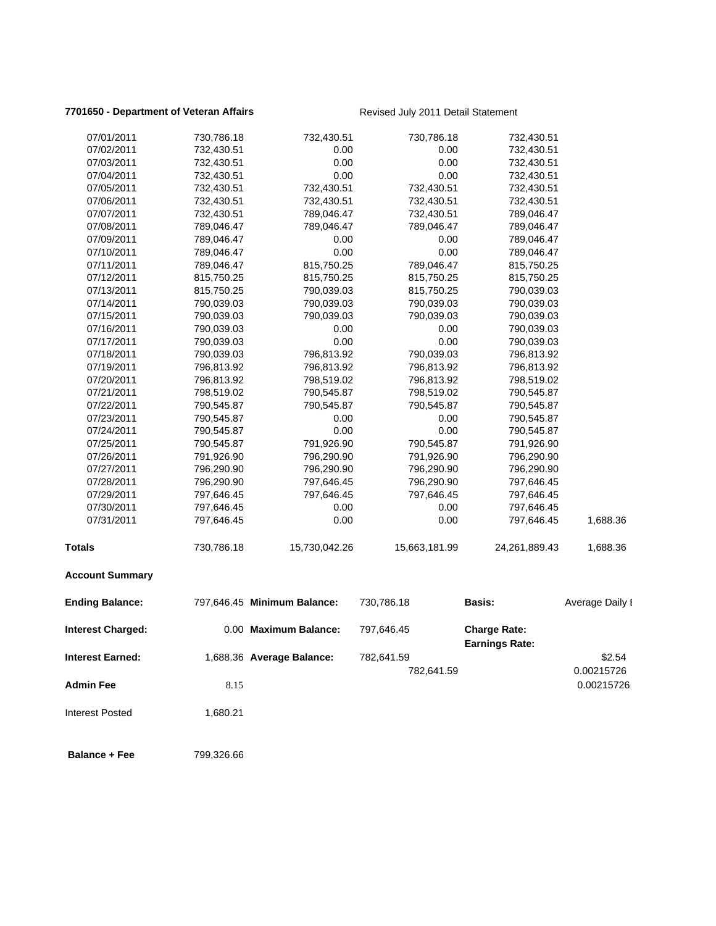## **7701650 - Department of Veteran Affairs Revised July 2011 Detail Statement**

| 07/01/2011               | 730,786.18 | 732,430.51                  | 730,786.18    | 732,430.51                                   |                          |
|--------------------------|------------|-----------------------------|---------------|----------------------------------------------|--------------------------|
| 07/02/2011               | 732,430.51 | 0.00                        | 0.00          | 732,430.51                                   |                          |
| 07/03/2011               | 732,430.51 | 0.00                        | 0.00          | 732,430.51                                   |                          |
| 07/04/2011               | 732,430.51 | 0.00                        | 0.00          | 732,430.51                                   |                          |
| 07/05/2011               | 732,430.51 | 732,430.51                  | 732,430.51    | 732,430.51                                   |                          |
| 07/06/2011               | 732,430.51 | 732,430.51                  | 732,430.51    | 732,430.51                                   |                          |
| 07/07/2011               | 732,430.51 | 789,046.47                  | 732,430.51    | 789,046.47                                   |                          |
| 07/08/2011               | 789,046.47 | 789,046.47                  | 789,046.47    | 789,046.47                                   |                          |
| 07/09/2011               | 789,046.47 | 0.00                        | 0.00          | 789,046.47                                   |                          |
| 07/10/2011               | 789,046.47 | 0.00                        | 0.00          | 789,046.47                                   |                          |
| 07/11/2011               | 789,046.47 | 815,750.25                  | 789,046.47    | 815,750.25                                   |                          |
| 07/12/2011               | 815,750.25 | 815,750.25                  | 815,750.25    | 815,750.25                                   |                          |
| 07/13/2011               | 815,750.25 | 790,039.03                  | 815,750.25    | 790,039.03                                   |                          |
| 07/14/2011               | 790,039.03 | 790,039.03                  | 790,039.03    | 790,039.03                                   |                          |
| 07/15/2011               | 790,039.03 | 790,039.03                  | 790,039.03    | 790,039.03                                   |                          |
| 07/16/2011               | 790,039.03 | 0.00                        | 0.00          | 790,039.03                                   |                          |
| 07/17/2011               | 790,039.03 | 0.00                        | 0.00          | 790,039.03                                   |                          |
| 07/18/2011               | 790,039.03 | 796,813.92                  | 790,039.03    | 796,813.92                                   |                          |
| 07/19/2011               | 796,813.92 | 796,813.92                  | 796,813.92    | 796,813.92                                   |                          |
| 07/20/2011               | 796,813.92 | 798,519.02                  | 796,813.92    | 798,519.02                                   |                          |
| 07/21/2011               | 798,519.02 | 790,545.87                  | 798,519.02    | 790,545.87                                   |                          |
| 07/22/2011               | 790,545.87 | 790,545.87                  | 790,545.87    | 790,545.87                                   |                          |
| 07/23/2011               | 790,545.87 | 0.00                        | 0.00          | 790,545.87                                   |                          |
| 07/24/2011               | 790,545.87 | 0.00                        | 0.00          | 790,545.87                                   |                          |
| 07/25/2011               | 790,545.87 | 791,926.90                  | 790,545.87    | 791,926.90                                   |                          |
| 07/26/2011               | 791,926.90 | 796,290.90                  | 791,926.90    | 796,290.90                                   |                          |
| 07/27/2011               | 796,290.90 | 796,290.90                  | 796,290.90    | 796,290.90                                   |                          |
| 07/28/2011               | 796,290.90 | 797,646.45                  | 796,290.90    | 797,646.45                                   |                          |
| 07/29/2011               | 797,646.45 | 797,646.45                  | 797,646.45    | 797,646.45                                   |                          |
| 07/30/2011               | 797,646.45 | 0.00                        | 0.00          | 797,646.45                                   |                          |
| 07/31/2011               | 797,646.45 | 0.00                        | 0.00          | 797,646.45                                   | 1,688.36                 |
| <b>Totals</b>            | 730,786.18 | 15,730,042.26               | 15,663,181.99 | 24,261,889.43                                | 1,688.36                 |
| <b>Account Summary</b>   |            |                             |               |                                              |                          |
| <b>Ending Balance:</b>   |            | 797,646.45 Minimum Balance: | 730,786.18    | <b>Basis:</b>                                | Average Daily I          |
| <b>Interest Charged:</b> |            | 0.00 Maximum Balance:       | 797,646.45    | <b>Charge Rate:</b><br><b>Earnings Rate:</b> |                          |
| <b>Interest Earned:</b>  |            | 1,688.36 Average Balance:   | 782,641.59    |                                              | \$2.54                   |
| <b>Admin Fee</b>         | 8.15       |                             | 782,641.59    |                                              | 0.00215726<br>0.00215726 |
| <b>Interest Posted</b>   | 1,680.21   |                             |               |                                              |                          |
| <b>Balance + Fee</b>     | 799,326.66 |                             |               |                                              |                          |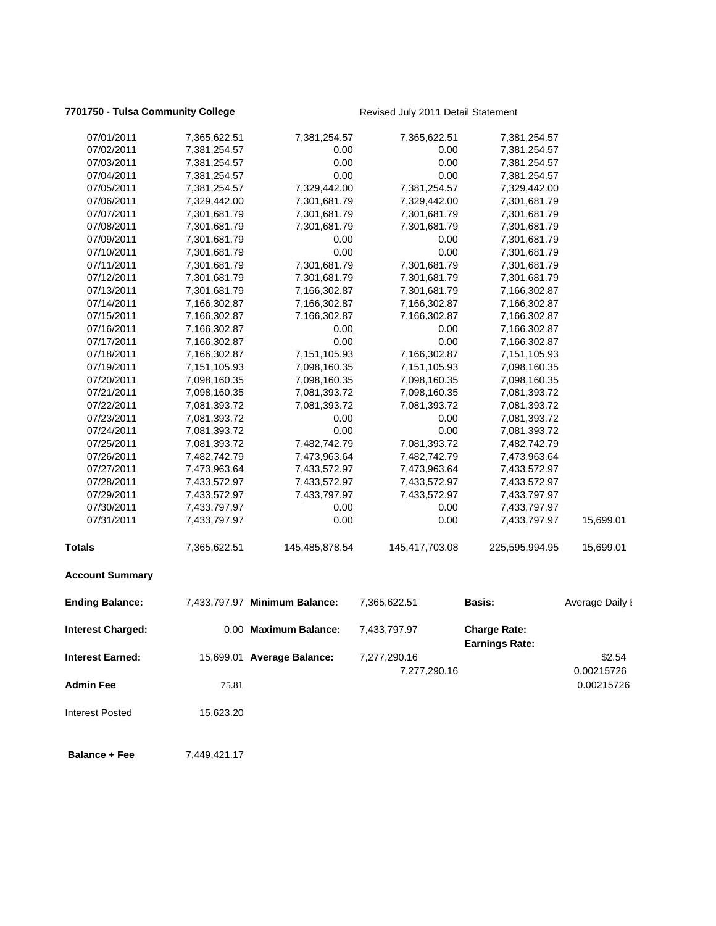## **7701750 - Tulsa Community College Revised July 2011 Detail Statement**

| 07/01/2011              | 7,365,622.51 | 7,381,254.57                  | 7,365,622.51   | 7,381,254.57                                 |                 |
|-------------------------|--------------|-------------------------------|----------------|----------------------------------------------|-----------------|
| 07/02/2011              | 7,381,254.57 | 0.00                          | 0.00           | 7,381,254.57                                 |                 |
| 07/03/2011              | 7,381,254.57 | 0.00                          | 0.00           | 7,381,254.57                                 |                 |
| 07/04/2011              | 7,381,254.57 | 0.00                          | 0.00           | 7,381,254.57                                 |                 |
| 07/05/2011              | 7,381,254.57 | 7,329,442.00                  | 7,381,254.57   | 7,329,442.00                                 |                 |
| 07/06/2011              | 7,329,442.00 | 7,301,681.79                  | 7,329,442.00   | 7,301,681.79                                 |                 |
| 07/07/2011              | 7,301,681.79 | 7,301,681.79                  | 7,301,681.79   | 7,301,681.79                                 |                 |
| 07/08/2011              | 7,301,681.79 | 7,301,681.79                  | 7,301,681.79   | 7,301,681.79                                 |                 |
| 07/09/2011              | 7,301,681.79 | 0.00                          | 0.00           | 7,301,681.79                                 |                 |
| 07/10/2011              | 7,301,681.79 | 0.00                          | 0.00           | 7,301,681.79                                 |                 |
| 07/11/2011              | 7,301,681.79 | 7,301,681.79                  | 7,301,681.79   | 7,301,681.79                                 |                 |
| 07/12/2011              | 7,301,681.79 | 7,301,681.79                  | 7,301,681.79   | 7,301,681.79                                 |                 |
| 07/13/2011              | 7,301,681.79 | 7,166,302.87                  | 7,301,681.79   | 7,166,302.87                                 |                 |
| 07/14/2011              | 7,166,302.87 | 7,166,302.87                  | 7,166,302.87   | 7,166,302.87                                 |                 |
| 07/15/2011              | 7,166,302.87 | 7,166,302.87                  | 7,166,302.87   | 7,166,302.87                                 |                 |
| 07/16/2011              | 7,166,302.87 | 0.00                          | 0.00           | 7,166,302.87                                 |                 |
| 07/17/2011              | 7,166,302.87 | 0.00                          | 0.00           | 7,166,302.87                                 |                 |
| 07/18/2011              | 7,166,302.87 | 7,151,105.93                  | 7,166,302.87   | 7,151,105.93                                 |                 |
| 07/19/2011              | 7,151,105.93 | 7,098,160.35                  | 7,151,105.93   | 7,098,160.35                                 |                 |
| 07/20/2011              | 7,098,160.35 | 7,098,160.35                  | 7,098,160.35   | 7,098,160.35                                 |                 |
| 07/21/2011              | 7,098,160.35 | 7,081,393.72                  | 7,098,160.35   | 7,081,393.72                                 |                 |
| 07/22/2011              | 7,081,393.72 | 7,081,393.72                  | 7,081,393.72   | 7,081,393.72                                 |                 |
| 07/23/2011              | 7,081,393.72 | 0.00                          | 0.00           | 7,081,393.72                                 |                 |
| 07/24/2011              | 7,081,393.72 | 0.00                          | 0.00           | 7,081,393.72                                 |                 |
| 07/25/2011              | 7,081,393.72 | 7,482,742.79                  | 7,081,393.72   | 7,482,742.79                                 |                 |
| 07/26/2011              | 7,482,742.79 | 7,473,963.64                  | 7,482,742.79   | 7,473,963.64                                 |                 |
| 07/27/2011              | 7,473,963.64 | 7,433,572.97                  | 7,473,963.64   | 7,433,572.97                                 |                 |
| 07/28/2011              | 7,433,572.97 | 7,433,572.97                  | 7,433,572.97   | 7,433,572.97                                 |                 |
| 07/29/2011              | 7,433,572.97 | 7,433,797.97                  | 7,433,572.97   | 7,433,797.97                                 |                 |
| 07/30/2011              | 7,433,797.97 | 0.00                          | 0.00           | 7,433,797.97                                 |                 |
| 07/31/2011              | 7,433,797.97 | 0.00                          | 0.00           | 7,433,797.97                                 | 15,699.01       |
| <b>Totals</b>           | 7,365,622.51 | 145,485,878.54                | 145,417,703.08 | 225,595,994.95                               | 15,699.01       |
| <b>Account Summary</b>  |              |                               |                |                                              |                 |
| <b>Ending Balance:</b>  |              | 7,433,797.97 Minimum Balance: | 7,365,622.51   | <b>Basis:</b>                                | Average Daily I |
| Interest Charged:       |              | 0.00 Maximum Balance:         | 7,433,797.97   | <b>Charge Rate:</b><br><b>Earnings Rate:</b> |                 |
| <b>Interest Earned:</b> |              | 15,699.01 Average Balance:    | 7,277,290.16   |                                              | \$2.54          |
|                         |              |                               | 7,277,290.16   |                                              | 0.00215726      |
| <b>Admin Fee</b>        | 75.81        |                               |                |                                              | 0.00215726      |
| <b>Interest Posted</b>  | 15,623.20    |                               |                |                                              |                 |
| <b>Balance + Fee</b>    | 7,449,421.17 |                               |                |                                              |                 |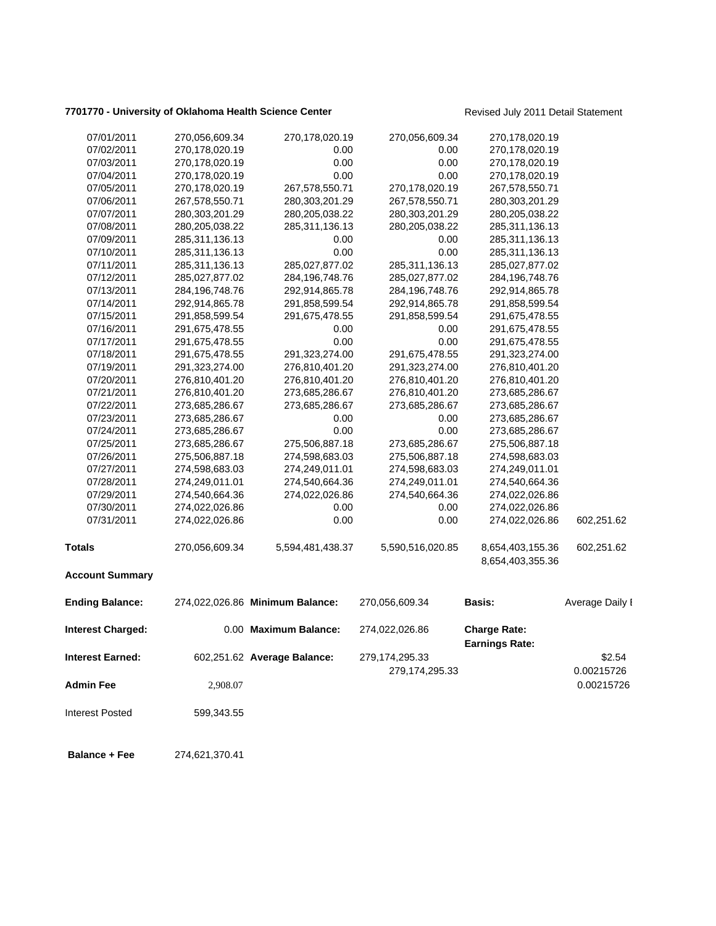## **7701770 - University of Oklahoma Health Science Center** Revised July 2011 Detail Statement

| 07/01/2011              | 270,056,609.34 | 270,178,020.19                  | 270,056,609.34   | 270,178,020.19                               |                 |
|-------------------------|----------------|---------------------------------|------------------|----------------------------------------------|-----------------|
| 07/02/2011              | 270,178,020.19 | 0.00                            | 0.00             | 270,178,020.19                               |                 |
| 07/03/2011              | 270,178,020.19 | 0.00                            | 0.00             | 270,178,020.19                               |                 |
| 07/04/2011              | 270,178,020.19 | 0.00                            | 0.00             | 270,178,020.19                               |                 |
| 07/05/2011              | 270,178,020.19 | 267,578,550.71                  | 270,178,020.19   | 267,578,550.71                               |                 |
| 07/06/2011              | 267,578,550.71 | 280,303,201.29                  | 267,578,550.71   | 280,303,201.29                               |                 |
| 07/07/2011              | 280,303,201.29 | 280,205,038.22                  | 280,303,201.29   | 280,205,038.22                               |                 |
| 07/08/2011              | 280,205,038.22 | 285,311,136.13                  | 280,205,038.22   | 285,311,136.13                               |                 |
| 07/09/2011              | 285,311,136.13 | 0.00                            | 0.00             | 285,311,136.13                               |                 |
| 07/10/2011              | 285,311,136.13 | 0.00                            | 0.00             | 285,311,136.13                               |                 |
| 07/11/2011              | 285,311,136.13 | 285,027,877.02                  | 285,311,136.13   | 285,027,877.02                               |                 |
| 07/12/2011              | 285,027,877.02 | 284,196,748.76                  | 285,027,877.02   | 284,196,748.76                               |                 |
| 07/13/2011              | 284,196,748.76 | 292,914,865.78                  | 284,196,748.76   | 292,914,865.78                               |                 |
| 07/14/2011              | 292,914,865.78 | 291,858,599.54                  | 292,914,865.78   | 291,858,599.54                               |                 |
| 07/15/2011              | 291,858,599.54 | 291,675,478.55                  | 291,858,599.54   | 291,675,478.55                               |                 |
| 07/16/2011              | 291,675,478.55 | 0.00                            | 0.00             | 291,675,478.55                               |                 |
| 07/17/2011              | 291,675,478.55 | 0.00                            | 0.00             | 291,675,478.55                               |                 |
| 07/18/2011              | 291,675,478.55 | 291,323,274.00                  | 291,675,478.55   | 291,323,274.00                               |                 |
| 07/19/2011              | 291,323,274.00 | 276,810,401.20                  | 291,323,274.00   | 276,810,401.20                               |                 |
| 07/20/2011              | 276,810,401.20 | 276,810,401.20                  | 276,810,401.20   | 276,810,401.20                               |                 |
| 07/21/2011              | 276,810,401.20 | 273,685,286.67                  | 276,810,401.20   | 273,685,286.67                               |                 |
| 07/22/2011              | 273,685,286.67 | 273,685,286.67                  | 273,685,286.67   | 273,685,286.67                               |                 |
| 07/23/2011              | 273,685,286.67 | 0.00                            | 0.00             | 273,685,286.67                               |                 |
| 07/24/2011              | 273,685,286.67 | 0.00                            | 0.00             | 273,685,286.67                               |                 |
| 07/25/2011              | 273,685,286.67 | 275,506,887.18                  | 273,685,286.67   | 275,506,887.18                               |                 |
| 07/26/2011              | 275,506,887.18 | 274,598,683.03                  | 275,506,887.18   | 274,598,683.03                               |                 |
| 07/27/2011              | 274,598,683.03 | 274,249,011.01                  | 274,598,683.03   | 274,249,011.01                               |                 |
| 07/28/2011              | 274,249,011.01 | 274,540,664.36                  | 274,249,011.01   | 274,540,664.36                               |                 |
| 07/29/2011              | 274,540,664.36 | 274,022,026.86                  | 274,540,664.36   | 274,022,026.86                               |                 |
| 07/30/2011              | 274,022,026.86 | 0.00                            | 0.00             | 274,022,026.86                               |                 |
| 07/31/2011              | 274,022,026.86 | 0.00                            | 0.00             | 274,022,026.86                               | 602,251.62      |
| <b>Totals</b>           | 270,056,609.34 | 5,594,481,438.37                | 5,590,516,020.85 | 8,654,403,155.36                             | 602,251.62      |
| <b>Account Summary</b>  |                |                                 |                  | 8,654,403,355.36                             |                 |
|                         |                |                                 |                  |                                              |                 |
| <b>Ending Balance:</b>  |                | 274,022,026.86 Minimum Balance: | 270,056,609.34   | <b>Basis:</b>                                | Average Daily I |
| Interest Charged:       |                | 0.00 Maximum Balance:           | 274,022,026.86   | <b>Charge Rate:</b><br><b>Earnings Rate:</b> |                 |
| <b>Interest Earned:</b> |                | 602,251.62 Average Balance:     | 279,174,295.33   |                                              | \$2.54          |
|                         |                |                                 |                  |                                              |                 |
|                         |                |                                 | 279,174,295.33   |                                              | 0.00215726      |
| <b>Admin Fee</b>        | 2,908.07       |                                 |                  |                                              | 0.00215726      |
| <b>Interest Posted</b>  | 599,343.55     |                                 |                  |                                              |                 |
|                         |                |                                 |                  |                                              |                 |
| <b>Balance + Fee</b>    | 274,621,370.41 |                                 |                  |                                              |                 |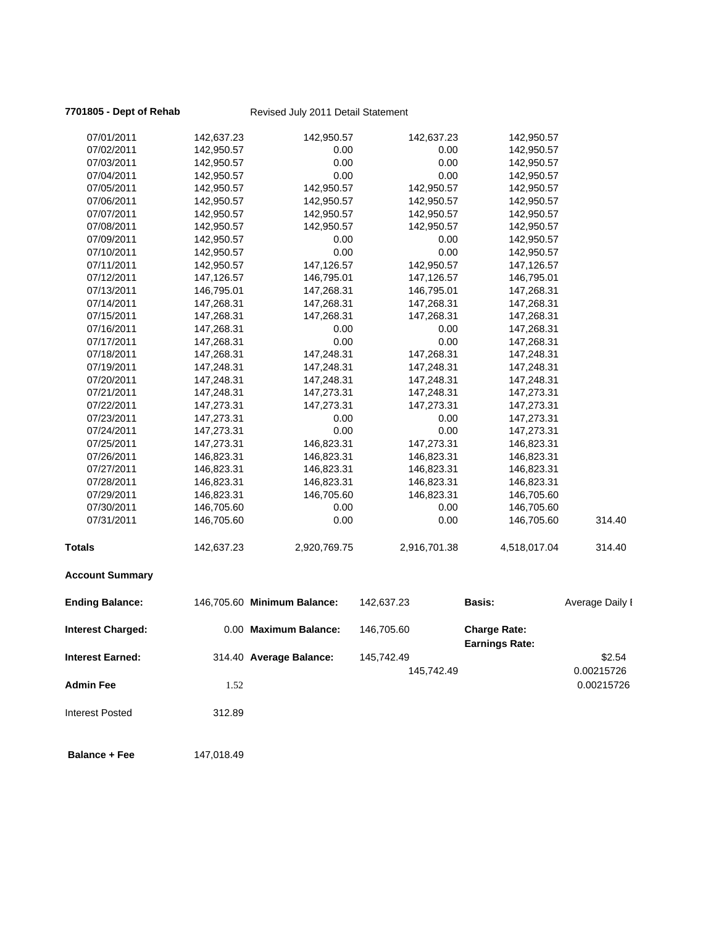## **7701805 - Dept of Rehab** Revised July 2011 Detail Statement

| 07/01/2011               | 142,637.23 | 142,950.57                  | 142,637.23   | 142,950.57                                   |                 |
|--------------------------|------------|-----------------------------|--------------|----------------------------------------------|-----------------|
| 07/02/2011               | 142,950.57 | 0.00                        | 0.00         | 142,950.57                                   |                 |
| 07/03/2011               | 142,950.57 | 0.00                        | 0.00         | 142,950.57                                   |                 |
| 07/04/2011               | 142,950.57 | 0.00                        | 0.00         | 142,950.57                                   |                 |
| 07/05/2011               | 142,950.57 | 142,950.57                  | 142,950.57   | 142,950.57                                   |                 |
| 07/06/2011               | 142,950.57 | 142,950.57                  | 142,950.57   | 142,950.57                                   |                 |
| 07/07/2011               | 142,950.57 | 142,950.57                  | 142,950.57   | 142,950.57                                   |                 |
| 07/08/2011               | 142,950.57 | 142,950.57                  | 142,950.57   | 142,950.57                                   |                 |
| 07/09/2011               | 142,950.57 | 0.00                        | 0.00         | 142,950.57                                   |                 |
| 07/10/2011               | 142,950.57 | 0.00                        | 0.00         | 142,950.57                                   |                 |
| 07/11/2011               | 142,950.57 | 147,126.57                  | 142,950.57   | 147,126.57                                   |                 |
| 07/12/2011               | 147,126.57 | 146,795.01                  | 147,126.57   | 146,795.01                                   |                 |
| 07/13/2011               | 146,795.01 | 147,268.31                  | 146,795.01   | 147,268.31                                   |                 |
| 07/14/2011               | 147,268.31 | 147,268.31                  | 147,268.31   | 147,268.31                                   |                 |
| 07/15/2011               | 147,268.31 | 147,268.31                  | 147,268.31   | 147,268.31                                   |                 |
| 07/16/2011               | 147,268.31 | 0.00                        | 0.00         | 147,268.31                                   |                 |
| 07/17/2011               | 147,268.31 | 0.00                        | 0.00         | 147,268.31                                   |                 |
| 07/18/2011               | 147,268.31 | 147,248.31                  | 147,268.31   | 147,248.31                                   |                 |
| 07/19/2011               | 147,248.31 | 147,248.31                  | 147,248.31   | 147,248.31                                   |                 |
| 07/20/2011               | 147,248.31 | 147,248.31                  | 147,248.31   | 147,248.31                                   |                 |
| 07/21/2011               | 147,248.31 | 147,273.31                  | 147,248.31   | 147,273.31                                   |                 |
| 07/22/2011               | 147,273.31 | 147,273.31                  | 147,273.31   | 147,273.31                                   |                 |
| 07/23/2011               | 147,273.31 | 0.00                        | 0.00         | 147,273.31                                   |                 |
| 07/24/2011               | 147,273.31 | 0.00                        | 0.00         | 147,273.31                                   |                 |
| 07/25/2011               | 147,273.31 | 146,823.31                  | 147,273.31   | 146,823.31                                   |                 |
| 07/26/2011               | 146,823.31 | 146,823.31                  | 146,823.31   | 146,823.31                                   |                 |
| 07/27/2011               | 146,823.31 | 146,823.31                  | 146,823.31   | 146,823.31                                   |                 |
| 07/28/2011               | 146,823.31 | 146,823.31                  | 146,823.31   | 146,823.31                                   |                 |
| 07/29/2011               | 146,823.31 | 146,705.60                  | 146,823.31   | 146,705.60                                   |                 |
| 07/30/2011               | 146,705.60 | 0.00                        | 0.00         | 146,705.60                                   |                 |
| 07/31/2011               | 146,705.60 | 0.00                        | 0.00         | 146,705.60                                   | 314.40          |
| <b>Totals</b>            | 142,637.23 | 2,920,769.75                | 2,916,701.38 | 4,518,017.04                                 | 314.40          |
| <b>Account Summary</b>   |            |                             |              |                                              |                 |
| <b>Ending Balance:</b>   |            | 146,705.60 Minimum Balance: | 142,637.23   | <b>Basis:</b>                                | Average Daily I |
| <b>Interest Charged:</b> |            | 0.00 Maximum Balance:       | 146,705.60   | <b>Charge Rate:</b><br><b>Earnings Rate:</b> |                 |
| <b>Interest Earned:</b>  |            | 314.40 Average Balance:     | 145,742.49   |                                              | \$2.54          |
|                          |            |                             | 145,742.49   |                                              | 0.00215726      |
| <b>Admin Fee</b>         | 1.52       |                             |              |                                              | 0.00215726      |
| <b>Interest Posted</b>   | 312.89     |                             |              |                                              |                 |

**Balance + Fee** 147,018.49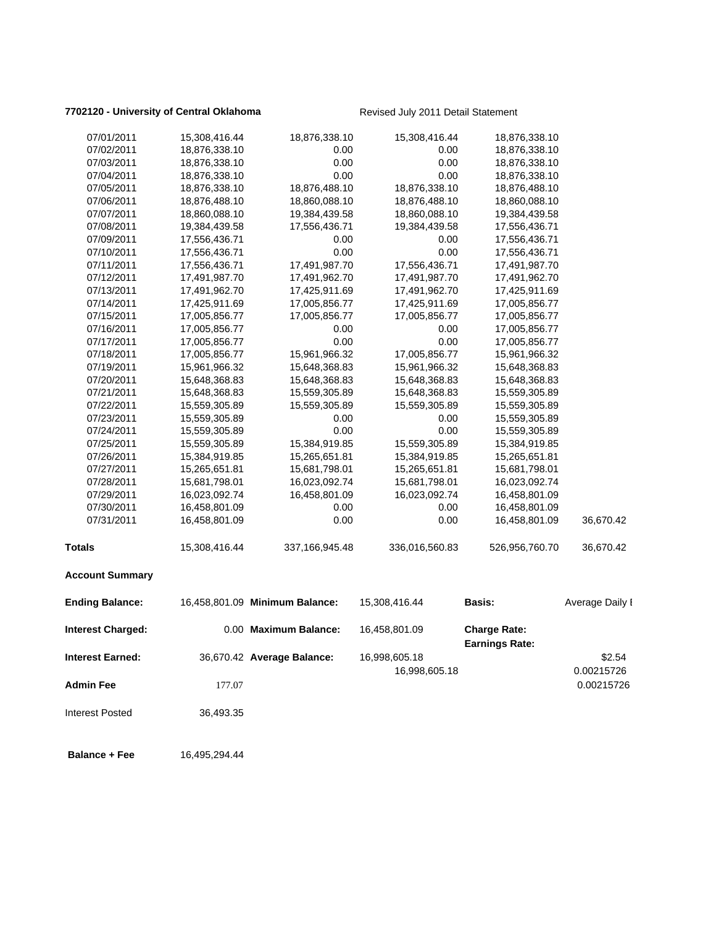### **7702120 - University of Central Oklahoma** Revised July 2011 Detail Statement

| 07/01/2011               | 15,308,416.44 | 18,876,338.10                  | 15,308,416.44  | 18,876,338.10                                |                 |
|--------------------------|---------------|--------------------------------|----------------|----------------------------------------------|-----------------|
| 07/02/2011               | 18,876,338.10 | 0.00                           | 0.00           | 18,876,338.10                                |                 |
| 07/03/2011               | 18,876,338.10 | 0.00                           | 0.00           | 18,876,338.10                                |                 |
| 07/04/2011               | 18,876,338.10 | 0.00                           | 0.00           | 18,876,338.10                                |                 |
| 07/05/2011               | 18,876,338.10 | 18,876,488.10                  | 18,876,338.10  | 18,876,488.10                                |                 |
| 07/06/2011               | 18,876,488.10 | 18,860,088.10                  | 18,876,488.10  | 18,860,088.10                                |                 |
| 07/07/2011               | 18,860,088.10 | 19,384,439.58                  | 18,860,088.10  | 19,384,439.58                                |                 |
| 07/08/2011               | 19,384,439.58 | 17,556,436.71                  | 19,384,439.58  | 17,556,436.71                                |                 |
| 07/09/2011               | 17,556,436.71 | 0.00                           | 0.00           | 17,556,436.71                                |                 |
| 07/10/2011               | 17,556,436.71 | 0.00                           | 0.00           | 17,556,436.71                                |                 |
| 07/11/2011               | 17,556,436.71 | 17,491,987.70                  | 17,556,436.71  | 17,491,987.70                                |                 |
| 07/12/2011               | 17,491,987.70 | 17,491,962.70                  | 17,491,987.70  | 17,491,962.70                                |                 |
| 07/13/2011               | 17,491,962.70 | 17,425,911.69                  | 17,491,962.70  | 17,425,911.69                                |                 |
| 07/14/2011               | 17,425,911.69 | 17,005,856.77                  | 17,425,911.69  | 17,005,856.77                                |                 |
| 07/15/2011               | 17,005,856.77 | 17,005,856.77                  | 17,005,856.77  | 17,005,856.77                                |                 |
| 07/16/2011               | 17,005,856.77 | 0.00                           | 0.00           | 17,005,856.77                                |                 |
| 07/17/2011               | 17,005,856.77 | 0.00                           | 0.00           | 17,005,856.77                                |                 |
| 07/18/2011               | 17,005,856.77 | 15,961,966.32                  | 17,005,856.77  | 15,961,966.32                                |                 |
| 07/19/2011               | 15,961,966.32 | 15,648,368.83                  | 15,961,966.32  | 15,648,368.83                                |                 |
| 07/20/2011               | 15,648,368.83 | 15,648,368.83                  | 15,648,368.83  | 15,648,368.83                                |                 |
| 07/21/2011               | 15,648,368.83 | 15,559,305.89                  | 15,648,368.83  | 15,559,305.89                                |                 |
| 07/22/2011               | 15,559,305.89 | 15,559,305.89                  | 15,559,305.89  | 15,559,305.89                                |                 |
| 07/23/2011               | 15,559,305.89 | 0.00                           | 0.00           | 15,559,305.89                                |                 |
| 07/24/2011               | 15,559,305.89 | 0.00                           | 0.00           | 15,559,305.89                                |                 |
| 07/25/2011               | 15,559,305.89 | 15,384,919.85                  | 15,559,305.89  | 15,384,919.85                                |                 |
| 07/26/2011               | 15,384,919.85 | 15,265,651.81                  | 15,384,919.85  | 15,265,651.81                                |                 |
| 07/27/2011               | 15,265,651.81 | 15,681,798.01                  | 15,265,651.81  | 15,681,798.01                                |                 |
| 07/28/2011               | 15,681,798.01 | 16,023,092.74                  | 15,681,798.01  | 16,023,092.74                                |                 |
| 07/29/2011               | 16,023,092.74 | 16,458,801.09                  | 16,023,092.74  | 16,458,801.09                                |                 |
| 07/30/2011               | 16,458,801.09 | 0.00                           | 0.00           | 16,458,801.09                                |                 |
| 07/31/2011               | 16,458,801.09 | 0.00                           | 0.00           | 16,458,801.09                                | 36,670.42       |
| <b>Totals</b>            | 15,308,416.44 | 337,166,945.48                 | 336,016,560.83 | 526,956,760.70                               | 36,670.42       |
| <b>Account Summary</b>   |               |                                |                |                                              |                 |
| <b>Ending Balance:</b>   |               | 16,458,801.09 Minimum Balance: | 15,308,416.44  | <b>Basis:</b>                                | Average Daily I |
| <b>Interest Charged:</b> |               | 0.00 Maximum Balance:          | 16,458,801.09  | <b>Charge Rate:</b><br><b>Earnings Rate:</b> |                 |
| <b>Interest Earned:</b>  |               | 36,670.42 Average Balance:     | 16,998,605.18  |                                              | \$2.54          |
|                          |               |                                | 16,998,605.18  |                                              | 0.00215726      |
|                          |               |                                |                |                                              |                 |
| <b>Admin Fee</b>         | 177.07        |                                |                |                                              | 0.00215726      |
| <b>Interest Posted</b>   | 36,493.35     |                                |                |                                              |                 |
| <b>Balance + Fee</b>     | 16,495,294.44 |                                |                |                                              |                 |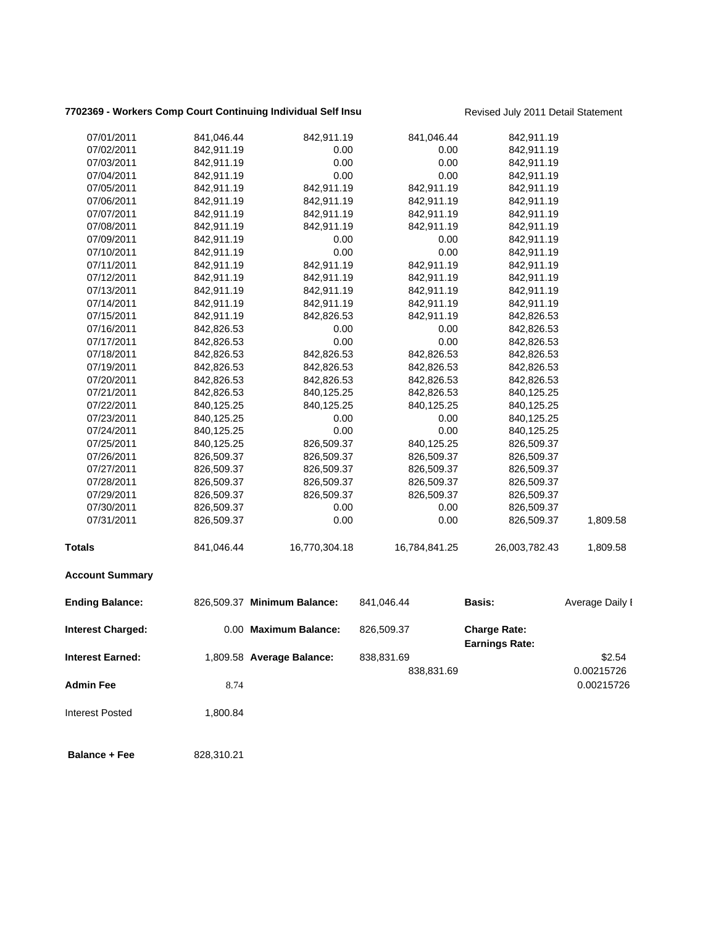# **7702369 - Workers Comp Court Continuing Individual Self Insu** Revised July 2011 Detail Statement

| 07/01/2011              | 841,046.44 | 842,911.19                  | 841,046.44    | 842,911.19                                   |                 |
|-------------------------|------------|-----------------------------|---------------|----------------------------------------------|-----------------|
| 07/02/2011              | 842,911.19 | 0.00                        | 0.00          | 842,911.19                                   |                 |
| 07/03/2011              | 842,911.19 | 0.00                        | 0.00          | 842,911.19                                   |                 |
| 07/04/2011              | 842,911.19 | 0.00                        | 0.00          | 842,911.19                                   |                 |
| 07/05/2011              | 842,911.19 | 842,911.19                  | 842,911.19    | 842,911.19                                   |                 |
| 07/06/2011              | 842,911.19 | 842,911.19                  | 842,911.19    | 842,911.19                                   |                 |
| 07/07/2011              | 842,911.19 | 842,911.19                  | 842,911.19    | 842,911.19                                   |                 |
| 07/08/2011              | 842,911.19 | 842,911.19                  | 842,911.19    | 842,911.19                                   |                 |
| 07/09/2011              | 842,911.19 | 0.00                        | 0.00          | 842,911.19                                   |                 |
| 07/10/2011              | 842,911.19 | 0.00                        | 0.00          | 842,911.19                                   |                 |
| 07/11/2011              | 842,911.19 | 842,911.19                  | 842,911.19    | 842,911.19                                   |                 |
| 07/12/2011              | 842,911.19 | 842,911.19                  | 842,911.19    | 842,911.19                                   |                 |
| 07/13/2011              | 842,911.19 | 842,911.19                  | 842,911.19    | 842,911.19                                   |                 |
| 07/14/2011              | 842,911.19 | 842,911.19                  | 842,911.19    | 842,911.19                                   |                 |
| 07/15/2011              | 842,911.19 | 842,826.53                  | 842,911.19    | 842,826.53                                   |                 |
| 07/16/2011              | 842,826.53 | 0.00                        | 0.00          | 842,826.53                                   |                 |
| 07/17/2011              | 842,826.53 | 0.00                        | 0.00          | 842,826.53                                   |                 |
| 07/18/2011              | 842,826.53 | 842,826.53                  | 842,826.53    | 842,826.53                                   |                 |
| 07/19/2011              | 842,826.53 | 842,826.53                  | 842,826.53    | 842,826.53                                   |                 |
| 07/20/2011              | 842,826.53 | 842,826.53                  | 842,826.53    | 842,826.53                                   |                 |
| 07/21/2011              | 842,826.53 | 840,125.25                  | 842,826.53    | 840,125.25                                   |                 |
| 07/22/2011              | 840,125.25 | 840,125.25                  | 840,125.25    | 840,125.25                                   |                 |
| 07/23/2011              | 840,125.25 | 0.00                        | 0.00          | 840,125.25                                   |                 |
| 07/24/2011              | 840,125.25 | 0.00                        | 0.00          | 840,125.25                                   |                 |
| 07/25/2011              | 840,125.25 | 826,509.37                  | 840,125.25    | 826,509.37                                   |                 |
| 07/26/2011              | 826,509.37 | 826,509.37                  | 826,509.37    | 826,509.37                                   |                 |
| 07/27/2011              | 826,509.37 | 826,509.37                  | 826,509.37    | 826,509.37                                   |                 |
| 07/28/2011              | 826,509.37 | 826,509.37                  | 826,509.37    | 826,509.37                                   |                 |
| 07/29/2011              | 826,509.37 | 826,509.37                  | 826,509.37    | 826,509.37                                   |                 |
| 07/30/2011              | 826,509.37 | 0.00                        | 0.00          | 826,509.37                                   |                 |
| 07/31/2011              | 826,509.37 | 0.00                        | 0.00          | 826,509.37                                   | 1,809.58        |
| <b>Totals</b>           | 841,046.44 | 16,770,304.18               | 16,784,841.25 | 26,003,782.43                                | 1,809.58        |
| <b>Account Summary</b>  |            |                             |               |                                              |                 |
| <b>Ending Balance:</b>  |            | 826,509.37 Minimum Balance: | 841,046.44    | <b>Basis:</b>                                | Average Daily I |
| Interest Charged:       |            | 0.00 Maximum Balance:       | 826,509.37    | <b>Charge Rate:</b><br><b>Earnings Rate:</b> |                 |
| <b>Interest Earned:</b> |            | 1,809.58 Average Balance:   | 838,831.69    |                                              | \$2.54          |
|                         |            |                             | 838,831.69    |                                              | 0.00215726      |
| <b>Admin Fee</b>        | 8.74       |                             |               |                                              | 0.00215726      |
| <b>Interest Posted</b>  | 1,800.84   |                             |               |                                              |                 |
| <b>Balance + Fee</b>    | 828,310.21 |                             |               |                                              |                 |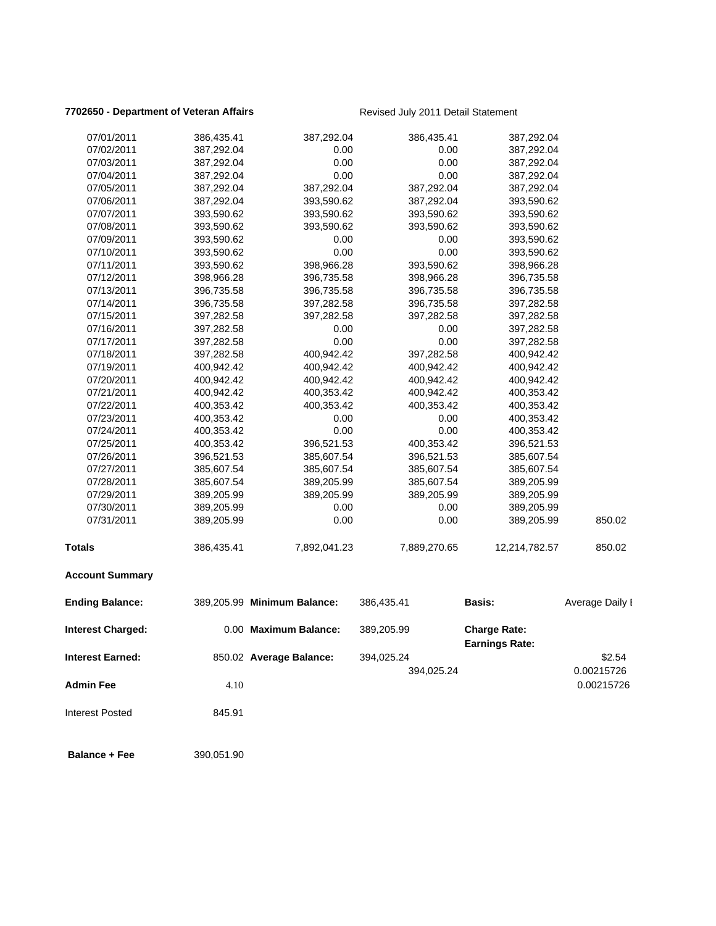### **7702650 - Department of Veteran Affairs Revised July 2011 Detail Statement**

| 07/01/2011              | 386,435.41 | 387,292.04                  | 386,435.41   | 387,292.04                                   |                 |
|-------------------------|------------|-----------------------------|--------------|----------------------------------------------|-----------------|
| 07/02/2011              | 387,292.04 | 0.00                        | 0.00         | 387,292.04                                   |                 |
| 07/03/2011              | 387,292.04 | 0.00                        | 0.00         | 387,292.04                                   |                 |
| 07/04/2011              | 387,292.04 | 0.00                        | 0.00         | 387,292.04                                   |                 |
| 07/05/2011              | 387,292.04 | 387,292.04                  | 387,292.04   | 387,292.04                                   |                 |
| 07/06/2011              | 387,292.04 | 393,590.62                  | 387,292.04   | 393,590.62                                   |                 |
| 07/07/2011              | 393,590.62 | 393,590.62                  | 393,590.62   | 393,590.62                                   |                 |
| 07/08/2011              | 393,590.62 | 393,590.62                  | 393,590.62   | 393,590.62                                   |                 |
| 07/09/2011              | 393,590.62 | 0.00                        | 0.00         | 393,590.62                                   |                 |
| 07/10/2011              | 393,590.62 | 0.00                        | 0.00         | 393,590.62                                   |                 |
| 07/11/2011              | 393,590.62 | 398,966.28                  | 393,590.62   | 398,966.28                                   |                 |
| 07/12/2011              | 398,966.28 | 396,735.58                  | 398,966.28   | 396,735.58                                   |                 |
| 07/13/2011              | 396,735.58 | 396,735.58                  | 396,735.58   | 396,735.58                                   |                 |
| 07/14/2011              | 396,735.58 | 397,282.58                  | 396,735.58   | 397,282.58                                   |                 |
| 07/15/2011              | 397,282.58 | 397,282.58                  | 397,282.58   | 397,282.58                                   |                 |
| 07/16/2011              | 397,282.58 | 0.00                        | 0.00         | 397,282.58                                   |                 |
| 07/17/2011              | 397,282.58 | 0.00                        | 0.00         | 397,282.58                                   |                 |
| 07/18/2011              | 397,282.58 | 400,942.42                  | 397,282.58   | 400,942.42                                   |                 |
| 07/19/2011              | 400,942.42 | 400,942.42                  | 400,942.42   | 400,942.42                                   |                 |
| 07/20/2011              | 400,942.42 | 400,942.42                  | 400,942.42   | 400,942.42                                   |                 |
| 07/21/2011              | 400,942.42 | 400,353.42                  | 400,942.42   | 400,353.42                                   |                 |
| 07/22/2011              | 400,353.42 | 400,353.42                  | 400,353.42   | 400,353.42                                   |                 |
| 07/23/2011              | 400,353.42 | 0.00                        | 0.00         | 400,353.42                                   |                 |
| 07/24/2011              | 400,353.42 | 0.00                        | 0.00         | 400,353.42                                   |                 |
| 07/25/2011              | 400,353.42 | 396,521.53                  | 400,353.42   | 396,521.53                                   |                 |
| 07/26/2011              | 396,521.53 | 385,607.54                  | 396,521.53   | 385,607.54                                   |                 |
| 07/27/2011              | 385,607.54 | 385,607.54                  | 385,607.54   | 385,607.54                                   |                 |
| 07/28/2011              | 385,607.54 | 389,205.99                  | 385,607.54   | 389,205.99                                   |                 |
| 07/29/2011              | 389,205.99 | 389,205.99                  | 389,205.99   | 389,205.99                                   |                 |
| 07/30/2011              | 389,205.99 | 0.00                        | 0.00         | 389,205.99                                   |                 |
| 07/31/2011              | 389,205.99 | 0.00                        | 0.00         | 389,205.99                                   | 850.02          |
| Totals                  | 386,435.41 | 7,892,041.23                | 7,889,270.65 | 12,214,782.57                                | 850.02          |
| <b>Account Summary</b>  |            |                             |              |                                              |                 |
| <b>Ending Balance:</b>  |            | 389,205.99 Minimum Balance: | 386,435.41   | <b>Basis:</b>                                | Average Daily I |
| Interest Charged:       |            | 0.00 Maximum Balance:       | 389,205.99   | <b>Charge Rate:</b><br><b>Earnings Rate:</b> |                 |
| <b>Interest Earned:</b> |            | 850.02 Average Balance:     | 394,025.24   |                                              | \$2.54          |
|                         |            |                             | 394,025.24   |                                              | 0.00215726      |
| <b>Admin Fee</b>        | 4.10       |                             |              |                                              | 0.00215726      |
| <b>Interest Posted</b>  | 845.91     |                             |              |                                              |                 |
| <b>Balance + Fee</b>    | 390,051.90 |                             |              |                                              |                 |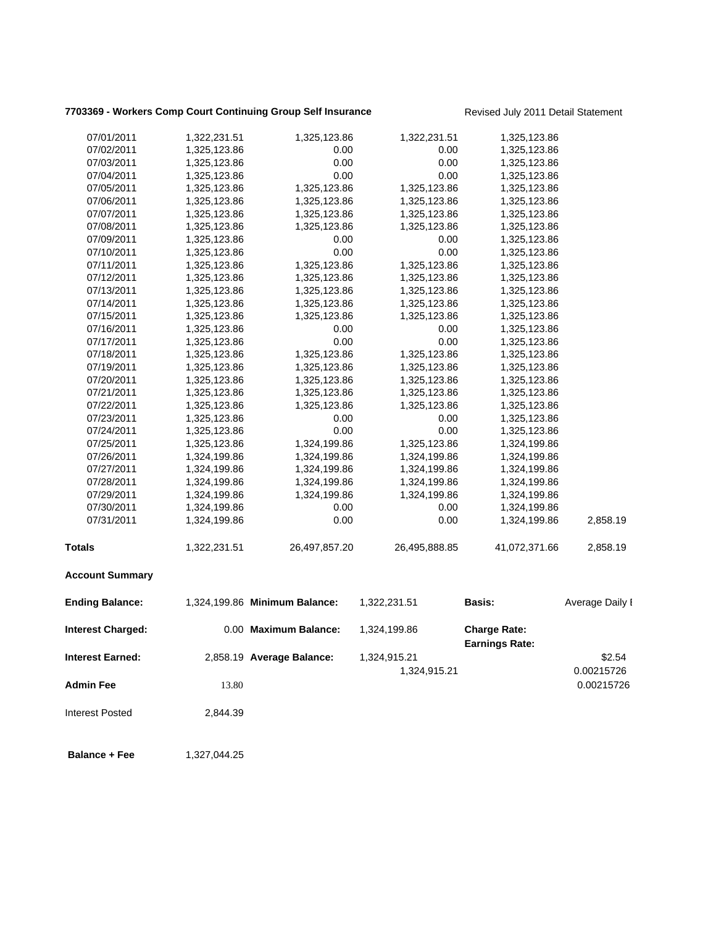# **7703369 - Workers Comp Court Continuing Group Self Insurance** Revised July 2011 Detail Statement

| 07/01/2011              | 1,322,231.51 | 1,325,123.86                  | 1,322,231.51                 | 1,325,123.86                                 |                      |
|-------------------------|--------------|-------------------------------|------------------------------|----------------------------------------------|----------------------|
| 07/02/2011              | 1,325,123.86 | 0.00                          | 0.00                         | 1,325,123.86                                 |                      |
| 07/03/2011              | 1,325,123.86 | 0.00                          | 0.00                         | 1,325,123.86                                 |                      |
| 07/04/2011              | 1,325,123.86 | 0.00                          | 0.00                         | 1,325,123.86                                 |                      |
| 07/05/2011              | 1,325,123.86 | 1,325,123.86                  | 1,325,123.86                 | 1,325,123.86                                 |                      |
| 07/06/2011              | 1,325,123.86 | 1,325,123.86                  | 1,325,123.86                 | 1,325,123.86                                 |                      |
| 07/07/2011              | 1,325,123.86 | 1,325,123.86                  | 1,325,123.86                 | 1,325,123.86                                 |                      |
| 07/08/2011              | 1,325,123.86 | 1,325,123.86                  | 1,325,123.86                 | 1,325,123.86                                 |                      |
| 07/09/2011              | 1,325,123.86 | 0.00                          | 0.00                         | 1,325,123.86                                 |                      |
| 07/10/2011              | 1,325,123.86 | 0.00                          | 0.00                         | 1,325,123.86                                 |                      |
| 07/11/2011              | 1,325,123.86 | 1,325,123.86                  | 1,325,123.86                 | 1,325,123.86                                 |                      |
| 07/12/2011              | 1,325,123.86 | 1,325,123.86                  | 1,325,123.86                 | 1,325,123.86                                 |                      |
| 07/13/2011              | 1,325,123.86 | 1,325,123.86                  | 1,325,123.86                 | 1,325,123.86                                 |                      |
| 07/14/2011              | 1,325,123.86 | 1,325,123.86                  | 1,325,123.86                 | 1,325,123.86                                 |                      |
| 07/15/2011              | 1,325,123.86 | 1,325,123.86                  | 1,325,123.86                 | 1,325,123.86                                 |                      |
| 07/16/2011              | 1,325,123.86 | 0.00                          | 0.00                         | 1,325,123.86                                 |                      |
| 07/17/2011              | 1,325,123.86 | 0.00                          | 0.00                         | 1,325,123.86                                 |                      |
| 07/18/2011              | 1,325,123.86 | 1,325,123.86                  | 1,325,123.86                 | 1,325,123.86                                 |                      |
| 07/19/2011              | 1,325,123.86 | 1,325,123.86                  | 1,325,123.86                 | 1,325,123.86                                 |                      |
| 07/20/2011              | 1,325,123.86 | 1,325,123.86                  | 1,325,123.86                 | 1,325,123.86                                 |                      |
| 07/21/2011              | 1,325,123.86 | 1,325,123.86                  | 1,325,123.86                 | 1,325,123.86                                 |                      |
| 07/22/2011              | 1,325,123.86 | 1,325,123.86                  | 1,325,123.86                 | 1,325,123.86                                 |                      |
| 07/23/2011              | 1,325,123.86 | 0.00                          | 0.00                         | 1,325,123.86                                 |                      |
| 07/24/2011              | 1,325,123.86 | 0.00                          | 0.00                         | 1,325,123.86                                 |                      |
| 07/25/2011              | 1,325,123.86 | 1,324,199.86                  | 1,325,123.86                 | 1,324,199.86                                 |                      |
| 07/26/2011              | 1,324,199.86 | 1,324,199.86                  | 1,324,199.86                 | 1,324,199.86                                 |                      |
| 07/27/2011              | 1,324,199.86 | 1,324,199.86                  | 1,324,199.86                 | 1,324,199.86                                 |                      |
| 07/28/2011              | 1,324,199.86 | 1,324,199.86                  | 1,324,199.86                 | 1,324,199.86                                 |                      |
| 07/29/2011              | 1,324,199.86 | 1,324,199.86                  | 1,324,199.86                 | 1,324,199.86                                 |                      |
| 07/30/2011              | 1,324,199.86 | 0.00                          | 0.00                         | 1,324,199.86                                 |                      |
| 07/31/2011              | 1,324,199.86 | 0.00                          | 0.00                         | 1,324,199.86                                 | 2,858.19             |
| <b>Totals</b>           | 1,322,231.51 | 26,497,857.20                 | 26,495,888.85                | 41,072,371.66                                | 2,858.19             |
| <b>Account Summary</b>  |              |                               |                              |                                              |                      |
| <b>Ending Balance:</b>  |              | 1,324,199.86 Minimum Balance: | 1,322,231.51                 | <b>Basis:</b>                                | Average Daily I      |
| Interest Charged:       |              | 0.00 Maximum Balance:         | 1,324,199.86                 | <b>Charge Rate:</b><br><b>Earnings Rate:</b> |                      |
| <b>Interest Earned:</b> |              | 2,858.19 Average Balance:     | 1,324,915.21<br>1,324,915.21 |                                              | \$2.54<br>0.00215726 |
| <b>Admin Fee</b>        | 13.80        |                               |                              |                                              | 0.00215726           |
| <b>Interest Posted</b>  | 2,844.39     |                               |                              |                                              |                      |
| <b>Balance + Fee</b>    | 1,327,044.25 |                               |                              |                                              |                      |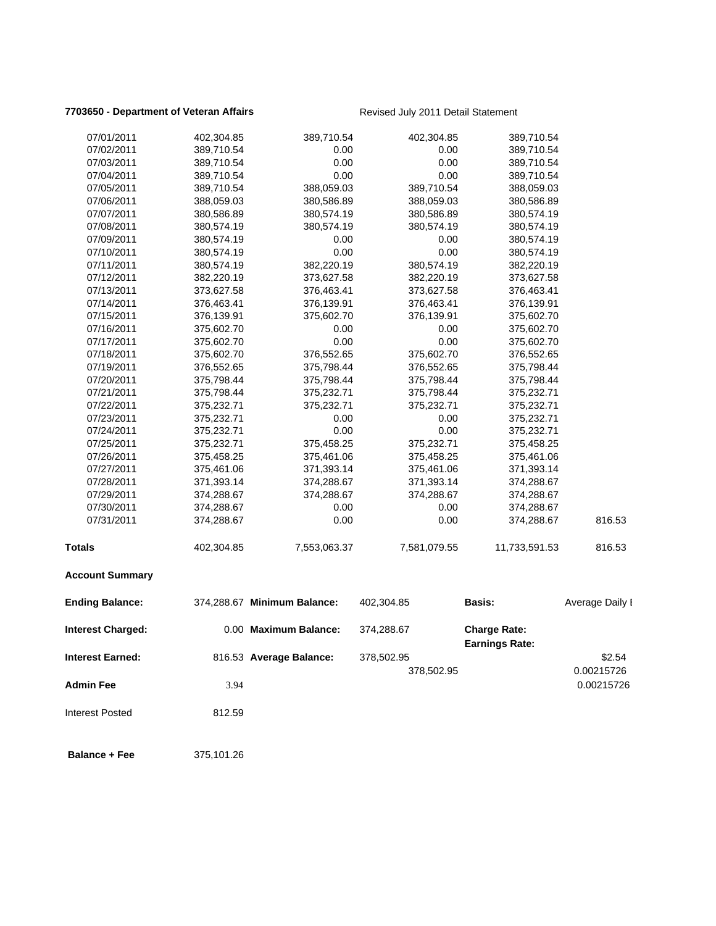### **7703650 - Department of Veteran Affairs Revised July 2011 Detail Statement**

| 07/01/2011               | 402,304.85 | 389,710.54                  | 402,304.85   | 389,710.54                                   |                 |
|--------------------------|------------|-----------------------------|--------------|----------------------------------------------|-----------------|
| 07/02/2011               | 389,710.54 | 0.00                        | 0.00         | 389,710.54                                   |                 |
| 07/03/2011               | 389,710.54 | 0.00                        | 0.00         | 389,710.54                                   |                 |
| 07/04/2011               | 389,710.54 | 0.00                        | 0.00         | 389,710.54                                   |                 |
| 07/05/2011               | 389,710.54 | 388,059.03                  | 389,710.54   | 388,059.03                                   |                 |
| 07/06/2011               | 388,059.03 | 380,586.89                  | 388,059.03   | 380,586.89                                   |                 |
| 07/07/2011               | 380,586.89 | 380,574.19                  | 380,586.89   | 380,574.19                                   |                 |
| 07/08/2011               | 380,574.19 | 380,574.19                  | 380,574.19   | 380,574.19                                   |                 |
| 07/09/2011               | 380,574.19 | 0.00                        | 0.00         | 380,574.19                                   |                 |
| 07/10/2011               | 380,574.19 | 0.00                        | 0.00         | 380,574.19                                   |                 |
| 07/11/2011               | 380,574.19 | 382,220.19                  | 380,574.19   | 382,220.19                                   |                 |
| 07/12/2011               | 382,220.19 | 373,627.58                  | 382,220.19   | 373,627.58                                   |                 |
| 07/13/2011               | 373,627.58 | 376,463.41                  | 373,627.58   | 376,463.41                                   |                 |
| 07/14/2011               | 376,463.41 | 376,139.91                  | 376,463.41   | 376,139.91                                   |                 |
| 07/15/2011               | 376,139.91 | 375,602.70                  | 376,139.91   | 375,602.70                                   |                 |
| 07/16/2011               | 375,602.70 | 0.00                        | 0.00         | 375,602.70                                   |                 |
| 07/17/2011               | 375,602.70 | 0.00                        | 0.00         | 375,602.70                                   |                 |
| 07/18/2011               | 375,602.70 | 376,552.65                  | 375,602.70   | 376,552.65                                   |                 |
| 07/19/2011               | 376,552.65 | 375,798.44                  | 376,552.65   | 375,798.44                                   |                 |
| 07/20/2011               | 375,798.44 | 375,798.44                  | 375,798.44   | 375,798.44                                   |                 |
| 07/21/2011               | 375,798.44 | 375,232.71                  | 375,798.44   | 375,232.71                                   |                 |
| 07/22/2011               | 375,232.71 | 375,232.71                  | 375,232.71   | 375,232.71                                   |                 |
| 07/23/2011               | 375,232.71 | 0.00                        | 0.00         | 375,232.71                                   |                 |
| 07/24/2011               | 375,232.71 | 0.00                        | 0.00         | 375,232.71                                   |                 |
| 07/25/2011               | 375,232.71 | 375,458.25                  | 375,232.71   | 375,458.25                                   |                 |
| 07/26/2011               | 375,458.25 | 375,461.06                  | 375,458.25   | 375,461.06                                   |                 |
| 07/27/2011               | 375,461.06 | 371,393.14                  | 375,461.06   | 371,393.14                                   |                 |
| 07/28/2011               | 371,393.14 | 374,288.67                  | 371,393.14   | 374,288.67                                   |                 |
| 07/29/2011               | 374,288.67 | 374,288.67                  | 374,288.67   | 374,288.67                                   |                 |
| 07/30/2011               | 374,288.67 | 0.00                        | 0.00         | 374,288.67                                   |                 |
| 07/31/2011               | 374,288.67 | 0.00                        | 0.00         | 374,288.67                                   | 816.53          |
| <b>Totals</b>            | 402,304.85 | 7,553,063.37                | 7,581,079.55 | 11,733,591.53                                | 816.53          |
| <b>Account Summary</b>   |            |                             |              |                                              |                 |
| <b>Ending Balance:</b>   |            | 374,288.67 Minimum Balance: | 402,304.85   | <b>Basis:</b>                                | Average Daily I |
| <b>Interest Charged:</b> |            | 0.00 Maximum Balance:       | 374,288.67   | <b>Charge Rate:</b><br><b>Earnings Rate:</b> |                 |
| <b>Interest Earned:</b>  |            | 816.53 Average Balance:     | 378,502.95   |                                              | \$2.54          |
|                          |            |                             | 378,502.95   |                                              | 0.00215726      |
| <b>Admin Fee</b>         | 3.94       |                             |              |                                              | 0.00215726      |
| <b>Interest Posted</b>   | 812.59     |                             |              |                                              |                 |
| <b>Balance + Fee</b>     | 375,101.26 |                             |              |                                              |                 |
|                          |            |                             |              |                                              |                 |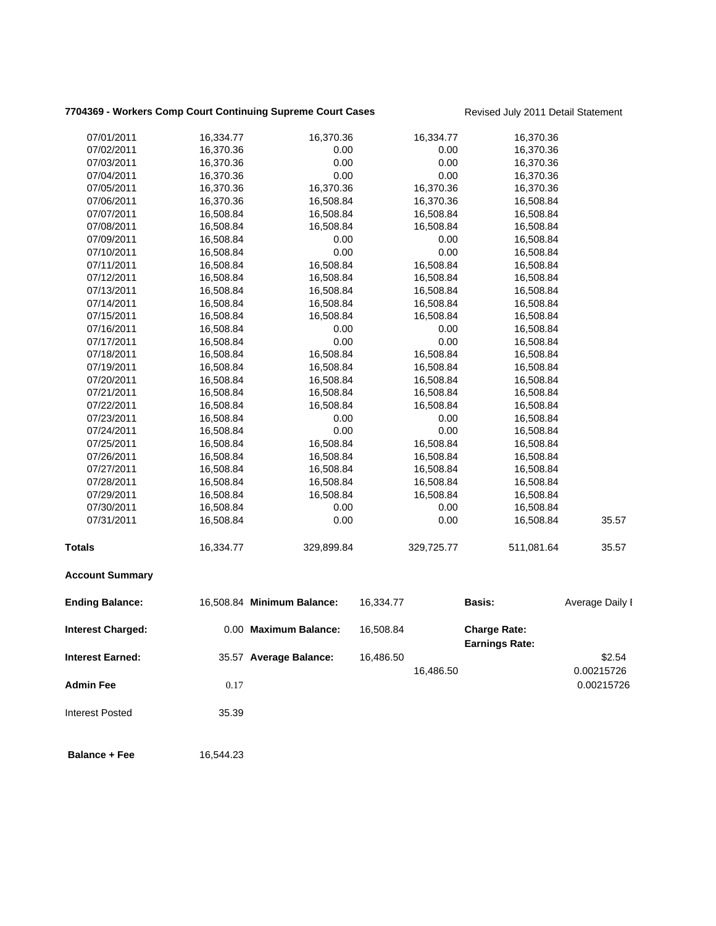# 7704369 - Workers Comp Court Continuing Supreme Court Cases **Revised July 2011 Detail Statement**

| 07/01/2011<br>16,334.77<br>16,370.36<br>16,334.77<br>16,370.36<br>07/02/2011<br>16,370.36<br>0.00<br>0.00<br>16,370.36<br>0.00<br>0.00<br>07/03/2011<br>16,370.36<br>16,370.36<br>0.00<br>07/04/2011<br>16,370.36<br>0.00<br>16,370.36<br>07/05/2011<br>16,370.36<br>16,370.36<br>16,370.36<br>16,370.36<br>16,370.36<br>16,508.84<br>16,370.36<br>07/06/2011<br>16,508.84<br>07/07/2011<br>16,508.84<br>16,508.84<br>16,508.84<br>16,508.84<br>16,508.84<br>16,508.84<br>07/08/2011<br>16,508.84<br>16,508.84<br>07/09/2011<br>16,508.84<br>0.00<br>0.00<br>16,508.84<br>0.00<br>16,508.84<br>0.00<br>07/10/2011<br>16,508.84<br>07/11/2011<br>16,508.84<br>16,508.84<br>16,508.84<br>16,508.84<br>07/12/2011<br>16,508.84<br>16,508.84<br>16,508.84<br>16,508.84<br>07/13/2011<br>16,508.84<br>16,508.84<br>16,508.84<br>16,508.84<br>07/14/2011<br>16,508.84<br>16,508.84<br>16,508.84<br>16,508.84<br>07/15/2011<br>16,508.84<br>16,508.84<br>16,508.84<br>16,508.84<br>16,508.84<br>0.00<br>0.00<br>07/16/2011<br>16,508.84<br>07/17/2011<br>16,508.84<br>0.00<br>0.00<br>16,508.84<br>07/18/2011<br>16,508.84<br>16,508.84<br>16,508.84<br>16,508.84<br>07/19/2011<br>16,508.84<br>16,508.84<br>16,508.84<br>16,508.84<br>07/20/2011<br>16,508.84<br>16,508.84<br>16,508.84<br>16,508.84<br>16,508.84<br>16,508.84<br>07/21/2011<br>16,508.84<br>16,508.84<br>16,508.84<br>16,508.84<br>07/22/2011<br>16,508.84<br>16,508.84<br>07/23/2011<br>16,508.84<br>0.00<br>0.00<br>16,508.84<br>07/24/2011<br>16,508.84<br>0.00<br>0.00<br>16,508.84<br>07/25/2011<br>16,508.84<br>16,508.84<br>16,508.84<br>16,508.84<br>16,508.84<br>07/26/2011<br>16,508.84<br>16,508.84<br>16,508.84<br>07/27/2011<br>16,508.84<br>16,508.84<br>16,508.84<br>16,508.84<br>07/28/2011<br>16,508.84<br>16,508.84<br>16,508.84<br>16,508.84<br>16,508.84<br>16,508.84<br>16,508.84<br>07/29/2011<br>16,508.84<br>0.00<br>0.00<br>07/30/2011<br>16,508.84<br>16,508.84<br>07/31/2011<br>0.00<br>0.00<br>16,508.84<br>16,508.84<br>35.57<br>511,081.64<br><b>Totals</b><br>16,334.77<br>329,725.77<br>35.57<br>329,899.84<br><b>Account Summary</b><br><b>Ending Balance:</b><br>16,508.84 Minimum Balance:<br>16,334.77<br><b>Basis:</b><br>0.00 Maximum Balance:<br>16,508.84<br><b>Charge Rate:</b><br><b>Interest Charged:</b><br><b>Earnings Rate:</b><br><b>Interest Earned:</b><br>35.57 Average Balance:<br>16,486.50<br>\$2.54<br>0.00215726<br>16,486.50<br><b>Admin Fee</b><br>0.17<br><b>Interest Posted</b><br>35.39<br><b>Balance + Fee</b><br>16,544.23 |  |  |  |                 |
|-----------------------------------------------------------------------------------------------------------------------------------------------------------------------------------------------------------------------------------------------------------------------------------------------------------------------------------------------------------------------------------------------------------------------------------------------------------------------------------------------------------------------------------------------------------------------------------------------------------------------------------------------------------------------------------------------------------------------------------------------------------------------------------------------------------------------------------------------------------------------------------------------------------------------------------------------------------------------------------------------------------------------------------------------------------------------------------------------------------------------------------------------------------------------------------------------------------------------------------------------------------------------------------------------------------------------------------------------------------------------------------------------------------------------------------------------------------------------------------------------------------------------------------------------------------------------------------------------------------------------------------------------------------------------------------------------------------------------------------------------------------------------------------------------------------------------------------------------------------------------------------------------------------------------------------------------------------------------------------------------------------------------------------------------------------------------------------------------------------------------------------------------------------------------------------------------------------------------------------------------------------------------------------------------------------------------------------------------------------------------------------------------------------------------------------------------------------------------------------------------------------------------------------------------------|--|--|--|-----------------|
|                                                                                                                                                                                                                                                                                                                                                                                                                                                                                                                                                                                                                                                                                                                                                                                                                                                                                                                                                                                                                                                                                                                                                                                                                                                                                                                                                                                                                                                                                                                                                                                                                                                                                                                                                                                                                                                                                                                                                                                                                                                                                                                                                                                                                                                                                                                                                                                                                                                                                                                                                     |  |  |  |                 |
|                                                                                                                                                                                                                                                                                                                                                                                                                                                                                                                                                                                                                                                                                                                                                                                                                                                                                                                                                                                                                                                                                                                                                                                                                                                                                                                                                                                                                                                                                                                                                                                                                                                                                                                                                                                                                                                                                                                                                                                                                                                                                                                                                                                                                                                                                                                                                                                                                                                                                                                                                     |  |  |  |                 |
|                                                                                                                                                                                                                                                                                                                                                                                                                                                                                                                                                                                                                                                                                                                                                                                                                                                                                                                                                                                                                                                                                                                                                                                                                                                                                                                                                                                                                                                                                                                                                                                                                                                                                                                                                                                                                                                                                                                                                                                                                                                                                                                                                                                                                                                                                                                                                                                                                                                                                                                                                     |  |  |  |                 |
|                                                                                                                                                                                                                                                                                                                                                                                                                                                                                                                                                                                                                                                                                                                                                                                                                                                                                                                                                                                                                                                                                                                                                                                                                                                                                                                                                                                                                                                                                                                                                                                                                                                                                                                                                                                                                                                                                                                                                                                                                                                                                                                                                                                                                                                                                                                                                                                                                                                                                                                                                     |  |  |  |                 |
|                                                                                                                                                                                                                                                                                                                                                                                                                                                                                                                                                                                                                                                                                                                                                                                                                                                                                                                                                                                                                                                                                                                                                                                                                                                                                                                                                                                                                                                                                                                                                                                                                                                                                                                                                                                                                                                                                                                                                                                                                                                                                                                                                                                                                                                                                                                                                                                                                                                                                                                                                     |  |  |  |                 |
|                                                                                                                                                                                                                                                                                                                                                                                                                                                                                                                                                                                                                                                                                                                                                                                                                                                                                                                                                                                                                                                                                                                                                                                                                                                                                                                                                                                                                                                                                                                                                                                                                                                                                                                                                                                                                                                                                                                                                                                                                                                                                                                                                                                                                                                                                                                                                                                                                                                                                                                                                     |  |  |  |                 |
|                                                                                                                                                                                                                                                                                                                                                                                                                                                                                                                                                                                                                                                                                                                                                                                                                                                                                                                                                                                                                                                                                                                                                                                                                                                                                                                                                                                                                                                                                                                                                                                                                                                                                                                                                                                                                                                                                                                                                                                                                                                                                                                                                                                                                                                                                                                                                                                                                                                                                                                                                     |  |  |  |                 |
|                                                                                                                                                                                                                                                                                                                                                                                                                                                                                                                                                                                                                                                                                                                                                                                                                                                                                                                                                                                                                                                                                                                                                                                                                                                                                                                                                                                                                                                                                                                                                                                                                                                                                                                                                                                                                                                                                                                                                                                                                                                                                                                                                                                                                                                                                                                                                                                                                                                                                                                                                     |  |  |  |                 |
|                                                                                                                                                                                                                                                                                                                                                                                                                                                                                                                                                                                                                                                                                                                                                                                                                                                                                                                                                                                                                                                                                                                                                                                                                                                                                                                                                                                                                                                                                                                                                                                                                                                                                                                                                                                                                                                                                                                                                                                                                                                                                                                                                                                                                                                                                                                                                                                                                                                                                                                                                     |  |  |  |                 |
|                                                                                                                                                                                                                                                                                                                                                                                                                                                                                                                                                                                                                                                                                                                                                                                                                                                                                                                                                                                                                                                                                                                                                                                                                                                                                                                                                                                                                                                                                                                                                                                                                                                                                                                                                                                                                                                                                                                                                                                                                                                                                                                                                                                                                                                                                                                                                                                                                                                                                                                                                     |  |  |  |                 |
|                                                                                                                                                                                                                                                                                                                                                                                                                                                                                                                                                                                                                                                                                                                                                                                                                                                                                                                                                                                                                                                                                                                                                                                                                                                                                                                                                                                                                                                                                                                                                                                                                                                                                                                                                                                                                                                                                                                                                                                                                                                                                                                                                                                                                                                                                                                                                                                                                                                                                                                                                     |  |  |  |                 |
|                                                                                                                                                                                                                                                                                                                                                                                                                                                                                                                                                                                                                                                                                                                                                                                                                                                                                                                                                                                                                                                                                                                                                                                                                                                                                                                                                                                                                                                                                                                                                                                                                                                                                                                                                                                                                                                                                                                                                                                                                                                                                                                                                                                                                                                                                                                                                                                                                                                                                                                                                     |  |  |  |                 |
|                                                                                                                                                                                                                                                                                                                                                                                                                                                                                                                                                                                                                                                                                                                                                                                                                                                                                                                                                                                                                                                                                                                                                                                                                                                                                                                                                                                                                                                                                                                                                                                                                                                                                                                                                                                                                                                                                                                                                                                                                                                                                                                                                                                                                                                                                                                                                                                                                                                                                                                                                     |  |  |  |                 |
|                                                                                                                                                                                                                                                                                                                                                                                                                                                                                                                                                                                                                                                                                                                                                                                                                                                                                                                                                                                                                                                                                                                                                                                                                                                                                                                                                                                                                                                                                                                                                                                                                                                                                                                                                                                                                                                                                                                                                                                                                                                                                                                                                                                                                                                                                                                                                                                                                                                                                                                                                     |  |  |  |                 |
|                                                                                                                                                                                                                                                                                                                                                                                                                                                                                                                                                                                                                                                                                                                                                                                                                                                                                                                                                                                                                                                                                                                                                                                                                                                                                                                                                                                                                                                                                                                                                                                                                                                                                                                                                                                                                                                                                                                                                                                                                                                                                                                                                                                                                                                                                                                                                                                                                                                                                                                                                     |  |  |  |                 |
|                                                                                                                                                                                                                                                                                                                                                                                                                                                                                                                                                                                                                                                                                                                                                                                                                                                                                                                                                                                                                                                                                                                                                                                                                                                                                                                                                                                                                                                                                                                                                                                                                                                                                                                                                                                                                                                                                                                                                                                                                                                                                                                                                                                                                                                                                                                                                                                                                                                                                                                                                     |  |  |  |                 |
|                                                                                                                                                                                                                                                                                                                                                                                                                                                                                                                                                                                                                                                                                                                                                                                                                                                                                                                                                                                                                                                                                                                                                                                                                                                                                                                                                                                                                                                                                                                                                                                                                                                                                                                                                                                                                                                                                                                                                                                                                                                                                                                                                                                                                                                                                                                                                                                                                                                                                                                                                     |  |  |  |                 |
|                                                                                                                                                                                                                                                                                                                                                                                                                                                                                                                                                                                                                                                                                                                                                                                                                                                                                                                                                                                                                                                                                                                                                                                                                                                                                                                                                                                                                                                                                                                                                                                                                                                                                                                                                                                                                                                                                                                                                                                                                                                                                                                                                                                                                                                                                                                                                                                                                                                                                                                                                     |  |  |  |                 |
|                                                                                                                                                                                                                                                                                                                                                                                                                                                                                                                                                                                                                                                                                                                                                                                                                                                                                                                                                                                                                                                                                                                                                                                                                                                                                                                                                                                                                                                                                                                                                                                                                                                                                                                                                                                                                                                                                                                                                                                                                                                                                                                                                                                                                                                                                                                                                                                                                                                                                                                                                     |  |  |  |                 |
|                                                                                                                                                                                                                                                                                                                                                                                                                                                                                                                                                                                                                                                                                                                                                                                                                                                                                                                                                                                                                                                                                                                                                                                                                                                                                                                                                                                                                                                                                                                                                                                                                                                                                                                                                                                                                                                                                                                                                                                                                                                                                                                                                                                                                                                                                                                                                                                                                                                                                                                                                     |  |  |  |                 |
|                                                                                                                                                                                                                                                                                                                                                                                                                                                                                                                                                                                                                                                                                                                                                                                                                                                                                                                                                                                                                                                                                                                                                                                                                                                                                                                                                                                                                                                                                                                                                                                                                                                                                                                                                                                                                                                                                                                                                                                                                                                                                                                                                                                                                                                                                                                                                                                                                                                                                                                                                     |  |  |  |                 |
|                                                                                                                                                                                                                                                                                                                                                                                                                                                                                                                                                                                                                                                                                                                                                                                                                                                                                                                                                                                                                                                                                                                                                                                                                                                                                                                                                                                                                                                                                                                                                                                                                                                                                                                                                                                                                                                                                                                                                                                                                                                                                                                                                                                                                                                                                                                                                                                                                                                                                                                                                     |  |  |  |                 |
|                                                                                                                                                                                                                                                                                                                                                                                                                                                                                                                                                                                                                                                                                                                                                                                                                                                                                                                                                                                                                                                                                                                                                                                                                                                                                                                                                                                                                                                                                                                                                                                                                                                                                                                                                                                                                                                                                                                                                                                                                                                                                                                                                                                                                                                                                                                                                                                                                                                                                                                                                     |  |  |  |                 |
|                                                                                                                                                                                                                                                                                                                                                                                                                                                                                                                                                                                                                                                                                                                                                                                                                                                                                                                                                                                                                                                                                                                                                                                                                                                                                                                                                                                                                                                                                                                                                                                                                                                                                                                                                                                                                                                                                                                                                                                                                                                                                                                                                                                                                                                                                                                                                                                                                                                                                                                                                     |  |  |  |                 |
|                                                                                                                                                                                                                                                                                                                                                                                                                                                                                                                                                                                                                                                                                                                                                                                                                                                                                                                                                                                                                                                                                                                                                                                                                                                                                                                                                                                                                                                                                                                                                                                                                                                                                                                                                                                                                                                                                                                                                                                                                                                                                                                                                                                                                                                                                                                                                                                                                                                                                                                                                     |  |  |  |                 |
|                                                                                                                                                                                                                                                                                                                                                                                                                                                                                                                                                                                                                                                                                                                                                                                                                                                                                                                                                                                                                                                                                                                                                                                                                                                                                                                                                                                                                                                                                                                                                                                                                                                                                                                                                                                                                                                                                                                                                                                                                                                                                                                                                                                                                                                                                                                                                                                                                                                                                                                                                     |  |  |  |                 |
|                                                                                                                                                                                                                                                                                                                                                                                                                                                                                                                                                                                                                                                                                                                                                                                                                                                                                                                                                                                                                                                                                                                                                                                                                                                                                                                                                                                                                                                                                                                                                                                                                                                                                                                                                                                                                                                                                                                                                                                                                                                                                                                                                                                                                                                                                                                                                                                                                                                                                                                                                     |  |  |  |                 |
|                                                                                                                                                                                                                                                                                                                                                                                                                                                                                                                                                                                                                                                                                                                                                                                                                                                                                                                                                                                                                                                                                                                                                                                                                                                                                                                                                                                                                                                                                                                                                                                                                                                                                                                                                                                                                                                                                                                                                                                                                                                                                                                                                                                                                                                                                                                                                                                                                                                                                                                                                     |  |  |  |                 |
|                                                                                                                                                                                                                                                                                                                                                                                                                                                                                                                                                                                                                                                                                                                                                                                                                                                                                                                                                                                                                                                                                                                                                                                                                                                                                                                                                                                                                                                                                                                                                                                                                                                                                                                                                                                                                                                                                                                                                                                                                                                                                                                                                                                                                                                                                                                                                                                                                                                                                                                                                     |  |  |  |                 |
|                                                                                                                                                                                                                                                                                                                                                                                                                                                                                                                                                                                                                                                                                                                                                                                                                                                                                                                                                                                                                                                                                                                                                                                                                                                                                                                                                                                                                                                                                                                                                                                                                                                                                                                                                                                                                                                                                                                                                                                                                                                                                                                                                                                                                                                                                                                                                                                                                                                                                                                                                     |  |  |  |                 |
|                                                                                                                                                                                                                                                                                                                                                                                                                                                                                                                                                                                                                                                                                                                                                                                                                                                                                                                                                                                                                                                                                                                                                                                                                                                                                                                                                                                                                                                                                                                                                                                                                                                                                                                                                                                                                                                                                                                                                                                                                                                                                                                                                                                                                                                                                                                                                                                                                                                                                                                                                     |  |  |  |                 |
|                                                                                                                                                                                                                                                                                                                                                                                                                                                                                                                                                                                                                                                                                                                                                                                                                                                                                                                                                                                                                                                                                                                                                                                                                                                                                                                                                                                                                                                                                                                                                                                                                                                                                                                                                                                                                                                                                                                                                                                                                                                                                                                                                                                                                                                                                                                                                                                                                                                                                                                                                     |  |  |  |                 |
|                                                                                                                                                                                                                                                                                                                                                                                                                                                                                                                                                                                                                                                                                                                                                                                                                                                                                                                                                                                                                                                                                                                                                                                                                                                                                                                                                                                                                                                                                                                                                                                                                                                                                                                                                                                                                                                                                                                                                                                                                                                                                                                                                                                                                                                                                                                                                                                                                                                                                                                                                     |  |  |  |                 |
|                                                                                                                                                                                                                                                                                                                                                                                                                                                                                                                                                                                                                                                                                                                                                                                                                                                                                                                                                                                                                                                                                                                                                                                                                                                                                                                                                                                                                                                                                                                                                                                                                                                                                                                                                                                                                                                                                                                                                                                                                                                                                                                                                                                                                                                                                                                                                                                                                                                                                                                                                     |  |  |  | Average Daily I |
|                                                                                                                                                                                                                                                                                                                                                                                                                                                                                                                                                                                                                                                                                                                                                                                                                                                                                                                                                                                                                                                                                                                                                                                                                                                                                                                                                                                                                                                                                                                                                                                                                                                                                                                                                                                                                                                                                                                                                                                                                                                                                                                                                                                                                                                                                                                                                                                                                                                                                                                                                     |  |  |  |                 |
|                                                                                                                                                                                                                                                                                                                                                                                                                                                                                                                                                                                                                                                                                                                                                                                                                                                                                                                                                                                                                                                                                                                                                                                                                                                                                                                                                                                                                                                                                                                                                                                                                                                                                                                                                                                                                                                                                                                                                                                                                                                                                                                                                                                                                                                                                                                                                                                                                                                                                                                                                     |  |  |  |                 |
|                                                                                                                                                                                                                                                                                                                                                                                                                                                                                                                                                                                                                                                                                                                                                                                                                                                                                                                                                                                                                                                                                                                                                                                                                                                                                                                                                                                                                                                                                                                                                                                                                                                                                                                                                                                                                                                                                                                                                                                                                                                                                                                                                                                                                                                                                                                                                                                                                                                                                                                                                     |  |  |  |                 |
|                                                                                                                                                                                                                                                                                                                                                                                                                                                                                                                                                                                                                                                                                                                                                                                                                                                                                                                                                                                                                                                                                                                                                                                                                                                                                                                                                                                                                                                                                                                                                                                                                                                                                                                                                                                                                                                                                                                                                                                                                                                                                                                                                                                                                                                                                                                                                                                                                                                                                                                                                     |  |  |  | 0.00215726      |
|                                                                                                                                                                                                                                                                                                                                                                                                                                                                                                                                                                                                                                                                                                                                                                                                                                                                                                                                                                                                                                                                                                                                                                                                                                                                                                                                                                                                                                                                                                                                                                                                                                                                                                                                                                                                                                                                                                                                                                                                                                                                                                                                                                                                                                                                                                                                                                                                                                                                                                                                                     |  |  |  |                 |
|                                                                                                                                                                                                                                                                                                                                                                                                                                                                                                                                                                                                                                                                                                                                                                                                                                                                                                                                                                                                                                                                                                                                                                                                                                                                                                                                                                                                                                                                                                                                                                                                                                                                                                                                                                                                                                                                                                                                                                                                                                                                                                                                                                                                                                                                                                                                                                                                                                                                                                                                                     |  |  |  |                 |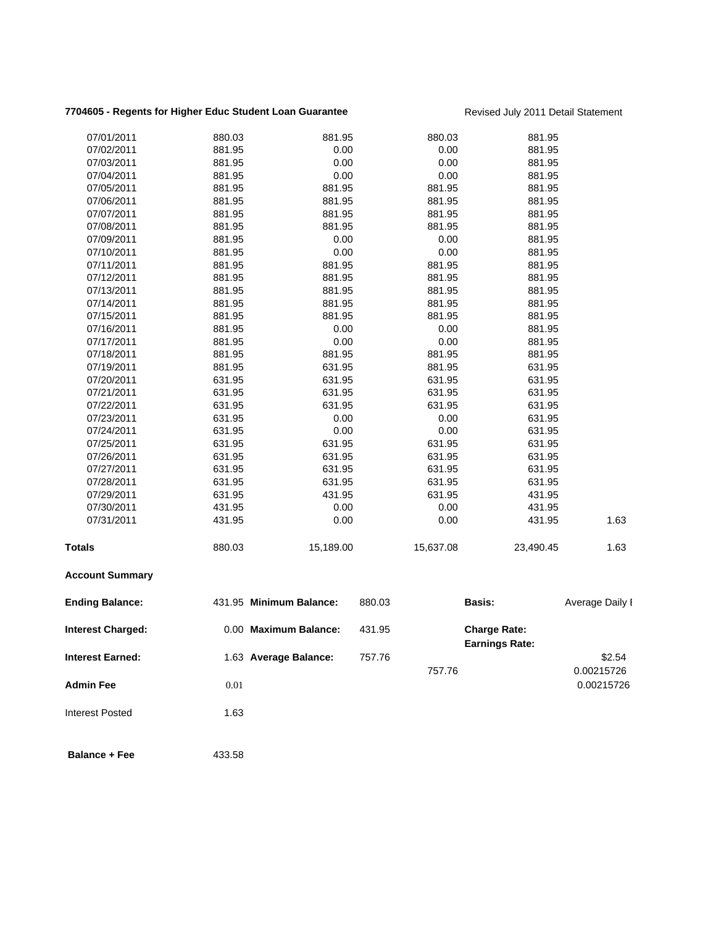### **7704605 - Regents for Higher Educ Student Loan Guarantee** Revised July 2011 Detail Statement

| <b>Balance + Fee</b>     | 433.58           |                         |                  |                                              |                      |
|--------------------------|------------------|-------------------------|------------------|----------------------------------------------|----------------------|
| <b>Interest Posted</b>   | 1.63             |                         |                  |                                              |                      |
| <b>Admin Fee</b>         | $0.01\,$         |                         |                  |                                              | 0.00215726           |
| <b>Interest Earned:</b>  |                  | 1.63 Average Balance:   | 757.76<br>757.76 |                                              | \$2.54<br>0.00215726 |
| <b>Interest Charged:</b> |                  | 0.00 Maximum Balance:   | 431.95           | <b>Charge Rate:</b><br><b>Earnings Rate:</b> |                      |
| <b>Ending Balance:</b>   |                  | 431.95 Minimum Balance: | 880.03           | <b>Basis:</b>                                | Average Daily I      |
| <b>Account Summary</b>   |                  |                         |                  |                                              |                      |
| <b>Totals</b>            | 880.03           | 15,189.00               | 15,637.08        | 23,490.45                                    | 1.63                 |
| 07/31/2011               | 431.95           | 0.00                    | 0.00             | 431.95                                       | 1.63                 |
| 07/30/2011               | 431.95           | 0.00                    | 0.00             | 431.95                                       |                      |
| 07/29/2011               | 631.95           | 431.95                  | 631.95           | 431.95                                       |                      |
| 07/28/2011               | 631.95           | 631.95                  | 631.95           | 631.95                                       |                      |
| 07/27/2011               | 631.95           | 631.95                  | 631.95           | 631.95                                       |                      |
| 07/26/2011               | 631.95           | 631.95                  | 631.95           | 631.95                                       |                      |
| 07/25/2011               | 631.95           | 631.95                  | 631.95           | 631.95                                       |                      |
| 07/24/2011               | 631.95           | 0.00                    | 0.00             | 631.95                                       |                      |
| 07/23/2011               | 631.95           | 0.00                    | 0.00             | 631.95                                       |                      |
| 07/22/2011               | 631.95           | 631.95                  | 631.95           | 631.95                                       |                      |
| 07/21/2011               | 631.95           | 631.95                  | 631.95           | 631.95                                       |                      |
| 07/20/2011               | 631.95           | 631.95                  | 631.95           | 631.95                                       |                      |
| 07/19/2011               | 881.95           | 631.95                  | 881.95           | 631.95                                       |                      |
| 07/18/2011               | 881.95           | 881.95                  | 881.95           | 881.95                                       |                      |
| 07/17/2011               | 881.95           | 0.00                    | 0.00             | 881.95                                       |                      |
| 07/16/2011               | 881.95           | 0.00                    | 0.00             | 881.95                                       |                      |
| 07/15/2011               | 881.95           | 881.95                  | 881.95           | 881.95                                       |                      |
| 07/13/2011<br>07/14/2011 | 881.95<br>881.95 | 881.95<br>881.95        | 881.95<br>881.95 | 881.95<br>881.95                             |                      |
| 07/12/2011               | 881.95           | 881.95                  | 881.95           | 881.95                                       |                      |
| 07/11/2011               | 881.95           | 881.95                  | 881.95           | 881.95                                       |                      |
| 07/10/2011               | 881.95           | 0.00                    | 0.00             | 881.95                                       |                      |
| 07/09/2011               | 881.95           | 0.00                    | 0.00             | 881.95                                       |                      |
| 07/08/2011               | 881.95           | 881.95                  | 881.95           | 881.95                                       |                      |
| 07/07/2011               | 881.95           | 881.95                  | 881.95           | 881.95                                       |                      |
| 07/06/2011               | 881.95           | 881.95                  | 881.95           | 881.95                                       |                      |
| 07/05/2011               | 881.95           | 881.95                  | 881.95           | 881.95                                       |                      |
| 07/04/2011               | 881.95           | 0.00                    | 0.00             | 881.95                                       |                      |
| 07/03/2011               | 881.95           | 0.00                    | 0.00             | 881.95                                       |                      |
| 07/02/2011               | 881.95           | 0.00                    | 0.00             | 881.95                                       |                      |
| 07/01/2011               | 880.03           | 881.95                  | 880.03           | 881.95                                       |                      |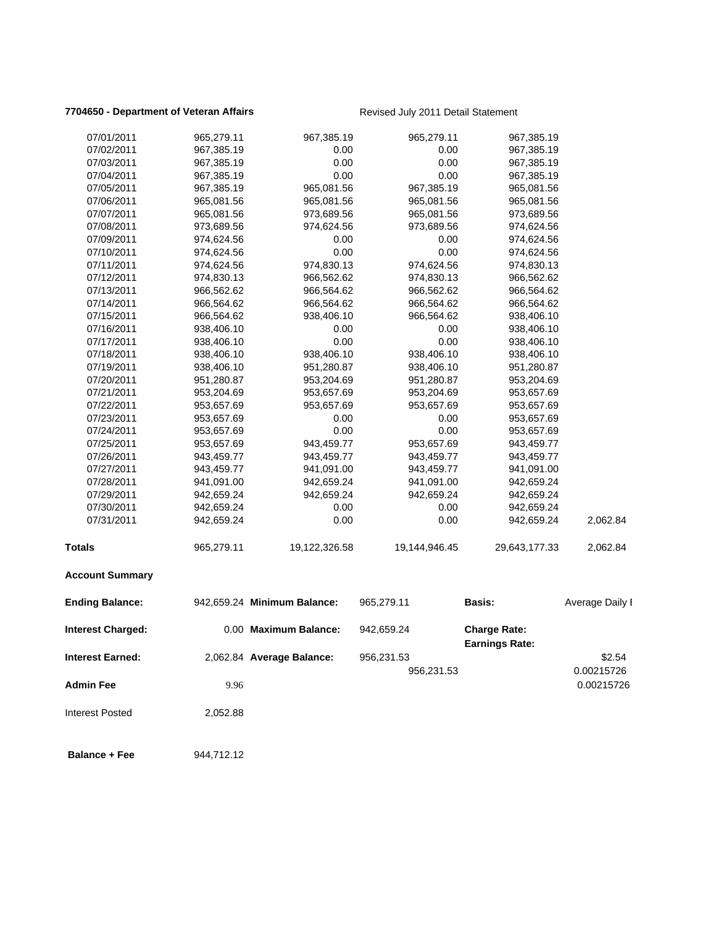### **7704650 - Department of Veteran Affairs Revised July 2011 Detail Statement**

| 07/01/2011              | 965,279.11 | 967,385.19                  | 965,279.11    | 967,385.19                                   |                 |
|-------------------------|------------|-----------------------------|---------------|----------------------------------------------|-----------------|
| 07/02/2011              | 967,385.19 | 0.00                        | 0.00          | 967,385.19                                   |                 |
| 07/03/2011              | 967,385.19 | 0.00                        | 0.00          | 967,385.19                                   |                 |
| 07/04/2011              | 967,385.19 | 0.00                        | 0.00          | 967,385.19                                   |                 |
| 07/05/2011              | 967,385.19 | 965,081.56                  | 967,385.19    | 965,081.56                                   |                 |
| 07/06/2011              | 965,081.56 | 965,081.56                  | 965,081.56    | 965,081.56                                   |                 |
| 07/07/2011              | 965,081.56 | 973,689.56                  | 965,081.56    | 973,689.56                                   |                 |
| 07/08/2011              | 973,689.56 | 974,624.56                  | 973,689.56    | 974,624.56                                   |                 |
| 07/09/2011              | 974,624.56 | 0.00                        | 0.00          | 974,624.56                                   |                 |
| 07/10/2011              | 974,624.56 | 0.00                        | 0.00          | 974,624.56                                   |                 |
| 07/11/2011              | 974,624.56 | 974,830.13                  | 974,624.56    | 974,830.13                                   |                 |
| 07/12/2011              | 974,830.13 | 966,562.62                  | 974,830.13    | 966,562.62                                   |                 |
| 07/13/2011              | 966,562.62 | 966,564.62                  | 966,562.62    | 966,564.62                                   |                 |
| 07/14/2011              | 966,564.62 | 966,564.62                  | 966,564.62    | 966,564.62                                   |                 |
| 07/15/2011              | 966,564.62 | 938,406.10                  | 966,564.62    | 938,406.10                                   |                 |
| 07/16/2011              | 938,406.10 | 0.00                        | 0.00          | 938,406.10                                   |                 |
| 07/17/2011              | 938,406.10 | 0.00                        | 0.00          | 938,406.10                                   |                 |
| 07/18/2011              | 938,406.10 | 938,406.10                  | 938,406.10    | 938,406.10                                   |                 |
| 07/19/2011              | 938,406.10 | 951,280.87                  | 938,406.10    | 951,280.87                                   |                 |
| 07/20/2011              | 951,280.87 | 953,204.69                  | 951,280.87    | 953,204.69                                   |                 |
| 07/21/2011              | 953,204.69 | 953,657.69                  | 953,204.69    | 953,657.69                                   |                 |
| 07/22/2011              | 953,657.69 | 953,657.69                  | 953,657.69    | 953,657.69                                   |                 |
| 07/23/2011              | 953,657.69 | 0.00                        | 0.00          | 953,657.69                                   |                 |
| 07/24/2011              | 953,657.69 | 0.00                        | 0.00          | 953,657.69                                   |                 |
| 07/25/2011              | 953,657.69 | 943,459.77                  | 953,657.69    | 943,459.77                                   |                 |
| 07/26/2011              | 943,459.77 | 943,459.77                  | 943,459.77    | 943,459.77                                   |                 |
| 07/27/2011              | 943,459.77 | 941,091.00                  | 943,459.77    | 941,091.00                                   |                 |
| 07/28/2011              | 941,091.00 | 942,659.24                  | 941,091.00    | 942,659.24                                   |                 |
| 07/29/2011              | 942,659.24 | 942,659.24                  | 942,659.24    | 942,659.24                                   |                 |
| 07/30/2011              | 942,659.24 | 0.00                        | 0.00          | 942,659.24                                   |                 |
| 07/31/2011              | 942,659.24 | 0.00                        | 0.00          | 942,659.24                                   | 2,062.84        |
| Totals                  | 965,279.11 | 19,122,326.58               | 19,144,946.45 | 29,643,177.33                                | 2,062.84        |
| <b>Account Summary</b>  |            |                             |               |                                              |                 |
| <b>Ending Balance:</b>  |            | 942,659.24 Minimum Balance: | 965,279.11    | <b>Basis:</b>                                | Average Daily I |
| Interest Charged:       |            | 0.00 Maximum Balance:       | 942,659.24    | <b>Charge Rate:</b><br><b>Earnings Rate:</b> |                 |
| <b>Interest Earned:</b> |            | 2,062.84 Average Balance:   | 956,231.53    |                                              | \$2.54          |
|                         |            |                             | 956,231.53    |                                              | 0.00215726      |
| <b>Admin Fee</b>        | 9.96       |                             |               |                                              | 0.00215726      |
| <b>Interest Posted</b>  | 2,052.88   |                             |               |                                              |                 |
| <b>Balance + Fee</b>    | 944,712.12 |                             |               |                                              |                 |
|                         |            |                             |               |                                              |                 |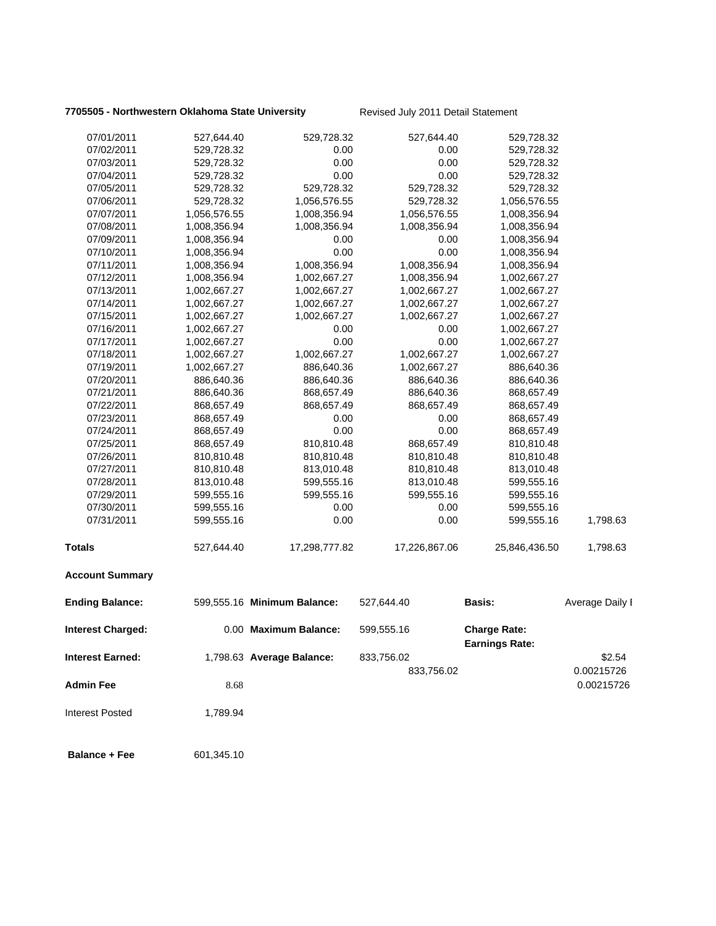### **7705505 - Northwestern Oklahoma State University Revised July 2011 Detail Statement**

| 07/01/2011               | 527,644.40   | 529,728.32                  | 527,644.40    | 529,728.32                                   |                 |
|--------------------------|--------------|-----------------------------|---------------|----------------------------------------------|-----------------|
| 07/02/2011               | 529,728.32   | 0.00                        | 0.00          | 529,728.32                                   |                 |
| 07/03/2011               | 529,728.32   | 0.00                        | 0.00          | 529,728.32                                   |                 |
| 07/04/2011               | 529,728.32   | 0.00                        | 0.00          | 529,728.32                                   |                 |
| 07/05/2011               | 529,728.32   | 529,728.32                  | 529,728.32    | 529,728.32                                   |                 |
| 07/06/2011               | 529,728.32   | 1,056,576.55                | 529,728.32    | 1,056,576.55                                 |                 |
| 07/07/2011               | 1,056,576.55 | 1,008,356.94                | 1,056,576.55  | 1,008,356.94                                 |                 |
| 07/08/2011               | 1,008,356.94 | 1,008,356.94                | 1,008,356.94  | 1,008,356.94                                 |                 |
| 07/09/2011               | 1,008,356.94 | 0.00                        | 0.00          | 1,008,356.94                                 |                 |
| 07/10/2011               | 1,008,356.94 | 0.00                        | 0.00          | 1,008,356.94                                 |                 |
| 07/11/2011               | 1,008,356.94 | 1,008,356.94                | 1,008,356.94  | 1,008,356.94                                 |                 |
| 07/12/2011               | 1,008,356.94 | 1,002,667.27                | 1,008,356.94  | 1,002,667.27                                 |                 |
| 07/13/2011               | 1,002,667.27 | 1,002,667.27                | 1,002,667.27  | 1,002,667.27                                 |                 |
| 07/14/2011               | 1,002,667.27 | 1,002,667.27                | 1,002,667.27  | 1,002,667.27                                 |                 |
| 07/15/2011               | 1,002,667.27 | 1,002,667.27                | 1,002,667.27  | 1,002,667.27                                 |                 |
| 07/16/2011               | 1,002,667.27 | 0.00                        | 0.00          | 1,002,667.27                                 |                 |
| 07/17/2011               | 1,002,667.27 | 0.00                        | 0.00          | 1,002,667.27                                 |                 |
| 07/18/2011               | 1,002,667.27 | 1,002,667.27                | 1,002,667.27  | 1,002,667.27                                 |                 |
| 07/19/2011               | 1,002,667.27 | 886,640.36                  | 1,002,667.27  | 886,640.36                                   |                 |
| 07/20/2011               | 886,640.36   | 886,640.36                  | 886,640.36    | 886,640.36                                   |                 |
| 07/21/2011               | 886,640.36   | 868,657.49                  | 886,640.36    | 868,657.49                                   |                 |
| 07/22/2011               | 868,657.49   | 868,657.49                  | 868,657.49    | 868,657.49                                   |                 |
| 07/23/2011               | 868,657.49   | 0.00                        | 0.00          | 868,657.49                                   |                 |
| 07/24/2011               | 868,657.49   | 0.00                        | 0.00          | 868,657.49                                   |                 |
| 07/25/2011               | 868,657.49   | 810,810.48                  | 868,657.49    | 810,810.48                                   |                 |
| 07/26/2011               | 810,810.48   | 810,810.48                  | 810,810.48    | 810,810.48                                   |                 |
| 07/27/2011               | 810,810.48   | 813,010.48                  | 810,810.48    | 813,010.48                                   |                 |
| 07/28/2011               | 813,010.48   | 599,555.16                  | 813,010.48    | 599,555.16                                   |                 |
| 07/29/2011               | 599,555.16   | 599,555.16                  | 599,555.16    | 599,555.16                                   |                 |
| 07/30/2011               | 599,555.16   | 0.00                        | 0.00          | 599,555.16                                   |                 |
| 07/31/2011               | 599,555.16   | 0.00                        | 0.00          | 599,555.16                                   | 1,798.63        |
| <b>Totals</b>            | 527,644.40   | 17,298,777.82               | 17,226,867.06 | 25,846,436.50                                | 1,798.63        |
| <b>Account Summary</b>   |              |                             |               |                                              |                 |
| <b>Ending Balance:</b>   |              | 599,555.16 Minimum Balance: | 527,644.40    | <b>Basis:</b>                                | Average Daily I |
| <b>Interest Charged:</b> |              | 0.00 Maximum Balance:       | 599,555.16    | <b>Charge Rate:</b><br><b>Earnings Rate:</b> |                 |
| <b>Interest Earned:</b>  |              | 1,798.63 Average Balance:   |               |                                              | \$2.54          |
|                          |              |                             | 833,756.02    |                                              |                 |
|                          |              |                             | 833,756.02    |                                              | 0.00215726      |
| <b>Admin Fee</b>         | 8.68         |                             |               |                                              | 0.00215726      |
| <b>Interest Posted</b>   | 1,789.94     |                             |               |                                              |                 |
| <b>Balance + Fee</b>     | 601,345.10   |                             |               |                                              |                 |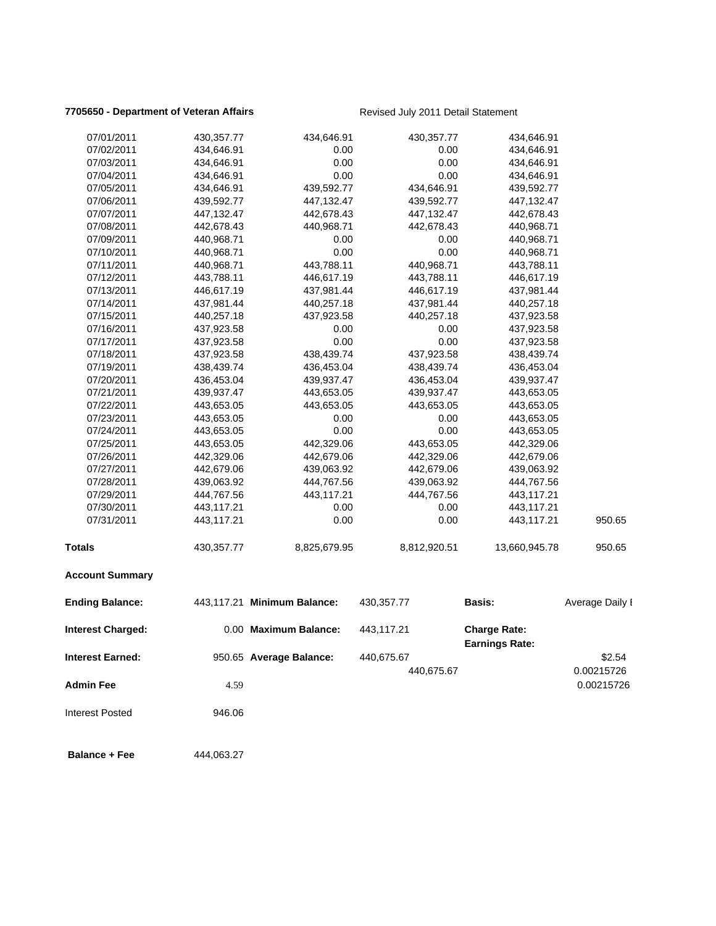### **7705650 - Department of Veteran Affairs Revised July 2011 Detail Statement**

| 07/01/2011               | 430,357.77 | 434,646.91                  | 430,357.77   | 434,646.91                                   |                 |
|--------------------------|------------|-----------------------------|--------------|----------------------------------------------|-----------------|
| 07/02/2011               | 434,646.91 | 0.00                        | 0.00         | 434,646.91                                   |                 |
| 07/03/2011               | 434,646.91 | 0.00                        | 0.00         | 434,646.91                                   |                 |
| 07/04/2011               | 434,646.91 | 0.00                        | 0.00         | 434,646.91                                   |                 |
| 07/05/2011               | 434,646.91 | 439,592.77                  | 434,646.91   | 439,592.77                                   |                 |
| 07/06/2011               | 439,592.77 | 447,132.47                  | 439,592.77   | 447,132.47                                   |                 |
| 07/07/2011               | 447,132.47 | 442,678.43                  | 447,132.47   | 442,678.43                                   |                 |
| 07/08/2011               | 442,678.43 | 440,968.71                  | 442,678.43   | 440,968.71                                   |                 |
| 07/09/2011               | 440,968.71 | 0.00                        | 0.00         | 440,968.71                                   |                 |
| 07/10/2011               | 440,968.71 | 0.00                        | 0.00         | 440,968.71                                   |                 |
| 07/11/2011               | 440,968.71 | 443,788.11                  | 440,968.71   | 443,788.11                                   |                 |
| 07/12/2011               | 443,788.11 | 446,617.19                  | 443,788.11   | 446,617.19                                   |                 |
| 07/13/2011               | 446,617.19 | 437,981.44                  | 446,617.19   | 437,981.44                                   |                 |
| 07/14/2011               | 437,981.44 | 440,257.18                  | 437,981.44   | 440,257.18                                   |                 |
| 07/15/2011               | 440,257.18 | 437,923.58                  | 440,257.18   | 437,923.58                                   |                 |
| 07/16/2011               | 437,923.58 | 0.00                        | 0.00         | 437,923.58                                   |                 |
| 07/17/2011               | 437,923.58 | 0.00                        | 0.00         | 437,923.58                                   |                 |
| 07/18/2011               | 437,923.58 | 438,439.74                  | 437,923.58   | 438,439.74                                   |                 |
| 07/19/2011               | 438,439.74 | 436,453.04                  | 438,439.74   | 436,453.04                                   |                 |
| 07/20/2011               | 436,453.04 | 439,937.47                  | 436,453.04   | 439,937.47                                   |                 |
| 07/21/2011               | 439,937.47 | 443,653.05                  | 439,937.47   | 443,653.05                                   |                 |
| 07/22/2011               | 443,653.05 | 443,653.05                  | 443,653.05   | 443,653.05                                   |                 |
| 07/23/2011               | 443,653.05 | 0.00                        | 0.00         | 443,653.05                                   |                 |
| 07/24/2011               | 443,653.05 | 0.00                        | 0.00         | 443,653.05                                   |                 |
| 07/25/2011               | 443,653.05 | 442,329.06                  | 443,653.05   | 442,329.06                                   |                 |
| 07/26/2011               | 442,329.06 | 442,679.06                  | 442,329.06   | 442,679.06                                   |                 |
| 07/27/2011               | 442,679.06 | 439,063.92                  | 442,679.06   | 439,063.92                                   |                 |
| 07/28/2011               | 439,063.92 | 444,767.56                  | 439,063.92   | 444,767.56                                   |                 |
| 07/29/2011               | 444,767.56 | 443,117.21                  | 444,767.56   | 443,117.21                                   |                 |
| 07/30/2011               | 443,117.21 | 0.00                        | 0.00         | 443,117.21                                   |                 |
| 07/31/2011               | 443,117.21 | 0.00                        | 0.00         | 443,117.21                                   | 950.65          |
| <b>Totals</b>            | 430,357.77 | 8,825,679.95                | 8,812,920.51 | 13,660,945.78                                | 950.65          |
| <b>Account Summary</b>   |            |                             |              |                                              |                 |
| <b>Ending Balance:</b>   |            | 443,117.21 Minimum Balance: | 430,357.77   | <b>Basis:</b>                                | Average Daily I |
| <b>Interest Charged:</b> |            | 0.00 Maximum Balance:       | 443,117.21   | <b>Charge Rate:</b><br><b>Earnings Rate:</b> |                 |
| <b>Interest Earned:</b>  |            | 950.65 Average Balance:     | 440,675.67   |                                              | \$2.54          |
|                          |            |                             | 440,675.67   |                                              | 0.00215726      |
| <b>Admin Fee</b>         | 4.59       |                             |              |                                              | 0.00215726      |
| <b>Interest Posted</b>   | 946.06     |                             |              |                                              |                 |
| <b>Balance + Fee</b>     | 444,063.27 |                             |              |                                              |                 |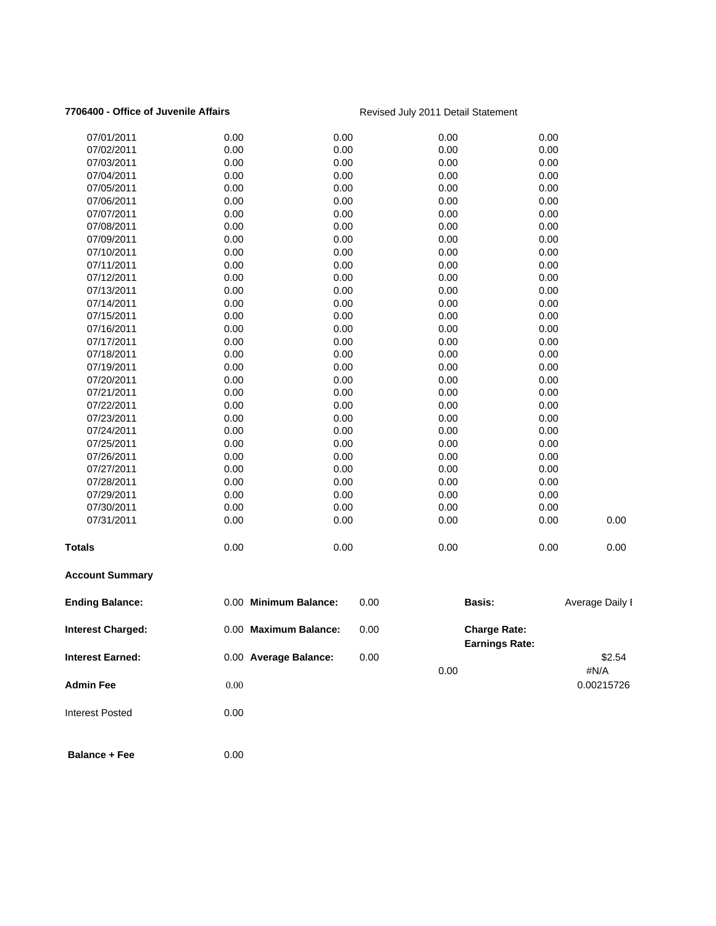### **7706400 - Office of Juvenile Affairs Revised July 2011 Detail Statement**

| 07/01/2011               | 0.00                  | 0.00 | 0.00                                         | 0.00            |
|--------------------------|-----------------------|------|----------------------------------------------|-----------------|
| 07/02/2011               | 0.00                  | 0.00 | 0.00                                         | 0.00            |
| 07/03/2011               | 0.00                  | 0.00 | 0.00                                         | 0.00            |
| 07/04/2011               | 0.00                  | 0.00 | 0.00                                         | 0.00            |
| 07/05/2011               | 0.00                  | 0.00 | 0.00                                         | 0.00            |
| 07/06/2011               | 0.00                  | 0.00 | 0.00                                         | 0.00            |
| 07/07/2011               | 0.00                  | 0.00 | 0.00                                         | 0.00            |
| 07/08/2011               | 0.00                  | 0.00 | 0.00                                         | 0.00            |
| 07/09/2011               | 0.00                  | 0.00 | 0.00                                         | 0.00            |
| 07/10/2011               | 0.00                  | 0.00 | 0.00                                         | 0.00            |
| 07/11/2011               | 0.00                  | 0.00 | 0.00                                         | 0.00            |
| 07/12/2011               | 0.00                  | 0.00 | 0.00                                         | 0.00            |
| 07/13/2011               | 0.00                  | 0.00 | 0.00                                         | 0.00            |
| 07/14/2011               | 0.00                  | 0.00 | 0.00                                         | 0.00            |
| 07/15/2011               | 0.00                  | 0.00 | 0.00                                         | 0.00            |
| 07/16/2011               | 0.00                  | 0.00 | 0.00                                         | 0.00            |
| 07/17/2011               | 0.00                  | 0.00 | 0.00                                         | 0.00            |
| 07/18/2011               | 0.00                  | 0.00 | 0.00                                         | 0.00            |
| 07/19/2011               | 0.00                  | 0.00 | 0.00                                         | 0.00            |
| 07/20/2011               | 0.00                  | 0.00 | 0.00                                         | 0.00            |
| 07/21/2011               | 0.00                  | 0.00 | 0.00                                         | 0.00            |
| 07/22/2011               | 0.00                  | 0.00 | 0.00                                         | 0.00            |
| 07/23/2011               | 0.00                  | 0.00 | 0.00                                         | 0.00            |
| 07/24/2011               | 0.00                  | 0.00 | 0.00                                         | 0.00            |
| 07/25/2011               | 0.00                  | 0.00 | 0.00                                         | 0.00            |
| 07/26/2011               | 0.00                  | 0.00 | 0.00                                         | 0.00            |
| 07/27/2011               | 0.00                  | 0.00 | 0.00                                         | 0.00            |
| 07/28/2011               | 0.00                  | 0.00 | 0.00                                         | 0.00            |
| 07/29/2011               | 0.00                  | 0.00 | 0.00                                         | 0.00            |
| 07/30/2011               | 0.00                  | 0.00 | 0.00                                         | 0.00            |
| 07/31/2011               | 0.00                  | 0.00 | 0.00                                         | 0.00<br>0.00    |
| <b>Totals</b>            | 0.00                  | 0.00 | 0.00                                         | 0.00<br>0.00    |
| <b>Account Summary</b>   |                       |      |                                              |                 |
| <b>Ending Balance:</b>   | 0.00 Minimum Balance: | 0.00 | Basis:                                       | Average Daily I |
| <b>Interest Charged:</b> | 0.00 Maximum Balance: | 0.00 | <b>Charge Rate:</b><br><b>Earnings Rate:</b> |                 |
| <b>Interest Earned:</b>  | 0.00 Average Balance: | 0.00 | 0.00                                         | \$2.54<br>#N/A  |
| <b>Admin Fee</b>         | 0.00                  |      |                                              | 0.00215726      |

Interest Posted 0.00

**Balance + Fee** 0.00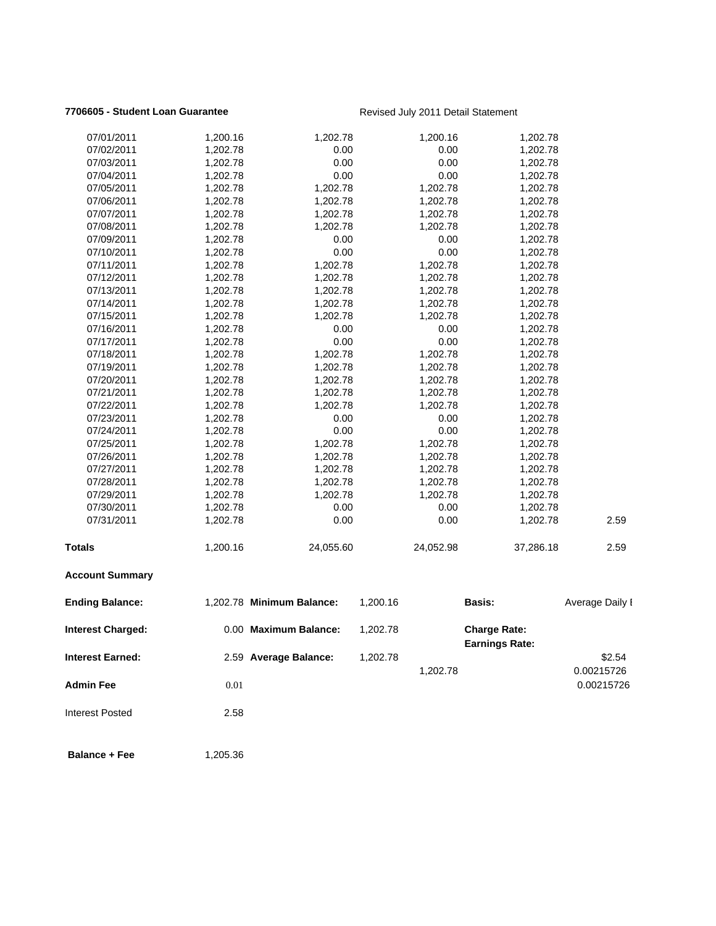### **7706605 - Student Loan Guarantee Revised July 2011 Detail Statement**

| 07/01/2011              | 1,200.16 | 1,202.78                  |          | 1,200.16  | 1,202.78                                     |                 |
|-------------------------|----------|---------------------------|----------|-----------|----------------------------------------------|-----------------|
| 07/02/2011              | 1,202.78 | 0.00                      |          | 0.00      | 1,202.78                                     |                 |
| 07/03/2011              | 1,202.78 | 0.00                      |          | 0.00      | 1,202.78                                     |                 |
| 07/04/2011              | 1,202.78 | 0.00                      |          | 0.00      | 1,202.78                                     |                 |
| 07/05/2011              | 1,202.78 | 1,202.78                  |          | 1,202.78  | 1,202.78                                     |                 |
| 07/06/2011              | 1,202.78 | 1,202.78                  |          | 1,202.78  | 1,202.78                                     |                 |
| 07/07/2011              | 1,202.78 | 1,202.78                  |          | 1,202.78  | 1,202.78                                     |                 |
| 07/08/2011              | 1,202.78 | 1,202.78                  |          | 1,202.78  | 1,202.78                                     |                 |
| 07/09/2011              | 1,202.78 | 0.00                      |          | 0.00      | 1,202.78                                     |                 |
| 07/10/2011              | 1,202.78 | 0.00                      |          | 0.00      | 1,202.78                                     |                 |
| 07/11/2011              | 1,202.78 | 1,202.78                  |          | 1,202.78  | 1,202.78                                     |                 |
| 07/12/2011              | 1,202.78 | 1,202.78                  |          | 1,202.78  | 1,202.78                                     |                 |
| 07/13/2011              | 1,202.78 | 1,202.78                  |          | 1,202.78  | 1,202.78                                     |                 |
| 07/14/2011              | 1,202.78 | 1,202.78                  |          | 1,202.78  | 1,202.78                                     |                 |
| 07/15/2011              | 1,202.78 | 1,202.78                  |          | 1,202.78  | 1,202.78                                     |                 |
| 07/16/2011              | 1,202.78 | 0.00                      |          | 0.00      | 1,202.78                                     |                 |
| 07/17/2011              | 1,202.78 | 0.00                      |          | 0.00      | 1,202.78                                     |                 |
| 07/18/2011              | 1,202.78 | 1,202.78                  |          | 1,202.78  | 1,202.78                                     |                 |
| 07/19/2011              | 1,202.78 | 1,202.78                  |          | 1,202.78  | 1,202.78                                     |                 |
| 07/20/2011              | 1,202.78 | 1,202.78                  |          | 1,202.78  | 1,202.78                                     |                 |
| 07/21/2011              | 1,202.78 | 1,202.78                  |          | 1,202.78  | 1,202.78                                     |                 |
| 07/22/2011              | 1,202.78 | 1,202.78                  |          | 1,202.78  | 1,202.78                                     |                 |
| 07/23/2011              | 1,202.78 | 0.00                      |          | 0.00      | 1,202.78                                     |                 |
| 07/24/2011              | 1,202.78 | 0.00                      |          | 0.00      | 1,202.78                                     |                 |
| 07/25/2011              | 1,202.78 | 1,202.78                  |          | 1,202.78  | 1,202.78                                     |                 |
| 07/26/2011              | 1,202.78 | 1,202.78                  |          | 1,202.78  | 1,202.78                                     |                 |
| 07/27/2011              | 1,202.78 | 1,202.78                  |          | 1,202.78  | 1,202.78                                     |                 |
| 07/28/2011              | 1,202.78 | 1,202.78                  |          | 1,202.78  | 1,202.78                                     |                 |
| 07/29/2011              | 1,202.78 | 1,202.78                  |          | 1,202.78  | 1,202.78                                     |                 |
| 07/30/2011              | 1,202.78 | 0.00                      |          | 0.00      | 1,202.78                                     |                 |
| 07/31/2011              | 1,202.78 | 0.00                      |          | 0.00      | 1,202.78                                     | 2.59            |
| <b>Totals</b>           | 1,200.16 | 24,055.60                 |          | 24,052.98 | 37,286.18                                    | 2.59            |
| <b>Account Summary</b>  |          |                           |          |           |                                              |                 |
| <b>Ending Balance:</b>  |          | 1,202.78 Minimum Balance: | 1,200.16 |           | <b>Basis:</b>                                | Average Daily I |
| Interest Charged:       |          | 0.00 Maximum Balance:     | 1,202.78 |           | <b>Charge Rate:</b><br><b>Earnings Rate:</b> |                 |
| <b>Interest Earned:</b> |          | 2.59 Average Balance:     | 1,202.78 |           |                                              | \$2.54          |
|                         |          |                           |          | 1,202.78  |                                              | 0.00215726      |
| <b>Admin Fee</b>        | $0.01\,$ |                           |          |           |                                              | 0.00215726      |
| <b>Interest Posted</b>  | 2.58     |                           |          |           |                                              |                 |
| <b>Balance + Fee</b>    | 1,205.36 |                           |          |           |                                              |                 |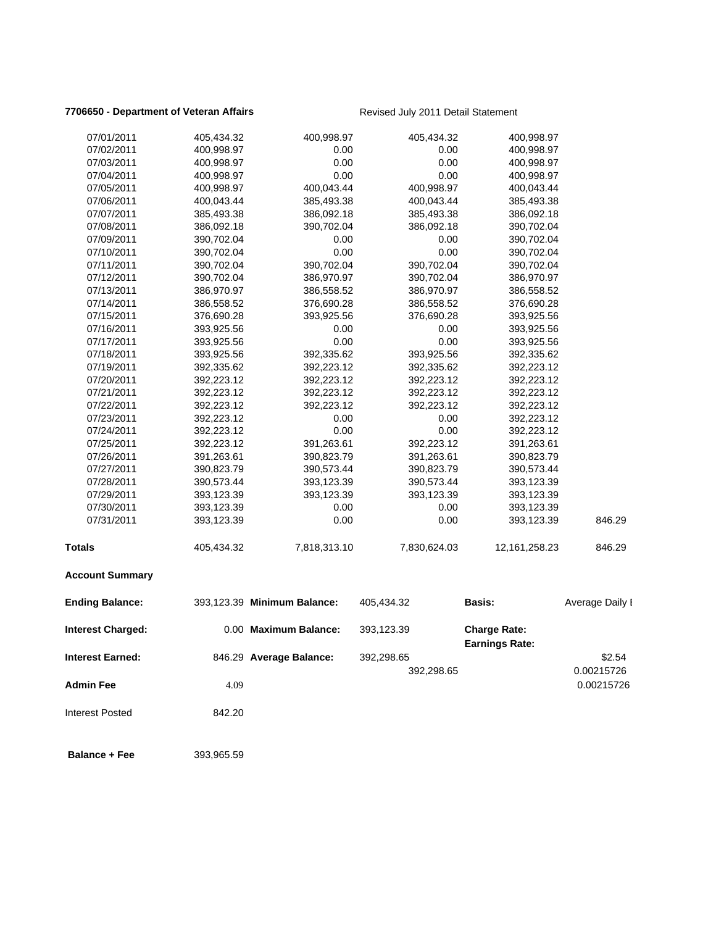### **7706650 - Department of Veteran Affairs Revised July 2011 Detail Statement**

| 07/01/2011               | 405,434.32 | 400,998.97                  | 405,434.32   | 400,998.97                                   |                          |
|--------------------------|------------|-----------------------------|--------------|----------------------------------------------|--------------------------|
| 07/02/2011               | 400,998.97 | 0.00                        | 0.00         | 400,998.97                                   |                          |
| 07/03/2011               | 400,998.97 | 0.00                        | 0.00         | 400,998.97                                   |                          |
| 07/04/2011               | 400,998.97 | 0.00                        | 0.00         | 400,998.97                                   |                          |
| 07/05/2011               | 400,998.97 | 400,043.44                  | 400,998.97   | 400,043.44                                   |                          |
| 07/06/2011               | 400,043.44 | 385,493.38                  | 400,043.44   | 385,493.38                                   |                          |
| 07/07/2011               | 385,493.38 | 386,092.18                  | 385,493.38   | 386,092.18                                   |                          |
| 07/08/2011               | 386,092.18 | 390,702.04                  | 386,092.18   | 390,702.04                                   |                          |
| 07/09/2011               | 390,702.04 | 0.00                        | 0.00         | 390,702.04                                   |                          |
| 07/10/2011               | 390,702.04 | 0.00                        | 0.00         | 390,702.04                                   |                          |
| 07/11/2011               | 390,702.04 | 390,702.04                  | 390,702.04   | 390,702.04                                   |                          |
| 07/12/2011               | 390,702.04 | 386,970.97                  | 390,702.04   | 386,970.97                                   |                          |
| 07/13/2011               | 386,970.97 | 386,558.52                  | 386,970.97   | 386,558.52                                   |                          |
| 07/14/2011               | 386,558.52 | 376,690.28                  | 386,558.52   | 376,690.28                                   |                          |
| 07/15/2011               | 376,690.28 | 393,925.56                  | 376,690.28   | 393,925.56                                   |                          |
| 07/16/2011               | 393,925.56 | 0.00                        | 0.00         | 393,925.56                                   |                          |
| 07/17/2011               | 393,925.56 | 0.00                        | 0.00         | 393,925.56                                   |                          |
| 07/18/2011               | 393,925.56 | 392,335.62                  | 393,925.56   | 392,335.62                                   |                          |
| 07/19/2011               | 392,335.62 | 392,223.12                  | 392,335.62   | 392,223.12                                   |                          |
| 07/20/2011               | 392,223.12 | 392,223.12                  | 392,223.12   | 392,223.12                                   |                          |
| 07/21/2011               | 392,223.12 | 392,223.12                  | 392,223.12   | 392,223.12                                   |                          |
| 07/22/2011               | 392,223.12 | 392,223.12                  | 392,223.12   | 392,223.12                                   |                          |
| 07/23/2011               | 392,223.12 | 0.00                        | 0.00         | 392,223.12                                   |                          |
| 07/24/2011               | 392,223.12 | 0.00                        | 0.00         | 392,223.12                                   |                          |
| 07/25/2011               | 392,223.12 | 391,263.61                  | 392,223.12   | 391,263.61                                   |                          |
| 07/26/2011               | 391,263.61 | 390,823.79                  | 391,263.61   | 390,823.79                                   |                          |
| 07/27/2011               | 390,823.79 | 390,573.44                  | 390,823.79   | 390,573.44                                   |                          |
| 07/28/2011               | 390,573.44 | 393,123.39                  | 390,573.44   | 393,123.39                                   |                          |
| 07/29/2011               | 393,123.39 | 393,123.39                  | 393,123.39   | 393,123.39                                   |                          |
| 07/30/2011               | 393,123.39 | 0.00                        | 0.00         | 393,123.39                                   |                          |
| 07/31/2011               | 393,123.39 | 0.00                        | 0.00         | 393,123.39                                   | 846.29                   |
| <b>Totals</b>            | 405,434.32 | 7,818,313.10                | 7,830,624.03 | 12, 161, 258. 23                             | 846.29                   |
| <b>Account Summary</b>   |            |                             |              |                                              |                          |
| <b>Ending Balance:</b>   |            | 393,123.39 Minimum Balance: | 405,434.32   | <b>Basis:</b>                                | Average Daily I          |
| <b>Interest Charged:</b> |            | 0.00 Maximum Balance:       | 393,123.39   | <b>Charge Rate:</b><br><b>Earnings Rate:</b> |                          |
| <b>Interest Earned:</b>  |            | 846.29 Average Balance:     | 392,298.65   |                                              | \$2.54                   |
| <b>Admin Fee</b>         | 4.09       |                             | 392,298.65   |                                              | 0.00215726<br>0.00215726 |
| <b>Interest Posted</b>   | 842.20     |                             |              |                                              |                          |
| <b>Balance + Fee</b>     | 393,965.59 |                             |              |                                              |                          |
|                          |            |                             |              |                                              |                          |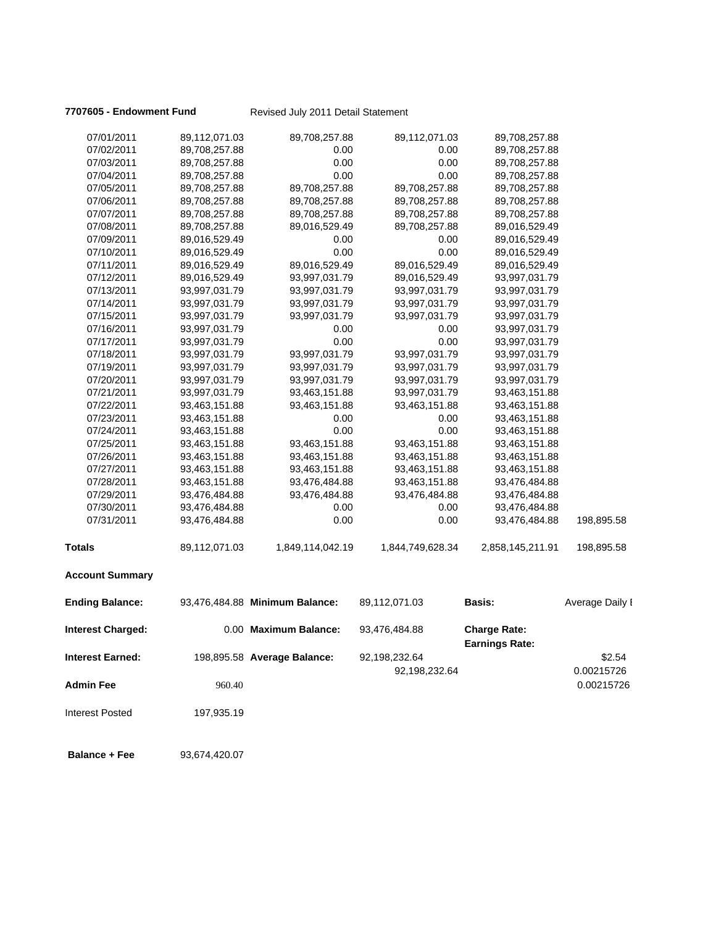**7707605 - Endowment Fund** Revised July 2011 Detail Statement

| 07/01/2011               | 89,112,071.03 | 89,708,257.88                  | 89,112,071.03    | 89,708,257.88                                |                          |
|--------------------------|---------------|--------------------------------|------------------|----------------------------------------------|--------------------------|
| 07/02/2011               | 89,708,257.88 | 0.00                           | 0.00             | 89,708,257.88                                |                          |
| 07/03/2011               | 89,708,257.88 | 0.00                           | 0.00             | 89,708,257.88                                |                          |
| 07/04/2011               | 89,708,257.88 | 0.00                           | 0.00             | 89,708,257.88                                |                          |
| 07/05/2011               | 89,708,257.88 | 89,708,257.88                  | 89,708,257.88    | 89,708,257.88                                |                          |
| 07/06/2011               | 89,708,257.88 | 89,708,257.88                  | 89,708,257.88    | 89,708,257.88                                |                          |
| 07/07/2011               | 89,708,257.88 | 89,708,257.88                  | 89,708,257.88    | 89,708,257.88                                |                          |
| 07/08/2011               | 89,708,257.88 | 89,016,529.49                  | 89,708,257.88    | 89,016,529.49                                |                          |
| 07/09/2011               | 89,016,529.49 | 0.00                           | 0.00             | 89,016,529.49                                |                          |
| 07/10/2011               | 89,016,529.49 | 0.00                           | 0.00             | 89,016,529.49                                |                          |
| 07/11/2011               | 89,016,529.49 | 89,016,529.49                  | 89,016,529.49    | 89,016,529.49                                |                          |
| 07/12/2011               | 89,016,529.49 | 93,997,031.79                  | 89,016,529.49    | 93,997,031.79                                |                          |
| 07/13/2011               | 93,997,031.79 | 93,997,031.79                  | 93,997,031.79    | 93,997,031.79                                |                          |
| 07/14/2011               | 93,997,031.79 | 93,997,031.79                  | 93,997,031.79    | 93,997,031.79                                |                          |
| 07/15/2011               | 93,997,031.79 | 93,997,031.79                  | 93,997,031.79    | 93,997,031.79                                |                          |
| 07/16/2011               | 93,997,031.79 | 0.00                           | 0.00             | 93,997,031.79                                |                          |
| 07/17/2011               | 93,997,031.79 | 0.00                           | 0.00             | 93,997,031.79                                |                          |
| 07/18/2011               | 93,997,031.79 | 93,997,031.79                  | 93,997,031.79    | 93,997,031.79                                |                          |
| 07/19/2011               | 93,997,031.79 | 93,997,031.79                  | 93,997,031.79    | 93,997,031.79                                |                          |
| 07/20/2011               | 93,997,031.79 | 93,997,031.79                  | 93,997,031.79    | 93,997,031.79                                |                          |
| 07/21/2011               | 93,997,031.79 | 93,463,151.88                  | 93,997,031.79    | 93,463,151.88                                |                          |
| 07/22/2011               | 93,463,151.88 | 93,463,151.88                  | 93,463,151.88    | 93,463,151.88                                |                          |
| 07/23/2011               | 93,463,151.88 | 0.00                           | 0.00             | 93,463,151.88                                |                          |
| 07/24/2011               | 93,463,151.88 | 0.00                           | 0.00             | 93,463,151.88                                |                          |
| 07/25/2011               | 93,463,151.88 | 93,463,151.88                  | 93,463,151.88    | 93,463,151.88                                |                          |
| 07/26/2011               | 93,463,151.88 | 93,463,151.88                  | 93,463,151.88    | 93,463,151.88                                |                          |
| 07/27/2011               | 93,463,151.88 | 93,463,151.88                  | 93,463,151.88    | 93,463,151.88                                |                          |
| 07/28/2011               | 93,463,151.88 | 93,476,484.88                  | 93,463,151.88    | 93,476,484.88                                |                          |
| 07/29/2011               | 93,476,484.88 | 93,476,484.88                  | 93,476,484.88    | 93,476,484.88                                |                          |
| 07/30/2011               | 93,476,484.88 | 0.00                           | 0.00             | 93,476,484.88                                |                          |
| 07/31/2011               | 93,476,484.88 | 0.00                           | 0.00             | 93,476,484.88                                | 198,895.58               |
| <b>Totals</b>            | 89,112,071.03 | 1,849,114,042.19               | 1,844,749,628.34 | 2,858,145,211.91                             | 198,895.58               |
| <b>Account Summary</b>   |               |                                |                  |                                              |                          |
| <b>Ending Balance:</b>   |               | 93,476,484.88 Minimum Balance: | 89,112,071.03    | Basis:                                       | Average Daily I          |
| <b>Interest Charged:</b> |               | 0.00 Maximum Balance:          | 93,476,484.88    | <b>Charge Rate:</b><br><b>Earnings Rate:</b> |                          |
| Interest Earned:         |               | 198,895.58 Average Balance:    | 92,198,232.64    |                                              | \$2.54                   |
| <b>Admin Fee</b>         | 960.40        |                                | 92,198,232.64    |                                              | 0.00215726<br>0.00215726 |
| Interest Posted          | 197,935.19    |                                |                  |                                              |                          |
| <b>Balance + Fee</b>     | 93,674,420.07 |                                |                  |                                              |                          |
|                          |               |                                |                  |                                              |                          |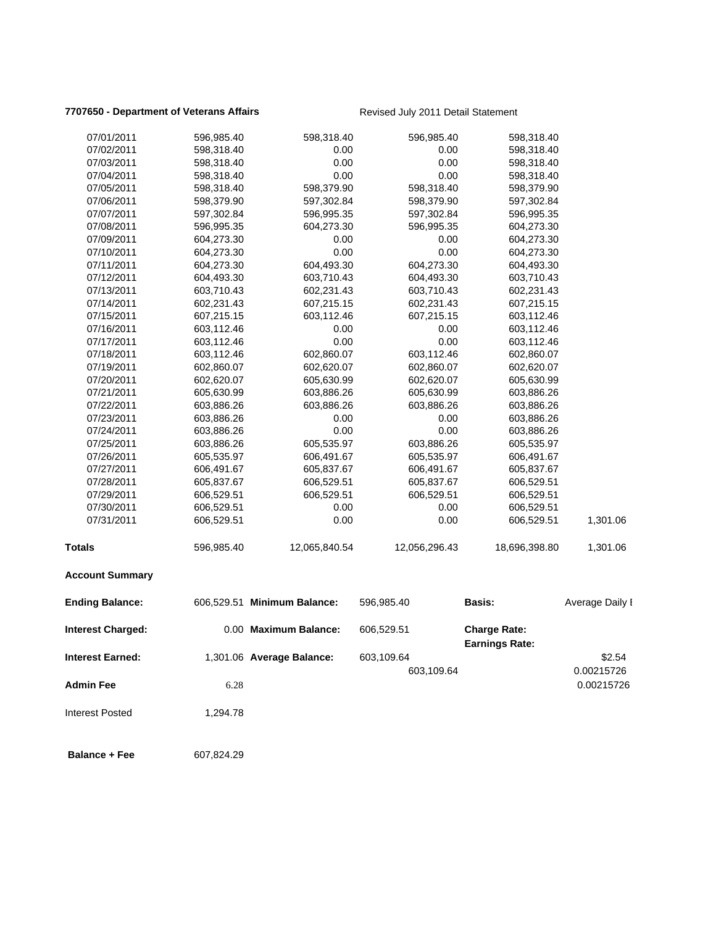# **7707650 - Department of Veterans Affairs** Revised July 2011 Detail Statement

| 07/02/2011<br>07/03/2011<br>07/04/2011<br>07/05/2011<br>07/06/2011 | 598,318.40<br>598,318.40<br>598,318.40<br>598,318.40<br>598,379.90<br>597,302.84<br>596,995.35 | 0.00<br>0.00<br>0.00<br>598,379.90<br>597,302.84 | 0.00<br>0.00<br>0.00<br>598,318.40 | 598,318.40<br>598,318.40<br>598,318.40<br>598,379.90 |                 |
|--------------------------------------------------------------------|------------------------------------------------------------------------------------------------|--------------------------------------------------|------------------------------------|------------------------------------------------------|-----------------|
|                                                                    |                                                                                                |                                                  |                                    |                                                      |                 |
|                                                                    |                                                                                                |                                                  |                                    |                                                      |                 |
|                                                                    |                                                                                                |                                                  |                                    |                                                      |                 |
|                                                                    |                                                                                                |                                                  |                                    |                                                      |                 |
|                                                                    |                                                                                                |                                                  | 598,379.90                         | 597,302.84                                           |                 |
| 07/07/2011                                                         |                                                                                                | 596,995.35                                       | 597,302.84                         | 596,995.35                                           |                 |
| 07/08/2011                                                         |                                                                                                | 604,273.30                                       | 596,995.35                         | 604,273.30                                           |                 |
| 07/09/2011                                                         | 604,273.30                                                                                     | 0.00                                             | 0.00                               | 604,273.30                                           |                 |
| 07/10/2011                                                         | 604,273.30                                                                                     | 0.00                                             | 0.00                               | 604,273.30                                           |                 |
| 07/11/2011                                                         | 604,273.30                                                                                     | 604,493.30                                       | 604,273.30                         | 604,493.30                                           |                 |
| 07/12/2011                                                         | 604,493.30                                                                                     | 603,710.43                                       | 604,493.30                         | 603,710.43                                           |                 |
| 07/13/2011                                                         | 603,710.43                                                                                     | 602,231.43                                       | 603,710.43                         | 602,231.43                                           |                 |
| 07/14/2011                                                         | 602,231.43                                                                                     | 607,215.15                                       | 602,231.43                         | 607,215.15                                           |                 |
| 07/15/2011                                                         | 607,215.15                                                                                     | 603,112.46                                       | 607,215.15                         | 603,112.46                                           |                 |
| 07/16/2011                                                         | 603,112.46                                                                                     | 0.00                                             | 0.00                               | 603,112.46                                           |                 |
| 07/17/2011                                                         | 603,112.46                                                                                     | 0.00                                             | 0.00                               | 603,112.46                                           |                 |
| 07/18/2011                                                         | 603,112.46                                                                                     | 602,860.07                                       | 603,112.46                         | 602,860.07                                           |                 |
| 07/19/2011                                                         | 602,860.07                                                                                     | 602,620.07                                       | 602,860.07                         | 602,620.07                                           |                 |
| 07/20/2011                                                         | 602,620.07                                                                                     | 605,630.99                                       | 602,620.07                         | 605,630.99                                           |                 |
| 07/21/2011                                                         | 605,630.99                                                                                     | 603,886.26                                       | 605,630.99                         | 603,886.26                                           |                 |
| 07/22/2011                                                         | 603,886.26                                                                                     | 603,886.26                                       | 603,886.26                         | 603,886.26                                           |                 |
| 07/23/2011                                                         | 603,886.26                                                                                     | 0.00                                             | 0.00                               | 603,886.26                                           |                 |
| 07/24/2011                                                         | 603,886.26                                                                                     | 0.00                                             | 0.00                               | 603,886.26                                           |                 |
| 07/25/2011                                                         | 603,886.26                                                                                     | 605,535.97                                       | 603,886.26                         | 605,535.97                                           |                 |
| 07/26/2011                                                         | 605,535.97                                                                                     | 606,491.67                                       | 605,535.97                         | 606,491.67                                           |                 |
| 07/27/2011                                                         | 606,491.67                                                                                     | 605,837.67                                       | 606,491.67                         | 605,837.67                                           |                 |
| 07/28/2011                                                         | 605,837.67                                                                                     | 606,529.51                                       | 605,837.67                         | 606,529.51                                           |                 |
| 07/29/2011                                                         | 606,529.51                                                                                     | 606,529.51                                       | 606,529.51                         | 606,529.51                                           |                 |
| 07/30/2011                                                         | 606,529.51                                                                                     | 0.00                                             | 0.00                               | 606,529.51                                           |                 |
| 07/31/2011                                                         | 606,529.51                                                                                     | 0.00                                             | 0.00                               | 606,529.51                                           | 1,301.06        |
| <b>Totals</b>                                                      | 596,985.40                                                                                     | 12,065,840.54                                    | 12,056,296.43                      | 18,696,398.80                                        | 1,301.06        |
| <b>Account Summary</b>                                             |                                                                                                |                                                  |                                    |                                                      |                 |
| <b>Ending Balance:</b>                                             |                                                                                                | 606,529.51 Minimum Balance:                      | 596,985.40                         | <b>Basis:</b>                                        | Average Daily I |
| Interest Charged:                                                  |                                                                                                | 0.00 Maximum Balance:                            | 606,529.51                         | <b>Charge Rate:</b><br><b>Earnings Rate:</b>         |                 |
| <b>Interest Earned:</b>                                            |                                                                                                | 1,301.06 Average Balance:                        | 603,109.64                         |                                                      | \$2.54          |
|                                                                    |                                                                                                |                                                  | 603,109.64                         |                                                      | 0.00215726      |
| <b>Admin Fee</b>                                                   | 6.28                                                                                           |                                                  |                                    |                                                      | 0.00215726      |
| <b>Interest Posted</b>                                             | 1,294.78                                                                                       |                                                  |                                    |                                                      |                 |
| <b>Balance + Fee</b>                                               | 607,824.29                                                                                     |                                                  |                                    |                                                      |                 |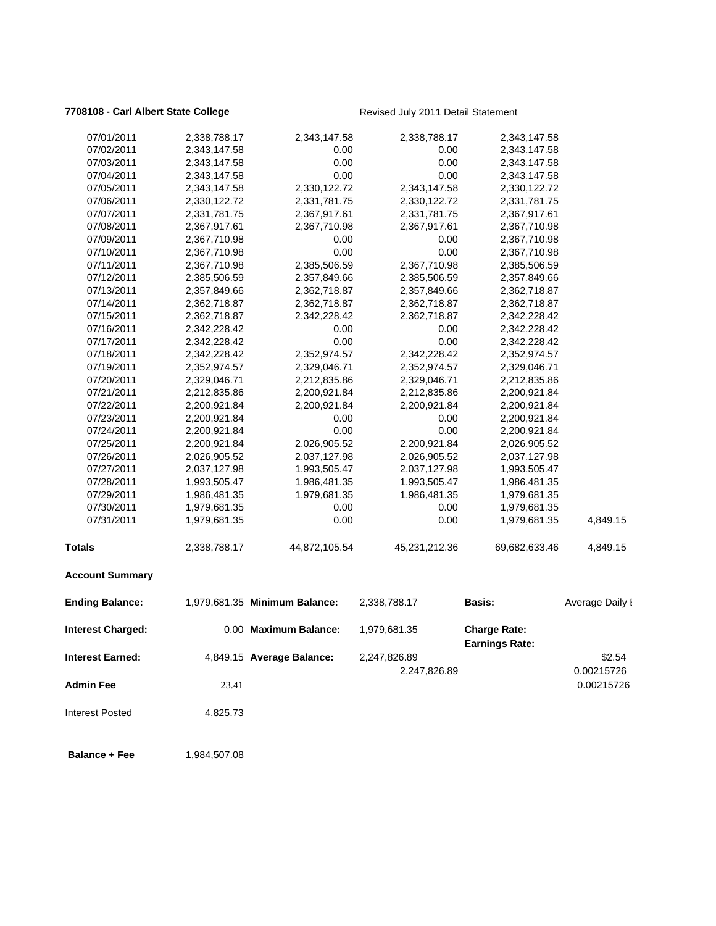### **7708108 - Carl Albert State College** Revised July 2011 Detail Statement

| 07/01/2011              | 2,338,788.17 | 2,343,147.58                  | 2,338,788.17                 | 2,343,147.58                                 |                      |
|-------------------------|--------------|-------------------------------|------------------------------|----------------------------------------------|----------------------|
| 07/02/2011              | 2,343,147.58 | 0.00                          | 0.00                         | 2,343,147.58                                 |                      |
| 07/03/2011              | 2,343,147.58 | 0.00                          | 0.00                         | 2,343,147.58                                 |                      |
| 07/04/2011              | 2,343,147.58 | 0.00                          | 0.00                         | 2,343,147.58                                 |                      |
| 07/05/2011              | 2,343,147.58 | 2,330,122.72                  | 2,343,147.58                 | 2,330,122.72                                 |                      |
| 07/06/2011              | 2,330,122.72 | 2,331,781.75                  | 2,330,122.72                 | 2,331,781.75                                 |                      |
| 07/07/2011              | 2,331,781.75 | 2,367,917.61                  | 2,331,781.75                 | 2,367,917.61                                 |                      |
| 07/08/2011              | 2,367,917.61 | 2,367,710.98                  | 2,367,917.61                 | 2,367,710.98                                 |                      |
| 07/09/2011              | 2,367,710.98 | 0.00                          | 0.00                         | 2,367,710.98                                 |                      |
| 07/10/2011              | 2,367,710.98 | 0.00                          | 0.00                         | 2,367,710.98                                 |                      |
| 07/11/2011              | 2,367,710.98 | 2,385,506.59                  | 2,367,710.98                 | 2,385,506.59                                 |                      |
| 07/12/2011              | 2,385,506.59 | 2,357,849.66                  | 2,385,506.59                 | 2,357,849.66                                 |                      |
| 07/13/2011              | 2,357,849.66 | 2,362,718.87                  | 2,357,849.66                 | 2,362,718.87                                 |                      |
| 07/14/2011              | 2,362,718.87 | 2,362,718.87                  | 2,362,718.87                 | 2,362,718.87                                 |                      |
| 07/15/2011              | 2,362,718.87 | 2,342,228.42                  | 2,362,718.87                 | 2,342,228.42                                 |                      |
| 07/16/2011              | 2,342,228.42 | 0.00                          | 0.00                         | 2,342,228.42                                 |                      |
| 07/17/2011              | 2,342,228.42 | 0.00                          | 0.00                         | 2,342,228.42                                 |                      |
| 07/18/2011              | 2,342,228.42 | 2,352,974.57                  | 2,342,228.42                 | 2,352,974.57                                 |                      |
| 07/19/2011              | 2,352,974.57 | 2,329,046.71                  | 2,352,974.57                 | 2,329,046.71                                 |                      |
| 07/20/2011              | 2,329,046.71 | 2,212,835.86                  | 2,329,046.71                 | 2,212,835.86                                 |                      |
| 07/21/2011              | 2,212,835.86 | 2,200,921.84                  | 2,212,835.86                 | 2,200,921.84                                 |                      |
| 07/22/2011              | 2,200,921.84 | 2,200,921.84                  | 2,200,921.84                 | 2,200,921.84                                 |                      |
| 07/23/2011              | 2,200,921.84 | 0.00                          | 0.00                         | 2,200,921.84                                 |                      |
| 07/24/2011              | 2,200,921.84 | 0.00                          | 0.00                         | 2,200,921.84                                 |                      |
| 07/25/2011              | 2,200,921.84 | 2,026,905.52                  | 2,200,921.84                 | 2,026,905.52                                 |                      |
| 07/26/2011              | 2,026,905.52 | 2,037,127.98                  | 2,026,905.52                 | 2,037,127.98                                 |                      |
| 07/27/2011              | 2,037,127.98 | 1,993,505.47                  | 2,037,127.98                 | 1,993,505.47                                 |                      |
| 07/28/2011              | 1,993,505.47 | 1,986,481.35                  | 1,993,505.47                 | 1,986,481.35                                 |                      |
| 07/29/2011              | 1,986,481.35 | 1,979,681.35                  | 1,986,481.35                 | 1,979,681.35                                 |                      |
| 07/30/2011              | 1,979,681.35 | 0.00                          | 0.00                         | 1,979,681.35                                 |                      |
| 07/31/2011              | 1,979,681.35 | 0.00                          | 0.00                         | 1,979,681.35                                 | 4,849.15             |
| <b>Totals</b>           | 2,338,788.17 | 44,872,105.54                 | 45,231,212.36                | 69,682,633.46                                | 4,849.15             |
| <b>Account Summary</b>  |              |                               |                              |                                              |                      |
| <b>Ending Balance:</b>  |              | 1,979,681.35 Minimum Balance: | 2,338,788.17                 | <b>Basis:</b>                                | Average Daily I      |
| Interest Charged:       |              | 0.00 Maximum Balance:         | 1,979,681.35                 | <b>Charge Rate:</b><br><b>Earnings Rate:</b> |                      |
| <b>Interest Earned:</b> |              | 4,849.15 Average Balance:     | 2,247,826.89<br>2,247,826.89 |                                              | \$2.54<br>0.00215726 |
| <b>Admin Fee</b>        | 23.41        |                               |                              |                                              | 0.00215726           |
| <b>Interest Posted</b>  | 4,825.73     |                               |                              |                                              |                      |
| <b>Balance + Fee</b>    | 1,984,507.08 |                               |                              |                                              |                      |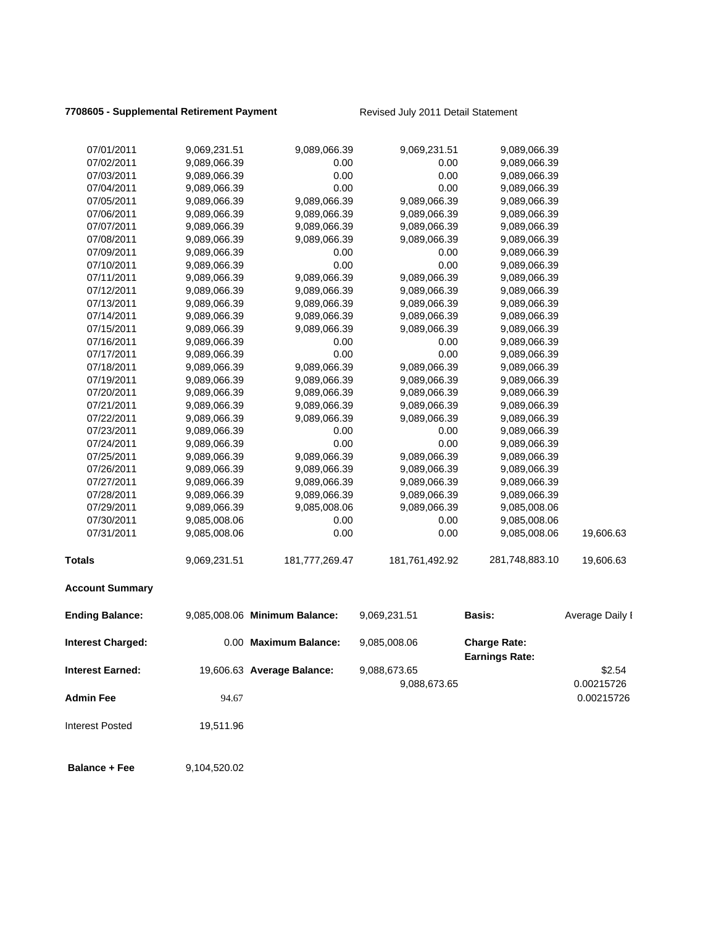### **7708605 - Supplemental Retirement Payment** Revised July 2011 Detail Statement

| 07/01/2011              | 9,069,231.51 | 9,089,066.39                  | 9,069,231.51   | 9,089,066.39          |                 |
|-------------------------|--------------|-------------------------------|----------------|-----------------------|-----------------|
| 07/02/2011              | 9,089,066.39 | 0.00                          | 0.00           | 9,089,066.39          |                 |
| 07/03/2011              | 9,089,066.39 | 0.00                          | 0.00           | 9,089,066.39          |                 |
| 07/04/2011              | 9,089,066.39 | 0.00                          | 0.00           | 9,089,066.39          |                 |
| 07/05/2011              | 9,089,066.39 | 9,089,066.39                  | 9,089,066.39   | 9,089,066.39          |                 |
| 07/06/2011              | 9,089,066.39 | 9,089,066.39                  | 9,089,066.39   | 9,089,066.39          |                 |
| 07/07/2011              | 9,089,066.39 | 9,089,066.39                  | 9,089,066.39   | 9,089,066.39          |                 |
| 07/08/2011              | 9,089,066.39 | 9,089,066.39                  | 9,089,066.39   | 9,089,066.39          |                 |
| 07/09/2011              | 9,089,066.39 | 0.00                          | 0.00           | 9,089,066.39          |                 |
| 07/10/2011              | 9,089,066.39 | 0.00                          | 0.00           | 9,089,066.39          |                 |
| 07/11/2011              | 9,089,066.39 | 9,089,066.39                  | 9,089,066.39   | 9,089,066.39          |                 |
| 07/12/2011              | 9,089,066.39 | 9,089,066.39                  | 9,089,066.39   | 9,089,066.39          |                 |
| 07/13/2011              | 9,089,066.39 | 9,089,066.39                  | 9,089,066.39   | 9,089,066.39          |                 |
| 07/14/2011              | 9,089,066.39 | 9,089,066.39                  | 9,089,066.39   | 9,089,066.39          |                 |
| 07/15/2011              | 9,089,066.39 | 9,089,066.39                  | 9,089,066.39   | 9,089,066.39          |                 |
| 07/16/2011              | 9,089,066.39 | 0.00                          | 0.00           | 9,089,066.39          |                 |
| 07/17/2011              | 9,089,066.39 | 0.00                          | 0.00           | 9,089,066.39          |                 |
| 07/18/2011              | 9,089,066.39 | 9,089,066.39                  | 9,089,066.39   | 9,089,066.39          |                 |
| 07/19/2011              | 9,089,066.39 | 9,089,066.39                  | 9,089,066.39   | 9,089,066.39          |                 |
| 07/20/2011              | 9,089,066.39 | 9,089,066.39                  | 9,089,066.39   | 9,089,066.39          |                 |
| 07/21/2011              | 9,089,066.39 | 9,089,066.39                  | 9,089,066.39   | 9,089,066.39          |                 |
| 07/22/2011              | 9,089,066.39 | 9,089,066.39                  | 9,089,066.39   | 9,089,066.39          |                 |
| 07/23/2011              | 9,089,066.39 | 0.00                          | 0.00           | 9,089,066.39          |                 |
| 07/24/2011              | 9,089,066.39 | 0.00                          | 0.00           | 9,089,066.39          |                 |
| 07/25/2011              | 9,089,066.39 | 9,089,066.39                  | 9,089,066.39   | 9,089,066.39          |                 |
| 07/26/2011              | 9,089,066.39 | 9,089,066.39                  | 9,089,066.39   | 9,089,066.39          |                 |
| 07/27/2011              | 9,089,066.39 | 9,089,066.39                  | 9,089,066.39   | 9,089,066.39          |                 |
| 07/28/2011              | 9,089,066.39 | 9,089,066.39                  | 9,089,066.39   | 9,089,066.39          |                 |
| 07/29/2011              | 9,089,066.39 | 9,085,008.06                  | 9,089,066.39   | 9,085,008.06          |                 |
| 07/30/2011              | 9,085,008.06 | 0.00                          | 0.00           | 9,085,008.06          |                 |
| 07/31/2011              | 9,085,008.06 | 0.00                          | 0.00           | 9,085,008.06          | 19,606.63       |
| <b>Totals</b>           | 9,069,231.51 | 181,777,269.47                | 181,761,492.92 | 281,748,883.10        | 19,606.63       |
| <b>Account Summary</b>  |              |                               |                |                       |                 |
| <b>Ending Balance:</b>  |              | 9,085,008.06 Minimum Balance: | 9,069,231.51   | Basis:                | Average Daily I |
| Interest Charged:       |              | 0.00 Maximum Balance:         | 9,085,008.06   | <b>Charge Rate:</b>   |                 |
|                         |              |                               |                | <b>Earnings Rate:</b> |                 |
| <b>Interest Earned:</b> |              | 19,606.63 Average Balance:    | 9,088,673.65   |                       | \$2.54          |
|                         |              |                               | 9,088,673.65   |                       | 0.00215726      |
| <b>Admin Fee</b>        | 94.67        |                               |                |                       | 0.00215726      |

Interest Posted 19,511.96

**Balance + Fee** 9,104,520.02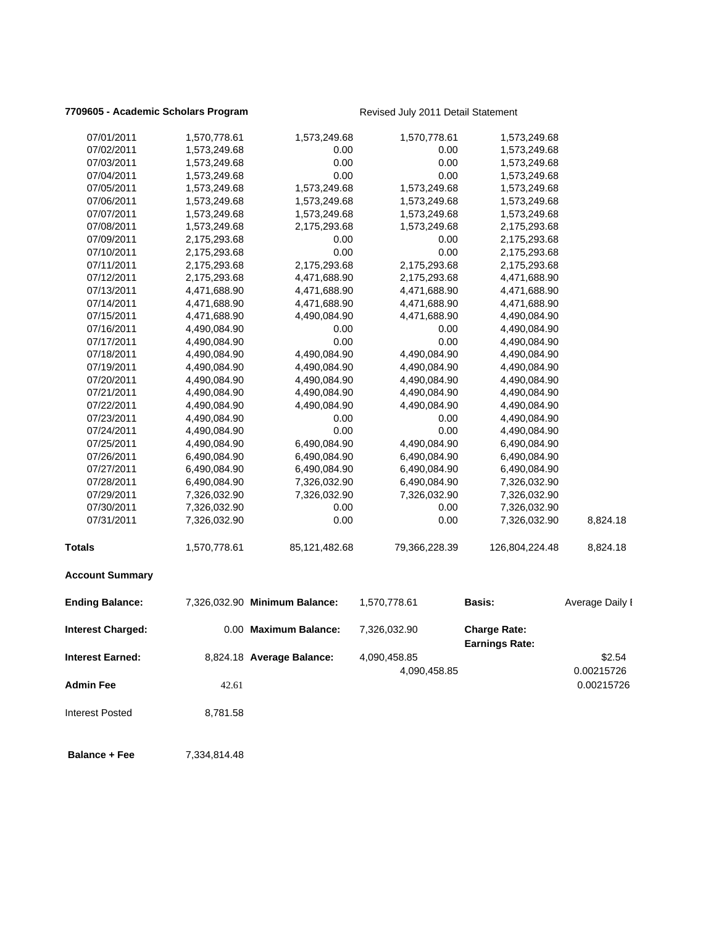### **7709605 - Academic Scholars Program** Revised July 2011 Detail Statement

| 07/01/2011              | 1,570,778.61 | 1,573,249.68                  | 1,570,778.61  | 1,573,249.68                                 |                          |
|-------------------------|--------------|-------------------------------|---------------|----------------------------------------------|--------------------------|
| 07/02/2011              | 1,573,249.68 | 0.00                          | 0.00          | 1,573,249.68                                 |                          |
| 07/03/2011              | 1,573,249.68 | 0.00                          | 0.00          | 1,573,249.68                                 |                          |
| 07/04/2011              | 1,573,249.68 | 0.00                          | 0.00          | 1,573,249.68                                 |                          |
| 07/05/2011              | 1,573,249.68 | 1,573,249.68                  | 1,573,249.68  | 1,573,249.68                                 |                          |
| 07/06/2011              | 1,573,249.68 | 1,573,249.68                  | 1,573,249.68  | 1,573,249.68                                 |                          |
| 07/07/2011              | 1,573,249.68 | 1,573,249.68                  | 1,573,249.68  | 1,573,249.68                                 |                          |
| 07/08/2011              | 1,573,249.68 | 2,175,293.68                  | 1,573,249.68  | 2,175,293.68                                 |                          |
| 07/09/2011              | 2,175,293.68 | 0.00                          | 0.00          | 2,175,293.68                                 |                          |
| 07/10/2011              | 2,175,293.68 | 0.00                          | 0.00          | 2,175,293.68                                 |                          |
| 07/11/2011              | 2,175,293.68 | 2,175,293.68                  | 2,175,293.68  | 2,175,293.68                                 |                          |
| 07/12/2011              | 2,175,293.68 | 4,471,688.90                  | 2,175,293.68  | 4,471,688.90                                 |                          |
| 07/13/2011              | 4,471,688.90 | 4,471,688.90                  | 4,471,688.90  | 4,471,688.90                                 |                          |
| 07/14/2011              | 4,471,688.90 | 4,471,688.90                  | 4,471,688.90  | 4,471,688.90                                 |                          |
| 07/15/2011              | 4,471,688.90 | 4,490,084.90                  | 4,471,688.90  | 4,490,084.90                                 |                          |
| 07/16/2011              | 4,490,084.90 | 0.00                          | 0.00          | 4,490,084.90                                 |                          |
| 07/17/2011              | 4,490,084.90 | 0.00                          | 0.00          | 4,490,084.90                                 |                          |
| 07/18/2011              | 4,490,084.90 | 4,490,084.90                  | 4,490,084.90  | 4,490,084.90                                 |                          |
| 07/19/2011              | 4,490,084.90 | 4,490,084.90                  | 4,490,084.90  | 4,490,084.90                                 |                          |
| 07/20/2011              | 4,490,084.90 | 4,490,084.90                  | 4,490,084.90  | 4,490,084.90                                 |                          |
| 07/21/2011              | 4,490,084.90 | 4,490,084.90                  | 4,490,084.90  | 4,490,084.90                                 |                          |
| 07/22/2011              | 4,490,084.90 | 4,490,084.90                  | 4,490,084.90  | 4,490,084.90                                 |                          |
| 07/23/2011              | 4,490,084.90 | 0.00                          | 0.00          | 4,490,084.90                                 |                          |
| 07/24/2011              | 4,490,084.90 | 0.00                          | 0.00          | 4,490,084.90                                 |                          |
| 07/25/2011              | 4,490,084.90 | 6,490,084.90                  | 4,490,084.90  | 6,490,084.90                                 |                          |
| 07/26/2011              | 6,490,084.90 | 6,490,084.90                  | 6,490,084.90  | 6,490,084.90                                 |                          |
| 07/27/2011              | 6,490,084.90 | 6,490,084.90                  | 6,490,084.90  | 6,490,084.90                                 |                          |
| 07/28/2011              | 6,490,084.90 | 7,326,032.90                  | 6,490,084.90  | 7,326,032.90                                 |                          |
| 07/29/2011              | 7,326,032.90 | 7,326,032.90                  | 7,326,032.90  | 7,326,032.90                                 |                          |
| 07/30/2011              | 7,326,032.90 | 0.00                          | 0.00          | 7,326,032.90                                 |                          |
| 07/31/2011              | 7,326,032.90 | 0.00                          | 0.00          | 7,326,032.90                                 | 8,824.18                 |
| <b>Totals</b>           | 1,570,778.61 | 85,121,482.68                 | 79,366,228.39 | 126,804,224.48                               | 8,824.18                 |
| <b>Account Summary</b>  |              |                               |               |                                              |                          |
| <b>Ending Balance:</b>  |              | 7,326,032.90 Minimum Balance: | 1,570,778.61  | <b>Basis:</b>                                | Average Daily I          |
| Interest Charged:       |              | 0.00 Maximum Balance:         | 7,326,032.90  | <b>Charge Rate:</b><br><b>Earnings Rate:</b> |                          |
| <b>Interest Earned:</b> |              | 8,824.18 Average Balance:     | 4,090,458.85  |                                              | \$2.54                   |
| <b>Admin Fee</b>        | 42.61        |                               | 4,090,458.85  |                                              | 0.00215726<br>0.00215726 |
| <b>Interest Posted</b>  | 8,781.58     |                               |               |                                              |                          |
| <b>Balance + Fee</b>    | 7,334,814.48 |                               |               |                                              |                          |
|                         |              |                               |               |                                              |                          |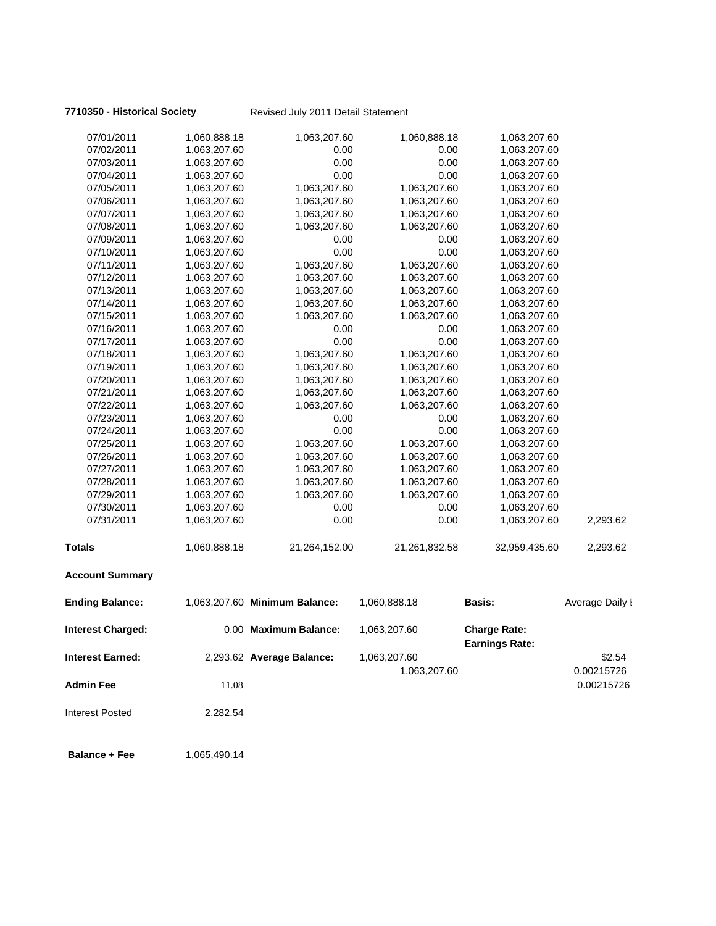**7710350 - Historical Society** Revised July 2011 Detail Statement

| 07/01/2011               | 1,060,888.18 | 1,063,207.60                  | 1,060,888.18  | 1,063,207.60                                 |                 |
|--------------------------|--------------|-------------------------------|---------------|----------------------------------------------|-----------------|
| 07/02/2011               | 1,063,207.60 | 0.00                          | 0.00          | 1,063,207.60                                 |                 |
| 07/03/2011               | 1,063,207.60 | 0.00                          | 0.00          | 1,063,207.60                                 |                 |
| 07/04/2011               | 1,063,207.60 | 0.00                          | 0.00          | 1,063,207.60                                 |                 |
| 07/05/2011               | 1,063,207.60 | 1,063,207.60                  | 1,063,207.60  | 1,063,207.60                                 |                 |
| 07/06/2011               | 1,063,207.60 | 1,063,207.60                  | 1,063,207.60  | 1,063,207.60                                 |                 |
| 07/07/2011               | 1,063,207.60 | 1,063,207.60                  | 1,063,207.60  | 1,063,207.60                                 |                 |
| 07/08/2011               | 1,063,207.60 | 1,063,207.60                  | 1,063,207.60  | 1,063,207.60                                 |                 |
| 07/09/2011               | 1,063,207.60 | 0.00                          | 0.00          | 1,063,207.60                                 |                 |
| 07/10/2011               | 1,063,207.60 | 0.00                          | 0.00          | 1,063,207.60                                 |                 |
| 07/11/2011               | 1,063,207.60 | 1,063,207.60                  | 1,063,207.60  | 1,063,207.60                                 |                 |
| 07/12/2011               | 1,063,207.60 | 1,063,207.60                  | 1,063,207.60  | 1,063,207.60                                 |                 |
| 07/13/2011               | 1,063,207.60 | 1,063,207.60                  | 1,063,207.60  | 1,063,207.60                                 |                 |
| 07/14/2011               | 1,063,207.60 | 1,063,207.60                  | 1,063,207.60  | 1,063,207.60                                 |                 |
| 07/15/2011               | 1,063,207.60 | 1,063,207.60                  | 1,063,207.60  | 1,063,207.60                                 |                 |
| 07/16/2011               | 1,063,207.60 | 0.00                          | 0.00          | 1,063,207.60                                 |                 |
| 07/17/2011               | 1,063,207.60 | 0.00                          | 0.00          | 1,063,207.60                                 |                 |
| 07/18/2011               | 1,063,207.60 | 1,063,207.60                  | 1,063,207.60  | 1,063,207.60                                 |                 |
| 07/19/2011               | 1,063,207.60 | 1,063,207.60                  | 1,063,207.60  | 1,063,207.60                                 |                 |
| 07/20/2011               | 1,063,207.60 | 1,063,207.60                  | 1,063,207.60  | 1,063,207.60                                 |                 |
| 07/21/2011               | 1,063,207.60 | 1,063,207.60                  | 1,063,207.60  | 1,063,207.60                                 |                 |
| 07/22/2011               | 1,063,207.60 | 1,063,207.60                  | 1,063,207.60  | 1,063,207.60                                 |                 |
| 07/23/2011               | 1,063,207.60 | 0.00                          | 0.00          | 1,063,207.60                                 |                 |
| 07/24/2011               | 1,063,207.60 | 0.00                          | 0.00          | 1,063,207.60                                 |                 |
| 07/25/2011               | 1,063,207.60 | 1,063,207.60                  | 1,063,207.60  | 1,063,207.60                                 |                 |
| 07/26/2011               | 1,063,207.60 | 1,063,207.60                  | 1,063,207.60  | 1,063,207.60                                 |                 |
| 07/27/2011               | 1,063,207.60 | 1,063,207.60                  | 1,063,207.60  | 1,063,207.60                                 |                 |
| 07/28/2011               | 1,063,207.60 | 1,063,207.60                  | 1,063,207.60  | 1,063,207.60                                 |                 |
| 07/29/2011               | 1,063,207.60 | 1,063,207.60                  | 1,063,207.60  | 1,063,207.60                                 |                 |
| 07/30/2011               | 1,063,207.60 | 0.00                          | 0.00          | 1,063,207.60                                 |                 |
| 07/31/2011               | 1,063,207.60 | 0.00                          | 0.00          | 1,063,207.60                                 | 2,293.62        |
| <b>Totals</b>            | 1,060,888.18 | 21,264,152.00                 | 21,261,832.58 | 32,959,435.60                                | 2,293.62        |
| <b>Account Summary</b>   |              |                               |               |                                              |                 |
| <b>Ending Balance:</b>   |              | 1,063,207.60 Minimum Balance: | 1,060,888.18  | <b>Basis:</b>                                | Average Daily I |
| <b>Interest Charged:</b> |              | 0.00 Maximum Balance:         | 1,063,207.60  | <b>Charge Rate:</b><br><b>Earnings Rate:</b> |                 |
| <b>Interest Earned:</b>  |              | 2,293.62 Average Balance:     | 1,063,207.60  |                                              | \$2.54          |
|                          |              |                               | 1,063,207.60  |                                              | 0.00215726      |
|                          |              |                               |               |                                              | 0.00215726      |
| <b>Admin Fee</b>         | 11.08        |                               |               |                                              |                 |

Interest Posted 2,282.54

**Balance + Fee** 1,065,490.14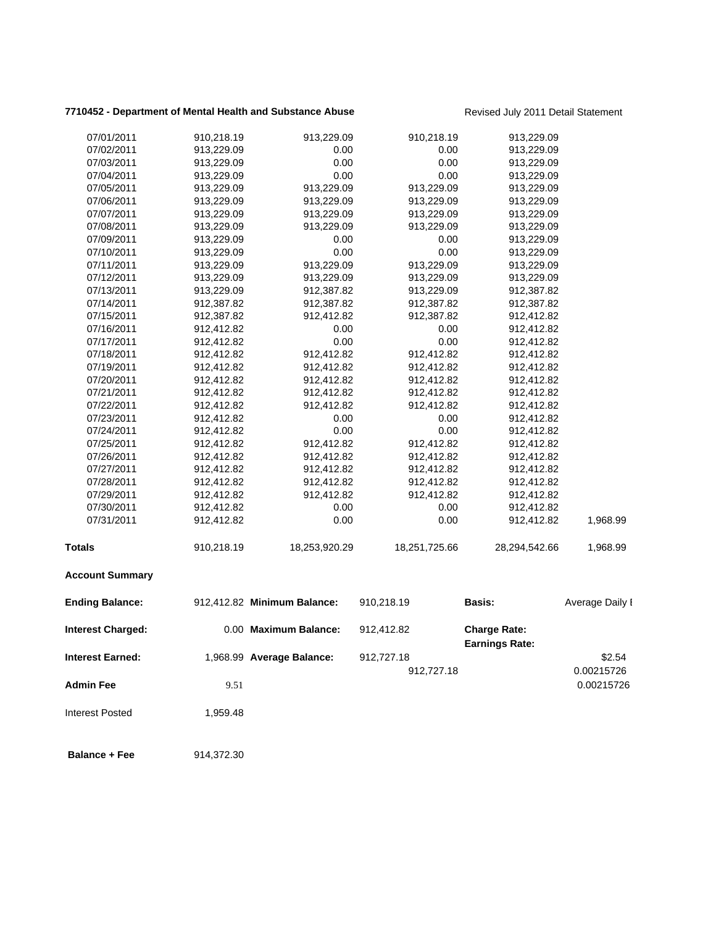### **7710452 - Department of Mental Health and Substance Abuse** Revised July 2011 Detail Statement

| 07/01/2011              | 910,218.19 | 913,229.09                  | 910,218.19    | 913,229.09                                   |                 |
|-------------------------|------------|-----------------------------|---------------|----------------------------------------------|-----------------|
| 07/02/2011              | 913,229.09 | 0.00                        | 0.00          | 913,229.09                                   |                 |
| 07/03/2011              | 913,229.09 | 0.00                        | 0.00          | 913,229.09                                   |                 |
| 07/04/2011              | 913,229.09 | 0.00                        | 0.00          | 913,229.09                                   |                 |
| 07/05/2011              | 913,229.09 | 913,229.09                  | 913,229.09    | 913,229.09                                   |                 |
| 07/06/2011              | 913,229.09 | 913,229.09                  | 913,229.09    | 913,229.09                                   |                 |
| 07/07/2011              | 913,229.09 | 913,229.09                  | 913,229.09    | 913,229.09                                   |                 |
| 07/08/2011              | 913,229.09 | 913,229.09                  | 913,229.09    | 913,229.09                                   |                 |
| 07/09/2011              | 913,229.09 | 0.00                        | 0.00          | 913,229.09                                   |                 |
| 07/10/2011              | 913,229.09 | 0.00                        | 0.00          | 913,229.09                                   |                 |
| 07/11/2011              | 913,229.09 | 913,229.09                  | 913,229.09    | 913,229.09                                   |                 |
| 07/12/2011              | 913,229.09 | 913,229.09                  | 913,229.09    | 913,229.09                                   |                 |
| 07/13/2011              | 913,229.09 | 912,387.82                  | 913,229.09    | 912,387.82                                   |                 |
| 07/14/2011              | 912,387.82 | 912,387.82                  | 912,387.82    | 912,387.82                                   |                 |
| 07/15/2011              | 912,387.82 | 912,412.82                  | 912,387.82    | 912,412.82                                   |                 |
| 07/16/2011              | 912,412.82 | 0.00                        | 0.00          | 912,412.82                                   |                 |
| 07/17/2011              | 912,412.82 | 0.00                        | 0.00          | 912,412.82                                   |                 |
| 07/18/2011              | 912,412.82 | 912,412.82                  | 912,412.82    | 912,412.82                                   |                 |
| 07/19/2011              | 912,412.82 | 912,412.82                  | 912,412.82    | 912,412.82                                   |                 |
| 07/20/2011              | 912,412.82 | 912,412.82                  | 912,412.82    | 912,412.82                                   |                 |
| 07/21/2011              | 912,412.82 | 912,412.82                  | 912,412.82    | 912,412.82                                   |                 |
| 07/22/2011              | 912,412.82 | 912,412.82                  | 912,412.82    | 912,412.82                                   |                 |
| 07/23/2011              | 912,412.82 | 0.00                        | 0.00          | 912,412.82                                   |                 |
| 07/24/2011              | 912,412.82 | 0.00                        | 0.00          | 912,412.82                                   |                 |
| 07/25/2011              | 912,412.82 | 912,412.82                  | 912,412.82    | 912,412.82                                   |                 |
| 07/26/2011              | 912,412.82 | 912,412.82                  | 912,412.82    | 912,412.82                                   |                 |
| 07/27/2011              | 912,412.82 | 912,412.82                  | 912,412.82    | 912,412.82                                   |                 |
| 07/28/2011              | 912,412.82 | 912,412.82                  | 912,412.82    | 912,412.82                                   |                 |
| 07/29/2011              | 912,412.82 | 912,412.82                  | 912,412.82    | 912,412.82                                   |                 |
| 07/30/2011              | 912,412.82 | 0.00                        | 0.00          | 912,412.82                                   |                 |
| 07/31/2011              | 912,412.82 | 0.00                        | 0.00          | 912,412.82                                   | 1,968.99        |
| Totals                  | 910,218.19 | 18,253,920.29               | 18,251,725.66 | 28,294,542.66                                | 1,968.99        |
| <b>Account Summary</b>  |            |                             |               |                                              |                 |
| <b>Ending Balance:</b>  |            | 912,412.82 Minimum Balance: | 910,218.19    | <b>Basis:</b>                                | Average Daily I |
| Interest Charged:       |            | 0.00 Maximum Balance:       | 912,412.82    | <b>Charge Rate:</b><br><b>Earnings Rate:</b> |                 |
| <b>Interest Earned:</b> |            | 1,968.99 Average Balance:   | 912,727.18    |                                              | \$2.54          |
|                         |            |                             | 912,727.18    |                                              | 0.00215726      |
| <b>Admin Fee</b>        | 9.51       |                             |               |                                              | 0.00215726      |
| <b>Interest Posted</b>  | 1,959.48   |                             |               |                                              |                 |
| <b>Balance + Fee</b>    | 914,372.30 |                             |               |                                              |                 |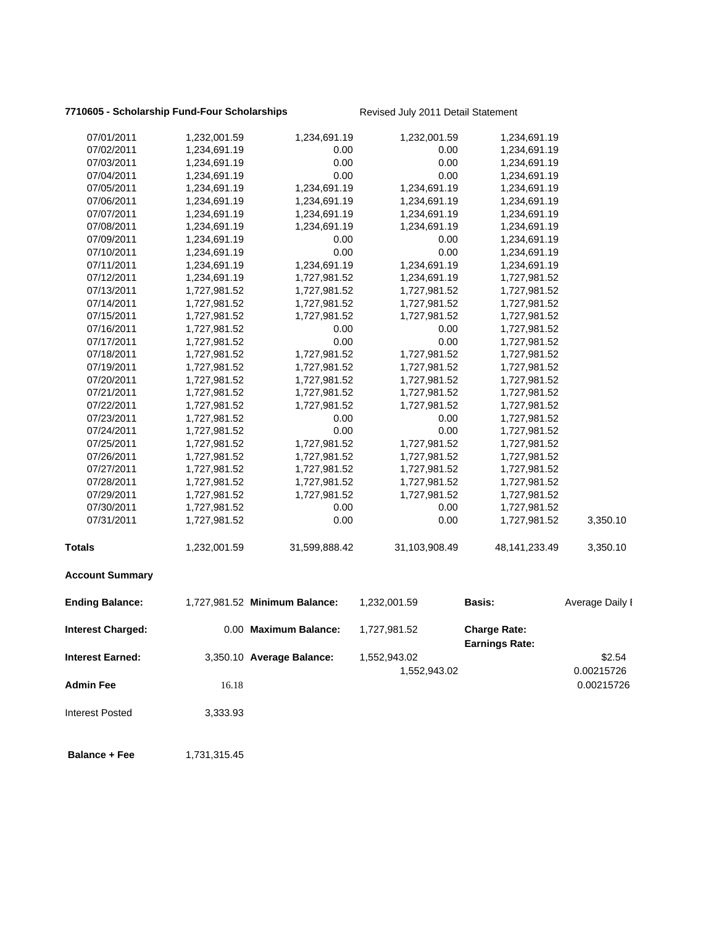### **7710605 - Scholarship Fund-Four Scholarships** Revised July 2011 Detail Statement

| <b>Balance + Fee</b>     | 1,731,315.45                 |                               |                              |                                              |                      |
|--------------------------|------------------------------|-------------------------------|------------------------------|----------------------------------------------|----------------------|
| <b>Interest Posted</b>   | 3,333.93                     |                               |                              |                                              |                      |
| <b>Admin Fee</b>         | 16.18                        |                               |                              |                                              | 0.00215726           |
| <b>Interest Earned:</b>  |                              | 3,350.10 Average Balance:     | 1,552,943.02<br>1,552,943.02 |                                              | \$2.54<br>0.00215726 |
| Interest Charged:        |                              | 0.00 Maximum Balance:         | 1,727,981.52                 | <b>Charge Rate:</b><br><b>Earnings Rate:</b> |                      |
| <b>Ending Balance:</b>   |                              | 1,727,981.52 Minimum Balance: | 1,232,001.59                 | <b>Basis:</b>                                | Average Daily I      |
| <b>Account Summary</b>   |                              |                               |                              |                                              |                      |
| <b>Totals</b>            | 1,232,001.59                 | 31,599,888.42                 | 31,103,908.49                | 48, 141, 233. 49                             | 3,350.10             |
| 07/31/2011               | 1,727,981.52                 | 0.00                          | 0.00                         | 1,727,981.52                                 | 3,350.10             |
| 07/30/2011               | 1,727,981.52                 | 0.00                          | 0.00                         | 1,727,981.52                                 |                      |
| 07/29/2011               | 1,727,981.52                 | 1,727,981.52                  | 1,727,981.52                 | 1,727,981.52                                 |                      |
| 07/28/2011               | 1,727,981.52                 | 1,727,981.52                  | 1,727,981.52                 | 1,727,981.52                                 |                      |
| 07/27/2011               | 1,727,981.52                 | 1,727,981.52                  | 1,727,981.52                 | 1,727,981.52                                 |                      |
| 07/26/2011               | 1,727,981.52                 | 1,727,981.52                  | 1,727,981.52                 | 1,727,981.52                                 |                      |
| 07/25/2011               | 1,727,981.52                 | 1,727,981.52                  | 1,727,981.52                 | 1,727,981.52                                 |                      |
| 07/24/2011               | 1,727,981.52                 | 0.00                          | 0.00                         | 1,727,981.52                                 |                      |
| 07/23/2011               | 1,727,981.52                 | 0.00                          | 0.00                         | 1,727,981.52                                 |                      |
| 07/22/2011               | 1,727,981.52                 | 1,727,981.52                  | 1,727,981.52                 | 1,727,981.52                                 |                      |
| 07/21/2011               | 1,727,981.52                 | 1,727,981.52                  | 1,727,981.52                 | 1,727,981.52                                 |                      |
| 07/20/2011               | 1,727,981.52                 | 1,727,981.52                  | 1,727,981.52                 | 1,727,981.52                                 |                      |
| 07/19/2011               | 1,727,981.52                 | 1,727,981.52                  | 1,727,981.52                 | 1,727,981.52                                 |                      |
| 07/18/2011               | 1,727,981.52                 | 1,727,981.52                  | 1,727,981.52                 | 1,727,981.52                                 |                      |
| 07/17/2011               | 1,727,981.52                 | 0.00                          | 0.00                         | 1,727,981.52                                 |                      |
| 07/16/2011               | 1,727,981.52                 | 0.00                          | 0.00                         | 1,727,981.52                                 |                      |
| 07/15/2011               | 1,727,981.52                 | 1,727,981.52                  | 1,727,981.52                 | 1,727,981.52                                 |                      |
| 07/14/2011               | 1,727,981.52                 | 1,727,981.52                  | 1,727,981.52                 | 1,727,981.52                                 |                      |
| 07/13/2011               | 1,727,981.52                 | 1,727,981.52                  | 1,727,981.52                 | 1,727,981.52                                 |                      |
| 07/12/2011               | 1,234,691.19                 | 1,727,981.52                  | 1,234,691.19                 | 1,727,981.52                                 |                      |
| 07/11/2011               | 1,234,691.19                 | 1,234,691.19                  | 1,234,691.19                 | 1,234,691.19                                 |                      |
| 07/10/2011               | 1,234,691.19                 | 0.00                          | 0.00                         | 1,234,691.19                                 |                      |
| 07/09/2011               | 1,234,691.19                 | 0.00                          | 0.00                         | 1,234,691.19                                 |                      |
| 07/08/2011               | 1,234,691.19                 | 1,234,691.19                  | 1,234,691.19                 | 1,234,691.19                                 |                      |
| 07/07/2011               | 1,234,691.19                 | 1,234,691.19                  | 1,234,691.19                 | 1,234,691.19                                 |                      |
| 07/06/2011               | 1,234,691.19                 | 1,234,691.19                  | 1,234,691.19                 | 1,234,691.19                                 |                      |
| 07/05/2011               | 1,234,691.19                 | 1,234,691.19                  | 1,234,691.19                 | 1,234,691.19                                 |                      |
| 07/03/2011<br>07/04/2011 | 1,234,691.19<br>1,234,691.19 | 0.00<br>0.00                  | 0.00<br>0.00                 | 1,234,691.19<br>1,234,691.19                 |                      |
| 07/02/2011               | 1,234,691.19                 | 0.00                          | 0.00                         | 1,234,691.19                                 |                      |
| 07/01/2011               | 1,232,001.59                 | 1,234,691.19                  | 1,232,001.59                 | 1,234,691.19                                 |                      |
|                          |                              |                               |                              |                                              |                      |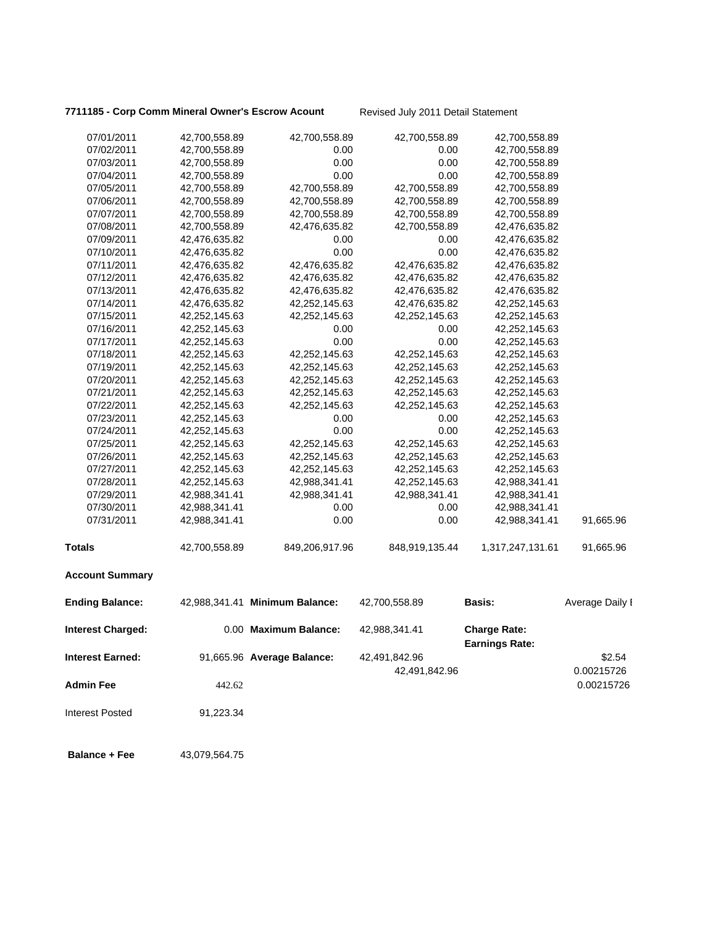### 7711185 - Corp Comm Mineral Owner's Escrow Acount Revised July 2011 Detail Statement

| 07/01/2011              | 42,700,558.89 | 42,700,558.89                  | 42,700,558.89                  | 42,700,558.89                                |                      |
|-------------------------|---------------|--------------------------------|--------------------------------|----------------------------------------------|----------------------|
| 07/02/2011              | 42,700,558.89 | 0.00                           | 0.00                           | 42,700,558.89                                |                      |
| 07/03/2011              | 42,700,558.89 | 0.00                           | 0.00                           | 42,700,558.89                                |                      |
| 07/04/2011              | 42,700,558.89 | 0.00                           | 0.00                           | 42,700,558.89                                |                      |
| 07/05/2011              | 42,700,558.89 | 42,700,558.89                  | 42,700,558.89                  | 42,700,558.89                                |                      |
| 07/06/2011              | 42,700,558.89 | 42,700,558.89                  | 42,700,558.89                  | 42,700,558.89                                |                      |
| 07/07/2011              | 42,700,558.89 | 42,700,558.89                  | 42,700,558.89                  | 42,700,558.89                                |                      |
| 07/08/2011              | 42,700,558.89 | 42,476,635.82                  | 42,700,558.89                  | 42,476,635.82                                |                      |
| 07/09/2011              | 42,476,635.82 | 0.00                           | 0.00                           | 42,476,635.82                                |                      |
| 07/10/2011              | 42,476,635.82 | 0.00                           | 0.00                           | 42,476,635.82                                |                      |
| 07/11/2011              | 42,476,635.82 | 42,476,635.82                  | 42,476,635.82                  | 42,476,635.82                                |                      |
| 07/12/2011              | 42,476,635.82 | 42,476,635.82                  | 42,476,635.82                  | 42,476,635.82                                |                      |
| 07/13/2011              | 42,476,635.82 | 42,476,635.82                  | 42,476,635.82                  | 42,476,635.82                                |                      |
| 07/14/2011              | 42,476,635.82 | 42,252,145.63                  | 42,476,635.82                  | 42,252,145.63                                |                      |
| 07/15/2011              | 42,252,145.63 | 42,252,145.63                  | 42,252,145.63                  | 42,252,145.63                                |                      |
| 07/16/2011              | 42,252,145.63 | 0.00                           | 0.00                           | 42,252,145.63                                |                      |
| 07/17/2011              | 42,252,145.63 | 0.00                           | 0.00                           | 42,252,145.63                                |                      |
| 07/18/2011              | 42,252,145.63 | 42,252,145.63                  | 42,252,145.63                  | 42,252,145.63                                |                      |
| 07/19/2011              | 42,252,145.63 | 42,252,145.63                  | 42,252,145.63                  | 42,252,145.63                                |                      |
| 07/20/2011              | 42,252,145.63 | 42,252,145.63                  | 42,252,145.63                  | 42,252,145.63                                |                      |
| 07/21/2011              | 42,252,145.63 | 42,252,145.63                  | 42,252,145.63                  | 42,252,145.63                                |                      |
| 07/22/2011              | 42,252,145.63 | 42,252,145.63                  | 42,252,145.63                  | 42,252,145.63                                |                      |
| 07/23/2011              | 42,252,145.63 | 0.00                           | 0.00                           | 42,252,145.63                                |                      |
| 07/24/2011              | 42,252,145.63 | 0.00                           | 0.00                           | 42,252,145.63                                |                      |
| 07/25/2011              | 42,252,145.63 | 42,252,145.63                  | 42,252,145.63                  | 42,252,145.63                                |                      |
| 07/26/2011              | 42,252,145.63 | 42,252,145.63                  | 42,252,145.63                  | 42,252,145.63                                |                      |
| 07/27/2011              | 42,252,145.63 | 42,252,145.63                  | 42,252,145.63                  | 42,252,145.63                                |                      |
| 07/28/2011              | 42,252,145.63 | 42,988,341.41                  | 42,252,145.63                  | 42,988,341.41                                |                      |
| 07/29/2011              | 42,988,341.41 | 42,988,341.41                  | 42,988,341.41                  | 42,988,341.41                                |                      |
| 07/30/2011              | 42,988,341.41 | 0.00                           | 0.00                           | 42,988,341.41                                |                      |
| 07/31/2011              | 42,988,341.41 | 0.00                           | 0.00                           | 42,988,341.41                                | 91,665.96            |
| Totals                  | 42,700,558.89 | 849,206,917.96                 | 848,919,135.44                 | 1,317,247,131.61                             | 91,665.96            |
| <b>Account Summary</b>  |               |                                |                                |                                              |                      |
| <b>Ending Balance:</b>  |               | 42,988,341.41 Minimum Balance: | 42,700,558.89                  | <b>Basis:</b>                                | Average Daily I      |
| Interest Charged:       |               | 0.00 Maximum Balance:          | 42,988,341.41                  | <b>Charge Rate:</b><br><b>Earnings Rate:</b> |                      |
| <b>Interest Earned:</b> |               | 91,665.96 Average Balance:     | 42,491,842.96<br>42,491,842.96 |                                              | \$2.54<br>0.00215726 |
| <b>Admin Fee</b>        | 442.62        |                                |                                |                                              | 0.00215726           |
| <b>Interest Posted</b>  | 91,223.34     |                                |                                |                                              |                      |
| <b>Balance + Fee</b>    | 43,079,564.75 |                                |                                |                                              |                      |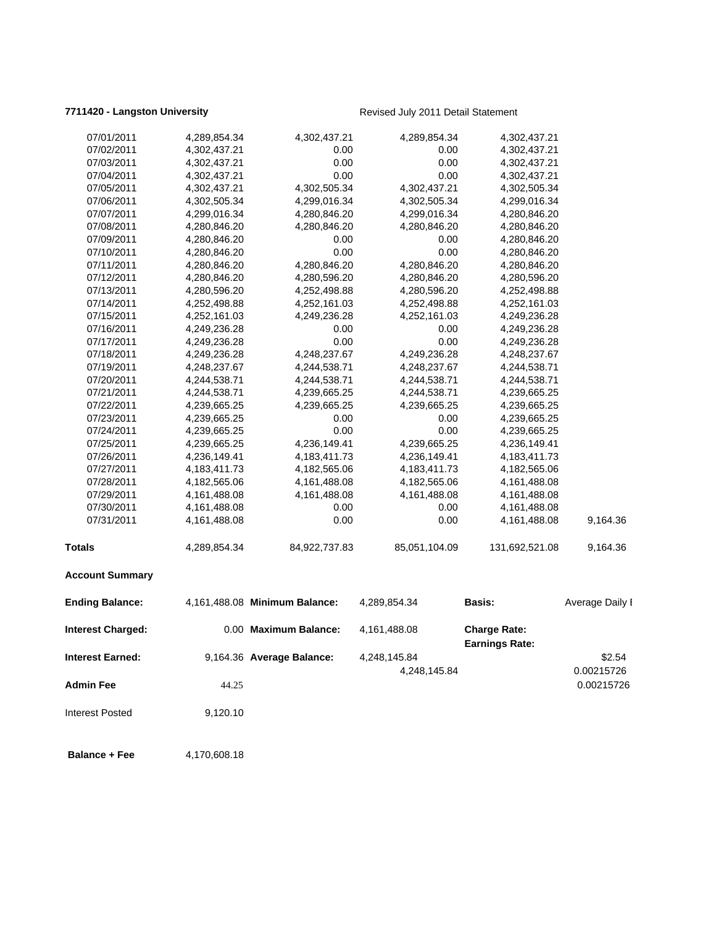### **7711420 - Langston University Revised July 2011 Detail Statement**

| 07/01/2011               | 4,289,854.34    | 4,302,437.21                  | 4,289,854.34    | 4,302,437.21          |                          |
|--------------------------|-----------------|-------------------------------|-----------------|-----------------------|--------------------------|
| 07/02/2011               | 4,302,437.21    | 0.00                          | 0.00            | 4,302,437.21          |                          |
| 07/03/2011               | 4,302,437.21    | 0.00                          | 0.00            | 4,302,437.21          |                          |
| 07/04/2011               | 4,302,437.21    | 0.00                          | 0.00            | 4,302,437.21          |                          |
| 07/05/2011               | 4,302,437.21    | 4,302,505.34                  | 4,302,437.21    | 4,302,505.34          |                          |
| 07/06/2011               | 4,302,505.34    | 4,299,016.34                  | 4,302,505.34    | 4,299,016.34          |                          |
| 07/07/2011               | 4,299,016.34    | 4,280,846.20                  | 4,299,016.34    | 4,280,846.20          |                          |
| 07/08/2011               | 4,280,846.20    | 4,280,846.20                  | 4,280,846.20    | 4,280,846.20          |                          |
| 07/09/2011               | 4,280,846.20    | 0.00                          | 0.00            | 4,280,846.20          |                          |
| 07/10/2011               | 4,280,846.20    | 0.00                          | 0.00            | 4,280,846.20          |                          |
| 07/11/2011               | 4,280,846.20    | 4,280,846.20                  | 4,280,846.20    | 4,280,846.20          |                          |
| 07/12/2011               | 4,280,846.20    | 4,280,596.20                  | 4,280,846.20    | 4,280,596.20          |                          |
| 07/13/2011               | 4,280,596.20    | 4,252,498.88                  | 4,280,596.20    | 4,252,498.88          |                          |
| 07/14/2011               | 4,252,498.88    | 4,252,161.03                  | 4,252,498.88    | 4,252,161.03          |                          |
| 07/15/2011               | 4,252,161.03    | 4,249,236.28                  | 4,252,161.03    | 4,249,236.28          |                          |
| 07/16/2011               | 4,249,236.28    | 0.00                          | 0.00            | 4,249,236.28          |                          |
| 07/17/2011               | 4,249,236.28    | 0.00                          | 0.00            | 4,249,236.28          |                          |
| 07/18/2011               | 4,249,236.28    | 4,248,237.67                  | 4,249,236.28    | 4,248,237.67          |                          |
| 07/19/2011               | 4,248,237.67    | 4,244,538.71                  | 4,248,237.67    | 4,244,538.71          |                          |
| 07/20/2011               | 4,244,538.71    | 4,244,538.71                  | 4,244,538.71    | 4,244,538.71          |                          |
| 07/21/2011               | 4,244,538.71    | 4,239,665.25                  | 4,244,538.71    | 4,239,665.25          |                          |
| 07/22/2011               | 4,239,665.25    | 4,239,665.25                  | 4,239,665.25    | 4,239,665.25          |                          |
| 07/23/2011               | 4,239,665.25    | 0.00                          | 0.00            | 4,239,665.25          |                          |
| 07/24/2011               | 4,239,665.25    | 0.00                          | 0.00            | 4,239,665.25          |                          |
| 07/25/2011               | 4,239,665.25    | 4,236,149.41                  | 4,239,665.25    | 4,236,149.41          |                          |
| 07/26/2011               | 4,236,149.41    | 4,183,411.73                  | 4,236,149.41    | 4, 183, 411. 73       |                          |
| 07/27/2011               | 4, 183, 411. 73 | 4,182,565.06                  | 4, 183, 411. 73 | 4,182,565.06          |                          |
| 07/28/2011               | 4,182,565.06    | 4,161,488.08                  | 4,182,565.06    | 4,161,488.08          |                          |
| 07/29/2011               | 4,161,488.08    | 4,161,488.08                  | 4,161,488.08    | 4,161,488.08          |                          |
| 07/30/2011               | 4,161,488.08    | 0.00                          | 0.00            | 4,161,488.08          |                          |
| 07/31/2011               | 4,161,488.08    | 0.00                          | 0.00            | 4,161,488.08          | 9,164.36                 |
| <b>Totals</b>            | 4,289,854.34    | 84,922,737.83                 | 85,051,104.09   | 131,692,521.08        | 9,164.36                 |
| <b>Account Summary</b>   |                 |                               |                 |                       |                          |
| <b>Ending Balance:</b>   |                 | 4,161,488.08 Minimum Balance: | 4,289,854.34    | <b>Basis:</b>         | Average Daily I          |
| <b>Interest Charged:</b> |                 | 0.00 Maximum Balance:         | 4,161,488.08    | <b>Charge Rate:</b>   |                          |
| <b>Interest Earned:</b>  |                 | 9,164.36 Average Balance:     | 4,248,145.84    | <b>Earnings Rate:</b> | \$2.54                   |
| <b>Admin Fee</b>         | 44.25           |                               | 4,248,145.84    |                       | 0.00215726<br>0.00215726 |
| Interest Posted          | 9,120.10        |                               |                 |                       |                          |
| <b>Balance + Fee</b>     | 4,170,608.18    |                               |                 |                       |                          |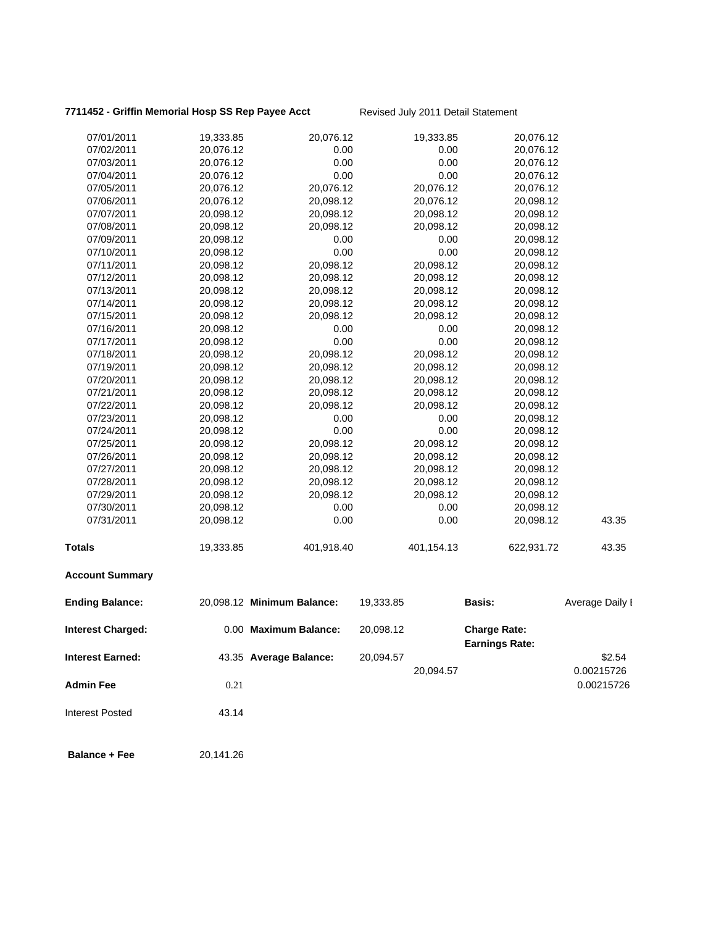# **7711452 - Griffin Memorial Hosp SS Rep Payee Acct** Revised July 2011 Detail Statement

| 07/01/2011               | 19,333.85 | 20,076.12                  |           | 19,333.85  | 20,076.12                                    |                 |
|--------------------------|-----------|----------------------------|-----------|------------|----------------------------------------------|-----------------|
| 07/02/2011               | 20,076.12 | 0.00                       |           | 0.00       | 20,076.12                                    |                 |
| 07/03/2011               | 20,076.12 | 0.00                       |           | 0.00       | 20,076.12                                    |                 |
| 07/04/2011               | 20,076.12 | 0.00                       |           | 0.00       | 20,076.12                                    |                 |
| 07/05/2011               | 20,076.12 | 20,076.12                  |           | 20,076.12  | 20,076.12                                    |                 |
| 07/06/2011               | 20,076.12 | 20,098.12                  |           | 20,076.12  | 20,098.12                                    |                 |
| 07/07/2011               | 20,098.12 | 20,098.12                  |           | 20,098.12  | 20,098.12                                    |                 |
| 07/08/2011               | 20,098.12 | 20,098.12                  |           | 20,098.12  | 20,098.12                                    |                 |
| 07/09/2011               | 20,098.12 | 0.00                       |           | 0.00       | 20,098.12                                    |                 |
| 07/10/2011               | 20,098.12 | 0.00                       |           | 0.00       | 20,098.12                                    |                 |
| 07/11/2011               | 20,098.12 | 20,098.12                  |           | 20,098.12  | 20,098.12                                    |                 |
| 07/12/2011               | 20,098.12 | 20,098.12                  |           | 20,098.12  | 20,098.12                                    |                 |
| 07/13/2011               | 20,098.12 | 20,098.12                  |           | 20,098.12  | 20,098.12                                    |                 |
| 07/14/2011               | 20,098.12 | 20,098.12                  |           | 20,098.12  | 20,098.12                                    |                 |
| 07/15/2011               | 20,098.12 | 20,098.12                  |           | 20,098.12  | 20,098.12                                    |                 |
| 07/16/2011               | 20,098.12 | 0.00                       |           | 0.00       | 20,098.12                                    |                 |
| 07/17/2011               | 20,098.12 | 0.00                       |           | 0.00       | 20,098.12                                    |                 |
| 07/18/2011               | 20,098.12 | 20,098.12                  |           | 20,098.12  | 20,098.12                                    |                 |
| 07/19/2011               | 20,098.12 | 20,098.12                  |           | 20,098.12  | 20,098.12                                    |                 |
| 07/20/2011               | 20,098.12 | 20,098.12                  |           | 20,098.12  | 20,098.12                                    |                 |
| 07/21/2011               | 20,098.12 | 20,098.12                  |           | 20,098.12  | 20,098.12                                    |                 |
| 07/22/2011               | 20,098.12 | 20,098.12                  |           | 20,098.12  | 20,098.12                                    |                 |
| 07/23/2011               | 20,098.12 | 0.00                       |           | 0.00       | 20,098.12                                    |                 |
| 07/24/2011               | 20,098.12 | 0.00                       |           | 0.00       | 20,098.12                                    |                 |
| 07/25/2011               | 20,098.12 | 20,098.12                  |           | 20,098.12  | 20,098.12                                    |                 |
| 07/26/2011               | 20,098.12 | 20,098.12                  |           | 20,098.12  | 20,098.12                                    |                 |
| 07/27/2011               | 20,098.12 | 20,098.12                  |           | 20,098.12  | 20,098.12                                    |                 |
| 07/28/2011               | 20,098.12 | 20,098.12                  |           | 20,098.12  | 20,098.12                                    |                 |
| 07/29/2011               | 20,098.12 | 20,098.12                  |           | 20,098.12  | 20,098.12                                    |                 |
| 07/30/2011               | 20,098.12 | 0.00                       |           | 0.00       | 20,098.12                                    |                 |
| 07/31/2011               | 20,098.12 | 0.00                       |           | 0.00       | 20,098.12                                    | 43.35           |
| <b>Totals</b>            | 19,333.85 | 401,918.40                 |           | 401,154.13 | 622,931.72                                   | 43.35           |
| <b>Account Summary</b>   |           |                            |           |            |                                              |                 |
| <b>Ending Balance:</b>   |           | 20,098.12 Minimum Balance: | 19,333.85 |            | <b>Basis:</b>                                | Average Daily I |
| <b>Interest Charged:</b> |           | 0.00 Maximum Balance:      | 20,098.12 |            | <b>Charge Rate:</b><br><b>Earnings Rate:</b> |                 |
| <b>Interest Earned:</b>  |           | 43.35 Average Balance:     | 20,094.57 |            |                                              | \$2.54          |
|                          |           |                            |           | 20,094.57  |                                              | 0.00215726      |
| <b>Admin Fee</b>         | 0.21      |                            |           |            |                                              | 0.00215726      |
| <b>Interest Posted</b>   | 43.14     |                            |           |            |                                              |                 |
| <b>Balance + Fee</b>     | 20,141.26 |                            |           |            |                                              |                 |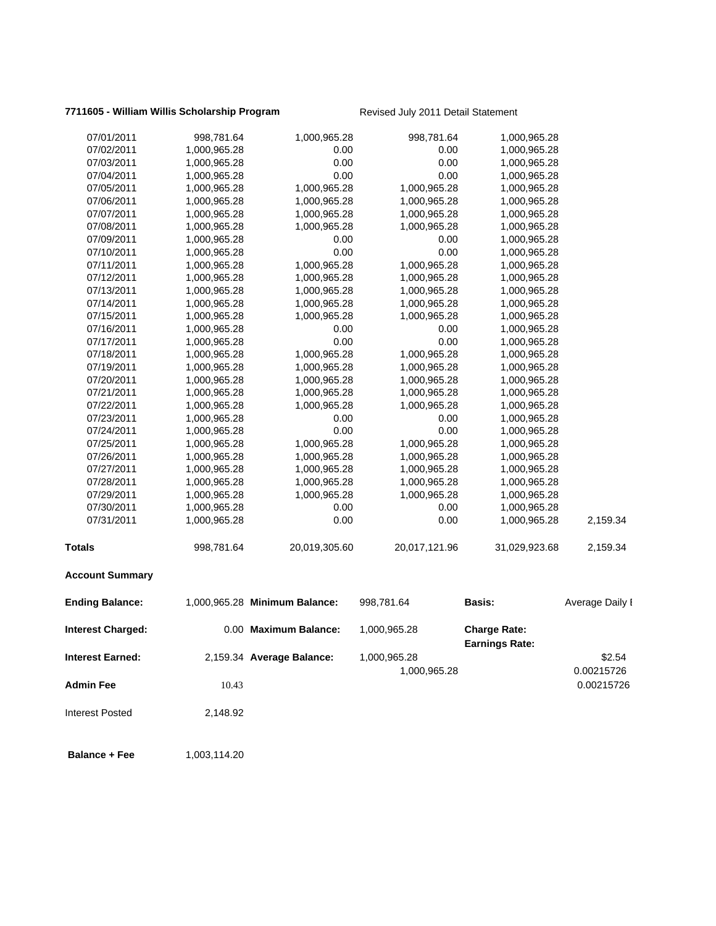#### **7711605 - William Willis Scholarship Program** Revised July 2011 Detail Statement

| <b>Account Summary</b> |              |               |               |               |          |
|------------------------|--------------|---------------|---------------|---------------|----------|
| <b>Totals</b>          | 998,781.64   | 20,019,305.60 | 20,017,121.96 | 31,029,923.68 | 2,159.34 |
| 07/31/2011             | 1,000,965.28 | 0.00          | 0.00          | 1,000,965.28  | 2,159.34 |
| 07/30/2011             | 1,000,965.28 | 0.00          | 0.00          | 1,000,965.28  |          |
| 07/29/2011             | 1,000,965.28 | 1,000,965.28  | 1,000,965.28  | 1,000,965.28  |          |
| 07/28/2011             | 1,000,965.28 | 1,000,965.28  | 1,000,965.28  | 1,000,965.28  |          |
| 07/27/2011             | 1,000,965.28 | 1,000,965.28  | 1,000,965.28  | 1,000,965.28  |          |
| 07/26/2011             | 1,000,965.28 | 1,000,965.28  | 1,000,965.28  | 1,000,965.28  |          |
| 07/25/2011             | 1,000,965.28 | 1,000,965.28  | 1,000,965.28  | 1,000,965.28  |          |
| 07/24/2011             | 1,000,965.28 | 0.00          | 0.00          | 1,000,965.28  |          |
| 07/23/2011             | 1,000,965.28 | 0.00          | 0.00          | 1,000,965.28  |          |
| 07/22/2011             | 1,000,965.28 | 1,000,965.28  | 1,000,965.28  | 1,000,965.28  |          |
| 07/21/2011             | 1,000,965.28 | 1,000,965.28  | 1,000,965.28  | 1,000,965.28  |          |
| 07/20/2011             | 1,000,965.28 | 1,000,965.28  | 1,000,965.28  | 1,000,965.28  |          |
| 07/19/2011             | 1,000,965.28 | 1,000,965.28  | 1,000,965.28  | 1,000,965.28  |          |
| 07/18/2011             | 1,000,965.28 | 1,000,965.28  | 1,000,965.28  | 1,000,965.28  |          |
| 07/17/2011             | 1,000,965.28 | 0.00          | 0.00          | 1,000,965.28  |          |
| 07/16/2011             | 1,000,965.28 | 0.00          | 0.00          | 1,000,965.28  |          |
| 07/15/2011             | 1,000,965.28 | 1,000,965.28  | 1,000,965.28  | 1,000,965.28  |          |
| 07/14/2011             | 1,000,965.28 | 1,000,965.28  | 1,000,965.28  | 1,000,965.28  |          |
| 07/13/2011             | 1,000,965.28 | 1,000,965.28  | 1,000,965.28  | 1,000,965.28  |          |
| 07/12/2011             | 1,000,965.28 | 1,000,965.28  | 1,000,965.28  | 1,000,965.28  |          |
| 07/11/2011             | 1,000,965.28 | 1,000,965.28  | 1,000,965.28  | 1,000,965.28  |          |
| 07/10/2011             | 1,000,965.28 | 0.00          | 0.00          | 1,000,965.28  |          |
| 07/09/2011             | 1,000,965.28 | 0.00          | 0.00          | 1,000,965.28  |          |
| 07/08/2011             | 1,000,965.28 | 1,000,965.28  | 1,000,965.28  | 1,000,965.28  |          |
| 07/07/2011             | 1,000,965.28 | 1,000,965.28  | 1,000,965.28  | 1,000,965.28  |          |
| 07/06/2011             | 1,000,965.28 | 1,000,965.28  | 1,000,965.28  | 1,000,965.28  |          |
| 07/05/2011             | 1,000,965.28 | 1,000,965.28  | 1,000,965.28  | 1,000,965.28  |          |
| 07/04/2011             | 1,000,965.28 | 0.00          | 0.00          | 1,000,965.28  |          |
| 07/03/2011             | 1,000,965.28 | 0.00          | 0.00          | 1,000,965.28  |          |
| 07/02/2011             | 1,000,965.28 | 0.00          | 0.00          | 1,000,965.28  |          |
| 07/01/2011             | 998,781.64   | 1,000,965.28  | 998,781.64    | 1,000,965.28  |          |
|                        |              |               |               |               |          |

# Ending Balance: 1,000,965.28 Minimum Balance: 998,781.64 Basis: Average Daily I **Interest Charged:** 0.00 **Maximum Balance:** 1,000,965.28 **Charge Rate: Earnings Rate: Interest Earned:** 2,159.34 **Average Balance:** 1,000,965.28 \$2.54 1,000,965.28 0.00215726 **Admin Fee** 200215726 Interest Posted 2,148.92

**Balance + Fee** 1,003,114.20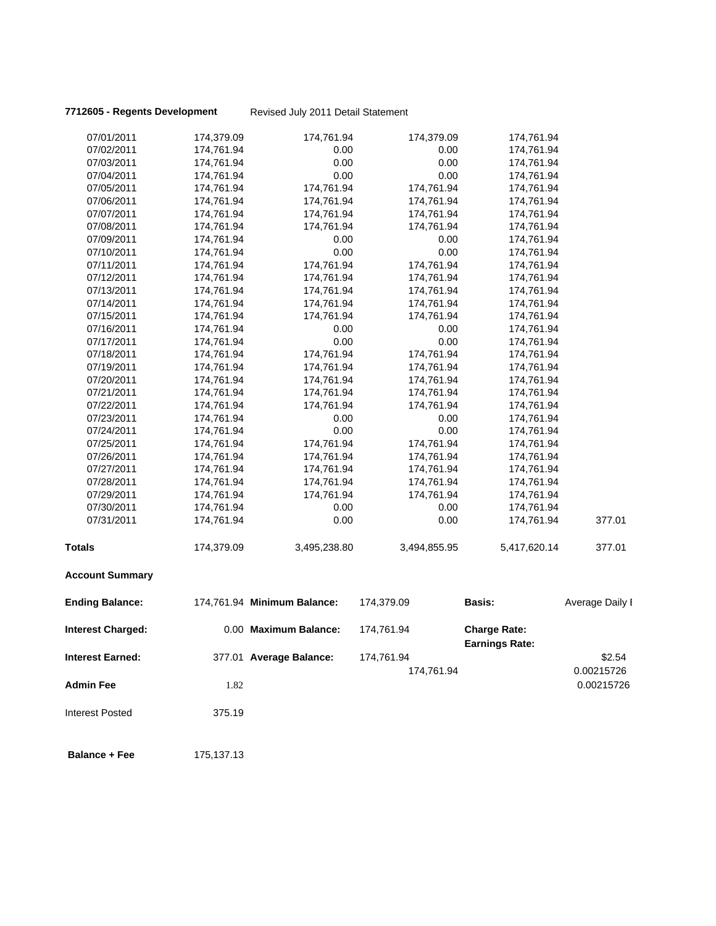**7712605 - Regents Development** Revised July 2011 Detail Statement

| 07/01/2011               | 174,379.09 | 174,761.94                  | 174,379.09   | 174,761.94                                   |                 |
|--------------------------|------------|-----------------------------|--------------|----------------------------------------------|-----------------|
| 07/02/2011               | 174,761.94 | 0.00                        | 0.00         | 174,761.94                                   |                 |
| 07/03/2011               | 174,761.94 | 0.00                        | 0.00         | 174,761.94                                   |                 |
| 07/04/2011               | 174,761.94 | 0.00                        | 0.00         | 174,761.94                                   |                 |
| 07/05/2011               | 174,761.94 | 174,761.94                  | 174,761.94   | 174,761.94                                   |                 |
| 07/06/2011               | 174,761.94 | 174,761.94                  | 174,761.94   | 174,761.94                                   |                 |
| 07/07/2011               | 174,761.94 | 174,761.94                  | 174,761.94   | 174,761.94                                   |                 |
| 07/08/2011               | 174,761.94 | 174,761.94                  | 174,761.94   | 174,761.94                                   |                 |
| 07/09/2011               | 174,761.94 | 0.00                        | 0.00         | 174,761.94                                   |                 |
| 07/10/2011               | 174,761.94 | 0.00                        | 0.00         | 174,761.94                                   |                 |
| 07/11/2011               | 174,761.94 | 174,761.94                  | 174,761.94   | 174,761.94                                   |                 |
| 07/12/2011               | 174,761.94 | 174,761.94                  | 174,761.94   | 174,761.94                                   |                 |
| 07/13/2011               | 174,761.94 | 174,761.94                  | 174,761.94   | 174,761.94                                   |                 |
| 07/14/2011               | 174,761.94 | 174,761.94                  | 174,761.94   | 174,761.94                                   |                 |
| 07/15/2011               | 174,761.94 | 174,761.94                  | 174,761.94   | 174,761.94                                   |                 |
| 07/16/2011               | 174,761.94 | 0.00                        | 0.00         | 174,761.94                                   |                 |
| 07/17/2011               | 174,761.94 | 0.00                        | 0.00         | 174,761.94                                   |                 |
| 07/18/2011               | 174,761.94 | 174,761.94                  | 174,761.94   | 174,761.94                                   |                 |
| 07/19/2011               | 174,761.94 | 174,761.94                  | 174,761.94   | 174,761.94                                   |                 |
| 07/20/2011               | 174,761.94 | 174,761.94                  | 174,761.94   | 174,761.94                                   |                 |
| 07/21/2011               | 174,761.94 | 174,761.94                  | 174,761.94   | 174,761.94                                   |                 |
| 07/22/2011               | 174,761.94 | 174,761.94                  | 174,761.94   | 174,761.94                                   |                 |
| 07/23/2011               | 174,761.94 | 0.00                        | 0.00         | 174,761.94                                   |                 |
| 07/24/2011               | 174,761.94 | 0.00                        | 0.00         | 174,761.94                                   |                 |
| 07/25/2011               | 174,761.94 | 174,761.94                  | 174,761.94   | 174,761.94                                   |                 |
| 07/26/2011               | 174,761.94 | 174,761.94                  | 174,761.94   | 174,761.94                                   |                 |
| 07/27/2011               | 174,761.94 | 174,761.94                  | 174,761.94   | 174,761.94                                   |                 |
| 07/28/2011               | 174,761.94 | 174,761.94                  | 174,761.94   | 174,761.94                                   |                 |
| 07/29/2011               | 174,761.94 | 174,761.94                  | 174,761.94   | 174,761.94                                   |                 |
| 07/30/2011               | 174,761.94 | 0.00                        | 0.00         | 174,761.94                                   |                 |
| 07/31/2011               | 174,761.94 | 0.00                        | 0.00         | 174,761.94                                   | 377.01          |
| <b>Totals</b>            | 174,379.09 | 3,495,238.80                | 3,494,855.95 | 5,417,620.14                                 | 377.01          |
| <b>Account Summary</b>   |            |                             |              |                                              |                 |
| <b>Ending Balance:</b>   |            | 174,761.94 Minimum Balance: | 174,379.09   | <b>Basis:</b>                                | Average Daily I |
| <b>Interest Charged:</b> |            | 0.00 Maximum Balance:       | 174,761.94   | <b>Charge Rate:</b><br><b>Earnings Rate:</b> |                 |
| <b>Interest Earned:</b>  |            | 377.01 Average Balance:     | 174,761.94   |                                              | \$2.54          |
|                          |            |                             | 174,761.94   |                                              | 0.00215726      |
| <b>Admin Fee</b>         | 1.82       |                             |              |                                              | 0.00215726      |
| <b>Interest Posted</b>   | 375.19     |                             |              |                                              |                 |
| <b>Balance + Fee</b>     | 175,137.13 |                             |              |                                              |                 |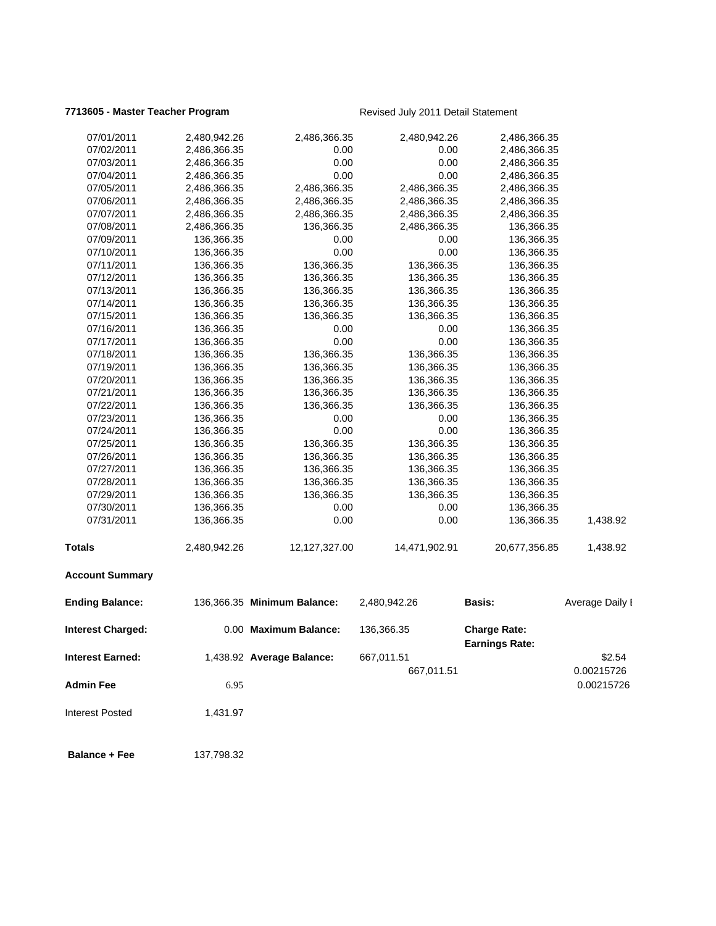### **7713605 - Master Teacher Program** Revised July 2011 Detail Statement

| 07/01/2011               | 2,480,942.26 | 2,486,366.35                | 2,480,942.26  | 2,486,366.35                                 |                 |
|--------------------------|--------------|-----------------------------|---------------|----------------------------------------------|-----------------|
| 07/02/2011               | 2,486,366.35 | 0.00                        | 0.00          | 2,486,366.35                                 |                 |
| 07/03/2011               | 2,486,366.35 | 0.00                        | 0.00          | 2,486,366.35                                 |                 |
| 07/04/2011               | 2,486,366.35 | 0.00                        | 0.00          | 2,486,366.35                                 |                 |
| 07/05/2011               | 2,486,366.35 | 2,486,366.35                | 2,486,366.35  | 2,486,366.35                                 |                 |
| 07/06/2011               | 2,486,366.35 | 2,486,366.35                | 2,486,366.35  | 2,486,366.35                                 |                 |
| 07/07/2011               | 2,486,366.35 | 2,486,366.35                | 2,486,366.35  | 2,486,366.35                                 |                 |
| 07/08/2011               | 2,486,366.35 | 136,366.35                  | 2,486,366.35  | 136,366.35                                   |                 |
| 07/09/2011               | 136,366.35   | 0.00                        | 0.00          | 136,366.35                                   |                 |
| 07/10/2011               | 136,366.35   | 0.00                        | 0.00          | 136,366.35                                   |                 |
| 07/11/2011               | 136,366.35   | 136,366.35                  | 136,366.35    | 136,366.35                                   |                 |
| 07/12/2011               | 136,366.35   | 136,366.35                  | 136,366.35    | 136,366.35                                   |                 |
| 07/13/2011               | 136,366.35   | 136,366.35                  | 136,366.35    | 136,366.35                                   |                 |
| 07/14/2011               | 136,366.35   | 136,366.35                  | 136,366.35    | 136,366.35                                   |                 |
| 07/15/2011               | 136,366.35   | 136,366.35                  | 136,366.35    | 136,366.35                                   |                 |
| 07/16/2011               | 136,366.35   | 0.00                        | 0.00          | 136,366.35                                   |                 |
| 07/17/2011               | 136,366.35   | 0.00                        | 0.00          | 136,366.35                                   |                 |
| 07/18/2011               | 136,366.35   | 136,366.35                  | 136,366.35    | 136,366.35                                   |                 |
| 07/19/2011               | 136,366.35   | 136,366.35                  | 136,366.35    | 136,366.35                                   |                 |
| 07/20/2011               | 136,366.35   | 136,366.35                  | 136,366.35    | 136,366.35                                   |                 |
| 07/21/2011               | 136,366.35   | 136,366.35                  | 136,366.35    | 136,366.35                                   |                 |
| 07/22/2011               | 136,366.35   | 136,366.35                  | 136,366.35    | 136,366.35                                   |                 |
| 07/23/2011               | 136,366.35   | 0.00                        | 0.00          | 136,366.35                                   |                 |
| 07/24/2011               | 136,366.35   | 0.00                        | 0.00          | 136,366.35                                   |                 |
| 07/25/2011               | 136,366.35   | 136,366.35                  | 136,366.35    | 136,366.35                                   |                 |
| 07/26/2011               | 136,366.35   | 136,366.35                  | 136,366.35    | 136,366.35                                   |                 |
| 07/27/2011               | 136,366.35   | 136,366.35                  | 136,366.35    | 136,366.35                                   |                 |
| 07/28/2011               | 136,366.35   | 136,366.35                  | 136,366.35    | 136,366.35                                   |                 |
| 07/29/2011               | 136,366.35   | 136,366.35                  | 136,366.35    | 136,366.35                                   |                 |
| 07/30/2011               | 136,366.35   | 0.00                        | 0.00          | 136,366.35                                   |                 |
| 07/31/2011               | 136,366.35   | 0.00                        | 0.00          | 136,366.35                                   | 1,438.92        |
| <b>Totals</b>            | 2,480,942.26 | 12,127,327.00               | 14,471,902.91 | 20,677,356.85                                | 1,438.92        |
| <b>Account Summary</b>   |              |                             |               |                                              |                 |
| <b>Ending Balance:</b>   |              | 136,366.35 Minimum Balance: | 2,480,942.26  | Basis:                                       | Average Daily I |
| <b>Interest Charged:</b> |              | 0.00 Maximum Balance:       | 136,366.35    | <b>Charge Rate:</b><br><b>Earnings Rate:</b> |                 |
| <b>Interest Earned:</b>  |              | 1,438.92 Average Balance:   | 667,011.51    |                                              | \$2.54          |
|                          |              |                             | 667,011.51    |                                              | 0.00215726      |
|                          |              |                             |               |                                              |                 |
| <b>Admin Fee</b>         | 6.95         |                             |               |                                              | 0.00215726      |

Interest Posted 1,431.97

**Balance + Fee** 137,798.32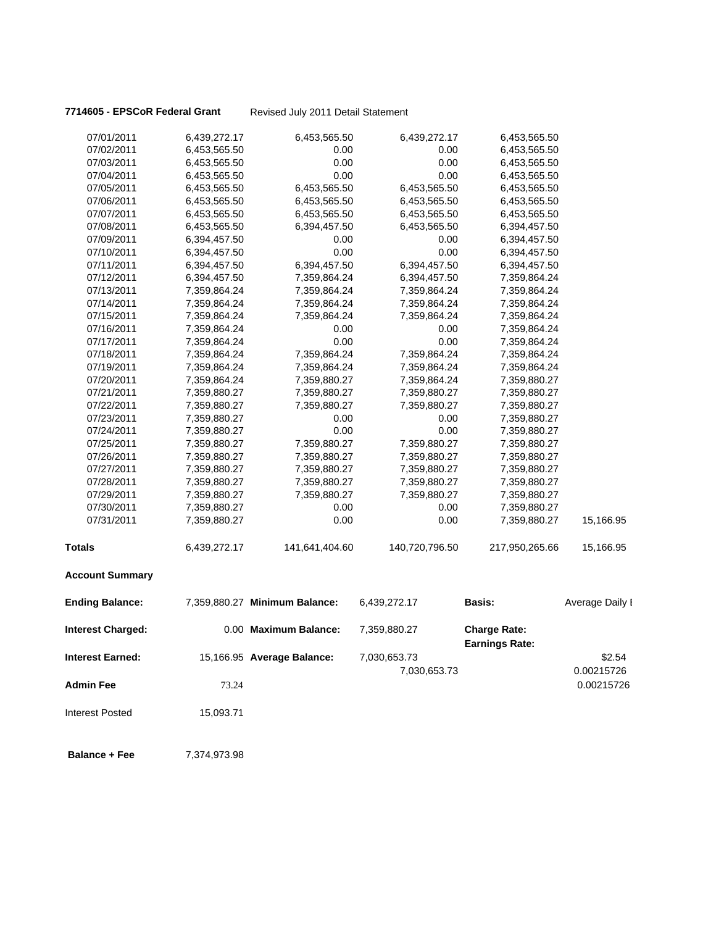**7714605 - EPSCoR Federal Grant** Revised July 2011 Detail Statement

| 07/01/2011               | 6,439,272.17 | 6,453,565.50                  | 6,439,272.17   | 6,453,565.50                                 |                 |
|--------------------------|--------------|-------------------------------|----------------|----------------------------------------------|-----------------|
| 07/02/2011               | 6,453,565.50 | 0.00                          | 0.00           | 6,453,565.50                                 |                 |
| 07/03/2011               | 6,453,565.50 | 0.00                          | 0.00           | 6,453,565.50                                 |                 |
| 07/04/2011               | 6,453,565.50 | 0.00                          | 0.00           | 6,453,565.50                                 |                 |
| 07/05/2011               | 6,453,565.50 | 6,453,565.50                  | 6,453,565.50   | 6,453,565.50                                 |                 |
| 07/06/2011               | 6,453,565.50 | 6,453,565.50                  | 6,453,565.50   | 6,453,565.50                                 |                 |
| 07/07/2011               | 6,453,565.50 | 6,453,565.50                  | 6,453,565.50   | 6,453,565.50                                 |                 |
| 07/08/2011               | 6,453,565.50 | 6,394,457.50                  | 6,453,565.50   | 6,394,457.50                                 |                 |
| 07/09/2011               | 6,394,457.50 | 0.00                          | 0.00           | 6,394,457.50                                 |                 |
| 07/10/2011               | 6,394,457.50 | 0.00                          | 0.00           | 6,394,457.50                                 |                 |
| 07/11/2011               | 6,394,457.50 | 6,394,457.50                  | 6,394,457.50   | 6,394,457.50                                 |                 |
| 07/12/2011               | 6,394,457.50 | 7,359,864.24                  | 6,394,457.50   | 7,359,864.24                                 |                 |
| 07/13/2011               | 7,359,864.24 | 7,359,864.24                  | 7,359,864.24   | 7,359,864.24                                 |                 |
| 07/14/2011               | 7,359,864.24 | 7,359,864.24                  | 7,359,864.24   | 7,359,864.24                                 |                 |
| 07/15/2011               | 7,359,864.24 | 7,359,864.24                  | 7,359,864.24   | 7,359,864.24                                 |                 |
| 07/16/2011               | 7,359,864.24 | 0.00                          | 0.00           | 7,359,864.24                                 |                 |
| 07/17/2011               | 7,359,864.24 | 0.00                          | 0.00           | 7,359,864.24                                 |                 |
| 07/18/2011               | 7,359,864.24 | 7,359,864.24                  | 7,359,864.24   | 7,359,864.24                                 |                 |
| 07/19/2011               | 7,359,864.24 | 7,359,864.24                  | 7,359,864.24   | 7,359,864.24                                 |                 |
| 07/20/2011               | 7,359,864.24 | 7,359,880.27                  | 7,359,864.24   | 7,359,880.27                                 |                 |
| 07/21/2011               | 7,359,880.27 | 7,359,880.27                  | 7,359,880.27   | 7,359,880.27                                 |                 |
| 07/22/2011               | 7,359,880.27 | 7,359,880.27                  | 7,359,880.27   | 7,359,880.27                                 |                 |
| 07/23/2011               | 7,359,880.27 | 0.00                          | 0.00           | 7,359,880.27                                 |                 |
| 07/24/2011               | 7,359,880.27 | 0.00                          | 0.00           | 7,359,880.27                                 |                 |
| 07/25/2011               | 7,359,880.27 | 7,359,880.27                  | 7,359,880.27   | 7,359,880.27                                 |                 |
| 07/26/2011               | 7,359,880.27 | 7,359,880.27                  | 7,359,880.27   | 7,359,880.27                                 |                 |
| 07/27/2011               | 7,359,880.27 | 7,359,880.27                  | 7,359,880.27   | 7,359,880.27                                 |                 |
| 07/28/2011               | 7,359,880.27 | 7,359,880.27                  | 7,359,880.27   | 7,359,880.27                                 |                 |
| 07/29/2011               | 7,359,880.27 | 7,359,880.27                  | 7,359,880.27   | 7,359,880.27                                 |                 |
| 07/30/2011               | 7,359,880.27 | 0.00                          | 0.00           | 7,359,880.27                                 |                 |
| 07/31/2011               | 7,359,880.27 | 0.00                          | 0.00           | 7,359,880.27                                 | 15,166.95       |
| <b>Totals</b>            | 6,439,272.17 | 141,641,404.60                | 140,720,796.50 | 217,950,265.66                               | 15,166.95       |
| <b>Account Summary</b>   |              |                               |                |                                              |                 |
| <b>Ending Balance:</b>   |              | 7,359,880.27 Minimum Balance: | 6,439,272.17   | <b>Basis:</b>                                | Average Daily I |
| <b>Interest Charged:</b> |              | 0.00 Maximum Balance:         | 7,359,880.27   | <b>Charge Rate:</b><br><b>Earnings Rate:</b> |                 |
| <b>Interest Earned:</b>  |              | 15,166.95 Average Balance:    | 7,030,653.73   |                                              | \$2.54          |
|                          |              |                               | 7,030,653.73   |                                              | 0.00215726      |
| <b>Admin Fee</b>         | 73.24        |                               |                |                                              | 0.00215726      |
|                          |              |                               |                |                                              |                 |
| <b>Interest Posted</b>   | 15,093.71    |                               |                |                                              |                 |
| <b>Balance + Fee</b>     | 7,374,973.98 |                               |                |                                              |                 |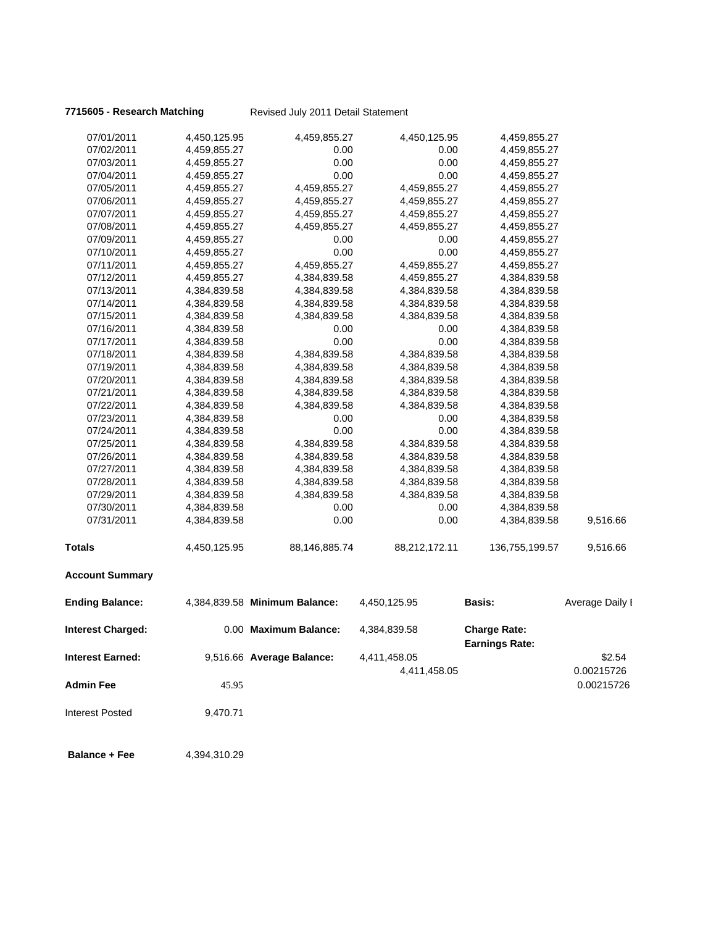**Balance + Fee** 4,394,310.29

**7715605 - Research Matching** Revised July 2011 Detail Statement

| 07/01/2011               | 4,450,125.95 | 4,459,855.27                  | 4,450,125.95  | 4,459,855.27                                 |                 |
|--------------------------|--------------|-------------------------------|---------------|----------------------------------------------|-----------------|
| 07/02/2011               | 4,459,855.27 | 0.00                          | 0.00          | 4,459,855.27                                 |                 |
| 07/03/2011               | 4,459,855.27 | 0.00                          | 0.00          | 4,459,855.27                                 |                 |
| 07/04/2011               | 4,459,855.27 | 0.00                          | 0.00          | 4,459,855.27                                 |                 |
| 07/05/2011               | 4,459,855.27 | 4,459,855.27                  | 4,459,855.27  | 4,459,855.27                                 |                 |
| 07/06/2011               | 4,459,855.27 | 4,459,855.27                  | 4,459,855.27  | 4,459,855.27                                 |                 |
| 07/07/2011               | 4,459,855.27 | 4,459,855.27                  | 4,459,855.27  | 4,459,855.27                                 |                 |
| 07/08/2011               | 4,459,855.27 | 4,459,855.27                  | 4,459,855.27  | 4,459,855.27                                 |                 |
| 07/09/2011               | 4,459,855.27 | 0.00                          | 0.00          | 4,459,855.27                                 |                 |
| 07/10/2011               | 4,459,855.27 | 0.00                          | 0.00          | 4,459,855.27                                 |                 |
| 07/11/2011               | 4,459,855.27 | 4,459,855.27                  | 4,459,855.27  | 4,459,855.27                                 |                 |
| 07/12/2011               | 4,459,855.27 | 4,384,839.58                  | 4,459,855.27  | 4,384,839.58                                 |                 |
| 07/13/2011               | 4,384,839.58 | 4,384,839.58                  | 4,384,839.58  | 4,384,839.58                                 |                 |
| 07/14/2011               | 4,384,839.58 | 4,384,839.58                  | 4,384,839.58  | 4,384,839.58                                 |                 |
| 07/15/2011               | 4,384,839.58 | 4,384,839.58                  | 4,384,839.58  | 4,384,839.58                                 |                 |
| 07/16/2011               | 4,384,839.58 | 0.00                          | 0.00          | 4,384,839.58                                 |                 |
| 07/17/2011               | 4,384,839.58 | 0.00                          | 0.00          | 4,384,839.58                                 |                 |
| 07/18/2011               | 4,384,839.58 | 4,384,839.58                  | 4,384,839.58  | 4,384,839.58                                 |                 |
| 07/19/2011               | 4,384,839.58 | 4,384,839.58                  | 4,384,839.58  | 4,384,839.58                                 |                 |
| 07/20/2011               | 4,384,839.58 | 4,384,839.58                  | 4,384,839.58  | 4,384,839.58                                 |                 |
| 07/21/2011               | 4,384,839.58 | 4,384,839.58                  | 4,384,839.58  | 4,384,839.58                                 |                 |
| 07/22/2011               | 4,384,839.58 | 4,384,839.58                  | 4,384,839.58  | 4,384,839.58                                 |                 |
| 07/23/2011               | 4,384,839.58 | 0.00                          | 0.00          | 4,384,839.58                                 |                 |
| 07/24/2011               | 4,384,839.58 | 0.00                          | 0.00          | 4,384,839.58                                 |                 |
| 07/25/2011               | 4,384,839.58 | 4,384,839.58                  | 4,384,839.58  | 4,384,839.58                                 |                 |
| 07/26/2011               | 4,384,839.58 | 4,384,839.58                  | 4,384,839.58  | 4,384,839.58                                 |                 |
| 07/27/2011               | 4,384,839.58 | 4,384,839.58                  | 4,384,839.58  | 4,384,839.58                                 |                 |
| 07/28/2011               | 4,384,839.58 | 4,384,839.58                  | 4,384,839.58  | 4,384,839.58                                 |                 |
| 07/29/2011               | 4,384,839.58 | 4,384,839.58                  | 4,384,839.58  | 4,384,839.58                                 |                 |
| 07/30/2011               | 4,384,839.58 | 0.00                          | 0.00          | 4,384,839.58                                 |                 |
| 07/31/2011               | 4,384,839.58 | 0.00                          | 0.00          | 4,384,839.58                                 | 9,516.66        |
| <b>Totals</b>            | 4,450,125.95 | 88,146,885.74                 | 88,212,172.11 | 136,755,199.57                               | 9,516.66        |
| <b>Account Summary</b>   |              |                               |               |                                              |                 |
| <b>Ending Balance:</b>   |              | 4,384,839.58 Minimum Balance: | 4,450,125.95  | <b>Basis:</b>                                | Average Daily I |
| <b>Interest Charged:</b> |              | 0.00 Maximum Balance:         | 4,384,839.58  | <b>Charge Rate:</b><br><b>Earnings Rate:</b> |                 |
| <b>Interest Earned:</b>  |              | 9,516.66 Average Balance:     | 4,411,458.05  |                                              | \$2.54          |
|                          |              |                               | 4,411,458.05  |                                              | 0.00215726      |
| <b>Admin Fee</b>         |              |                               |               |                                              |                 |
|                          | 45.95        |                               |               |                                              | 0.00215726      |
| <b>Interest Posted</b>   | 9,470.71     |                               |               |                                              |                 |
|                          |              |                               |               |                                              |                 |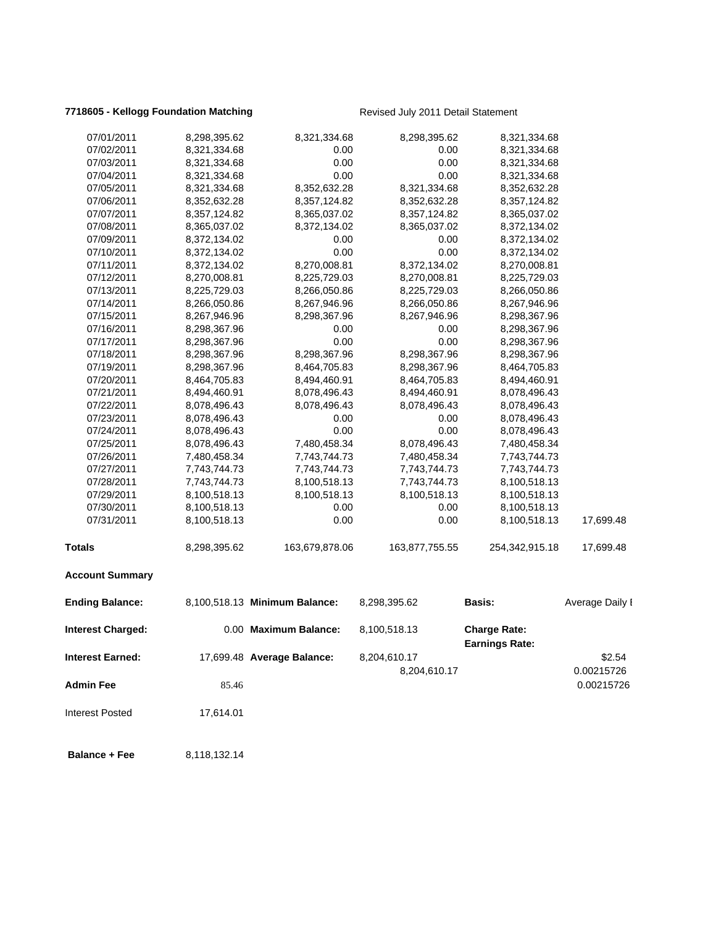### **7718605 - Kellogg Foundation Matching The Revised July 2011 Detail Statement**

| 07/01/2011              | 8,298,395.62 | 8,321,334.68                  | 8,298,395.62   | 8,321,334.68                                 |                          |
|-------------------------|--------------|-------------------------------|----------------|----------------------------------------------|--------------------------|
| 07/02/2011              | 8,321,334.68 | 0.00                          | 0.00           | 8,321,334.68                                 |                          |
| 07/03/2011              | 8,321,334.68 | 0.00                          | 0.00           | 8,321,334.68                                 |                          |
| 07/04/2011              | 8,321,334.68 | 0.00                          | 0.00           | 8,321,334.68                                 |                          |
| 07/05/2011              | 8,321,334.68 | 8,352,632.28                  | 8,321,334.68   | 8,352,632.28                                 |                          |
| 07/06/2011              | 8,352,632.28 | 8,357,124.82                  | 8,352,632.28   | 8,357,124.82                                 |                          |
| 07/07/2011              | 8,357,124.82 | 8,365,037.02                  | 8,357,124.82   | 8,365,037.02                                 |                          |
| 07/08/2011              | 8,365,037.02 | 8,372,134.02                  | 8,365,037.02   | 8,372,134.02                                 |                          |
| 07/09/2011              | 8,372,134.02 | 0.00                          | 0.00           | 8,372,134.02                                 |                          |
| 07/10/2011              | 8,372,134.02 | 0.00                          | 0.00           | 8,372,134.02                                 |                          |
| 07/11/2011              | 8,372,134.02 | 8,270,008.81                  | 8,372,134.02   | 8,270,008.81                                 |                          |
| 07/12/2011              | 8,270,008.81 | 8,225,729.03                  | 8,270,008.81   | 8,225,729.03                                 |                          |
| 07/13/2011              | 8,225,729.03 | 8,266,050.86                  | 8,225,729.03   | 8,266,050.86                                 |                          |
| 07/14/2011              | 8,266,050.86 | 8,267,946.96                  | 8,266,050.86   | 8,267,946.96                                 |                          |
| 07/15/2011              | 8,267,946.96 | 8,298,367.96                  | 8,267,946.96   | 8,298,367.96                                 |                          |
| 07/16/2011              | 8,298,367.96 | 0.00                          | 0.00           | 8,298,367.96                                 |                          |
| 07/17/2011              | 8,298,367.96 | 0.00                          | 0.00           | 8,298,367.96                                 |                          |
| 07/18/2011              | 8,298,367.96 | 8,298,367.96                  | 8,298,367.96   | 8,298,367.96                                 |                          |
| 07/19/2011              | 8,298,367.96 | 8,464,705.83                  | 8,298,367.96   | 8,464,705.83                                 |                          |
| 07/20/2011              | 8,464,705.83 | 8,494,460.91                  | 8,464,705.83   | 8,494,460.91                                 |                          |
| 07/21/2011              | 8,494,460.91 | 8,078,496.43                  | 8,494,460.91   | 8,078,496.43                                 |                          |
| 07/22/2011              | 8,078,496.43 | 8,078,496.43                  | 8,078,496.43   | 8,078,496.43                                 |                          |
| 07/23/2011              | 8,078,496.43 | 0.00                          | 0.00           | 8,078,496.43                                 |                          |
| 07/24/2011              | 8,078,496.43 | 0.00                          | 0.00           | 8,078,496.43                                 |                          |
| 07/25/2011              | 8,078,496.43 | 7,480,458.34                  | 8,078,496.43   | 7,480,458.34                                 |                          |
| 07/26/2011              | 7,480,458.34 | 7,743,744.73                  | 7,480,458.34   | 7,743,744.73                                 |                          |
| 07/27/2011              | 7,743,744.73 | 7,743,744.73                  | 7,743,744.73   | 7,743,744.73                                 |                          |
| 07/28/2011              | 7,743,744.73 | 8,100,518.13                  | 7,743,744.73   | 8,100,518.13                                 |                          |
| 07/29/2011              | 8,100,518.13 | 8,100,518.13                  | 8,100,518.13   | 8,100,518.13                                 |                          |
| 07/30/2011              | 8,100,518.13 | 0.00                          | 0.00           | 8,100,518.13                                 |                          |
| 07/31/2011              | 8,100,518.13 | 0.00                          | 0.00           | 8,100,518.13                                 | 17,699.48                |
| <b>Totals</b>           | 8,298,395.62 | 163,679,878.06                | 163,877,755.55 | 254,342,915.18                               | 17,699.48                |
| <b>Account Summary</b>  |              |                               |                |                                              |                          |
| <b>Ending Balance:</b>  |              | 8,100,518.13 Minimum Balance: | 8,298,395.62   | <b>Basis:</b>                                | Average Daily I          |
| Interest Charged:       |              | 0.00 Maximum Balance:         | 8,100,518.13   | <b>Charge Rate:</b><br><b>Earnings Rate:</b> |                          |
| <b>Interest Earned:</b> |              | 17,699.48 Average Balance:    | 8,204,610.17   |                                              | \$2.54                   |
| <b>Admin Fee</b>        | 85.46        |                               | 8,204,610.17   |                                              | 0.00215726<br>0.00215726 |
| <b>Interest Posted</b>  |              |                               |                |                                              |                          |
|                         | 17,614.01    |                               |                |                                              |                          |
| <b>Balance + Fee</b>    | 8,118,132.14 |                               |                |                                              |                          |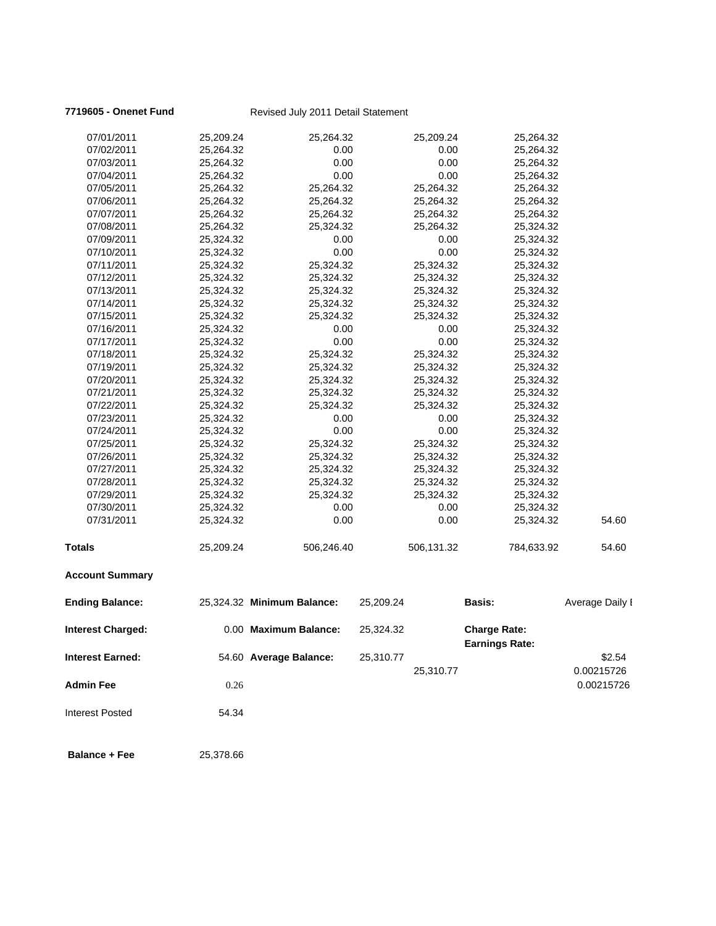### **7719605 - Onenet Fund** Revised July 2011 Detail Statement

| 07/01/2011               | 25,209.24 | 25,264.32                  |           | 25,209.24  | 25,264.32                                    |                 |
|--------------------------|-----------|----------------------------|-----------|------------|----------------------------------------------|-----------------|
| 07/02/2011               | 25,264.32 | 0.00                       |           | 0.00       | 25,264.32                                    |                 |
| 07/03/2011               | 25,264.32 | 0.00                       |           | 0.00       | 25,264.32                                    |                 |
| 07/04/2011               | 25,264.32 | 0.00                       |           | 0.00       | 25,264.32                                    |                 |
| 07/05/2011               | 25,264.32 | 25,264.32                  |           | 25,264.32  | 25,264.32                                    |                 |
| 07/06/2011               | 25,264.32 | 25,264.32                  |           | 25,264.32  | 25,264.32                                    |                 |
| 07/07/2011               | 25,264.32 | 25,264.32                  |           | 25,264.32  | 25,264.32                                    |                 |
| 07/08/2011               | 25,264.32 | 25,324.32                  |           | 25,264.32  | 25,324.32                                    |                 |
| 07/09/2011               | 25,324.32 | 0.00                       |           | 0.00       | 25,324.32                                    |                 |
| 07/10/2011               | 25,324.32 | 0.00                       |           | 0.00       | 25,324.32                                    |                 |
| 07/11/2011               | 25,324.32 | 25,324.32                  |           | 25,324.32  | 25,324.32                                    |                 |
| 07/12/2011               | 25,324.32 | 25,324.32                  |           | 25,324.32  | 25,324.32                                    |                 |
| 07/13/2011               | 25,324.32 | 25,324.32                  |           | 25,324.32  | 25,324.32                                    |                 |
| 07/14/2011               | 25,324.32 | 25,324.32                  |           | 25,324.32  | 25,324.32                                    |                 |
| 07/15/2011               | 25,324.32 | 25,324.32                  |           | 25,324.32  | 25,324.32                                    |                 |
| 07/16/2011               | 25,324.32 | 0.00                       |           | 0.00       | 25,324.32                                    |                 |
| 07/17/2011               | 25,324.32 | 0.00                       |           | 0.00       | 25,324.32                                    |                 |
| 07/18/2011               | 25,324.32 | 25,324.32                  |           | 25,324.32  | 25,324.32                                    |                 |
| 07/19/2011               | 25,324.32 | 25,324.32                  |           | 25,324.32  | 25,324.32                                    |                 |
| 07/20/2011               | 25,324.32 | 25,324.32                  |           | 25,324.32  | 25,324.32                                    |                 |
| 07/21/2011               | 25,324.32 | 25,324.32                  |           | 25,324.32  | 25,324.32                                    |                 |
| 07/22/2011               | 25,324.32 | 25,324.32                  |           | 25,324.32  | 25,324.32                                    |                 |
| 07/23/2011               | 25,324.32 | 0.00                       |           | 0.00       | 25,324.32                                    |                 |
| 07/24/2011               | 25,324.32 | 0.00                       |           | 0.00       | 25,324.32                                    |                 |
| 07/25/2011               | 25,324.32 | 25,324.32                  |           | 25,324.32  | 25,324.32                                    |                 |
| 07/26/2011               | 25,324.32 | 25,324.32                  |           | 25,324.32  | 25,324.32                                    |                 |
| 07/27/2011               | 25,324.32 | 25,324.32                  |           | 25,324.32  | 25,324.32                                    |                 |
| 07/28/2011               | 25,324.32 | 25,324.32                  |           | 25,324.32  | 25,324.32                                    |                 |
| 07/29/2011               | 25,324.32 | 25,324.32                  |           | 25,324.32  | 25,324.32                                    |                 |
| 07/30/2011               | 25,324.32 | 0.00                       |           | 0.00       | 25,324.32                                    |                 |
| 07/31/2011               | 25,324.32 | 0.00                       |           | 0.00       | 25,324.32                                    | 54.60           |
| <b>Totals</b>            | 25,209.24 | 506,246.40                 |           | 506,131.32 | 784,633.92                                   | 54.60           |
| <b>Account Summary</b>   |           |                            |           |            |                                              |                 |
| <b>Ending Balance:</b>   |           | 25,324.32 Minimum Balance: | 25,209.24 |            | <b>Basis:</b>                                | Average Daily I |
| <b>Interest Charged:</b> |           | 0.00 Maximum Balance:      | 25,324.32 |            | <b>Charge Rate:</b><br><b>Earnings Rate:</b> |                 |
| <b>Interest Earned:</b>  |           | 54.60 Average Balance:     | 25,310.77 |            |                                              | \$2.54          |
|                          |           |                            |           | 25,310.77  |                                              | 0.00215726      |
| <b>Admin Fee</b>         | 0.26      |                            |           |            |                                              | 0.00215726      |
| <b>Interest Posted</b>   | 54.34     |                            |           |            |                                              |                 |
| <b>Balance + Fee</b>     | 25,378.66 |                            |           |            |                                              |                 |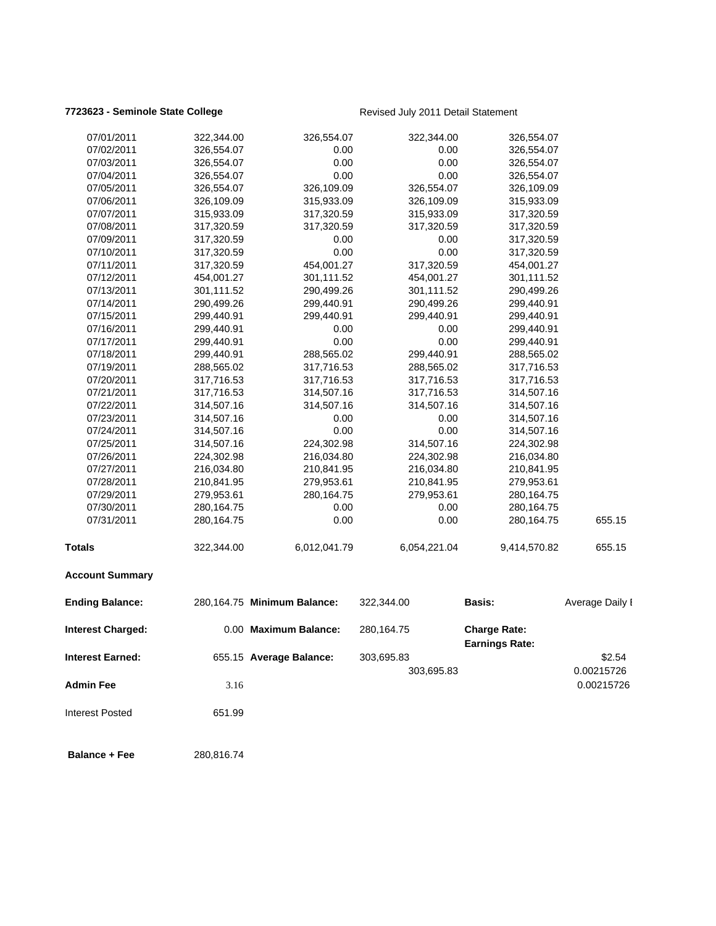### **7723623 - Seminole State College Revised July 2011 Detail Statement**

| 07/01/2011               | 322,344.00 | 326,554.07                  | 322,344.00   | 326,554.07                                   |                          |
|--------------------------|------------|-----------------------------|--------------|----------------------------------------------|--------------------------|
| 07/02/2011               | 326,554.07 | 0.00                        | 0.00         | 326,554.07                                   |                          |
| 07/03/2011               | 326,554.07 | 0.00                        | 0.00         | 326,554.07                                   |                          |
| 07/04/2011               | 326,554.07 | 0.00                        | 0.00         | 326,554.07                                   |                          |
| 07/05/2011               | 326,554.07 | 326,109.09                  | 326,554.07   | 326,109.09                                   |                          |
| 07/06/2011               | 326,109.09 | 315,933.09                  | 326,109.09   | 315,933.09                                   |                          |
| 07/07/2011               | 315,933.09 | 317,320.59                  | 315,933.09   | 317,320.59                                   |                          |
| 07/08/2011               | 317,320.59 | 317,320.59                  | 317,320.59   | 317,320.59                                   |                          |
| 07/09/2011               | 317,320.59 | 0.00                        | 0.00         | 317,320.59                                   |                          |
| 07/10/2011               | 317,320.59 | 0.00                        | 0.00         | 317,320.59                                   |                          |
| 07/11/2011               | 317,320.59 | 454,001.27                  | 317,320.59   | 454,001.27                                   |                          |
| 07/12/2011               | 454,001.27 | 301,111.52                  | 454,001.27   | 301,111.52                                   |                          |
| 07/13/2011               | 301,111.52 | 290,499.26                  | 301,111.52   | 290,499.26                                   |                          |
| 07/14/2011               | 290,499.26 | 299,440.91                  | 290,499.26   | 299,440.91                                   |                          |
| 07/15/2011               | 299,440.91 | 299,440.91                  | 299,440.91   | 299,440.91                                   |                          |
| 07/16/2011               | 299,440.91 | 0.00                        | 0.00         | 299,440.91                                   |                          |
| 07/17/2011               | 299,440.91 | 0.00                        | 0.00         | 299,440.91                                   |                          |
| 07/18/2011               | 299,440.91 | 288,565.02                  | 299,440.91   | 288,565.02                                   |                          |
| 07/19/2011               | 288,565.02 | 317,716.53                  | 288,565.02   | 317,716.53                                   |                          |
| 07/20/2011               | 317,716.53 | 317,716.53                  | 317,716.53   | 317,716.53                                   |                          |
| 07/21/2011               | 317,716.53 | 314,507.16                  | 317,716.53   | 314,507.16                                   |                          |
| 07/22/2011               | 314,507.16 | 314,507.16                  | 314,507.16   | 314,507.16                                   |                          |
| 07/23/2011               | 314,507.16 | 0.00                        | 0.00         | 314,507.16                                   |                          |
| 07/24/2011               | 314,507.16 | 0.00                        | 0.00         | 314,507.16                                   |                          |
| 07/25/2011               | 314,507.16 | 224,302.98                  | 314,507.16   | 224,302.98                                   |                          |
| 07/26/2011               | 224,302.98 | 216,034.80                  | 224,302.98   | 216,034.80                                   |                          |
| 07/27/2011               | 216,034.80 | 210,841.95                  | 216,034.80   | 210,841.95                                   |                          |
| 07/28/2011               | 210,841.95 | 279,953.61                  | 210,841.95   | 279,953.61                                   |                          |
| 07/29/2011               | 279,953.61 | 280,164.75                  | 279,953.61   | 280,164.75                                   |                          |
| 07/30/2011               | 280,164.75 | 0.00                        | 0.00         | 280,164.75                                   |                          |
| 07/31/2011               | 280,164.75 | 0.00                        | 0.00         | 280,164.75                                   | 655.15                   |
| <b>Totals</b>            | 322,344.00 | 6,012,041.79                | 6,054,221.04 | 9,414,570.82                                 | 655.15                   |
| <b>Account Summary</b>   |            |                             |              |                                              |                          |
| <b>Ending Balance:</b>   |            | 280,164.75 Minimum Balance: | 322,344.00   | <b>Basis:</b>                                | Average Daily I          |
| <b>Interest Charged:</b> |            | 0.00 Maximum Balance:       | 280,164.75   | <b>Charge Rate:</b><br><b>Earnings Rate:</b> |                          |
| <b>Interest Earned:</b>  |            | 655.15 Average Balance:     | 303,695.83   |                                              | \$2.54                   |
| <b>Admin Fee</b>         | 3.16       |                             | 303,695.83   |                                              | 0.00215726<br>0.00215726 |
|                          |            |                             |              |                                              |                          |
| <b>Interest Posted</b>   | 651.99     |                             |              |                                              |                          |
| <b>Balance + Fee</b>     | 280,816.74 |                             |              |                                              |                          |
|                          |            |                             |              |                                              |                          |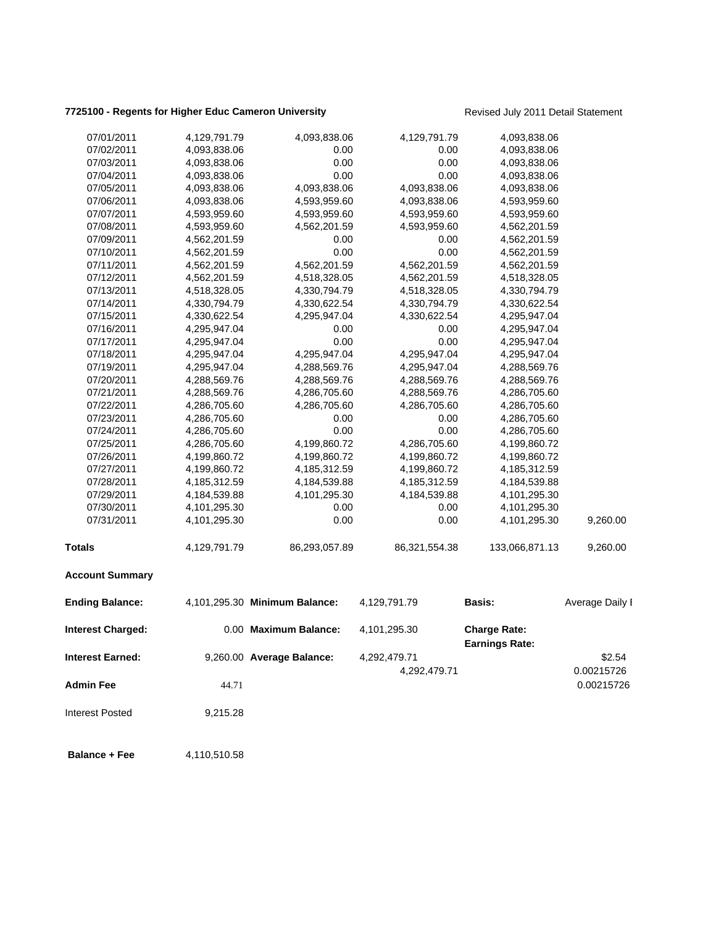# **7725100 - Regents for Higher Educ Cameron University** Revised July 2011 Detail Statement

| 07/01/2011               | 4,129,791.79 | 4,093,838.06                  | 4,129,791.79  | 4,093,838.06                                 |                 |
|--------------------------|--------------|-------------------------------|---------------|----------------------------------------------|-----------------|
| 07/02/2011               | 4,093,838.06 | 0.00                          | 0.00          | 4,093,838.06                                 |                 |
| 07/03/2011               | 4,093,838.06 | 0.00                          | 0.00          | 4,093,838.06                                 |                 |
| 07/04/2011               | 4,093,838.06 | 0.00                          | 0.00          | 4,093,838.06                                 |                 |
| 07/05/2011               | 4,093,838.06 | 4,093,838.06                  | 4,093,838.06  | 4,093,838.06                                 |                 |
| 07/06/2011               | 4,093,838.06 | 4,593,959.60                  | 4,093,838.06  | 4,593,959.60                                 |                 |
| 07/07/2011               | 4,593,959.60 | 4,593,959.60                  | 4,593,959.60  | 4,593,959.60                                 |                 |
| 07/08/2011               | 4,593,959.60 | 4,562,201.59                  | 4,593,959.60  | 4,562,201.59                                 |                 |
| 07/09/2011               | 4,562,201.59 | 0.00                          | 0.00          | 4,562,201.59                                 |                 |
| 07/10/2011               | 4,562,201.59 | 0.00                          | 0.00          | 4,562,201.59                                 |                 |
| 07/11/2011               | 4,562,201.59 | 4,562,201.59                  | 4,562,201.59  | 4,562,201.59                                 |                 |
| 07/12/2011               | 4,562,201.59 | 4,518,328.05                  | 4,562,201.59  | 4,518,328.05                                 |                 |
| 07/13/2011               | 4,518,328.05 | 4,330,794.79                  | 4,518,328.05  | 4,330,794.79                                 |                 |
| 07/14/2011               | 4,330,794.79 | 4,330,622.54                  | 4,330,794.79  | 4,330,622.54                                 |                 |
| 07/15/2011               | 4,330,622.54 | 4,295,947.04                  | 4,330,622.54  | 4,295,947.04                                 |                 |
| 07/16/2011               | 4,295,947.04 | 0.00                          | 0.00          | 4,295,947.04                                 |                 |
| 07/17/2011               | 4,295,947.04 | 0.00                          | 0.00          | 4,295,947.04                                 |                 |
| 07/18/2011               | 4,295,947.04 | 4,295,947.04                  | 4,295,947.04  | 4,295,947.04                                 |                 |
| 07/19/2011               | 4,295,947.04 | 4,288,569.76                  | 4,295,947.04  | 4,288,569.76                                 |                 |
| 07/20/2011               | 4,288,569.76 | 4,288,569.76                  | 4,288,569.76  | 4,288,569.76                                 |                 |
| 07/21/2011               | 4,288,569.76 | 4,286,705.60                  | 4,288,569.76  | 4,286,705.60                                 |                 |
| 07/22/2011               | 4,286,705.60 | 4,286,705.60                  | 4,286,705.60  | 4,286,705.60                                 |                 |
| 07/23/2011               | 4,286,705.60 | 0.00                          | 0.00          | 4,286,705.60                                 |                 |
| 07/24/2011               | 4,286,705.60 | 0.00                          | 0.00          | 4,286,705.60                                 |                 |
| 07/25/2011               | 4,286,705.60 | 4,199,860.72                  | 4,286,705.60  | 4,199,860.72                                 |                 |
| 07/26/2011               | 4,199,860.72 | 4,199,860.72                  | 4,199,860.72  | 4,199,860.72                                 |                 |
| 07/27/2011               | 4,199,860.72 | 4,185,312.59                  | 4,199,860.72  | 4,185,312.59                                 |                 |
| 07/28/2011               | 4,185,312.59 | 4,184,539.88                  | 4,185,312.59  | 4,184,539.88                                 |                 |
| 07/29/2011               | 4,184,539.88 | 4,101,295.30                  | 4,184,539.88  | 4,101,295.30                                 |                 |
| 07/30/2011               | 4,101,295.30 | 0.00                          | 0.00          | 4,101,295.30                                 |                 |
| 07/31/2011               | 4,101,295.30 | 0.00                          | 0.00          | 4,101,295.30                                 | 9,260.00        |
| <b>Totals</b>            | 4,129,791.79 | 86,293,057.89                 | 86,321,554.38 | 133,066,871.13                               | 9,260.00        |
| <b>Account Summary</b>   |              |                               |               |                                              |                 |
| <b>Ending Balance:</b>   |              | 4,101,295.30 Minimum Balance: | 4,129,791.79  | <b>Basis:</b>                                | Average Daily I |
| <b>Interest Charged:</b> |              | 0.00 Maximum Balance:         | 4,101,295.30  | <b>Charge Rate:</b><br><b>Earnings Rate:</b> |                 |
| <b>Interest Earned:</b>  |              | 9,260.00 Average Balance:     | 4,292,479.71  |                                              | \$2.54          |
|                          |              |                               | 4,292,479.71  |                                              |                 |
|                          |              |                               |               |                                              | 0.00215726      |
| <b>Admin Fee</b>         | 44.71        |                               |               |                                              | 0.00215726      |
| <b>Interest Posted</b>   | 9,215.28     |                               |               |                                              |                 |
| <b>Balance + Fee</b>     | 4,110,510.58 |                               |               |                                              |                 |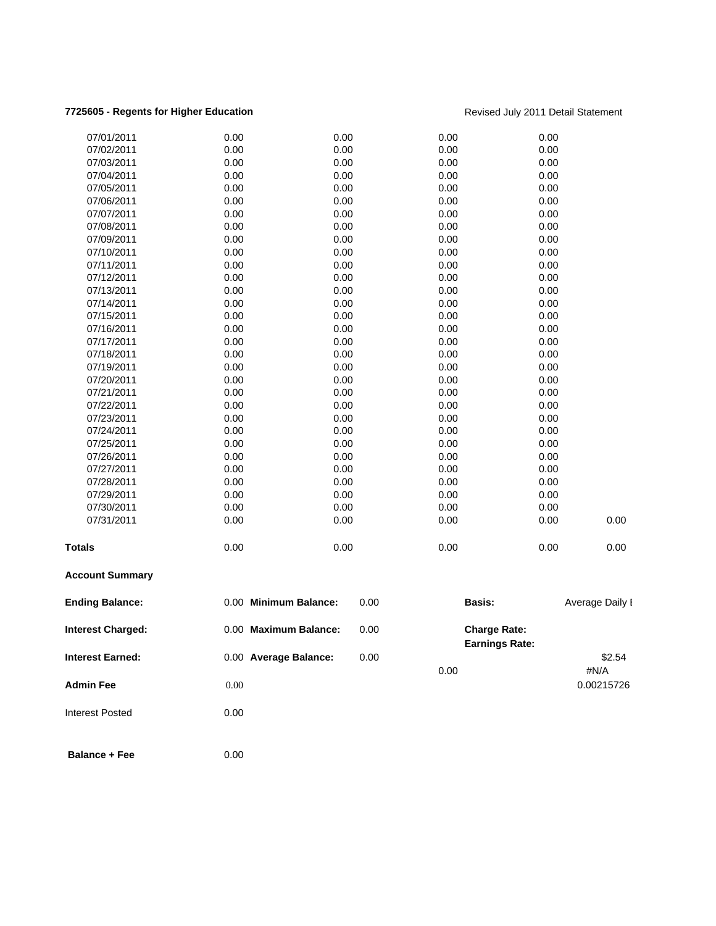### **7725605 - Regents for Higher Education Revised July 2011 Detail Statement**

| <b>Ending Balance:</b> |                                                                                                                                                        | 0.00                                                                                                                                                                                                                                                         | Basis:                                                                                                                                                                                                                                                                                |                                                                                                                                                                              |                                                                                                                                                                                                 |
|------------------------|--------------------------------------------------------------------------------------------------------------------------------------------------------|--------------------------------------------------------------------------------------------------------------------------------------------------------------------------------------------------------------------------------------------------------------|---------------------------------------------------------------------------------------------------------------------------------------------------------------------------------------------------------------------------------------------------------------------------------------|------------------------------------------------------------------------------------------------------------------------------------------------------------------------------|-------------------------------------------------------------------------------------------------------------------------------------------------------------------------------------------------|
| <b>Account Summary</b> |                                                                                                                                                        |                                                                                                                                                                                                                                                              |                                                                                                                                                                                                                                                                                       |                                                                                                                                                                              |                                                                                                                                                                                                 |
|                        |                                                                                                                                                        |                                                                                                                                                                                                                                                              | 0.00                                                                                                                                                                                                                                                                                  | 0.00                                                                                                                                                                         | 0.00                                                                                                                                                                                            |
|                        |                                                                                                                                                        |                                                                                                                                                                                                                                                              |                                                                                                                                                                                                                                                                                       |                                                                                                                                                                              | 0.00                                                                                                                                                                                            |
|                        |                                                                                                                                                        |                                                                                                                                                                                                                                                              |                                                                                                                                                                                                                                                                                       |                                                                                                                                                                              |                                                                                                                                                                                                 |
|                        |                                                                                                                                                        |                                                                                                                                                                                                                                                              |                                                                                                                                                                                                                                                                                       |                                                                                                                                                                              |                                                                                                                                                                                                 |
|                        |                                                                                                                                                        |                                                                                                                                                                                                                                                              |                                                                                                                                                                                                                                                                                       |                                                                                                                                                                              |                                                                                                                                                                                                 |
|                        |                                                                                                                                                        |                                                                                                                                                                                                                                                              |                                                                                                                                                                                                                                                                                       |                                                                                                                                                                              |                                                                                                                                                                                                 |
|                        |                                                                                                                                                        |                                                                                                                                                                                                                                                              |                                                                                                                                                                                                                                                                                       |                                                                                                                                                                              |                                                                                                                                                                                                 |
|                        |                                                                                                                                                        |                                                                                                                                                                                                                                                              |                                                                                                                                                                                                                                                                                       |                                                                                                                                                                              |                                                                                                                                                                                                 |
|                        |                                                                                                                                                        |                                                                                                                                                                                                                                                              |                                                                                                                                                                                                                                                                                       |                                                                                                                                                                              |                                                                                                                                                                                                 |
|                        |                                                                                                                                                        |                                                                                                                                                                                                                                                              |                                                                                                                                                                                                                                                                                       |                                                                                                                                                                              |                                                                                                                                                                                                 |
|                        |                                                                                                                                                        |                                                                                                                                                                                                                                                              |                                                                                                                                                                                                                                                                                       |                                                                                                                                                                              |                                                                                                                                                                                                 |
| 07/21/2011             |                                                                                                                                                        |                                                                                                                                                                                                                                                              |                                                                                                                                                                                                                                                                                       |                                                                                                                                                                              |                                                                                                                                                                                                 |
| 07/20/2011             |                                                                                                                                                        |                                                                                                                                                                                                                                                              |                                                                                                                                                                                                                                                                                       |                                                                                                                                                                              |                                                                                                                                                                                                 |
| 07/19/2011             |                                                                                                                                                        |                                                                                                                                                                                                                                                              |                                                                                                                                                                                                                                                                                       |                                                                                                                                                                              |                                                                                                                                                                                                 |
|                        |                                                                                                                                                        |                                                                                                                                                                                                                                                              |                                                                                                                                                                                                                                                                                       |                                                                                                                                                                              |                                                                                                                                                                                                 |
| 07/17/2011             |                                                                                                                                                        |                                                                                                                                                                                                                                                              |                                                                                                                                                                                                                                                                                       |                                                                                                                                                                              |                                                                                                                                                                                                 |
| 07/16/2011             |                                                                                                                                                        |                                                                                                                                                                                                                                                              |                                                                                                                                                                                                                                                                                       |                                                                                                                                                                              |                                                                                                                                                                                                 |
| 07/15/2011             |                                                                                                                                                        |                                                                                                                                                                                                                                                              |                                                                                                                                                                                                                                                                                       |                                                                                                                                                                              |                                                                                                                                                                                                 |
| 07/14/2011             |                                                                                                                                                        |                                                                                                                                                                                                                                                              |                                                                                                                                                                                                                                                                                       |                                                                                                                                                                              |                                                                                                                                                                                                 |
| 07/13/2011             |                                                                                                                                                        |                                                                                                                                                                                                                                                              |                                                                                                                                                                                                                                                                                       |                                                                                                                                                                              |                                                                                                                                                                                                 |
| 07/12/2011             |                                                                                                                                                        |                                                                                                                                                                                                                                                              |                                                                                                                                                                                                                                                                                       |                                                                                                                                                                              |                                                                                                                                                                                                 |
| 07/11/2011             |                                                                                                                                                        |                                                                                                                                                                                                                                                              |                                                                                                                                                                                                                                                                                       |                                                                                                                                                                              |                                                                                                                                                                                                 |
| 07/10/2011             |                                                                                                                                                        |                                                                                                                                                                                                                                                              |                                                                                                                                                                                                                                                                                       |                                                                                                                                                                              |                                                                                                                                                                                                 |
| 07/09/2011             |                                                                                                                                                        |                                                                                                                                                                                                                                                              | 0.00                                                                                                                                                                                                                                                                                  | 0.00                                                                                                                                                                         |                                                                                                                                                                                                 |
| 07/08/2011             |                                                                                                                                                        |                                                                                                                                                                                                                                                              | 0.00                                                                                                                                                                                                                                                                                  | 0.00                                                                                                                                                                         |                                                                                                                                                                                                 |
| 07/07/2011             |                                                                                                                                                        |                                                                                                                                                                                                                                                              | 0.00                                                                                                                                                                                                                                                                                  | 0.00                                                                                                                                                                         |                                                                                                                                                                                                 |
| 07/06/2011             |                                                                                                                                                        |                                                                                                                                                                                                                                                              | 0.00                                                                                                                                                                                                                                                                                  | 0.00                                                                                                                                                                         |                                                                                                                                                                                                 |
| 07/05/2011             |                                                                                                                                                        |                                                                                                                                                                                                                                                              | 0.00                                                                                                                                                                                                                                                                                  | 0.00                                                                                                                                                                         |                                                                                                                                                                                                 |
| 07/04/2011             |                                                                                                                                                        |                                                                                                                                                                                                                                                              | 0.00                                                                                                                                                                                                                                                                                  | 0.00                                                                                                                                                                         |                                                                                                                                                                                                 |
| 07/03/2011             |                                                                                                                                                        |                                                                                                                                                                                                                                                              | 0.00                                                                                                                                                                                                                                                                                  | 0.00                                                                                                                                                                         |                                                                                                                                                                                                 |
| 07/02/2011             |                                                                                                                                                        |                                                                                                                                                                                                                                                              | 0.00                                                                                                                                                                                                                                                                                  | 0.00                                                                                                                                                                         |                                                                                                                                                                                                 |
| 07/01/2011             |                                                                                                                                                        |                                                                                                                                                                                                                                                              | 0.00                                                                                                                                                                                                                                                                                  | 0.00                                                                                                                                                                         |                                                                                                                                                                                                 |
|                        | 07/18/2011<br>07/22/2011<br>07/23/2011<br>07/24/2011<br>07/25/2011<br>07/26/2011<br>07/27/2011<br>07/28/2011<br>07/29/2011<br>07/30/2011<br>07/31/2011 | 0.00<br>0.00<br>0.00<br>0.00<br>0.00<br>0.00<br>0.00<br>0.00<br>0.00<br>0.00<br>0.00<br>0.00<br>0.00<br>0.00<br>0.00<br>0.00<br>0.00<br>0.00<br>0.00<br>0.00<br>0.00<br>0.00<br>0.00<br>0.00<br>0.00<br>0.00<br>0.00<br>0.00<br>0.00<br>0.00<br>0.00<br>0.00 | 0.00<br>0.00<br>0.00<br>0.00<br>0.00<br>0.00<br>0.00<br>0.00<br>0.00<br>0.00<br>0.00<br>0.00<br>0.00<br>0.00<br>0.00<br>0.00<br>0.00<br>0.00<br>0.00<br>0.00<br>0.00<br>0.00<br>0.00<br>0.00<br>0.00<br>0.00<br>0.00<br>0.00<br>0.00<br>0.00<br>0.00<br>0.00<br>0.00 Minimum Balance: | 0.00<br>0.00<br>0.00<br>0.00<br>0.00<br>0.00<br>0.00<br>0.00<br>0.00<br>0.00<br>0.00<br>0.00<br>0.00<br>0.00<br>0.00<br>0.00<br>0.00<br>0.00<br>0.00<br>0.00<br>0.00<br>0.00 | 0.00<br>0.00<br>0.00<br>0.00<br>0.00<br>0.00<br>0.00<br>0.00<br>0.00<br>0.00<br>0.00<br>0.00<br>0.00<br>0.00<br>0.00<br>0.00<br>0.00<br>0.00<br>0.00<br>0.00<br>0.00<br>0.00<br>Average Daily I |

| <b>Interest Charged:</b> |      | 0.00 Maximum Balance: | 0.00 | <b>Charge Rate:</b><br><b>Earnings Rate:</b> |            |
|--------------------------|------|-----------------------|------|----------------------------------------------|------------|
| <b>Interest Earned:</b>  |      | 0.00 Average Balance: | 0.00 |                                              | \$2.54     |
|                          |      |                       |      | 0.00                                         | #N/A       |
| <b>Admin Fee</b>         | 0.00 |                       |      |                                              | 0.00215726 |
| <b>Interest Posted</b>   | 0.00 |                       |      |                                              |            |

**Balance + Fee** 0.00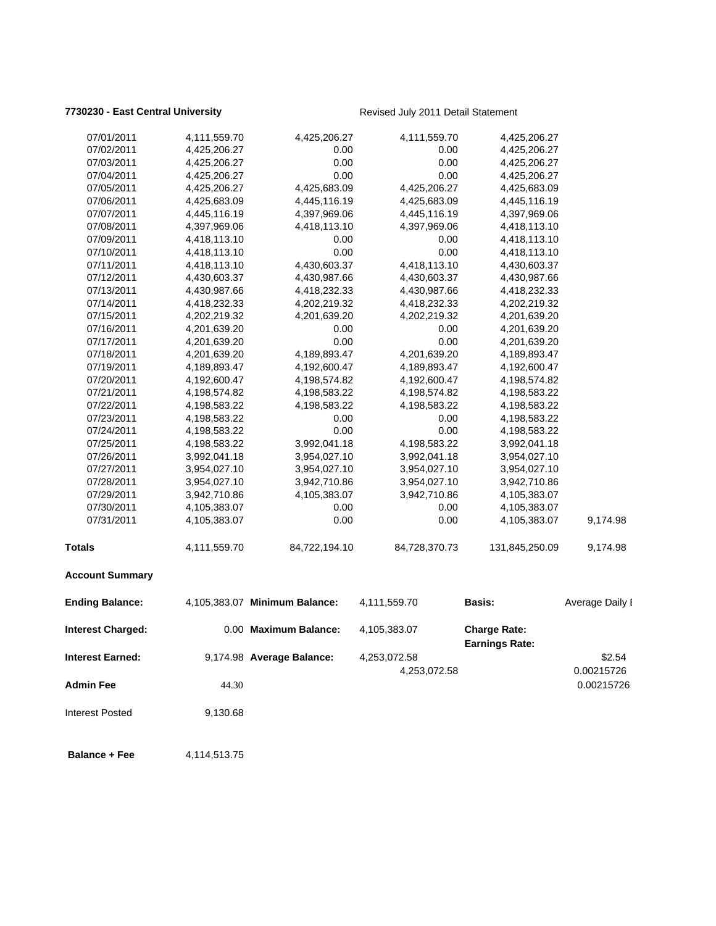### **7730230 - East Central University Revised July 2011 Detail Statement**

| 07/01/2011               | 4,111,559.70 | 4,425,206.27                  | 4,111,559.70  | 4,425,206.27                                 |                          |
|--------------------------|--------------|-------------------------------|---------------|----------------------------------------------|--------------------------|
| 07/02/2011               | 4,425,206.27 | 0.00                          | 0.00          | 4,425,206.27                                 |                          |
| 07/03/2011               | 4,425,206.27 | 0.00                          | 0.00          | 4,425,206.27                                 |                          |
| 07/04/2011               | 4,425,206.27 | 0.00                          | 0.00          | 4,425,206.27                                 |                          |
| 07/05/2011               | 4,425,206.27 | 4,425,683.09                  | 4,425,206.27  | 4,425,683.09                                 |                          |
| 07/06/2011               | 4,425,683.09 | 4,445,116.19                  | 4,425,683.09  | 4,445,116.19                                 |                          |
| 07/07/2011               | 4,445,116.19 | 4,397,969.06                  | 4,445,116.19  | 4,397,969.06                                 |                          |
| 07/08/2011               | 4,397,969.06 | 4,418,113.10                  | 4,397,969.06  | 4,418,113.10                                 |                          |
| 07/09/2011               | 4,418,113.10 | 0.00                          | 0.00          | 4,418,113.10                                 |                          |
| 07/10/2011               | 4,418,113.10 | 0.00                          | 0.00          | 4,418,113.10                                 |                          |
| 07/11/2011               | 4,418,113.10 | 4,430,603.37                  | 4,418,113.10  | 4,430,603.37                                 |                          |
| 07/12/2011               | 4,430,603.37 | 4,430,987.66                  | 4,430,603.37  | 4,430,987.66                                 |                          |
| 07/13/2011               | 4,430,987.66 | 4,418,232.33                  | 4,430,987.66  | 4,418,232.33                                 |                          |
| 07/14/2011               | 4,418,232.33 | 4,202,219.32                  | 4,418,232.33  | 4,202,219.32                                 |                          |
| 07/15/2011               | 4,202,219.32 | 4,201,639.20                  | 4,202,219.32  | 4,201,639.20                                 |                          |
| 07/16/2011               | 4,201,639.20 | 0.00                          | 0.00          | 4,201,639.20                                 |                          |
| 07/17/2011               | 4,201,639.20 | 0.00                          | 0.00          | 4,201,639.20                                 |                          |
| 07/18/2011               | 4,201,639.20 | 4,189,893.47                  | 4,201,639.20  | 4,189,893.47                                 |                          |
| 07/19/2011               | 4,189,893.47 | 4,192,600.47                  | 4,189,893.47  | 4,192,600.47                                 |                          |
| 07/20/2011               | 4,192,600.47 | 4,198,574.82                  | 4,192,600.47  | 4,198,574.82                                 |                          |
| 07/21/2011               | 4,198,574.82 | 4,198,583.22                  | 4,198,574.82  | 4,198,583.22                                 |                          |
| 07/22/2011               | 4,198,583.22 | 4,198,583.22                  | 4,198,583.22  | 4,198,583.22                                 |                          |
| 07/23/2011               | 4,198,583.22 | 0.00                          | 0.00          | 4,198,583.22                                 |                          |
| 07/24/2011               | 4,198,583.22 | 0.00                          | 0.00          | 4,198,583.22                                 |                          |
| 07/25/2011               | 4,198,583.22 | 3,992,041.18                  | 4,198,583.22  | 3,992,041.18                                 |                          |
| 07/26/2011               | 3,992,041.18 | 3,954,027.10                  | 3,992,041.18  | 3,954,027.10                                 |                          |
| 07/27/2011               | 3,954,027.10 | 3,954,027.10                  | 3,954,027.10  | 3,954,027.10                                 |                          |
| 07/28/2011               | 3,954,027.10 | 3,942,710.86                  | 3,954,027.10  | 3,942,710.86                                 |                          |
| 07/29/2011               | 3,942,710.86 | 4,105,383.07                  | 3,942,710.86  | 4,105,383.07                                 |                          |
| 07/30/2011               | 4,105,383.07 | 0.00                          | 0.00          | 4,105,383.07                                 |                          |
| 07/31/2011               | 4,105,383.07 | 0.00                          | 0.00          | 4,105,383.07                                 | 9,174.98                 |
| <b>Totals</b>            | 4,111,559.70 | 84,722,194.10                 | 84,728,370.73 | 131,845,250.09                               | 9,174.98                 |
| <b>Account Summary</b>   |              |                               |               |                                              |                          |
| <b>Ending Balance:</b>   |              | 4,105,383.07 Minimum Balance: | 4,111,559.70  | <b>Basis:</b>                                | Average Daily I          |
| <b>Interest Charged:</b> |              | 0.00 Maximum Balance:         | 4,105,383.07  | <b>Charge Rate:</b><br><b>Earnings Rate:</b> |                          |
| Interest Earned:         |              | 9,174.98 Average Balance:     | 4,253,072.58  |                                              | \$2.54                   |
| <b>Admin Fee</b>         | 44.30        |                               | 4,253,072.58  |                                              | 0.00215726<br>0.00215726 |
| Interest Posted          | 9,130.68     |                               |               |                                              |                          |
| <b>Balance + Fee</b>     | 4,114,513.75 |                               |               |                                              |                          |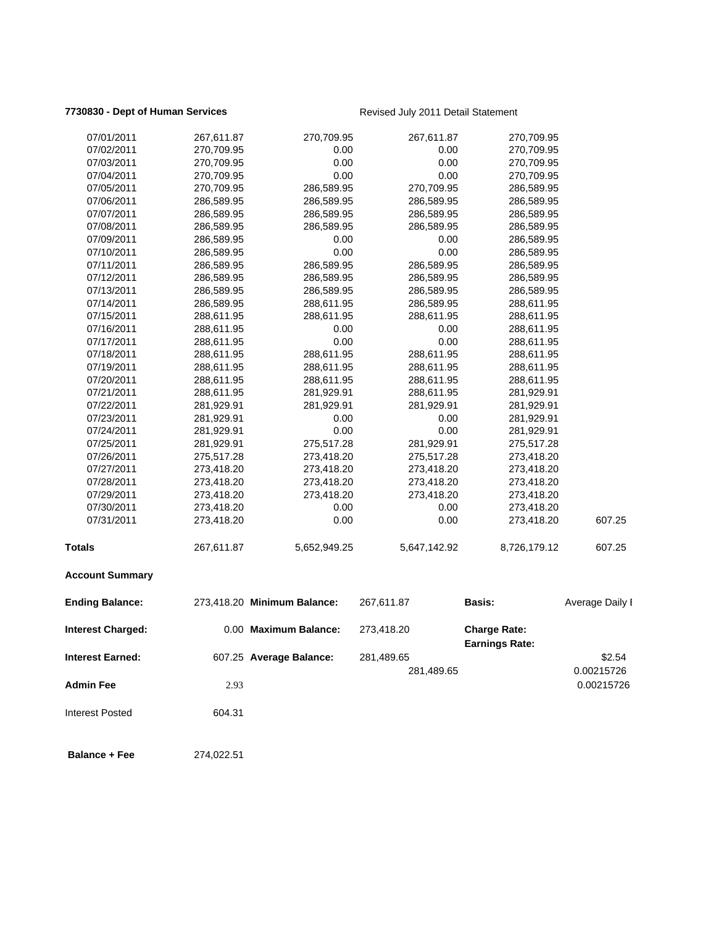### **7730830 - Dept of Human Services Revised July 2011 Detail Statement**

| 07/01/2011               | 267,611.87 | 270,709.95                  | 267,611.87   | 270,709.95                                   |                          |
|--------------------------|------------|-----------------------------|--------------|----------------------------------------------|--------------------------|
| 07/02/2011               | 270,709.95 | 0.00                        | 0.00         | 270,709.95                                   |                          |
| 07/03/2011               | 270,709.95 | 0.00                        | 0.00         | 270,709.95                                   |                          |
| 07/04/2011               | 270,709.95 | 0.00                        | 0.00         | 270,709.95                                   |                          |
| 07/05/2011               | 270,709.95 | 286,589.95                  | 270,709.95   | 286,589.95                                   |                          |
| 07/06/2011               | 286,589.95 | 286,589.95                  | 286,589.95   | 286,589.95                                   |                          |
| 07/07/2011               | 286,589.95 | 286,589.95                  | 286,589.95   | 286,589.95                                   |                          |
| 07/08/2011               | 286,589.95 | 286,589.95                  | 286,589.95   | 286,589.95                                   |                          |
| 07/09/2011               | 286,589.95 | 0.00                        | 0.00         | 286,589.95                                   |                          |
| 07/10/2011               | 286,589.95 | 0.00                        | 0.00         | 286,589.95                                   |                          |
| 07/11/2011               | 286,589.95 | 286,589.95                  | 286,589.95   | 286,589.95                                   |                          |
| 07/12/2011               | 286,589.95 | 286,589.95                  | 286,589.95   | 286,589.95                                   |                          |
| 07/13/2011               | 286,589.95 | 286,589.95                  | 286,589.95   | 286,589.95                                   |                          |
| 07/14/2011               | 286,589.95 | 288,611.95                  | 286,589.95   | 288,611.95                                   |                          |
| 07/15/2011               | 288,611.95 | 288,611.95                  | 288,611.95   | 288,611.95                                   |                          |
| 07/16/2011               | 288,611.95 | 0.00                        | 0.00         | 288,611.95                                   |                          |
| 07/17/2011               | 288,611.95 | 0.00                        | 0.00         | 288,611.95                                   |                          |
| 07/18/2011               | 288,611.95 | 288,611.95                  | 288,611.95   | 288,611.95                                   |                          |
| 07/19/2011               | 288,611.95 | 288,611.95                  | 288,611.95   | 288,611.95                                   |                          |
| 07/20/2011               | 288,611.95 | 288,611.95                  | 288,611.95   | 288,611.95                                   |                          |
| 07/21/2011               | 288,611.95 | 281,929.91                  | 288,611.95   | 281,929.91                                   |                          |
| 07/22/2011               | 281,929.91 | 281,929.91                  | 281,929.91   | 281,929.91                                   |                          |
| 07/23/2011               | 281,929.91 | 0.00                        | 0.00         | 281,929.91                                   |                          |
| 07/24/2011               | 281,929.91 | 0.00                        | 0.00         | 281,929.91                                   |                          |
| 07/25/2011               | 281,929.91 | 275,517.28                  | 281,929.91   | 275,517.28                                   |                          |
| 07/26/2011               | 275,517.28 | 273,418.20                  | 275,517.28   | 273,418.20                                   |                          |
| 07/27/2011               | 273,418.20 | 273,418.20                  | 273,418.20   | 273,418.20                                   |                          |
| 07/28/2011               | 273,418.20 | 273,418.20                  | 273,418.20   | 273,418.20                                   |                          |
| 07/29/2011               | 273,418.20 | 273,418.20                  | 273,418.20   | 273,418.20                                   |                          |
| 07/30/2011               | 273,418.20 | 0.00                        | 0.00         | 273,418.20                                   |                          |
| 07/31/2011               | 273,418.20 | 0.00                        | 0.00         | 273,418.20                                   | 607.25                   |
| <b>Totals</b>            | 267,611.87 | 5,652,949.25                | 5,647,142.92 | 8,726,179.12                                 | 607.25                   |
| <b>Account Summary</b>   |            |                             |              |                                              |                          |
| <b>Ending Balance:</b>   |            | 273,418.20 Minimum Balance: | 267,611.87   | <b>Basis:</b>                                | Average Daily I          |
| <b>Interest Charged:</b> |            | 0.00 Maximum Balance:       | 273,418.20   | <b>Charge Rate:</b><br><b>Earnings Rate:</b> |                          |
| <b>Interest Earned:</b>  |            | 607.25 Average Balance:     | 281,489.65   |                                              | \$2.54                   |
| <b>Admin Fee</b>         | 2.93       |                             | 281,489.65   |                                              | 0.00215726<br>0.00215726 |
| <b>Interest Posted</b>   | 604.31     |                             |              |                                              |                          |
| <b>Balance + Fee</b>     | 274,022.51 |                             |              |                                              |                          |
|                          |            |                             |              |                                              |                          |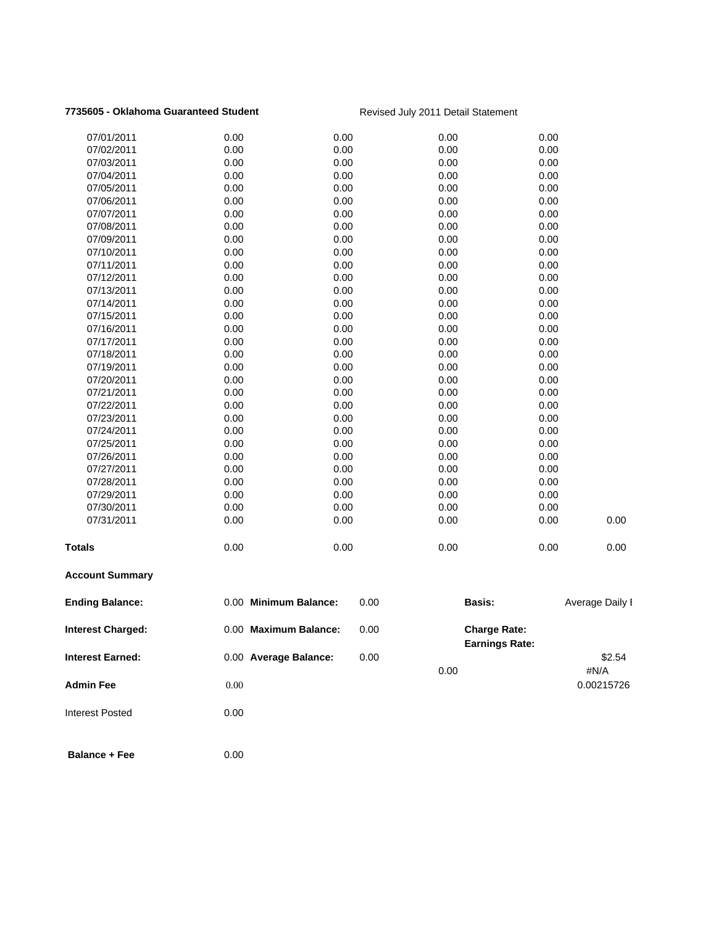## **7735605 - Oklahoma Guaranteed Student** Revised July 2011 Detail Statement

| <b>Admin Fee</b>         | 0.00                  |      | 0.00                                         |      | #N/A<br>0.00215726 |
|--------------------------|-----------------------|------|----------------------------------------------|------|--------------------|
| <b>Interest Earned:</b>  | 0.00 Average Balance: | 0.00 |                                              |      | \$2.54             |
| <b>Interest Charged:</b> | 0.00 Maximum Balance: | 0.00 | <b>Charge Rate:</b><br><b>Earnings Rate:</b> |      |                    |
| <b>Ending Balance:</b>   | 0.00 Minimum Balance: | 0.00 | <b>Basis:</b>                                |      | Average Daily I    |
| <b>Account Summary</b>   |                       |      |                                              |      |                    |
| <b>Totals</b>            | 0.00                  | 0.00 | 0.00                                         | 0.00 | 0.00               |
| 07/31/2011               | 0.00                  | 0.00 | 0.00                                         | 0.00 | 0.00               |
| 07/30/2011               | 0.00                  | 0.00 | 0.00                                         | 0.00 |                    |
| 07/29/2011               | 0.00                  | 0.00 | 0.00                                         | 0.00 |                    |
| 07/28/2011               | 0.00                  | 0.00 | 0.00                                         | 0.00 |                    |
| 07/27/2011               | 0.00                  | 0.00 | 0.00                                         | 0.00 |                    |
| 07/26/2011               | 0.00                  | 0.00 | 0.00                                         | 0.00 |                    |
| 07/25/2011               | 0.00                  | 0.00 | 0.00                                         | 0.00 |                    |
| 07/24/2011               | 0.00                  | 0.00 | 0.00                                         | 0.00 |                    |
| 07/23/2011               | 0.00                  | 0.00 | 0.00                                         | 0.00 |                    |
| 07/22/2011               | 0.00                  | 0.00 | 0.00                                         | 0.00 |                    |
| 07/21/2011               | 0.00                  | 0.00 | 0.00                                         | 0.00 |                    |
| 07/20/2011               | 0.00                  | 0.00 | 0.00                                         | 0.00 |                    |
| 07/19/2011               | 0.00                  | 0.00 | 0.00                                         | 0.00 |                    |
| 07/18/2011               | 0.00                  | 0.00 | 0.00                                         | 0.00 |                    |
| 07/17/2011               | 0.00                  | 0.00 | 0.00                                         | 0.00 |                    |
| 07/16/2011               | 0.00                  | 0.00 | 0.00                                         | 0.00 |                    |
| 07/15/2011               | 0.00                  | 0.00 | 0.00                                         | 0.00 |                    |
| 07/14/2011               | 0.00                  | 0.00 | 0.00                                         | 0.00 |                    |
| 07/13/2011               | 0.00                  | 0.00 | 0.00                                         | 0.00 |                    |
| 07/12/2011               | 0.00                  | 0.00 | 0.00                                         | 0.00 |                    |
| 07/11/2011               | 0.00                  | 0.00 | 0.00                                         | 0.00 |                    |
| 07/10/2011               | 0.00                  | 0.00 | 0.00                                         | 0.00 |                    |
| 07/09/2011               | 0.00                  | 0.00 | 0.00                                         | 0.00 |                    |
| 07/08/2011               | 0.00                  | 0.00 | 0.00                                         | 0.00 |                    |
| 07/07/2011               | 0.00                  | 0.00 | 0.00                                         | 0.00 |                    |
| 07/06/2011               | 0.00                  | 0.00 | 0.00                                         | 0.00 |                    |
| 07/05/2011               | 0.00                  | 0.00 | 0.00                                         | 0.00 |                    |
| 07/04/2011               | 0.00                  | 0.00 | 0.00                                         | 0.00 |                    |
| 07/03/2011               | 0.00                  | 0.00 | 0.00                                         | 0.00 |                    |
| 07/02/2011               | 0.00                  | 0.00 | 0.00                                         | 0.00 |                    |
| 07/01/2011               | 0.00                  | 0.00 | 0.00                                         | 0.00 |                    |
|                          |                       |      |                                              |      |                    |

Interest Posted 0.00

**Balance + Fee** 0.00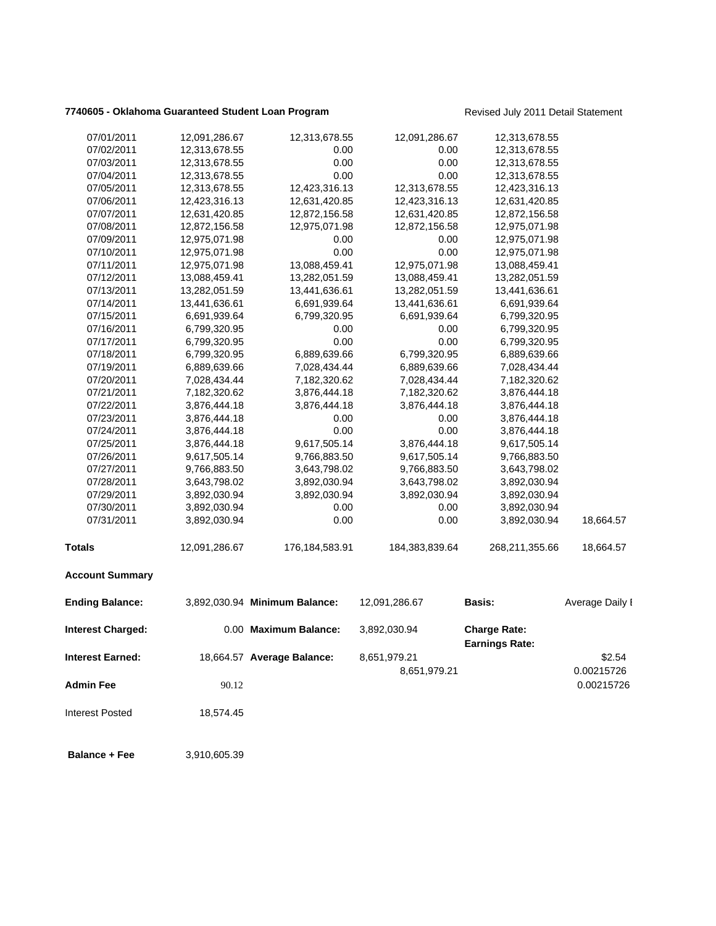## **7740605 - Oklahoma Guaranteed Student Loan Program** Revised July 2011 Detail Statement

| 07/01/2011              | 12,091,286.67 | 12,313,678.55                 | 12,091,286.67  | 12,313,678.55                                |                          |
|-------------------------|---------------|-------------------------------|----------------|----------------------------------------------|--------------------------|
| 07/02/2011              | 12,313,678.55 | 0.00                          | 0.00           | 12,313,678.55                                |                          |
| 07/03/2011              | 12,313,678.55 | 0.00                          | 0.00           | 12,313,678.55                                |                          |
| 07/04/2011              | 12,313,678.55 | 0.00                          | 0.00           | 12,313,678.55                                |                          |
| 07/05/2011              | 12,313,678.55 | 12,423,316.13                 | 12,313,678.55  | 12,423,316.13                                |                          |
| 07/06/2011              | 12,423,316.13 | 12,631,420.85                 | 12,423,316.13  | 12,631,420.85                                |                          |
| 07/07/2011              | 12,631,420.85 | 12,872,156.58                 | 12,631,420.85  | 12,872,156.58                                |                          |
| 07/08/2011              | 12,872,156.58 | 12,975,071.98                 | 12,872,156.58  | 12,975,071.98                                |                          |
| 07/09/2011              | 12,975,071.98 | 0.00                          | 0.00           | 12,975,071.98                                |                          |
| 07/10/2011              | 12,975,071.98 | 0.00                          | 0.00           | 12,975,071.98                                |                          |
| 07/11/2011              | 12,975,071.98 | 13,088,459.41                 | 12,975,071.98  | 13,088,459.41                                |                          |
| 07/12/2011              | 13,088,459.41 | 13,282,051.59                 | 13,088,459.41  | 13,282,051.59                                |                          |
| 07/13/2011              | 13,282,051.59 | 13,441,636.61                 | 13,282,051.59  | 13,441,636.61                                |                          |
| 07/14/2011              | 13,441,636.61 | 6,691,939.64                  | 13,441,636.61  | 6,691,939.64                                 |                          |
| 07/15/2011              | 6,691,939.64  | 6,799,320.95                  | 6,691,939.64   | 6,799,320.95                                 |                          |
| 07/16/2011              | 6,799,320.95  | 0.00                          | 0.00           | 6,799,320.95                                 |                          |
| 07/17/2011              | 6,799,320.95  | 0.00                          | 0.00           | 6,799,320.95                                 |                          |
| 07/18/2011              | 6,799,320.95  | 6,889,639.66                  | 6,799,320.95   | 6,889,639.66                                 |                          |
| 07/19/2011              | 6,889,639.66  | 7,028,434.44                  | 6,889,639.66   | 7,028,434.44                                 |                          |
| 07/20/2011              | 7,028,434.44  | 7,182,320.62                  | 7,028,434.44   | 7,182,320.62                                 |                          |
| 07/21/2011              | 7,182,320.62  | 3,876,444.18                  | 7,182,320.62   | 3,876,444.18                                 |                          |
| 07/22/2011              | 3,876,444.18  | 3,876,444.18                  | 3,876,444.18   | 3,876,444.18                                 |                          |
| 07/23/2011              | 3,876,444.18  | 0.00                          | 0.00           | 3,876,444.18                                 |                          |
| 07/24/2011              | 3,876,444.18  | 0.00                          | 0.00           | 3,876,444.18                                 |                          |
| 07/25/2011              | 3,876,444.18  | 9,617,505.14                  | 3,876,444.18   | 9,617,505.14                                 |                          |
| 07/26/2011              | 9,617,505.14  | 9,766,883.50                  | 9,617,505.14   | 9,766,883.50                                 |                          |
| 07/27/2011              | 9,766,883.50  | 3,643,798.02                  | 9,766,883.50   | 3,643,798.02                                 |                          |
| 07/28/2011              | 3,643,798.02  | 3,892,030.94                  | 3,643,798.02   | 3,892,030.94                                 |                          |
| 07/29/2011              | 3,892,030.94  | 3,892,030.94                  | 3,892,030.94   | 3,892,030.94                                 |                          |
| 07/30/2011              | 3,892,030.94  | 0.00                          | 0.00           | 3,892,030.94                                 |                          |
| 07/31/2011              | 3,892,030.94  | 0.00                          | 0.00           | 3,892,030.94                                 | 18,664.57                |
| <b>Totals</b>           | 12,091,286.67 | 176, 184, 583. 91             | 184,383,839.64 | 268,211,355.66                               | 18,664.57                |
| <b>Account Summary</b>  |               |                               |                |                                              |                          |
| <b>Ending Balance:</b>  |               | 3,892,030.94 Minimum Balance: | 12,091,286.67  | <b>Basis:</b>                                | Average Daily I          |
| Interest Charged:       |               | 0.00 Maximum Balance:         | 3,892,030.94   | <b>Charge Rate:</b><br><b>Earnings Rate:</b> |                          |
| <b>Interest Earned:</b> |               | 18,664.57 Average Balance:    | 8,651,979.21   |                                              | \$2.54                   |
| <b>Admin Fee</b>        | 90.12         |                               | 8,651,979.21   |                                              | 0.00215726<br>0.00215726 |
| <b>Interest Posted</b>  | 18,574.45     |                               |                |                                              |                          |
| <b>Balance + Fee</b>    | 3,910,605.39  |                               |                |                                              |                          |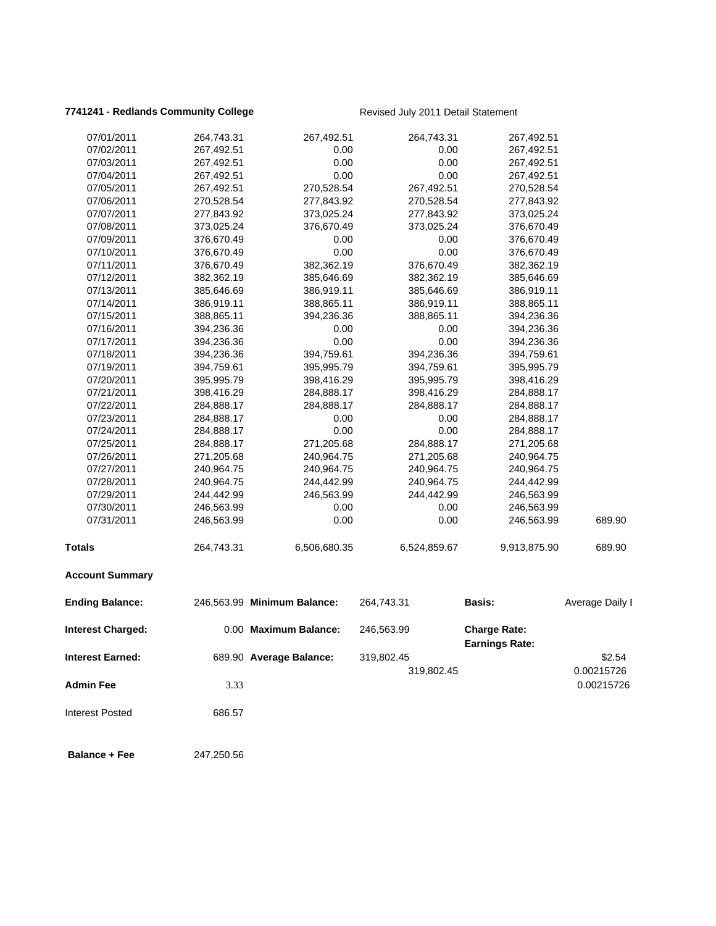## **7741241 - Redlands Community College** Revised July 2011 Detail Statement

| 07/01/2011               | 264,743.31 | 267,492.51                  | 264,743.31   | 267,492.51                                   |                 |
|--------------------------|------------|-----------------------------|--------------|----------------------------------------------|-----------------|
| 07/02/2011               | 267,492.51 | 0.00                        | 0.00         | 267,492.51                                   |                 |
| 07/03/2011               | 267,492.51 | 0.00                        | 0.00         | 267,492.51                                   |                 |
| 07/04/2011               | 267,492.51 | 0.00                        | 0.00         | 267,492.51                                   |                 |
| 07/05/2011               | 267,492.51 | 270,528.54                  | 267,492.51   | 270,528.54                                   |                 |
| 07/06/2011               | 270,528.54 | 277,843.92                  | 270,528.54   | 277,843.92                                   |                 |
| 07/07/2011               | 277,843.92 | 373,025.24                  | 277,843.92   | 373,025.24                                   |                 |
| 07/08/2011               | 373,025.24 | 376,670.49                  | 373,025.24   | 376,670.49                                   |                 |
| 07/09/2011               | 376,670.49 | 0.00                        | 0.00         | 376,670.49                                   |                 |
| 07/10/2011               | 376,670.49 | 0.00                        | 0.00         | 376,670.49                                   |                 |
| 07/11/2011               | 376,670.49 | 382,362.19                  | 376,670.49   | 382,362.19                                   |                 |
| 07/12/2011               | 382,362.19 | 385,646.69                  | 382,362.19   | 385,646.69                                   |                 |
| 07/13/2011               | 385,646.69 | 386,919.11                  | 385,646.69   | 386,919.11                                   |                 |
| 07/14/2011               | 386,919.11 | 388,865.11                  | 386,919.11   | 388,865.11                                   |                 |
| 07/15/2011               | 388,865.11 | 394,236.36                  | 388,865.11   | 394,236.36                                   |                 |
| 07/16/2011               | 394,236.36 | 0.00                        | 0.00         | 394,236.36                                   |                 |
| 07/17/2011               | 394,236.36 | 0.00                        | 0.00         | 394,236.36                                   |                 |
| 07/18/2011               | 394,236.36 | 394,759.61                  | 394,236.36   | 394,759.61                                   |                 |
| 07/19/2011               | 394,759.61 | 395,995.79                  | 394,759.61   | 395,995.79                                   |                 |
| 07/20/2011               | 395,995.79 | 398,416.29                  | 395,995.79   | 398,416.29                                   |                 |
| 07/21/2011               | 398,416.29 | 284,888.17                  | 398,416.29   | 284,888.17                                   |                 |
| 07/22/2011               | 284,888.17 | 284,888.17                  | 284,888.17   | 284,888.17                                   |                 |
| 07/23/2011               | 284,888.17 | 0.00                        | 0.00         | 284,888.17                                   |                 |
| 07/24/2011               | 284,888.17 | 0.00                        | 0.00         | 284,888.17                                   |                 |
| 07/25/2011               | 284,888.17 | 271,205.68                  | 284,888.17   | 271,205.68                                   |                 |
| 07/26/2011               | 271,205.68 | 240,964.75                  | 271,205.68   | 240,964.75                                   |                 |
| 07/27/2011               | 240,964.75 | 240,964.75                  | 240,964.75   | 240,964.75                                   |                 |
| 07/28/2011               | 240,964.75 | 244,442.99                  | 240,964.75   | 244,442.99                                   |                 |
| 07/29/2011               | 244,442.99 | 246,563.99                  | 244,442.99   | 246,563.99                                   |                 |
| 07/30/2011               | 246,563.99 | 0.00                        | 0.00         | 246,563.99                                   |                 |
| 07/31/2011               | 246,563.99 | 0.00                        | 0.00         | 246,563.99                                   | 689.90          |
| Totals                   | 264,743.31 | 6,506,680.35                | 6,524,859.67 | 9,913,875.90                                 | 689.90          |
| <b>Account Summary</b>   |            |                             |              |                                              |                 |
| <b>Ending Balance:</b>   |            | 246,563.99 Minimum Balance: | 264,743.31   | <b>Basis:</b>                                | Average Daily I |
| <b>Interest Charged:</b> |            | 0.00 Maximum Balance:       | 246,563.99   | <b>Charge Rate:</b><br><b>Earnings Rate:</b> |                 |
| <b>Interest Earned:</b>  |            | 689.90 Average Balance:     | 319,802.45   |                                              | \$2.54          |
|                          |            |                             | 319,802.45   |                                              | 0.00215726      |
| <b>Admin Fee</b>         | 3.33       |                             |              |                                              | 0.00215726      |
| <b>Interest Posted</b>   | 686.57     |                             |              |                                              |                 |
| <b>Balance + Fee</b>     | 247,250.56 |                             |              |                                              |                 |
|                          |            |                             |              |                                              |                 |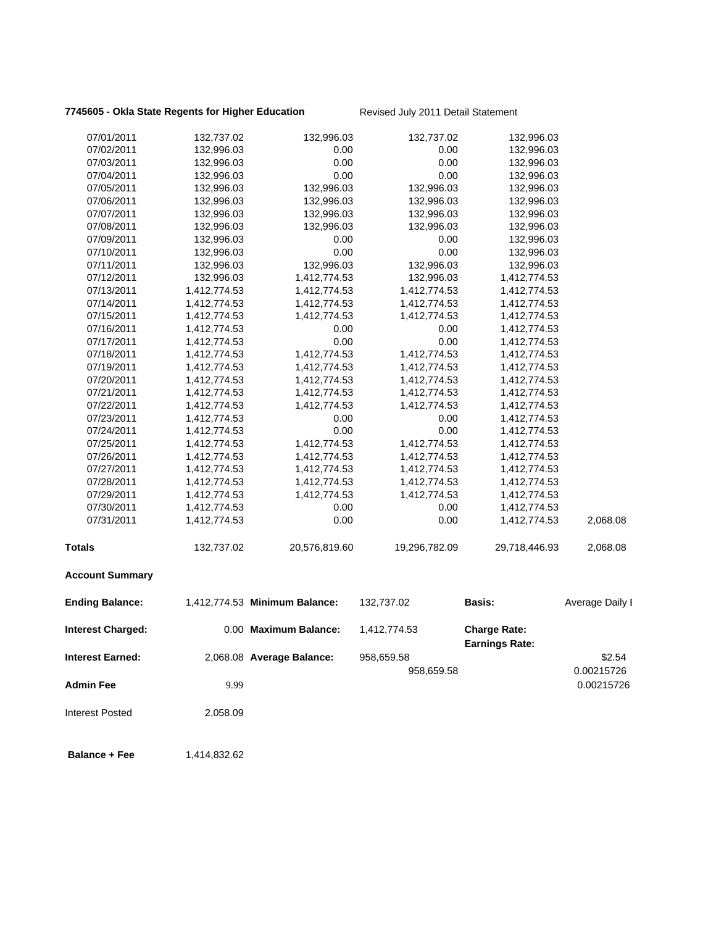# **7745605 - Okla State Regents for Higher Education** Revised July 2011 Detail Statement

| 07/01/2011              | 132,737.02   | 132,996.03                    | 132,737.02    | 132,996.03                                   |                 |
|-------------------------|--------------|-------------------------------|---------------|----------------------------------------------|-----------------|
| 07/02/2011              | 132,996.03   | 0.00                          | 0.00          | 132,996.03                                   |                 |
| 07/03/2011              | 132,996.03   | 0.00                          | 0.00          | 132,996.03                                   |                 |
| 07/04/2011              | 132,996.03   | 0.00                          | 0.00          | 132,996.03                                   |                 |
| 07/05/2011              | 132,996.03   | 132,996.03                    | 132,996.03    | 132,996.03                                   |                 |
| 07/06/2011              | 132,996.03   | 132,996.03                    | 132,996.03    | 132,996.03                                   |                 |
| 07/07/2011              | 132,996.03   | 132,996.03                    | 132,996.03    | 132,996.03                                   |                 |
| 07/08/2011              | 132,996.03   | 132,996.03                    | 132,996.03    | 132,996.03                                   |                 |
| 07/09/2011              | 132,996.03   | 0.00                          | 0.00          | 132,996.03                                   |                 |
| 07/10/2011              | 132,996.03   | 0.00                          | 0.00          | 132,996.03                                   |                 |
| 07/11/2011              | 132,996.03   | 132,996.03                    | 132,996.03    | 132,996.03                                   |                 |
| 07/12/2011              | 132,996.03   | 1,412,774.53                  | 132,996.03    | 1,412,774.53                                 |                 |
| 07/13/2011              | 1,412,774.53 | 1,412,774.53                  | 1,412,774.53  | 1,412,774.53                                 |                 |
| 07/14/2011              | 1,412,774.53 | 1,412,774.53                  | 1,412,774.53  | 1,412,774.53                                 |                 |
| 07/15/2011              | 1,412,774.53 | 1,412,774.53                  | 1,412,774.53  | 1,412,774.53                                 |                 |
| 07/16/2011              | 1,412,774.53 | 0.00                          | 0.00          | 1,412,774.53                                 |                 |
| 07/17/2011              | 1,412,774.53 | 0.00                          | 0.00          | 1,412,774.53                                 |                 |
| 07/18/2011              | 1,412,774.53 | 1,412,774.53                  | 1,412,774.53  | 1,412,774.53                                 |                 |
| 07/19/2011              | 1,412,774.53 | 1,412,774.53                  | 1,412,774.53  | 1,412,774.53                                 |                 |
| 07/20/2011              | 1,412,774.53 | 1,412,774.53                  | 1,412,774.53  | 1,412,774.53                                 |                 |
| 07/21/2011              | 1,412,774.53 | 1,412,774.53                  | 1,412,774.53  | 1,412,774.53                                 |                 |
| 07/22/2011              | 1,412,774.53 | 1,412,774.53                  | 1,412,774.53  | 1,412,774.53                                 |                 |
| 07/23/2011              | 1,412,774.53 | 0.00                          | 0.00          | 1,412,774.53                                 |                 |
| 07/24/2011              | 1,412,774.53 | 0.00                          | 0.00          | 1,412,774.53                                 |                 |
| 07/25/2011              | 1,412,774.53 | 1,412,774.53                  | 1,412,774.53  | 1,412,774.53                                 |                 |
| 07/26/2011              | 1,412,774.53 | 1,412,774.53                  | 1,412,774.53  | 1,412,774.53                                 |                 |
| 07/27/2011              | 1,412,774.53 | 1,412,774.53                  | 1,412,774.53  | 1,412,774.53                                 |                 |
| 07/28/2011              | 1,412,774.53 | 1,412,774.53                  | 1,412,774.53  | 1,412,774.53                                 |                 |
| 07/29/2011              | 1,412,774.53 | 1,412,774.53                  | 1,412,774.53  | 1,412,774.53                                 |                 |
| 07/30/2011              | 1,412,774.53 | 0.00                          | 0.00          | 1,412,774.53                                 |                 |
| 07/31/2011              | 1,412,774.53 | 0.00                          | 0.00          | 1,412,774.53                                 | 2,068.08        |
| <b>Totals</b>           | 132,737.02   | 20,576,819.60                 | 19,296,782.09 | 29,718,446.93                                | 2,068.08        |
| <b>Account Summary</b>  |              |                               |               |                                              |                 |
| <b>Ending Balance:</b>  |              | 1,412,774.53 Minimum Balance: | 132,737.02    | <b>Basis:</b>                                | Average Daily I |
| Interest Charged:       |              | 0.00 Maximum Balance:         | 1,412,774.53  | <b>Charge Rate:</b><br><b>Earnings Rate:</b> |                 |
| <b>Interest Earned:</b> |              | 2,068.08 Average Balance:     | 958,659.58    |                                              | \$2.54          |
|                         |              |                               | 958,659.58    |                                              | 0.00215726      |
|                         |              |                               |               |                                              |                 |
| <b>Admin Fee</b>        | 9.99         |                               |               |                                              | 0.00215726      |
| <b>Interest Posted</b>  | 2,058.09     |                               |               |                                              |                 |
|                         |              |                               |               |                                              |                 |

**Balance + Fee** 1,414,832.62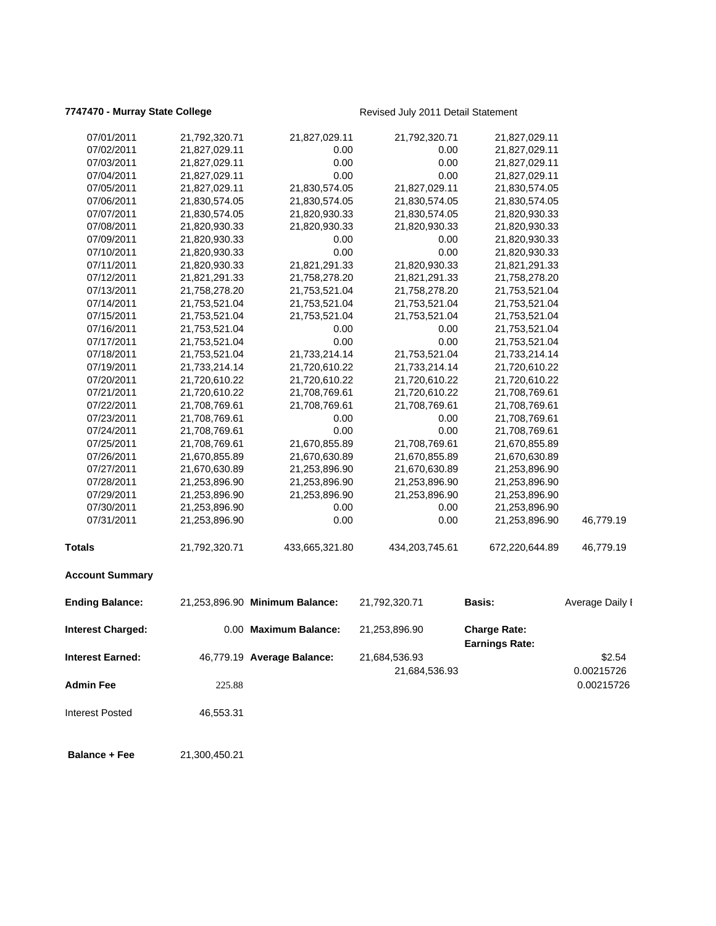## **7747470 - Murray State College Revised July 2011 Detail Statement**

| 07/01/2011              | 21,792,320.71 | 21,827,029.11                  | 21,792,320.71  | 21,827,029.11                                |                 |
|-------------------------|---------------|--------------------------------|----------------|----------------------------------------------|-----------------|
| 07/02/2011              | 21,827,029.11 | 0.00                           | 0.00           | 21,827,029.11                                |                 |
| 07/03/2011              | 21,827,029.11 | 0.00                           | 0.00           | 21,827,029.11                                |                 |
| 07/04/2011              | 21,827,029.11 | 0.00                           | 0.00           | 21,827,029.11                                |                 |
| 07/05/2011              | 21,827,029.11 | 21,830,574.05                  | 21,827,029.11  | 21,830,574.05                                |                 |
| 07/06/2011              | 21,830,574.05 | 21,830,574.05                  | 21,830,574.05  | 21,830,574.05                                |                 |
| 07/07/2011              | 21,830,574.05 | 21,820,930.33                  | 21,830,574.05  | 21,820,930.33                                |                 |
| 07/08/2011              | 21,820,930.33 | 21,820,930.33                  | 21,820,930.33  | 21,820,930.33                                |                 |
| 07/09/2011              | 21,820,930.33 | 0.00                           | 0.00           | 21,820,930.33                                |                 |
| 07/10/2011              | 21,820,930.33 | 0.00                           | 0.00           | 21,820,930.33                                |                 |
| 07/11/2011              | 21,820,930.33 | 21,821,291.33                  | 21,820,930.33  | 21,821,291.33                                |                 |
| 07/12/2011              | 21,821,291.33 | 21,758,278.20                  | 21,821,291.33  | 21,758,278.20                                |                 |
| 07/13/2011              | 21,758,278.20 | 21,753,521.04                  | 21,758,278.20  | 21,753,521.04                                |                 |
| 07/14/2011              | 21,753,521.04 | 21,753,521.04                  | 21,753,521.04  | 21,753,521.04                                |                 |
| 07/15/2011              | 21,753,521.04 | 21,753,521.04                  | 21,753,521.04  | 21,753,521.04                                |                 |
| 07/16/2011              | 21,753,521.04 | 0.00                           | 0.00           | 21,753,521.04                                |                 |
| 07/17/2011              | 21,753,521.04 | 0.00                           | 0.00           | 21,753,521.04                                |                 |
| 07/18/2011              | 21,753,521.04 | 21,733,214.14                  | 21,753,521.04  | 21,733,214.14                                |                 |
| 07/19/2011              | 21,733,214.14 | 21,720,610.22                  | 21,733,214.14  | 21,720,610.22                                |                 |
| 07/20/2011              | 21,720,610.22 | 21,720,610.22                  | 21,720,610.22  | 21,720,610.22                                |                 |
| 07/21/2011              | 21,720,610.22 | 21,708,769.61                  | 21,720,610.22  | 21,708,769.61                                |                 |
| 07/22/2011              | 21,708,769.61 | 21,708,769.61                  | 21,708,769.61  | 21,708,769.61                                |                 |
| 07/23/2011              | 21,708,769.61 | 0.00                           | 0.00           | 21,708,769.61                                |                 |
| 07/24/2011              | 21,708,769.61 | 0.00                           | 0.00           | 21,708,769.61                                |                 |
| 07/25/2011              | 21,708,769.61 | 21,670,855.89                  | 21,708,769.61  | 21,670,855.89                                |                 |
| 07/26/2011              | 21,670,855.89 | 21,670,630.89                  | 21,670,855.89  | 21,670,630.89                                |                 |
| 07/27/2011              | 21,670,630.89 | 21,253,896.90                  | 21,670,630.89  | 21,253,896.90                                |                 |
| 07/28/2011              | 21,253,896.90 | 21,253,896.90                  | 21,253,896.90  | 21,253,896.90                                |                 |
| 07/29/2011              | 21,253,896.90 | 21,253,896.90                  | 21,253,896.90  | 21,253,896.90                                |                 |
| 07/30/2011              | 21,253,896.90 | 0.00                           | 0.00           | 21,253,896.90                                |                 |
| 07/31/2011              | 21,253,896.90 | 0.00                           | 0.00           | 21,253,896.90                                | 46,779.19       |
| <b>Totals</b>           | 21,792,320.71 | 433,665,321.80                 | 434,203,745.61 | 672,220,644.89                               | 46,779.19       |
| <b>Account Summary</b>  |               |                                |                |                                              |                 |
| <b>Ending Balance:</b>  |               | 21,253,896.90 Minimum Balance: | 21,792,320.71  | <b>Basis:</b>                                | Average Daily I |
| Interest Charged:       |               | 0.00 Maximum Balance:          | 21,253,896.90  | <b>Charge Rate:</b><br><b>Earnings Rate:</b> |                 |
| <b>Interest Earned:</b> |               | 46,779.19 Average Balance:     | 21,684,536.93  |                                              | \$2.54          |
|                         |               |                                | 21,684,536.93  |                                              | 0.00215726      |
| <b>Admin Fee</b>        |               |                                |                |                                              |                 |
|                         | 225.88        |                                |                |                                              | 0.00215726      |
| <b>Interest Posted</b>  | 46,553.31     |                                |                |                                              |                 |
| <b>Balance + Fee</b>    | 21,300,450.21 |                                |                |                                              |                 |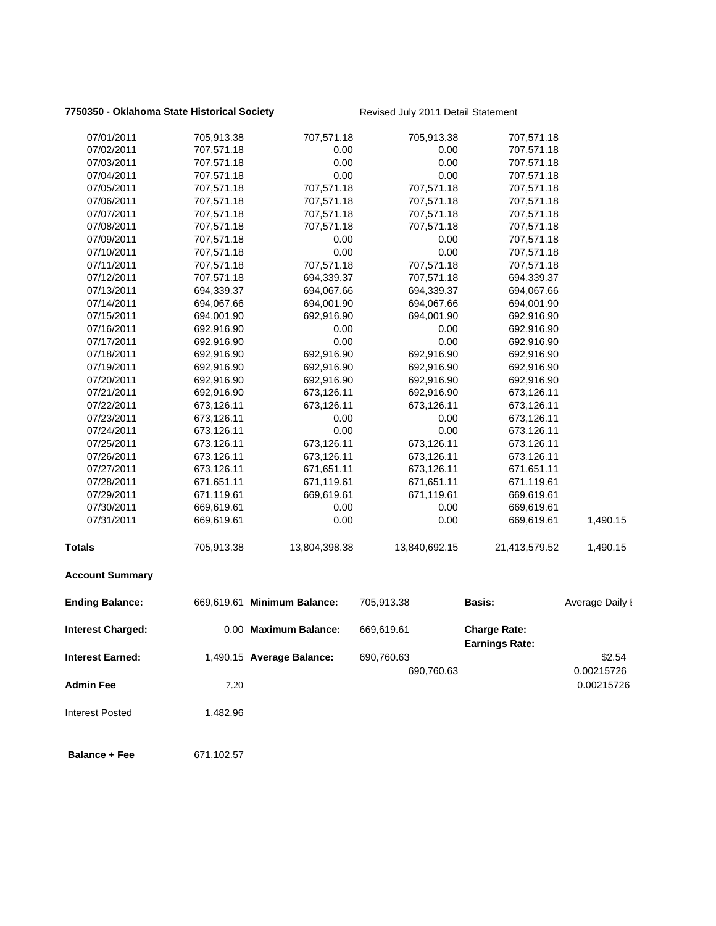## **7750350 - Oklahoma State Historical Society** Revised July 2011 Detail Statement

| 07/01/2011              | 705,913.38 | 707,571.18                  | 705,913.38    | 707,571.18                                   |                 |
|-------------------------|------------|-----------------------------|---------------|----------------------------------------------|-----------------|
| 07/02/2011              | 707,571.18 | 0.00                        | 0.00          | 707,571.18                                   |                 |
| 07/03/2011              | 707,571.18 | 0.00                        | 0.00          | 707,571.18                                   |                 |
| 07/04/2011              | 707,571.18 | 0.00                        | 0.00          | 707,571.18                                   |                 |
| 07/05/2011              | 707,571.18 | 707,571.18                  | 707,571.18    | 707,571.18                                   |                 |
| 07/06/2011              | 707,571.18 | 707,571.18                  | 707,571.18    | 707,571.18                                   |                 |
| 07/07/2011              | 707,571.18 | 707,571.18                  | 707,571.18    | 707,571.18                                   |                 |
| 07/08/2011              | 707,571.18 | 707,571.18                  | 707,571.18    | 707,571.18                                   |                 |
| 07/09/2011              | 707,571.18 | 0.00                        | 0.00          | 707,571.18                                   |                 |
| 07/10/2011              | 707,571.18 | 0.00                        | 0.00          | 707,571.18                                   |                 |
| 07/11/2011              | 707,571.18 | 707,571.18                  | 707,571.18    | 707,571.18                                   |                 |
| 07/12/2011              | 707,571.18 | 694,339.37                  | 707,571.18    | 694,339.37                                   |                 |
| 07/13/2011              | 694,339.37 | 694,067.66                  | 694,339.37    | 694,067.66                                   |                 |
| 07/14/2011              | 694,067.66 | 694,001.90                  | 694,067.66    | 694,001.90                                   |                 |
| 07/15/2011              | 694,001.90 | 692,916.90                  | 694,001.90    | 692,916.90                                   |                 |
| 07/16/2011              | 692,916.90 | 0.00                        | 0.00          | 692,916.90                                   |                 |
| 07/17/2011              | 692,916.90 | 0.00                        | 0.00          | 692,916.90                                   |                 |
| 07/18/2011              | 692,916.90 | 692,916.90                  | 692,916.90    | 692,916.90                                   |                 |
| 07/19/2011              | 692,916.90 | 692,916.90                  | 692,916.90    | 692,916.90                                   |                 |
| 07/20/2011              | 692,916.90 | 692,916.90                  | 692,916.90    | 692,916.90                                   |                 |
| 07/21/2011              | 692,916.90 | 673,126.11                  | 692,916.90    | 673,126.11                                   |                 |
| 07/22/2011              | 673,126.11 | 673,126.11                  | 673,126.11    | 673,126.11                                   |                 |
| 07/23/2011              | 673,126.11 | 0.00                        | 0.00          | 673,126.11                                   |                 |
| 07/24/2011              | 673,126.11 | 0.00                        | 0.00          | 673,126.11                                   |                 |
| 07/25/2011              | 673,126.11 | 673,126.11                  | 673,126.11    | 673,126.11                                   |                 |
| 07/26/2011              | 673,126.11 | 673,126.11                  | 673,126.11    | 673,126.11                                   |                 |
| 07/27/2011              | 673,126.11 | 671,651.11                  | 673,126.11    | 671,651.11                                   |                 |
| 07/28/2011              | 671,651.11 | 671,119.61                  | 671,651.11    | 671,119.61                                   |                 |
| 07/29/2011              | 671,119.61 | 669,619.61                  | 671,119.61    | 669,619.61                                   |                 |
| 07/30/2011              | 669,619.61 | 0.00                        | 0.00          | 669,619.61                                   |                 |
| 07/31/2011              | 669,619.61 | 0.00                        | 0.00          | 669,619.61                                   | 1,490.15        |
| <b>Totals</b>           | 705,913.38 | 13,804,398.38               | 13,840,692.15 | 21,413,579.52                                | 1,490.15        |
| <b>Account Summary</b>  |            |                             |               |                                              |                 |
| <b>Ending Balance:</b>  |            | 669,619.61 Minimum Balance: | 705,913.38    | <b>Basis:</b>                                | Average Daily I |
| Interest Charged:       |            | 0.00 Maximum Balance:       | 669,619.61    | <b>Charge Rate:</b><br><b>Earnings Rate:</b> |                 |
| <b>Interest Earned:</b> |            | 1,490.15 Average Balance:   | 690,760.63    |                                              | \$2.54          |
|                         |            |                             | 690,760.63    |                                              | 0.00215726      |
| <b>Admin Fee</b>        | 7.20       |                             |               |                                              | 0.00215726      |
| <b>Interest Posted</b>  | 1,482.96   |                             |               |                                              |                 |
| <b>Balance + Fee</b>    | 671,102.57 |                             |               |                                              |                 |
|                         |            |                             |               |                                              |                 |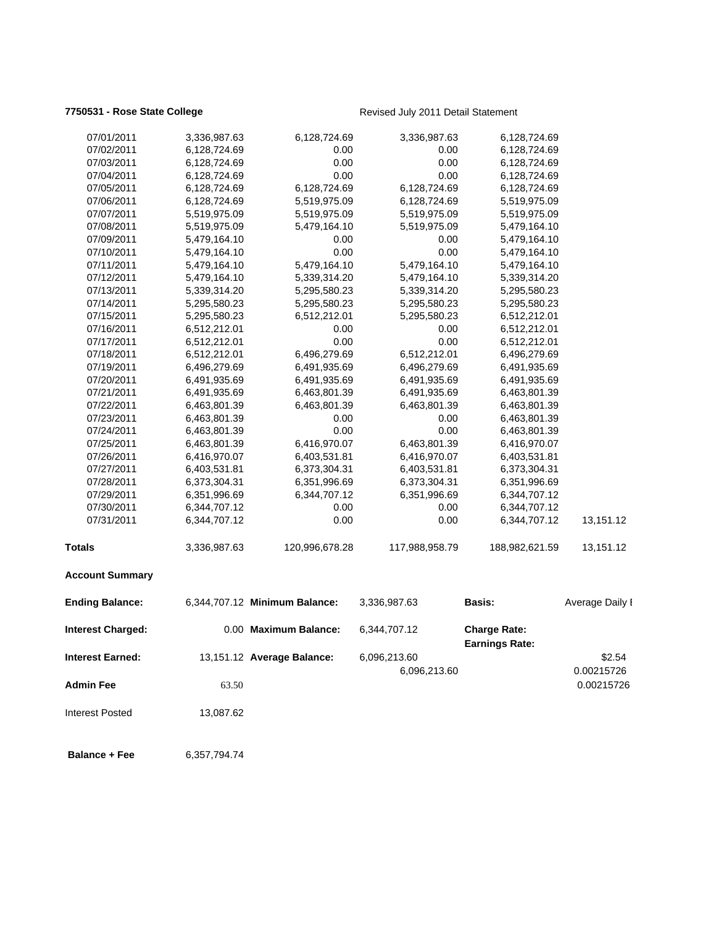## **7750531 - Rose State College** Revised July 2011 Detail Statement

| 07/01/2011               | 3,336,987.63 | 6,128,724.69                  | 3,336,987.63                 | 6,128,724.69                                 |                      |
|--------------------------|--------------|-------------------------------|------------------------------|----------------------------------------------|----------------------|
| 07/02/2011               | 6,128,724.69 | 0.00                          | 0.00                         | 6,128,724.69                                 |                      |
| 07/03/2011               | 6,128,724.69 | 0.00                          | 0.00                         | 6,128,724.69                                 |                      |
| 07/04/2011               | 6,128,724.69 | 0.00                          | 0.00                         | 6,128,724.69                                 |                      |
| 07/05/2011               | 6,128,724.69 | 6,128,724.69                  | 6,128,724.69                 | 6,128,724.69                                 |                      |
| 07/06/2011               | 6,128,724.69 | 5,519,975.09                  | 6,128,724.69                 | 5,519,975.09                                 |                      |
| 07/07/2011               | 5,519,975.09 | 5,519,975.09                  | 5,519,975.09                 | 5,519,975.09                                 |                      |
| 07/08/2011               | 5,519,975.09 | 5,479,164.10                  | 5,519,975.09                 | 5,479,164.10                                 |                      |
| 07/09/2011               | 5,479,164.10 | 0.00                          | 0.00                         | 5,479,164.10                                 |                      |
| 07/10/2011               | 5,479,164.10 | 0.00                          | 0.00                         | 5,479,164.10                                 |                      |
| 07/11/2011               | 5,479,164.10 | 5,479,164.10                  | 5,479,164.10                 | 5,479,164.10                                 |                      |
| 07/12/2011               | 5,479,164.10 | 5,339,314.20                  | 5,479,164.10                 | 5,339,314.20                                 |                      |
| 07/13/2011               | 5,339,314.20 | 5,295,580.23                  | 5,339,314.20                 | 5,295,580.23                                 |                      |
| 07/14/2011               | 5,295,580.23 | 5,295,580.23                  | 5,295,580.23                 | 5,295,580.23                                 |                      |
| 07/15/2011               | 5,295,580.23 | 6,512,212.01                  | 5,295,580.23                 | 6,512,212.01                                 |                      |
| 07/16/2011               | 6,512,212.01 | 0.00                          | 0.00                         | 6,512,212.01                                 |                      |
| 07/17/2011               | 6,512,212.01 | 0.00                          | 0.00                         | 6,512,212.01                                 |                      |
| 07/18/2011               | 6,512,212.01 | 6,496,279.69                  | 6,512,212.01                 | 6,496,279.69                                 |                      |
| 07/19/2011               | 6,496,279.69 | 6,491,935.69                  | 6,496,279.69                 | 6,491,935.69                                 |                      |
| 07/20/2011               | 6,491,935.69 | 6,491,935.69                  | 6,491,935.69                 | 6,491,935.69                                 |                      |
| 07/21/2011               | 6,491,935.69 | 6,463,801.39                  | 6,491,935.69                 | 6,463,801.39                                 |                      |
| 07/22/2011               | 6,463,801.39 | 6,463,801.39                  | 6,463,801.39                 | 6,463,801.39                                 |                      |
| 07/23/2011               | 6,463,801.39 | 0.00                          | 0.00                         | 6,463,801.39                                 |                      |
| 07/24/2011               | 6,463,801.39 | 0.00                          | 0.00                         | 6,463,801.39                                 |                      |
| 07/25/2011               | 6,463,801.39 | 6,416,970.07                  | 6,463,801.39                 | 6,416,970.07                                 |                      |
| 07/26/2011               | 6,416,970.07 | 6,403,531.81                  | 6,416,970.07                 | 6,403,531.81                                 |                      |
| 07/27/2011               | 6,403,531.81 | 6,373,304.31                  | 6,403,531.81                 | 6,373,304.31                                 |                      |
| 07/28/2011               | 6,373,304.31 | 6,351,996.69                  | 6,373,304.31                 | 6,351,996.69                                 |                      |
| 07/29/2011               | 6,351,996.69 | 6,344,707.12                  | 6,351,996.69                 | 6,344,707.12                                 |                      |
| 07/30/2011               | 6,344,707.12 | 0.00                          | 0.00                         | 6,344,707.12                                 |                      |
| 07/31/2011               | 6,344,707.12 | 0.00                          | 0.00                         | 6,344,707.12                                 | 13,151.12            |
| Totals                   | 3,336,987.63 | 120,996,678.28                | 117,988,958.79               | 188,982,621.59                               | 13,151.12            |
| <b>Account Summary</b>   |              |                               |                              |                                              |                      |
| <b>Ending Balance:</b>   |              | 6,344,707.12 Minimum Balance: | 3,336,987.63                 | <b>Basis:</b>                                | Average Daily I      |
| <b>Interest Charged:</b> |              | 0.00 Maximum Balance:         | 6,344,707.12                 | <b>Charge Rate:</b><br><b>Earnings Rate:</b> |                      |
| <b>Interest Earned:</b>  |              | 13,151.12 Average Balance:    | 6,096,213.60<br>6,096,213.60 |                                              | \$2.54<br>0.00215726 |
| <b>Admin Fee</b>         | 63.50        |                               |                              |                                              | 0.00215726           |
| Interest Posted          | 13,087.62    |                               |                              |                                              |                      |
| <b>Balance + Fee</b>     | 6,357,794.74 |                               |                              |                                              |                      |
|                          |              |                               |                              |                                              |                      |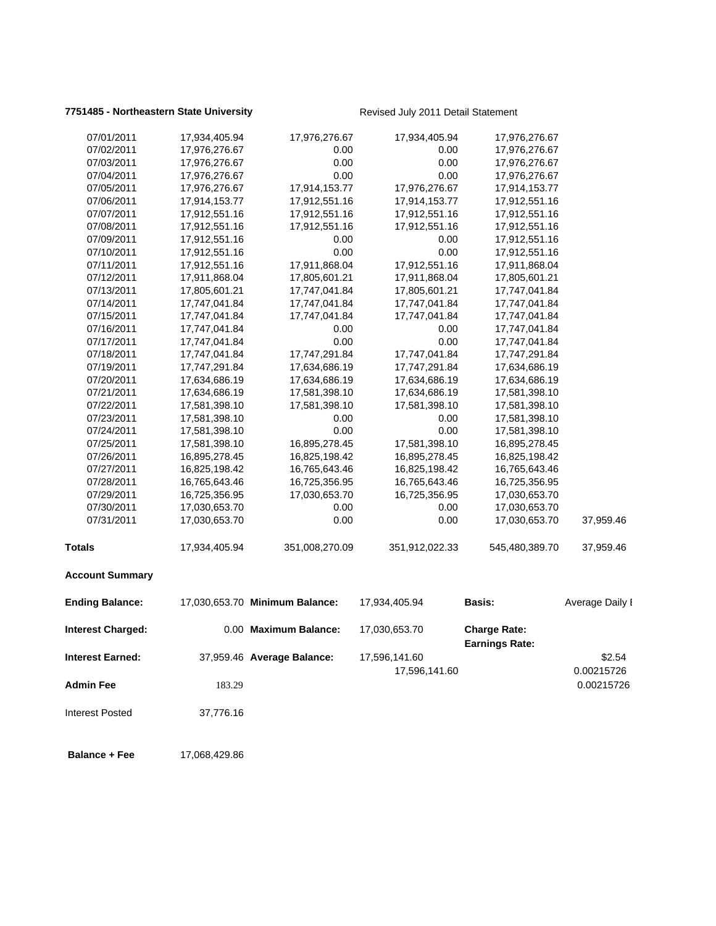## **7751485 - Northeastern State University** Revised July 2011 Detail Statement

| 07/01/2011               | 17,934,405.94 | 17,976,276.67                  | 17,934,405.94  |                                              |                 |
|--------------------------|---------------|--------------------------------|----------------|----------------------------------------------|-----------------|
| 07/02/2011               | 17,976,276.67 | 0.00                           | 0.00           | 17,976,276.67<br>17,976,276.67               |                 |
| 07/03/2011               | 17,976,276.67 | 0.00                           | 0.00           | 17,976,276.67                                |                 |
| 07/04/2011               | 17,976,276.67 | 0.00                           | 0.00           | 17,976,276.67                                |                 |
| 07/05/2011               | 17,976,276.67 | 17,914,153.77                  | 17,976,276.67  | 17,914,153.77                                |                 |
| 07/06/2011               | 17,914,153.77 | 17,912,551.16                  | 17,914,153.77  | 17,912,551.16                                |                 |
| 07/07/2011               | 17,912,551.16 | 17,912,551.16                  | 17,912,551.16  | 17,912,551.16                                |                 |
| 07/08/2011               | 17,912,551.16 | 17,912,551.16                  | 17,912,551.16  | 17,912,551.16                                |                 |
| 07/09/2011               | 17,912,551.16 | 0.00                           | 0.00           | 17,912,551.16                                |                 |
| 07/10/2011               | 17,912,551.16 | 0.00                           | 0.00           | 17,912,551.16                                |                 |
| 07/11/2011               | 17,912,551.16 | 17,911,868.04                  | 17,912,551.16  | 17,911,868.04                                |                 |
| 07/12/2011               | 17,911,868.04 | 17,805,601.21                  | 17,911,868.04  | 17,805,601.21                                |                 |
| 07/13/2011               | 17,805,601.21 | 17,747,041.84                  | 17,805,601.21  | 17,747,041.84                                |                 |
| 07/14/2011               | 17,747,041.84 | 17,747,041.84                  | 17,747,041.84  | 17,747,041.84                                |                 |
| 07/15/2011               | 17,747,041.84 | 17,747,041.84                  | 17,747,041.84  | 17,747,041.84                                |                 |
| 07/16/2011               | 17,747,041.84 | 0.00                           | 0.00           | 17,747,041.84                                |                 |
| 07/17/2011               | 17,747,041.84 | 0.00                           | 0.00           | 17,747,041.84                                |                 |
| 07/18/2011               | 17,747,041.84 | 17,747,291.84                  | 17,747,041.84  | 17,747,291.84                                |                 |
| 07/19/2011               | 17,747,291.84 | 17,634,686.19                  | 17,747,291.84  | 17,634,686.19                                |                 |
| 07/20/2011               | 17,634,686.19 | 17,634,686.19                  | 17,634,686.19  | 17,634,686.19                                |                 |
| 07/21/2011               | 17,634,686.19 | 17,581,398.10                  | 17,634,686.19  | 17,581,398.10                                |                 |
| 07/22/2011               | 17,581,398.10 | 17,581,398.10                  | 17,581,398.10  | 17,581,398.10                                |                 |
| 07/23/2011               | 17,581,398.10 | 0.00                           | 0.00           | 17,581,398.10                                |                 |
| 07/24/2011               | 17,581,398.10 | 0.00                           | 0.00           | 17,581,398.10                                |                 |
| 07/25/2011               | 17,581,398.10 | 16,895,278.45                  | 17,581,398.10  | 16,895,278.45                                |                 |
| 07/26/2011               | 16,895,278.45 | 16,825,198.42                  | 16,895,278.45  | 16,825,198.42                                |                 |
| 07/27/2011               | 16,825,198.42 | 16,765,643.46                  | 16,825,198.42  | 16,765,643.46                                |                 |
| 07/28/2011               | 16,765,643.46 | 16,725,356.95                  | 16,765,643.46  | 16,725,356.95                                |                 |
| 07/29/2011               | 16,725,356.95 | 17,030,653.70                  | 16,725,356.95  | 17,030,653.70                                |                 |
| 07/30/2011               | 17,030,653.70 | 0.00                           | 0.00           | 17,030,653.70                                |                 |
| 07/31/2011               | 17,030,653.70 | 0.00                           | 0.00           | 17,030,653.70                                | 37,959.46       |
|                          |               |                                |                |                                              |                 |
| <b>Totals</b>            | 17,934,405.94 | 351,008,270.09                 | 351,912,022.33 | 545,480,389.70                               | 37,959.46       |
| <b>Account Summary</b>   |               |                                |                |                                              |                 |
| <b>Ending Balance:</b>   |               | 17,030,653.70 Minimum Balance: | 17,934,405.94  | <b>Basis:</b>                                | Average Daily I |
| <b>Interest Charged:</b> |               | 0.00 Maximum Balance:          | 17,030,653.70  | <b>Charge Rate:</b><br><b>Earnings Rate:</b> |                 |
| <b>Interest Earned:</b>  |               | 37,959.46 Average Balance:     | 17,596,141.60  |                                              | \$2.54          |
|                          |               |                                | 17,596,141.60  |                                              | 0.00215726      |
|                          |               |                                |                |                                              |                 |
| <b>Admin Fee</b>         | 183.29        |                                |                |                                              | 0.00215726      |
| <b>Interest Posted</b>   | 37,776.16     |                                |                |                                              |                 |
| <b>Balance + Fee</b>     | 17,068,429.86 |                                |                |                                              |                 |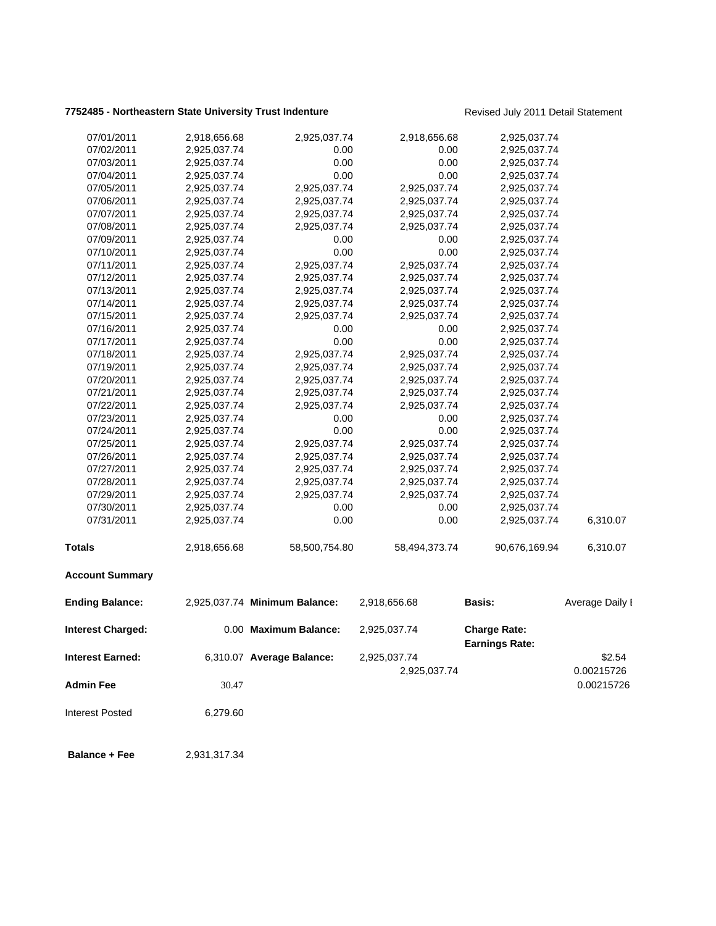## **7752485 - Northeastern State University Trust Indenture** Revised July 2011 Detail Statement

| 07/01/2011               | 2,918,656.68 | 2,925,037.74                  | 2,918,656.68  | 2,925,037.74                                 |                 |
|--------------------------|--------------|-------------------------------|---------------|----------------------------------------------|-----------------|
| 07/02/2011               | 2,925,037.74 | 0.00                          | 0.00          | 2,925,037.74                                 |                 |
| 07/03/2011               | 2,925,037.74 | 0.00                          | 0.00          | 2,925,037.74                                 |                 |
| 07/04/2011               | 2,925,037.74 | 0.00                          | 0.00          | 2,925,037.74                                 |                 |
| 07/05/2011               | 2,925,037.74 | 2,925,037.74                  | 2,925,037.74  | 2,925,037.74                                 |                 |
| 07/06/2011               | 2,925,037.74 | 2,925,037.74                  | 2,925,037.74  | 2,925,037.74                                 |                 |
| 07/07/2011               | 2,925,037.74 | 2,925,037.74                  | 2,925,037.74  | 2,925,037.74                                 |                 |
| 07/08/2011               | 2,925,037.74 | 2,925,037.74                  | 2,925,037.74  | 2,925,037.74                                 |                 |
| 07/09/2011               | 2,925,037.74 | 0.00                          | 0.00          | 2,925,037.74                                 |                 |
| 07/10/2011               | 2,925,037.74 | 0.00                          | 0.00          | 2,925,037.74                                 |                 |
| 07/11/2011               | 2,925,037.74 | 2,925,037.74                  | 2,925,037.74  | 2,925,037.74                                 |                 |
| 07/12/2011               | 2,925,037.74 | 2,925,037.74                  | 2,925,037.74  | 2,925,037.74                                 |                 |
| 07/13/2011               | 2,925,037.74 | 2,925,037.74                  | 2,925,037.74  | 2,925,037.74                                 |                 |
| 07/14/2011               | 2,925,037.74 | 2,925,037.74                  | 2,925,037.74  | 2,925,037.74                                 |                 |
| 07/15/2011               | 2,925,037.74 | 2,925,037.74                  | 2,925,037.74  | 2,925,037.74                                 |                 |
| 07/16/2011               | 2,925,037.74 | 0.00                          | 0.00          | 2,925,037.74                                 |                 |
| 07/17/2011               | 2,925,037.74 | 0.00                          | 0.00          | 2,925,037.74                                 |                 |
| 07/18/2011               | 2,925,037.74 | 2,925,037.74                  | 2,925,037.74  | 2,925,037.74                                 |                 |
| 07/19/2011               | 2,925,037.74 | 2,925,037.74                  | 2,925,037.74  | 2,925,037.74                                 |                 |
| 07/20/2011               | 2,925,037.74 | 2,925,037.74                  | 2,925,037.74  | 2,925,037.74                                 |                 |
| 07/21/2011               | 2,925,037.74 | 2,925,037.74                  | 2,925,037.74  | 2,925,037.74                                 |                 |
| 07/22/2011               | 2,925,037.74 | 2,925,037.74                  | 2,925,037.74  | 2,925,037.74                                 |                 |
| 07/23/2011               | 2,925,037.74 | 0.00                          | 0.00          | 2,925,037.74                                 |                 |
| 07/24/2011               | 2,925,037.74 | 0.00                          | 0.00          | 2,925,037.74                                 |                 |
| 07/25/2011               | 2,925,037.74 | 2,925,037.74                  | 2,925,037.74  | 2,925,037.74                                 |                 |
| 07/26/2011               | 2,925,037.74 | 2,925,037.74                  | 2,925,037.74  | 2,925,037.74                                 |                 |
| 07/27/2011               | 2,925,037.74 | 2,925,037.74                  | 2,925,037.74  | 2,925,037.74                                 |                 |
| 07/28/2011               | 2,925,037.74 | 2,925,037.74                  | 2,925,037.74  | 2,925,037.74                                 |                 |
| 07/29/2011               | 2,925,037.74 | 2,925,037.74                  | 2,925,037.74  | 2,925,037.74                                 |                 |
| 07/30/2011               | 2,925,037.74 | 0.00                          | 0.00          | 2,925,037.74                                 |                 |
| 07/31/2011               | 2,925,037.74 | 0.00                          | 0.00          | 2,925,037.74                                 | 6,310.07        |
| <b>Totals</b>            | 2,918,656.68 | 58,500,754.80                 | 58,494,373.74 | 90,676,169.94                                | 6,310.07        |
| <b>Account Summary</b>   |              |                               |               |                                              |                 |
| <b>Ending Balance:</b>   |              | 2,925,037.74 Minimum Balance: | 2,918,656.68  | <b>Basis:</b>                                | Average Daily I |
| <b>Interest Charged:</b> |              | 0.00 Maximum Balance:         | 2,925,037.74  | <b>Charge Rate:</b><br><b>Earnings Rate:</b> |                 |
| <b>Interest Earned:</b>  |              | 6,310.07 Average Balance:     | 2,925,037.74  |                                              | \$2.54          |
|                          |              |                               | 2,925,037.74  |                                              | 0.00215726      |
| <b>Admin Fee</b>         | 30.47        |                               |               |                                              | 0.00215726      |
|                          |              |                               |               |                                              |                 |
| <b>Interest Posted</b>   | 6,279.60     |                               |               |                                              |                 |
| <b>Balance + Fee</b>     | 2,931,317.34 |                               |               |                                              |                 |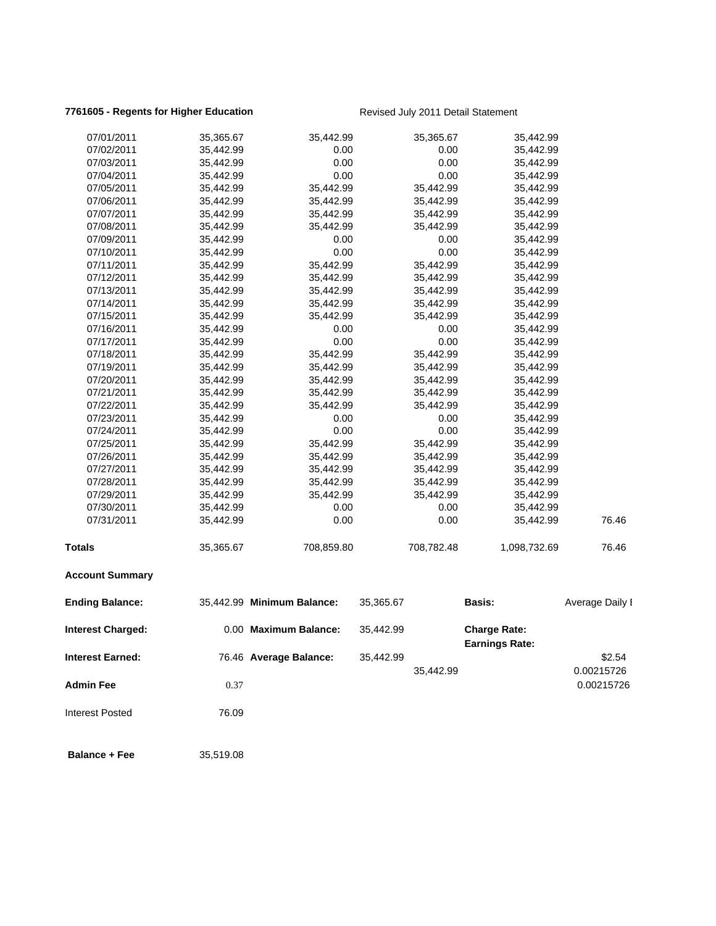## **7761605 - Regents for Higher Education** Revised July 2011 Detail Statement

| 07/01/2011               | 35,365.67 | 35,442.99                  |           | 35,365.67  | 35,442.99                                    |                          |
|--------------------------|-----------|----------------------------|-----------|------------|----------------------------------------------|--------------------------|
| 07/02/2011               | 35,442.99 | 0.00                       |           | 0.00       | 35,442.99                                    |                          |
| 07/03/2011               | 35,442.99 | 0.00                       |           | 0.00       | 35,442.99                                    |                          |
| 07/04/2011               | 35,442.99 | 0.00                       |           | 0.00       | 35,442.99                                    |                          |
| 07/05/2011               | 35,442.99 | 35,442.99                  |           | 35,442.99  | 35,442.99                                    |                          |
| 07/06/2011               | 35,442.99 | 35,442.99                  |           | 35,442.99  | 35,442.99                                    |                          |
| 07/07/2011               | 35,442.99 | 35,442.99                  |           | 35,442.99  | 35,442.99                                    |                          |
| 07/08/2011               | 35,442.99 | 35,442.99                  |           | 35,442.99  | 35,442.99                                    |                          |
| 07/09/2011               | 35,442.99 | 0.00                       |           | 0.00       | 35,442.99                                    |                          |
| 07/10/2011               | 35,442.99 | 0.00                       |           | 0.00       | 35,442.99                                    |                          |
| 07/11/2011               | 35,442.99 | 35,442.99                  |           | 35,442.99  | 35,442.99                                    |                          |
| 07/12/2011               | 35,442.99 | 35,442.99                  |           | 35,442.99  | 35,442.99                                    |                          |
| 07/13/2011               | 35,442.99 | 35,442.99                  |           | 35,442.99  | 35,442.99                                    |                          |
| 07/14/2011               | 35,442.99 | 35,442.99                  |           | 35,442.99  | 35,442.99                                    |                          |
| 07/15/2011               | 35,442.99 | 35,442.99                  |           | 35,442.99  | 35,442.99                                    |                          |
| 07/16/2011               | 35,442.99 | 0.00                       |           | 0.00       | 35,442.99                                    |                          |
| 07/17/2011               | 35,442.99 | 0.00                       |           | 0.00       | 35,442.99                                    |                          |
| 07/18/2011               | 35,442.99 | 35,442.99                  |           | 35,442.99  | 35,442.99                                    |                          |
| 07/19/2011               | 35,442.99 | 35,442.99                  |           | 35,442.99  | 35,442.99                                    |                          |
| 07/20/2011               | 35,442.99 | 35,442.99                  |           | 35,442.99  | 35,442.99                                    |                          |
| 07/21/2011               | 35,442.99 | 35,442.99                  |           | 35,442.99  | 35,442.99                                    |                          |
| 07/22/2011               | 35,442.99 | 35,442.99                  |           | 35,442.99  | 35,442.99                                    |                          |
| 07/23/2011               | 35,442.99 | 0.00                       |           | 0.00       | 35,442.99                                    |                          |
| 07/24/2011               | 35,442.99 | 0.00                       |           | 0.00       | 35,442.99                                    |                          |
| 07/25/2011               | 35,442.99 | 35,442.99                  |           | 35,442.99  | 35,442.99                                    |                          |
| 07/26/2011               | 35,442.99 | 35,442.99                  |           | 35,442.99  | 35,442.99                                    |                          |
| 07/27/2011               | 35,442.99 | 35,442.99                  |           | 35,442.99  | 35,442.99                                    |                          |
| 07/28/2011               | 35,442.99 | 35,442.99                  |           | 35,442.99  | 35,442.99                                    |                          |
| 07/29/2011               | 35,442.99 | 35,442.99                  |           | 35,442.99  | 35,442.99                                    |                          |
| 07/30/2011               | 35,442.99 | 0.00                       |           | 0.00       | 35,442.99                                    |                          |
| 07/31/2011               | 35,442.99 | 0.00                       |           | 0.00       | 35,442.99                                    | 76.46                    |
| <b>Totals</b>            | 35,365.67 | 708,859.80                 |           | 708,782.48 | 1,098,732.69                                 | 76.46                    |
| <b>Account Summary</b>   |           |                            |           |            |                                              |                          |
| <b>Ending Balance:</b>   |           | 35,442.99 Minimum Balance: | 35,365.67 |            | <b>Basis:</b>                                | Average Daily I          |
| <b>Interest Charged:</b> |           | 0.00 Maximum Balance:      | 35,442.99 |            | <b>Charge Rate:</b><br><b>Earnings Rate:</b> |                          |
| <b>Interest Earned:</b>  |           | 76.46 Average Balance:     | 35,442.99 |            |                                              | \$2.54                   |
| Admin Fee                | 0.37      |                            |           | 35,442.99  |                                              | 0.00215726<br>0.00215726 |
| <b>Interest Posted</b>   | 76.09     |                            |           |            |                                              |                          |
| <b>Balance + Fee</b>     | 35,519.08 |                            |           |            |                                              |                          |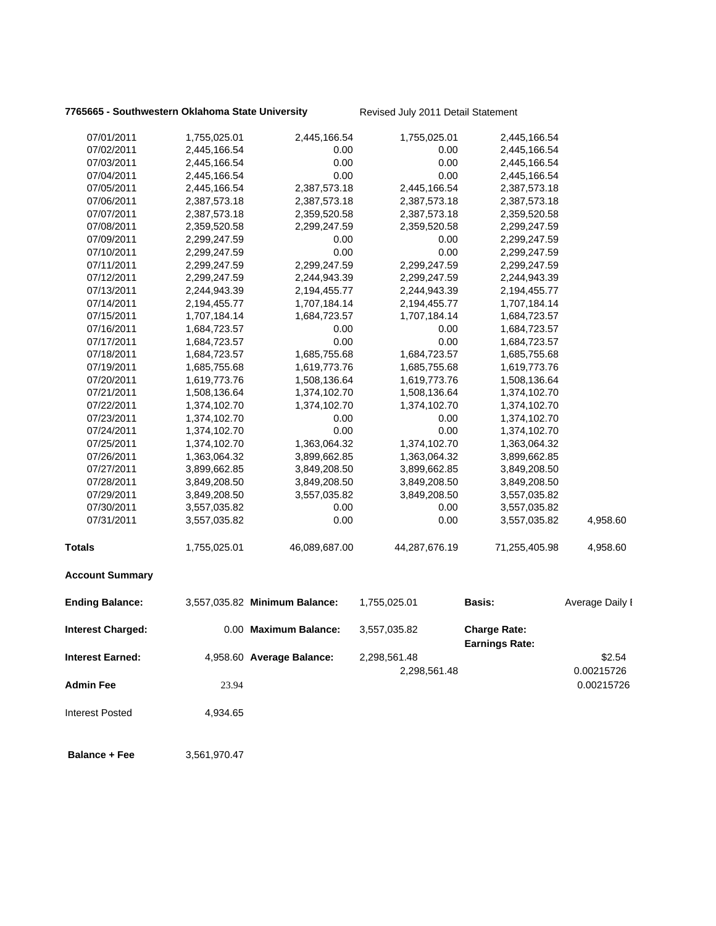## **7765665 - Southwestern Oklahoma State University Revised July 2011 Detail Statement**

| 07/01/2011               | 1,755,025.01 | 2,445,166.54                  | 1,755,025.01  | 2,445,166.54                                 |                          |
|--------------------------|--------------|-------------------------------|---------------|----------------------------------------------|--------------------------|
| 07/02/2011               | 2,445,166.54 | 0.00                          | 0.00          | 2,445,166.54                                 |                          |
| 07/03/2011               | 2,445,166.54 | 0.00                          | 0.00          | 2,445,166.54                                 |                          |
| 07/04/2011               | 2,445,166.54 | 0.00                          | 0.00          | 2,445,166.54                                 |                          |
| 07/05/2011               | 2,445,166.54 | 2,387,573.18                  | 2,445,166.54  | 2,387,573.18                                 |                          |
| 07/06/2011               | 2,387,573.18 | 2,387,573.18                  | 2,387,573.18  | 2,387,573.18                                 |                          |
| 07/07/2011               | 2,387,573.18 | 2,359,520.58                  | 2,387,573.18  | 2,359,520.58                                 |                          |
| 07/08/2011               | 2,359,520.58 | 2,299,247.59                  | 2,359,520.58  | 2,299,247.59                                 |                          |
| 07/09/2011               | 2,299,247.59 | 0.00                          | 0.00          | 2,299,247.59                                 |                          |
| 07/10/2011               | 2,299,247.59 | 0.00                          | 0.00          | 2,299,247.59                                 |                          |
| 07/11/2011               | 2,299,247.59 | 2,299,247.59                  | 2,299,247.59  | 2,299,247.59                                 |                          |
| 07/12/2011               | 2,299,247.59 | 2,244,943.39                  | 2,299,247.59  | 2,244,943.39                                 |                          |
| 07/13/2011               | 2,244,943.39 | 2,194,455.77                  | 2,244,943.39  | 2,194,455.77                                 |                          |
| 07/14/2011               | 2,194,455.77 | 1,707,184.14                  | 2,194,455.77  | 1,707,184.14                                 |                          |
| 07/15/2011               | 1,707,184.14 | 1,684,723.57                  | 1,707,184.14  | 1,684,723.57                                 |                          |
| 07/16/2011               | 1,684,723.57 | 0.00                          | 0.00          | 1,684,723.57                                 |                          |
| 07/17/2011               | 1,684,723.57 | 0.00                          | 0.00          | 1,684,723.57                                 |                          |
| 07/18/2011               | 1,684,723.57 | 1,685,755.68                  | 1,684,723.57  | 1,685,755.68                                 |                          |
| 07/19/2011               | 1,685,755.68 | 1,619,773.76                  | 1,685,755.68  | 1,619,773.76                                 |                          |
| 07/20/2011               | 1,619,773.76 | 1,508,136.64                  | 1,619,773.76  | 1,508,136.64                                 |                          |
| 07/21/2011               | 1,508,136.64 | 1,374,102.70                  | 1,508,136.64  | 1,374,102.70                                 |                          |
| 07/22/2011               | 1,374,102.70 | 1,374,102.70                  | 1,374,102.70  | 1,374,102.70                                 |                          |
| 07/23/2011               | 1,374,102.70 | 0.00                          | 0.00          | 1,374,102.70                                 |                          |
| 07/24/2011               | 1,374,102.70 | 0.00                          | 0.00          | 1,374,102.70                                 |                          |
| 07/25/2011               | 1,374,102.70 | 1,363,064.32                  | 1,374,102.70  | 1,363,064.32                                 |                          |
| 07/26/2011               | 1,363,064.32 | 3,899,662.85                  | 1,363,064.32  | 3,899,662.85                                 |                          |
| 07/27/2011               | 3,899,662.85 | 3,849,208.50                  | 3,899,662.85  | 3,849,208.50                                 |                          |
| 07/28/2011               | 3,849,208.50 | 3,849,208.50                  | 3,849,208.50  | 3,849,208.50                                 |                          |
| 07/29/2011               | 3,849,208.50 | 3,557,035.82                  | 3,849,208.50  | 3,557,035.82                                 |                          |
| 07/30/2011               | 3,557,035.82 | 0.00                          | 0.00          | 3,557,035.82                                 |                          |
| 07/31/2011               | 3,557,035.82 | 0.00                          | 0.00          | 3,557,035.82                                 | 4,958.60                 |
| <b>Totals</b>            | 1,755,025.01 | 46,089,687.00                 | 44,287,676.19 | 71,255,405.98                                | 4,958.60                 |
| <b>Account Summary</b>   |              |                               |               |                                              |                          |
| <b>Ending Balance:</b>   |              | 3,557,035.82 Minimum Balance: | 1,755,025.01  | <b>Basis:</b>                                | Average Daily I          |
| <b>Interest Charged:</b> |              | 0.00 Maximum Balance:         | 3,557,035.82  | <b>Charge Rate:</b><br><b>Earnings Rate:</b> |                          |
| <b>Interest Earned:</b>  |              | 4,958.60 Average Balance:     | 2,298,561.48  |                                              | \$2.54                   |
| <b>Admin Fee</b>         | 23.94        |                               | 2,298,561.48  |                                              | 0.00215726<br>0.00215726 |
| <b>Interest Posted</b>   | 4,934.65     |                               |               |                                              |                          |
| <b>Balance + Fee</b>     | 3,561,970.47 |                               |               |                                              |                          |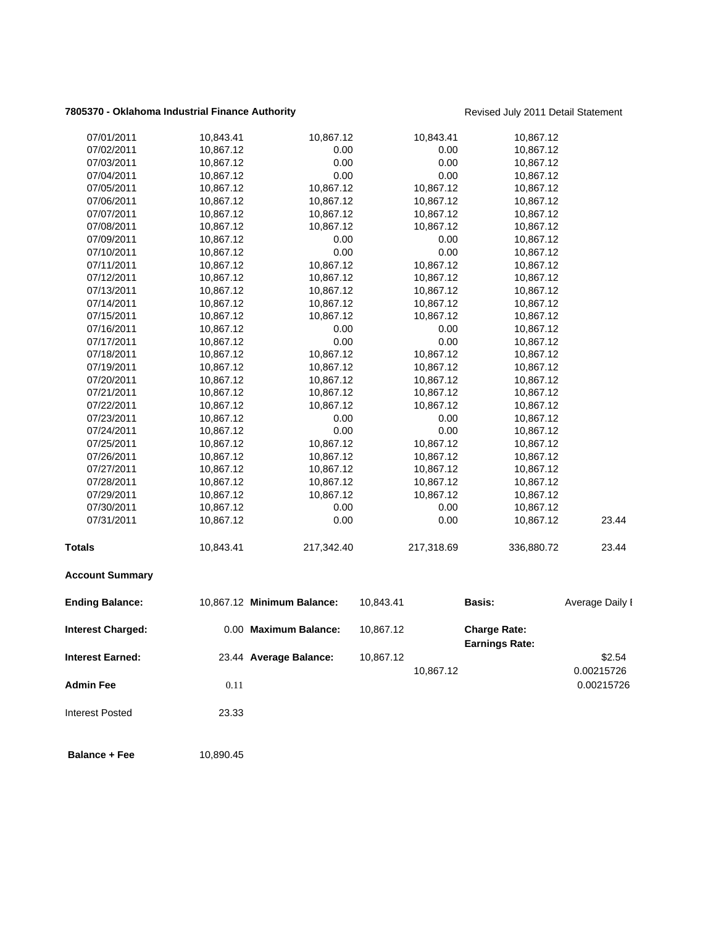## **7805370 - Oklahoma Industrial Finance Authority Revised July 2011 Detail Statement**

| 07/01/2011               | 10,843.41 | 10,867.12                  | 10,843.41  | 10,867.12                                    |                 |
|--------------------------|-----------|----------------------------|------------|----------------------------------------------|-----------------|
| 07/02/2011               | 10,867.12 | 0.00                       | 0.00       | 10,867.12                                    |                 |
| 07/03/2011               | 10,867.12 | 0.00                       | 0.00       | 10,867.12                                    |                 |
| 07/04/2011               | 10,867.12 | 0.00                       | 0.00       | 10,867.12                                    |                 |
| 07/05/2011               | 10,867.12 | 10,867.12                  | 10,867.12  | 10,867.12                                    |                 |
| 07/06/2011               | 10,867.12 | 10,867.12                  | 10,867.12  | 10,867.12                                    |                 |
| 07/07/2011               | 10,867.12 | 10,867.12                  | 10,867.12  | 10,867.12                                    |                 |
| 07/08/2011               | 10,867.12 | 10,867.12                  | 10,867.12  | 10,867.12                                    |                 |
| 07/09/2011               | 10,867.12 | 0.00                       | 0.00       | 10,867.12                                    |                 |
| 07/10/2011               | 10,867.12 | 0.00                       | 0.00       | 10,867.12                                    |                 |
| 07/11/2011               | 10,867.12 | 10,867.12                  | 10,867.12  | 10,867.12                                    |                 |
| 07/12/2011               | 10,867.12 | 10,867.12                  | 10,867.12  | 10,867.12                                    |                 |
| 07/13/2011               | 10,867.12 | 10,867.12                  | 10,867.12  | 10,867.12                                    |                 |
| 07/14/2011               | 10,867.12 | 10,867.12                  | 10,867.12  | 10,867.12                                    |                 |
| 07/15/2011               | 10,867.12 | 10,867.12                  | 10,867.12  | 10,867.12                                    |                 |
| 07/16/2011               | 10,867.12 | 0.00                       | 0.00       | 10,867.12                                    |                 |
| 07/17/2011               | 10,867.12 | 0.00                       | 0.00       | 10,867.12                                    |                 |
| 07/18/2011               | 10,867.12 | 10,867.12                  | 10,867.12  | 10,867.12                                    |                 |
| 07/19/2011               | 10,867.12 | 10,867.12                  | 10,867.12  | 10,867.12                                    |                 |
| 07/20/2011               | 10,867.12 | 10,867.12                  | 10,867.12  | 10,867.12                                    |                 |
| 07/21/2011               | 10,867.12 | 10,867.12                  | 10,867.12  | 10,867.12                                    |                 |
| 07/22/2011               | 10,867.12 | 10,867.12                  | 10,867.12  | 10,867.12                                    |                 |
| 07/23/2011               | 10,867.12 | 0.00                       | 0.00       | 10,867.12                                    |                 |
| 07/24/2011               | 10,867.12 | 0.00                       | 0.00       | 10,867.12                                    |                 |
| 07/25/2011               | 10,867.12 | 10,867.12                  | 10,867.12  | 10,867.12                                    |                 |
| 07/26/2011               | 10,867.12 | 10,867.12                  | 10,867.12  | 10,867.12                                    |                 |
| 07/27/2011               | 10,867.12 | 10,867.12                  | 10,867.12  | 10,867.12                                    |                 |
| 07/28/2011               | 10,867.12 | 10,867.12                  | 10,867.12  | 10,867.12                                    |                 |
| 07/29/2011               | 10,867.12 | 10,867.12                  | 10,867.12  | 10,867.12                                    |                 |
| 07/30/2011               | 10,867.12 | 0.00                       | 0.00       | 10,867.12                                    |                 |
| 07/31/2011               | 10,867.12 | 0.00                       | 0.00       | 10,867.12                                    | 23.44           |
| <b>Totals</b>            | 10,843.41 | 217,342.40                 | 217,318.69 | 336,880.72                                   | 23.44           |
| <b>Account Summary</b>   |           |                            |            |                                              |                 |
| <b>Ending Balance:</b>   |           | 10,867.12 Minimum Balance: | 10,843.41  | <b>Basis:</b>                                | Average Daily I |
| <b>Interest Charged:</b> |           | 0.00 Maximum Balance:      | 10,867.12  | <b>Charge Rate:</b><br><b>Earnings Rate:</b> |                 |
| <b>Interest Earned:</b>  |           | 23.44 Average Balance:     | 10,867.12  |                                              | \$2.54          |
|                          |           |                            |            |                                              |                 |
|                          |           |                            | 10,867.12  |                                              | 0.00215726      |
| <b>Admin Fee</b>         | 0.11      |                            |            |                                              | 0.00215726      |
| <b>Interest Posted</b>   | 23.33     |                            |            |                                              |                 |
|                          |           |                            |            |                                              |                 |

**Balance + Fee** 10,890.45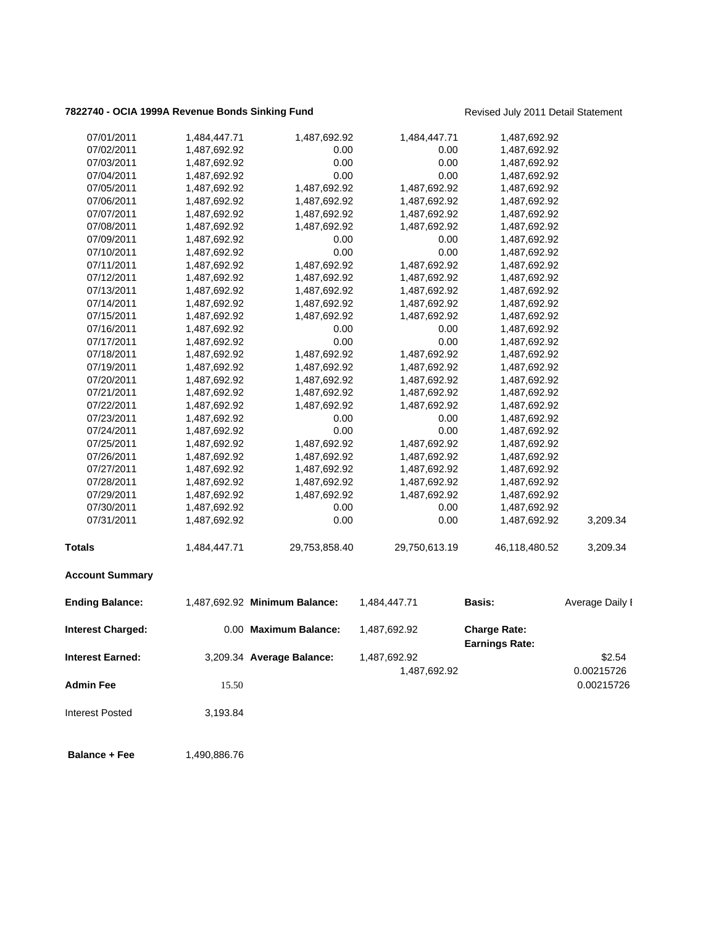## **7822740 - OCIA 1999A Revenue Bonds Sinking Fund** Revised July 2011 Detail Statement

| 07/01/2011<br>1,484,447.71         | 1,487,692.92                  | 1,484,447.71  | 1,487,692.92                                 |                 |
|------------------------------------|-------------------------------|---------------|----------------------------------------------|-----------------|
| 07/02/2011<br>1,487,692.92         | 0.00                          | 0.00          | 1,487,692.92                                 |                 |
| 07/03/2011<br>1,487,692.92         | 0.00                          | 0.00          | 1,487,692.92                                 |                 |
| 07/04/2011<br>1,487,692.92         | 0.00                          | 0.00          | 1,487,692.92                                 |                 |
| 1,487,692.92<br>07/05/2011         | 1,487,692.92                  | 1,487,692.92  | 1,487,692.92                                 |                 |
| 07/06/2011<br>1,487,692.92         | 1,487,692.92                  | 1,487,692.92  | 1,487,692.92                                 |                 |
| 07/07/2011<br>1,487,692.92         | 1,487,692.92                  | 1,487,692.92  | 1,487,692.92                                 |                 |
| 07/08/2011<br>1,487,692.92         | 1,487,692.92                  | 1,487,692.92  | 1,487,692.92                                 |                 |
| 07/09/2011<br>1,487,692.92         | 0.00                          | 0.00          | 1,487,692.92                                 |                 |
| 07/10/2011<br>1,487,692.92         | 0.00                          | 0.00          | 1,487,692.92                                 |                 |
| 07/11/2011<br>1,487,692.92         | 1,487,692.92                  | 1,487,692.92  | 1,487,692.92                                 |                 |
| 07/12/2011<br>1,487,692.92         | 1,487,692.92                  | 1,487,692.92  | 1,487,692.92                                 |                 |
| 07/13/2011<br>1,487,692.92         | 1,487,692.92                  | 1,487,692.92  | 1,487,692.92                                 |                 |
| 07/14/2011<br>1,487,692.92         | 1,487,692.92                  | 1,487,692.92  | 1,487,692.92                                 |                 |
| 07/15/2011<br>1,487,692.92         | 1,487,692.92                  | 1,487,692.92  | 1,487,692.92                                 |                 |
| 07/16/2011<br>1,487,692.92         | 0.00                          | 0.00          | 1,487,692.92                                 |                 |
| 07/17/2011<br>1,487,692.92         | 0.00                          | 0.00          | 1,487,692.92                                 |                 |
| 07/18/2011<br>1,487,692.92         | 1,487,692.92                  | 1,487,692.92  | 1,487,692.92                                 |                 |
| 07/19/2011<br>1,487,692.92         | 1,487,692.92                  | 1,487,692.92  | 1,487,692.92                                 |                 |
| 07/20/2011<br>1,487,692.92         | 1,487,692.92                  | 1,487,692.92  | 1,487,692.92                                 |                 |
| 07/21/2011<br>1,487,692.92         | 1,487,692.92                  | 1,487,692.92  | 1,487,692.92                                 |                 |
| 07/22/2011<br>1,487,692.92         | 1,487,692.92                  | 1,487,692.92  | 1,487,692.92                                 |                 |
| 07/23/2011<br>1,487,692.92         | 0.00                          | 0.00          | 1,487,692.92                                 |                 |
| 07/24/2011<br>1,487,692.92         | 0.00                          | 0.00          | 1,487,692.92                                 |                 |
| 07/25/2011<br>1,487,692.92         | 1,487,692.92                  | 1,487,692.92  | 1,487,692.92                                 |                 |
| 07/26/2011<br>1,487,692.92         | 1,487,692.92                  | 1,487,692.92  | 1,487,692.92                                 |                 |
| 07/27/2011<br>1,487,692.92         | 1,487,692.92                  | 1,487,692.92  | 1,487,692.92                                 |                 |
| 07/28/2011<br>1,487,692.92         | 1,487,692.92                  | 1,487,692.92  | 1,487,692.92                                 |                 |
| 07/29/2011<br>1,487,692.92         | 1,487,692.92                  | 1,487,692.92  | 1,487,692.92                                 |                 |
| 07/30/2011<br>1,487,692.92         | 0.00                          | 0.00          | 1,487,692.92                                 |                 |
| 07/31/2011<br>1,487,692.92         | 0.00                          | 0.00          | 1,487,692.92                                 | 3,209.34        |
| <b>Totals</b><br>1,484,447.71      | 29,753,858.40                 | 29,750,613.19 | 46,118,480.52                                | 3,209.34        |
|                                    |                               |               |                                              |                 |
| <b>Account Summary</b>             |                               |               |                                              |                 |
| <b>Ending Balance:</b>             | 1,487,692.92 Minimum Balance: | 1,484,447.71  | <b>Basis:</b>                                | Average Daily I |
| <b>Interest Charged:</b>           | 0.00 Maximum Balance:         | 1,487,692.92  | <b>Charge Rate:</b><br><b>Earnings Rate:</b> |                 |
| <b>Interest Earned:</b>            | 3,209.34 Average Balance:     | 1,487,692.92  |                                              | \$2.54          |
|                                    |                               |               |                                              | 0.00215726      |
|                                    |                               | 1,487,692.92  |                                              |                 |
| <b>Admin Fee</b><br>15.50          |                               |               |                                              | 0.00215726      |
| <b>Interest Posted</b><br>3,193.84 |                               |               |                                              |                 |

**Balance + Fee** 1,490,886.76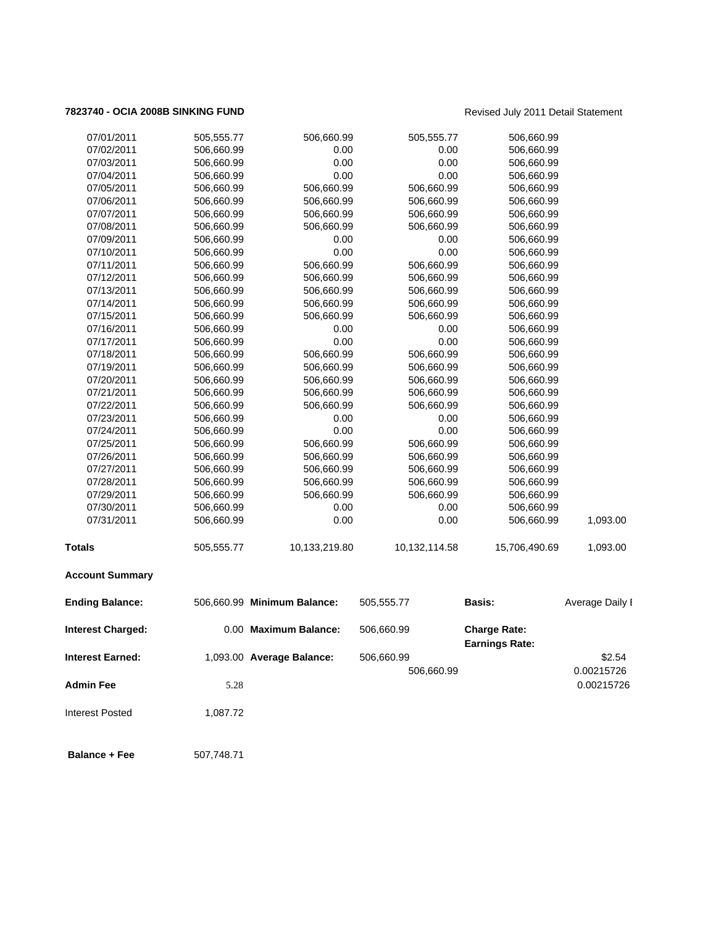## **7823740 - OCIA 2008B SINKING FUND** Revised July 2011 Detail Statement

| <b>Interest Charged:</b><br><b>Interest Earned:</b> |                          | 0.00 Maximum Balance:<br>1,093.00 Average Balance: | 506,660.99<br>506,660.99 | <b>Charge Rate:</b><br><b>Earnings Rate:</b> | \$2.54          |
|-----------------------------------------------------|--------------------------|----------------------------------------------------|--------------------------|----------------------------------------------|-----------------|
| <b>Ending Balance:</b>                              |                          | 506,660.99 Minimum Balance:                        | 505,555.77               | Basis:                                       | Average Daily I |
| <b>Account Summary</b>                              |                          |                                                    |                          |                                              |                 |
| <b>Totals</b>                                       | 505,555.77               | 10,133,219.80                                      | 10,132,114.58            | 15,706,490.69                                | 1,093.00        |
| 07/31/2011                                          | 506,660.99               | 0.00                                               | 0.00                     | 506,660.99                                   | 1,093.00        |
| 07/30/2011                                          | 506,660.99               | 0.00                                               | 0.00                     | 506,660.99                                   |                 |
| 07/29/2011                                          | 506,660.99               | 506,660.99                                         | 506,660.99               | 506,660.99                                   |                 |
| 07/28/2011                                          | 506,660.99               | 506,660.99                                         | 506,660.99               | 506,660.99                                   |                 |
| 07/27/2011                                          | 506,660.99               | 506,660.99                                         | 506,660.99               | 506,660.99                                   |                 |
| 07/26/2011                                          | 506,660.99               | 506,660.99                                         | 506,660.99               | 506,660.99                                   |                 |
| 07/24/2011<br>07/25/2011                            | 506,660.99<br>506,660.99 | 0.00<br>506,660.99                                 | 0.00<br>506,660.99       | 506,660.99<br>506,660.99                     |                 |
| 07/23/2011                                          | 506,660.99               | 0.00                                               | 0.00                     | 506,660.99                                   |                 |
| 07/22/2011                                          | 506,660.99               | 506,660.99                                         | 506,660.99               | 506,660.99                                   |                 |
| 07/21/2011                                          | 506,660.99               | 506,660.99                                         | 506,660.99               | 506,660.99                                   |                 |
| 07/20/2011                                          | 506,660.99               | 506,660.99                                         | 506,660.99               | 506,660.99                                   |                 |
| 07/19/2011                                          | 506,660.99               | 506,660.99                                         | 506,660.99               | 506,660.99                                   |                 |
| 07/18/2011                                          | 506,660.99               | 506,660.99                                         | 506,660.99               | 506,660.99                                   |                 |
| 07/17/2011                                          | 506,660.99               | 0.00                                               | 0.00                     | 506,660.99                                   |                 |
| 07/16/2011                                          | 506,660.99               | 0.00                                               | 0.00                     | 506,660.99                                   |                 |
| 07/15/2011                                          | 506,660.99               | 506,660.99                                         | 506,660.99               | 506,660.99                                   |                 |
| 07/14/2011                                          | 506,660.99               | 506,660.99                                         | 506,660.99               | 506,660.99                                   |                 |
| 07/13/2011                                          | 506,660.99               | 506,660.99                                         | 506,660.99               | 506,660.99                                   |                 |
| 07/12/2011                                          | 506,660.99               | 506,660.99                                         | 506,660.99               | 506,660.99                                   |                 |
| 07/11/2011                                          | 506,660.99               | 506,660.99                                         | 506,660.99               | 506,660.99                                   |                 |
| 07/10/2011                                          | 506,660.99               | 0.00                                               | 0.00                     | 506,660.99                                   |                 |
| 07/09/2011                                          | 506,660.99               | 0.00                                               | 0.00                     | 506,660.99                                   |                 |
| 07/08/2011                                          | 506,660.99               | 506,660.99                                         | 506,660.99               | 506,660.99                                   |                 |
| 07/07/2011                                          | 506,660.99               | 506,660.99                                         | 506,660.99               | 506,660.99                                   |                 |
| 07/06/2011                                          | 506,660.99               | 506,660.99                                         | 506,660.99               | 506,660.99                                   |                 |
| 07/05/2011                                          | 506,660.99               | 506,660.99                                         | 506,660.99               | 506,660.99                                   |                 |
| 07/04/2011                                          | 506,660.99               | 0.00                                               | 0.00                     | 506,660.99                                   |                 |
| 07/03/2011                                          | 506,660.99               | 0.00                                               | 0.00                     | 506,660.99                                   |                 |
| 07/02/2011                                          | 506,660.99               | 0.00                                               | 0.00                     | 506,660.99                                   |                 |
| 07/01/2011                                          | 505,555.77               | 506,660.99                                         | 505,555.77               | 506,660.99                                   |                 |

**Balance + Fee** 507,748.71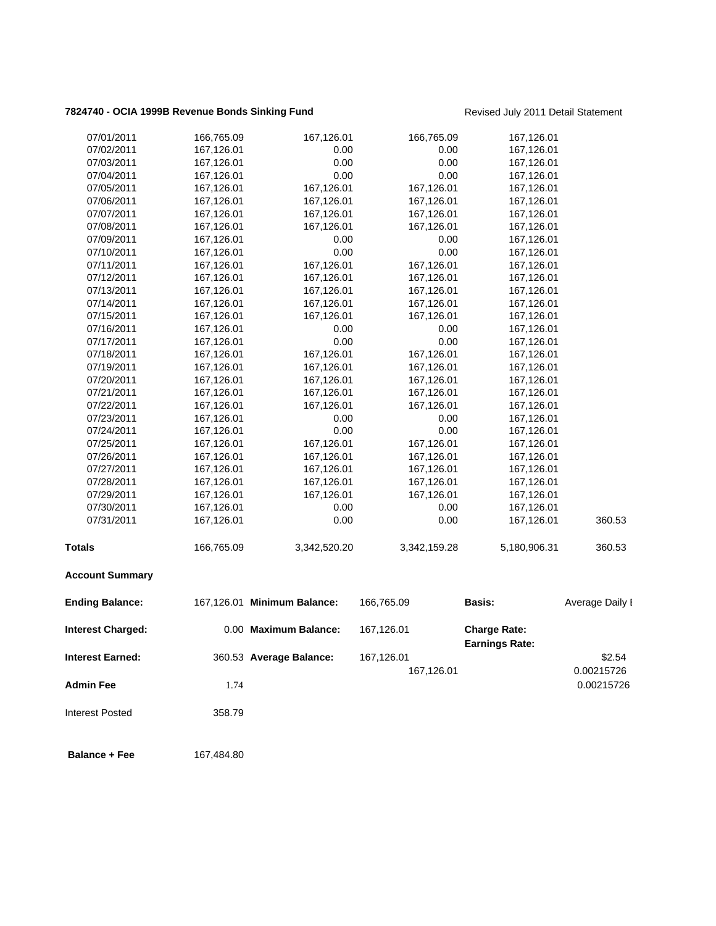## **7824740 - OCIA 1999B Revenue Bonds Sinking Fund** Revised July 2011 Detail Statement

| 07/01/2011               | 166,765.09 | 167,126.01                  | 166,765.09   | 167,126.01                                   |                 |
|--------------------------|------------|-----------------------------|--------------|----------------------------------------------|-----------------|
| 07/02/2011               | 167,126.01 | 0.00                        | 0.00         | 167,126.01                                   |                 |
| 07/03/2011               | 167,126.01 | 0.00                        | 0.00         | 167,126.01                                   |                 |
| 07/04/2011               | 167,126.01 | 0.00                        | 0.00         | 167,126.01                                   |                 |
| 07/05/2011               | 167,126.01 | 167,126.01                  | 167,126.01   | 167,126.01                                   |                 |
| 07/06/2011               | 167,126.01 | 167,126.01                  | 167,126.01   | 167,126.01                                   |                 |
| 07/07/2011               | 167,126.01 | 167,126.01                  | 167,126.01   | 167,126.01                                   |                 |
| 07/08/2011               | 167,126.01 | 167,126.01                  | 167,126.01   | 167,126.01                                   |                 |
| 07/09/2011               | 167,126.01 | 0.00                        | 0.00         | 167,126.01                                   |                 |
| 07/10/2011               | 167,126.01 | 0.00                        | 0.00         | 167,126.01                                   |                 |
| 07/11/2011               | 167,126.01 | 167,126.01                  | 167,126.01   | 167,126.01                                   |                 |
| 07/12/2011               | 167,126.01 | 167,126.01                  | 167,126.01   | 167,126.01                                   |                 |
| 07/13/2011               | 167,126.01 | 167,126.01                  | 167,126.01   | 167,126.01                                   |                 |
| 07/14/2011               | 167,126.01 | 167,126.01                  | 167,126.01   | 167,126.01                                   |                 |
| 07/15/2011               | 167,126.01 | 167,126.01                  | 167,126.01   | 167,126.01                                   |                 |
| 07/16/2011               | 167,126.01 | 0.00                        | 0.00         | 167,126.01                                   |                 |
| 07/17/2011               | 167,126.01 | 0.00                        | 0.00         | 167,126.01                                   |                 |
| 07/18/2011               | 167,126.01 | 167,126.01                  | 167,126.01   | 167,126.01                                   |                 |
| 07/19/2011               | 167,126.01 | 167,126.01                  | 167,126.01   | 167,126.01                                   |                 |
| 07/20/2011               | 167,126.01 | 167,126.01                  | 167,126.01   | 167,126.01                                   |                 |
| 07/21/2011               | 167,126.01 | 167,126.01                  | 167,126.01   | 167,126.01                                   |                 |
| 07/22/2011               | 167,126.01 | 167,126.01                  | 167,126.01   | 167,126.01                                   |                 |
| 07/23/2011               | 167,126.01 | 0.00                        | 0.00         | 167,126.01                                   |                 |
| 07/24/2011               | 167,126.01 | 0.00                        | 0.00         | 167,126.01                                   |                 |
| 07/25/2011               | 167,126.01 | 167,126.01                  | 167,126.01   | 167,126.01                                   |                 |
| 07/26/2011               | 167,126.01 | 167,126.01                  | 167,126.01   | 167,126.01                                   |                 |
| 07/27/2011               | 167,126.01 | 167,126.01                  | 167,126.01   | 167,126.01                                   |                 |
| 07/28/2011               | 167,126.01 | 167,126.01                  | 167,126.01   | 167,126.01                                   |                 |
| 07/29/2011               | 167,126.01 | 167,126.01                  | 167,126.01   | 167,126.01                                   |                 |
| 07/30/2011               | 167,126.01 | 0.00                        | 0.00         | 167,126.01                                   |                 |
| 07/31/2011               | 167,126.01 | 0.00                        | 0.00         | 167,126.01                                   | 360.53          |
| Totals                   | 166,765.09 | 3,342,520.20                | 3,342,159.28 | 5,180,906.31                                 | 360.53          |
| <b>Account Summary</b>   |            |                             |              |                                              |                 |
| <b>Ending Balance:</b>   |            | 167,126.01 Minimum Balance: | 166,765.09   | <b>Basis:</b>                                | Average Daily I |
| <b>Interest Charged:</b> |            | 0.00 Maximum Balance:       | 167,126.01   | <b>Charge Rate:</b><br><b>Earnings Rate:</b> |                 |
| <b>Interest Earned:</b>  |            | 360.53 Average Balance:     | 167,126.01   |                                              | \$2.54          |
|                          |            |                             | 167,126.01   |                                              | 0.00215726      |
| <b>Admin Fee</b>         | 1.74       |                             |              |                                              | 0.00215726      |
| <b>Interest Posted</b>   | 358.79     |                             |              |                                              |                 |
| <b>Balance + Fee</b>     | 167,484.80 |                             |              |                                              |                 |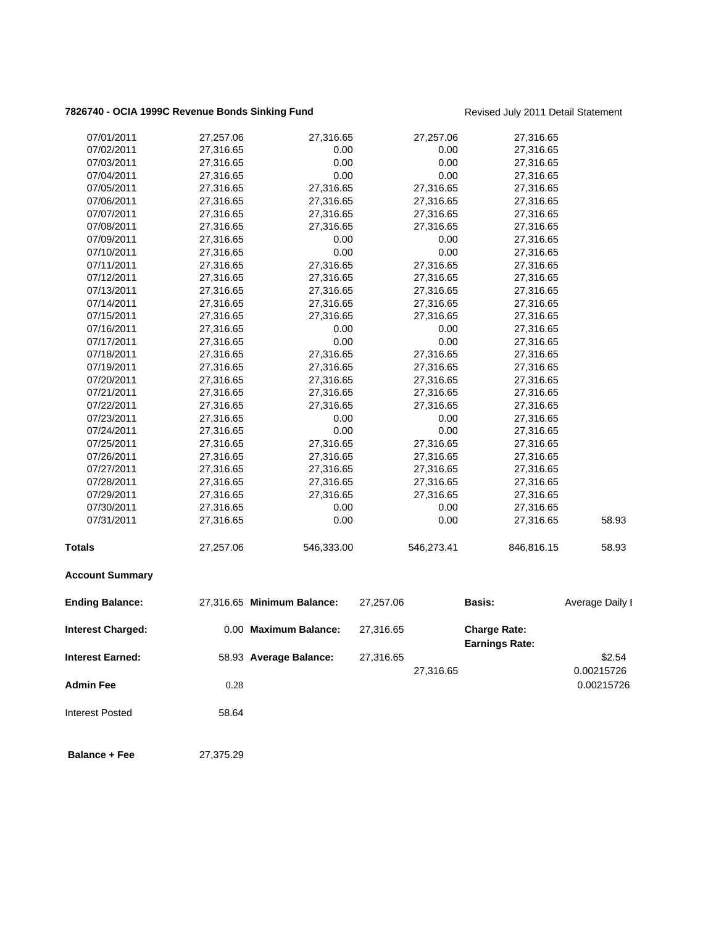## **7826740 - OCIA 1999C Revenue Bonds Sinking Fund** Revised July 2011 Detail Statement

| <b>Balance + Fee</b>     | 27,375.29              |                            |           |              |                                              |                      |
|--------------------------|------------------------|----------------------------|-----------|--------------|----------------------------------------------|----------------------|
| <b>Interest Posted</b>   | 58.64                  |                            |           |              |                                              |                      |
| <b>Admin Fee</b>         | 0.28                   |                            |           |              |                                              | 0.00215726           |
| <b>Interest Earned:</b>  |                        | 58.93 Average Balance:     | 27,316.65 | 27,316.65    |                                              | \$2.54<br>0.00215726 |
| <b>Interest Charged:</b> |                        | 0.00 Maximum Balance:      | 27,316.65 |              | <b>Charge Rate:</b><br><b>Earnings Rate:</b> |                      |
| <b>Ending Balance:</b>   |                        | 27,316.65 Minimum Balance: | 27,257.06 |              | Basis:                                       | Average Daily I      |
| <b>Account Summary</b>   |                        |                            |           |              |                                              |                      |
| <b>Totals</b>            | 27,257.06              | 546,333.00                 |           | 546,273.41   | 846,816.15                                   | 58.93                |
| 07/31/2011               | 27,316.65              | 0.00                       |           | 0.00         | 27,316.65                                    | 58.93                |
| 07/30/2011               | 27,316.65              | 0.00                       |           | 0.00         | 27,316.65                                    |                      |
| 07/29/2011               | 27,316.65              | 27,316.65                  |           | 27,316.65    | 27,316.65                                    |                      |
| 07/28/2011               | 27,316.65              | 27,316.65                  |           | 27,316.65    | 27,316.65                                    |                      |
| 07/27/2011               | 27,316.65              | 27,316.65                  |           | 27,316.65    | 27,316.65                                    |                      |
| 07/26/2011               | 27,316.65              | 27,316.65                  |           | 27,316.65    | 27,316.65                                    |                      |
| 07/25/2011               | 27,316.65              | 27,316.65                  |           | 27,316.65    | 27,316.65                                    |                      |
| 07/24/2011               | 27,316.65              | 0.00                       |           | 0.00         | 27,316.65                                    |                      |
| 07/23/2011               | 27,316.65              | 0.00                       |           | 0.00         | 27,316.65                                    |                      |
| 07/22/2011               | 27,316.65              | 27,316.65                  |           | 27,316.65    | 27,316.65                                    |                      |
| 07/21/2011               | 27,316.65              | 27,316.65                  |           | 27,316.65    | 27,316.65                                    |                      |
| 07/20/2011               | 27,316.65              | 27,316.65                  |           | 27,316.65    | 27,316.65                                    |                      |
| 07/19/2011               | 27,316.65              | 27,316.65                  |           | 27,316.65    | 27,316.65                                    |                      |
| 07/18/2011               | 27,316.65              | 27,316.65                  |           | 27,316.65    | 27,316.65                                    |                      |
| 07/17/2011               | 27,316.65              | 0.00                       |           | 0.00         | 27,316.65                                    |                      |
| 07/16/2011               | 27,316.65              | 0.00                       |           | 0.00         | 27,316.65                                    |                      |
| 07/15/2011               | 27,316.65              | 27,316.65                  |           | 27,316.65    | 27,316.65                                    |                      |
| 07/14/2011               | 27,316.65              | 27,316.65                  |           | 27,316.65    | 27,316.65                                    |                      |
| 07/13/2011               | 27,316.65              | 27,316.65                  |           | 27,316.65    | 27,316.65                                    |                      |
| 07/12/2011               | 27,316.65              | 27,316.65                  |           | 27,316.65    | 27,316.65                                    |                      |
| 07/11/2011               | 27,316.65              | 27,316.65                  |           | 27,316.65    | 27,316.65                                    |                      |
| 07/10/2011               | 27,316.65              | 0.00                       |           | 0.00         | 27,316.65                                    |                      |
| 07/09/2011               | 27,316.65              | 0.00                       |           | 0.00         | 27,316.65                                    |                      |
| 07/08/2011               | 27,316.65              | 27,316.65                  |           | 27,316.65    | 27,316.65                                    |                      |
| 07/07/2011               | 27,316.65              | 27,316.65                  |           | 27,316.65    | 27,316.65                                    |                      |
| 07/06/2011               | 27,316.65              | 27,316.65                  |           | 27,316.65    | 27,316.65                                    |                      |
| 07/04/2011<br>07/05/2011 | 27,316.65<br>27,316.65 | 27,316.65                  |           | 27,316.65    | 27,316.65<br>27,316.65                       |                      |
| 07/03/2011               | 27,316.65              | 0.00<br>0.00               |           | 0.00<br>0.00 | 27,316.65                                    |                      |
| 07/02/2011               | 27,316.65              | 0.00                       |           | 0.00         | 27,316.65                                    |                      |
| 07/01/2011               | 27,257.06              | 27,316.65                  |           | 27,257.06    | 27,316.65                                    |                      |
|                          |                        |                            |           |              |                                              |                      |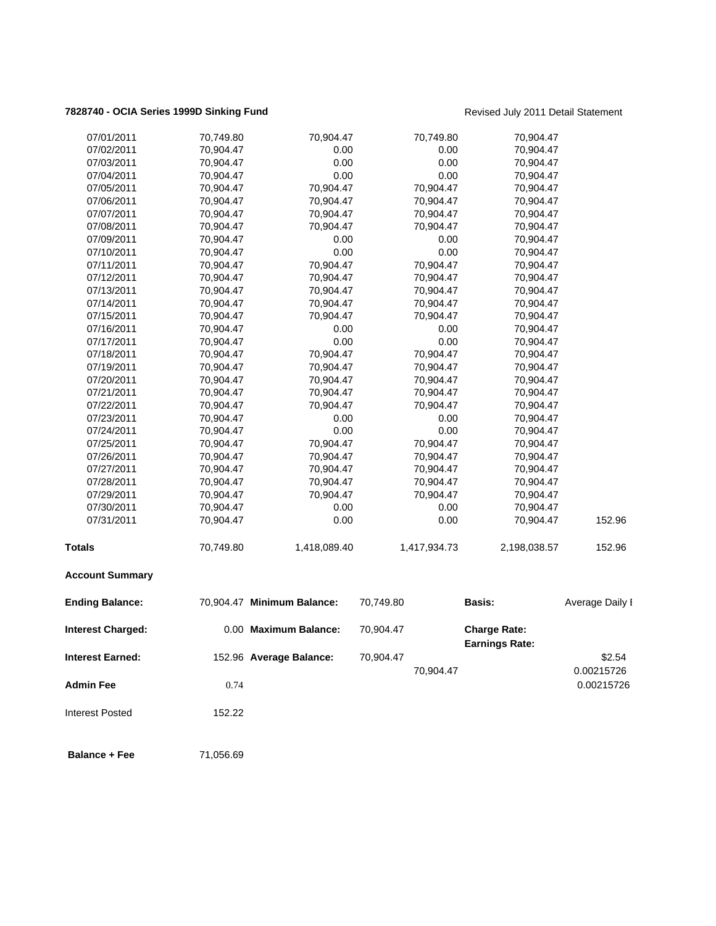# **7828740 - OCIA Series 1999D Sinking Fund Revised July 2011 Detail Statement**

| 07/01/2011               | 70,749.80 | 70,904.47                  |           | 70,749.80    | 70,904.47                                    |                 |
|--------------------------|-----------|----------------------------|-----------|--------------|----------------------------------------------|-----------------|
| 07/02/2011               | 70,904.47 | 0.00                       |           | 0.00         | 70,904.47                                    |                 |
| 07/03/2011               | 70,904.47 | 0.00                       |           | 0.00         | 70,904.47                                    |                 |
| 07/04/2011               | 70,904.47 | 0.00                       |           | 0.00         | 70,904.47                                    |                 |
| 07/05/2011               | 70,904.47 | 70,904.47                  |           | 70,904.47    | 70,904.47                                    |                 |
| 07/06/2011               | 70,904.47 | 70,904.47                  |           | 70,904.47    | 70,904.47                                    |                 |
| 07/07/2011               | 70,904.47 | 70,904.47                  |           | 70,904.47    | 70,904.47                                    |                 |
| 07/08/2011               | 70,904.47 | 70,904.47                  |           | 70,904.47    | 70,904.47                                    |                 |
| 07/09/2011               | 70,904.47 | 0.00                       |           | 0.00         | 70,904.47                                    |                 |
| 07/10/2011               | 70,904.47 | 0.00                       |           | 0.00         | 70,904.47                                    |                 |
| 07/11/2011               | 70,904.47 | 70,904.47                  |           | 70,904.47    | 70,904.47                                    |                 |
| 07/12/2011               | 70,904.47 | 70,904.47                  |           | 70,904.47    | 70,904.47                                    |                 |
| 07/13/2011               | 70,904.47 | 70,904.47                  |           | 70,904.47    | 70,904.47                                    |                 |
| 07/14/2011               | 70,904.47 | 70,904.47                  |           | 70,904.47    | 70,904.47                                    |                 |
| 07/15/2011               | 70,904.47 | 70,904.47                  |           | 70,904.47    | 70,904.47                                    |                 |
| 07/16/2011               | 70,904.47 | 0.00                       |           | 0.00         | 70,904.47                                    |                 |
| 07/17/2011               | 70,904.47 | 0.00                       |           | 0.00         | 70,904.47                                    |                 |
| 07/18/2011               | 70,904.47 | 70,904.47                  |           | 70,904.47    | 70,904.47                                    |                 |
| 07/19/2011               | 70,904.47 | 70,904.47                  |           | 70,904.47    | 70,904.47                                    |                 |
| 07/20/2011               | 70,904.47 | 70,904.47                  |           | 70,904.47    | 70,904.47                                    |                 |
| 07/21/2011               | 70,904.47 | 70,904.47                  |           | 70,904.47    | 70,904.47                                    |                 |
| 07/22/2011               | 70,904.47 | 70,904.47                  |           | 70,904.47    | 70,904.47                                    |                 |
| 07/23/2011               | 70,904.47 | 0.00                       |           | 0.00         | 70,904.47                                    |                 |
| 07/24/2011               | 70,904.47 | 0.00                       |           | 0.00         | 70,904.47                                    |                 |
| 07/25/2011               | 70,904.47 | 70,904.47                  |           | 70,904.47    | 70,904.47                                    |                 |
| 07/26/2011               | 70,904.47 | 70,904.47                  |           | 70,904.47    | 70,904.47                                    |                 |
| 07/27/2011               | 70,904.47 | 70,904.47                  |           | 70,904.47    | 70,904.47                                    |                 |
| 07/28/2011               | 70,904.47 | 70,904.47                  |           | 70,904.47    | 70,904.47                                    |                 |
| 07/29/2011               | 70,904.47 | 70,904.47                  |           | 70,904.47    | 70,904.47                                    |                 |
| 07/30/2011               | 70,904.47 | 0.00                       |           | 0.00         | 70,904.47                                    |                 |
| 07/31/2011               | 70,904.47 | 0.00                       |           | 0.00         | 70,904.47                                    | 152.96          |
| <b>Totals</b>            | 70,749.80 | 1,418,089.40               |           | 1,417,934.73 | 2,198,038.57                                 | 152.96          |
| <b>Account Summary</b>   |           |                            |           |              |                                              |                 |
| <b>Ending Balance:</b>   |           | 70,904.47 Minimum Balance: | 70,749.80 |              | <b>Basis:</b>                                | Average Daily I |
| <b>Interest Charged:</b> |           | 0.00 Maximum Balance:      | 70,904.47 |              | <b>Charge Rate:</b><br><b>Earnings Rate:</b> |                 |
| <b>Interest Earned:</b>  |           | 152.96 Average Balance:    | 70,904.47 |              |                                              | \$2.54          |
|                          |           |                            |           | 70,904.47    |                                              | 0.00215726      |
| <b>Admin Fee</b>         | 0.74      |                            |           |              |                                              | 0.00215726      |
|                          |           |                            |           |              |                                              |                 |
| <b>Interest Posted</b>   | 152.22    |                            |           |              |                                              |                 |
| <b>Balance + Fee</b>     | 71,056.69 |                            |           |              |                                              |                 |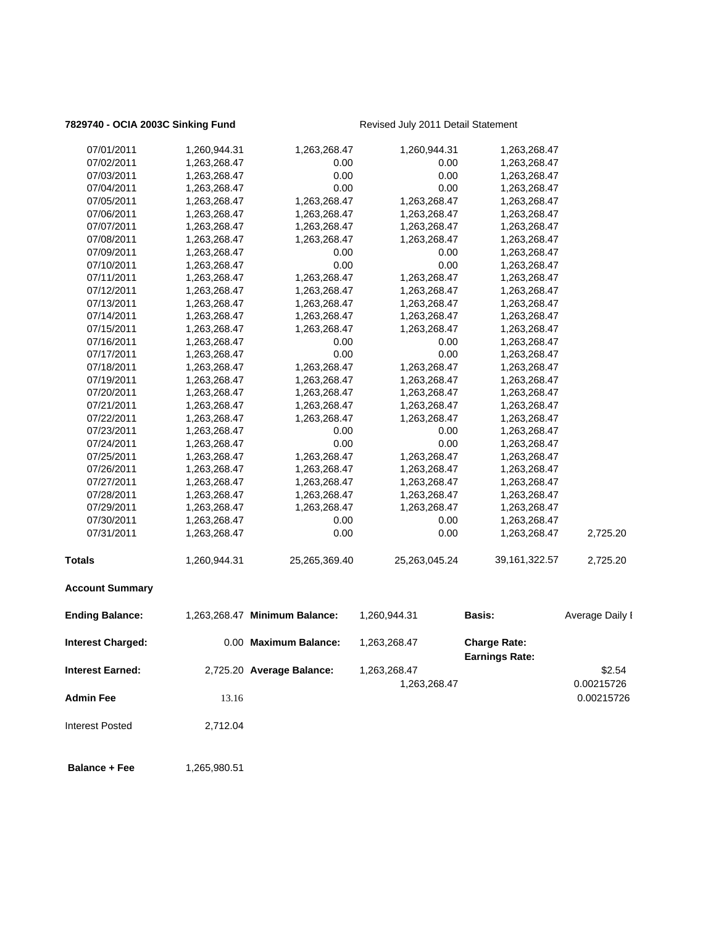## **7829740 - OCIA 2003C Sinking Fund** Revised July 2011 Detail Statement

| <b>Admin Fee</b><br><b>Interest Posted</b> | 13.16<br>2,712.04            |                               |                              |                                              | 0.00215726           |
|--------------------------------------------|------------------------------|-------------------------------|------------------------------|----------------------------------------------|----------------------|
| <b>Interest Earned:</b>                    |                              | 2,725.20 Average Balance:     | 1,263,268.47<br>1,263,268.47 |                                              | \$2.54<br>0.00215726 |
| <b>Interest Charged:</b>                   |                              | 0.00 Maximum Balance:         | 1,263,268.47                 | <b>Charge Rate:</b><br><b>Earnings Rate:</b> |                      |
| <b>Ending Balance:</b>                     |                              | 1,263,268.47 Minimum Balance: | 1,260,944.31                 | Basis:                                       | Average Daily I      |
| <b>Account Summary</b>                     |                              |                               |                              |                                              |                      |
| <b>Totals</b>                              | 1,260,944.31                 | 25,265,369.40                 | 25,263,045.24                | 39,161,322.57                                | 2,725.20             |
| 07/31/2011                                 | 1,263,268.47                 | 0.00                          | 0.00                         | 1,263,268.47                                 | 2,725.20             |
| 07/30/2011                                 | 1,263,268.47                 | 0.00                          | 0.00                         | 1,263,268.47                                 |                      |
| 07/29/2011                                 | 1,263,268.47                 | 1,263,268.47                  | 1,263,268.47                 | 1,263,268.47                                 |                      |
| 07/28/2011                                 | 1,263,268.47                 | 1,263,268.47                  | 1,263,268.47                 | 1,263,268.47                                 |                      |
| 07/27/2011                                 | 1,263,268.47                 | 1,263,268.47                  | 1,263,268.47                 | 1,263,268.47                                 |                      |
| 07/26/2011                                 | 1,263,268.47                 | 1,263,268.47                  | 1,263,268.47                 | 1,263,268.47                                 |                      |
| 07/25/2011                                 | 1,263,268.47                 | 1,263,268.47                  | 1,263,268.47                 | 1,263,268.47                                 |                      |
| 07/24/2011                                 | 1,263,268.47                 | 0.00                          | 0.00                         | 1,263,268.47                                 |                      |
| 07/23/2011                                 | 1,263,268.47                 | 0.00                          | 0.00                         | 1,263,268.47                                 |                      |
| 07/22/2011                                 | 1,263,268.47                 | 1,263,268.47                  | 1,263,268.47                 | 1,263,268.47                                 |                      |
| 07/21/2011                                 | 1,263,268.47                 | 1,263,268.47                  | 1,263,268.47                 | 1,263,268.47                                 |                      |
| 07/20/2011                                 | 1,263,268.47                 | 1,263,268.47                  | 1,263,268.47                 | 1,263,268.47                                 |                      |
| 07/19/2011                                 | 1,263,268.47                 | 1,263,268.47                  | 1,263,268.47                 | 1,263,268.47                                 |                      |
| 07/18/2011                                 | 1,263,268.47                 | 1,263,268.47                  | 1,263,268.47                 | 1,263,268.47                                 |                      |
| 07/17/2011                                 | 1,263,268.47                 | 0.00                          | 0.00                         | 1,263,268.47                                 |                      |
| 07/16/2011                                 | 1,263,268.47                 | 0.00                          | 0.00                         | 1,263,268.47                                 |                      |
| 07/15/2011                                 | 1,263,268.47                 | 1,263,268.47                  | 1,263,268.47                 | 1,263,268.47                                 |                      |
| 07/14/2011                                 | 1,263,268.47                 | 1,263,268.47                  | 1,263,268.47                 | 1,263,268.47                                 |                      |
| 07/13/2011                                 | 1,263,268.47                 | 1,263,268.47                  | 1,263,268.47                 | 1,263,268.47                                 |                      |
| 07/12/2011                                 | 1,263,268.47                 | 1,263,268.47                  | 1,263,268.47                 | 1,263,268.47                                 |                      |
| 07/11/2011                                 | 1,263,268.47                 | 1,263,268.47                  | 1,263,268.47                 | 1,263,268.47                                 |                      |
| 07/10/2011                                 | 1,263,268.47                 | 0.00                          | 0.00                         | 1,263,268.47                                 |                      |
| 07/09/2011                                 | 1,263,268.47                 | 0.00                          | 0.00                         | 1,263,268.47                                 |                      |
| 07/08/2011                                 | 1,263,268.47                 | 1,263,268.47                  | 1,263,268.47                 | 1,263,268.47                                 |                      |
| 07/07/2011                                 | 1,263,268.47                 | 1,263,268.47                  | 1,263,268.47                 | 1,263,268.47                                 |                      |
| 07/05/2011<br>07/06/2011                   | 1,263,268.47<br>1,263,268.47 | 1,263,268.47                  | 1,263,268.47<br>1,263,268.47 | 1,263,268.47<br>1,263,268.47                 |                      |
| 07/04/2011                                 | 1,263,268.47                 | 0.00<br>1,263,268.47          | 0.00                         | 1,263,268.47                                 |                      |
| 07/03/2011                                 | 1,263,268.47                 | 0.00                          | 0.00                         | 1,263,268.47                                 |                      |
| 07/02/2011                                 | 1,263,268.47                 | 0.00                          | 0.00                         | 1,263,268.47                                 |                      |
| 07/01/2011                                 | 1,260,944.31                 | 1,263,268.47                  | 1,260,944.31                 | 1,263,268.47                                 |                      |
|                                            |                              |                               |                              |                                              |                      |

**Balance + Fee** 1,265,980.51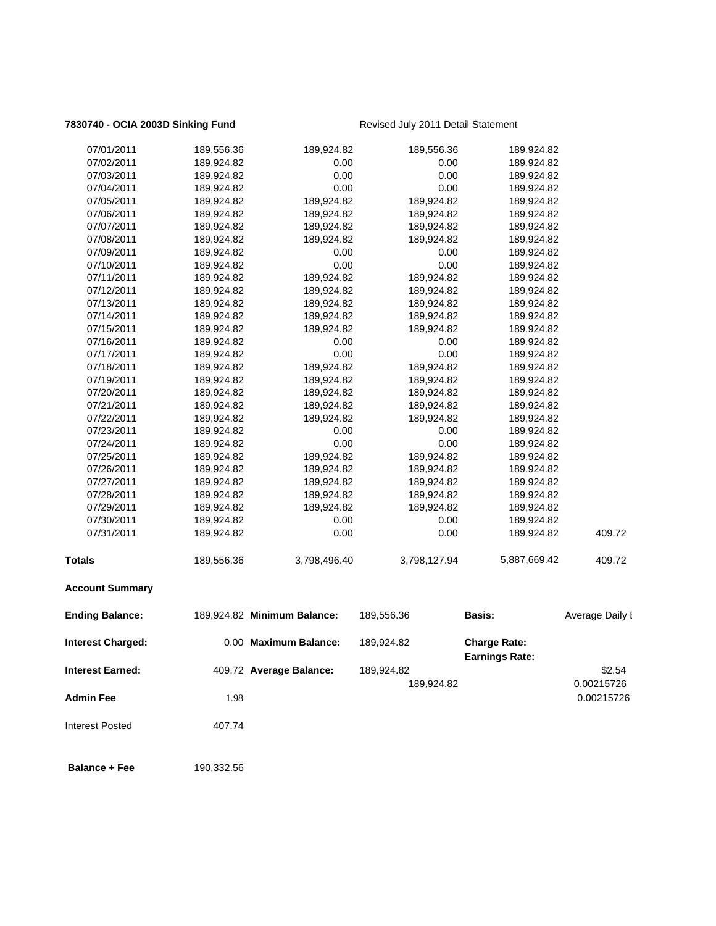## **7830740 - OCIA 2003D Sinking Fund** Revised July 2011 Detail Statement

189,924.82 0.00215726

| <b>Interest Earned:</b>  |            | 409.72 Average Balance:     | 189,924.82   | <b>Earnings Rate:</b> | \$2.54          |
|--------------------------|------------|-----------------------------|--------------|-----------------------|-----------------|
| <b>Interest Charged:</b> |            | 0.00 Maximum Balance:       | 189,924.82   | <b>Charge Rate:</b>   |                 |
| <b>Ending Balance:</b>   |            | 189,924.82 Minimum Balance: | 189,556.36   | <b>Basis:</b>         | Average Daily I |
| <b>Account Summary</b>   |            |                             |              |                       |                 |
| <b>Totals</b>            | 189,556.36 | 3,798,496.40                | 3,798,127.94 | 5,887,669.42          | 409.72          |
| 07/31/2011               | 189,924.82 | 0.00                        | 0.00         | 189,924.82            | 409.72          |
| 07/30/2011               | 189,924.82 | 0.00                        | 0.00         | 189,924.82            |                 |
| 07/29/2011               | 189,924.82 | 189,924.82                  | 189,924.82   | 189,924.82            |                 |
| 07/28/2011               | 189,924.82 | 189,924.82                  | 189,924.82   | 189,924.82            |                 |
| 07/27/2011               | 189,924.82 | 189,924.82                  | 189,924.82   | 189,924.82            |                 |
| 07/26/2011               | 189,924.82 | 189,924.82                  | 189,924.82   | 189,924.82            |                 |
| 07/25/2011               | 189,924.82 | 189,924.82                  | 189,924.82   | 189,924.82            |                 |
| 07/24/2011               | 189,924.82 | 0.00                        | 0.00         | 189,924.82            |                 |
| 07/23/2011               | 189,924.82 | 0.00                        | 0.00         | 189,924.82            |                 |
| 07/22/2011               | 189,924.82 | 189,924.82                  | 189,924.82   | 189,924.82            |                 |
| 07/21/2011               | 189,924.82 | 189,924.82                  | 189,924.82   | 189,924.82            |                 |
| 07/20/2011               | 189,924.82 | 189,924.82                  | 189,924.82   | 189,924.82            |                 |
| 07/19/2011               | 189,924.82 | 189,924.82                  | 189,924.82   | 189,924.82            |                 |
| 07/18/2011               | 189,924.82 | 189,924.82                  | 189,924.82   | 189,924.82            |                 |
| 07/17/2011               | 189,924.82 | 0.00                        | 0.00         | 189,924.82            |                 |
| 07/16/2011               | 189,924.82 | 0.00                        | 0.00         | 189,924.82            |                 |
| 07/15/2011               | 189,924.82 | 189,924.82                  | 189,924.82   | 189,924.82            |                 |
| 07/14/2011               | 189,924.82 | 189,924.82                  | 189,924.82   | 189,924.82            |                 |
| 07/13/2011               | 189,924.82 | 189,924.82                  | 189,924.82   | 189,924.82            |                 |
| 07/12/2011               | 189,924.82 | 189,924.82                  | 189,924.82   | 189,924.82            |                 |
| 07/11/2011               | 189,924.82 | 189,924.82                  | 189,924.82   | 189,924.82            |                 |
| 07/10/2011               | 189,924.82 | 0.00                        | 0.00         | 189,924.82            |                 |
| 07/09/2011               | 189,924.82 | 0.00                        | 0.00         | 189,924.82            |                 |
| 07/08/2011               | 189,924.82 | 189,924.82                  | 189,924.82   | 189,924.82            |                 |
| 07/07/2011               | 189,924.82 | 189,924.82                  | 189,924.82   | 189,924.82            |                 |
| 07/06/2011               | 189,924.82 | 189,924.82                  | 189,924.82   | 189,924.82            |                 |
| 07/05/2011               | 189,924.82 | 189,924.82                  | 189,924.82   | 189,924.82            |                 |
| 07/04/2011               | 189,924.82 | 0.00                        | 0.00         | 189,924.82            |                 |
| 07/03/2011               | 189,924.82 | 0.00                        | 0.00         | 189,924.82            |                 |
| 07/02/2011               | 189,924.82 | 0.00                        | 0.00         | 189,924.82            |                 |
| 07/01/2011               | 189,556.36 | 189,924.82                  | 189,556.36   | 189,924.82            |                 |
|                          |            |                             |              |                       |                 |

**Admin Fee** 2.2 and 2.98 1.98 1.98 1.98 1.98 1.98 1.98 1.000 1.000 1.000 1.000 1.000 1.000 1.000 1.000 1.000 1.000 1.000 1.000 1.000 1.000 1.000 1.000 1.000 1.000 1.000 1.000 1.000 1.000 1.000 1.000 1.000 1.000 1.000 1.000 Interest Posted 407.74

**Balance + Fee** 190,332.56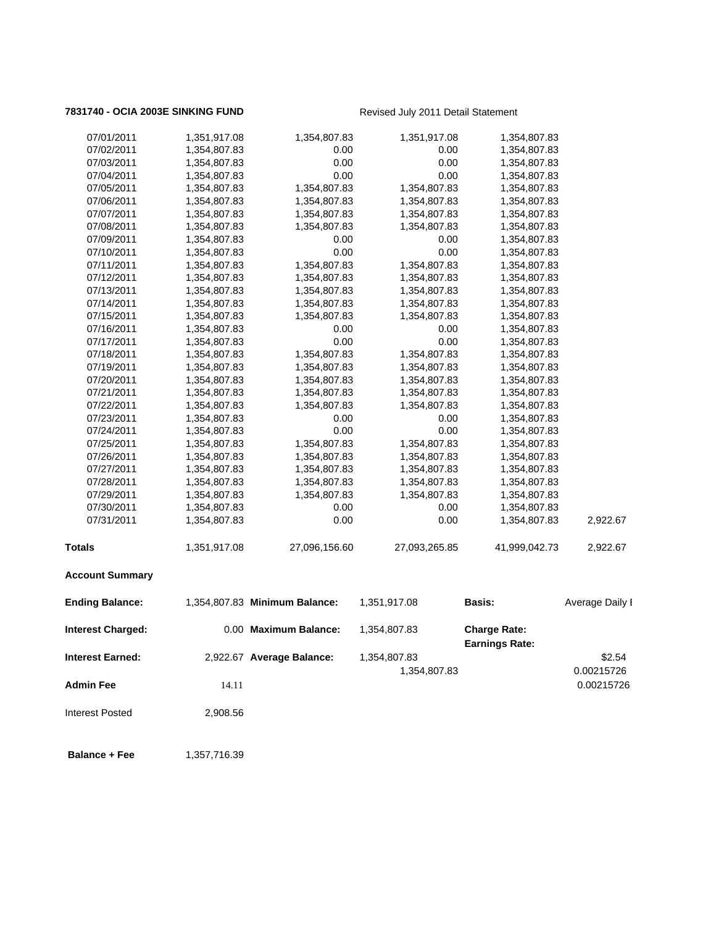## **7831740 - OCIA 2003E SINKING FUND** Revised July 2011 Detail Statement

| <b>Interest Charged:</b> |              | 0.00 Maximum Balance:         | 1,354,807.83  | <b>Charge Rate:</b> |                 |
|--------------------------|--------------|-------------------------------|---------------|---------------------|-----------------|
| <b>Ending Balance:</b>   |              | 1,354,807.83 Minimum Balance: | 1,351,917.08  | <b>Basis:</b>       | Average Daily I |
| <b>Account Summary</b>   |              |                               |               |                     |                 |
| <b>Totals</b>            | 1,351,917.08 | 27,096,156.60                 | 27,093,265.85 | 41,999,042.73       | 2,922.67        |
| 07/31/2011               | 1,354,807.83 | 0.00                          | 0.00          | 1,354,807.83        | 2,922.67        |
| 07/30/2011               | 1,354,807.83 | 0.00                          | 0.00          | 1,354,807.83        |                 |
| 07/29/2011               | 1,354,807.83 | 1,354,807.83                  | 1,354,807.83  | 1,354,807.83        |                 |
| 07/28/2011               | 1,354,807.83 | 1,354,807.83                  | 1,354,807.83  | 1,354,807.83        |                 |
| 07/27/2011               | 1,354,807.83 | 1,354,807.83                  | 1,354,807.83  | 1,354,807.83        |                 |
| 07/26/2011               | 1,354,807.83 | 1,354,807.83                  | 1,354,807.83  | 1,354,807.83        |                 |
| 07/25/2011               | 1,354,807.83 | 1,354,807.83                  | 1,354,807.83  | 1,354,807.83        |                 |
| 07/24/2011               | 1,354,807.83 | 0.00                          | 0.00          | 1,354,807.83        |                 |
| 07/23/2011               | 1,354,807.83 | 0.00                          | 0.00          | 1,354,807.83        |                 |
| 07/22/2011               | 1,354,807.83 | 1,354,807.83                  | 1,354,807.83  | 1,354,807.83        |                 |
| 07/21/2011               | 1,354,807.83 | 1,354,807.83                  | 1,354,807.83  | 1,354,807.83        |                 |
| 07/20/2011               | 1,354,807.83 | 1,354,807.83                  | 1,354,807.83  | 1,354,807.83        |                 |
| 07/19/2011               | 1,354,807.83 | 1,354,807.83                  | 1,354,807.83  | 1,354,807.83        |                 |
| 07/18/2011               | 1,354,807.83 | 1,354,807.83                  | 1,354,807.83  | 1,354,807.83        |                 |
| 07/17/2011               | 1,354,807.83 | 0.00                          | 0.00          | 1,354,807.83        |                 |
| 07/16/2011               | 1,354,807.83 | 0.00                          | 0.00          | 1,354,807.83        |                 |
| 07/15/2011               | 1,354,807.83 | 1,354,807.83                  | 1,354,807.83  | 1,354,807.83        |                 |
| 07/14/2011               | 1,354,807.83 | 1,354,807.83                  | 1,354,807.83  | 1,354,807.83        |                 |
| 07/13/2011               | 1,354,807.83 | 1,354,807.83                  | 1,354,807.83  | 1,354,807.83        |                 |
| 07/12/2011               | 1,354,807.83 | 1,354,807.83                  | 1,354,807.83  | 1,354,807.83        |                 |
| 07/11/2011               | 1,354,807.83 | 1,354,807.83                  | 1,354,807.83  | 1,354,807.83        |                 |
| 07/10/2011               | 1,354,807.83 | 0.00                          | 0.00          | 1,354,807.83        |                 |
| 07/09/2011               | 1,354,807.83 | 0.00                          | 0.00          | 1,354,807.83        |                 |
| 07/08/2011               | 1,354,807.83 | 1,354,807.83                  | 1,354,807.83  | 1,354,807.83        |                 |
| 07/07/2011               | 1,354,807.83 | 1,354,807.83                  | 1,354,807.83  | 1,354,807.83        |                 |
| 07/06/2011               | 1,354,807.83 | 1,354,807.83                  | 1,354,807.83  | 1,354,807.83        |                 |
| 07/05/2011               | 1,354,807.83 | 1,354,807.83                  | 1,354,807.83  | 1,354,807.83        |                 |
| 07/04/2011               | 1,354,807.83 | 0.00                          | 0.00          | 1,354,807.83        |                 |
| 07/03/2011               | 1,354,807.83 | 0.00                          | 0.00          | 1,354,807.83        |                 |
| 07/02/2011               | 1,354,807.83 | 0.00                          | 0.00          | 1,354,807.83        |                 |
| 07/01/2011               | 1,351,917.08 | 1,354,807.83                  | 1,351,917.08  | 1,354,807.83        |                 |

|                         |                           | <b>Earnings Rate:</b> |            |
|-------------------------|---------------------------|-----------------------|------------|
| <b>Interest Earned:</b> | 2,922.67 Average Balance: | 1,354,807.83          | \$2.54     |
|                         |                           | 1,354,807.83          | 0.00215726 |
| <b>Admin Fee</b>        | 14.11                     |                       | 0.00215726 |
| <b>Interest Posted</b>  | 2,908.56                  |                       |            |

**Balance + Fee** 1,357,716.39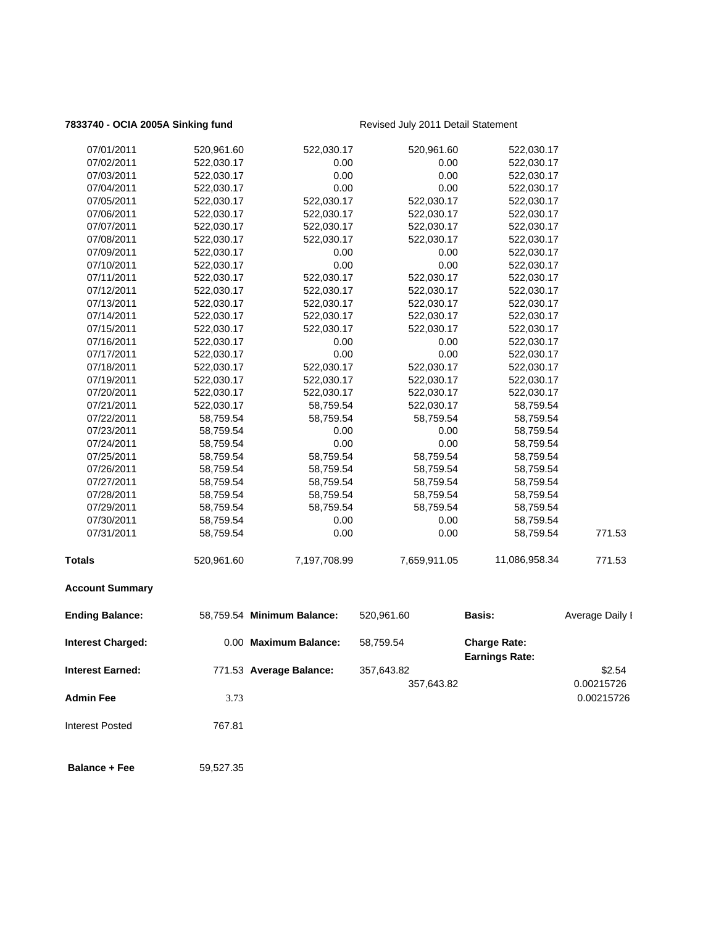## **7833740 - OCIA 2005A Sinking fund** Revised July 2011 Detail Statement

| 07/01/2011               | 520,961.60 | 522,030.17                 | 520,961.60   | 522,030.17                                   |                 |
|--------------------------|------------|----------------------------|--------------|----------------------------------------------|-----------------|
| 07/02/2011               | 522,030.17 | 0.00                       | 0.00         | 522,030.17                                   |                 |
| 07/03/2011               | 522,030.17 | 0.00                       | 0.00         | 522,030.17                                   |                 |
| 07/04/2011               | 522,030.17 | 0.00                       | 0.00         | 522,030.17                                   |                 |
| 07/05/2011               | 522,030.17 | 522,030.17                 | 522,030.17   | 522,030.17                                   |                 |
| 07/06/2011               | 522,030.17 | 522,030.17                 | 522,030.17   | 522,030.17                                   |                 |
| 07/07/2011               | 522,030.17 | 522,030.17                 | 522,030.17   | 522,030.17                                   |                 |
| 07/08/2011               | 522,030.17 | 522,030.17                 | 522,030.17   | 522,030.17                                   |                 |
| 07/09/2011               | 522,030.17 | 0.00                       | 0.00         | 522,030.17                                   |                 |
| 07/10/2011               | 522,030.17 | 0.00                       | 0.00         | 522,030.17                                   |                 |
| 07/11/2011               | 522,030.17 | 522,030.17                 | 522,030.17   | 522,030.17                                   |                 |
| 07/12/2011               | 522,030.17 | 522,030.17                 | 522,030.17   | 522,030.17                                   |                 |
| 07/13/2011               | 522,030.17 | 522,030.17                 | 522,030.17   | 522,030.17                                   |                 |
| 07/14/2011               | 522,030.17 | 522,030.17                 | 522,030.17   | 522,030.17                                   |                 |
| 07/15/2011               | 522,030.17 | 522,030.17                 | 522,030.17   | 522,030.17                                   |                 |
| 07/16/2011               | 522,030.17 | 0.00                       | 0.00         | 522,030.17                                   |                 |
| 07/17/2011               | 522,030.17 | 0.00                       | 0.00         | 522,030.17                                   |                 |
| 07/18/2011               | 522,030.17 | 522,030.17                 | 522,030.17   | 522,030.17                                   |                 |
| 07/19/2011               | 522,030.17 | 522,030.17                 | 522,030.17   | 522,030.17                                   |                 |
| 07/20/2011               | 522,030.17 | 522,030.17                 | 522,030.17   | 522,030.17                                   |                 |
| 07/21/2011               | 522,030.17 | 58,759.54                  | 522,030.17   | 58,759.54                                    |                 |
| 07/22/2011               | 58,759.54  | 58,759.54                  | 58,759.54    | 58,759.54                                    |                 |
| 07/23/2011               | 58,759.54  | 0.00                       | 0.00         | 58,759.54                                    |                 |
| 07/24/2011               | 58,759.54  | 0.00                       | 0.00         | 58,759.54                                    |                 |
| 07/25/2011               | 58,759.54  | 58,759.54                  | 58,759.54    | 58,759.54                                    |                 |
| 07/26/2011               | 58,759.54  | 58,759.54                  | 58,759.54    | 58,759.54                                    |                 |
| 07/27/2011               | 58,759.54  | 58,759.54                  | 58,759.54    | 58,759.54                                    |                 |
| 07/28/2011               | 58,759.54  | 58,759.54                  | 58,759.54    | 58,759.54                                    |                 |
| 07/29/2011               | 58,759.54  | 58,759.54                  | 58,759.54    | 58,759.54                                    |                 |
| 07/30/2011               | 58,759.54  | 0.00                       | 0.00         | 58,759.54                                    |                 |
| 07/31/2011               | 58,759.54  | 0.00                       | 0.00         | 58,759.54                                    | 771.53          |
| <b>Totals</b>            | 520,961.60 | 7,197,708.99               | 7,659,911.05 | 11,086,958.34                                | 771.53          |
| <b>Account Summary</b>   |            |                            |              |                                              |                 |
| <b>Ending Balance:</b>   |            | 58,759.54 Minimum Balance: | 520,961.60   | <b>Basis:</b>                                | Average Daily I |
| <b>Interest Charged:</b> |            | 0.00 Maximum Balance:      | 58,759.54    | <b>Charge Rate:</b><br><b>Earnings Rate:</b> |                 |
| <b>Interest Earned:</b>  |            | 771.53 Average Balance:    | 357,643.82   |                                              | \$2.54          |
|                          |            |                            |              |                                              |                 |
|                          |            |                            | 357,643.82   |                                              | 0.00215726      |
| <b>Admin Fee</b>         | 3.73       |                            |              |                                              | 0.00215726      |
| <b>Interest Posted</b>   | 767.81     |                            |              |                                              |                 |
|                          |            |                            |              |                                              |                 |

**Balance + Fee** 59,527.35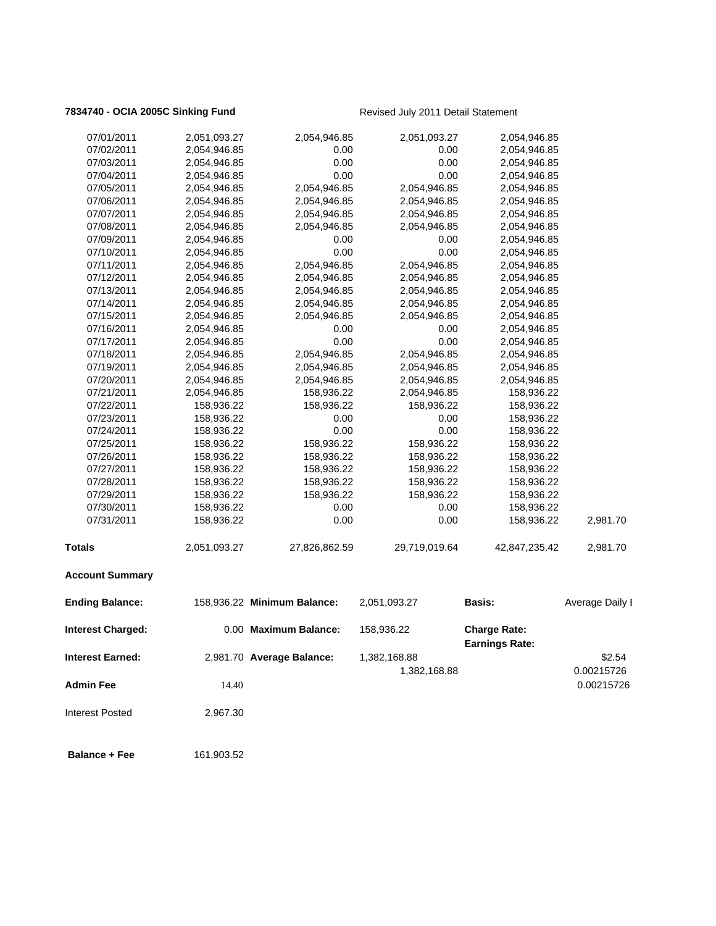# **7834740 - OCIA 2005C Sinking Fund** Revised July 2011 Detail Statement

| Admin Fee                | 14.40                    |                             | 1,382,168.88       |                                              | 0.00215726<br>0.00215726 |
|--------------------------|--------------------------|-----------------------------|--------------------|----------------------------------------------|--------------------------|
| Interest Earned:         |                          | 2,981.70 Average Balance:   | 1,382,168.88       |                                              | \$2.54                   |
| <b>Interest Charged:</b> |                          | 0.00 Maximum Balance:       | 158,936.22         | <b>Charge Rate:</b><br><b>Earnings Rate:</b> |                          |
| <b>Ending Balance:</b>   |                          | 158,936.22 Minimum Balance: | 2,051,093.27       | <b>Basis:</b>                                | Average Daily I          |
| <b>Account Summary</b>   |                          |                             |                    |                                              |                          |
| <b>Totals</b>            | 2,051,093.27             | 27,826,862.59               | 29,719,019.64      | 42,847,235.42                                | 2,981.70                 |
|                          |                          |                             |                    |                                              |                          |
| 07/31/2011               | 158,936.22               | 0.00                        | 0.00               | 158,936.22                                   | 2,981.70                 |
| 07/30/2011               | 158,936.22               | 0.00                        | 0.00               | 158,936.22                                   |                          |
| 07/29/2011               | 158,936.22               | 158,936.22                  | 158,936.22         | 158,936.22                                   |                          |
| 07/28/2011               | 158,936.22               | 158,936.22                  | 158,936.22         | 158,936.22                                   |                          |
| 07/27/2011               | 158,936.22               | 158,936.22                  | 158,936.22         | 158,936.22                                   |                          |
| 07/26/2011               | 158,936.22               | 158,936.22                  | 158,936.22         | 158,936.22                                   |                          |
| 07/24/2011<br>07/25/2011 | 158,936.22<br>158,936.22 | 0.00<br>158,936.22          | 0.00<br>158,936.22 | 158,936.22<br>158,936.22                     |                          |
| 07/23/2011               | 158,936.22               | 0.00                        | 0.00               | 158,936.22                                   |                          |
| 07/22/2011               | 158,936.22               | 158,936.22                  | 158,936.22         | 158,936.22                                   |                          |
| 07/21/2011               | 2,054,946.85             | 158,936.22                  | 2,054,946.85       | 158,936.22                                   |                          |
| 07/20/2011               | 2,054,946.85             | 2,054,946.85                | 2,054,946.85       | 2,054,946.85                                 |                          |
| 07/19/2011               | 2,054,946.85             | 2,054,946.85                | 2,054,946.85       | 2,054,946.85                                 |                          |
| 07/18/2011               | 2,054,946.85             | 2,054,946.85                | 2,054,946.85       | 2,054,946.85                                 |                          |
| 07/17/2011               | 2,054,946.85             | 0.00                        | 0.00               | 2,054,946.85                                 |                          |
| 07/16/2011               | 2,054,946.85             | 0.00                        | 0.00               | 2,054,946.85                                 |                          |
| 07/15/2011               | 2,054,946.85             | 2,054,946.85                | 2,054,946.85       | 2,054,946.85                                 |                          |
| 07/14/2011               | 2,054,946.85             | 2,054,946.85                | 2,054,946.85       | 2,054,946.85                                 |                          |
| 07/13/2011               | 2,054,946.85             | 2,054,946.85                | 2,054,946.85       | 2,054,946.85                                 |                          |
| 07/12/2011               | 2,054,946.85             | 2,054,946.85                | 2,054,946.85       | 2,054,946.85                                 |                          |
| 07/11/2011               | 2,054,946.85             | 2,054,946.85                | 2,054,946.85       | 2,054,946.85                                 |                          |
| 07/10/2011               | 2,054,946.85             | 0.00                        | 0.00               | 2,054,946.85                                 |                          |
| 07/09/2011               | 2,054,946.85             | 0.00                        | 0.00               | 2,054,946.85                                 |                          |
| 07/08/2011               | 2,054,946.85             | 2,054,946.85                | 2,054,946.85       | 2,054,946.85                                 |                          |
| 07/07/2011               | 2,054,946.85             | 2,054,946.85                | 2,054,946.85       | 2,054,946.85                                 |                          |
| 07/06/2011               | 2,054,946.85             | 2,054,946.85                | 2,054,946.85       | 2,054,946.85                                 |                          |
| 07/05/2011               | 2,054,946.85             | 2,054,946.85                | 2,054,946.85       | 2,054,946.85                                 |                          |
| 07/04/2011               | 2,054,946.85             | 0.00                        | 0.00               | 2,054,946.85                                 |                          |
| 07/03/2011               | 2,054,946.85             | 0.00                        | 0.00               | 2,054,946.85                                 |                          |
| 07/02/2011               | 2,054,946.85             | 0.00                        | 0.00               | 2,054,946.85                                 |                          |
| 07/01/2011               | 2,051,093.27             | 2,054,946.85                | 2,051,093.27       | 2,054,946.85                                 |                          |
|                          |                          |                             |                    |                                              |                          |

Interest Posted 2,967.30

 **Balance + Fee** 161,903.52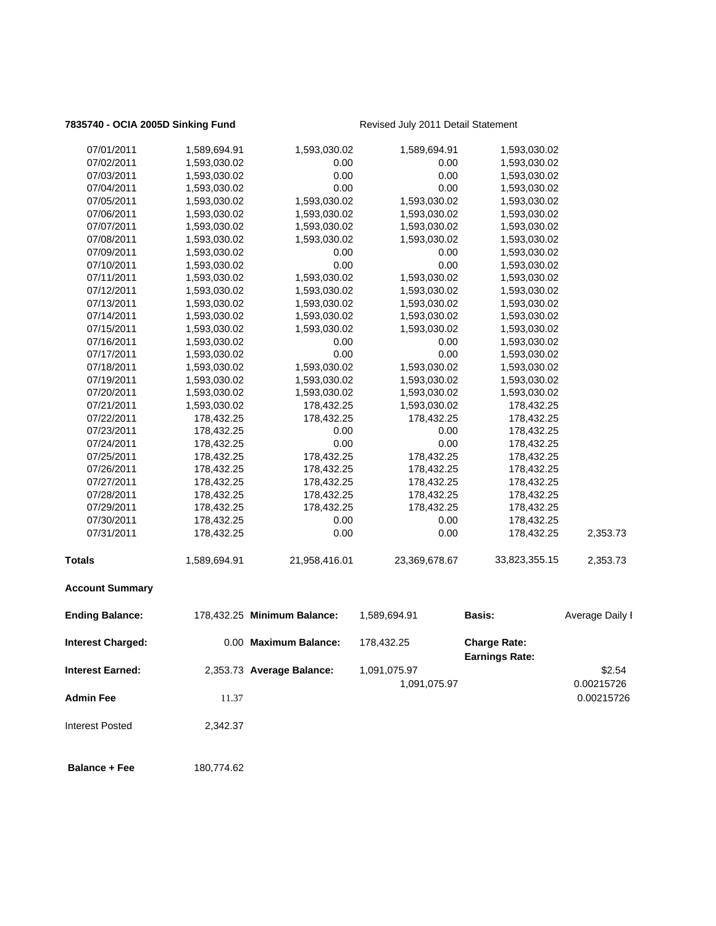## **7835740 - OCIA 2005D Sinking Fund** Revised July 2011 Detail Statement

| <b>Interest Earned:</b>  |              | 2,353.73 Average Balance:   | 1,091,075.97<br>1,091,075.97 |                                              | \$2.54<br>0.00215726 |
|--------------------------|--------------|-----------------------------|------------------------------|----------------------------------------------|----------------------|
| <b>Interest Charged:</b> |              | 0.00 Maximum Balance:       | 178,432.25                   | <b>Charge Rate:</b><br><b>Earnings Rate:</b> |                      |
| <b>Ending Balance:</b>   |              | 178,432.25 Minimum Balance: | 1,589,694.91                 | Basis:                                       | Average Daily I      |
| <b>Account Summary</b>   |              |                             |                              |                                              |                      |
| <b>Totals</b>            | 1,589,694.91 | 21,958,416.01               | 23,369,678.67                | 33,823,355.15                                | 2,353.73             |
| 07/31/2011               | 178,432.25   | 0.00                        | 0.00                         | 178,432.25                                   | 2,353.73             |
| 07/30/2011               | 178,432.25   | 0.00                        | 0.00                         | 178,432.25                                   |                      |
| 07/29/2011               | 178,432.25   | 178,432.25                  | 178,432.25                   | 178,432.25                                   |                      |
| 07/28/2011               | 178,432.25   | 178,432.25                  | 178,432.25                   | 178,432.25                                   |                      |
| 07/27/2011               | 178,432.25   | 178,432.25                  | 178,432.25                   | 178,432.25                                   |                      |
| 07/26/2011               | 178,432.25   | 178,432.25                  | 178,432.25                   | 178,432.25                                   |                      |
| 07/25/2011               | 178,432.25   | 178,432.25                  | 178,432.25                   | 178,432.25                                   |                      |
| 07/24/2011               | 178,432.25   | 0.00                        | 0.00                         | 178,432.25                                   |                      |
| 07/23/2011               | 178,432.25   | 0.00                        | 0.00                         | 178,432.25                                   |                      |
| 07/22/2011               | 178,432.25   | 178,432.25                  | 178,432.25                   | 178,432.25                                   |                      |
| 07/21/2011               | 1,593,030.02 | 178,432.25                  | 1,593,030.02                 | 178,432.25                                   |                      |
| 07/20/2011               | 1,593,030.02 | 1,593,030.02                | 1,593,030.02                 | 1,593,030.02                                 |                      |
| 07/19/2011               | 1,593,030.02 | 1,593,030.02                | 1,593,030.02                 | 1,593,030.02                                 |                      |
| 07/18/2011               | 1,593,030.02 | 1,593,030.02                | 1,593,030.02                 | 1,593,030.02                                 |                      |
| 07/17/2011               | 1,593,030.02 | 0.00                        | 0.00                         | 1,593,030.02                                 |                      |
| 07/16/2011               | 1,593,030.02 | 0.00                        | 0.00                         | 1,593,030.02                                 |                      |
| 07/15/2011               | 1,593,030.02 | 1,593,030.02                | 1,593,030.02                 | 1,593,030.02                                 |                      |
| 07/14/2011               | 1,593,030.02 | 1,593,030.02                | 1,593,030.02                 | 1,593,030.02                                 |                      |
| 07/13/2011               | 1,593,030.02 | 1,593,030.02                | 1,593,030.02                 | 1,593,030.02                                 |                      |
| 07/12/2011               | 1,593,030.02 | 1,593,030.02                | 1,593,030.02                 | 1,593,030.02                                 |                      |
| 07/11/2011               | 1,593,030.02 | 1,593,030.02                | 1,593,030.02                 | 1,593,030.02                                 |                      |
| 07/10/2011               | 1,593,030.02 | 0.00                        | 0.00                         | 1,593,030.02                                 |                      |
| 07/09/2011               | 1,593,030.02 | 0.00                        | 0.00                         | 1,593,030.02                                 |                      |
| 07/08/2011               | 1,593,030.02 | 1,593,030.02                | 1,593,030.02                 | 1,593,030.02                                 |                      |
| 07/07/2011               | 1,593,030.02 | 1,593,030.02                | 1,593,030.02                 | 1,593,030.02                                 |                      |
| 07/06/2011               | 1,593,030.02 | 1,593,030.02                | 1,593,030.02                 | 1,593,030.02                                 |                      |
| 07/05/2011               | 1,593,030.02 | 1,593,030.02                | 1,593,030.02                 | 1,593,030.02                                 |                      |
| 07/04/2011               | 1,593,030.02 | 0.00                        | 0.00                         | 1,593,030.02                                 |                      |
| 07/03/2011               | 1,593,030.02 | 0.00                        | 0.00                         | 1,593,030.02                                 |                      |
| 07/02/2011               | 1,593,030.02 | 0.00                        | 0.00                         | 1,593,030.02                                 |                      |
| 07/01/2011               | 1,589,694.91 | 1,593,030.02                | 1,589,694.91                 | 1,593,030.02                                 |                      |
|                          |              |                             |                              |                                              |                      |

**Admin Fee** 200215726

Interest Posted 2,342.37

**Balance + Fee** 180,774.62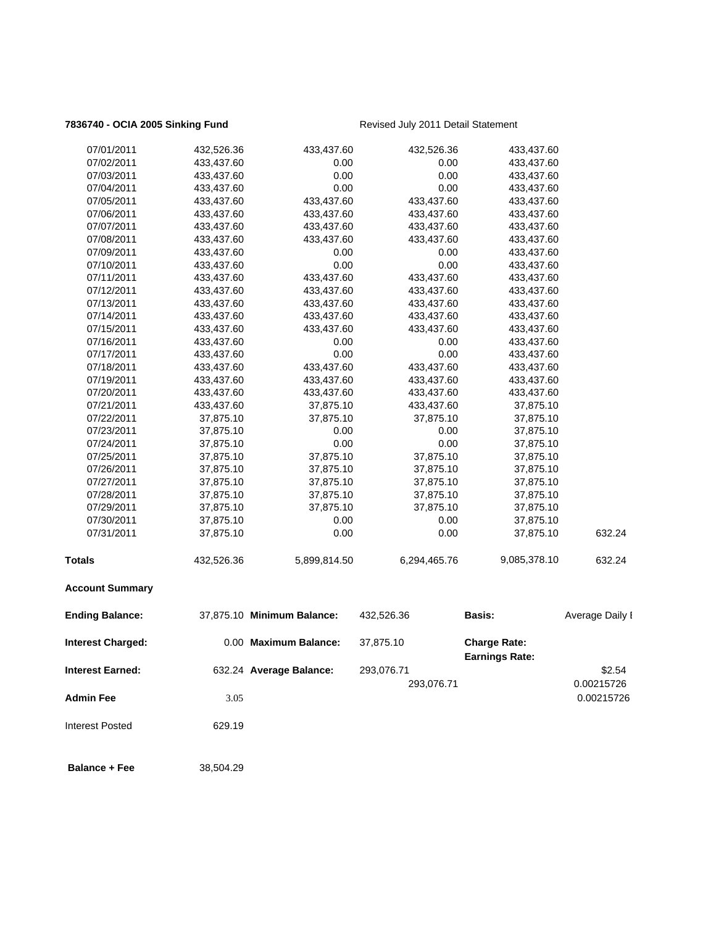## **7836740 - OCIA 2005 Sinking Fund** Revised July 2011 Detail Statement

| 07/01/2011               | 432,526.36 | 433,437.60                 | 432,526.36   | 433,437.60                                   |                 |
|--------------------------|------------|----------------------------|--------------|----------------------------------------------|-----------------|
| 07/02/2011               | 433,437.60 | 0.00                       | 0.00         | 433,437.60                                   |                 |
| 07/03/2011               | 433,437.60 | 0.00                       | 0.00         | 433,437.60                                   |                 |
| 07/04/2011               | 433,437.60 | 0.00                       | 0.00         | 433,437.60                                   |                 |
| 07/05/2011               | 433,437.60 | 433,437.60                 | 433,437.60   | 433,437.60                                   |                 |
| 07/06/2011               | 433,437.60 | 433,437.60                 | 433,437.60   | 433,437.60                                   |                 |
| 07/07/2011               | 433,437.60 | 433,437.60                 | 433,437.60   | 433,437.60                                   |                 |
| 07/08/2011               | 433,437.60 | 433,437.60                 | 433,437.60   | 433,437.60                                   |                 |
| 07/09/2011               | 433,437.60 | 0.00                       | 0.00         | 433,437.60                                   |                 |
| 07/10/2011               | 433,437.60 | 0.00                       | 0.00         | 433,437.60                                   |                 |
| 07/11/2011               | 433,437.60 | 433,437.60                 | 433,437.60   | 433,437.60                                   |                 |
| 07/12/2011               | 433,437.60 | 433,437.60                 | 433,437.60   | 433,437.60                                   |                 |
| 07/13/2011               | 433,437.60 | 433,437.60                 | 433,437.60   | 433,437.60                                   |                 |
| 07/14/2011               | 433,437.60 | 433,437.60                 | 433,437.60   | 433,437.60                                   |                 |
| 07/15/2011               | 433,437.60 | 433,437.60                 | 433,437.60   | 433,437.60                                   |                 |
| 07/16/2011               | 433,437.60 | 0.00                       | 0.00         | 433,437.60                                   |                 |
| 07/17/2011               | 433,437.60 | 0.00                       | 0.00         | 433,437.60                                   |                 |
| 07/18/2011               | 433,437.60 | 433,437.60                 | 433,437.60   | 433,437.60                                   |                 |
| 07/19/2011               | 433,437.60 | 433,437.60                 | 433,437.60   | 433,437.60                                   |                 |
| 07/20/2011               | 433,437.60 | 433,437.60                 | 433,437.60   | 433,437.60                                   |                 |
| 07/21/2011               | 433,437.60 | 37,875.10                  | 433,437.60   | 37,875.10                                    |                 |
| 07/22/2011               | 37,875.10  | 37,875.10                  | 37,875.10    | 37,875.10                                    |                 |
| 07/23/2011               | 37,875.10  | 0.00                       | 0.00         | 37,875.10                                    |                 |
| 07/24/2011               | 37,875.10  | 0.00                       | 0.00         | 37,875.10                                    |                 |
| 07/25/2011               | 37,875.10  | 37,875.10                  | 37,875.10    | 37,875.10                                    |                 |
| 07/26/2011               | 37,875.10  | 37,875.10                  | 37,875.10    | 37,875.10                                    |                 |
| 07/27/2011               | 37,875.10  | 37,875.10                  | 37,875.10    | 37,875.10                                    |                 |
| 07/28/2011               | 37,875.10  | 37,875.10                  | 37,875.10    | 37,875.10                                    |                 |
| 07/29/2011               | 37,875.10  | 37,875.10                  | 37,875.10    | 37,875.10                                    |                 |
| 07/30/2011               | 37,875.10  | 0.00                       | 0.00         | 37,875.10                                    |                 |
| 07/31/2011               | 37,875.10  | 0.00                       | 0.00         | 37,875.10                                    | 632.24          |
| <b>Totals</b>            | 432,526.36 | 5,899,814.50               | 6,294,465.76 | 9,085,378.10                                 | 632.24          |
| <b>Account Summary</b>   |            |                            |              |                                              |                 |
| <b>Ending Balance:</b>   |            | 37,875.10 Minimum Balance: | 432,526.36   | Basis:                                       | Average Daily I |
| <b>Interest Charged:</b> |            | 0.00 Maximum Balance:      | 37,875.10    | <b>Charge Rate:</b><br><b>Earnings Rate:</b> |                 |
| <b>Interest Earned:</b>  |            | 632.24 Average Balance:    | 293,076.71   |                                              | \$2.54          |
|                          |            |                            | 293,076.71   |                                              | 0.00215726      |
| <b>Admin Fee</b>         | 3.05       |                            |              |                                              | 0.00215726      |
|                          |            |                            |              |                                              |                 |
| <b>Interest Posted</b>   | 629.19     |                            |              |                                              |                 |

**Balance + Fee** 38,504.29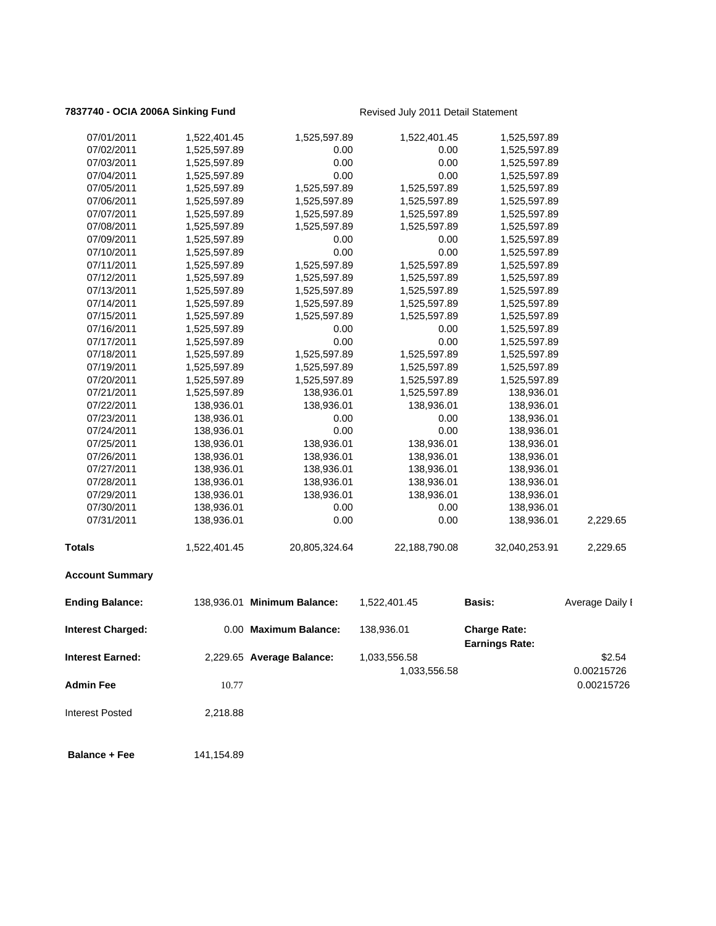# **7837740 - OCIA 2006A Sinking Fund** Revised July 2011 Detail Statement

| 07/01/2011               | 1,522,401.45 | 1,525,597.89                | 1,522,401.45  | 1,525,597.89          |                 |
|--------------------------|--------------|-----------------------------|---------------|-----------------------|-----------------|
| 07/02/2011               | 1,525,597.89 | 0.00                        | 0.00          | 1,525,597.89          |                 |
| 07/03/2011               | 1,525,597.89 | 0.00                        | 0.00          | 1,525,597.89          |                 |
| 07/04/2011               | 1,525,597.89 | 0.00                        | 0.00          | 1,525,597.89          |                 |
| 07/05/2011               | 1,525,597.89 | 1,525,597.89                | 1,525,597.89  | 1,525,597.89          |                 |
| 07/06/2011               | 1,525,597.89 | 1,525,597.89                | 1,525,597.89  | 1,525,597.89          |                 |
| 07/07/2011               | 1,525,597.89 | 1,525,597.89                | 1,525,597.89  | 1,525,597.89          |                 |
| 07/08/2011               | 1,525,597.89 | 1,525,597.89                | 1,525,597.89  | 1,525,597.89          |                 |
| 07/09/2011               | 1,525,597.89 | 0.00                        | 0.00          | 1,525,597.89          |                 |
| 07/10/2011               | 1,525,597.89 | 0.00                        | 0.00          | 1,525,597.89          |                 |
| 07/11/2011               | 1,525,597.89 | 1,525,597.89                | 1,525,597.89  | 1,525,597.89          |                 |
| 07/12/2011               | 1,525,597.89 | 1,525,597.89                | 1,525,597.89  | 1,525,597.89          |                 |
| 07/13/2011               | 1,525,597.89 | 1,525,597.89                | 1,525,597.89  | 1,525,597.89          |                 |
| 07/14/2011               | 1,525,597.89 | 1,525,597.89                | 1,525,597.89  | 1,525,597.89          |                 |
| 07/15/2011               | 1,525,597.89 | 1,525,597.89                | 1,525,597.89  | 1,525,597.89          |                 |
| 07/16/2011               | 1,525,597.89 | 0.00                        | 0.00          | 1,525,597.89          |                 |
| 07/17/2011               | 1,525,597.89 | 0.00                        | 0.00          | 1,525,597.89          |                 |
| 07/18/2011               | 1,525,597.89 | 1,525,597.89                | 1,525,597.89  | 1,525,597.89          |                 |
| 07/19/2011               | 1,525,597.89 | 1,525,597.89                | 1,525,597.89  | 1,525,597.89          |                 |
| 07/20/2011               | 1,525,597.89 | 1,525,597.89                | 1,525,597.89  | 1,525,597.89          |                 |
| 07/21/2011               | 1,525,597.89 | 138,936.01                  | 1,525,597.89  | 138,936.01            |                 |
| 07/22/2011               | 138,936.01   | 138,936.01                  | 138,936.01    | 138,936.01            |                 |
| 07/23/2011               | 138,936.01   | 0.00                        | 0.00          | 138,936.01            |                 |
| 07/24/2011               | 138,936.01   | 0.00                        | 0.00          | 138,936.01            |                 |
| 07/25/2011               | 138,936.01   | 138,936.01                  | 138,936.01    | 138,936.01            |                 |
| 07/26/2011               | 138,936.01   | 138,936.01                  | 138,936.01    | 138,936.01            |                 |
| 07/27/2011               | 138,936.01   | 138,936.01                  | 138,936.01    | 138,936.01            |                 |
| 07/28/2011               | 138,936.01   | 138,936.01                  | 138,936.01    | 138,936.01            |                 |
| 07/29/2011               | 138,936.01   | 138,936.01                  | 138,936.01    | 138,936.01            |                 |
| 07/30/2011               | 138,936.01   | 0.00                        | 0.00          | 138,936.01            |                 |
| 07/31/2011               | 138,936.01   | 0.00                        | 0.00          | 138,936.01            | 2,229.65        |
|                          |              |                             |               |                       |                 |
| <b>Totals</b>            | 1,522,401.45 | 20,805,324.64               | 22,188,790.08 | 32,040,253.91         | 2,229.65        |
| <b>Account Summary</b>   |              |                             |               |                       |                 |
| <b>Ending Balance:</b>   |              | 138,936.01 Minimum Balance: | 1,522,401.45  | Basis:                | Average Daily I |
| <b>Interest Charged:</b> |              | 0.00 Maximum Balance:       | 138,936.01    | <b>Charge Rate:</b>   |                 |
|                          |              |                             |               | <b>Earnings Rate:</b> |                 |
| <b>Interest Earned:</b>  |              | 2,229.65 Average Balance:   | 1,033,556.58  |                       | \$2.54          |
|                          |              |                             | 1,033,556.58  |                       | 0.00215726      |
| <b>Admin Fee</b>         | 10.77        |                             |               |                       | 0.00215726      |
|                          |              |                             |               |                       |                 |
| <b>Interest Posted</b>   | 2,218.88     |                             |               |                       |                 |

**Balance + Fee** 141,154.89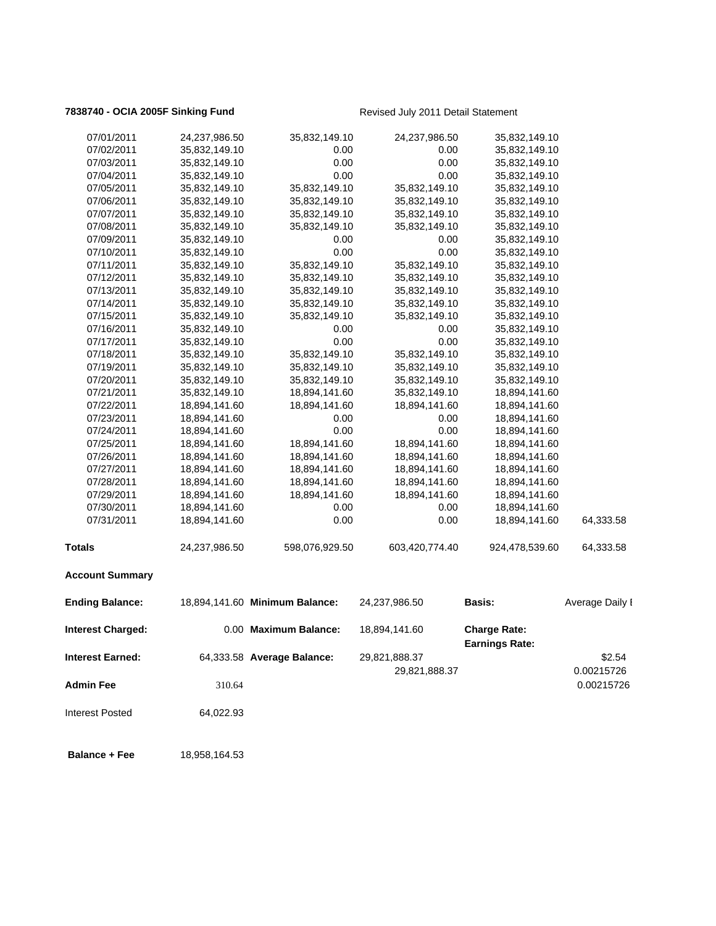## **7838740 - OCIA 2005F Sinking Fund** Revised July 2011 Detail Statement

| 07/01/2011               | 24,237,986.50 | 35,832,149.10                  | 24,237,986.50  | 35,832,149.10                                |                 |
|--------------------------|---------------|--------------------------------|----------------|----------------------------------------------|-----------------|
| 07/02/2011               | 35,832,149.10 | 0.00                           | 0.00           | 35,832,149.10                                |                 |
| 07/03/2011               | 35,832,149.10 | 0.00                           | 0.00           | 35,832,149.10                                |                 |
| 07/04/2011               | 35,832,149.10 | 0.00                           | 0.00           | 35,832,149.10                                |                 |
| 07/05/2011               | 35,832,149.10 | 35,832,149.10                  | 35,832,149.10  | 35,832,149.10                                |                 |
| 07/06/2011               | 35,832,149.10 | 35,832,149.10                  | 35,832,149.10  | 35,832,149.10                                |                 |
| 07/07/2011               | 35,832,149.10 | 35,832,149.10                  | 35,832,149.10  | 35,832,149.10                                |                 |
| 07/08/2011               | 35,832,149.10 | 35,832,149.10                  | 35,832,149.10  | 35,832,149.10                                |                 |
| 07/09/2011               | 35,832,149.10 | 0.00                           | 0.00           | 35,832,149.10                                |                 |
| 07/10/2011               | 35,832,149.10 | 0.00                           | 0.00           | 35,832,149.10                                |                 |
| 07/11/2011               | 35,832,149.10 | 35,832,149.10                  | 35,832,149.10  | 35,832,149.10                                |                 |
| 07/12/2011               | 35,832,149.10 | 35,832,149.10                  | 35,832,149.10  | 35,832,149.10                                |                 |
| 07/13/2011               | 35,832,149.10 | 35,832,149.10                  | 35,832,149.10  | 35,832,149.10                                |                 |
| 07/14/2011               | 35,832,149.10 | 35,832,149.10                  | 35,832,149.10  | 35,832,149.10                                |                 |
| 07/15/2011               | 35,832,149.10 | 35,832,149.10                  | 35,832,149.10  | 35,832,149.10                                |                 |
| 07/16/2011               | 35,832,149.10 | 0.00                           | 0.00           | 35,832,149.10                                |                 |
| 07/17/2011               | 35,832,149.10 | 0.00                           | 0.00           | 35,832,149.10                                |                 |
| 07/18/2011               | 35,832,149.10 | 35,832,149.10                  | 35,832,149.10  | 35,832,149.10                                |                 |
| 07/19/2011               | 35,832,149.10 | 35,832,149.10                  | 35,832,149.10  | 35,832,149.10                                |                 |
| 07/20/2011               | 35,832,149.10 | 35,832,149.10                  | 35,832,149.10  | 35,832,149.10                                |                 |
| 07/21/2011               | 35,832,149.10 | 18,894,141.60                  | 35,832,149.10  | 18,894,141.60                                |                 |
| 07/22/2011               | 18,894,141.60 | 18,894,141.60                  | 18,894,141.60  | 18,894,141.60                                |                 |
| 07/23/2011               | 18,894,141.60 | 0.00                           | 0.00           | 18,894,141.60                                |                 |
| 07/24/2011               | 18,894,141.60 | 0.00                           | 0.00           | 18,894,141.60                                |                 |
| 07/25/2011               | 18,894,141.60 | 18,894,141.60                  | 18,894,141.60  | 18,894,141.60                                |                 |
| 07/26/2011               | 18,894,141.60 | 18,894,141.60                  | 18,894,141.60  | 18,894,141.60                                |                 |
| 07/27/2011               | 18,894,141.60 | 18,894,141.60                  | 18,894,141.60  | 18,894,141.60                                |                 |
| 07/28/2011               | 18,894,141.60 | 18,894,141.60                  | 18,894,141.60  | 18,894,141.60                                |                 |
| 07/29/2011               | 18,894,141.60 | 18,894,141.60                  | 18,894,141.60  | 18,894,141.60                                |                 |
| 07/30/2011               | 18,894,141.60 | 0.00                           | 0.00           | 18,894,141.60                                |                 |
| 07/31/2011               | 18,894,141.60 | 0.00                           | 0.00           | 18,894,141.60                                | 64,333.58       |
| <b>Totals</b>            | 24,237,986.50 | 598,076,929.50                 | 603,420,774.40 | 924,478,539.60                               | 64,333.58       |
| <b>Account Summary</b>   |               |                                |                |                                              |                 |
| <b>Ending Balance:</b>   |               | 18,894,141.60 Minimum Balance: | 24,237,986.50  | <b>Basis:</b>                                | Average Daily I |
| <b>Interest Charged:</b> |               | 0.00 Maximum Balance:          | 18,894,141.60  | <b>Charge Rate:</b><br><b>Earnings Rate:</b> |                 |
| <b>Interest Earned:</b>  |               | 64,333.58 Average Balance:     | 29,821,888.37  |                                              | \$2.54          |
|                          |               |                                | 29,821,888.37  |                                              | 0.00215726      |
| <b>Admin Fee</b>         | 310.64        |                                |                |                                              | 0.00215726      |
|                          |               |                                |                |                                              |                 |
| <b>Interest Posted</b>   | 64,022.93     |                                |                |                                              |                 |
| <b>Balance + Fee</b>     | 18,958,164.53 |                                |                |                                              |                 |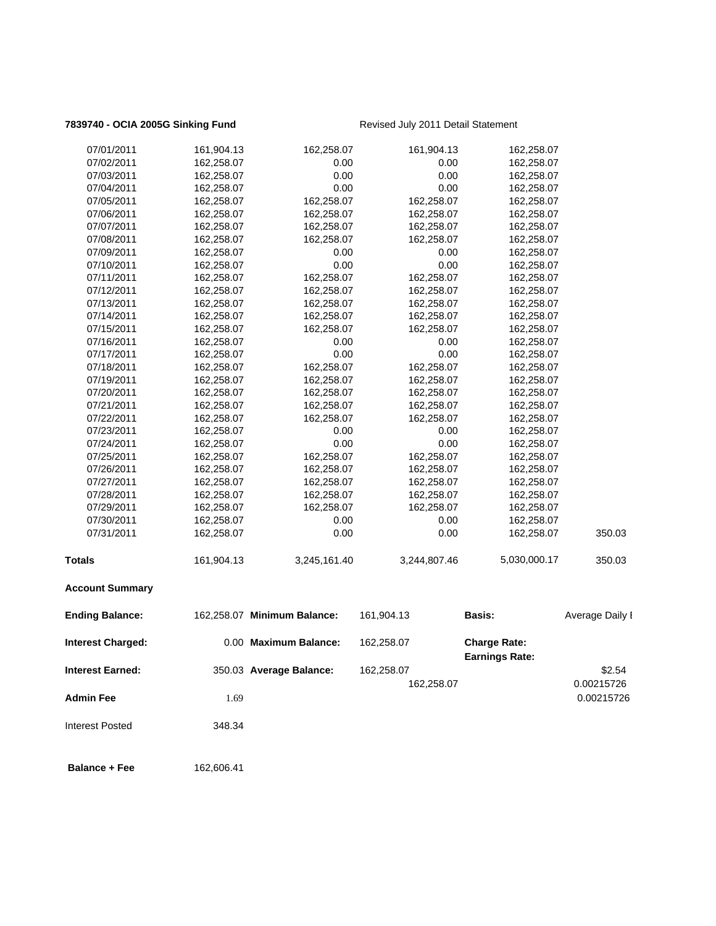## **7839740 - OCIA 2005G Sinking Fund** Revised July 2011 Detail Statement

| 07/01/2011               | 161,904.13 | 162,258.07                  | 161,904.13   | 162,258.07                                   |                 |
|--------------------------|------------|-----------------------------|--------------|----------------------------------------------|-----------------|
| 07/02/2011               | 162,258.07 | 0.00                        | 0.00         | 162,258.07                                   |                 |
| 07/03/2011               | 162,258.07 | 0.00                        | 0.00         | 162,258.07                                   |                 |
| 07/04/2011               | 162,258.07 | 0.00                        | 0.00         | 162,258.07                                   |                 |
| 07/05/2011               | 162,258.07 | 162,258.07                  | 162,258.07   | 162,258.07                                   |                 |
| 07/06/2011               | 162,258.07 | 162,258.07                  | 162,258.07   | 162,258.07                                   |                 |
| 07/07/2011               | 162,258.07 | 162,258.07                  | 162,258.07   | 162,258.07                                   |                 |
| 07/08/2011               | 162,258.07 | 162,258.07                  | 162,258.07   | 162,258.07                                   |                 |
| 07/09/2011               | 162,258.07 | 0.00                        | 0.00         | 162,258.07                                   |                 |
| 07/10/2011               | 162,258.07 | 0.00                        | 0.00         | 162,258.07                                   |                 |
| 07/11/2011               | 162,258.07 | 162,258.07                  | 162,258.07   | 162,258.07                                   |                 |
| 07/12/2011               | 162,258.07 | 162,258.07                  | 162,258.07   | 162,258.07                                   |                 |
| 07/13/2011               | 162,258.07 | 162,258.07                  | 162,258.07   | 162,258.07                                   |                 |
| 07/14/2011               | 162,258.07 | 162,258.07                  | 162,258.07   | 162,258.07                                   |                 |
| 07/15/2011               | 162,258.07 | 162,258.07                  | 162,258.07   | 162,258.07                                   |                 |
| 07/16/2011               | 162,258.07 | 0.00                        | 0.00         | 162,258.07                                   |                 |
| 07/17/2011               | 162,258.07 | 0.00                        | 0.00         | 162,258.07                                   |                 |
| 07/18/2011               | 162,258.07 | 162,258.07                  | 162,258.07   | 162,258.07                                   |                 |
| 07/19/2011               | 162,258.07 | 162,258.07                  | 162,258.07   | 162,258.07                                   |                 |
| 07/20/2011               | 162,258.07 | 162,258.07                  | 162,258.07   | 162,258.07                                   |                 |
| 07/21/2011               | 162,258.07 | 162,258.07                  | 162,258.07   | 162,258.07                                   |                 |
| 07/22/2011               | 162,258.07 | 162,258.07                  | 162,258.07   | 162,258.07                                   |                 |
| 07/23/2011               | 162,258.07 | 0.00                        | 0.00         | 162,258.07                                   |                 |
| 07/24/2011               | 162,258.07 | 0.00                        | 0.00         | 162,258.07                                   |                 |
| 07/25/2011               | 162,258.07 | 162,258.07                  | 162,258.07   | 162,258.07                                   |                 |
| 07/26/2011               | 162,258.07 | 162,258.07                  | 162,258.07   | 162,258.07                                   |                 |
| 07/27/2011               | 162,258.07 | 162,258.07                  | 162,258.07   | 162,258.07                                   |                 |
| 07/28/2011               | 162,258.07 | 162,258.07                  | 162,258.07   | 162,258.07                                   |                 |
| 07/29/2011               | 162,258.07 | 162,258.07                  | 162,258.07   | 162,258.07                                   |                 |
| 07/30/2011               | 162,258.07 | 0.00                        | 0.00         | 162,258.07                                   |                 |
| 07/31/2011               | 162,258.07 | 0.00                        | 0.00         | 162,258.07                                   | 350.03          |
| <b>Totals</b>            | 161,904.13 | 3,245,161.40                | 3,244,807.46 | 5,030,000.17                                 | 350.03          |
| <b>Account Summary</b>   |            |                             |              |                                              |                 |
| <b>Ending Balance:</b>   |            | 162,258.07 Minimum Balance: | 161,904.13   | Basis:                                       | Average Daily I |
| <b>Interest Charged:</b> |            | 0.00 Maximum Balance:       | 162,258.07   | <b>Charge Rate:</b><br><b>Earnings Rate:</b> |                 |
| <b>Interest Earned:</b>  |            | 350.03 Average Balance:     | 162,258.07   |                                              | \$2.54          |
|                          |            |                             | 162,258.07   |                                              | 0.00215726      |
| <b>Admin Fee</b>         | 1.69       |                             |              |                                              | 0.00215726      |
| <b>Interest Posted</b>   | 348.34     |                             |              |                                              |                 |

**Balance + Fee** 162,606.41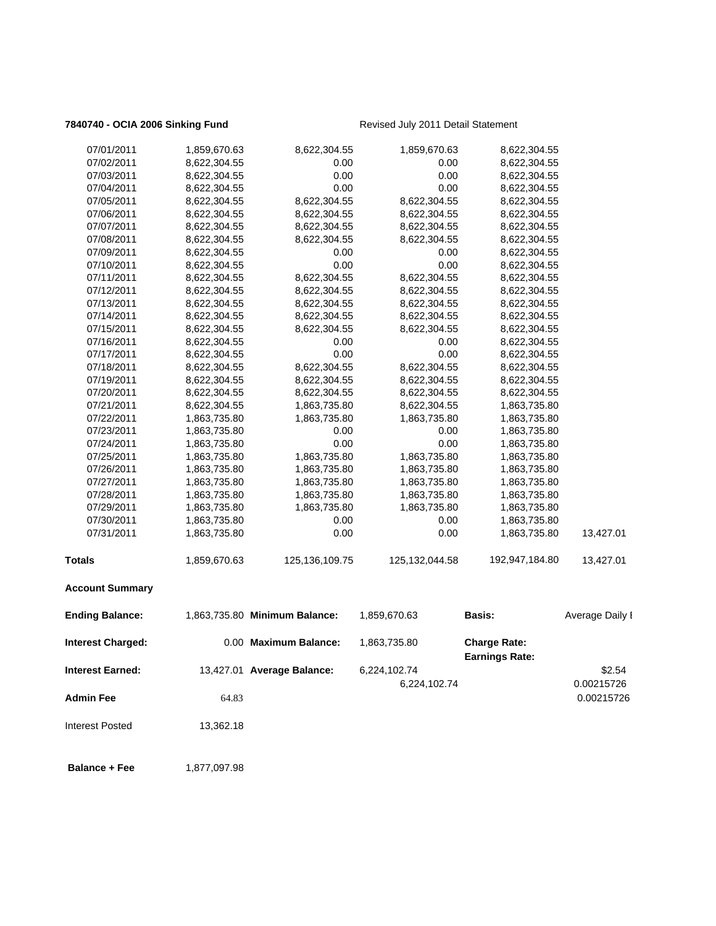## **7840740 - OCIA 2006 Sinking Fund** Revised July 2011 Detail Statement

| 07/01/2011              | 1,859,670.63 | 8,622,304.55                  | 1,859,670.63     | 8,622,304.55                                 |                 |
|-------------------------|--------------|-------------------------------|------------------|----------------------------------------------|-----------------|
| 07/02/2011              | 8,622,304.55 | 0.00                          | 0.00             | 8,622,304.55                                 |                 |
| 07/03/2011              | 8,622,304.55 | 0.00                          | 0.00             | 8,622,304.55                                 |                 |
| 07/04/2011              | 8,622,304.55 | 0.00                          | 0.00             | 8,622,304.55                                 |                 |
| 07/05/2011              | 8,622,304.55 | 8,622,304.55                  | 8,622,304.55     | 8,622,304.55                                 |                 |
| 07/06/2011              | 8,622,304.55 | 8,622,304.55                  | 8,622,304.55     | 8,622,304.55                                 |                 |
| 07/07/2011              | 8,622,304.55 | 8,622,304.55                  | 8,622,304.55     | 8,622,304.55                                 |                 |
| 07/08/2011              | 8,622,304.55 | 8,622,304.55                  | 8,622,304.55     | 8,622,304.55                                 |                 |
| 07/09/2011              | 8,622,304.55 | 0.00                          | 0.00             | 8,622,304.55                                 |                 |
| 07/10/2011              | 8,622,304.55 | 0.00                          | 0.00             | 8,622,304.55                                 |                 |
| 07/11/2011              | 8,622,304.55 | 8,622,304.55                  | 8,622,304.55     | 8,622,304.55                                 |                 |
| 07/12/2011              | 8,622,304.55 | 8,622,304.55                  | 8,622,304.55     | 8,622,304.55                                 |                 |
| 07/13/2011              | 8,622,304.55 | 8,622,304.55                  | 8,622,304.55     | 8,622,304.55                                 |                 |
| 07/14/2011              | 8,622,304.55 | 8,622,304.55                  | 8,622,304.55     | 8,622,304.55                                 |                 |
| 07/15/2011              | 8,622,304.55 | 8,622,304.55                  | 8,622,304.55     | 8,622,304.55                                 |                 |
| 07/16/2011              | 8,622,304.55 | 0.00                          | 0.00             | 8,622,304.55                                 |                 |
| 07/17/2011              | 8,622,304.55 | 0.00                          | 0.00             | 8,622,304.55                                 |                 |
| 07/18/2011              | 8,622,304.55 | 8,622,304.55                  | 8,622,304.55     | 8,622,304.55                                 |                 |
| 07/19/2011              | 8,622,304.55 | 8,622,304.55                  | 8,622,304.55     | 8,622,304.55                                 |                 |
| 07/20/2011              | 8,622,304.55 | 8,622,304.55                  | 8,622,304.55     | 8,622,304.55                                 |                 |
| 07/21/2011              | 8,622,304.55 | 1,863,735.80                  | 8,622,304.55     | 1,863,735.80                                 |                 |
| 07/22/2011              | 1,863,735.80 | 1,863,735.80                  | 1,863,735.80     | 1,863,735.80                                 |                 |
| 07/23/2011              | 1,863,735.80 | 0.00                          | 0.00             | 1,863,735.80                                 |                 |
| 07/24/2011              | 1,863,735.80 | 0.00                          | 0.00             | 1,863,735.80                                 |                 |
| 07/25/2011              | 1,863,735.80 | 1,863,735.80                  | 1,863,735.80     | 1,863,735.80                                 |                 |
| 07/26/2011              | 1,863,735.80 | 1,863,735.80                  | 1,863,735.80     | 1,863,735.80                                 |                 |
| 07/27/2011              | 1,863,735.80 | 1,863,735.80                  | 1,863,735.80     | 1,863,735.80                                 |                 |
| 07/28/2011              | 1,863,735.80 | 1,863,735.80                  | 1,863,735.80     | 1,863,735.80                                 |                 |
| 07/29/2011              | 1,863,735.80 | 1,863,735.80                  | 1,863,735.80     | 1,863,735.80                                 |                 |
| 07/30/2011              | 1,863,735.80 | 0.00                          | 0.00             | 1,863,735.80                                 |                 |
| 07/31/2011              | 1,863,735.80 | 0.00                          | 0.00             | 1,863,735.80                                 | 13,427.01       |
| <b>Totals</b>           | 1,859,670.63 | 125, 136, 109. 75             | 125, 132, 044.58 | 192,947,184.80                               | 13,427.01       |
| <b>Account Summary</b>  |              |                               |                  |                                              |                 |
| <b>Ending Balance:</b>  |              | 1,863,735.80 Minimum Balance: | 1,859,670.63     | <b>Basis:</b>                                | Average Daily I |
| Interest Charged:       |              | 0.00 Maximum Balance:         | 1,863,735.80     | <b>Charge Rate:</b><br><b>Earnings Rate:</b> |                 |
| <b>Interest Earned:</b> |              | 13,427.01 Average Balance:    | 6,224,102.74     |                                              | \$2.54          |
|                         |              |                               | 6,224,102.74     |                                              | 0.00215726      |
| <b>Admin Fee</b>        | 64.83        |                               |                  |                                              | 0.00215726      |
|                         |              |                               |                  |                                              |                 |
| <b>Interest Posted</b>  | 13,362.18    |                               |                  |                                              |                 |
| <b>Balance + Fee</b>    | 1,877,097.98 |                               |                  |                                              |                 |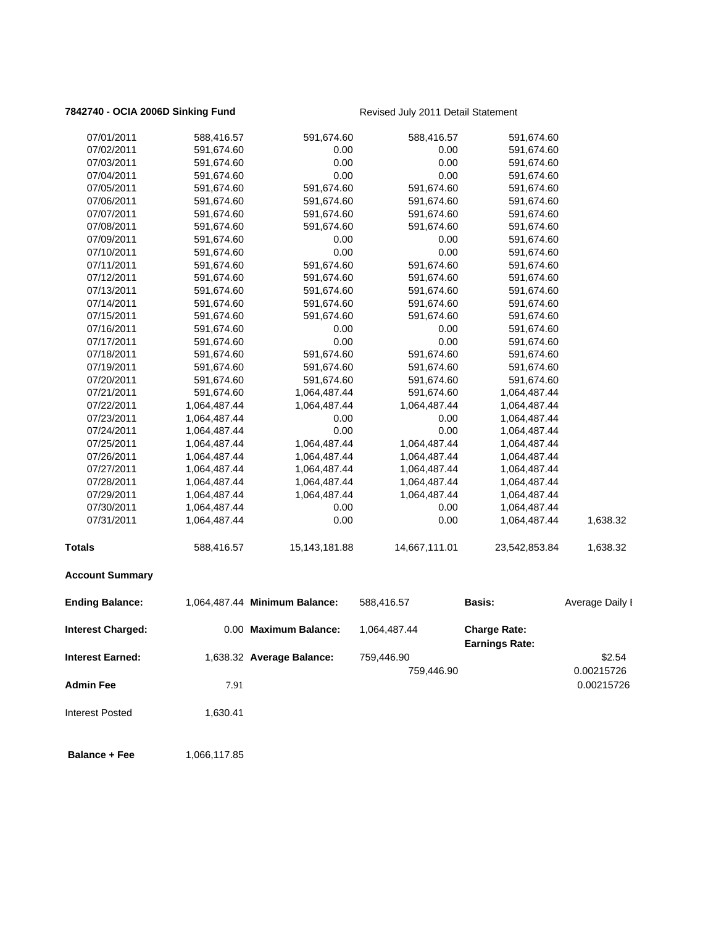## **7842740 - OCIA 2006D Sinking Fund** Revised July 2011 Detail Statement

| 07/01/2011               | 588,416.57   | 591,674.60                    | 588,416.57    | 591,674.60            |                 |
|--------------------------|--------------|-------------------------------|---------------|-----------------------|-----------------|
| 07/02/2011               | 591,674.60   | 0.00                          | 0.00          | 591,674.60            |                 |
| 07/03/2011               | 591,674.60   | 0.00                          | 0.00          | 591,674.60            |                 |
| 07/04/2011               | 591,674.60   | 0.00                          | 0.00          | 591,674.60            |                 |
| 07/05/2011               | 591,674.60   | 591,674.60                    | 591,674.60    | 591,674.60            |                 |
| 07/06/2011               | 591,674.60   | 591,674.60                    | 591,674.60    | 591,674.60            |                 |
| 07/07/2011               | 591,674.60   | 591,674.60                    | 591,674.60    | 591,674.60            |                 |
| 07/08/2011               | 591,674.60   | 591,674.60                    | 591,674.60    | 591,674.60            |                 |
| 07/09/2011               | 591,674.60   | 0.00                          | 0.00          | 591,674.60            |                 |
| 07/10/2011               | 591,674.60   | 0.00                          | 0.00          | 591,674.60            |                 |
| 07/11/2011               | 591,674.60   | 591,674.60                    | 591,674.60    | 591,674.60            |                 |
| 07/12/2011               | 591,674.60   | 591,674.60                    | 591,674.60    | 591,674.60            |                 |
| 07/13/2011               | 591,674.60   | 591,674.60                    | 591,674.60    | 591,674.60            |                 |
| 07/14/2011               | 591,674.60   | 591,674.60                    | 591,674.60    | 591,674.60            |                 |
| 07/15/2011               | 591,674.60   | 591,674.60                    | 591,674.60    | 591,674.60            |                 |
| 07/16/2011               | 591,674.60   | 0.00                          | 0.00          | 591,674.60            |                 |
| 07/17/2011               | 591,674.60   | 0.00                          | 0.00          | 591,674.60            |                 |
| 07/18/2011               | 591,674.60   | 591,674.60                    | 591,674.60    | 591,674.60            |                 |
| 07/19/2011               | 591,674.60   | 591,674.60                    | 591,674.60    | 591,674.60            |                 |
| 07/20/2011               | 591,674.60   | 591,674.60                    | 591,674.60    | 591,674.60            |                 |
| 07/21/2011               | 591,674.60   | 1,064,487.44                  | 591,674.60    | 1,064,487.44          |                 |
| 07/22/2011               | 1,064,487.44 | 1,064,487.44                  | 1,064,487.44  | 1,064,487.44          |                 |
| 07/23/2011               | 1,064,487.44 | 0.00                          | 0.00          | 1,064,487.44          |                 |
| 07/24/2011               | 1,064,487.44 | 0.00                          | 0.00          | 1,064,487.44          |                 |
| 07/25/2011               | 1,064,487.44 | 1,064,487.44                  | 1,064,487.44  | 1,064,487.44          |                 |
| 07/26/2011               | 1,064,487.44 | 1,064,487.44                  | 1,064,487.44  | 1,064,487.44          |                 |
| 07/27/2011               | 1,064,487.44 | 1,064,487.44                  | 1,064,487.44  | 1,064,487.44          |                 |
| 07/28/2011               | 1,064,487.44 | 1,064,487.44                  | 1,064,487.44  | 1,064,487.44          |                 |
| 07/29/2011               | 1,064,487.44 | 1,064,487.44                  | 1,064,487.44  | 1,064,487.44          |                 |
| 07/30/2011               | 1,064,487.44 | 0.00                          | 0.00          | 1,064,487.44          |                 |
| 07/31/2011               | 1,064,487.44 | 0.00                          | 0.00          | 1,064,487.44          | 1,638.32        |
| <b>Totals</b>            | 588,416.57   | 15, 143, 181.88               | 14,667,111.01 | 23,542,853.84         | 1,638.32        |
| <b>Account Summary</b>   |              |                               |               |                       |                 |
| <b>Ending Balance:</b>   |              | 1,064,487.44 Minimum Balance: | 588,416.57    | Basis:                | Average Daily I |
| <b>Interest Charged:</b> |              | 0.00 Maximum Balance:         | 1,064,487.44  | <b>Charge Rate:</b>   |                 |
|                          |              |                               |               | <b>Earnings Rate:</b> |                 |
| <b>Interest Earned:</b>  |              | 1,638.32 Average Balance:     | 759,446.90    |                       | \$2.54          |
|                          |              |                               | 759,446.90    |                       | 0.00215726      |
| <b>Admin Fee</b>         | 7.91         |                               |               |                       | 0.00215726      |
| <b>Interest Posted</b>   | 1,630.41     |                               |               |                       |                 |
|                          |              |                               |               |                       |                 |

**Balance + Fee** 1,066,117.85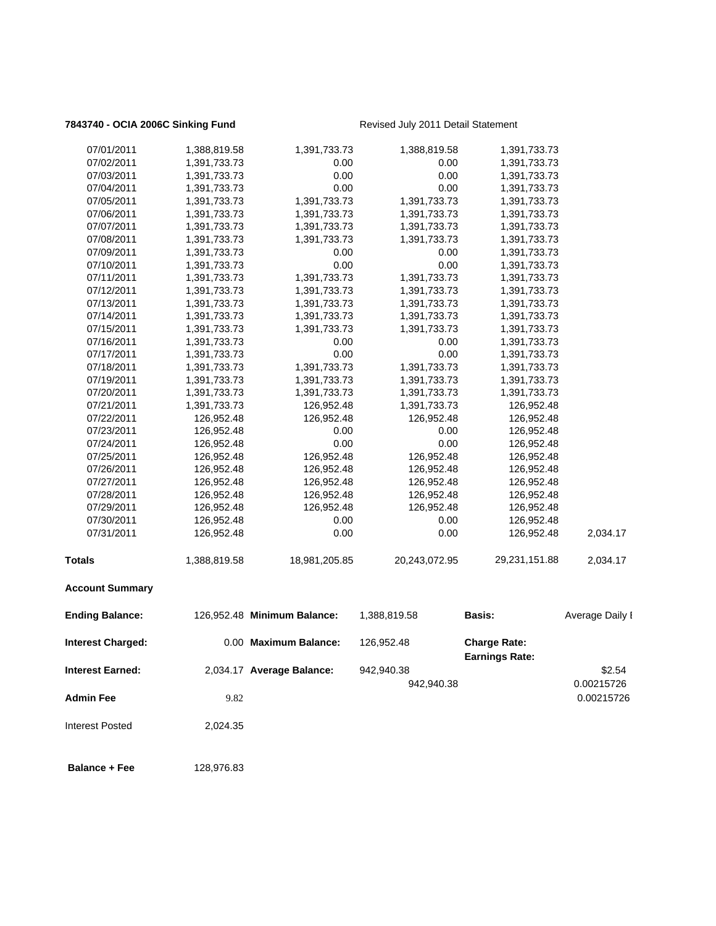## **7843740 - OCIA 2006C Sinking Fund** Revised July 2011 Detail Statement

| 07/01/2011              | 1,388,819.58 | 1,391,733.73                | 1,388,819.58  | 1,391,733.73                                 |                 |
|-------------------------|--------------|-----------------------------|---------------|----------------------------------------------|-----------------|
| 07/02/2011              | 1,391,733.73 | 0.00                        | 0.00          | 1,391,733.73                                 |                 |
| 07/03/2011              | 1,391,733.73 | 0.00                        | 0.00          | 1,391,733.73                                 |                 |
| 07/04/2011              | 1,391,733.73 | 0.00                        | 0.00          | 1,391,733.73                                 |                 |
| 07/05/2011              | 1,391,733.73 | 1,391,733.73                | 1,391,733.73  | 1,391,733.73                                 |                 |
| 07/06/2011              | 1,391,733.73 | 1,391,733.73                | 1,391,733.73  | 1,391,733.73                                 |                 |
| 07/07/2011              | 1,391,733.73 | 1,391,733.73                | 1,391,733.73  | 1,391,733.73                                 |                 |
| 07/08/2011              | 1,391,733.73 | 1,391,733.73                | 1,391,733.73  | 1,391,733.73                                 |                 |
| 07/09/2011              | 1,391,733.73 | 0.00                        | 0.00          | 1,391,733.73                                 |                 |
| 07/10/2011              | 1,391,733.73 | 0.00                        | 0.00          | 1,391,733.73                                 |                 |
| 07/11/2011              | 1,391,733.73 | 1,391,733.73                | 1,391,733.73  | 1,391,733.73                                 |                 |
| 07/12/2011              | 1,391,733.73 | 1,391,733.73                | 1,391,733.73  | 1,391,733.73                                 |                 |
| 07/13/2011              | 1,391,733.73 | 1,391,733.73                | 1,391,733.73  | 1,391,733.73                                 |                 |
| 07/14/2011              | 1,391,733.73 | 1,391,733.73                | 1,391,733.73  | 1,391,733.73                                 |                 |
| 07/15/2011              | 1,391,733.73 | 1,391,733.73                | 1,391,733.73  | 1,391,733.73                                 |                 |
| 07/16/2011              | 1,391,733.73 | 0.00                        | 0.00          | 1,391,733.73                                 |                 |
| 07/17/2011              | 1,391,733.73 | 0.00                        | 0.00          | 1,391,733.73                                 |                 |
| 07/18/2011              | 1,391,733.73 | 1,391,733.73                | 1,391,733.73  | 1,391,733.73                                 |                 |
| 07/19/2011              | 1,391,733.73 | 1,391,733.73                | 1,391,733.73  | 1,391,733.73                                 |                 |
| 07/20/2011              | 1,391,733.73 | 1,391,733.73                | 1,391,733.73  | 1,391,733.73                                 |                 |
| 07/21/2011              | 1,391,733.73 | 126,952.48                  | 1,391,733.73  | 126,952.48                                   |                 |
| 07/22/2011              | 126,952.48   | 126,952.48                  | 126,952.48    | 126,952.48                                   |                 |
| 07/23/2011              | 126,952.48   | 0.00                        | 0.00          | 126,952.48                                   |                 |
| 07/24/2011              | 126,952.48   | 0.00                        | 0.00          | 126,952.48                                   |                 |
| 07/25/2011              | 126,952.48   | 126,952.48                  | 126,952.48    | 126,952.48                                   |                 |
| 07/26/2011              | 126,952.48   | 126,952.48                  | 126,952.48    | 126,952.48                                   |                 |
| 07/27/2011              | 126,952.48   | 126,952.48                  | 126,952.48    | 126,952.48                                   |                 |
| 07/28/2011              | 126,952.48   | 126,952.48                  | 126,952.48    | 126,952.48                                   |                 |
| 07/29/2011              | 126,952.48   | 126,952.48                  | 126,952.48    | 126,952.48                                   |                 |
| 07/30/2011              | 126,952.48   | 0.00                        | 0.00          | 126,952.48                                   |                 |
| 07/31/2011              | 126,952.48   | 0.00                        | 0.00          | 126,952.48                                   | 2,034.17        |
| <b>Totals</b>           | 1,388,819.58 | 18,981,205.85               | 20,243,072.95 | 29,231,151.88                                | 2,034.17        |
| <b>Account Summary</b>  |              |                             |               |                                              |                 |
| <b>Ending Balance:</b>  |              | 126,952.48 Minimum Balance: | 1,388,819.58  | <b>Basis:</b>                                | Average Daily I |
|                         |              |                             |               |                                              |                 |
| Interest Charged:       |              | 0.00 Maximum Balance:       | 126,952.48    | <b>Charge Rate:</b><br><b>Earnings Rate:</b> |                 |
| <b>Interest Earned:</b> |              | 2,034.17 Average Balance:   | 942,940.38    |                                              | \$2.54          |
|                         |              |                             | 942,940.38    |                                              | 0.00215726      |
| <b>Admin Fee</b>        | 9.82         |                             |               |                                              | 0.00215726      |
|                         |              |                             |               |                                              |                 |
| <b>Interest Posted</b>  | 2,024.35     |                             |               |                                              |                 |
|                         |              |                             |               |                                              |                 |
|                         |              |                             |               |                                              |                 |

 **Balance + Fee** 128,976.83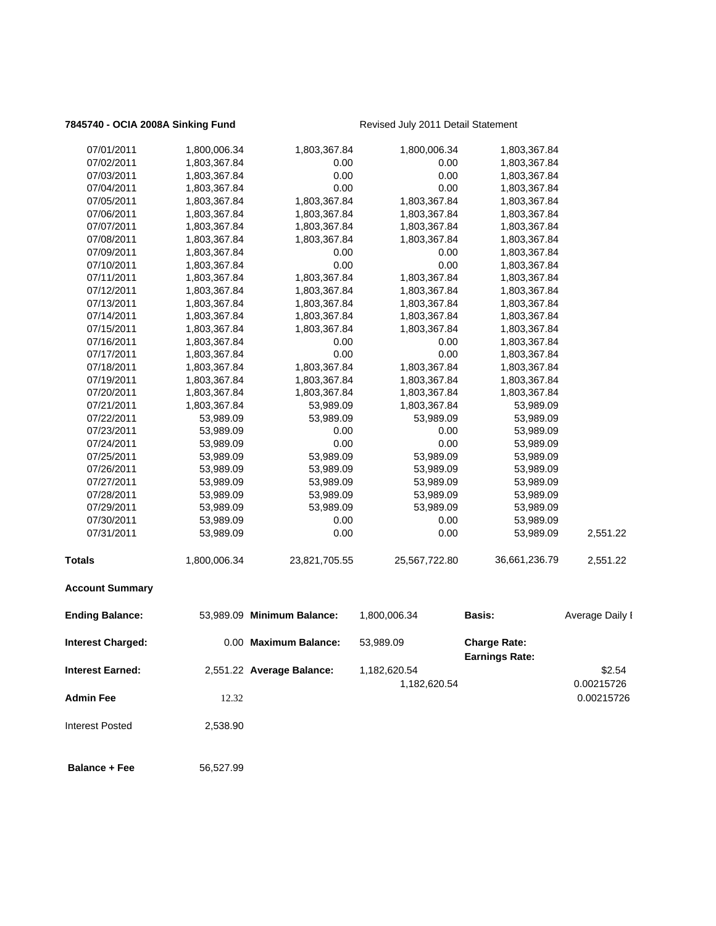## **7845740 - OCIA 2008A Sinking Fund** Revised July 2011 Detail Statement

| <b>Admin Fee</b>         | 12.32        |                            | 1,182,620.54  |                                              | 0.00215726<br>0.00215726 |
|--------------------------|--------------|----------------------------|---------------|----------------------------------------------|--------------------------|
| <b>Interest Earned:</b>  |              | 2,551.22 Average Balance:  | 1,182,620.54  |                                              | \$2.54                   |
| <b>Interest Charged:</b> |              | 0.00 Maximum Balance:      | 53,989.09     | <b>Charge Rate:</b><br><b>Earnings Rate:</b> |                          |
| <b>Ending Balance:</b>   |              | 53,989.09 Minimum Balance: | 1,800,006.34  | Basis:                                       | Average Daily I          |
| <b>Account Summary</b>   |              |                            |               |                                              |                          |
| <b>Totals</b>            | 1,800,006.34 | 23,821,705.55              | 25,567,722.80 | 36,661,236.79                                | 2,551.22                 |
| 07/31/2011               | 53,989.09    | 0.00                       | 0.00          | 53,989.09                                    | 2,551.22                 |
| 07/30/2011               | 53,989.09    | 0.00                       | 0.00          | 53,989.09                                    |                          |
| 07/29/2011               | 53,989.09    | 53,989.09                  | 53,989.09     | 53,989.09                                    |                          |
| 07/28/2011               | 53,989.09    | 53,989.09                  | 53,989.09     | 53,989.09                                    |                          |
| 07/27/2011               | 53,989.09    | 53,989.09                  | 53,989.09     | 53,989.09                                    |                          |
| 07/26/2011               | 53,989.09    | 53,989.09                  | 53,989.09     | 53,989.09                                    |                          |
| 07/25/2011               | 53,989.09    | 53,989.09                  | 53,989.09     | 53,989.09                                    |                          |
| 07/24/2011               | 53,989.09    | 0.00                       | 0.00          | 53,989.09                                    |                          |
| 07/23/2011               | 53,989.09    | 0.00                       | 0.00          | 53,989.09                                    |                          |
| 07/22/2011               | 53,989.09    | 53,989.09                  | 53,989.09     | 53,989.09                                    |                          |
| 07/21/2011               | 1,803,367.84 | 53,989.09                  | 1,803,367.84  | 53,989.09                                    |                          |
| 07/20/2011               | 1,803,367.84 | 1,803,367.84               | 1,803,367.84  | 1,803,367.84                                 |                          |
| 07/19/2011               | 1,803,367.84 | 1,803,367.84               | 1,803,367.84  | 1,803,367.84                                 |                          |
| 07/18/2011               | 1,803,367.84 | 1,803,367.84               | 1,803,367.84  | 1,803,367.84                                 |                          |
| 07/17/2011               | 1,803,367.84 | 0.00                       | 0.00          | 1,803,367.84                                 |                          |
| 07/16/2011               | 1,803,367.84 | 0.00                       | 0.00          | 1,803,367.84                                 |                          |
| 07/15/2011               | 1,803,367.84 | 1,803,367.84               | 1,803,367.84  | 1,803,367.84                                 |                          |
| 07/14/2011               | 1,803,367.84 | 1,803,367.84               | 1,803,367.84  | 1,803,367.84                                 |                          |
| 07/13/2011               | 1,803,367.84 | 1,803,367.84               | 1,803,367.84  | 1,803,367.84                                 |                          |
| 07/12/2011               | 1,803,367.84 | 1,803,367.84               | 1,803,367.84  | 1,803,367.84                                 |                          |
| 07/11/2011               | 1,803,367.84 | 1,803,367.84               | 1,803,367.84  | 1,803,367.84                                 |                          |
| 07/10/2011               | 1,803,367.84 | 0.00                       | 0.00          | 1,803,367.84                                 |                          |
| 07/09/2011               | 1,803,367.84 | 0.00                       | 0.00          | 1,803,367.84                                 |                          |
| 07/08/2011               | 1,803,367.84 | 1,803,367.84               | 1,803,367.84  | 1,803,367.84                                 |                          |
| 07/07/2011               | 1,803,367.84 | 1,803,367.84               | 1,803,367.84  | 1,803,367.84                                 |                          |
| 07/06/2011               | 1,803,367.84 | 1,803,367.84               | 1,803,367.84  | 1,803,367.84                                 |                          |
| 07/05/2011               | 1,803,367.84 | 1,803,367.84               | 1,803,367.84  | 1,803,367.84                                 |                          |
| 07/04/2011               | 1,803,367.84 | 0.00                       | 0.00          | 1,803,367.84                                 |                          |
| 07/03/2011               | 1,803,367.84 | 0.00                       | 0.00          | 1,803,367.84                                 |                          |
| 07/02/2011               | 1,803,367.84 | 0.00                       | 0.00          | 1,803,367.84                                 |                          |
| 07/01/2011               | 1,800,006.34 | 1,803,367.84               | 1,800,006.34  | 1,803,367.84                                 |                          |
|                          |              |                            |               |                                              |                          |

Interest Posted 2,538.90

**Balance + Fee** 56,527.99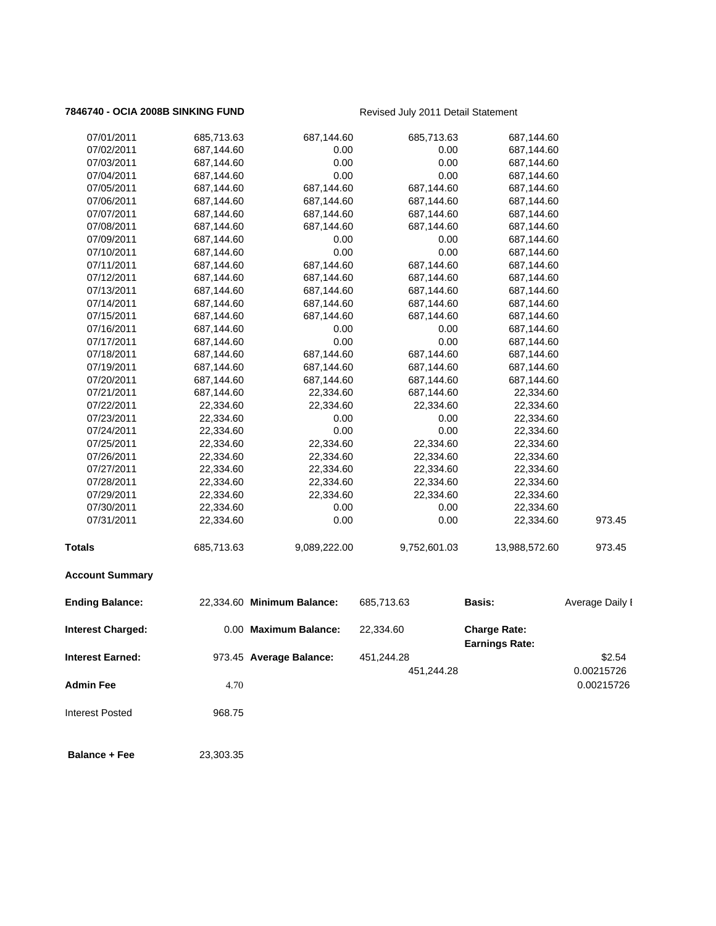## **7846740 - OCIA 2008B SINKING FUND** Revised July 2011 Detail Statement

| 07/01/2011               | 685,713.63 | 687,144.60                 | 685,713.63   | 687,144.60                                   |                          |
|--------------------------|------------|----------------------------|--------------|----------------------------------------------|--------------------------|
| 07/02/2011               | 687,144.60 | 0.00                       | 0.00         | 687,144.60                                   |                          |
| 07/03/2011               | 687,144.60 | 0.00                       | 0.00         | 687,144.60                                   |                          |
| 07/04/2011               | 687,144.60 | 0.00                       | 0.00         | 687,144.60                                   |                          |
| 07/05/2011               | 687,144.60 | 687,144.60                 | 687,144.60   | 687,144.60                                   |                          |
| 07/06/2011               | 687,144.60 | 687,144.60                 | 687,144.60   | 687,144.60                                   |                          |
| 07/07/2011               | 687,144.60 | 687,144.60                 | 687,144.60   | 687,144.60                                   |                          |
| 07/08/2011               | 687,144.60 | 687,144.60                 | 687,144.60   | 687,144.60                                   |                          |
| 07/09/2011               | 687,144.60 | 0.00                       | 0.00         | 687,144.60                                   |                          |
| 07/10/2011               | 687,144.60 | 0.00                       | 0.00         | 687,144.60                                   |                          |
| 07/11/2011               | 687,144.60 | 687,144.60                 | 687,144.60   | 687,144.60                                   |                          |
| 07/12/2011               | 687,144.60 | 687,144.60                 | 687,144.60   | 687,144.60                                   |                          |
| 07/13/2011               | 687,144.60 | 687,144.60                 | 687,144.60   | 687,144.60                                   |                          |
| 07/14/2011               | 687,144.60 | 687,144.60                 | 687,144.60   | 687,144.60                                   |                          |
| 07/15/2011               | 687,144.60 | 687,144.60                 | 687,144.60   | 687,144.60                                   |                          |
| 07/16/2011               | 687,144.60 | 0.00                       | 0.00         | 687,144.60                                   |                          |
| 07/17/2011               | 687,144.60 | 0.00                       | 0.00         | 687,144.60                                   |                          |
| 07/18/2011               | 687,144.60 | 687,144.60                 | 687,144.60   | 687,144.60                                   |                          |
| 07/19/2011               | 687,144.60 | 687,144.60                 | 687,144.60   | 687,144.60                                   |                          |
| 07/20/2011               | 687,144.60 | 687,144.60                 | 687,144.60   | 687,144.60                                   |                          |
| 07/21/2011               | 687,144.60 | 22,334.60                  | 687,144.60   | 22,334.60                                    |                          |
| 07/22/2011               | 22,334.60  | 22,334.60                  | 22,334.60    | 22,334.60                                    |                          |
| 07/23/2011               | 22,334.60  | 0.00                       | 0.00         | 22,334.60                                    |                          |
| 07/24/2011               | 22,334.60  | 0.00                       | 0.00         | 22,334.60                                    |                          |
| 07/25/2011               | 22,334.60  | 22,334.60                  | 22,334.60    | 22,334.60                                    |                          |
| 07/26/2011               | 22,334.60  | 22,334.60                  | 22,334.60    | 22,334.60                                    |                          |
| 07/27/2011               | 22,334.60  | 22,334.60                  | 22,334.60    | 22,334.60                                    |                          |
| 07/28/2011               | 22,334.60  | 22,334.60                  | 22,334.60    | 22,334.60                                    |                          |
| 07/29/2011               | 22,334.60  | 22,334.60                  | 22,334.60    | 22,334.60                                    |                          |
| 07/30/2011               | 22,334.60  | 0.00                       | 0.00         | 22,334.60                                    |                          |
| 07/31/2011               | 22,334.60  | 0.00                       | 0.00         | 22,334.60                                    | 973.45                   |
| Totals                   | 685,713.63 | 9,089,222.00               | 9,752,601.03 | 13,988,572.60                                | 973.45                   |
| <b>Account Summary</b>   |            |                            |              |                                              |                          |
| <b>Ending Balance:</b>   |            | 22,334.60 Minimum Balance: | 685,713.63   | <b>Basis:</b>                                | Average Daily I          |
| <b>Interest Charged:</b> |            | 0.00 Maximum Balance:      | 22,334.60    | <b>Charge Rate:</b><br><b>Earnings Rate:</b> |                          |
| Interest Earned:         |            | 973.45 Average Balance:    | 451,244.28   |                                              | \$2.54                   |
| <b>Admin Fee</b>         | 4.70       |                            | 451,244.28   |                                              | 0.00215726<br>0.00215726 |
| <b>Interest Posted</b>   | 968.75     |                            |              |                                              |                          |
|                          |            |                            |              |                                              |                          |
| <b>Balance + Fee</b>     | 23,303.35  |                            |              |                                              |                          |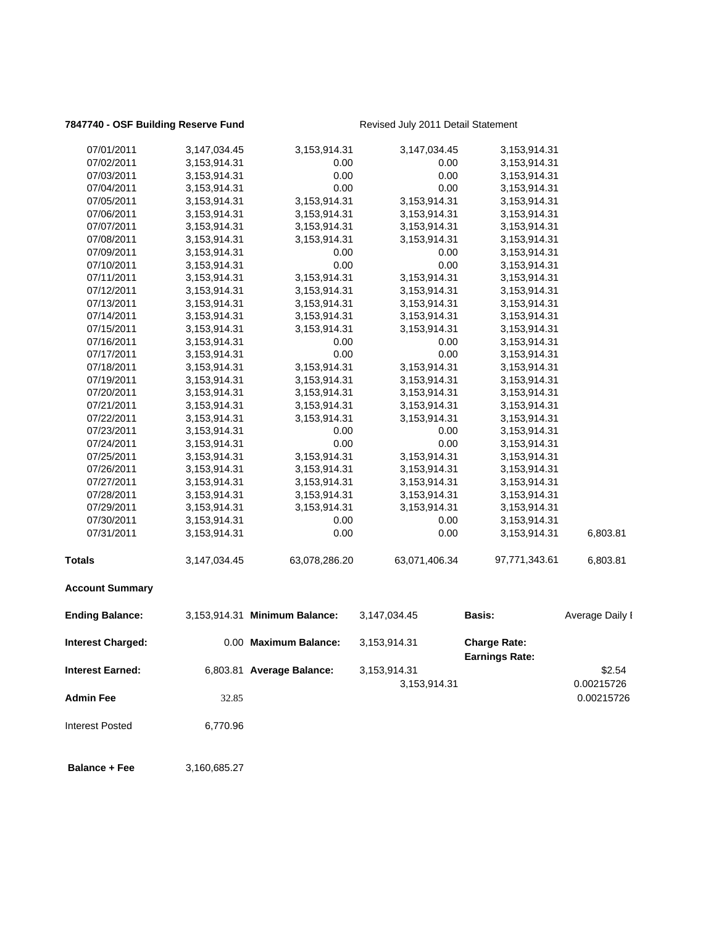## **7847740 - OSF Building Reserve Fund** Revised July 2011 Detail Statement

| 07/01/2011               | 3,147,034.45 | 3,153,914.31                  | 3,147,034.45  | 3,153,914.31          |                 |
|--------------------------|--------------|-------------------------------|---------------|-----------------------|-----------------|
| 07/02/2011               | 3,153,914.31 | 0.00                          | 0.00          | 3,153,914.31          |                 |
| 07/03/2011               | 3,153,914.31 | 0.00                          | 0.00          | 3,153,914.31          |                 |
| 07/04/2011               | 3,153,914.31 | 0.00                          | 0.00          | 3,153,914.31          |                 |
| 07/05/2011               | 3,153,914.31 | 3,153,914.31                  | 3,153,914.31  | 3,153,914.31          |                 |
| 07/06/2011               | 3,153,914.31 | 3,153,914.31                  | 3,153,914.31  | 3,153,914.31          |                 |
| 07/07/2011               | 3,153,914.31 | 3,153,914.31                  | 3,153,914.31  | 3,153,914.31          |                 |
| 07/08/2011               | 3,153,914.31 | 3,153,914.31                  | 3,153,914.31  | 3,153,914.31          |                 |
| 07/09/2011               | 3,153,914.31 | 0.00                          | 0.00          | 3,153,914.31          |                 |
| 07/10/2011               | 3,153,914.31 | 0.00                          | 0.00          | 3,153,914.31          |                 |
| 07/11/2011               | 3,153,914.31 | 3,153,914.31                  | 3,153,914.31  | 3,153,914.31          |                 |
| 07/12/2011               | 3,153,914.31 | 3,153,914.31                  | 3,153,914.31  | 3,153,914.31          |                 |
| 07/13/2011               | 3,153,914.31 | 3,153,914.31                  | 3,153,914.31  | 3,153,914.31          |                 |
| 07/14/2011               | 3,153,914.31 | 3,153,914.31                  | 3,153,914.31  | 3,153,914.31          |                 |
| 07/15/2011               | 3,153,914.31 | 3,153,914.31                  | 3,153,914.31  | 3,153,914.31          |                 |
| 07/16/2011               | 3,153,914.31 | 0.00                          | 0.00          | 3,153,914.31          |                 |
| 07/17/2011               | 3,153,914.31 | 0.00                          | 0.00          | 3,153,914.31          |                 |
| 07/18/2011               | 3,153,914.31 | 3,153,914.31                  | 3,153,914.31  | 3,153,914.31          |                 |
| 07/19/2011               | 3,153,914.31 | 3,153,914.31                  | 3,153,914.31  | 3,153,914.31          |                 |
| 07/20/2011               | 3,153,914.31 | 3,153,914.31                  | 3,153,914.31  | 3,153,914.31          |                 |
| 07/21/2011               | 3,153,914.31 | 3,153,914.31                  | 3,153,914.31  | 3,153,914.31          |                 |
| 07/22/2011               | 3,153,914.31 | 3,153,914.31                  | 3,153,914.31  | 3,153,914.31          |                 |
| 07/23/2011               | 3,153,914.31 | 0.00                          | 0.00          | 3,153,914.31          |                 |
| 07/24/2011               | 3,153,914.31 | 0.00                          | 0.00          | 3,153,914.31          |                 |
| 07/25/2011               | 3,153,914.31 | 3,153,914.31                  | 3,153,914.31  | 3,153,914.31          |                 |
| 07/26/2011               | 3,153,914.31 | 3,153,914.31                  | 3,153,914.31  | 3,153,914.31          |                 |
| 07/27/2011               | 3,153,914.31 | 3,153,914.31                  | 3,153,914.31  | 3,153,914.31          |                 |
| 07/28/2011               | 3,153,914.31 | 3,153,914.31                  | 3,153,914.31  | 3,153,914.31          |                 |
| 07/29/2011               | 3,153,914.31 | 3,153,914.31                  | 3,153,914.31  | 3,153,914.31          |                 |
| 07/30/2011               | 3,153,914.31 | 0.00                          | 0.00          | 3,153,914.31          |                 |
| 07/31/2011               |              | 0.00                          | 0.00          |                       | 6,803.81        |
|                          | 3,153,914.31 |                               |               | 3,153,914.31          |                 |
| <b>Totals</b>            | 3,147,034.45 | 63,078,286.20                 | 63,071,406.34 | 97,771,343.61         | 6,803.81        |
| <b>Account Summary</b>   |              |                               |               |                       |                 |
| <b>Ending Balance:</b>   |              | 3,153,914.31 Minimum Balance: | 3,147,034.45  | <b>Basis:</b>         | Average Daily I |
| <b>Interest Charged:</b> |              | 0.00 Maximum Balance:         | 3,153,914.31  | <b>Charge Rate:</b>   |                 |
|                          |              |                               |               | <b>Earnings Rate:</b> |                 |
| <b>Interest Earned:</b>  |              | 6,803.81 Average Balance:     | 3,153,914.31  |                       | \$2.54          |
|                          |              |                               | 3,153,914.31  |                       | 0.00215726      |
| <b>Admin Fee</b>         | 32.85        |                               |               |                       | 0.00215726      |
| <b>Interest Posted</b>   | 6,770.96     |                               |               |                       |                 |
|                          |              |                               |               |                       |                 |
|                          |              |                               |               |                       |                 |

 **Balance + Fee** 3,160,685.27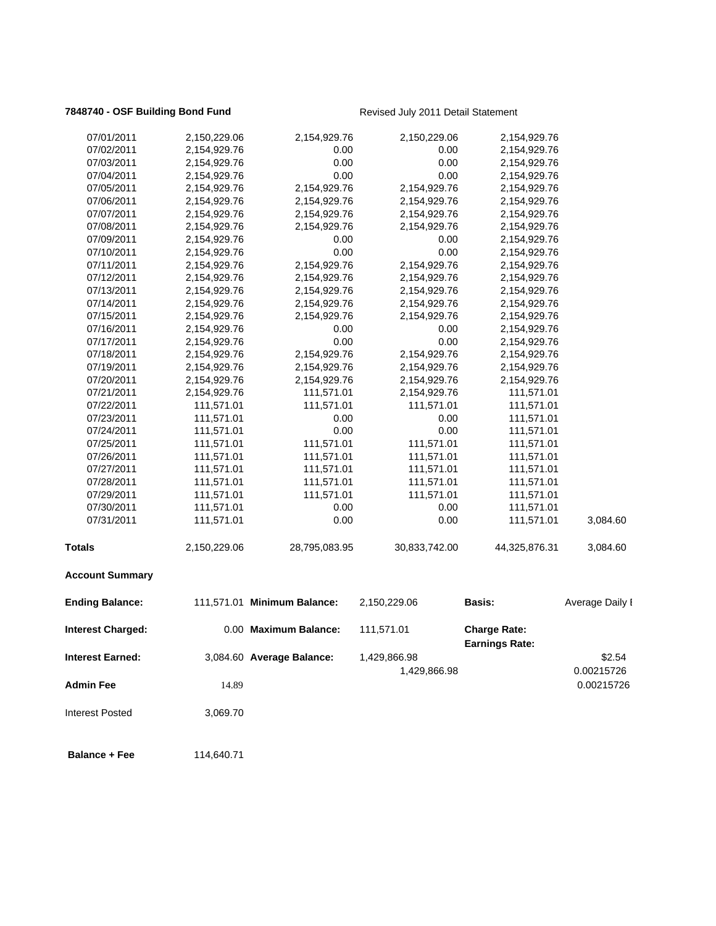## **7848740 - OSF Building Bond Fund** Revised July 2011 Detail Statement

| 07/01/2011              | 2,150,229.06 | 2,154,929.76                | 2,150,229.06  | 2,154,929.76                                 |                 |
|-------------------------|--------------|-----------------------------|---------------|----------------------------------------------|-----------------|
| 07/02/2011              | 2,154,929.76 | 0.00                        | 0.00          | 2,154,929.76                                 |                 |
| 07/03/2011              | 2,154,929.76 | 0.00                        | 0.00          | 2,154,929.76                                 |                 |
| 07/04/2011              | 2,154,929.76 | 0.00                        | 0.00          | 2,154,929.76                                 |                 |
| 07/05/2011              | 2,154,929.76 | 2,154,929.76                | 2,154,929.76  | 2,154,929.76                                 |                 |
| 07/06/2011              | 2,154,929.76 | 2,154,929.76                | 2,154,929.76  | 2,154,929.76                                 |                 |
| 07/07/2011              | 2,154,929.76 | 2,154,929.76                | 2,154,929.76  | 2,154,929.76                                 |                 |
| 07/08/2011              | 2,154,929.76 | 2,154,929.76                | 2,154,929.76  | 2,154,929.76                                 |                 |
| 07/09/2011              | 2,154,929.76 | 0.00                        | 0.00          | 2,154,929.76                                 |                 |
| 07/10/2011              | 2,154,929.76 | 0.00                        | 0.00          | 2,154,929.76                                 |                 |
| 07/11/2011              | 2,154,929.76 | 2,154,929.76                | 2,154,929.76  | 2,154,929.76                                 |                 |
| 07/12/2011              | 2,154,929.76 | 2,154,929.76                | 2,154,929.76  | 2,154,929.76                                 |                 |
| 07/13/2011              | 2,154,929.76 | 2,154,929.76                | 2,154,929.76  | 2,154,929.76                                 |                 |
| 07/14/2011              | 2,154,929.76 | 2,154,929.76                | 2,154,929.76  | 2,154,929.76                                 |                 |
| 07/15/2011              | 2,154,929.76 | 2,154,929.76                | 2,154,929.76  | 2,154,929.76                                 |                 |
| 07/16/2011              | 2,154,929.76 | 0.00                        | 0.00          | 2,154,929.76                                 |                 |
| 07/17/2011              | 2,154,929.76 | 0.00                        | 0.00          | 2,154,929.76                                 |                 |
| 07/18/2011              | 2,154,929.76 | 2,154,929.76                | 2,154,929.76  | 2,154,929.76                                 |                 |
| 07/19/2011              | 2,154,929.76 | 2,154,929.76                | 2,154,929.76  | 2,154,929.76                                 |                 |
| 07/20/2011              | 2,154,929.76 | 2,154,929.76                | 2,154,929.76  | 2,154,929.76                                 |                 |
| 07/21/2011              | 2,154,929.76 | 111,571.01                  | 2,154,929.76  | 111,571.01                                   |                 |
| 07/22/2011              | 111,571.01   | 111,571.01                  | 111,571.01    | 111,571.01                                   |                 |
| 07/23/2011              | 111,571.01   | 0.00                        | 0.00          | 111,571.01                                   |                 |
| 07/24/2011              | 111,571.01   | 0.00                        | 0.00          | 111,571.01                                   |                 |
| 07/25/2011              | 111,571.01   | 111,571.01                  | 111,571.01    | 111,571.01                                   |                 |
| 07/26/2011              | 111,571.01   | 111,571.01                  | 111,571.01    | 111,571.01                                   |                 |
| 07/27/2011              | 111,571.01   | 111,571.01                  | 111,571.01    | 111,571.01                                   |                 |
| 07/28/2011              | 111,571.01   | 111,571.01                  | 111,571.01    | 111,571.01                                   |                 |
| 07/29/2011              | 111,571.01   | 111,571.01                  | 111,571.01    | 111,571.01                                   |                 |
| 07/30/2011              | 111,571.01   | 0.00                        | 0.00          | 111,571.01                                   |                 |
| 07/31/2011              | 111,571.01   | 0.00                        | 0.00          | 111,571.01                                   | 3,084.60        |
| <b>Totals</b>           | 2,150,229.06 | 28,795,083.95               | 30,833,742.00 | 44,325,876.31                                | 3,084.60        |
| <b>Account Summary</b>  |              |                             |               |                                              |                 |
| <b>Ending Balance:</b>  |              | 111,571.01 Minimum Balance: | 2,150,229.06  | <b>Basis:</b>                                | Average Daily I |
| Interest Charged:       |              | 0.00 Maximum Balance:       | 111,571.01    | <b>Charge Rate:</b><br><b>Earnings Rate:</b> |                 |
| <b>Interest Earned:</b> |              | 3,084.60 Average Balance:   | 1,429,866.98  |                                              | \$2.54          |
|                         |              |                             | 1,429,866.98  |                                              | 0.00215726      |
| <b>Admin Fee</b>        | 14.89        |                             |               |                                              | 0.00215726      |
| <b>Interest Posted</b>  | 3,069.70     |                             |               |                                              |                 |
| <b>Balance + Fee</b>    | 114,640.71   |                             |               |                                              |                 |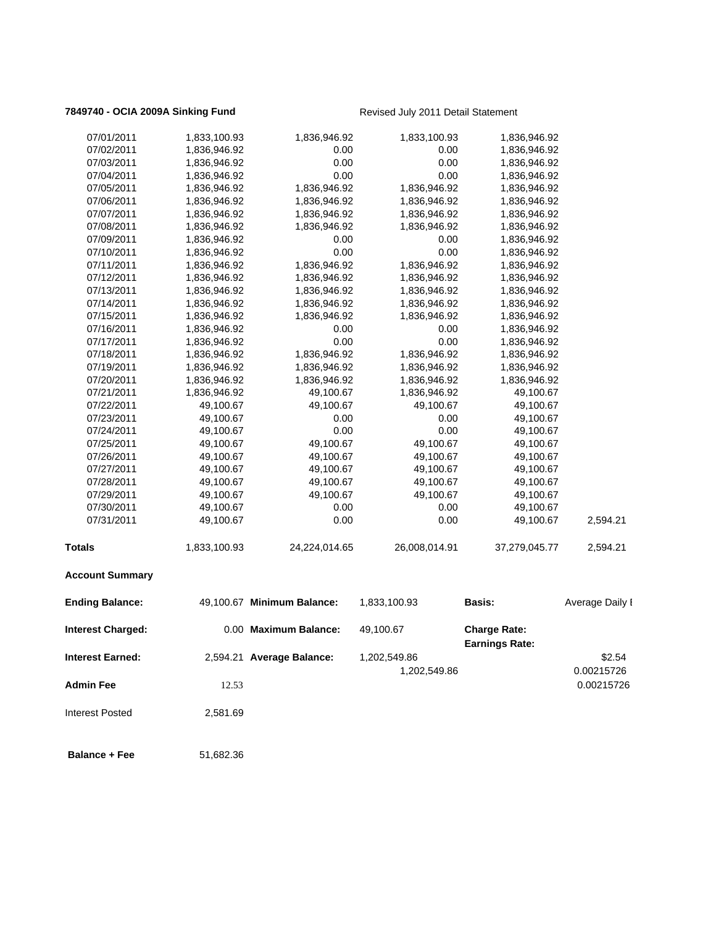## **7849740 - OCIA 2009A Sinking Fund** Revised July 2011 Detail Statement

| 07/01/2011<br>1,833,100.93         | 1,836,946.92               | 1,833,100.93  | 1,836,946.92                                 |                 |
|------------------------------------|----------------------------|---------------|----------------------------------------------|-----------------|
| 07/02/2011<br>1,836,946.92         | 0.00                       | 0.00          | 1,836,946.92                                 |                 |
| 07/03/2011<br>1,836,946.92         | 0.00                       | 0.00          | 1,836,946.92                                 |                 |
| 07/04/2011<br>1,836,946.92         | 0.00                       | 0.00          | 1,836,946.92                                 |                 |
| 07/05/2011<br>1,836,946.92         | 1,836,946.92               | 1,836,946.92  | 1,836,946.92                                 |                 |
| 07/06/2011<br>1,836,946.92         | 1,836,946.92               | 1,836,946.92  | 1,836,946.92                                 |                 |
| 07/07/2011<br>1,836,946.92         | 1,836,946.92               | 1,836,946.92  | 1,836,946.92                                 |                 |
| 07/08/2011<br>1,836,946.92         | 1,836,946.92               | 1,836,946.92  | 1,836,946.92                                 |                 |
| 07/09/2011<br>1,836,946.92         | 0.00                       | 0.00          | 1,836,946.92                                 |                 |
| 07/10/2011<br>1,836,946.92         | 0.00                       | 0.00          | 1,836,946.92                                 |                 |
| 07/11/2011<br>1,836,946.92         | 1,836,946.92               | 1,836,946.92  | 1,836,946.92                                 |                 |
| 07/12/2011<br>1,836,946.92         | 1,836,946.92               | 1,836,946.92  | 1,836,946.92                                 |                 |
| 07/13/2011<br>1,836,946.92         | 1,836,946.92               | 1,836,946.92  | 1,836,946.92                                 |                 |
| 07/14/2011<br>1,836,946.92         | 1,836,946.92               | 1,836,946.92  | 1,836,946.92                                 |                 |
| 07/15/2011<br>1,836,946.92         | 1,836,946.92               | 1,836,946.92  | 1,836,946.92                                 |                 |
| 07/16/2011<br>1,836,946.92         | 0.00                       | 0.00          | 1,836,946.92                                 |                 |
| 07/17/2011<br>1,836,946.92         | 0.00                       | 0.00          | 1,836,946.92                                 |                 |
| 07/18/2011<br>1,836,946.92         | 1,836,946.92               | 1,836,946.92  | 1,836,946.92                                 |                 |
| 07/19/2011<br>1,836,946.92         | 1,836,946.92               | 1,836,946.92  | 1,836,946.92                                 |                 |
| 07/20/2011<br>1,836,946.92         | 1,836,946.92               | 1,836,946.92  | 1,836,946.92                                 |                 |
| 07/21/2011<br>1,836,946.92         | 49,100.67                  | 1,836,946.92  | 49,100.67                                    |                 |
| 07/22/2011<br>49,100.67            | 49,100.67                  | 49,100.67     | 49,100.67                                    |                 |
| 49,100.67<br>07/23/2011            | 0.00                       | 0.00          | 49,100.67                                    |                 |
| 07/24/2011<br>49,100.67            | 0.00                       | 0.00          | 49,100.67                                    |                 |
| 07/25/2011<br>49,100.67            | 49,100.67                  | 49,100.67     | 49,100.67                                    |                 |
| 07/26/2011<br>49,100.67            | 49,100.67                  | 49,100.67     | 49,100.67                                    |                 |
| 07/27/2011<br>49,100.67            | 49,100.67                  | 49,100.67     | 49,100.67                                    |                 |
| 07/28/2011<br>49,100.67            | 49,100.67                  | 49,100.67     | 49,100.67                                    |                 |
| 07/29/2011<br>49,100.67            | 49,100.67                  | 49,100.67     | 49,100.67                                    |                 |
| 07/30/2011<br>49,100.67            | 0.00                       | 0.00          | 49,100.67                                    |                 |
| 07/31/2011<br>49,100.67            | 0.00                       | 0.00          | 49,100.67                                    | 2,594.21        |
| <b>Totals</b><br>1,833,100.93      | 24,224,014.65              | 26,008,014.91 | 37,279,045.77                                | 2,594.21        |
| <b>Account Summary</b>             |                            |               |                                              |                 |
| <b>Ending Balance:</b>             | 49,100.67 Minimum Balance: | 1,833,100.93  | Basis:                                       | Average Daily I |
| <b>Interest Charged:</b>           | 0.00 Maximum Balance:      | 49,100.67     | <b>Charge Rate:</b><br><b>Earnings Rate:</b> |                 |
| <b>Interest Earned:</b>            | 2,594.21 Average Balance:  | 1,202,549.86  |                                              | \$2.54          |
|                                    |                            | 1,202,549.86  |                                              | 0.00215726      |
|                                    |                            |               |                                              |                 |
| <b>Admin Fee</b><br>12.53          |                            |               |                                              | 0.00215726      |
| <b>Interest Posted</b><br>2,581.69 |                            |               |                                              |                 |

**Balance + Fee** 51,682.36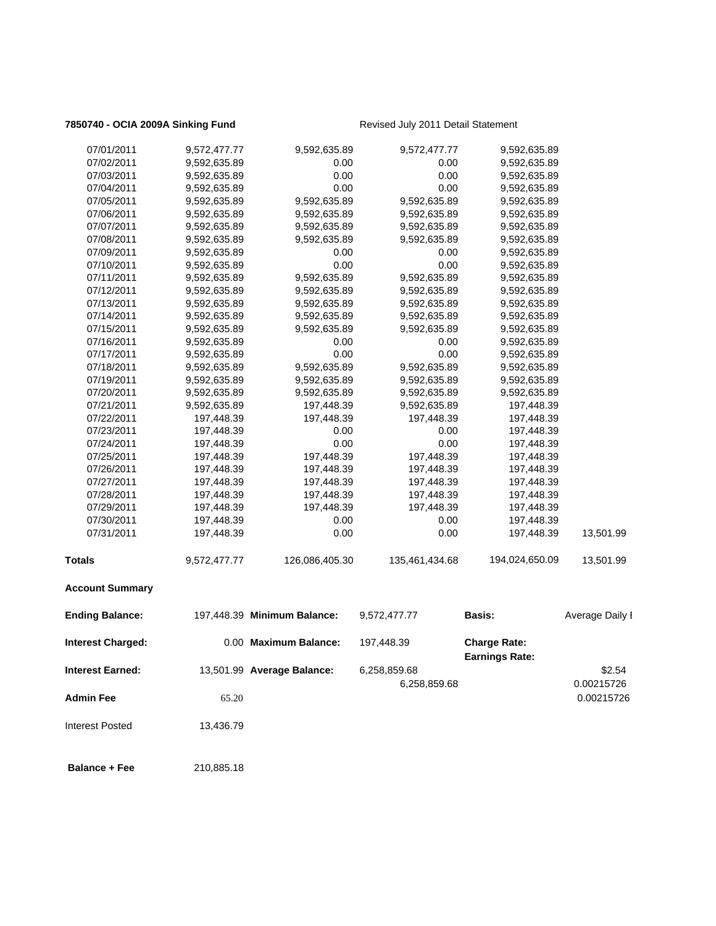## **7850740 - OCIA 2009A Sinking Fund** Revised July 2011 Detail Statement

| 07/01/2011              | 9,572,477.77 | 9,592,635.89                | 9,572,477.77   | 9,592,635.89                                 |                 |
|-------------------------|--------------|-----------------------------|----------------|----------------------------------------------|-----------------|
| 07/02/2011              | 9,592,635.89 | 0.00                        | 0.00           | 9,592,635.89                                 |                 |
| 07/03/2011              | 9,592,635.89 | 0.00                        | 0.00           | 9,592,635.89                                 |                 |
| 07/04/2011              | 9,592,635.89 | 0.00                        | 0.00           | 9,592,635.89                                 |                 |
| 07/05/2011              | 9,592,635.89 | 9,592,635.89                | 9,592,635.89   | 9,592,635.89                                 |                 |
| 07/06/2011              | 9,592,635.89 | 9,592,635.89                | 9,592,635.89   | 9,592,635.89                                 |                 |
| 07/07/2011              | 9,592,635.89 | 9,592,635.89                | 9,592,635.89   | 9,592,635.89                                 |                 |
| 07/08/2011              | 9,592,635.89 | 9,592,635.89                | 9,592,635.89   | 9,592,635.89                                 |                 |
| 07/09/2011              | 9,592,635.89 | 0.00                        | 0.00           | 9,592,635.89                                 |                 |
| 07/10/2011              | 9,592,635.89 | 0.00                        | 0.00           | 9,592,635.89                                 |                 |
| 07/11/2011              | 9,592,635.89 | 9,592,635.89                | 9,592,635.89   | 9,592,635.89                                 |                 |
| 07/12/2011              | 9,592,635.89 | 9,592,635.89                | 9,592,635.89   | 9,592,635.89                                 |                 |
| 07/13/2011              | 9,592,635.89 | 9,592,635.89                | 9,592,635.89   | 9,592,635.89                                 |                 |
| 07/14/2011              | 9,592,635.89 | 9,592,635.89                | 9,592,635.89   | 9,592,635.89                                 |                 |
| 07/15/2011              | 9,592,635.89 | 9,592,635.89                | 9,592,635.89   | 9,592,635.89                                 |                 |
| 07/16/2011              | 9,592,635.89 | 0.00                        | 0.00           | 9,592,635.89                                 |                 |
| 07/17/2011              | 9,592,635.89 | 0.00                        | 0.00           | 9,592,635.89                                 |                 |
| 07/18/2011              | 9,592,635.89 | 9,592,635.89                | 9,592,635.89   | 9,592,635.89                                 |                 |
| 07/19/2011              | 9,592,635.89 | 9,592,635.89                | 9,592,635.89   | 9,592,635.89                                 |                 |
| 07/20/2011              | 9,592,635.89 | 9,592,635.89                | 9,592,635.89   | 9,592,635.89                                 |                 |
| 07/21/2011              | 9,592,635.89 | 197,448.39                  | 9,592,635.89   | 197,448.39                                   |                 |
| 07/22/2011              | 197,448.39   | 197,448.39                  | 197,448.39     | 197,448.39                                   |                 |
| 07/23/2011              | 197,448.39   | 0.00                        | 0.00           | 197,448.39                                   |                 |
| 07/24/2011              | 197,448.39   | 0.00                        | 0.00           | 197,448.39                                   |                 |
| 07/25/2011              | 197,448.39   | 197,448.39                  | 197,448.39     | 197,448.39                                   |                 |
| 07/26/2011              | 197,448.39   | 197,448.39                  | 197,448.39     | 197,448.39                                   |                 |
| 07/27/2011              | 197,448.39   | 197,448.39                  | 197,448.39     | 197,448.39                                   |                 |
| 07/28/2011              | 197,448.39   | 197,448.39                  | 197,448.39     | 197,448.39                                   |                 |
| 07/29/2011              | 197,448.39   | 197,448.39                  | 197,448.39     | 197,448.39                                   |                 |
| 07/30/2011              | 197,448.39   | 0.00                        | 0.00           | 197,448.39                                   |                 |
| 07/31/2011              | 197,448.39   | 0.00                        | 0.00           | 197,448.39                                   | 13,501.99       |
| <b>Totals</b>           | 9,572,477.77 | 126,086,405.30              | 135,461,434.68 | 194,024,650.09                               | 13,501.99       |
| <b>Account Summary</b>  |              |                             |                |                                              |                 |
| <b>Ending Balance:</b>  |              | 197,448.39 Minimum Balance: | 9,572,477.77   | <b>Basis:</b>                                | Average Daily I |
| Interest Charged:       |              | 0.00 Maximum Balance:       | 197,448.39     | <b>Charge Rate:</b><br><b>Earnings Rate:</b> |                 |
| <b>Interest Earned:</b> |              | 13,501.99 Average Balance:  | 6,258,859.68   |                                              | \$2.54          |
|                         |              |                             | 6,258,859.68   |                                              | 0.00215726      |
| <b>Admin Fee</b>        | 65.20        |                             |                |                                              | 0.00215726      |
|                         |              |                             |                |                                              |                 |
| <b>Interest Posted</b>  | 13,436.79    |                             |                |                                              |                 |
| <b>Balance + Fee</b>    | 210,885.18   |                             |                |                                              |                 |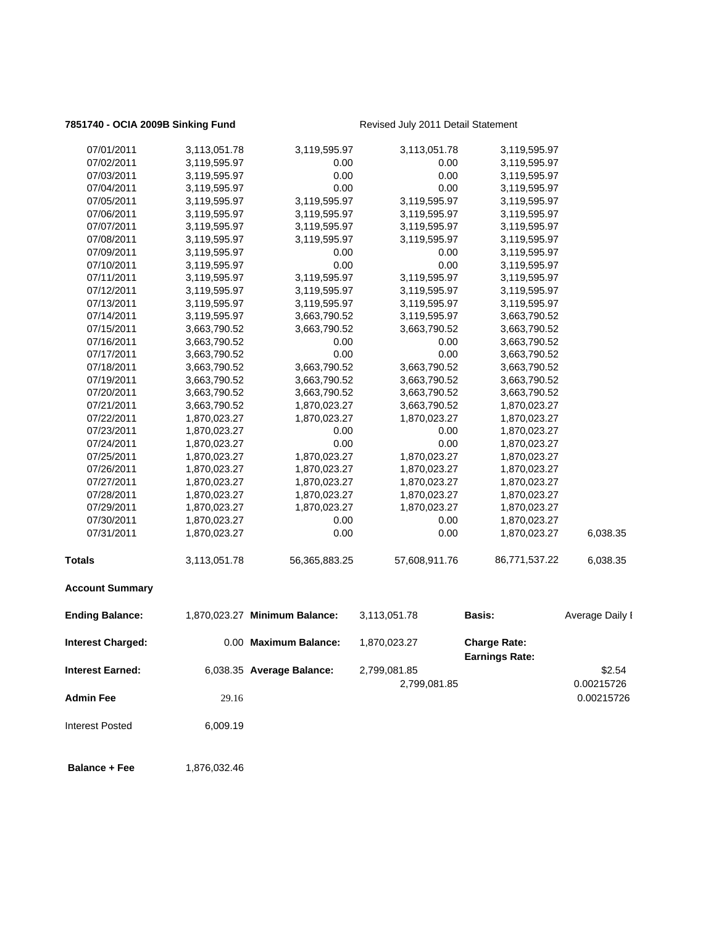## **7851740 - OCIA 2009B Sinking Fund** Revised July 2011 Detail Statement

| 07/01/2011               | 3,113,051.78 | 3,119,595.97                  | 3,113,051.78  | 3,119,595.97                                 |                 |
|--------------------------|--------------|-------------------------------|---------------|----------------------------------------------|-----------------|
| 07/02/2011               | 3,119,595.97 | 0.00                          | 0.00          | 3,119,595.97                                 |                 |
| 07/03/2011               | 3,119,595.97 | 0.00                          | 0.00          | 3,119,595.97                                 |                 |
| 07/04/2011               | 3,119,595.97 | 0.00                          | 0.00          | 3,119,595.97                                 |                 |
| 07/05/2011               | 3,119,595.97 | 3,119,595.97                  | 3,119,595.97  | 3,119,595.97                                 |                 |
| 07/06/2011               | 3,119,595.97 | 3,119,595.97                  | 3,119,595.97  | 3,119,595.97                                 |                 |
| 07/07/2011               | 3,119,595.97 | 3,119,595.97                  | 3,119,595.97  | 3,119,595.97                                 |                 |
| 07/08/2011               | 3,119,595.97 | 3,119,595.97                  | 3,119,595.97  | 3,119,595.97                                 |                 |
| 07/09/2011               | 3,119,595.97 | 0.00                          | 0.00          | 3,119,595.97                                 |                 |
| 07/10/2011               | 3,119,595.97 | 0.00                          | 0.00          | 3,119,595.97                                 |                 |
| 07/11/2011               | 3,119,595.97 | 3,119,595.97                  | 3,119,595.97  | 3,119,595.97                                 |                 |
| 07/12/2011               | 3,119,595.97 | 3,119,595.97                  | 3,119,595.97  | 3,119,595.97                                 |                 |
| 07/13/2011               | 3,119,595.97 | 3,119,595.97                  | 3,119,595.97  | 3,119,595.97                                 |                 |
| 07/14/2011               | 3,119,595.97 | 3,663,790.52                  | 3,119,595.97  | 3,663,790.52                                 |                 |
| 07/15/2011               | 3,663,790.52 | 3,663,790.52                  | 3,663,790.52  | 3,663,790.52                                 |                 |
| 07/16/2011               | 3,663,790.52 | 0.00                          | 0.00          | 3,663,790.52                                 |                 |
| 07/17/2011               | 3,663,790.52 | 0.00                          | 0.00          | 3,663,790.52                                 |                 |
| 07/18/2011               | 3,663,790.52 | 3,663,790.52                  | 3,663,790.52  | 3,663,790.52                                 |                 |
| 07/19/2011               | 3,663,790.52 | 3,663,790.52                  | 3,663,790.52  | 3,663,790.52                                 |                 |
| 07/20/2011               | 3,663,790.52 | 3,663,790.52                  | 3,663,790.52  | 3,663,790.52                                 |                 |
| 07/21/2011               | 3,663,790.52 | 1,870,023.27                  | 3,663,790.52  | 1,870,023.27                                 |                 |
| 07/22/2011               | 1,870,023.27 | 1,870,023.27                  | 1,870,023.27  | 1,870,023.27                                 |                 |
| 07/23/2011               | 1,870,023.27 | 0.00                          | 0.00          | 1,870,023.27                                 |                 |
| 07/24/2011               | 1,870,023.27 | 0.00                          | 0.00          | 1,870,023.27                                 |                 |
| 07/25/2011               | 1,870,023.27 | 1,870,023.27                  | 1,870,023.27  | 1,870,023.27                                 |                 |
| 07/26/2011               | 1,870,023.27 | 1,870,023.27                  | 1,870,023.27  | 1,870,023.27                                 |                 |
| 07/27/2011               | 1,870,023.27 | 1,870,023.27                  | 1,870,023.27  | 1,870,023.27                                 |                 |
| 07/28/2011               | 1,870,023.27 | 1,870,023.27                  | 1,870,023.27  | 1,870,023.27                                 |                 |
| 07/29/2011               | 1,870,023.27 | 1,870,023.27                  | 1,870,023.27  | 1,870,023.27                                 |                 |
| 07/30/2011               | 1,870,023.27 | 0.00                          | 0.00          | 1,870,023.27                                 |                 |
| 07/31/2011               | 1,870,023.27 | 0.00                          | 0.00          | 1,870,023.27                                 | 6,038.35        |
| <b>Totals</b>            | 3,113,051.78 | 56,365,883.25                 | 57,608,911.76 | 86,771,537.22                                | 6,038.35        |
| <b>Account Summary</b>   |              |                               |               |                                              |                 |
| <b>Ending Balance:</b>   |              | 1,870,023.27 Minimum Balance: | 3,113,051.78  | Basis:                                       | Average Daily I |
| <b>Interest Charged:</b> |              | 0.00 Maximum Balance:         | 1,870,023.27  | <b>Charge Rate:</b><br><b>Earnings Rate:</b> |                 |
| <b>Interest Earned:</b>  |              | 6,038.35 Average Balance:     | 2,799,081.85  |                                              | \$2.54          |
|                          |              |                               | 2,799,081.85  |                                              | 0.00215726      |
| <b>Admin Fee</b>         | 29.16        |                               |               |                                              | 0.00215726      |
| <b>Interest Posted</b>   | 6,009.19     |                               |               |                                              |                 |

**Balance + Fee** 1,876,032.46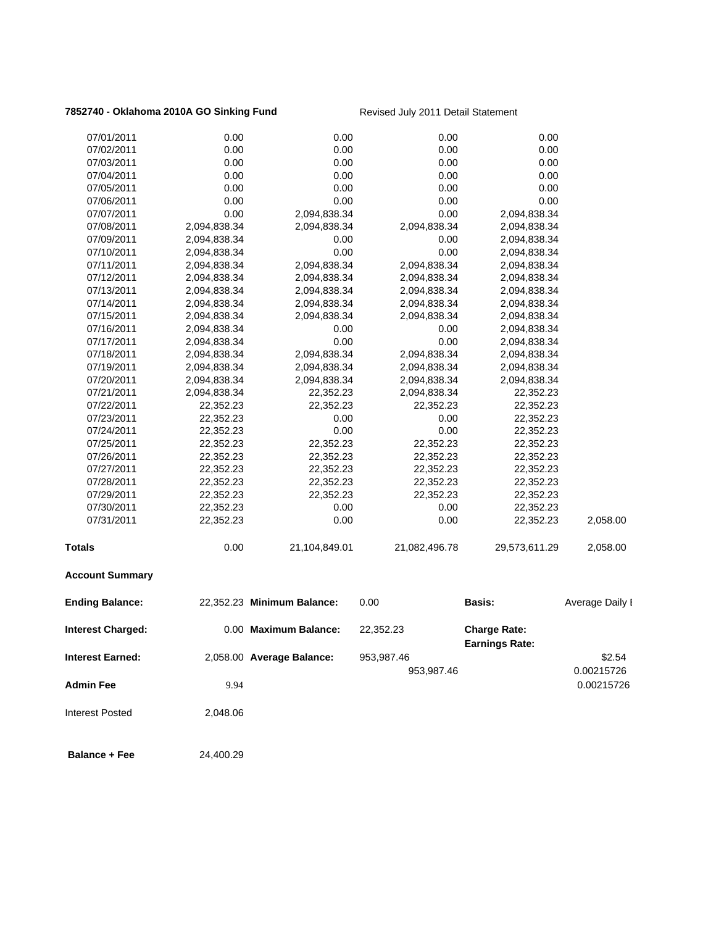## **7852740 - Oklahoma 2010A GO Sinking Fund** Revised July 2011 Detail Statement

| <b>Interest Earned:</b>  |              | 2,058.00 Average Balance:  | 953,987.46<br>953,987.46 |                                              | \$2.54<br>0.00215726 |
|--------------------------|--------------|----------------------------|--------------------------|----------------------------------------------|----------------------|
| <b>Interest Charged:</b> |              | 0.00 Maximum Balance:      | 22,352.23                | <b>Charge Rate:</b><br><b>Earnings Rate:</b> |                      |
| <b>Ending Balance:</b>   |              | 22,352.23 Minimum Balance: | 0.00                     | Basis:                                       | Average Daily I      |
| <b>Account Summary</b>   |              |                            |                          |                                              |                      |
| Totals                   | 0.00         | 21,104,849.01              | 21,082,496.78            | 29,573,611.29                                | 2,058.00             |
| 07/31/2011               | 22,352.23    | 0.00                       | 0.00                     | 22,352.23                                    | 2,058.00             |
| 07/30/2011               | 22,352.23    | 0.00                       | 0.00                     | 22,352.23                                    |                      |
| 07/29/2011               | 22,352.23    | 22,352.23                  | 22,352.23                | 22,352.23                                    |                      |
| 07/28/2011               | 22,352.23    | 22,352.23                  | 22,352.23                | 22,352.23                                    |                      |
| 07/27/2011               | 22,352.23    | 22,352.23                  | 22,352.23                | 22,352.23                                    |                      |
| 07/26/2011               | 22,352.23    | 22,352.23                  | 22,352.23                | 22,352.23                                    |                      |
| 07/25/2011               | 22,352.23    | 22,352.23                  | 22,352.23                | 22,352.23                                    |                      |
| 07/24/2011               | 22,352.23    | 0.00                       | 0.00                     | 22,352.23                                    |                      |
| 07/23/2011               | 22,352.23    | 0.00                       | 0.00                     | 22,352.23                                    |                      |
| 07/22/2011               | 22,352.23    | 22,352.23                  | 22,352.23                | 22,352.23                                    |                      |
| 07/21/2011               | 2,094,838.34 | 22,352.23                  | 2,094,838.34             | 22,352.23                                    |                      |
| 07/20/2011               | 2,094,838.34 | 2,094,838.34               | 2,094,838.34             | 2,094,838.34                                 |                      |
| 07/19/2011               | 2,094,838.34 | 2,094,838.34               | 2,094,838.34             | 2,094,838.34                                 |                      |
| 07/18/2011               | 2,094,838.34 | 2,094,838.34               | 2,094,838.34             | 2,094,838.34                                 |                      |
| 07/17/2011               | 2,094,838.34 | 0.00                       | 0.00                     | 2,094,838.34                                 |                      |
| 07/16/2011               | 2,094,838.34 | 0.00                       | 0.00                     | 2,094,838.34                                 |                      |
| 07/15/2011               | 2,094,838.34 | 2,094,838.34               | 2,094,838.34             | 2,094,838.34                                 |                      |
| 07/14/2011               | 2,094,838.34 | 2,094,838.34               | 2,094,838.34             | 2,094,838.34                                 |                      |
| 07/13/2011               | 2,094,838.34 | 2,094,838.34               | 2,094,838.34             | 2,094,838.34                                 |                      |
| 07/12/2011               | 2,094,838.34 | 2,094,838.34               | 2,094,838.34             | 2,094,838.34                                 |                      |
| 07/11/2011               | 2,094,838.34 | 2,094,838.34               | 2,094,838.34             | 2,094,838.34                                 |                      |
| 07/10/2011               | 2,094,838.34 | 0.00                       | 0.00                     | 2,094,838.34                                 |                      |
| 07/09/2011               | 2,094,838.34 | 0.00                       | 0.00                     | 2,094,838.34                                 |                      |
| 07/08/2011               | 2,094,838.34 | 2,094,838.34               | 2,094,838.34             | 2,094,838.34                                 |                      |
| 07/07/2011               | 0.00         | 2,094,838.34               | 0.00                     | 2,094,838.34                                 |                      |
| 07/06/2011               | 0.00         | 0.00                       | 0.00                     | 0.00                                         |                      |
| 07/05/2011               | 0.00         | 0.00                       | 0.00                     | 0.00                                         |                      |
| 07/04/2011               | 0.00         | 0.00                       | 0.00                     | 0.00                                         |                      |
| 07/03/2011               | 0.00         | 0.00                       | 0.00                     | 0.00                                         |                      |
| 07/02/2011               | 0.00         | 0.00                       | 0.00                     | 0.00                                         |                      |
| 07/01/2011               | 0.00         | 0.00                       | 0.00                     | 0.00                                         |                      |
|                          |              |                            |                          |                                              |                      |

**Admin Fee** 9.94 0.00215726

Interest Posted 2,048.06

**Balance + Fee** 24,400.29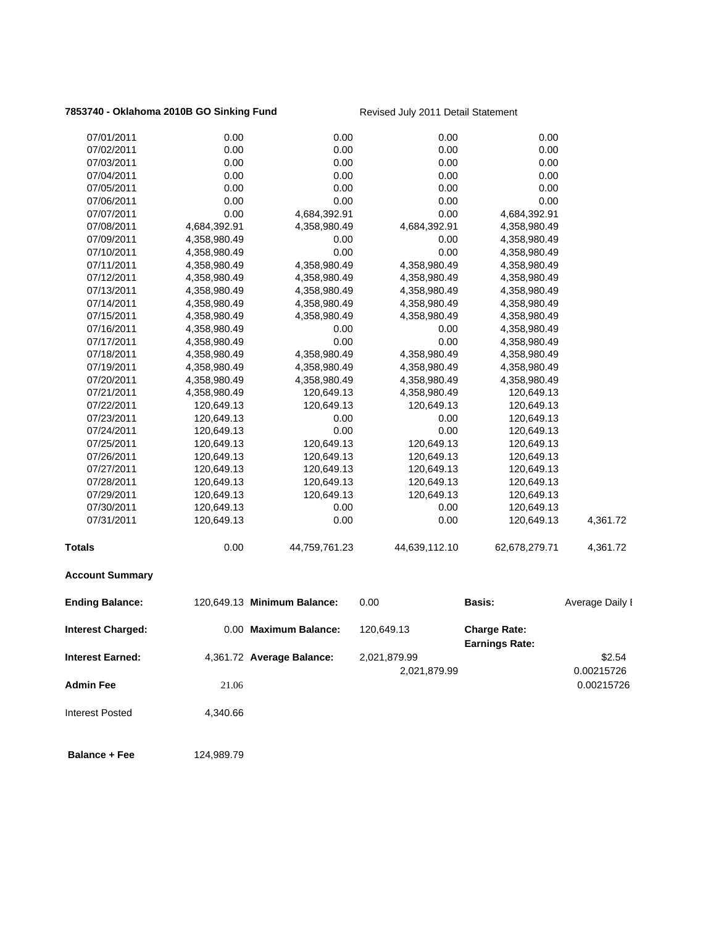## **7853740 - Oklahoma 2010B GO Sinking Fund** Revised July 2011 Detail Statement

| <b>Account Summary</b>   |              |               |               |               |          |
|--------------------------|--------------|---------------|---------------|---------------|----------|
| <b>Totals</b>            | 0.00         | 44,759,761.23 | 44,639,112.10 | 62,678,279.71 | 4,361.72 |
| 07/31/2011               | 120,649.13   | 0.00          | 0.00          | 120,649.13    | 4,361.72 |
| 07/30/2011               | 120,649.13   | 0.00          | 0.00          | 120,649.13    |          |
| 07/29/2011               | 120,649.13   | 120,649.13    | 120,649.13    | 120,649.13    |          |
| 07/28/2011               | 120,649.13   | 120,649.13    | 120,649.13    | 120,649.13    |          |
| 07/27/2011               | 120,649.13   | 120,649.13    | 120,649.13    | 120,649.13    |          |
| 07/26/2011               | 120,649.13   | 120,649.13    | 120,649.13    | 120,649.13    |          |
| 07/25/2011               | 120,649.13   | 120,649.13    | 120,649.13    | 120,649.13    |          |
| 07/24/2011               | 120,649.13   | 0.00          | 0.00          | 120,649.13    |          |
| 07/23/2011               | 120,649.13   | 0.00          | 0.00          | 120,649.13    |          |
| 07/22/2011               | 120,649.13   | 120,649.13    | 120,649.13    | 120,649.13    |          |
| 07/21/2011               | 4,358,980.49 | 120,649.13    | 4,358,980.49  | 120,649.13    |          |
| 07/20/2011               | 4,358,980.49 | 4,358,980.49  | 4,358,980.49  | 4,358,980.49  |          |
| 07/19/2011               | 4,358,980.49 | 4,358,980.49  | 4,358,980.49  | 4,358,980.49  |          |
| 07/18/2011               | 4,358,980.49 | 4,358,980.49  | 4,358,980.49  | 4,358,980.49  |          |
| 07/17/2011               | 4,358,980.49 | 0.00          | 0.00          | 4,358,980.49  |          |
| 07/16/2011               | 4,358,980.49 | 0.00          | 0.00          | 4,358,980.49  |          |
| 07/15/2011               | 4,358,980.49 | 4,358,980.49  | 4,358,980.49  | 4,358,980.49  |          |
| 07/14/2011               | 4,358,980.49 | 4,358,980.49  | 4,358,980.49  | 4,358,980.49  |          |
| 07/13/2011               | 4,358,980.49 | 4,358,980.49  | 4,358,980.49  | 4,358,980.49  |          |
| 07/12/2011               | 4,358,980.49 | 4,358,980.49  | 4,358,980.49  | 4,358,980.49  |          |
| 07/11/2011               | 4,358,980.49 | 4,358,980.49  | 4,358,980.49  | 4,358,980.49  |          |
| 07/10/2011               | 4,358,980.49 | 0.00          | 0.00          | 4,358,980.49  |          |
| 07/09/2011               | 4,358,980.49 | 0.00          | 0.00          | 4,358,980.49  |          |
| 07/08/2011               | 4,684,392.91 | 4,358,980.49  | 4,684,392.91  | 4,358,980.49  |          |
| 07/07/2011               | 0.00         | 4,684,392.91  | 0.00          | 4,684,392.91  |          |
| 07/06/2011               | 0.00         | 0.00          | 0.00          | 0.00          |          |
| 07/05/2011               | 0.00         | 0.00          | 0.00          | 0.00          |          |
| 07/03/2011<br>07/04/2011 | 0.00<br>0.00 | 0.00<br>0.00  | 0.00<br>0.00  | 0.00<br>0.00  |          |
| 07/02/2011               | 0.00         | 0.00          | 0.00          | 0.00          |          |
| 07/01/2011               | 0.00         | 0.00          | 0.00          | 0.00          |          |
|                          |              |               |               |               |          |

| <b>Ending Balance:</b>   |          | 120.649.13 Minimum Balance: | 0.00         | <b>Basis:</b>                                | Average Daily I |
|--------------------------|----------|-----------------------------|--------------|----------------------------------------------|-----------------|
| <b>Interest Charged:</b> |          | 0.00 Maximum Balance:       | 120.649.13   | <b>Charge Rate:</b><br><b>Earnings Rate:</b> |                 |
| <b>Interest Earned:</b>  |          | 4,361.72 Average Balance:   | 2,021,879.99 |                                              | \$2.54          |
|                          |          |                             | 2,021,879.99 |                                              | 0.00215726      |
| <b>Admin Fee</b>         | 21.06    |                             |              |                                              | 0.00215726      |
| <b>Interest Posted</b>   | 4.340.66 |                             |              |                                              |                 |

**Balance + Fee** 124,989.79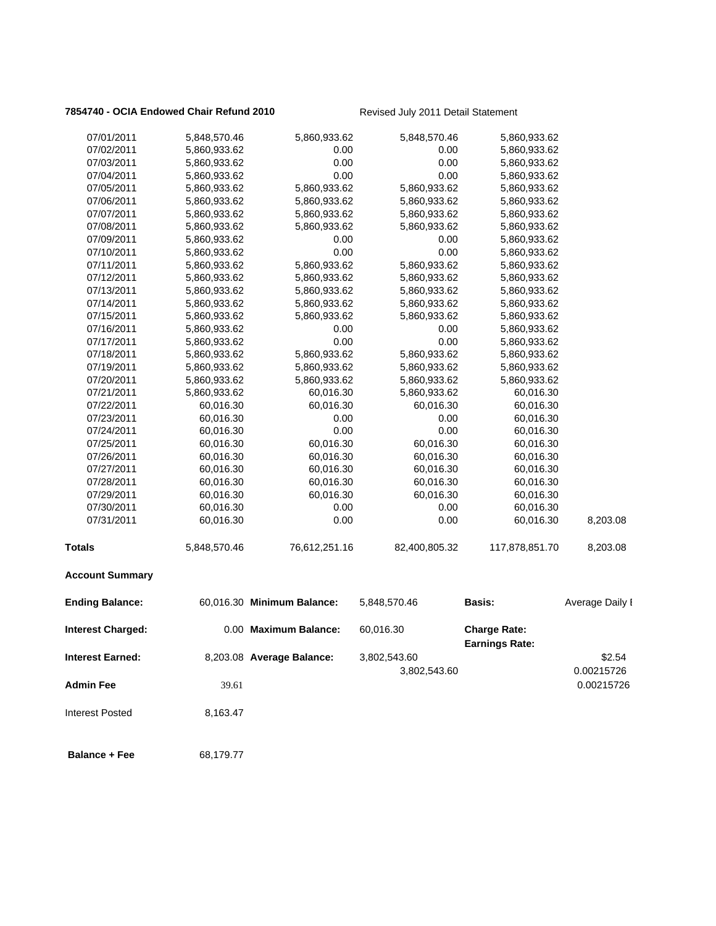## **7854740 - OCIA Endowed Chair Refund 2010** Revised July 2011 Detail Statement

| 07/01/2011               | 5,848,570.46 | 5,860,933.62               | 5,848,570.46  | 5,860,933.62          |                 |
|--------------------------|--------------|----------------------------|---------------|-----------------------|-----------------|
| 07/02/2011               | 5,860,933.62 | 0.00                       | 0.00          | 5,860,933.62          |                 |
| 07/03/2011               | 5,860,933.62 | 0.00                       | 0.00          | 5,860,933.62          |                 |
| 07/04/2011               | 5,860,933.62 | 0.00                       | 0.00          | 5,860,933.62          |                 |
| 07/05/2011               | 5,860,933.62 | 5,860,933.62               | 5,860,933.62  | 5,860,933.62          |                 |
| 07/06/2011               | 5,860,933.62 | 5,860,933.62               | 5,860,933.62  | 5,860,933.62          |                 |
| 07/07/2011               | 5,860,933.62 | 5,860,933.62               | 5,860,933.62  | 5,860,933.62          |                 |
| 07/08/2011               | 5,860,933.62 | 5,860,933.62               | 5,860,933.62  | 5,860,933.62          |                 |
| 07/09/2011               | 5,860,933.62 | 0.00                       | 0.00          | 5,860,933.62          |                 |
| 07/10/2011               | 5,860,933.62 | 0.00                       | 0.00          | 5,860,933.62          |                 |
| 07/11/2011               | 5,860,933.62 | 5,860,933.62               | 5,860,933.62  | 5,860,933.62          |                 |
| 07/12/2011               | 5,860,933.62 | 5,860,933.62               | 5,860,933.62  | 5,860,933.62          |                 |
| 07/13/2011               | 5,860,933.62 | 5,860,933.62               | 5,860,933.62  | 5,860,933.62          |                 |
| 07/14/2011               | 5,860,933.62 | 5,860,933.62               | 5,860,933.62  | 5,860,933.62          |                 |
| 07/15/2011               | 5,860,933.62 | 5,860,933.62               | 5,860,933.62  | 5,860,933.62          |                 |
| 07/16/2011               | 5,860,933.62 | 0.00                       | 0.00          | 5,860,933.62          |                 |
| 07/17/2011               | 5,860,933.62 | 0.00                       | 0.00          | 5,860,933.62          |                 |
| 07/18/2011               | 5,860,933.62 | 5,860,933.62               | 5,860,933.62  | 5,860,933.62          |                 |
| 07/19/2011               | 5,860,933.62 | 5,860,933.62               | 5,860,933.62  | 5,860,933.62          |                 |
| 07/20/2011               | 5,860,933.62 | 5,860,933.62               | 5,860,933.62  | 5,860,933.62          |                 |
| 07/21/2011               | 5,860,933.62 | 60,016.30                  | 5,860,933.62  | 60,016.30             |                 |
| 07/22/2011               | 60,016.30    | 60,016.30                  | 60,016.30     | 60,016.30             |                 |
| 07/23/2011               | 60,016.30    | 0.00                       | 0.00          | 60,016.30             |                 |
| 07/24/2011               | 60,016.30    | 0.00                       | 0.00          | 60,016.30             |                 |
| 07/25/2011               | 60,016.30    | 60,016.30                  | 60,016.30     | 60,016.30             |                 |
| 07/26/2011               | 60,016.30    | 60,016.30                  | 60,016.30     | 60,016.30             |                 |
| 07/27/2011               | 60,016.30    | 60,016.30                  | 60,016.30     | 60,016.30             |                 |
| 07/28/2011               | 60,016.30    | 60,016.30                  | 60,016.30     | 60,016.30             |                 |
| 07/29/2011               | 60,016.30    | 60,016.30                  | 60,016.30     | 60,016.30             |                 |
| 07/30/2011               | 60,016.30    | 0.00                       | 0.00          | 60,016.30             |                 |
| 07/31/2011               | 60,016.30    | 0.00                       | 0.00          | 60,016.30             | 8,203.08        |
| <b>Totals</b>            | 5,848,570.46 | 76,612,251.16              | 82,400,805.32 | 117,878,851.70        | 8,203.08        |
| <b>Account Summary</b>   |              |                            |               |                       |                 |
| <b>Ending Balance:</b>   |              | 60,016.30 Minimum Balance: | 5,848,570.46  | Basis:                | Average Daily I |
| <b>Interest Charged:</b> |              | 0.00 Maximum Balance:      | 60,016.30     | <b>Charge Rate:</b>   |                 |
|                          |              |                            |               | <b>Earnings Rate:</b> |                 |
| <b>Interest Earned:</b>  |              | 8,203.08 Average Balance:  | 3,802,543.60  |                       | \$2.54          |
|                          |              |                            | 3,802,543.60  |                       | 0.00215726      |
| <b>Admin Fee</b>         | 39.61        |                            |               |                       | 0.00215726      |
|                          |              |                            |               |                       |                 |
| <b>Interest Posted</b>   | 8,163.47     |                            |               |                       |                 |

**Balance + Fee** 68,179.77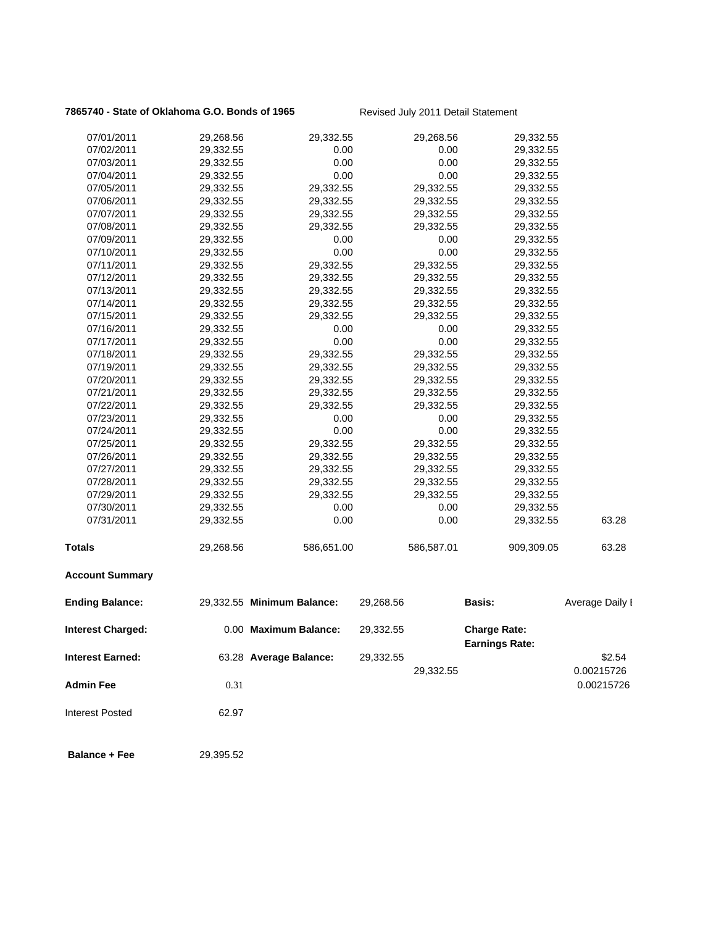## 7865740 - State of Oklahoma G.O. Bonds of 1965 Revised July 2011 Detail Statement

| 07/01/2011               | 29,268.56 | 29,332.55                  |           | 29,268.56  | 29,332.55                                    |                          |
|--------------------------|-----------|----------------------------|-----------|------------|----------------------------------------------|--------------------------|
| 07/02/2011               | 29,332.55 | 0.00                       |           | 0.00       | 29,332.55                                    |                          |
| 07/03/2011               | 29,332.55 | 0.00                       |           | 0.00       | 29,332.55                                    |                          |
| 07/04/2011               | 29,332.55 | 0.00                       |           | 0.00       | 29,332.55                                    |                          |
| 07/05/2011               | 29,332.55 | 29,332.55                  |           | 29,332.55  | 29,332.55                                    |                          |
| 07/06/2011               | 29,332.55 | 29,332.55                  |           | 29,332.55  | 29,332.55                                    |                          |
| 07/07/2011               | 29,332.55 | 29,332.55                  |           | 29,332.55  | 29,332.55                                    |                          |
| 07/08/2011               | 29,332.55 | 29,332.55                  |           | 29,332.55  | 29,332.55                                    |                          |
| 07/09/2011               | 29,332.55 | 0.00                       |           | 0.00       | 29,332.55                                    |                          |
| 07/10/2011               | 29,332.55 | 0.00                       |           | 0.00       | 29,332.55                                    |                          |
| 07/11/2011               | 29,332.55 | 29,332.55                  |           | 29,332.55  | 29,332.55                                    |                          |
| 07/12/2011               | 29,332.55 | 29,332.55                  |           | 29,332.55  | 29,332.55                                    |                          |
| 07/13/2011               | 29,332.55 | 29,332.55                  |           | 29,332.55  | 29,332.55                                    |                          |
| 07/14/2011               | 29,332.55 | 29,332.55                  |           | 29,332.55  | 29,332.55                                    |                          |
| 07/15/2011               | 29,332.55 | 29,332.55                  |           | 29,332.55  | 29,332.55                                    |                          |
| 07/16/2011               | 29,332.55 | 0.00                       |           | 0.00       | 29,332.55                                    |                          |
| 07/17/2011               | 29,332.55 | 0.00                       |           | 0.00       | 29,332.55                                    |                          |
| 07/18/2011               | 29,332.55 | 29,332.55                  |           | 29,332.55  | 29,332.55                                    |                          |
| 07/19/2011               | 29,332.55 | 29,332.55                  |           | 29,332.55  | 29,332.55                                    |                          |
| 07/20/2011               | 29,332.55 | 29,332.55                  |           | 29,332.55  | 29,332.55                                    |                          |
| 07/21/2011               | 29,332.55 | 29,332.55                  |           | 29,332.55  | 29,332.55                                    |                          |
| 07/22/2011               | 29,332.55 | 29,332.55                  |           | 29,332.55  | 29,332.55                                    |                          |
| 07/23/2011               | 29,332.55 | 0.00                       |           | 0.00       | 29,332.55                                    |                          |
| 07/24/2011               | 29,332.55 | 0.00                       |           | 0.00       | 29,332.55                                    |                          |
| 07/25/2011               | 29,332.55 | 29,332.55                  |           | 29,332.55  | 29,332.55                                    |                          |
| 07/26/2011               | 29,332.55 | 29,332.55                  |           | 29,332.55  | 29,332.55                                    |                          |
| 07/27/2011               | 29,332.55 | 29,332.55                  |           | 29,332.55  | 29,332.55                                    |                          |
| 07/28/2011               | 29,332.55 | 29,332.55                  |           | 29,332.55  | 29,332.55                                    |                          |
| 07/29/2011               | 29,332.55 | 29,332.55                  |           | 29,332.55  | 29,332.55                                    |                          |
| 07/30/2011               | 29,332.55 | 0.00                       |           | 0.00       | 29,332.55                                    |                          |
| 07/31/2011               | 29,332.55 | 0.00                       |           | 0.00       | 29,332.55                                    | 63.28                    |
| <b>Totals</b>            | 29,268.56 | 586,651.00                 |           | 586,587.01 | 909,309.05                                   | 63.28                    |
| <b>Account Summary</b>   |           |                            |           |            |                                              |                          |
| <b>Ending Balance:</b>   |           | 29,332.55 Minimum Balance: | 29,268.56 |            | <b>Basis:</b>                                | Average Daily I          |
| <b>Interest Charged:</b> |           | 0.00 Maximum Balance:      | 29,332.55 |            | <b>Charge Rate:</b><br><b>Earnings Rate:</b> |                          |
| <b>Interest Earned:</b>  |           | 63.28 Average Balance:     | 29,332.55 |            |                                              | \$2.54                   |
| <b>Admin Fee</b>         | 0.31      |                            |           | 29,332.55  |                                              | 0.00215726<br>0.00215726 |
| <b>Interest Posted</b>   | 62.97     |                            |           |            |                                              |                          |
| <b>Balance + Fee</b>     | 29,395.52 |                            |           |            |                                              |                          |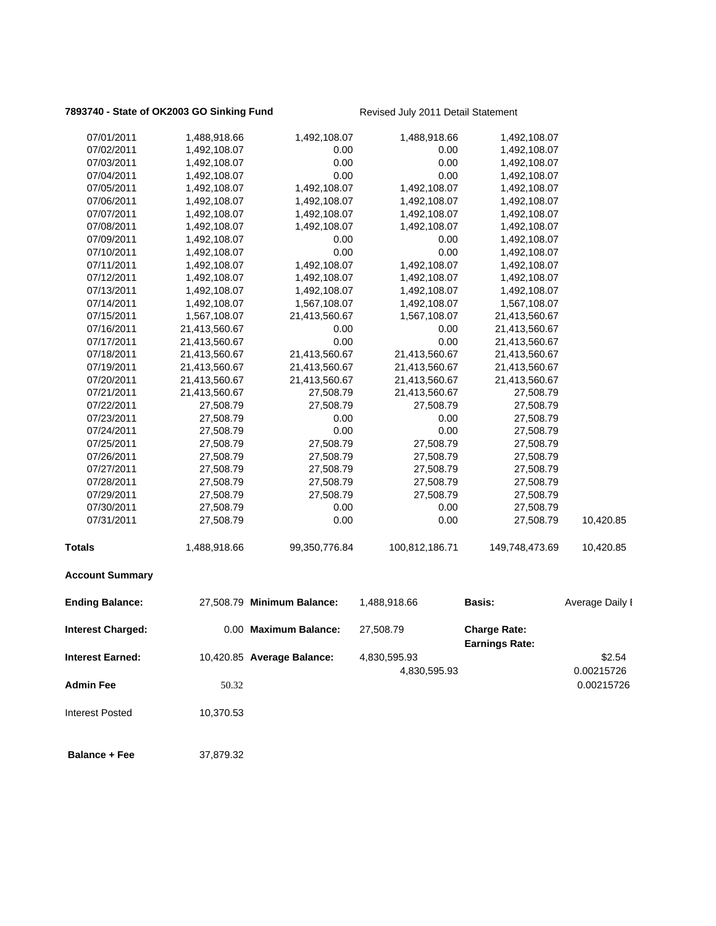## **7893740 - State of OK2003 GO Sinking Fund** Revised July 2011 Detail Statement

| 07/01/2011               | 1,488,918.66  | 1,492,108.07               | 1,488,918.66   | 1,492,108.07          |                 |
|--------------------------|---------------|----------------------------|----------------|-----------------------|-----------------|
| 07/02/2011               | 1,492,108.07  | 0.00                       | 0.00           | 1,492,108.07          |                 |
| 07/03/2011               | 1,492,108.07  | 0.00                       | 0.00           | 1,492,108.07          |                 |
| 07/04/2011               | 1,492,108.07  | 0.00                       | 0.00           | 1,492,108.07          |                 |
| 07/05/2011               | 1,492,108.07  | 1,492,108.07               | 1,492,108.07   | 1,492,108.07          |                 |
| 07/06/2011               | 1,492,108.07  | 1,492,108.07               | 1,492,108.07   | 1,492,108.07          |                 |
| 07/07/2011               | 1,492,108.07  | 1,492,108.07               | 1,492,108.07   | 1,492,108.07          |                 |
| 07/08/2011               | 1,492,108.07  | 1,492,108.07               | 1,492,108.07   | 1,492,108.07          |                 |
| 07/09/2011               | 1,492,108.07  | 0.00                       | 0.00           | 1,492,108.07          |                 |
| 07/10/2011               | 1,492,108.07  | 0.00                       | 0.00           | 1,492,108.07          |                 |
| 07/11/2011               | 1,492,108.07  | 1,492,108.07               | 1,492,108.07   | 1,492,108.07          |                 |
| 07/12/2011               | 1,492,108.07  | 1,492,108.07               | 1,492,108.07   | 1,492,108.07          |                 |
| 07/13/2011               | 1,492,108.07  | 1,492,108.07               | 1,492,108.07   | 1,492,108.07          |                 |
| 07/14/2011               | 1,492,108.07  | 1,567,108.07               | 1,492,108.07   | 1,567,108.07          |                 |
| 07/15/2011               | 1,567,108.07  | 21,413,560.67              | 1,567,108.07   | 21,413,560.67         |                 |
| 07/16/2011               | 21,413,560.67 | 0.00                       | 0.00           | 21,413,560.67         |                 |
| 07/17/2011               | 21,413,560.67 | 0.00                       | 0.00           | 21,413,560.67         |                 |
| 07/18/2011               | 21,413,560.67 | 21,413,560.67              | 21,413,560.67  | 21,413,560.67         |                 |
| 07/19/2011               | 21,413,560.67 | 21,413,560.67              | 21,413,560.67  | 21,413,560.67         |                 |
| 07/20/2011               | 21,413,560.67 | 21,413,560.67              | 21,413,560.67  | 21,413,560.67         |                 |
| 07/21/2011               | 21,413,560.67 | 27,508.79                  | 21,413,560.67  | 27,508.79             |                 |
| 07/22/2011               | 27,508.79     | 27,508.79                  | 27,508.79      | 27,508.79             |                 |
| 07/23/2011               | 27,508.79     | 0.00                       | 0.00           | 27,508.79             |                 |
| 07/24/2011               | 27,508.79     | 0.00                       | 0.00           | 27,508.79             |                 |
| 07/25/2011               | 27,508.79     | 27,508.79                  | 27,508.79      | 27,508.79             |                 |
| 07/26/2011               | 27,508.79     | 27,508.79                  | 27,508.79      | 27,508.79             |                 |
| 07/27/2011               | 27,508.79     | 27,508.79                  | 27,508.79      | 27,508.79             |                 |
| 07/28/2011               | 27,508.79     | 27,508.79                  | 27,508.79      | 27,508.79             |                 |
| 07/29/2011               | 27,508.79     | 27,508.79                  | 27,508.79      | 27,508.79             |                 |
| 07/30/2011               | 27,508.79     | 0.00                       | 0.00           | 27,508.79             |                 |
| 07/31/2011               | 27,508.79     | 0.00                       | 0.00           | 27,508.79             | 10,420.85       |
|                          |               |                            |                |                       |                 |
| <b>Totals</b>            | 1,488,918.66  | 99,350,776.84              | 100,812,186.71 | 149,748,473.69        | 10,420.85       |
| <b>Account Summary</b>   |               |                            |                |                       |                 |
| <b>Ending Balance:</b>   |               | 27,508.79 Minimum Balance: | 1,488,918.66   | <b>Basis:</b>         | Average Daily I |
| <b>Interest Charged:</b> |               | 0.00 Maximum Balance:      | 27,508.79      | <b>Charge Rate:</b>   |                 |
|                          |               |                            |                | <b>Earnings Rate:</b> |                 |
| <b>Interest Earned:</b>  |               | 10,420.85 Average Balance: | 4,830,595.93   |                       | \$2.54          |
|                          |               |                            | 4,830,595.93   |                       | 0.00215726      |
| <b>Admin Fee</b>         | 50.32         |                            |                |                       | 0.00215726      |
| <b>Interest Posted</b>   | 10,370.53     |                            |                |                       |                 |
| <b>Balance + Fee</b>     | 37,879.32     |                            |                |                       |                 |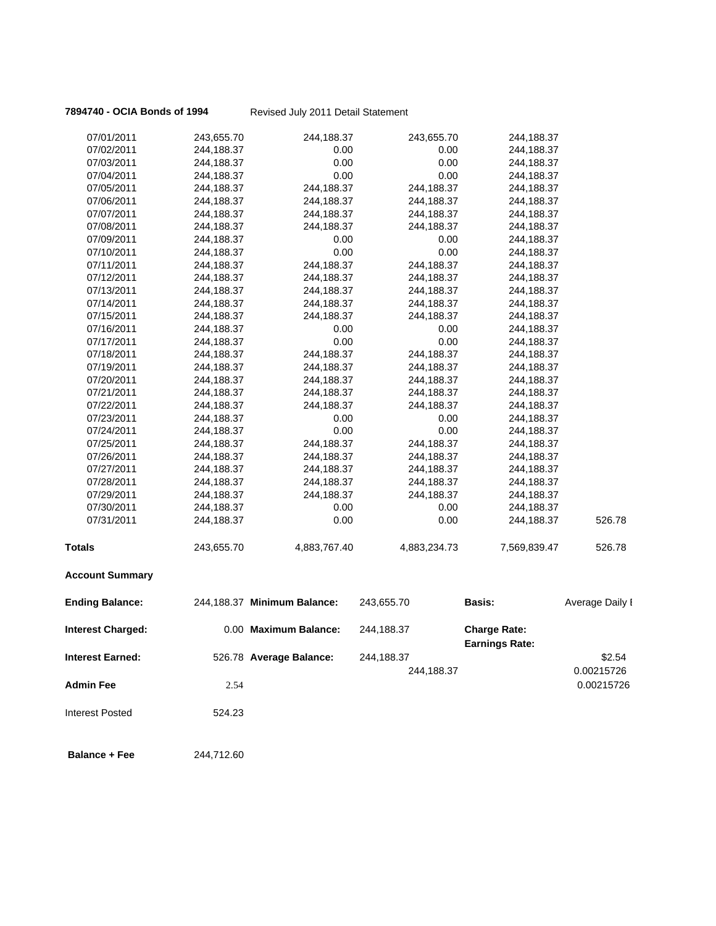## **7894740 - OCIA Bonds of 1994** Revised July 2011 Detail Statement

| 07/01/2011               | 243,655.70 | 244,188.37                  | 243,655.70   | 244,188.37                                   |                          |
|--------------------------|------------|-----------------------------|--------------|----------------------------------------------|--------------------------|
| 07/02/2011               | 244,188.37 | 0.00                        | 0.00         | 244,188.37                                   |                          |
| 07/03/2011               | 244,188.37 | 0.00                        | 0.00         | 244,188.37                                   |                          |
| 07/04/2011               | 244,188.37 | 0.00                        | 0.00         | 244,188.37                                   |                          |
| 07/05/2011               | 244,188.37 | 244,188.37                  | 244,188.37   | 244,188.37                                   |                          |
| 07/06/2011               | 244,188.37 | 244,188.37                  | 244,188.37   | 244,188.37                                   |                          |
| 07/07/2011               | 244,188.37 | 244,188.37                  | 244,188.37   | 244,188.37                                   |                          |
| 07/08/2011               | 244,188.37 | 244,188.37                  | 244,188.37   | 244,188.37                                   |                          |
| 07/09/2011               | 244,188.37 | 0.00                        | 0.00         | 244,188.37                                   |                          |
| 07/10/2011               | 244,188.37 | 0.00                        | 0.00         | 244,188.37                                   |                          |
| 07/11/2011               | 244,188.37 | 244,188.37                  | 244,188.37   | 244,188.37                                   |                          |
| 07/12/2011               | 244,188.37 | 244,188.37                  | 244,188.37   | 244,188.37                                   |                          |
| 07/13/2011               | 244,188.37 | 244,188.37                  | 244,188.37   | 244,188.37                                   |                          |
| 07/14/2011               | 244,188.37 | 244,188.37                  | 244,188.37   | 244,188.37                                   |                          |
| 07/15/2011               | 244,188.37 | 244,188.37                  | 244,188.37   | 244,188.37                                   |                          |
| 07/16/2011               | 244,188.37 | 0.00                        | 0.00         | 244,188.37                                   |                          |
| 07/17/2011               | 244,188.37 | 0.00                        | 0.00         | 244,188.37                                   |                          |
| 07/18/2011               | 244,188.37 | 244,188.37                  | 244,188.37   | 244,188.37                                   |                          |
| 07/19/2011               | 244,188.37 | 244,188.37                  | 244,188.37   | 244,188.37                                   |                          |
| 07/20/2011               | 244,188.37 | 244,188.37                  | 244,188.37   | 244,188.37                                   |                          |
| 07/21/2011               | 244,188.37 | 244,188.37                  | 244,188.37   | 244,188.37                                   |                          |
| 07/22/2011               | 244,188.37 | 244,188.37                  | 244,188.37   | 244,188.37                                   |                          |
| 07/23/2011               | 244,188.37 | 0.00                        | 0.00         | 244,188.37                                   |                          |
| 07/24/2011               | 244,188.37 | 0.00                        | 0.00         | 244,188.37                                   |                          |
| 07/25/2011               | 244,188.37 | 244,188.37                  | 244,188.37   | 244,188.37                                   |                          |
| 07/26/2011               | 244,188.37 | 244,188.37                  | 244,188.37   | 244,188.37                                   |                          |
| 07/27/2011               | 244,188.37 | 244,188.37                  | 244,188.37   | 244,188.37                                   |                          |
| 07/28/2011               | 244,188.37 | 244,188.37                  | 244,188.37   | 244,188.37                                   |                          |
| 07/29/2011               | 244,188.37 | 244,188.37                  | 244,188.37   | 244,188.37                                   |                          |
| 07/30/2011               | 244,188.37 | 0.00                        | 0.00         | 244,188.37                                   |                          |
| 07/31/2011               | 244,188.37 | 0.00                        | 0.00         | 244,188.37                                   | 526.78                   |
| <b>Totals</b>            | 243,655.70 | 4,883,767.40                | 4,883,234.73 | 7,569,839.47                                 | 526.78                   |
| <b>Account Summary</b>   |            |                             |              |                                              |                          |
| <b>Ending Balance:</b>   |            | 244,188.37 Minimum Balance: | 243,655.70   | Basis:                                       | Average Daily I          |
| <b>Interest Charged:</b> |            | 0.00 Maximum Balance:       | 244,188.37   | <b>Charge Rate:</b><br><b>Earnings Rate:</b> |                          |
| <b>Interest Earned:</b>  |            | 526.78 Average Balance:     | 244,188.37   |                                              | \$2.54                   |
|                          |            |                             | 244,188.37   |                                              |                          |
| <b>Admin Fee</b>         | 2.54       |                             |              |                                              | 0.00215726<br>0.00215726 |
| <b>Interest Posted</b>   | 524.23     |                             |              |                                              |                          |
|                          |            |                             |              |                                              |                          |

 **Balance + Fee** 244,712.60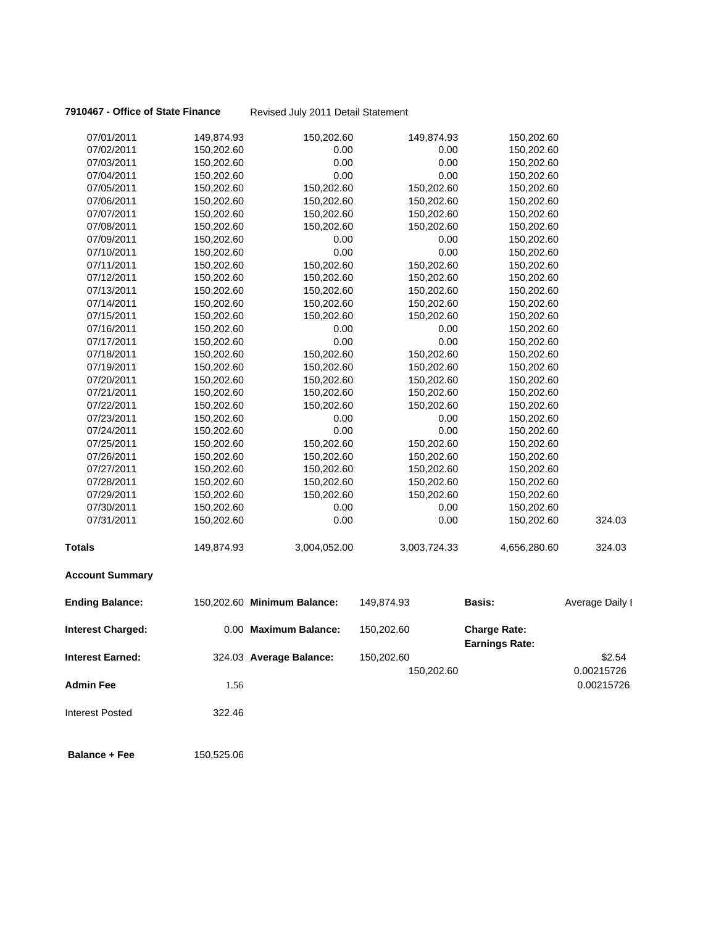**7910467 - Office of State Finance** Revised July 2011 Detail Statement

| 07/01/2011               | 149,874.93 | 150,202.60                  | 149,874.93   | 150,202.60                                   |                 |
|--------------------------|------------|-----------------------------|--------------|----------------------------------------------|-----------------|
| 07/02/2011               | 150,202.60 | 0.00                        | 0.00         | 150,202.60                                   |                 |
| 07/03/2011               | 150,202.60 | 0.00                        | 0.00         | 150,202.60                                   |                 |
| 07/04/2011               | 150,202.60 | 0.00                        | 0.00         | 150,202.60                                   |                 |
| 07/05/2011               | 150,202.60 | 150,202.60                  | 150,202.60   | 150,202.60                                   |                 |
| 07/06/2011               | 150,202.60 | 150,202.60                  | 150,202.60   | 150,202.60                                   |                 |
| 07/07/2011               | 150,202.60 | 150,202.60                  | 150,202.60   | 150,202.60                                   |                 |
| 07/08/2011               | 150,202.60 | 150,202.60                  | 150,202.60   | 150,202.60                                   |                 |
| 07/09/2011               | 150,202.60 | 0.00                        | 0.00         | 150,202.60                                   |                 |
| 07/10/2011               | 150,202.60 | 0.00                        | 0.00         | 150,202.60                                   |                 |
| 07/11/2011               | 150,202.60 | 150,202.60                  | 150,202.60   | 150,202.60                                   |                 |
| 07/12/2011               | 150,202.60 | 150,202.60                  | 150,202.60   | 150,202.60                                   |                 |
| 07/13/2011               | 150,202.60 | 150,202.60                  | 150,202.60   | 150,202.60                                   |                 |
| 07/14/2011               | 150,202.60 | 150,202.60                  | 150,202.60   | 150,202.60                                   |                 |
| 07/15/2011               | 150,202.60 | 150,202.60                  | 150,202.60   | 150,202.60                                   |                 |
| 07/16/2011               | 150,202.60 | 0.00                        | 0.00         | 150,202.60                                   |                 |
| 07/17/2011               | 150,202.60 | 0.00                        | 0.00         | 150,202.60                                   |                 |
| 07/18/2011               | 150,202.60 | 150,202.60                  | 150,202.60   | 150,202.60                                   |                 |
| 07/19/2011               | 150,202.60 | 150,202.60                  | 150,202.60   | 150,202.60                                   |                 |
| 07/20/2011               | 150,202.60 | 150,202.60                  | 150,202.60   | 150,202.60                                   |                 |
| 07/21/2011               | 150,202.60 | 150,202.60                  | 150,202.60   | 150,202.60                                   |                 |
| 07/22/2011               | 150,202.60 | 150,202.60                  | 150,202.60   | 150,202.60                                   |                 |
| 07/23/2011               | 150,202.60 | 0.00                        | 0.00         | 150,202.60                                   |                 |
| 07/24/2011               | 150,202.60 | 0.00                        | 0.00         | 150,202.60                                   |                 |
| 07/25/2011               | 150,202.60 | 150,202.60                  | 150,202.60   | 150,202.60                                   |                 |
| 07/26/2011               | 150,202.60 | 150,202.60                  | 150,202.60   | 150,202.60                                   |                 |
| 07/27/2011               | 150,202.60 | 150,202.60                  | 150,202.60   | 150,202.60                                   |                 |
| 07/28/2011               | 150,202.60 | 150,202.60                  | 150,202.60   | 150,202.60                                   |                 |
| 07/29/2011               | 150,202.60 | 150,202.60                  | 150,202.60   | 150,202.60                                   |                 |
| 07/30/2011               | 150,202.60 | 0.00                        | 0.00         | 150,202.60                                   |                 |
| 07/31/2011               | 150,202.60 | 0.00                        | 0.00         | 150,202.60                                   | 324.03          |
| <b>Totals</b>            | 149,874.93 | 3,004,052.00                | 3,003,724.33 | 4,656,280.60                                 | 324.03          |
| <b>Account Summary</b>   |            |                             |              |                                              |                 |
| <b>Ending Balance:</b>   |            | 150,202.60 Minimum Balance: | 149,874.93   | <b>Basis:</b>                                | Average Daily I |
| <b>Interest Charged:</b> |            | 0.00 Maximum Balance:       | 150,202.60   | <b>Charge Rate:</b><br><b>Earnings Rate:</b> |                 |
| <b>Interest Earned:</b>  |            | 324.03 Average Balance:     | 150,202.60   |                                              | \$2.54          |
|                          |            |                             | 150,202.60   |                                              | 0.00215726      |
| <b>Admin Fee</b>         | 1.56       |                             |              |                                              | 0.00215726      |
| <b>Interest Posted</b>   | 322.46     |                             |              |                                              |                 |
| <b>Balance + Fee</b>     | 150,525.06 |                             |              |                                              |                 |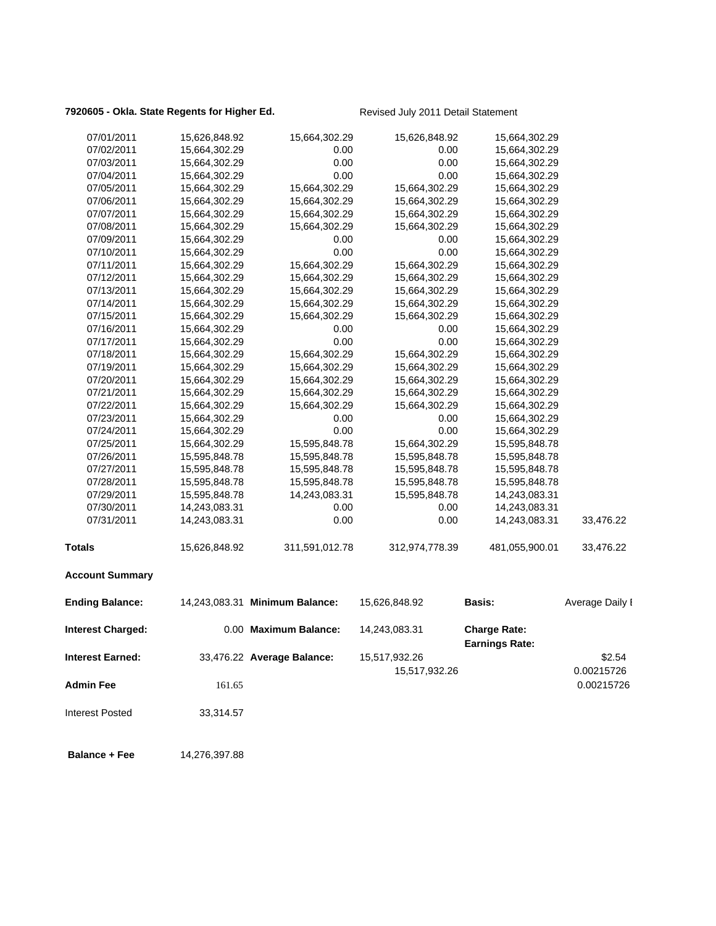# 7920605 - Okla. State Regents for Higher Ed. Revised July 2011 Detail Statement

| 07/01/2011              | 15,626,848.92 | 15,664,302.29                  | 15,626,848.92  | 15,664,302.29         |                 |
|-------------------------|---------------|--------------------------------|----------------|-----------------------|-----------------|
| 07/02/2011              | 15,664,302.29 | 0.00                           | 0.00           | 15,664,302.29         |                 |
| 07/03/2011              | 15,664,302.29 | 0.00                           | 0.00           | 15,664,302.29         |                 |
| 07/04/2011              | 15,664,302.29 | 0.00                           | 0.00           | 15,664,302.29         |                 |
| 07/05/2011              | 15,664,302.29 | 15,664,302.29                  | 15,664,302.29  | 15,664,302.29         |                 |
| 07/06/2011              | 15,664,302.29 | 15,664,302.29                  | 15,664,302.29  | 15,664,302.29         |                 |
| 07/07/2011              | 15,664,302.29 | 15,664,302.29                  | 15,664,302.29  | 15,664,302.29         |                 |
| 07/08/2011              | 15,664,302.29 | 15,664,302.29                  | 15,664,302.29  | 15,664,302.29         |                 |
| 07/09/2011              | 15,664,302.29 | 0.00                           | 0.00           | 15,664,302.29         |                 |
| 07/10/2011              | 15,664,302.29 | 0.00                           | 0.00           | 15,664,302.29         |                 |
| 07/11/2011              | 15,664,302.29 | 15,664,302.29                  | 15,664,302.29  | 15,664,302.29         |                 |
| 07/12/2011              | 15,664,302.29 | 15,664,302.29                  | 15,664,302.29  | 15,664,302.29         |                 |
| 07/13/2011              | 15,664,302.29 | 15,664,302.29                  | 15,664,302.29  | 15,664,302.29         |                 |
| 07/14/2011              | 15,664,302.29 | 15,664,302.29                  | 15,664,302.29  | 15,664,302.29         |                 |
| 07/15/2011              | 15,664,302.29 | 15,664,302.29                  | 15,664,302.29  | 15,664,302.29         |                 |
| 07/16/2011              | 15,664,302.29 | 0.00                           | 0.00           | 15,664,302.29         |                 |
| 07/17/2011              | 15,664,302.29 | 0.00                           | 0.00           | 15,664,302.29         |                 |
| 07/18/2011              | 15,664,302.29 | 15,664,302.29                  | 15,664,302.29  | 15,664,302.29         |                 |
| 07/19/2011              | 15,664,302.29 | 15,664,302.29                  | 15,664,302.29  | 15,664,302.29         |                 |
| 07/20/2011              | 15,664,302.29 | 15,664,302.29                  | 15,664,302.29  | 15,664,302.29         |                 |
| 07/21/2011              | 15,664,302.29 | 15,664,302.29                  | 15,664,302.29  | 15,664,302.29         |                 |
| 07/22/2011              | 15,664,302.29 | 15,664,302.29                  | 15,664,302.29  | 15,664,302.29         |                 |
| 07/23/2011              | 15,664,302.29 | 0.00                           | 0.00           | 15,664,302.29         |                 |
| 07/24/2011              | 15,664,302.29 | 0.00                           | 0.00           | 15,664,302.29         |                 |
| 07/25/2011              | 15,664,302.29 | 15,595,848.78                  | 15,664,302.29  | 15,595,848.78         |                 |
| 07/26/2011              | 15,595,848.78 | 15,595,848.78                  | 15,595,848.78  | 15,595,848.78         |                 |
| 07/27/2011              | 15,595,848.78 | 15,595,848.78                  | 15,595,848.78  | 15,595,848.78         |                 |
| 07/28/2011              | 15,595,848.78 | 15,595,848.78                  | 15,595,848.78  | 15,595,848.78         |                 |
| 07/29/2011              | 15,595,848.78 | 14,243,083.31                  | 15,595,848.78  | 14,243,083.31         |                 |
| 07/30/2011              | 14,243,083.31 | 0.00                           | 0.00           | 14,243,083.31         |                 |
| 07/31/2011              | 14,243,083.31 | 0.00                           | 0.00           | 14,243,083.31         | 33,476.22       |
| <b>Totals</b>           | 15,626,848.92 | 311,591,012.78                 | 312,974,778.39 | 481,055,900.01        | 33,476.22       |
| <b>Account Summary</b>  |               |                                |                |                       |                 |
| <b>Ending Balance:</b>  |               | 14,243,083.31 Minimum Balance: | 15,626,848.92  | Basis:                | Average Daily I |
| Interest Charged:       |               | 0.00 Maximum Balance:          | 14,243,083.31  | <b>Charge Rate:</b>   |                 |
|                         |               |                                |                | <b>Earnings Rate:</b> |                 |
| <b>Interest Earned:</b> |               | 33,476.22 Average Balance:     | 15,517,932.26  |                       | \$2.54          |
|                         |               |                                | 15,517,932.26  |                       | 0.00215726      |
| <b>Admin Fee</b>        | 161.65        |                                |                |                       | 0.00215726      |
| <b>Interest Posted</b>  | 33,314.57     |                                |                |                       |                 |
|                         |               |                                |                |                       |                 |

 **Balance + Fee** 14,276,397.88